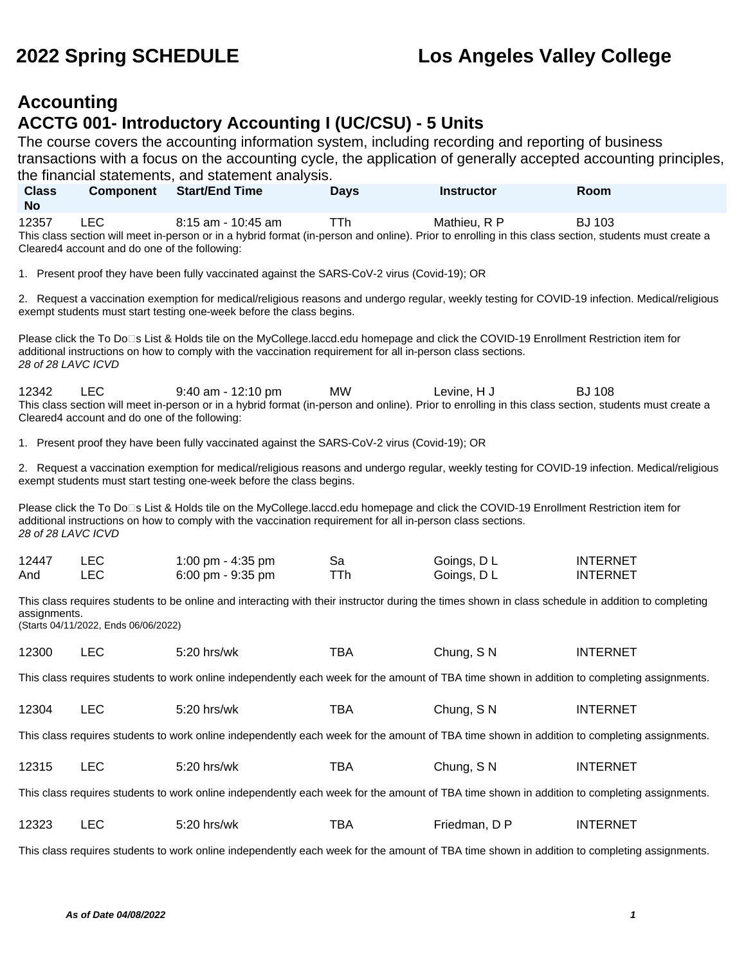## **Accounting ACCTG 001- Introductory Accounting I (UC/CSU) - 5 Units**

The course covers the accounting information system, including recording and reporting of business transactions with a focus on the accounting cycle, the application of generally accepted accounting principles, the financial statements, and statement analysis.

| <b>Class</b><br><b>No</b>                                                                                                                                                                                                                                                  | <b>Component</b>                                            | <b>Start/End Time</b>                                                                                                                                                                                                                                | <b>Days</b>      | <b>Instructor</b>        | Room                               |  |
|----------------------------------------------------------------------------------------------------------------------------------------------------------------------------------------------------------------------------------------------------------------------------|-------------------------------------------------------------|------------------------------------------------------------------------------------------------------------------------------------------------------------------------------------------------------------------------------------------------------|------------------|--------------------------|------------------------------------|--|
| 12357                                                                                                                                                                                                                                                                      | <b>LEC</b><br>Cleared4 account and do one of the following: | 8:15 am - 10:45 am<br>This class section will meet in-person or in a hybrid format (in-person and online). Prior to enrolling in this class section, students must create a                                                                          | <b>TTh</b>       | Mathieu, R P             | <b>BJ 103</b>                      |  |
|                                                                                                                                                                                                                                                                            |                                                             | 1. Present proof they have been fully vaccinated against the SARS-CoV-2 virus (Covid-19); OR                                                                                                                                                         |                  |                          |                                    |  |
|                                                                                                                                                                                                                                                                            |                                                             | 2. Request a vaccination exemption for medical/religious reasons and undergo regular, weekly testing for COVID-19 infection. Medical/religious<br>exempt students must start testing one-week before the class begins.                               |                  |                          |                                    |  |
| 28 of 28 LAVC ICVD                                                                                                                                                                                                                                                         |                                                             | Please click the To Do⊡s List & Holds tile on the MyCollege.laccd.edu homepage and click the COVID-19 Enrollment Restriction item for<br>additional instructions on how to comply with the vaccination requirement for all in-person class sections. |                  |                          |                                    |  |
| 12342                                                                                                                                                                                                                                                                      | <b>LEC</b><br>Cleared4 account and do one of the following: | 9:40 am - 12:10 pm<br>This class section will meet in-person or in a hybrid format (in-person and online). Prior to enrolling in this class section, students must create a                                                                          | <b>MW</b>        | Levine, H J              | <b>BJ 108</b>                      |  |
|                                                                                                                                                                                                                                                                            |                                                             | 1. Present proof they have been fully vaccinated against the SARS-CoV-2 virus (Covid-19); OR                                                                                                                                                         |                  |                          |                                    |  |
|                                                                                                                                                                                                                                                                            |                                                             | 2. Request a vaccination exemption for medical/religious reasons and undergo regular, weekly testing for COVID-19 infection. Medical/religious<br>exempt students must start testing one-week before the class begins.                               |                  |                          |                                    |  |
| Please click the To Do⊡s List & Holds tile on the MyCollege.laccd.edu homepage and click the COVID-19 Enrollment Restriction item for<br>additional instructions on how to comply with the vaccination requirement for all in-person class sections.<br>28 of 28 LAVC ICVD |                                                             |                                                                                                                                                                                                                                                      |                  |                          |                                    |  |
| 12447<br>And                                                                                                                                                                                                                                                               | <b>LEC</b><br><b>LEC</b>                                    | 1:00 pm - 4:35 pm<br>6:00 pm - 9:35 pm                                                                                                                                                                                                               | Sa<br><b>TTh</b> | Goings, DL<br>Goings, DL | <b>INTERNET</b><br><b>INTERNET</b> |  |
| assignments.                                                                                                                                                                                                                                                               | (Starts 04/11/2022, Ends 06/06/2022)                        | This class requires students to be online and interacting with their instructor during the times shown in class schedule in addition to completing                                                                                                   |                  |                          |                                    |  |
| 12300                                                                                                                                                                                                                                                                      | <b>LEC</b>                                                  | 5:20 hrs/wk                                                                                                                                                                                                                                          | <b>TBA</b>       | Chung, SN                | <b>INTERNET</b>                    |  |
| This class requires students to work online independently each week for the amount of TBA time shown in addition to completing assignments.                                                                                                                                |                                                             |                                                                                                                                                                                                                                                      |                  |                          |                                    |  |
| 12304                                                                                                                                                                                                                                                                      | <b>LEC</b>                                                  | 5:20 hrs/wk                                                                                                                                                                                                                                          | <b>TBA</b>       | Chung, SN                | <b>INTERNET</b>                    |  |
| This class requires students to work online independently each week for the amount of TBA time shown in addition to completing assignments.                                                                                                                                |                                                             |                                                                                                                                                                                                                                                      |                  |                          |                                    |  |
| 12315                                                                                                                                                                                                                                                                      | <b>LEC</b>                                                  | 5:20 hrs/wk                                                                                                                                                                                                                                          | <b>TBA</b>       | Chung, SN                | <b>INTERNET</b>                    |  |
|                                                                                                                                                                                                                                                                            |                                                             | This class requires students to work online independently each week for the amount of TBA time shown in addition to completing assignments.                                                                                                          |                  |                          |                                    |  |
| 12323                                                                                                                                                                                                                                                                      | LEC                                                         | 5:20 hrs/wk                                                                                                                                                                                                                                          | <b>TBA</b>       | Friedman, D P            | <b>INTERNET</b>                    |  |

This class requires students to work online independently each week for the amount of TBA time shown in addition to completing assignments.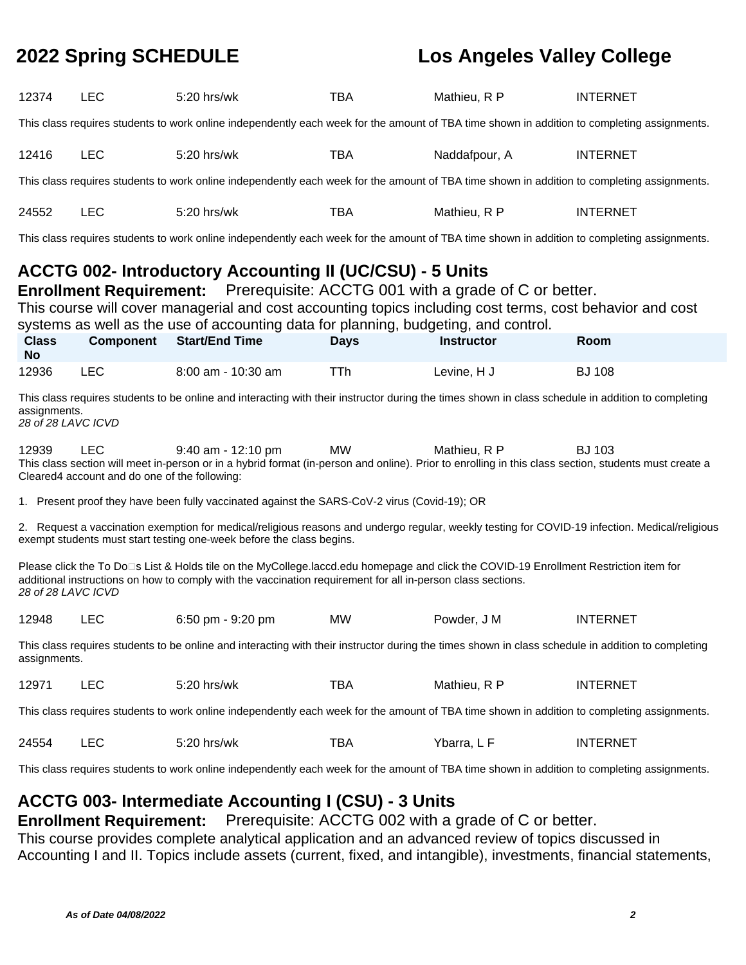| 12374                                                                                                                                                              | <b>LEC</b>                                                                                                                                                                                                                                                                        | 5:20 hrs/wk                                                                                                                                                                                                                                                                                                                                                | <b>TBA</b>  | Mathieu, R P      | <b>INTERNET</b> |  |  |  |
|--------------------------------------------------------------------------------------------------------------------------------------------------------------------|-----------------------------------------------------------------------------------------------------------------------------------------------------------------------------------------------------------------------------------------------------------------------------------|------------------------------------------------------------------------------------------------------------------------------------------------------------------------------------------------------------------------------------------------------------------------------------------------------------------------------------------------------------|-------------|-------------------|-----------------|--|--|--|
| This class requires students to work online independently each week for the amount of TBA time shown in addition to completing assignments.                        |                                                                                                                                                                                                                                                                                   |                                                                                                                                                                                                                                                                                                                                                            |             |                   |                 |  |  |  |
| 12416                                                                                                                                                              | <b>LEC</b>                                                                                                                                                                                                                                                                        | 5:20 hrs/wk                                                                                                                                                                                                                                                                                                                                                | <b>TBA</b>  | Naddafpour, A     | <b>INTERNET</b> |  |  |  |
|                                                                                                                                                                    |                                                                                                                                                                                                                                                                                   | This class requires students to work online independently each week for the amount of TBA time shown in addition to completing assignments.                                                                                                                                                                                                                |             |                   |                 |  |  |  |
| 24552                                                                                                                                                              | <b>LEC</b>                                                                                                                                                                                                                                                                        | 5:20 hrs/wk                                                                                                                                                                                                                                                                                                                                                | <b>TBA</b>  | Mathieu, R P      | <b>INTERNET</b> |  |  |  |
|                                                                                                                                                                    |                                                                                                                                                                                                                                                                                   | This class requires students to work online independently each week for the amount of TBA time shown in addition to completing assignments.                                                                                                                                                                                                                |             |                   |                 |  |  |  |
|                                                                                                                                                                    |                                                                                                                                                                                                                                                                                   | <b>ACCTG 002- Introductory Accounting II (UC/CSU) - 5 Units</b><br><b>Enrollment Requirement:</b> Prerequisite: ACCTG 001 with a grade of C or better.<br>This course will cover managerial and cost accounting topics including cost terms, cost behavior and cost<br>systems as well as the use of accounting data for planning, budgeting, and control. |             |                   |                 |  |  |  |
| <b>Class</b><br><b>No</b>                                                                                                                                          | <b>Component</b>                                                                                                                                                                                                                                                                  | <b>Start/End Time</b>                                                                                                                                                                                                                                                                                                                                      | <b>Days</b> | <b>Instructor</b> | Room            |  |  |  |
| 12936                                                                                                                                                              | <b>LEC</b>                                                                                                                                                                                                                                                                        | 8:00 am - 10:30 am                                                                                                                                                                                                                                                                                                                                         | <b>TTh</b>  | Levine, H J       | <b>BJ 108</b>   |  |  |  |
|                                                                                                                                                                    | This class requires students to be online and interacting with their instructor during the times shown in class schedule in addition to completing<br>assignments.<br>28 of 28 LAVC ICVD                                                                                          |                                                                                                                                                                                                                                                                                                                                                            |             |                   |                 |  |  |  |
| 12939                                                                                                                                                              | <b>LEC</b><br>9:40 am - 12:10 pm<br>MW<br>Mathieu, R P<br><b>BJ 103</b><br>This class section will meet in-person or in a hybrid format (in-person and online). Prior to enrolling in this class section, students must create a<br>Cleared4 account and do one of the following: |                                                                                                                                                                                                                                                                                                                                                            |             |                   |                 |  |  |  |
|                                                                                                                                                                    |                                                                                                                                                                                                                                                                                   | 1. Present proof they have been fully vaccinated against the SARS-CoV-2 virus (Covid-19); OR                                                                                                                                                                                                                                                               |             |                   |                 |  |  |  |
|                                                                                                                                                                    |                                                                                                                                                                                                                                                                                   | 2. Request a vaccination exemption for medical/religious reasons and undergo regular, weekly testing for COVID-19 infection. Medical/religious<br>exempt students must start testing one-week before the class begins.                                                                                                                                     |             |                   |                 |  |  |  |
| 28 of 28 LAVC ICVD                                                                                                                                                 |                                                                                                                                                                                                                                                                                   | Please click the To Do□s List & Holds tile on the MyCollege.laccd.edu homepage and click the COVID-19 Enrollment Restriction item for<br>additional instructions on how to comply with the vaccination requirement for all in-person class sections.                                                                                                       |             |                   |                 |  |  |  |
| 12948                                                                                                                                                              | <b>LEC</b>                                                                                                                                                                                                                                                                        | 6:50 pm - 9:20 pm                                                                                                                                                                                                                                                                                                                                          | <b>MW</b>   | Powder, J M       | <b>INTERNET</b> |  |  |  |
| This class requires students to be online and interacting with their instructor during the times shown in class schedule in addition to completing<br>assignments. |                                                                                                                                                                                                                                                                                   |                                                                                                                                                                                                                                                                                                                                                            |             |                   |                 |  |  |  |
| 12971                                                                                                                                                              | <b>LEC</b>                                                                                                                                                                                                                                                                        | 5:20 hrs/wk                                                                                                                                                                                                                                                                                                                                                | <b>TBA</b>  | Mathieu, R P      | <b>INTERNET</b> |  |  |  |
| This class requires students to work online independently each week for the amount of TBA time shown in addition to completing assignments.                        |                                                                                                                                                                                                                                                                                   |                                                                                                                                                                                                                                                                                                                                                            |             |                   |                 |  |  |  |
| 24554                                                                                                                                                              | <b>LEC</b>                                                                                                                                                                                                                                                                        | 5:20 hrs/wk                                                                                                                                                                                                                                                                                                                                                | <b>TBA</b>  | Ybarra, L F       | <b>INTERNET</b> |  |  |  |
|                                                                                                                                                                    |                                                                                                                                                                                                                                                                                   | This class requires students to work online independently each week for the amount of TBA time shown in addition to completing assignments.                                                                                                                                                                                                                |             |                   |                 |  |  |  |
| ACCTG 003- Intermediate Accounting I (CSU) - 3 Units<br>Prerequisite: ACCTG 002 with a grade of C or better.<br><b>Enrollment Requirement:</b>                     |                                                                                                                                                                                                                                                                                   |                                                                                                                                                                                                                                                                                                                                                            |             |                   |                 |  |  |  |

This course provides complete analytical application and an advanced review of topics discussed in Accounting I and II. Topics include assets (current, fixed, and intangible), investments, financial statements,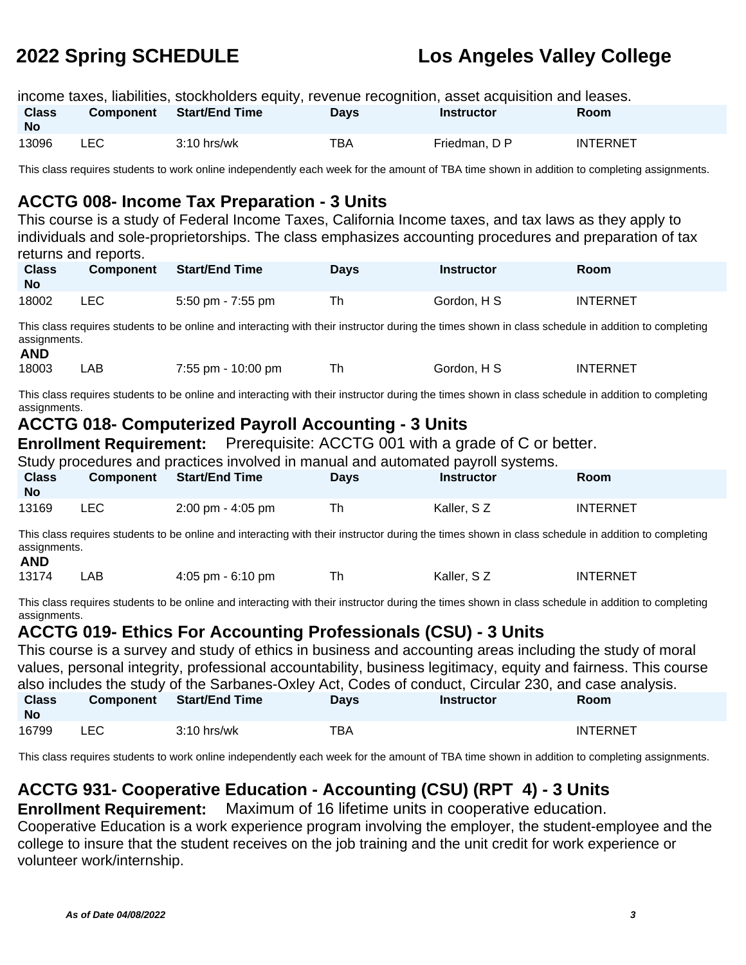|                           |      | income taxes, liabilities, stockholders equity, revenue recognition, asset acquisition and leases. |             |                   |                 |
|---------------------------|------|----------------------------------------------------------------------------------------------------|-------------|-------------------|-----------------|
| <b>Class</b><br><b>No</b> |      | Component Start/End Time                                                                           | <b>Davs</b> | <b>Instructor</b> | <b>Room</b>     |
| 13096                     | LEC. | $3:10$ hrs/wk                                                                                      | TBA         | Friedman, D P     | <b>INTERNET</b> |

This class requires students to work online independently each week for the amount of TBA time shown in addition to completing assignments.

### **ACCTG 008- Income Tax Preparation - 3 Units**

This course is a study of Federal Income Taxes, California Income taxes, and tax laws as they apply to individuals and sole-proprietorships. The class emphasizes accounting procedures and preparation of tax returns and reports.

| <b>Class</b><br><b>No</b> | <b>Component</b> | Start/End Time    | <b>Days</b> | <b>Instructor</b> | Room            |
|---------------------------|------------------|-------------------|-------------|-------------------|-----------------|
| 18002                     | LEC.             | 5:50 pm - 7:55 pm | Th          | Gordon, H S       | <b>INTERNET</b> |

This class requires students to be online and interacting with their instructor during the times shown in class schedule in addition to completing assignments. **AND**

| AND   |     |                    |             |                      |
|-------|-----|--------------------|-------------|----------------------|
| 18003 | -AB | 7:55 pm - 10:00 pm | Gordon. H S | INTERNE <sup>-</sup> |

This class requires students to be online and interacting with their instructor during the times shown in class schedule in addition to completing assignments.

### **ACCTG 018- Computerized Payroll Accounting - 3 Units**

**Enrollment Requirement:** Prerequisite: ACCTG 001 with a grade of C or better.

| Study procedures and practices involved in manual and automated payroll systems. |       |                                 |             |                   |                 |  |  |
|----------------------------------------------------------------------------------|-------|---------------------------------|-------------|-------------------|-----------------|--|--|
| <b>Class</b><br><b>No</b>                                                        |       | <b>Component</b> Start/End Time | <b>Davs</b> | <b>Instructor</b> | Room            |  |  |
| 13169                                                                            | LEC - | 2:00 pm - 4:05 pm               | Th          | Kaller, SZ        | <b>INTERNET</b> |  |  |

This class requires students to be online and interacting with their instructor during the times shown in class schedule in addition to completing assignments. **AND**

|  | 13174 | _AB_ | $4:05$ pm $-6:10$ pm |  | Kaller, S z | INTERNET |
|--|-------|------|----------------------|--|-------------|----------|
|--|-------|------|----------------------|--|-------------|----------|

This class requires students to be online and interacting with their instructor during the times shown in class schedule in addition to completing assignments.

## **ACCTG 019- Ethics For Accounting Professionals (CSU) - 3 Units**

This course is a survey and study of ethics in business and accounting areas including the study of moral values, personal integrity, professional accountability, business legitimacy, equity and fairness. This course also includes the study of the Sarbanes-Oxley Act, Codes of conduct, Circular 230, and case analysis. **Class No Component Start/End Time Days Instructor Room** 16799 LEC 3:10 hrs/wk TBA INTERNET

This class requires students to work online independently each week for the amount of TBA time shown in addition to completing assignments.

## **ACCTG 931- Cooperative Education - Accounting (CSU) (RPT 4) - 3 Units**

**Enrollment Requirement:** Maximum of 16 lifetime units in cooperative education.

Cooperative Education is a work experience program involving the employer, the student-employee and the college to insure that the student receives on the job training and the unit credit for work experience or volunteer work/internship.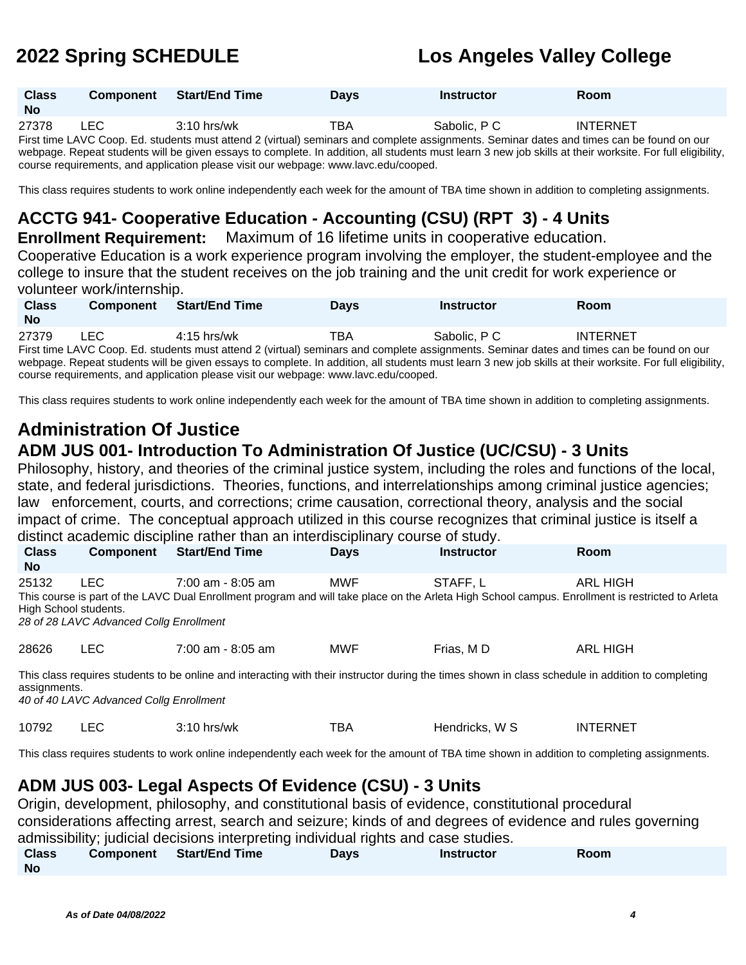| <b>Class</b><br><b>No</b> | <b>Component</b> | <b>Start/End Time</b> | <b>Days</b> | <b>Instructor</b> | Room            |
|---------------------------|------------------|-----------------------|-------------|-------------------|-----------------|
| 27378                     | ∟EC              | $3:10$ hrs/wk         | TBA         | Sabolic, P C      | <b>INTERNET</b> |

First time LAVC Coop. Ed. students must attend 2 (virtual) seminars and complete assignments. Seminar dates and times can be found on our webpage. Repeat students will be given essays to complete. In addition, all students must learn 3 new job skills at their worksite. For full eligibility, course requirements, and application please visit our webpage: www.lavc.edu/cooped.

This class requires students to work online independently each week for the amount of TBA time shown in addition to completing assignments.

## **ACCTG 941- Cooperative Education - Accounting (CSU) (RPT 3) - 4 Units**

**Enrollment Requirement:** Maximum of 16 lifetime units in cooperative education. Cooperative Education is a work experience program involving the employer, the student-employee and the college to insure that the student receives on the job training and the unit credit for work experience or volunteer work/internship.

| <b>Class</b><br><b>No</b>                                                                                                                                 | <b>Component</b> | <b>Start/End Time</b> | <b>Davs</b> | <b>Instructor</b> | <b>Room</b>     |  |  |
|-----------------------------------------------------------------------------------------------------------------------------------------------------------|------------------|-----------------------|-------------|-------------------|-----------------|--|--|
|                                                                                                                                                           |                  |                       |             |                   |                 |  |  |
| 27379                                                                                                                                                     | LEC.             | $4:15$ hrs/wk         | TBA         | Sabolic, P C      | <b>INTERNET</b> |  |  |
| First time LAVC Coop. Ed. students must attend 2 (virtual) seminars and complete assignments. Seminar dates and times can be found on our                 |                  |                       |             |                   |                 |  |  |
| webpage. Repeat students will be given essays to complete. In addition, all students must learn 3 new job skills at their worksite. For full eligibility, |                  |                       |             |                   |                 |  |  |

course requirements, and application please visit our webpage: www.lavc.edu/cooped.

This class requires students to work online independently each week for the amount of TBA time shown in addition to completing assignments.

# **Administration Of Justice**

# **ADM JUS 001- Introduction To Administration Of Justice (UC/CSU) - 3 Units**

Philosophy, history, and theories of the criminal justice system, including the roles and functions of the local, state, and federal jurisdictions. Theories, functions, and interrelationships among criminal justice agencies; law enforcement, courts, and corrections; crime causation, correctional theory, analysis and the social impact of crime. The conceptual approach utilized in this course recognizes that criminal justice is itself a distinct academic discipline rather than an interdisciplinary course of study.

| <b>Class</b><br><b>No</b>      | <b>Component</b>                                | <b>Start/End Time</b>                                                                                                                                                   | <b>Days</b> | <b>Instructor</b> | <b>Room</b>     |
|--------------------------------|-------------------------------------------------|-------------------------------------------------------------------------------------------------------------------------------------------------------------------------|-------------|-------------------|-----------------|
| 25132<br>High School students. | LEC.<br>28 of 28 LAVC Advanced Collg Enrollment | $7:00$ am - 8:05 am<br>This course is part of the LAVC Dual Enrollment program and will take place on the Arleta High School campus. Enrollment is restricted to Arleta | MWF         | STAFF.L           | ARL HIGH        |
| 28626                          | LEC.                                            | $7:00$ am - 8:05 am                                                                                                                                                     | MWF         | Frias, MD         | <b>ARL HIGH</b> |

This class requires students to be online and interacting with their instructor during the times shown in class schedule in addition to completing assignments.

40 of 40 LAVC Advanced Collg Enrollment

| 10792 | -- | 2.10 .<br>0 hrs/wk | тва | W S<br>Hendricks. | INTERNET |
|-------|----|--------------------|-----|-------------------|----------|
|-------|----|--------------------|-----|-------------------|----------|

This class requires students to work online independently each week for the amount of TBA time shown in addition to completing assignments.

### **ADM JUS 003- Legal Aspects Of Evidence (CSU) - 3 Units**

Origin, development, philosophy, and constitutional basis of evidence, constitutional procedural considerations affecting arrest, search and seizure; kinds of and degrees of evidence and rules governing admissibility; judicial decisions interpreting individual rights and case studies.

| <b>Class</b> | Component | <b>Start/End Time</b> | <b>Days</b> | <b>Instructor</b> | Room |
|--------------|-----------|-----------------------|-------------|-------------------|------|
| <b>No</b>    |           |                       |             |                   |      |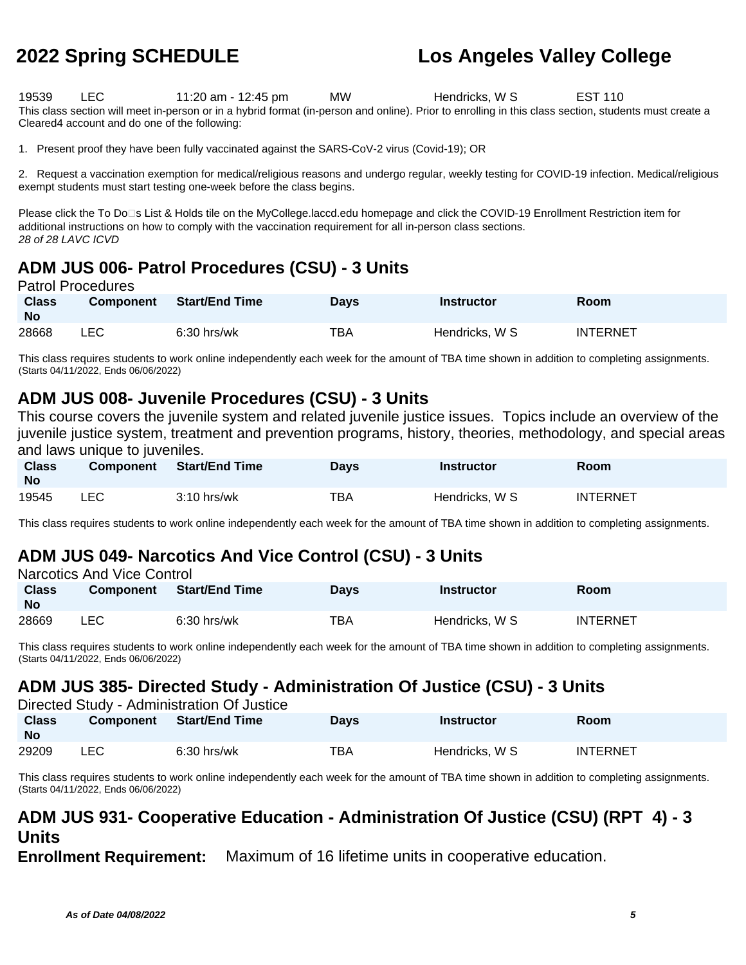19539 LEC 11:20 am - 12:45 pm MW Hendricks, W S EST 110 This class section will meet in-person or in a hybrid format (in-person and online). Prior to enrolling in this class section, students must create a Cleared4 account and do one of the following:

1. Present proof they have been fully vaccinated against the SARS-CoV-2 virus (Covid-19); OR

2. Request a vaccination exemption for medical/religious reasons and undergo regular, weekly testing for COVID-19 infection. Medical/religious exempt students must start testing one-week before the class begins.

Please click the To Do<sup>n</sup>s List & Holds tile on the MyCollege.laccd.edu homepage and click the COVID-19 Enrollment Restriction item for additional instructions on how to comply with the vaccination requirement for all in-person class sections. 28 of 28 LAVC ICVD

## **ADM JUS 006- Patrol Procedures (CSU) - 3 Units**

### Patrol Procedures

| <b>Class</b><br><b>No</b> | <b>Component</b> | <b>Start/End Time</b> | <b>Days</b> | <b>Instructor</b> | Room            |
|---------------------------|------------------|-----------------------|-------------|-------------------|-----------------|
| 28668                     | LEC              | $6:30$ hrs/wk         | TBA         | Hendricks, W S    | <b>INTERNET</b> |

This class requires students to work online independently each week for the amount of TBA time shown in addition to completing assignments. (Starts 04/11/2022, Ends 06/06/2022)

### **ADM JUS 008- Juvenile Procedures (CSU) - 3 Units**

This course covers the juvenile system and related juvenile justice issues. Topics include an overview of the juvenile justice system, treatment and prevention programs, history, theories, methodology, and special areas and laws unique to juveniles.

| <b>Class</b><br><b>No</b> | <b>Component</b> | <b>Start/End Time</b> | Days | Instructor     | Room     |
|---------------------------|------------------|-----------------------|------|----------------|----------|
| 19545                     | LEC              | $3:10$ hrs/wk         | TBA  | Hendricks, W S | INTERNET |

This class requires students to work online independently each week for the amount of TBA time shown in addition to completing assignments.

## **ADM JUS 049- Narcotics And Vice Control (CSU) - 3 Units**

| Narcotics And Vice Control |                  |                       |             |                   |                 |  |  |  |
|----------------------------|------------------|-----------------------|-------------|-------------------|-----------------|--|--|--|
| <b>Class</b>               | <b>Component</b> | <b>Start/End Time</b> | <b>Davs</b> | <b>Instructor</b> | Room            |  |  |  |
| <b>No</b>                  |                  |                       |             |                   |                 |  |  |  |
| 28669                      | LEC.             | $6:30$ hrs/wk         | TBA         | Hendricks, W S    | <b>INTERNET</b> |  |  |  |

This class requires students to work online independently each week for the amount of TBA time shown in addition to completing assignments. (Starts 04/11/2022, Ends 06/06/2022)

## **ADM JUS 385- Directed Study - Administration Of Justice (CSU) - 3 Units**

| Directed Study - Administration Of Justice |           |                |             |                   |                 |  |  |  |
|--------------------------------------------|-----------|----------------|-------------|-------------------|-----------------|--|--|--|
| <b>Class</b><br><b>No</b>                  | Component | Start/End Time | <b>Days</b> | <b>Instructor</b> | Room            |  |  |  |
| 29209                                      | LEC.      | $6:30$ hrs/wk  | TBA         | Hendricks, W S    | <b>INTERNET</b> |  |  |  |

This class requires students to work online independently each week for the amount of TBA time shown in addition to completing assignments. (Starts 04/11/2022, Ends 06/06/2022)

### **ADM JUS 931- Cooperative Education - Administration Of Justice (CSU) (RPT 4) - 3 Units**

**Enrollment Requirement:** Maximum of 16 lifetime units in cooperative education.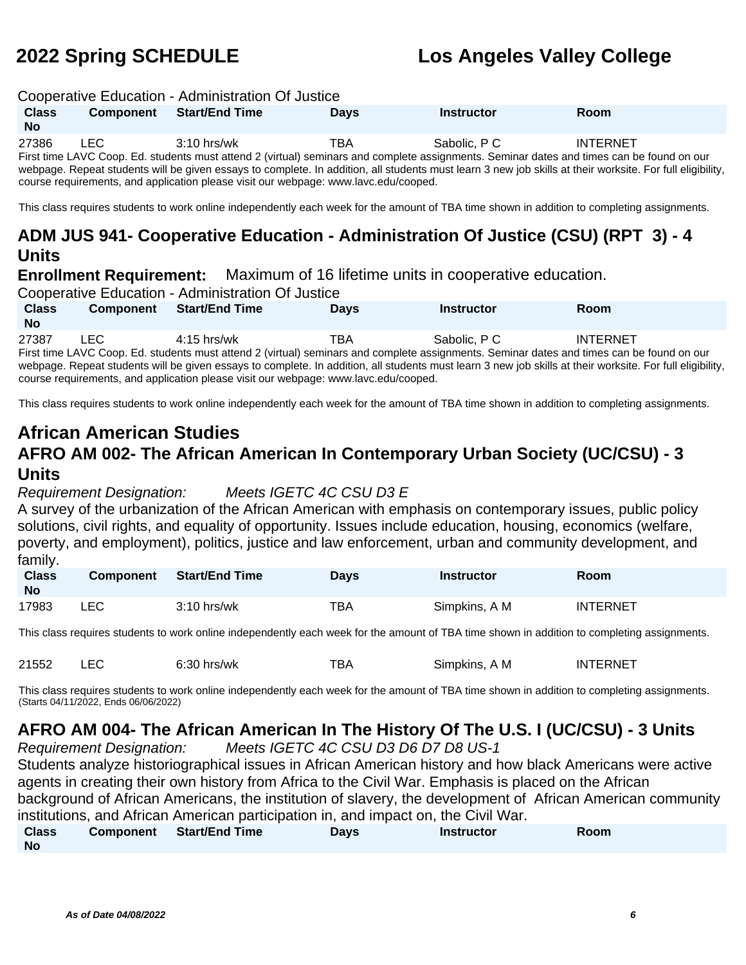### Cooperative Education - Administration Of Justice

| <b>Class</b><br><b>No</b> | <b>Component</b> | <b>Start/End Time</b> | <b>Days</b> | <b>Instructor</b>                                                                                                                                        | <b>Room</b>     |  |
|---------------------------|------------------|-----------------------|-------------|----------------------------------------------------------------------------------------------------------------------------------------------------------|-----------------|--|
| 27386                     | LEC.             | $3:10$ hrs/wk         | ТВА         | Sabolic, P C                                                                                                                                             | <b>INTERNET</b> |  |
|                           |                  |                       |             | First time LAVC Coop. Ed. students must attend 2 (virtual) seminars and complete assignments. Seminar dates and times can be found on our                |                 |  |
|                           |                  |                       |             | webnage. Renest students will be given essays to complete. In addition, all students must learn 3 new iob skills at their worksite. For full eligibility |                 |  |

webpage. Repeat students will be given essays to complete. In addition, all students must learn 3 new job skills at their worksite. For full eligibility, course requirements, and application please visit our webpage: www.lavc.edu/cooped.

This class requires students to work online independently each week for the amount of TBA time shown in addition to completing assignments.

### **ADM JUS 941- Cooperative Education - Administration Of Justice (CSU) (RPT 3) - 4 Units**

**Enrollment Requirement:** Maximum of 16 lifetime units in cooperative education.

Cooperative Education - Administration Of Justice

| <b>Class</b><br><b>No</b> | <b>Component</b> | <b>Start/End Time</b> | <b>Days</b> | <b>Instructor</b> | Room            |
|---------------------------|------------------|-----------------------|-------------|-------------------|-----------------|
| 27387                     | LEC              | $4:15$ hrs/wk         | TBA         | Sabolic, PC       | <b>INTERNET</b> |

First time LAVC Coop. Ed. students must attend 2 (virtual) seminars and complete assignments. Seminar dates and times can be found on our webpage. Repeat students will be given essays to complete. In addition, all students must learn 3 new job skills at their worksite. For full eligibility, course requirements, and application please visit our webpage: www.lavc.edu/cooped.

This class requires students to work online independently each week for the amount of TBA time shown in addition to completing assignments.

# **African American Studies**

## **AFRO AM 002- The African American In Contemporary Urban Society (UC/CSU) - 3 Units**

### Requirement Designation: Meets IGETC 4C CSU D3 E

A survey of the urbanization of the African American with emphasis on contemporary issues, public policy solutions, civil rights, and equality of opportunity. Issues include education, housing, economics (welfare, poverty, and employment), politics, justice and law enforcement, urban and community development, and family.

| <b>Class</b><br><b>No</b> | <b>Component</b> | Start/End Time | Days | Instructor    | Room            |
|---------------------------|------------------|----------------|------|---------------|-----------------|
| 17983                     | ∟EC              | $3:10$ hrs/wk  | ТВА  | Simpkins, A M | <b>INTERNET</b> |

This class requires students to work online independently each week for the amount of TBA time shown in addition to completing assignments.

| 21552 | $6:30$ hrs/wk | тва | Simpkins, A M | <b>INTERNET</b> |
|-------|---------------|-----|---------------|-----------------|
|       |               |     |               |                 |

This class requires students to work online independently each week for the amount of TBA time shown in addition to completing assignments. (Starts 04/11/2022, Ends 06/06/2022)

## **AFRO AM 004- The African American In The History Of The U.S. I (UC/CSU) - 3 Units**

Requirement Designation: Meets IGETC 4C CSU D3 D6 D7 D8 US-1 Students analyze historiographical issues in African American history and how black Americans were active agents in creating their own history from Africa to the Civil War. Emphasis is placed on the African background of African Americans, the institution of slavery, the development of African American community institutions, and African American participation in, and impact on, the Civil War.<br>Class Component Start/End Time Days **Days Class Component Start/End Time Days Instructor Room**

**No**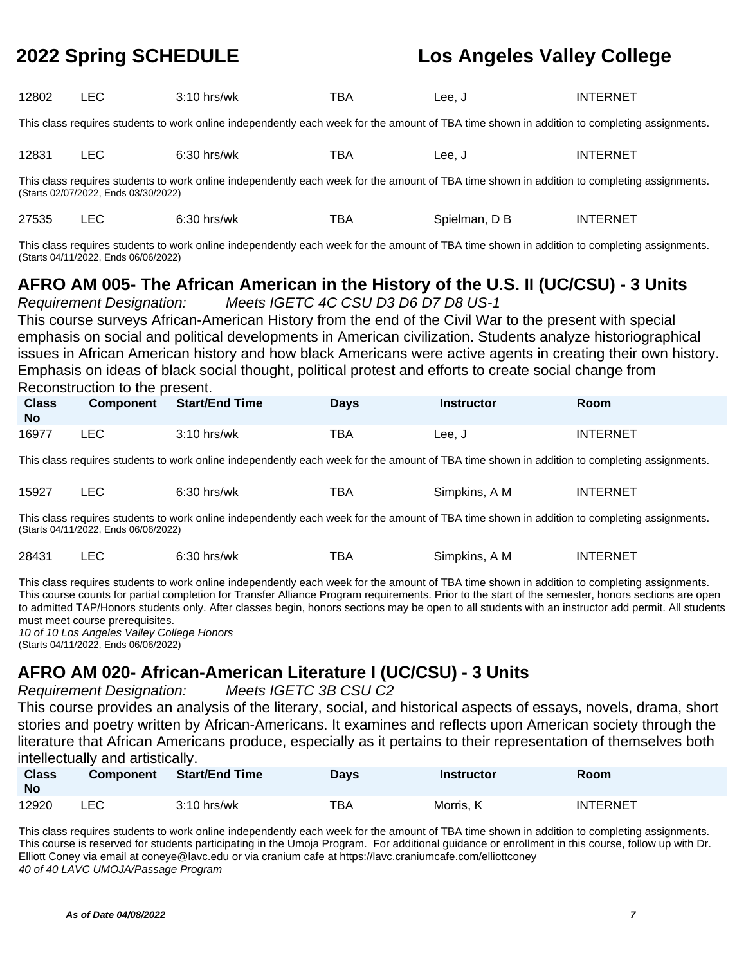| 12802 |  | $3:10$ hrs/wk | TBA | Lee, J | <b>INTERNET</b> |
|-------|--|---------------|-----|--------|-----------------|
|-------|--|---------------|-----|--------|-----------------|

This class requires students to work online independently each week for the amount of TBA time shown in addition to completing assignments.

| 12831 | $ -$<br>ᄂᄂ | $\cdot$<br>hrs/wk<br>ມ.ວ∪ | -- -<br>BA | ee. | TERNET<br>INT |
|-------|------------|---------------------------|------------|-----|---------------|
|-------|------------|---------------------------|------------|-----|---------------|

This class requires students to work online independently each week for the amount of TBA time shown in addition to completing assignments. (Starts 02/07/2022, Ends 03/30/2022)

| 27535 | $6:30$ hrs/wk | тва. | Spielman, D B | INTERNET |
|-------|---------------|------|---------------|----------|
|       |               |      |               |          |

This class requires students to work online independently each week for the amount of TBA time shown in addition to completing assignments. (Starts 04/11/2022, Ends 06/06/2022)

## **AFRO AM 005- The African American in the History of the U.S. II (UC/CSU) - 3 Units**

Requirement Designation: Meets IGETC 4C CSU D3 D6 D7 D8 US-1 This course surveys African-American History from the end of the Civil War to the present with special emphasis on social and political developments in American civilization. Students analyze historiographical issues in African American history and how black Americans were active agents in creating their own history. Emphasis on ideas of black social thought, political protest and efforts to create social change from Reconstruction to the present.

| <b>Class</b><br><b>No</b> | <b>Component</b> | Start/End Time | Days | <b>Instructor</b> | Room            |
|---------------------------|------------------|----------------|------|-------------------|-----------------|
| 16977                     | ∟EC.             | $3:10$ hrs/wk  | TBA  | Lee, J            | <b>INTERNET</b> |

This class requires students to work online independently each week for the amount of TBA time shown in addition to completing assignments.

| 15927 | –∟∪  | .00<br>`hrs/wk<br>0.JU | -- -<br>ВΑ | Simpkins.<br>١M | ITFRNFT<br>INT |
|-------|------|------------------------|------------|-----------------|----------------|
|       | ____ | .                      |            |                 |                |

This class requires students to work online independently each week for the amount of TBA time shown in addition to completing assignments. (Starts 04/11/2022, Ends 06/06/2022)

| 28431 |  | $6:30$ hrs/wk | ТВА | Simpkins, A M | INTERNET |
|-------|--|---------------|-----|---------------|----------|
|-------|--|---------------|-----|---------------|----------|

This class requires students to work online independently each week for the amount of TBA time shown in addition to completing assignments. This course counts for partial completion for Transfer Alliance Program requirements. Prior to the start of the semester, honors sections are open to admitted TAP/Honors students only. After classes begin, honors sections may be open to all students with an instructor add permit. All students must meet course prerequisites.

10 of 10 Los Angeles Valley College Honors (Starts 04/11/2022, Ends 06/06/2022)

## **AFRO AM 020- African-American Literature I (UC/CSU) - 3 Units**

Requirement Designation: Meets IGETC 3B CSU C2

This course provides an analysis of the literary, social, and historical aspects of essays, novels, drama, short stories and poetry written by African-Americans. It examines and reflects upon American society through the literature that African Americans produce, especially as it pertains to their representation of themselves both intellectually and artistically.

| <b>Class</b><br><b>No</b> | <b>Component</b> | <b>Start/End Time</b> | Days | <b>Instructor</b> | <b>Room</b>     |
|---------------------------|------------------|-----------------------|------|-------------------|-----------------|
| 12920                     | LEC              | $3:10$ hrs/wk         | TBA  | Morris, K         | <b>INTERNET</b> |

This class requires students to work online independently each week for the amount of TBA time shown in addition to completing assignments. This course is reserved for students participating in the Umoja Program. For additional guidance or enrollment in this course, follow up with Dr. Elliott Coney via email at coneye@lavc.edu or via cranium cafe at https://lavc.craniumcafe.com/elliottconey 40 of 40 LAVC UMOJA/Passage Program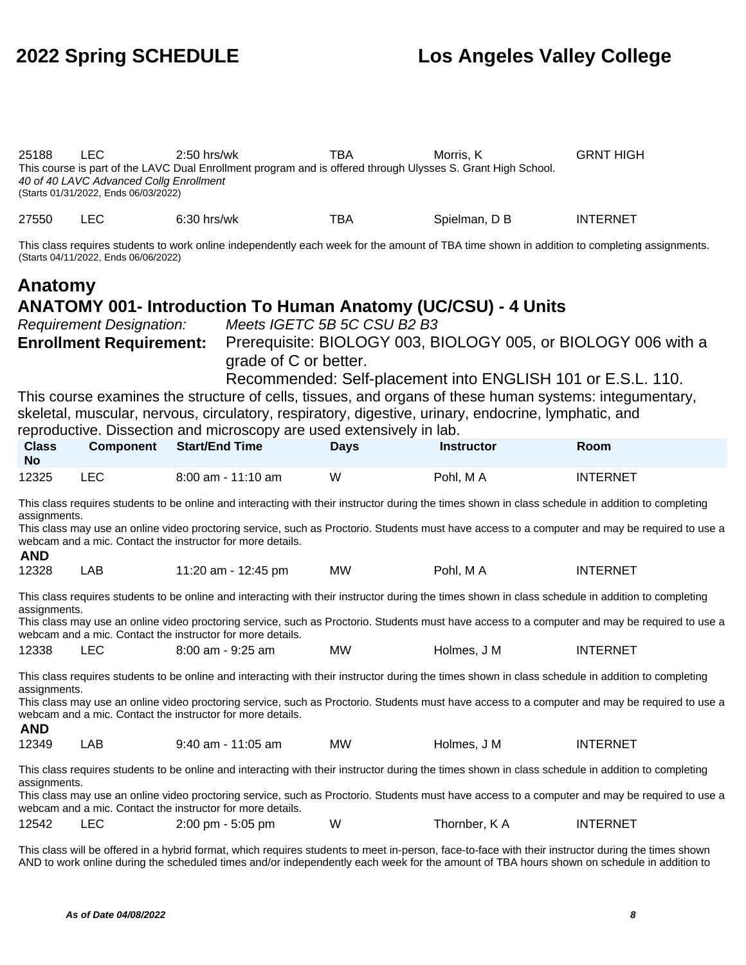25188 LEC 2:50 hrs/wk TBA Morris, K GRNT HIGH This course is part of the LAVC Dual Enrollment program and is offered through Ulysses S. Grant High School. 40 of 40 LAVC Advanced Collg Enrollment (Starts 01/31/2022, Ends 06/03/2022) 27550 LEC 6:30 hrs/wk TBA Spielman, D B INTERNET

This class requires students to work online independently each week for the amount of TBA time shown in addition to completing assignments. (Starts 04/11/2022, Ends 06/06/2022)

# **Anatomy**

### **ANATOMY 001- Introduction To Human Anatomy (UC/CSU) - 4 Units**

Requirement Designation: Meets IGETC 5B 5C CSU B2 B3

**Enrollment Requirement:** Prerequisite: BIOLOGY 003, BIOLOGY 005, or BIOLOGY 006 with a grade of C or better.

Recommended: Self-placement into ENGLISH 101 or E.S.L. 110.

This course examines the structure of cells, tissues, and organs of these human systems: integumentary, skeletal, muscular, nervous, circulatory, respiratory, digestive, urinary, endocrine, lymphatic, and

reproductive. Dissection and microscopy are used extensively in lab.

| <b>Class</b><br><b>No</b> | <b>Component</b> | <b>Start/End Time</b> | Davs | <b>Instructor</b> | Room            |
|---------------------------|------------------|-----------------------|------|-------------------|-----------------|
| 12325                     | LEC              | 8:00 am - 11:10 am    | W    | Pohl. M A         | <b>INTERNET</b> |

This class requires students to be online and interacting with their instructor during the times shown in class schedule in addition to completing assignments.

This class may use an online video proctoring service, such as Proctorio. Students must have access to a computer and may be required to use a webcam and a mic. Contact the instructor for more details. **AND**

| <i>.</i> |     |                     |    |          |                 |
|----------|-----|---------------------|----|----------|-----------------|
| 12328    | LAB | 11:20 am - 12:45 pm | MW | Pohl, MA | <b>INTERNET</b> |

This class requires students to be online and interacting with their instructor during the times shown in class schedule in addition to completing assignments.

This class may use an online video proctoring service, such as Proctorio. Students must have access to a computer and may be required to use a webcam and a mic. Contact the instructor for more details.

| 12338 | <b>LEC</b> | $8:00$ am - $9:25$ am | ΜW | Holmes. J M | <b>INTERNET</b> |
|-------|------------|-----------------------|----|-------------|-----------------|
|-------|------------|-----------------------|----|-------------|-----------------|

This class requires students to be online and interacting with their instructor during the times shown in class schedule in addition to completing assignments.

This class may use an online video proctoring service, such as Proctorio. Students must have access to a computer and may be required to use a webcam and a mic. Contact the instructor for more details.

### **AND**

| 12349 | AB | $9:40$ am - 11:05 am | <b>MW</b> | Holmes. J M | <b>INTERNET</b> |
|-------|----|----------------------|-----------|-------------|-----------------|
|-------|----|----------------------|-----------|-------------|-----------------|

This class requires students to be online and interacting with their instructor during the times shown in class schedule in addition to completing assignments.

This class may use an online video proctoring service, such as Proctorio. Students must have access to a computer and may be required to use a webcam and a mic. Contact the instructor for more details.

| 12542 |  | $2:00 \text{ pm} - 5:05 \text{ pm}$ | W | Thornber, K A | <b>INTERNET</b> |
|-------|--|-------------------------------------|---|---------------|-----------------|
|-------|--|-------------------------------------|---|---------------|-----------------|

This class will be offered in a hybrid format, which requires students to meet in-person, face-to-face with their instructor during the times shown AND to work online during the scheduled times and/or independently each week for the amount of TBA hours shown on schedule in addition to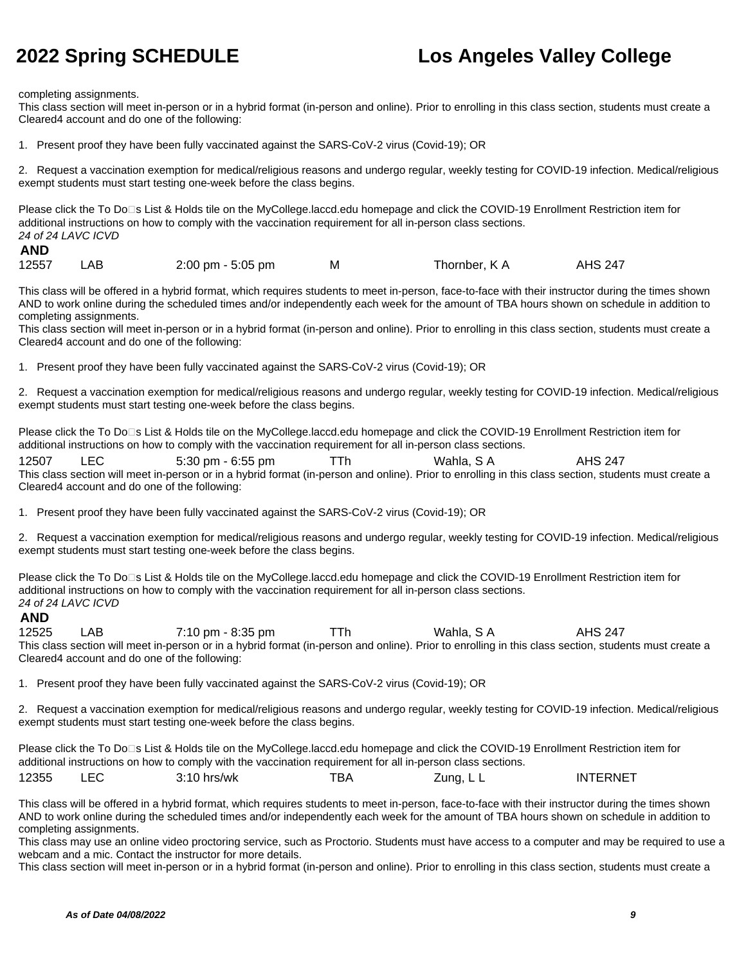completing assignments.

This class section will meet in-person or in a hybrid format (in-person and online). Prior to enrolling in this class section, students must create a Cleared4 account and do one of the following:

1. Present proof they have been fully vaccinated against the SARS-CoV-2 virus (Covid-19); OR

2. Request a vaccination exemption for medical/religious reasons and undergo regular, weekly testing for COVID-19 infection. Medical/religious exempt students must start testing one-week before the class begins.

Please click the To Do□s List & Holds tile on the MyCollege.laccd.edu homepage and click the COVID-19 Enrollment Restriction item for additional instructions on how to comply with the vaccination requirement for all in-person class sections. 24 of 24 LAVC ICVD

### **AND**

|  | 12557 | LAB. | $2:00 \text{ pm} - 5:05 \text{ pm}$ | м | Thornber, K A | <b>AHS 247</b> |
|--|-------|------|-------------------------------------|---|---------------|----------------|
|--|-------|------|-------------------------------------|---|---------------|----------------|

This class will be offered in a hybrid format, which requires students to meet in-person, face-to-face with their instructor during the times shown AND to work online during the scheduled times and/or independently each week for the amount of TBA hours shown on schedule in addition to completing assignments.

This class section will meet in-person or in a hybrid format (in-person and online). Prior to enrolling in this class section, students must create a Cleared4 account and do one of the following:

1. Present proof they have been fully vaccinated against the SARS-CoV-2 virus (Covid-19); OR

2. Request a vaccination exemption for medical/religious reasons and undergo regular, weekly testing for COVID-19 infection. Medical/religious exempt students must start testing one-week before the class begins.

Please click the To Do□s List & Holds tile on the MyCollege.laccd.edu homepage and click the COVID-19 Enrollment Restriction item for additional instructions on how to comply with the vaccination requirement for all in-person class sections.

12507 LEC 5:30 pm - 6:55 pm TTh Wahla, S A AHS 247 This class section will meet in-person or in a hybrid format (in-person and online). Prior to enrolling in this class section, students must create a Cleared4 account and do one of the following:

1. Present proof they have been fully vaccinated against the SARS-CoV-2 virus (Covid-19); OR

2. Request a vaccination exemption for medical/religious reasons and undergo regular, weekly testing for COVID-19 infection. Medical/religious exempt students must start testing one-week before the class begins.

Please click the To Do<sup>n</sup>s List & Holds tile on the MyCollege.laccd.edu homepage and click the COVID-19 Enrollment Restriction item for additional instructions on how to comply with the vaccination requirement for all in-person class sections. 24 of 24 LAVC ICVD

### **AND**

12525 LAB 7:10 pm - 8:35 pm TTh Wahla, S A AHS 247 This class section will meet in-person or in a hybrid format (in-person and online). Prior to enrolling in this class section, students must create a Cleared4 account and do one of the following:

1. Present proof they have been fully vaccinated against the SARS-CoV-2 virus (Covid-19); OR

2. Request a vaccination exemption for medical/religious reasons and undergo regular, weekly testing for COVID-19 infection. Medical/religious exempt students must start testing one-week before the class begins.

Please click the To Do<sup>n</sup>s List & Holds tile on the MyCollege.laccd.edu homepage and click the COVID-19 Enrollment Restriction item for additional instructions on how to comply with the vaccination requirement for all in-person class sections. 12355 LEC 3:10 hrs/wk TBA Zung, L L INTERNET

This class will be offered in a hybrid format, which requires students to meet in-person, face-to-face with their instructor during the times shown AND to work online during the scheduled times and/or independently each week for the amount of TBA hours shown on schedule in addition to completing assignments.

This class may use an online video proctoring service, such as Proctorio. Students must have access to a computer and may be required to use a webcam and a mic. Contact the instructor for more details.

This class section will meet in-person or in a hybrid format (in-person and online). Prior to enrolling in this class section, students must create a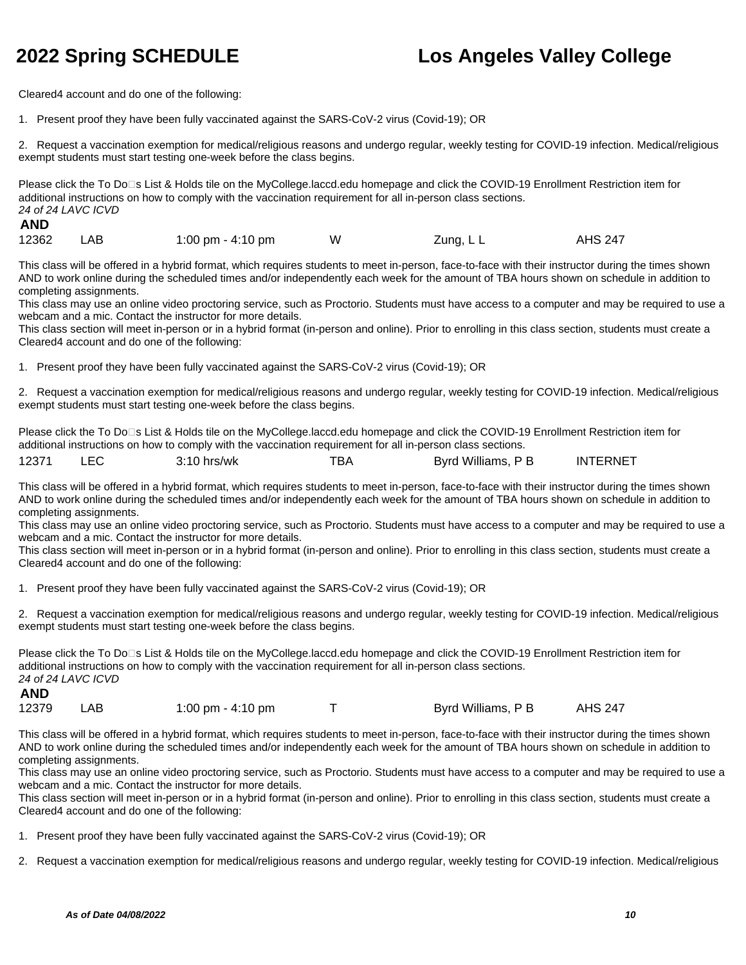Cleared4 account and do one of the following:

1. Present proof they have been fully vaccinated against the SARS-CoV-2 virus (Covid-19); OR

2. Request a vaccination exemption for medical/religious reasons and undergo regular, weekly testing for COVID-19 infection. Medical/religious exempt students must start testing one-week before the class begins.

Please click the To Do□s List & Holds tile on the MyCollege.laccd.edu homepage and click the COVID-19 Enrollment Restriction item for additional instructions on how to comply with the vaccination requirement for all in-person class sections. 24 of 24 LAVC ICVD

### **AND**

12362 LAB 1:00 pm - 4:10 pm W Zung, L L AHS 247

This class will be offered in a hybrid format, which requires students to meet in-person, face-to-face with their instructor during the times shown AND to work online during the scheduled times and/or independently each week for the amount of TBA hours shown on schedule in addition to completing assignments.

This class may use an online video proctoring service, such as Proctorio. Students must have access to a computer and may be required to use a webcam and a mic. Contact the instructor for more details.

This class section will meet in-person or in a hybrid format (in-person and online). Prior to enrolling in this class section, students must create a Cleared4 account and do one of the following:

1. Present proof they have been fully vaccinated against the SARS-CoV-2 virus (Covid-19); OR

2. Request a vaccination exemption for medical/religious reasons and undergo regular, weekly testing for COVID-19 infection. Medical/religious exempt students must start testing one-week before the class begins.

Please click the To Do<sup>n</sup>s List & Holds tile on the MyCollege.laccd.edu homepage and click the COVID-19 Enrollment Restriction item for additional instructions on how to comply with the vaccination requirement for all in-person class sections.

| 12371<br>™ВА<br>Williams,<br>D B<br>Bvrd<br>hrs/wk<br>"10.<br>╺ | <b>INTERNET</b> |
|-----------------------------------------------------------------|-----------------|
|-----------------------------------------------------------------|-----------------|

This class will be offered in a hybrid format, which requires students to meet in-person, face-to-face with their instructor during the times shown AND to work online during the scheduled times and/or independently each week for the amount of TBA hours shown on schedule in addition to completing assignments.

This class may use an online video proctoring service, such as Proctorio. Students must have access to a computer and may be required to use a webcam and a mic. Contact the instructor for more details.

This class section will meet in-person or in a hybrid format (in-person and online). Prior to enrolling in this class section, students must create a Cleared4 account and do one of the following:

1. Present proof they have been fully vaccinated against the SARS-CoV-2 virus (Covid-19); OR

2. Request a vaccination exemption for medical/religious reasons and undergo regular, weekly testing for COVID-19 infection. Medical/religious exempt students must start testing one-week before the class begins.

Please click the To Do<sup>n</sup>s List & Holds tile on the MyCollege.laccd.edu homepage and click the COVID-19 Enrollment Restriction item for additional instructions on how to comply with the vaccination requirement for all in-person class sections. 24 of 24 LAVC ICVD **AND**

|  | 12379 | _AB . | 1:00 pm - 4:10 pm |  | Byrd Williams, P B | <b>AHS 247</b> |
|--|-------|-------|-------------------|--|--------------------|----------------|
|--|-------|-------|-------------------|--|--------------------|----------------|

This class will be offered in a hybrid format, which requires students to meet in-person, face-to-face with their instructor during the times shown AND to work online during the scheduled times and/or independently each week for the amount of TBA hours shown on schedule in addition to completing assignments.

This class may use an online video proctoring service, such as Proctorio. Students must have access to a computer and may be required to use a webcam and a mic. Contact the instructor for more details.

This class section will meet in-person or in a hybrid format (in-person and online). Prior to enrolling in this class section, students must create a Cleared4 account and do one of the following:

1. Present proof they have been fully vaccinated against the SARS-CoV-2 virus (Covid-19); OR

2. Request a vaccination exemption for medical/religious reasons and undergo regular, weekly testing for COVID-19 infection. Medical/religious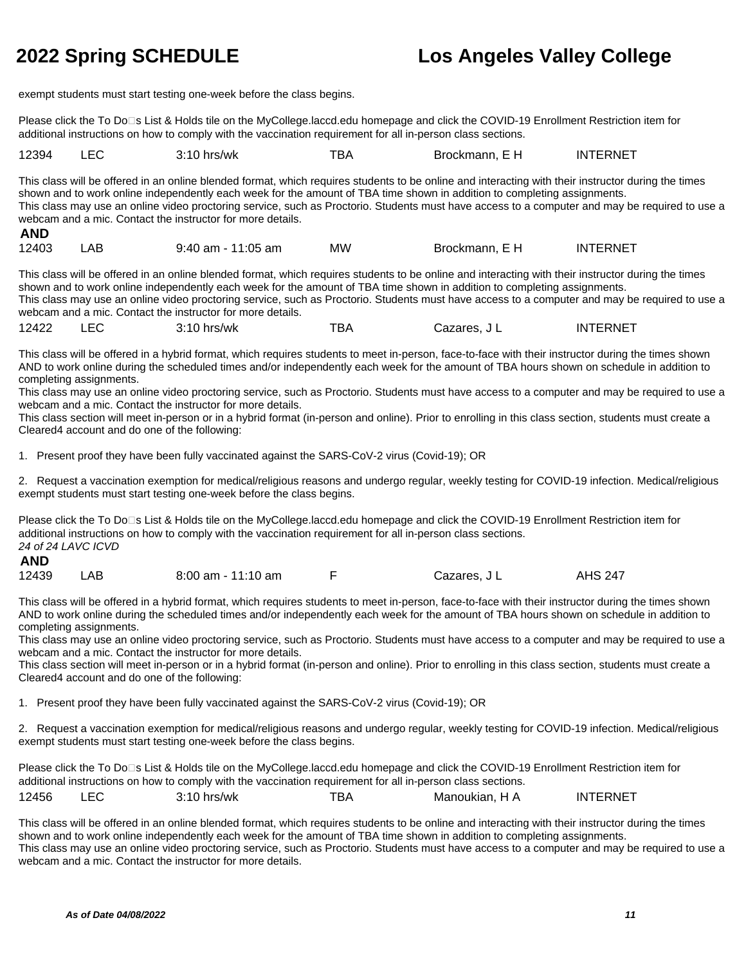exempt students must start testing one-week before the class begins.

Please click the To Do⊡s List & Holds tile on the MyCollege.laccd.edu homepage and click the COVID-19 Enrollment Restriction item for additional instructions on how to comply with the vaccination requirement for all in-person class sections.

| 12394 | ়:10 hrs/wk | "BA | Brockmann. | <b>INTERNET</b> |
|-------|-------------|-----|------------|-----------------|
|       |             |     |            |                 |

This class will be offered in an online blended format, which requires students to be online and interacting with their instructor during the times shown and to work online independently each week for the amount of TBA time shown in addition to completing assignments. This class may use an online video proctoring service, such as Proctorio. Students must have access to a computer and may be required to use a webcam and a mic. Contact the instructor for more details. **AND**

| л11   |     |                    |    |                |                 |
|-------|-----|--------------------|----|----------------|-----------------|
| 12403 | LAB | 9:40 am - 11:05 am | МW | Brockmann, E H | <b>INTERNET</b> |

This class will be offered in an online blended format, which requires students to be online and interacting with their instructor during the times shown and to work online independently each week for the amount of TBA time shown in addition to completing assignments. This class may use an online video proctoring service, such as Proctorio. Students must have access to a computer and may be required to use a webcam and a mic. Contact the instructor for more details.

12422 LEC 3:10 hrs/wk TBA Cazares, J L INTERNET

This class will be offered in a hybrid format, which requires students to meet in-person, face-to-face with their instructor during the times shown AND to work online during the scheduled times and/or independently each week for the amount of TBA hours shown on schedule in addition to completing assignments.

This class may use an online video proctoring service, such as Proctorio. Students must have access to a computer and may be required to use a webcam and a mic. Contact the instructor for more details.

This class section will meet in-person or in a hybrid format (in-person and online). Prior to enrolling in this class section, students must create a Cleared4 account and do one of the following:

1. Present proof they have been fully vaccinated against the SARS-CoV-2 virus (Covid-19); OR

2. Request a vaccination exemption for medical/religious reasons and undergo regular, weekly testing for COVID-19 infection. Medical/religious exempt students must start testing one-week before the class begins.

Please click the To Do<sup>n</sup>s List & Holds tile on the MyCollege.laccd.edu homepage and click the COVID-19 Enrollment Restriction item for additional instructions on how to comply with the vaccination requirement for all in-person class sections. 24 of 24 LAVC ICVD

| 12439 | LAB | $8:00$ am - 11:10 am |  | Cazares, J L | <b>AHS 247</b> |
|-------|-----|----------------------|--|--------------|----------------|
|-------|-----|----------------------|--|--------------|----------------|

This class will be offered in a hybrid format, which requires students to meet in-person, face-to-face with their instructor during the times shown AND to work online during the scheduled times and/or independently each week for the amount of TBA hours shown on schedule in addition to completing assignments.

This class may use an online video proctoring service, such as Proctorio. Students must have access to a computer and may be required to use a webcam and a mic. Contact the instructor for more details.

This class section will meet in-person or in a hybrid format (in-person and online). Prior to enrolling in this class section, students must create a Cleared4 account and do one of the following:

1. Present proof they have been fully vaccinated against the SARS-CoV-2 virus (Covid-19); OR

2. Request a vaccination exemption for medical/religious reasons and undergo regular, weekly testing for COVID-19 infection. Medical/religious exempt students must start testing one-week before the class begins.

Please click the To Do⊡s List & Holds tile on the MyCollege.laccd.edu homepage and click the COVID-19 Enrollment Restriction item for additional instructions on how to comply with the vaccination requirement for all in-person class sections. 12456 LEC 3:10 hrs/wk TBA Manoukian, H A INTERNET

This class will be offered in an online blended format, which requires students to be online and interacting with their instructor during the times

shown and to work online independently each week for the amount of TBA time shown in addition to completing assignments. This class may use an online video proctoring service, such as Proctorio. Students must have access to a computer and may be required to use a webcam and a mic. Contact the instructor for more details.

**AND**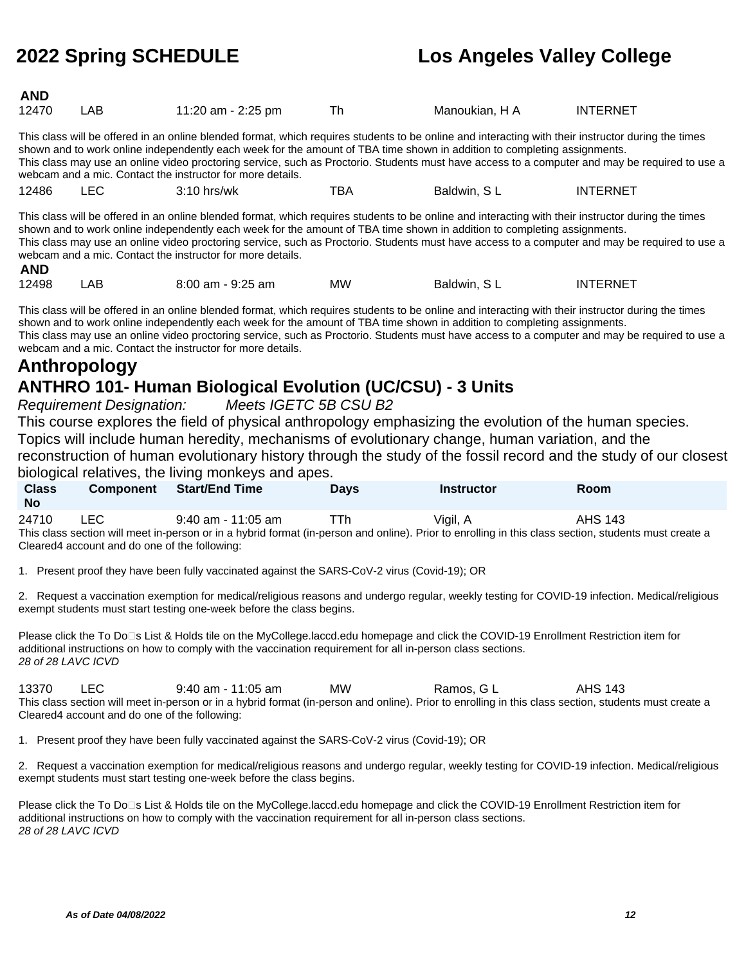| <b>AND</b><br>12470                                                                                                                                                                                                                                                                                                                                                                                                                                                                             | LAB  | 11:20 am - 2:25 pm    | Th  | Manoukian, H A | <b>INTERNET</b> |  |  |  |
|-------------------------------------------------------------------------------------------------------------------------------------------------------------------------------------------------------------------------------------------------------------------------------------------------------------------------------------------------------------------------------------------------------------------------------------------------------------------------------------------------|------|-----------------------|-----|----------------|-----------------|--|--|--|
| This class will be offered in an online blended format, which requires students to be online and interacting with their instructor during the times<br>shown and to work online independently each week for the amount of TBA time shown in addition to completing assignments.<br>This class may use an online video proctoring service, such as Proctorio. Students must have access to a computer and may be required to use a<br>webcam and a mic. Contact the instructor for more details. |      |                       |     |                |                 |  |  |  |
| 12486                                                                                                                                                                                                                                                                                                                                                                                                                                                                                           | LEC. | $3:10$ hrs/wk         | TBA | Baldwin, SL    | <b>INTERNET</b> |  |  |  |
| This class will be offered in an online blended format, which requires students to be online and interacting with their instructor during the times<br>shown and to work online independently each week for the amount of TBA time shown in addition to completing assignments.<br>This class may use an online video proctoring service, such as Proctorio. Students must have access to a computer and may be required to use a<br>webcam and a mic. Contact the instructor for more details. |      |                       |     |                |                 |  |  |  |
| <b>AND</b>                                                                                                                                                                                                                                                                                                                                                                                                                                                                                      |      |                       |     |                |                 |  |  |  |
| 12498                                                                                                                                                                                                                                                                                                                                                                                                                                                                                           | LAB  | $8:00$ am - $9:25$ am | мw  | Baldwin, SL    | <b>INTERNET</b> |  |  |  |

This class will be offered in an online blended format, which requires students to be online and interacting with their instructor during the times shown and to work online independently each week for the amount of TBA time shown in addition to completing assignments. This class may use an online video proctoring service, such as Proctorio. Students must have access to a computer and may be required to use a webcam and a mic. Contact the instructor for more details.

## **Anthropology ANTHRO 101- Human Biological Evolution (UC/CSU) - 3 Units**

Requirement Designation: Meets IGETC 5B CSU B2

This course explores the field of physical anthropology emphasizing the evolution of the human species. Topics will include human heredity, mechanisms of evolutionary change, human variation, and the reconstruction of human evolutionary history through the study of the fossil record and the study of our closest biological relatives, the living monkeys and apes.

| prorogradi raditraci, dramating monitoral dira apoch |           |                       |             |                   |                |  |  |  |
|------------------------------------------------------|-----------|-----------------------|-------------|-------------------|----------------|--|--|--|
| <b>Class</b><br><b>No</b>                            | Component | <b>Start/End Time</b> | <b>Davs</b> | <b>Instructor</b> | Room           |  |  |  |
| 24710                                                | LEC       | $9:40$ am - 11:05 am  | ⊤Th         | Vigil, A          | <b>AHS 143</b> |  |  |  |

This class section will meet in-person or in a hybrid format (in-person and online). Prior to enrolling in this class section, students must create a Cleared4 account and do one of the following:

1. Present proof they have been fully vaccinated against the SARS-CoV-2 virus (Covid-19); OR

2. Request a vaccination exemption for medical/religious reasons and undergo regular, weekly testing for COVID-19 infection. Medical/religious exempt students must start testing one-week before the class begins.

Please click the To Do⊡s List & Holds tile on the MyCollege.laccd.edu homepage and click the COVID-19 Enrollment Restriction item for additional instructions on how to comply with the vaccination requirement for all in-person class sections. 28 of 28 LAVC ICVD

13370 LEC 9:40 am - 11:05 am MW Ramos, G L AHS 143 This class section will meet in-person or in a hybrid format (in-person and online). Prior to enrolling in this class section, students must create a Cleared4 account and do one of the following:

1. Present proof they have been fully vaccinated against the SARS-CoV-2 virus (Covid-19); OR

2. Request a vaccination exemption for medical/religious reasons and undergo regular, weekly testing for COVID-19 infection. Medical/religious exempt students must start testing one-week before the class begins.

Please click the To Do<sup>n</sup>s List & Holds tile on the MyCollege.laccd.edu homepage and click the COVID-19 Enrollment Restriction item for additional instructions on how to comply with the vaccination requirement for all in-person class sections. 28 of 28 LAVC ICVD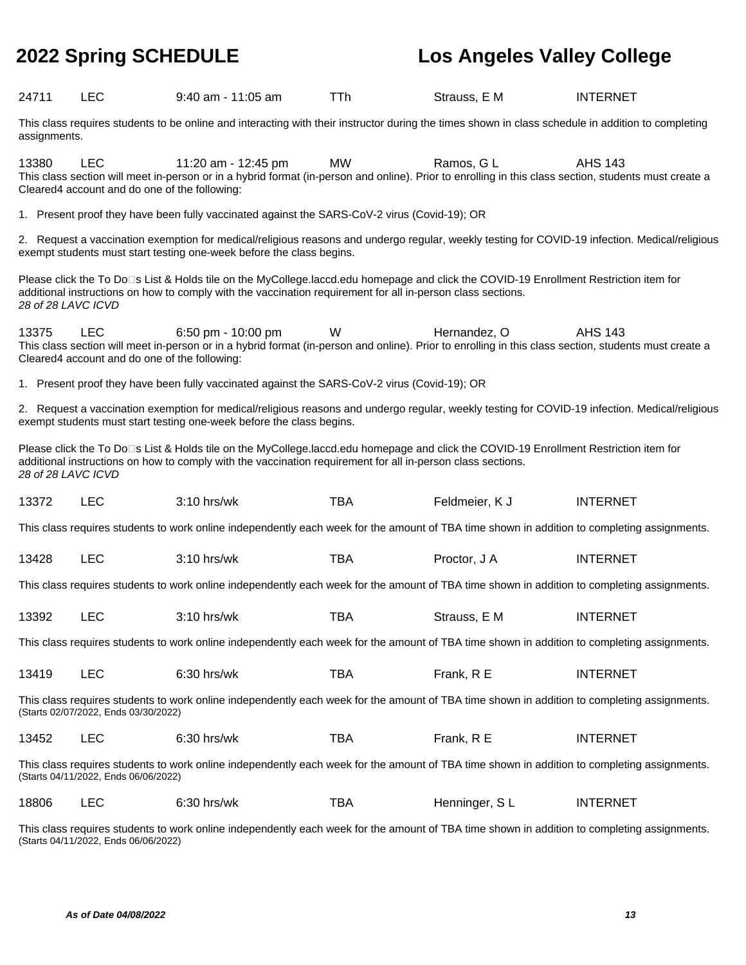| 24711                                                                                                                                                                                                                                                                      | <b>LEC</b>                                                                                                                                                                          | $9:40$ am - 11:05 am                                                                                                                                                                                                                                 | TTh        | Strauss, E M   | <b>INTERNET</b> |  |  |  |  |
|----------------------------------------------------------------------------------------------------------------------------------------------------------------------------------------------------------------------------------------------------------------------------|-------------------------------------------------------------------------------------------------------------------------------------------------------------------------------------|------------------------------------------------------------------------------------------------------------------------------------------------------------------------------------------------------------------------------------------------------|------------|----------------|-----------------|--|--|--|--|
|                                                                                                                                                                                                                                                                            | This class requires students to be online and interacting with their instructor during the times shown in class schedule in addition to completing<br>assignments.                  |                                                                                                                                                                                                                                                      |            |                |                 |  |  |  |  |
| 13380                                                                                                                                                                                                                                                                      | <b>LEC</b><br>Cleared4 account and do one of the following:                                                                                                                         | 11:20 am - 12:45 pm<br>This class section will meet in-person or in a hybrid format (in-person and online). Prior to enrolling in this class section, students must create a                                                                         | <b>MW</b>  | Ramos, GL      | <b>AHS 143</b>  |  |  |  |  |
|                                                                                                                                                                                                                                                                            |                                                                                                                                                                                     | 1. Present proof they have been fully vaccinated against the SARS-CoV-2 virus (Covid-19); OR                                                                                                                                                         |            |                |                 |  |  |  |  |
|                                                                                                                                                                                                                                                                            |                                                                                                                                                                                     | 2. Request a vaccination exemption for medical/religious reasons and undergo regular, weekly testing for COVID-19 infection. Medical/religious<br>exempt students must start testing one-week before the class begins.                               |            |                |                 |  |  |  |  |
| 28 of 28 LAVC ICVD                                                                                                                                                                                                                                                         |                                                                                                                                                                                     | Please click the To Do⊡s List & Holds tile on the MyCollege.laccd.edu homepage and click the COVID-19 Enrollment Restriction item for<br>additional instructions on how to comply with the vaccination requirement for all in-person class sections. |            |                |                 |  |  |  |  |
| 13375                                                                                                                                                                                                                                                                      | <b>LEC</b><br>Cleared4 account and do one of the following:                                                                                                                         | 6:50 pm - 10:00 pm<br>This class section will meet in-person or in a hybrid format (in-person and online). Prior to enrolling in this class section, students must create a                                                                          | W          | Hernandez, O   | <b>AHS 143</b>  |  |  |  |  |
|                                                                                                                                                                                                                                                                            |                                                                                                                                                                                     | 1. Present proof they have been fully vaccinated against the SARS-CoV-2 virus (Covid-19); OR                                                                                                                                                         |            |                |                 |  |  |  |  |
|                                                                                                                                                                                                                                                                            |                                                                                                                                                                                     | 2. Request a vaccination exemption for medical/religious reasons and undergo regular, weekly testing for COVID-19 infection. Medical/religious<br>exempt students must start testing one-week before the class begins.                               |            |                |                 |  |  |  |  |
| Please click the To Do⊡s List & Holds tile on the MyCollege.laccd.edu homepage and click the COVID-19 Enrollment Restriction item for<br>additional instructions on how to comply with the vaccination requirement for all in-person class sections.<br>28 of 28 LAVC ICVD |                                                                                                                                                                                     |                                                                                                                                                                                                                                                      |            |                |                 |  |  |  |  |
| 13372                                                                                                                                                                                                                                                                      | <b>LEC</b>                                                                                                                                                                          | 3:10 hrs/wk                                                                                                                                                                                                                                          | <b>TBA</b> | Feldmeier, K J | <b>INTERNET</b> |  |  |  |  |
|                                                                                                                                                                                                                                                                            |                                                                                                                                                                                     | This class requires students to work online independently each week for the amount of TBA time shown in addition to completing assignments.                                                                                                          |            |                |                 |  |  |  |  |
| 13428                                                                                                                                                                                                                                                                      | <b>LEC</b>                                                                                                                                                                          | 3:10 hrs/wk                                                                                                                                                                                                                                          | <b>TBA</b> | Proctor, J A   | <b>INTERNET</b> |  |  |  |  |
|                                                                                                                                                                                                                                                                            |                                                                                                                                                                                     | This class requires students to work online independently each week for the amount of TBA time shown in addition to completing assignments.                                                                                                          |            |                |                 |  |  |  |  |
| 13392                                                                                                                                                                                                                                                                      | <b>LEC</b>                                                                                                                                                                          | 3:10 hrs/wk                                                                                                                                                                                                                                          | <b>TBA</b> | Strauss, E M   | <b>INTERNET</b> |  |  |  |  |
|                                                                                                                                                                                                                                                                            |                                                                                                                                                                                     | This class requires students to work online independently each week for the amount of TBA time shown in addition to completing assignments.                                                                                                          |            |                |                 |  |  |  |  |
| 13419                                                                                                                                                                                                                                                                      | <b>LEC</b>                                                                                                                                                                          | 6:30 hrs/wk                                                                                                                                                                                                                                          | <b>TBA</b> | Frank, R E     | <b>INTERNET</b> |  |  |  |  |
| This class requires students to work online independently each week for the amount of TBA time shown in addition to completing assignments.<br>(Starts 02/07/2022, Ends 03/30/2022)                                                                                        |                                                                                                                                                                                     |                                                                                                                                                                                                                                                      |            |                |                 |  |  |  |  |
| 13452                                                                                                                                                                                                                                                                      | <b>LEC</b>                                                                                                                                                                          | 6:30 hrs/wk                                                                                                                                                                                                                                          | <b>TBA</b> | Frank, R E     | <b>INTERNET</b> |  |  |  |  |
|                                                                                                                                                                                                                                                                            | This class requires students to work online independently each week for the amount of TBA time shown in addition to completing assignments.<br>(Starts 04/11/2022, Ends 06/06/2022) |                                                                                                                                                                                                                                                      |            |                |                 |  |  |  |  |
| 18806                                                                                                                                                                                                                                                                      | <b>LEC</b>                                                                                                                                                                          | 6:30 hrs/wk                                                                                                                                                                                                                                          | <b>TBA</b> | Henninger, SL  | <b>INTERNET</b> |  |  |  |  |
| This class requires students to work online independently each week for the amount of TBA time shown in addition to completing assignments.<br>(Starts 04/11/2022, Ends 06/06/2022)                                                                                        |                                                                                                                                                                                     |                                                                                                                                                                                                                                                      |            |                |                 |  |  |  |  |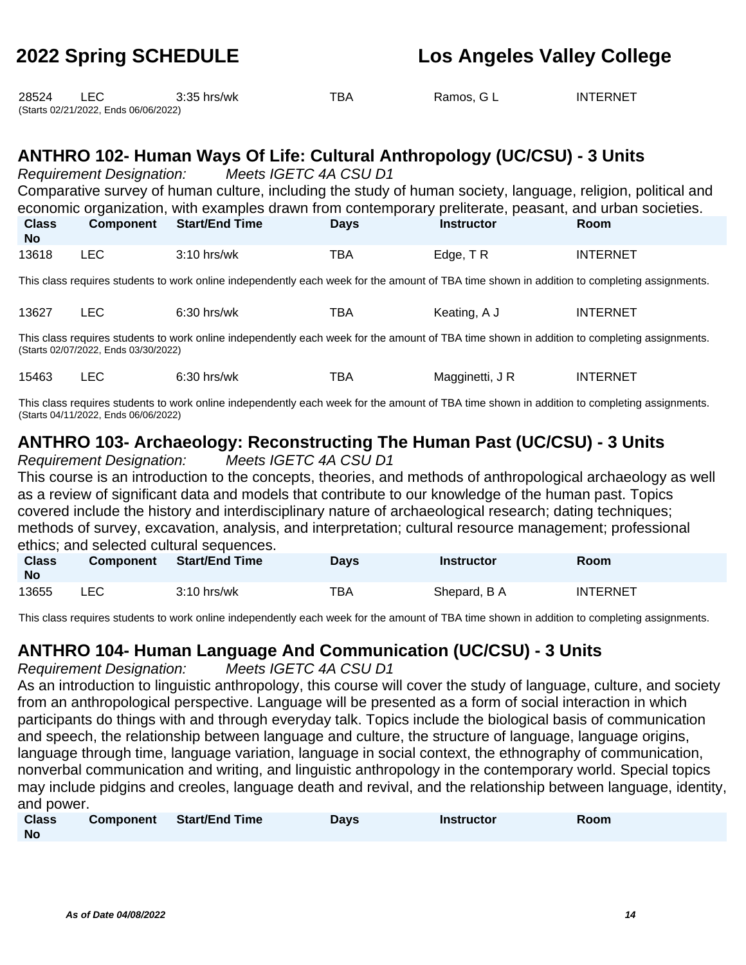| 28524                                                                                                                                       | LEC.<br>(Starts 02/21/2022, Ends 06/06/2022)                                                                                                                                                                                                                                                                                                          | $3:35$ hrs/wk         | TBA         | Ramos, G L        | <b>INTERNET</b> |  |  |  |  |
|---------------------------------------------------------------------------------------------------------------------------------------------|-------------------------------------------------------------------------------------------------------------------------------------------------------------------------------------------------------------------------------------------------------------------------------------------------------------------------------------------------------|-----------------------|-------------|-------------------|-----------------|--|--|--|--|
|                                                                                                                                             | ANTHRO 102- Human Ways Of Life: Cultural Anthropology (UC/CSU) - 3 Units<br>Requirement Designation: Meets IGETC 4A CSU D1<br>Comparative survey of human culture, including the study of human society, language, religion, political and<br>economic organization, with examples drawn from contemporary preliterate, peasant, and urban societies. |                       |             |                   |                 |  |  |  |  |
| <b>Class</b><br>No.                                                                                                                         | <b>Component</b>                                                                                                                                                                                                                                                                                                                                      | <b>Start/End Time</b> | <b>Days</b> | <b>Instructor</b> | Room            |  |  |  |  |
| 13618                                                                                                                                       | <b>LEC</b>                                                                                                                                                                                                                                                                                                                                            | $3:10$ hrs/wk         | <b>TBA</b>  | Edge, TR          | <b>INTERNET</b> |  |  |  |  |
| This class requires students to work online independently each week for the amount of TBA time shown in addition to completing assignments. |                                                                                                                                                                                                                                                                                                                                                       |                       |             |                   |                 |  |  |  |  |

13627 LEC 6:30 hrs/wk TBA Keating, A J INTERNET

This class requires students to work online independently each week for the amount of TBA time shown in addition to completing assignments. (Starts 02/07/2022, Ends 03/30/2022)

| 15463 |  | $6:30$ hrs/wk | ТВА | Magginetti, J R | <b>INTERNET</b> |
|-------|--|---------------|-----|-----------------|-----------------|
|-------|--|---------------|-----|-----------------|-----------------|

This class requires students to work online independently each week for the amount of TBA time shown in addition to completing assignments. (Starts 04/11/2022, Ends 06/06/2022)

# **ANTHRO 103- Archaeology: Reconstructing The Human Past (UC/CSU) - 3 Units**

Requirement Designation: Meets IGETC 4A CSU D1 This course is an introduction to the concepts, theories, and methods of anthropological archaeology as well as a review of significant data and models that contribute to our knowledge of the human past. Topics covered include the history and interdisciplinary nature of archaeological research; dating techniques; methods of survey, excavation, analysis, and interpretation; cultural resource management; professional ethics; and selected cultural sequences.

| <b>Class</b><br><b>No</b> | <b>Component</b> | <b>Start/End Time</b> | <b>Days</b> | <b>Instructor</b> | Room            |
|---------------------------|------------------|-----------------------|-------------|-------------------|-----------------|
| 13655                     | LEC              | 3:10 hrs/wk           | TBA         | Shepard, B A      | <b>INTERNET</b> |

This class requires students to work online independently each week for the amount of TBA time shown in addition to completing assignments.

### **ANTHRO 104- Human Language And Communication (UC/CSU) - 3 Units**

Requirement Designation: Meets IGETC 4A CSU D1

As an introduction to linguistic anthropology, this course will cover the study of language, culture, and society from an anthropological perspective. Language will be presented as a form of social interaction in which participants do things with and through everyday talk. Topics include the biological basis of communication and speech, the relationship between language and culture, the structure of language, language origins, language through time, language variation, language in social context, the ethnography of communication, nonverbal communication and writing, and linguistic anthropology in the contemporary world. Special topics may include pidgins and creoles, language death and revival, and the relationship between language, identity, and power.

| <b>Class</b> | Component | <b>Start/End Time</b> | Davs | <b>Instructor</b> | Room |
|--------------|-----------|-----------------------|------|-------------------|------|
| <b>No</b>    |           |                       |      |                   |      |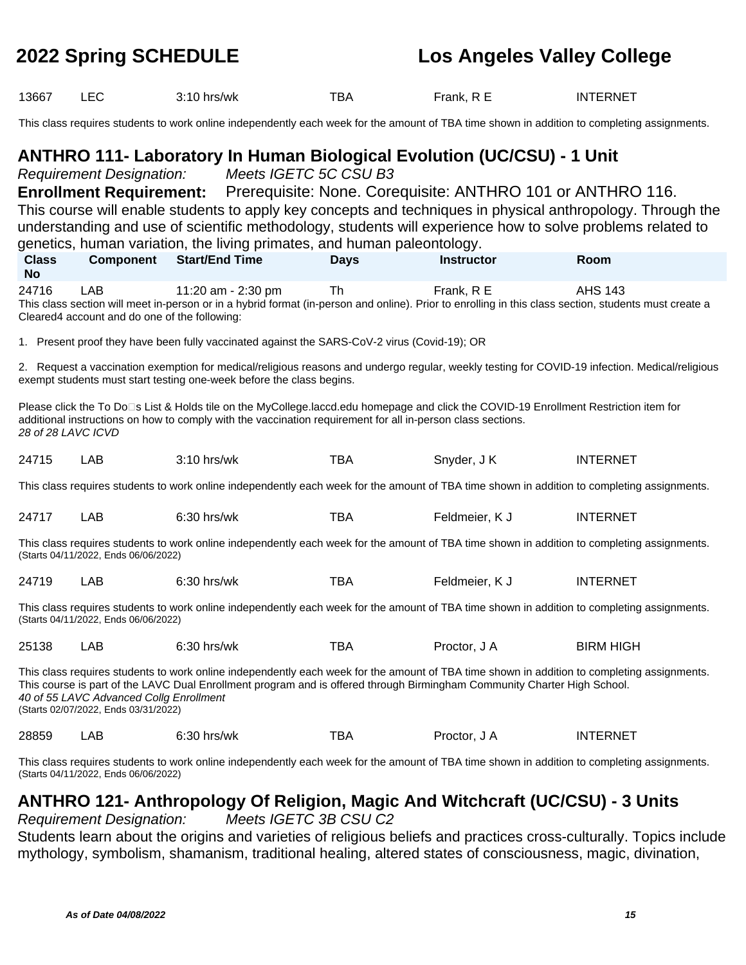| 13667                                                                                                                                                                                                                                                                                                                                                      | <b>LEC</b>                                                        | 3:10 hrs/wk                                                                                                                                                                                                                                                                                          | <b>TBA</b>  | Frank, R E                                                 | <b>INTERNET</b>  |  |  |
|------------------------------------------------------------------------------------------------------------------------------------------------------------------------------------------------------------------------------------------------------------------------------------------------------------------------------------------------------------|-------------------------------------------------------------------|------------------------------------------------------------------------------------------------------------------------------------------------------------------------------------------------------------------------------------------------------------------------------------------------------|-------------|------------------------------------------------------------|------------------|--|--|
|                                                                                                                                                                                                                                                                                                                                                            |                                                                   | This class requires students to work online independently each week for the amount of TBA time shown in addition to completing assignments.                                                                                                                                                          |             |                                                            |                  |  |  |
|                                                                                                                                                                                                                                                                                                                                                            | <b>Requirement Designation:</b><br><b>Enrollment Requirement:</b> | <b>ANTHRO 111- Laboratory In Human Biological Evolution (UC/CSU) - 1 Unit</b><br>Meets IGETC 5C CSU B3                                                                                                                                                                                               |             | Prerequisite: None. Corequisite: ANTHRO 101 or ANTHRO 116. |                  |  |  |
|                                                                                                                                                                                                                                                                                                                                                            |                                                                   | This course will enable students to apply key concepts and techniques in physical anthropology. Through the<br>understanding and use of scientific methodology, students will experience how to solve problems related to<br>genetics, human variation, the living primates, and human paleontology. |             |                                                            |                  |  |  |
| <b>Class</b><br><b>No</b>                                                                                                                                                                                                                                                                                                                                  | <b>Component</b>                                                  | <b>Start/End Time</b>                                                                                                                                                                                                                                                                                | <b>Days</b> | <b>Instructor</b>                                          | Room             |  |  |
| 24716                                                                                                                                                                                                                                                                                                                                                      | LAB<br>Cleared4 account and do one of the following:              | 11:20 am - 2:30 pm<br>This class section will meet in-person or in a hybrid format (in-person and online). Prior to enrolling in this class section, students must create a                                                                                                                          | <b>Th</b>   | Frank, R E                                                 | <b>AHS 143</b>   |  |  |
|                                                                                                                                                                                                                                                                                                                                                            |                                                                   | 1. Present proof they have been fully vaccinated against the SARS-CoV-2 virus (Covid-19); OR                                                                                                                                                                                                         |             |                                                            |                  |  |  |
|                                                                                                                                                                                                                                                                                                                                                            |                                                                   | 2. Request a vaccination exemption for medical/religious reasons and undergo regular, weekly testing for COVID-19 infection. Medical/religious<br>exempt students must start testing one-week before the class begins.                                                                               |             |                                                            |                  |  |  |
| 28 of 28 LAVC ICVD                                                                                                                                                                                                                                                                                                                                         |                                                                   | Please click the To Do⊡s List & Holds tile on the MyCollege.laccd.edu homepage and click the COVID-19 Enrollment Restriction item for<br>additional instructions on how to comply with the vaccination requirement for all in-person class sections.                                                 |             |                                                            |                  |  |  |
| 24715                                                                                                                                                                                                                                                                                                                                                      | LAB                                                               | 3:10 hrs/wk                                                                                                                                                                                                                                                                                          | <b>TBA</b>  | Snyder, J K                                                | <b>INTERNET</b>  |  |  |
|                                                                                                                                                                                                                                                                                                                                                            |                                                                   | This class requires students to work online independently each week for the amount of TBA time shown in addition to completing assignments.                                                                                                                                                          |             |                                                            |                  |  |  |
| 24717                                                                                                                                                                                                                                                                                                                                                      | LAB                                                               | 6:30 hrs/wk                                                                                                                                                                                                                                                                                          | TBA         | Feldmeier, K J                                             | <b>INTERNET</b>  |  |  |
|                                                                                                                                                                                                                                                                                                                                                            | (Starts 04/11/2022, Ends 06/06/2022)                              | This class requires students to work online independently each week for the amount of TBA time shown in addition to completing assignments.                                                                                                                                                          |             |                                                            |                  |  |  |
| 24719                                                                                                                                                                                                                                                                                                                                                      | LAB                                                               | 6:30 hrs/wk                                                                                                                                                                                                                                                                                          | <b>TBA</b>  | Feldmeier, K J                                             | <b>INTERNET</b>  |  |  |
| This class requires students to work online independently each week for the amount of TBA time shown in addition to completing assignments.<br>(Starts 04/11/2022, Ends 06/06/2022)                                                                                                                                                                        |                                                                   |                                                                                                                                                                                                                                                                                                      |             |                                                            |                  |  |  |
| 25138                                                                                                                                                                                                                                                                                                                                                      | LAB                                                               | $6:30$ hrs/wk                                                                                                                                                                                                                                                                                        | <b>TBA</b>  | Proctor, J A                                               | <b>BIRM HIGH</b> |  |  |
| This class requires students to work online independently each week for the amount of TBA time shown in addition to completing assignments.<br>This course is part of the LAVC Dual Enrollment program and is offered through Birmingham Community Charter High School.<br>40 of 55 LAVC Advanced Collg Enrollment<br>(Starts 02/07/2022, Ends 03/31/2022) |                                                                   |                                                                                                                                                                                                                                                                                                      |             |                                                            |                  |  |  |
| 28859                                                                                                                                                                                                                                                                                                                                                      | LAB                                                               | 6:30 hrs/wk                                                                                                                                                                                                                                                                                          | <b>TBA</b>  | Proctor, J A                                               | <b>INTERNET</b>  |  |  |
| This class requires students to work online independently each week for the amount of TBA time shown in addition to completing assignments.<br>(Starts 04/11/2022, Ends 06/06/2022)                                                                                                                                                                        |                                                                   |                                                                                                                                                                                                                                                                                                      |             |                                                            |                  |  |  |

### **ANTHRO 121- Anthropology Of Religion, Magic And Witchcraft (UC/CSU) - 3 Units** Requirement Designation:

Students learn about the origins and varieties of religious beliefs and practices cross-culturally. Topics include mythology, symbolism, shamanism, traditional healing, altered states of consciousness, magic, divination,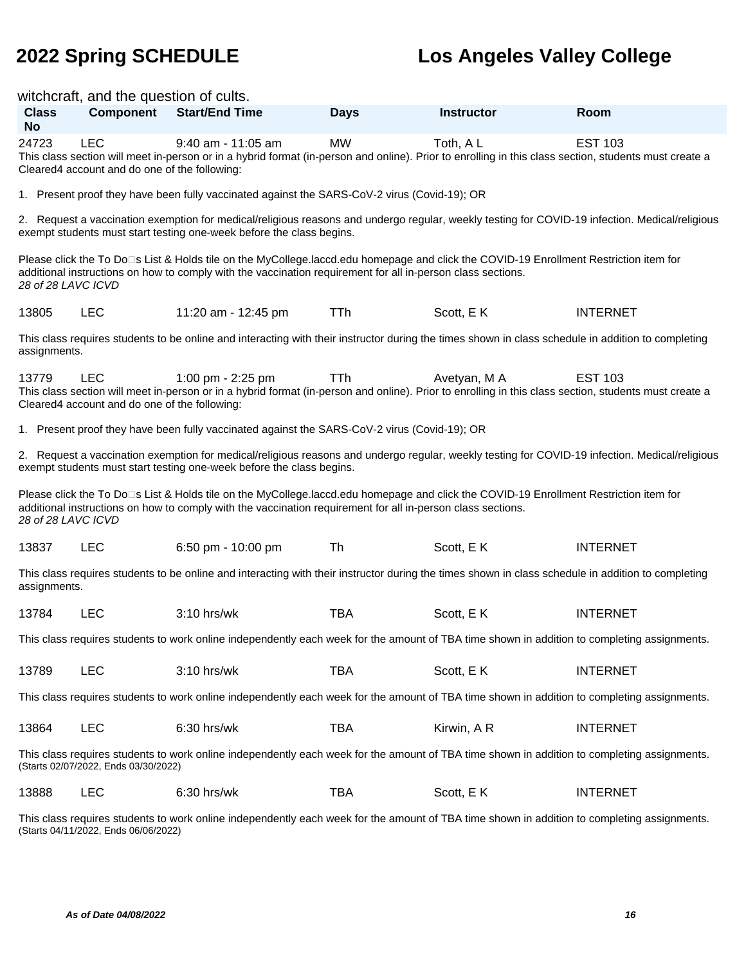|                                                                                                                                             | witchcraft, and the question of cults.                                                                                                                                              |                                                                                                                                                                                                                                                      |             |                   |                 |  |  |
|---------------------------------------------------------------------------------------------------------------------------------------------|-------------------------------------------------------------------------------------------------------------------------------------------------------------------------------------|------------------------------------------------------------------------------------------------------------------------------------------------------------------------------------------------------------------------------------------------------|-------------|-------------------|-----------------|--|--|
| <b>Class</b><br><b>No</b>                                                                                                                   | <b>Component</b>                                                                                                                                                                    | <b>Start/End Time</b>                                                                                                                                                                                                                                | <b>Days</b> | <b>Instructor</b> | Room            |  |  |
| 24723                                                                                                                                       | <b>LEC</b><br>Cleared4 account and do one of the following:                                                                                                                         | $9:40$ am - 11:05 am<br>This class section will meet in-person or in a hybrid format (in-person and online). Prior to enrolling in this class section, students must create a                                                                        | <b>MW</b>   | Toth, AL          | <b>EST 103</b>  |  |  |
|                                                                                                                                             |                                                                                                                                                                                     | 1. Present proof they have been fully vaccinated against the SARS-CoV-2 virus (Covid-19); OR                                                                                                                                                         |             |                   |                 |  |  |
|                                                                                                                                             |                                                                                                                                                                                     | 2. Request a vaccination exemption for medical/religious reasons and undergo regular, weekly testing for COVID-19 infection. Medical/religious<br>exempt students must start testing one-week before the class begins.                               |             |                   |                 |  |  |
| 28 of 28 LAVC ICVD                                                                                                                          |                                                                                                                                                                                     | Please click the To Do⊡s List & Holds tile on the MyCollege.laccd.edu homepage and click the COVID-19 Enrollment Restriction item for<br>additional instructions on how to comply with the vaccination requirement for all in-person class sections. |             |                   |                 |  |  |
| 13805                                                                                                                                       | <b>LEC</b>                                                                                                                                                                          | 11:20 am - 12:45 pm                                                                                                                                                                                                                                  | <b>TTh</b>  | Scott, E K        | <b>INTERNET</b> |  |  |
| assignments.                                                                                                                                |                                                                                                                                                                                     | This class requires students to be online and interacting with their instructor during the times shown in class schedule in addition to completing                                                                                                   |             |                   |                 |  |  |
| 13779                                                                                                                                       | <b>LEC</b><br>Cleared4 account and do one of the following:                                                                                                                         | 1:00 pm - 2:25 pm<br>This class section will meet in-person or in a hybrid format (in-person and online). Prior to enrolling in this class section, students must create a                                                                           | TTh         | Avetyan, M A      | <b>EST 103</b>  |  |  |
|                                                                                                                                             |                                                                                                                                                                                     | 1. Present proof they have been fully vaccinated against the SARS-CoV-2 virus (Covid-19); OR                                                                                                                                                         |             |                   |                 |  |  |
|                                                                                                                                             |                                                                                                                                                                                     | 2. Request a vaccination exemption for medical/religious reasons and undergo regular, weekly testing for COVID-19 infection. Medical/religious<br>exempt students must start testing one-week before the class begins.                               |             |                   |                 |  |  |
| 28 of 28 LAVC ICVD                                                                                                                          |                                                                                                                                                                                     | Please click the To Do⊡s List & Holds tile on the MyCollege.laccd.edu homepage and click the COVID-19 Enrollment Restriction item for<br>additional instructions on how to comply with the vaccination requirement for all in-person class sections. |             |                   |                 |  |  |
| 13837                                                                                                                                       | <b>LEC</b>                                                                                                                                                                          | 6:50 pm - 10:00 pm                                                                                                                                                                                                                                   | Th          | Scott, EK         | <b>INTERNET</b> |  |  |
| assignments.                                                                                                                                |                                                                                                                                                                                     | This class requires students to be online and interacting with their instructor during the times shown in class schedule in addition to completing                                                                                                   |             |                   |                 |  |  |
| 13784                                                                                                                                       | <b>LEC</b>                                                                                                                                                                          | $3:10$ hrs/wk                                                                                                                                                                                                                                        | <b>TBA</b>  | Scott, EK         | <b>INTERNET</b> |  |  |
|                                                                                                                                             |                                                                                                                                                                                     | This class requires students to work online independently each week for the amount of TBA time shown in addition to completing assignments.                                                                                                          |             |                   |                 |  |  |
| 13789                                                                                                                                       | <b>LEC</b>                                                                                                                                                                          | 3:10 hrs/wk                                                                                                                                                                                                                                          | <b>TBA</b>  | Scott, EK         | <b>INTERNET</b> |  |  |
| This class requires students to work online independently each week for the amount of TBA time shown in addition to completing assignments. |                                                                                                                                                                                     |                                                                                                                                                                                                                                                      |             |                   |                 |  |  |
| 13864                                                                                                                                       | <b>LEC</b>                                                                                                                                                                          | 6:30 hrs/wk                                                                                                                                                                                                                                          | <b>TBA</b>  | Kirwin, A R       | <b>INTERNET</b> |  |  |
|                                                                                                                                             | This class requires students to work online independently each week for the amount of TBA time shown in addition to completing assignments.<br>(Starts 02/07/2022, Ends 03/30/2022) |                                                                                                                                                                                                                                                      |             |                   |                 |  |  |
| 13888                                                                                                                                       | <b>LEC</b>                                                                                                                                                                          | 6:30 hrs/wk                                                                                                                                                                                                                                          | <b>TBA</b>  | Scott, EK         | <b>INTERNET</b> |  |  |
|                                                                                                                                             | This class requires students to work online independently each week for the amount of TBA time shown in addition to completing assignments.<br>(Starts 04/11/2022, Ends 06/06/2022) |                                                                                                                                                                                                                                                      |             |                   |                 |  |  |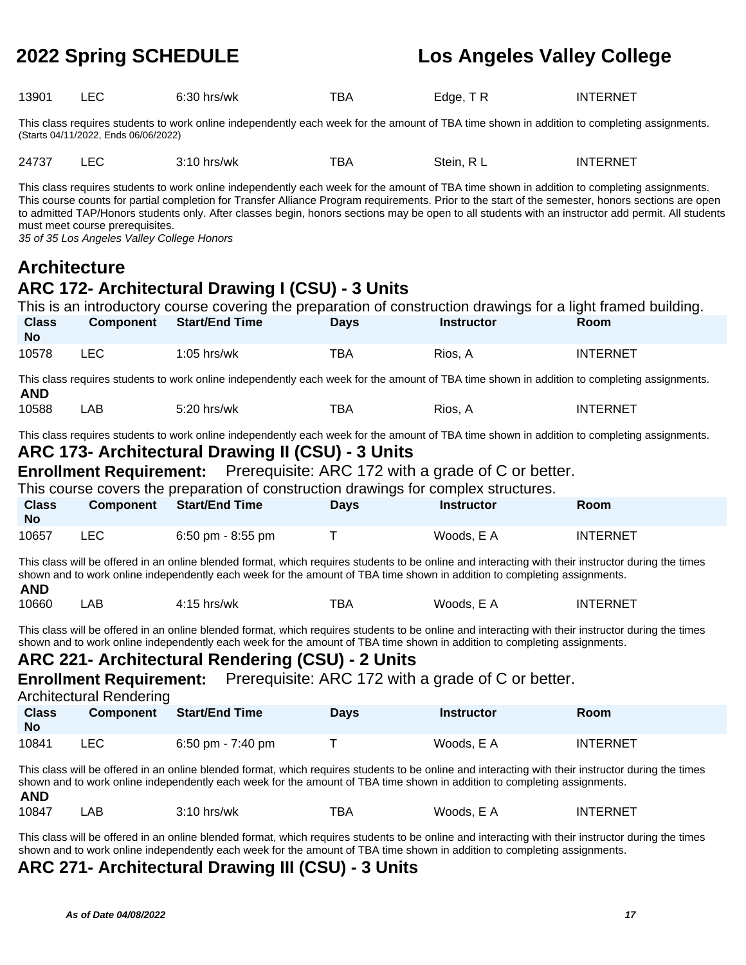| 13901 | $6:30$ hrs/wk | тва | Edge, TR | <b>INTERNET</b> |
|-------|---------------|-----|----------|-----------------|
|       |               |     |          |                 |

This class requires students to work online independently each week for the amount of TBA time shown in addition to completing assignments. (Starts 04/11/2022, Ends 06/06/2022)

| 24737 | -50 | 3:10<br>hrs/wk | тва | Stein.<br>п.<br>___ | <b>INTERNET</b> |
|-------|-----|----------------|-----|---------------------|-----------------|
|       |     |                |     |                     |                 |

This class requires students to work online independently each week for the amount of TBA time shown in addition to completing assignments. This course counts for partial completion for Transfer Alliance Program requirements. Prior to the start of the semester, honors sections are open to admitted TAP/Honors students only. After classes begin, honors sections may be open to all students with an instructor add permit. All students must meet course prerequisites.

35 of 35 Los Angeles Valley College Honors

## **Architecture**

## **ARC 172- Architectural Drawing I (CSU) - 3 Units**

|                           |       | This is an introductory course covering the preparation of construction drawings for a light framed building. |             |                   |                 |
|---------------------------|-------|---------------------------------------------------------------------------------------------------------------|-------------|-------------------|-----------------|
| <b>Class</b><br><b>No</b> |       | Component Start/End Time                                                                                      | <b>Davs</b> | <b>Instructor</b> | <b>Room</b>     |
| 10578                     | LEC . | $1:05$ hrs/wk                                                                                                 | TBA         | Rios. A           | <b>INTERNET</b> |

This class requires students to work online independently each week for the amount of TBA time shown in addition to completing assignments. **AND**

| тва<br>10588<br>5:20 hrs/wk<br>ΑВ<br>RIOS. A | <b>INTERNET</b> |
|----------------------------------------------|-----------------|
|----------------------------------------------|-----------------|

This class requires students to work online independently each week for the amount of TBA time shown in addition to completing assignments.

### **ARC 173- Architectural Drawing II (CSU) - 3 Units**

**Enrollment Requirement:** Prerequisite: ARC 172 with a grade of C or better.

This course covers the preparation of construction drawings for complex structures.

| <b>Class</b><br>No | <b>Component</b> | Start/End Time    | Days | <b>Instructor</b> | Room            |
|--------------------|------------------|-------------------|------|-------------------|-----------------|
| 10657              | LEC              | 6:50 pm - 8:55 pm |      | Woods, E A        | <b>INTERNET</b> |

This class will be offered in an online blended format, which requires students to be online and interacting with their instructor during the times shown and to work online independently each week for the amount of TBA time shown in addition to completing assignments. **AND**

| .     |    |             |                      |                  |          |
|-------|----|-------------|----------------------|------------------|----------|
| 10660 | AE | 4:15 hrs/wk | $\blacksquare$<br>BA | Woods.<br>-<br>. | INTERNET |

This class will be offered in an online blended format, which requires students to be online and interacting with their instructor during the times shown and to work online independently each week for the amount of TBA time shown in addition to completing assignments.

### **ARC 221- Architectural Rendering (CSU) - 2 Units**

**Enrollment Requirement:** Prerequisite: ARC 172 with a grade of C or better.

Architectural Rendering

| <b>Class</b><br><b>No</b> | <b>Component</b> | <b>Start/End Time</b> | Days | <b>Instructor</b> | <b>Room</b>     |
|---------------------------|------------------|-----------------------|------|-------------------|-----------------|
| 10841                     | LEC.             | 6:50 pm - $7:40$ pm   |      | Woods, E A        | <b>INTERNET</b> |

This class will be offered in an online blended format, which requires students to be online and interacting with their instructor during the times shown and to work online independently each week for the amount of TBA time shown in addition to completing assignments. **AND**

| <b>AIV</b> |    |               |     |                                      |          |
|------------|----|---------------|-----|--------------------------------------|----------|
| 10847      | AΒ | $3:10$ hrs/wk | тва | Woods. E.<br>$\overline{\mathbf{A}}$ | INTERNET |

This class will be offered in an online blended format, which requires students to be online and interacting with their instructor during the times shown and to work online independently each week for the amount of TBA time shown in addition to completing assignments.

### **ARC 271- Architectural Drawing III (CSU) - 3 Units**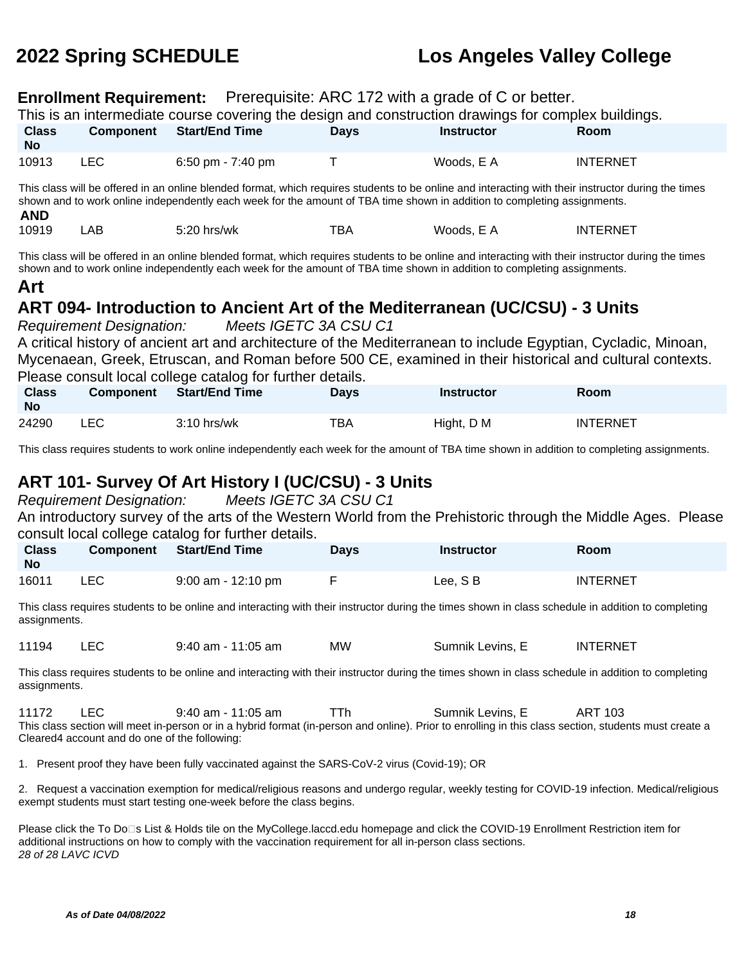## **Enrollment Requirement:** Prerequisite: ARC 172 with a grade of C or better.

|                                                                                                                                                                                                                                                                                                                                                                        |                                                                                                                                                                                                                                                                                 | <b>Enrollment Requirement:</b> Prefequisite: ARC 172 with a grade of C or better.                                                           |             |                   |                 |  |  |
|------------------------------------------------------------------------------------------------------------------------------------------------------------------------------------------------------------------------------------------------------------------------------------------------------------------------------------------------------------------------|---------------------------------------------------------------------------------------------------------------------------------------------------------------------------------------------------------------------------------------------------------------------------------|---------------------------------------------------------------------------------------------------------------------------------------------|-------------|-------------------|-----------------|--|--|
|                                                                                                                                                                                                                                                                                                                                                                        |                                                                                                                                                                                                                                                                                 | This is an intermediate course covering the design and construction drawings for complex buildings.                                         |             |                   |                 |  |  |
| <b>Class</b><br><b>No</b>                                                                                                                                                                                                                                                                                                                                              | <b>Component</b>                                                                                                                                                                                                                                                                | <b>Start/End Time</b>                                                                                                                       | <b>Days</b> | <b>Instructor</b> | Room            |  |  |
| 10913                                                                                                                                                                                                                                                                                                                                                                  | <b>LEC</b>                                                                                                                                                                                                                                                                      | 6:50 pm - 7:40 pm                                                                                                                           | T           | Woods, E A        | <b>INTERNET</b> |  |  |
| <b>AND</b>                                                                                                                                                                                                                                                                                                                                                             | This class will be offered in an online blended format, which requires students to be online and interacting with their instructor during the times<br>shown and to work online independently each week for the amount of TBA time shown in addition to completing assignments. |                                                                                                                                             |             |                   |                 |  |  |
| 10919                                                                                                                                                                                                                                                                                                                                                                  | <b>LAB</b>                                                                                                                                                                                                                                                                      | 5:20 hrs/wk                                                                                                                                 | <b>TBA</b>  | Woods, E A        | <b>INTERNET</b> |  |  |
| This class will be offered in an online blended format, which requires students to be online and interacting with their instructor during the times<br>shown and to work online independently each week for the amount of TBA time shown in addition to completing assignments.<br>Art<br>ART 094- Introduction to Ancient Art of the Mediterranean (UC/CSU) - 3 Units |                                                                                                                                                                                                                                                                                 |                                                                                                                                             |             |                   |                 |  |  |
| Meets IGETC 3A CSU C1<br><b>Requirement Designation:</b><br>A critical history of ancient art and architecture of the Mediterranean to include Egyptian, Cycladic, Minoan,                                                                                                                                                                                             |                                                                                                                                                                                                                                                                                 |                                                                                                                                             |             |                   |                 |  |  |
| Mycenaean, Greek, Etruscan, and Roman before 500 CE, examined in their historical and cultural contexts.<br>Please consult local college catalog for further details.                                                                                                                                                                                                  |                                                                                                                                                                                                                                                                                 |                                                                                                                                             |             |                   |                 |  |  |
| <b>Class</b><br><b>No</b>                                                                                                                                                                                                                                                                                                                                              | Component                                                                                                                                                                                                                                                                       | <b>Start/End Time</b>                                                                                                                       | <b>Days</b> | <b>Instructor</b> | Room            |  |  |
| 24290                                                                                                                                                                                                                                                                                                                                                                  | <b>LEC</b>                                                                                                                                                                                                                                                                      | 3:10 hrs/wk                                                                                                                                 | <b>TBA</b>  | Hight, D M        | <b>INTERNET</b> |  |  |
|                                                                                                                                                                                                                                                                                                                                                                        |                                                                                                                                                                                                                                                                                 | This class requires students to work online independently each week for the amount of TBA time shown in addition to completing assignments. |             |                   |                 |  |  |
| ART 101- Survey Of Art History I (UC/CSU) - 3 Units<br>Meets IGETC 3A CSU C1<br><b>Requirement Designation:</b><br>An introductory survey of the arts of the Western World from the Prehistoric through the Middle Ages. Please<br>consult local college catalog for further details.                                                                                  |                                                                                                                                                                                                                                                                                 |                                                                                                                                             |             |                   |                 |  |  |

| <b>Class</b><br><b>No</b> | Component | <b>Start/End Time</b> | <b>Days</b> | <b>Instructor</b> | Room     |
|---------------------------|-----------|-----------------------|-------------|-------------------|----------|
| 16011                     | LEC       | $9:00$ am - 12:10 pm  |             | Lee, SB           | INTERNET |

This class requires students to be online and interacting with their instructor during the times shown in class schedule in addition to completing assignments.

11194 LEC 9:40 am - 11:05 am MW Sumnik Levins, E INTERNET

This class requires students to be online and interacting with their instructor during the times shown in class schedule in addition to completing assignments.

11172 LEC 9:40 am - 11:05 am TTh Sumnik Levins, E ART 103 This class section will meet in-person or in a hybrid format (in-person and online). Prior to enrolling in this class section, students must create a Cleared4 account and do one of the following:

1. Present proof they have been fully vaccinated against the SARS-CoV-2 virus (Covid-19); OR

2. Request a vaccination exemption for medical/religious reasons and undergo regular, weekly testing for COVID-19 infection. Medical/religious exempt students must start testing one-week before the class begins.

Please click the To Do⊡s List & Holds tile on the MyCollege.laccd.edu homepage and click the COVID-19 Enrollment Restriction item for additional instructions on how to comply with the vaccination requirement for all in-person class sections. 28 of 28 LAVC ICVD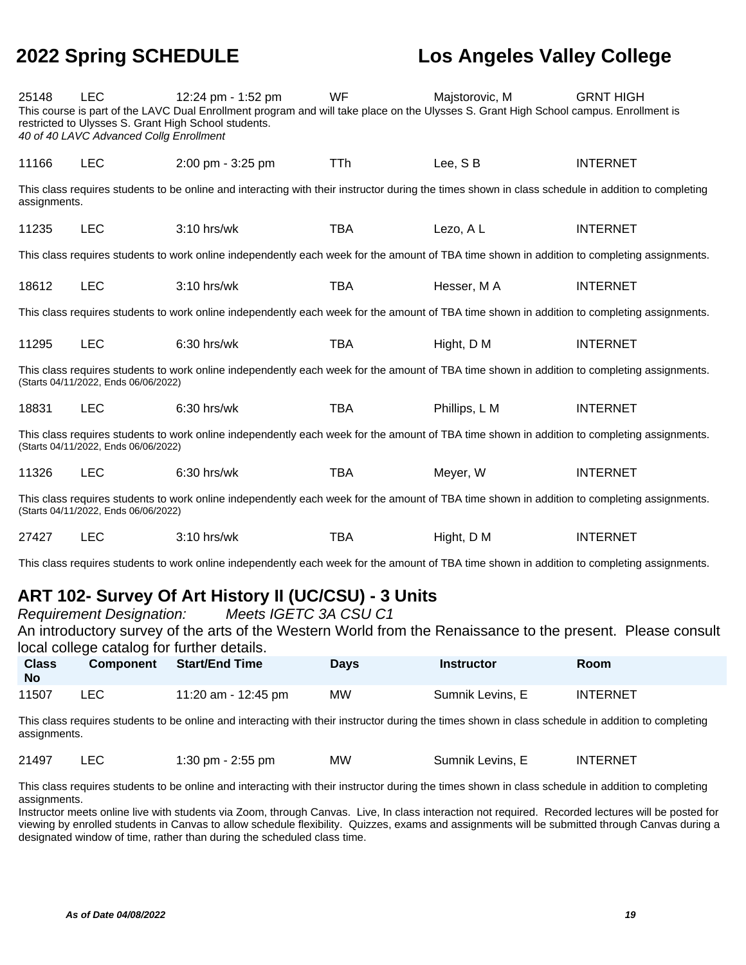| 25148                                                                                                                                                                               | <b>LEC</b><br>40 of 40 LAVC Advanced Collg Enrollment | 12:24 pm - 1:52 pm<br>This course is part of the LAVC Dual Enrollment program and will take place on the Ulysses S. Grant High School campus. Enrollment is<br>restricted to Ulysses S. Grant High School students. | <b>WF</b>  | Majstorovic, M | <b>GRNT HIGH</b> |
|-------------------------------------------------------------------------------------------------------------------------------------------------------------------------------------|-------------------------------------------------------|---------------------------------------------------------------------------------------------------------------------------------------------------------------------------------------------------------------------|------------|----------------|------------------|
| 11166                                                                                                                                                                               | <b>LEC</b>                                            | 2:00 pm - 3:25 pm                                                                                                                                                                                                   | <b>TTh</b> | Lee, SB        | <b>INTERNET</b>  |
| assignments.                                                                                                                                                                        |                                                       | This class requires students to be online and interacting with their instructor during the times shown in class schedule in addition to completing                                                                  |            |                |                  |
| 11235                                                                                                                                                                               | <b>LEC</b>                                            | $3:10$ hrs/wk                                                                                                                                                                                                       | <b>TBA</b> | Lezo, AL       | <b>INTERNET</b>  |
|                                                                                                                                                                                     |                                                       | This class requires students to work online independently each week for the amount of TBA time shown in addition to completing assignments.                                                                         |            |                |                  |
| 18612                                                                                                                                                                               | <b>LEC</b>                                            | 3:10 hrs/wk                                                                                                                                                                                                         | <b>TBA</b> | Hesser, MA     | <b>INTERNET</b>  |
|                                                                                                                                                                                     |                                                       | This class requires students to work online independently each week for the amount of TBA time shown in addition to completing assignments.                                                                         |            |                |                  |
| 11295                                                                                                                                                                               | <b>LEC</b>                                            | 6:30 hrs/wk                                                                                                                                                                                                         | <b>TBA</b> | Hight, D M     | <b>INTERNET</b>  |
| This class requires students to work online independently each week for the amount of TBA time shown in addition to completing assignments.<br>(Starts 04/11/2022, Ends 06/06/2022) |                                                       |                                                                                                                                                                                                                     |            |                |                  |
| 18831                                                                                                                                                                               | <b>LEC</b>                                            | 6:30 hrs/wk                                                                                                                                                                                                         | <b>TBA</b> | Phillips, L M  | <b>INTERNET</b>  |
|                                                                                                                                                                                     | (Starts 04/11/2022, Ends 06/06/2022)                  | This class requires students to work online independently each week for the amount of TBA time shown in addition to completing assignments.                                                                         |            |                |                  |
| 11326                                                                                                                                                                               | <b>LEC</b>                                            | 6:30 hrs/wk                                                                                                                                                                                                         | <b>TBA</b> | Meyer, W       | <b>INTERNET</b>  |
|                                                                                                                                                                                     | (Starts 04/11/2022, Ends 06/06/2022)                  | This class requires students to work online independently each week for the amount of TBA time shown in addition to completing assignments.                                                                         |            |                |                  |
| 27427                                                                                                                                                                               | <b>LEC</b>                                            | $3:10$ hrs/wk                                                                                                                                                                                                       | TBA        | Hight, D M     | <b>INTERNET</b>  |

This class requires students to work online independently each week for the amount of TBA time shown in addition to completing assignments.

## **ART 102- Survey Of Art History II (UC/CSU) - 3 Units**

Requirement Designation: Meets IGETC 3A CSU C1 An introductory survey of the arts of the Western World from the Renaissance to the present. Please consult local college catalog for further details.

| <b>Class</b><br><b>No</b> | <b>Component</b> | Start/End Time      | Days | <b>Instructor</b> | <b>Room</b> |
|---------------------------|------------------|---------------------|------|-------------------|-------------|
| 11507                     | LEC              | 11:20 am - 12:45 pm | МW   | Sumnik Levins, E  | INTERNET    |

This class requires students to be online and interacting with their instructor during the times shown in class schedule in addition to completing assignments.

| 21497<br>МW<br>1:30 pm $-$ 2:55 pm<br>Sumnik Levins, E |  | <b>INTERNET</b> |
|--------------------------------------------------------|--|-----------------|
|--------------------------------------------------------|--|-----------------|

This class requires students to be online and interacting with their instructor during the times shown in class schedule in addition to completing assignments.

Instructor meets online live with students via Zoom, through Canvas. Live, In class interaction not required. Recorded lectures will be posted for viewing by enrolled students in Canvas to allow schedule flexibility. Quizzes, exams and assignments will be submitted through Canvas during a designated window of time, rather than during the scheduled class time.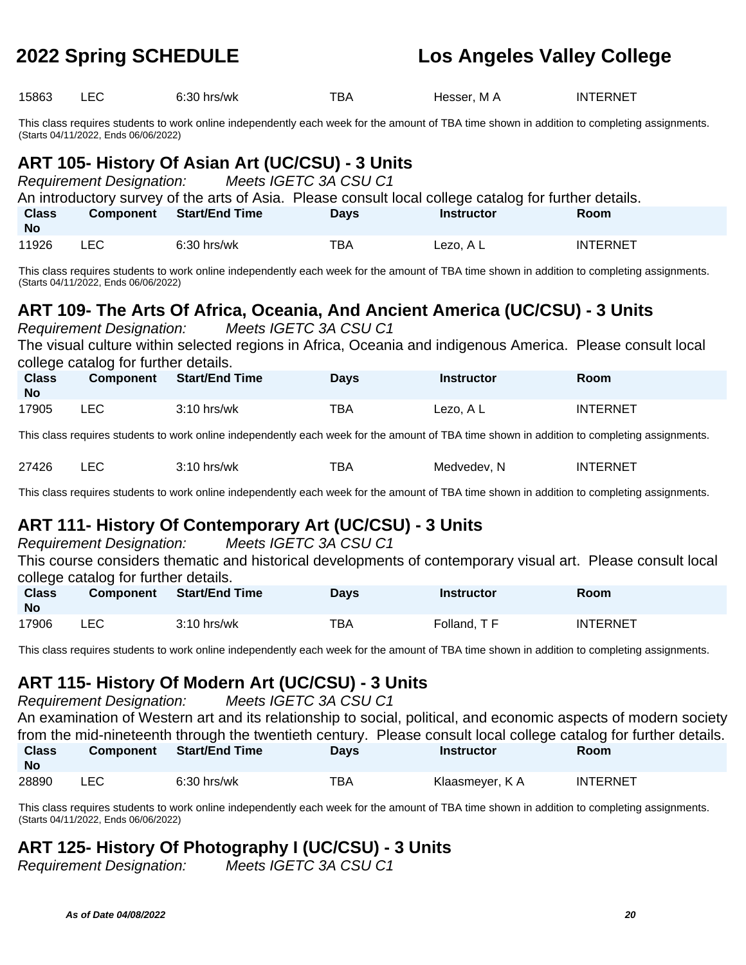| 15863                     | <b>LEC</b>                           | 6:30 hrs/wk                                                                                                                                 | TBA         | Hesser, MA        | <b>INTERNET</b>                                                                                                                                                                                                                     |
|---------------------------|--------------------------------------|---------------------------------------------------------------------------------------------------------------------------------------------|-------------|-------------------|-------------------------------------------------------------------------------------------------------------------------------------------------------------------------------------------------------------------------------------|
|                           | (Starts 04/11/2022, Ends 06/06/2022) | This class requires students to work online independently each week for the amount of TBA time shown in addition to completing assignments. |             |                   |                                                                                                                                                                                                                                     |
|                           | <b>Requirement Designation:</b>      | ART 105- History Of Asian Art (UC/CSU) - 3 Units<br>Meets IGETC 3A CSU C1                                                                   |             |                   |                                                                                                                                                                                                                                     |
| <b>Class</b><br><b>No</b> | <b>Component</b>                     | An introductory survey of the arts of Asia. Please consult local college catalog for further details.<br><b>Start/End Time</b>              | <b>Days</b> | <b>Instructor</b> | Room                                                                                                                                                                                                                                |
| 11926                     | <b>LEC</b>                           | 6:30 hrs/wk                                                                                                                                 | <b>TBA</b>  | Lezo, A L         | <b>INTERNET</b>                                                                                                                                                                                                                     |
|                           | (Starts 04/11/2022, Ends 06/06/2022) | This class requires students to work online independently each week for the amount of TBA time shown in addition to completing assignments. |             |                   |                                                                                                                                                                                                                                     |
|                           | <b>Requirement Designation:</b>      | ART 109- The Arts Of Africa, Oceania, And Ancient America (UC/CSU) - 3 Units<br>Meets IGETC 3A CSU C1                                       |             |                   |                                                                                                                                                                                                                                     |
|                           | college catalog for further details. | The visual culture within selected regions in Africa, Oceania and indigenous America. Please consult local                                  |             |                   |                                                                                                                                                                                                                                     |
| <b>Class</b><br><b>No</b> | <b>Component</b>                     | <b>Start/End Time</b>                                                                                                                       | <b>Days</b> | <b>Instructor</b> | Room                                                                                                                                                                                                                                |
| 17905                     | <b>LEC</b>                           | 3:10 hrs/wk                                                                                                                                 | <b>TBA</b>  | Lezo, A L         | <b>INTERNET</b>                                                                                                                                                                                                                     |
|                           |                                      | This class requires students to work online independently each week for the amount of TBA time shown in addition to completing assignments. |             |                   |                                                                                                                                                                                                                                     |
| 27426                     | <b>LEC</b>                           | 3:10 hrs/wk                                                                                                                                 | <b>TBA</b>  | Medvedev, N       | <b>INTERNET</b>                                                                                                                                                                                                                     |
|                           |                                      | This class requires students to work online independently each week for the amount of TBA time shown in addition to completing assignments. |             |                   |                                                                                                                                                                                                                                     |
|                           |                                      | ART 111- History Of Contemporary Art (UC/CSU) - 3 Units                                                                                     |             |                   |                                                                                                                                                                                                                                     |
|                           | <b>Requirement Designation:</b>      | Meets IGETC 3A CSU C1<br>This course considers thematic and historical developments of contemporary visual art. Please consult local        |             |                   |                                                                                                                                                                                                                                     |
|                           | college catalog for further details. |                                                                                                                                             |             |                   |                                                                                                                                                                                                                                     |
| <b>Class</b><br><b>No</b> | <b>Component</b>                     | <b>Start/End Time</b>                                                                                                                       | <b>Days</b> | <b>Instructor</b> | Room                                                                                                                                                                                                                                |
| 17906                     | <b>LEC</b>                           | 3:10 hrs/wk                                                                                                                                 | <b>TBA</b>  | Folland, TF       | <b>INTERNET</b>                                                                                                                                                                                                                     |
|                           |                                      | This class requires students to work online independently each week for the amount of TBA time shown in addition to completing assignments. |             |                   |                                                                                                                                                                                                                                     |
|                           |                                      | ART 115- History Of Modern Art (UC/CSU) - 3 Units                                                                                           |             |                   |                                                                                                                                                                                                                                     |
|                           | <b>Requirement Designation:</b>      | Meets IGETC 3A CSU C1                                                                                                                       |             |                   |                                                                                                                                                                                                                                     |
|                           |                                      |                                                                                                                                             |             |                   | An examination of Western art and its relationship to social, political, and economic aspects of modern society<br>from the mid-nineteenth through the twentieth century. Please consult local college catalog for further details. |

| <b>Class</b><br><b>No</b> | <b>Component</b> | <b>Start/End Time</b> | Days | <b>Instructor</b> | Room            |  |
|---------------------------|------------------|-----------------------|------|-------------------|-----------------|--|
| 28890                     | ∟EC              | $6:30$ hrs/wk         | TBA  | Klaasmeyer, K A   | <b>INTERNET</b> |  |

This class requires students to work online independently each week for the amount of TBA time shown in addition to completing assignments. (Starts 04/11/2022, Ends 06/06/2022)

# **ART 125- History Of Photography I (UC/CSU) - 3 Units**

Requirement Designation: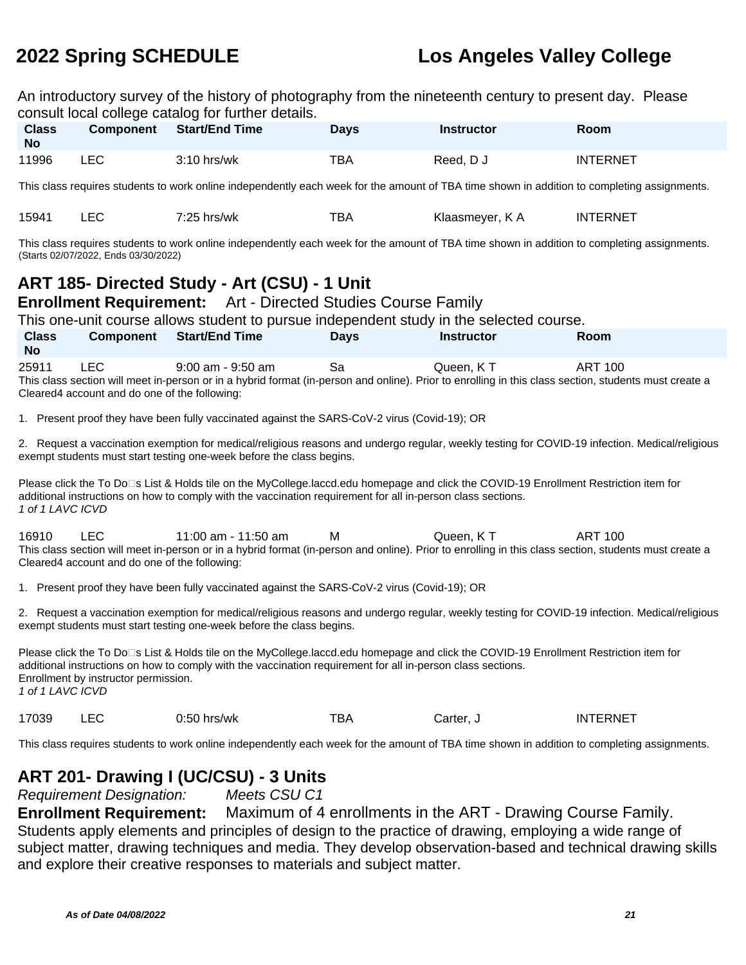An introductory survey of the history of photography from the nineteenth century to present day. Please consult local college catalog for further details.

| <b>Class</b><br><b>No</b>                                                                                                                                                                                                                                                                                        | <b>Component</b>                                                                                                                            | <b>Start/End Time</b>                                                                                                                                                                                                                                | <b>Days</b> | <b>Instructor</b> | Room            |  |  |  |
|------------------------------------------------------------------------------------------------------------------------------------------------------------------------------------------------------------------------------------------------------------------------------------------------------------------|---------------------------------------------------------------------------------------------------------------------------------------------|------------------------------------------------------------------------------------------------------------------------------------------------------------------------------------------------------------------------------------------------------|-------------|-------------------|-----------------|--|--|--|
| 11996                                                                                                                                                                                                                                                                                                            | <b>LEC</b>                                                                                                                                  | 3:10 hrs/wk                                                                                                                                                                                                                                          | <b>TBA</b>  | Reed, D J         | <b>INTERNET</b> |  |  |  |
|                                                                                                                                                                                                                                                                                                                  | This class requires students to work online independently each week for the amount of TBA time shown in addition to completing assignments. |                                                                                                                                                                                                                                                      |             |                   |                 |  |  |  |
| 15941                                                                                                                                                                                                                                                                                                            | <b>LEC</b>                                                                                                                                  | 7:25 hrs/wk                                                                                                                                                                                                                                          | <b>TBA</b>  | Klaasmeyer, K A   | <b>INTERNET</b> |  |  |  |
|                                                                                                                                                                                                                                                                                                                  | (Starts 02/07/2022, Ends 03/30/2022)                                                                                                        | This class requires students to work online independently each week for the amount of TBA time shown in addition to completing assignments.                                                                                                          |             |                   |                 |  |  |  |
|                                                                                                                                                                                                                                                                                                                  |                                                                                                                                             | ART 185- Directed Study - Art (CSU) - 1 Unit<br>Enrollment Requirement: Art - Directed Studies Course Family                                                                                                                                         |             |                   |                 |  |  |  |
|                                                                                                                                                                                                                                                                                                                  |                                                                                                                                             | This one-unit course allows student to pursue independent study in the selected course.                                                                                                                                                              |             |                   |                 |  |  |  |
| <b>Class</b><br><b>No</b>                                                                                                                                                                                                                                                                                        | <b>Component</b>                                                                                                                            | <b>Start/End Time</b>                                                                                                                                                                                                                                | <b>Days</b> | <b>Instructor</b> | Room            |  |  |  |
| 25911                                                                                                                                                                                                                                                                                                            | <b>LEC</b><br>Cleared4 account and do one of the following:                                                                                 | $9:00$ am - $9:50$ am<br>This class section will meet in-person or in a hybrid format (in-person and online). Prior to enrolling in this class section, students must create a                                                                       | Sa          | Queen, KT         | <b>ART 100</b>  |  |  |  |
|                                                                                                                                                                                                                                                                                                                  |                                                                                                                                             | 1. Present proof they have been fully vaccinated against the SARS-CoV-2 virus (Covid-19); OR                                                                                                                                                         |             |                   |                 |  |  |  |
|                                                                                                                                                                                                                                                                                                                  |                                                                                                                                             | 2. Request a vaccination exemption for medical/religious reasons and undergo regular, weekly testing for COVID-19 infection. Medical/religious<br>exempt students must start testing one-week before the class begins.                               |             |                   |                 |  |  |  |
| 1 of 1 LAVC ICVD                                                                                                                                                                                                                                                                                                 |                                                                                                                                             | Please click the To Do⊡s List & Holds tile on the MyCollege.laccd.edu homepage and click the COVID-19 Enrollment Restriction item for<br>additional instructions on how to comply with the vaccination requirement for all in-person class sections. |             |                   |                 |  |  |  |
| 16910                                                                                                                                                                                                                                                                                                            | LEC<br>Cleared4 account and do one of the following:                                                                                        | 11:00 am - 11:50 am<br>This class section will meet in-person or in a hybrid format (in-person and online). Prior to enrolling in this class section, students must create a                                                                         | м           | Queen, KT         | <b>ART 100</b>  |  |  |  |
|                                                                                                                                                                                                                                                                                                                  |                                                                                                                                             | 1. Present proof they have been fully vaccinated against the SARS-CoV-2 virus (Covid-19); OR                                                                                                                                                         |             |                   |                 |  |  |  |
|                                                                                                                                                                                                                                                                                                                  |                                                                                                                                             | 2. Request a vaccination exemption for medical/religious reasons and undergo regular, weekly testing for COVID-19 infection. Medical/religious<br>exempt students must start testing one-week before the class begins.                               |             |                   |                 |  |  |  |
| Please click the To Do⊡s List & Holds tile on the MyCollege.laccd.edu homepage and click the COVID-19 Enrollment Restriction item for<br>additional instructions on how to comply with the vaccination requirement for all in-person class sections.<br>Enrollment by instructor permission.<br>1 of 1 LAVC ICVD |                                                                                                                                             |                                                                                                                                                                                                                                                      |             |                   |                 |  |  |  |
| 17039                                                                                                                                                                                                                                                                                                            | <b>LEC</b>                                                                                                                                  | $0:50$ hrs/wk                                                                                                                                                                                                                                        | <b>TBA</b>  | Carter, J         | <b>INTERNET</b> |  |  |  |
|                                                                                                                                                                                                                                                                                                                  | This class requires students to work online independently each week for the amount of TBA time shown in addition to completing assignments. |                                                                                                                                                                                                                                                      |             |                   |                 |  |  |  |

## **ART 201- Drawing I (UC/CSU) - 3 Units**

Requirement Designation: Meets CSU C1

**Enrollment Requirement:** Maximum of 4 enrollments in the ART - Drawing Course Family. Students apply elements and principles of design to the practice of drawing, employing a wide range of subject matter, drawing techniques and media. They develop observation-based and technical drawing skills and explore their creative responses to materials and subject matter.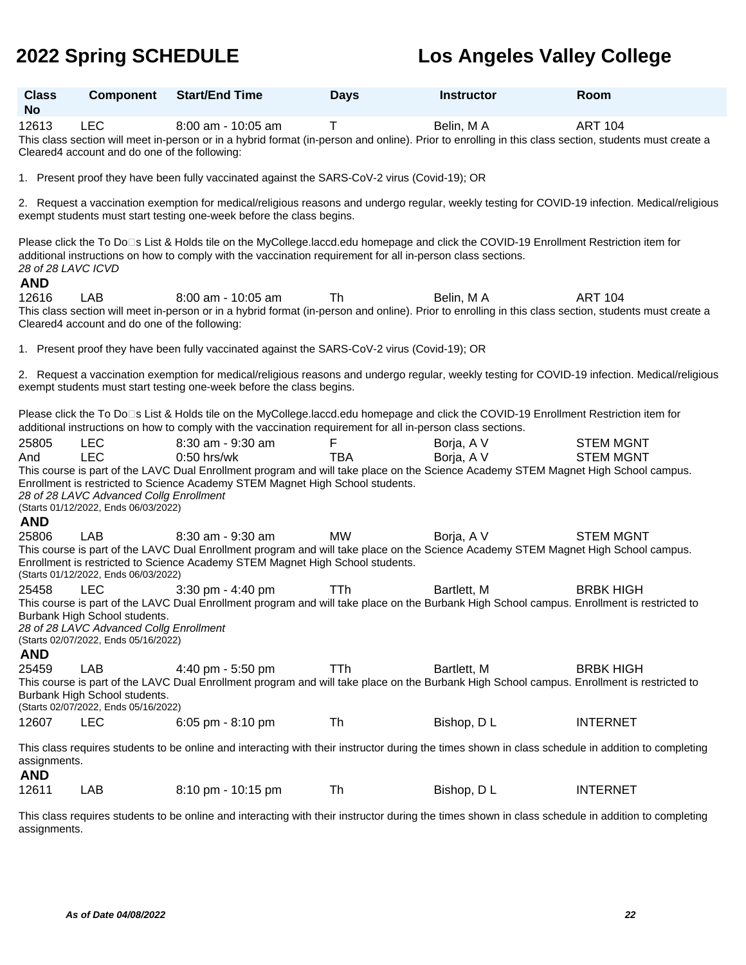| <b>Class</b><br><b>No</b>        | <b>Component</b>                                                                                                                                                                                                                                                                                                                                                                               | <b>Start/End Time</b>                                                                                                                                                                                                                                     | <b>Days</b>     | <b>Instructor</b>        | Room                                 |  |  |
|----------------------------------|------------------------------------------------------------------------------------------------------------------------------------------------------------------------------------------------------------------------------------------------------------------------------------------------------------------------------------------------------------------------------------------------|-----------------------------------------------------------------------------------------------------------------------------------------------------------------------------------------------------------------------------------------------------------|-----------------|--------------------------|--------------------------------------|--|--|
| 12613                            | <b>LEC</b><br>Cleared4 account and do one of the following:                                                                                                                                                                                                                                                                                                                                    | $8:00$ am - 10:05 am<br>This class section will meet in-person or in a hybrid format (in-person and online). Prior to enrolling in this class section, students must create a                                                                             | Τ               | Belin, M A               | <b>ART 104</b>                       |  |  |
|                                  |                                                                                                                                                                                                                                                                                                                                                                                                | 1. Present proof they have been fully vaccinated against the SARS-CoV-2 virus (Covid-19); OR                                                                                                                                                              |                 |                          |                                      |  |  |
|                                  |                                                                                                                                                                                                                                                                                                                                                                                                | 2. Request a vaccination exemption for medical/religious reasons and undergo regular, weekly testing for COVID-19 infection. Medical/religious<br>exempt students must start testing one-week before the class begins.                                    |                 |                          |                                      |  |  |
| 28 of 28 LAVC ICVD<br><b>AND</b> |                                                                                                                                                                                                                                                                                                                                                                                                | Please click the To Do⊡s List & Holds tile on the MyCollege.laccd.edu homepage and click the COVID-19 Enrollment Restriction item for<br>additional instructions on how to comply with the vaccination requirement for all in-person class sections.      |                 |                          |                                      |  |  |
| 12616                            | LAB<br>Cleared4 account and do one of the following:                                                                                                                                                                                                                                                                                                                                           | $8:00$ am - 10:05 am<br>This class section will meet in-person or in a hybrid format (in-person and online). Prior to enrolling in this class section, students must create a                                                                             | Th              | Belin, M A               | <b>ART 104</b>                       |  |  |
|                                  |                                                                                                                                                                                                                                                                                                                                                                                                | 1. Present proof they have been fully vaccinated against the SARS-CoV-2 virus (Covid-19); OR                                                                                                                                                              |                 |                          |                                      |  |  |
|                                  |                                                                                                                                                                                                                                                                                                                                                                                                | 2. Request a vaccination exemption for medical/religious reasons and undergo regular, weekly testing for COVID-19 infection. Medical/religious<br>exempt students must start testing one-week before the class begins.                                    |                 |                          |                                      |  |  |
|                                  |                                                                                                                                                                                                                                                                                                                                                                                                | Please click the To Do⊡s List & Holds tile on the MyCollege.laccd.edu homepage and click the COVID-19 Enrollment Restriction item for<br>additional instructions on how to comply with the vaccination requirement for all in-person class sections.      |                 |                          |                                      |  |  |
| 25805<br>And<br><b>AND</b>       | <b>LEC</b><br><b>LEC</b><br>28 of 28 LAVC Advanced Collg Enrollment<br>(Starts 01/12/2022, Ends 06/03/2022)                                                                                                                                                                                                                                                                                    | 8:30 am - 9:30 am<br>$0:50$ hrs/wk<br>This course is part of the LAVC Dual Enrollment program and will take place on the Science Academy STEM Magnet High School campus.<br>Enrollment is restricted to Science Academy STEM Magnet High School students. | F<br><b>TBA</b> | Borja, A V<br>Borja, A V | <b>STEM MGNT</b><br><b>STEM MGNT</b> |  |  |
| 25806                            | <b>LAB</b>                                                                                                                                                                                                                                                                                                                                                                                     | 8:30 am - 9:30 am<br>This course is part of the LAVC Dual Enrollment program and will take place on the Science Academy STEM Magnet High School campus.<br>Enrollment is restricted to Science Academy STEM Magnet High School students.                  | MW              | Borja, A V               | <b>STEM MGNT</b>                     |  |  |
| 25458<br><b>AND</b>              | (Starts 01/12/2022, Ends 06/03/2022)<br><b>LEC</b><br>$3:30$ pm - $4:40$ pm<br><b>TTh</b><br>Bartlett, M<br><b>BRBK HIGH</b><br>This course is part of the LAVC Dual Enrollment program and will take place on the Burbank High School campus. Enrollment is restricted to<br>Burbank High School students.<br>28 of 28 LAVC Advanced Collg Enrollment<br>(Starts 02/07/2022, Ends 05/16/2022) |                                                                                                                                                                                                                                                           |                 |                          |                                      |  |  |
| 25459                            | <b>LAB</b><br>Burbank High School students.<br>(Starts 02/07/2022, Ends 05/16/2022)                                                                                                                                                                                                                                                                                                            | 4:40 pm - 5:50 pm<br>This course is part of the LAVC Dual Enrollment program and will take place on the Burbank High School campus. Enrollment is restricted to                                                                                           | <b>TTh</b>      | Bartlett, M              | <b>BRBK HIGH</b>                     |  |  |
| 12607                            | <b>LEC</b>                                                                                                                                                                                                                                                                                                                                                                                     | 6:05 pm - 8:10 pm                                                                                                                                                                                                                                         | Th              | Bishop, D L              | <b>INTERNET</b>                      |  |  |
| assignments.<br><b>AND</b>       |                                                                                                                                                                                                                                                                                                                                                                                                | This class requires students to be online and interacting with their instructor during the times shown in class schedule in addition to completing                                                                                                        |                 |                          |                                      |  |  |
| 12611                            | LAB                                                                                                                                                                                                                                                                                                                                                                                            | 8:10 pm - 10:15 pm                                                                                                                                                                                                                                        | Th              | Bishop, DL               | <b>INTERNET</b>                      |  |  |

This class requires students to be online and interacting with their instructor during the times shown in class schedule in addition to completing assignments.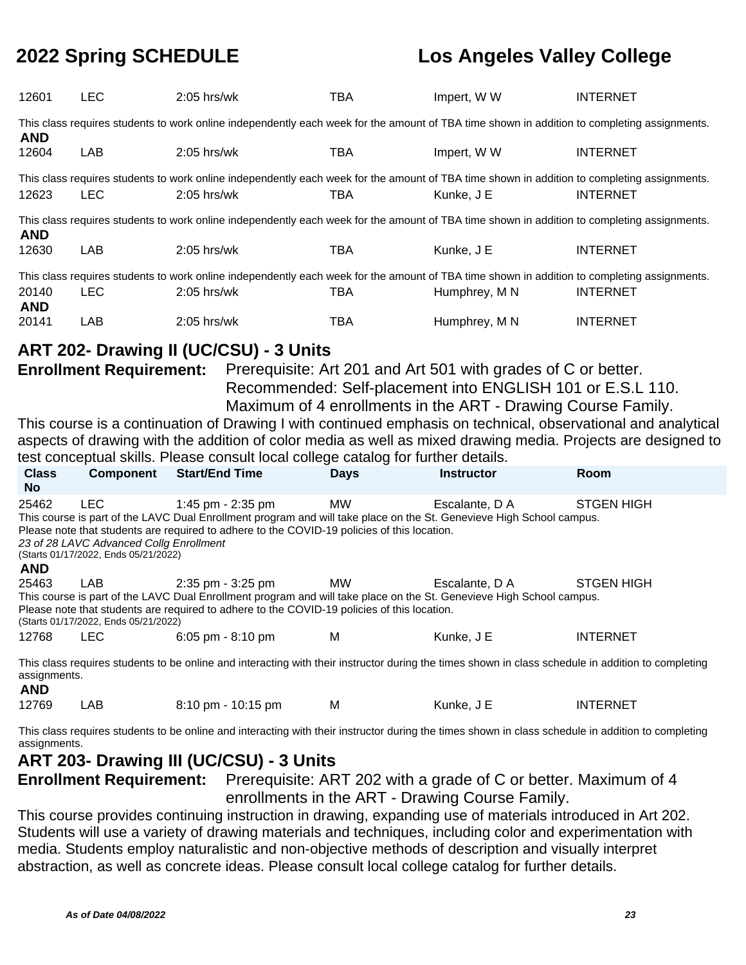| 12601                                                                                                                                                     | <b>LEC</b>                                                                                                                                                                                                                                                                                                                                                                                    | $2:05$ hrs/wk                                                                                                                                                                                                                                                         | <b>TBA</b>  | Impert, W W                                                                                                                                                                                                      | <b>INTERNET</b>                                                                                                      |  |  |
|-----------------------------------------------------------------------------------------------------------------------------------------------------------|-----------------------------------------------------------------------------------------------------------------------------------------------------------------------------------------------------------------------------------------------------------------------------------------------------------------------------------------------------------------------------------------------|-----------------------------------------------------------------------------------------------------------------------------------------------------------------------------------------------------------------------------------------------------------------------|-------------|------------------------------------------------------------------------------------------------------------------------------------------------------------------------------------------------------------------|----------------------------------------------------------------------------------------------------------------------|--|--|
| This class requires students to work online independently each week for the amount of TBA time shown in addition to completing assignments.<br><b>AND</b> |                                                                                                                                                                                                                                                                                                                                                                                               |                                                                                                                                                                                                                                                                       |             |                                                                                                                                                                                                                  |                                                                                                                      |  |  |
| 12604                                                                                                                                                     | LAB                                                                                                                                                                                                                                                                                                                                                                                           | 2:05 hrs/wk                                                                                                                                                                                                                                                           | <b>TBA</b>  | Impert, W W                                                                                                                                                                                                      | <b>INTERNET</b>                                                                                                      |  |  |
| 12623                                                                                                                                                     | <b>LEC</b>                                                                                                                                                                                                                                                                                                                                                                                    | This class requires students to work online independently each week for the amount of TBA time shown in addition to completing assignments.<br>2:05 hrs/wk                                                                                                            | <b>TBA</b>  | Kunke, J E                                                                                                                                                                                                       | <b>INTERNET</b>                                                                                                      |  |  |
| <b>AND</b>                                                                                                                                                |                                                                                                                                                                                                                                                                                                                                                                                               | This class requires students to work online independently each week for the amount of TBA time shown in addition to completing assignments.                                                                                                                           |             |                                                                                                                                                                                                                  |                                                                                                                      |  |  |
| 12630                                                                                                                                                     | LAB                                                                                                                                                                                                                                                                                                                                                                                           | 2:05 hrs/wk                                                                                                                                                                                                                                                           | <b>TBA</b>  | Kunke, J E                                                                                                                                                                                                       | <b>INTERNET</b>                                                                                                      |  |  |
|                                                                                                                                                           |                                                                                                                                                                                                                                                                                                                                                                                               | This class requires students to work online independently each week for the amount of TBA time shown in addition to completing assignments.                                                                                                                           |             |                                                                                                                                                                                                                  |                                                                                                                      |  |  |
| 20140<br><b>AND</b>                                                                                                                                       | <b>LEC</b>                                                                                                                                                                                                                                                                                                                                                                                    | 2:05 hrs/wk                                                                                                                                                                                                                                                           | <b>TBA</b>  | Humphrey, M N                                                                                                                                                                                                    | <b>INTERNET</b>                                                                                                      |  |  |
| 20141                                                                                                                                                     | LAB                                                                                                                                                                                                                                                                                                                                                                                           | 2:05 hrs/wk                                                                                                                                                                                                                                                           | <b>TBA</b>  | Humphrey, M N                                                                                                                                                                                                    | <b>INTERNET</b>                                                                                                      |  |  |
| <b>Class</b>                                                                                                                                              | <b>Enrollment Requirement:</b><br><b>Component</b>                                                                                                                                                                                                                                                                                                                                            | ART 202- Drawing II (UC/CSU) - 3 Units<br>This course is a continuation of Drawing I with continued emphasis on technical, observational and analytical<br>test conceptual skills. Please consult local college catalog for further details.<br><b>Start/End Time</b> | <b>Days</b> | Prerequisite: Art 201 and Art 501 with grades of C or better.<br>Recommended: Self-placement into ENGLISH 101 or E.S.L 110.<br>Maximum of 4 enrollments in the ART - Drawing Course Family.<br><b>Instructor</b> | aspects of drawing with the addition of color media as well as mixed drawing media. Projects are designed to<br>Room |  |  |
| <b>No</b>                                                                                                                                                 |                                                                                                                                                                                                                                                                                                                                                                                               |                                                                                                                                                                                                                                                                       |             |                                                                                                                                                                                                                  |                                                                                                                      |  |  |
| 25462<br><b>AND</b>                                                                                                                                       | <b>LEC</b><br>1:45 pm - 2:35 pm<br><b>MW</b><br><b>STGEN HIGH</b><br>Escalante, D A<br>This course is part of the LAVC Dual Enrollment program and will take place on the St. Genevieve High School campus.<br>Please note that students are required to adhere to the COVID-19 policies of this location.<br>23 of 28 LAVC Advanced Collg Enrollment<br>(Starts 01/17/2022, Ends 05/21/2022) |                                                                                                                                                                                                                                                                       |             |                                                                                                                                                                                                                  |                                                                                                                      |  |  |
| 25463                                                                                                                                                     | LAB<br>(Starts 01/17/2022, Ends 05/21/2022)                                                                                                                                                                                                                                                                                                                                                   | 2:35 pm - 3:25 pm<br>This course is part of the LAVC Dual Enrollment program and will take place on the St. Genevieve High School campus.<br>Please note that students are required to adhere to the COVID-19 policies of this location.                              | <b>MW</b>   | Escalante, D A                                                                                                                                                                                                   | <b>STGEN HIGH</b>                                                                                                    |  |  |
| 12768                                                                                                                                                     | <b>LEC</b>                                                                                                                                                                                                                                                                                                                                                                                    | 6:05 pm - 8:10 pm                                                                                                                                                                                                                                                     | M           | Kunke, J E                                                                                                                                                                                                       | <b>INTERNET</b>                                                                                                      |  |  |
| assignments.<br>A NIN.                                                                                                                                    |                                                                                                                                                                                                                                                                                                                                                                                               | This class requires students to be online and interacting with their instructor during the times shown in class schedule in addition to completing                                                                                                                    |             |                                                                                                                                                                                                                  |                                                                                                                      |  |  |

**AND**<br>12769 LAB 8:10 pm - 10:15 pm M Kunke, J E INTERNET

This class requires students to be online and interacting with their instructor during the times shown in class schedule in addition to completing assignments.

**ART 203- Drawing III (UC/CSU) - 3 Units**

**Enrollment Requirement:** Prerequisite: ART 202 with a grade of C or better. Maximum of 4 enrollments in the ART - Drawing Course Family.

This course provides continuing instruction in drawing, expanding use of materials introduced in Art 202. Students will use a variety of drawing materials and techniques, including color and experimentation with media. Students employ naturalistic and non-objective methods of description and visually interpret abstraction, as well as concrete ideas. Please consult local college catalog for further details.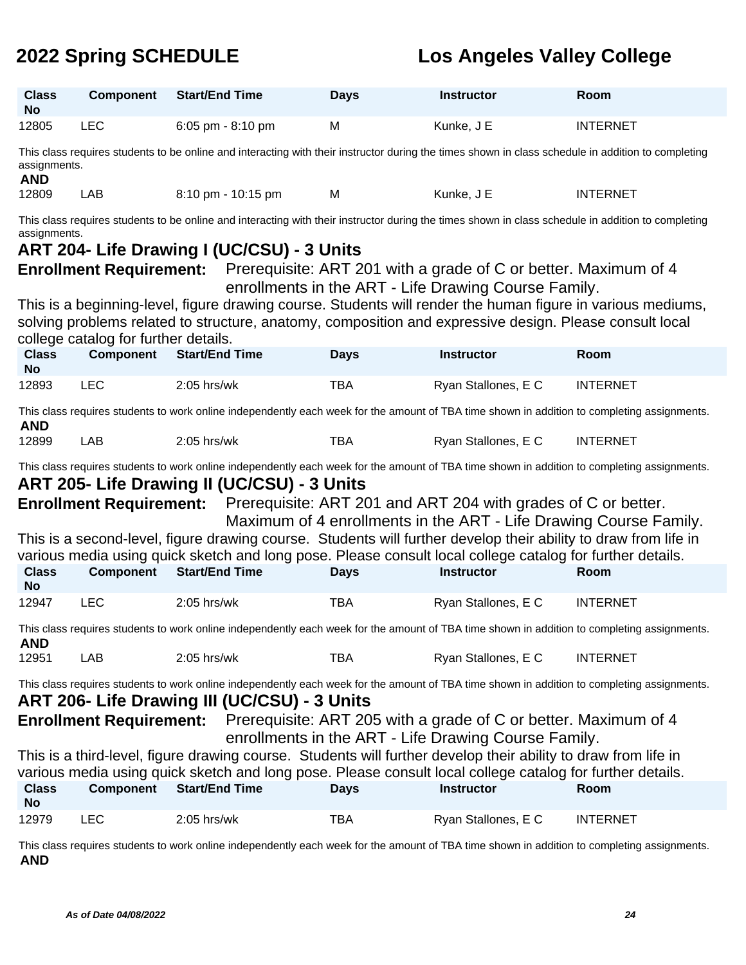| <b>Class</b><br><b>No</b> | <b>Component</b>                                                                                                                                                   | <b>Start/End Time</b>                                                                                                                                                                                                       | <b>Days</b> | <b>Instructor</b>                                                                                                       | Room            |  |  |  |
|---------------------------|--------------------------------------------------------------------------------------------------------------------------------------------------------------------|-----------------------------------------------------------------------------------------------------------------------------------------------------------------------------------------------------------------------------|-------------|-------------------------------------------------------------------------------------------------------------------------|-----------------|--|--|--|
| 12805                     | <b>LEC</b>                                                                                                                                                         | 6:05 pm - 8:10 pm                                                                                                                                                                                                           | M           | Kunke, J E                                                                                                              | <b>INTERNET</b> |  |  |  |
| <b>AND</b>                | This class requires students to be online and interacting with their instructor during the times shown in class schedule in addition to completing<br>assignments. |                                                                                                                                                                                                                             |             |                                                                                                                         |                 |  |  |  |
| 12809                     | LAB                                                                                                                                                                | 8:10 pm - 10:15 pm                                                                                                                                                                                                          | M           | Kunke, J E                                                                                                              | <b>INTERNET</b> |  |  |  |
| assignments.              |                                                                                                                                                                    | This class requires students to be online and interacting with their instructor during the times shown in class schedule in addition to completing                                                                          |             |                                                                                                                         |                 |  |  |  |
|                           |                                                                                                                                                                    | ART 204- Life Drawing I (UC/CSU) - 3 Units                                                                                                                                                                                  |             |                                                                                                                         |                 |  |  |  |
|                           | <b>Enrollment Requirement:</b>                                                                                                                                     |                                                                                                                                                                                                                             |             | Prerequisite: ART 201 with a grade of C or better. Maximum of 4<br>enrollments in the ART - Life Drawing Course Family. |                 |  |  |  |
|                           |                                                                                                                                                                    | This is a beginning-level, figure drawing course. Students will render the human figure in various mediums,                                                                                                                 |             |                                                                                                                         |                 |  |  |  |
|                           | college catalog for further details.                                                                                                                               | solving problems related to structure, anatomy, composition and expressive design. Please consult local                                                                                                                     |             |                                                                                                                         |                 |  |  |  |
| <b>Class</b><br><b>No</b> | <b>Component</b>                                                                                                                                                   | <b>Start/End Time</b>                                                                                                                                                                                                       | <b>Days</b> | <b>Instructor</b>                                                                                                       | Room            |  |  |  |
| 12893                     | <b>LEC</b>                                                                                                                                                         | 2:05 hrs/wk                                                                                                                                                                                                                 | <b>TBA</b>  | Ryan Stallones, E C                                                                                                     | <b>INTERNET</b> |  |  |  |
| <b>AND</b>                |                                                                                                                                                                    | This class requires students to work online independently each week for the amount of TBA time shown in addition to completing assignments.                                                                                 |             |                                                                                                                         |                 |  |  |  |
| 12899                     | LAB                                                                                                                                                                | 2:05 hrs/wk                                                                                                                                                                                                                 | <b>TBA</b>  | Ryan Stallones, E C                                                                                                     | <b>INTERNET</b> |  |  |  |
|                           |                                                                                                                                                                    | This class requires students to work online independently each week for the amount of TBA time shown in addition to completing assignments.<br>ART 205- Life Drawing II (UC/CSU) - 3 Units                                  |             |                                                                                                                         |                 |  |  |  |
|                           | <b>Enrollment Requirement:</b>                                                                                                                                     |                                                                                                                                                                                                                             |             | Prerequisite: ART 201 and ART 204 with grades of C or better.                                                           |                 |  |  |  |
|                           |                                                                                                                                                                    | This is a second-level, figure drawing course. Students will further develop their ability to draw from life in                                                                                                             |             | Maximum of 4 enrollments in the ART - Life Drawing Course Family.                                                       |                 |  |  |  |
| <b>Class</b><br><b>No</b> | <b>Component</b>                                                                                                                                                   | various media using quick sketch and long pose. Please consult local college catalog for further details.<br><b>Start/End Time</b>                                                                                          | <b>Days</b> | <b>Instructor</b>                                                                                                       | Room            |  |  |  |
| 12947                     | <b>LEC</b>                                                                                                                                                         | 2:05 hrs/wk                                                                                                                                                                                                                 | <b>TBA</b>  | Ryan Stallones, E C                                                                                                     | <b>INTERNET</b> |  |  |  |
| <b>AND</b>                |                                                                                                                                                                    | This class requires students to work online independently each week for the amount of TBA time shown in addition to completing assignments.                                                                                 |             |                                                                                                                         |                 |  |  |  |
| 12951                     | <b>LAB</b>                                                                                                                                                         | 2:05 hrs/wk                                                                                                                                                                                                                 | <b>TBA</b>  | Ryan Stallones, E C                                                                                                     | <b>INTERNET</b> |  |  |  |
|                           |                                                                                                                                                                    | This class requires students to work online independently each week for the amount of TBA time shown in addition to completing assignments.<br>ART 206- Life Drawing III (UC/CSU) - 3 Units                                 |             |                                                                                                                         |                 |  |  |  |
|                           | <b>Enrollment Requirement:</b>                                                                                                                                     |                                                                                                                                                                                                                             |             | Prerequisite: ART 205 with a grade of C or better. Maximum of 4<br>enrollments in the ART - Life Drawing Course Family. |                 |  |  |  |
|                           |                                                                                                                                                                    | This is a third-level, figure drawing course. Students will further develop their ability to draw from life in<br>various media using quick sketch and long pose. Please consult local college catalog for further details. |             |                                                                                                                         |                 |  |  |  |
| <b>Class</b><br><b>No</b> | <b>Component</b>                                                                                                                                                   | <b>Start/End Time</b>                                                                                                                                                                                                       | <b>Days</b> | <b>Instructor</b>                                                                                                       | Room            |  |  |  |
| 12979                     | <b>LEC</b>                                                                                                                                                         | 2:05 hrs/wk                                                                                                                                                                                                                 | <b>TBA</b>  | Ryan Stallones, E C                                                                                                     | <b>INTERNET</b> |  |  |  |

This class requires students to work online independently each week for the amount of TBA time shown in addition to completing assignments. **AND**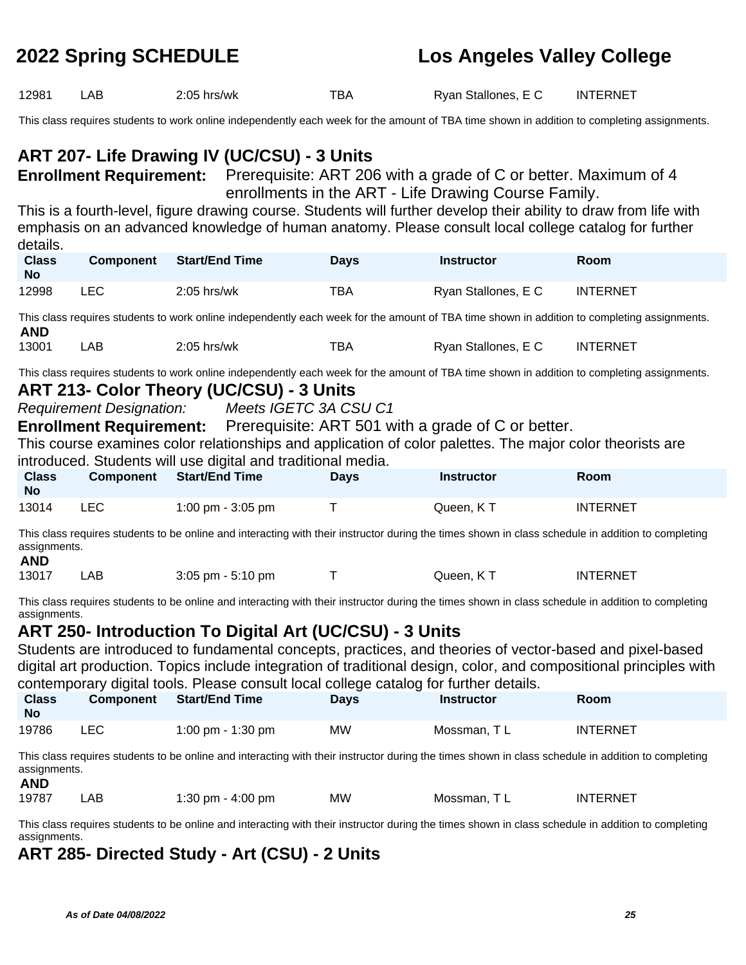| 12981                      | LAB                             | 2:05 hrs/wk                                                                                                                                                         | <b>TBA</b>  | Ryan Stallones, E C                                  | <b>INTERNET</b> |
|----------------------------|---------------------------------|---------------------------------------------------------------------------------------------------------------------------------------------------------------------|-------------|------------------------------------------------------|-----------------|
|                            |                                 | This class requires students to work online independently each week for the amount of TBA time shown in addition to completing assignments.                         |             |                                                      |                 |
|                            |                                 | ART 207- Life Drawing IV (UC/CSU) - 3 Units                                                                                                                         |             |                                                      |                 |
|                            |                                 | <b>Enrollment Requirement:</b> Prerequisite: ART 206 with a grade of C or better. Maximum of 4                                                                      |             |                                                      |                 |
|                            |                                 | This is a fourth-level, figure drawing course. Students will further develop their ability to draw from life with                                                   |             | enrollments in the ART - Life Drawing Course Family. |                 |
|                            |                                 | emphasis on an advanced knowledge of human anatomy. Please consult local college catalog for further                                                                |             |                                                      |                 |
| details.<br><b>Class</b>   | <b>Component</b>                | <b>Start/End Time</b>                                                                                                                                               | <b>Days</b> | <b>Instructor</b>                                    | Room            |
| <b>No</b>                  |                                 |                                                                                                                                                                     |             |                                                      |                 |
| 12998                      | <b>LEC</b>                      | 2:05 hrs/wk                                                                                                                                                         | <b>TBA</b>  | Ryan Stallones, E C                                  | <b>INTERNET</b> |
| <b>AND</b>                 |                                 | This class requires students to work online independently each week for the amount of TBA time shown in addition to completing assignments.                         |             |                                                      |                 |
| 13001                      | LAB                             | 2:05 hrs/wk                                                                                                                                                         | <b>TBA</b>  | Ryan Stallones, E C                                  | <b>INTERNET</b> |
|                            |                                 | This class requires students to work online independently each week for the amount of TBA time shown in addition to completing assignments.                         |             |                                                      |                 |
|                            |                                 | ART 213- Color Theory (UC/CSU) - 3 Units                                                                                                                            |             |                                                      |                 |
|                            | <b>Requirement Designation:</b> | Meets IGETC 3A CSU C1<br><b>Enrollment Requirement:</b> Prerequisite: ART 501 with a grade of C or better.                                                          |             |                                                      |                 |
|                            |                                 | This course examines color relationships and application of color palettes. The major color theorists are                                                           |             |                                                      |                 |
|                            |                                 | introduced. Students will use digital and traditional media.                                                                                                        |             |                                                      |                 |
|                            |                                 |                                                                                                                                                                     |             |                                                      |                 |
| <b>Class</b><br><b>No</b>  | <b>Component</b>                | <b>Start/End Time</b>                                                                                                                                               | <b>Days</b> | <b>Instructor</b>                                    | Room            |
| 13014                      | <b>LEC</b>                      | 1:00 pm - 3:05 pm                                                                                                                                                   | Τ           | Queen, KT                                            | <b>INTERNET</b> |
|                            |                                 | This class requires students to be online and interacting with their instructor during the times shown in class schedule in addition to completing                  |             |                                                      |                 |
| assignments.<br><b>AND</b> |                                 |                                                                                                                                                                     |             |                                                      |                 |
| 13017                      | LAB                             | 3:05 pm - 5:10 pm                                                                                                                                                   | T           | Queen, KT                                            | <b>INTERNET</b> |
|                            |                                 | This class requires students to be online and interacting with their instructor during the times shown in class schedule in addition to completing                  |             |                                                      |                 |
| assignments.               |                                 |                                                                                                                                                                     |             |                                                      |                 |
|                            |                                 | ART 250- Introduction To Digital Art (UC/CSU) - 3 Units<br>Students are introduced to fundamental concepts, practices, and theories of vector-based and pixel-based |             |                                                      |                 |
|                            |                                 | digital art production. Topics include integration of traditional design, color, and compositional principles with                                                  |             |                                                      |                 |
|                            |                                 | contemporary digital tools. Please consult local college catalog for further details.                                                                               |             |                                                      |                 |
| <b>Class</b><br><b>No</b>  | <b>Component</b>                | <b>Start/End Time</b>                                                                                                                                               | <b>Days</b> | <b>Instructor</b>                                    | Room            |
| 19786                      | <b>LEC</b>                      | 1:00 pm - 1:30 pm                                                                                                                                                   | <b>MW</b>   | Mossman, TL                                          | <b>INTERNET</b> |
| assignments.               |                                 | This class requires students to be online and interacting with their instructor during the times shown in class schedule in addition to completing                  |             |                                                      |                 |
| <b>AND</b><br>19787        | LAB                             | 1:30 pm - $4:00$ pm                                                                                                                                                 | <b>MW</b>   | Mossman, TL                                          | <b>INTERNET</b> |
| assignments.               |                                 | This class requires students to be online and interacting with their instructor during the times shown in class schedule in addition to completing                  |             |                                                      |                 |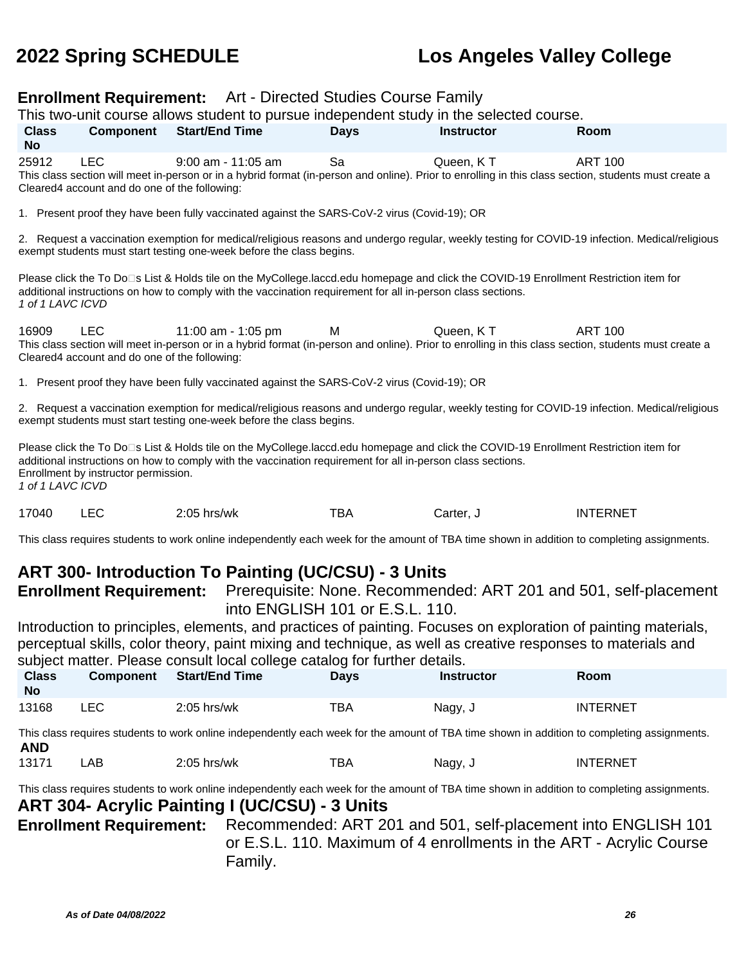| <b>Enrollment Requirement:</b> Art - Directed Studies Course Family<br>This two-unit course allows student to pursue independent study in the selected course. |                                                             |                                                                                                                                                                                                                                                                                                            |                                 |                   |                                                                  |  |  |
|----------------------------------------------------------------------------------------------------------------------------------------------------------------|-------------------------------------------------------------|------------------------------------------------------------------------------------------------------------------------------------------------------------------------------------------------------------------------------------------------------------------------------------------------------------|---------------------------------|-------------------|------------------------------------------------------------------|--|--|
| <b>Class</b><br><b>No</b>                                                                                                                                      | <b>Component</b>                                            | <b>Start/End Time</b>                                                                                                                                                                                                                                                                                      | <b>Days</b>                     | <b>Instructor</b> | Room                                                             |  |  |
| 25912                                                                                                                                                          | <b>LEC</b><br>Cleared4 account and do one of the following: | 9:00 am - 11:05 am<br>This class section will meet in-person or in a hybrid format (in-person and online). Prior to enrolling in this class section, students must create a                                                                                                                                | Sa                              | Queen, KT         | <b>ART 100</b>                                                   |  |  |
|                                                                                                                                                                |                                                             | 1. Present proof they have been fully vaccinated against the SARS-CoV-2 virus (Covid-19); OR                                                                                                                                                                                                               |                                 |                   |                                                                  |  |  |
|                                                                                                                                                                |                                                             | 2. Request a vaccination exemption for medical/religious reasons and undergo regular, weekly testing for COVID-19 infection. Medical/religious<br>exempt students must start testing one-week before the class begins.                                                                                     |                                 |                   |                                                                  |  |  |
| 1 of 1 LAVC ICVD                                                                                                                                               |                                                             | Please click the To Do□s List & Holds tile on the MyCollege.laccd.edu homepage and click the COVID-19 Enrollment Restriction item for<br>additional instructions on how to comply with the vaccination requirement for all in-person class sections.                                                       |                                 |                   |                                                                  |  |  |
| 16909                                                                                                                                                          | LEC<br>Cleared4 account and do one of the following:        | 11:00 am - 1:05 pm<br>This class section will meet in-person or in a hybrid format (in-person and online). Prior to enrolling in this class section, students must create a                                                                                                                                | M                               | Queen, KT         | <b>ART 100</b>                                                   |  |  |
|                                                                                                                                                                |                                                             | 1. Present proof they have been fully vaccinated against the SARS-CoV-2 virus (Covid-19); OR                                                                                                                                                                                                               |                                 |                   |                                                                  |  |  |
|                                                                                                                                                                |                                                             | 2. Request a vaccination exemption for medical/religious reasons and undergo regular, weekly testing for COVID-19 infection. Medical/religious<br>exempt students must start testing one-week before the class begins.                                                                                     |                                 |                   |                                                                  |  |  |
| 1 of 1 LAVC ICVD                                                                                                                                               | Enrollment by instructor permission.                        | Please click the To Do□s List & Holds tile on the MyCollege.laccd.edu homepage and click the COVID-19 Enrollment Restriction item for<br>additional instructions on how to comply with the vaccination requirement for all in-person class sections.                                                       |                                 |                   |                                                                  |  |  |
| 17040                                                                                                                                                          | <b>LEC</b>                                                  | 2:05 hrs/wk                                                                                                                                                                                                                                                                                                | <b>TBA</b>                      | Carter, J         | <b>INTERNET</b>                                                  |  |  |
|                                                                                                                                                                |                                                             | This class requires students to work online independently each week for the amount of TBA time shown in addition to completing assignments.                                                                                                                                                                |                                 |                   |                                                                  |  |  |
|                                                                                                                                                                | <b>Enrollment Requirement:</b>                              | <b>ART 300- Introduction To Painting (UC/CSU) - 3 Units</b>                                                                                                                                                                                                                                                | into ENGLISH 101 or E.S.L. 110. |                   | Prerequisite: None. Recommended: ART 201 and 501, self-placement |  |  |
|                                                                                                                                                                |                                                             | Introduction to principles, elements, and practices of painting. Focuses on exploration of painting materials,<br>perceptual skills, color theory, paint mixing and technique, as well as creative responses to materials and<br>subject matter. Please consult local college catalog for further details. |                                 |                   |                                                                  |  |  |
| <b>Class</b><br><b>No</b>                                                                                                                                      | <b>Component</b>                                            | <b>Start/End Time</b>                                                                                                                                                                                                                                                                                      | <b>Days</b>                     | <b>Instructor</b> | Room                                                             |  |  |
| 13168                                                                                                                                                          | <b>LEC</b>                                                  | 2:05 hrs/wk                                                                                                                                                                                                                                                                                                | <b>TBA</b>                      | Nagy, J           | <b>INTERNET</b>                                                  |  |  |
| <b>AND</b>                                                                                                                                                     |                                                             | This class requires students to work online independently each week for the amount of TBA time shown in addition to completing assignments.                                                                                                                                                                |                                 |                   |                                                                  |  |  |
| 13171                                                                                                                                                          | LAB                                                         | 2:05 hrs/wk                                                                                                                                                                                                                                                                                                | <b>TBA</b>                      | Nagy, J           | <b>INTERNET</b>                                                  |  |  |
|                                                                                                                                                                |                                                             | This class requires students to work online independently each week for the amount of TBA time shown in addition to completing assignments.                                                                                                                                                                |                                 |                   |                                                                  |  |  |

### **ART 304- Acrylic Painting I (UC/CSU) - 3 Units**

**Enrollment Requirement:** Recommended: ART 201 and 501, self-placement into ENGLISH 101 or E.S.L. 110. Maximum of 4 enrollments in the ART - Acrylic Course Family.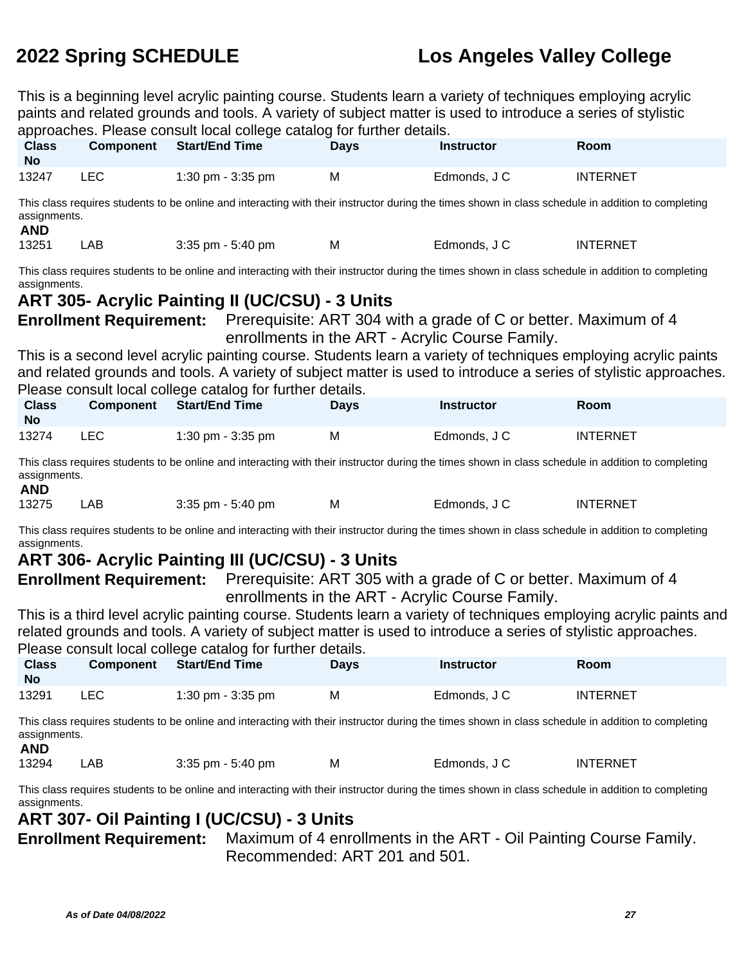This is a beginning level acrylic painting course. Students learn a variety of techniques employing acrylic paints and related grounds and tools. A variety of subject matter is used to introduce a series of stylistic approaches. Please consult local college catalog for further details.

| <b>Class</b><br><b>No</b>  | <b>Component</b>                                                                                                                                                                                                                                                                                                                                                                                                                                                                                                                                                                                                                                                                       | <b>Start/End Time</b>                                                                                                                              | <b>Days</b> | <b>Instructor</b> | Room            |  |  |
|----------------------------|----------------------------------------------------------------------------------------------------------------------------------------------------------------------------------------------------------------------------------------------------------------------------------------------------------------------------------------------------------------------------------------------------------------------------------------------------------------------------------------------------------------------------------------------------------------------------------------------------------------------------------------------------------------------------------------|----------------------------------------------------------------------------------------------------------------------------------------------------|-------------|-------------------|-----------------|--|--|
| 13247                      | <b>LEC</b>                                                                                                                                                                                                                                                                                                                                                                                                                                                                                                                                                                                                                                                                             | 1:30 pm - 3:35 pm                                                                                                                                  | M           | Edmonds, J C      | <b>INTERNET</b> |  |  |
| assignments.<br><b>AND</b> |                                                                                                                                                                                                                                                                                                                                                                                                                                                                                                                                                                                                                                                                                        | This class requires students to be online and interacting with their instructor during the times shown in class schedule in addition to completing |             |                   |                 |  |  |
| 13251                      | LAB                                                                                                                                                                                                                                                                                                                                                                                                                                                                                                                                                                                                                                                                                    | $3:35$ pm - $5:40$ pm                                                                                                                              | М           | Edmonds, J C      | <b>INTERNET</b> |  |  |
|                            | This class requires students to be online and interacting with their instructor during the times shown in class schedule in addition to completing<br>assignments.<br><b>ART 305- Acrylic Painting II (UC/CSU) - 3 Units</b><br><b>Enrollment Requirement:</b> Prerequisite: ART 304 with a grade of C or better. Maximum of 4<br>enrollments in the ART - Acrylic Course Family.<br>This is a second level acrylic painting course. Students learn a variety of techniques employing acrylic paints<br>and related grounds and tools. A variety of subject matter is used to introduce a series of stylistic approaches.<br>Please consult local college catalog for further details. |                                                                                                                                                    |             |                   |                 |  |  |
| <b>Class</b><br><b>No</b>  | <b>Component</b>                                                                                                                                                                                                                                                                                                                                                                                                                                                                                                                                                                                                                                                                       | <b>Start/End Time</b>                                                                                                                              | <b>Days</b> | <b>Instructor</b> | Room            |  |  |
| 13274                      | <b>LEC</b>                                                                                                                                                                                                                                                                                                                                                                                                                                                                                                                                                                                                                                                                             | 1:30 pm - 3:35 pm                                                                                                                                  | M           | Edmonds, J C      | <b>INTERNET</b> |  |  |
|                            |                                                                                                                                                                                                                                                                                                                                                                                                                                                                                                                                                                                                                                                                                        | This class requires students to be online and interacting with their instructor during the times shown in class schedule in addition to completing |             |                   |                 |  |  |

This class requires students to be online and interacting with their instructor during the times shown in class schedule in addition to completing assignments. **AND**

| ----- |     |                      |   |              |                 |
|-------|-----|----------------------|---|--------------|-----------------|
| 13275 | LAB | $3:35$ pm $-5:40$ pm | M | Edmonds, J C | <b>INTERNET</b> |

This class requires students to be online and interacting with their instructor during the times shown in class schedule in addition to completing assignments.

# **ART 306- Acrylic Painting III (UC/CSU) - 3 Units**

**Enrollment Requirement:** Prerequisite: ART 305 with a grade of C or better. Maximum of 4 enrollments in the ART - Acrylic Course Family.

This is a third level acrylic painting course. Students learn a variety of techniques employing acrylic paints and related grounds and tools. A variety of subject matter is used to introduce a series of stylistic approaches. Please consult local college catalog for further details.

| <b>Class</b><br><b>No</b> | <b>Component</b> | <b>Start/End Time</b> | <b>Days</b> | <b>Instructor</b> | <b>Room</b>     |
|---------------------------|------------------|-----------------------|-------------|-------------------|-----------------|
| 13291                     | ∟EC.             | 1:30 pm - 3:35 pm     | м           | Edmonds, J C      | <b>INTERNET</b> |

This class requires students to be online and interacting with their instructor during the times shown in class schedule in addition to completing assignments.

### **AND**

```
13294 LAB 3:35 pm - 5:40 pm M Edmonds, J C INTERNET
```
This class requires students to be online and interacting with their instructor during the times shown in class schedule in addition to completing assignments.

## **ART 307- Oil Painting I (UC/CSU) - 3 Units**

**Enrollment Requirement:** Maximum of 4 enrollments in the ART - Oil Painting Course Family. Recommended: ART 201 and 501.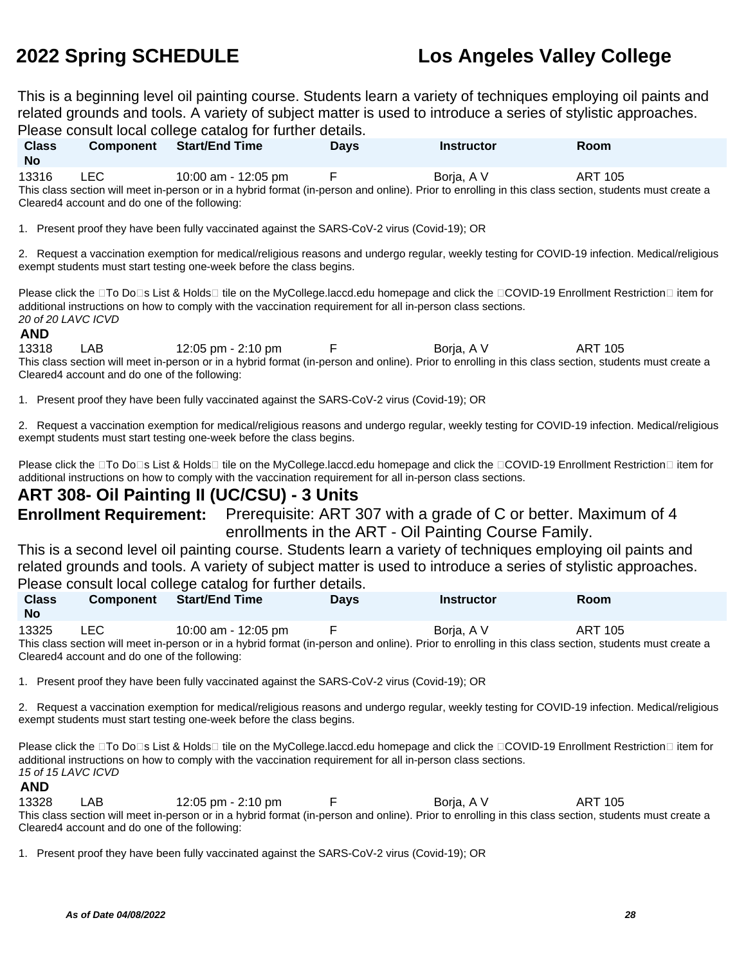This is a beginning level oil painting course. Students learn a variety of techniques employing oil paints and related grounds and tools. A variety of subject matter is used to introduce a series of stylistic approaches. Please consult local college catalog for further details.

| <b>Class</b><br><b>No</b>                                                                                                                             | <b>Component</b>                              | <b>Start/End Time</b> | <b>Davs</b> | <b>Instructor</b> | Room    |  |  |  |
|-------------------------------------------------------------------------------------------------------------------------------------------------------|-----------------------------------------------|-----------------------|-------------|-------------------|---------|--|--|--|
| 13316                                                                                                                                                 | LEC .                                         | 10:00 am - 12:05 pm   |             | Boria, A V        | ART 105 |  |  |  |
| This class section will meet in-person or in a hybrid format (in-person and online). Prior to enrolling in this class section, students must create a |                                               |                       |             |                   |         |  |  |  |
|                                                                                                                                                       | Cleared4 account and do one of the following: |                       |             |                   |         |  |  |  |

1. Present proof they have been fully vaccinated against the SARS-CoV-2 virus (Covid-19); OR

2. Request a vaccination exemption for medical/religious reasons and undergo regular, weekly testing for COVID-19 infection. Medical/religious exempt students must start testing one-week before the class begins.

Please click the □To Do□s List & Holds□ tile on the MyCollege.laccd.edu homepage and click the □COVID-19 Enrollment Restriction□ item for additional instructions on how to comply with the vaccination requirement for all in-person class sections. 20 of 20 LAVC ICVD

### **AND**

13318 LAB 12:05 pm - 2:10 pm F Borja, A V ART 105 This class section will meet in-person or in a hybrid format (in-person and online). Prior to enrolling in this class section, students must create a Cleared4 account and do one of the following:

1. Present proof they have been fully vaccinated against the SARS-CoV-2 virus (Covid-19); OR

2. Request a vaccination exemption for medical/religious reasons and undergo regular, weekly testing for COVID-19 infection. Medical/religious exempt students must start testing one-week before the class begins.

Please click the □To Do□s List & Holds□ tile on the MyCollege.laccd.edu homepage and click the □COVID-19 Enrollment Restriction□ item for additional instructions on how to comply with the vaccination requirement for all in-person class sections.

### **ART 308- Oil Painting II (UC/CSU) - 3 Units**

**Enrollment Requirement:** Prerequisite: ART 307 with a grade of C or better. Maximum of 4 enrollments in the ART - Oil Painting Course Family.

This is a second level oil painting course. Students learn a variety of techniques employing oil paints and related grounds and tools. A variety of subject matter is used to introduce a series of stylistic approaches. Please consult local college catalog for further details.

| <b>Class</b><br><b>No</b>                                                                                                                             | <b>Component</b> | <b>Start/End Time</b> | <b>Davs</b> | <b>Instructor</b> | <b>Room</b> |  |  |
|-------------------------------------------------------------------------------------------------------------------------------------------------------|------------------|-----------------------|-------------|-------------------|-------------|--|--|
| 13325                                                                                                                                                 | LEC.             | 10:00 am - 12:05 pm   |             | Boria, A V        | ART 105     |  |  |
| This class section will meet in-person or in a hybrid format (in-person and online). Prior to enrolling in this class section, students must create a |                  |                       |             |                   |             |  |  |
| Cleared4 account and do one of the following:                                                                                                         |                  |                       |             |                   |             |  |  |

1. Present proof they have been fully vaccinated against the SARS-CoV-2 virus (Covid-19); OR

2. Request a vaccination exemption for medical/religious reasons and undergo regular, weekly testing for COVID-19 infection. Medical/religious exempt students must start testing one-week before the class begins.

Please click the □To Do□s List & Holds□ tile on the MyCollege.laccd.edu homepage and click the □COVID-19 Enrollment Restriction□ item for additional instructions on how to comply with the vaccination requirement for all in-person class sections. 15 of 15 LAVC ICVD

**AND**

13328 LAB 12:05 pm - 2:10 pm F Borja, A V ART 105 This class section will meet in-person or in a hybrid format (in-person and online). Prior to enrolling in this class section, students must create a Cleared4 account and do one of the following:

1. Present proof they have been fully vaccinated against the SARS-CoV-2 virus (Covid-19); OR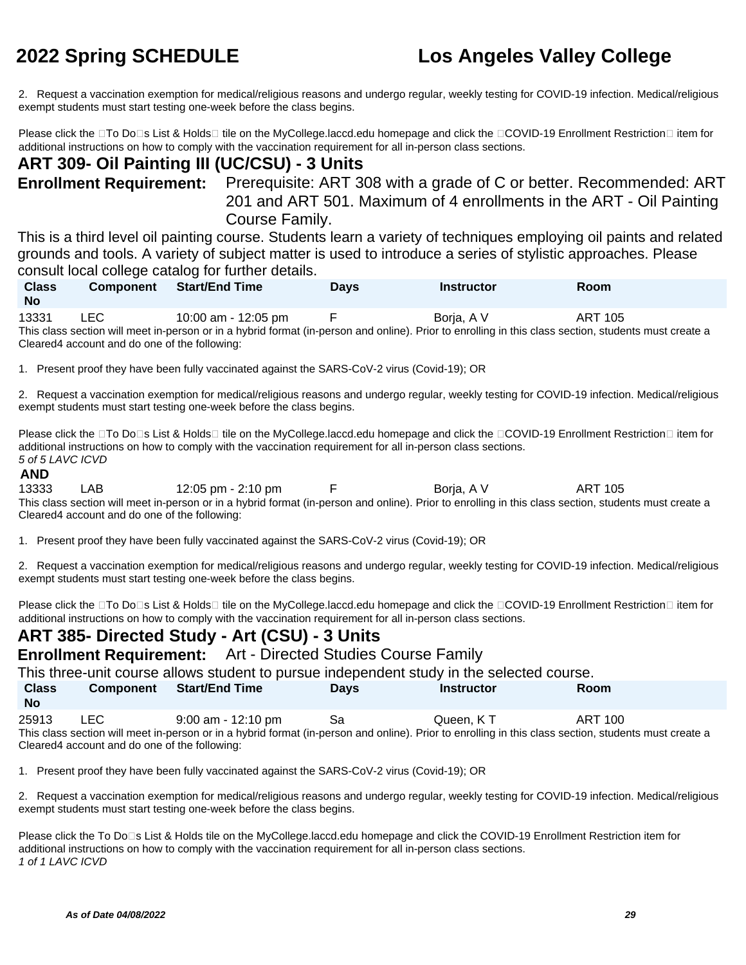2. Request a vaccination exemption for medical/religious reasons and undergo regular, weekly testing for COVID-19 infection. Medical/religious exempt students must start testing one-week before the class begins.

Please click the □To Do□s List & Holds□ tile on the MyCollege.laccd.edu homepage and click the □COVID-19 Enrollment Restriction□ item for additional instructions on how to comply with the vaccination requirement for all in-person class sections.

## **ART 309- Oil Painting III (UC/CSU) - 3 Units**

**Enrollment Requirement:** Prerequisite: ART 308 with a grade of C or better. Recommended: ART 201 and ART 501. Maximum of 4 enrollments in the ART - Oil Painting Course Family.

This is a third level oil painting course. Students learn a variety of techniques employing oil paints and related grounds and tools. A variety of subject matter is used to introduce a series of stylistic approaches. Please consult local college catalog for further details.

| <b>Class</b><br><b>No</b> | Component     | Start/End Time                   | <b>Days</b> | <b>Instructor</b> | Room         |  |
|---------------------------|---------------|----------------------------------|-------------|-------------------|--------------|--|
| .                         | $\sim$ $\sim$ | .<br>$\sim$ $\sim$ $\sim$ $\sim$ |             |                   | . <b>. .</b> |  |

13331 LEC 10:00 am - 12:05 pm F Boria, A V ART 105 This class section will meet in-person or in a hybrid format (in-person and online). Prior to enrolling in this class section, students must create a Cleared4 account and do one of the following:

1. Present proof they have been fully vaccinated against the SARS-CoV-2 virus (Covid-19); OR

2. Request a vaccination exemption for medical/religious reasons and undergo regular, weekly testing for COVID-19 infection. Medical/religious exempt students must start testing one-week before the class begins.

Please click the □To Do□s List & Holds□ tile on the MyCollege.laccd.edu homepage and click the □COVID-19 Enrollment Restriction□ item for additional instructions on how to comply with the vaccination requirement for all in-person class sections. 5 of 5 LAVC ICVD

### **AND**

13333 LAB 12:05 pm - 2:10 pm F Borja, A V ART 105 This class section will meet in-person or in a hybrid format (in-person and online). Prior to enrolling in this class section, students must create a Cleared4 account and do one of the following:

1. Present proof they have been fully vaccinated against the SARS-CoV-2 virus (Covid-19); OR

2. Request a vaccination exemption for medical/religious reasons and undergo regular, weekly testing for COVID-19 infection. Medical/religious exempt students must start testing one-week before the class begins.

Please click the □To Do□s List & Holds□ tile on the MyCollege.laccd.edu homepage and click the □COVID-19 Enrollment Restriction□ item for additional instructions on how to comply with the vaccination requirement for all in-person class sections.

# **ART 385- Directed Study - Art (CSU) - 3 Units**

**Enrollment Requirement:** Art - Directed Studies Course Family

This three-unit course allows student to pursue independent study in the selected course.

| <b>Class</b><br>No | <b>Component</b> | <b>Start/End Time</b> | Davs | <b>Instructor</b> | Room    |  |
|--------------------|------------------|-----------------------|------|-------------------|---------|--|
| 25913              | LEC              | $9:00$ am - 12:10 pm  | Sa   | Queen. K T        | ART 100 |  |

This class section will meet in-person or in a hybrid format (in-person and online). Prior to enrolling in this class section, students must create a Cleared4 account and do one of the following:

1. Present proof they have been fully vaccinated against the SARS-CoV-2 virus (Covid-19); OR

2. Request a vaccination exemption for medical/religious reasons and undergo regular, weekly testing for COVID-19 infection. Medical/religious exempt students must start testing one-week before the class begins.

Please click the To Do<sup>n</sup>s List & Holds tile on the MyCollege.laccd.edu homepage and click the COVID-19 Enrollment Restriction item for additional instructions on how to comply with the vaccination requirement for all in-person class sections. 1 of 1 LAVC ICVD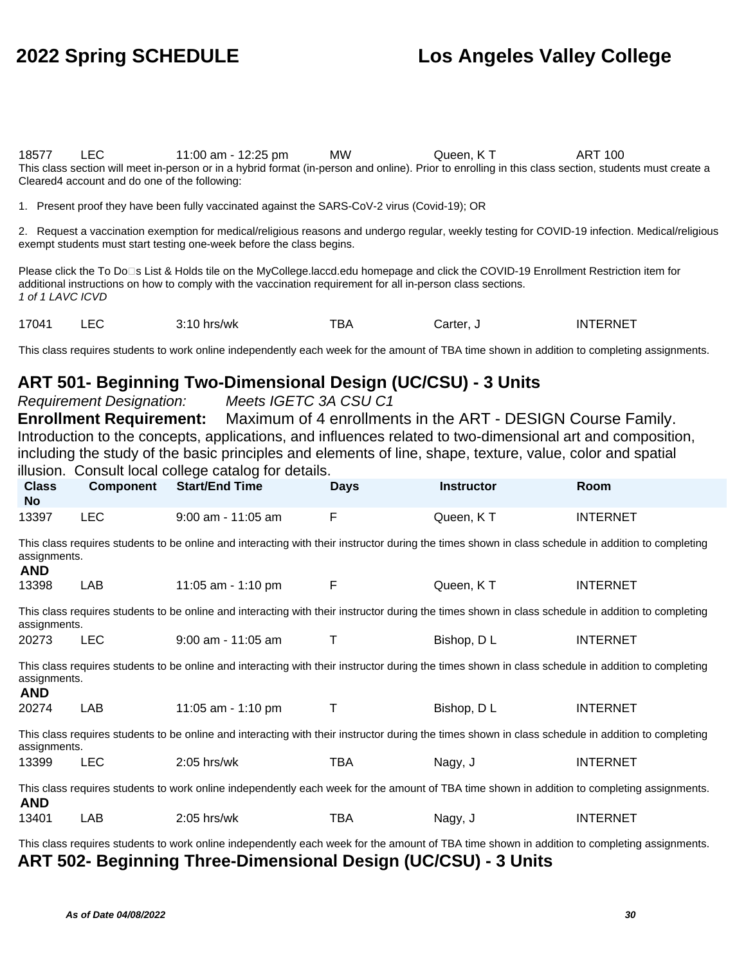18577 LEC 11:00 am - 12:25 pm MW Queen, K T ART 100 This class section will meet in-person or in a hybrid format (in-person and online). Prior to enrolling in this class section, students must create a Cleared4 account and do one of the following:

1. Present proof they have been fully vaccinated against the SARS-CoV-2 virus (Covid-19); OR

2. Request a vaccination exemption for medical/religious reasons and undergo regular, weekly testing for COVID-19 infection. Medical/religious exempt students must start testing one-week before the class begins.

Please click the To Do□s List & Holds tile on the MyCollege.laccd.edu homepage and click the COVID-19 Enrollment Restriction item for additional instructions on how to comply with the vaccination requirement for all in-person class sections. 1 of 1 LAVC ICVD

17041 LEC 3:10 hrs/wk TBA Carter, J INTERNET

This class requires students to work online independently each week for the amount of TBA time shown in addition to completing assignments.

### **ART 501- Beginning Two-Dimensional Design (UC/CSU) - 3 Units**

Requirement Designation: Meets IGETC 3A CSU C1

**Enrollment Requirement:** Maximum of 4 enrollments in the ART - DESIGN Course Family. Introduction to the concepts, applications, and influences related to two-dimensional art and composition, including the study of the basic principles and elements of line, shape, texture, value, color and spatial illusion. Consult local college catalog for details.

| <b>Class</b>                                                                                                                                                                     | Component                                                                                                                                                          | sonodit ibodi bonogo batalog ibi dotalio.<br><b>Start/End Time</b> | <b>Days</b> | <b>Instructor</b> | Room            |  |  |  |
|----------------------------------------------------------------------------------------------------------------------------------------------------------------------------------|--------------------------------------------------------------------------------------------------------------------------------------------------------------------|--------------------------------------------------------------------|-------------|-------------------|-----------------|--|--|--|
| No                                                                                                                                                                               |                                                                                                                                                                    |                                                                    |             |                   |                 |  |  |  |
| 13397                                                                                                                                                                            | <b>LEC</b>                                                                                                                                                         | 9:00 am - 11:05 am                                                 | F           | Queen, KT         | <b>INTERNET</b> |  |  |  |
| This class requires students to be online and interacting with their instructor during the times shown in class schedule in addition to completing<br>assignments.<br><b>AND</b> |                                                                                                                                                                    |                                                                    |             |                   |                 |  |  |  |
| 13398                                                                                                                                                                            | LAB                                                                                                                                                                | 11:05 am - 1:10 pm                                                 | F           | Queen, KT         | <b>INTERNET</b> |  |  |  |
|                                                                                                                                                                                  | This class requires students to be online and interacting with their instructor during the times shown in class schedule in addition to completing<br>assignments. |                                                                    |             |                   |                 |  |  |  |
| 20273                                                                                                                                                                            | <b>LEC</b>                                                                                                                                                         | $9:00$ am - 11:05 am                                               | т           | Bishop, D L       | <b>INTERNET</b> |  |  |  |
| This class requires students to be online and interacting with their instructor during the times shown in class schedule in addition to completing<br>assignments.<br><b>AND</b> |                                                                                                                                                                    |                                                                    |             |                   |                 |  |  |  |
| 20274                                                                                                                                                                            | LAB                                                                                                                                                                | 11:05 am - 1:10 pm                                                 | Τ           | Bishop, D L       | <b>INTERNET</b> |  |  |  |
| This class requires students to be online and interacting with their instructor during the times shown in class schedule in addition to completing<br>assignments.               |                                                                                                                                                                    |                                                                    |             |                   |                 |  |  |  |
| 13399                                                                                                                                                                            | <b>LEC</b>                                                                                                                                                         | $2:05$ hrs/wk                                                      | <b>TBA</b>  | Nagy, J           | <b>INTERNET</b> |  |  |  |
| This class requires students to work online independently each week for the amount of TBA time shown in addition to completing assignments.<br><b>AND</b>                        |                                                                                                                                                                    |                                                                    |             |                   |                 |  |  |  |
| 13401                                                                                                                                                                            | LAB                                                                                                                                                                | $2:05$ hrs/wk                                                      | <b>TBA</b>  | Nagy, J           | <b>INTERNET</b> |  |  |  |

This class requires students to work online independently each week for the amount of TBA time shown in addition to completing assignments. **ART 502- Beginning Three-Dimensional Design (UC/CSU) - 3 Units**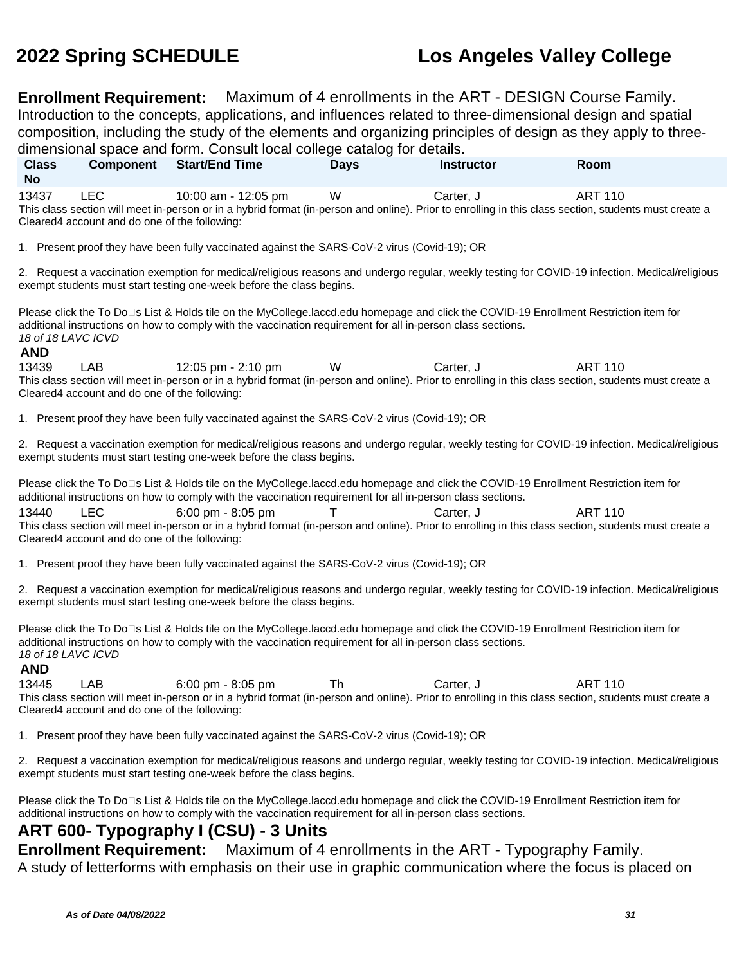**Enrollment Requirement:** Maximum of 4 enrollments in the ART - DESIGN Course Family. Introduction to the concepts, applications, and influences related to three-dimensional design and spatial composition, including the study of the elements and organizing principles of design as they apply to threedimensional space and form. Consult local college catalog for details. **Class No Component Start/End Time Days Instructor Room** 13437 LEC 10:00 am - 12:05 pm W Carter, J ART 110 This class section will meet in-person or in a hybrid format (in-person and online). Prior to enrolling in this class section, students must create a Cleared4 account and do one of the following: 1. Present proof they have been fully vaccinated against the SARS-CoV-2 virus (Covid-19); OR 2. Request a vaccination exemption for medical/religious reasons and undergo regular, weekly testing for COVID-19 infection. Medical/religious exempt students must start testing one-week before the class begins. Please click the To Do□s List & Holds tile on the MyCollege.laccd.edu homepage and click the COVID-19 Enrollment Restriction item for additional instructions on how to comply with the vaccination requirement for all in-person class sections. 18 of 18 LAVC ICVD **AND** 13439 LAB 12:05 pm - 2:10 pm W Carter, J ART 110 This class section will meet in-person or in a hybrid format (in-person and online). Prior to enrolling in this class section, students must create a Cleared4 account and do one of the following: 1. Present proof they have been fully vaccinated against the SARS-CoV-2 virus (Covid-19); OR 2. Request a vaccination exemption for medical/religious reasons and undergo regular, weekly testing for COVID-19 infection. Medical/religious exempt students must start testing one-week before the class begins. Please click the To Do<sup>n</sup>s List & Holds tile on the MyCollege.laccd.edu homepage and click the COVID-19 Enrollment Restriction item for additional instructions on how to comply with the vaccination requirement for all in-person class sections. 13440 LEC 6:00 pm - 8:05 pm T Carter, J ART 110 This class section will meet in-person or in a hybrid format (in-person and online). Prior to enrolling in this class section, students must create a Cleared4 account and do one of the following: 1. Present proof they have been fully vaccinated against the SARS-CoV-2 virus (Covid-19); OR 2. Request a vaccination exemption for medical/religious reasons and undergo regular, weekly testing for COVID-19 infection. Medical/religious exempt students must start testing one-week before the class begins. Please click the To Do<sup>n</sup>s List & Holds tile on the MyCollege.laccd.edu homepage and click the COVID-19 Enrollment Restriction item for additional instructions on how to comply with the vaccination requirement for all in-person class sections. 18 of 18 LAVC ICVD **AND** 13445 LAB 6:00 pm - 8:05 pm Th Carter, J ART 110 This class section will meet in-person or in a hybrid format (in-person and online). Prior to enrolling in this class section, students must create a Cleared4 account and do one of the following: 1. Present proof they have been fully vaccinated against the SARS-CoV-2 virus (Covid-19); OR 2. Request a vaccination exemption for medical/religious reasons and undergo regular, weekly testing for COVID-19 infection. Medical/religious exempt students must start testing one-week before the class begins. Please click the To Do□s List & Holds tile on the MyCollege.laccd.edu homepage and click the COVID-19 Enrollment Restriction item for additional instructions on how to comply with the vaccination requirement for all in-person class sections.

### **ART 600- Typography I (CSU) - 3 Units**

**Enrollment Requirement:** Maximum of 4 enrollments in the ART - Typography Family. A study of letterforms with emphasis on their use in graphic communication where the focus is placed on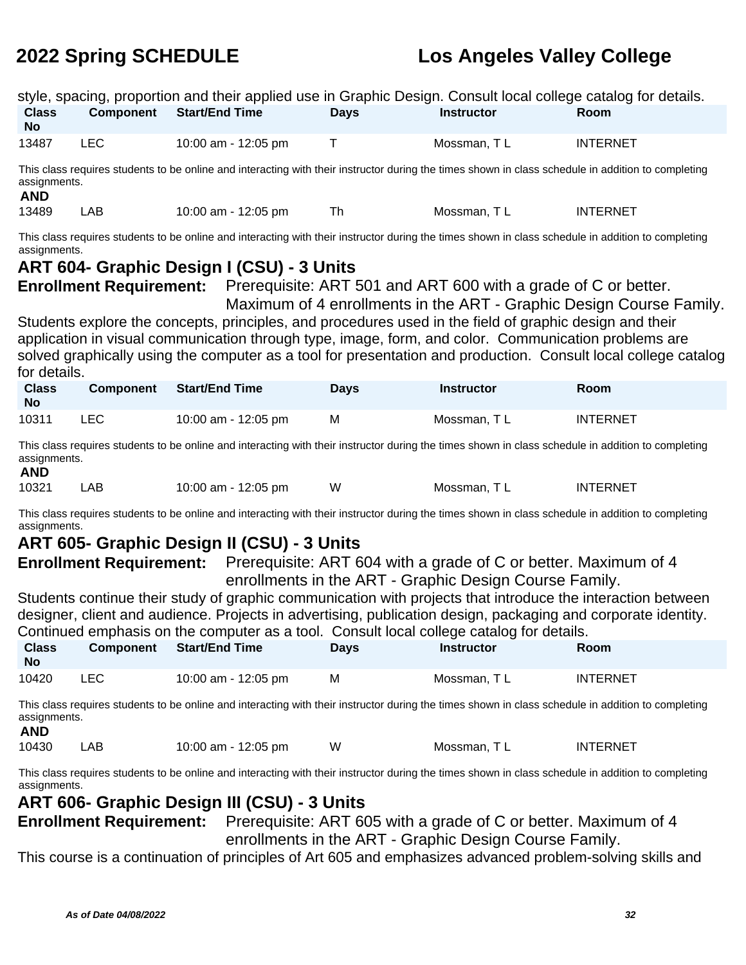| style, spacing, proportion and their applied use in Graphic Design. Consult local college catalog for details.                                                                   |                  |                       |             |                   |                 |  |  |
|----------------------------------------------------------------------------------------------------------------------------------------------------------------------------------|------------------|-----------------------|-------------|-------------------|-----------------|--|--|
| <b>Class</b><br>No.                                                                                                                                                              | <b>Component</b> | <b>Start/End Time</b> | <b>Days</b> | <b>Instructor</b> | <b>Room</b>     |  |  |
| 13487                                                                                                                                                                            | LEC.             | 10:00 am - 12:05 pm   |             | Mossman, TL       | <b>INTERNET</b> |  |  |
| This class requires students to be online and interacting with their instructor during the times shown in class schedule in addition to completing<br>assignments.<br><b>AND</b> |                  |                       |             |                   |                 |  |  |
| 13489                                                                                                                                                                            | <b>LAB</b>       | 10:00 am - 12:05 pm   | Th          | Mossman, TL       | <b>INTERNET</b> |  |  |
| This class requires students to be online and interacting with their instructor during the times shown in class schedule in addition to completing<br>assignments.               |                  |                       |             |                   |                 |  |  |

### **ART 604- Graphic Design I (CSU) - 3 Units**

**Enrollment Requirement:** Prerequisite: ART 501 and ART 600 with a grade of C or better.

Maximum of 4 enrollments in the ART - Graphic Design Course Family. Students explore the concepts, principles, and procedures used in the field of graphic design and their application in visual communication through type, image, form, and color. Communication problems are solved graphically using the computer as a tool for presentation and production. Consult local college catalog for details.

| <b>Class</b><br>No | <b>Component</b> | <b>Start/End Time</b> | <b>Days</b> | <b>Instructor</b> | Room            |
|--------------------|------------------|-----------------------|-------------|-------------------|-----------------|
| 10311              | LEC.             | 10:00 am - 12:05 pm   | M           | Mossman, TL       | <b>INTERNET</b> |

This class requires students to be online and interacting with their instructor during the times shown in class schedule in addition to completing assignments.

### **AND**

| ----- |     |                     |   |              |                 |
|-------|-----|---------------------|---|--------------|-----------------|
| 10321 | .AB | 10:00 am - 12:05 pm | W | Mossman. T L | <b>INTERNET</b> |

This class requires students to be online and interacting with their instructor during the times shown in class schedule in addition to completing assignments.

## **ART 605- Graphic Design II (CSU) - 3 Units**

**Enrollment Requirement:** Prerequisite: ART 604 with a grade of C or better. Maximum of 4 enrollments in the ART - Graphic Design Course Family.

Students continue their study of graphic communication with projects that introduce the interaction between designer, client and audience. Projects in advertising, publication design, packaging and corporate identity. Continued emphasis on the computer as a tool. Consult local college catalog for details.

| <b>Class</b><br><b>No</b> |            | Component Start/End Time | <b>Days</b> | <b>Instructor</b> | <b>Room</b>     |
|---------------------------|------------|--------------------------|-------------|-------------------|-----------------|
| 10420                     | <b>LEC</b> | 10:00 am - 12:05 pm      | м           | Mossman. T L      | <b>INTERNET</b> |

This class requires students to be online and interacting with their instructor during the times shown in class schedule in addition to completing assignments.

### **AND**

|  | 10430 | AВ | 10:00 am - 12:05 pm | W | Mossman. | <b>INTERNET</b> |
|--|-------|----|---------------------|---|----------|-----------------|
|--|-------|----|---------------------|---|----------|-----------------|

This class requires students to be online and interacting with their instructor during the times shown in class schedule in addition to completing assignments.

### **ART 606- Graphic Design III (CSU) - 3 Units**

**Enrollment Requirement:** Prerequisite: ART 605 with a grade of C or better. Maximum of 4 enrollments in the ART - Graphic Design Course Family.

This course is a continuation of principles of Art 605 and emphasizes advanced problem-solving skills and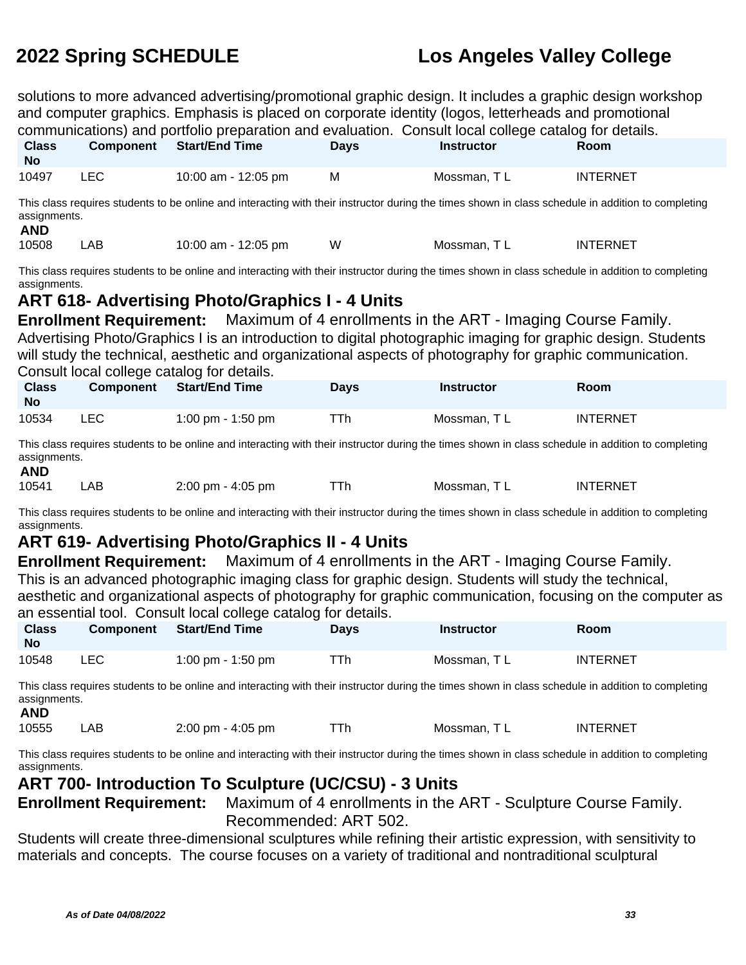solutions to more advanced advertising/promotional graphic design. It includes a graphic design workshop and computer graphics. Emphasis is placed on corporate identity (logos, letterheads and promotional communications) and portfolio preparation and evaluation. Consult local college catalog for details.

| <b>Class</b><br><b>No</b> | <b>Component</b> | <b>Start/End Time</b> | <b>Davs</b> | <b>Instructor</b> | Room            |
|---------------------------|------------------|-----------------------|-------------|-------------------|-----------------|
| 10497                     | LEC              | 10:00 am - 12:05 pm   | м           | Mossman. T L      | <b>INTERNET</b> |

This class requires students to be online and interacting with their instructor during the times shown in class schedule in addition to completing assignments.

10508 LAB 10:00 am - 12:05 pm W Mossman, T L INTERNET

This class requires students to be online and interacting with their instructor during the times shown in class schedule in addition to completing assignments.

### **ART 618- Advertising Photo/Graphics I - 4 Units**

**Enrollment Requirement:** Maximum of 4 enrollments in the ART - Imaging Course Family. Advertising Photo/Graphics I is an introduction to digital photographic imaging for graphic design. Students will study the technical, aesthetic and organizational aspects of photography for graphic communication. Consult local college catalog for details.

| <b>Class</b><br><b>No</b> | <b>Component</b> | Start/End Time    | <b>Days</b> | <b>Instructor</b> | Room     |
|---------------------------|------------------|-------------------|-------------|-------------------|----------|
| 10534                     | LEC.             | 1:00 pm - 1:50 pm | ⊤Th         | Mossman. T L      | INTERNET |

This class requires students to be online and interacting with their instructor during the times shown in class schedule in addition to completing assignments.

### **AND**

10541 LAB 2:00 pm - 4:05 pm TTh Mossman, TL INTERNET

This class requires students to be online and interacting with their instructor during the times shown in class schedule in addition to completing assignments.

### **ART 619- Advertising Photo/Graphics II - 4 Units**

**Enrollment Requirement:** Maximum of 4 enrollments in the ART - Imaging Course Family. This is an advanced photographic imaging class for graphic design. Students will study the technical, aesthetic and organizational aspects of photography for graphic communication, focusing on the computer as an essential tool. Consult local college catalog for details.

| <b>Class</b><br>No | <b>Component</b> | Start/End Time    | Davs | <b>Instructor</b> | Room            |
|--------------------|------------------|-------------------|------|-------------------|-----------------|
| 10548              | LEC              | 1:00 pm - 1:50 pm | ⊤Тh  | Mossman, TL       | <b>INTERNET</b> |

This class requires students to be online and interacting with their instructor during the times shown in class schedule in addition to completing assignments.

### **AND**

10555 LAB 2:00 pm - 4:05 pm TTh Mossman, TL INTERNET

This class requires students to be online and interacting with their instructor during the times shown in class schedule in addition to completing assignments.

### **ART 700- Introduction To Sculpture (UC/CSU) - 3 Units**

**Enrollment Requirement:** Maximum of 4 enrollments in the ART - Sculpture Course Family. Recommended: ART 502.

Students will create three-dimensional sculptures while refining their artistic expression, with sensitivity to materials and concepts. The course focuses on a variety of traditional and nontraditional sculptural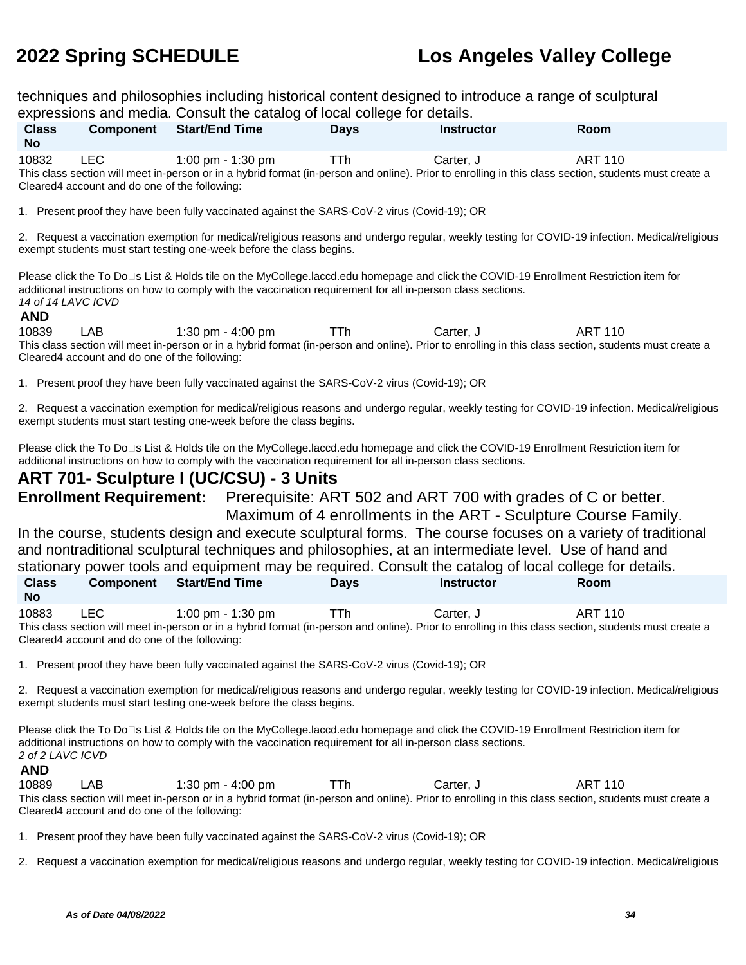techniques and philosophies including historical content designed to introduce a range of sculptural expressions and media. Consult the catalog of local college for details.

| <b>Class</b><br><b>No</b> | <b>Component</b>                                      | <b>Start/End Time</b>                                                                                                                                                      | <b>Davs</b> | <b>Instructor</b> | <b>Room</b> |
|---------------------------|-------------------------------------------------------|----------------------------------------------------------------------------------------------------------------------------------------------------------------------------|-------------|-------------------|-------------|
| 10832                     | LEC.<br>Cleared4 account and do one of the following: | 1:00 pm - 1:30 pm<br>This class section will meet in-person or in a hybrid format (in-person and online). Prior to enrolling in this class section, students must create a | TTh         | Carter. J         | ART 110     |

1. Present proof they have been fully vaccinated against the SARS-CoV-2 virus (Covid-19); OR

2. Request a vaccination exemption for medical/religious reasons and undergo regular, weekly testing for COVID-19 infection. Medical/religious exempt students must start testing one-week before the class begins.

Please click the To Do⊡s List & Holds tile on the MyCollege.laccd.edu homepage and click the COVID-19 Enrollment Restriction item for additional instructions on how to comply with the vaccination requirement for all in-person class sections. 14 of 14 LAVC ICVD

### **AND**

10839 LAB 1:30 pm - 4:00 pm TTh Carter, J ART 110 This class section will meet in-person or in a hybrid format (in-person and online). Prior to enrolling in this class section, students must create a Cleared4 account and do one of the following:

1. Present proof they have been fully vaccinated against the SARS-CoV-2 virus (Covid-19); OR

2. Request a vaccination exemption for medical/religious reasons and undergo regular, weekly testing for COVID-19 infection. Medical/religious exempt students must start testing one-week before the class begins.

Please click the To Do<sup>n</sup>s List & Holds tile on the MyCollege.laccd.edu homepage and click the COVID-19 Enrollment Restriction item for additional instructions on how to comply with the vaccination requirement for all in-person class sections.

### **ART 701- Sculpture I (UC/CSU) - 3 Units**

**Enrollment Requirement:** Prerequisite: ART 502 and ART 700 with grades of C or better.

Maximum of 4 enrollments in the ART - Sculpture Course Family. In the course, students design and execute sculptural forms. The course focuses on a variety of traditional and nontraditional sculptural techniques and philosophies, at an intermediate level. Use of hand and stationary power tools and equipment may be required. Consult the catalog of local college for details.

| <b>Class</b><br><b>No</b> | Component Start/End Time                                                                                                                                                   | <b>Davs</b> | <b>Instructor</b> | <b>Room</b> |
|---------------------------|----------------------------------------------------------------------------------------------------------------------------------------------------------------------------|-------------|-------------------|-------------|
| 10883<br><b>LEC</b>       | 1:00 pm - 1:30 pm<br>This algon contion will meet in person or in a bubrid format (in person and oplina). Driar to enrolling in this algon contion, students must create a | TTh.        | Carter. J         | ART 110     |

This class section will meet in-person or in a hybrid format (in-person and online). Prior to enrolling in this class section, students must create a Cleared4 account and do one of the following:

1. Present proof they have been fully vaccinated against the SARS-CoV-2 virus (Covid-19); OR

2. Request a vaccination exemption for medical/religious reasons and undergo regular, weekly testing for COVID-19 infection. Medical/religious exempt students must start testing one-week before the class begins.

Please click the To Do<sup>n</sup>s List & Holds tile on the MyCollege.laccd.edu homepage and click the COVID-19 Enrollment Restriction item for additional instructions on how to comply with the vaccination requirement for all in-person class sections. 2 of 2 LAVC ICVD

### **AND**

10889 LAB 1:30 pm - 4:00 pm TTh Carter, J ART 110 This class section will meet in-person or in a hybrid format (in-person and online). Prior to enrolling in this class section, students must create a Cleared4 account and do one of the following:

1. Present proof they have been fully vaccinated against the SARS-CoV-2 virus (Covid-19); OR

2. Request a vaccination exemption for medical/religious reasons and undergo regular, weekly testing for COVID-19 infection. Medical/religious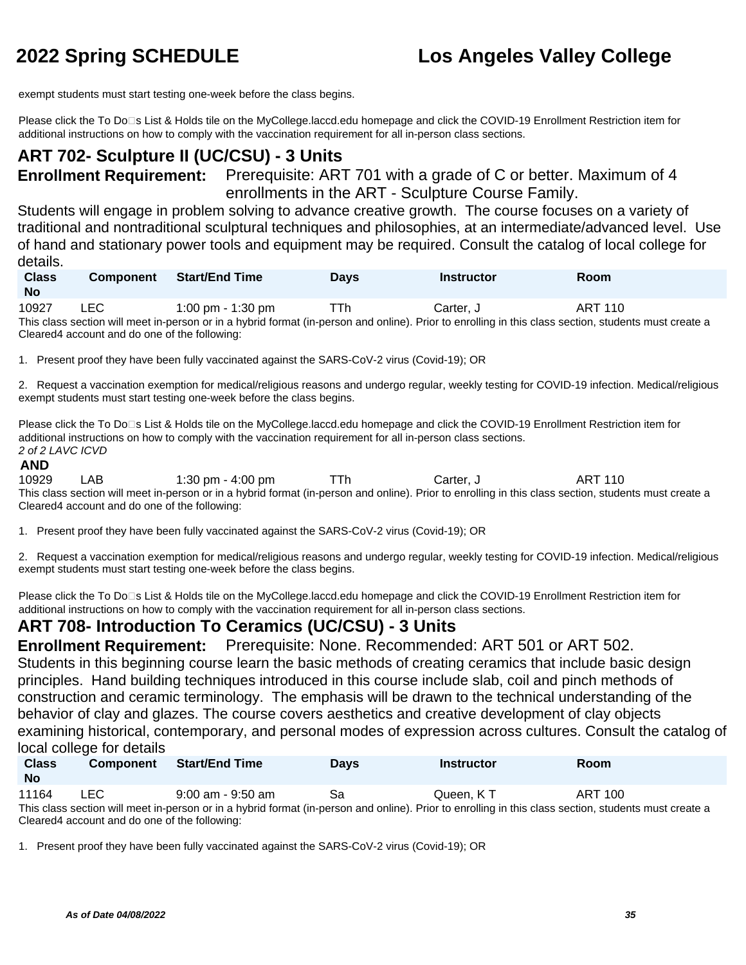exempt students must start testing one-week before the class begins.

Please click the To Do<sup>n</sup>s List & Holds tile on the MyCollege.laccd.edu homepage and click the COVID-19 Enrollment Restriction item for additional instructions on how to comply with the vaccination requirement for all in-person class sections.

### **ART 702- Sculpture II (UC/CSU) - 3 Units**

**Enrollment Requirement:** Prerequisite: ART 701 with a grade of C or better. Maximum of 4 enrollments in the ART - Sculpture Course Family.

Students will engage in problem solving to advance creative growth. The course focuses on a variety of traditional and nontraditional sculptural techniques and philosophies, at an intermediate/advanced level. Use of hand and stationary power tools and equipment may be required. Consult the catalog of local college for details.

| <b>Class</b><br><b>No</b> | Component      | <b>Start/End Time</b>                                                          | <b>Days</b> | <b>Instructor</b> | Room        |
|---------------------------|----------------|--------------------------------------------------------------------------------|-------------|-------------------|-------------|
| 10027                     | $\overline{1}$ | $1.00 \, \text{m} \cdot \text{m} \cdot \text{m} \cdot \text{m} \cdot \text{m}$ | TTL         | <b>Course</b>     | $ADT$ $440$ |

10927 LEC 1:00 pm - 1:30 pm TTh Carter, J ART 110 This class section will meet in-person or in a hybrid format (in-person and online). Prior to enrolling in this class section, students must create a Cleared4 account and do one of the following:

1. Present proof they have been fully vaccinated against the SARS-CoV-2 virus (Covid-19); OR

2. Request a vaccination exemption for medical/religious reasons and undergo regular, weekly testing for COVID-19 infection. Medical/religious exempt students must start testing one-week before the class begins.

Please click the To Do□s List & Holds tile on the MyCollege.laccd.edu homepage and click the COVID-19 Enrollment Restriction item for additional instructions on how to comply with the vaccination requirement for all in-person class sections. 2 of 2 LAVC ICVD

### **AND**

10929 LAB 1:30 pm - 4:00 pm TTh Carter, J ART 110 This class section will meet in-person or in a hybrid format (in-person and online). Prior to enrolling in this class section, students must create a Cleared4 account and do one of the following:

1. Present proof they have been fully vaccinated against the SARS-CoV-2 virus (Covid-19); OR

2. Request a vaccination exemption for medical/religious reasons and undergo regular, weekly testing for COVID-19 infection. Medical/religious exempt students must start testing one-week before the class begins.

Please click the To Do□s List & Holds tile on the MyCollege.laccd.edu homepage and click the COVID-19 Enrollment Restriction item for additional instructions on how to comply with the vaccination requirement for all in-person class sections.

### **ART 708- Introduction To Ceramics (UC/CSU) - 3 Units**

**Enrollment Requirement:** Prerequisite: None. Recommended: ART 501 or ART 502.

Students in this beginning course learn the basic methods of creating ceramics that include basic design principles. Hand building techniques introduced in this course include slab, coil and pinch methods of construction and ceramic terminology. The emphasis will be drawn to the technical understanding of the behavior of clay and glazes. The course covers aesthetics and creative development of clay objects examining historical, contemporary, and personal modes of expression across cultures. Consult the catalog of local college for details

| <b>Class</b><br><b>No</b> | <b>Component</b> | <b>Start/End Time</b> | <b>Days</b> | Instructor | <b>Room</b>    |  |
|---------------------------|------------------|-----------------------|-------------|------------|----------------|--|
| 11164                     | LEC              | 9:00 am - 9:50 am     | Sa          | Queen. K T | <b>ART 100</b> |  |

This class section will meet in-person or in a hybrid format (in-person and online). Prior to enrolling in this class section, students must create a Cleared4 account and do one of the following:

1. Present proof they have been fully vaccinated against the SARS-CoV-2 virus (Covid-19); OR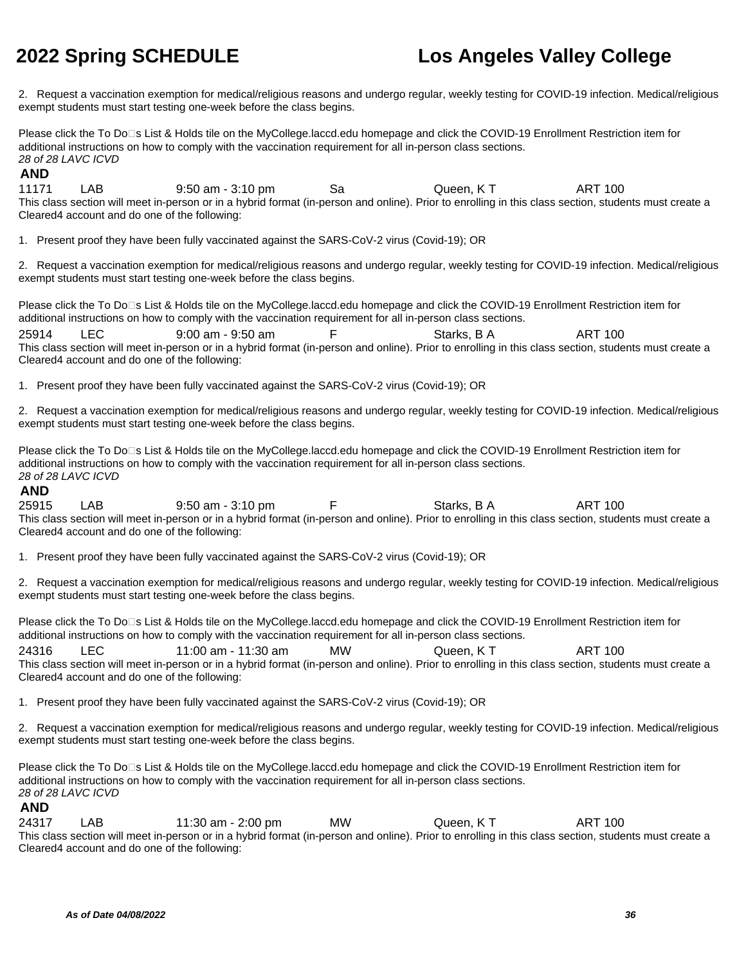2. Request a vaccination exemption for medical/religious reasons and undergo regular, weekly testing for COVID-19 infection. Medical/religious exempt students must start testing one-week before the class begins.

Please click the To Do⊡s List & Holds tile on the MyCollege.laccd.edu homepage and click the COVID-19 Enrollment Restriction item for additional instructions on how to comply with the vaccination requirement for all in-person class sections. 28 of 28 LAVC ICVD

# **AND**

LAB 9:50 am - 3:10 pm Sa Queen, K T ART 100 This class section will meet in-person or in a hybrid format (in-person and online). Prior to enrolling in this class section, students must create a Cleared4 account and do one of the following:

1. Present proof they have been fully vaccinated against the SARS-CoV-2 virus (Covid-19); OR

2. Request a vaccination exemption for medical/religious reasons and undergo regular, weekly testing for COVID-19 infection. Medical/religious exempt students must start testing one-week before the class begins.

Please click the To Do□s List & Holds tile on the MyCollege.laccd.edu homepage and click the COVID-19 Enrollment Restriction item for additional instructions on how to comply with the vaccination requirement for all in-person class sections. 25914 LEC 9:00 am - 9:50 am F Starks, B A ART 100 This class section will meet in-person or in a hybrid format (in-person and online). Prior to enrolling in this class section, students must create a Cleared4 account and do one of the following:

1. Present proof they have been fully vaccinated against the SARS-CoV-2 virus (Covid-19); OR

2. Request a vaccination exemption for medical/religious reasons and undergo regular, weekly testing for COVID-19 infection. Medical/religious exempt students must start testing one-week before the class begins.

Please click the To Do<sup>n</sup>s List & Holds tile on the MyCollege.laccd.edu homepage and click the COVID-19 Enrollment Restriction item for additional instructions on how to comply with the vaccination requirement for all in-person class sections. 28 of 28 LAVC ICVD

### **AND**

25915 LAB 9:50 am - 3:10 pm F Starks, B A ART 100 This class section will meet in-person or in a hybrid format (in-person and online). Prior to enrolling in this class section, students must create a Cleared4 account and do one of the following:

1. Present proof they have been fully vaccinated against the SARS-CoV-2 virus (Covid-19); OR

2. Request a vaccination exemption for medical/religious reasons and undergo regular, weekly testing for COVID-19 infection. Medical/religious exempt students must start testing one-week before the class begins.

Please click the To Do<sup>n</sup>s List & Holds tile on the MyCollege.laccd.edu homepage and click the COVID-19 Enrollment Restriction item for additional instructions on how to comply with the vaccination requirement for all in-person class sections.

24316 LEC 11:00 am - 11:30 am MW Queen, K T ART 100 This class section will meet in-person or in a hybrid format (in-person and online). Prior to enrolling in this class section, students must create a Cleared4 account and do one of the following:

1. Present proof they have been fully vaccinated against the SARS-CoV-2 virus (Covid-19); OR

2. Request a vaccination exemption for medical/religious reasons and undergo regular, weekly testing for COVID-19 infection. Medical/religious exempt students must start testing one-week before the class begins.

Please click the To Do□s List & Holds tile on the MyCollege.laccd.edu homepage and click the COVID-19 Enrollment Restriction item for additional instructions on how to comply with the vaccination requirement for all in-person class sections. 28 of 28 LAVC ICVD

### **AND**

24317 LAB 11:30 am - 2:00 pm MW Queen, K T ART 100 This class section will meet in-person or in a hybrid format (in-person and online). Prior to enrolling in this class section, students must create a Cleared4 account and do one of the following: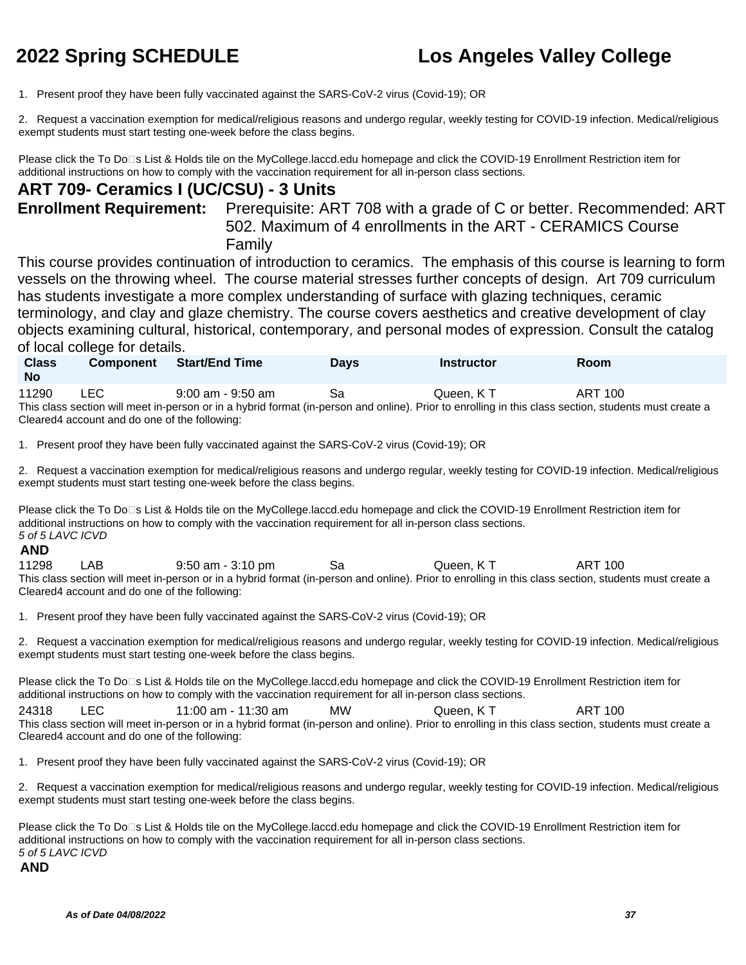1. Present proof they have been fully vaccinated against the SARS-CoV-2 virus (Covid-19); OR

2. Request a vaccination exemption for medical/religious reasons and undergo regular, weekly testing for COVID-19 infection. Medical/religious exempt students must start testing one-week before the class begins.

Please click the To Do<sup>n</sup>s List & Holds tile on the MyCollege.laccd.edu homepage and click the COVID-19 Enrollment Restriction item for additional instructions on how to comply with the vaccination requirement for all in-person class sections.

### **ART 709- Ceramics I (UC/CSU) - 3 Units**

**Enrollment Requirement:** Prerequisite: ART 708 with a grade of C or better. Recommended: ART 502. Maximum of 4 enrollments in the ART - CERAMICS Course Family

This course provides continuation of introduction to ceramics. The emphasis of this course is learning to form vessels on the throwing wheel. The course material stresses further concepts of design. Art 709 curriculum has students investigate a more complex understanding of surface with glazing techniques, ceramic terminology, and clay and glaze chemistry. The course covers aesthetics and creative development of clay objects examining cultural, historical, contemporary, and personal modes of expression. Consult the catalog of local college for details.

| <b>Class</b><br><b>No</b> | <b>Component</b> | <b>Start/End Time</b> | Days | Instructor                                                                                                                                           | <b>Room</b> |
|---------------------------|------------------|-----------------------|------|------------------------------------------------------------------------------------------------------------------------------------------------------|-------------|
| 11290                     | LEC.             | 9:00 am - 9:50 am     | Sa   | Queen. K T                                                                                                                                           | ART 100     |
|                           |                  |                       |      | This class section will meet in person or in a bybrid format (in person and online) Drior to enrolling in this class section, students must create a |             |

This class section will meet in-person or in a hybrid format (in-person and online). Prior to enrolling in this class section, students must create a Cleared4 account and do one of the following:

1. Present proof they have been fully vaccinated against the SARS-CoV-2 virus (Covid-19); OR

2. Request a vaccination exemption for medical/religious reasons and undergo regular, weekly testing for COVID-19 infection. Medical/religious exempt students must start testing one-week before the class begins.

Please click the To Do⊡s List & Holds tile on the MyCollege.laccd.edu homepage and click the COVID-19 Enrollment Restriction item for additional instructions on how to comply with the vaccination requirement for all in-person class sections. 5 of 5 LAVC ICVD

### **AND**

11298 LAB 9:50 am - 3:10 pm Sa Queen, K T ART 100 This class section will meet in-person or in a hybrid format (in-person and online). Prior to enrolling in this class section, students must create a Cleared4 account and do one of the following:

1. Present proof they have been fully vaccinated against the SARS-CoV-2 virus (Covid-19); OR

2. Request a vaccination exemption for medical/religious reasons and undergo regular, weekly testing for COVID-19 infection. Medical/religious exempt students must start testing one-week before the class begins.

Please click the To Do<sup>n</sup>s List & Holds tile on the MyCollege.laccd.edu homepage and click the COVID-19 Enrollment Restriction item for additional instructions on how to comply with the vaccination requirement for all in-person class sections.

24318 LEC 11:00 am - 11:30 am MW Queen, K T ART 100 This class section will meet in-person or in a hybrid format (in-person and online). Prior to enrolling in this class section, students must create a Cleared4 account and do one of the following:

1. Present proof they have been fully vaccinated against the SARS-CoV-2 virus (Covid-19); OR

2. Request a vaccination exemption for medical/religious reasons and undergo regular, weekly testing for COVID-19 infection. Medical/religious exempt students must start testing one-week before the class begins.

Please click the To Do□s List & Holds tile on the MyCollege.laccd.edu homepage and click the COVID-19 Enrollment Restriction item for additional instructions on how to comply with the vaccination requirement for all in-person class sections. 5 of 5 LAVC ICVD

### **AND**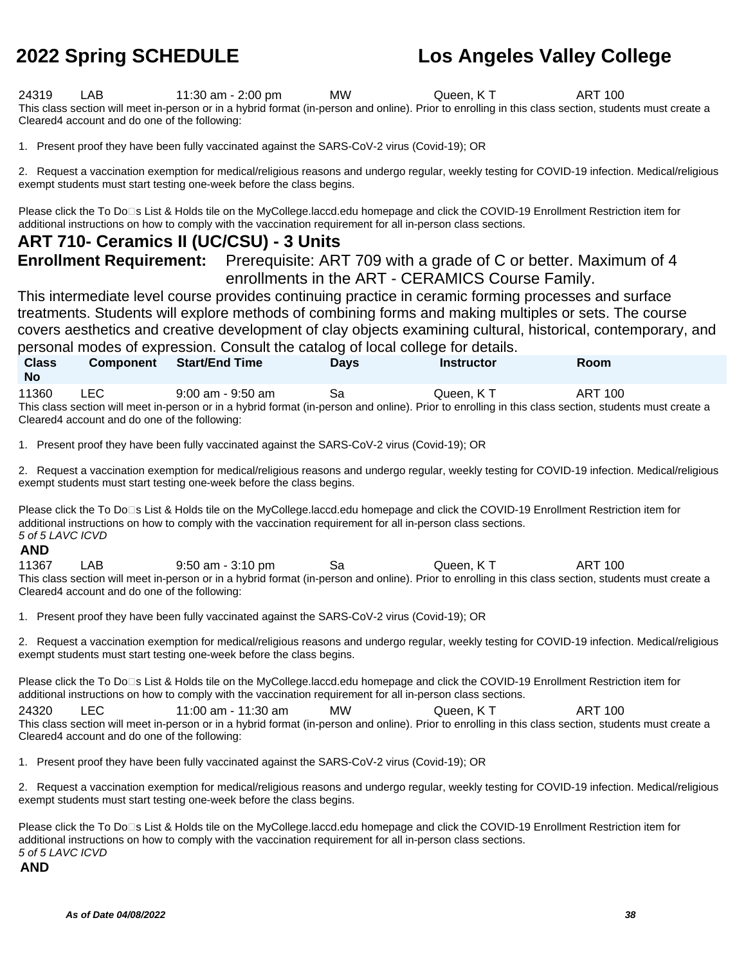24319 LAB 11:30 am - 2:00 pm MW Queen, K T ART 100 This class section will meet in-person or in a hybrid format (in-person and online). Prior to enrolling in this class section, students must create a Cleared4 account and do one of the following:

1. Present proof they have been fully vaccinated against the SARS-CoV-2 virus (Covid-19); OR

2. Request a vaccination exemption for medical/religious reasons and undergo regular, weekly testing for COVID-19 infection. Medical/religious exempt students must start testing one-week before the class begins.

Please click the To Do□s List & Holds tile on the MyCollege.laccd.edu homepage and click the COVID-19 Enrollment Restriction item for additional instructions on how to comply with the vaccination requirement for all in-person class sections.

### **ART 710- Ceramics II (UC/CSU) - 3 Units**

**Enrollment Requirement:** Prerequisite: ART 709 with a grade of C or better. Maximum of 4 enrollments in the ART - CERAMICS Course Family.

This intermediate level course provides continuing practice in ceramic forming processes and surface treatments. Students will explore methods of combining forms and making multiples or sets. The course covers aesthetics and creative development of clay objects examining cultural, historical, contemporary, and personal modes of expression. Consult the catalog of local college for details.

**No** 11360 LEC 9:00 am - 9:50 am Sa Queen, K T ART 100 This class section will meet in-person or in a hybrid format (in-person and online). Prior to enrolling in this class section, students must create a Cleared4 account and do one of the following:

**Component Start/End Time Days Instructor Room**

1. Present proof they have been fully vaccinated against the SARS-CoV-2 virus (Covid-19); OR

2. Request a vaccination exemption for medical/religious reasons and undergo regular, weekly testing for COVID-19 infection. Medical/religious exempt students must start testing one-week before the class begins.

Please click the To Do<sup>n</sup>s List & Holds tile on the MyCollege.laccd.edu homepage and click the COVID-19 Enrollment Restriction item for additional instructions on how to comply with the vaccination requirement for all in-person class sections. 5 of 5 LAVC ICVD

### **AND**

**Class** 

11367 LAB 9:50 am - 3:10 pm Sa Queen, K T ART 100 This class section will meet in-person or in a hybrid format (in-person and online). Prior to enrolling in this class section, students must create a Cleared4 account and do one of the following:

1. Present proof they have been fully vaccinated against the SARS-CoV-2 virus (Covid-19); OR

2. Request a vaccination exemption for medical/religious reasons and undergo regular, weekly testing for COVID-19 infection. Medical/religious exempt students must start testing one-week before the class begins.

Please click the To Do<sup>n</sup>s List & Holds tile on the MyCollege.laccd.edu homepage and click the COVID-19 Enrollment Restriction item for additional instructions on how to comply with the vaccination requirement for all in-person class sections.

24320 LEC 11:00 am - 11:30 am MW Queen, K T ART 100 This class section will meet in-person or in a hybrid format (in-person and online). Prior to enrolling in this class section, students must create a Cleared4 account and do one of the following:

1. Present proof they have been fully vaccinated against the SARS-CoV-2 virus (Covid-19); OR

2. Request a vaccination exemption for medical/religious reasons and undergo regular, weekly testing for COVID-19 infection. Medical/religious exempt students must start testing one-week before the class begins.

Please click the To Do<sup>n</sup>s List & Holds tile on the MyCollege.laccd.edu homepage and click the COVID-19 Enrollment Restriction item for additional instructions on how to comply with the vaccination requirement for all in-person class sections. 5 of 5 LAVC ICVD

### **AND**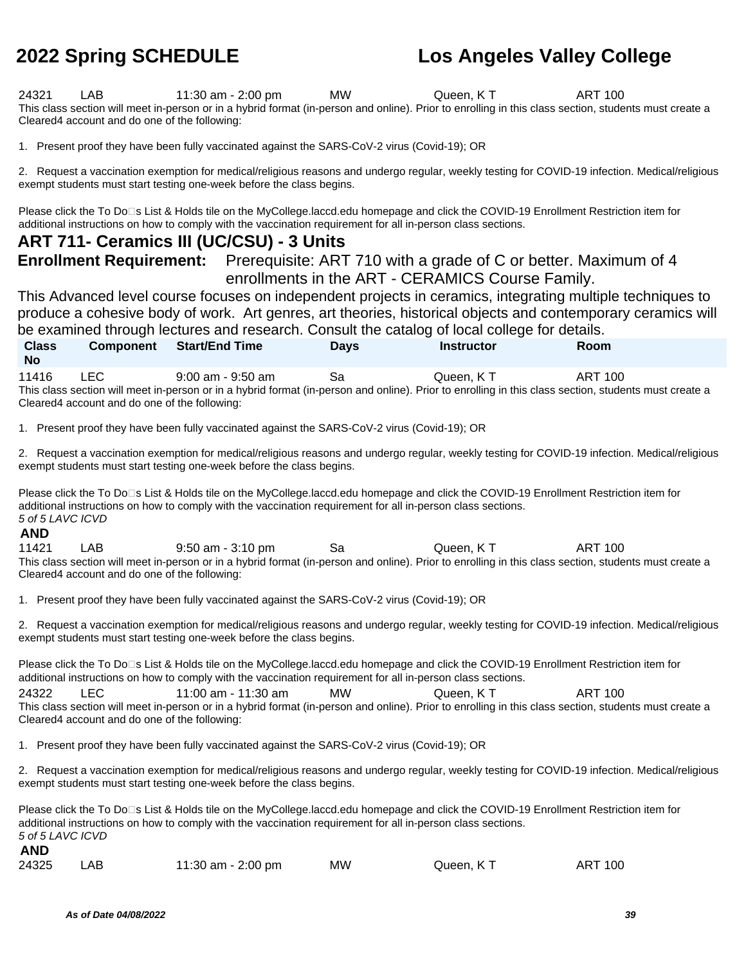24321 LAB 11:30 am - 2:00 pm MW Queen, K T ART 100 This class section will meet in-person or in a hybrid format (in-person and online). Prior to enrolling in this class section, students must create a Cleared4 account and do one of the following:

1. Present proof they have been fully vaccinated against the SARS-CoV-2 virus (Covid-19); OR

2. Request a vaccination exemption for medical/religious reasons and undergo regular, weekly testing for COVID-19 infection. Medical/religious exempt students must start testing one-week before the class begins.

Please click the To Do<sup>n</sup>s List & Holds tile on the MyCollege.laccd.edu homepage and click the COVID-19 Enrollment Restriction item for additional instructions on how to comply with the vaccination requirement for all in-person class sections.

### **ART 711- Ceramics III (UC/CSU) - 3 Units**

**Enrollment Requirement:** Prerequisite: ART 710 with a grade of C or better. Maximum of 4 enrollments in the ART - CERAMICS Course Family.

This Advanced level course focuses on independent projects in ceramics, integrating multiple techniques to produce a cohesive body of work. Art genres, art theories, historical objects and contemporary ceramics will be examined through lectures and research. Consult the catalog of local college for details.

| <b>Class</b>                                                                                                                                          | <b>Component</b>                              | <b>Start/End Time</b> | <b>Davs</b> | <b>Instructor</b> | Room    |  |  |  |
|-------------------------------------------------------------------------------------------------------------------------------------------------------|-----------------------------------------------|-----------------------|-------------|-------------------|---------|--|--|--|
| <b>No</b>                                                                                                                                             |                                               |                       |             |                   |         |  |  |  |
| 11416                                                                                                                                                 | LEC.                                          | $9:00$ am - $9:50$ am | Sа          | Queen, KT         | ART 100 |  |  |  |
| This class section will meet in-person or in a hybrid format (in-person and online). Prior to enrolling in this class section, students must create a |                                               |                       |             |                   |         |  |  |  |
|                                                                                                                                                       | Cleared4 account and do one of the following: |                       |             |                   |         |  |  |  |

1. Present proof they have been fully vaccinated against the SARS-CoV-2 virus (Covid-19); OR

2. Request a vaccination exemption for medical/religious reasons and undergo regular, weekly testing for COVID-19 infection. Medical/religious exempt students must start testing one-week before the class begins.

Please click the To Do<sup>n</sup>s List & Holds tile on the MyCollege.laccd.edu homepage and click the COVID-19 Enrollment Restriction item for additional instructions on how to comply with the vaccination requirement for all in-person class sections. 5 of 5 LAVC ICVD

### **AND**

**AND**

11421 LAB 9:50 am - 3:10 pm Sa Queen, K T ART 100 This class section will meet in-person or in a hybrid format (in-person and online). Prior to enrolling in this class section, students must create a Cleared4 account and do one of the following:

1. Present proof they have been fully vaccinated against the SARS-CoV-2 virus (Covid-19); OR

2. Request a vaccination exemption for medical/religious reasons and undergo regular, weekly testing for COVID-19 infection. Medical/religious exempt students must start testing one-week before the class begins.

Please click the To Do<sup>n</sup>s List & Holds tile on the MyCollege.laccd.edu homepage and click the COVID-19 Enrollment Restriction item for additional instructions on how to comply with the vaccination requirement for all in-person class sections.

24322 LEC 11:00 am - 11:30 am MW Queen, K T ART 100 This class section will meet in-person or in a hybrid format (in-person and online). Prior to enrolling in this class section, students must create a Cleared4 account and do one of the following:

1. Present proof they have been fully vaccinated against the SARS-CoV-2 virus (Covid-19); OR

2. Request a vaccination exemption for medical/religious reasons and undergo regular, weekly testing for COVID-19 infection. Medical/religious exempt students must start testing one-week before the class begins.

Please click the To Do<sup>n</sup>s List & Holds tile on the MyCollege.laccd.edu homepage and click the COVID-19 Enrollment Restriction item for additional instructions on how to comply with the vaccination requirement for all in-person class sections. 5 of 5 LAVC ICVD

|  | 24325 | LAB | 11:30 am - 2:00 pm | <b>MW</b> | Queen, KT | <b>ART 100</b> |
|--|-------|-----|--------------------|-----------|-----------|----------------|
|--|-------|-----|--------------------|-----------|-----------|----------------|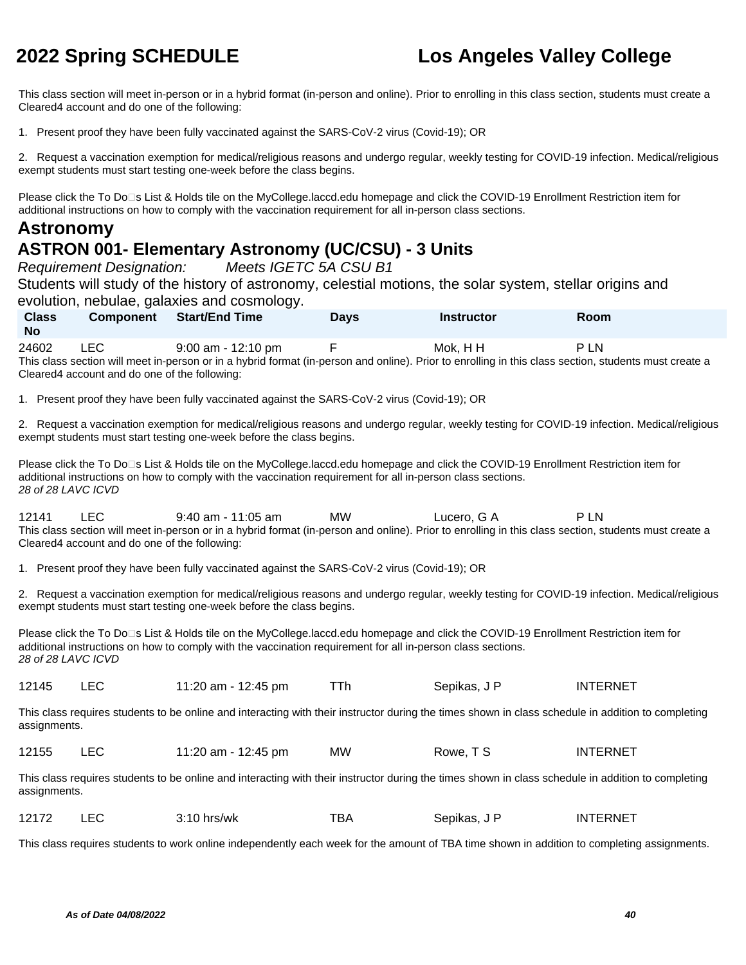This class section will meet in-person or in a hybrid format (in-person and online). Prior to enrolling in this class section, students must create a Cleared4 account and do one of the following:

1. Present proof they have been fully vaccinated against the SARS-CoV-2 virus (Covid-19); OR

2. Request a vaccination exemption for medical/religious reasons and undergo regular, weekly testing for COVID-19 infection. Medical/religious exempt students must start testing one-week before the class begins.

Please click the To Do<sup>n</sup>s List & Holds tile on the MyCollege.laccd.edu homepage and click the COVID-19 Enrollment Restriction item for additional instructions on how to comply with the vaccination requirement for all in-person class sections.

### **Astronomy**

## **ASTRON 001- Elementary Astronomy (UC/CSU) - 3 Units**

Requirement Designation: Meets IGETC 5A CSU B1

Students will study of the history of astronomy, celestial motions, the solar system, stellar origins and evolution, nebulae, galaxies and cosmology.

**Class No Component Start/End Time Days Instructor Room** 24602 LEC 9:00 am - 12:10 pm F Mok, HH P LN This class section will meet in-person or in a hybrid format (in-person and online). Prior to enrolling in this class section, students must create a Cleared4 account and do one of the following:

1. Present proof they have been fully vaccinated against the SARS-CoV-2 virus (Covid-19); OR

2. Request a vaccination exemption for medical/religious reasons and undergo regular, weekly testing for COVID-19 infection. Medical/religious exempt students must start testing one-week before the class begins.

Please click the To Do□s List & Holds tile on the MyCollege.laccd.edu homepage and click the COVID-19 Enrollment Restriction item for additional instructions on how to comply with the vaccination requirement for all in-person class sections. 28 of 28 LAVC ICVD

12141 LEC 9:40 am - 11:05 am MW Lucero, G A P LN This class section will meet in-person or in a hybrid format (in-person and online). Prior to enrolling in this class section, students must create a Cleared4 account and do one of the following:

1. Present proof they have been fully vaccinated against the SARS-CoV-2 virus (Covid-19); OR

2. Request a vaccination exemption for medical/religious reasons and undergo regular, weekly testing for COVID-19 infection. Medical/religious exempt students must start testing one-week before the class begins.

Please click the To Do<sup>n</sup>s List & Holds tile on the MyCollege.laccd.edu homepage and click the COVID-19 Enrollment Restriction item for additional instructions on how to comply with the vaccination requirement for all in-person class sections. 28 of 28 LAVC ICVD

12145 LEC 11:20 am - 12:45 pm TTh Sepikas, J P INTERNET

This class requires students to be online and interacting with their instructor during the times shown in class schedule in addition to completing assignments.

| 12155<br><b>MW</b><br>11:20 am - 12:45 pm<br>Rowe. T S<br>_____<br>the contract of the contract of the contract of | <b>INTERNET</b> |
|--------------------------------------------------------------------------------------------------------------------|-----------------|
|--------------------------------------------------------------------------------------------------------------------|-----------------|

This class requires students to be online and interacting with their instructor during the times shown in class schedule in addition to completing assignments.

| 12172 | $3:10$ hrs/wk | тва | Sepikas, J P | INTERNET |
|-------|---------------|-----|--------------|----------|
|       |               |     |              |          |

This class requires students to work online independently each week for the amount of TBA time shown in addition to completing assignments.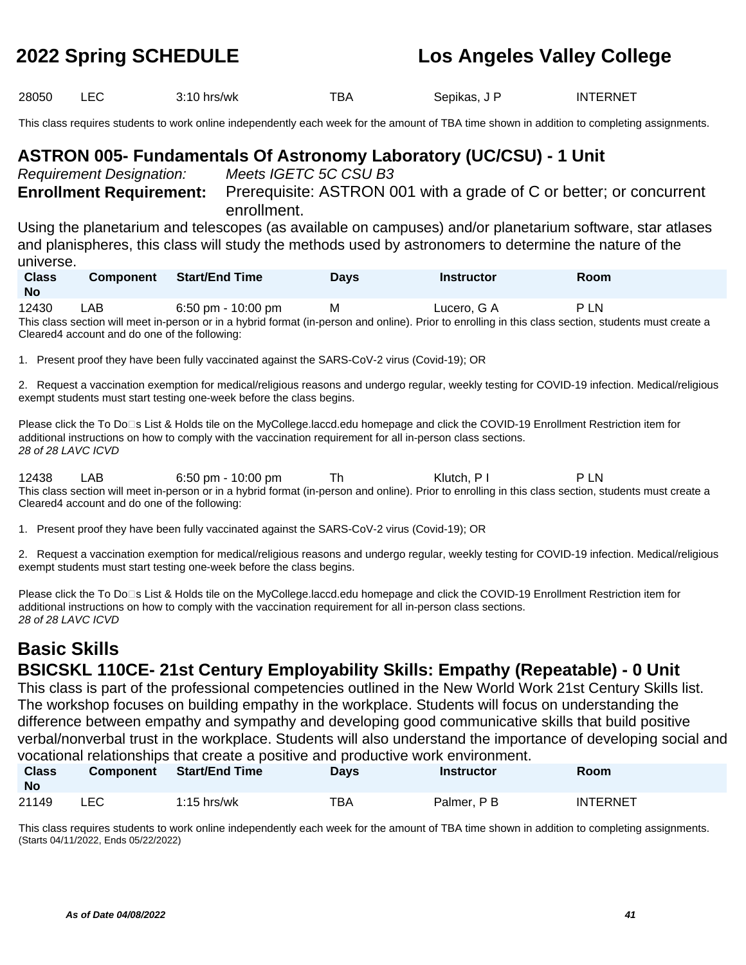28050 LEC 3:10 hrs/wk TBA Sepikas, J P INTERNET

This class requires students to work online independently each week for the amount of TBA time shown in addition to completing assignments.

## **ASTRON 005- Fundamentals Of Astronomy Laboratory (UC/CSU) - 1 Unit**

Requirement Designation: Meets IGETC 5C CSU B3

**Enrollment Requirement:** Prerequisite: ASTRON 001 with a grade of C or better; or concurrent enrollment.

Using the planetarium and telescopes (as available on campuses) and/or planetarium software, star atlases and planispheres, this class will study the methods used by astronomers to determine the nature of the universe.

| <b>Class</b><br><b>No</b> | <b>Component</b> | <b>Start/End Time</b> | <b>Days</b> | Instructor  | Room |
|---------------------------|------------------|-----------------------|-------------|-------------|------|
| 12430                     | LAB              | 6:50 pm - 10:00 pm    | м           | Lucero, G A | P LN |
|                           |                  |                       |             |             |      |

This class section will meet in-person or in a hybrid format (in-person and online). Prior to enrolling in this class section, students must create a Cleared4 account and do one of the following:

1. Present proof they have been fully vaccinated against the SARS-CoV-2 virus (Covid-19); OR

2. Request a vaccination exemption for medical/religious reasons and undergo regular, weekly testing for COVID-19 infection. Medical/religious exempt students must start testing one-week before the class begins.

Please click the To Do□s List & Holds tile on the MyCollege.laccd.edu homepage and click the COVID-19 Enrollment Restriction item for additional instructions on how to comply with the vaccination requirement for all in-person class sections. 28 of 28 LAVC ICVD

12438 LAB 6:50 pm - 10:00 pm Th Klutch, PI PLN This class section will meet in-person or in a hybrid format (in-person and online). Prior to enrolling in this class section, students must create a Cleared4 account and do one of the following:

1. Present proof they have been fully vaccinated against the SARS-CoV-2 virus (Covid-19); OR

2. Request a vaccination exemption for medical/religious reasons and undergo regular, weekly testing for COVID-19 infection. Medical/religious exempt students must start testing one-week before the class begins.

Please click the To Do□s List & Holds tile on the MyCollege.laccd.edu homepage and click the COVID-19 Enrollment Restriction item for additional instructions on how to comply with the vaccination requirement for all in-person class sections. 28 of 28 LAVC ICVD

### **Basic Skills BSICSKL 110CE- 21st Century Employability Skills: Empathy (Repeatable) - 0 Unit**

This class is part of the professional competencies outlined in the New World Work 21st Century Skills list. The workshop focuses on building empathy in the workplace. Students will focus on understanding the difference between empathy and sympathy and developing good communicative skills that build positive verbal/nonverbal trust in the workplace. Students will also understand the importance of developing social and vocational relationships that create a positive and productive work environment.

| <b>Class</b><br><b>No</b> | <b>Component</b> | <b>Start/End Time</b> | <b>Days</b> | <b>Instructor</b> | Room     |
|---------------------------|------------------|-----------------------|-------------|-------------------|----------|
| 21149                     | ∟EC.             | $1:15$ hrs/wk         | TBA         | Palmer, P B       | INTERNET |

This class requires students to work online independently each week for the amount of TBA time shown in addition to completing assignments. (Starts 04/11/2022, Ends 05/22/2022)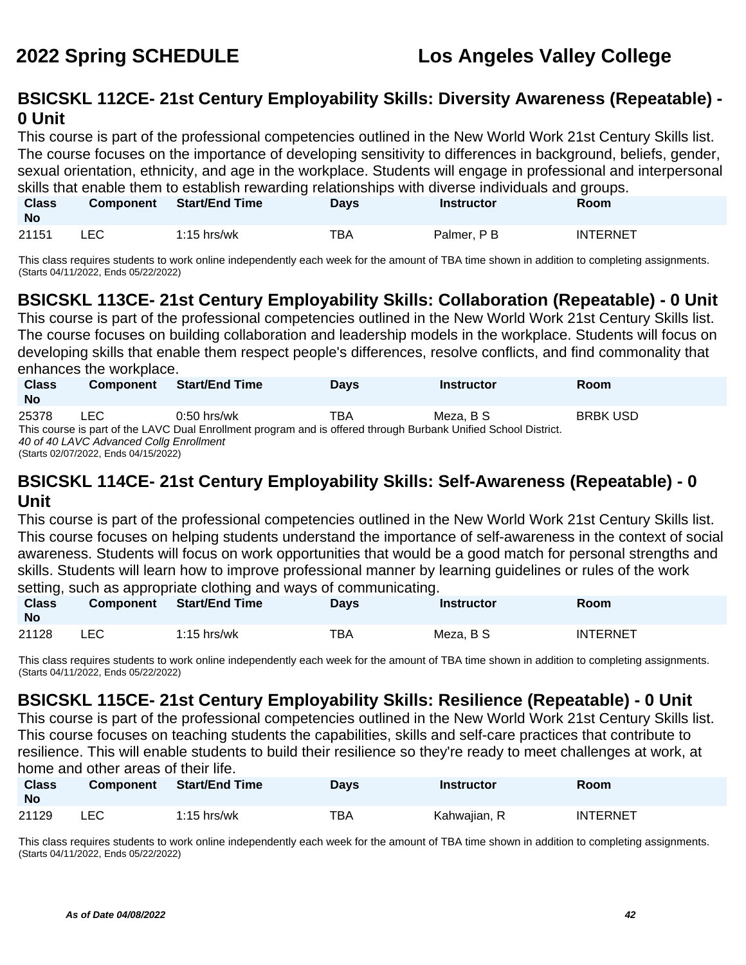## **BSICSKL 112CE- 21st Century Employability Skills: Diversity Awareness (Repeatable) - 0 Unit**

This course is part of the professional competencies outlined in the New World Work 21st Century Skills list. The course focuses on the importance of developing sensitivity to differences in background, beliefs, gender, sexual orientation, ethnicity, and age in the workplace. Students will engage in professional and interpersonal skills that enable them to establish rewarding relationships with diverse individuals and groups.

| <b>Class</b><br><b>No</b> | <b>Component</b> | Start/End Time | <b>Days</b> | Instructor  | Room            |  |
|---------------------------|------------------|----------------|-------------|-------------|-----------------|--|
| 21151                     | LEC              | $1:15$ hrs/wk  | тва         | Palmer, P B | <b>INTERNET</b> |  |

This class requires students to work online independently each week for the amount of TBA time shown in addition to completing assignments. (Starts 04/11/2022, Ends 05/22/2022)

## **BSICSKL 113CE- 21st Century Employability Skills: Collaboration (Repeatable) - 0 Unit**

This course is part of the professional competencies outlined in the New World Work 21st Century Skills list. The course focuses on building collaboration and leadership models in the workplace. Students will focus on developing skills that enable them respect people's differences, resolve conflicts, and find commonality that enhances the workplace.

| <b>Class</b><br><b>No</b> | <b>Component</b>                                                                                                | <b>Start/End Time</b> | <b>Days</b> | <b>Instructor</b> | <b>Room</b>     |  |  |  |
|---------------------------|-----------------------------------------------------------------------------------------------------------------|-----------------------|-------------|-------------------|-----------------|--|--|--|
| 25378                     | LEC                                                                                                             | $0:50$ hrs/wk         | TBA         | Meza. B S         | <b>BRBK USD</b> |  |  |  |
|                           | This course is part of the LAVC Dual Enrollment program and is offered through Burbank Unified School District. |                       |             |                   |                 |  |  |  |
|                           | 40 of 40 LAVC Advanced Collg Enrollment                                                                         |                       |             |                   |                 |  |  |  |
|                           | (Starts 02/07/2022, Ends 04/15/2022)                                                                            |                       |             |                   |                 |  |  |  |

### **BSICSKL 114CE- 21st Century Employability Skills: Self-Awareness (Repeatable) - 0 Unit**

This course is part of the professional competencies outlined in the New World Work 21st Century Skills list. This course focuses on helping students understand the importance of self-awareness in the context of social awareness. Students will focus on work opportunities that would be a good match for personal strengths and skills. Students will learn how to improve professional manner by learning guidelines or rules of the work setting, such as appropriate clothing and ways of communicating.

| <b>Class</b><br><b>No</b> | <b>Component</b> | <b>Start/End Time</b> | Davs | Instructor | Room            |
|---------------------------|------------------|-----------------------|------|------------|-----------------|
| 21128                     | ∟EC.             | $1:15$ hrs/wk         | TBA  | Meza, B S  | <b>INTERNET</b> |

This class requires students to work online independently each week for the amount of TBA time shown in addition to completing assignments. (Starts 04/11/2022, Ends 05/22/2022)

## **BSICSKL 115CE- 21st Century Employability Skills: Resilience (Repeatable) - 0 Unit**

This course is part of the professional competencies outlined in the New World Work 21st Century Skills list. This course focuses on teaching students the capabilities, skills and self-care practices that contribute to resilience. This will enable students to build their resilience so they're ready to meet challenges at work, at home and other areas of their life.

| <b>Class</b><br><b>No</b> | <b>Component</b> | <b>Start/End Time</b> | Days | <b>Instructor</b> | <b>Room</b>     |
|---------------------------|------------------|-----------------------|------|-------------------|-----------------|
| 21129                     | LEC              | $1:15$ hrs/wk         | TBA  | Kahwajian, R      | <b>INTERNET</b> |

This class requires students to work online independently each week for the amount of TBA time shown in addition to completing assignments. (Starts 04/11/2022, Ends 05/22/2022)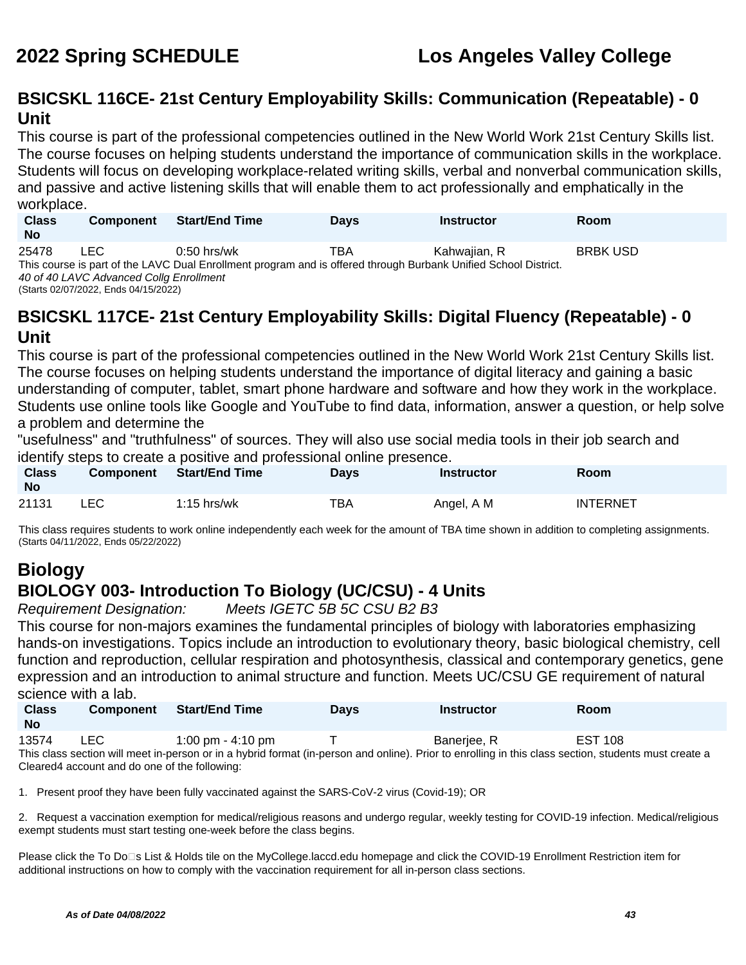## **BSICSKL 116CE- 21st Century Employability Skills: Communication (Repeatable) - 0 Unit**

This course is part of the professional competencies outlined in the New World Work 21st Century Skills list. The course focuses on helping students understand the importance of communication skills in the workplace. Students will focus on developing workplace-related writing skills, verbal and nonverbal communication skills, and passive and active listening skills that will enable them to act professionally and emphatically in the workplace.

| <b>Class</b><br><b>No</b> | <b>Component</b>                          | <b>Start/End Time</b>                                                                                           | <b>Days</b> | <b>Instructor</b> | Room            |
|---------------------------|-------------------------------------------|-----------------------------------------------------------------------------------------------------------------|-------------|-------------------|-----------------|
| 25478                     | ∟EC.                                      | $0:50$ hrs/wk                                                                                                   | TBA         | Kahwaiian, R      | <b>BRBK USD</b> |
|                           | 10 of 10   AVO Advanced Calley Forallward | This course is part of the LAVC Dual Enrollment program and is offered through Burbank Unified School District. |             |                   |                 |

40 of 40 LAVC Advanced Collg Enrollment (Starts 02/07/2022, Ends 04/15/2022)

### **BSICSKL 117CE- 21st Century Employability Skills: Digital Fluency (Repeatable) - 0 Unit**

This course is part of the professional competencies outlined in the New World Work 21st Century Skills list. The course focuses on helping students understand the importance of digital literacy and gaining a basic understanding of computer, tablet, smart phone hardware and software and how they work in the workplace. Students use online tools like Google and YouTube to find data, information, answer a question, or help solve a problem and determine the

"usefulness" and "truthfulness" of sources. They will also use social media tools in their job search and identify steps to create a positive and professional online presence.

| <b>Class</b><br><b>No</b> | <b>Component</b> | <b>Start/End Time</b> | Days | Instructor | Room            |
|---------------------------|------------------|-----------------------|------|------------|-----------------|
| 21131                     | ∟EC.             | $1:15$ hrs/wk         | TBA  | Angel, A M | <b>INTERNET</b> |

This class requires students to work online independently each week for the amount of TBA time shown in addition to completing assignments. (Starts 04/11/2022, Ends 05/22/2022)

## **Biology BIOLOGY 003- Introduction To Biology (UC/CSU) - 4 Units**

Requirement Designation: Meets IGETC 5B 5C CSU B2 B3

This course for non-majors examines the fundamental principles of biology with laboratories emphasizing hands-on investigations. Topics include an introduction to evolutionary theory, basic biological chemistry, cell function and reproduction, cellular respiration and photosynthesis, classical and contemporary genetics, gene expression and an introduction to animal structure and function. Meets UC/CSU GE requirement of natural science with a lab.

| <b>Class</b><br>No | <b>Component</b> | <b>Start/End Time</b> | Days | <b>Instructor</b> | Room           |
|--------------------|------------------|-----------------------|------|-------------------|----------------|
| 13574              | LEC.             | 1:00 pm - 4:10 pm     |      | Banerjee, R       | <b>EST 108</b> |

This class section will meet in-person or in a hybrid format (in-person and online). Prior to enrolling in this class section, students must create a Cleared4 account and do one of the following:

1. Present proof they have been fully vaccinated against the SARS-CoV-2 virus (Covid-19); OR

2. Request a vaccination exemption for medical/religious reasons and undergo regular, weekly testing for COVID-19 infection. Medical/religious exempt students must start testing one-week before the class begins.

Please click the To Do<sup>n</sup>s List & Holds tile on the MyCollege.laccd.edu homepage and click the COVID-19 Enrollment Restriction item for additional instructions on how to comply with the vaccination requirement for all in-person class sections.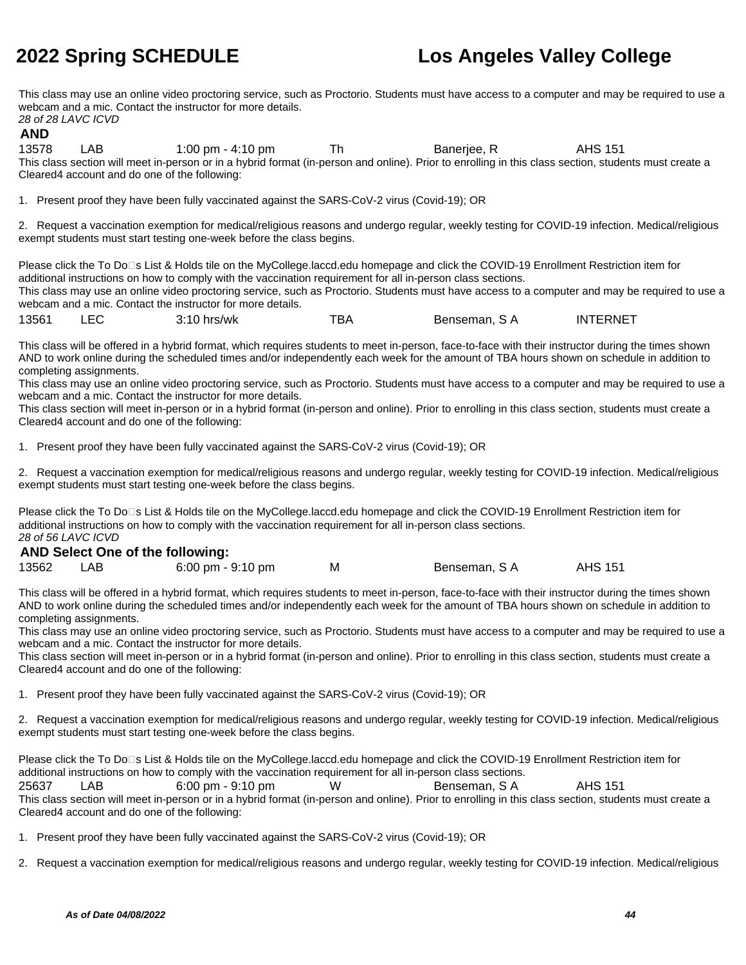This class may use an online video proctoring service, such as Proctorio. Students must have access to a computer and may be required to use a webcam and a mic. Contact the instructor for more details. 28 of 28 LAVC ICVD

### **AND**

13578 LAB 1:00 pm - 4:10 pm Th Baneriee, R AHS 151 This class section will meet in-person or in a hybrid format (in-person and online). Prior to enrolling in this class section, students must create a Cleared4 account and do one of the following:

1. Present proof they have been fully vaccinated against the SARS-CoV-2 virus (Covid-19); OR

2. Request a vaccination exemption for medical/religious reasons and undergo regular, weekly testing for COVID-19 infection. Medical/religious exempt students must start testing one-week before the class begins.

Please click the To Do<sup>n</sup>s List & Holds tile on the MyCollege.laccd.edu homepage and click the COVID-19 Enrollment Restriction item for additional instructions on how to comply with the vaccination requirement for all in-person class sections. This class may use an online video proctoring service, such as Proctorio. Students must have access to a computer and may be required to use a webcam and a mic. Contact the instructor for more details.

| 13561 | $3:10$ hrs/wk | твд | Benseman, S A | <b>INTERNET</b> |
|-------|---------------|-----|---------------|-----------------|
|       |               |     |               |                 |

This class will be offered in a hybrid format, which requires students to meet in-person, face-to-face with their instructor during the times shown AND to work online during the scheduled times and/or independently each week for the amount of TBA hours shown on schedule in addition to completing assignments.

This class may use an online video proctoring service, such as Proctorio. Students must have access to a computer and may be required to use a webcam and a mic. Contact the instructor for more details.

This class section will meet in-person or in a hybrid format (in-person and online). Prior to enrolling in this class section, students must create a Cleared4 account and do one of the following:

1. Present proof they have been fully vaccinated against the SARS-CoV-2 virus (Covid-19); OR

2. Request a vaccination exemption for medical/religious reasons and undergo regular, weekly testing for COVID-19 infection. Medical/religious exempt students must start testing one-week before the class begins.

Please click the To Do⊡s List & Holds tile on the MyCollege.laccd.edu homepage and click the COVID-19 Enrollment Restriction item for additional instructions on how to comply with the vaccination requirement for all in-person class sections. 28 of 56 LAVC ICVD

### **AND Select One of the following:**

|       | <b>ART OUT ON ONE OF THE REPORT OF A</b> |                     |              |                |
|-------|------------------------------------------|---------------------|--------------|----------------|
| 13562 | LAB                                      | 6:00 pm - $9:10$ pm | Benseman, SA | <b>AHS 151</b> |

This class will be offered in a hybrid format, which requires students to meet in-person, face-to-face with their instructor during the times shown AND to work online during the scheduled times and/or independently each week for the amount of TBA hours shown on schedule in addition to completing assignments.

This class may use an online video proctoring service, such as Proctorio. Students must have access to a computer and may be required to use a webcam and a mic. Contact the instructor for more details.

This class section will meet in-person or in a hybrid format (in-person and online). Prior to enrolling in this class section, students must create a Cleared4 account and do one of the following:

1. Present proof they have been fully vaccinated against the SARS-CoV-2 virus (Covid-19); OR

2. Request a vaccination exemption for medical/religious reasons and undergo regular, weekly testing for COVID-19 infection. Medical/religious exempt students must start testing one-week before the class begins.

Please click the To Do□s List & Holds tile on the MyCollege.laccd.edu homepage and click the COVID-19 Enrollment Restriction item for additional instructions on how to comply with the vaccination requirement for all in-person class sections.

25637 LAB 6:00 pm - 9:10 pm W Benseman, S A AHS 151 This class section will meet in-person or in a hybrid format (in-person and online). Prior to enrolling in this class section, students must create a Cleared4 account and do one of the following:

1. Present proof they have been fully vaccinated against the SARS-CoV-2 virus (Covid-19); OR

2. Request a vaccination exemption for medical/religious reasons and undergo regular, weekly testing for COVID-19 infection. Medical/religious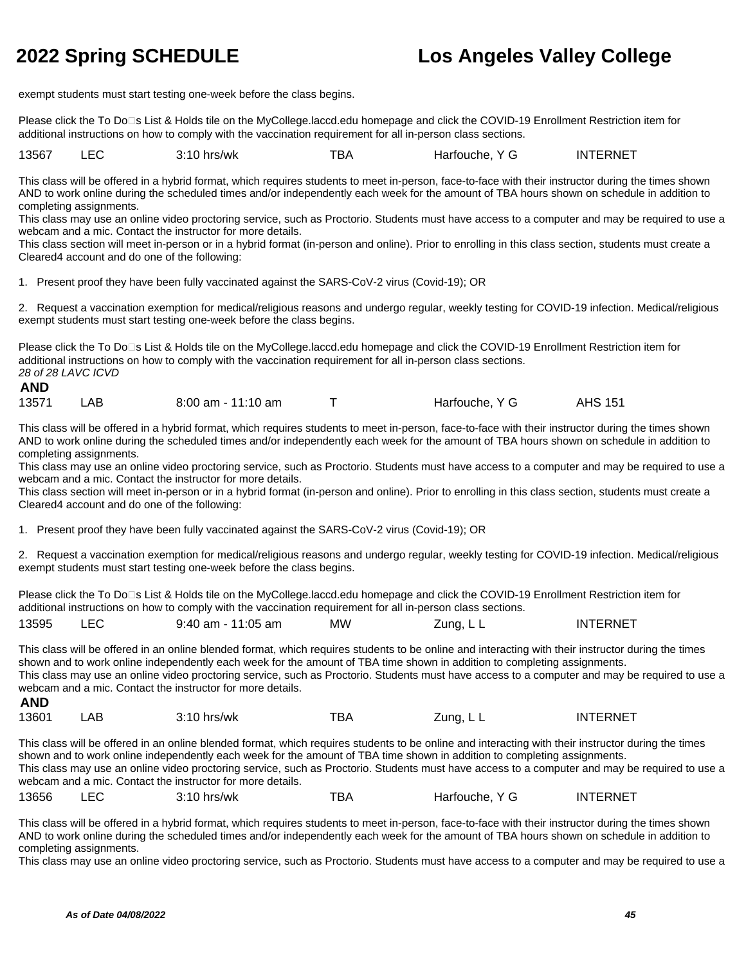exempt students must start testing one-week before the class begins.

Please click the To Do⊡s List & Holds tile on the MyCollege.laccd.edu homepage and click the COVID-19 Enrollment Restriction item for additional instructions on how to comply with the vaccination requirement for all in-person class sections.

13567 LEC 3:10 hrs/wk TBA Harfouche, Y G INTERNET

This class will be offered in a hybrid format, which requires students to meet in-person, face-to-face with their instructor during the times shown AND to work online during the scheduled times and/or independently each week for the amount of TBA hours shown on schedule in addition to completing assignments.

This class may use an online video proctoring service, such as Proctorio. Students must have access to a computer and may be required to use a webcam and a mic. Contact the instructor for more details.

This class section will meet in-person or in a hybrid format (in-person and online). Prior to enrolling in this class section, students must create a Cleared4 account and do one of the following:

1. Present proof they have been fully vaccinated against the SARS-CoV-2 virus (Covid-19); OR

2. Request a vaccination exemption for medical/religious reasons and undergo regular, weekly testing for COVID-19 infection. Medical/religious exempt students must start testing one-week before the class begins.

Please click the To Do□s List & Holds tile on the MyCollege.laccd.edu homepage and click the COVID-19 Enrollment Restriction item for additional instructions on how to comply with the vaccination requirement for all in-person class sections. 28 of 28 LAVC ICVD

### **AND**

13571 LAB 8:00 am - 11:10 am T Harfouche, Y G AHS 151

This class will be offered in a hybrid format, which requires students to meet in-person, face-to-face with their instructor during the times shown AND to work online during the scheduled times and/or independently each week for the amount of TBA hours shown on schedule in addition to completing assignments.

This class may use an online video proctoring service, such as Proctorio. Students must have access to a computer and may be required to use a webcam and a mic. Contact the instructor for more details.

This class section will meet in-person or in a hybrid format (in-person and online). Prior to enrolling in this class section, students must create a Cleared4 account and do one of the following:

1. Present proof they have been fully vaccinated against the SARS-CoV-2 virus (Covid-19); OR

2. Request a vaccination exemption for medical/religious reasons and undergo regular, weekly testing for COVID-19 infection. Medical/religious exempt students must start testing one-week before the class begins.

Please click the To Do□s List & Holds tile on the MyCollege.laccd.edu homepage and click the COVID-19 Enrollment Restriction item for additional instructions on how to comply with the vaccination requirement for all in-person class sections.

| 13595 |  | $9:40$ am - 11:05 am | МW | Zuna. L L<br>. | <b>INTERNE</b> |
|-------|--|----------------------|----|----------------|----------------|
|-------|--|----------------------|----|----------------|----------------|

This class will be offered in an online blended format, which requires students to be online and interacting with their instructor during the times shown and to work online independently each week for the amount of TBA time shown in addition to completing assignments. This class may use an online video proctoring service, such as Proctorio. Students must have access to a computer and may be required to use a webcam and a mic. Contact the instructor for more details. **AND**

| 13601 | AB | $3:10$ hrs/wk | тва | Zuna. L L | <b>INTERNET</b> |
|-------|----|---------------|-----|-----------|-----------------|
|-------|----|---------------|-----|-----------|-----------------|

This class will be offered in an online blended format, which requires students to be online and interacting with their instructor during the times shown and to work online independently each week for the amount of TBA time shown in addition to completing assignments. This class may use an online video proctoring service, such as Proctorio. Students must have access to a computer and may be required to use a webcam and a mic. Contact the instructor for more details.

13656 LEC 3:10 hrs/wk TBA Harfouche, Y G INTERNET

This class will be offered in a hybrid format, which requires students to meet in-person, face-to-face with their instructor during the times shown AND to work online during the scheduled times and/or independently each week for the amount of TBA hours shown on schedule in addition to completing assignments.

This class may use an online video proctoring service, such as Proctorio. Students must have access to a computer and may be required to use a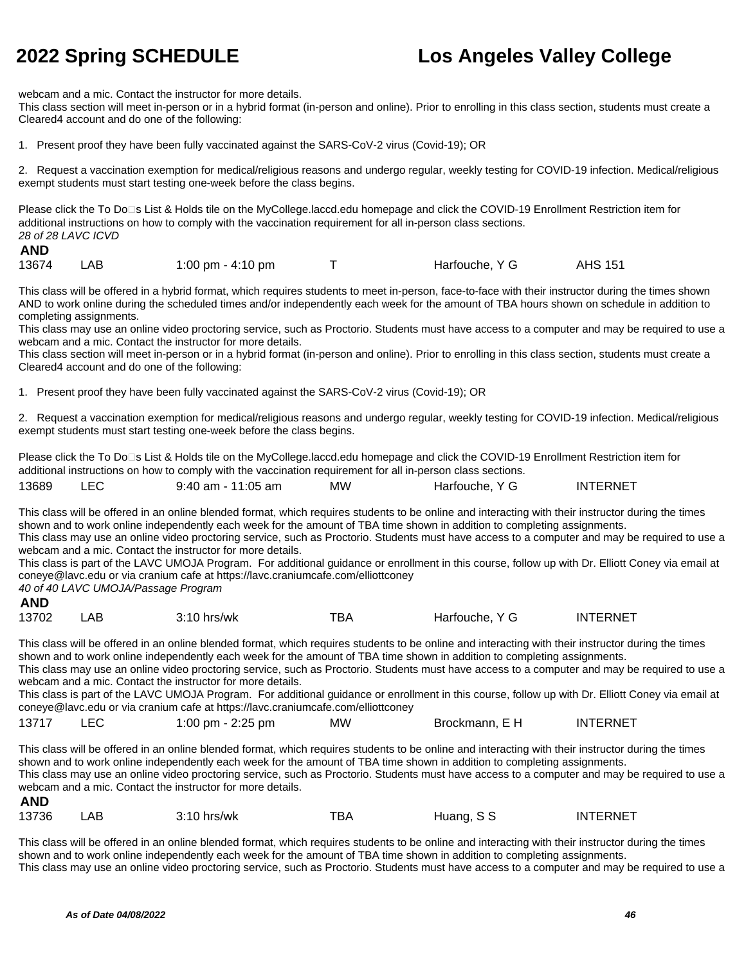webcam and a mic. Contact the instructor for more details.

This class section will meet in-person or in a hybrid format (in-person and online). Prior to enrolling in this class section, students must create a Cleared4 account and do one of the following:

1. Present proof they have been fully vaccinated against the SARS-CoV-2 virus (Covid-19); OR

2. Request a vaccination exemption for medical/religious reasons and undergo regular, weekly testing for COVID-19 infection. Medical/religious exempt students must start testing one-week before the class begins.

Please click the To Do<sup>n</sup>s List & Holds tile on the MyCollege.laccd.edu homepage and click the COVID-19 Enrollment Restriction item for additional instructions on how to comply with the vaccination requirement for all in-person class sections. 28 of 28 LAVC ICVD

### **AND**

| 13674 | LAB | 1:00 pm - 4:10 pm |  | Harfouche, Y G | <b>AHS 151</b> |
|-------|-----|-------------------|--|----------------|----------------|
|-------|-----|-------------------|--|----------------|----------------|

This class will be offered in a hybrid format, which requires students to meet in-person, face-to-face with their instructor during the times shown AND to work online during the scheduled times and/or independently each week for the amount of TBA hours shown on schedule in addition to completing assignments.

This class may use an online video proctoring service, such as Proctorio. Students must have access to a computer and may be required to use a webcam and a mic. Contact the instructor for more details.

This class section will meet in-person or in a hybrid format (in-person and online). Prior to enrolling in this class section, students must create a Cleared4 account and do one of the following:

1. Present proof they have been fully vaccinated against the SARS-CoV-2 virus (Covid-19); OR

2. Request a vaccination exemption for medical/religious reasons and undergo regular, weekly testing for COVID-19 infection. Medical/religious exempt students must start testing one-week before the class begins.

Please click the To Do⊡s List & Holds tile on the MyCollege.laccd.edu homepage and click the COVID-19 Enrollment Restriction item for additional instructions on how to comply with the vaccination requirement for all in-person class sections.

| 13689 | 9:40 am - 11:05 am | <b>MW</b> | Harfouche, Y G | <b>INTERNET</b> |
|-------|--------------------|-----------|----------------|-----------------|
|       |                    |           |                |                 |

This class will be offered in an online blended format, which requires students to be online and interacting with their instructor during the times shown and to work online independently each week for the amount of TBA time shown in addition to completing assignments. This class may use an online video proctoring service, such as Proctorio. Students must have access to a computer and may be required to use a webcam and a mic. Contact the instructor for more details.

This class is part of the LAVC UMOJA Program. For additional guidance or enrollment in this course, follow up with Dr. Elliott Coney via email at coneye@lavc.edu or via cranium cafe at https://lavc.craniumcafe.com/elliottconey

40 of 40 LAVC UMOJA/Passage Program

| <b>AND</b> |     |               |     |                |                 |
|------------|-----|---------------|-----|----------------|-----------------|
| 13702      | .AB | $3:10$ hrs/wk | тва | Harfouche, Y G | <b>INTERNET</b> |

This class will be offered in an online blended format, which requires students to be online and interacting with their instructor during the times shown and to work online independently each week for the amount of TBA time shown in addition to completing assignments. This class may use an online video proctoring service, such as Proctorio. Students must have access to a computer and may be required to use a

webcam and a mic. Contact the instructor for more details.

This class is part of the LAVC UMOJA Program. For additional guidance or enrollment in this course, follow up with Dr. Elliott Coney via email at coneye@lavc.edu or via cranium cafe at https://lavc.craniumcafe.com/elliottconey

13717 LEC 1:00 pm - 2:25 pm MW Brockmann, E H INTERNET

This class will be offered in an online blended format, which requires students to be online and interacting with their instructor during the times shown and to work online independently each week for the amount of TBA time shown in addition to completing assignments. This class may use an online video proctoring service, such as Proctorio. Students must have access to a computer and may be required to use a webcam and a mic. Contact the instructor for more details. **AND**

| 13736 | AB | 3:10 hrs/wk | тва | Huang. | <b>INTERNET</b> |
|-------|----|-------------|-----|--------|-----------------|
|       |    |             |     | د د    |                 |

This class will be offered in an online blended format, which requires students to be online and interacting with their instructor during the times shown and to work online independently each week for the amount of TBA time shown in addition to completing assignments. This class may use an online video proctoring service, such as Proctorio. Students must have access to a computer and may be required to use a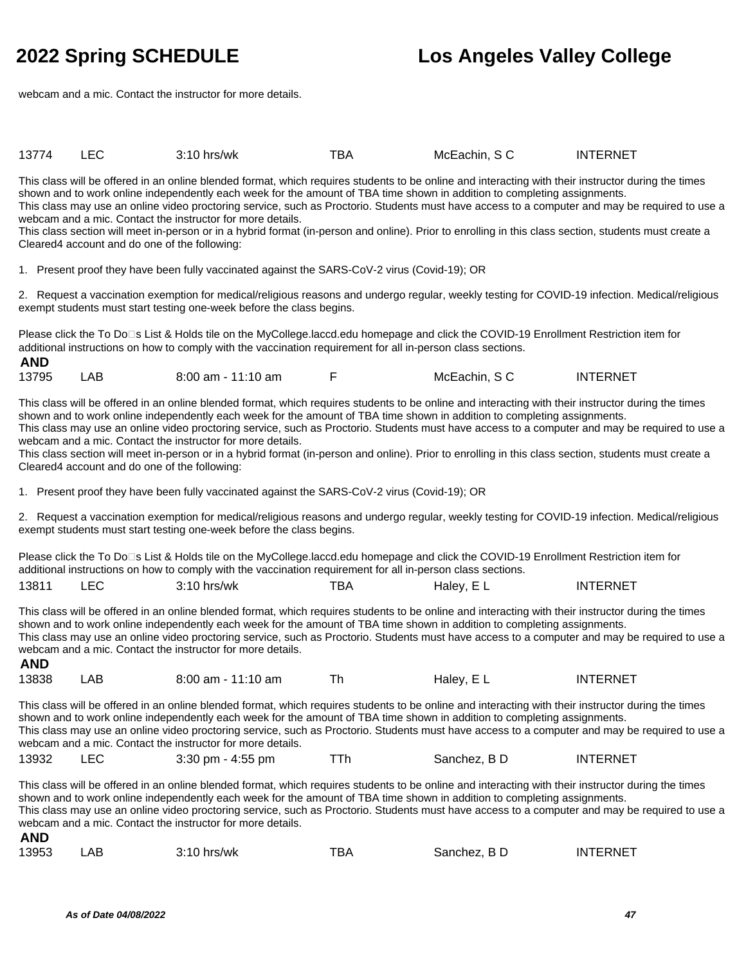**AND**

## **2022 Spring SCHEDULE Los Angeles Valley College**

webcam and a mic. Contact the instructor for more details.

| 13774 | $3:10$ hrs/wk | --<br>BA | McEachin. S C | INTERNE <sup>-</sup> |
|-------|---------------|----------|---------------|----------------------|
|       |               |          |               |                      |

This class will be offered in an online blended format, which requires students to be online and interacting with their instructor during the times shown and to work online independently each week for the amount of TBA time shown in addition to completing assignments. This class may use an online video proctoring service, such as Proctorio. Students must have access to a computer and may be required to use a webcam and a mic. Contact the instructor for more details.

This class section will meet in-person or in a hybrid format (in-person and online). Prior to enrolling in this class section, students must create a Cleared4 account and do one of the following:

1. Present proof they have been fully vaccinated against the SARS-CoV-2 virus (Covid-19); OR

2. Request a vaccination exemption for medical/religious reasons and undergo regular, weekly testing for COVID-19 infection. Medical/religious exempt students must start testing one-week before the class begins.

Please click the To Do<sup>n</sup>s List & Holds tile on the MyCollege.laccd.edu homepage and click the COVID-19 Enrollment Restriction item for additional instructions on how to comply with the vaccination requirement for all in-person class sections.

| 13795 | .AB | $8:00$ am - 11:10 am |  | McEachin, S C | <b>INTERNET</b> |
|-------|-----|----------------------|--|---------------|-----------------|
|-------|-----|----------------------|--|---------------|-----------------|

This class will be offered in an online blended format, which requires students to be online and interacting with their instructor during the times shown and to work online independently each week for the amount of TBA time shown in addition to completing assignments. This class may use an online video proctoring service, such as Proctorio. Students must have access to a computer and may be required to use a webcam and a mic. Contact the instructor for more details.

This class section will meet in-person or in a hybrid format (in-person and online). Prior to enrolling in this class section, students must create a Cleared4 account and do one of the following:

1. Present proof they have been fully vaccinated against the SARS-CoV-2 virus (Covid-19); OR

2. Request a vaccination exemption for medical/religious reasons and undergo regular, weekly testing for COVID-19 infection. Medical/religious exempt students must start testing one-week before the class begins.

Please click the To Do<sup>n</sup>s List & Holds tile on the MyCollege.laccd.edu homepage and click the COVID-19 Enrollment Restriction item for additional instructions on how to comply with the vaccination requirement for all in-person class sections.

| 13811<br>$  -$ | $\Gamma$<br>-EU<br>__ | <br>hrs/wk<br>ັ. | TBA | dalev<br>−<br>_ _ | TERNET<br>IN |
|----------------|-----------------------|------------------|-----|-------------------|--------------|
|                |                       |                  |     |                   |              |

This class will be offered in an online blended format, which requires students to be online and interacting with their instructor during the times shown and to work online independently each week for the amount of TBA time shown in addition to completing assignments. This class may use an online video proctoring service, such as Proctorio. Students must have access to a computer and may be required to use a webcam and a mic. Contact the instructor for more details. **AND**

| 13838 | ΑB | $8:00$ am - 11:10 am |  | Haley, EL | <b>INTERNET</b> |
|-------|----|----------------------|--|-----------|-----------------|
|-------|----|----------------------|--|-----------|-----------------|

This class will be offered in an online blended format, which requires students to be online and interacting with their instructor during the times shown and to work online independently each week for the amount of TBA time shown in addition to completing assignments. This class may use an online video proctoring service, such as Proctorio. Students must have access to a computer and may be required to use a webcam and a mic. Contact the instructor for more details.

| 13932<br>$3:30$ pm - $4:55$ pm | Sanchez. B D | <b>INTERNET</b> |
|--------------------------------|--------------|-----------------|
|--------------------------------|--------------|-----------------|

This class will be offered in an online blended format, which requires students to be online and interacting with their instructor during the times shown and to work online independently each week for the amount of TBA time shown in addition to completing assignments. This class may use an online video proctoring service, such as Proctorio. Students must have access to a computer and may be required to use a webcam and a mic. Contact the instructor for more details. **AND**

| 13953<br>тва<br>ΑB<br>$3:10$ hrs/wk<br>Sanchez. B D | INTERNET |
|-----------------------------------------------------|----------|
|-----------------------------------------------------|----------|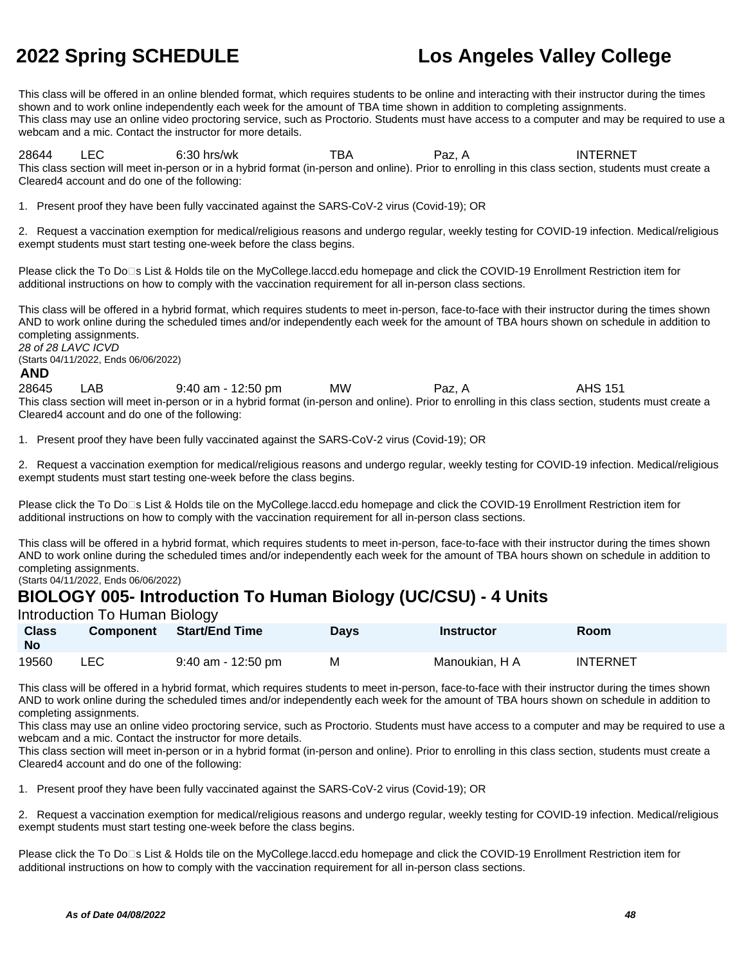This class will be offered in an online blended format, which requires students to be online and interacting with their instructor during the times shown and to work online independently each week for the amount of TBA time shown in addition to completing assignments. This class may use an online video proctoring service, such as Proctorio. Students must have access to a computer and may be required to use a webcam and a mic. Contact the instructor for more details.

28644 LEC 6:30 hrs/wk TBA Paz, A INTERNET This class section will meet in-person or in a hybrid format (in-person and online). Prior to enrolling in this class section, students must create a Cleared4 account and do one of the following:

1. Present proof they have been fully vaccinated against the SARS-CoV-2 virus (Covid-19); OR

2. Request a vaccination exemption for medical/religious reasons and undergo regular, weekly testing for COVID-19 infection. Medical/religious exempt students must start testing one-week before the class begins.

Please click the To Do□s List & Holds tile on the MyCollege.laccd.edu homepage and click the COVID-19 Enrollment Restriction item for additional instructions on how to comply with the vaccination requirement for all in-person class sections.

This class will be offered in a hybrid format, which requires students to meet in-person, face-to-face with their instructor during the times shown AND to work online during the scheduled times and/or independently each week for the amount of TBA hours shown on schedule in addition to completing assignments. 28 of 28 LAVC ICVD

(Starts 04/11/2022, Ends 06/06/2022)

### **AND**

28645 LAB 9:40 am - 12:50 pm MW Paz, A AHS 151 This class section will meet in-person or in a hybrid format (in-person and online). Prior to enrolling in this class section, students must create a Cleared4 account and do one of the following:

1. Present proof they have been fully vaccinated against the SARS-CoV-2 virus (Covid-19); OR

2. Request a vaccination exemption for medical/religious reasons and undergo regular, weekly testing for COVID-19 infection. Medical/religious exempt students must start testing one-week before the class begins.

Please click the To Do□s List & Holds tile on the MyCollege.laccd.edu homepage and click the COVID-19 Enrollment Restriction item for additional instructions on how to comply with the vaccination requirement for all in-person class sections.

This class will be offered in a hybrid format, which requires students to meet in-person, face-to-face with their instructor during the times shown AND to work online during the scheduled times and/or independently each week for the amount of TBA hours shown on schedule in addition to completing assignments.

(Starts 04/11/2022, Ends 06/06/2022)

### **BIOLOGY 005- Introduction To Human Biology (UC/CSU) - 4 Units**

### Introduction To Human Biology

| <b>Class</b><br><b>No</b> | <b>Component</b> | Start/End Time       | Days | Instructor     | Room     |
|---------------------------|------------------|----------------------|------|----------------|----------|
| 19560                     | LEC              | $9:40$ am - 12:50 pm | м    | Manoukian. H A | INTERNET |

This class will be offered in a hybrid format, which requires students to meet in-person, face-to-face with their instructor during the times shown AND to work online during the scheduled times and/or independently each week for the amount of TBA hours shown on schedule in addition to completing assignments.

This class may use an online video proctoring service, such as Proctorio. Students must have access to a computer and may be required to use a webcam and a mic. Contact the instructor for more details.

This class section will meet in-person or in a hybrid format (in-person and online). Prior to enrolling in this class section, students must create a Cleared4 account and do one of the following:

1. Present proof they have been fully vaccinated against the SARS-CoV-2 virus (Covid-19); OR

2. Request a vaccination exemption for medical/religious reasons and undergo regular, weekly testing for COVID-19 infection. Medical/religious exempt students must start testing one-week before the class begins.

Please click the To Do□s List & Holds tile on the MyCollege.laccd.edu homepage and click the COVID-19 Enrollment Restriction item for additional instructions on how to comply with the vaccination requirement for all in-person class sections.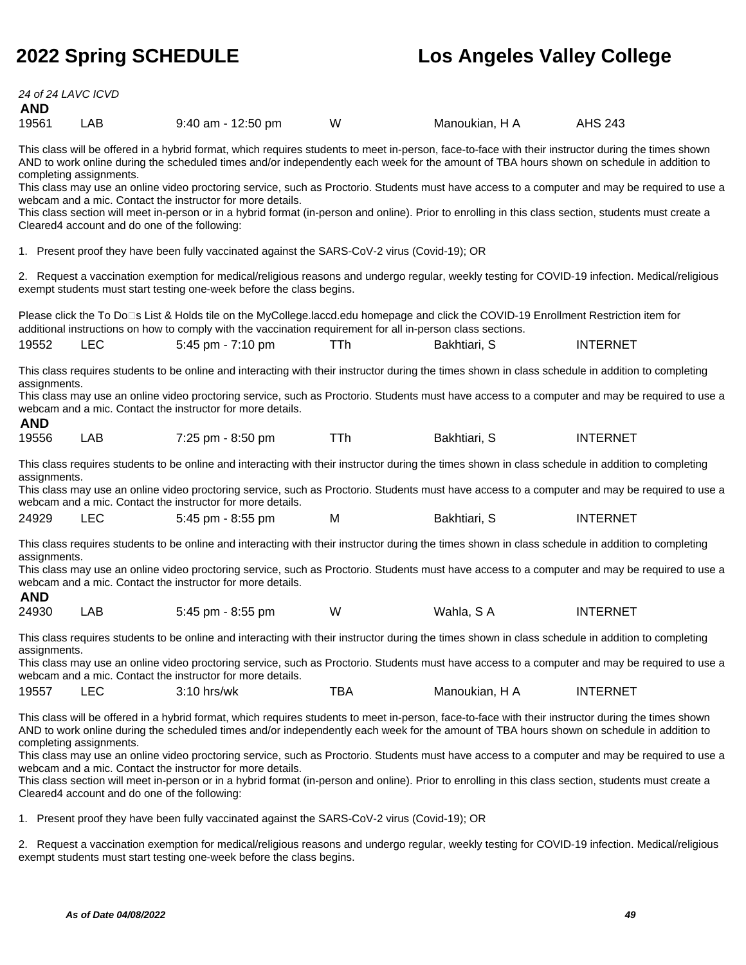24 of 24 LAVC ICVD

| <b>AND</b>   |                                                                                                                                                                                                                            |                                                                                                                                                                                                                                                                                                  |            |                |                                                                                                                                                |  |
|--------------|----------------------------------------------------------------------------------------------------------------------------------------------------------------------------------------------------------------------------|--------------------------------------------------------------------------------------------------------------------------------------------------------------------------------------------------------------------------------------------------------------------------------------------------|------------|----------------|------------------------------------------------------------------------------------------------------------------------------------------------|--|
| 19561        | LAB                                                                                                                                                                                                                        | 9:40 am - 12:50 pm                                                                                                                                                                                                                                                                               | W          | Manoukian, H A | <b>AHS 243</b>                                                                                                                                 |  |
|              | completing assignments.                                                                                                                                                                                                    | This class will be offered in a hybrid format, which requires students to meet in-person, face-to-face with their instructor during the times shown<br>AND to work online during the scheduled times and/or independently each week for the amount of TBA hours shown on schedule in addition to |            |                |                                                                                                                                                |  |
|              |                                                                                                                                                                                                                            | webcam and a mic. Contact the instructor for more details.                                                                                                                                                                                                                                       |            |                | This class may use an online video proctoring service, such as Proctorio. Students must have access to a computer and may be required to use a |  |
|              | Cleared4 account and do one of the following:                                                                                                                                                                              | This class section will meet in-person or in a hybrid format (in-person and online). Prior to enrolling in this class section, students must create a                                                                                                                                            |            |                |                                                                                                                                                |  |
|              |                                                                                                                                                                                                                            | 1. Present proof they have been fully vaccinated against the SARS-CoV-2 virus (Covid-19); OR                                                                                                                                                                                                     |            |                |                                                                                                                                                |  |
|              |                                                                                                                                                                                                                            | 2. Request a vaccination exemption for medical/religious reasons and undergo regular, weekly testing for COVID-19 infection. Medical/religious<br>exempt students must start testing one-week before the class begins.                                                                           |            |                |                                                                                                                                                |  |
|              |                                                                                                                                                                                                                            | Please click the To Do⊡s List & Holds tile on the MyCollege.laccd.edu homepage and click the COVID-19 Enrollment Restriction item for<br>additional instructions on how to comply with the vaccination requirement for all in-person class sections.                                             |            |                |                                                                                                                                                |  |
| 19552        | <b>LEC</b>                                                                                                                                                                                                                 | 5:45 pm - 7:10 pm                                                                                                                                                                                                                                                                                | TTh        | Bakhtiari, S   | <b>INTERNET</b>                                                                                                                                |  |
| assignments. |                                                                                                                                                                                                                            | This class requires students to be online and interacting with their instructor during the times shown in class schedule in addition to completing                                                                                                                                               |            |                |                                                                                                                                                |  |
|              | This class may use an online video proctoring service, such as Proctorio. Students must have access to a computer and may be required to use a<br>webcam and a mic. Contact the instructor for more details.<br><b>AND</b> |                                                                                                                                                                                                                                                                                                  |            |                |                                                                                                                                                |  |
| 19556        | <b>LAB</b>                                                                                                                                                                                                                 | 7:25 pm - 8:50 pm                                                                                                                                                                                                                                                                                | <b>TTh</b> | Bakhtiari, S   | <b>INTERNET</b>                                                                                                                                |  |
| assignments. |                                                                                                                                                                                                                            | This class requires students to be online and interacting with their instructor during the times shown in class schedule in addition to completing                                                                                                                                               |            |                |                                                                                                                                                |  |
|              |                                                                                                                                                                                                                            | webcam and a mic. Contact the instructor for more details.                                                                                                                                                                                                                                       |            |                | This class may use an online video proctoring service, such as Proctorio. Students must have access to a computer and may be required to use a |  |
| 24929        | <b>LEC</b>                                                                                                                                                                                                                 | 5:45 pm - 8:55 pm                                                                                                                                                                                                                                                                                | M          | Bakhtiari, S   | <b>INTERNET</b>                                                                                                                                |  |
| assignments. |                                                                                                                                                                                                                            | This class requires students to be online and interacting with their instructor during the times shown in class schedule in addition to completing                                                                                                                                               |            |                |                                                                                                                                                |  |
| <b>AND</b>   |                                                                                                                                                                                                                            | webcam and a mic. Contact the instructor for more details.                                                                                                                                                                                                                                       |            |                | This class may use an online video proctoring service, such as Proctorio. Students must have access to a computer and may be required to use a |  |
| 24930        | LAB                                                                                                                                                                                                                        | 5:45 pm - 8:55 pm                                                                                                                                                                                                                                                                                | W          | Wahla, SA      | <b>INTERNET</b>                                                                                                                                |  |
|              |                                                                                                                                                                                                                            | This class requires students to be online and interacting with their instructor during the times shown in class schedule in addition to completing                                                                                                                                               |            |                |                                                                                                                                                |  |
| assignments. |                                                                                                                                                                                                                            | webcam and a mic. Contact the instructor for more details.                                                                                                                                                                                                                                       |            |                | This class may use an online video proctoring service, such as Proctorio. Students must have access to a computer and may be required to use a |  |
| 19557        | <b>LEC</b>                                                                                                                                                                                                                 | 3:10 hrs/wk                                                                                                                                                                                                                                                                                      | <b>TBA</b> | Manoukian, H A | <b>INTERNET</b>                                                                                                                                |  |
|              | completing assignments.                                                                                                                                                                                                    | This class will be offered in a hybrid format, which requires students to meet in-person, face-to-face with their instructor during the times shown<br>AND to work online during the scheduled times and/or independently each week for the amount of TBA hours shown on schedule in addition to |            |                |                                                                                                                                                |  |
|              |                                                                                                                                                                                                                            | webcam and a mic. Contact the instructor for more details.                                                                                                                                                                                                                                       |            |                | This class may use an online video proctoring service, such as Proctorio. Students must have access to a computer and may be required to use a |  |
|              | Cleared4 account and do one of the following:                                                                                                                                                                              | This class section will meet in-person or in a hybrid format (in-person and online). Prior to enrolling in this class section, students must create a                                                                                                                                            |            |                |                                                                                                                                                |  |
|              |                                                                                                                                                                                                                            | 1. Present proof they have been fully vaccinated against the SARS-CoV-2 virus (Covid-19); OR                                                                                                                                                                                                     |            |                |                                                                                                                                                |  |

2. Request a vaccination exemption for medical/religious reasons and undergo regular, weekly testing for COVID-19 infection. Medical/religious exempt students must start testing one-week before the class begins.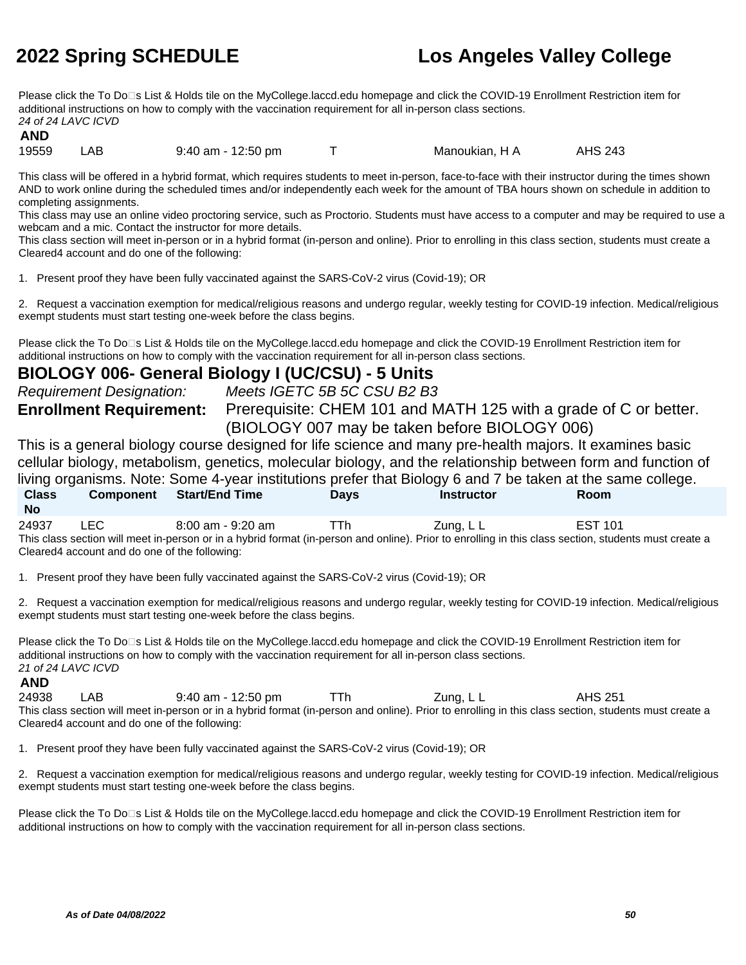Please click the To Do□s List & Holds tile on the MyCollege.laccd.edu homepage and click the COVID-19 Enrollment Restriction item for additional instructions on how to comply with the vaccination requirement for all in-person class sections. 24 of 24 LAVC ICVD

### **AND**

19559 LAB 9:40 am - 12:50 pm T Manoukian, H A AHS 243

This class will be offered in a hybrid format, which requires students to meet in-person, face-to-face with their instructor during the times shown AND to work online during the scheduled times and/or independently each week for the amount of TBA hours shown on schedule in addition to completing assignments.

This class may use an online video proctoring service, such as Proctorio. Students must have access to a computer and may be required to use a webcam and a mic. Contact the instructor for more details.

This class section will meet in-person or in a hybrid format (in-person and online). Prior to enrolling in this class section, students must create a Cleared4 account and do one of the following:

1. Present proof they have been fully vaccinated against the SARS-CoV-2 virus (Covid-19); OR

2. Request a vaccination exemption for medical/religious reasons and undergo regular, weekly testing for COVID-19 infection. Medical/religious exempt students must start testing one-week before the class begins.

Please click the To Do⊡s List & Holds tile on the MyCollege.laccd.edu homepage and click the COVID-19 Enrollment Restriction item for additional instructions on how to comply with the vaccination requirement for all in-person class sections.

### **BIOLOGY 006- General Biology I (UC/CSU) - 5 Units**

Requirement Designation: Meets IGETC 5B 5C CSU B2 B3

**Enrollment Requirement:** Prerequisite: CHEM 101 and MATH 125 with a grade of C or better. (BIOLOGY 007 may be taken before BIOLOGY 006)

This is a general biology course designed for life science and many pre-health majors. It examines basic cellular biology, metabolism, genetics, molecular biology, and the relationship between form and function of living organisms. Note: Some 4-year institutions prefer that Biology 6 and 7 be taken at the same college. **Class No Component Start/End Time Days Instructor Room**

24937 LEC 8:00 am - 9:20 am TTh Zung, LL EST 101 This class section will meet in-person or in a hybrid format (in-person and online). Prior to enrolling in this class section, students must create a Cleared4 account and do one of the following:

1. Present proof they have been fully vaccinated against the SARS-CoV-2 virus (Covid-19); OR

2. Request a vaccination exemption for medical/religious reasons and undergo regular, weekly testing for COVID-19 infection. Medical/religious exempt students must start testing one-week before the class begins.

Please click the To Do⊡s List & Holds tile on the MyCollege.laccd.edu homepage and click the COVID-19 Enrollment Restriction item for additional instructions on how to comply with the vaccination requirement for all in-person class sections. 21 of 24 LAVC ICVD

### **AND** 24938 LAB 9:40 am - 12:50 pm TTh Zung, L L AHS 251

This class section will meet in-person or in a hybrid format (in-person and online). Prior to enrolling in this class section, students must create a Cleared4 account and do one of the following:

1. Present proof they have been fully vaccinated against the SARS-CoV-2 virus (Covid-19); OR

2. Request a vaccination exemption for medical/religious reasons and undergo regular, weekly testing for COVID-19 infection. Medical/religious exempt students must start testing one-week before the class begins.

Please click the To Do<sup>n</sup>s List & Holds tile on the MyCollege.laccd.edu homepage and click the COVID-19 Enrollment Restriction item for additional instructions on how to comply with the vaccination requirement for all in-person class sections.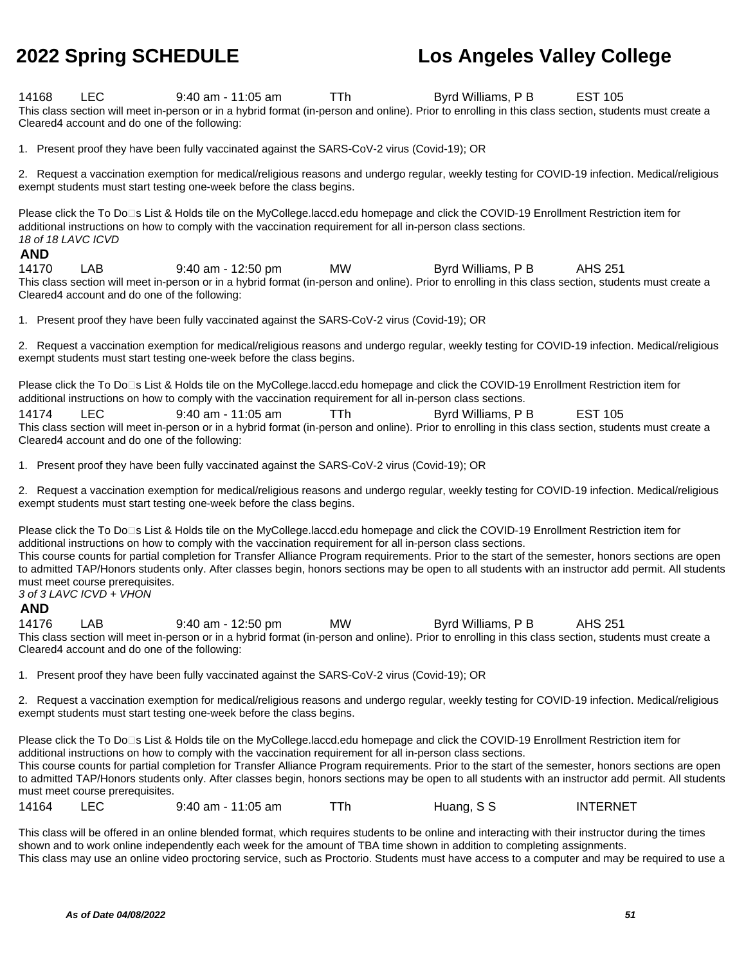14168 LEC 9:40 am - 11:05 am TTh Byrd Williams, P B EST 105 This class section will meet in-person or in a hybrid format (in-person and online). Prior to enrolling in this class section, students must create a Cleared4 account and do one of the following:

1. Present proof they have been fully vaccinated against the SARS-CoV-2 virus (Covid-19); OR

2. Request a vaccination exemption for medical/religious reasons and undergo regular, weekly testing for COVID-19 infection. Medical/religious exempt students must start testing one-week before the class begins.

Please click the To Do⊡s List & Holds tile on the MyCollege.laccd.edu homepage and click the COVID-19 Enrollment Restriction item for additional instructions on how to comply with the vaccination requirement for all in-person class sections. 18 of 18 LAVC ICVD

### **AND**

14170 LAB 9:40 am - 12:50 pm MW Byrd Williams, P B AHS 251 This class section will meet in-person or in a hybrid format (in-person and online). Prior to enrolling in this class section, students must create a Cleared4 account and do one of the following:

1. Present proof they have been fully vaccinated against the SARS-CoV-2 virus (Covid-19); OR

2. Request a vaccination exemption for medical/religious reasons and undergo regular, weekly testing for COVID-19 infection. Medical/religious exempt students must start testing one-week before the class begins.

Please click the To Do<sup>n</sup>s List & Holds tile on the MyCollege.laccd.edu homepage and click the COVID-19 Enrollment Restriction item for additional instructions on how to comply with the vaccination requirement for all in-person class sections.

14174 LEC 9:40 am - 11:05 am TTh Byrd Williams, P B EST 105 This class section will meet in-person or in a hybrid format (in-person and online). Prior to enrolling in this class section, students must create a Cleared4 account and do one of the following:

1. Present proof they have been fully vaccinated against the SARS-CoV-2 virus (Covid-19); OR

2. Request a vaccination exemption for medical/religious reasons and undergo regular, weekly testing for COVID-19 infection. Medical/religious exempt students must start testing one-week before the class begins.

Please click the To Do⊡s List & Holds tile on the MyCollege.laccd.edu homepage and click the COVID-19 Enrollment Restriction item for additional instructions on how to comply with the vaccination requirement for all in-person class sections. This course counts for partial completion for Transfer Alliance Program requirements. Prior to the start of the semester, honors sections are open to admitted TAP/Honors students only. After classes begin, honors sections may be open to all students with an instructor add permit. All students must meet course prerequisites. 3 of 3 LAVC ICVD + VHON

### **AND**

14176 LAB 9:40 am - 12:50 pm MW Byrd Williams, P B AHS 251 This class section will meet in-person or in a hybrid format (in-person and online). Prior to enrolling in this class section, students must create a Cleared4 account and do one of the following:

1. Present proof they have been fully vaccinated against the SARS-CoV-2 virus (Covid-19); OR

2. Request a vaccination exemption for medical/religious reasons and undergo regular, weekly testing for COVID-19 infection. Medical/religious exempt students must start testing one-week before the class begins.

Please click the To Do<sup>n</sup>s List & Holds tile on the MyCollege.laccd.edu homepage and click the COVID-19 Enrollment Restriction item for additional instructions on how to comply with the vaccination requirement for all in-person class sections. This course counts for partial completion for Transfer Alliance Program requirements. Prior to the start of the semester, honors sections are open to admitted TAP/Honors students only. After classes begin, honors sections may be open to all students with an instructor add permit. All students must meet course prerequisites. 14164 LEC 9:40 am - 11:05 am TTh Huang, S S INTERNET

This class will be offered in an online blended format, which requires students to be online and interacting with their instructor during the times shown and to work online independently each week for the amount of TBA time shown in addition to completing assignments. This class may use an online video proctoring service, such as Proctorio. Students must have access to a computer and may be required to use a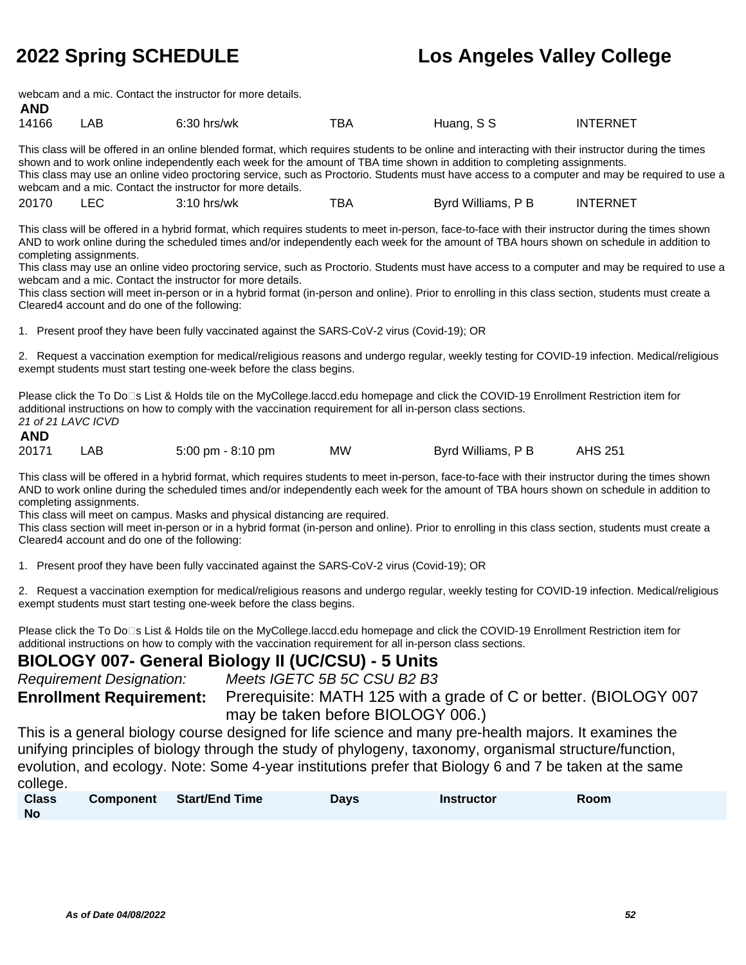**AND**

## **2022 Spring SCHEDULE Los Angeles Valley College**

webcam and a mic. Contact the instructor for more details.

| 14166 | AE | 6:30<br>hrs/wk<br>. | $-$<br>ВΡ | Huand.<br>ა ა | ERNET<br>IN I |
|-------|----|---------------------|-----------|---------------|---------------|
|       |    |                     |           | .             |               |

This class will be offered in an online blended format, which requires students to be online and interacting with their instructor during the times shown and to work online independently each week for the amount of TBA time shown in addition to completing assignments. This class may use an online video proctoring service, such as Proctorio. Students must have access to a computer and may be required to use a webcam and a mic. Contact the instructor for more details.

|  | 20170 | r c<br>3:10<br>hrs/wk | --<br>BΑ | Williams.<br>Bvro | TERNET<br>INT |
|--|-------|-----------------------|----------|-------------------|---------------|
|--|-------|-----------------------|----------|-------------------|---------------|

This class will be offered in a hybrid format, which requires students to meet in-person, face-to-face with their instructor during the times shown AND to work online during the scheduled times and/or independently each week for the amount of TBA hours shown on schedule in addition to completing assignments.

This class may use an online video proctoring service, such as Proctorio. Students must have access to a computer and may be required to use a webcam and a mic. Contact the instructor for more details.

This class section will meet in-person or in a hybrid format (in-person and online). Prior to enrolling in this class section, students must create a Cleared4 account and do one of the following:

1. Present proof they have been fully vaccinated against the SARS-CoV-2 virus (Covid-19); OR

2. Request a vaccination exemption for medical/religious reasons and undergo regular, weekly testing for COVID-19 infection. Medical/religious exempt students must start testing one-week before the class begins.

Please click the To Do□s List & Holds tile on the MyCollege.laccd.edu homepage and click the COVID-19 Enrollment Restriction item for additional instructions on how to comply with the vaccination requirement for all in-person class sections. 21 of 21 LAVC ICVD

| <b>AND</b> |     |                                     |    |                    |         |
|------------|-----|-------------------------------------|----|--------------------|---------|
| 20171      | LAB | $5:00 \text{ pm} - 8:10 \text{ pm}$ | MW | Byrd Williams, P B | AHS 251 |

This class will be offered in a hybrid format, which requires students to meet in-person, face-to-face with their instructor during the times shown AND to work online during the scheduled times and/or independently each week for the amount of TBA hours shown on schedule in addition to completing assignments.

This class will meet on campus. Masks and physical distancing are required.

This class section will meet in-person or in a hybrid format (in-person and online). Prior to enrolling in this class section, students must create a Cleared4 account and do one of the following:

1. Present proof they have been fully vaccinated against the SARS-CoV-2 virus (Covid-19); OR

2. Request a vaccination exemption for medical/religious reasons and undergo regular, weekly testing for COVID-19 infection. Medical/religious exempt students must start testing one-week before the class begins.

Please click the To Do<sup>n</sup>s List & Holds tile on the MyCollege.laccd.edu homepage and click the COVID-19 Enrollment Restriction item for additional instructions on how to comply with the vaccination requirement for all in-person class sections.

### **BIOLOGY 007- General Biology II (UC/CSU) - 5 Units**

| <b>Requirement Designation:</b> | Meets IGETC 5B 5C CSU B2 B3                                                                     |
|---------------------------------|-------------------------------------------------------------------------------------------------|
|                                 | <b>Enrollment Requirement:</b> Prerequisite: MATH 125 with a grade of C or better. (BIOLOGY 007 |
|                                 | may be taken before BIOLOGY 006.)                                                               |

This is a general biology course designed for life science and many pre-health majors. It examines the unifying principles of biology through the study of phylogeny, taxonomy, organismal structure/function, evolution, and ecology. Note: Some 4-year institutions prefer that Biology 6 and 7 be taken at the same college.

| <b>Class</b> | Component Start/End Time | <b>Days</b> | <b>Instructor</b> | Room |
|--------------|--------------------------|-------------|-------------------|------|
| <b>No</b>    |                          |             |                   |      |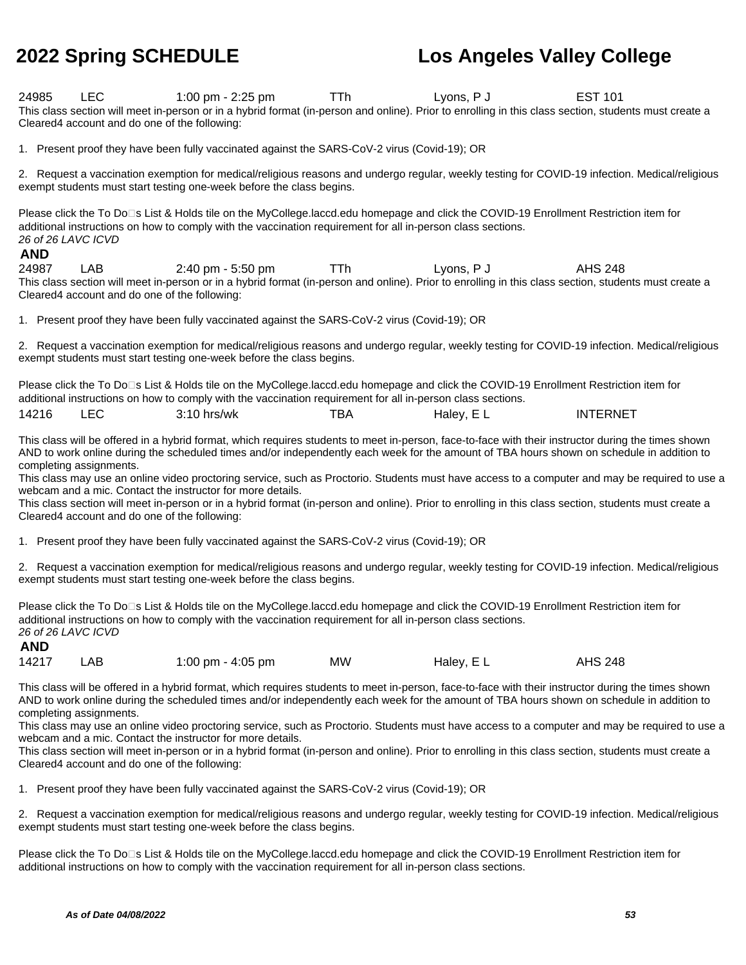24985 LEC 1:00 pm - 2:25 pm TTh Lyons, P J EST 101 This class section will meet in-person or in a hybrid format (in-person and online). Prior to enrolling in this class section, students must create a Cleared4 account and do one of the following:

1. Present proof they have been fully vaccinated against the SARS-CoV-2 virus (Covid-19); OR

2. Request a vaccination exemption for medical/religious reasons and undergo regular, weekly testing for COVID-19 infection. Medical/religious exempt students must start testing one-week before the class begins.

Please click the To Do⊡s List & Holds tile on the MyCollege.laccd.edu homepage and click the COVID-19 Enrollment Restriction item for additional instructions on how to comply with the vaccination requirement for all in-person class sections. 26 of 26 LAVC ICVD

### **AND**

**AND**

24987 LAB 2:40 pm - 5:50 pm TTh Lyons, P J AHS 248 This class section will meet in-person or in a hybrid format (in-person and online). Prior to enrolling in this class section, students must create a Cleared4 account and do one of the following:

1. Present proof they have been fully vaccinated against the SARS-CoV-2 virus (Covid-19); OR

2. Request a vaccination exemption for medical/religious reasons and undergo regular, weekly testing for COVID-19 infection. Medical/religious exempt students must start testing one-week before the class begins.

Please click the To Do⊡s List & Holds tile on the MyCollege.laccd.edu homepage and click the COVID-19 Enrollment Restriction item for additional instructions on how to comply with the vaccination requirement for all in-person class sections. 14216 LEC 3:10 hrs/wk TBA Haley, E L INTERNET

This class will be offered in a hybrid format, which requires students to meet in-person, face-to-face with their instructor during the times shown AND to work online during the scheduled times and/or independently each week for the amount of TBA hours shown on schedule in addition to completing assignments.

This class may use an online video proctoring service, such as Proctorio. Students must have access to a computer and may be required to use a webcam and a mic. Contact the instructor for more details.

This class section will meet in-person or in a hybrid format (in-person and online). Prior to enrolling in this class section, students must create a Cleared4 account and do one of the following:

1. Present proof they have been fully vaccinated against the SARS-CoV-2 virus (Covid-19); OR

2. Request a vaccination exemption for medical/religious reasons and undergo regular, weekly testing for COVID-19 infection. Medical/religious exempt students must start testing one-week before the class begins.

Please click the To Do□s List & Holds tile on the MyCollege.laccd.edu homepage and click the COVID-19 Enrollment Restriction item for additional instructions on how to comply with the vaccination requirement for all in-person class sections. 26 of 26 LAVC ICVD

| 14217<br>ΜW<br>Haley, EL<br>LAB<br>1:00 pm - 4:05 pm | <b>AHS 248</b> |
|------------------------------------------------------|----------------|
|------------------------------------------------------|----------------|

This class will be offered in a hybrid format, which requires students to meet in-person, face-to-face with their instructor during the times shown AND to work online during the scheduled times and/or independently each week for the amount of TBA hours shown on schedule in addition to completing assignments.

This class may use an online video proctoring service, such as Proctorio. Students must have access to a computer and may be required to use a webcam and a mic. Contact the instructor for more details.

This class section will meet in-person or in a hybrid format (in-person and online). Prior to enrolling in this class section, students must create a Cleared4 account and do one of the following:

1. Present proof they have been fully vaccinated against the SARS-CoV-2 virus (Covid-19); OR

2. Request a vaccination exemption for medical/religious reasons and undergo regular, weekly testing for COVID-19 infection. Medical/religious exempt students must start testing one-week before the class begins.

Please click the To Do⊡s List & Holds tile on the MyCollege.laccd.edu homepage and click the COVID-19 Enrollment Restriction item for additional instructions on how to comply with the vaccination requirement for all in-person class sections.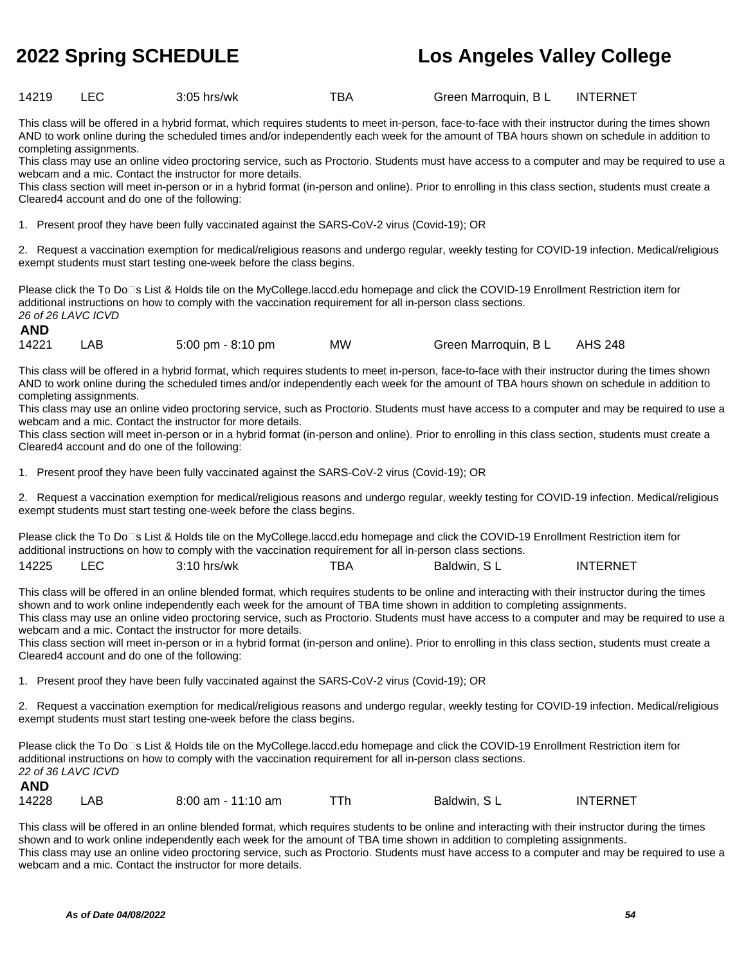14219 LEC 3:05 hrs/wk TBA Green Marroquin, BL INTERNET

This class will be offered in a hybrid format, which requires students to meet in-person, face-to-face with their instructor during the times shown AND to work online during the scheduled times and/or independently each week for the amount of TBA hours shown on schedule in addition to completing assignments.

This class may use an online video proctoring service, such as Proctorio. Students must have access to a computer and may be required to use a webcam and a mic. Contact the instructor for more details.

This class section will meet in-person or in a hybrid format (in-person and online). Prior to enrolling in this class section, students must create a Cleared4 account and do one of the following:

1. Present proof they have been fully vaccinated against the SARS-CoV-2 virus (Covid-19); OR

2. Request a vaccination exemption for medical/religious reasons and undergo regular, weekly testing for COVID-19 infection. Medical/religious exempt students must start testing one-week before the class begins.

Please click the To Do□s List & Holds tile on the MyCollege.laccd.edu homepage and click the COVID-19 Enrollment Restriction item for additional instructions on how to comply with the vaccination requirement for all in-person class sections. 26 of 26 LAVC ICVD

|  | AND |  |  |
|--|-----|--|--|
|  |     |  |  |

|  | 14221 | LAB | $5:00 \text{ pm} - 8:10 \text{ pm}$ | ΜW | Green Marroquin, B L | AHS 248 |
|--|-------|-----|-------------------------------------|----|----------------------|---------|
|--|-------|-----|-------------------------------------|----|----------------------|---------|

This class will be offered in a hybrid format, which requires students to meet in-person, face-to-face with their instructor during the times shown AND to work online during the scheduled times and/or independently each week for the amount of TBA hours shown on schedule in addition to completing assignments.

This class may use an online video proctoring service, such as Proctorio. Students must have access to a computer and may be required to use a webcam and a mic. Contact the instructor for more details.

This class section will meet in-person or in a hybrid format (in-person and online). Prior to enrolling in this class section, students must create a Cleared4 account and do one of the following:

1. Present proof they have been fully vaccinated against the SARS-CoV-2 virus (Covid-19); OR

2. Request a vaccination exemption for medical/religious reasons and undergo regular, weekly testing for COVID-19 infection. Medical/religious exempt students must start testing one-week before the class begins.

Please click the To Do□s List & Holds tile on the MyCollege.laccd.edu homepage and click the COVID-19 Enrollment Restriction item for additional instructions on how to comply with the vaccination requirement for all in-person class sections. 14225 LEC 3:10 hrs/wk TBA Baldwin, S L INTERNET

This class will be offered in an online blended format, which requires students to be online and interacting with their instructor during the times shown and to work online independently each week for the amount of TBA time shown in addition to completing assignments. This class may use an online video proctoring service, such as Proctorio. Students must have access to a computer and may be required to use a webcam and a mic. Contact the instructor for more details.

This class section will meet in-person or in a hybrid format (in-person and online). Prior to enrolling in this class section, students must create a Cleared4 account and do one of the following:

1. Present proof they have been fully vaccinated against the SARS-CoV-2 virus (Covid-19); OR

2. Request a vaccination exemption for medical/religious reasons and undergo regular, weekly testing for COVID-19 infection. Medical/religious exempt students must start testing one-week before the class begins.

Please click the To Do<sup>n</sup>s List & Holds tile on the MyCollege.laccd.edu homepage and click the COVID-19 Enrollment Restriction item for additional instructions on how to comply with the vaccination requirement for all in-person class sections. 22 of 36 LAVC ICVD **AND**

| 14228 | LAB. | $8:00$ am - 11:10 am |  | Baldwin, SL | <b>INTERNET</b> |
|-------|------|----------------------|--|-------------|-----------------|
|-------|------|----------------------|--|-------------|-----------------|

This class will be offered in an online blended format, which requires students to be online and interacting with their instructor during the times shown and to work online independently each week for the amount of TBA time shown in addition to completing assignments. This class may use an online video proctoring service, such as Proctorio. Students must have access to a computer and may be required to use a webcam and a mic. Contact the instructor for more details.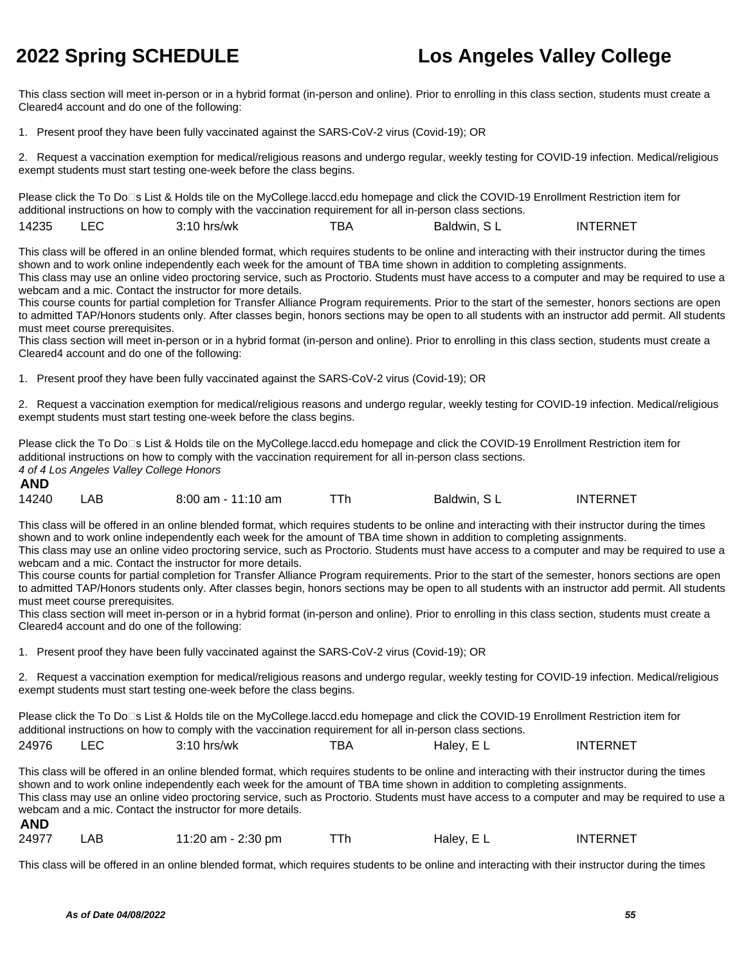This class section will meet in-person or in a hybrid format (in-person and online). Prior to enrolling in this class section, students must create a Cleared4 account and do one of the following:

1. Present proof they have been fully vaccinated against the SARS-CoV-2 virus (Covid-19); OR

2. Request a vaccination exemption for medical/religious reasons and undergo regular, weekly testing for COVID-19 infection. Medical/religious exempt students must start testing one-week before the class begins.

Please click the To Do<sup>n</sup>s List & Holds tile on the MyCollege.laccd.edu homepage and click the COVID-19 Enrollment Restriction item for additional instructions on how to comply with the vaccination requirement for all in-person class sections.

14235 LEC 3:10 hrs/wk TBA Baldwin, S L INTERNET

This class will be offered in an online blended format, which requires students to be online and interacting with their instructor during the times shown and to work online independently each week for the amount of TBA time shown in addition to completing assignments.

This class may use an online video proctoring service, such as Proctorio. Students must have access to a computer and may be required to use a webcam and a mic. Contact the instructor for more details.

This course counts for partial completion for Transfer Alliance Program requirements. Prior to the start of the semester, honors sections are open to admitted TAP/Honors students only. After classes begin, honors sections may be open to all students with an instructor add permit. All students must meet course prerequisites.

This class section will meet in-person or in a hybrid format (in-person and online). Prior to enrolling in this class section, students must create a Cleared4 account and do one of the following:

1. Present proof they have been fully vaccinated against the SARS-CoV-2 virus (Covid-19); OR

2. Request a vaccination exemption for medical/religious reasons and undergo regular, weekly testing for COVID-19 infection. Medical/religious exempt students must start testing one-week before the class begins.

Please click the To Do□s List & Holds tile on the MyCollege.laccd.edu homepage and click the COVID-19 Enrollment Restriction item for additional instructions on how to comply with the vaccination requirement for all in-person class sections. 4 of 4 Los Angeles Valley College Honors **AND**

| 14240 | ΑB | $8:00$ am - 11:10 am |  | Baldwin, SL | <b>INTERNET</b> |
|-------|----|----------------------|--|-------------|-----------------|
|-------|----|----------------------|--|-------------|-----------------|

This class will be offered in an online blended format, which requires students to be online and interacting with their instructor during the times shown and to work online independently each week for the amount of TBA time shown in addition to completing assignments.

This class may use an online video proctoring service, such as Proctorio. Students must have access to a computer and may be required to use a webcam and a mic. Contact the instructor for more details.

This course counts for partial completion for Transfer Alliance Program requirements. Prior to the start of the semester, honors sections are open to admitted TAP/Honors students only. After classes begin, honors sections may be open to all students with an instructor add permit. All students must meet course prerequisites.

This class section will meet in-person or in a hybrid format (in-person and online). Prior to enrolling in this class section, students must create a Cleared4 account and do one of the following:

1. Present proof they have been fully vaccinated against the SARS-CoV-2 virus (Covid-19); OR

2. Request a vaccination exemption for medical/religious reasons and undergo regular, weekly testing for COVID-19 infection. Medical/religious exempt students must start testing one-week before the class begins.

Please click the To Do⊡s List & Holds tile on the MyCollege.laccd.edu homepage and click the COVID-19 Enrollment Restriction item for additional instructions on how to comply with the vaccination requirement for all in-person class sections.

| 24976 | ᄂᄂ | $3:10$ hrs/wk | тва | Halev. E L | INTERNET |
|-------|----|---------------|-----|------------|----------|
|-------|----|---------------|-----|------------|----------|

This class will be offered in an online blended format, which requires students to be online and interacting with their instructor during the times shown and to work online independently each week for the amount of TBA time shown in addition to completing assignments. This class may use an online video proctoring service, such as Proctorio. Students must have access to a computer and may be required to use a webcam and a mic. Contact the instructor for more details. **AND**

| 24977 | LAB | 11:20 am - 2:30 pm |  | Haley, EL | <b>INTERNET</b> |
|-------|-----|--------------------|--|-----------|-----------------|
|-------|-----|--------------------|--|-----------|-----------------|

This class will be offered in an online blended format, which requires students to be online and interacting with their instructor during the times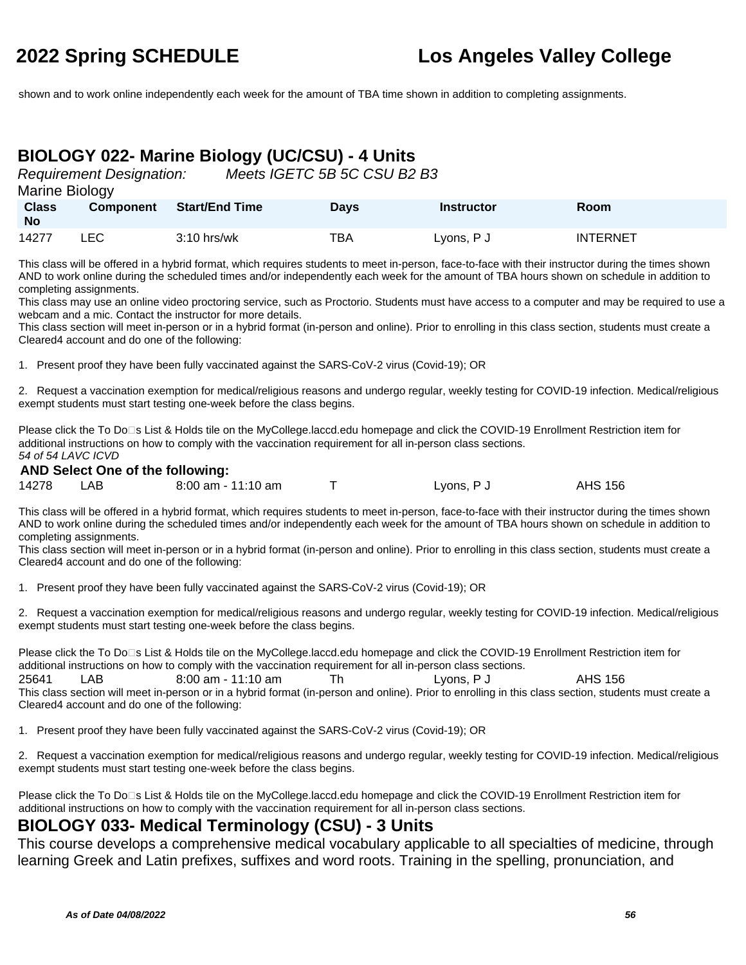shown and to work online independently each week for the amount of TBA time shown in addition to completing assignments.

## **BIOLOGY 022- Marine Biology (UC/CSU) - 4 Units**

Requirement Designation: Meets IGETC 5B 5C CSU B2 B3

| Marine Biology |
|----------------|
|                |

| <b>Class</b><br><b>No</b> | <b>Component</b> | <b>Start/End Time</b> | Days | <b>Instructor</b> | <b>Room</b>     |
|---------------------------|------------------|-----------------------|------|-------------------|-----------------|
| 14277                     | LEC.             | $3:10$ hrs/wk         | TBA  | Lyons, P J        | <b>INTERNET</b> |

This class will be offered in a hybrid format, which requires students to meet in-person, face-to-face with their instructor during the times shown AND to work online during the scheduled times and/or independently each week for the amount of TBA hours shown on schedule in addition to completing assignments.

This class may use an online video proctoring service, such as Proctorio. Students must have access to a computer and may be required to use a webcam and a mic. Contact the instructor for more details.

This class section will meet in-person or in a hybrid format (in-person and online). Prior to enrolling in this class section, students must create a Cleared4 account and do one of the following:

1. Present proof they have been fully vaccinated against the SARS-CoV-2 virus (Covid-19); OR

2. Request a vaccination exemption for medical/religious reasons and undergo regular, weekly testing for COVID-19 infection. Medical/religious exempt students must start testing one-week before the class begins.

Please click the To Do□s List & Holds tile on the MyCollege.laccd.edu homepage and click the COVID-19 Enrollment Restriction item for additional instructions on how to comply with the vaccination requirement for all in-person class sections. 54 of 54 LAVC ICVD

### **AND Select One of the following:**

| 14278 | LAB | 8:00 am - 11:10 am | Lyons, P J | <b>AHS 156</b> |
|-------|-----|--------------------|------------|----------------|

This class will be offered in a hybrid format, which requires students to meet in-person, face-to-face with their instructor during the times shown AND to work online during the scheduled times and/or independently each week for the amount of TBA hours shown on schedule in addition to completing assignments.

This class section will meet in-person or in a hybrid format (in-person and online). Prior to enrolling in this class section, students must create a Cleared4 account and do one of the following:

1. Present proof they have been fully vaccinated against the SARS-CoV-2 virus (Covid-19); OR

2. Request a vaccination exemption for medical/religious reasons and undergo regular, weekly testing for COVID-19 infection. Medical/religious exempt students must start testing one-week before the class begins.

Please click the To Do□s List & Holds tile on the MyCollege.laccd.edu homepage and click the COVID-19 Enrollment Restriction item for additional instructions on how to comply with the vaccination requirement for all in-person class sections. 25641 LAB 8:00 am - 11:10 am Th Lyons, P J AHS 156 This class section will meet in-person or in a hybrid format (in-person and online). Prior to enrolling in this class section, students must create a Cleared4 account and do one of the following:

1. Present proof they have been fully vaccinated against the SARS-CoV-2 virus (Covid-19); OR

2. Request a vaccination exemption for medical/religious reasons and undergo regular, weekly testing for COVID-19 infection. Medical/religious exempt students must start testing one-week before the class begins.

Please click the To Do<sup>n</sup>s List & Holds tile on the MyCollege.laccd.edu homepage and click the COVID-19 Enrollment Restriction item for additional instructions on how to comply with the vaccination requirement for all in-person class sections.

### **BIOLOGY 033- Medical Terminology (CSU) - 3 Units**

This course develops a comprehensive medical vocabulary applicable to all specialties of medicine, through learning Greek and Latin prefixes, suffixes and word roots. Training in the spelling, pronunciation, and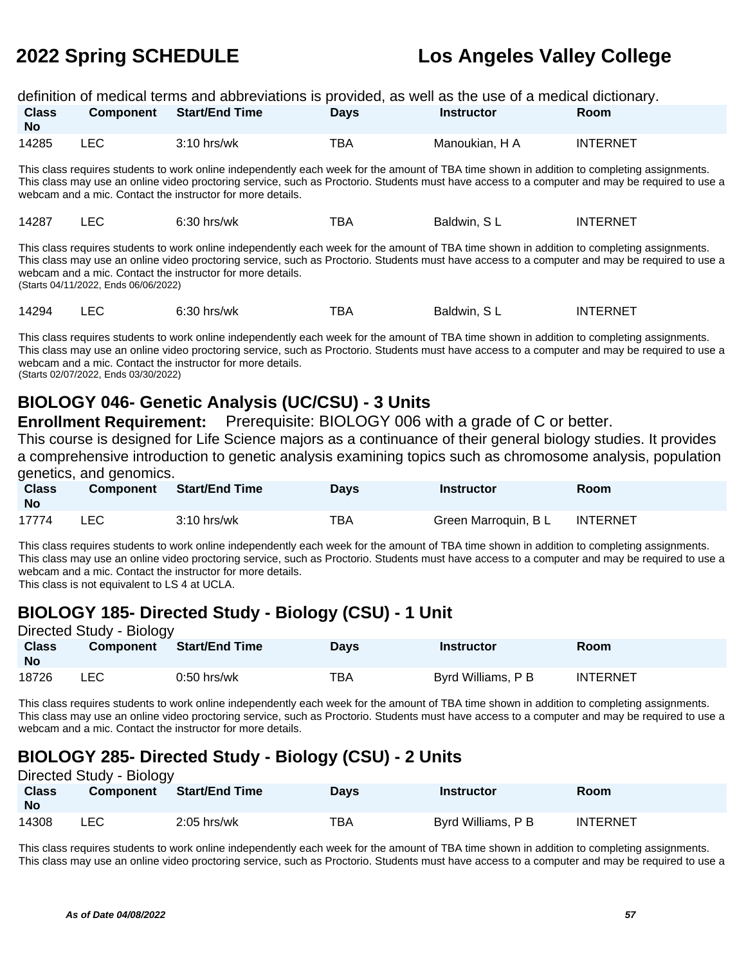|                                                                                                                                                                                                                                                                                                                                                                                                     |                                                                                                                                                                                                                                                                                                                                                             |                       |             | definition of medical terms and abbreviations is provided, as well as the use of a medical dictionary. |                 |  |  |  |  |
|-----------------------------------------------------------------------------------------------------------------------------------------------------------------------------------------------------------------------------------------------------------------------------------------------------------------------------------------------------------------------------------------------------|-------------------------------------------------------------------------------------------------------------------------------------------------------------------------------------------------------------------------------------------------------------------------------------------------------------------------------------------------------------|-----------------------|-------------|--------------------------------------------------------------------------------------------------------|-----------------|--|--|--|--|
| <b>Class</b><br>No.                                                                                                                                                                                                                                                                                                                                                                                 | <b>Component</b>                                                                                                                                                                                                                                                                                                                                            | <b>Start/End Time</b> | <b>Days</b> | <b>Instructor</b>                                                                                      | Room            |  |  |  |  |
| 14285                                                                                                                                                                                                                                                                                                                                                                                               | LEC.                                                                                                                                                                                                                                                                                                                                                        | $3:10$ hrs/wk         | TBA         | Manoukian, H A                                                                                         | <b>INTERNET</b> |  |  |  |  |
|                                                                                                                                                                                                                                                                                                                                                                                                     | This class requires students to work online independently each week for the amount of TBA time shown in addition to completing assignments.<br>This class may use an online video proctoring service, such as Proctorio. Students must have access to a computer and may be required to use a<br>webcam and a mic. Contact the instructor for more details. |                       |             |                                                                                                        |                 |  |  |  |  |
| 14287                                                                                                                                                                                                                                                                                                                                                                                               | LEC.                                                                                                                                                                                                                                                                                                                                                        | $6:30$ hrs/wk         | TBA         | Baldwin, SL                                                                                            | <b>INTERNET</b> |  |  |  |  |
| This class requires students to work online independently each week for the amount of TBA time shown in addition to completing assignments.<br>This class may use an online video proctoring service, such as Proctorio. Students must have access to a computer and may be required to use a<br>webcam and a mic. Contact the instructor for more details.<br>(Starts 04/11/2022, Ends 06/06/2022) |                                                                                                                                                                                                                                                                                                                                                             |                       |             |                                                                                                        |                 |  |  |  |  |
| 14294                                                                                                                                                                                                                                                                                                                                                                                               | LEC                                                                                                                                                                                                                                                                                                                                                         | $6:30$ hrs/wk         | TBA         | Baldwin, SL                                                                                            | <b>INTERNET</b> |  |  |  |  |

This class requires students to work online independently each week for the amount of TBA time shown in addition to completing assignments. This class may use an online video proctoring service, such as Proctorio. Students must have access to a computer and may be required to use a webcam and a mic. Contact the instructor for more details. (Starts 02/07/2022, Ends 03/30/2022)

### **BIOLOGY 046- Genetic Analysis (UC/CSU) - 3 Units**

**Enrollment Requirement:** Prerequisite: BIOLOGY 006 with a grade of C or better.

This course is designed for Life Science majors as a continuance of their general biology studies. It provides a comprehensive introduction to genetic analysis examining topics such as chromosome analysis, population genetics, and genomics.

| <b>Class</b><br><b>No</b> | <b>Component</b> | Start/End Time | Days | <b>Instructor</b>    | Room            |
|---------------------------|------------------|----------------|------|----------------------|-----------------|
| 17774                     | <b>LEC</b>       | $3:10$ hrs/wk  | TBA  | Green Marroquin, B L | <b>INTERNET</b> |

This class requires students to work online independently each week for the amount of TBA time shown in addition to completing assignments. This class may use an online video proctoring service, such as Proctorio. Students must have access to a computer and may be required to use a webcam and a mic. Contact the instructor for more details.

This class is not equivalent to LS 4 at UCLA.

## **BIOLOGY 185- Directed Study - Biology (CSU) - 1 Unit**

| Directed Study - Biology  |                  |                |             |                    |                 |  |  |  |
|---------------------------|------------------|----------------|-------------|--------------------|-----------------|--|--|--|
| <b>Class</b><br><b>No</b> | <b>Component</b> | Start/End Time | <b>Days</b> | <b>Instructor</b>  | Room            |  |  |  |
| 18726                     | LEC              | $0:50$ hrs/wk  | TBA         | Byrd Williams, P B | <b>INTERNET</b> |  |  |  |

This class requires students to work online independently each week for the amount of TBA time shown in addition to completing assignments. This class may use an online video proctoring service, such as Proctorio. Students must have access to a computer and may be required to use a webcam and a mic. Contact the instructor for more details.

## **BIOLOGY 285- Directed Study - Biology (CSU) - 2 Units**

| Directed Study - Biology  |                  |                       |             |                    |                 |  |  |  |
|---------------------------|------------------|-----------------------|-------------|--------------------|-----------------|--|--|--|
| <b>Class</b><br><b>No</b> | <b>Component</b> | <b>Start/End Time</b> | <b>Davs</b> | <b>Instructor</b>  | <b>Room</b>     |  |  |  |
| 14308                     | ∟EC.             | $2:05$ hrs/wk         | <b>TBA</b>  | Byrd Williams, P B | <b>INTERNET</b> |  |  |  |

This class requires students to work online independently each week for the amount of TBA time shown in addition to completing assignments. This class may use an online video proctoring service, such as Proctorio. Students must have access to a computer and may be required to use a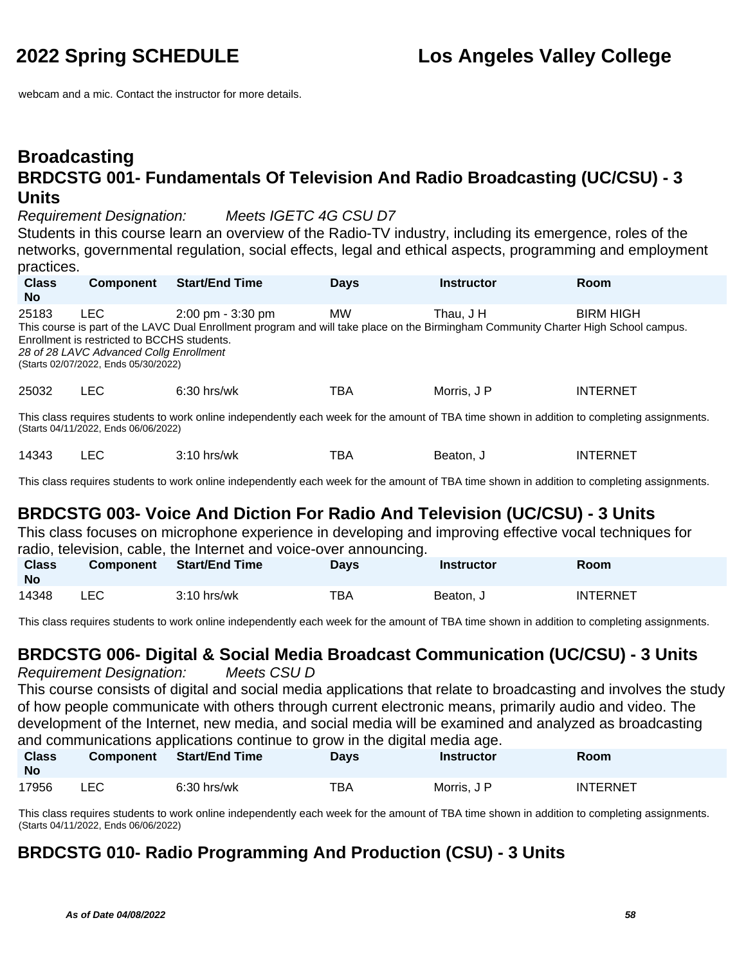webcam and a mic. Contact the instructor for more details.

### **Broadcasting BRDCSTG 001- Fundamentals Of Television And Radio Broadcasting (UC/CSU) - 3 Units**

Requirement Designation: Meets IGETC 4G CSU D7

Students in this course learn an overview of the Radio-TV industry, including its emergence, roles of the networks, governmental regulation, social effects, legal and ethical aspects, programming and employment practices.

| <b>Class</b><br><b>No</b>                                                                                                                                                           | <b>Component</b>                                                                                                                             | <b>Start/End Time</b>                                                                                                                                                      | <b>Days</b> | <b>Instructor</b> | Room             |  |  |  |
|-------------------------------------------------------------------------------------------------------------------------------------------------------------------------------------|----------------------------------------------------------------------------------------------------------------------------------------------|----------------------------------------------------------------------------------------------------------------------------------------------------------------------------|-------------|-------------------|------------------|--|--|--|
| 25183                                                                                                                                                                               | <b>LEC</b><br>Enrollment is restricted to BCCHS students.<br>28 of 28 LAVC Advanced Collg Enrollment<br>(Starts 02/07/2022, Ends 05/30/2022) | $2:00 \text{ pm} - 3:30 \text{ pm}$<br>This course is part of the LAVC Dual Enrollment program and will take place on the Birmingham Community Charter High School campus. | <b>MW</b>   | Thau. J H         | <b>BIRM HIGH</b> |  |  |  |
| 25032                                                                                                                                                                               | <b>LEC</b>                                                                                                                                   | $6:30$ hrs/wk                                                                                                                                                              | TBA         | Morris, J P       | <b>INTERNET</b>  |  |  |  |
| This class requires students to work online independently each week for the amount of TBA time shown in addition to completing assignments.<br>(Starts 04/11/2022, Ends 06/06/2022) |                                                                                                                                              |                                                                                                                                                                            |             |                   |                  |  |  |  |
| 14343                                                                                                                                                                               | LEC                                                                                                                                          | $3:10$ hrs/wk                                                                                                                                                              | TBA         | Beaton, J         | <b>INTERNET</b>  |  |  |  |

This class requires students to work online independently each week for the amount of TBA time shown in addition to completing assignments.

## **BRDCSTG 003- Voice And Diction For Radio And Television (UC/CSU) - 3 Units**

This class focuses on microphone experience in developing and improving effective vocal techniques for radio, television, cable, the Internet and voice-over announcing.

| <b>Class</b><br>No | <b>Component</b> | <b>Start/End Time</b> | <b>Days</b> | Instructor | <b>Room</b>     |
|--------------------|------------------|-----------------------|-------------|------------|-----------------|
| 14348              | LEC              | $3:10$ hrs/wk         | <b>TBA</b>  | Beaton, J  | <b>INTERNET</b> |

This class requires students to work online independently each week for the amount of TBA time shown in addition to completing assignments.

## **BRDCSTG 006- Digital & Social Media Broadcast Communication (UC/CSU) - 3 Units**

Requirement Designation: Meets CSU D This course consists of digital and social media applications that relate to broadcasting and involves the study of how people communicate with others through current electronic means, primarily audio and video. The development of the Internet, new media, and social media will be examined and analyzed as broadcasting and communications applications continue to grow in the digital media age.

| <b>Class</b><br><b>No</b> | <b>Component</b> | <b>Start/End Time</b> | Days | Instructor  | Room            |
|---------------------------|------------------|-----------------------|------|-------------|-----------------|
| 17956                     | ∟EC.             | $6:30$ hrs/wk         | тва  | Morris, J P | <b>INTERNET</b> |

This class requires students to work online independently each week for the amount of TBA time shown in addition to completing assignments. (Starts 04/11/2022, Ends 06/06/2022)

## **BRDCSTG 010- Radio Programming And Production (CSU) - 3 Units**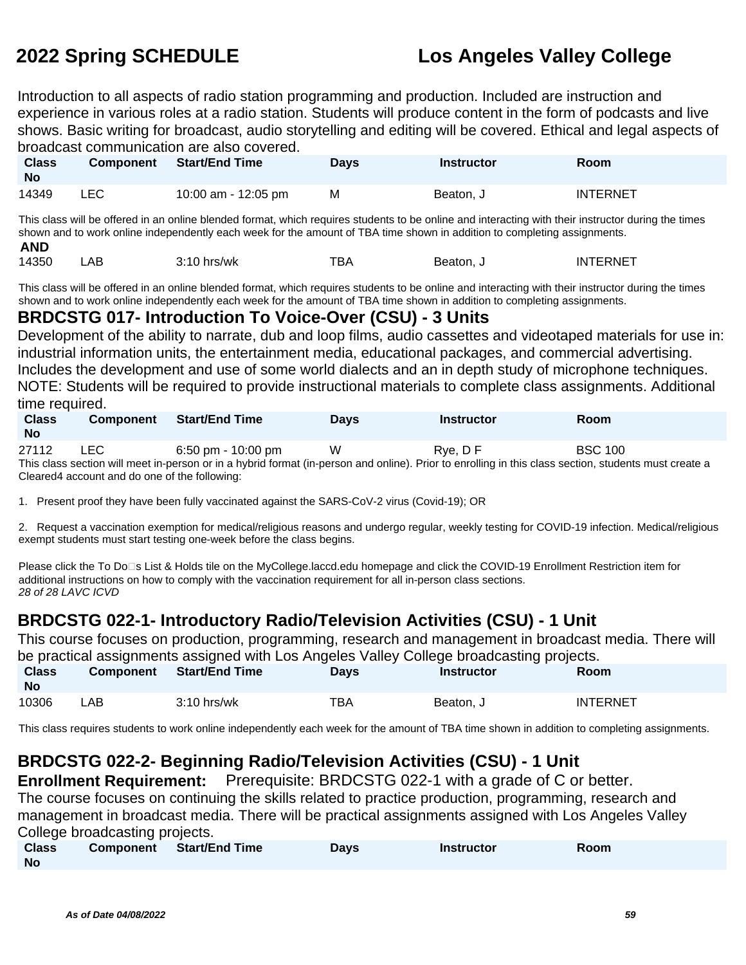Introduction to all aspects of radio station programming and production. Included are instruction and experience in various roles at a radio station. Students will produce content in the form of podcasts and live shows. Basic writing for broadcast, audio storytelling and editing will be covered. Ethical and legal aspects of broadcast communication are also covered.

| <b>Class</b><br><b>No</b> | Component | Start/End Time      | <b>Days</b> | <b>Instructor</b> | Room            |
|---------------------------|-----------|---------------------|-------------|-------------------|-----------------|
| 14349                     | LEC       | 10:00 am - 12:05 pm | M           | Beaton, J         | <b>INTERNET</b> |

This class will be offered in an online blended format, which requires students to be online and interacting with their instructor during the times shown and to work online independently each week for the amount of TBA time shown in addition to completing assignments. **AND**

| 14350 | ΑB |               | тва | Beaton. | <b>INTERNET</b> |
|-------|----|---------------|-----|---------|-----------------|
|       |    | $3:10$ hrs/wk |     |         |                 |

This class will be offered in an online blended format, which requires students to be online and interacting with their instructor during the times shown and to work online independently each week for the amount of TBA time shown in addition to completing assignments.

### **BRDCSTG 017- Introduction To Voice-Over (CSU) - 3 Units**

Development of the ability to narrate, dub and loop films, audio cassettes and videotaped materials for use in: industrial information units, the entertainment media, educational packages, and commercial advertising. Includes the development and use of some world dialects and an in depth study of microphone techniques. NOTE: Students will be required to provide instructional materials to complete class assignments. Additional time required.

| <b>Class</b><br><b>No</b> | <b>Component</b> | Start/End Time     | <b>Davs</b> | <b>Instructor</b>                                                                                                                                     | Room           |
|---------------------------|------------------|--------------------|-------------|-------------------------------------------------------------------------------------------------------------------------------------------------------|----------------|
| 27112                     | LEC.             | 6:50 pm - 10:00 pm | W           | Rve. D F                                                                                                                                              | <b>BSC 100</b> |
|                           |                  |                    |             | This class section will meet in-person or in a hybrid format (in-person and online). Prior to enrolling in this class section, students must create a |                |

Cleared4 account and do one of the following:

1. Present proof they have been fully vaccinated against the SARS-CoV-2 virus (Covid-19); OR

2. Request a vaccination exemption for medical/religious reasons and undergo regular, weekly testing for COVID-19 infection. Medical/religious exempt students must start testing one-week before the class begins.

Please click the To Do□s List & Holds tile on the MyCollege.laccd.edu homepage and click the COVID-19 Enrollment Restriction item for additional instructions on how to comply with the vaccination requirement for all in-person class sections. 28 of 28 LAVC ICVD

## **BRDCSTG 022-1- Introductory Radio/Television Activities (CSU) - 1 Unit**

This course focuses on production, programming, research and management in broadcast media. There will be practical assignments assigned with Los Angeles Valley College broadcasting projects.

| <b>Class</b><br><b>No</b> | <b>Component</b> | <b>Start/End Time</b> | Days | Instructor | Room            |
|---------------------------|------------------|-----------------------|------|------------|-----------------|
| 10306                     | ∟AB.             | $3:10$ hrs/wk         | TBA  | Beaton, J  | <b>INTERNET</b> |

This class requires students to work online independently each week for the amount of TBA time shown in addition to completing assignments.

## **BRDCSTG 022-2- Beginning Radio/Television Activities (CSU) - 1 Unit**

**Enrollment Requirement:** Prerequisite: BRDCSTG 022-1 with a grade of C or better. The course focuses on continuing the skills related to practice production, programming, research and management in broadcast media. There will be practical assignments assigned with Los Angeles Valley College broadcasting projects.

| <b>Class</b> | <b>Component</b> Start/End Time | <b>Days</b> | <b>Instructor</b> | Room |
|--------------|---------------------------------|-------------|-------------------|------|
| <b>No</b>    |                                 |             |                   |      |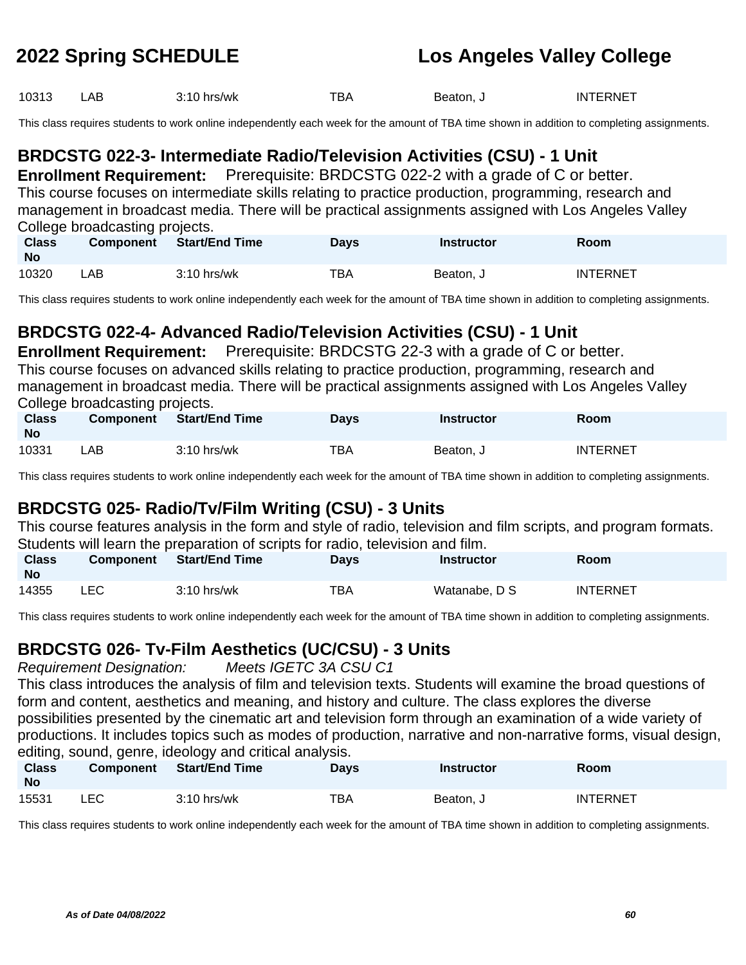| 10313 | ∟AB | $3:10$ hrs/wk | тва | Beaton, J | <b>INTERNET</b> |
|-------|-----|---------------|-----|-----------|-----------------|
|-------|-----|---------------|-----|-----------|-----------------|

This class requires students to work online independently each week for the amount of TBA time shown in addition to completing assignments.

## **BRDCSTG 022-3- Intermediate Radio/Television Activities (CSU) - 1 Unit**

**Enrollment Requirement:** Prerequisite: BRDCSTG 022-2 with a grade of C or better. This course focuses on intermediate skills relating to practice production, programming, research and management in broadcast media. There will be practical assignments assigned with Los Angeles Valley College broadcasting projects.

| <b>Class</b><br><b>No</b> | <b>Component</b> | Start/End Time | <b>Days</b> | <b>Instructor</b> | <b>Room</b> |
|---------------------------|------------------|----------------|-------------|-------------------|-------------|
| 10320                     | _AB .            | $3:10$ hrs/wk  | TBA         | Beaton, J         | INTERNET    |

This class requires students to work online independently each week for the amount of TBA time shown in addition to completing assignments.

## **BRDCSTG 022-4- Advanced Radio/Television Activities (CSU) - 1 Unit**

**Enrollment Requirement:** Prerequisite: BRDCSTG 22-3 with a grade of C or better.

This course focuses on advanced skills relating to practice production, programming, research and management in broadcast media. There will be practical assignments assigned with Los Angeles Valley College broadcasting projects.

| <b>Class</b><br><b>No</b> | <b>Component</b> | <b>Start/End Time</b> | <b>Days</b> | <b>Instructor</b> | <b>Room</b>     |
|---------------------------|------------------|-----------------------|-------------|-------------------|-----------------|
| 10331                     | _AB .            | $3:10$ hrs/wk         | ТВА         | Beaton, J         | <b>INTERNET</b> |

This class requires students to work online independently each week for the amount of TBA time shown in addition to completing assignments.

## **BRDCSTG 025- Radio/Tv/Film Writing (CSU) - 3 Units**

This course features analysis in the form and style of radio, television and film scripts, and program formats. Students will learn the preparation of scripts for radio, television and film.

| <b>Class</b><br>No | <b>Component</b> |               | <b>Days</b> | <b>Instructor</b> | Room     |
|--------------------|------------------|---------------|-------------|-------------------|----------|
| 14355              | LEC              | $3:10$ hrs/wk | TBA         | Watanabe, D S     | INTERNET |

This class requires students to work online independently each week for the amount of TBA time shown in addition to completing assignments.

### **BRDCSTG 026- Tv-Film Aesthetics (UC/CSU) - 3 Units**

Requirement Designation: Meets IGETC 3A CSU C1

This class introduces the analysis of film and television texts. Students will examine the broad questions of form and content, aesthetics and meaning, and history and culture. The class explores the diverse possibilities presented by the cinematic art and television form through an examination of a wide variety of productions. It includes topics such as modes of production, narrative and non-narrative forms, visual design, editing, sound, genre, ideology and critical analysis.

| <b>Class</b><br><b>No</b> | <b>Component</b> | <b>Start/End Time</b> | Days | Instructor | Room            |
|---------------------------|------------------|-----------------------|------|------------|-----------------|
| 15531                     | LEC              | $3:10$ hrs/wk         | TBA  | Beaton, J  | <b>INTERNET</b> |

This class requires students to work online independently each week for the amount of TBA time shown in addition to completing assignments.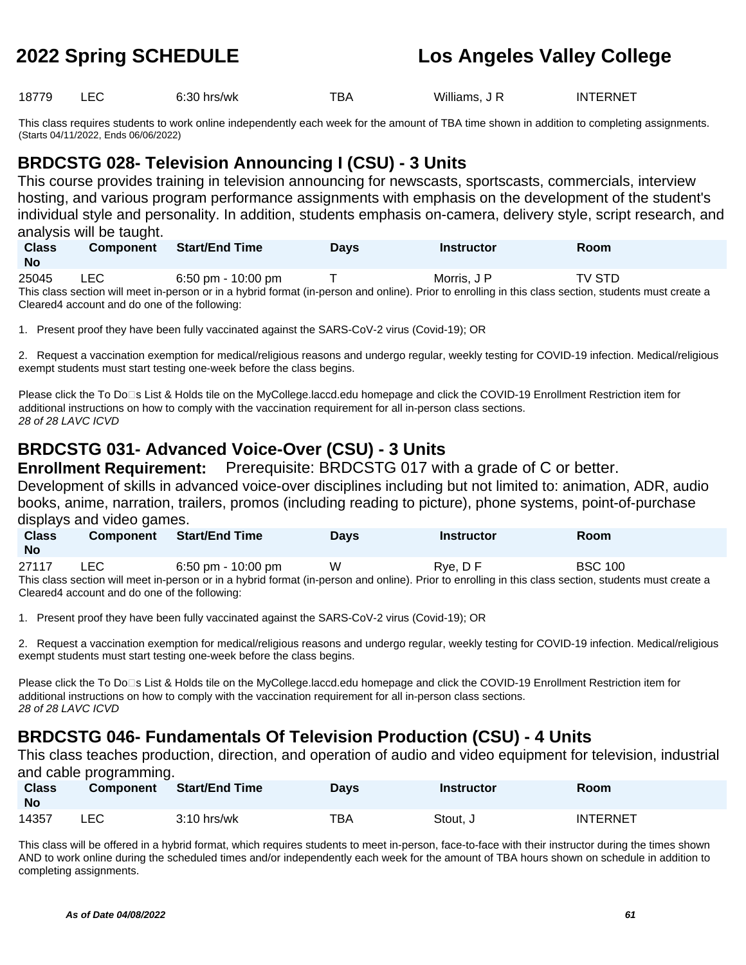18779 LEC 6:30 hrs/wk TBA Williams, J R INTERNET

This class requires students to work online independently each week for the amount of TBA time shown in addition to completing assignments. (Starts 04/11/2022, Ends 06/06/2022)

## **BRDCSTG 028- Television Announcing I (CSU) - 3 Units**

This course provides training in television announcing for newscasts, sportscasts, commercials, interview hosting, and various program performance assignments with emphasis on the development of the student's individual style and personality. In addition, students emphasis on-camera, delivery style, script research, and analysis will be taught.

| <b>Class</b><br><b>No</b> | <b>Component</b> | <b>Start/End Time</b> | Davs | <b>Instructor</b> | Room          |  |
|---------------------------|------------------|-----------------------|------|-------------------|---------------|--|
| 25045                     | <b>LEC</b>       | 6:50 pm - 10:00 pm    |      | Morris, J P       | <b>TV STD</b> |  |

This class section will meet in-person or in a hybrid format (in-person and online). Prior to enrolling in this class section, students must create a Cleared4 account and do one of the following:

1. Present proof they have been fully vaccinated against the SARS-CoV-2 virus (Covid-19); OR

2. Request a vaccination exemption for medical/religious reasons and undergo regular, weekly testing for COVID-19 infection. Medical/religious exempt students must start testing one-week before the class begins.

Please click the To Do⊡s List & Holds tile on the MyCollege.laccd.edu homepage and click the COVID-19 Enrollment Restriction item for additional instructions on how to comply with the vaccination requirement for all in-person class sections. 28 of 28 LAVC ICVD

## **BRDCSTG 031- Advanced Voice-Over (CSU) - 3 Units**

**Enrollment Requirement:** Prerequisite: BRDCSTG 017 with a grade of C or better. Development of skills in advanced voice-over disciplines including but not limited to: animation, ADR, audio books, anime, narration, trailers, promos (including reading to picture), phone systems, point-of-purchase displays and video games.

| <b>Class</b><br><b>No</b> | <b>Component</b>                                                                                                                                      | <b>Start/End Time</b> | <b>Davs</b> | <b>Instructor</b> | <b>Room</b>    |  |  |  |
|---------------------------|-------------------------------------------------------------------------------------------------------------------------------------------------------|-----------------------|-------------|-------------------|----------------|--|--|--|
| 27117                     | LEC .                                                                                                                                                 | $6:50$ pm - 10:00 pm  | W           | Rve. D F          | <b>BSC 100</b> |  |  |  |
|                           | This class section will meet in-person or in a hybrid format (in-person and online). Prior to enrolling in this class section, students must create a |                       |             |                   |                |  |  |  |
|                           | Cleared4 account and do one of the following:                                                                                                         |                       |             |                   |                |  |  |  |

1. Present proof they have been fully vaccinated against the SARS-CoV-2 virus (Covid-19); OR

2. Request a vaccination exemption for medical/religious reasons and undergo regular, weekly testing for COVID-19 infection. Medical/religious exempt students must start testing one-week before the class begins.

Please click the To Do⊡s List & Holds tile on the MyCollege.laccd.edu homepage and click the COVID-19 Enrollment Restriction item for additional instructions on how to comply with the vaccination requirement for all in-person class sections. 28 of 28 LAVC ICVD

## **BRDCSTG 046- Fundamentals Of Television Production (CSU) - 4 Units**

This class teaches production, direction, and operation of audio and video equipment for television, industrial and cable programming.

| <b>Class</b><br><b>No</b> | <b>Component</b> | Start/End Time | <b>Days</b> | <b>Instructor</b> | <b>Room</b>     |
|---------------------------|------------------|----------------|-------------|-------------------|-----------------|
| 14357                     | LEC              | $3:10$ hrs/wk  | TBA         | Stout, J          | <b>INTERNET</b> |

This class will be offered in a hybrid format, which requires students to meet in-person, face-to-face with their instructor during the times shown AND to work online during the scheduled times and/or independently each week for the amount of TBA hours shown on schedule in addition to completing assignments.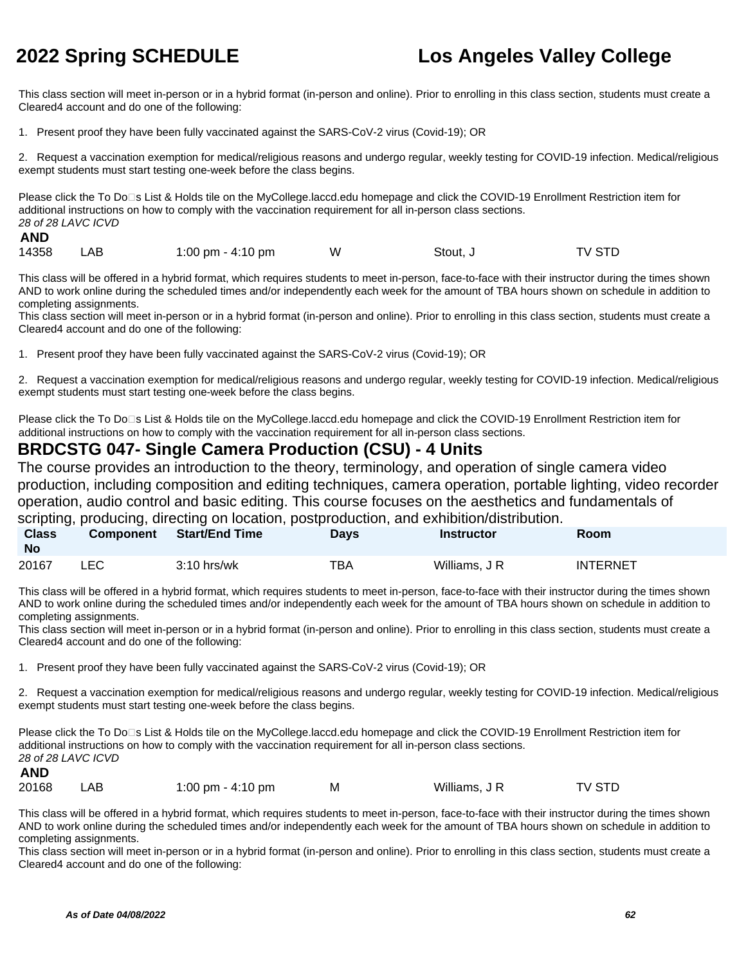This class section will meet in-person or in a hybrid format (in-person and online). Prior to enrolling in this class section, students must create a Cleared4 account and do one of the following:

1. Present proof they have been fully vaccinated against the SARS-CoV-2 virus (Covid-19); OR

2. Request a vaccination exemption for medical/religious reasons and undergo regular, weekly testing for COVID-19 infection. Medical/religious exempt students must start testing one-week before the class begins.

Please click the To Do□s List & Holds tile on the MyCollege.laccd.edu homepage and click the COVID-19 Enrollment Restriction item for additional instructions on how to comply with the vaccination requirement for all in-person class sections. 28 of 28 LAVC ICVD **AND**

| .     |     |                   |   |          |        |
|-------|-----|-------------------|---|----------|--------|
| 14358 | LAB | 1:00 pm - 4:10 pm | W | Stout, J | TV STD |

This class will be offered in a hybrid format, which requires students to meet in-person, face-to-face with their instructor during the times shown AND to work online during the scheduled times and/or independently each week for the amount of TBA hours shown on schedule in addition to completing assignments.

This class section will meet in-person or in a hybrid format (in-person and online). Prior to enrolling in this class section, students must create a Cleared4 account and do one of the following:

1. Present proof they have been fully vaccinated against the SARS-CoV-2 virus (Covid-19); OR

2. Request a vaccination exemption for medical/religious reasons and undergo regular, weekly testing for COVID-19 infection. Medical/religious exempt students must start testing one-week before the class begins.

Please click the To Do□s List & Holds tile on the MyCollege.laccd.edu homepage and click the COVID-19 Enrollment Restriction item for additional instructions on how to comply with the vaccination requirement for all in-person class sections.

### **BRDCSTG 047- Single Camera Production (CSU) - 4 Units**

The course provides an introduction to the theory, terminology, and operation of single camera video production, including composition and editing techniques, camera operation, portable lighting, video recorder operation, audio control and basic editing. This course focuses on the aesthetics and fundamentals of scripting, producing, directing on location, postproduction, and exhibition/distribution.

|                           |                  |                |             | Scripting, producing, directing on location, postproduction, and exhibition/distribution. |                 |  |
|---------------------------|------------------|----------------|-------------|-------------------------------------------------------------------------------------------|-----------------|--|
| <b>Class</b><br><b>No</b> | <b>Component</b> | Start/End Time | <b>Davs</b> | Instructor                                                                                | Room            |  |
| 20167                     | LEC.             | $3:10$ hrs/wk  | TBA         | Williams, J R                                                                             | <b>INTERNET</b> |  |

This class will be offered in a hybrid format, which requires students to meet in-person, face-to-face with their instructor during the times shown AND to work online during the scheduled times and/or independently each week for the amount of TBA hours shown on schedule in addition to completing assignments.

This class section will meet in-person or in a hybrid format (in-person and online). Prior to enrolling in this class section, students must create a Cleared4 account and do one of the following:

1. Present proof they have been fully vaccinated against the SARS-CoV-2 virus (Covid-19); OR

2. Request a vaccination exemption for medical/religious reasons and undergo regular, weekly testing for COVID-19 infection. Medical/religious exempt students must start testing one-week before the class begins.

Please click the To Do<sup>n</sup>s List & Holds tile on the MyCollege.laccd.edu homepage and click the COVID-19 Enrollment Restriction item for additional instructions on how to comply with the vaccination requirement for all in-person class sections. 28 of 28 LAVC ICVD **AND**

| 20168 | LAB. | 1:00 pm - 4:10 pm | Williams, J R | TV STD |
|-------|------|-------------------|---------------|--------|
|       |      |                   |               |        |

This class will be offered in a hybrid format, which requires students to meet in-person, face-to-face with their instructor during the times shown AND to work online during the scheduled times and/or independently each week for the amount of TBA hours shown on schedule in addition to completing assignments.

This class section will meet in-person or in a hybrid format (in-person and online). Prior to enrolling in this class section, students must create a Cleared4 account and do one of the following: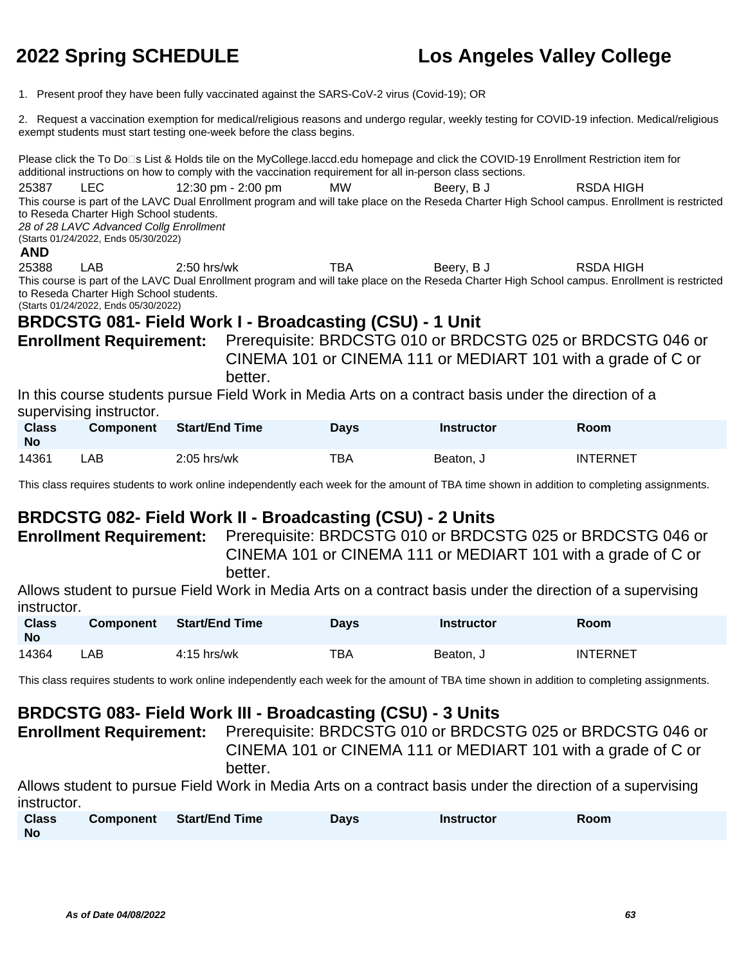1. Present proof they have been fully vaccinated against the SARS-CoV-2 virus (Covid-19); OR

2. Request a vaccination exemption for medical/religious reasons and undergo regular, weekly testing for COVID-19 infection. Medical/religious exempt students must start testing one-week before the class begins.

Please click the To Do⊡s List & Holds tile on the MyCollege.laccd.edu homepage and click the COVID-19 Enrollment Restriction item for additional instructions on how to comply with the vaccination requirement for all in-person class sections. 25387 LEC 12:30 pm - 2:00 pm MW Beery, B J RSDA HIGH This course is part of the LAVC Dual Enrollment program and will take place on the Reseda Charter High School campus. Enrollment is restricted to Reseda Charter High School students. 28 of 28 LAVC Advanced Collg Enrollment (Starts 01/24/2022, Ends 05/30/2022) **AND** 25388 LAB 2:50 hrs/wk TBA Beery, B J RSDA HIGH This course is part of the LAVC Dual Enrollment program and will take place on the Reseda Charter High School campus. Enrollment is restricted to Reseda Charter High School students. (Starts 01/24/2022, Ends 05/30/2022) **BRDCSTG 081- Field Work I - Broadcasting (CSU) - 1 Unit Enrollment Requirement:** Prerequisite: BRDCSTG 010 or BRDCSTG 025 or BRDCSTG 046 or CINEMA 101 or CINEMA 111 or MEDIART 101 with a grade of C or better. In this course students pursue Field Work in Media Arts on a contract basis under the direction of a supervising instructor. **Class Component Start/End Time Days Instructor Room**

| Class<br>No | Component | Start/End Time | Days | Instructor | Room            |
|-------------|-----------|----------------|------|------------|-----------------|
| 14361       | LAB.      | $2:05$ hrs/wk  | ТВА  | Beaton, J  | <b>INTERNET</b> |

This class requires students to work online independently each week for the amount of TBA time shown in addition to completing assignments.

### **BRDCSTG 082- Field Work II - Broadcasting (CSU) - 2 Units**

**Enrollment Requirement:** Prerequisite: BRDCSTG 010 or BRDCSTG 025 or BRDCSTG 046 or CINEMA 101 or CINEMA 111 or MEDIART 101 with a grade of C or better.

Allows student to pursue Field Work in Media Arts on a contract basis under the direction of a supervising instructor.

| <b>Class</b><br><b>No</b> | <b>Component</b> | <b>Start/End Time</b> | Days | <b>Instructor</b> | Room            |
|---------------------------|------------------|-----------------------|------|-------------------|-----------------|
| 14364                     | _AB .            | 4:15 hrs/wk           | тва  | Beaton, J         | <b>INTERNET</b> |

This class requires students to work online independently each week for the amount of TBA time shown in addition to completing assignments.

### **BRDCSTG 083- Field Work III - Broadcasting (CSU) - 3 Units**

**Enrollment Requirement:** Prerequisite: BRDCSTG 010 or BRDCSTG 025 or BRDCSTG 046 or CINEMA 101 or CINEMA 111 or MEDIART 101 with a grade of C or better.

Allows student to pursue Field Work in Media Arts on a contract basis under the direction of a supervising instructor.

| <b>Class</b> | Component Start/End Time | <b>Days</b> | <b>Instructor</b> | Room |
|--------------|--------------------------|-------------|-------------------|------|
| No           |                          |             |                   |      |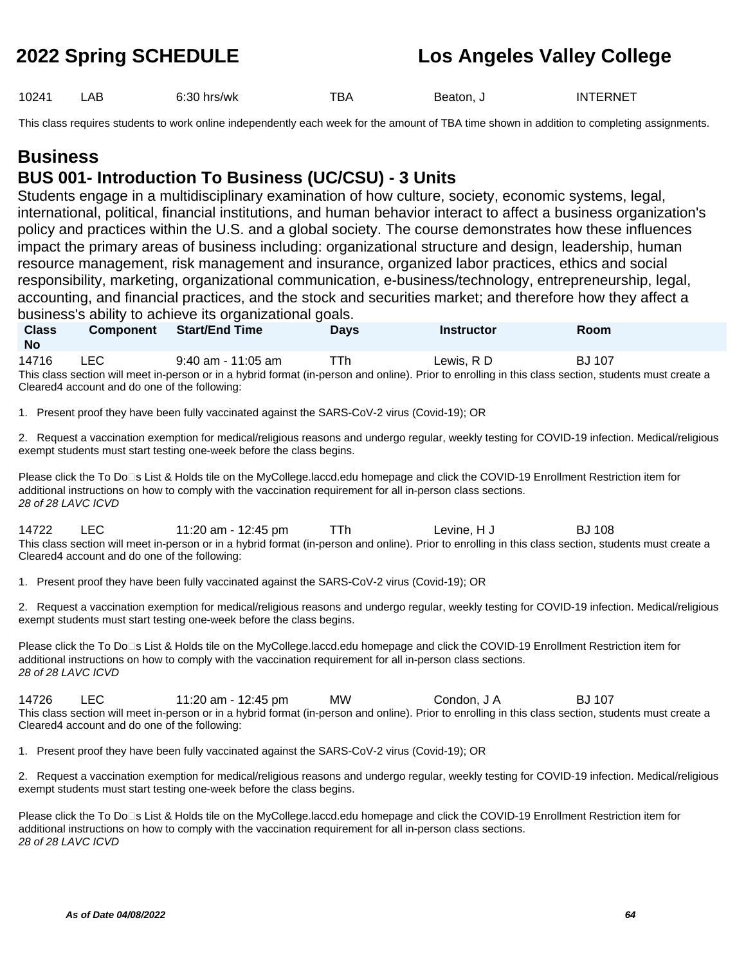10241 LAB 6:30 hrs/wk TBA Beaton, J INTERNET

This class requires students to work online independently each week for the amount of TBA time shown in addition to completing assignments.

## **Business**

**Class** 

### **BUS 001- Introduction To Business (UC/CSU) - 3 Units**

Students engage in a multidisciplinary examination of how culture, society, economic systems, legal, international, political, financial institutions, and human behavior interact to affect a business organization's policy and practices within the U.S. and a global society. The course demonstrates how these influences impact the primary areas of business including: organizational structure and design, leadership, human resource management, risk management and insurance, organized labor practices, ethics and social responsibility, marketing, organizational communication, e-business/technology, entrepreneurship, legal, accounting, and financial practices, and the stock and securities market; and therefore how they affect a business's ability to achieve its organizational goals.

**Component Start/End Time Days Instructor Room**

| <b>No</b>                                                       |                                                                                                                                                                                                                                                      |     |             |               |  |
|-----------------------------------------------------------------|------------------------------------------------------------------------------------------------------------------------------------------------------------------------------------------------------------------------------------------------------|-----|-------------|---------------|--|
| LEC.<br>14716<br>Cleared4 account and do one of the following:  | 9:40 am - 11:05 am<br>This class section will meet in-person or in a hybrid format (in-person and online). Prior to enrolling in this class section, students must create a                                                                          | TTh | Lewis, RD   | <b>BJ</b> 107 |  |
|                                                                 | 1. Present proof they have been fully vaccinated against the SARS-CoV-2 virus (Covid-19); OR                                                                                                                                                         |     |             |               |  |
|                                                                 | 2. Request a vaccination exemption for medical/religious reasons and undergo regular, weekly testing for COVID-19 infection. Medical/religious<br>exempt students must start testing one-week before the class begins.                               |     |             |               |  |
| 28 of 28 LAVC ICVD                                              | Please click the To Do□s List & Holds tile on the MyCollege.laccd.edu homepage and click the COVID-19 Enrollment Restriction item for<br>additional instructions on how to comply with the vaccination requirement for all in-person class sections. |     |             |               |  |
| 14722<br>LEC.<br>Cleared 4 account and do one of the following: | 11:20 am - 12:45 pm<br>This class section will meet in-person or in a hybrid format (in-person and online). Prior to enrolling in this class section, students must create a                                                                         | TTh | Levine, H J | <b>BJ</b> 108 |  |

1. Present proof they have been fully vaccinated against the SARS-CoV-2 virus (Covid-19); OR

2. Request a vaccination exemption for medical/religious reasons and undergo regular, weekly testing for COVID-19 infection. Medical/religious exempt students must start testing one-week before the class begins.

Please click the To Do□s List & Holds tile on the MyCollege.laccd.edu homepage and click the COVID-19 Enrollment Restriction item for additional instructions on how to comply with the vaccination requirement for all in-person class sections. 28 of 28 LAVC ICVD

14726 LEC 11:20 am - 12:45 pm MW Condon, J A BJ 107 This class section will meet in-person or in a hybrid format (in-person and online). Prior to enrolling in this class section, students must create a Cleared4 account and do one of the following:

1. Present proof they have been fully vaccinated against the SARS-CoV-2 virus (Covid-19); OR

2. Request a vaccination exemption for medical/religious reasons and undergo regular, weekly testing for COVID-19 infection. Medical/religious exempt students must start testing one-week before the class begins.

Please click the To Do□s List & Holds tile on the MyCollege.laccd.edu homepage and click the COVID-19 Enrollment Restriction item for additional instructions on how to comply with the vaccination requirement for all in-person class sections. 28 of 28 LAVC ICVD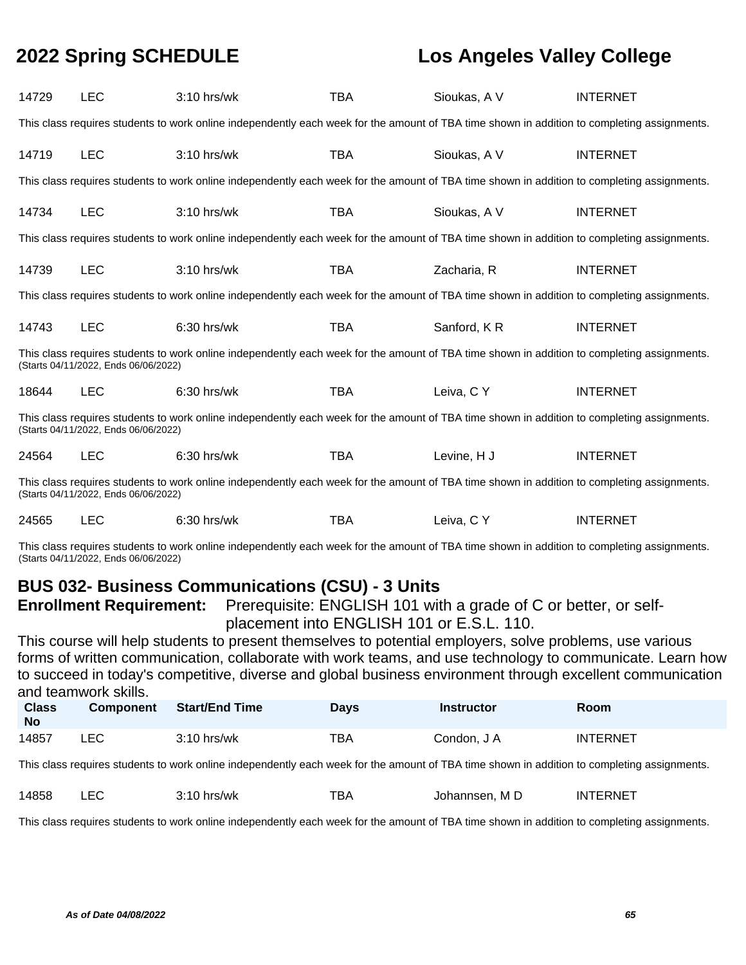| 14729                                                                                                                                                                               | <b>LEC</b>                           | $3:10$ hrs/wk                                                                                                                               | <b>TBA</b> | Sioukas, A V | <b>INTERNET</b> |  |  |  |
|-------------------------------------------------------------------------------------------------------------------------------------------------------------------------------------|--------------------------------------|---------------------------------------------------------------------------------------------------------------------------------------------|------------|--------------|-----------------|--|--|--|
| This class requires students to work online independently each week for the amount of TBA time shown in addition to completing assignments.                                         |                                      |                                                                                                                                             |            |              |                 |  |  |  |
| 14719                                                                                                                                                                               | <b>LEC</b>                           | $3:10$ hrs/wk                                                                                                                               | <b>TBA</b> | Sioukas, A V | <b>INTERNET</b> |  |  |  |
|                                                                                                                                                                                     |                                      | This class requires students to work online independently each week for the amount of TBA time shown in addition to completing assignments. |            |              |                 |  |  |  |
| 14734                                                                                                                                                                               | <b>LEC</b>                           | $3:10$ hrs/wk                                                                                                                               | <b>TBA</b> | Sioukas, A V | <b>INTERNET</b> |  |  |  |
|                                                                                                                                                                                     |                                      | This class requires students to work online independently each week for the amount of TBA time shown in addition to completing assignments. |            |              |                 |  |  |  |
| 14739                                                                                                                                                                               | <b>LEC</b>                           | $3:10$ hrs/wk                                                                                                                               | <b>TBA</b> | Zacharia, R  | <b>INTERNET</b> |  |  |  |
|                                                                                                                                                                                     |                                      | This class requires students to work online independently each week for the amount of TBA time shown in addition to completing assignments. |            |              |                 |  |  |  |
| 14743                                                                                                                                                                               | <b>LEC</b>                           | 6:30 hrs/wk                                                                                                                                 | TBA        | Sanford, KR  | <b>INTERNET</b> |  |  |  |
|                                                                                                                                                                                     | (Starts 04/11/2022, Ends 06/06/2022) | This class requires students to work online independently each week for the amount of TBA time shown in addition to completing assignments. |            |              |                 |  |  |  |
| 18644                                                                                                                                                                               | <b>LEC</b>                           | $6:30$ hrs/wk                                                                                                                               | <b>TBA</b> | Leiva, C Y   | <b>INTERNET</b> |  |  |  |
| This class requires students to work online independently each week for the amount of TBA time shown in addition to completing assignments.<br>(Starts 04/11/2022, Ends 06/06/2022) |                                      |                                                                                                                                             |            |              |                 |  |  |  |
| 24564                                                                                                                                                                               | <b>LEC</b>                           | 6:30 hrs/wk                                                                                                                                 | <b>TBA</b> | Levine, H J  | <b>INTERNET</b> |  |  |  |
| This class requires students to work online independently each week for the amount of TBA time shown in addition to completing assignments.<br>(Starts 04/11/2022, Ends 06/06/2022) |                                      |                                                                                                                                             |            |              |                 |  |  |  |
| 24565                                                                                                                                                                               | <b>LEC</b>                           | 6:30 hrs/wk                                                                                                                                 | TBA        | Leiva, C Y   | <b>INTERNET</b> |  |  |  |

This class requires students to work online independently each week for the amount of TBA time shown in addition to completing assignments. (Starts 04/11/2022, Ends 06/06/2022)

### **BUS 032- Business Communications (CSU) - 3 Units**

**Enrollment Requirement:** Prerequisite: ENGLISH 101 with a grade of C or better, or selfplacement into ENGLISH 101 or E.S.L. 110.

This course will help students to present themselves to potential employers, solve problems, use various forms of written communication, collaborate with work teams, and use technology to communicate. Learn how to succeed in today's competitive, diverse and global business environment through excellent communication and teamwork skills.

| <b>Class</b><br><b>No</b> | <b>Component</b> | <b>Start/End Time</b> | Days | <b>Instructor</b> | Room     |
|---------------------------|------------------|-----------------------|------|-------------------|----------|
| 14857                     | LEC              | $3:10$ hrs/wk         | TBA  | Condon, J A       | INTERNET |

This class requires students to work online independently each week for the amount of TBA time shown in addition to completing assignments.

| 14858 | $\Gamma$ | hrs/wk | ™ВА | M D<br>Johannsen. | TERNET<br>ΙN |
|-------|----------|--------|-----|-------------------|--------------|
|       |          | 1 U    |     |                   |              |

This class requires students to work online independently each week for the amount of TBA time shown in addition to completing assignments.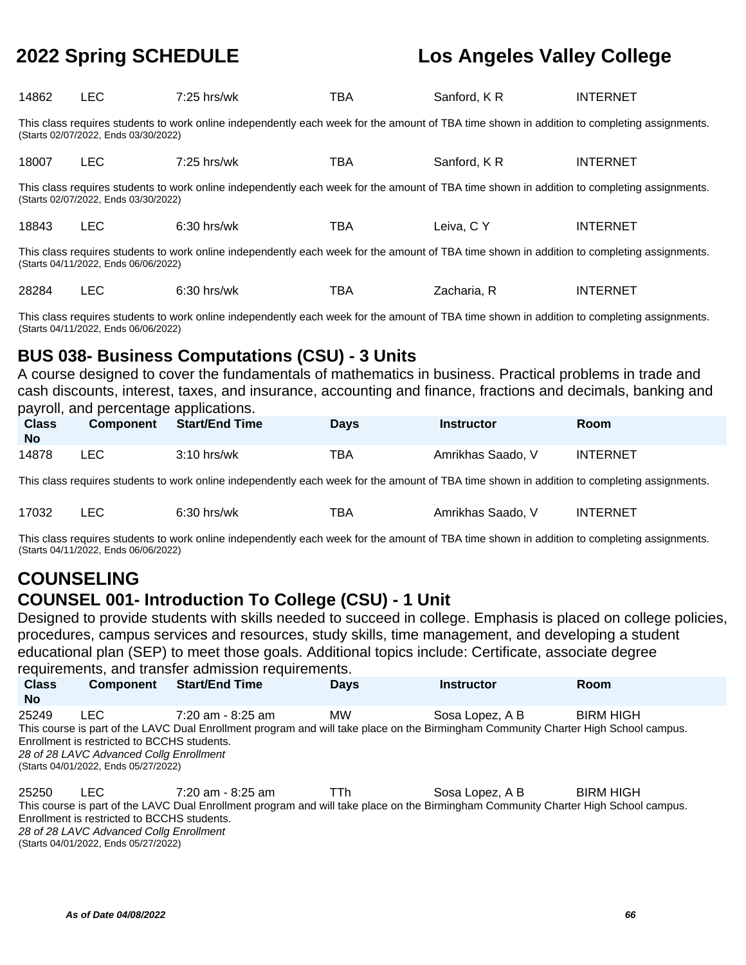| 14862                                                                                                                                                                               | <b>LEC</b>                                                                                                                                                                          | $7:25$ hrs/wk | <b>TBA</b> | Sanford, KR | <b>INTERNET</b> |  |  |  |
|-------------------------------------------------------------------------------------------------------------------------------------------------------------------------------------|-------------------------------------------------------------------------------------------------------------------------------------------------------------------------------------|---------------|------------|-------------|-----------------|--|--|--|
| This class requires students to work online independently each week for the amount of TBA time shown in addition to completing assignments.<br>(Starts 02/07/2022, Ends 03/30/2022) |                                                                                                                                                                                     |               |            |             |                 |  |  |  |
| 18007                                                                                                                                                                               | <b>LEC</b>                                                                                                                                                                          | $7:25$ hrs/wk | <b>TBA</b> | Sanford, KR | <b>INTERNET</b> |  |  |  |
|                                                                                                                                                                                     | This class requires students to work online independently each week for the amount of TBA time shown in addition to completing assignments.<br>(Starts 02/07/2022, Ends 03/30/2022) |               |            |             |                 |  |  |  |
| 18843                                                                                                                                                                               | LEC.                                                                                                                                                                                | $6:30$ hrs/wk | TBA        | Leiva, C Y  | <b>INTERNET</b> |  |  |  |
| This class requires students to work online independently each week for the amount of TBA time shown in addition to completing assignments.<br>(Starts 04/11/2022, Ends 06/06/2022) |                                                                                                                                                                                     |               |            |             |                 |  |  |  |
| 28284                                                                                                                                                                               | <b>LEC</b>                                                                                                                                                                          | $6:30$ hrs/wk | TBA        | Zacharia, R | <b>INTERNET</b> |  |  |  |

This class requires students to work online independently each week for the amount of TBA time shown in addition to completing assignments. (Starts 04/11/2022, Ends 06/06/2022)

## **BUS 038- Business Computations (CSU) - 3 Units**

A course designed to cover the fundamentals of mathematics in business. Practical problems in trade and cash discounts, interest, taxes, and insurance, accounting and finance, fractions and decimals, banking and payroll, and percentage applications.

| <b>Class</b><br><b>No</b> | <b>Component</b> | <b>Start/End Time</b> | Days | Instructor        | <b>Room</b>     |
|---------------------------|------------------|-----------------------|------|-------------------|-----------------|
| 14878                     | LEC              | $3:10$ hrs/wk         | TBA  | Amrikhas Saado, V | <b>INTERNET</b> |

This class requires students to work online independently each week for the amount of TBA time shown in addition to completing assignments.

|  | 17032 |  | 6:30<br>hrs/wk | тва | Amrikhas Saado. | <b>INTERNET</b> |
|--|-------|--|----------------|-----|-----------------|-----------------|
|--|-------|--|----------------|-----|-----------------|-----------------|

This class requires students to work online independently each week for the amount of TBA time shown in addition to completing assignments. (Starts 04/11/2022, Ends 06/06/2022)

## **COUNSELING**

### **COUNSEL 001- Introduction To College (CSU) - 1 Unit**

Designed to provide students with skills needed to succeed in college. Emphasis is placed on college policies, procedures, campus services and resources, study skills, time management, and developing a student educational plan (SEP) to meet those goals. Additional topics include: Certificate, associate degree requirements, and transfer admission requirements.

| <b>Class</b><br><b>No</b> | <b>Component</b>                                                                                                                       | <b>Start/End Time</b>                                                                                                                                      | <b>Days</b> | <b>Instructor</b> | Room             |
|---------------------------|----------------------------------------------------------------------------------------------------------------------------------------|------------------------------------------------------------------------------------------------------------------------------------------------------------|-------------|-------------------|------------------|
| 25249                     | LEC.<br>Enrollment is restricted to BCCHS students.<br>28 of 28 LAVC Advanced Collg Enrollment<br>(Starts 04/01/2022, Ends 05/27/2022) | $7:20$ am - 8:25 am<br>This course is part of the LAVC Dual Enrollment program and will take place on the Birmingham Community Charter High School campus. | <b>MW</b>   | Sosa Lopez, A B   | <b>BIRM HIGH</b> |
| 25250                     | LEC.<br>Enrollment is restricted to BCCHS students.                                                                                    | $7:20$ am - 8:25 am<br>This course is part of the LAVC Dual Enrollment program and will take place on the Birmingham Community Charter High School campus. | <b>TTh</b>  | Sosa Lopez, A B   | <b>BIRM HIGH</b> |

28 of 28 LAVC Advanced Collg Enrollment

(Starts 04/01/2022, Ends 05/27/2022)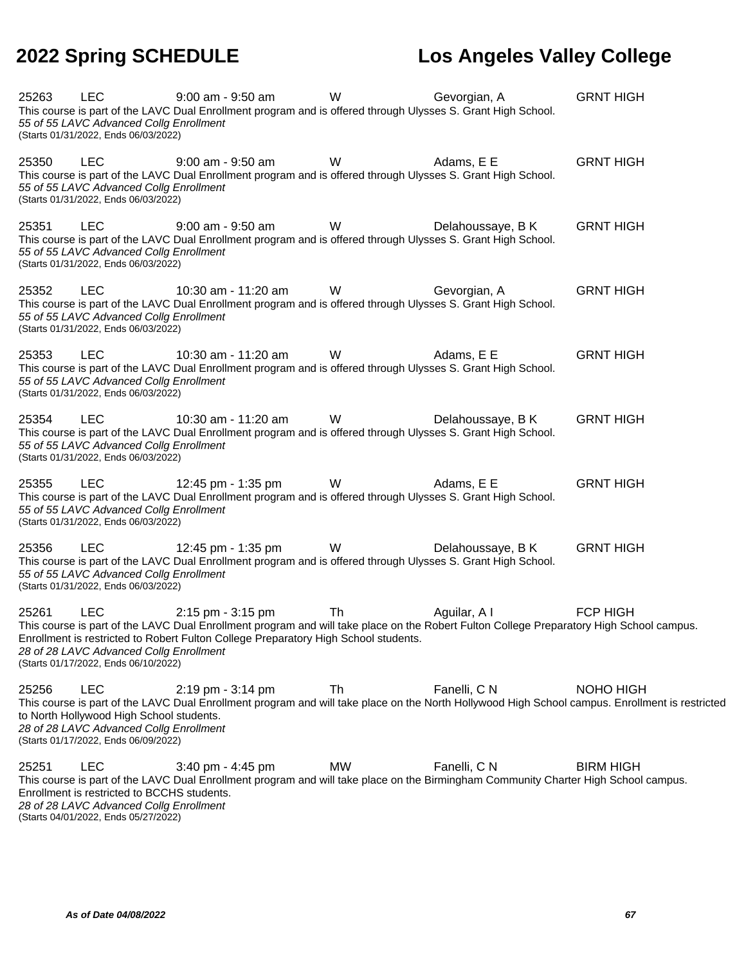| 25263 | <b>LEC</b><br>55 of 55 LAVC Advanced Collg Enrollment<br>(Starts 01/31/2022, Ends 06/03/2022)                                                | $9:00$ am - $9:50$ am<br>This course is part of the LAVC Dual Enrollment program and is offered through Ulysses S. Grant High School.                                                                                                                | W         | Gevorgian, A      | <b>GRNT HIGH</b>                                                                                                                                             |
|-------|----------------------------------------------------------------------------------------------------------------------------------------------|------------------------------------------------------------------------------------------------------------------------------------------------------------------------------------------------------------------------------------------------------|-----------|-------------------|--------------------------------------------------------------------------------------------------------------------------------------------------------------|
| 25350 | <b>LEC</b><br>55 of 55 LAVC Advanced Collg Enrollment<br>(Starts 01/31/2022, Ends 06/03/2022)                                                | $9:00$ am - $9:50$ am<br>This course is part of the LAVC Dual Enrollment program and is offered through Ulysses S. Grant High School.                                                                                                                | W         | Adams, E E        | <b>GRNT HIGH</b>                                                                                                                                             |
| 25351 | <b>LEC</b><br>55 of 55 LAVC Advanced Collg Enrollment<br>(Starts 01/31/2022, Ends 06/03/2022)                                                | 9:00 am - 9:50 am<br>This course is part of the LAVC Dual Enrollment program and is offered through Ulysses S. Grant High School.                                                                                                                    | W         | Delahoussaye, B K | <b>GRNT HIGH</b>                                                                                                                                             |
| 25352 | <b>LEC</b><br>55 of 55 LAVC Advanced Collg Enrollment<br>(Starts 01/31/2022, Ends 06/03/2022)                                                | 10:30 am - 11:20 am<br>This course is part of the LAVC Dual Enrollment program and is offered through Ulysses S. Grant High School.                                                                                                                  | W         | Gevorgian, A      | <b>GRNT HIGH</b>                                                                                                                                             |
| 25353 | <b>LEC</b><br>55 of 55 LAVC Advanced Collg Enrollment<br>(Starts 01/31/2022, Ends 06/03/2022)                                                | 10:30 am - 11:20 am<br>This course is part of the LAVC Dual Enrollment program and is offered through Ulysses S. Grant High School.                                                                                                                  | W         | Adams, E E        | <b>GRNT HIGH</b>                                                                                                                                             |
| 25354 | <b>LEC</b><br>55 of 55 LAVC Advanced Collg Enrollment<br>(Starts 01/31/2022, Ends 06/03/2022)                                                | 10:30 am - 11:20 am<br>This course is part of the LAVC Dual Enrollment program and is offered through Ulysses S. Grant High School.                                                                                                                  | W         | Delahoussaye, B K | <b>GRNT HIGH</b>                                                                                                                                             |
| 25355 | <b>LEC</b><br>55 of 55 LAVC Advanced Collg Enrollment<br>(Starts 01/31/2022, Ends 06/03/2022)                                                | 12:45 pm - 1:35 pm<br>This course is part of the LAVC Dual Enrollment program and is offered through Ulysses S. Grant High School.                                                                                                                   | W         | Adams, E E        | <b>GRNT HIGH</b>                                                                                                                                             |
| 25356 | <b>LEC</b><br>55 of 55 LAVC Advanced Collg Enrollment<br>(Starts 01/31/2022, Ends 06/03/2022)                                                | 12:45 pm - 1:35 pm<br>This course is part of the LAVC Dual Enrollment program and is offered through Ulysses S. Grant High School.                                                                                                                   | W         | Delahoussaye, B K | <b>GRNT HIGH</b>                                                                                                                                             |
| 25261 | <b>LEC</b><br>28 of 28 LAVC Advanced Collg Enrollment<br>(Starts 01/17/2022, Ends 06/10/2022)                                                | 2:15 pm - 3:15 pm<br>This course is part of the LAVC Dual Enrollment program and will take place on the Robert Fulton College Preparatory High School campus.<br>Enrollment is restricted to Robert Fulton College Preparatory High School students. | Th        | Aguilar, A I      | <b>FCP HIGH</b>                                                                                                                                              |
| 25256 | <b>LEC</b><br>to North Hollywood High School students.<br>28 of 28 LAVC Advanced Collg Enrollment<br>(Starts 01/17/2022, Ends 06/09/2022)    | 2:19 pm - 3:14 pm                                                                                                                                                                                                                                    | Th        | Fanelli, C N      | NOHO HIGH<br>This course is part of the LAVC Dual Enrollment program and will take place on the North Hollywood High School campus. Enrollment is restricted |
| 25251 | <b>LEC</b><br>Enrollment is restricted to BCCHS students.<br>28 of 28 LAVC Advanced Collg Enrollment<br>(Starts 04/01/2022, Ends 05/27/2022) | $3:40$ pm - $4:45$ pm<br>This course is part of the LAVC Dual Enrollment program and will take place on the Birmingham Community Charter High School campus.                                                                                         | <b>MW</b> | Fanelli, C N      | <b>BIRM HIGH</b>                                                                                                                                             |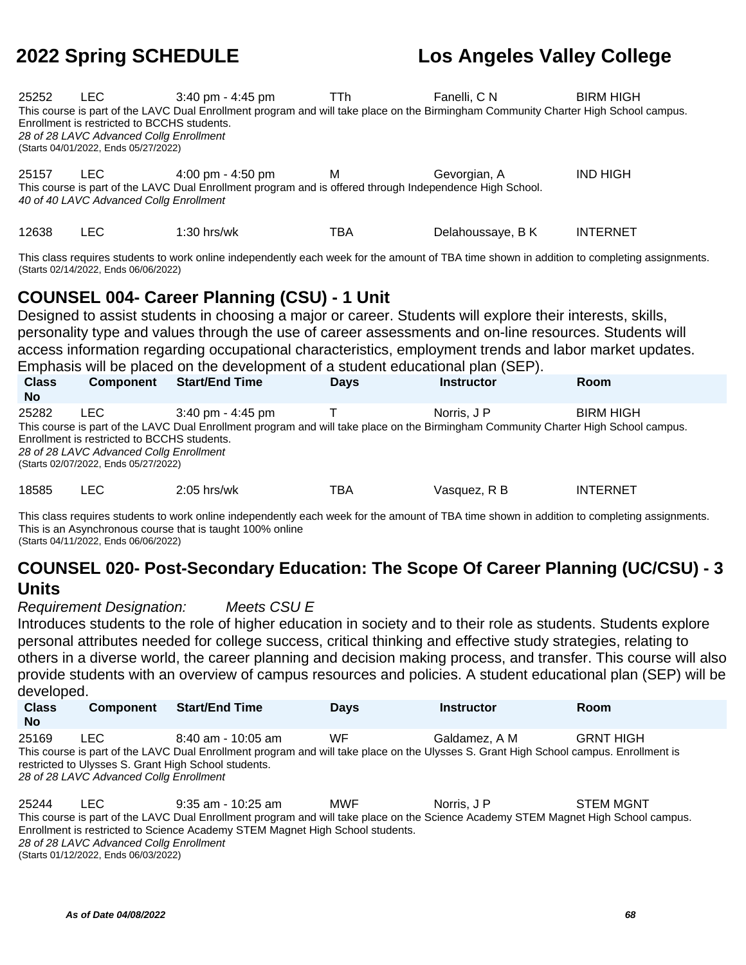| 25252 | LEC.<br>Enrollment is restricted to BCCHS students.<br>28 of 28 LAVC Advanced Collg Enrollment<br>(Starts 04/01/2022, Ends 05/27/2022)                                                                                                                                                                                                                                                                                                                                 | $3:40 \text{ pm} - 4:45 \text{ pm}$<br>This course is part of the LAVC Dual Enrollment program and will take place on the Birmingham Community Charter High School campus. | TTh.           | Fanelli, C N      | <b>BIRM HIGH</b> |  |  |  |  |
|-------|------------------------------------------------------------------------------------------------------------------------------------------------------------------------------------------------------------------------------------------------------------------------------------------------------------------------------------------------------------------------------------------------------------------------------------------------------------------------|----------------------------------------------------------------------------------------------------------------------------------------------------------------------------|----------------|-------------------|------------------|--|--|--|--|
| 25157 | LEC.<br>40 of 40 LAVC Advanced Collg Enrollment                                                                                                                                                                                                                                                                                                                                                                                                                        | 4:00 pm - 4:50 pm<br>This course is part of the LAVC Dual Enrollment program and is offered through Independence High School.                                              | м              | Gevorgian, A      | <b>IND HIGH</b>  |  |  |  |  |
| 12638 | <b>LEC</b>                                                                                                                                                                                                                                                                                                                                                                                                                                                             | $1:30$ hrs/wk                                                                                                                                                              | TBA            | Delahoussaye, B K | <b>INTERNET</b>  |  |  |  |  |
|       | This class requires students to work online independently each week for the amount of TBA time shown in addition to completing assignments.<br>(Starts 02/14/2022, Ends 06/06/2022)                                                                                                                                                                                                                                                                                    |                                                                                                                                                                            |                |                   |                  |  |  |  |  |
|       |                                                                                                                                                                                                                                                                                                                                                                                                                                                                        |                                                                                                                                                                            |                |                   |                  |  |  |  |  |
|       | <b>COUNSEL 004- Career Planning (CSU) - 1 Unit</b><br>Designed to assist students in choosing a major or career. Students will explore their interests, skills,<br>personality type and values through the use of career assessments and on-line resources. Students will<br>access information regarding occupational characteristics, employment trends and labor market updates.<br>Emphasis will be placed on the development of a student educational plan (SEP). |                                                                                                                                                                            |                |                   |                  |  |  |  |  |
|       |                                                                                                                                                                                                                                                                                                                                                                                                                                                                        | Component Clout Cad Time                                                                                                                                                   | Deus Instructo |                   |                  |  |  |  |  |

| <b>Class</b><br><b>No</b> | <b>Component</b>                                                                                                                       | <b>Start/End Time</b>               | <b>Days</b> | <b>Instructor</b> | <b>Room</b>                                                                                                                                             |
|---------------------------|----------------------------------------------------------------------------------------------------------------------------------------|-------------------------------------|-------------|-------------------|---------------------------------------------------------------------------------------------------------------------------------------------------------|
| 25282                     | LEC.<br>Enrollment is restricted to BCCHS students.<br>28 of 28 LAVC Advanced Collg Enrollment<br>(Starts 02/07/2022, Ends 05/27/2022) | $3:40 \text{ pm} - 4:45 \text{ pm}$ |             | Norris, J P       | <b>BIRM HIGH</b><br>This course is part of the LAVC Dual Enrollment program and will take place on the Birmingham Community Charter High School campus. |
| 18585                     | LEC                                                                                                                                    | $2:05$ hrs/wk                       | TBA         | Vasquez, R B      | <b>INTERNET</b>                                                                                                                                         |

This class requires students to work online independently each week for the amount of TBA time shown in addition to completing assignments. This is an Asynchronous course that is taught 100% online (Starts 04/11/2022, Ends 06/06/2022)

### **COUNSEL 020- Post-Secondary Education: The Scope Of Career Planning (UC/CSU) - 3 Units**

Requirement Designation: Meets CSU E

Introduces students to the role of higher education in society and to their role as students. Students explore personal attributes needed for college success, critical thinking and effective study strategies, relating to others in a diverse world, the career planning and decision making process, and transfer. This course will also provide students with an overview of campus resources and policies. A student educational plan (SEP) will be developed.

| <b>Class</b><br><b>No</b> | <b>Component</b>                               | <b>Start/End Time</b>                                                                                                                                                                                                 | <b>Davs</b> | <b>Instructor</b> | <b>Room</b>      |
|---------------------------|------------------------------------------------|-----------------------------------------------------------------------------------------------------------------------------------------------------------------------------------------------------------------------|-------------|-------------------|------------------|
| 25169                     | LEC<br>28 of 28 LAVC Advanced Collg Enrollment | $8:40$ am - 10:05 am<br>This course is part of the LAVC Dual Enrollment program and will take place on the Ulysses S. Grant High School campus. Enrollment is<br>restricted to Ulysses S. Grant High School students. | WF          | Galdamez, A M     | <b>GRNT HIGH</b> |

25244 LEC 9:35 am - 10:25 am MWF Norris, J P STEM MGNT This course is part of the LAVC Dual Enrollment program and will take place on the Science Academy STEM Magnet High School campus. Enrollment is restricted to Science Academy STEM Magnet High School students. 28 of 28 LAVC Advanced Collg Enrollment (Starts 01/12/2022, Ends 06/03/2022)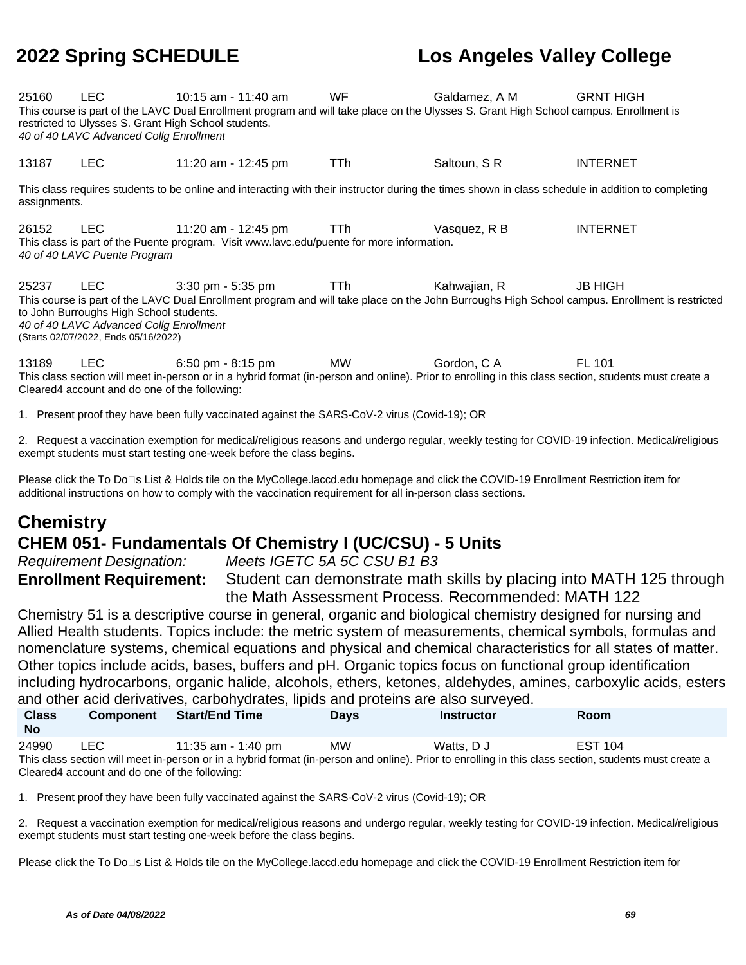25160 LEC 10:15 am - 11:40 am WF Galdamez, A M GRNT HIGH This course is part of the LAVC Dual Enrollment program and will take place on the Ulysses S. Grant High School campus. Enrollment is restricted to Ulysses S. Grant High School students. 40 of 40 LAVC Advanced Collg Enrollment

13187 LEC 11:20 am - 12:45 pm TTh Saltoun, S R INTERNET

This class requires students to be online and interacting with their instructor during the times shown in class schedule in addition to completing assignments.

26152 LEC 11:20 am - 12:45 pm TTh Vasquez, R B INTERNET This class is part of the Puente program. Visit www.lavc.edu/puente for more information. 40 of 40 LAVC Puente Program

25237 LEC 3:30 pm - 5:35 pm TTh Kahwaiian, R JB HIGH This course is part of the LAVC Dual Enrollment program and will take place on the John Burroughs High School campus. Enrollment is restricted to John Burroughs High School students. 40 of 40 LAVC Advanced Collg Enrollment (Starts 02/07/2022, Ends 05/16/2022)

13189 LEC 6:50 pm - 8:15 pm MW Gordon, C A FL 101 This class section will meet in-person or in a hybrid format (in-person and online). Prior to enrolling in this class section, students must create a Cleared4 account and do one of the following:

1. Present proof they have been fully vaccinated against the SARS-CoV-2 virus (Covid-19); OR

2. Request a vaccination exemption for medical/religious reasons and undergo regular, weekly testing for COVID-19 infection. Medical/religious exempt students must start testing one-week before the class begins.

Please click the To Do□s List & Holds tile on the MyCollege.laccd.edu homepage and click the COVID-19 Enrollment Restriction item for additional instructions on how to comply with the vaccination requirement for all in-person class sections.

## **Chemistry CHEM 051- Fundamentals Of Chemistry I (UC/CSU) - 5 Units**

Requirement Designation: Meets IGETC 5A 5C CSU B1 B3

**Enrollment Requirement:** Student can demonstrate math skills by placing into MATH 125 through the Math Assessment Process. Recommended: MATH 122

Chemistry 51 is a descriptive course in general, organic and biological chemistry designed for nursing and Allied Health students. Topics include: the metric system of measurements, chemical symbols, formulas and nomenclature systems, chemical equations and physical and chemical characteristics for all states of matter. Other topics include acids, bases, buffers and pH. Organic topics focus on functional group identification including hydrocarbons, organic halide, alcohols, ethers, ketones, aldehydes, amines, carboxylic acids, esters and other acid derivatives, carbohydrates, lipids and proteins are also surveyed.

| <b>Class</b><br>- No | Component | Start/End Time     | <b>Davs</b> | <b>Instructor</b> | <b>Room</b>    |  |
|----------------------|-----------|--------------------|-------------|-------------------|----------------|--|
| 24990                | LEC       | 11:35 am - 1:40 pm | <b>MW</b>   | Watts, D J        | <b>EST 104</b> |  |

This class section will meet in-person or in a hybrid format (in-person and online). Prior to enrolling in this class section, students must create a Cleared4 account and do one of the following:

1. Present proof they have been fully vaccinated against the SARS-CoV-2 virus (Covid-19); OR

2. Request a vaccination exemption for medical/religious reasons and undergo regular, weekly testing for COVID-19 infection. Medical/religious exempt students must start testing one-week before the class begins.

Please click the To Do□s List & Holds tile on the MyCollege.laccd.edu homepage and click the COVID-19 Enrollment Restriction item for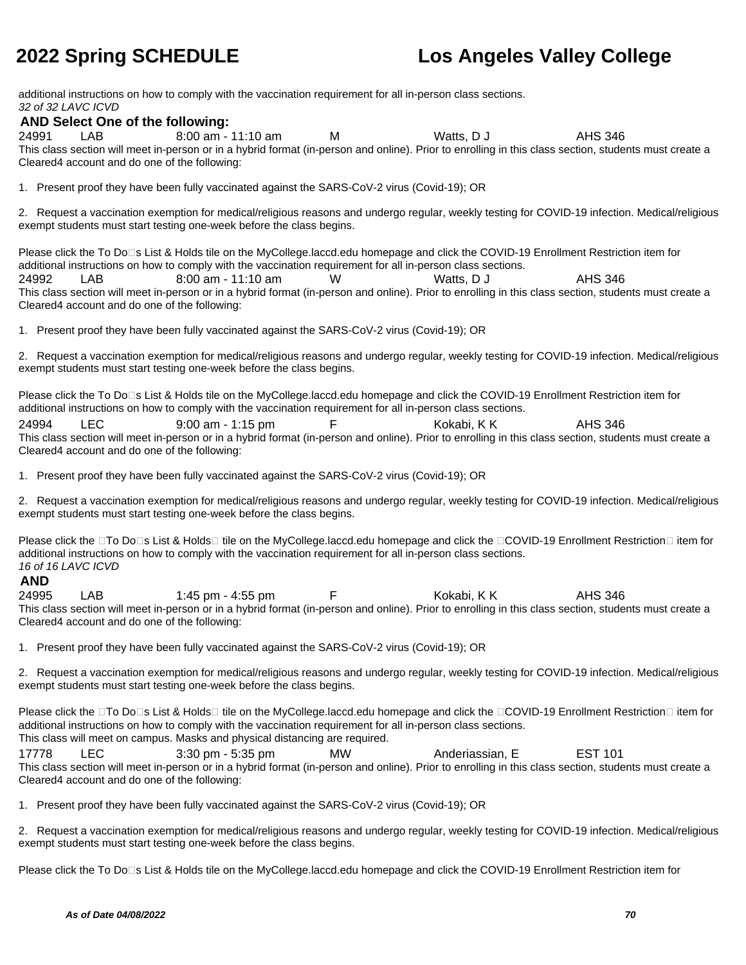additional instructions on how to comply with the vaccination requirement for all in-person class sections. 32 of 32 LAVC ICVD

### **AND Select One of the following:**

24991 LAB 8:00 am - 11:10 am M Watts, D J AHS 346 This class section will meet in-person or in a hybrid format (in-person and online). Prior to enrolling in this class section, students must create a Cleared4 account and do one of the following:

1. Present proof they have been fully vaccinated against the SARS-CoV-2 virus (Covid-19); OR

2. Request a vaccination exemption for medical/religious reasons and undergo regular, weekly testing for COVID-19 infection. Medical/religious exempt students must start testing one-week before the class begins.

Please click the To Do<sup>n</sup>s List & Holds tile on the MyCollege.laccd.edu homepage and click the COVID-19 Enrollment Restriction item for additional instructions on how to comply with the vaccination requirement for all in-person class sections.

24992 LAB 8:00 am - 11:10 am W Watts, D J AHS 346 This class section will meet in-person or in a hybrid format (in-person and online). Prior to enrolling in this class section, students must create a Cleared4 account and do one of the following:

1. Present proof they have been fully vaccinated against the SARS-CoV-2 virus (Covid-19); OR

2. Request a vaccination exemption for medical/religious reasons and undergo regular, weekly testing for COVID-19 infection. Medical/religious exempt students must start testing one-week before the class begins.

Please click the To Do□s List & Holds tile on the MyCollege.laccd.edu homepage and click the COVID-19 Enrollment Restriction item for additional instructions on how to comply with the vaccination requirement for all in-person class sections.

24994 LEC 9:00 am - 1:15 pm F Kokabi, K K AHS 346 This class section will meet in-person or in a hybrid format (in-person and online). Prior to enrolling in this class section, students must create a Cleared4 account and do one of the following:

1. Present proof they have been fully vaccinated against the SARS-CoV-2 virus (Covid-19); OR

2. Request a vaccination exemption for medical/religious reasons and undergo regular, weekly testing for COVID-19 infection. Medical/religious exempt students must start testing one-week before the class begins.

Please click the □To Do□s List & Holds□ tile on the MyCollege.laccd.edu homepage and click the □COVID-19 Enrollment Restriction□ item for additional instructions on how to comply with the vaccination requirement for all in-person class sections. 16 of 16 LAVC ICVD

### **AND**

24995 LAB 1:45 pm - 4:55 pm F Kokabi, K K AHS 346 This class section will meet in-person or in a hybrid format (in-person and online). Prior to enrolling in this class section, students must create a Cleared4 account and do one of the following:

1. Present proof they have been fully vaccinated against the SARS-CoV-2 virus (Covid-19); OR

2. Request a vaccination exemption for medical/religious reasons and undergo regular, weekly testing for COVID-19 infection. Medical/religious exempt students must start testing one-week before the class begins.

Please click the □To Do□s List & Holds□ tile on the MyCollege.laccd.edu homepage and click the □COVID-19 Enrollment Restriction□ item for additional instructions on how to comply with the vaccination requirement for all in-person class sections. This class will meet on campus. Masks and physical distancing are required.

17778 LEC 3:30 pm - 5:35 pm MW Anderiassian, E EST 101 This class section will meet in-person or in a hybrid format (in-person and online). Prior to enrolling in this class section, students must create a Cleared4 account and do one of the following:

1. Present proof they have been fully vaccinated against the SARS-CoV-2 virus (Covid-19); OR

2. Request a vaccination exemption for medical/religious reasons and undergo regular, weekly testing for COVID-19 infection. Medical/religious exempt students must start testing one-week before the class begins.

Please click the To Do<sup>n</sup>s List & Holds tile on the MyCollege.laccd.edu homepage and click the COVID-19 Enrollment Restriction item for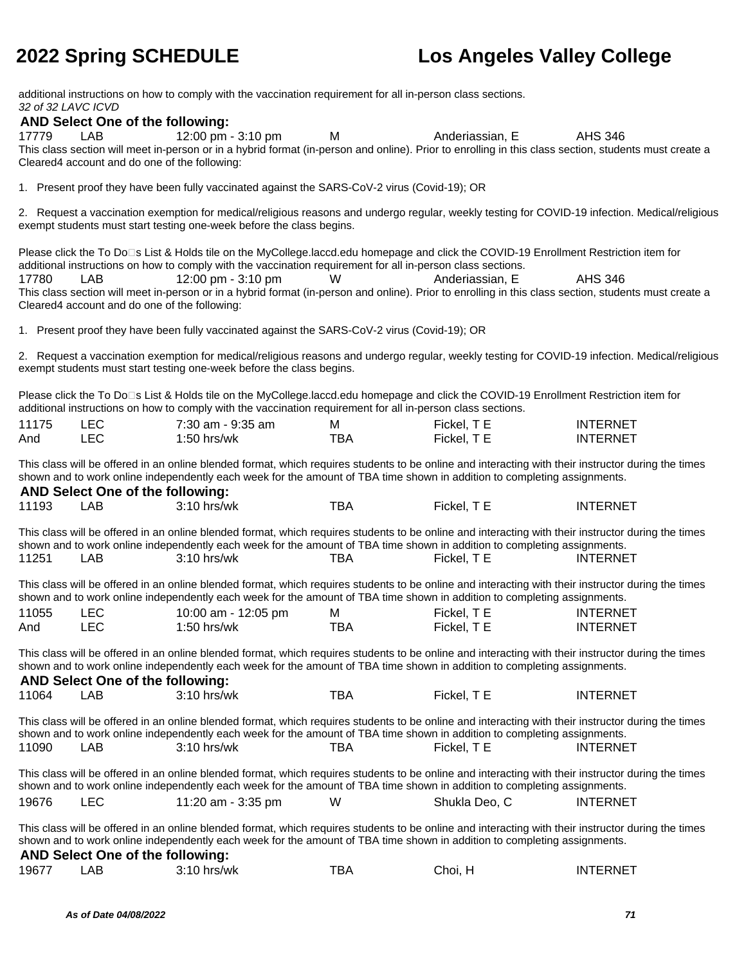additional instructions on how to comply with the vaccination requirement for all in-person class sections. 32 of 32 LAVC ICVD

### **AND Select One of the following:**

17779 LAB 12:00 pm - 3:10 pm M Anderiassian, E AHS 346 This class section will meet in-person or in a hybrid format (in-person and online). Prior to enrolling in this class section, students must create a Cleared4 account and do one of the following:

1. Present proof they have been fully vaccinated against the SARS-CoV-2 virus (Covid-19); OR

2. Request a vaccination exemption for medical/religious reasons and undergo regular, weekly testing for COVID-19 infection. Medical/religious exempt students must start testing one-week before the class begins.

Please click the To Do<sup>n</sup>s List & Holds tile on the MyCollege.laccd.edu homepage and click the COVID-19 Enrollment Restriction item for additional instructions on how to comply with the vaccination requirement for all in-person class sections.

17780 LAB 12:00 pm - 3:10 pm W Anderiassian, E AHS 346 This class section will meet in-person or in a hybrid format (in-person and online). Prior to enrolling in this class section, students must create a Cleared4 account and do one of the following:

1. Present proof they have been fully vaccinated against the SARS-CoV-2 virus (Covid-19); OR

2. Request a vaccination exemption for medical/religious reasons and undergo regular, weekly testing for COVID-19 infection. Medical/religious exempt students must start testing one-week before the class begins.

Please click the To Do□s List & Holds tile on the MyCollege.laccd.edu homepage and click the COVID-19 Enrollment Restriction item for additional instructions on how to comply with the vaccination requirement for all in-person class sections.

| 11175 |     | 7:30 am - 9:35 am | ΙVΙ  | Fickel, T E | <b>INTERNET</b> |
|-------|-----|-------------------|------|-------------|-----------------|
| And   | _EC | $1:50$ hrs/wk     | тва. | Fickel. T E | <b>INTERNET</b> |

This class will be offered in an online blended format, which requires students to be online and interacting with their instructor during the times shown and to work online independently each week for the amount of TBA time shown in addition to completing assignments.

### **AND Select One of the following:** 11193 LAB 3:10 hrs/wk TBA Fickel, T E INTERNET This class will be offered in an online blended format, which requires students to be online and interacting with their instructor during the times shown and to work online independently each week for the amount of TBA time shown in addition to completing assignments. 11251 LAB 3:10 hrs/wk TBA Fickel, T E INTERNET This class will be offered in an online blended format, which requires students to be online and interacting with their instructor during the times shown and to work online independently each week for the amount of TBA time shown in addition to completing assignments. 11055 LEC 10:00 am - 12:05 pm M Fickel, T E INTERNET And LEC 1:50 hrs/wk TBA Fickel, T E INTERNET This class will be offered in an online blended format, which requires students to be online and interacting with their instructor during the times shown and to work online independently each week for the amount of TBA time shown in addition to completing assignments. **AND Select One of the following:** 11064 LAB 3:10 hrs/wk TBA Fickel, T E INTERNET This class will be offered in an online blended format, which requires students to be online and interacting with their instructor during the times shown and to work online independently each week for the amount of TBA time shown in addition to completing assignments. 11090 LAB 3:10 hrs/wk TBA Fickel, T E INTERNET This class will be offered in an online blended format, which requires students to be online and interacting with their instructor during the times shown and to work online independently each week for the amount of TBA time shown in addition to completing assignments. 19676 LEC 11:20 am - 3:35 pm W Shukla Deo, C INTERNET This class will be offered in an online blended format, which requires students to be online and interacting with their instructor during the times shown and to work online independently each week for the amount of TBA time shown in addition to completing assignments. **AND Select One of the following:**

| 19677 | AВ | 3:10 hrs/wk | TBA | Choi, | INTERNET |
|-------|----|-------------|-----|-------|----------|
|       |    |             |     |       |          |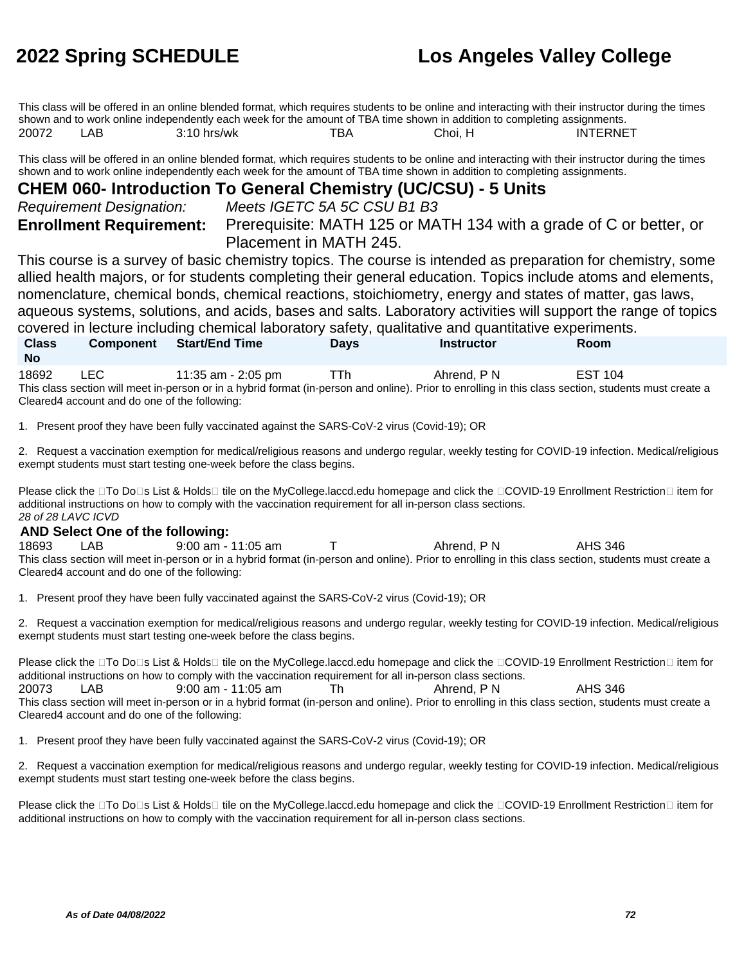This class will be offered in an online blended format, which requires students to be online and interacting with their instructor during the times shown and to work online independently each week for the amount of TBA time shown in addition to completing assignments. 20072 LAB 3:10 hrs/wk TBA Choi, H INTERNET

This class will be offered in an online blended format, which requires students to be online and interacting with their instructor during the times shown and to work online independently each week for the amount of TBA time shown in addition to completing assignments.

### **CHEM 060- Introduction To General Chemistry (UC/CSU) - 5 Units**

Requirement Designation: Meets IGETC 5A 5C CSU B1 B3

**Enrollment Requirement:** Prerequisite: MATH 125 or MATH 134 with a grade of C or better, or Placement in MATH 245.

This course is a survey of basic chemistry topics. The course is intended as preparation for chemistry, some allied health majors, or for students completing their general education. Topics include atoms and elements, nomenclature, chemical bonds, chemical reactions, stoichiometry, energy and states of matter, gas laws, aqueous systems, solutions, and acids, bases and salts. Laboratory activities will support the range of topics covered in lecture including chemical laboratory safety, qualitative and quantitative experiments.

**Class No Component Start/End Time Days Instructor Room** 18692 LEC 11:35 am - 2:05 pm TTh Ahrend, P N EST 104 This class section will meet in-person or in a hybrid format (in-person and online). Prior to enrolling in this class section, students must create a Cleared4 account and do one of the following:

1. Present proof they have been fully vaccinated against the SARS-CoV-2 virus (Covid-19); OR

2. Request a vaccination exemption for medical/religious reasons and undergo regular, weekly testing for COVID-19 infection. Medical/religious exempt students must start testing one-week before the class begins.

Please click the □To Do□s List & Holds□ tile on the MyCollege.laccd.edu homepage and click the □COVID-19 Enrollment Restriction□ item for additional instructions on how to comply with the vaccination requirement for all in-person class sections. 28 of 28 LAVC ICVD

### **AND Select One of the following:**

18693 LAB 9:00 am - 11:05 am T Ahrend, P N AHS 346 This class section will meet in-person or in a hybrid format (in-person and online). Prior to enrolling in this class section, students must create a Cleared4 account and do one of the following:

1. Present proof they have been fully vaccinated against the SARS-CoV-2 virus (Covid-19); OR

2. Request a vaccination exemption for medical/religious reasons and undergo regular, weekly testing for COVID-19 infection. Medical/religious exempt students must start testing one-week before the class begins.

Please click the □To Do□s List & Holds□ tile on the MyCollege.laccd.edu homepage and click the □COVID-19 Enrollment Restriction□ item for additional instructions on how to comply with the vaccination requirement for all in-person class sections. 20073 LAB 9:00 am - 11:05 am Th Ahrend, P N AHS 346 This class section will meet in-person or in a hybrid format (in-person and online). Prior to enrolling in this class section, students must create a Cleared4 account and do one of the following:

1. Present proof they have been fully vaccinated against the SARS-CoV-2 virus (Covid-19); OR

2. Request a vaccination exemption for medical/religious reasons and undergo regular, weekly testing for COVID-19 infection. Medical/religious exempt students must start testing one-week before the class begins.

Please click the □To Do□s List & Holds□ tile on the MyCollege.laccd.edu homepage and click the □COVID-19 Enrollment Restriction□ item for additional instructions on how to comply with the vaccination requirement for all in-person class sections.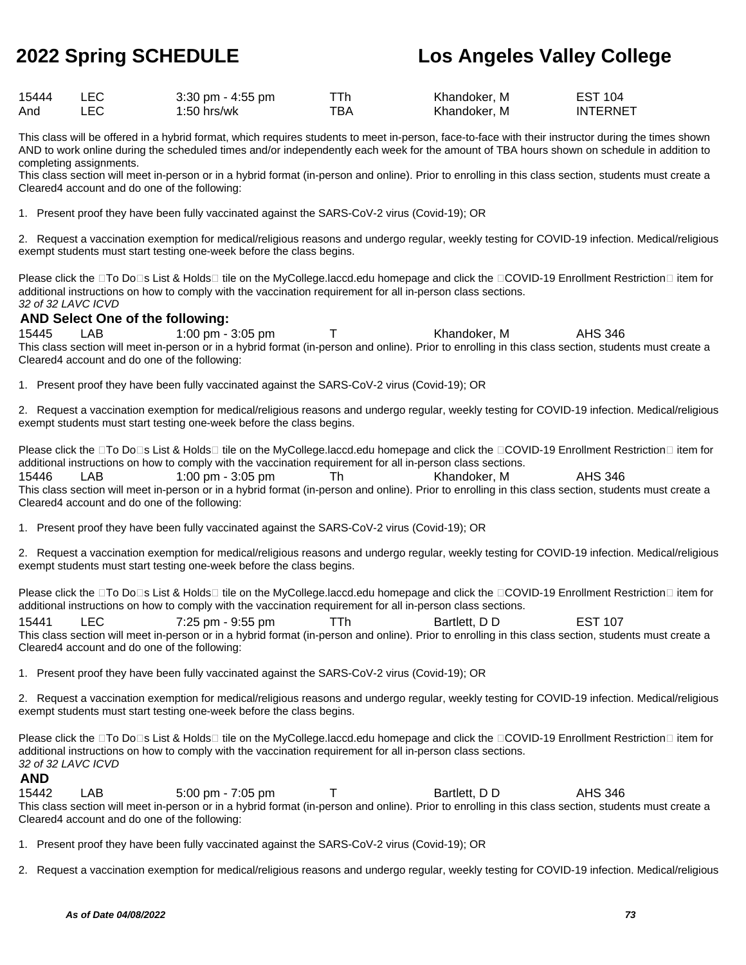| 15444 | $3:30$ pm - $4:55$ pm |     | Khandoker, M | <b>EST 104</b>  |
|-------|-----------------------|-----|--------------|-----------------|
| And   | 1:50 hrs/wk           | ™ВА | Khandoker. M | <b>INTERNET</b> |

This class will be offered in a hybrid format, which requires students to meet in-person, face-to-face with their instructor during the times shown AND to work online during the scheduled times and/or independently each week for the amount of TBA hours shown on schedule in addition to completing assignments.

This class section will meet in-person or in a hybrid format (in-person and online). Prior to enrolling in this class section, students must create a Cleared4 account and do one of the following:

1. Present proof they have been fully vaccinated against the SARS-CoV-2 virus (Covid-19); OR

2. Request a vaccination exemption for medical/religious reasons and undergo regular, weekly testing for COVID-19 infection. Medical/religious exempt students must start testing one-week before the class begins.

Please click the  $\Box$ To Do $\Box$ s List & Holds $\Box$  tile on the MyCollege.laccd.edu homepage and click the  $\Box$ COVID-19 Enrollment Restriction  $\Box$  item for additional instructions on how to comply with the vaccination requirement for all in-person class sections. 32 of 32 LAVC ICVD

### **AND Select One of the following:**

15445 LAB 1:00 pm - 3:05 pm T Khandoker, M AHS 346 This class section will meet in-person or in a hybrid format (in-person and online). Prior to enrolling in this class section, students must create a Cleared4 account and do one of the following:

1. Present proof they have been fully vaccinated against the SARS-CoV-2 virus (Covid-19); OR

2. Request a vaccination exemption for medical/religious reasons and undergo regular, weekly testing for COVID-19 infection. Medical/religious exempt students must start testing one-week before the class begins.

Please click the □To Do□s List & Holds□ tile on the MyCollege.laccd.edu homepage and click the □COVID-19 Enrollment Restriction□ item for additional instructions on how to comply with the vaccination requirement for all in-person class sections. 15446 LAB 1:00 pm - 3:05 pm Th Khandoker, M AHS 346 This class section will meet in-person or in a hybrid format (in-person and online). Prior to enrolling in this class section, students must create a Cleared4 account and do one of the following:

1. Present proof they have been fully vaccinated against the SARS-CoV-2 virus (Covid-19); OR

2. Request a vaccination exemption for medical/religious reasons and undergo regular, weekly testing for COVID-19 infection. Medical/religious exempt students must start testing one-week before the class begins.

Please click the □To Do□s List & Holds□ tile on the MyCollege.laccd.edu homepage and click the □COVID-19 Enrollment Restriction□ item for additional instructions on how to comply with the vaccination requirement for all in-person class sections.

15441 LEC 7:25 pm - 9:55 pm TTh Bartlett, D D EST 107 This class section will meet in-person or in a hybrid format (in-person and online). Prior to enrolling in this class section, students must create a Cleared4 account and do one of the following:

1. Present proof they have been fully vaccinated against the SARS-CoV-2 virus (Covid-19); OR

2. Request a vaccination exemption for medical/religious reasons and undergo regular, weekly testing for COVID-19 infection. Medical/religious exempt students must start testing one-week before the class begins.

Please click the □To Do□s List & Holds□ tile on the MyCollege.laccd.edu homepage and click the □COVID-19 Enrollment Restriction□ item for additional instructions on how to comply with the vaccination requirement for all in-person class sections. 32 of 32 LAVC ICVD

### **AND**

15442 LAB 5:00 pm - 7:05 pm T Bartlett, D D AHS 346 This class section will meet in-person or in a hybrid format (in-person and online). Prior to enrolling in this class section, students must create a Cleared4 account and do one of the following:

1. Present proof they have been fully vaccinated against the SARS-CoV-2 virus (Covid-19); OR

2. Request a vaccination exemption for medical/religious reasons and undergo regular, weekly testing for COVID-19 infection. Medical/religious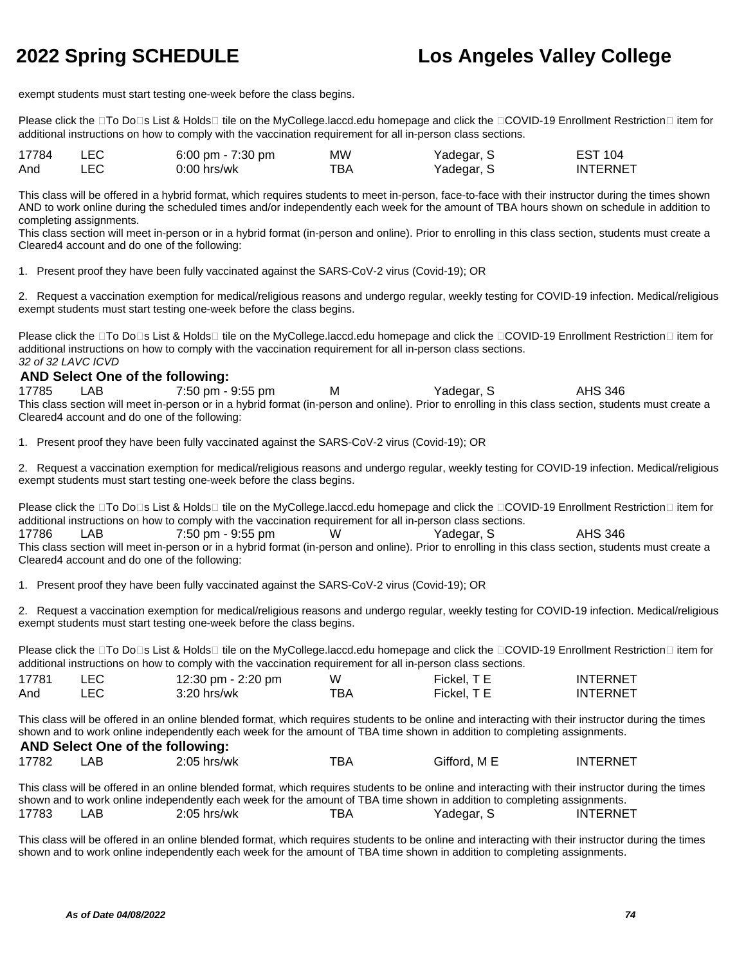exempt students must start testing one-week before the class begins.

Please click the □To Do□s List & Holds□ tile on the MyCollege.laccd.edu homepage and click the □COVID-19 Enrollment Restriction□ item for additional instructions on how to comply with the vaccination requirement for all in-person class sections.

| 17784 | LEC  | 6:00 pm - $7:30$ pm | MW  | Yadegar, S | EST 104         |
|-------|------|---------------------|-----|------------|-----------------|
| And   | LEC. | $0:00$ hrs/wk       | тва | Yadegar, S | <b>INTERNET</b> |

This class will be offered in a hybrid format, which requires students to meet in-person, face-to-face with their instructor during the times shown AND to work online during the scheduled times and/or independently each week for the amount of TBA hours shown on schedule in addition to completing assignments.

This class section will meet in-person or in a hybrid format (in-person and online). Prior to enrolling in this class section, students must create a Cleared4 account and do one of the following:

1. Present proof they have been fully vaccinated against the SARS-CoV-2 virus (Covid-19); OR

2. Request a vaccination exemption for medical/religious reasons and undergo regular, weekly testing for COVID-19 infection. Medical/religious exempt students must start testing one-week before the class begins.

Please click the □To Do□s List & Holds□ tile on the MyCollege.laccd.edu homepage and click the □COVID-19 Enrollment Restriction□ item for additional instructions on how to comply with the vaccination requirement for all in-person class sections. 32 of 32 LAVC ICVD

### **AND Select One of the following:**

17785 LAB 7:50 pm - 9:55 pm M Yadegar, S AHS 346 This class section will meet in-person or in a hybrid format (in-person and online). Prior to enrolling in this class section, students must create a Cleared4 account and do one of the following:

1. Present proof they have been fully vaccinated against the SARS-CoV-2 virus (Covid-19); OR

2. Request a vaccination exemption for medical/religious reasons and undergo regular, weekly testing for COVID-19 infection. Medical/religious exempt students must start testing one-week before the class begins.

Please click the  $\Box$ To Do $\Box$ s List & Holds $\Box$  tile on the MyCollege.laccd.edu homepage and click the  $\Box$ COVID-19 Enrollment Restriction  $\Box$  item for additional instructions on how to comply with the vaccination requirement for all in-person class sections. 17786 LAB 7:50 pm - 9:55 pm W Yadegar, S AHS 346 This class section will meet in-person or in a hybrid format (in-person and online). Prior to enrolling in this class section, students must create a Cleared4 account and do one of the following:

1. Present proof they have been fully vaccinated against the SARS-CoV-2 virus (Covid-19); OR

2. Request a vaccination exemption for medical/religious reasons and undergo regular, weekly testing for COVID-19 infection. Medical/religious exempt students must start testing one-week before the class begins.

Please click the □To Do□s List & Holds□ tile on the MyCollege.laccd.edu homepage and click the □COVID-19 Enrollment Restriction□ item for additional instructions on how to comply with the vaccination requirement for all in-person class sections.

| 17781 | 12:30 pm - 2:20 pm | W   | Fickel. T E | <b>INTERNET</b> |
|-------|--------------------|-----|-------------|-----------------|
| And   | $3:20$ hrs/wk      | TBA | Fickel. T E | <b>INTERNET</b> |

This class will be offered in an online blended format, which requires students to be online and interacting with their instructor during the times shown and to work online independently each week for the amount of TBA time shown in addition to completing assignments. **AND Select One of the following:**

|             |   | AND SEIECT ONE OF the TOROWING.                                                                                 |  |
|-------------|---|-----------------------------------------------------------------------------------------------------------------|--|
| $1 - 2 - 2$ | . | $\begin{array}{ccccccccccccccccc}\n&\circ & \circ & \circ & \circ & \circ & \circ & \circ & \circ\n\end{array}$ |  |

| 17782 | AB | $2:05$ hrs/wk                                                                                                                                       | TBA | Gifford, M E | INTERNET |
|-------|----|-----------------------------------------------------------------------------------------------------------------------------------------------------|-----|--------------|----------|
|       |    | This class will be offered in an online blended format, which requires students to be online and interacting with their instructor during the times |     |              |          |
|       |    | shown and to work online independently each week for the amount of TBA time shown in addition to completing assignments.                            |     |              |          |

17783 LAB 2:05 hrs/wk TBA Yadegar, S INTERNET

This class will be offered in an online blended format, which requires students to be online and interacting with their instructor during the times shown and to work online independently each week for the amount of TBA time shown in addition to completing assignments.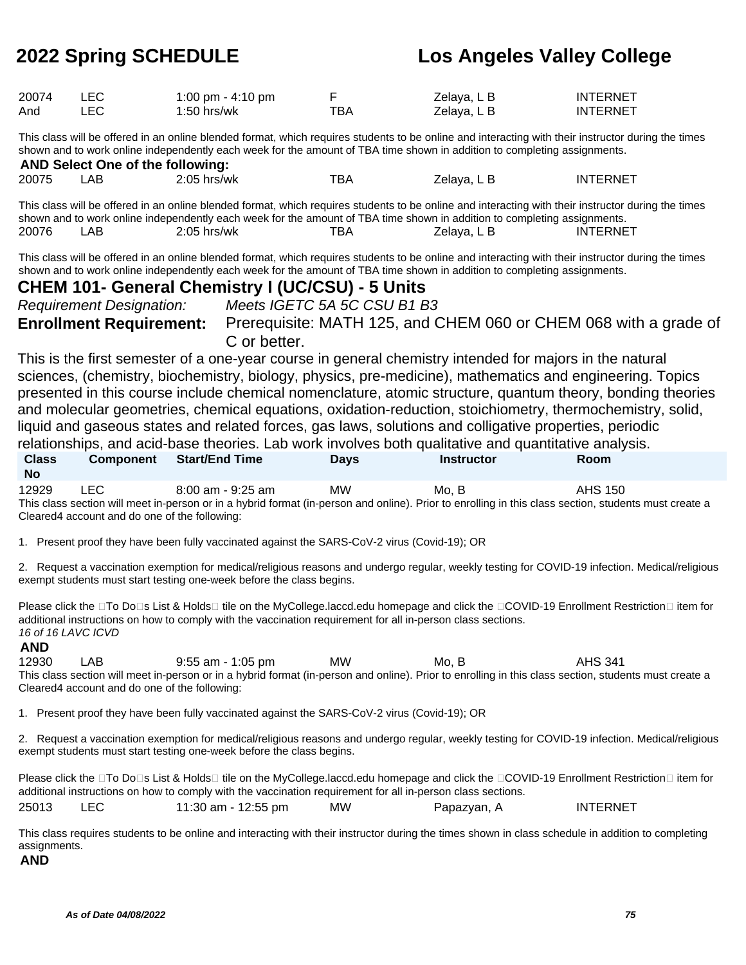| 20074 | <b>LEC</b> | 1:00 pm - 4:10 pm |     | Zelaya, L B | <b>INTERNET</b> |
|-------|------------|-------------------|-----|-------------|-----------------|
| And   | ∟EC I      | $1:50$ hrs/wk     | тва | Zelaya, L B | <b>INTERNET</b> |

This class will be offered in an online blended format, which requires students to be online and interacting with their instructor during the times shown and to work online independently each week for the amount of TBA time shown in addition to completing assignments. **AND Select One of the following:**

| AND SEIECT ONE OF the TONOWING. |     |               |     |             |                 |  |  |
|---------------------------------|-----|---------------|-----|-------------|-----------------|--|--|
| 20075                           | .AB | $2:05$ hrs/wk | тва | Zelaya, L B | <b>INTERNET</b> |  |  |

This class will be offered in an online blended format, which requires students to be online and interacting with their instructor during the times shown and to work online independently each week for the amount of TBA time shown in addition to completing assignments. 20076 LAB 2:05 hrs/wk TBA Zelaya, L B INTERNET

This class will be offered in an online blended format, which requires students to be online and interacting with their instructor during the times shown and to work online independently each week for the amount of TBA time shown in addition to completing assignments.

### **CHEM 101- General Chemistry I (UC/CSU) - 5 Units**

Requirement Designation: Meets IGETC 5A 5C CSU B1 B3

**Enrollment Requirement:** Prerequisite: MATH 125, and CHEM 060 or CHEM 068 with a grade of C or better.

This is the first semester of a one-year course in general chemistry intended for majors in the natural sciences, (chemistry, biochemistry, biology, physics, pre-medicine), mathematics and engineering. Topics presented in this course include chemical nomenclature, atomic structure, quantum theory, bonding theories and molecular geometries, chemical equations, oxidation-reduction, stoichiometry, thermochemistry, solid, liquid and gaseous states and related forces, gas laws, solutions and colligative properties, periodic relationships, and acid-base theories. Lab work involves both qualitative and quantitative analysis.

|                           |                                               |                       |             | relationships, and acid-base theories. Lab work involves both qualitative and quantitative analysis. |                                                                                                                                                       |  |
|---------------------------|-----------------------------------------------|-----------------------|-------------|------------------------------------------------------------------------------------------------------|-------------------------------------------------------------------------------------------------------------------------------------------------------|--|
| <b>Class</b><br><b>No</b> | <b>Component</b>                              | <b>Start/End Time</b> | <b>Davs</b> | <b>Instructor</b>                                                                                    | <b>Room</b>                                                                                                                                           |  |
| 12929                     | LEC.                                          | 8:00 am - 9:25 am     | <b>MW</b>   | Mo. B                                                                                                | AHS 150                                                                                                                                               |  |
|                           |                                               |                       |             |                                                                                                      | This class section will meet in-person or in a hybrid format (in-person and online). Prior to enrolling in this class section, students must create a |  |
|                           | Cleared4 account and do one of the following: |                       |             |                                                                                                      |                                                                                                                                                       |  |

1. Present proof they have been fully vaccinated against the SARS-CoV-2 virus (Covid-19); OR

2. Request a vaccination exemption for medical/religious reasons and undergo regular, weekly testing for COVID-19 infection. Medical/religious exempt students must start testing one-week before the class begins.

Please click the  $\Box$ To Do $\Box$ s List & Holds $\Box$  tile on the MyCollege.laccd.edu homepage and click the  $\Box$ COVID-19 Enrollment Restriction  $\Box$  item for additional instructions on how to comply with the vaccination requirement for all in-person class sections. 16 of 16 LAVC ICVD

### **AND**

12930 LAB 9:55 am - 1:05 pm MW Mo, B AHS 341 This class section will meet in-person or in a hybrid format (in-person and online). Prior to enrolling in this class section, students must create a Cleared4 account and do one of the following:

1. Present proof they have been fully vaccinated against the SARS-CoV-2 virus (Covid-19); OR

2. Request a vaccination exemption for medical/religious reasons and undergo regular, weekly testing for COVID-19 infection. Medical/religious exempt students must start testing one-week before the class begins.

Please click the □To Do□s List & Holds□ tile on the MyCollege.laccd.edu homepage and click the □COVID-19 Enrollment Restriction□ item for additional instructions on how to comply with the vaccination requirement for all in-person class sections. 25013 LEC 11:30 am - 12:55 pm MW Papazyan, A INTERNET

This class requires students to be online and interacting with their instructor during the times shown in class schedule in addition to completing assignments.

**AND**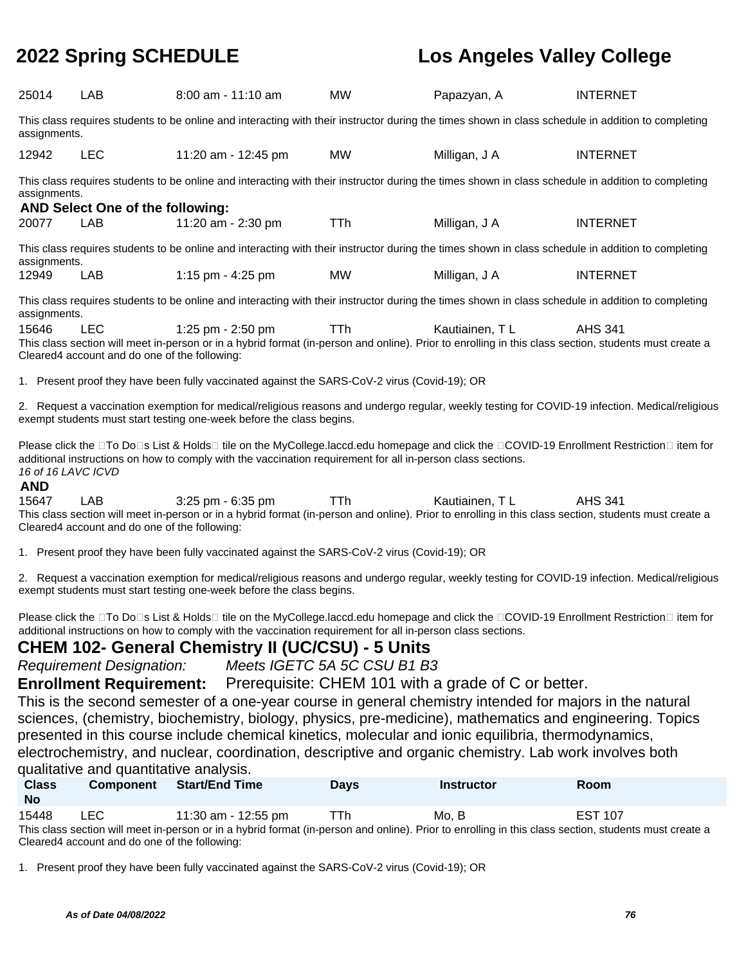| 25014                                                                                                                                                                                                                                                                                        | <b>LAB</b>                                           | $8:00$ am - 11:10 am                                                                                                                                                                                                                                                                                                 | <b>MW</b>  | Papazyan, A    | <b>INTERNET</b> |  |
|----------------------------------------------------------------------------------------------------------------------------------------------------------------------------------------------------------------------------------------------------------------------------------------------|------------------------------------------------------|----------------------------------------------------------------------------------------------------------------------------------------------------------------------------------------------------------------------------------------------------------------------------------------------------------------------|------------|----------------|-----------------|--|
| assignments.                                                                                                                                                                                                                                                                                 |                                                      | This class requires students to be online and interacting with their instructor during the times shown in class schedule in addition to completing                                                                                                                                                                   |            |                |                 |  |
| 12942                                                                                                                                                                                                                                                                                        | <b>LEC</b>                                           | 11:20 am - 12:45 pm                                                                                                                                                                                                                                                                                                  | MW.        | Milligan, J A  | <b>INTERNET</b> |  |
| assignments.                                                                                                                                                                                                                                                                                 | AND Select One of the following:                     | This class requires students to be online and interacting with their instructor during the times shown in class schedule in addition to completing                                                                                                                                                                   |            |                |                 |  |
| 20077                                                                                                                                                                                                                                                                                        | LAB                                                  | 11:20 am - 2:30 pm                                                                                                                                                                                                                                                                                                   | <b>TTh</b> | Milligan, J A  | <b>INTERNET</b> |  |
| assignments.                                                                                                                                                                                                                                                                                 |                                                      | This class requires students to be online and interacting with their instructor during the times shown in class schedule in addition to completing                                                                                                                                                                   |            |                |                 |  |
| 12949                                                                                                                                                                                                                                                                                        | LAB.                                                 | 1:15 pm - 4:25 pm                                                                                                                                                                                                                                                                                                    | <b>MW</b>  | Milligan, J A  | <b>INTERNET</b> |  |
| assignments.                                                                                                                                                                                                                                                                                 |                                                      | This class requires students to be online and interacting with their instructor during the times shown in class schedule in addition to completing                                                                                                                                                                   |            |                |                 |  |
| 15646                                                                                                                                                                                                                                                                                        | LEC<br>Cleared4 account and do one of the following: | 1:25 pm - 2:50 pm<br>This class section will meet in-person or in a hybrid format (in-person and online). Prior to enrolling in this class section, students must create a                                                                                                                                           | <b>TTh</b> | Kautiainen, TL | AHS 341         |  |
|                                                                                                                                                                                                                                                                                              |                                                      | 1. Present proof they have been fully vaccinated against the SARS-CoV-2 virus (Covid-19); OR                                                                                                                                                                                                                         |            |                |                 |  |
|                                                                                                                                                                                                                                                                                              |                                                      | 2. Request a vaccination exemption for medical/religious reasons and undergo regular, weekly testing for COVID-19 infection. Medical/religious<br>exempt students must start testing one-week before the class begins.                                                                                               |            |                |                 |  |
| Please click the □To Do□s List & Holds□ tile on the MyCollege.laccd.edu homepage and click the □COVID-19 Enrollment Restriction□ item for<br>additional instructions on how to comply with the vaccination requirement for all in-person class sections.<br>16 of 16 LAVC ICVD<br><b>AND</b> |                                                      |                                                                                                                                                                                                                                                                                                                      |            |                |                 |  |
| 15647                                                                                                                                                                                                                                                                                        | LAB<br>Cleared4 account and do one of the following: | 3:25 pm - 6:35 pm<br>This class section will meet in-person or in a hybrid format (in-person and online). Prior to enrolling in this class section, students must create a                                                                                                                                           | <b>TTh</b> | Kautiainen, TL | <b>AHS 341</b>  |  |
|                                                                                                                                                                                                                                                                                              |                                                      | 1. Present proof they have been fully vaccinated against the SARS-CoV-2 virus (Covid-19); OR                                                                                                                                                                                                                         |            |                |                 |  |
| 2. Request a vaccination exemption for medical/religious reasons and undergo regular, weekly testing for COVID-19 infection. Medical/religious<br>exempt students must start testing one-week before the class begins.                                                                       |                                                      |                                                                                                                                                                                                                                                                                                                      |            |                |                 |  |
|                                                                                                                                                                                                                                                                                              |                                                      | Please click the □To Do□s List & Holds□ tile on the MyCollege.laccd.edu homepage and click the □COVID-19 Enrollment Restriction□ item for<br>additional instructions on how to comply with the vaccination requirement for all in-person class sections.<br><b>CHEM 102- General Chemistry II (UC/CSU) - 5 Units</b> |            |                |                 |  |
|                                                                                                                                                                                                                                                                                              | <b>Requirement Designation:</b>                      | Meets IGETC 5A 5C CSU B1 B3                                                                                                                                                                                                                                                                                          |            |                |                 |  |
|                                                                                                                                                                                                                                                                                              |                                                      | <b>Enrollment Requirement:</b> Prerequisite: CHEM 101 with a grade of C or better.<br>This is the cocond compater of a one year course in general epercists untended for moiore in the notural                                                                                                                       |            |                |                 |  |

This is the second semester of a one-year course in general chemistry intended for majors in the natural sciences, (chemistry, biochemistry, biology, physics, pre-medicine), mathematics and engineering. Topics presented in this course include chemical kinetics, molecular and ionic equilibria, thermodynamics, electrochemistry, and nuclear, coordination, descriptive and organic chemistry. Lab work involves both qualitative and quantitative analysis.

| <b>Class</b><br><b>No</b>                                                                                                                             | <b>Component</b> | <b>Start/End Time</b> | <b>Davs</b> | <b>Instructor</b> | <b>Room</b>    |  |  |
|-------------------------------------------------------------------------------------------------------------------------------------------------------|------------------|-----------------------|-------------|-------------------|----------------|--|--|
| 15448                                                                                                                                                 | LEC.             | 11:30 am - 12:55 pm   | TTh         | Mo. B             | <b>EST 107</b> |  |  |
| This class section will meet in-person or in a hybrid format (in-person and online). Prior to enrolling in this class section, students must create a |                  |                       |             |                   |                |  |  |

Cleared4 account and do one of the following:

1. Present proof they have been fully vaccinated against the SARS-CoV-2 virus (Covid-19); OR

**As of Date 04/08/2022 76**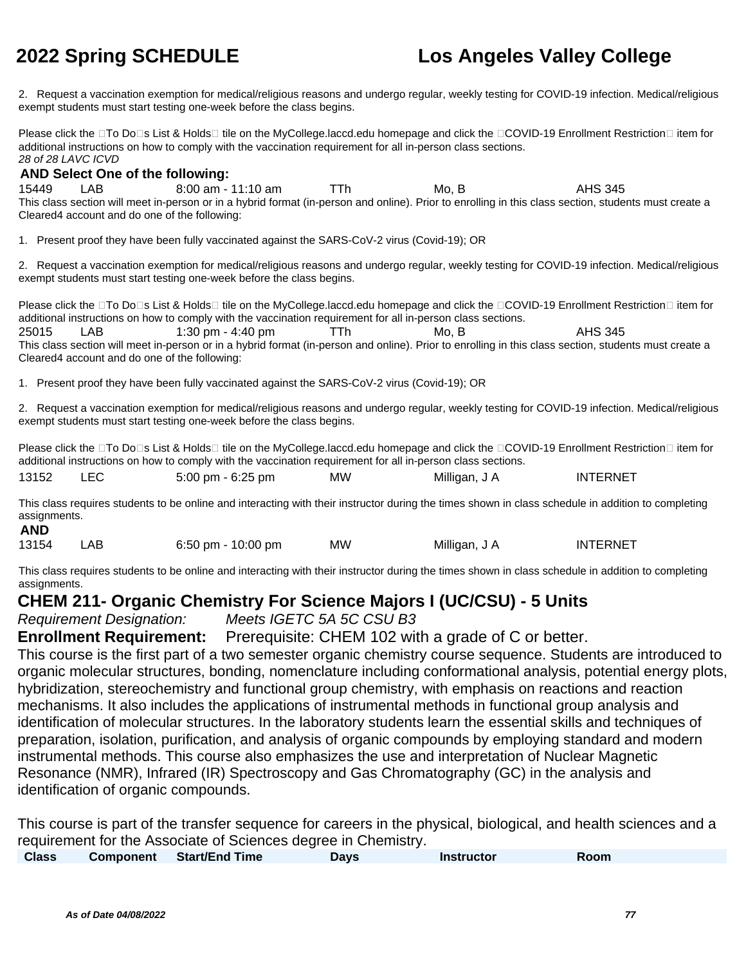2. Request a vaccination exemption for medical/religious reasons and undergo regular, weekly testing for COVID-19 infection. Medical/religious exempt students must start testing one-week before the class begins.

Please click the □To Do□s List & Holds□ tile on the MyCollege.laccd.edu homepage and click the □COVID-19 Enrollment Restriction□ item for additional instructions on how to comply with the vaccination requirement for all in-person class sections. 28 of 28 LAVC ICVD

### **AND Select One of the following:**

15449 LAB 8:00 am - 11:10 am TTh Mo, B AHS 345 This class section will meet in-person or in a hybrid format (in-person and online). Prior to enrolling in this class section, students must create a Cleared4 account and do one of the following:

1. Present proof they have been fully vaccinated against the SARS-CoV-2 virus (Covid-19); OR

2. Request a vaccination exemption for medical/religious reasons and undergo regular, weekly testing for COVID-19 infection. Medical/religious exempt students must start testing one-week before the class begins.

Please click the  $\Box$ To Do $\Box$ s List & Holds $\Box$  tile on the MyCollege.laccd.edu homepage and click the  $\Box$ COVID-19 Enrollment Restriction  $\Box$  item for additional instructions on how to comply with the vaccination requirement for all in-person class sections. 25015 LAB 1:30 pm - 4:40 pm TTh Mo, B AHS 345 This class section will meet in-person or in a hybrid format (in-person and online). Prior to enrolling in this class section, students must create a Cleared4 account and do one of the following:

1. Present proof they have been fully vaccinated against the SARS-CoV-2 virus (Covid-19); OR

2. Request a vaccination exemption for medical/religious reasons and undergo regular, weekly testing for COVID-19 infection. Medical/religious exempt students must start testing one-week before the class begins.

Please click the □To Do□s List & Holds□ tile on the MyCollege.laccd.edu homepage and click the □COVID-19 Enrollment Restriction□ item for additional instructions on how to comply with the vaccination requirement for all in-person class sections.

| 13152<br><b>LEC</b> | $5:00 \text{ pm} - 6:25 \text{ pm}$ | MW | Milligan, J A | <b>INTERNET</b> |
|---------------------|-------------------------------------|----|---------------|-----------------|
|---------------------|-------------------------------------|----|---------------|-----------------|

This class requires students to be online and interacting with their instructor during the times shown in class schedule in addition to completing assignments. **AND**

| 13154 | LAB | 6:50 pm - 10:00 pm | МW | Milligan, J A | <b>INTERNET</b> |
|-------|-----|--------------------|----|---------------|-----------------|
|       |     |                    |    |               |                 |

This class requires students to be online and interacting with their instructor during the times shown in class schedule in addition to completing assignments.

### **CHEM 211- Organic Chemistry For Science Majors I (UC/CSU) - 5 Units**

Requirement Designation: Meets IGETC 5A 5C CSU B3

**Enrollment Requirement:** Prerequisite: CHEM 102 with a grade of C or better.

This course is the first part of a two semester organic chemistry course sequence. Students are introduced to organic molecular structures, bonding, nomenclature including conformational analysis, potential energy plots, hybridization, stereochemistry and functional group chemistry, with emphasis on reactions and reaction mechanisms. It also includes the applications of instrumental methods in functional group analysis and identification of molecular structures. In the laboratory students learn the essential skills and techniques of preparation, isolation, purification, and analysis of organic compounds by employing standard and modern instrumental methods. This course also emphasizes the use and interpretation of Nuclear Magnetic Resonance (NMR), Infrared (IR) Spectroscopy and Gas Chromatography (GC) in the analysis and identification of organic compounds.

This course is part of the transfer sequence for careers in the physical, biological, and health sciences and a requirement for the Associate of Sciences degree in Chemistry.

| <b>Class</b> | <b>Component</b> | Start/End Time | Days | <b>Instructor</b> | Room |
|--------------|------------------|----------------|------|-------------------|------|
|              |                  |                |      |                   |      |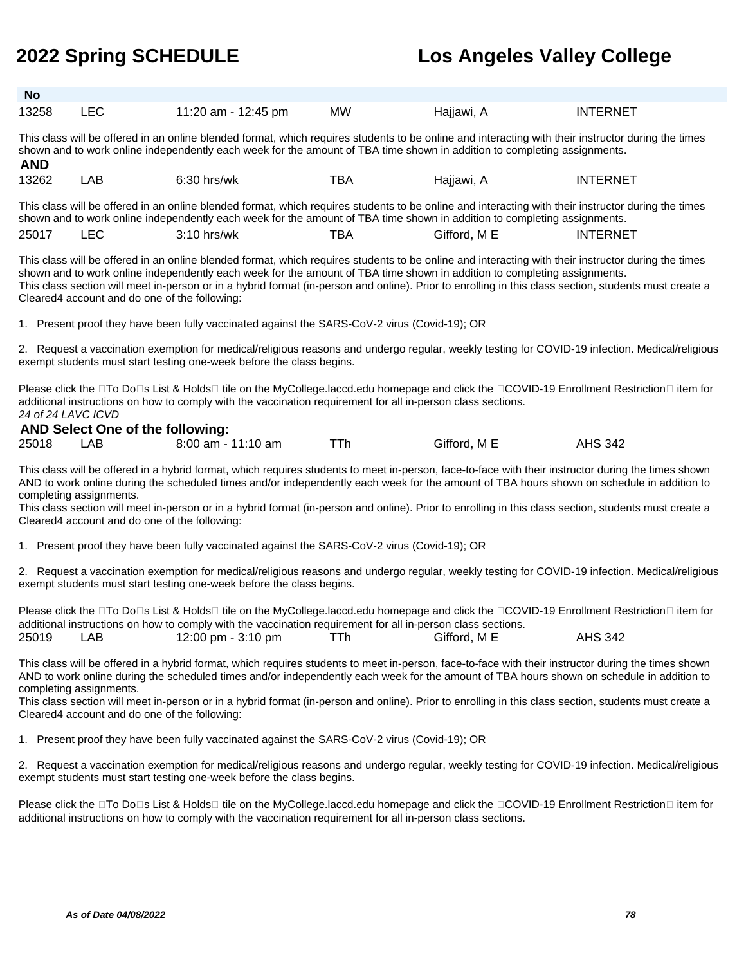| <b>No</b> |     |                     |           |            |                 |
|-----------|-----|---------------------|-----------|------------|-----------------|
| 13258     | LEC | 11:20 am - 12:45 pm | <b>MW</b> | Hajjawi, A | <b>INTERNET</b> |

This class will be offered in an online blended format, which requires students to be online and interacting with their instructor during the times shown and to work online independently each week for the amount of TBA time shown in addition to completing assignments. **AND**

| 13262 | _AB | $6:30$ hrs/wk                                                                                                                                       | TBA | Hajjawi, A | <b>INTERNET</b> |
|-------|-----|-----------------------------------------------------------------------------------------------------------------------------------------------------|-----|------------|-----------------|
|       |     | This class will be offered in an online blended format, which requires students to be online and interacting with their instructor during the times |     |            |                 |
|       |     | shown and to work online independently each week for the amount of TBA time shown in addition to completing assignments.                            |     |            |                 |

25017 LEC 3:10 hrs/wk TBA Gifford, M E INTERNET

This class will be offered in an online blended format, which requires students to be online and interacting with their instructor during the times shown and to work online independently each week for the amount of TBA time shown in addition to completing assignments. This class section will meet in-person or in a hybrid format (in-person and online). Prior to enrolling in this class section, students must create a Cleared4 account and do one of the following:

1. Present proof they have been fully vaccinated against the SARS-CoV-2 virus (Covid-19); OR

2. Request a vaccination exemption for medical/religious reasons and undergo regular, weekly testing for COVID-19 infection. Medical/religious exempt students must start testing one-week before the class begins.

Please click the □To Do□s List & Holds□ tile on the MyCollege.laccd.edu homepage and click the □COVID-19 Enrollment Restriction□ item for additional instructions on how to comply with the vaccination requirement for all in-person class sections. 24 of 24 LAVC ICVD

|       |      | <b>AND Select One of the following:</b> |     |              |                |
|-------|------|-----------------------------------------|-----|--------------|----------------|
| 25018 | LAB. | 8:00 am - 11:10 am                      | TTh | Gifford, M E | <b>AHS 342</b> |

This class will be offered in a hybrid format, which requires students to meet in-person, face-to-face with their instructor during the times shown AND to work online during the scheduled times and/or independently each week for the amount of TBA hours shown on schedule in addition to completing assignments.

This class section will meet in-person or in a hybrid format (in-person and online). Prior to enrolling in this class section, students must create a Cleared4 account and do one of the following:

1. Present proof they have been fully vaccinated against the SARS-CoV-2 virus (Covid-19); OR

2. Request a vaccination exemption for medical/religious reasons and undergo regular, weekly testing for COVID-19 infection. Medical/religious exempt students must start testing one-week before the class begins.

|       |       | Please click the □To Do□s List & Holds□ tile on the MyCollege.laccd.edu homepage and click the □COVID-19 Enrollment Restriction□ item for |     |              |                |
|-------|-------|-------------------------------------------------------------------------------------------------------------------------------------------|-----|--------------|----------------|
|       |       | additional instructions on how to comply with the vaccination requirement for all in-person class sections.                               |     |              |                |
| 25019 | LAB - | 12:00 pm - 3:10 pm                                                                                                                        | TTh | Gifford. M E | <b>AHS 342</b> |

This class will be offered in a hybrid format, which requires students to meet in-person, face-to-face with their instructor during the times shown AND to work online during the scheduled times and/or independently each week for the amount of TBA hours shown on schedule in addition to completing assignments.

This class section will meet in-person or in a hybrid format (in-person and online). Prior to enrolling in this class section, students must create a Cleared4 account and do one of the following:

1. Present proof they have been fully vaccinated against the SARS-CoV-2 virus (Covid-19); OR

2. Request a vaccination exemption for medical/religious reasons and undergo regular, weekly testing for COVID-19 infection. Medical/religious exempt students must start testing one-week before the class begins.

Please click the □To Do□s List & Holds□ tile on the MyCollege.laccd.edu homepage and click the □COVID-19 Enrollment Restriction□ item for additional instructions on how to comply with the vaccination requirement for all in-person class sections.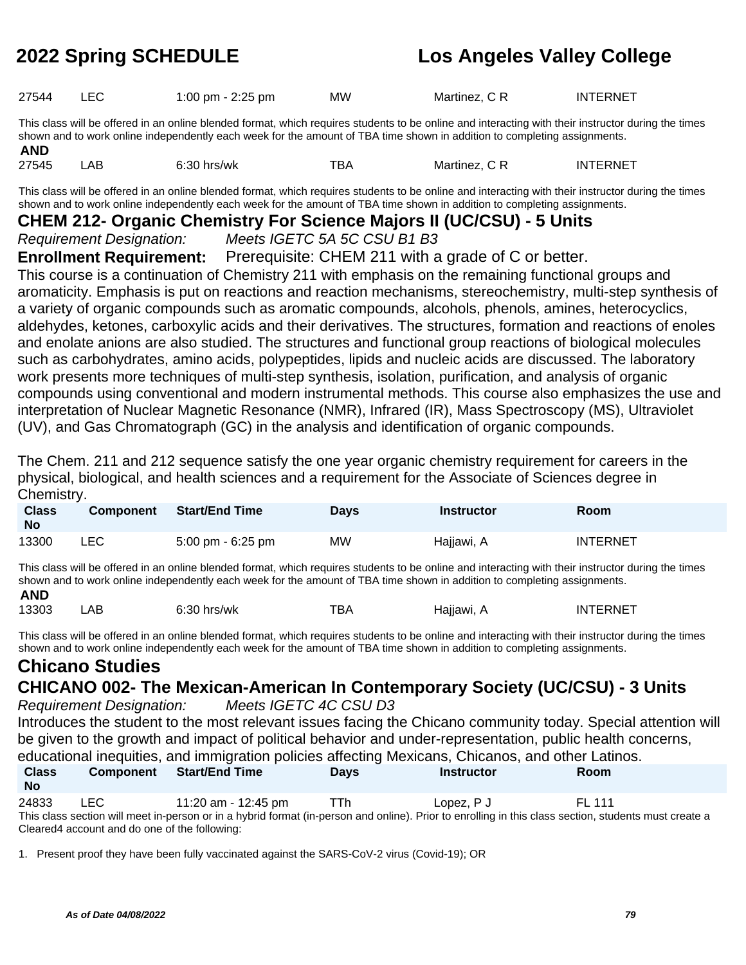| 27544<br><b>INTERNET</b><br>Martinez, C R<br><b>MW</b><br>1:00 pm - 2:25 pm |  |
|-----------------------------------------------------------------------------|--|
|-----------------------------------------------------------------------------|--|

This class will be offered in an online blended format, which requires students to be online and interacting with their instructor during the times shown and to work online independently each week for the amount of TBA time shown in addition to completing assignments. **AND**

27545 LAB 6:30 hrs/wk TBA Martinez, C R INTERNET This class will be offered in an online blended format, which requires students to be online and interacting with their instructor during the times

shown and to work online independently each week for the amount of TBA time shown in addition to completing assignments.

### **CHEM 212- Organic Chemistry For Science Majors II (UC/CSU) - 5 Units**

Requirement Designation: Meets IGETC 5A 5C CSU B1 B3

**Enrollment Requirement:** Prerequisite: CHEM 211 with a grade of C or better.

This course is a continuation of Chemistry 211 with emphasis on the remaining functional groups and aromaticity. Emphasis is put on reactions and reaction mechanisms, stereochemistry, multi-step synthesis of a variety of organic compounds such as aromatic compounds, alcohols, phenols, amines, heterocyclics, aldehydes, ketones, carboxylic acids and their derivatives. The structures, formation and reactions of enoles and enolate anions are also studied. The structures and functional group reactions of biological molecules such as carbohydrates, amino acids, polypeptides, lipids and nucleic acids are discussed. The laboratory work presents more techniques of multi-step synthesis, isolation, purification, and analysis of organic compounds using conventional and modern instrumental methods. This course also emphasizes the use and interpretation of Nuclear Magnetic Resonance (NMR), Infrared (IR), Mass Spectroscopy (MS), Ultraviolet (UV), and Gas Chromatograph (GC) in the analysis and identification of organic compounds.

The Chem. 211 and 212 sequence satisfy the one year organic chemistry requirement for careers in the physical, biological, and health sciences and a requirement for the Associate of Sciences degree in Chemistry.

| <b>Class</b><br><b>No</b> | <b>Component</b> | Start/End Time                      | <b>Days</b> | Instructor | Room            |
|---------------------------|------------------|-------------------------------------|-------------|------------|-----------------|
| 13300                     | <b>LEC</b>       | $5:00 \text{ pm} - 6:25 \text{ pm}$ | MW          | Hajjawi, A | <b>INTERNET</b> |

This class will be offered in an online blended format, which requires students to be online and interacting with their instructor during the times shown and to work online independently each week for the amount of TBA time shown in addition to completing assignments.

### **AND**

13303 LAB 6:30 hrs/wk TBA Hajjawi, A INTERNET

This class will be offered in an online blended format, which requires students to be online and interacting with their instructor during the times shown and to work online independently each week for the amount of TBA time shown in addition to completing assignments.

# **Chicano Studies**

### **CHICANO 002- The Mexican-American In Contemporary Society (UC/CSU) - 3 Units**

Requirement Designation: Meets IGETC 4C CSU D3

Introduces the student to the most relevant issues facing the Chicano community today. Special attention will be given to the growth and impact of political behavior and under-representation, public health concerns, educational inequities, and immigration policies affecting Mexicans, Chicanos, and other Latinos.

| <b>Class</b><br>No | <b>Component</b> | <b>Start/End Time</b> | <b>Davs</b> | <b>Instructor</b>                                                                                                                                     | Room   |  |
|--------------------|------------------|-----------------------|-------------|-------------------------------------------------------------------------------------------------------------------------------------------------------|--------|--|
| 24833              | LEC.             | 11:20 am - 12:45 pm   | TTh         | Lopez. P J                                                                                                                                            | FI 111 |  |
|                    |                  |                       |             | This class section will meet in-person or in a hybrid format (in-person and online). Prior to enrolling in this class section, students must create a |        |  |

Cleared4 account and do one of the following:

1. Present proof they have been fully vaccinated against the SARS-CoV-2 virus (Covid-19); OR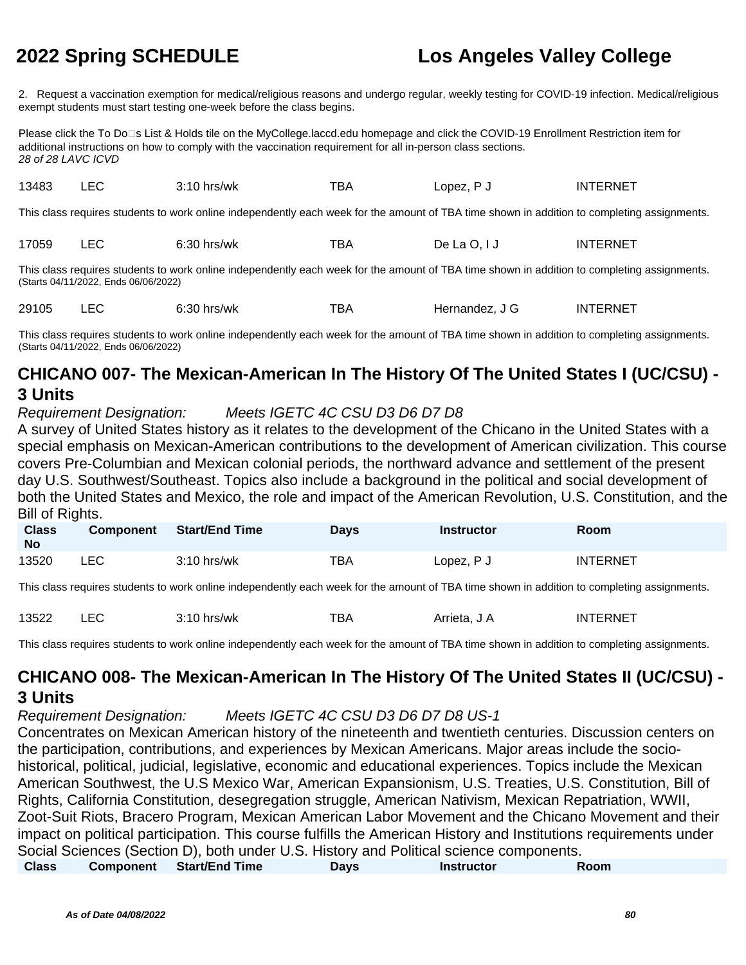2. Request a vaccination exemption for medical/religious reasons and undergo regular, weekly testing for COVID-19 infection. Medical/religious exempt students must start testing one-week before the class begins.

Please click the To Do⊡s List & Holds tile on the MyCollege.laccd.edu homepage and click the COVID-19 Enrollment Restriction item for additional instructions on how to comply with the vaccination requirement for all in-person class sections. 28 of 28 LAVC ICVD

| 13483                                                                                                                                                                               | LEC. | $3:10$ hrs/wk                                                                                                                               | TBA | Lopez, P J    | <b>INTERNET</b> |  |  |
|-------------------------------------------------------------------------------------------------------------------------------------------------------------------------------------|------|---------------------------------------------------------------------------------------------------------------------------------------------|-----|---------------|-----------------|--|--|
|                                                                                                                                                                                     |      | This class requires students to work online independently each week for the amount of TBA time shown in addition to completing assignments. |     |               |                 |  |  |
| 17059                                                                                                                                                                               | LEC. | $6:30$ hrs/wk                                                                                                                               | TBA | De La $O, IJ$ | <b>INTERNET</b> |  |  |
| This class requires students to work online independently each week for the amount of TBA time shown in addition to completing assignments.<br>(Starts 04/11/2022, Ends 06/06/2022) |      |                                                                                                                                             |     |               |                 |  |  |

29105 LEC 6:30 hrs/wk TBA Hernandez, J G INTERNET

This class requires students to work online independently each week for the amount of TBA time shown in addition to completing assignments. (Starts 04/11/2022, Ends 06/06/2022)

### **CHICANO 007- The Mexican-American In The History Of The United States I (UC/CSU) - 3 Units**

### Requirement Designation: Meets IGETC 4C CSU D3 D6 D7 D8

A survey of United States history as it relates to the development of the Chicano in the United States with a special emphasis on Mexican-American contributions to the development of American civilization. This course covers Pre-Columbian and Mexican colonial periods, the northward advance and settlement of the present day U.S. Southwest/Southeast. Topics also include a background in the political and social development of both the United States and Mexico, the role and impact of the American Revolution, U.S. Constitution, and the Bill of Rights.

| <b>Class</b><br><b>No</b> | <b>Component</b> | Start/End Time | <b>Days</b> | <b>Instructor</b> | Room            |
|---------------------------|------------------|----------------|-------------|-------------------|-----------------|
| 13520                     | LEC.             | $3:10$ hrs/wk  | TBA         | Lopez, P J        | <b>INTERNET</b> |

This class requires students to work online independently each week for the amount of TBA time shown in addition to completing assignments.

| 13522 | –∟∪ | $3:10$ hrs/wk | ™ВА | Arrieta. J A | INTERNET |
|-------|-----|---------------|-----|--------------|----------|
|       |     |               |     |              |          |

This class requires students to work online independently each week for the amount of TBA time shown in addition to completing assignments.

### **CHICANO 008- The Mexican-American In The History Of The United States II (UC/CSU) - 3 Units**

Requirement Designation: Meets IGETC 4C CSU D3 D6 D7 D8 US-1

Concentrates on Mexican American history of the nineteenth and twentieth centuries. Discussion centers on the participation, contributions, and experiences by Mexican Americans. Major areas include the sociohistorical, political, judicial, legislative, economic and educational experiences. Topics include the Mexican American Southwest, the U.S Mexico War, American Expansionism, U.S. Treaties, U.S. Constitution, Bill of Rights, California Constitution, desegregation struggle, American Nativism, Mexican Repatriation, WWII, Zoot-Suit Riots, Bracero Program, Mexican American Labor Movement and the Chicano Movement and their impact on political participation. This course fulfills the American History and Institutions requirements under Social Sciences (Section D), both under U.S. History and Political science components.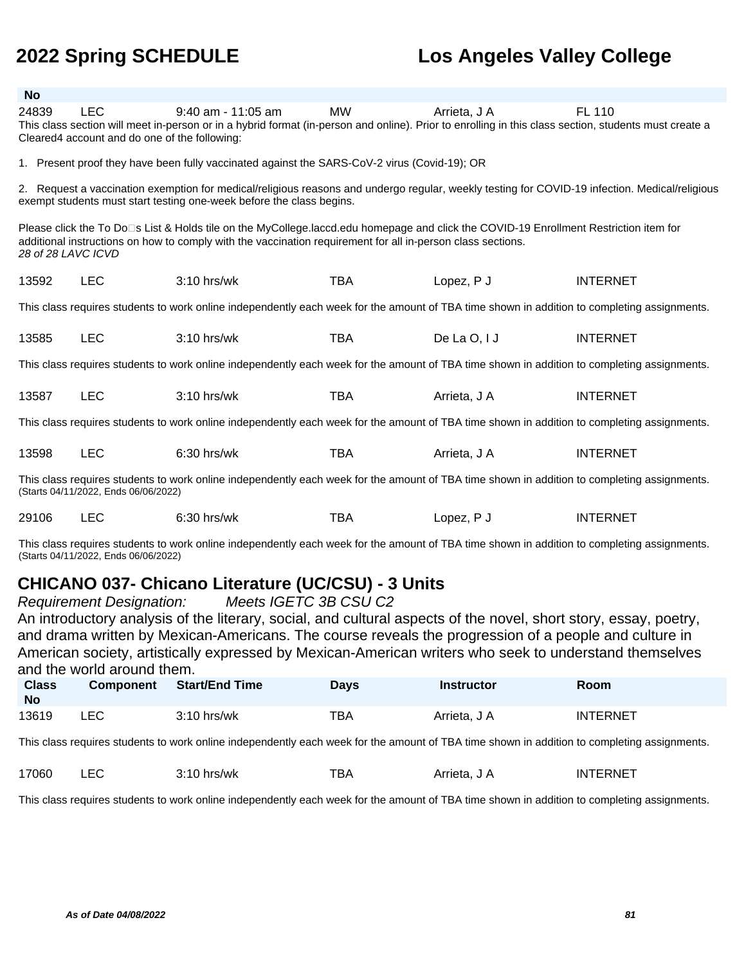| No                                                                                                                                                                                  |                                                                                                                                                                                                                                                                            |                                                                                                                                                                                                                        |            |               |                 |  |  |
|-------------------------------------------------------------------------------------------------------------------------------------------------------------------------------------|----------------------------------------------------------------------------------------------------------------------------------------------------------------------------------------------------------------------------------------------------------------------------|------------------------------------------------------------------------------------------------------------------------------------------------------------------------------------------------------------------------|------------|---------------|-----------------|--|--|
| 24839                                                                                                                                                                               | <b>LEC</b><br>Cleared4 account and do one of the following:                                                                                                                                                                                                                | $9:40$ am - 11:05 am<br>This class section will meet in-person or in a hybrid format (in-person and online). Prior to enrolling in this class section, students must create a                                          | <b>MW</b>  | Arrieta, J A  | FL 110          |  |  |
|                                                                                                                                                                                     |                                                                                                                                                                                                                                                                            | 1. Present proof they have been fully vaccinated against the SARS-CoV-2 virus (Covid-19); OR                                                                                                                           |            |               |                 |  |  |
|                                                                                                                                                                                     |                                                                                                                                                                                                                                                                            | 2. Request a vaccination exemption for medical/religious reasons and undergo regular, weekly testing for COVID-19 infection. Medical/religious<br>exempt students must start testing one-week before the class begins. |            |               |                 |  |  |
|                                                                                                                                                                                     | Please click the To Do□s List & Holds tile on the MyCollege.laccd.edu homepage and click the COVID-19 Enrollment Restriction item for<br>additional instructions on how to comply with the vaccination requirement for all in-person class sections.<br>28 of 28 LAVC ICVD |                                                                                                                                                                                                                        |            |               |                 |  |  |
| 13592                                                                                                                                                                               | <b>LEC</b>                                                                                                                                                                                                                                                                 | 3:10 hrs/wk                                                                                                                                                                                                            | <b>TBA</b> | Lopez, P J    | <b>INTERNET</b> |  |  |
|                                                                                                                                                                                     |                                                                                                                                                                                                                                                                            | This class requires students to work online independently each week for the amount of TBA time shown in addition to completing assignments.                                                                            |            |               |                 |  |  |
| 13585                                                                                                                                                                               | <b>LEC</b>                                                                                                                                                                                                                                                                 | $3:10$ hrs/wk                                                                                                                                                                                                          | <b>TBA</b> | De La $O, IJ$ | <b>INTERNET</b> |  |  |
|                                                                                                                                                                                     |                                                                                                                                                                                                                                                                            | This class requires students to work online independently each week for the amount of TBA time shown in addition to completing assignments.                                                                            |            |               |                 |  |  |
| 13587                                                                                                                                                                               | <b>LEC</b>                                                                                                                                                                                                                                                                 | $3:10$ hrs/wk                                                                                                                                                                                                          | <b>TBA</b> | Arrieta, J A  | <b>INTERNET</b> |  |  |
|                                                                                                                                                                                     |                                                                                                                                                                                                                                                                            | This class requires students to work online independently each week for the amount of TBA time shown in addition to completing assignments.                                                                            |            |               |                 |  |  |
| 13598                                                                                                                                                                               | <b>LEC</b>                                                                                                                                                                                                                                                                 | $6:30$ hrs/wk                                                                                                                                                                                                          | <b>TBA</b> | Arrieta, J A  | <b>INTERNET</b> |  |  |
| This class requires students to work online independently each week for the amount of TBA time shown in addition to completing assignments.<br>(Starts 04/11/2022, Ends 06/06/2022) |                                                                                                                                                                                                                                                                            |                                                                                                                                                                                                                        |            |               |                 |  |  |
| 29106                                                                                                                                                                               | <b>LEC</b>                                                                                                                                                                                                                                                                 | $6:30$ hrs/wk                                                                                                                                                                                                          | TBA        | Lopez, P J    | <b>INTERNET</b> |  |  |
|                                                                                                                                                                                     | This class requires students to work online independently each week for the amount of TBA time shown in addition to completing assignments.<br>(Starts 04/11/2022, Ends 06/06/2022)                                                                                        |                                                                                                                                                                                                                        |            |               |                 |  |  |

### **CHICANO 037- Chicano Literature (UC/CSU) - 3 Units**

Requirement Designation: Meets IGETC 3B CSU C2

An introductory analysis of the literary, social, and cultural aspects of the novel, short story, essay, poetry, and drama written by Mexican-Americans. The course reveals the progression of a people and culture in American society, artistically expressed by Mexican-American writers who seek to understand themselves and the world around them.

| <b>Class</b><br>No | <b>Component</b> | <b>Start/End Time</b> | Days | Instructor   | Room            |
|--------------------|------------------|-----------------------|------|--------------|-----------------|
| 13619              | <b>LEC</b>       | $3:10$ hrs/wk         | TBA  | Arrieta, J A | <b>INTERNET</b> |

This class requires students to work online independently each week for the amount of TBA time shown in addition to completing assignments.

| 17060 | $ \sim$<br>–∽<br>$\sim$ | 3:10<br>hrs/wk | TBA | \rriota<br>AIIIEId.<br>___ | <b>ERNET</b><br>INT |
|-------|-------------------------|----------------|-----|----------------------------|---------------------|
|-------|-------------------------|----------------|-----|----------------------------|---------------------|

This class requires students to work online independently each week for the amount of TBA time shown in addition to completing assignments.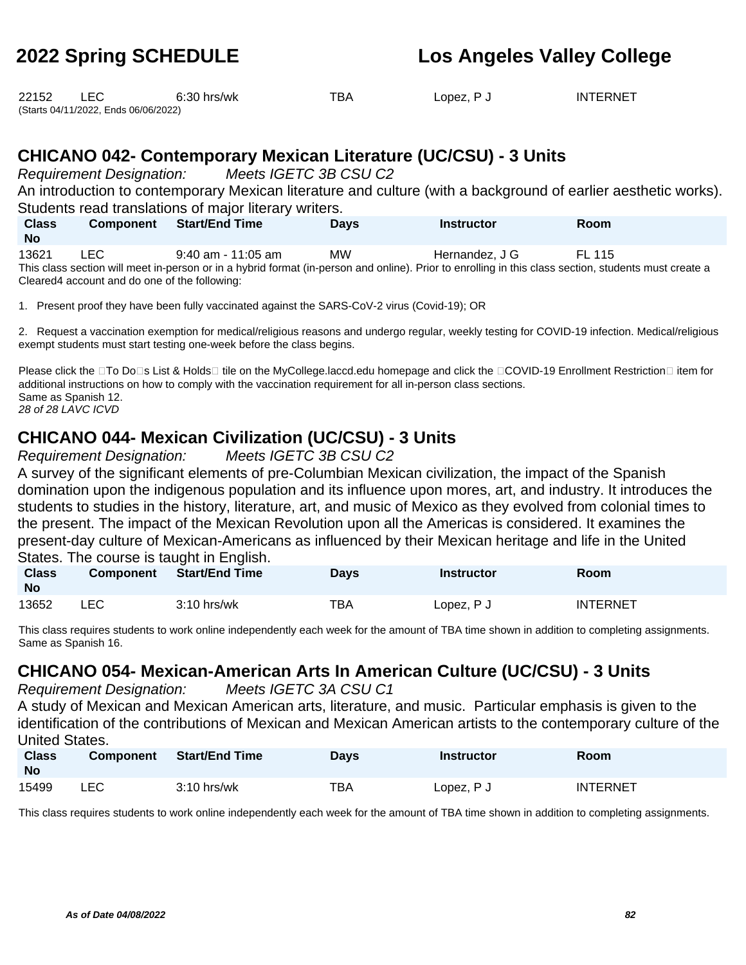| 22152 |                                      | $6:30$ hrs/wk | TBA | Lopez, P J | <b>INTERNET</b> |
|-------|--------------------------------------|---------------|-----|------------|-----------------|
|       | (Starts 04/11/2022, Ends 06/06/2022) |               |     |            |                 |

### **CHICANO 042- Contemporary Mexican Literature (UC/CSU) - 3 Units**

Requirement Designation: Meets IGETC 3B CSU C2

An introduction to contemporary Mexican literature and culture (with a background of earlier aesthetic works). Students read translations of major literary writers.

| <b>Class</b><br><b>No</b>                                                                                                                             | <b>Component</b>                              | <b>Start/End Time</b> | <b>Davs</b> | <b>Instructor</b> | <b>Room</b> |  |  |  |
|-------------------------------------------------------------------------------------------------------------------------------------------------------|-----------------------------------------------|-----------------------|-------------|-------------------|-------------|--|--|--|
| 13621                                                                                                                                                 | LEC.                                          | 9:40 am - 11:05 am    | МW          | Hernandez, J G    | FL 115      |  |  |  |
| This class section will meet in-person or in a hybrid format (in-person and online). Prior to enrolling in this class section, students must create a |                                               |                       |             |                   |             |  |  |  |
|                                                                                                                                                       | Cleared4 account and do one of the following: |                       |             |                   |             |  |  |  |

1. Present proof they have been fully vaccinated against the SARS-CoV-2 virus (Covid-19); OR

2. Request a vaccination exemption for medical/religious reasons and undergo regular, weekly testing for COVID-19 infection. Medical/religious exempt students must start testing one-week before the class begins.

Please click the □To Do□s List & Holds□ tile on the MyCollege.laccd.edu homepage and click the □COVID-19 Enrollment Restriction□ item for additional instructions on how to comply with the vaccination requirement for all in-person class sections. Same as Spanish 12. 28 of 28 LAVC ICVD

### **CHICANO 044- Mexican Civilization (UC/CSU) - 3 Units**

Requirement Designation: Meets IGETC 3B CSU C2

A survey of the significant elements of pre-Columbian Mexican civilization, the impact of the Spanish domination upon the indigenous population and its influence upon mores, art, and industry. It introduces the students to studies in the history, literature, art, and music of Mexico as they evolved from colonial times to the present. The impact of the Mexican Revolution upon all the Americas is considered. It examines the present-day culture of Mexican-Americans as influenced by their Mexican heritage and life in the United States. The course is taught in English.

| <b>Class</b><br><b>No</b> | <b>Component</b> | Start/End Time | <b>Days</b> | Instructor | Room            |
|---------------------------|------------------|----------------|-------------|------------|-----------------|
| 13652                     | LEC              | $3:10$ hrs/wk  | TBA         | Lopez, P J | <b>INTERNET</b> |

This class requires students to work online independently each week for the amount of TBA time shown in addition to completing assignments. Same as Spanish 16.

### **CHICANO 054- Mexican-American Arts In American Culture (UC/CSU) - 3 Units**

Requirement Designation: Meets IGETC 3A CSU C1

A study of Mexican and Mexican American arts, literature, and music. Particular emphasis is given to the identification of the contributions of Mexican and Mexican American artists to the contemporary culture of the United States.

| <b>Class</b><br><b>No</b> | <b>Component</b> | <b>Start/End Time</b> | Days | <b>Instructor</b> | Room            |
|---------------------------|------------------|-----------------------|------|-------------------|-----------------|
| 15499                     | LEC              | $3:10$ hrs/wk         | TBA  | Lopez, P J        | <b>INTERNET</b> |

This class requires students to work online independently each week for the amount of TBA time shown in addition to completing assignments.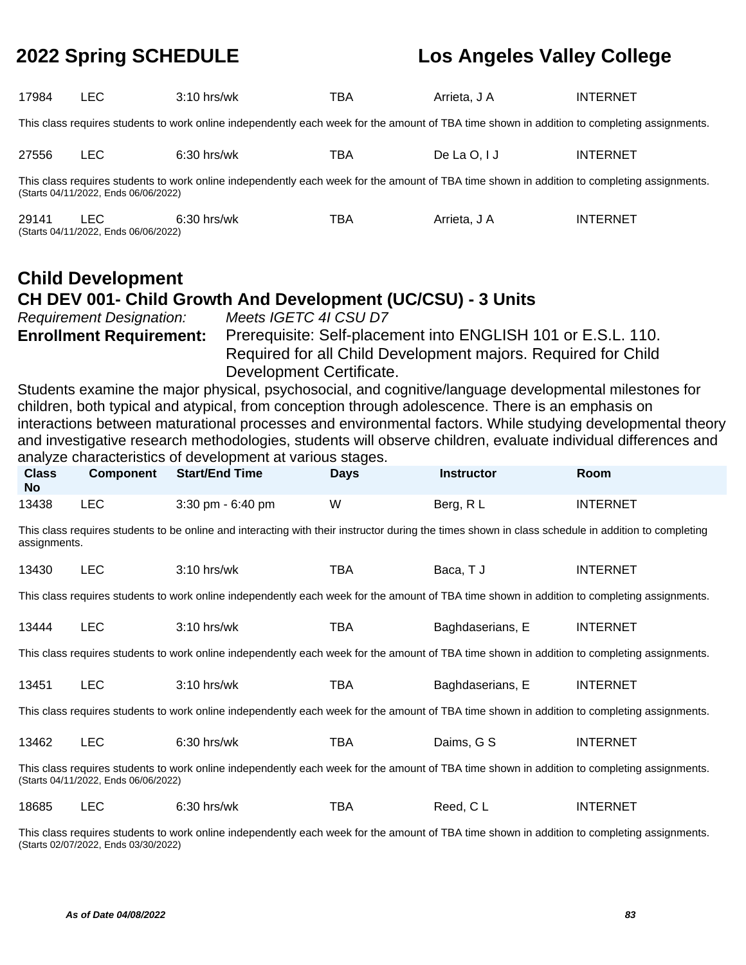| 17984                                                                                                                                                                                                                                                                                                                                                                                                                                                                                                                                                                                                                                                                                                                                                                                            | <b>LEC</b>                                                                                                                                                                          | 3:10 hrs/wk                                                                                                                                 | <b>TBA</b>  | Arrieta, J A      | <b>INTERNET</b> |  |  |  |  |
|--------------------------------------------------------------------------------------------------------------------------------------------------------------------------------------------------------------------------------------------------------------------------------------------------------------------------------------------------------------------------------------------------------------------------------------------------------------------------------------------------------------------------------------------------------------------------------------------------------------------------------------------------------------------------------------------------------------------------------------------------------------------------------------------------|-------------------------------------------------------------------------------------------------------------------------------------------------------------------------------------|---------------------------------------------------------------------------------------------------------------------------------------------|-------------|-------------------|-----------------|--|--|--|--|
| This class requires students to work online independently each week for the amount of TBA time shown in addition to completing assignments.                                                                                                                                                                                                                                                                                                                                                                                                                                                                                                                                                                                                                                                      |                                                                                                                                                                                     |                                                                                                                                             |             |                   |                 |  |  |  |  |
| 27556                                                                                                                                                                                                                                                                                                                                                                                                                                                                                                                                                                                                                                                                                                                                                                                            | <b>LEC</b>                                                                                                                                                                          | 6:30 hrs/wk                                                                                                                                 | <b>TBA</b>  | De La O, I J      | <b>INTERNET</b> |  |  |  |  |
|                                                                                                                                                                                                                                                                                                                                                                                                                                                                                                                                                                                                                                                                                                                                                                                                  | This class requires students to work online independently each week for the amount of TBA time shown in addition to completing assignments.<br>(Starts 04/11/2022, Ends 06/06/2022) |                                                                                                                                             |             |                   |                 |  |  |  |  |
| 29141                                                                                                                                                                                                                                                                                                                                                                                                                                                                                                                                                                                                                                                                                                                                                                                            | <b>LEC</b><br>(Starts 04/11/2022, Ends 06/06/2022)                                                                                                                                  | 6:30 hrs/wk                                                                                                                                 | <b>TBA</b>  | Arrieta, J A      | <b>INTERNET</b> |  |  |  |  |
| <b>Child Development</b><br>CH DEV 001- Child Growth And Development (UC/CSU) - 3 Units<br>Meets IGETC 4I CSU D7<br><b>Requirement Designation:</b><br><b>Enrollment Requirement:</b><br>Prerequisite: Self-placement into ENGLISH 101 or E.S.L. 110.<br>Required for all Child Development majors. Required for Child<br>Development Certificate.<br>Students examine the major physical, psychosocial, and cognitive/language developmental milestones for<br>children, both typical and atypical, from conception through adolescence. There is an emphasis on<br>interactions between maturational processes and environmental factors. While studying developmental theory<br>and investigative research methodologies, students will observe children, evaluate individual differences and |                                                                                                                                                                                     |                                                                                                                                             |             |                   |                 |  |  |  |  |
| <b>Class</b>                                                                                                                                                                                                                                                                                                                                                                                                                                                                                                                                                                                                                                                                                                                                                                                     | <b>Component</b>                                                                                                                                                                    | analyze characteristics of development at various stages.<br><b>Start/End Time</b>                                                          | <b>Days</b> | <b>Instructor</b> | Room            |  |  |  |  |
| <b>No</b>                                                                                                                                                                                                                                                                                                                                                                                                                                                                                                                                                                                                                                                                                                                                                                                        |                                                                                                                                                                                     |                                                                                                                                             |             |                   |                 |  |  |  |  |
| 13438                                                                                                                                                                                                                                                                                                                                                                                                                                                                                                                                                                                                                                                                                                                                                                                            | <b>LEC</b>                                                                                                                                                                          | 3:30 pm - 6:40 pm                                                                                                                           | W           | Berg, RL          | <b>INTERNET</b> |  |  |  |  |
| This class requires students to be online and interacting with their instructor during the times shown in class schedule in addition to completing<br>assignments.                                                                                                                                                                                                                                                                                                                                                                                                                                                                                                                                                                                                                               |                                                                                                                                                                                     |                                                                                                                                             |             |                   |                 |  |  |  |  |
| 13430                                                                                                                                                                                                                                                                                                                                                                                                                                                                                                                                                                                                                                                                                                                                                                                            | <b>LEC</b>                                                                                                                                                                          | $3:10$ hrs/wk                                                                                                                               | <b>TBA</b>  | Baca, TJ          | <b>INTERNET</b> |  |  |  |  |
|                                                                                                                                                                                                                                                                                                                                                                                                                                                                                                                                                                                                                                                                                                                                                                                                  |                                                                                                                                                                                     | This class requires students to work online independently each week for the amount of TBA time shown in addition to completing assignments. |             |                   |                 |  |  |  |  |
| 13444                                                                                                                                                                                                                                                                                                                                                                                                                                                                                                                                                                                                                                                                                                                                                                                            | <b>LEC</b>                                                                                                                                                                          | $3:10$ hrs/wk                                                                                                                               | <b>TBA</b>  | Baghdaserians. E  | <b>INTERNET</b> |  |  |  |  |

This class requires students to work online independently each week for the amount of TBA time shown in addition to completing assignments.

| 13451 | $3:10$ hrs/wk | тва | Baghdaserians, E | <b>INTERNET</b> |
|-------|---------------|-----|------------------|-----------------|
|       |               |     |                  |                 |

This class requires students to work online independently each week for the amount of TBA time shown in addition to completing assignments.

| ______ | 13462 |  | $6:30$ hrs/wk | тва | Daims, G S | INTERNET |
|--------|-------|--|---------------|-----|------------|----------|
|--------|-------|--|---------------|-----|------------|----------|

This class requires students to work online independently each week for the amount of TBA time shown in addition to completing assignments. (Starts 04/11/2022, Ends 06/06/2022)

18685 LEC 6:30 hrs/wk TBA Reed, C L INTERNET

This class requires students to work online independently each week for the amount of TBA time shown in addition to completing assignments. (Starts 02/07/2022, Ends 03/30/2022)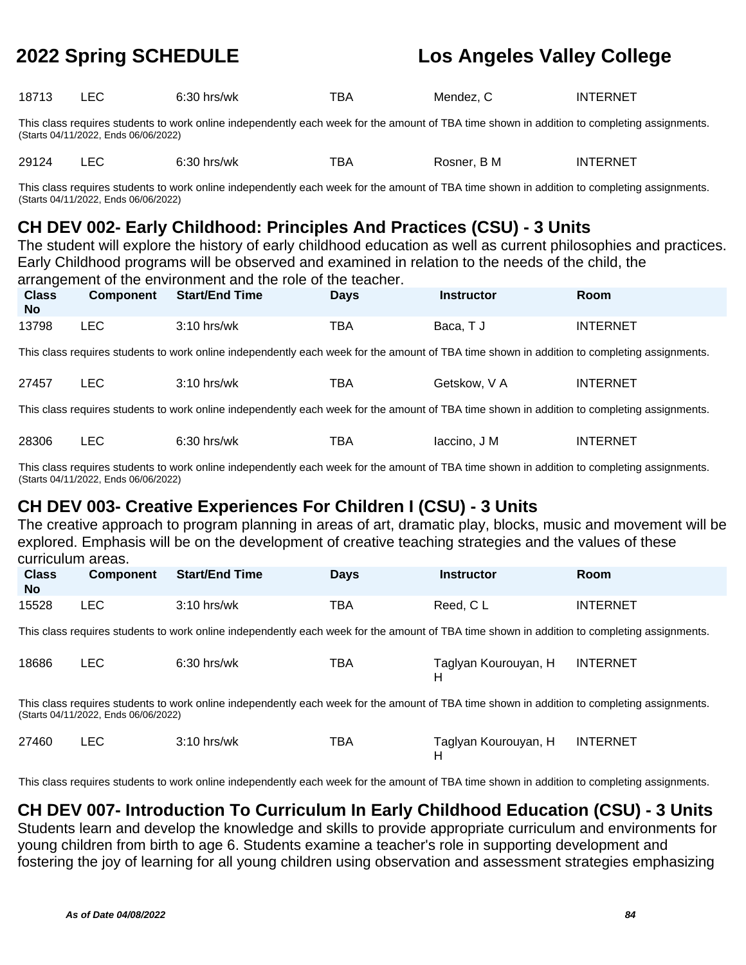| 18713 | ᄂᄂ<br>__ | $\sim$<br>hrs/wk<br>. K.<br>٦١.<br>. | <b>TD</b><br>BA | Mendez | TERNET<br>ΙN |
|-------|----------|--------------------------------------|-----------------|--------|--------------|
|-------|----------|--------------------------------------|-----------------|--------|--------------|

This class requires students to work online independently each week for the amount of TBA time shown in addition to completing assignments. (Starts 04/11/2022, Ends 06/06/2022)

29124 LEC 6:30 hrs/wk TBA Rosner, B M INTERNET

This class requires students to work online independently each week for the amount of TBA time shown in addition to completing assignments. (Starts 04/11/2022, Ends 06/06/2022)

## **CH DEV 002- Early Childhood: Principles And Practices (CSU) - 3 Units**

The student will explore the history of early childhood education as well as current philosophies and practices. Early Childhood programs will be observed and examined in relation to the needs of the child, the arrangement of the environment and the role of the teacher.

|                           |                  | anangunun or the christmannent and the role of the teacher.                                                                                 |             |                   |                 |
|---------------------------|------------------|---------------------------------------------------------------------------------------------------------------------------------------------|-------------|-------------------|-----------------|
| <b>Class</b><br><b>No</b> | <b>Component</b> | <b>Start/End Time</b>                                                                                                                       | <b>Davs</b> | <b>Instructor</b> | <b>Room</b>     |
| 13798                     | LEC.             | $3:10$ hrs/wk                                                                                                                               | TBA         | Baca, T J         | <b>INTERNET</b> |
|                           |                  | This class requires students to work online independently each week for the amount of TBA time shown in addition to completing assignments. |             |                   |                 |
| 27457                     | LEC.             | $3:10$ hrs/wk                                                                                                                               | TBA         | Getskow, V A      | <b>INTERNET</b> |

This class requires students to work online independently each week for the amount of TBA time shown in addition to completing assignments.

| 28306 |  | hrs/wk<br>J.JU<br>_____ | -- -<br>В۶ | . J M<br>laccino.<br>_____ | TERNET<br>INT |
|-------|--|-------------------------|------------|----------------------------|---------------|
|-------|--|-------------------------|------------|----------------------------|---------------|

This class requires students to work online independently each week for the amount of TBA time shown in addition to completing assignments. (Starts 04/11/2022, Ends 06/06/2022)

### **CH DEV 003- Creative Experiences For Children I (CSU) - 3 Units**

The creative approach to program planning in areas of art, dramatic play, blocks, music and movement will be explored. Emphasis will be on the development of creative teaching strategies and the values of these curriculum areas.

| <b>Class</b><br><b>No</b> | <b>Component</b> | <b>Start/End Time</b> | <b>Days</b> | <b>Instructor</b> | <b>Room</b>     |
|---------------------------|------------------|-----------------------|-------------|-------------------|-----------------|
| 15528                     | LEC              | $3:10$ hrs/wk         | TBA         | Reed, C L         | <b>INTERNET</b> |

This class requires students to work online independently each week for the amount of TBA time shown in addition to completing assignments.

| 18686 | <b>LEC</b> | 6:30 hrs/wk | TBA | Taglyan Kourouyan, H | <b>INTERNET</b> |
|-------|------------|-------------|-----|----------------------|-----------------|
|       |            |             |     |                      |                 |

This class requires students to work online independently each week for the amount of TBA time shown in addition to completing assignments. (Starts 04/11/2022, Ends 06/06/2022)

| 27460 | $3:10$ hrs/wk | TBA | Taglyan Kourouyan, H | <b>INTERNET</b> |
|-------|---------------|-----|----------------------|-----------------|
|       |               |     |                      |                 |

This class requires students to work online independently each week for the amount of TBA time shown in addition to completing assignments.

## **CH DEV 007- Introduction To Curriculum In Early Childhood Education (CSU) - 3 Units**

Students learn and develop the knowledge and skills to provide appropriate curriculum and environments for young children from birth to age 6. Students examine a teacher's role in supporting development and fostering the joy of learning for all young children using observation and assessment strategies emphasizing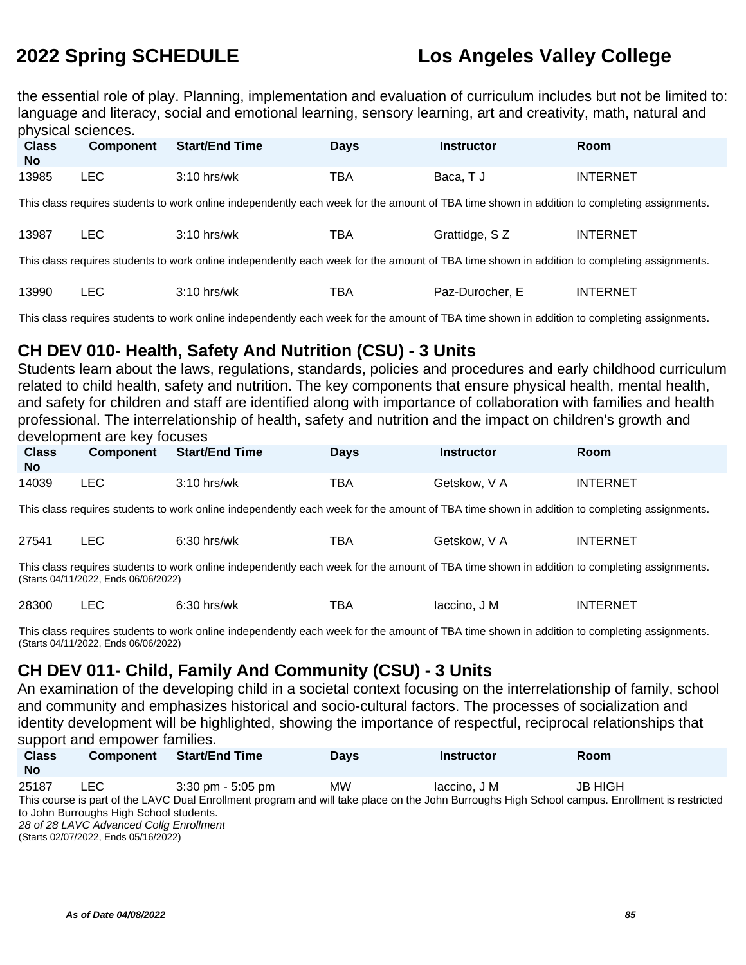the essential role of play. Planning, implementation and evaluation of curriculum includes but not be limited to: language and literacy, social and emotional learning, sensory learning, art and creativity, math, natural and physical sciences.

| <b>Class</b><br><b>No</b>                                                                                                                   | <b>Component</b> | <b>Start/End Time</b>                                                                                                                       | <b>Days</b> | <b>Instructor</b> | <b>Room</b>     |  |
|---------------------------------------------------------------------------------------------------------------------------------------------|------------------|---------------------------------------------------------------------------------------------------------------------------------------------|-------------|-------------------|-----------------|--|
| 13985                                                                                                                                       | <b>LEC</b>       | $3:10$ hrs/wk                                                                                                                               | TBA         | Baca, T J         | <b>INTERNET</b> |  |
|                                                                                                                                             |                  | This class requires students to work online independently each week for the amount of TBA time shown in addition to completing assignments. |             |                   |                 |  |
| 13987                                                                                                                                       | LEC.             | $3:10$ hrs/wk                                                                                                                               | TBA         | Grattidge, SZ     | <b>INTERNET</b> |  |
| This class requires students to work online independently each week for the amount of TBA time shown in addition to completing assignments. |                  |                                                                                                                                             |             |                   |                 |  |

| 13990 | <sup>3</sup> :10 .<br>hrs/wk | $  -$<br>BA | Paz-L<br>Durocher. | INTERNE <sup>-</sup> |
|-------|------------------------------|-------------|--------------------|----------------------|
|       |                              |             |                    |                      |

This class requires students to work online independently each week for the amount of TBA time shown in addition to completing assignments.

## **CH DEV 010- Health, Safety And Nutrition (CSU) - 3 Units**

Students learn about the laws, regulations, standards, policies and procedures and early childhood curriculum related to child health, safety and nutrition. The key components that ensure physical health, mental health, and safety for children and staff are identified along with importance of collaboration with families and health professional. The interrelationship of health, safety and nutrition and the impact on children's growth and development are key focuses

| <b>Class</b><br><b>No</b> | <b>Component</b> | Start/End Time | <b>Days</b> | <b>Instructor</b> | <b>Room</b>     |
|---------------------------|------------------|----------------|-------------|-------------------|-----------------|
| 14039                     | LEC.             | $3:10$ hrs/wk  | TBA         | Getskow, V A      | <b>INTERNET</b> |

This class requires students to work online independently each week for the amount of TBA time shown in addition to completing assignments.

| 27541<br>тва<br>$6:30$ hrs/wk<br>Getskow, V A | INTERNET |
|-----------------------------------------------|----------|
|-----------------------------------------------|----------|

This class requires students to work online independently each week for the amount of TBA time shown in addition to completing assignments. (Starts 04/11/2022, Ends 06/06/2022)

| 28300 |  | 6:30 hrs/wk | ™ВА | Iaccino. J M<br>. | <b>INTERNET</b> |
|-------|--|-------------|-----|-------------------|-----------------|
|-------|--|-------------|-----|-------------------|-----------------|

This class requires students to work online independently each week for the amount of TBA time shown in addition to completing assignments. (Starts 04/11/2022, Ends 06/06/2022)

## **CH DEV 011- Child, Family And Community (CSU) - 3 Units**

An examination of the developing child in a societal context focusing on the interrelationship of family, school and community and emphasizes historical and socio-cultural factors. The processes of socialization and identity development will be highlighted, showing the importance of respectful, reciprocal relationships that support and empower families.

| <b>Class</b><br><b>No</b> | <b>Component</b>                              | <b>Start/End Time</b>               | <b>Days</b> | <b>Instructor</b>                                                                                                                              | Room    |  |
|---------------------------|-----------------------------------------------|-------------------------------------|-------------|------------------------------------------------------------------------------------------------------------------------------------------------|---------|--|
| 25187                     | LEC.                                          | $3:30 \text{ pm} - 5:05 \text{ pm}$ | <b>MW</b>   | laccino. J M                                                                                                                                   | JB HIGH |  |
|                           |                                               |                                     |             | This course is part of the LAVC Dual Enrollment program and will take place on the John Burroughs High School campus. Enrollment is restricted |         |  |
|                           | to John Burroughs High School students.       |                                     |             |                                                                                                                                                |         |  |
|                           | 28 of 28 LAVC Advanced Collg Enrollment       |                                     |             |                                                                                                                                                |         |  |
|                           | $(0.1 - 0.0107)(0.000 - 0.1 - 0.0140)(0.000)$ |                                     |             |                                                                                                                                                |         |  |

(Starts 02/07/2022, Ends 05/16/2022)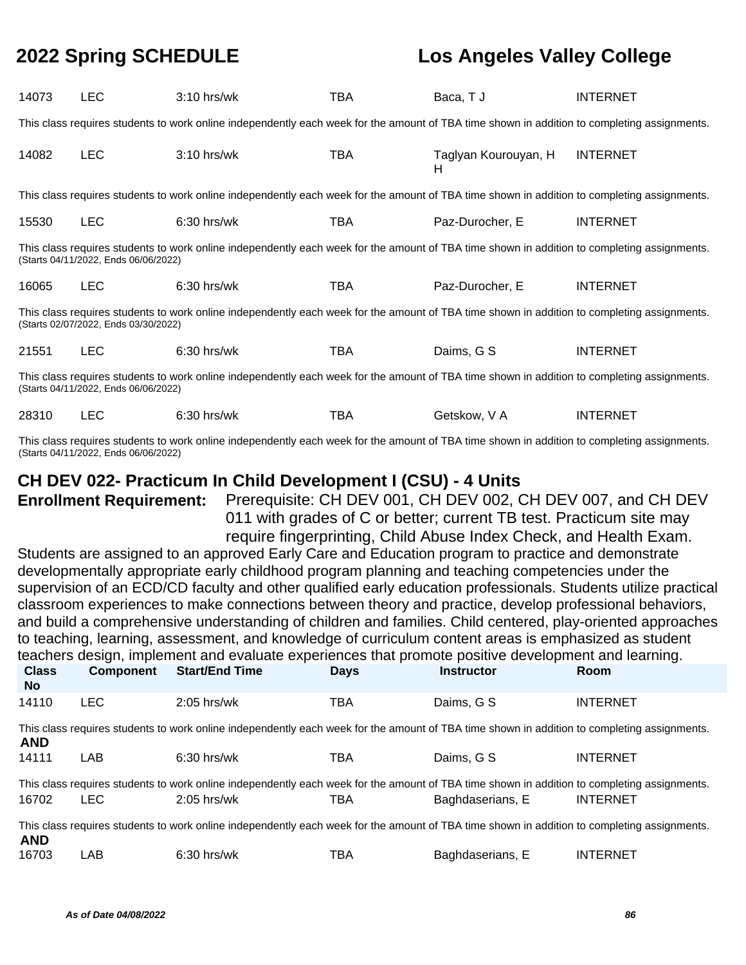| 14073                                                                                                                                                                               | <b>LEC</b>                           | $3:10$ hrs/wk                                                                                                                               | TBA | Baca, TJ                  | <b>INTERNET</b> |  |
|-------------------------------------------------------------------------------------------------------------------------------------------------------------------------------------|--------------------------------------|---------------------------------------------------------------------------------------------------------------------------------------------|-----|---------------------------|-----------------|--|
|                                                                                                                                                                                     |                                      | This class requires students to work online independently each week for the amount of TBA time shown in addition to completing assignments. |     |                           |                 |  |
| 14082                                                                                                                                                                               | <b>LEC</b>                           | $3:10$ hrs/wk                                                                                                                               | TBA | Taglyan Kourouyan, H<br>н | <b>INTERNET</b> |  |
|                                                                                                                                                                                     |                                      | This class requires students to work online independently each week for the amount of TBA time shown in addition to completing assignments. |     |                           |                 |  |
| 15530                                                                                                                                                                               | <b>LEC</b>                           | 6:30 hrs/wk                                                                                                                                 | TBA | Paz-Durocher, E           | <b>INTERNET</b> |  |
|                                                                                                                                                                                     | (Starts 04/11/2022, Ends 06/06/2022) | This class requires students to work online independently each week for the amount of TBA time shown in addition to completing assignments. |     |                           |                 |  |
| 16065                                                                                                                                                                               | <b>LEC</b>                           | $6:30$ hrs/wk                                                                                                                               | TBA | Paz-Durocher, E           | <b>INTERNET</b> |  |
|                                                                                                                                                                                     | (Starts 02/07/2022, Ends 03/30/2022) | This class requires students to work online independently each week for the amount of TBA time shown in addition to completing assignments. |     |                           |                 |  |
| 21551                                                                                                                                                                               | <b>LEC</b>                           | $6:30$ hrs/wk                                                                                                                               | TBA | Daims, G S                | <b>INTERNET</b> |  |
| This class requires students to work online independently each week for the amount of TBA time shown in addition to completing assignments.<br>(Starts 04/11/2022, Ends 06/06/2022) |                                      |                                                                                                                                             |     |                           |                 |  |
| 28310                                                                                                                                                                               | <b>LEC</b>                           | $6:30$ hrs/wk                                                                                                                               | TBA | Getskow, V A              | <b>INTERNET</b> |  |

This class requires students to work online independently each week for the amount of TBA time shown in addition to completing assignments. (Starts 04/11/2022, Ends 06/06/2022)

### **CH DEV 022- Practicum In Child Development I (CSU) - 4 Units**

**Enrollment Requirement:** Prerequisite: CH DEV 001, CH DEV 002, CH DEV 007, and CH DEV 011 with grades of C or better; current TB test. Practicum site may require fingerprinting, Child Abuse Index Check, and Health Exam.

Students are assigned to an approved Early Care and Education program to practice and demonstrate developmentally appropriate early childhood program planning and teaching competencies under the supervision of an ECD/CD faculty and other qualified early education professionals. Students utilize practical classroom experiences to make connections between theory and practice, develop professional behaviors, and build a comprehensive understanding of children and families. Child centered, play-oriented approaches to teaching, learning, assessment, and knowledge of curriculum content areas is emphasized as student teachers design, implement and evaluate experiences that promote positive development and learning.

| <b>Class</b><br>No.                                                                                                                         | <b>Component</b>                                                                                                                            | <b>Start/End Time</b>                                                                                                                       | <b>Days</b> | <b>Instructor</b> | <b>Room</b>     |  |  |  |
|---------------------------------------------------------------------------------------------------------------------------------------------|---------------------------------------------------------------------------------------------------------------------------------------------|---------------------------------------------------------------------------------------------------------------------------------------------|-------------|-------------------|-----------------|--|--|--|
| 14110                                                                                                                                       | LEC                                                                                                                                         | $2:05$ hrs/wk                                                                                                                               | TBA         | Daims, G S        | <b>INTERNET</b> |  |  |  |
| <b>AND</b>                                                                                                                                  | This class requires students to work online independently each week for the amount of TBA time shown in addition to completing assignments. |                                                                                                                                             |             |                   |                 |  |  |  |
| 14111                                                                                                                                       | LAB                                                                                                                                         | $6:30$ hrs/wk                                                                                                                               | TBA         | Daims, G S        | <b>INTERNET</b> |  |  |  |
|                                                                                                                                             |                                                                                                                                             | This class requires students to work online independently each week for the amount of TBA time shown in addition to completing assignments. |             |                   |                 |  |  |  |
| 16702                                                                                                                                       | LEC.                                                                                                                                        | $2:05$ hrs/wk                                                                                                                               | TBA         | Baghdaserians, E  | <b>INTERNET</b> |  |  |  |
| This class requires students to work online independently each week for the amount of TBA time shown in addition to completing assignments. |                                                                                                                                             |                                                                                                                                             |             |                   |                 |  |  |  |

16703 LAB 6:30 hrs/wk TBA Baghdaserians, E INTERNET

**AND**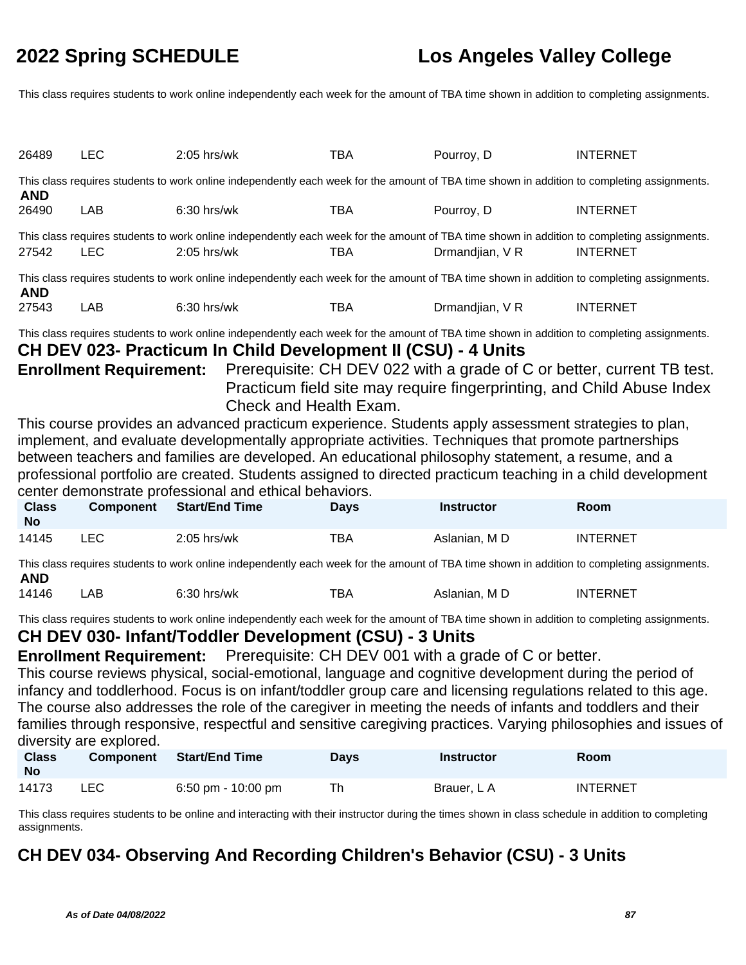This class requires students to work online independently each week for the amount of TBA time shown in addition to completing assignments.

| 26489                                                                                                                                                     | LEC        | $2:05$ hrs/wk                                                                                                                                                | TBA | Pourroy, D      | <b>INTERNET</b> |  |
|-----------------------------------------------------------------------------------------------------------------------------------------------------------|------------|--------------------------------------------------------------------------------------------------------------------------------------------------------------|-----|-----------------|-----------------|--|
| <b>AND</b>                                                                                                                                                |            | This class requires students to work online independently each week for the amount of TBA time shown in addition to completing assignments.                  |     |                 |                 |  |
| 26490                                                                                                                                                     | LAB        | $6:30$ hrs/wk                                                                                                                                                | TBA | Pourroy, D      | <b>INTERNET</b> |  |
| 27542                                                                                                                                                     | <b>LEC</b> | This class requires students to work online independently each week for the amount of TBA time shown in addition to completing assignments.<br>$2:05$ hrs/wk | TBA | Drmandjian, V R | <b>INTERNET</b> |  |
| This class requires students to work online independently each week for the amount of TBA time shown in addition to completing assignments.<br><b>AND</b> |            |                                                                                                                                                              |     |                 |                 |  |
| 27543                                                                                                                                                     | <b>LAB</b> | $6:30$ hrs/wk                                                                                                                                                | TBA | Drmandjian, V R | <b>INTERNET</b> |  |

This class requires students to work online independently each week for the amount of TBA time shown in addition to completing assignments.

### **CH DEV 023- Practicum In Child Development II (CSU) - 4 Units**

**Enrollment Requirement:** Prerequisite: CH DEV 022 with a grade of C or better, current TB test. Practicum field site may require fingerprinting, and Child Abuse Index Check and Health Exam.

This course provides an advanced practicum experience. Students apply assessment strategies to plan, implement, and evaluate developmentally appropriate activities. Techniques that promote partnerships between teachers and families are developed. An educational philosophy statement, a resume, and a professional portfolio are created. Students assigned to directed practicum teaching in a child development center demonstrate professional and ethical behaviors.

| <b>Class</b><br>No | <b>Component</b> | <b>Start/End Time</b> | <b>Davs</b> | <b>Instructor</b> | <b>Room</b>     |
|--------------------|------------------|-----------------------|-------------|-------------------|-----------------|
| 14145              | LEC.             | $2:05$ hrs/wk         | ТВА         | Aslanian. M D     | <b>INTERNET</b> |

This class requires students to work online independently each week for the amount of TBA time shown in addition to completing assignments. **AND**

| 14146 | LAB . | $6:30$ hrs/wk | тва | Aslanian. M D | <b>INTERNET</b> |
|-------|-------|---------------|-----|---------------|-----------------|
|-------|-------|---------------|-----|---------------|-----------------|

This class requires students to work online independently each week for the amount of TBA time shown in addition to completing assignments.

### **CH DEV 030- Infant/Toddler Development (CSU) - 3 Units**

**Enrollment Requirement:** Prerequisite: CH DEV 001 with a grade of C or better.

This course reviews physical, social-emotional, language and cognitive development during the period of infancy and toddlerhood. Focus is on infant/toddler group care and licensing regulations related to this age. The course also addresses the role of the caregiver in meeting the needs of infants and toddlers and their families through responsive, respectful and sensitive caregiving practices. Varying philosophies and issues of diversity are explored.

| <b>Class</b><br><b>No</b> | Component | <b>Start/End Time</b> | <b>Days</b> | <b>Instructor</b> | Room            |
|---------------------------|-----------|-----------------------|-------------|-------------------|-----------------|
| 14173                     | LEC.      | 6:50 pm - 10:00 pm    | Th          | Brauer, L A       | <b>INTERNET</b> |

This class requires students to be online and interacting with their instructor during the times shown in class schedule in addition to completing assignments.

## **CH DEV 034- Observing And Recording Children's Behavior (CSU) - 3 Units**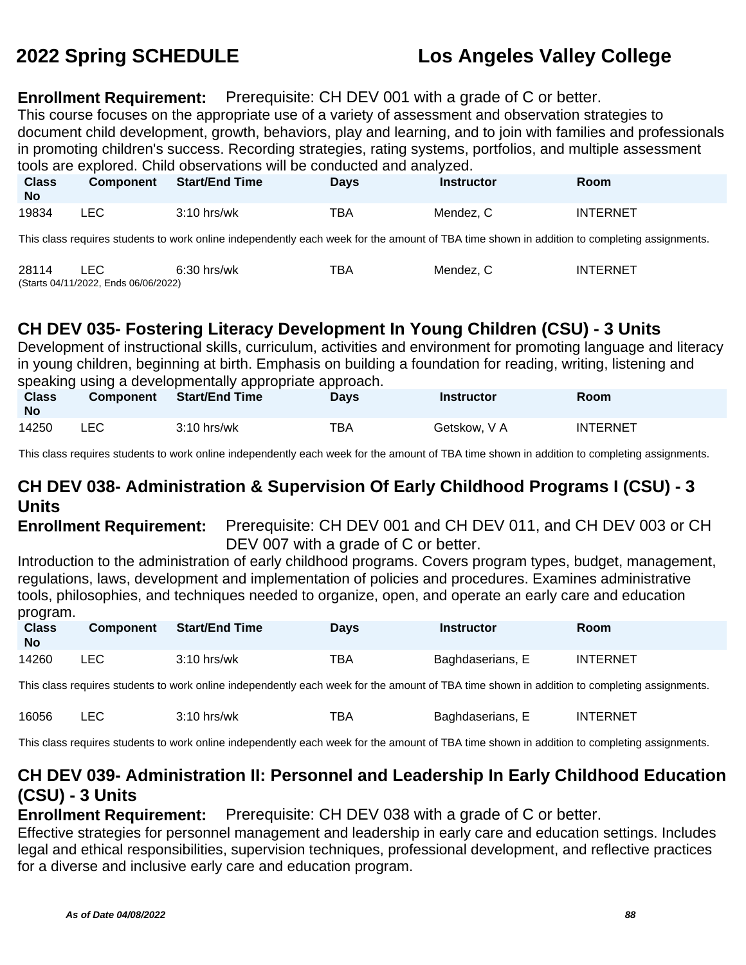### **Enrollment Requirement:** Prerequisite: CH DEV 001 with a grade of C or better.

This course focuses on the appropriate use of a variety of assessment and observation strategies to document child development, growth, behaviors, play and learning, and to join with families and professionals in promoting children's success. Recording strategies, rating systems, portfolios, and multiple assessment tools are explored. Child observations will be conducted and analyzed.

| <b>Class</b><br>No | <b>Component</b> | <b>Start/End Time</b> | Days | <b>Instructor</b> | Room            |
|--------------------|------------------|-----------------------|------|-------------------|-----------------|
| 19834              | LEC              | $3:10$ hrs/wk         | TBA  | Mendez, C         | <b>INTERNET</b> |

This class requires students to work online independently each week for the amount of TBA time shown in addition to completing assignments.

| 28114 |                                      | $6:30$ hrs/wk | ™ВА | Mendez. C | <b>INTERNET</b> |
|-------|--------------------------------------|---------------|-----|-----------|-----------------|
|       | (Starts 04/11/2022, Ends 06/06/2022) |               |     |           |                 |

## **CH DEV 035- Fostering Literacy Development In Young Children (CSU) - 3 Units**

Development of instructional skills, curriculum, activities and environment for promoting language and literacy in young children, beginning at birth. Emphasis on building a foundation for reading, writing, listening and speaking using a developmentally appropriate approach.

| <b>Class</b><br><b>No</b> | <b>Component</b> | <b>Start/End Time</b> | Davs | Instructor   | Room            |
|---------------------------|------------------|-----------------------|------|--------------|-----------------|
| 14250                     | LEC              | $3:10$ hrs/wk         | TBA  | Getskow, V A | <b>INTERNET</b> |

This class requires students to work online independently each week for the amount of TBA time shown in addition to completing assignments.

## **CH DEV 038- Administration & Supervision Of Early Childhood Programs I (CSU) - 3 Units**

**Enrollment Requirement:** Prerequisite: CH DEV 001 and CH DEV 011, and CH DEV 003 or CH DEV 007 with a grade of C or better.

Introduction to the administration of early childhood programs. Covers program types, budget, management, regulations, laws, development and implementation of policies and procedures. Examines administrative tools, philosophies, and techniques needed to organize, open, and operate an early care and education program.

| <b>Class</b><br><b>No</b> | <b>Component</b> | <b>Start/End Time</b> | <b>Davs</b> | <b>Instructor</b> | <b>Room</b>     |
|---------------------------|------------------|-----------------------|-------------|-------------------|-----------------|
| 14260                     | LEC              | $3:10$ hrs/wk         | ТВА         | Baghdaserians, E  | <b>INTERNET</b> |

This class requires students to work online independently each week for the amount of TBA time shown in addition to completing assignments.

| 16056 |  | $3:10$ hrs/wk | тва | Baghdaserians. E | <b>INTERNET</b> |
|-------|--|---------------|-----|------------------|-----------------|
|-------|--|---------------|-----|------------------|-----------------|

This class requires students to work online independently each week for the amount of TBA time shown in addition to completing assignments.

### **CH DEV 039- Administration II: Personnel and Leadership In Early Childhood Education (CSU) - 3 Units**

### **Enrollment Requirement:** Prerequisite: CH DEV 038 with a grade of C or better.

Effective strategies for personnel management and leadership in early care and education settings. Includes legal and ethical responsibilities, supervision techniques, professional development, and reflective practices for a diverse and inclusive early care and education program.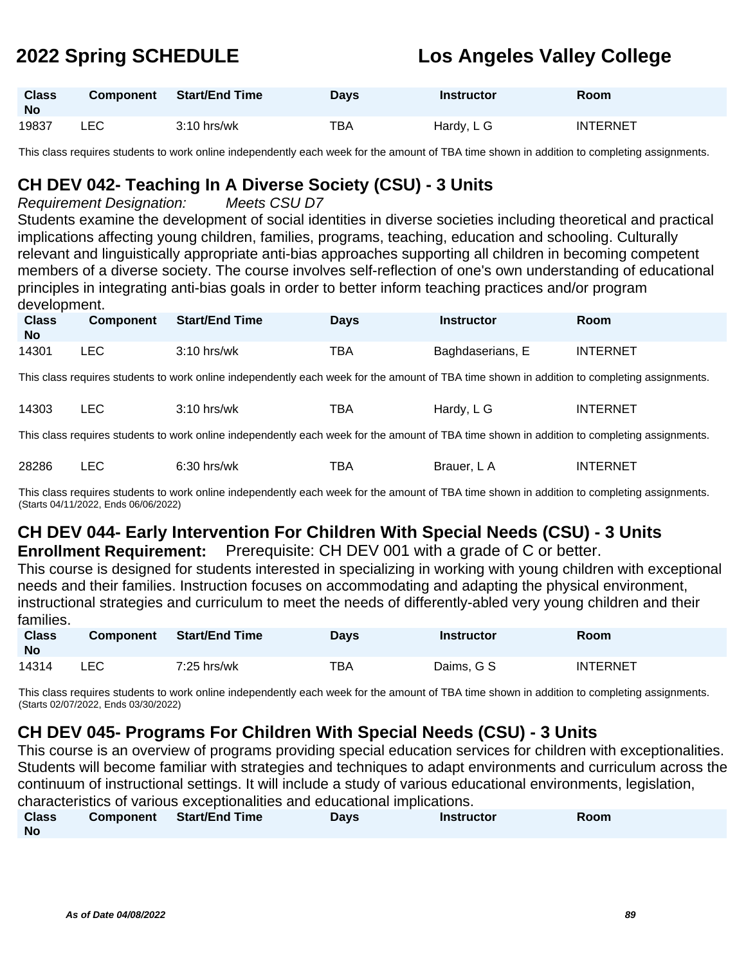| <b>Class</b><br><b>No</b> | <b>Component</b> | Start/End Time | Days | Instructor | <b>Room</b>     |
|---------------------------|------------------|----------------|------|------------|-----------------|
| 19837                     | LEC              | $3:10$ hrs/wk  | TBA  | Hardy, L G | <b>INTERNET</b> |

This class requires students to work online independently each week for the amount of TBA time shown in addition to completing assignments.

## **CH DEV 042- Teaching In A Diverse Society (CSU) - 3 Units**

### Requirement Designation: Meets CSU D7

Students examine the development of social identities in diverse societies including theoretical and practical implications affecting young children, families, programs, teaching, education and schooling. Culturally relevant and linguistically appropriate anti-bias approaches supporting all children in becoming competent members of a diverse society. The course involves self-reflection of one's own understanding of educational principles in integrating anti-bias goals in order to better inform teaching practices and/or program development.

| <b>Class</b><br>No | <b>Component</b> | Start/End Time | Days | Instructor       | <b>Room</b>     |
|--------------------|------------------|----------------|------|------------------|-----------------|
| 14301              | _EC_             | $3:10$ hrs/wk  | TBA  | Baghdaserians, E | <b>INTERNET</b> |

This class requires students to work online independently each week for the amount of TBA time shown in addition to completing assignments.

| 14303 | ᄂᄂ | ?:10 hrs/wk | ТВА | Hardv.<br>ᄓᅴ<br>___ | <b>INTERNET</b> |
|-------|----|-------------|-----|---------------------|-----------------|
|-------|----|-------------|-----|---------------------|-----------------|

This class requires students to work online independently each week for the amount of TBA time shown in addition to completing assignments.

| 28286 | $6:30$ hrs/wk | TBA | Brauer. L A | INTERNET |
|-------|---------------|-----|-------------|----------|
|       |               |     |             |          |

This class requires students to work online independently each week for the amount of TBA time shown in addition to completing assignments. (Starts 04/11/2022, Ends 06/06/2022)

# **CH DEV 044- Early Intervention For Children With Special Needs (CSU) - 3 Units**

**Enrollment Requirement:** Prerequisite: CH DEV 001 with a grade of C or better.

This course is designed for students interested in specializing in working with young children with exceptional needs and their families. Instruction focuses on accommodating and adapting the physical environment, instructional strategies and curriculum to meet the needs of differently-abled very young children and their families.

| <b>Class</b><br><b>No</b> | <b>Component</b> | Start/End Time | <b>Days</b> | Instructor | Room            |
|---------------------------|------------------|----------------|-------------|------------|-----------------|
| 14314                     | LEC              | 7:25 hrs/wk    | TBA         | Daims, G S | <b>INTERNET</b> |

This class requires students to work online independently each week for the amount of TBA time shown in addition to completing assignments. (Starts 02/07/2022, Ends 03/30/2022)

## **CH DEV 045- Programs For Children With Special Needs (CSU) - 3 Units**

This course is an overview of programs providing special education services for children with exceptionalities. Students will become familiar with strategies and techniques to adapt environments and curriculum across the continuum of instructional settings. It will include a study of various educational environments, legislation, characteristics of various exceptionalities and educational implications.

| <b>Class</b> | Component Start/End Time | Days | <b>Instructor</b> | Room |
|--------------|--------------------------|------|-------------------|------|
| <b>No</b>    |                          |      |                   |      |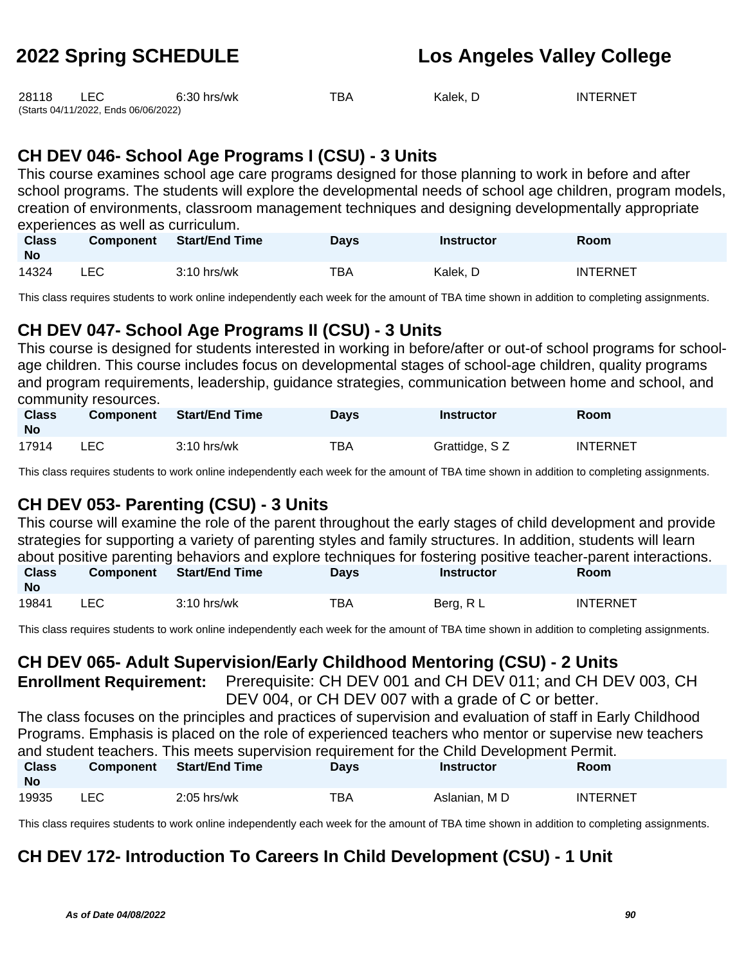| 28118 | LEC                                  | 6:30 hrs/wk | TBA | Kalek. D | <b>INTERNET</b> |
|-------|--------------------------------------|-------------|-----|----------|-----------------|
|       | (Starts 04/11/2022, Ends 06/06/2022) |             |     |          |                 |

## **CH DEV 046- School Age Programs I (CSU) - 3 Units**

This course examines school age care programs designed for those planning to work in before and after school programs. The students will explore the developmental needs of school age children, program models, creation of environments, classroom management techniques and designing developmentally appropriate experiences as well as curriculum.

| <b>Class</b><br><b>No</b> | <b>Component</b> | <b>Start/End Time</b> | Days | Instructor | Room            |
|---------------------------|------------------|-----------------------|------|------------|-----------------|
| 14324                     | ∟EC              | $3:10$ hrs/wk         | тва  | Kalek, D   | <b>INTERNET</b> |

This class requires students to work online independently each week for the amount of TBA time shown in addition to completing assignments.

## **CH DEV 047- School Age Programs II (CSU) - 3 Units**

This course is designed for students interested in working in before/after or out-of school programs for schoolage children. This course includes focus on developmental stages of school-age children, quality programs and program requirements, leadership, guidance strategies, communication between home and school, and community resources.

| <b>Class</b><br><b>No</b> | <b>Component</b> | <b>Start/End Time</b> | <b>Days</b> | <b>Instructor</b> | <b>Room</b>     |
|---------------------------|------------------|-----------------------|-------------|-------------------|-----------------|
| 17914                     | LEC.             | $3:10$ hrs/wk         | TBA         | Grattidge, SZ     | <b>INTERNET</b> |

This class requires students to work online independently each week for the amount of TBA time shown in addition to completing assignments.

## **CH DEV 053- Parenting (CSU) - 3 Units**

This course will examine the role of the parent throughout the early stages of child development and provide strategies for supporting a variety of parenting styles and family structures. In addition, students will learn about positive parenting behaviors and explore techniques for fostering positive teacher-parent interactions. **Class Component Start/End Time Days Instructor Room**

| $\cdot$ |                 |               |           |      |              |
|---------|-----------------|---------------|-----------|------|--------------|
| 19841   | r c<br>-<br>___ | hrs/wk<br>1 U | ___<br>ΒА | 3era | INTE<br>FRNF |

This class requires students to work online independently each week for the amount of TBA time shown in addition to completing assignments.

## **CH DEV 065- Adult Supervision/Early Childhood Mentoring (CSU) - 2 Units**

**Enrollment Requirement:** Prerequisite: CH DEV 001 and CH DEV 011; and CH DEV 003, CH DEV 004, or CH DEV 007 with a grade of C or better.

The class focuses on the principles and practices of supervision and evaluation of staff in Early Childhood Programs. Emphasis is placed on the role of experienced teachers who mentor or supervise new teachers and student teachers. This meets supervision requirement for the Child Development Permit.

| <b>Class</b><br><b>No</b> | <b>Component</b> | Start/End Time | <b>Days</b> | <b>Instructor</b> | Room            |
|---------------------------|------------------|----------------|-------------|-------------------|-----------------|
| 19935                     | ∟EC.             | $2:05$ hrs/wk  | TBA         | Aslanian. M D     | <b>INTERNET</b> |

This class requires students to work online independently each week for the amount of TBA time shown in addition to completing assignments.

## **CH DEV 172- Introduction To Careers In Child Development (CSU) - 1 Unit**

**No**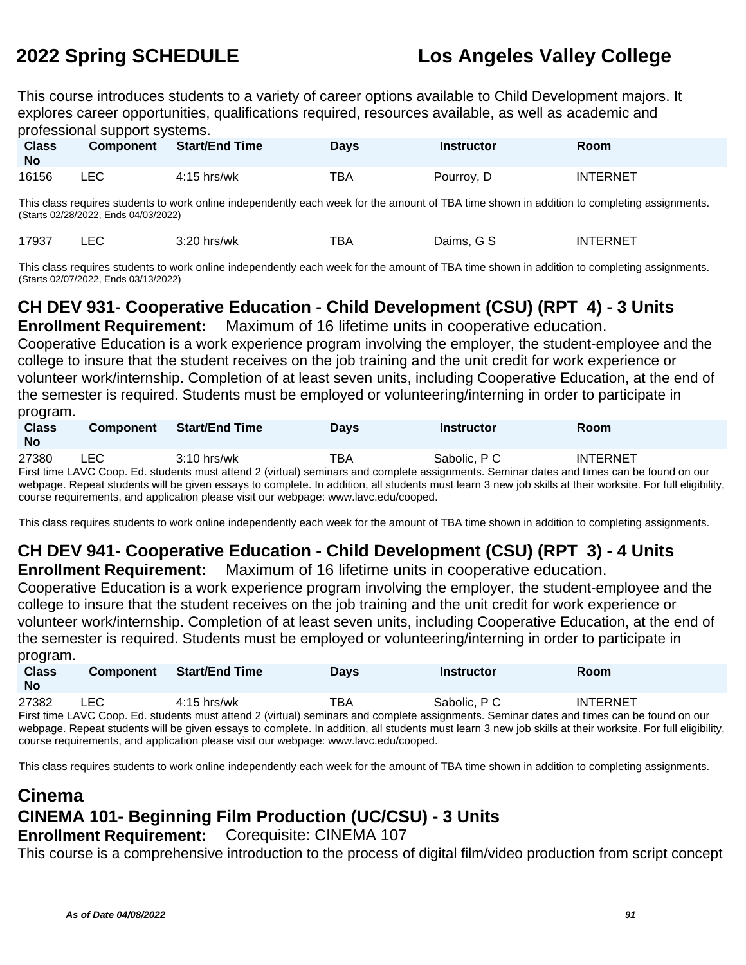This course introduces students to a variety of career options available to Child Development majors. It explores career opportunities, qualifications required, resources available, as well as academic and professional support systems.

| <b>Class</b><br><b>No</b> | <b>Component</b> | Start/End Time | <b>Days</b> | Instructor | <b>Room</b>     |
|---------------------------|------------------|----------------|-------------|------------|-----------------|
| 16156                     | LEC.             | $4:15$ hrs/wk  | TBA         | Pourroy, D | <b>INTERNET</b> |

This class requires students to work online independently each week for the amount of TBA time shown in addition to completing assignments. (Starts 02/28/2022, Ends 04/03/2022)

| ᄕ | 17937 |  | 3:20 hrs/wk | тва | Daims. G S | <b>INTERNET</b> |
|---|-------|--|-------------|-----|------------|-----------------|
|---|-------|--|-------------|-----|------------|-----------------|

This class requires students to work online independently each week for the amount of TBA time shown in addition to completing assignments. (Starts 02/07/2022, Ends 03/13/2022)

## **CH DEV 931- Cooperative Education - Child Development (CSU) (RPT 4) - 3 Units**

**Enrollment Requirement:** Maximum of 16 lifetime units in cooperative education.

Cooperative Education is a work experience program involving the employer, the student-employee and the college to insure that the student receives on the job training and the unit credit for work experience or volunteer work/internship. Completion of at least seven units, including Cooperative Education, at the end of the semester is required. Students must be employed or volunteering/interning in order to participate in program.

| <b>Class</b><br><b>No</b> | <b>Component</b> | <b>Start/End Time</b> | Davs | Instructor   | Room                                                                                                                                    |  |
|---------------------------|------------------|-----------------------|------|--------------|-----------------------------------------------------------------------------------------------------------------------------------------|--|
| 27380                     | LEC              | $3:10$ hrs/wk         | ТВА  | Sabolic, P C | <b>INTERNET</b>                                                                                                                         |  |
|                           |                  |                       |      |              | First time LAVC Coop Edistudents must attend 2 (virtual) seminars and complete assignments. Seminar dates and times can be found on our |  |

First time LAVC Coop. Ed. students must attend 2 (virtual) seminars and complete assignments. Seminar dates and times can be found on our webpage. Repeat students will be given essays to complete. In addition, all students must learn 3 new job skills at their worksite. For full eligibility, course requirements, and application please visit our webpage: www.lavc.edu/cooped.

This class requires students to work online independently each week for the amount of TBA time shown in addition to completing assignments.

# **CH DEV 941- Cooperative Education - Child Development (CSU) (RPT 3) - 4 Units**

**Enrollment Requirement:** Maximum of 16 lifetime units in cooperative education. Cooperative Education is a work experience program involving the employer, the student-employee and the college to insure that the student receives on the job training and the unit credit for work experience or volunteer work/internship. Completion of at least seven units, including Cooperative Education, at the end of the semester is required. Students must be employed or volunteering/interning in order to participate in program

| P                         |                  |                       |             |                   |                                                                                                                                                           |  |
|---------------------------|------------------|-----------------------|-------------|-------------------|-----------------------------------------------------------------------------------------------------------------------------------------------------------|--|
| <b>Class</b><br><b>No</b> | <b>Component</b> | <b>Start/End Time</b> | <b>Davs</b> | <b>Instructor</b> | <b>Room</b>                                                                                                                                               |  |
| 27382                     | LEC.             | 4:15 hrs/wk           | TBA         | Sabolic, P.C.     | <b>INTERNET</b>                                                                                                                                           |  |
|                           |                  |                       |             |                   | First time LAVC Coop. Ed. students must attend 2 (virtual) seminars and complete assignments. Seminar dates and times can be found on our                 |  |
|                           |                  |                       |             |                   | webpage. Repeat students will be given essays to complete. In addition, all students must learn 3 new job skills at their worksite. For full eligibility, |  |
|                           |                  |                       |             |                   |                                                                                                                                                           |  |

course requirements, and application please visit our webpage: www.lavc.edu/cooped.

This class requires students to work online independently each week for the amount of TBA time shown in addition to completing assignments.

## **Cinema CINEMA 101- Beginning Film Production (UC/CSU) - 3 Units Enrollment Requirement:** Corequisite: CINEMA 107

This course is a comprehensive introduction to the process of digital film/video production from script concept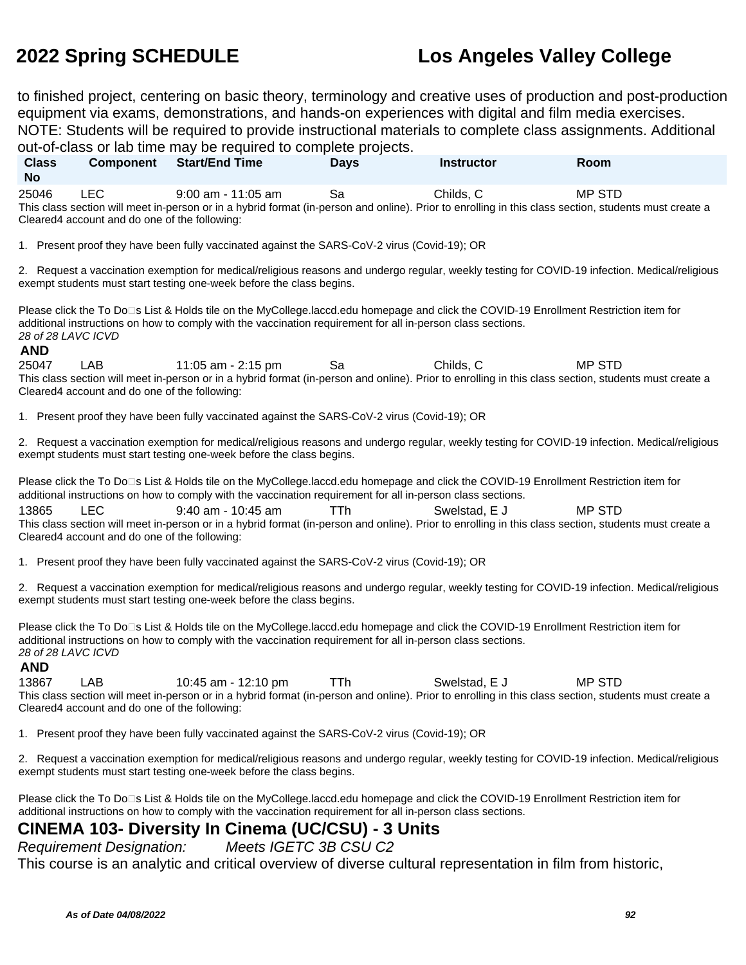to finished project, centering on basic theory, terminology and creative uses of production and post-production equipment via exams, demonstrations, and hands-on experiences with digital and film media exercises. NOTE: Students will be required to provide instructional materials to complete class assignments. Additional out-of-class or lab time may be required to complete projects.

**Class No Component Start/End Time Days Instructor Room** 25046 LEC 9:00 am - 11:05 am Sa Childs, C MP STD This class section will meet in-person or in a hybrid format (in-person and online). Prior to enrolling in this class section, students must create a Cleared4 account and do one of the following: 1. Present proof they have been fully vaccinated against the SARS-CoV-2 virus (Covid-19); OR 2. Request a vaccination exemption for medical/religious reasons and undergo regular, weekly testing for COVID-19 infection. Medical/religious exempt students must start testing one-week before the class begins. Please click the To Do⊡s List & Holds tile on the MyCollege.laccd.edu homepage and click the COVID-19 Enrollment Restriction item for additional instructions on how to comply with the vaccination requirement for all in-person class sections. 28 of 28 LAVC ICVD **AND** 25047 LAB 11:05 am - 2:15 pm Sa Childs, C MP STD This class section will meet in-person or in a hybrid format (in-person and online). Prior to enrolling in this class section, students must create a Cleared4 account and do one of the following: 1. Present proof they have been fully vaccinated against the SARS-CoV-2 virus (Covid-19); OR 2. Request a vaccination exemption for medical/religious reasons and undergo regular, weekly testing for COVID-19 infection. Medical/religious

exempt students must start testing one-week before the class begins.

Please click the To Do<sup>n</sup>s List & Holds tile on the MyCollege.laccd.edu homepage and click the COVID-19 Enrollment Restriction item for additional instructions on how to comply with the vaccination requirement for all in-person class sections.

13865 LEC 9:40 am - 10:45 am TTh Swelstad, E J MP STD This class section will meet in-person or in a hybrid format (in-person and online). Prior to enrolling in this class section, students must create a Cleared4 account and do one of the following:

1. Present proof they have been fully vaccinated against the SARS-CoV-2 virus (Covid-19); OR

2. Request a vaccination exemption for medical/religious reasons and undergo regular, weekly testing for COVID-19 infection. Medical/religious exempt students must start testing one-week before the class begins.

Please click the To Do□s List & Holds tile on the MyCollege.laccd.edu homepage and click the COVID-19 Enrollment Restriction item for additional instructions on how to comply with the vaccination requirement for all in-person class sections. 28 of 28 LAVC ICVD

### **AND**

13867 LAB 10:45 am - 12:10 pm TTh Swelstad, E J MP STD This class section will meet in-person or in a hybrid format (in-person and online). Prior to enrolling in this class section, students must create a Cleared4 account and do one of the following:

1. Present proof they have been fully vaccinated against the SARS-CoV-2 virus (Covid-19); OR

2. Request a vaccination exemption for medical/religious reasons and undergo regular, weekly testing for COVID-19 infection. Medical/religious exempt students must start testing one-week before the class begins.

Please click the To Do<sup>n</sup>s List & Holds tile on the MyCollege.laccd.edu homepage and click the COVID-19 Enrollment Restriction item for additional instructions on how to comply with the vaccination requirement for all in-person class sections.

### **CINEMA 103- Diversity In Cinema (UC/CSU) - 3 Units**

Requirement Designation: Meets IGETC 3B CSU C2

This course is an analytic and critical overview of diverse cultural representation in film from historic,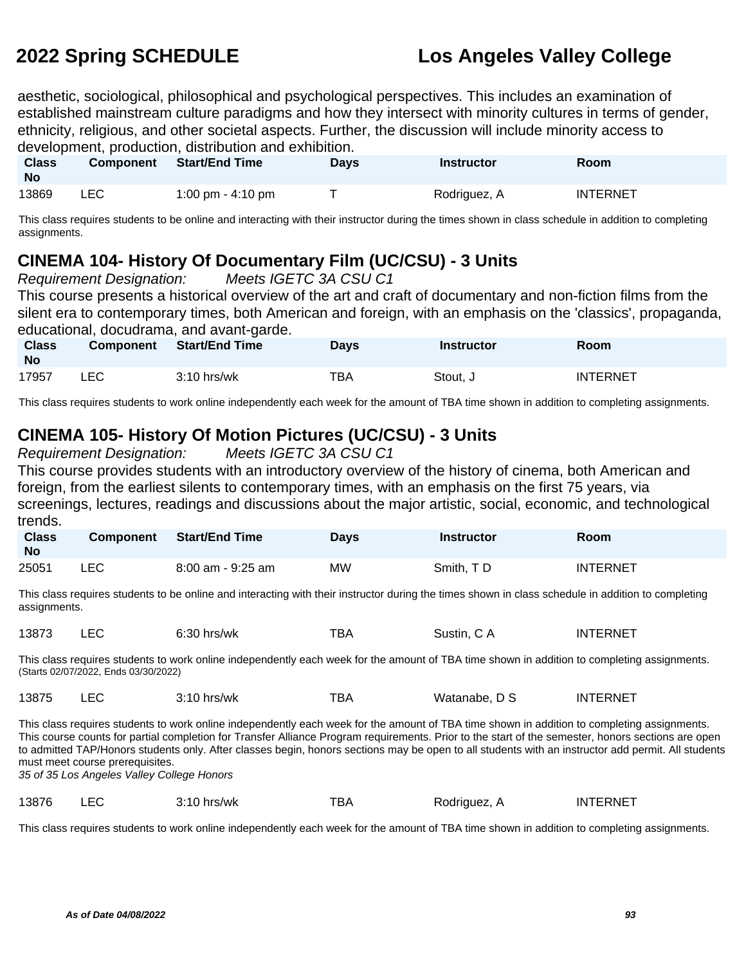aesthetic, sociological, philosophical and psychological perspectives. This includes an examination of established mainstream culture paradigms and how they intersect with minority cultures in terms of gender, ethnicity, religious, and other societal aspects. Further, the discussion will include minority access to development, production, distribution and exhibition.

| <b>Class</b><br><b>No</b> | <b>Component</b> | Start/End Time    | Days | <b>Instructor</b> | <b>Room</b>     |
|---------------------------|------------------|-------------------|------|-------------------|-----------------|
| 13869                     | LEC.             | 1:00 pm - 4:10 pm |      | Rodriguez, A      | <b>INTERNET</b> |

This class requires students to be online and interacting with their instructor during the times shown in class schedule in addition to completing assignments.

### **CINEMA 104- History Of Documentary Film (UC/CSU) - 3 Units**

Requirement Designation: Meets IGETC 3A CSU C1

This course presents a historical overview of the art and craft of documentary and non-fiction films from the silent era to contemporary times, both American and foreign, with an emphasis on the 'classics', propaganda, educational, docudrama, and avant-garde.

| <b>Class</b><br><b>No</b> | <b>Component</b> | <b>Start/End Time</b> | Davs | <b>Instructor</b> | Room            |
|---------------------------|------------------|-----------------------|------|-------------------|-----------------|
| 17957                     | LEC              | $3:10$ hrs/wk         | TBA  | Stout. J          | <b>INTERNET</b> |

This class requires students to work online independently each week for the amount of TBA time shown in addition to completing assignments.

### **CINEMA 105- History Of Motion Pictures (UC/CSU) - 3 Units**

Requirement Designation: Meets IGETC 3A CSU C1 This course provides students with an introductory overview of the history of cinema, both American and foreign, from the earliest silents to contemporary times, with an emphasis on the first 75 years, via screenings, lectures, readings and discussions about the major artistic, social, economic, and technological trends.

| <b>Class</b><br><b>No</b> | <b>Component</b> | <b>Start/End Time</b> | Days | <b>Instructor</b> | Room            |
|---------------------------|------------------|-----------------------|------|-------------------|-----------------|
| 25051                     | LEC              | 8:00 am - 9:25 am     | ΜW   | Smith, TD         | <b>INTERNET</b> |

This class requires students to be online and interacting with their instructor during the times shown in class schedule in addition to completing assignments.

| 13873<br>_EC<br>тва<br>$6:30$ hrs/wk<br>Sustin, C A | <b>INTERNET</b> |
|-----------------------------------------------------|-----------------|
|-----------------------------------------------------|-----------------|

This class requires students to work online independently each week for the amount of TBA time shown in addition to completing assignments. (Starts 02/07/2022, Ends 03/30/2022)

| 13875 |  | $3:10$ hrs/wk | тва | Watanabe, D S | <b>INTERNET</b> |
|-------|--|---------------|-----|---------------|-----------------|
|-------|--|---------------|-----|---------------|-----------------|

This class requires students to work online independently each week for the amount of TBA time shown in addition to completing assignments. This course counts for partial completion for Transfer Alliance Program requirements. Prior to the start of the semester, honors sections are open to admitted TAP/Honors students only. After classes begin, honors sections may be open to all students with an instructor add permit. All students must meet course prerequisites.

35 of 35 Los Angeles Valley College Honors

| 13876 |  | $3:10$ hrs/wk | тва | Rodriguez, A | <b>INTERNET</b> |
|-------|--|---------------|-----|--------------|-----------------|
|-------|--|---------------|-----|--------------|-----------------|

This class requires students to work online independently each week for the amount of TBA time shown in addition to completing assignments.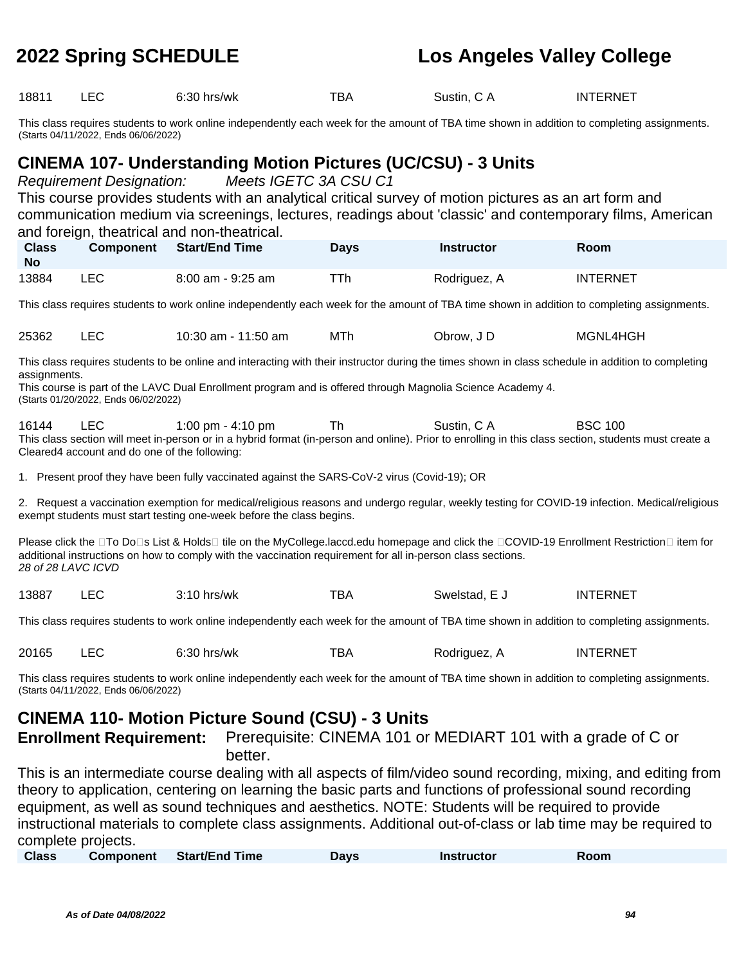18811 LEC 6:30 hrs/wk TBA Sustin, C A INTERNET

This class requires students to work online independently each week for the amount of TBA time shown in addition to completing assignments. (Starts 04/11/2022, Ends 06/06/2022)

### **CINEMA 107- Understanding Motion Pictures (UC/CSU) - 3 Units**

Requirement Designation: Meets IGETC 3A CSU C1 This course provides students with an analytical critical survey of motion pictures as an art form and communication medium via screenings, lectures, readings about 'classic' and contemporary films, American and foreign, theatrical and non-theatrical.

| <b>Class</b><br>No | <b>Component</b> | Start/End Time    | <b>Days</b> | Instructor   | Room            |
|--------------------|------------------|-------------------|-------------|--------------|-----------------|
| 13884              | ∟EC.             | 8:00 am - 9:25 am | ™Th         | Rodriguez, A | <b>INTERNET</b> |

This class requires students to work online independently each week for the amount of TBA time shown in addition to completing assignments.

25362 LEC 10:30 am - 11:50 am MTh Obrow, J D MGNL4HGH

This class requires students to be online and interacting with their instructor during the times shown in class schedule in addition to completing assignments.

This course is part of the LAVC Dual Enrollment program and is offered through Magnolia Science Academy 4. (Starts 01/20/2022, Ends 06/02/2022)

16144 LEC 1:00 pm - 4:10 pm Th Sustin, C A BSC 100 This class section will meet in-person or in a hybrid format (in-person and online). Prior to enrolling in this class section, students must create a Cleared4 account and do one of the following:

1. Present proof they have been fully vaccinated against the SARS-CoV-2 virus (Covid-19); OR

2. Request a vaccination exemption for medical/religious reasons and undergo regular, weekly testing for COVID-19 infection. Medical/religious exempt students must start testing one-week before the class begins.

Please click the □To Do□s List & Holds□ tile on the MyCollege.laccd.edu homepage and click the □COVID-19 Enrollment Restriction□ item for additional instructions on how to comply with the vaccination requirement for all in-person class sections. 28 of 28 LAVC ICVD

13887 LEC 3:10 hrs/wk TBA Swelstad, E J INTERNET

This class requires students to work online independently each week for the amount of TBA time shown in addition to completing assignments.

| 20165 | $\Gamma$<br>-EV | $6:30$ hrs/wk | -- -<br>'BA | Rodriauez. | <b>ERNET</b><br>-IN 7 |
|-------|-----------------|---------------|-------------|------------|-----------------------|
|-------|-----------------|---------------|-------------|------------|-----------------------|

This class requires students to work online independently each week for the amount of TBA time shown in addition to completing assignments. (Starts 04/11/2022, Ends 06/06/2022)

### **CINEMA 110- Motion Picture Sound (CSU) - 3 Units**

**Enrollment Requirement:** Prerequisite: CINEMA 101 or MEDIART 101 with a grade of C or better.

This is an intermediate course dealing with all aspects of film/video sound recording, mixing, and editing from theory to application, centering on learning the basic parts and functions of professional sound recording equipment, as well as sound techniques and aesthetics. NOTE: Students will be required to provide instructional materials to complete class assignments. Additional out-of-class or lab time may be required to complete projects.

| <b>Class</b> | <b>Component</b> | <b>Start/End Time</b> | Days | <b>Instructor</b> | Room |  |
|--------------|------------------|-----------------------|------|-------------------|------|--|
|--------------|------------------|-----------------------|------|-------------------|------|--|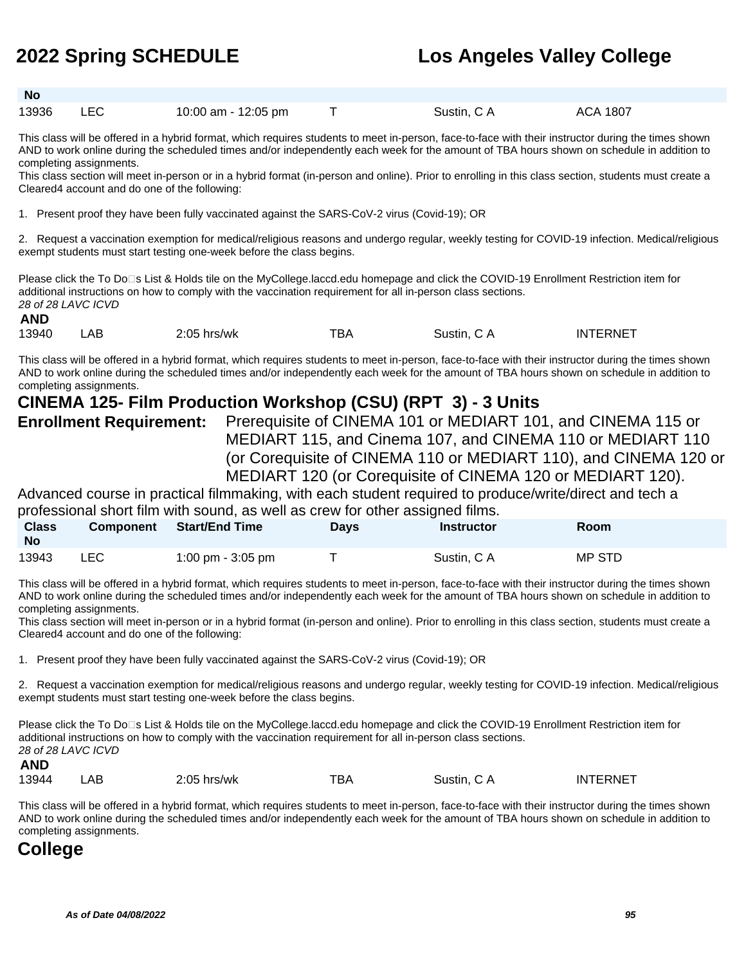| - No  |     |                     |                                                                                                                                                    |          |  |
|-------|-----|---------------------|----------------------------------------------------------------------------------------------------------------------------------------------------|----------|--|
| 13936 | LEC | 10:00 am - 12:05 pm | Sustin, C A                                                                                                                                        | ACA 1807 |  |
|       |     |                     | This close will be effered in a bybrid format, which requires students to meet in person, face to face with their instructor during the times show |          |  |

I his class will be offered in a hybrid format, which requires students to meet in-person, face-to-face with their instructor during the times shown AND to work online during the scheduled times and/or independently each week for the amount of TBA hours shown on schedule in addition to completing assignments.

This class section will meet in-person or in a hybrid format (in-person and online). Prior to enrolling in this class section, students must create a Cleared4 account and do one of the following:

1. Present proof they have been fully vaccinated against the SARS-CoV-2 virus (Covid-19); OR

2. Request a vaccination exemption for medical/religious reasons and undergo regular, weekly testing for COVID-19 infection. Medical/religious exempt students must start testing one-week before the class begins.

Please click the To Do⊡s List & Holds tile on the MyCollege.laccd.edu homepage and click the COVID-19 Enrollment Restriction item for additional instructions on how to comply with the vaccination requirement for all in-person class sections. 28 of 28 LAVC ICVD **AND**

| -- -<br>13940<br>AE<br>2:05<br>hrs/wk<br>BА<br>Sustin.<br>эA |
|--------------------------------------------------------------|
|--------------------------------------------------------------|

This class will be offered in a hybrid format, which requires students to meet in-person, face-to-face with their instructor during the times shown AND to work online during the scheduled times and/or independently each week for the amount of TBA hours shown on schedule in addition to completing assignments.

### **CINEMA 125- Film Production Workshop (CSU) (RPT 3) - 3 Units**

**Enrollment Requirement:** Prerequisite of CINEMA 101 or MEDIART 101, and CINEMA 115 or MEDIART 115, and Cinema 107, and CINEMA 110 or MEDIART 110 (or Corequisite of CINEMA 110 or MEDIART 110), and CINEMA 120 or MEDIART 120 (or Corequisite of CINEMA 120 or MEDIART 120).

Advanced course in practical filmmaking, with each student required to produce/write/direct and tech a professional short film with sound, as well as crew for other assigned films.

| <b>Class</b><br><b>No</b> | <b>Component</b> | Start/End Time    | Davs | Instructor  | Room   |  |
|---------------------------|------------------|-------------------|------|-------------|--------|--|
| 13943                     | LEC              | 1:00 pm - 3:05 pm |      | Sustin, C A | MP STD |  |

This class will be offered in a hybrid format, which requires students to meet in-person, face-to-face with their instructor during the times shown AND to work online during the scheduled times and/or independently each week for the amount of TBA hours shown on schedule in addition to completing assignments.

This class section will meet in-person or in a hybrid format (in-person and online). Prior to enrolling in this class section, students must create a Cleared4 account and do one of the following:

1. Present proof they have been fully vaccinated against the SARS-CoV-2 virus (Covid-19); OR

2. Request a vaccination exemption for medical/religious reasons and undergo regular, weekly testing for COVID-19 infection. Medical/religious exempt students must start testing one-week before the class begins.

Please click the To Do<sup>n</sup>s List & Holds tile on the MyCollege.laccd.edu homepage and click the COVID-19 Enrollment Restriction item for additional instructions on how to comply with the vaccination requirement for all in-person class sections. 28 of 28 LAVC ICVD

**AND**

| 13944<br>тва<br>$2:05$ hrs/wk<br>.AB | INTERNET<br>Sustin, C A |
|--------------------------------------|-------------------------|
|--------------------------------------|-------------------------|

This class will be offered in a hybrid format, which requires students to meet in-person, face-to-face with their instructor during the times shown AND to work online during the scheduled times and/or independently each week for the amount of TBA hours shown on schedule in addition to completing assignments.

## **College**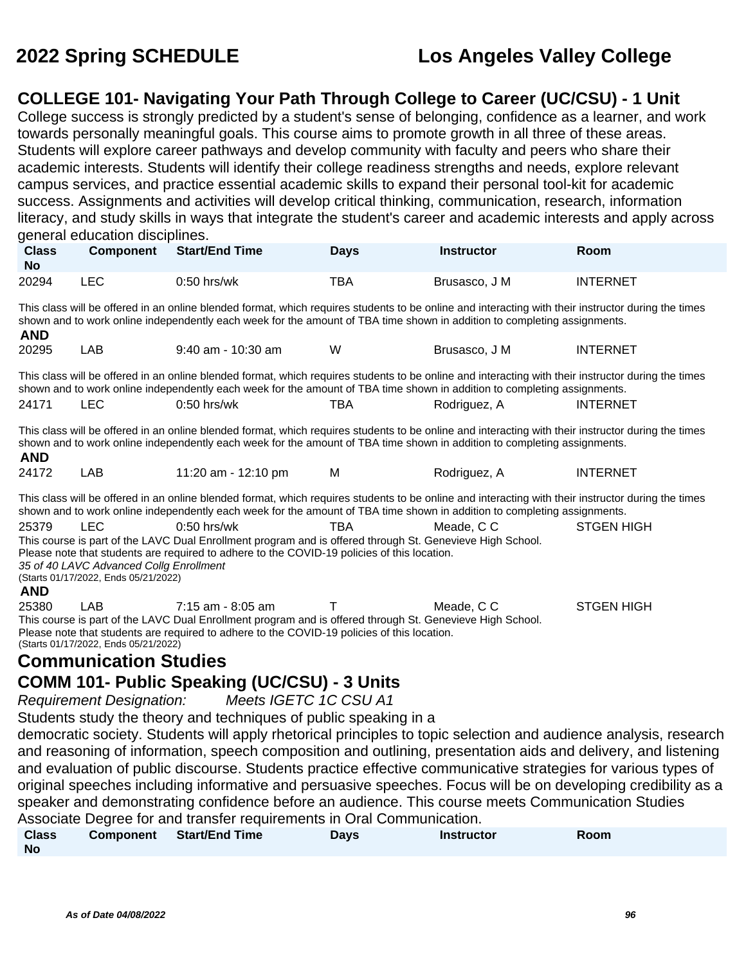### **COLLEGE 101- Navigating Your Path Through College to Career (UC/CSU) - 1 Unit**

College success is strongly predicted by a student's sense of belonging, confidence as a learner, and work towards personally meaningful goals. This course aims to promote growth in all three of these areas. Students will explore career pathways and develop community with faculty and peers who share their academic interests. Students will identify their college readiness strengths and needs, explore relevant campus services, and practice essential academic skills to expand their personal tool-kit for academic success. Assignments and activities will develop critical thinking, communication, research, information literacy, and study skills in ways that integrate the student's career and academic interests and apply across general education disciplines.

| <b>Class</b><br><b>No</b> | <b>Component</b>                                                                                                                                                                                                                                                                                                                                                                                                                                                                                        | <b>Start/End Time</b>                                                                                                                                                                                                                                                           | <b>Days</b> | <b>Instructor</b> | Room              |  |  |  |  |
|---------------------------|---------------------------------------------------------------------------------------------------------------------------------------------------------------------------------------------------------------------------------------------------------------------------------------------------------------------------------------------------------------------------------------------------------------------------------------------------------------------------------------------------------|---------------------------------------------------------------------------------------------------------------------------------------------------------------------------------------------------------------------------------------------------------------------------------|-------------|-------------------|-------------------|--|--|--|--|
| 20294                     | <b>LEC</b>                                                                                                                                                                                                                                                                                                                                                                                                                                                                                              | $0:50$ hrs/wk                                                                                                                                                                                                                                                                   | <b>TBA</b>  | Brusasco, J M     | <b>INTERNET</b>   |  |  |  |  |
| <b>AND</b>                | This class will be offered in an online blended format, which requires students to be online and interacting with their instructor during the times<br>shown and to work online independently each week for the amount of TBA time shown in addition to completing assignments.                                                                                                                                                                                                                         |                                                                                                                                                                                                                                                                                 |             |                   |                   |  |  |  |  |
| 20295                     | LAB                                                                                                                                                                                                                                                                                                                                                                                                                                                                                                     | $9:40$ am - 10:30 am                                                                                                                                                                                                                                                            | W           | Brusasco, J M     | <b>INTERNET</b>   |  |  |  |  |
|                           |                                                                                                                                                                                                                                                                                                                                                                                                                                                                                                         | This class will be offered in an online blended format, which requires students to be online and interacting with their instructor during the times<br>shown and to work online independently each week for the amount of TBA time shown in addition to completing assignments. |             |                   |                   |  |  |  |  |
| 24171                     | <b>LEC</b>                                                                                                                                                                                                                                                                                                                                                                                                                                                                                              | $0:50$ hrs/wk                                                                                                                                                                                                                                                                   | TBA         | Rodriguez, A      | <b>INTERNET</b>   |  |  |  |  |
| <b>AND</b>                |                                                                                                                                                                                                                                                                                                                                                                                                                                                                                                         | This class will be offered in an online blended format, which requires students to be online and interacting with their instructor during the times<br>shown and to work online independently each week for the amount of TBA time shown in addition to completing assignments. |             |                   |                   |  |  |  |  |
| 24172                     | LAB                                                                                                                                                                                                                                                                                                                                                                                                                                                                                                     | 11:20 am - 12:10 pm                                                                                                                                                                                                                                                             | М           | Rodriguez, A      | <b>INTERNET</b>   |  |  |  |  |
|                           |                                                                                                                                                                                                                                                                                                                                                                                                                                                                                                         | This class will be offered in an online blended format, which requires students to be online and interacting with their instructor during the times                                                                                                                             |             |                   |                   |  |  |  |  |
| 25379<br><b>AND</b>       | shown and to work online independently each week for the amount of TBA time shown in addition to completing assignments.<br><b>LEC</b><br>$0:50$ hrs/wk<br><b>STGEN HIGH</b><br><b>TBA</b><br>Meade, C C<br>This course is part of the LAVC Dual Enrollment program and is offered through St. Genevieve High School.<br>Please note that students are required to adhere to the COVID-19 policies of this location.<br>35 of 40 LAVC Advanced Collg Enrollment<br>(Starts 01/17/2022, Ends 05/21/2022) |                                                                                                                                                                                                                                                                                 |             |                   |                   |  |  |  |  |
| 25380                     | LAB<br>(Starts 01/17/2022, Ends 05/21/2022)                                                                                                                                                                                                                                                                                                                                                                                                                                                             | 7:15 am - 8:05 am<br>This course is part of the LAVC Dual Enrollment program and is offered through St. Genevieve High School.<br>Please note that students are required to adhere to the COVID-19 policies of this location.                                                   |             | Meade, C C        | <b>STGEN HIGH</b> |  |  |  |  |
|                           | <b>Communication Studies</b>                                                                                                                                                                                                                                                                                                                                                                                                                                                                            |                                                                                                                                                                                                                                                                                 |             |                   |                   |  |  |  |  |
|                           |                                                                                                                                                                                                                                                                                                                                                                                                                                                                                                         | <b>COMM 101- Public Speaking (UC/CSU) - 3 Units</b>                                                                                                                                                                                                                             |             |                   |                   |  |  |  |  |

Requirement Designation: Meets IGETC 1C CSU A1

Students study the theory and techniques of public speaking in a

democratic society. Students will apply rhetorical principles to topic selection and audience analysis, research and reasoning of information, speech composition and outlining, presentation aids and delivery, and listening and evaluation of public discourse. Students practice effective communicative strategies for various types of original speeches including informative and persuasive speeches. Focus will be on developing credibility as a speaker and demonstrating confidence before an audience. This course meets Communication Studies Associate Degree for and transfer requirements in Oral Communication.

| <b>Class</b> | Component Start/End Time | Days | <b>Instructor</b> | Room |
|--------------|--------------------------|------|-------------------|------|
| <b>No</b>    |                          |      |                   |      |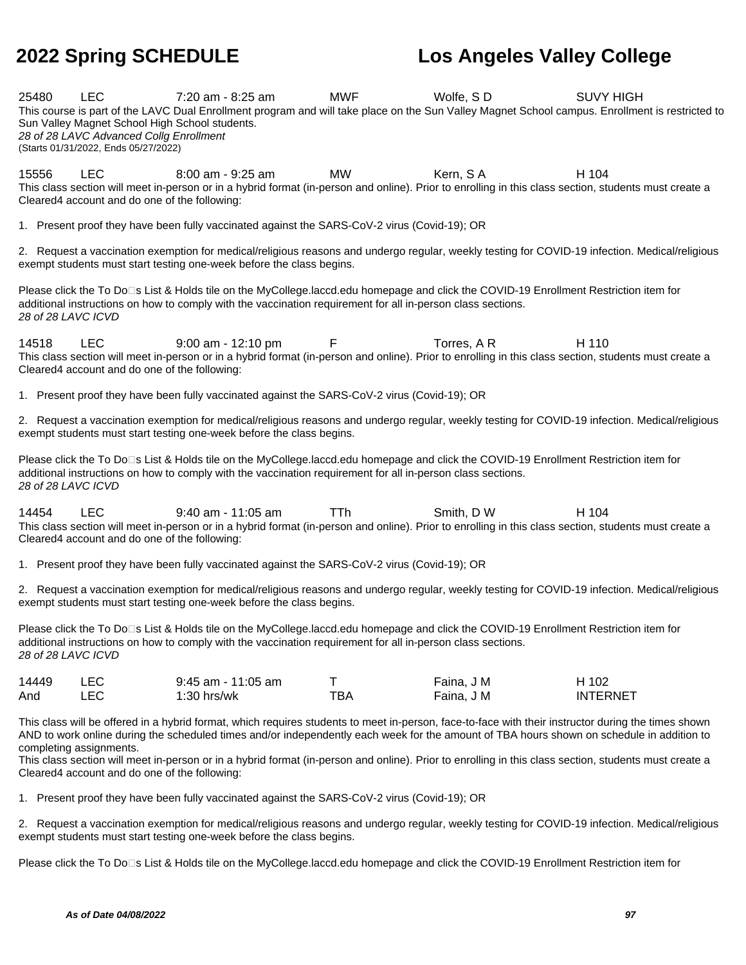25480 LEC 7:20 am - 8:25 am MWF Wolfe, S D SUVY HIGH This course is part of the LAVC Dual Enrollment program and will take place on the Sun Valley Magnet School campus. Enrollment is restricted to Sun Valley Magnet School High School students. 28 of 28 LAVC Advanced Collg Enrollment (Starts 01/31/2022, Ends 05/27/2022)

15556 LEC 8:00 am - 9:25 am MW Kern, S A H 104 This class section will meet in-person or in a hybrid format (in-person and online). Prior to enrolling in this class section, students must create a Cleared4 account and do one of the following:

1. Present proof they have been fully vaccinated against the SARS-CoV-2 virus (Covid-19); OR

2. Request a vaccination exemption for medical/religious reasons and undergo regular, weekly testing for COVID-19 infection. Medical/religious exempt students must start testing one-week before the class begins.

Please click the To Do□s List & Holds tile on the MyCollege.laccd.edu homepage and click the COVID-19 Enrollment Restriction item for additional instructions on how to comply with the vaccination requirement for all in-person class sections. 28 of 28 LAVC ICVD

14518 LEC 9:00 am - 12:10 pm F Torres, A R H 110 This class section will meet in-person or in a hybrid format (in-person and online). Prior to enrolling in this class section, students must create a Cleared4 account and do one of the following:

1. Present proof they have been fully vaccinated against the SARS-CoV-2 virus (Covid-19); OR

2. Request a vaccination exemption for medical/religious reasons and undergo regular, weekly testing for COVID-19 infection. Medical/religious exempt students must start testing one-week before the class begins.

Please click the To Do□s List & Holds tile on the MyCollege.laccd.edu homepage and click the COVID-19 Enrollment Restriction item for additional instructions on how to comply with the vaccination requirement for all in-person class sections. 28 of 28 LAVC ICVD

14454 LEC 9:40 am - 11:05 am TTh Smith, D W H 104 This class section will meet in-person or in a hybrid format (in-person and online). Prior to enrolling in this class section, students must create a Cleared4 account and do one of the following:

1. Present proof they have been fully vaccinated against the SARS-CoV-2 virus (Covid-19); OR

2. Request a vaccination exemption for medical/religious reasons and undergo regular, weekly testing for COVID-19 infection. Medical/religious exempt students must start testing one-week before the class begins.

Please click the To Do⊡s List & Holds tile on the MyCollege.laccd.edu homepage and click the COVID-19 Enrollment Restriction item for additional instructions on how to comply with the vaccination requirement for all in-person class sections. 28 of 28 LAVC ICVD

| 14449 | <b>LEC</b> | $9:45$ am - 11:05 am |     | Faina, J M | H 102           |
|-------|------------|----------------------|-----|------------|-----------------|
| And   | LEC        | $1:30$ hrs/wk        | тва | Faina, J M | <b>INTERNET</b> |

This class will be offered in a hybrid format, which requires students to meet in-person, face-to-face with their instructor during the times shown AND to work online during the scheduled times and/or independently each week for the amount of TBA hours shown on schedule in addition to completing assignments.

This class section will meet in-person or in a hybrid format (in-person and online). Prior to enrolling in this class section, students must create a Cleared4 account and do one of the following:

1. Present proof they have been fully vaccinated against the SARS-CoV-2 virus (Covid-19); OR

2. Request a vaccination exemption for medical/religious reasons and undergo regular, weekly testing for COVID-19 infection. Medical/religious exempt students must start testing one-week before the class begins.

Please click the To Do<sup>n</sup>s List & Holds tile on the MyCollege.laccd.edu homepage and click the COVID-19 Enrollment Restriction item for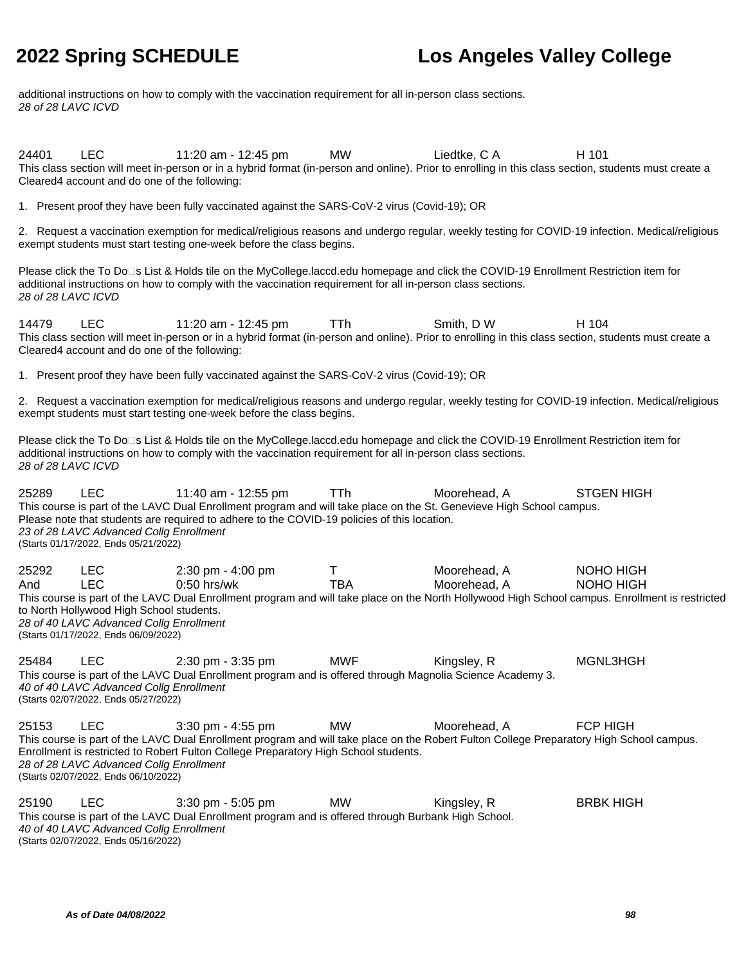additional instructions on how to comply with the vaccination requirement for all in-person class sections. 28 of 28 LAVC ICVD

24401 LEC 11:20 am - 12:45 pm MW Liedtke, C A H 101 This class section will meet in-person or in a hybrid format (in-person and online). Prior to enrolling in this class section, students must create a Cleared4 account and do one of the following:

1. Present proof they have been fully vaccinated against the SARS-CoV-2 virus (Covid-19); OR

2. Request a vaccination exemption for medical/religious reasons and undergo regular, weekly testing for COVID-19 infection. Medical/religious exempt students must start testing one-week before the class begins.

Please click the To Do□s List & Holds tile on the MyCollege.laccd.edu homepage and click the COVID-19 Enrollment Restriction item for additional instructions on how to comply with the vaccination requirement for all in-person class sections. 28 of 28 LAVC ICVD

14479 LEC 11:20 am - 12:45 pm TTh Smith, D W H 104 This class section will meet in-person or in a hybrid format (in-person and online). Prior to enrolling in this class section, students must create a Cleared4 account and do one of the following:

1. Present proof they have been fully vaccinated against the SARS-CoV-2 virus (Covid-19); OR

2. Request a vaccination exemption for medical/religious reasons and undergo regular, weekly testing for COVID-19 infection. Medical/religious exempt students must start testing one-week before the class begins.

Please click the To Do<sup>n</sup>s List & Holds tile on the MyCollege.laccd.edu homepage and click the COVID-19 Enrollment Restriction item for additional instructions on how to comply with the vaccination requirement for all in-person class sections. 28 of 28 LAVC ICVD

25289 LEC 11:40 am - 12:55 pm TTh Moorehead, A STGEN HIGH This course is part of the LAVC Dual Enrollment program and will take place on the St. Genevieve High School campus. Please note that students are required to adhere to the COVID-19 policies of this location. 23 of 28 LAVC Advanced Collg Enrollment (Starts 01/17/2022, Ends 05/21/2022) 25292 LEC 2:30 pm - 4:00 pm T Moorehead, A NOHO HIGH And LEC 0:50 hrs/wk TBA Moorehead, A NOHO HIGH This course is part of the LAVC Dual Enrollment program and will take place on the North Hollywood High School campus. Enrollment is restricted to North Hollywood High School students. 28 of 40 LAVC Advanced Collg Enrollment (Starts 01/17/2022, Ends 06/09/2022) 25484 LEC 2:30 pm - 3:35 pm MWF Kingsley, R MGNL3HGH This course is part of the LAVC Dual Enrollment program and is offered through Magnolia Science Academy 3. 40 of 40 LAVC Advanced Collg Enrollment (Starts 02/07/2022, Ends 05/27/2022) 25153 LEC 3:30 pm - 4:55 pm MW Moorehead, A FCP HIGH This course is part of the LAVC Dual Enrollment program and will take place on the Robert Fulton College Preparatory High School campus. Enrollment is restricted to Robert Fulton College Preparatory High School students. 28 of 28 LAVC Advanced Collg Enrollment (Starts 02/07/2022, Ends 06/10/2022) 25190 LEC 3:30 pm - 5:05 pm MW Kingsley, R BRBK HIGH This course is part of the LAVC Dual Enrollment program and is offered through Burbank High School. 40 of 40 LAVC Advanced Collg Enrollment

(Starts 02/07/2022, Ends 05/16/2022)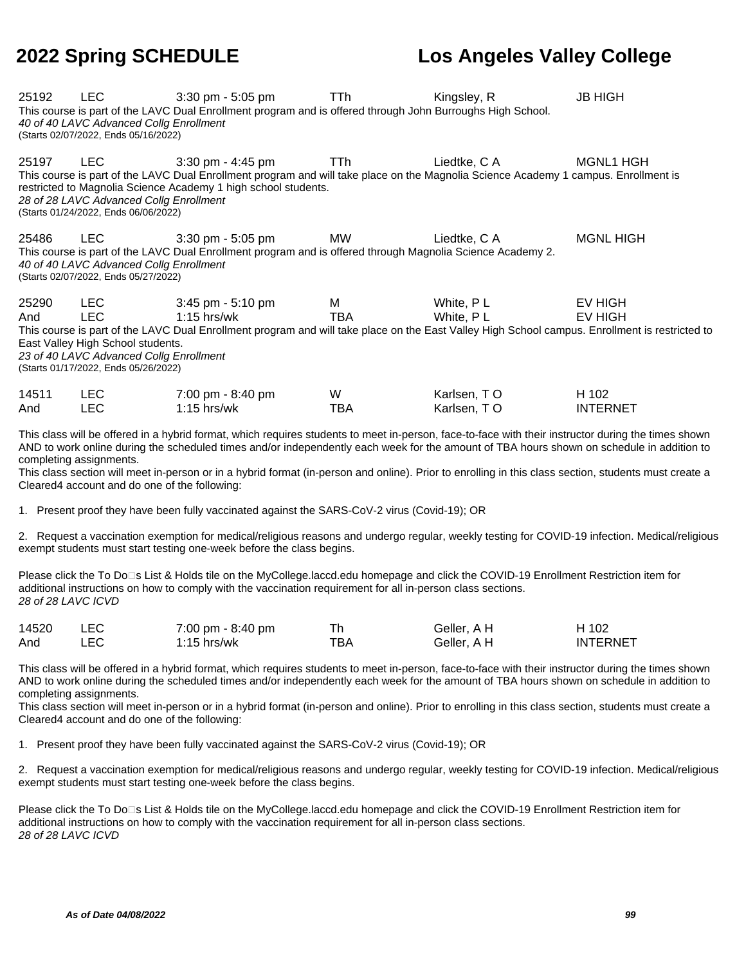| 25192 | LEC                                                                                                                  | $3:30$ pm - $5:05$ pm<br>This course is part of the LAVC Dual Enrollment program and is offered through John Burroughs High School.                                                                                                                                                              | TTh.       | Kingsley, R  | <b>JB HIGH</b>   |
|-------|----------------------------------------------------------------------------------------------------------------------|--------------------------------------------------------------------------------------------------------------------------------------------------------------------------------------------------------------------------------------------------------------------------------------------------|------------|--------------|------------------|
|       | 40 of 40 LAVC Advanced Collg Enrollment<br>(Starts 02/07/2022, Ends 05/16/2022)                                      |                                                                                                                                                                                                                                                                                                  |            |              |                  |
| 25197 | <b>LEC</b><br>28 of 28 LAVC Advanced Collg Enrollment<br>(Starts 01/24/2022, Ends 06/06/2022)                        | $3:30$ pm - $4:45$ pm<br>This course is part of the LAVC Dual Enrollment program and will take place on the Magnolia Science Academy 1 campus. Enrollment is<br>restricted to Magnolia Science Academy 1 high school students.                                                                   | <b>TTh</b> | Liedtke, C A | MGNL1 HGH        |
| 25486 | <b>LEC</b><br>40 of 40 LAVC Advanced Collg Enrollment<br>(Starts 02/07/2022, Ends 05/27/2022)                        | $3:30$ pm - $5:05$ pm<br>This course is part of the LAVC Dual Enrollment program and is offered through Magnolia Science Academy 2.                                                                                                                                                              | MW.        | Liedtke, C A | <b>MGNL HIGH</b> |
| 25290 | <b>LEC</b>                                                                                                           | 3:45 pm - 5:10 pm                                                                                                                                                                                                                                                                                | M          | White, PL    | <b>EV HIGH</b>   |
| And   | LEC.                                                                                                                 | $1:15$ hrs/wk                                                                                                                                                                                                                                                                                    | <b>TBA</b> | White, PL    | EV HIGH          |
|       | East Valley High School students.<br>23 of 40 LAVC Advanced Collg Enrollment<br>(Starts 01/17/2022, Ends 05/26/2022) | This course is part of the LAVC Dual Enrollment program and will take place on the East Valley High School campus. Enrollment is restricted to                                                                                                                                                   |            |              |                  |
| 14511 | <b>LEC</b>                                                                                                           | 7:00 pm - 8:40 pm                                                                                                                                                                                                                                                                                | W          | Karlsen, TO  | H 102            |
| And   | <b>LEC</b>                                                                                                           | $1:15$ hrs/wk                                                                                                                                                                                                                                                                                    | TBA        | Karlsen, TO  | <b>INTERNET</b>  |
|       | completing assignments.                                                                                              | This class will be offered in a hybrid format, which requires students to meet in-person, face-to-face with their instructor during the times shown<br>AND to work online during the scheduled times and/or independently each week for the amount of TBA hours shown on schedule in addition to |            |              |                  |
|       | Cleared4 account and do one of the following:                                                                        | This class section will meet in-person or in a hybrid format (in-person and online). Prior to enrolling in this class section, students must create a                                                                                                                                            |            |              |                  |

1. Present proof they have been fully vaccinated against the SARS-CoV-2 virus (Covid-19); OR

2. Request a vaccination exemption for medical/religious reasons and undergo regular, weekly testing for COVID-19 infection. Medical/religious exempt students must start testing one-week before the class begins.

Please click the To Do□s List & Holds tile on the MyCollege.laccd.edu homepage and click the COVID-19 Enrollment Restriction item for additional instructions on how to comply with the vaccination requirement for all in-person class sections. 28 of 28 LAVC ICVD

| 14520 | 7:00 pm - 8:40 pm |     | Geller, A H | H 102           |
|-------|-------------------|-----|-------------|-----------------|
| And   | 1:15 hrs/wk       | ТВА | Geller. A H | <b>INTERNET</b> |

This class will be offered in a hybrid format, which requires students to meet in-person, face-to-face with their instructor during the times shown AND to work online during the scheduled times and/or independently each week for the amount of TBA hours shown on schedule in addition to completing assignments.

This class section will meet in-person or in a hybrid format (in-person and online). Prior to enrolling in this class section, students must create a Cleared4 account and do one of the following:

1. Present proof they have been fully vaccinated against the SARS-CoV-2 virus (Covid-19); OR

2. Request a vaccination exemption for medical/religious reasons and undergo regular, weekly testing for COVID-19 infection. Medical/religious exempt students must start testing one-week before the class begins.

Please click the To Do⊡s List & Holds tile on the MyCollege.laccd.edu homepage and click the COVID-19 Enrollment Restriction item for additional instructions on how to comply with the vaccination requirement for all in-person class sections. 28 of 28 LAVC ICVD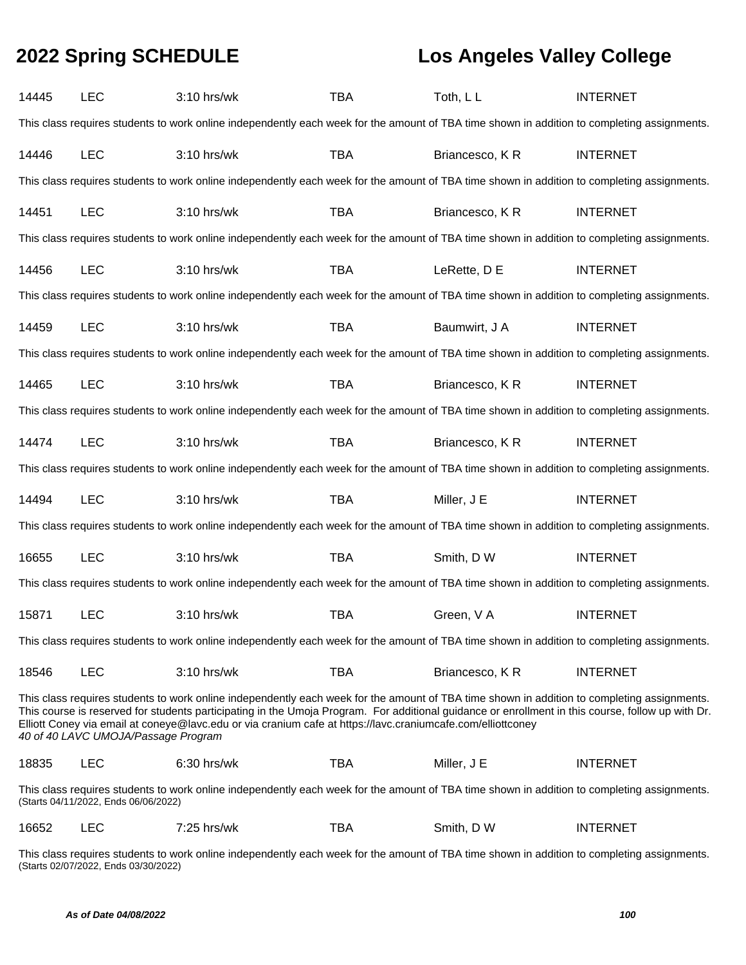| 14445 | <b>LEC</b>                                                                                                                                  | 3:10 hrs/wk                                                                                                                                                                                                                                                                                                                                                                                                     | <b>TBA</b> | Toth, LL       | <b>INTERNET</b> |  |  |  |  |  |
|-------|---------------------------------------------------------------------------------------------------------------------------------------------|-----------------------------------------------------------------------------------------------------------------------------------------------------------------------------------------------------------------------------------------------------------------------------------------------------------------------------------------------------------------------------------------------------------------|------------|----------------|-----------------|--|--|--|--|--|
|       | This class requires students to work online independently each week for the amount of TBA time shown in addition to completing assignments. |                                                                                                                                                                                                                                                                                                                                                                                                                 |            |                |                 |  |  |  |  |  |
| 14446 | <b>LEC</b>                                                                                                                                  | 3:10 hrs/wk                                                                                                                                                                                                                                                                                                                                                                                                     | <b>TBA</b> | Briancesco, KR | <b>INTERNET</b> |  |  |  |  |  |
|       | This class requires students to work online independently each week for the amount of TBA time shown in addition to completing assignments. |                                                                                                                                                                                                                                                                                                                                                                                                                 |            |                |                 |  |  |  |  |  |
| 14451 | <b>LEC</b>                                                                                                                                  | 3:10 hrs/wk                                                                                                                                                                                                                                                                                                                                                                                                     | <b>TBA</b> | Briancesco, KR | <b>INTERNET</b> |  |  |  |  |  |
|       |                                                                                                                                             | This class requires students to work online independently each week for the amount of TBA time shown in addition to completing assignments.                                                                                                                                                                                                                                                                     |            |                |                 |  |  |  |  |  |
| 14456 | <b>LEC</b>                                                                                                                                  | 3:10 hrs/wk                                                                                                                                                                                                                                                                                                                                                                                                     | <b>TBA</b> | LeRette, D E   | <b>INTERNET</b> |  |  |  |  |  |
|       |                                                                                                                                             | This class requires students to work online independently each week for the amount of TBA time shown in addition to completing assignments.                                                                                                                                                                                                                                                                     |            |                |                 |  |  |  |  |  |
| 14459 | <b>LEC</b>                                                                                                                                  | 3:10 hrs/wk                                                                                                                                                                                                                                                                                                                                                                                                     | <b>TBA</b> | Baumwirt, J A  | <b>INTERNET</b> |  |  |  |  |  |
|       |                                                                                                                                             | This class requires students to work online independently each week for the amount of TBA time shown in addition to completing assignments.                                                                                                                                                                                                                                                                     |            |                |                 |  |  |  |  |  |
| 14465 | <b>LEC</b>                                                                                                                                  | 3:10 hrs/wk                                                                                                                                                                                                                                                                                                                                                                                                     | <b>TBA</b> | Briancesco, KR | <b>INTERNET</b> |  |  |  |  |  |
|       |                                                                                                                                             | This class requires students to work online independently each week for the amount of TBA time shown in addition to completing assignments.                                                                                                                                                                                                                                                                     |            |                |                 |  |  |  |  |  |
| 14474 | <b>LEC</b>                                                                                                                                  | 3:10 hrs/wk                                                                                                                                                                                                                                                                                                                                                                                                     | <b>TBA</b> | Briancesco, KR | <b>INTERNET</b> |  |  |  |  |  |
|       |                                                                                                                                             | This class requires students to work online independently each week for the amount of TBA time shown in addition to completing assignments.                                                                                                                                                                                                                                                                     |            |                |                 |  |  |  |  |  |
| 14494 | <b>LEC</b>                                                                                                                                  | 3:10 hrs/wk                                                                                                                                                                                                                                                                                                                                                                                                     | <b>TBA</b> | Miller, J E    | <b>INTERNET</b> |  |  |  |  |  |
|       |                                                                                                                                             | This class requires students to work online independently each week for the amount of TBA time shown in addition to completing assignments.                                                                                                                                                                                                                                                                     |            |                |                 |  |  |  |  |  |
| 16655 | <b>LEC</b>                                                                                                                                  | 3:10 hrs/wk                                                                                                                                                                                                                                                                                                                                                                                                     | <b>TBA</b> | Smith, D W     | <b>INTERNET</b> |  |  |  |  |  |
|       |                                                                                                                                             | This class requires students to work online independently each week for the amount of TBA time shown in addition to completing assignments.                                                                                                                                                                                                                                                                     |            |                |                 |  |  |  |  |  |
| 15871 | <b>LEC</b>                                                                                                                                  | 3:10 hrs/wk                                                                                                                                                                                                                                                                                                                                                                                                     | <b>TBA</b> | Green, V A     | <b>INTERNET</b> |  |  |  |  |  |
|       |                                                                                                                                             | This class requires students to work online independently each week for the amount of TBA time shown in addition to completing assignments.                                                                                                                                                                                                                                                                     |            |                |                 |  |  |  |  |  |
| 18546 | <b>LEC</b>                                                                                                                                  | 3:10 hrs/wk                                                                                                                                                                                                                                                                                                                                                                                                     | <b>TBA</b> | Briancesco, KR | <b>INTERNET</b> |  |  |  |  |  |
|       | 40 of 40 LAVC UMOJA/Passage Program                                                                                                         | This class requires students to work online independently each week for the amount of TBA time shown in addition to completing assignments.<br>This course is reserved for students participating in the Umoja Program. For additional guidance or enrollment in this course, follow up with Dr.<br>Elliott Coney via email at coneye@lavc.edu or via cranium cafe at https://lavc.craniumcafe.com/elliottconey |            |                |                 |  |  |  |  |  |
| 18835 | <b>LEC</b>                                                                                                                                  | 6:30 hrs/wk                                                                                                                                                                                                                                                                                                                                                                                                     | <b>TBA</b> | Miller, J E    | <b>INTERNET</b> |  |  |  |  |  |
|       | (Starts 04/11/2022, Ends 06/06/2022)                                                                                                        | This class requires students to work online independently each week for the amount of TBA time shown in addition to completing assignments.                                                                                                                                                                                                                                                                     |            |                |                 |  |  |  |  |  |
| 16652 | <b>LEC</b>                                                                                                                                  | 7:25 hrs/wk                                                                                                                                                                                                                                                                                                                                                                                                     | <b>TBA</b> | Smith, D W     | <b>INTERNET</b> |  |  |  |  |  |

This class requires students to work online independently each week for the amount of TBA time shown in addition to completing assignments. (Starts 02/07/2022, Ends 03/30/2022)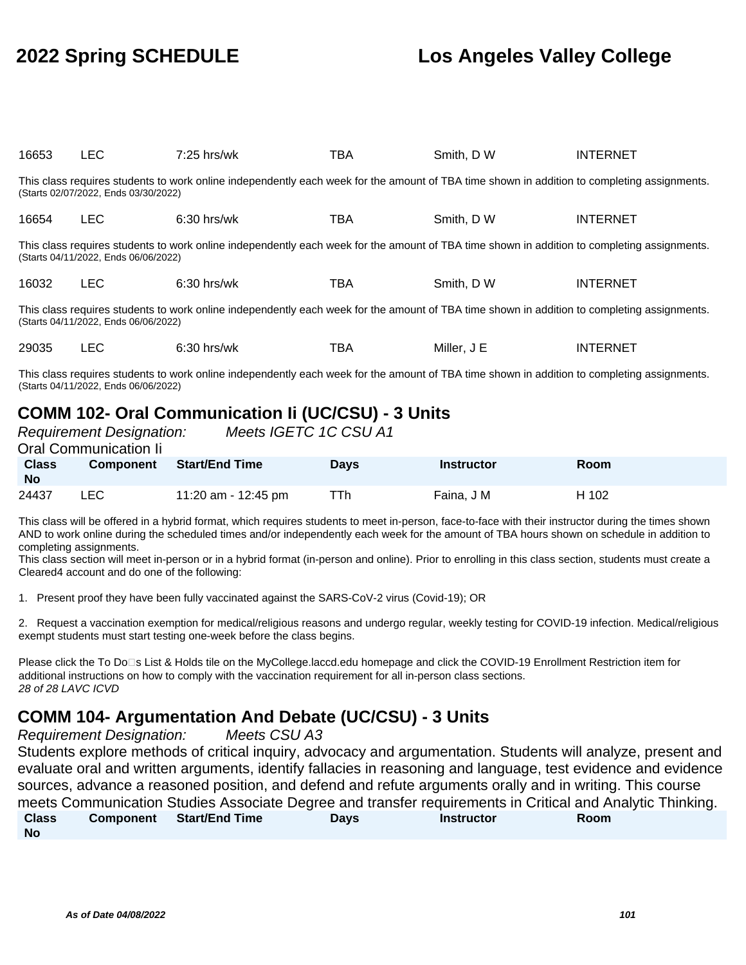| 16653                                                                                                                                                                               | <b>LEC</b>                           | $7:25$ hrs/wk                                                                                                                               | TBA | Smith, D W  | <b>INTERNET</b>                                                                                                                                                                                                                                                                                                                                                                                                                                              |  |  |  |
|-------------------------------------------------------------------------------------------------------------------------------------------------------------------------------------|--------------------------------------|---------------------------------------------------------------------------------------------------------------------------------------------|-----|-------------|--------------------------------------------------------------------------------------------------------------------------------------------------------------------------------------------------------------------------------------------------------------------------------------------------------------------------------------------------------------------------------------------------------------------------------------------------------------|--|--|--|
|                                                                                                                                                                                     | (Starts 02/07/2022, Ends 03/30/2022) | This class requires students to work online independently each week for the amount of TBA time shown in addition to completing assignments. |     |             |                                                                                                                                                                                                                                                                                                                                                                                                                                                              |  |  |  |
| 16654                                                                                                                                                                               | <b>LEC</b>                           | $6:30$ hrs/wk                                                                                                                               | TBA | Smith, D W  | <b>INTERNET</b>                                                                                                                                                                                                                                                                                                                                                                                                                                              |  |  |  |
|                                                                                                                                                                                     | (Starts 04/11/2022, Ends 06/06/2022) | This class requires students to work online independently each week for the amount of TBA time shown in addition to completing assignments. |     |             |                                                                                                                                                                                                                                                                                                                                                                                                                                                              |  |  |  |
| 16032                                                                                                                                                                               | <b>LEC</b>                           | $6:30$ hrs/wk                                                                                                                               | TBA | Smith, D W  | <b>INTERNET</b>                                                                                                                                                                                                                                                                                                                                                                                                                                              |  |  |  |
| This class requires students to work online independently each week for the amount of TBA time shown in addition to completing assignments.<br>(Starts 04/11/2022, Ends 06/06/2022) |                                      |                                                                                                                                             |     |             |                                                                                                                                                                                                                                                                                                                                                                                                                                                              |  |  |  |
| 29035                                                                                                                                                                               | <b>LEC</b>                           | $6:30$ hrs/wk                                                                                                                               | TBA | Miller, J E | <b>INTERNET</b>                                                                                                                                                                                                                                                                                                                                                                                                                                              |  |  |  |
|                                                                                                                                                                                     |                                      |                                                                                                                                             |     |             | $\mathcal{L} = \mathcal{L} = \mathcal{L} = \mathcal{L} = \mathcal{L} = \mathcal{L} = \mathcal{L} = \mathcal{L} = \mathcal{L} = \mathcal{L} = \mathcal{L} = \mathcal{L} = \mathcal{L} = \mathcal{L} = \mathcal{L} = \mathcal{L} = \mathcal{L} = \mathcal{L} = \mathcal{L} = \mathcal{L} = \mathcal{L} = \mathcal{L} = \mathcal{L} = \mathcal{L} = \mathcal{L} = \mathcal{L} = \mathcal{L} = \mathcal{L} = \mathcal{L} = \mathcal{L} = \mathcal{L} = \mathcal$ |  |  |  |

This class requires students to work online independently each week for the amount of TBA time shown in addition to completing assignments. (Starts 04/11/2022, Ends 06/06/2022)

## **COMM 102- Oral Communication Ii (UC/CSU) - 3 Units**

|                           | <b>Requirement Designation:</b><br>Oral Communication li | Meets IGETC 1C CSU A1 |             |                   |             |
|---------------------------|----------------------------------------------------------|-----------------------|-------------|-------------------|-------------|
|                           |                                                          |                       |             |                   |             |
| <b>Class</b><br><b>No</b> | <b>Component</b>                                         | <b>Start/End Time</b> | <b>Davs</b> | <b>Instructor</b> | <b>Room</b> |
| 24437                     | LEC                                                      | 11:20 am - 12:45 pm   | TTh         | Faina, J M        | H 102       |

This class will be offered in a hybrid format, which requires students to meet in-person, face-to-face with their instructor during the times shown AND to work online during the scheduled times and/or independently each week for the amount of TBA hours shown on schedule in addition to completing assignments.

This class section will meet in-person or in a hybrid format (in-person and online). Prior to enrolling in this class section, students must create a Cleared4 account and do one of the following:

1. Present proof they have been fully vaccinated against the SARS-CoV-2 virus (Covid-19); OR

2. Request a vaccination exemption for medical/religious reasons and undergo regular, weekly testing for COVID-19 infection. Medical/religious exempt students must start testing one-week before the class begins.

Please click the To Do□s List & Holds tile on the MyCollege.laccd.edu homepage and click the COVID-19 Enrollment Restriction item for additional instructions on how to comply with the vaccination requirement for all in-person class sections. 28 of 28 LAVC ICVD

### **COMM 104- Argumentation And Debate (UC/CSU) - 3 Units**

Requirement Designation: Meets CSU A3

Students explore methods of critical inquiry, advocacy and argumentation. Students will analyze, present and evaluate oral and written arguments, identify fallacies in reasoning and language, test evidence and evidence sources, advance a reasoned position, and defend and refute arguments orally and in writing. This course meets Communication Studies Associate Degree and transfer requirements in Critical and Analytic Thinking. **Class No Component Start/End Time Days Instructor Room**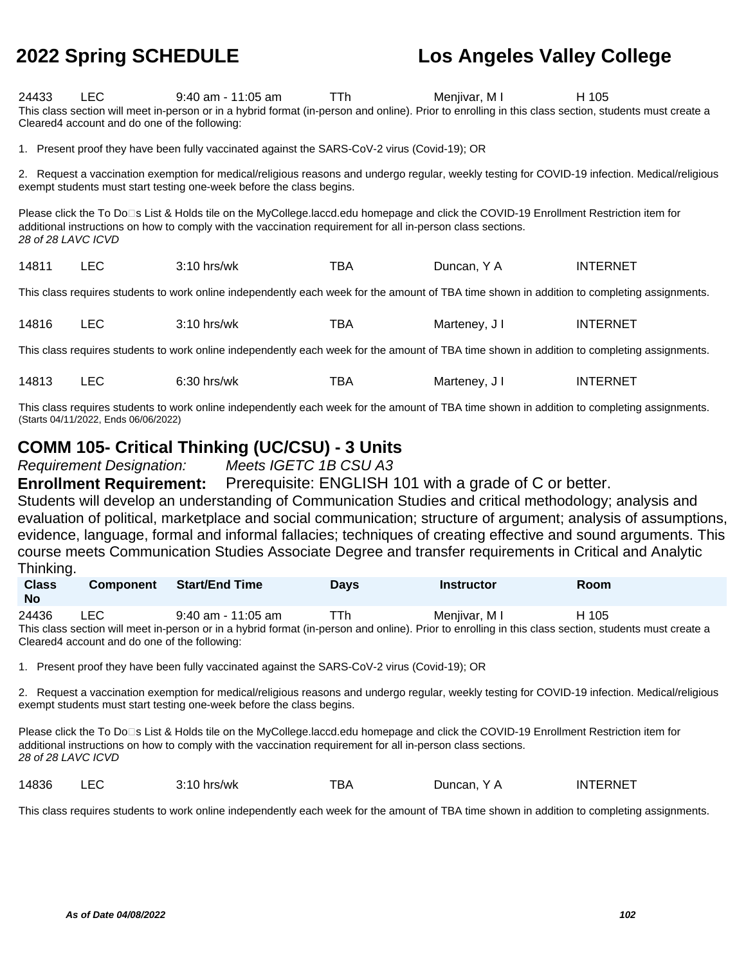| 24433                                                                                                                                                                                                                                                                      | LEC.<br>Cleared4 account and do one of the following: | $9:40$ am - 11:05 am<br>This class section will meet in-person or in a hybrid format (in-person and online). Prior to enrolling in this class section, students must create a | TTh. | Menjivar, MI  | H 105           |  |  |  |  |  |
|----------------------------------------------------------------------------------------------------------------------------------------------------------------------------------------------------------------------------------------------------------------------------|-------------------------------------------------------|-------------------------------------------------------------------------------------------------------------------------------------------------------------------------------|------|---------------|-----------------|--|--|--|--|--|
|                                                                                                                                                                                                                                                                            |                                                       | 1. Present proof they have been fully vaccinated against the SARS-CoV-2 virus (Covid-19); OR                                                                                  |      |               |                 |  |  |  |  |  |
| 2. Request a vaccination exemption for medical/religious reasons and undergo regular, weekly testing for COVID-19 infection. Medical/religious<br>exempt students must start testing one-week before the class begins.                                                     |                                                       |                                                                                                                                                                               |      |               |                 |  |  |  |  |  |
| Please click the To Do□s List & Holds tile on the MyCollege.laccd.edu homepage and click the COVID-19 Enrollment Restriction item for<br>additional instructions on how to comply with the vaccination requirement for all in-person class sections.<br>28 of 28 LAVC ICVD |                                                       |                                                                                                                                                                               |      |               |                 |  |  |  |  |  |
| 14811                                                                                                                                                                                                                                                                      | <b>LEC</b>                                            | $3:10$ hrs/wk                                                                                                                                                                 | TBA  | Duncan, Y A   | <b>INTERNET</b> |  |  |  |  |  |
|                                                                                                                                                                                                                                                                            |                                                       | This class requires students to work online independently each week for the amount of TBA time shown in addition to completing assignments.                                   |      |               |                 |  |  |  |  |  |
| 14816                                                                                                                                                                                                                                                                      | LEC.                                                  | $3:10$ hrs/wk                                                                                                                                                                 | TBA  | Marteney, J I | <b>INTERNET</b> |  |  |  |  |  |
|                                                                                                                                                                                                                                                                            |                                                       | This class requires students to work online independently each week for the amount of TBA time shown in addition to completing assignments.                                   |      |               |                 |  |  |  |  |  |
| 14813                                                                                                                                                                                                                                                                      | LEC.                                                  | $6:30$ hrs/wk                                                                                                                                                                 | TBA  | Marteney, J I | <b>INTERNET</b> |  |  |  |  |  |

This class requires students to work online independently each week for the amount of TBA time shown in addition to completing assignments. (Starts 04/11/2022, Ends 06/06/2022)

### **COMM 105- Critical Thinking (UC/CSU) - 3 Units**

Requirement Designation: Meets IGETC 1B CSU A3

**Enrollment Requirement:** Prerequisite: ENGLISH 101 with a grade of C or better.

Students will develop an understanding of Communication Studies and critical methodology; analysis and evaluation of political, marketplace and social communication; structure of argument; analysis of assumptions, evidence, language, formal and informal fallacies; techniques of creating effective and sound arguments. This course meets Communication Studies Associate Degree and transfer requirements in Critical and Analytic Thinking.

| <b>Class</b><br><b>No</b> | <b>Component</b> | Start/End Time     | Days | <b>Instructor</b>                                                                                                                                     | Room  |
|---------------------------|------------------|--------------------|------|-------------------------------------------------------------------------------------------------------------------------------------------------------|-------|
| 24436                     | LEC.             | 9:40 am - 11:05 am | ⊤h ∶ | Menjivar, M I                                                                                                                                         | H 105 |
|                           |                  |                    |      | This close section will meet in person as in a bubrid format (in person and oplina). Drias to envelling in this close section, students must exacte a |       |

This class section will meet in-person or in a hybrid format (in-person and online). Prior to enrolling in this class section, students must create a Cleared4 account and do one of the following:

1. Present proof they have been fully vaccinated against the SARS-CoV-2 virus (Covid-19); OR

2. Request a vaccination exemption for medical/religious reasons and undergo regular, weekly testing for COVID-19 infection. Medical/religious exempt students must start testing one-week before the class begins.

Please click the To Do□s List & Holds tile on the MyCollege.laccd.edu homepage and click the COVID-19 Enrollment Restriction item for additional instructions on how to comply with the vaccination requirement for all in-person class sections. 28 of 28 LAVC ICVD

14836 LEC 3:10 hrs/wk TBA Duncan, Y A INTERNET

This class requires students to work online independently each week for the amount of TBA time shown in addition to completing assignments.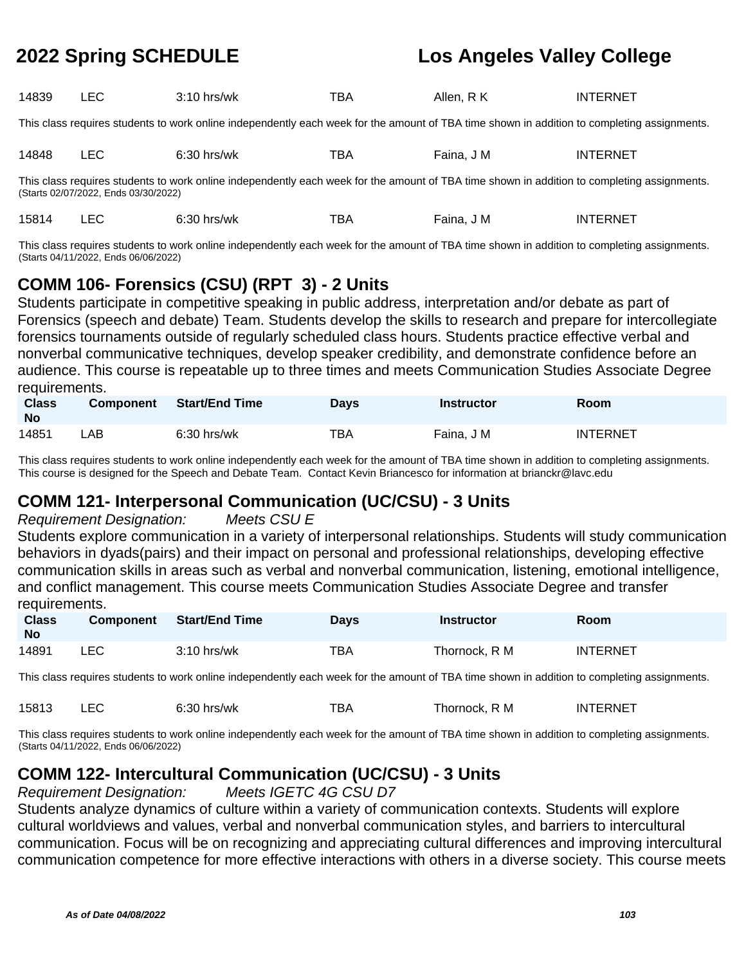| 14839 | $ -$<br>--- | $3:10$ hrs/wk | тва | Allen<br>Κ<br>$\mathbf{\kappa}$ | <b>ERNET</b><br>- INT' |
|-------|-------------|---------------|-----|---------------------------------|------------------------|
|       |             |               |     |                                 |                        |

This class requires students to work online independently each week for the amount of TBA time shown in addition to completing assignments.

| 14848<br>____ | -- -<br>__ | $\sim$<br>'wk<br>' اد.<br>. | $- -$<br>DA | J M<br>anna<br>__ | ------<br>INT<br>-RNF |  |
|---------------|------------|-----------------------------|-------------|-------------------|-----------------------|--|
|---------------|------------|-----------------------------|-------------|-------------------|-----------------------|--|

This class requires students to work online independently each week for the amount of TBA time shown in addition to completing assignments. (Starts 02/07/2022, Ends 03/30/2022)

|  | 15814 |  | $6:30$ hrs/wk | тва | Faina, J M | INTERNET |
|--|-------|--|---------------|-----|------------|----------|
|--|-------|--|---------------|-----|------------|----------|

This class requires students to work online independently each week for the amount of TBA time shown in addition to completing assignments. (Starts 04/11/2022, Ends 06/06/2022)

### **COMM 106- Forensics (CSU) (RPT 3) - 2 Units**

Students participate in competitive speaking in public address, interpretation and/or debate as part of Forensics (speech and debate) Team. Students develop the skills to research and prepare for intercollegiate forensics tournaments outside of regularly scheduled class hours. Students practice effective verbal and nonverbal communicative techniques, develop speaker credibility, and demonstrate confidence before an audience. This course is repeatable up to three times and meets Communication Studies Associate Degree requirements.

| <b>Class</b><br><b>No</b> | <b>Component</b> | Start/End Time | <b>Days</b> | Instructor | Room            |
|---------------------------|------------------|----------------|-------------|------------|-----------------|
| 14851                     | _AB              | $6:30$ hrs/wk  | TBA         | Faina, J M | <b>INTERNET</b> |

This class requires students to work online independently each week for the amount of TBA time shown in addition to completing assignments. This course is designed for the Speech and Debate Team. Contact Kevin Briancesco for information at brianckr@lavc.edu

### **COMM 121- Interpersonal Communication (UC/CSU) - 3 Units**

### Requirement Designation: Meets CSU E

Students explore communication in a variety of interpersonal relationships. Students will study communication behaviors in dyads(pairs) and their impact on personal and professional relationships, developing effective communication skills in areas such as verbal and nonverbal communication, listening, emotional intelligence, and conflict management. This course meets Communication Studies Associate Degree and transfer requirements.

| <b>Class</b><br><b>No</b> | <b>Component</b> | <b>Start/End Time</b> | Days | <b>Instructor</b> | Room            |
|---------------------------|------------------|-----------------------|------|-------------------|-----------------|
| 14891                     | LEC              | $3:10$ hrs/wk         | TBA  | Thornock, R M     | <b>INTERNET</b> |

This class requires students to work online independently each week for the amount of TBA time shown in addition to completing assignments.

| 15813 |  | $6:30$ hrs/wk | тва | Thornock. R M | <b>INTERNET</b> |
|-------|--|---------------|-----|---------------|-----------------|
|-------|--|---------------|-----|---------------|-----------------|

This class requires students to work online independently each week for the amount of TBA time shown in addition to completing assignments. (Starts 04/11/2022, Ends 06/06/2022)

## **COMM 122- Intercultural Communication (UC/CSU) - 3 Units**

Requirement Designation: Meets IGETC 4G CSU D7

Students analyze dynamics of culture within a variety of communication contexts. Students will explore cultural worldviews and values, verbal and nonverbal communication styles, and barriers to intercultural communication. Focus will be on recognizing and appreciating cultural differences and improving intercultural communication competence for more effective interactions with others in a diverse society. This course meets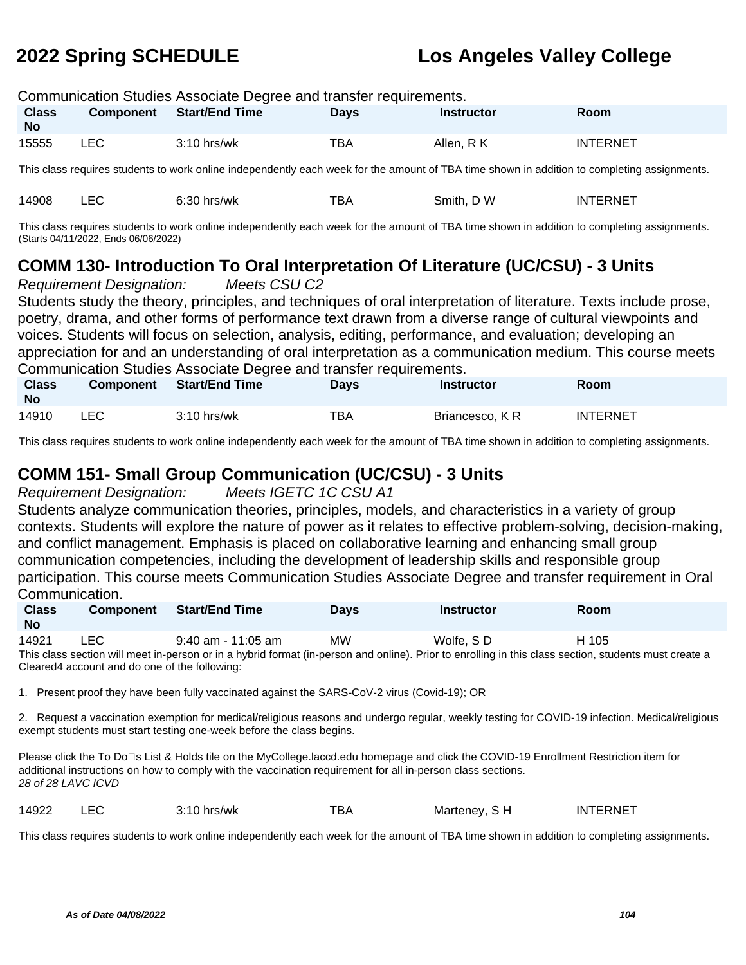| Communication Studies Associate Degree and transfer requirements. |           |                       |             |                   |                 |  |
|-------------------------------------------------------------------|-----------|-----------------------|-------------|-------------------|-----------------|--|
| <b>Class</b><br><b>No</b>                                         | Component | <b>Start/End Time</b> | <b>Davs</b> | <b>Instructor</b> | Room            |  |
| 15555                                                             | LEC.      | $3:10$ hrs/wk         | TBA         | Allen, R K        | <b>INTERNET</b> |  |

This class requires students to work online independently each week for the amount of TBA time shown in addition to completing assignments.

| 14908 | hrs/wk<br>∍∪.<br>_____ | BА | /א ר<br>Smith. | TERNET<br>IN. |
|-------|------------------------|----|----------------|---------------|

This class requires students to work online independently each week for the amount of TBA time shown in addition to completing assignments. (Starts 04/11/2022, Ends 06/06/2022)

## **COMM 130- Introduction To Oral Interpretation Of Literature (UC/CSU) - 3 Units**

Requirement Designation: Meets CSU C2

Students study the theory, principles, and techniques of oral interpretation of literature. Texts include prose, poetry, drama, and other forms of performance text drawn from a diverse range of cultural viewpoints and voices. Students will focus on selection, analysis, editing, performance, and evaluation; developing an appreciation for and an understanding of oral interpretation as a communication medium. This course meets Communication Studies Associate Degree and transfer requirements.

| <b>Class</b><br><b>No</b> | <b>Component</b> | <b>Start/End Time</b> | <b>Days</b> | Instructor     | Room            |
|---------------------------|------------------|-----------------------|-------------|----------------|-----------------|
| 14910                     | _EC              | $3:10$ hrs/wk         | TBA         | Briancesco, KR | <b>INTERNET</b> |

This class requires students to work online independently each week for the amount of TBA time shown in addition to completing assignments.

### **COMM 151- Small Group Communication (UC/CSU) - 3 Units**

Requirement Designation: Meets IGETC 1C CSU A1

Students analyze communication theories, principles, models, and characteristics in a variety of group contexts. Students will explore the nature of power as it relates to effective problem-solving, decision-making, and conflict management. Emphasis is placed on collaborative learning and enhancing small group communication competencies, including the development of leadership skills and responsible group participation. This course meets Communication Studies Associate Degree and transfer requirement in Oral Communication.

| <b>Class</b><br>No | <b>Component</b> | Start/End Time     | <b>Days</b> | Instructor | Room  |
|--------------------|------------------|--------------------|-------------|------------|-------|
| 14921              | LEC.             | 9:40 am - 11:05 am | MW          | Wolfe, SD  | H 105 |

This class section will meet in-person or in a hybrid format (in-person and online). Prior to enrolling in this class section, students must create a Cleared4 account and do one of the following:

1. Present proof they have been fully vaccinated against the SARS-CoV-2 virus (Covid-19); OR

2. Request a vaccination exemption for medical/religious reasons and undergo regular, weekly testing for COVID-19 infection. Medical/religious exempt students must start testing one-week before the class begins.

Please click the To Do<sup>n</sup>s List & Holds tile on the MyCollege.laccd.edu homepage and click the COVID-19 Enrollment Restriction item for additional instructions on how to comply with the vaccination requirement for all in-person class sections. 28 of 28 LAVC ICVD

14922 LEC 3:10 hrs/wk TBA Marteney, S H INTERNET

This class requires students to work online independently each week for the amount of TBA time shown in addition to completing assignments.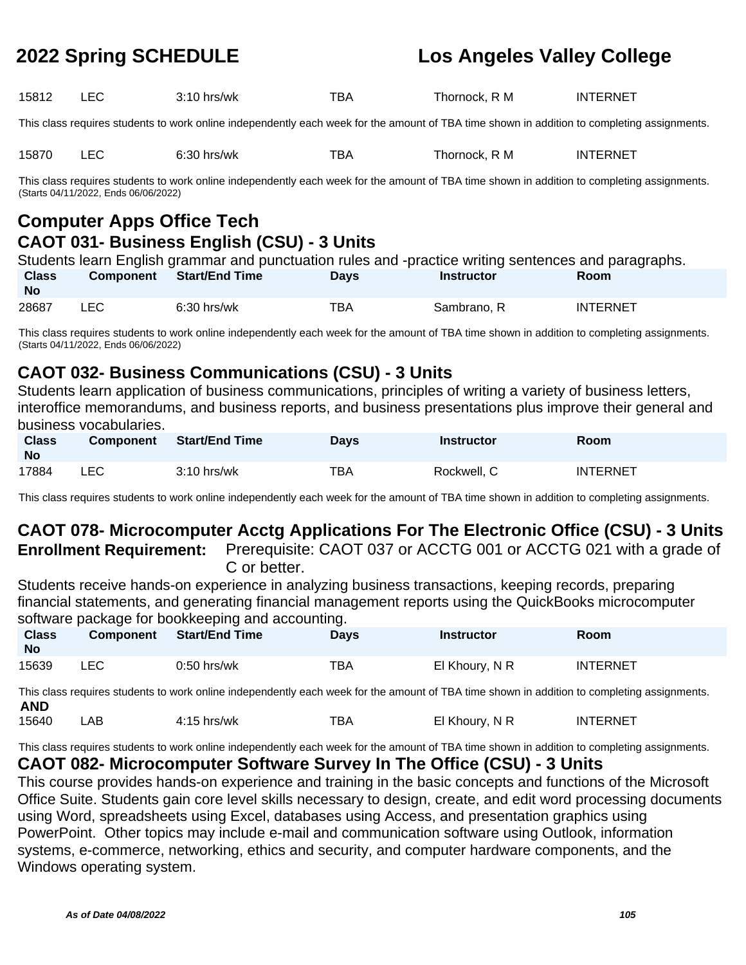| 15812<br>BA<br>⊺hornock.<br>7.10 L<br>hrs/wk<br>- | $\overline{\phantom{a}}$ |  |  | TD 1 | R M | <b>INTERNET</b> |  |
|---------------------------------------------------|--------------------------|--|--|------|-----|-----------------|--|
|---------------------------------------------------|--------------------------|--|--|------|-----|-----------------|--|

This class requires students to work online independently each week for the amount of TBA time shown in addition to completing assignments.

|  | 15870 | -- - | hrs/wk<br>0.JL | тва. | ⊺hornock.<br>. M | NTERNET<br>١N |
|--|-------|------|----------------|------|------------------|---------------|
|--|-------|------|----------------|------|------------------|---------------|

This class requires students to work online independently each week for the amount of TBA time shown in addition to completing assignments. (Starts 04/11/2022, Ends 06/06/2022)

# **Computer Apps Office Tech CAOT 031- Business English (CSU) - 3 Units**

|                           |      | Students learn English grammar and punctuation rules and -practice writing sentences and paragraphs. |             |                   |                 |
|---------------------------|------|------------------------------------------------------------------------------------------------------|-------------|-------------------|-----------------|
| <b>Class</b><br><b>No</b> |      | Component Start/End Time                                                                             | <b>Davs</b> | <b>Instructor</b> | <b>Room</b>     |
| 28687                     | LEC. | $6:30$ hrs/wk                                                                                        | ТВА         | Sambrano, R       | <b>INTERNET</b> |

This class requires students to work online independently each week for the amount of TBA time shown in addition to completing assignments. (Starts 04/11/2022, Ends 06/06/2022)

## **CAOT 032- Business Communications (CSU) - 3 Units**

Students learn application of business communications, principles of writing a variety of business letters, interoffice memorandums, and business reports, and business presentations plus improve their general and business vocabularies.

| <b>Class</b><br><b>No</b> | <b>Component</b> | Start/End Time | Davs | <b>Instructor</b> | Room            |
|---------------------------|------------------|----------------|------|-------------------|-----------------|
| 17884                     | LEC              | $3:10$ hrs/wk  | TBA  | Rockwell, C       | <b>INTERNET</b> |

This class requires students to work online independently each week for the amount of TBA time shown in addition to completing assignments.

# **CAOT 078- Microcomputer Acctg Applications For The Electronic Office (CSU) - 3 Units**

**Enrollment Requirement:** Prerequisite: CAOT 037 or ACCTG 001 or ACCTG 021 with a grade of C or better.

Students receive hands-on experience in analyzing business transactions, keeping records, preparing financial statements, and generating financial management reports using the QuickBooks microcomputer software package for bookkeeping and accounting.

| <b>Class</b><br><b>No</b> | <b>Component</b> | Start/End Time | <b>Davs</b> | <b>Instructor</b> | Room            |
|---------------------------|------------------|----------------|-------------|-------------------|-----------------|
| 15639                     | LEC              | $0:50$ hrs/wk  | TBA         | El Khoury, N R    | <b>INTERNET</b> |

This class requires students to work online independently each week for the amount of TBA time shown in addition to completing assignments. **AND**

15640 LAB 4:15 hrs/wk TBA El Khoury, N R INTERNET

This class requires students to work online independently each week for the amount of TBA time shown in addition to completing assignments.

### **CAOT 082- Microcomputer Software Survey In The Office (CSU) - 3 Units**

This course provides hands-on experience and training in the basic concepts and functions of the Microsoft Office Suite. Students gain core level skills necessary to design, create, and edit word processing documents using Word, spreadsheets using Excel, databases using Access, and presentation graphics using PowerPoint. Other topics may include e-mail and communication software using Outlook, information systems, e-commerce, networking, ethics and security, and computer hardware components, and the Windows operating system.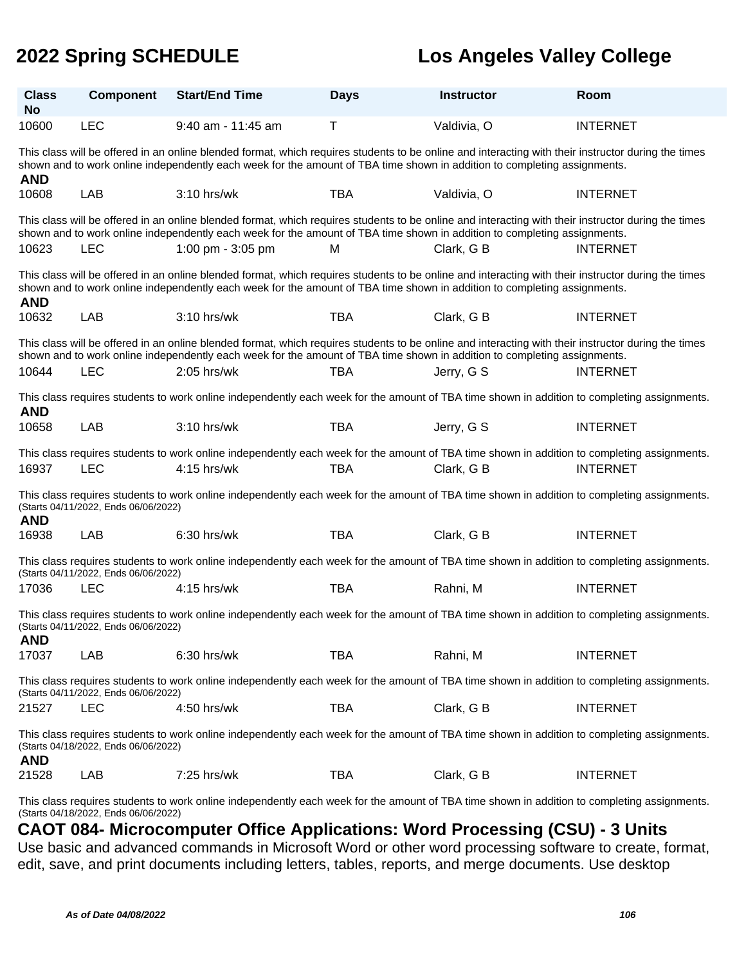| <b>Class</b><br><b>No</b>                                                                                                                                                                                                                                                                     | <b>Component</b>                     | <b>Start/End Time</b>                                                                                                                                                                                                                                                           | <b>Days</b> | <b>Instructor</b> | Room            |  |
|-----------------------------------------------------------------------------------------------------------------------------------------------------------------------------------------------------------------------------------------------------------------------------------------------|--------------------------------------|---------------------------------------------------------------------------------------------------------------------------------------------------------------------------------------------------------------------------------------------------------------------------------|-------------|-------------------|-----------------|--|
| 10600                                                                                                                                                                                                                                                                                         | <b>LEC</b>                           | 9:40 am - 11:45 am                                                                                                                                                                                                                                                              | T           | Valdivia, O       | <b>INTERNET</b> |  |
| This class will be offered in an online blended format, which requires students to be online and interacting with their instructor during the times<br>shown and to work online independently each week for the amount of TBA time shown in addition to completing assignments.<br><b>AND</b> |                                      |                                                                                                                                                                                                                                                                                 |             |                   |                 |  |
| 10608                                                                                                                                                                                                                                                                                         | <b>LAB</b>                           | 3:10 hrs/wk                                                                                                                                                                                                                                                                     | <b>TBA</b>  | Valdivia, O       | <b>INTERNET</b> |  |
|                                                                                                                                                                                                                                                                                               |                                      | This class will be offered in an online blended format, which requires students to be online and interacting with their instructor during the times<br>shown and to work online independently each week for the amount of TBA time shown in addition to completing assignments. |             |                   |                 |  |
| 10623                                                                                                                                                                                                                                                                                         | <b>LEC</b>                           | 1:00 pm - 3:05 pm                                                                                                                                                                                                                                                               | M           | Clark, G B        | <b>INTERNET</b> |  |
| <b>AND</b>                                                                                                                                                                                                                                                                                    |                                      | This class will be offered in an online blended format, which requires students to be online and interacting with their instructor during the times<br>shown and to work online independently each week for the amount of TBA time shown in addition to completing assignments. |             |                   |                 |  |
| 10632                                                                                                                                                                                                                                                                                         | <b>LAB</b>                           | 3:10 hrs/wk                                                                                                                                                                                                                                                                     | <b>TBA</b>  | Clark, G B        | <b>INTERNET</b> |  |
|                                                                                                                                                                                                                                                                                               |                                      | This class will be offered in an online blended format, which requires students to be online and interacting with their instructor during the times<br>shown and to work online independently each week for the amount of TBA time shown in addition to completing assignments. |             |                   |                 |  |
| 10644                                                                                                                                                                                                                                                                                         | <b>LEC</b>                           | $2:05$ hrs/wk                                                                                                                                                                                                                                                                   | TBA         | Jerry, G S        | <b>INTERNET</b> |  |
| <b>AND</b>                                                                                                                                                                                                                                                                                    |                                      | This class requires students to work online independently each week for the amount of TBA time shown in addition to completing assignments.                                                                                                                                     |             |                   |                 |  |
| 10658                                                                                                                                                                                                                                                                                         | <b>LAB</b>                           | 3:10 hrs/wk                                                                                                                                                                                                                                                                     | <b>TBA</b>  | Jerry, G S        | <b>INTERNET</b> |  |
| 16937                                                                                                                                                                                                                                                                                         | <b>LEC</b>                           | This class requires students to work online independently each week for the amount of TBA time shown in addition to completing assignments.<br>4:15 hrs/wk                                                                                                                      | <b>TBA</b>  | Clark, G B        | <b>INTERNET</b> |  |
| <b>AND</b>                                                                                                                                                                                                                                                                                    | (Starts 04/11/2022, Ends 06/06/2022) | This class requires students to work online independently each week for the amount of TBA time shown in addition to completing assignments.                                                                                                                                     |             |                   |                 |  |
| 16938                                                                                                                                                                                                                                                                                         | LAB                                  | 6:30 hrs/wk                                                                                                                                                                                                                                                                     | <b>TBA</b>  | Clark, G B        | <b>INTERNET</b> |  |
|                                                                                                                                                                                                                                                                                               | (Starts 04/11/2022, Ends 06/06/2022) | This class requires students to work online independently each week for the amount of TBA time shown in addition to completing assignments.                                                                                                                                     |             |                   |                 |  |
| 17036                                                                                                                                                                                                                                                                                         | <b>LEC</b>                           | 4:15 hrs/wk                                                                                                                                                                                                                                                                     | <b>TBA</b>  | Rahni, M          | <b>INTERNET</b> |  |
| This class requires students to work online independently each week for the amount of TBA time shown in addition to completing assignments.<br>(Starts 04/11/2022, Ends 06/06/2022)<br><b>AND</b>                                                                                             |                                      |                                                                                                                                                                                                                                                                                 |             |                   |                 |  |
| 17037                                                                                                                                                                                                                                                                                         | <b>LAB</b>                           | 6:30 hrs/wk                                                                                                                                                                                                                                                                     | <b>TBA</b>  | Rahni, M          | <b>INTERNET</b> |  |
| This class requires students to work online independently each week for the amount of TBA time shown in addition to completing assignments.<br>(Starts 04/11/2022, Ends 06/06/2022)                                                                                                           |                                      |                                                                                                                                                                                                                                                                                 |             |                   |                 |  |
| 21527                                                                                                                                                                                                                                                                                         | <b>LEC</b>                           | 4:50 hrs/wk                                                                                                                                                                                                                                                                     | <b>TBA</b>  | Clark, G B        | <b>INTERNET</b> |  |
| This class requires students to work online independently each week for the amount of TBA time shown in addition to completing assignments.<br>(Starts 04/18/2022, Ends 06/06/2022)<br><b>AND</b>                                                                                             |                                      |                                                                                                                                                                                                                                                                                 |             |                   |                 |  |
| 21528                                                                                                                                                                                                                                                                                         | LAB                                  | 7:25 hrs/wk                                                                                                                                                                                                                                                                     | <b>TBA</b>  | Clark, G B        | <b>INTERNET</b> |  |
|                                                                                                                                                                                                                                                                                               |                                      |                                                                                                                                                                                                                                                                                 |             |                   |                 |  |

This class requires students to work online independently each week for the amount of TBA time shown in addition to completing assignments. (Starts 04/18/2022, Ends 06/06/2022)

### **CAOT 084- Microcomputer Office Applications: Word Processing (CSU) - 3 Units**

Use basic and advanced commands in Microsoft Word or other word processing software to create, format, edit, save, and print documents including letters, tables, reports, and merge documents. Use desktop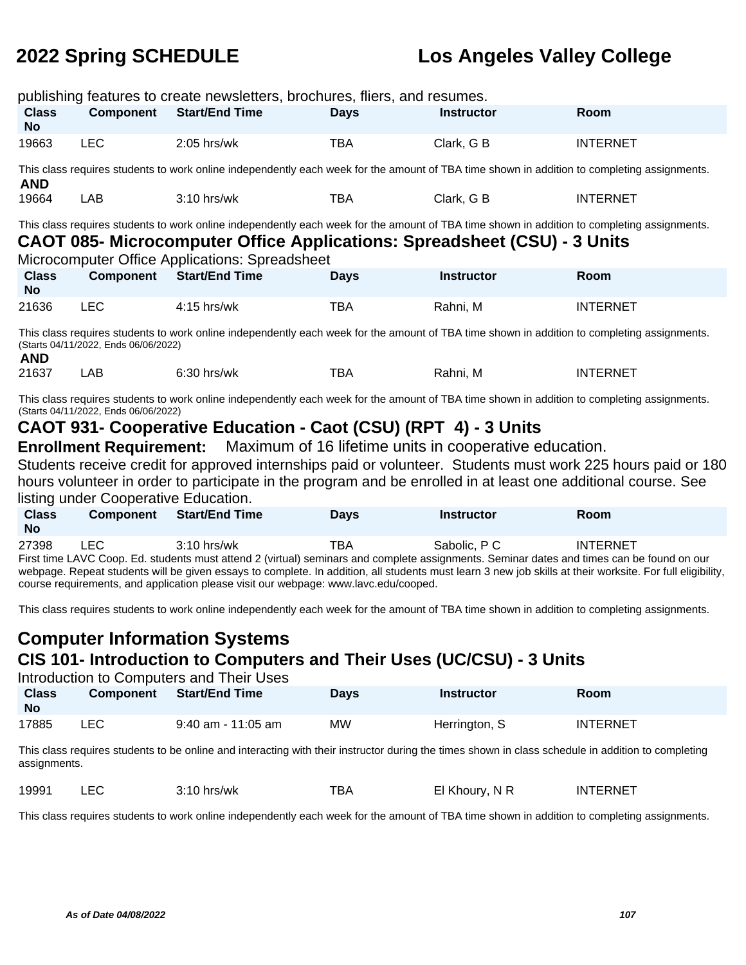| publishing features to create newsletters, brochures, fliers, and resumes.                                                                                                                                                                                                                                                                                                                                                                                                           |                                                                                                                                             |                                                                |             |                   |                 |  |  |
|--------------------------------------------------------------------------------------------------------------------------------------------------------------------------------------------------------------------------------------------------------------------------------------------------------------------------------------------------------------------------------------------------------------------------------------------------------------------------------------|---------------------------------------------------------------------------------------------------------------------------------------------|----------------------------------------------------------------|-------------|-------------------|-----------------|--|--|
| <b>Class</b><br><b>No</b>                                                                                                                                                                                                                                                                                                                                                                                                                                                            | <b>Component</b>                                                                                                                            | <b>Start/End Time</b>                                          | <b>Days</b> | <b>Instructor</b> | Room            |  |  |
| 19663                                                                                                                                                                                                                                                                                                                                                                                                                                                                                | <b>LEC</b>                                                                                                                                  | $2:05$ hrs/wk                                                  | <b>TBA</b>  | Clark, G B        | <b>INTERNET</b> |  |  |
| <b>AND</b>                                                                                                                                                                                                                                                                                                                                                                                                                                                                           | This class requires students to work online independently each week for the amount of TBA time shown in addition to completing assignments. |                                                                |             |                   |                 |  |  |
| 19664                                                                                                                                                                                                                                                                                                                                                                                                                                                                                | LAB                                                                                                                                         | 3:10 hrs/wk                                                    | <b>TBA</b>  | Clark, G B        | <b>INTERNET</b> |  |  |
| This class requires students to work online independently each week for the amount of TBA time shown in addition to completing assignments.<br>CAOT 085- Microcomputer Office Applications: Spreadsheet (CSU) - 3 Units<br>Microcomputer Office Applications: Spreadsheet                                                                                                                                                                                                            |                                                                                                                                             |                                                                |             |                   |                 |  |  |
| <b>Class</b><br><b>No</b>                                                                                                                                                                                                                                                                                                                                                                                                                                                            | <b>Component</b>                                                                                                                            | <b>Start/End Time</b>                                          | <b>Days</b> | <b>Instructor</b> | Room            |  |  |
| 21636                                                                                                                                                                                                                                                                                                                                                                                                                                                                                | <b>LEC</b>                                                                                                                                  | 4:15 hrs/wk                                                    | <b>TBA</b>  | Rahni, M          | <b>INTERNET</b> |  |  |
| This class requires students to work online independently each week for the amount of TBA time shown in addition to completing assignments.<br>(Starts 04/11/2022, Ends 06/06/2022)<br><b>AND</b>                                                                                                                                                                                                                                                                                    |                                                                                                                                             |                                                                |             |                   |                 |  |  |
| 21637                                                                                                                                                                                                                                                                                                                                                                                                                                                                                | LAB                                                                                                                                         | 6:30 hrs/wk                                                    | <b>TBA</b>  | Rahni, M          | <b>INTERNET</b> |  |  |
| This class requires students to work online independently each week for the amount of TBA time shown in addition to completing assignments.<br>(Starts 04/11/2022, Ends 06/06/2022)                                                                                                                                                                                                                                                                                                  |                                                                                                                                             |                                                                |             |                   |                 |  |  |
|                                                                                                                                                                                                                                                                                                                                                                                                                                                                                      |                                                                                                                                             | CAOT 931- Cooperative Education - Caot (CSU) (RPT 4) - 3 Units |             |                   |                 |  |  |
| Maximum of 16 lifetime units in cooperative education.<br><b>Enrollment Requirement:</b><br>Students receive credit for approved internships paid or volunteer. Students must work 225 hours paid or 180<br>hours volunteer in order to participate in the program and be enrolled in at least one additional course. See<br>listing under Cooperative Education.                                                                                                                    |                                                                                                                                             |                                                                |             |                   |                 |  |  |
| <b>Class</b><br><b>No</b>                                                                                                                                                                                                                                                                                                                                                                                                                                                            | <b>Component</b>                                                                                                                            | <b>Start/End Time</b>                                          | <b>Days</b> | <b>Instructor</b> | Room            |  |  |
| <b>LEC</b><br>3:10 hrs/wk<br><b>TBA</b><br>Sabolic, P C<br>27398<br><b>INTERNET</b><br>First time LAVC Coop. Ed. students must attend 2 (virtual) seminars and complete assignments. Seminar dates and times can be found on our<br>webpage. Repeat students will be given essays to complete. In addition, all students must learn 3 new job skills at their worksite. For full eligibility,<br>course requirements, and application please visit our webpage: www.lavc.edu/cooped. |                                                                                                                                             |                                                                |             |                   |                 |  |  |

This class requires students to work online independently each week for the amount of TBA time shown in addition to completing assignments.

# **Computer Information Systems CIS 101- Introduction to Computers and Their Uses (UC/CSU) - 3 Units**

| Introduction to Computers and Their Uses |                  |                       |             |                   |             |  |
|------------------------------------------|------------------|-----------------------|-------------|-------------------|-------------|--|
| <b>Class</b>                             | <b>Component</b> | <b>Start/End Time</b> | <b>Davs</b> | <b>Instructor</b> | <b>Room</b> |  |
| <b>No</b>                                |                  |                       |             |                   |             |  |
| 17885                                    | LEC.             | 9:40 am - 11:05 am    | <b>MW</b>   | Herrington, S     | INTERNET    |  |

This class requires students to be online and interacting with their instructor during the times shown in class schedule in addition to completing assignments.

| 19991 | ` hrs/wk<br>1.7 | --<br>BΑ | $\lnot$ Khoury $\lnot$<br>'. N R | ™FRNET<br>INT |
|-------|-----------------|----------|----------------------------------|---------------|
|       |                 |          | $\sim$ $\sim$ $\sim$             |               |

This class requires students to work online independently each week for the amount of TBA time shown in addition to completing assignments.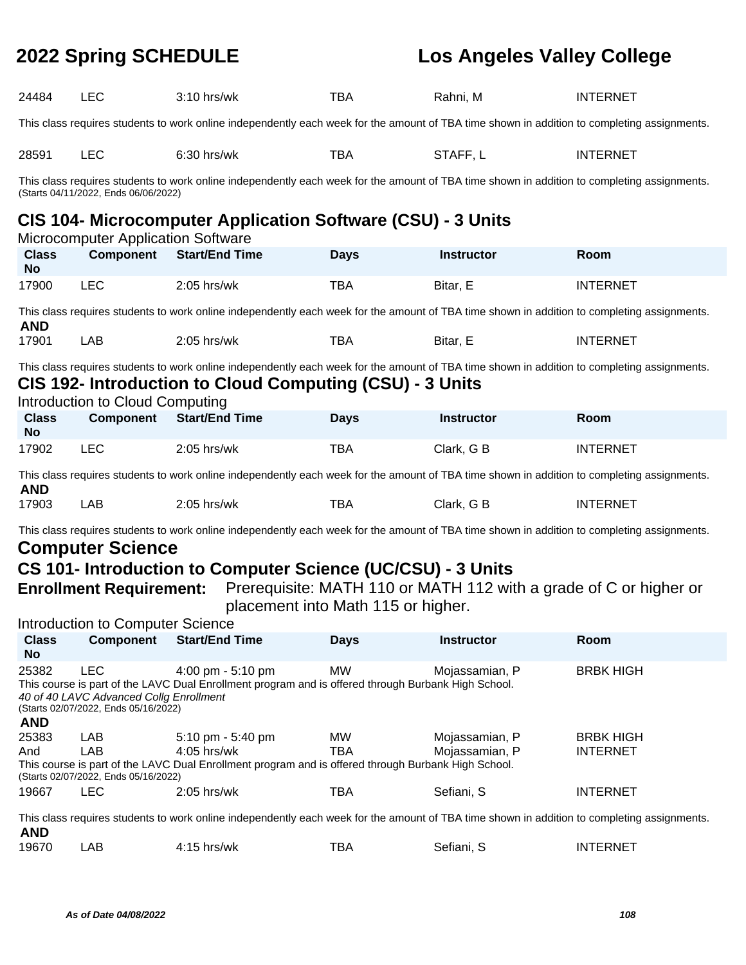| 24484                                                                                                                                                                                                                                                                                                                                                                              | <b>LEC</b>                                                                                                                                  | 3:10 hrs/wk                                                                                                                                                                                             | <b>TBA</b>       | Rahni, M                         | <b>INTERNET</b>                     |  |  |
|------------------------------------------------------------------------------------------------------------------------------------------------------------------------------------------------------------------------------------------------------------------------------------------------------------------------------------------------------------------------------------|---------------------------------------------------------------------------------------------------------------------------------------------|---------------------------------------------------------------------------------------------------------------------------------------------------------------------------------------------------------|------------------|----------------------------------|-------------------------------------|--|--|
| This class requires students to work online independently each week for the amount of TBA time shown in addition to completing assignments.                                                                                                                                                                                                                                        |                                                                                                                                             |                                                                                                                                                                                                         |                  |                                  |                                     |  |  |
| 28591                                                                                                                                                                                                                                                                                                                                                                              | <b>LEC</b>                                                                                                                                  | 6:30 hrs/wk                                                                                                                                                                                             | <b>TBA</b>       | STAFF, L                         | <b>INTERNET</b>                     |  |  |
|                                                                                                                                                                                                                                                                                                                                                                                    | (Starts 04/11/2022, Ends 06/06/2022)                                                                                                        | This class requires students to work online independently each week for the amount of TBA time shown in addition to completing assignments.                                                             |                  |                                  |                                     |  |  |
|                                                                                                                                                                                                                                                                                                                                                                                    | <b>Microcomputer Application Software</b>                                                                                                   | CIS 104- Microcomputer Application Software (CSU) - 3 Units                                                                                                                                             |                  |                                  |                                     |  |  |
| <b>Class</b><br><b>No</b>                                                                                                                                                                                                                                                                                                                                                          | <b>Component</b>                                                                                                                            | <b>Start/End Time</b>                                                                                                                                                                                   | <b>Days</b>      | <b>Instructor</b>                | Room                                |  |  |
| 17900                                                                                                                                                                                                                                                                                                                                                                              | <b>LEC</b>                                                                                                                                  | $2:05$ hrs/wk                                                                                                                                                                                           | <b>TBA</b>       | Bitar, E                         | <b>INTERNET</b>                     |  |  |
| <b>AND</b>                                                                                                                                                                                                                                                                                                                                                                         |                                                                                                                                             | This class requires students to work online independently each week for the amount of TBA time shown in addition to completing assignments.                                                             |                  |                                  |                                     |  |  |
| 17901                                                                                                                                                                                                                                                                                                                                                                              | LAB                                                                                                                                         | 2:05 hrs/wk                                                                                                                                                                                             | <b>TBA</b>       | Bitar, E                         | <b>INTERNET</b>                     |  |  |
|                                                                                                                                                                                                                                                                                                                                                                                    | Introduction to Cloud Computing                                                                                                             | This class requires students to work online independently each week for the amount of TBA time shown in addition to completing assignments.<br>CIS 192- Introduction to Cloud Computing (CSU) - 3 Units |                  |                                  |                                     |  |  |
| <b>Class</b><br><b>No</b>                                                                                                                                                                                                                                                                                                                                                          | <b>Component</b>                                                                                                                            | <b>Start/End Time</b>                                                                                                                                                                                   | <b>Days</b>      | <b>Instructor</b>                | Room                                |  |  |
| 17902                                                                                                                                                                                                                                                                                                                                                                              | <b>LEC</b>                                                                                                                                  | 2:05 hrs/wk                                                                                                                                                                                             | <b>TBA</b>       | Clark, G B                       | <b>INTERNET</b>                     |  |  |
| <b>AND</b>                                                                                                                                                                                                                                                                                                                                                                         |                                                                                                                                             | This class requires students to work online independently each week for the amount of TBA time shown in addition to completing assignments.                                                             |                  |                                  |                                     |  |  |
| 17903                                                                                                                                                                                                                                                                                                                                                                              | LAB                                                                                                                                         | 2:05 hrs/wk                                                                                                                                                                                             | <b>TBA</b>       | Clark, G B                       | <b>INTERNET</b>                     |  |  |
| This class requires students to work online independently each week for the amount of TBA time shown in addition to completing assignments.<br><b>Computer Science</b><br>CS 101- Introduction to Computer Science (UC/CSU) - 3 Units<br>Prerequisite: MATH 110 or MATH 112 with a grade of C or higher or<br><b>Enrollment Requirement:</b><br>placement into Math 115 or higher. |                                                                                                                                             |                                                                                                                                                                                                         |                  |                                  |                                     |  |  |
| <b>Class</b>                                                                                                                                                                                                                                                                                                                                                                       | Introduction to Computer Science<br><b>Component</b>                                                                                        | <b>Start/End Time</b>                                                                                                                                                                                   | <b>Days</b>      | <b>Instructor</b>                | Room                                |  |  |
| <b>No</b>                                                                                                                                                                                                                                                                                                                                                                          |                                                                                                                                             |                                                                                                                                                                                                         |                  |                                  |                                     |  |  |
| <b>LEC</b><br><b>MW</b><br>25382<br><b>BRBK HIGH</b><br>4:00 pm - $5:10$ pm<br>Mojassamian, P<br>This course is part of the LAVC Dual Enrollment program and is offered through Burbank High School.<br>40 of 40 LAVC Advanced Collg Enrollment<br>(Starts 02/07/2022, Ends 05/16/2022)<br><b>AND</b>                                                                              |                                                                                                                                             |                                                                                                                                                                                                         |                  |                                  |                                     |  |  |
| 25383<br>And                                                                                                                                                                                                                                                                                                                                                                       | LAB<br>LAB<br>(Starts 02/07/2022, Ends 05/16/2022)                                                                                          | 5:10 pm - 5:40 pm<br>$4:05$ hrs/wk<br>This course is part of the LAVC Dual Enrollment program and is offered through Burbank High School.                                                               | MW<br><b>TBA</b> | Mojassamian, P<br>Mojassamian, P | <b>BRBK HIGH</b><br><b>INTERNET</b> |  |  |
| 19667                                                                                                                                                                                                                                                                                                                                                                              | <b>LEC</b>                                                                                                                                  | 2:05 hrs/wk                                                                                                                                                                                             | <b>TBA</b>       | Sefiani, S                       | <b>INTERNET</b>                     |  |  |
| <b>AND</b>                                                                                                                                                                                                                                                                                                                                                                         | This class requires students to work online independently each week for the amount of TBA time shown in addition to completing assignments. |                                                                                                                                                                                                         |                  |                                  |                                     |  |  |
| 19670                                                                                                                                                                                                                                                                                                                                                                              | LAB                                                                                                                                         | 4:15 hrs/wk                                                                                                                                                                                             | <b>TBA</b>       | Sefiani, S                       | <b>INTERNET</b>                     |  |  |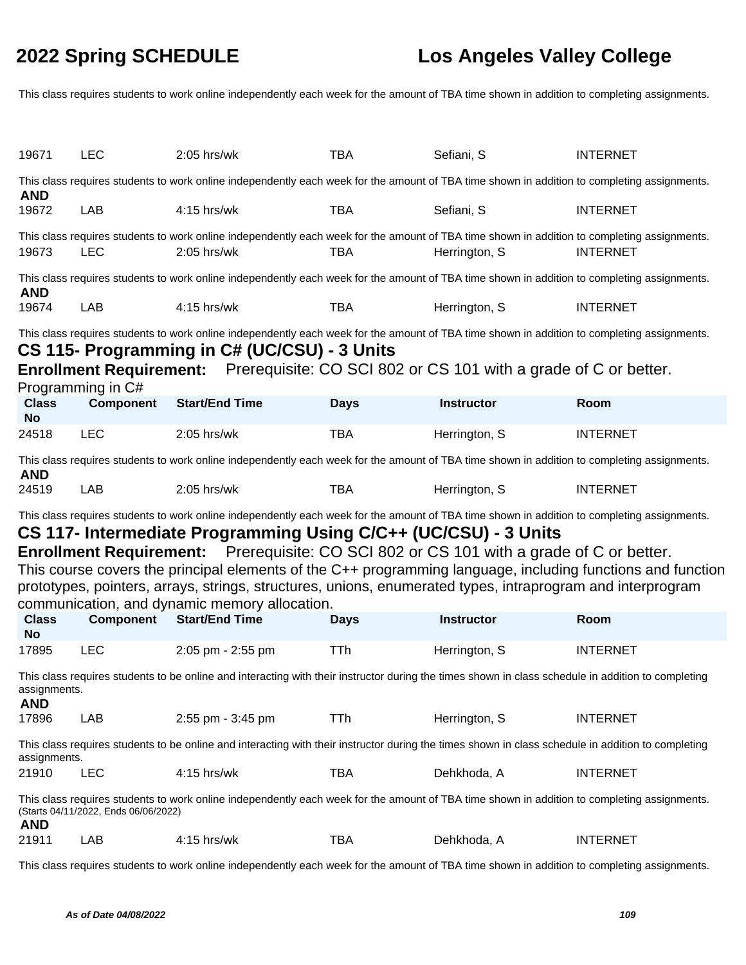This class requires students to work online independently each week for the amount of TBA time shown in addition to completing assignments.

| 19671                                                                                                                                                                                                                                                                                                                                                                                                                                                                                                                                                                                          | <b>LEC</b>                           | 2:05 hrs/wk                                                                                                                                                                                                                                                                                   | <b>TBA</b>  | Sefiani, S        | <b>INTERNET</b> |  |
|------------------------------------------------------------------------------------------------------------------------------------------------------------------------------------------------------------------------------------------------------------------------------------------------------------------------------------------------------------------------------------------------------------------------------------------------------------------------------------------------------------------------------------------------------------------------------------------------|--------------------------------------|-----------------------------------------------------------------------------------------------------------------------------------------------------------------------------------------------------------------------------------------------------------------------------------------------|-------------|-------------------|-----------------|--|
| <b>AND</b>                                                                                                                                                                                                                                                                                                                                                                                                                                                                                                                                                                                     |                                      | This class requires students to work online independently each week for the amount of TBA time shown in addition to completing assignments.                                                                                                                                                   |             |                   |                 |  |
| 19672                                                                                                                                                                                                                                                                                                                                                                                                                                                                                                                                                                                          | LAB                                  | 4:15 hrs/wk                                                                                                                                                                                                                                                                                   | <b>TBA</b>  | Sefiani, S        | <b>INTERNET</b> |  |
| 19673                                                                                                                                                                                                                                                                                                                                                                                                                                                                                                                                                                                          | <b>LEC</b>                           | This class requires students to work online independently each week for the amount of TBA time shown in addition to completing assignments.<br>$2:05$ hrs/wk                                                                                                                                  | <b>TBA</b>  | Herrington, S     | <b>INTERNET</b> |  |
| <b>AND</b>                                                                                                                                                                                                                                                                                                                                                                                                                                                                                                                                                                                     |                                      | This class requires students to work online independently each week for the amount of TBA time shown in addition to completing assignments.                                                                                                                                                   |             |                   |                 |  |
| 19674                                                                                                                                                                                                                                                                                                                                                                                                                                                                                                                                                                                          | LAB                                  | $4:15$ hrs/wk                                                                                                                                                                                                                                                                                 | <b>TBA</b>  | Herrington, S     | <b>INTERNET</b> |  |
|                                                                                                                                                                                                                                                                                                                                                                                                                                                                                                                                                                                                | Programming in C#                    | This class requires students to work online independently each week for the amount of TBA time shown in addition to completing assignments.<br>CS 115- Programming in C# (UC/CSU) - 3 Units<br><b>Enrollment Requirement:</b> Prerequisite: CO SCI 802 or CS 101 with a grade of C or better. |             |                   |                 |  |
| <b>Class</b><br><b>No</b>                                                                                                                                                                                                                                                                                                                                                                                                                                                                                                                                                                      | <b>Component</b>                     | <b>Start/End Time</b>                                                                                                                                                                                                                                                                         | <b>Days</b> | <b>Instructor</b> | Room            |  |
| 24518                                                                                                                                                                                                                                                                                                                                                                                                                                                                                                                                                                                          | <b>LEC</b>                           | 2:05 hrs/wk                                                                                                                                                                                                                                                                                   | <b>TBA</b>  | Herrington, S     | <b>INTERNET</b> |  |
| <b>AND</b>                                                                                                                                                                                                                                                                                                                                                                                                                                                                                                                                                                                     |                                      | This class requires students to work online independently each week for the amount of TBA time shown in addition to completing assignments.                                                                                                                                                   |             |                   |                 |  |
| 24519                                                                                                                                                                                                                                                                                                                                                                                                                                                                                                                                                                                          | LAB                                  | 2:05 hrs/wk                                                                                                                                                                                                                                                                                   | <b>TBA</b>  | Herrington, S     | <b>INTERNET</b> |  |
| This class requires students to work online independently each week for the amount of TBA time shown in addition to completing assignments.<br>CS 117- Intermediate Programming Using C/C++ (UC/CSU) - 3 Units<br><b>Enrollment Requirement:</b> Prerequisite: CO SCI 802 or CS 101 with a grade of C or better.<br>This course covers the principal elements of the C++ programming language, including functions and function<br>prototypes, pointers, arrays, strings, structures, unions, enumerated types, intraprogram and interprogram<br>communication, and dynamic memory allocation. |                                      |                                                                                                                                                                                                                                                                                               |             |                   |                 |  |
| <b>Class</b><br><b>No</b>                                                                                                                                                                                                                                                                                                                                                                                                                                                                                                                                                                      | <b>Component</b>                     | <b>Start/End Time</b>                                                                                                                                                                                                                                                                         | <b>Days</b> | <b>Instructor</b> | Room            |  |
| 17895                                                                                                                                                                                                                                                                                                                                                                                                                                                                                                                                                                                          | <b>LEC</b>                           | 2:05 pm - 2:55 pm                                                                                                                                                                                                                                                                             | <b>TTh</b>  | Herrington, S     | <b>INTERNET</b> |  |
| assignments.<br><b>AND</b>                                                                                                                                                                                                                                                                                                                                                                                                                                                                                                                                                                     |                                      | This class requires students to be online and interacting with their instructor during the times shown in class schedule in addition to completing                                                                                                                                            |             |                   |                 |  |
| 17896                                                                                                                                                                                                                                                                                                                                                                                                                                                                                                                                                                                          | LAB                                  | 2:55 pm - 3:45 pm                                                                                                                                                                                                                                                                             | <b>TTh</b>  | Herrington, S     | <b>INTERNET</b> |  |
| assignments.                                                                                                                                                                                                                                                                                                                                                                                                                                                                                                                                                                                   |                                      | This class requires students to be online and interacting with their instructor during the times shown in class schedule in addition to completing                                                                                                                                            |             |                   |                 |  |
| 21910                                                                                                                                                                                                                                                                                                                                                                                                                                                                                                                                                                                          | <b>LEC</b>                           | 4:15 hrs/wk                                                                                                                                                                                                                                                                                   | <b>TBA</b>  | Dehkhoda, A       | <b>INTERNET</b> |  |
| <b>AND</b>                                                                                                                                                                                                                                                                                                                                                                                                                                                                                                                                                                                     | (Starts 04/11/2022, Ends 06/06/2022) | This class requires students to work online independently each week for the amount of TBA time shown in addition to completing assignments.                                                                                                                                                   |             |                   |                 |  |
| 21911                                                                                                                                                                                                                                                                                                                                                                                                                                                                                                                                                                                          | LAB                                  | 4:15 hrs/wk                                                                                                                                                                                                                                                                                   | <b>TBA</b>  | Dehkhoda, A       | <b>INTERNET</b> |  |
|                                                                                                                                                                                                                                                                                                                                                                                                                                                                                                                                                                                                |                                      | This class requires students to work online independently each week for the amount of TBA time shown in addition to completing assignments.                                                                                                                                                   |             |                   |                 |  |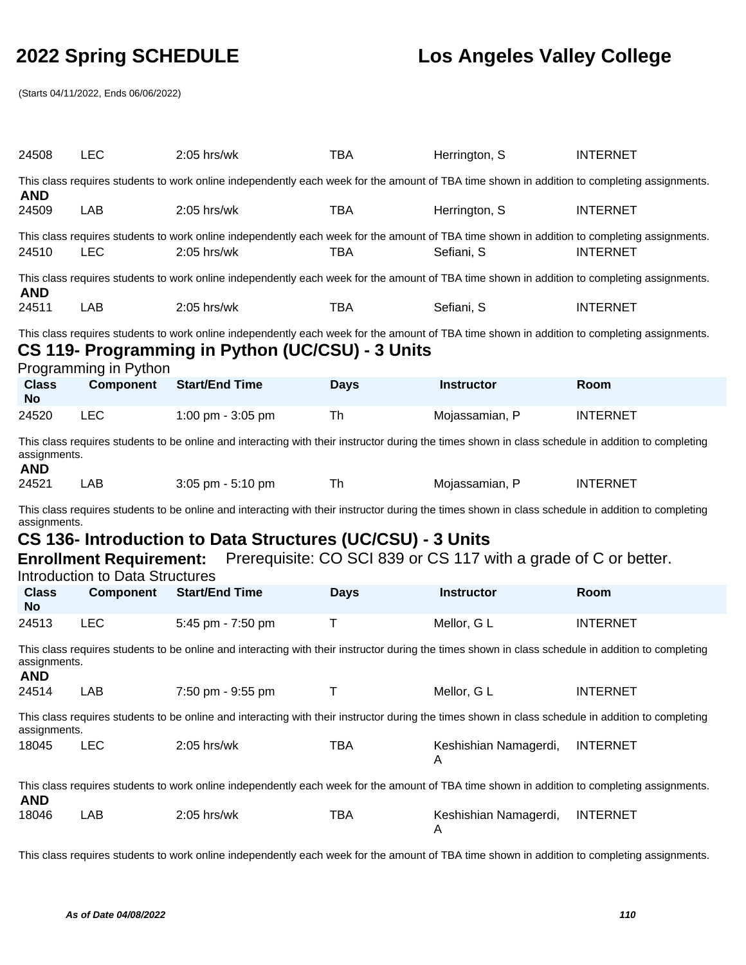(Starts 04/11/2022, Ends 06/06/2022)

| 24508                      | <b>LEC</b>                                                               | 2:05 hrs/wk                                                                                                                                                                                     | <b>TBA</b>  | Herrington, S                                                   | <b>INTERNET</b> |
|----------------------------|--------------------------------------------------------------------------|-------------------------------------------------------------------------------------------------------------------------------------------------------------------------------------------------|-------------|-----------------------------------------------------------------|-----------------|
| <b>AND</b>                 |                                                                          | This class requires students to work online independently each week for the amount of TBA time shown in addition to completing assignments.                                                     |             |                                                                 |                 |
| 24509                      | <b>LAB</b>                                                               | 2:05 hrs/wk                                                                                                                                                                                     | <b>TBA</b>  | Herrington, S                                                   | <b>INTERNET</b> |
| 24510                      | <b>LEC</b>                                                               | This class requires students to work online independently each week for the amount of TBA time shown in addition to completing assignments.<br>2:05 hrs/wk                                      | <b>TBA</b>  | Sefiani, S                                                      | <b>INTERNET</b> |
| <b>AND</b>                 |                                                                          | This class requires students to work online independently each week for the amount of TBA time shown in addition to completing assignments.                                                     |             |                                                                 |                 |
| 24511                      | LAB                                                                      | 2:05 hrs/wk                                                                                                                                                                                     | <b>TBA</b>  | Sefiani, S                                                      | <b>INTERNET</b> |
|                            | Programming in Python<br><b>Component</b>                                | This class requires students to work online independently each week for the amount of TBA time shown in addition to completing assignments.<br>CS 119- Programming in Python (UC/CSU) - 3 Units |             |                                                                 |                 |
| <b>Class</b><br><b>No</b>  |                                                                          | <b>Start/End Time</b>                                                                                                                                                                           | <b>Days</b> | <b>Instructor</b>                                               | Room            |
| 24520                      | <b>LEC</b>                                                               | 1:00 pm - 3:05 pm                                                                                                                                                                               | Th          | Mojassamian, P                                                  | <b>INTERNET</b> |
| assignments.<br><b>AND</b> |                                                                          | This class requires students to be online and interacting with their instructor during the times shown in class schedule in addition to completing                                              |             |                                                                 |                 |
| 24521                      | LAB                                                                      | 3:05 pm - 5:10 pm                                                                                                                                                                               | Th          | Mojassamian, P                                                  | <b>INTERNET</b> |
|                            |                                                                          |                                                                                                                                                                                                 |             |                                                                 |                 |
|                            |                                                                          | This class requires students to be online and interacting with their instructor during the times shown in class schedule in addition to completing                                              |             |                                                                 |                 |
| assignments.               |                                                                          | CS 136- Introduction to Data Structures (UC/CSU) - 3 Units                                                                                                                                      |             |                                                                 |                 |
|                            | <b>Enrollment Requirement:</b><br><b>Introduction to Data Structures</b> |                                                                                                                                                                                                 |             | Prerequisite: CO SCI 839 or CS 117 with a grade of C or better. |                 |
| <b>Class</b><br><b>No</b>  | <b>Component</b>                                                         | <b>Start/End Time</b>                                                                                                                                                                           | <b>Days</b> | <b>Instructor</b>                                               | Room            |
| 24513                      | <b>LEC</b>                                                               | 5:45 pm - 7:50 pm                                                                                                                                                                               | Τ           | Mellor, G L                                                     | <b>INTERNET</b> |
| assignments.               |                                                                          | This class requires students to be online and interacting with their instructor during the times shown in class schedule in addition to completing                                              |             |                                                                 |                 |
| <b>AND</b><br>24514        | LAB                                                                      | 7:50 pm - 9:55 pm                                                                                                                                                                               | T.          | Mellor, G L                                                     | <b>INTERNET</b> |
| assignments.               |                                                                          | This class requires students to be online and interacting with their instructor during the times shown in class schedule in addition to completing                                              |             |                                                                 |                 |
| 18045                      | <b>LEC</b>                                                               | 2:05 hrs/wk                                                                                                                                                                                     | <b>TBA</b>  | Keshishian Namagerdi,                                           | <b>INTERNET</b> |
| <b>AND</b>                 |                                                                          | This class requires students to work online independently each week for the amount of TBA time shown in addition to completing assignments.                                                     |             |                                                                 |                 |

This class requires students to work online independently each week for the amount of TBA time shown in addition to completing assignments.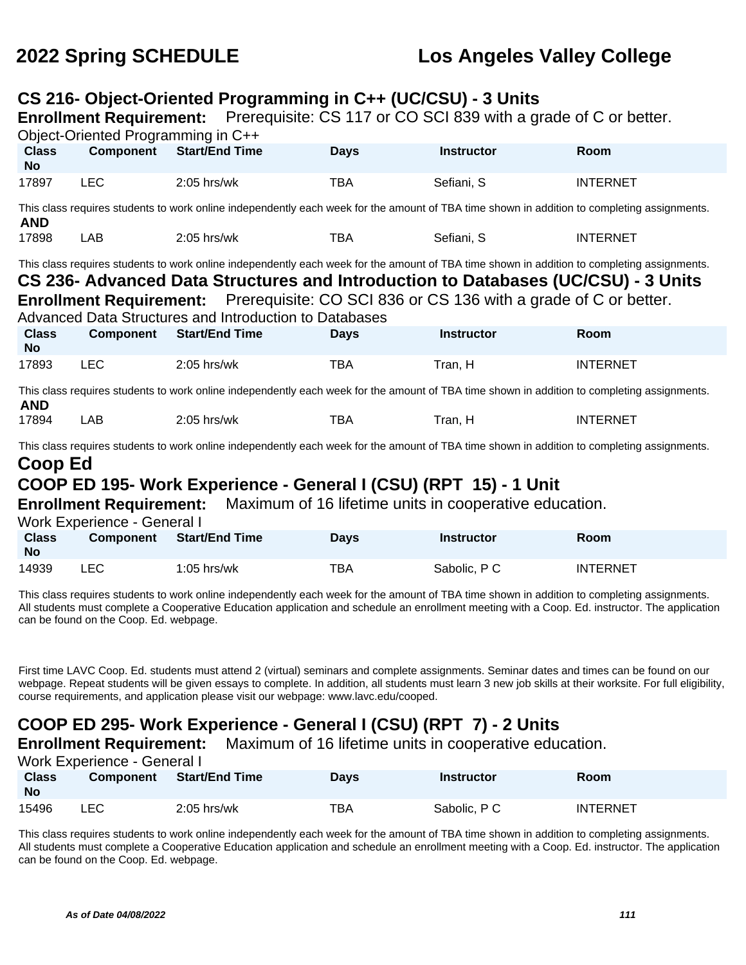### **CS 216- Object-Oriented Programming in C++ (UC/CSU) - 3 Units**

**Enrollment Requirement:** Prerequisite: CS 117 or CO SCI 839 with a grade of C or better.

|                                                                                                                                                                                                                            | Object-Oriented Programming in C++                            |                                                                                                                                                                                                                                                                                                                                    |             |                                                        |                 |  |
|----------------------------------------------------------------------------------------------------------------------------------------------------------------------------------------------------------------------------|---------------------------------------------------------------|------------------------------------------------------------------------------------------------------------------------------------------------------------------------------------------------------------------------------------------------------------------------------------------------------------------------------------|-------------|--------------------------------------------------------|-----------------|--|
| <b>Class</b><br><b>No</b>                                                                                                                                                                                                  | <b>Component</b>                                              | <b>Start/End Time</b>                                                                                                                                                                                                                                                                                                              | <b>Days</b> | <b>Instructor</b>                                      | Room            |  |
| 17897                                                                                                                                                                                                                      | <b>LEC</b>                                                    | $2:05$ hrs/wk                                                                                                                                                                                                                                                                                                                      | <b>TBA</b>  | Sefiani, S                                             | <b>INTERNET</b> |  |
| <b>AND</b>                                                                                                                                                                                                                 |                                                               | This class requires students to work online independently each week for the amount of TBA time shown in addition to completing assignments.                                                                                                                                                                                        |             |                                                        |                 |  |
| 17898                                                                                                                                                                                                                      | LAB                                                           | $2:05$ hrs/wk                                                                                                                                                                                                                                                                                                                      | <b>TBA</b>  | Sefiani, S                                             | <b>INTERNET</b> |  |
|                                                                                                                                                                                                                            |                                                               | This class requires students to work online independently each week for the amount of TBA time shown in addition to completing assignments.<br>CS 236- Advanced Data Structures and Introduction to Databases (UC/CSU) - 3 Units<br><b>Enrollment Requirement:</b> Prerequisite: CO SCI 836 or CS 136 with a grade of C or better. |             |                                                        |                 |  |
|                                                                                                                                                                                                                            |                                                               | Advanced Data Structures and Introduction to Databases                                                                                                                                                                                                                                                                             |             |                                                        |                 |  |
| <b>Class</b><br><b>No</b>                                                                                                                                                                                                  | <b>Component</b>                                              | <b>Start/End Time</b>                                                                                                                                                                                                                                                                                                              | <b>Days</b> | <b>Instructor</b>                                      | Room            |  |
| 17893                                                                                                                                                                                                                      | <b>LEC</b>                                                    | $2:05$ hrs/wk                                                                                                                                                                                                                                                                                                                      | <b>TBA</b>  | Tran, H                                                | <b>INTERNET</b> |  |
| <b>AND</b>                                                                                                                                                                                                                 |                                                               | This class requires students to work online independently each week for the amount of TBA time shown in addition to completing assignments.                                                                                                                                                                                        |             |                                                        |                 |  |
| 17894                                                                                                                                                                                                                      | LAB                                                           | $2:05$ hrs/wk                                                                                                                                                                                                                                                                                                                      | <b>TBA</b>  | Tran, H                                                | <b>INTERNET</b> |  |
| This class requires students to work online independently each week for the amount of TBA time shown in addition to completing assignments.<br>Coop Ed<br>COOP ED 195- Work Experience - General I (CSU) (RPT 15) - 1 Unit |                                                               |                                                                                                                                                                                                                                                                                                                                    |             |                                                        |                 |  |
|                                                                                                                                                                                                                            |                                                               |                                                                                                                                                                                                                                                                                                                                    |             |                                                        |                 |  |
|                                                                                                                                                                                                                            | <b>Enrollment Requirement:</b><br>Work Experience - General I |                                                                                                                                                                                                                                                                                                                                    |             | Maximum of 16 lifetime units in cooperative education. |                 |  |
| <b>Class</b><br><b>No</b>                                                                                                                                                                                                  | <b>Component</b>                                              | <b>Start/End Time</b>                                                                                                                                                                                                                                                                                                              | <b>Days</b> | <b>Instructor</b>                                      | Room            |  |
| 14939                                                                                                                                                                                                                      | <b>LEC</b>                                                    | $1:05$ hrs/wk                                                                                                                                                                                                                                                                                                                      | <b>TBA</b>  | Sabolic, P C                                           | <b>INTERNET</b> |  |

This class requires students to work online independently each week for the amount of TBA time shown in addition to completing assignments. All students must complete a Cooperative Education application and schedule an enrollment meeting with a Coop. Ed. instructor. The application can be found on the Coop. Ed. webpage.

First time LAVC Coop. Ed. students must attend 2 (virtual) seminars and complete assignments. Seminar dates and times can be found on our webpage. Repeat students will be given essays to complete. In addition, all students must learn 3 new job skills at their worksite. For full eligibility, course requirements, and application please visit our webpage: www.lavc.edu/cooped.

## **COOP ED 295- Work Experience - General I (CSU) (RPT 7) - 2 Units**

**Enrollment Requirement:** Maximum of 16 lifetime units in cooperative education.

Work Experience - General I

| <b>Class</b><br><b>No</b> | Component | <b>Start/End Time</b> | <b>Days</b> | <b>Instructor</b> | Room            |
|---------------------------|-----------|-----------------------|-------------|-------------------|-----------------|
| 15496                     | LEC       | $2:05$ hrs/wk         | TBA         | Sabolic, P C      | <b>INTERNET</b> |

This class requires students to work online independently each week for the amount of TBA time shown in addition to completing assignments. All students must complete a Cooperative Education application and schedule an enrollment meeting with a Coop. Ed. instructor. The application can be found on the Coop. Ed. webpage.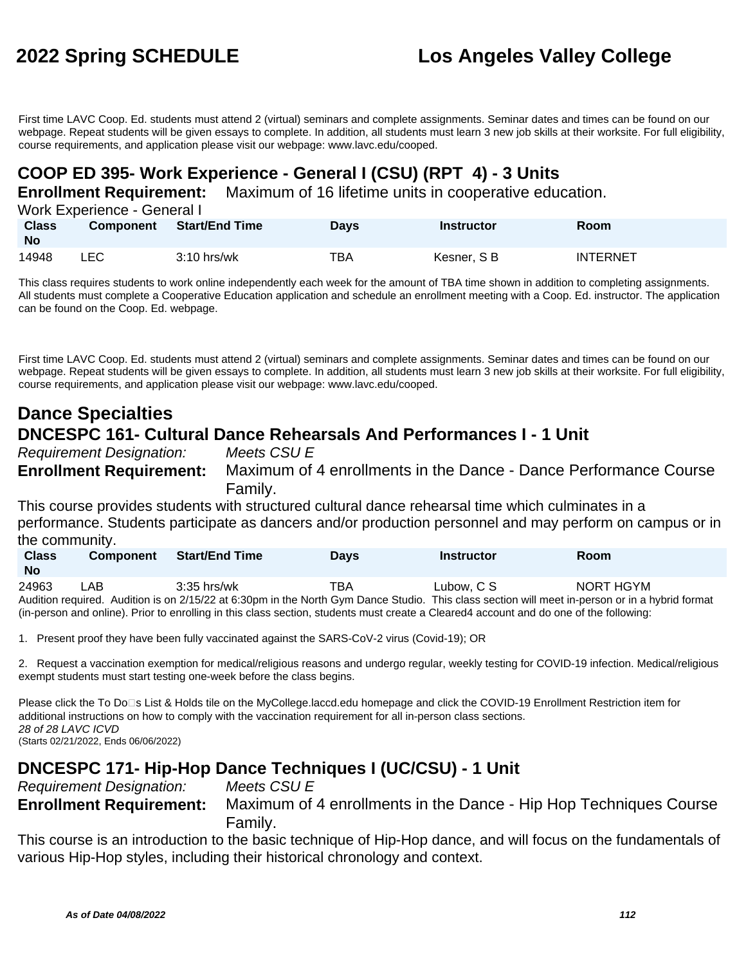First time LAVC Coop. Ed. students must attend 2 (virtual) seminars and complete assignments. Seminar dates and times can be found on our webpage. Repeat students will be given essays to complete. In addition, all students must learn 3 new job skills at their worksite. For full eligibility, course requirements, and application please visit our webpage: www.lavc.edu/cooped.

## **COOP ED 395- Work Experience - General I (CSU) (RPT 4) - 3 Units**

**Enrollment Requirement:** Maximum of 16 lifetime units in cooperative education.

Work Experience - General I

| <b>Class</b><br>No | <b>Component</b> | <b>Start/End Time</b> | Days | <b>Instructor</b> | <b>Room</b>     |
|--------------------|------------------|-----------------------|------|-------------------|-----------------|
| 14948              | ∟EC.             | $3:10$ hrs/wk         | TBA  | Kesner, S B       | <b>INTERNET</b> |

This class requires students to work online independently each week for the amount of TBA time shown in addition to completing assignments. All students must complete a Cooperative Education application and schedule an enrollment meeting with a Coop. Ed. instructor. The application can be found on the Coop. Ed. webpage.

First time LAVC Coop. Ed. students must attend 2 (virtual) seminars and complete assignments. Seminar dates and times can be found on our webpage. Repeat students will be given essays to complete. In addition, all students must learn 3 new job skills at their worksite. For full eligibility, course requirements, and application please visit our webpage: www.lavc.edu/cooped.

## **Dance Specialties DNCESPC 161- Cultural Dance Rehearsals And Performances I - 1 Unit**

Requirement Designation: Meets CSU E

**Enrollment Requirement:** Maximum of 4 enrollments in the Dance - Dance Performance Course Family.

This course provides students with structured cultural dance rehearsal time which culminates in a performance. Students participate as dancers and/or production personnel and may perform on campus or in the community.

| <b>Class</b><br><b>No</b> |      | <b>Component</b> | <b>Start/End Time</b> | Days | <b>Instructor</b> | Room                                                                                                                                            |
|---------------------------|------|------------------|-----------------------|------|-------------------|-------------------------------------------------------------------------------------------------------------------------------------------------|
| 24963                     | LAB. | $3:35$ hrs/wk    |                       | TBA  | Lubow. C S        | NORT HGYM                                                                                                                                       |
|                           |      |                  |                       |      |                   | Audition required. Audition is on 2/15/22 at 6:30pm in the North Gym Dance Studio. This class section will meet in-person or in a hybrid format |

(in-person and online). Prior to enrolling in this class section, students must create a Cleared4 account and do one of the following:

1. Present proof they have been fully vaccinated against the SARS-CoV-2 virus (Covid-19); OR

2. Request a vaccination exemption for medical/religious reasons and undergo regular, weekly testing for COVID-19 infection. Medical/religious exempt students must start testing one-week before the class begins.

Please click the To Do⊡s List & Holds tile on the MyCollege.laccd.edu homepage and click the COVID-19 Enrollment Restriction item for additional instructions on how to comply with the vaccination requirement for all in-person class sections. 28 of 28 LAVC ICVD (Starts 02/21/2022, Ends 06/06/2022)

## **DNCESPC 171- Hip-Hop Dance Techniques I (UC/CSU) - 1 Unit**

Requirement Designation: Meets CSU E **Enrollment Requirement:** Maximum of 4 enrollments in the Dance - Hip Hop Techniques Course Family.

This course is an introduction to the basic technique of Hip-Hop dance, and will focus on the fundamentals of various Hip-Hop styles, including their historical chronology and context.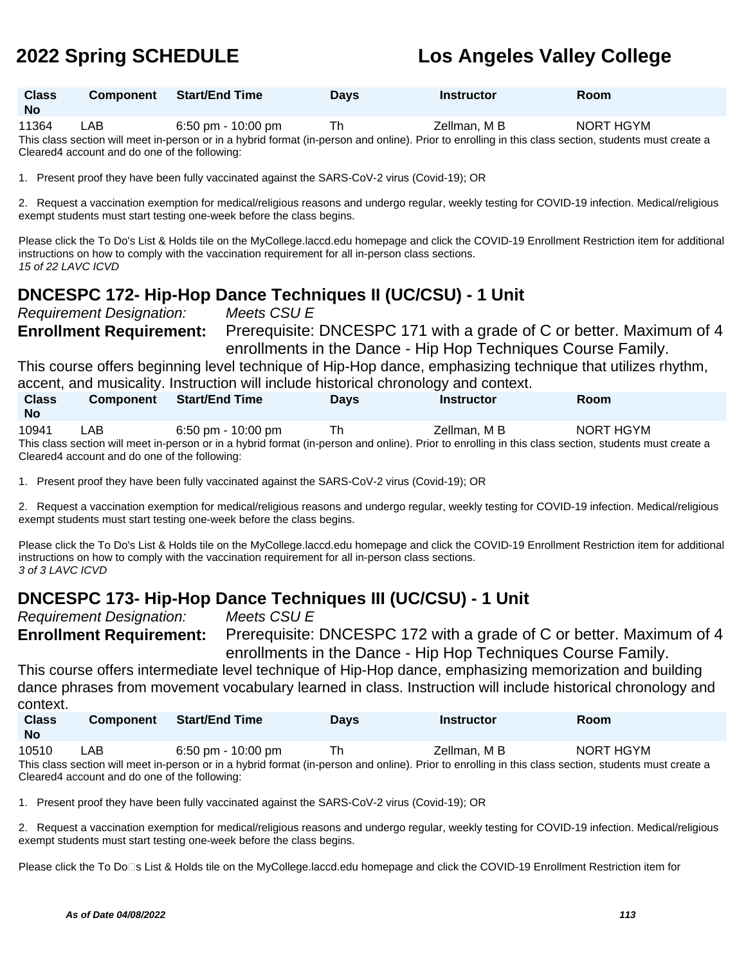| <b>Class</b><br><b>No</b> | Component | <b>Start/End Time</b> | <b>Days</b> | <b>Instructor</b> | Room           |
|---------------------------|-----------|-----------------------|-------------|-------------------|----------------|
| .                         | .         | .<br>$  -$            | $-$         | __ _<br>- - -     | . . <b>. .</b> |

11364 LAB 6:50 pm - 10:00 pm Th Zellman, M B NORT HGYM This class section will meet in-person or in a hybrid format (in-person and online). Prior to enrolling in this class section, students must create a Cleared4 account and do one of the following:

1. Present proof they have been fully vaccinated against the SARS-CoV-2 virus (Covid-19); OR

2. Request a vaccination exemption for medical/religious reasons and undergo regular, weekly testing for COVID-19 infection. Medical/religious exempt students must start testing one-week before the class begins.

Please click the To Do's List & Holds tile on the MyCollege.laccd.edu homepage and click the COVID-19 Enrollment Restriction item for additional instructions on how to comply with the vaccination requirement for all in-person class sections. 15 of 22 LAVC ICVD

## **DNCESPC 172- Hip-Hop Dance Techniques II (UC/CSU) - 1 Unit**

Requirement Designation: Meets CSU E **Enrollment Requirement:** Prerequisite: DNCESPC 171 with a grade of C or better. Maximum of 4 enrollments in the Dance - Hip Hop Techniques Course Family.

This course offers beginning level technique of Hip-Hop dance, emphasizing technique that utilizes rhythm, accent, and musicality. Instruction will include historical chronology and context.

| <b>Class</b> | <b>Component</b>                                                                                                                                      | <b>Start/End Time</b>                | <b>Davs</b> | <b>Instructor</b> | <b>Room</b> |  |  |
|--------------|-------------------------------------------------------------------------------------------------------------------------------------------------------|--------------------------------------|-------------|-------------------|-------------|--|--|
| <b>No</b>    |                                                                                                                                                       |                                      |             |                   |             |  |  |
| 10941        | LAB                                                                                                                                                   | $6:50 \text{ pm} - 10:00 \text{ pm}$ | Th          | Zellman. M B      | NORT HGYM   |  |  |
|              | This class section will meet in-person or in a hybrid format (in-person and online). Prior to enrolling in this class section, students must create a |                                      |             |                   |             |  |  |
|              | Cleared4 account and do one of the following:                                                                                                         |                                      |             |                   |             |  |  |

1. Present proof they have been fully vaccinated against the SARS-CoV-2 virus (Covid-19); OR

2. Request a vaccination exemption for medical/religious reasons and undergo regular, weekly testing for COVID-19 infection. Medical/religious exempt students must start testing one-week before the class begins.

Please click the To Do's List & Holds tile on the MyCollege.laccd.edu homepage and click the COVID-19 Enrollment Restriction item for additional instructions on how to comply with the vaccination requirement for all in-person class sections. 3 of 3 LAVC ICVD

## **DNCESPC 173- Hip-Hop Dance Techniques III (UC/CSU) - 1 Unit**

Requirement Designation: Meets CSU E

**Enrollment Requirement:** Prerequisite: DNCESPC 172 with a grade of C or better. Maximum of 4 enrollments in the Dance - Hip Hop Techniques Course Family.

This course offers intermediate level technique of Hip-Hop dance, emphasizing memorization and building dance phrases from movement vocabulary learned in class. Instruction will include historical chronology and context.

| <b>Class</b><br>- No | <b>Component</b> | Start/End Time                                                                                                                                                             | <b>Davs</b> | Instructor   | <b>Room</b> |
|----------------------|------------------|----------------------------------------------------------------------------------------------------------------------------------------------------------------------------|-------------|--------------|-------------|
| 10510                | LAB              | 6:50 pm - 10:00 pm<br>This shape against will meast in propose as in a bubbid formed for propose and coline). Drive to appelling in this shape against atualante must be a | Th          | Zellman. M B | NORT HGYM   |

This class section will meet in-person or in a hybrid format (in-person and online). Prior to enrolling in this class section, students must create a Cleared4 account and do one of the following:

1. Present proof they have been fully vaccinated against the SARS-CoV-2 virus (Covid-19); OR

2. Request a vaccination exemption for medical/religious reasons and undergo regular, weekly testing for COVID-19 infection. Medical/religious exempt students must start testing one-week before the class begins.

Please click the To Do⊡s List & Holds tile on the MyCollege.laccd.edu homepage and click the COVID-19 Enrollment Restriction item for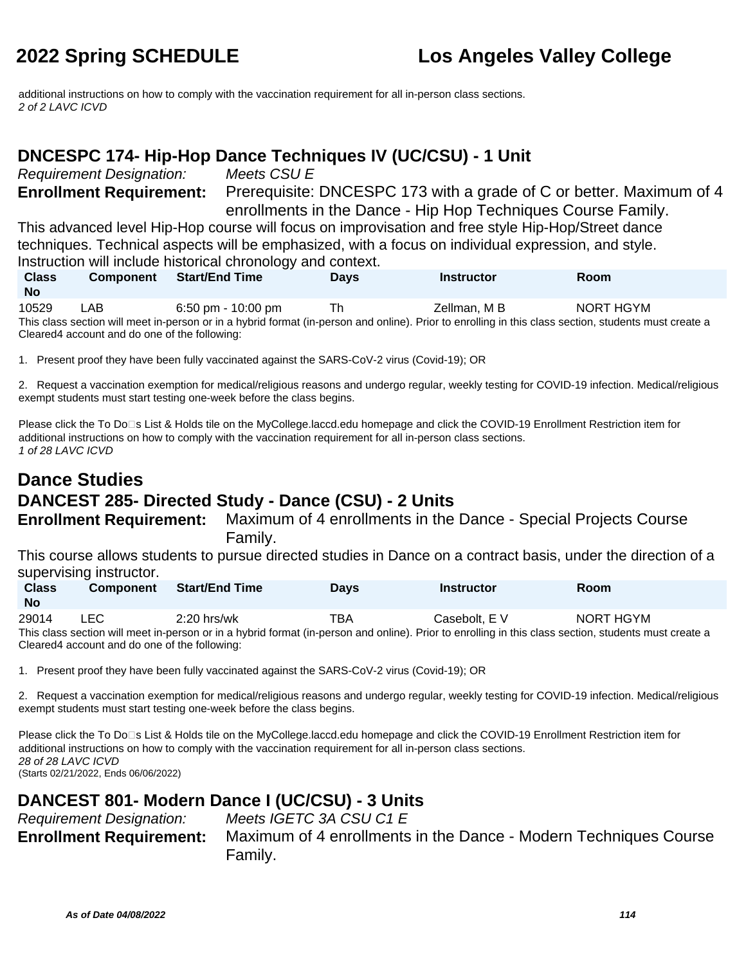additional instructions on how to comply with the vaccination requirement for all in-person class sections. 2 of 2 LAVC ICVD

### **DNCESPC 174- Hip-Hop Dance Techniques IV (UC/CSU) - 1 Unit**

Requirement Designation: Meets CSU E

**Enrollment Requirement:** Prerequisite: DNCESPC 173 with a grade of C or better. Maximum of 4 enrollments in the Dance - Hip Hop Techniques Course Family.

This advanced level Hip-Hop course will focus on improvisation and free style Hip-Hop/Street dance techniques. Technical aspects will be emphasized, with a focus on individual expression, and style. Instruction will include historical chronology and context.

| <b>Class</b><br><b>No</b>                                                                                                                                                                              | <b>Component</b> | <b>Start/End Time</b> | <b>Davs</b> | <b>Instructor</b> | <b>Room</b> |
|--------------------------------------------------------------------------------------------------------------------------------------------------------------------------------------------------------|------------------|-----------------------|-------------|-------------------|-------------|
| 10529                                                                                                                                                                                                  | LAB              | $6:50$ pm - 10:00 pm  | Th          | Zellman, M B      | NORT HGYM   |
| This class section will meet in-person or in a hybrid format (in-person and online). Prior to enrolling in this class section, students must create a<br>Cleared4 account and do one of the following: |                  |                       |             |                   |             |

1. Present proof they have been fully vaccinated against the SARS-CoV-2 virus (Covid-19); OR

2. Request a vaccination exemption for medical/religious reasons and undergo regular, weekly testing for COVID-19 infection. Medical/religious exempt students must start testing one-week before the class begins.

Please click the To Do□s List & Holds tile on the MyCollege.laccd.edu homepage and click the COVID-19 Enrollment Restriction item for additional instructions on how to comply with the vaccination requirement for all in-person class sections. 1 of 28 LAVC ICVD

## **Dance Studies DANCEST 285- Directed Study - Dance (CSU) - 2 Units**

**Enrollment Requirement:** Maximum of 4 enrollments in the Dance - Special Projects Course Family.

This course allows students to pursue directed studies in Dance on a contract basis, under the direction of a supervising instructor.

| <b>Class</b><br>No | <b>Component</b> | <b>Start/End Time</b>                                                                                                                              | Days | <b>Instructor</b> | <b>Room</b> |
|--------------------|------------------|----------------------------------------------------------------------------------------------------------------------------------------------------|------|-------------------|-------------|
| 29014              | LEC.             | 2:20 hrs/wk                                                                                                                                        | TBA  | Casebolt, E V     | NORT HGYM   |
|                    |                  | This shape against which as a company of individual formed for person and applies). Drive to appelling in this shape against attroducted must be a |      |                   |             |

This class section will meet in-person or in a hybrid format (in-person and online). Prior to enrolling in this class section, students must create a Cleared4 account and do one of the following:

1. Present proof they have been fully vaccinated against the SARS-CoV-2 virus (Covid-19); OR

2. Request a vaccination exemption for medical/religious reasons and undergo regular, weekly testing for COVID-19 infection. Medical/religious exempt students must start testing one-week before the class begins.

Please click the To Do<sup>n</sup>s List & Holds tile on the MyCollege.laccd.edu homepage and click the COVID-19 Enrollment Restriction item for additional instructions on how to comply with the vaccination requirement for all in-person class sections. 28 of 28 LAVC ICVD (Starts 02/21/2022, Ends 06/06/2022)

### **DANCEST 801- Modern Dance I (UC/CSU) - 3 Units**

| <b>Requirement Designation:</b> | Meets IGETC 3A CSU C1 E                                          |
|---------------------------------|------------------------------------------------------------------|
| <b>Enrollment Requirement:</b>  | Maximum of 4 enrollments in the Dance - Modern Techniques Course |
|                                 | Family.                                                          |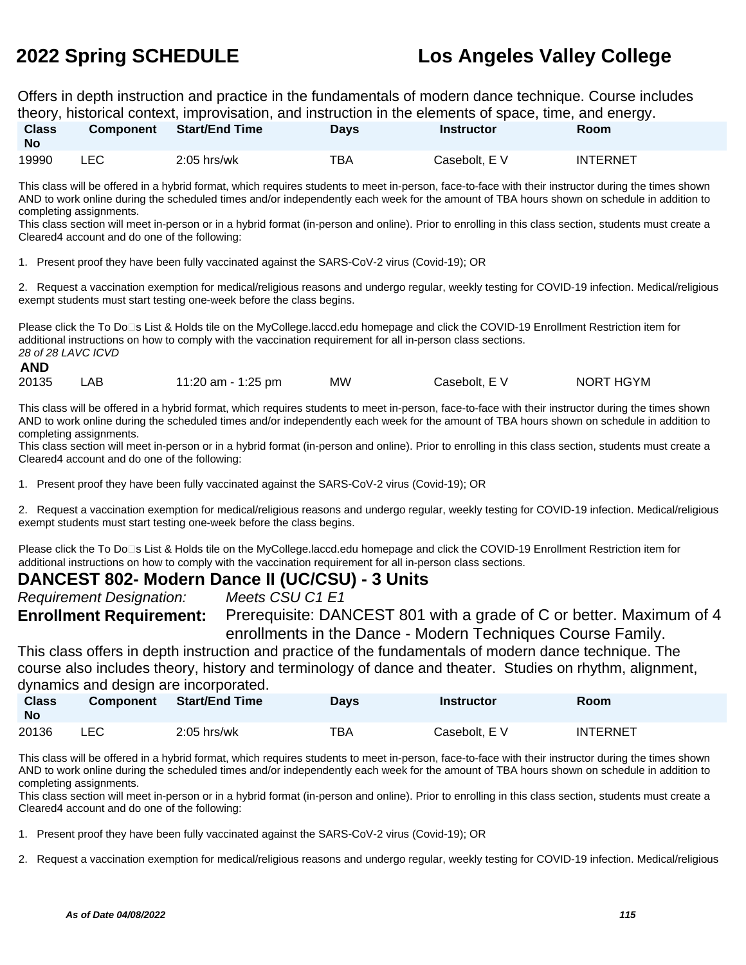Offers in depth instruction and practice in the fundamentals of modern dance technique. Course includes theory, historical context, improvisation, and instruction in the elements of space, time, and energy.

| <b>Class</b><br><b>No</b> | <b>Component</b> | <b>Start/End Time</b> | Davs | Instructor    | . .<br><b>Room</b> |
|---------------------------|------------------|-----------------------|------|---------------|--------------------|
| 19990                     | ∟EC              | $2:05$ hrs/wk         | TBA  | Casebolt, E V | <b>INTERNET</b>    |

This class will be offered in a hybrid format, which requires students to meet in-person, face-to-face with their instructor during the times shown AND to work online during the scheduled times and/or independently each week for the amount of TBA hours shown on schedule in addition to completing assignments.

This class section will meet in-person or in a hybrid format (in-person and online). Prior to enrolling in this class section, students must create a Cleared4 account and do one of the following:

1. Present proof they have been fully vaccinated against the SARS-CoV-2 virus (Covid-19); OR

2. Request a vaccination exemption for medical/religious reasons and undergo regular, weekly testing for COVID-19 infection. Medical/religious exempt students must start testing one-week before the class begins.

Please click the To Do⊡s List & Holds tile on the MyCollege.laccd.edu homepage and click the COVID-19 Enrollment Restriction item for additional instructions on how to comply with the vaccination requirement for all in-person class sections. 28 of 28 LAVC ICVD **AND**

| 20135 | 11:20 am - 1:25 pm | <b>MW</b> | Casebolt, E V | NORT HGYM |
|-------|--------------------|-----------|---------------|-----------|
|       |                    |           |               |           |

This class will be offered in a hybrid format, which requires students to meet in-person, face-to-face with their instructor during the times shown AND to work online during the scheduled times and/or independently each week for the amount of TBA hours shown on schedule in addition to completing assignments.

This class section will meet in-person or in a hybrid format (in-person and online). Prior to enrolling in this class section, students must create a Cleared4 account and do one of the following:

1. Present proof they have been fully vaccinated against the SARS-CoV-2 virus (Covid-19); OR

2. Request a vaccination exemption for medical/religious reasons and undergo regular, weekly testing for COVID-19 infection. Medical/religious exempt students must start testing one-week before the class begins.

Please click the To Do<sup>n</sup>s List & Holds tile on the MyCollege.laccd.edu homepage and click the COVID-19 Enrollment Restriction item for additional instructions on how to comply with the vaccination requirement for all in-person class sections.

### **DANCEST 802- Modern Dance II (UC/CSU) - 3 Units**

Requirement Designation: Meets CSU C1 E1

**Enrollment Requirement:** Prerequisite: DANCEST 801 with a grade of C or better. Maximum of 4 enrollments in the Dance - Modern Techniques Course Family.

This class offers in depth instruction and practice of the fundamentals of modern dance technique. The course also includes theory, history and terminology of dance and theater. Studies on rhythm, alignment, dynamics and design are incorporated.

| <b>Class</b><br><b>No</b> | <b>Component</b> | Start/End Time | Days | Instructor    | Room            |
|---------------------------|------------------|----------------|------|---------------|-----------------|
| 20136                     | ∟EC⊹             | $2:05$ hrs/wk  | TBA  | Casebolt, E V | <b>INTERNET</b> |

This class will be offered in a hybrid format, which requires students to meet in-person, face-to-face with their instructor during the times shown AND to work online during the scheduled times and/or independently each week for the amount of TBA hours shown on schedule in addition to completing assignments.

This class section will meet in-person or in a hybrid format (in-person and online). Prior to enrolling in this class section, students must create a Cleared4 account and do one of the following:

- 1. Present proof they have been fully vaccinated against the SARS-CoV-2 virus (Covid-19); OR
- 2. Request a vaccination exemption for medical/religious reasons and undergo regular, weekly testing for COVID-19 infection. Medical/religious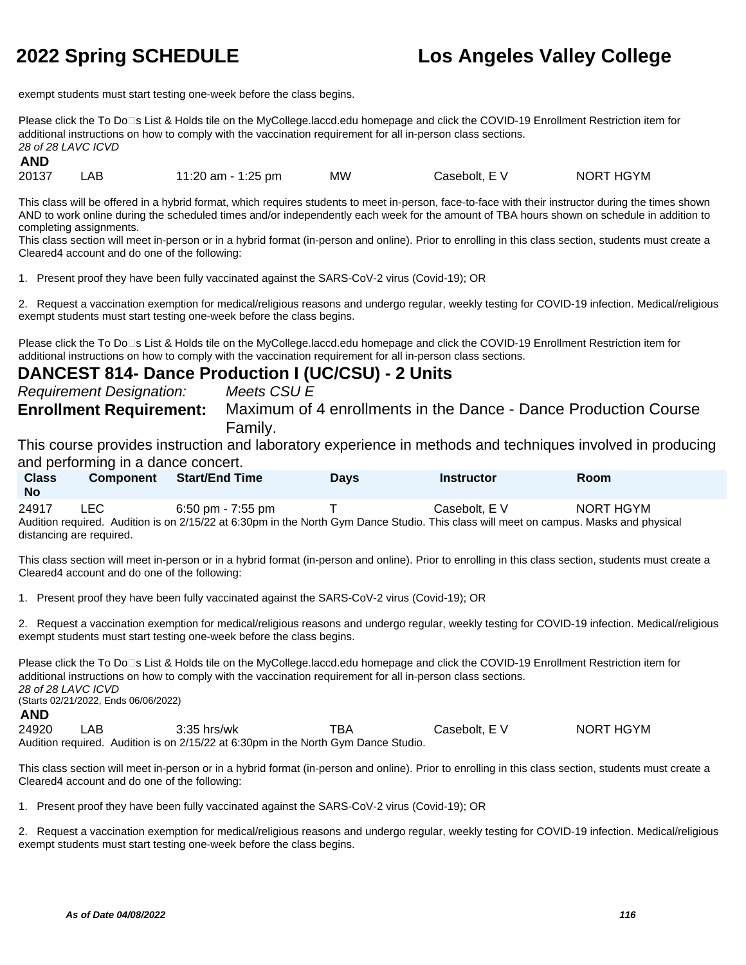exempt students must start testing one-week before the class begins.

Please click the To Do<sup>n</sup>s List & Holds tile on the MyCollege.laccd.edu homepage and click the COVID-19 Enrollment Restriction item for additional instructions on how to comply with the vaccination requirement for all in-person class sections. 28 of 28 LAVC ICVD

**AND**

20137 LAB 11:20 am - 1:25 pm MW Casebolt, E V NORT HGYM

This class will be offered in a hybrid format, which requires students to meet in-person, face-to-face with their instructor during the times shown AND to work online during the scheduled times and/or independently each week for the amount of TBA hours shown on schedule in addition to completing assignments.

This class section will meet in-person or in a hybrid format (in-person and online). Prior to enrolling in this class section, students must create a Cleared4 account and do one of the following:

1. Present proof they have been fully vaccinated against the SARS-CoV-2 virus (Covid-19); OR

2. Request a vaccination exemption for medical/religious reasons and undergo regular, weekly testing for COVID-19 infection. Medical/religious exempt students must start testing one-week before the class begins.

Please click the To Do⊡s List & Holds tile on the MyCollege.laccd.edu homepage and click the COVID-19 Enrollment Restriction item for additional instructions on how to comply with the vaccination requirement for all in-person class sections.

### **DANCEST 814- Dance Production I (UC/CSU) - 2 Units**

Requirement Designation: Meets CSU E

**Enrollment Requirement:** Maximum of 4 enrollments in the Dance - Dance Production Course Family.

This course provides instruction and laboratory experience in methods and techniques involved in producing and performing in a dance concert.

| <b>Class</b><br><b>No</b> | <b>Component</b> | <b>Start/End Time</b>                                                                                                               | Days | Instructor    | <b>Room</b> |  |
|---------------------------|------------------|-------------------------------------------------------------------------------------------------------------------------------------|------|---------------|-------------|--|
| 24917                     | LEC.             | $6:50$ pm - 7:55 pm                                                                                                                 |      | Casebolt. E V | NORT HGYM   |  |
|                           |                  | Audition required Audition is on 2/15/22 at 6:30pm in the North Gym Dance Studio. This class will meet on campus Masks and physical |      |               |             |  |

Audition required. Audition is on 2/15/22 at 6:30pm in the North Gym Dance Studio. This class will meet on campus. Masks and physical distancing are required.

This class section will meet in-person or in a hybrid format (in-person and online). Prior to enrolling in this class section, students must create a Cleared4 account and do one of the following:

1. Present proof they have been fully vaccinated against the SARS-CoV-2 virus (Covid-19); OR

2. Request a vaccination exemption for medical/religious reasons and undergo regular, weekly testing for COVID-19 infection. Medical/religious exempt students must start testing one-week before the class begins.

Please click the To Do<sup>n</sup>s List & Holds tile on the MyCollege.laccd.edu homepage and click the COVID-19 Enrollment Restriction item for additional instructions on how to comply with the vaccination requirement for all in-person class sections. 28 of 28 LAVC ICVD (Starts 02/21/2022, Ends 06/06/2022) **AND** 24920 LAB 3:35 hrs/wk TBA Casebolt, E V NORT HGYM

Audition required. Audition is on 2/15/22 at 6:30pm in the North Gym Dance Studio.

This class section will meet in-person or in a hybrid format (in-person and online). Prior to enrolling in this class section, students must create a Cleared4 account and do one of the following:

1. Present proof they have been fully vaccinated against the SARS-CoV-2 virus (Covid-19); OR

2. Request a vaccination exemption for medical/religious reasons and undergo regular, weekly testing for COVID-19 infection. Medical/religious exempt students must start testing one-week before the class begins.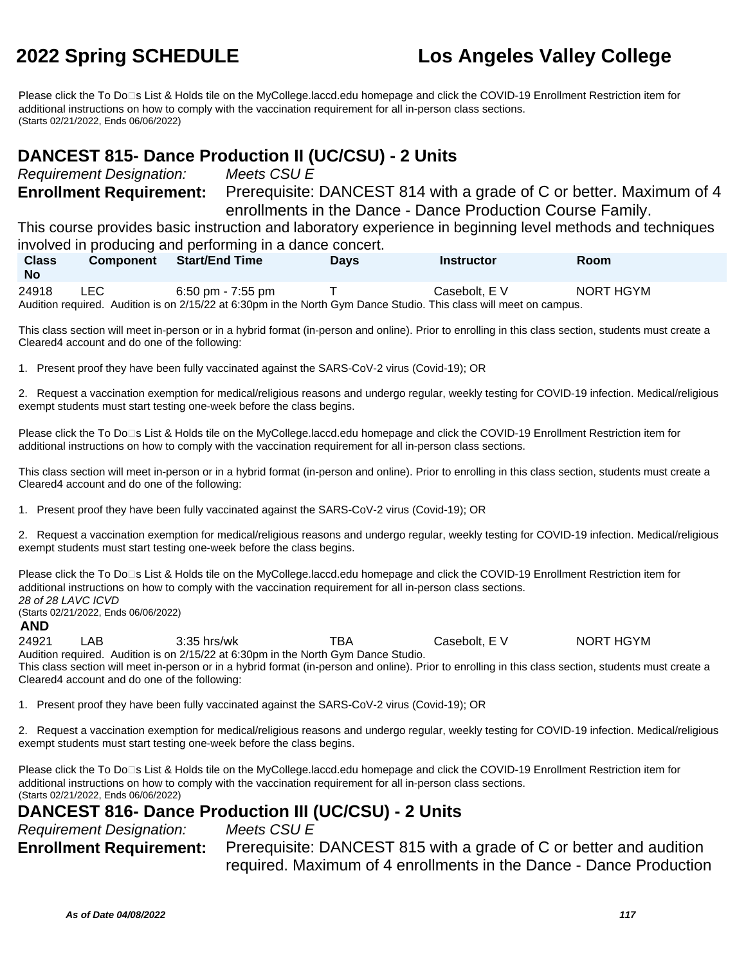Please click the To Do□s List & Holds tile on the MyCollege.laccd.edu homepage and click the COVID-19 Enrollment Restriction item for additional instructions on how to comply with the vaccination requirement for all in-person class sections. (Starts 02/21/2022, Ends 06/06/2022)

### **DANCEST 815- Dance Production II (UC/CSU) - 2 Units**

Requirement Designation: Meets CSU E

**Enrollment Requirement:** Prerequisite: DANCEST 814 with a grade of C or better. Maximum of 4 enrollments in the Dance - Dance Production Course Family.

This course provides basic instruction and laboratory experience in beginning level methods and techniques involved in producing and performing in a dance concert.

| <b>Class</b><br><b>No</b> | Component | <b>Start/End Time</b> | Days | Instructor                                                                                                         | <b>Room</b> |
|---------------------------|-----------|-----------------------|------|--------------------------------------------------------------------------------------------------------------------|-------------|
| 24918                     | LEC.      | 6:50 pm - 7:55 pm     |      | Casebolt. E V                                                                                                      | NORT HGYM   |
|                           |           |                       |      | Audition required. Audition is on 2/15/22 at 6:30pm in the North Gym Dance Studio. This class will meet on campus. |             |

This class section will meet in-person or in a hybrid format (in-person and online). Prior to enrolling in this class section, students must create a Cleared4 account and do one of the following:

1. Present proof they have been fully vaccinated against the SARS-CoV-2 virus (Covid-19); OR

2. Request a vaccination exemption for medical/religious reasons and undergo regular, weekly testing for COVID-19 infection. Medical/religious exempt students must start testing one-week before the class begins.

Please click the To Do□s List & Holds tile on the MyCollege.laccd.edu homepage and click the COVID-19 Enrollment Restriction item for additional instructions on how to comply with the vaccination requirement for all in-person class sections.

This class section will meet in-person or in a hybrid format (in-person and online). Prior to enrolling in this class section, students must create a Cleared4 account and do one of the following:

1. Present proof they have been fully vaccinated against the SARS-CoV-2 virus (Covid-19); OR

2. Request a vaccination exemption for medical/religious reasons and undergo regular, weekly testing for COVID-19 infection. Medical/religious exempt students must start testing one-week before the class begins.

Please click the To Do□s List & Holds tile on the MyCollege.laccd.edu homepage and click the COVID-19 Enrollment Restriction item for additional instructions on how to comply with the vaccination requirement for all in-person class sections. 28 of 28 LAVC ICVD (Starts 02/21/2022, Ends 06/06/2022) **AND**

24921 LAB 3:35 hrs/wk TBA Casebolt, E V NORT HGYM Audition required. Audition is on 2/15/22 at 6:30pm in the North Gym Dance Studio. This class section will meet in-person or in a hybrid format (in-person and online). Prior to enrolling in this class section, students must create a Cleared4 account and do one of the following:

1. Present proof they have been fully vaccinated against the SARS-CoV-2 virus (Covid-19); OR

2. Request a vaccination exemption for medical/religious reasons and undergo regular, weekly testing for COVID-19 infection. Medical/religious exempt students must start testing one-week before the class begins.

Please click the To Do⊡s List & Holds tile on the MyCollege.laccd.edu homepage and click the COVID-19 Enrollment Restriction item for additional instructions on how to comply with the vaccination requirement for all in-person class sections. (Starts 02/21/2022, Ends 06/06/2022)

### **DANCEST 816- Dance Production III (UC/CSU) - 2 Units**

Requirement Designation: Meets CSU E **Enrollment Requirement:** Prerequisite: DANCEST 815 with a grade of C or better and audition required. Maximum of 4 enrollments in the Dance - Dance Production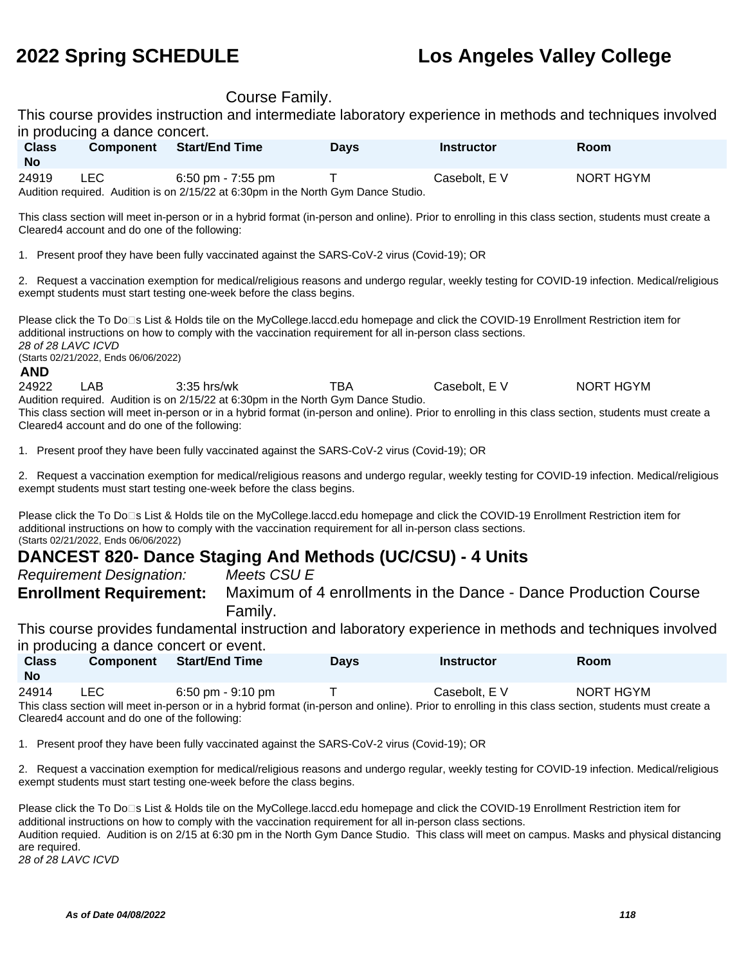### Course Family.

This course provides instruction and intermediate laboratory experience in methods and techniques involved in producing a dance concert.

| <b>Class</b><br>No | <b>Component</b> | <b>Start/End Time</b>                                                              | Days | Instructor    | Room      |  |
|--------------------|------------------|------------------------------------------------------------------------------------|------|---------------|-----------|--|
| 24919              | LEC              | 6:50 pm - 7:55 pm                                                                  |      | Casebolt. E V | NORT HGYM |  |
|                    |                  | Audition required. Audition is on 2/15/22 at 6:30pm in the North Gym Dance Studio. |      |               |           |  |

This class section will meet in-person or in a hybrid format (in-person and online). Prior to enrolling in this class section, students must create a Cleared4 account and do one of the following:

1. Present proof they have been fully vaccinated against the SARS-CoV-2 virus (Covid-19); OR

2. Request a vaccination exemption for medical/religious reasons and undergo regular, weekly testing for COVID-19 infection. Medical/religious exempt students must start testing one-week before the class begins.

Please click the To Do⊡s List & Holds tile on the MyCollege.laccd.edu homepage and click the COVID-19 Enrollment Restriction item for additional instructions on how to comply with the vaccination requirement for all in-person class sections. 28 of 28 LAVC ICVD (Starts 02/21/2022, Ends 06/06/2022) **AND**

24922 LAB 3:35 hrs/wk TBA Casebolt, E V NORT HGYM Audition required. Audition is on 2/15/22 at 6:30pm in the North Gym Dance Studio. This class section will meet in-person or in a hybrid format (in-person and online). Prior to enrolling in this class section, students must create a Cleared4 account and do one of the following:

1. Present proof they have been fully vaccinated against the SARS-CoV-2 virus (Covid-19); OR

2. Request a vaccination exemption for medical/religious reasons and undergo regular, weekly testing for COVID-19 infection. Medical/religious exempt students must start testing one-week before the class begins.

Please click the To Do<sup>n</sup>s List & Holds tile on the MyCollege.laccd.edu homepage and click the COVID-19 Enrollment Restriction item for additional instructions on how to comply with the vaccination requirement for all in-person class sections. (Starts 02/21/2022, Ends 06/06/2022)

### **DANCEST 820- Dance Staging And Methods (UC/CSU) - 4 Units**

Requirement Designation: Meets CSU E

**Enrollment Requirement:** Maximum of 4 enrollments in the Dance - Dance Production Course Family.

This course provides fundamental instruction and laboratory experience in methods and techniques involved in producing a dance concert or event.

| <b>Class</b><br><b>No</b> | <b>Component</b> | <b>Start/End Time</b>               | Days | Instructor    | Room      |  |
|---------------------------|------------------|-------------------------------------|------|---------------|-----------|--|
| 24914                     | <b>LEC</b>       | $6:50 \text{ pm} - 9:10 \text{ pm}$ |      | Casebolt, E V | NORT HGYM |  |

This class section will meet in-person or in a hybrid format (in-person and online). Prior to enrolling in this class section, students must create a Cleared4 account and do one of the following:

1. Present proof they have been fully vaccinated against the SARS-CoV-2 virus (Covid-19); OR

2. Request a vaccination exemption for medical/religious reasons and undergo regular, weekly testing for COVID-19 infection. Medical/religious exempt students must start testing one-week before the class begins.

| Please click the To Do□s List & Holds tile on the MyCollege.laccd.edu homepage and click the COVID-19 Enrollment Restriction item for         |
|-----------------------------------------------------------------------------------------------------------------------------------------------|
| additional instructions on how to comply with the vaccination requirement for all in-person class sections.                                   |
| Audition requied. Audition is on 2/15 at 6:30 pm in the North Gym Dance Studio. This class will meet on campus. Masks and physical distancing |
| are required.                                                                                                                                 |
| 28 of 28 LAVC ICVD                                                                                                                            |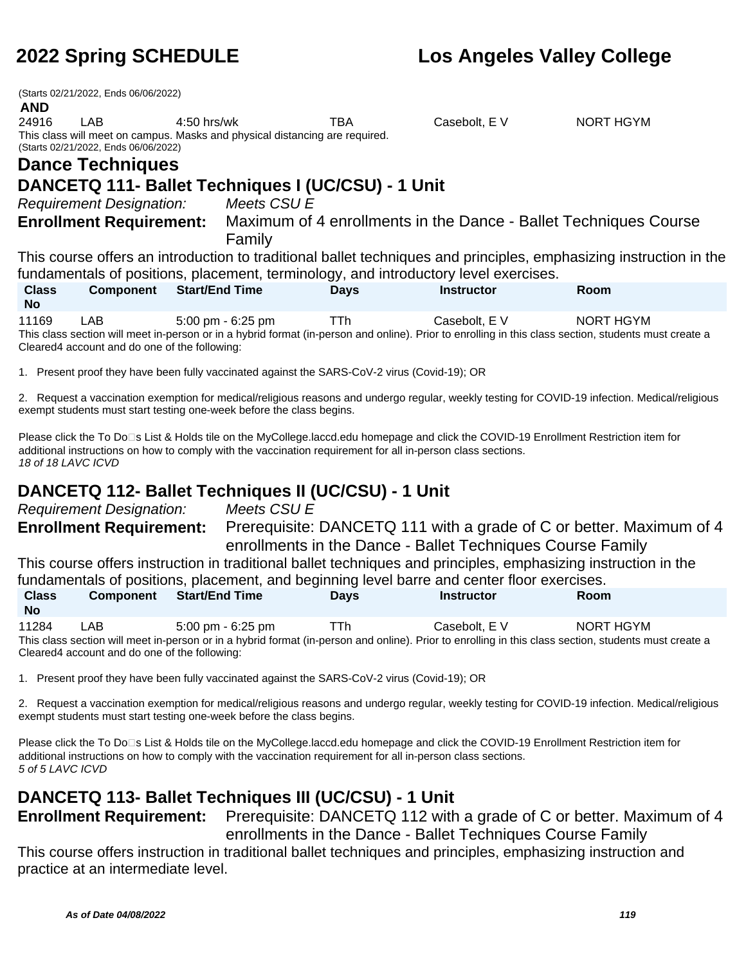(Starts 02/21/2022, Ends 06/06/2022)

### **AND**

24916 LAB 4:50 hrs/wk TBA Casebolt, E V NORT HGYM This class will meet on campus. Masks and physical distancing are required. (Starts 02/21/2022, Ends 06/06/2022)

# **Dance Techniques**

## **DANCETQ 111- Ballet Techniques I (UC/CSU) - 1 Unit**

Requirement Designation: Meets CSU E

**Enrollment Requirement:** Maximum of 4 enrollments in the Dance - Ballet Techniques Course Family

This course offers an introduction to traditional ballet techniques and principles, emphasizing instruction in the fundamentals of positions, placement, terminology, and introductory level exercises.

| <b>Class</b><br>No | <b>Component</b>                                                                                                                                      | <b>Start/End Time</b> | <b>Davs</b> | Instructor    | <b>Room</b> |  |  |  |
|--------------------|-------------------------------------------------------------------------------------------------------------------------------------------------------|-----------------------|-------------|---------------|-------------|--|--|--|
| 11169              | LAB                                                                                                                                                   | 5:00 pm - 6:25 pm     | TTh.        | Casebolt. E V | NORT HGYM   |  |  |  |
|                    | This class section will meet in-person or in a hybrid format (in-person and online). Prior to enrolling in this class section, students must create a |                       |             |               |             |  |  |  |

Cleared4 account and do one of the following:

1. Present proof they have been fully vaccinated against the SARS-CoV-2 virus (Covid-19); OR

2. Request a vaccination exemption for medical/religious reasons and undergo regular, weekly testing for COVID-19 infection. Medical/religious exempt students must start testing one-week before the class begins.

Please click the To Do⊡s List & Holds tile on the MyCollege.laccd.edu homepage and click the COVID-19 Enrollment Restriction item for additional instructions on how to comply with the vaccination requirement for all in-person class sections. 18 of 18 LAVC ICVD

## **DANCETQ 112- Ballet Techniques II (UC/CSU) - 1 Unit**

Requirement Designation: Meets CSU E

**Enrollment Requirement:** Prerequisite: DANCETQ 111 with a grade of C or better. Maximum of 4 enrollments in the Dance - Ballet Techniques Course Family

This course offers instruction in traditional ballet techniques and principles, emphasizing instruction in the fundamentals of positions, placement, and beginning level barre and center floor exercises.

| <b>Class</b>                                                                                                                                          | <b>Component</b>                              | <b>Start/End Time</b> | <b>Davs</b> | <b>Instructor</b> | <b>Room</b> |  |  |  |  |
|-------------------------------------------------------------------------------------------------------------------------------------------------------|-----------------------------------------------|-----------------------|-------------|-------------------|-------------|--|--|--|--|
| <b>No</b>                                                                                                                                             |                                               |                       |             |                   |             |  |  |  |  |
| 11284                                                                                                                                                 | LAB.                                          | 5:00 pm - 6:25 pm     | Πħ.         | Casebolt. E V     | NORT HGYM   |  |  |  |  |
| This class section will meet in-person or in a hybrid format (in-person and online). Prior to enrolling in this class section, students must create a |                                               |                       |             |                   |             |  |  |  |  |
|                                                                                                                                                       | Cleared4 account and do one of the following: |                       |             |                   |             |  |  |  |  |

1. Present proof they have been fully vaccinated against the SARS-CoV-2 virus (Covid-19); OR

2. Request a vaccination exemption for medical/religious reasons and undergo regular, weekly testing for COVID-19 infection. Medical/religious exempt students must start testing one-week before the class begins.

Please click the To Do<sup>n</sup>s List & Holds tile on the MyCollege.laccd.edu homepage and click the COVID-19 Enrollment Restriction item for additional instructions on how to comply with the vaccination requirement for all in-person class sections. 5 of 5 LAVC ICVD

## **DANCETQ 113- Ballet Techniques III (UC/CSU) - 1 Unit**

**Enrollment Requirement:** Prerequisite: DANCETQ 112 with a grade of C or better. Maximum of 4 enrollments in the Dance - Ballet Techniques Course Family

This course offers instruction in traditional ballet techniques and principles, emphasizing instruction and practice at an intermediate level.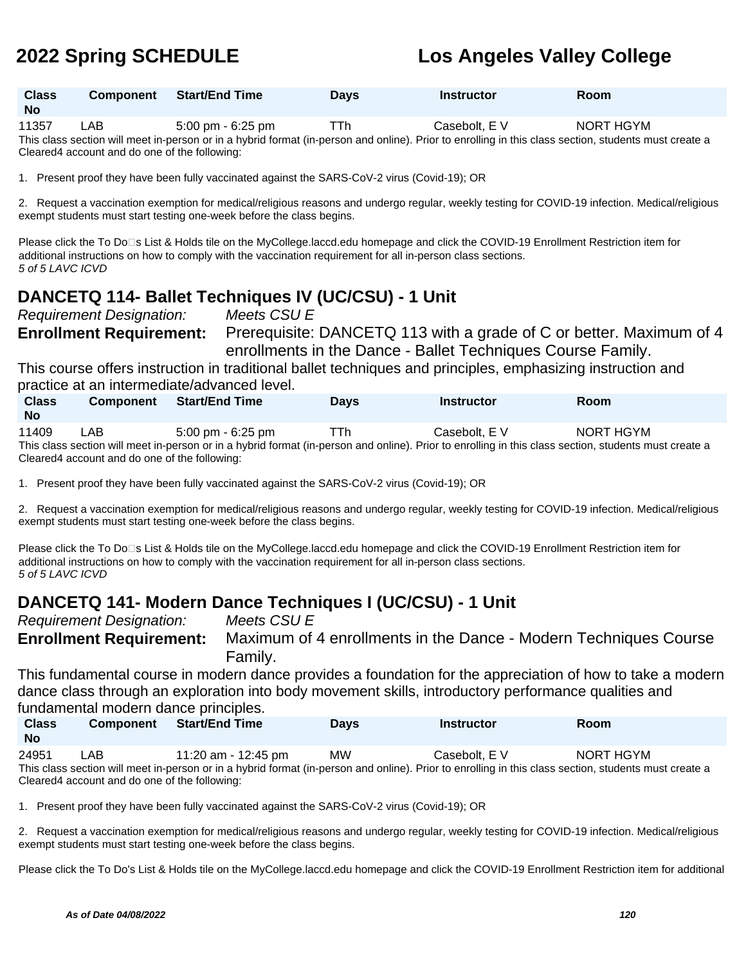| <b>Class</b><br><b>No</b> | <b>Component</b> Start/End Time | <b>Days</b> | <b>Instructor</b> | <b>Room</b> |
|---------------------------|---------------------------------|-------------|-------------------|-------------|
|                           |                                 |             |                   |             |

11357 LAB 5:00 pm - 6:25 pm TTh Casebolt, E V NORT HGYM This class section will meet in-person or in a hybrid format (in-person and online). Prior to enrolling in this class section, students must create a Cleared4 account and do one of the following:

1. Present proof they have been fully vaccinated against the SARS-CoV-2 virus (Covid-19); OR

2. Request a vaccination exemption for medical/religious reasons and undergo regular, weekly testing for COVID-19 infection. Medical/religious exempt students must start testing one-week before the class begins.

Please click the To Do⊡s List & Holds tile on the MyCollege.laccd.edu homepage and click the COVID-19 Enrollment Restriction item for additional instructions on how to comply with the vaccination requirement for all in-person class sections. 5 of 5 LAVC ICVD

## **DANCETQ 114- Ballet Techniques IV (UC/CSU) - 1 Unit**

Requirement Designation: Meets CSU E **Enrollment Requirement:** Prerequisite: DANCETQ 113 with a grade of C or better. Maximum of 4 enrollments in the Dance - Ballet Techniques Course Family.

This course offers instruction in traditional ballet techniques and principles, emphasizing instruction and practice at an intermediate/advanced level.

| <b>Class</b><br><b>No</b> | <b>Component</b> | <b>Start/End Time</b> | <b>Davs</b> | <b>Instructor</b> | Room                                                                                                                                                  |  |
|---------------------------|------------------|-----------------------|-------------|-------------------|-------------------------------------------------------------------------------------------------------------------------------------------------------|--|
| 11409                     | ∟AB              | 5:00 pm - 6:25 pm     | TTh.        | Casebolt. E V     | NORT HGYM                                                                                                                                             |  |
|                           |                  |                       |             |                   | This class section will meet in-person or in a hybrid format (in-person and online). Prior to enrolling in this class section, students must create a |  |

Cleared4 account and do one of the following:

1. Present proof they have been fully vaccinated against the SARS-CoV-2 virus (Covid-19); OR

2. Request a vaccination exemption for medical/religious reasons and undergo regular, weekly testing for COVID-19 infection. Medical/religious exempt students must start testing one-week before the class begins.

Please click the To Do⊡s List & Holds tile on the MyCollege.laccd.edu homepage and click the COVID-19 Enrollment Restriction item for additional instructions on how to comply with the vaccination requirement for all in-person class sections. 5 of 5 LAVC ICVD

## **DANCETQ 141- Modern Dance Techniques I (UC/CSU) - 1 Unit**

Requirement Designation: Meets CSU E **Enrollment Requirement:** Maximum of 4 enrollments in the Dance - Modern Techniques Course Family.

This fundamental course in modern dance provides a foundation for the appreciation of how to take a modern dance class through an exploration into body movement skills, introductory performance qualities and fundamental modern dance principles.

| <b>Class</b><br><b>No</b> | <b>Component</b> | <b>Start/End Time</b> | Days      | Instructor    | Room      |
|---------------------------|------------------|-----------------------|-----------|---------------|-----------|
| 24951                     | ∟AB⊹             | 11:20 am - 12:45 pm   | <b>MW</b> | Casebolt, E V | NORT HGYM |

This class section will meet in-person or in a hybrid format (in-person and online). Prior to enrolling in this class section, students must create a Cleared4 account and do one of the following:

1. Present proof they have been fully vaccinated against the SARS-CoV-2 virus (Covid-19); OR

2. Request a vaccination exemption for medical/religious reasons and undergo regular, weekly testing for COVID-19 infection. Medical/religious exempt students must start testing one-week before the class begins.

Please click the To Do's List & Holds tile on the MyCollege.laccd.edu homepage and click the COVID-19 Enrollment Restriction item for additional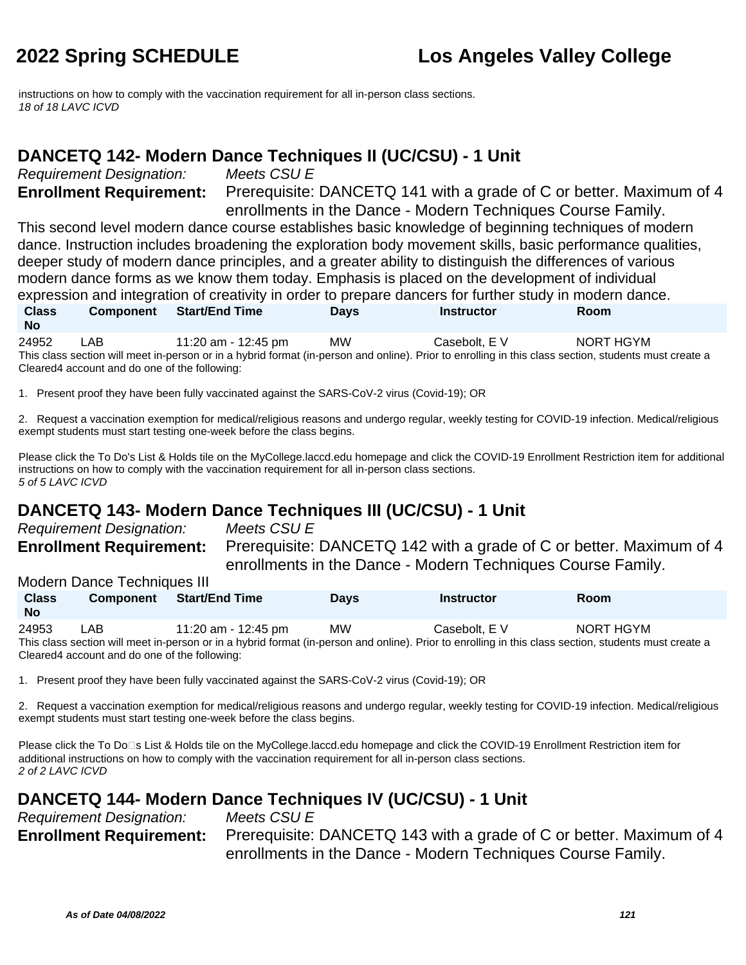instructions on how to comply with the vaccination requirement for all in-person class sections. 18 of 18 LAVC ICVD

### **DANCETQ 142- Modern Dance Techniques II (UC/CSU) - 1 Unit**

Requirement Designation: Meets CSU E

**Enrollment Requirement:** Prerequisite: DANCETQ 141 with a grade of C or better. Maximum of 4 enrollments in the Dance - Modern Techniques Course Family.

This second level modern dance course establishes basic knowledge of beginning techniques of modern dance. Instruction includes broadening the exploration body movement skills, basic performance qualities, deeper study of modern dance principles, and a greater ability to distinguish the differences of various modern dance forms as we know them today. Emphasis is placed on the development of individual expression and integration of creativity in order to prepare dancers for further study in modern dance. **Class Component Start/End Time Days Instructor Room**

**No** 24952 LAB 11:20 am - 12:45 pm MW Casebolt, E V NORT HGYM This class section will meet in-person or in a hybrid format (in-person and online). Prior to enrolling in this class section, students must create a Cleared4 account and do one of the following:

1. Present proof they have been fully vaccinated against the SARS-CoV-2 virus (Covid-19); OR

2. Request a vaccination exemption for medical/religious reasons and undergo regular, weekly testing for COVID-19 infection. Medical/religious exempt students must start testing one-week before the class begins.

Please click the To Do's List & Holds tile on the MyCollege.laccd.edu homepage and click the COVID-19 Enrollment Restriction item for additional instructions on how to comply with the vaccination requirement for all in-person class sections. 5 of 5 LAVC ICVD

## **DANCETQ 143- Modern Dance Techniques III (UC/CSU) - 1 Unit**

Requirement Designation: Meets CSU E

**Enrollment Requirement:** Prerequisite: DANCETQ 142 with a grade of C or better. Maximum of 4 enrollments in the Dance - Modern Techniques Course Family.

Modern Dance Techniques III

**Class No Component Start/End Time Days Instructor Room** 24953 LAB 11:20 am - 12:45 pm MW Casebolt, E V NORT HGYM This class section will meet in-person or in a hybrid format (in-person and online). Prior to enrolling in this class section, students must create a Cleared4 account and do one of the following:

1. Present proof they have been fully vaccinated against the SARS-CoV-2 virus (Covid-19); OR

2. Request a vaccination exemption for medical/religious reasons and undergo regular, weekly testing for COVID-19 infection. Medical/religious exempt students must start testing one-week before the class begins.

Please click the To Do□s List & Holds tile on the MyCollege.laccd.edu homepage and click the COVID-19 Enrollment Restriction item for additional instructions on how to comply with the vaccination requirement for all in-person class sections. 2 of 2 LAVC ICVD

## **DANCETQ 144- Modern Dance Techniques IV (UC/CSU) - 1 Unit**

Requirement Designation: Meets CSU E **Enrollment Requirement:** Prerequisite: DANCETQ 143 with a grade of C or better. Maximum of 4 enrollments in the Dance - Modern Techniques Course Family.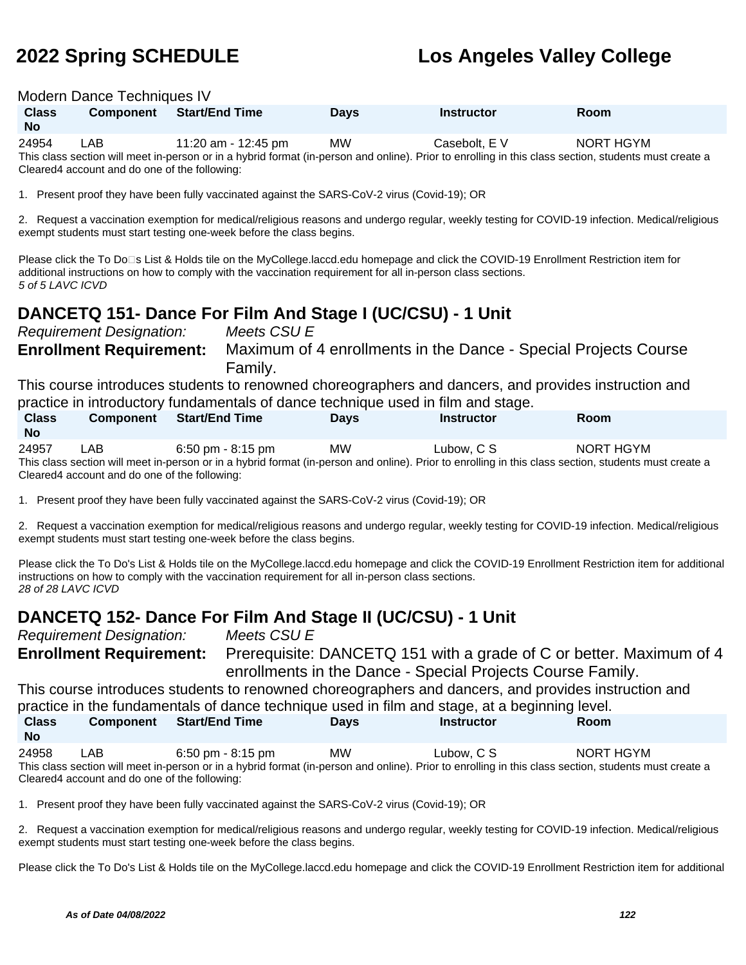| Modern Dance Techniques IV                                                                                                                                                               |                                                                                                                                                                                                                                                                                 |                                                                                                             |             |                                                                                                                                       |                                                                                                                                                |  |  |  |  |
|------------------------------------------------------------------------------------------------------------------------------------------------------------------------------------------|---------------------------------------------------------------------------------------------------------------------------------------------------------------------------------------------------------------------------------------------------------------------------------|-------------------------------------------------------------------------------------------------------------|-------------|---------------------------------------------------------------------------------------------------------------------------------------|------------------------------------------------------------------------------------------------------------------------------------------------|--|--|--|--|
| <b>Class</b><br><b>No</b>                                                                                                                                                                | Component                                                                                                                                                                                                                                                                       | <b>Start/End Time</b>                                                                                       | <b>Days</b> | <b>Instructor</b>                                                                                                                     | Room                                                                                                                                           |  |  |  |  |
| 24954                                                                                                                                                                                    | <b>LAB</b><br>MW<br>Casebolt, E V<br>11:20 am - 12:45 pm<br>NORT HGYM<br>This class section will meet in-person or in a hybrid format (in-person and online). Prior to enrolling in this class section, students must create a<br>Cleared4 account and do one of the following: |                                                                                                             |             |                                                                                                                                       |                                                                                                                                                |  |  |  |  |
|                                                                                                                                                                                          |                                                                                                                                                                                                                                                                                 | 1. Present proof they have been fully vaccinated against the SARS-CoV-2 virus (Covid-19); OR                |             |                                                                                                                                       |                                                                                                                                                |  |  |  |  |
|                                                                                                                                                                                          |                                                                                                                                                                                                                                                                                 | exempt students must start testing one-week before the class begins.                                        |             |                                                                                                                                       | 2. Request a vaccination exemption for medical/religious reasons and undergo regular, weekly testing for COVID-19 infection. Medical/religious |  |  |  |  |
| 5 of 5 LAVC ICVD                                                                                                                                                                         |                                                                                                                                                                                                                                                                                 | additional instructions on how to comply with the vaccination requirement for all in-person class sections. |             | Please click the To Do⊡s List & Holds tile on the MyCollege.laccd.edu homepage and click the COVID-19 Enrollment Restriction item for |                                                                                                                                                |  |  |  |  |
|                                                                                                                                                                                          |                                                                                                                                                                                                                                                                                 | DANCETQ 151- Dance For Film And Stage I (UC/CSU) - 1 Unit                                                   |             |                                                                                                                                       |                                                                                                                                                |  |  |  |  |
|                                                                                                                                                                                          | <b>Requirement Designation:</b>                                                                                                                                                                                                                                                 | Meets CSU E                                                                                                 |             |                                                                                                                                       |                                                                                                                                                |  |  |  |  |
|                                                                                                                                                                                          | <b>Enrollment Requirement:</b>                                                                                                                                                                                                                                                  | Family.                                                                                                     |             | Maximum of 4 enrollments in the Dance - Special Projects Course                                                                       |                                                                                                                                                |  |  |  |  |
| This course introduces students to renowned choreographers and dancers, and provides instruction and<br>practice in introductory fundamentals of dance technique used in film and stage. |                                                                                                                                                                                                                                                                                 |                                                                                                             |             |                                                                                                                                       |                                                                                                                                                |  |  |  |  |
| <b>Class</b><br><b>No</b>                                                                                                                                                                | <b>Component</b>                                                                                                                                                                                                                                                                | <b>Start/End Time</b>                                                                                       | <b>Days</b> | <b>Instructor</b>                                                                                                                     | Room                                                                                                                                           |  |  |  |  |
| 24957                                                                                                                                                                                    | NORT HGYM<br>LAB<br>6:50 pm - 8:15 pm<br>MW.<br>Lubow, C S<br>This class section will meet in-person or in a hybrid format (in-person and online). Prior to enrolling in this class section, students must create a<br>Cleared4 account and do one of the following:            |                                                                                                             |             |                                                                                                                                       |                                                                                                                                                |  |  |  |  |

1. Present proof they have been fully vaccinated against the SARS-CoV-2 virus (Covid-19); OR

2. Request a vaccination exemption for medical/religious reasons and undergo regular, weekly testing for COVID-19 infection. Medical/religious exempt students must start testing one-week before the class begins.

Please click the To Do's List & Holds tile on the MyCollege.laccd.edu homepage and click the COVID-19 Enrollment Restriction item for additional instructions on how to comply with the vaccination requirement for all in-person class sections. 28 of 28 LAVC ICVD

### **DANCETQ 152- Dance For Film And Stage II (UC/CSU) - 1 Unit**

Requirement Designation: Meets CSU E **Enrollment Requirement:** Prerequisite: DANCETQ 151 with a grade of C or better. Maximum of 4 enrollments in the Dance - Special Projects Course Family. This course introduces students to renowned choreographers and dancers, and provides instruction and practice in the fundamentals of dance technique used in film and stage, at a beginning level.

| <b>Class</b><br><b>No</b> | <b>Component</b> | <b>Start/End Time</b>                                                                                                                                 | <b>Davs</b> | <b>Instructor</b> | Room      |
|---------------------------|------------------|-------------------------------------------------------------------------------------------------------------------------------------------------------|-------------|-------------------|-----------|
| 24958                     | LAB.             | 6:50 pm - 8:15 pm                                                                                                                                     | <b>MW</b>   | Lubow. C S        | NORT HGYM |
|                           |                  | This class section will meet in-person or in a hybrid format (in-person and online). Prior to enrolling in this class section, students must create a |             |                   |           |

Cleared4 account and do one of the following:

1. Present proof they have been fully vaccinated against the SARS-CoV-2 virus (Covid-19); OR

2. Request a vaccination exemption for medical/religious reasons and undergo regular, weekly testing for COVID-19 infection. Medical/religious exempt students must start testing one-week before the class begins.

Please click the To Do's List & Holds tile on the MyCollege.laccd.edu homepage and click the COVID-19 Enrollment Restriction item for additional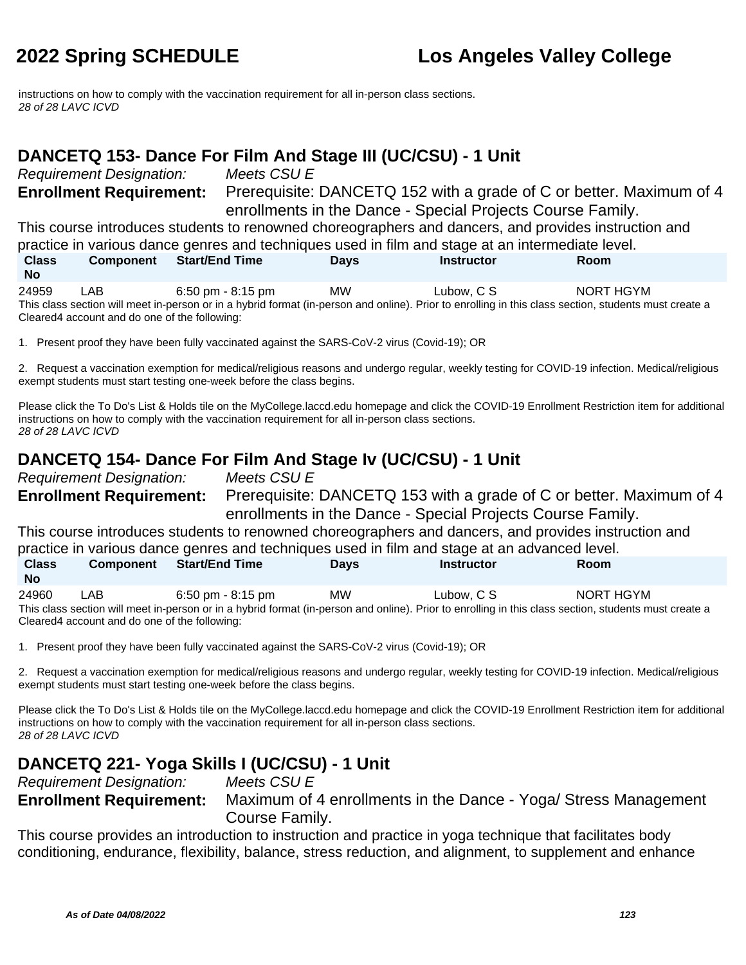instructions on how to comply with the vaccination requirement for all in-person class sections. 28 of 28 LAVC ICVD

### **DANCETQ 153- Dance For Film And Stage III (UC/CSU) - 1 Unit**

Requirement Designation: Meets CSU E

**Enrollment Requirement:** Prerequisite: DANCETQ 152 with a grade of C or better. Maximum of 4 enrollments in the Dance - Special Projects Course Family.

This course introduces students to renowned choreographers and dancers, and provides instruction and practice in various dance genres and techniques used in film and stage at an intermediate level.

| <b>Class</b>                                                                                                                                          | <b>Component</b> | <b>Start/End Time</b> | Days      | <b>Instructor</b> | Room      |  |  |  |
|-------------------------------------------------------------------------------------------------------------------------------------------------------|------------------|-----------------------|-----------|-------------------|-----------|--|--|--|
| <b>No</b>                                                                                                                                             |                  |                       |           |                   |           |  |  |  |
| 24959                                                                                                                                                 | LAB              | 6:50 pm - 8:15 pm     | <b>MW</b> | Lubow. C S        | NORT HGYM |  |  |  |
| This class section will meet in-person or in a hybrid format (in-person and online). Prior to enrolling in this class section, students must create a |                  |                       |           |                   |           |  |  |  |
| Cleared4 account and do one of the following:                                                                                                         |                  |                       |           |                   |           |  |  |  |

1. Present proof they have been fully vaccinated against the SARS-CoV-2 virus (Covid-19); OR

2. Request a vaccination exemption for medical/religious reasons and undergo regular, weekly testing for COVID-19 infection. Medical/religious exempt students must start testing one-week before the class begins.

Please click the To Do's List & Holds tile on the MyCollege.laccd.edu homepage and click the COVID-19 Enrollment Restriction item for additional instructions on how to comply with the vaccination requirement for all in-person class sections. 28 of 28 LAVC ICVD

## **DANCETQ 154- Dance For Film And Stage Iv (UC/CSU) - 1 Unit**

Requirement Designation: Meets CSU E

**Enrollment Requirement:** Prerequisite: DANCETQ 153 with a grade of C or better. Maximum of 4 enrollments in the Dance - Special Projects Course Family.

This course introduces students to renowned choreographers and dancers, and provides instruction and practice in various dance genres and techniques used in film and stage at an advanced level.

| <b>Class</b><br><b>No</b> | <b>Component</b> | <b>Start/End Time</b>               | <b>Days</b> | <b>Instructor</b>                                                                                                                                     | Room      |
|---------------------------|------------------|-------------------------------------|-------------|-------------------------------------------------------------------------------------------------------------------------------------------------------|-----------|
| 24960                     | ∟AB.             | $6:50 \text{ pm} - 8:15 \text{ pm}$ | <b>MW</b>   | Lubow. C S                                                                                                                                            | NORT HGYM |
|                           |                  |                                     |             | This class section will meet in person or in a bybrid format (in person and online). Prior to enrolling in this class section, students must create a |           |

 $\,$  orid format (in-person and online). Prior to enrolling in this class section, students must create  $\,$ Cleared4 account and do one of the following:

1. Present proof they have been fully vaccinated against the SARS-CoV-2 virus (Covid-19); OR

2. Request a vaccination exemption for medical/religious reasons and undergo regular, weekly testing for COVID-19 infection. Medical/religious exempt students must start testing one-week before the class begins.

Please click the To Do's List & Holds tile on the MyCollege.laccd.edu homepage and click the COVID-19 Enrollment Restriction item for additional instructions on how to comply with the vaccination requirement for all in-person class sections. 28 of 28 LAVC ICVD

## **DANCETQ 221- Yoga Skills I (UC/CSU) - 1 Unit**

Requirement Designation: Meets CSU E

**Enrollment Requirement:** Maximum of 4 enrollments in the Dance - Yoga/ Stress Management Course Family.

This course provides an introduction to instruction and practice in yoga technique that facilitates body conditioning, endurance, flexibility, balance, stress reduction, and alignment, to supplement and enhance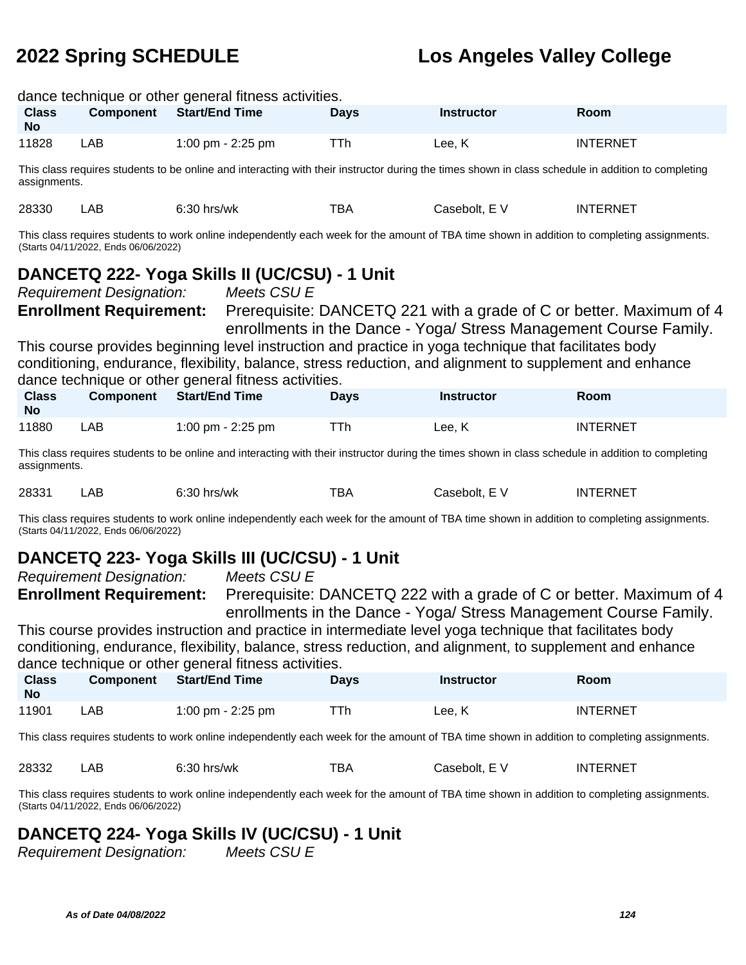| dance technique or other general fitness activities.                                                                                                                                |                                                                                                                                                                                                                                                                                                                                                                                                                                                                                                                                                                                                                                              |                                                                                                                                                    |             |                   |                 |  |  |  |
|-------------------------------------------------------------------------------------------------------------------------------------------------------------------------------------|----------------------------------------------------------------------------------------------------------------------------------------------------------------------------------------------------------------------------------------------------------------------------------------------------------------------------------------------------------------------------------------------------------------------------------------------------------------------------------------------------------------------------------------------------------------------------------------------------------------------------------------------|----------------------------------------------------------------------------------------------------------------------------------------------------|-------------|-------------------|-----------------|--|--|--|
| <b>Class</b><br><b>No</b>                                                                                                                                                           | <b>Component</b>                                                                                                                                                                                                                                                                                                                                                                                                                                                                                                                                                                                                                             | <b>Start/End Time</b>                                                                                                                              | <b>Days</b> | <b>Instructor</b> | Room            |  |  |  |
| 11828                                                                                                                                                                               | LAB                                                                                                                                                                                                                                                                                                                                                                                                                                                                                                                                                                                                                                          | 1:00 pm - 2:25 pm                                                                                                                                  | TTh         | Lee, K            | <b>INTERNET</b> |  |  |  |
| assignments.                                                                                                                                                                        |                                                                                                                                                                                                                                                                                                                                                                                                                                                                                                                                                                                                                                              | This class requires students to be online and interacting with their instructor during the times shown in class schedule in addition to completing |             |                   |                 |  |  |  |
| 28330                                                                                                                                                                               | LAB                                                                                                                                                                                                                                                                                                                                                                                                                                                                                                                                                                                                                                          | $6:30$ hrs/wk                                                                                                                                      | TBA         | Casebolt, E V     | <b>INTERNET</b> |  |  |  |
|                                                                                                                                                                                     | (Starts 04/11/2022, Ends 06/06/2022)                                                                                                                                                                                                                                                                                                                                                                                                                                                                                                                                                                                                         | This class requires students to work online independently each week for the amount of TBA time shown in addition to completing assignments.        |             |                   |                 |  |  |  |
| <b>Class</b>                                                                                                                                                                        | DANCETQ 222- Yoga Skills II (UC/CSU) - 1 Unit<br><b>Requirement Designation:</b><br>Meets CSU E<br>Prerequisite: DANCETQ 221 with a grade of C or better. Maximum of 4<br><b>Enrollment Requirement:</b><br>enrollments in the Dance - Yoga/ Stress Management Course Family.<br>This course provides beginning level instruction and practice in yoga technique that facilitates body<br>conditioning, endurance, flexibility, balance, stress reduction, and alignment to supplement and enhance<br>dance technique or other general fitness activities.<br><b>Start/End Time</b><br>Component<br><b>Instructor</b><br>Room<br><b>Days</b> |                                                                                                                                                    |             |                   |                 |  |  |  |
| <b>No</b>                                                                                                                                                                           |                                                                                                                                                                                                                                                                                                                                                                                                                                                                                                                                                                                                                                              |                                                                                                                                                    |             |                   |                 |  |  |  |
|                                                                                                                                                                                     | 11880<br>LAB<br>TTh<br><b>INTERNET</b><br>1:00 pm - 2:25 pm<br>Lee, K<br>This class requires students to be online and interacting with their instructor during the times shown in class schedule in addition to completing                                                                                                                                                                                                                                                                                                                                                                                                                  |                                                                                                                                                    |             |                   |                 |  |  |  |
| assignments.                                                                                                                                                                        |                                                                                                                                                                                                                                                                                                                                                                                                                                                                                                                                                                                                                                              |                                                                                                                                                    |             |                   |                 |  |  |  |
| 28331                                                                                                                                                                               | LAB                                                                                                                                                                                                                                                                                                                                                                                                                                                                                                                                                                                                                                          | $6:30$ hrs/wk                                                                                                                                      | <b>TBA</b>  | Casebolt, E V     | <b>INTERNET</b> |  |  |  |
| This class requires students to work online independently each week for the amount of TBA time shown in addition to completing assignments.<br>(Starts 04/11/2022, Ends 06/06/2022) |                                                                                                                                                                                                                                                                                                                                                                                                                                                                                                                                                                                                                                              |                                                                                                                                                    |             |                   |                 |  |  |  |

## **DANCETQ 223- Yoga Skills III (UC/CSU) - 1 Unit**

Requirement Designation: Meets CSU E

**Enrollment Requirement:** Prerequisite: DANCETQ 222 with a grade of C or better. Maximum of 4 enrollments in the Dance - Yoga/ Stress Management Course Family.

This course provides instruction and practice in intermediate level yoga technique that facilitates body conditioning, endurance, flexibility, balance, stress reduction, and alignment, to supplement and enhance dance technique or other general fitness activities.

| <b>Class</b><br><b>No</b> | <b>Component</b> | <b>Start/End Time</b> | Days | <b>Instructor</b> | Room            |
|---------------------------|------------------|-----------------------|------|-------------------|-----------------|
| 11901                     | ∟AB              | 1:00 pm - 2:25 pm     |      | Lee. K            | <b>INTERNET</b> |

This class requires students to work online independently each week for the amount of TBA time shown in addition to completing assignments.

28332 LAB 6:30 hrs/wk TBA Casebolt, E V INTERNET

This class requires students to work online independently each week for the amount of TBA time shown in addition to completing assignments. (Starts 04/11/2022, Ends 06/06/2022)

## **DANCETQ 224- Yoga Skills IV (UC/CSU) - 1 Unit**

Requirement Designation: Meets CSU E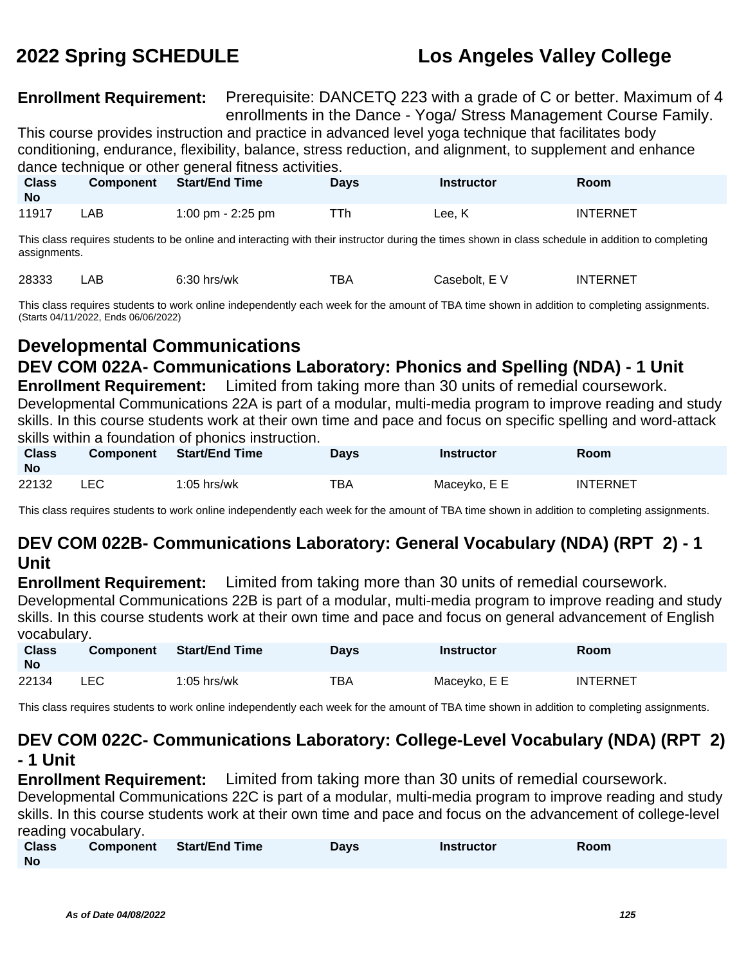**Enrollment Requirement:** Prerequisite: DANCETQ 223 with a grade of C or better. Maximum of 4 enrollments in the Dance - Yoga/ Stress Management Course Family.

This course provides instruction and practice in advanced level yoga technique that facilitates body conditioning, endurance, flexibility, balance, stress reduction, and alignment, to supplement and enhance dance technique or other general fitness activities.

| <b>Class</b><br><b>No</b> | <b>Component</b> | <b>Start/End Time</b> | Days | <b>Instructor</b> | Room            |
|---------------------------|------------------|-----------------------|------|-------------------|-----------------|
| 11917                     | ∟AB -            | 1:00 pm - 2:25 pm     | ⊤Тh  | Lee. K            | <b>INTERNET</b> |

This class requires students to be online and interacting with their instructor during the times shown in class schedule in addition to completing assignments.

28333 LAB 6:30 hrs/wk TBA Casebolt, E V INTERNET

This class requires students to work online independently each week for the amount of TBA time shown in addition to completing assignments. (Starts 04/11/2022, Ends 06/06/2022)

## **Developmental Communications**

## **DEV COM 022A- Communications Laboratory: Phonics and Spelling (NDA) - 1 Unit**

**Enrollment Requirement:** Limited from taking more than 30 units of remedial coursework. Developmental Communications 22A is part of a modular, multi-media program to improve reading and study skills. In this course students work at their own time and pace and focus on specific spelling and word-attack skills within a foundation of phonics instruction.

| <b>Class</b><br><b>No</b> | <b>Component</b> | <b>Start/End Time</b> | Days | <b>Instructor</b> | Room     |
|---------------------------|------------------|-----------------------|------|-------------------|----------|
| 22132                     | LEC              | $1:05$ hrs/wk         | TBA  | Maceyko, E E      | INTERNET |

This class requires students to work online independently each week for the amount of TBA time shown in addition to completing assignments.

### **DEV COM 022B- Communications Laboratory: General Vocabulary (NDA) (RPT 2) - 1 Unit**

**Enrollment Requirement:** Limited from taking more than 30 units of remedial coursework. Developmental Communications 22B is part of a modular, multi-media program to improve reading and study skills. In this course students work at their own time and pace and focus on general advancement of English vocabulary.

| .<br><b>Class</b><br><b>No</b> | <b>Component</b> | <b>Start/End Time</b> | Days | Instructor   | Room            |
|--------------------------------|------------------|-----------------------|------|--------------|-----------------|
| 22134                          | LEC.             | $1:05$ hrs/wk         | TBA  | Maceyko, E E | <b>INTERNET</b> |

This class requires students to work online independently each week for the amount of TBA time shown in addition to completing assignments.

### **DEV COM 022C- Communications Laboratory: College-Level Vocabulary (NDA) (RPT 2) - 1 Unit**

**Enrollment Requirement:** Limited from taking more than 30 units of remedial coursework.

Developmental Communications 22C is part of a modular, multi-media program to improve reading and study skills. In this course students work at their own time and pace and focus on the advancement of college-level reading vocabulary.

| <b>Class</b> | Component | <b>Start/End Time</b> | Days | <b>Instructor</b> | Room |
|--------------|-----------|-----------------------|------|-------------------|------|
| No           |           |                       |      |                   |      |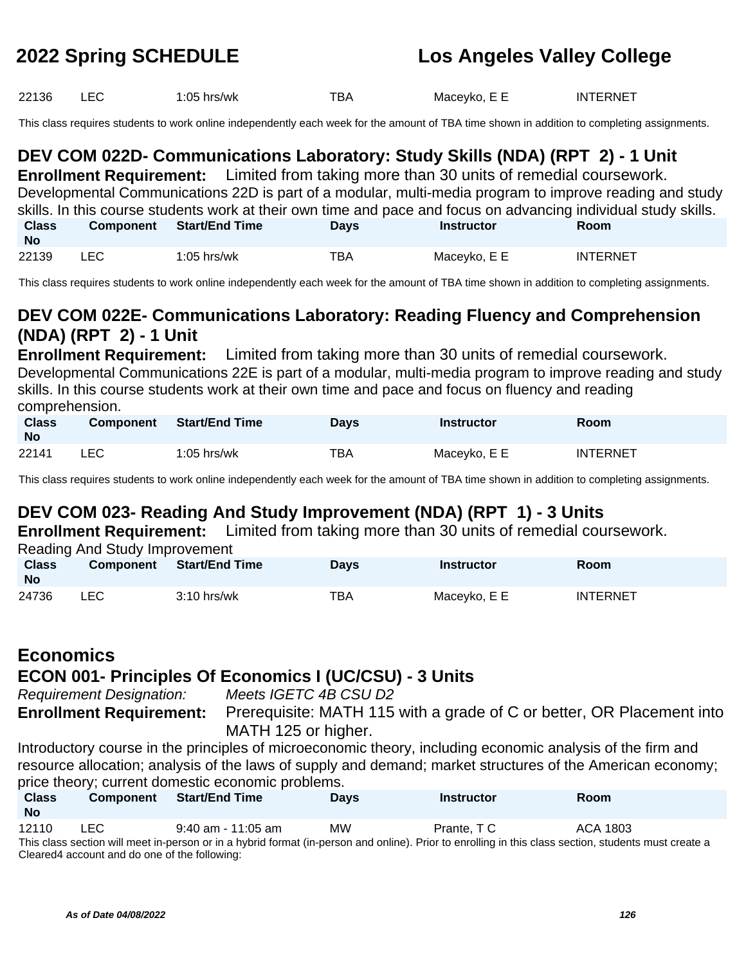22136 LEC 1:05 hrs/wk TBA Maceyko, E E INTERNET

This class requires students to work online independently each week for the amount of TBA time shown in addition to completing assignments.

## **DEV COM 022D- Communications Laboratory: Study Skills (NDA) (RPT 2) - 1 Unit**

**Enrollment Requirement:** Limited from taking more than 30 units of remedial coursework. Developmental Communications 22D is part of a modular, multi-media program to improve reading and study skills. In this course students work at their own time and pace and focus on advancing individual study skills. **Class No Component Start/End Time Days Instructor Room** 22139 LEC 1:05 hrs/wk TBA Maceyko, E E INTERNET

This class requires students to work online independently each week for the amount of TBA time shown in addition to completing assignments.

## **DEV COM 022E- Communications Laboratory: Reading Fluency and Comprehension (NDA) (RPT 2) - 1 Unit**

**Enrollment Requirement:** Limited from taking more than 30 units of remedial coursework. Developmental Communications 22E is part of a modular, multi-media program to improve reading and study skills. In this course students work at their own time and pace and focus on fluency and reading comprehension.

| <b>Class</b><br><b>No</b> | <b>Component</b> | Start/End Time | Days | <b>Instructor</b> | Room            |
|---------------------------|------------------|----------------|------|-------------------|-----------------|
| 22141                     | LEC.             | $1:05$ hrs/wk  | TBA  | Maceyko, E E      | <b>INTERNET</b> |

This class requires students to work online independently each week for the amount of TBA time shown in addition to completing assignments.

## **DEV COM 023- Reading And Study Improvement (NDA) (RPT 1) - 3 Units**

**Enrollment Requirement:** Limited from taking more than 30 units of remedial coursework.

Reading And Study Improvement

| <b>Class</b><br>No | <b>Component</b> | <b>Start/End Time</b> | <b>Days</b> | <b>Instructor</b> | Room            |
|--------------------|------------------|-----------------------|-------------|-------------------|-----------------|
| 24736              | LEC              | $3:10$ hrs/wk         | TBA         | Maceyko, E E      | <b>INTERNET</b> |

## **Economics ECON 001- Principles Of Economics I (UC/CSU) - 3 Units**

Requirement Designation: Meets IGETC 4B CSU D2 **Enrollment Requirement:** Prerequisite: MATH 115 with a grade of C or better, OR Placement into MATH 125 or higher.

Introductory course in the principles of microeconomic theory, including economic analysis of the firm and resource allocation; analysis of the laws of supply and demand; market structures of the American economy; price theory; current domestic economic problems.

| <b>Class</b><br><b>No</b>                                                                                                                             | <b>Component</b> | <b>Start/End Time</b> | <b>Davs</b> | <b>Instructor</b> | Room     |  |  |
|-------------------------------------------------------------------------------------------------------------------------------------------------------|------------------|-----------------------|-------------|-------------------|----------|--|--|
| 12110                                                                                                                                                 | LEC.             | $9:40$ am - 11:05 am  | <b>MW</b>   | Prante, TC        | ACA 1803 |  |  |
| This class section will meet in-person or in a hybrid format (in-person and online). Prior to enrolling in this class section, students must create a |                  |                       |             |                   |          |  |  |
| Cleared4 account and do one of the following:                                                                                                         |                  |                       |             |                   |          |  |  |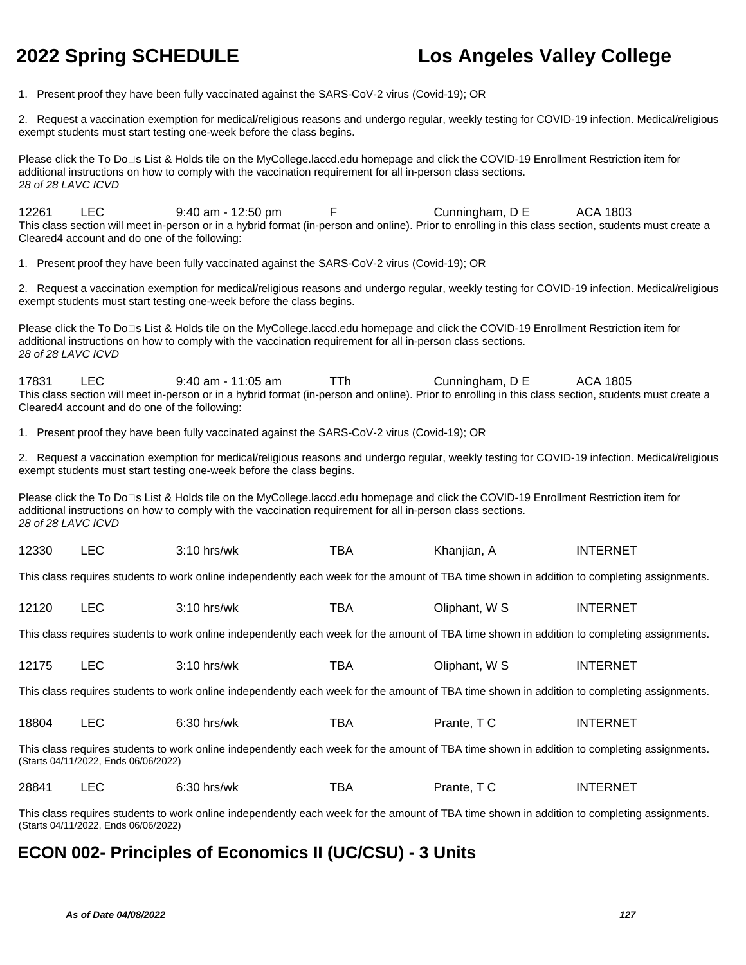1. Present proof they have been fully vaccinated against the SARS-CoV-2 virus (Covid-19); OR

2. Request a vaccination exemption for medical/religious reasons and undergo regular, weekly testing for COVID-19 infection. Medical/religious exempt students must start testing one-week before the class begins.

Please click the To Do<sup>n</sup>s List & Holds tile on the MyCollege.laccd.edu homepage and click the COVID-19 Enrollment Restriction item for additional instructions on how to comply with the vaccination requirement for all in-person class sections. 28 of 28 LAVC ICVD

12261 LEC 9:40 am - 12:50 pm F Cunningham, D E ACA 1803 This class section will meet in-person or in a hybrid format (in-person and online). Prior to enrolling in this class section, students must create a Cleared4 account and do one of the following:

1. Present proof they have been fully vaccinated against the SARS-CoV-2 virus (Covid-19); OR

2. Request a vaccination exemption for medical/religious reasons and undergo regular, weekly testing for COVID-19 infection. Medical/religious exempt students must start testing one-week before the class begins.

Please click the To Do<sup>n</sup>s List & Holds tile on the MyCollege.laccd.edu homepage and click the COVID-19 Enrollment Restriction item for additional instructions on how to comply with the vaccination requirement for all in-person class sections. 28 of 28 LAVC ICVD

17831 LEC 9:40 am - 11:05 am TTh Cunningham, D E ACA 1805 This class section will meet in-person or in a hybrid format (in-person and online). Prior to enrolling in this class section, students must create a Cleared4 account and do one of the following:

1. Present proof they have been fully vaccinated against the SARS-CoV-2 virus (Covid-19); OR

2. Request a vaccination exemption for medical/religious reasons and undergo regular, weekly testing for COVID-19 infection. Medical/religious exempt students must start testing one-week before the class begins.

Please click the To Do⊡s List & Holds tile on the MyCollege.laccd.edu homepage and click the COVID-19 Enrollment Restriction item for additional instructions on how to comply with the vaccination requirement for all in-person class sections. 28 of 28 LAVC ICVD

| 12330 | $\Gamma$<br>- | 3:10 hrs/wk | TBA | Khanjian, , | <b>INTERNET</b> |
|-------|---------------|-------------|-----|-------------|-----------------|
|-------|---------------|-------------|-----|-------------|-----------------|

This class requires students to work online independently each week for the amount of TBA time shown in addition to completing assignments.

| 12120<br>тва<br>Oliphant, W S<br>INT<br>$3:10$ hrs/wk | TERNET |
|-------------------------------------------------------|--------|
|-------------------------------------------------------|--------|

This class requires students to work online independently each week for the amount of TBA time shown in addition to completing assignments.

| 12175 | ∟EC l | $3:10$ hrs/wk | тва | Oliphant, W S | INTERNET |
|-------|-------|---------------|-----|---------------|----------|
|       |       |               |     |               |          |

This class requires students to work online independently each week for the amount of TBA time shown in addition to completing assignments.

| 18804 | $\Gamma$<br>ᅩᄂ | $\sim$ $\sim$<br>$6:30$ hrs/wk | тва | Prante.<br>___ | TERNET<br>INTE |
|-------|----------------|--------------------------------|-----|----------------|----------------|
|-------|----------------|--------------------------------|-----|----------------|----------------|

This class requires students to work online independently each week for the amount of TBA time shown in addition to completing assignments. (Starts 04/11/2022, Ends 06/06/2022)

| 28841 | $\cdot$ . On<br>hrs/wk<br>J.JU- | --<br>. BA | Prante.<br>___ | INT<br>TERNE. |
|-------|---------------------------------|------------|----------------|---------------|
|       |                                 |            |                |               |

This class requires students to work online independently each week for the amount of TBA time shown in addition to completing assignments. (Starts 04/11/2022, Ends 06/06/2022)

### **ECON 002- Principles of Economics II (UC/CSU) - 3 Units**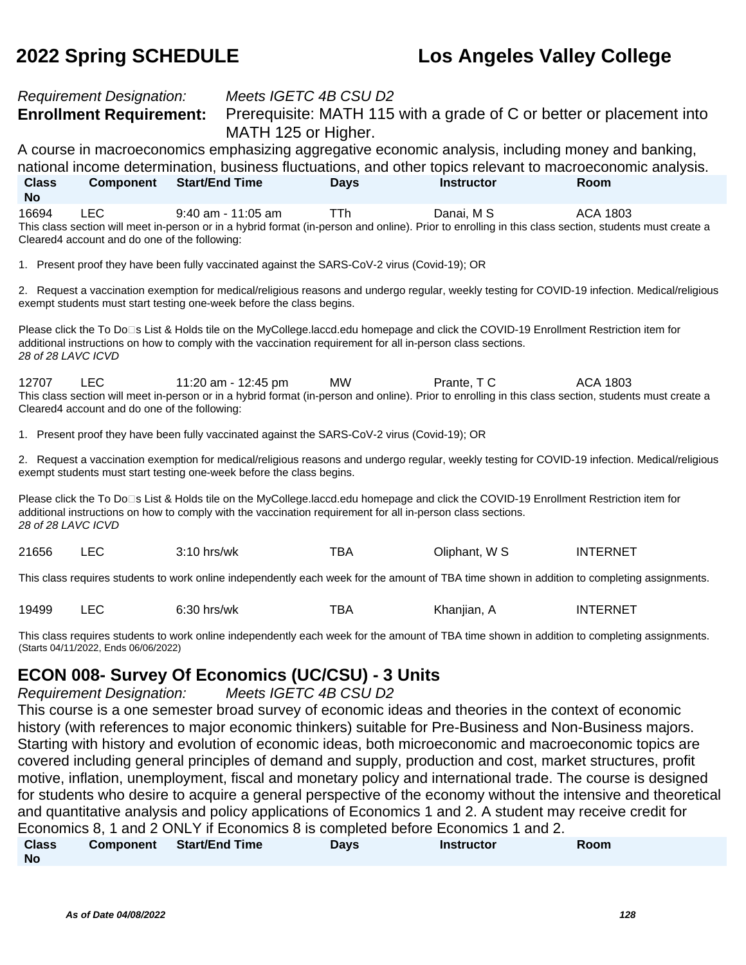### Requirement Designation: Meets IGETC 4B CSU D2 **Enrollment Requirement:** Prerequisite: MATH 115 with a grade of C or better or placement into MATH 125 or Higher. A course in macroeconomics emphasizing aggregative economic analysis, including money and banking, national income determination, business fluctuations, and other topics relevant to macroeconomic analysis. **Class No Component Start/End Time Days Instructor Room** 16694 LEC 9:40 am - 11:05 am TTh Danai, M S ACA 1803 This class section will meet in-person or in a hybrid format (in-person and online). Prior to enrolling in this class section, students must create a Cleared4 account and do one of the following: 1. Present proof they have been fully vaccinated against the SARS-CoV-2 virus (Covid-19); OR 2. Request a vaccination exemption for medical/religious reasons and undergo regular, weekly testing for COVID-19 infection. Medical/religious exempt students must start testing one-week before the class begins. Please click the To Do□s List & Holds tile on the MyCollege.laccd.edu homepage and click the COVID-19 Enrollment Restriction item for additional instructions on how to comply with the vaccination requirement for all in-person class sections. 28 of 28 LAVC ICVD 12707 LEC 11:20 am - 12:45 pm MW Prante, T C ACA 1803 This class section will meet in-person or in a hybrid format (in-person and online). Prior to enrolling in this class section, students must create a Cleared4 account and do one of the following: 1. Present proof they have been fully vaccinated against the SARS-CoV-2 virus (Covid-19); OR 2. Request a vaccination exemption for medical/religious reasons and undergo regular, weekly testing for COVID-19 infection. Medical/religious exempt students must start testing one-week before the class begins. Please click the To Do<sup>n</sup>s List & Holds tile on the MyCollege.laccd.edu homepage and click the COVID-19 Enrollment Restriction item for additional instructions on how to comply with the vaccination requirement for all in-person class sections. 28 of 28 LAVC ICVD 21656 LEC 3:10 hrs/wk TBA Oliphant, W S INTERNET This class requires students to work online independently each week for the amount of TBA time shown in addition to completing assignments. 19499 LEC 6:30 hrs/wk TBA Khanjian, A INTERNET This class requires students to work online independently each week for the amount of TBA time shown in addition to completing assignments. (Starts 04/11/2022, Ends 06/06/2022)

### **ECON 008- Survey Of Economics (UC/CSU) - 3 Units**

Requirement Designation: Meets IGETC 4B CSU D2

This course is a one semester broad survey of economic ideas and theories in the context of economic history (with references to major economic thinkers) suitable for Pre-Business and Non-Business majors. Starting with history and evolution of economic ideas, both microeconomic and macroeconomic topics are covered including general principles of demand and supply, production and cost, market structures, profit motive, inflation, unemployment, fiscal and monetary policy and international trade. The course is designed for students who desire to acquire a general perspective of the economy without the intensive and theoretical and quantitative analysis and policy applications of Economics 1 and 2. A student may receive credit for Economics 8, 1 and 2 ONLY if Economics 8 is completed before Economics 1 and 2.

| <b>Class</b> | Component Start/End Time | Days | <b>Instructor</b> | Room |  |
|--------------|--------------------------|------|-------------------|------|--|
| No           |                          |      |                   |      |  |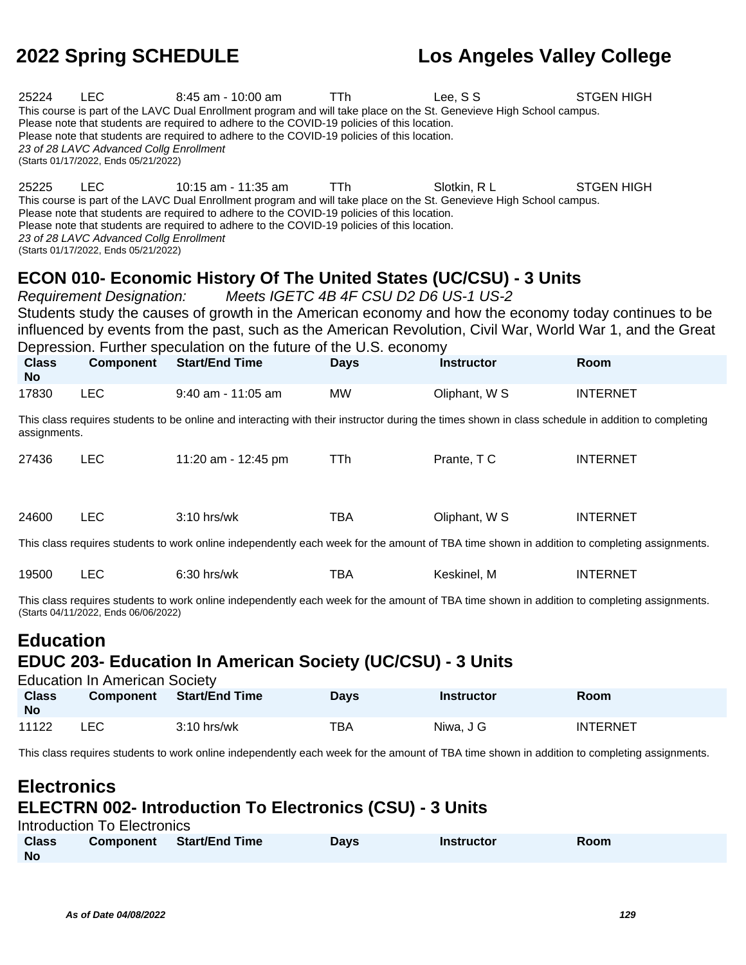| 25224                                                                                                                                                                                                                                                                                                                                                                                                                                      | <b>LEC</b><br><b>TTh</b><br>Lee, SS<br><b>STGEN HIGH</b><br>8:45 am - 10:00 am<br>This course is part of the LAVC Dual Enrollment program and will take place on the St. Genevieve High School campus.<br>Please note that students are required to adhere to the COVID-19 policies of this location.<br>Please note that students are required to adhere to the COVID-19 policies of this location.<br>23 of 28 LAVC Advanced Collg Enrollment<br>(Starts 01/17/2022, Ends 05/21/2022) |                                                                                                                                                                                                                                                                                                                                           |             |                   |                   |  |  |
|--------------------------------------------------------------------------------------------------------------------------------------------------------------------------------------------------------------------------------------------------------------------------------------------------------------------------------------------------------------------------------------------------------------------------------------------|-----------------------------------------------------------------------------------------------------------------------------------------------------------------------------------------------------------------------------------------------------------------------------------------------------------------------------------------------------------------------------------------------------------------------------------------------------------------------------------------|-------------------------------------------------------------------------------------------------------------------------------------------------------------------------------------------------------------------------------------------------------------------------------------------------------------------------------------------|-------------|-------------------|-------------------|--|--|
| 25225                                                                                                                                                                                                                                                                                                                                                                                                                                      | <b>LEC</b><br>23 of 28 LAVC Advanced Collg Enrollment<br>(Starts 01/17/2022, Ends 05/21/2022)                                                                                                                                                                                                                                                                                                                                                                                           | 10:15 am - 11:35 am<br>This course is part of the LAVC Dual Enrollment program and will take place on the St. Genevieve High School campus.<br>Please note that students are required to adhere to the COVID-19 policies of this location.<br>Please note that students are required to adhere to the COVID-19 policies of this location. | TTh         | Slotkin, R L      | <b>STGEN HIGH</b> |  |  |
| ECON 010- Economic History Of The United States (UC/CSU) - 3 Units<br>Meets IGETC 4B 4F CSU D2 D6 US-1 US-2<br><b>Requirement Designation:</b><br>Students study the causes of growth in the American economy and how the economy today continues to be<br>influenced by events from the past, such as the American Revolution, Civil War, World War 1, and the Great<br>Depression. Further speculation on the future of the U.S. economy |                                                                                                                                                                                                                                                                                                                                                                                                                                                                                         |                                                                                                                                                                                                                                                                                                                                           |             |                   |                   |  |  |
| <b>Class</b><br><b>No</b>                                                                                                                                                                                                                                                                                                                                                                                                                  | <b>Component</b>                                                                                                                                                                                                                                                                                                                                                                                                                                                                        | <b>Start/End Time</b>                                                                                                                                                                                                                                                                                                                     | <b>Days</b> | <b>Instructor</b> | Room              |  |  |
| 17830                                                                                                                                                                                                                                                                                                                                                                                                                                      | <b>LEC</b>                                                                                                                                                                                                                                                                                                                                                                                                                                                                              | 9:40 am - 11:05 am                                                                                                                                                                                                                                                                                                                        | <b>MW</b>   | Oliphant, W S     | <b>INTERNET</b>   |  |  |
| assignments.                                                                                                                                                                                                                                                                                                                                                                                                                               |                                                                                                                                                                                                                                                                                                                                                                                                                                                                                         | This class requires students to be online and interacting with their instructor during the times shown in class schedule in addition to completing                                                                                                                                                                                        |             |                   |                   |  |  |
| 27436                                                                                                                                                                                                                                                                                                                                                                                                                                      | <b>LEC</b>                                                                                                                                                                                                                                                                                                                                                                                                                                                                              | 11:20 am - 12:45 pm                                                                                                                                                                                                                                                                                                                       | <b>TTh</b>  | Prante, TC        | <b>INTERNET</b>   |  |  |
| 24600                                                                                                                                                                                                                                                                                                                                                                                                                                      | <b>LEC</b>                                                                                                                                                                                                                                                                                                                                                                                                                                                                              | 3:10 hrs/wk                                                                                                                                                                                                                                                                                                                               | <b>TBA</b>  | Oliphant, W S     | <b>INTERNET</b>   |  |  |
|                                                                                                                                                                                                                                                                                                                                                                                                                                            |                                                                                                                                                                                                                                                                                                                                                                                                                                                                                         | This class requires students to work online independently each week for the amount of TBA time shown in addition to completing assignments.                                                                                                                                                                                               |             |                   |                   |  |  |
| 19500                                                                                                                                                                                                                                                                                                                                                                                                                                      | <b>LEC</b>                                                                                                                                                                                                                                                                                                                                                                                                                                                                              | 6:30 hrs/wk                                                                                                                                                                                                                                                                                                                               | <b>TBA</b>  | Keskinel, M       | <b>INTERNET</b>   |  |  |
|                                                                                                                                                                                                                                                                                                                                                                                                                                            | (Starts 04/11/2022, Ends 06/06/2022)                                                                                                                                                                                                                                                                                                                                                                                                                                                    | This class requires students to work online independently each week for the amount of TBA time shown in addition to completing assignments.                                                                                                                                                                                               |             |                   |                   |  |  |
| <b>Education</b><br><b>EDUC 203- Education In American Society (UC/CSU) - 3 Units</b><br><b>Education In American Society</b>                                                                                                                                                                                                                                                                                                              |                                                                                                                                                                                                                                                                                                                                                                                                                                                                                         |                                                                                                                                                                                                                                                                                                                                           |             |                   |                   |  |  |
| <b>Class</b><br><b>No</b>                                                                                                                                                                                                                                                                                                                                                                                                                  | <b>Component</b>                                                                                                                                                                                                                                                                                                                                                                                                                                                                        | <b>Start/End Time</b>                                                                                                                                                                                                                                                                                                                     | <b>Days</b> | <b>Instructor</b> | Room              |  |  |
| 11122                                                                                                                                                                                                                                                                                                                                                                                                                                      | <b>LEC</b>                                                                                                                                                                                                                                                                                                                                                                                                                                                                              | 3:10 hrs/wk                                                                                                                                                                                                                                                                                                                               | <b>TBA</b>  | Niwa, J G         | <b>INTERNET</b>   |  |  |
|                                                                                                                                                                                                                                                                                                                                                                                                                                            | This class requires students to work online independently each week for the amount of TBA time shown in addition to completing assignments.                                                                                                                                                                                                                                                                                                                                             |                                                                                                                                                                                                                                                                                                                                           |             |                   |                   |  |  |
| <b>Electronics</b>                                                                                                                                                                                                                                                                                                                                                                                                                         |                                                                                                                                                                                                                                                                                                                                                                                                                                                                                         |                                                                                                                                                                                                                                                                                                                                           |             |                   |                   |  |  |

## **ELECTRN 002- Introduction To Electronics (CSU) - 3 Units**

| Introduction To Electronics |           |                |      |            |      |  |  |
|-----------------------------|-----------|----------------|------|------------|------|--|--|
| <b>Class</b>                | Component | Start/End Time | Davs | Instructor | Room |  |  |
| <b>No</b>                   |           |                |      |            |      |  |  |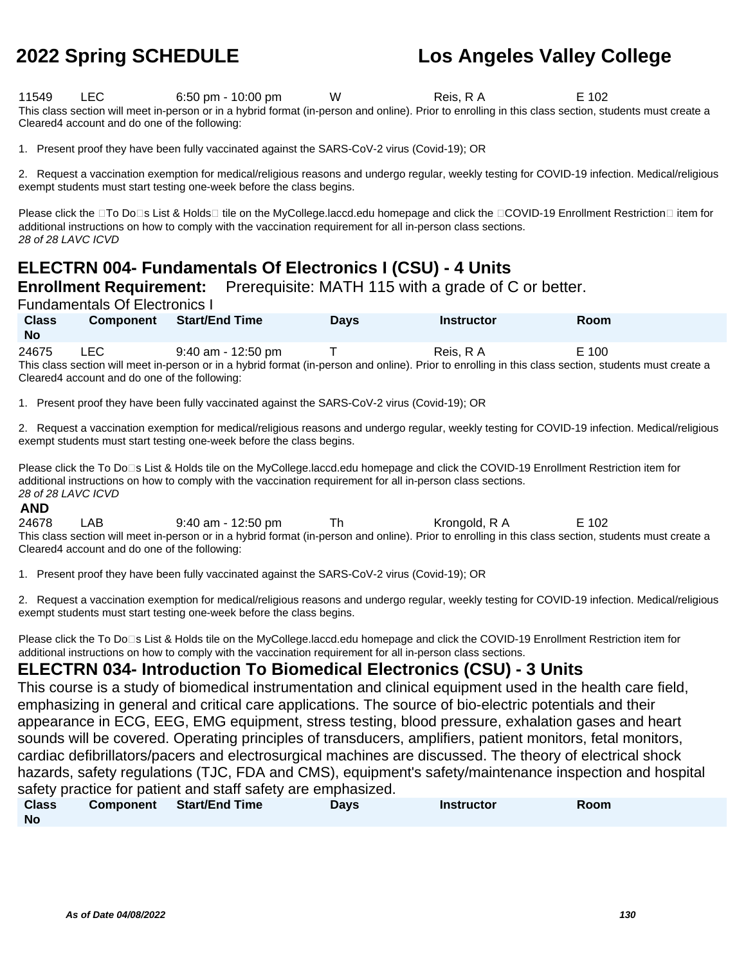11549 LEC 6:50 pm - 10:00 pm W Reis, R A E 102 This class section will meet in-person or in a hybrid format (in-person and online). Prior to enrolling in this class section, students must create a Cleared4 account and do one of the following:

1. Present proof they have been fully vaccinated against the SARS-CoV-2 virus (Covid-19); OR

2. Request a vaccination exemption for medical/religious reasons and undergo regular, weekly testing for COVID-19 infection. Medical/religious exempt students must start testing one-week before the class begins.

Please click the □To Do□s List & Holds□ tile on the MyCollege.laccd.edu homepage and click the □COVID-19 Enrollment Restriction□ item for additional instructions on how to comply with the vaccination requirement for all in-person class sections. 28 of 28 LAVC ICVD

## **ELECTRN 004- Fundamentals Of Electronics I (CSU) - 4 Units**

**Enrollment Requirement:** Prerequisite: MATH 115 with a grade of C or better.

Fundamentals Of Electronics I

| <b>Class</b><br>No | <b>Component</b> | <b>Start/End Time</b>                                                                                                                                 | <b>Davs</b> | <b>Instructor</b> | <b>Room</b> |
|--------------------|------------------|-------------------------------------------------------------------------------------------------------------------------------------------------------|-------------|-------------------|-------------|
| 24675              | LEC.             | 9:40 am - 12:50 pm                                                                                                                                    |             | Reis, R A         | E 100       |
|                    |                  | This class section will meet in-person or in a hybrid format (in-person and online). Prior to enrolling in this class section, students must create a |             |                   |             |

Cleared4 account and do one of the following:

1. Present proof they have been fully vaccinated against the SARS-CoV-2 virus (Covid-19); OR

2. Request a vaccination exemption for medical/religious reasons and undergo regular, weekly testing for COVID-19 infection. Medical/religious exempt students must start testing one-week before the class begins.

Please click the To Do<sup>n</sup>s List & Holds tile on the MyCollege.laccd.edu homepage and click the COVID-19 Enrollment Restriction item for additional instructions on how to comply with the vaccination requirement for all in-person class sections. 28 of 28 LAVC ICVD

### **AND**

24678 LAB 9:40 am - 12:50 pm Th Krongold, R A E 102 This class section will meet in-person or in a hybrid format (in-person and online). Prior to enrolling in this class section, students must create a Cleared4 account and do one of the following:

1. Present proof they have been fully vaccinated against the SARS-CoV-2 virus (Covid-19); OR

2. Request a vaccination exemption for medical/religious reasons and undergo regular, weekly testing for COVID-19 infection. Medical/religious exempt students must start testing one-week before the class begins.

Please click the To Do<sup>n</sup>s List & Holds tile on the MyCollege.laccd.edu homepage and click the COVID-19 Enrollment Restriction item for additional instructions on how to comply with the vaccination requirement for all in-person class sections.

### **ELECTRN 034- Introduction To Biomedical Electronics (CSU) - 3 Units**

This course is a study of biomedical instrumentation and clinical equipment used in the health care field, emphasizing in general and critical care applications. The source of bio-electric potentials and their appearance in ECG, EEG, EMG equipment, stress testing, blood pressure, exhalation gases and heart sounds will be covered. Operating principles of transducers, amplifiers, patient monitors, fetal monitors, cardiac defibrillators/pacers and electrosurgical machines are discussed. The theory of electrical shock hazards, safety regulations (TJC, FDA and CMS), equipment's safety/maintenance inspection and hospital safety practice for patient and staff safety are emphasized.

| <b>Class</b> | Component Start/End Time | Days | <b>Instructor</b> | Room |
|--------------|--------------------------|------|-------------------|------|
| <b>No</b>    |                          |      |                   |      |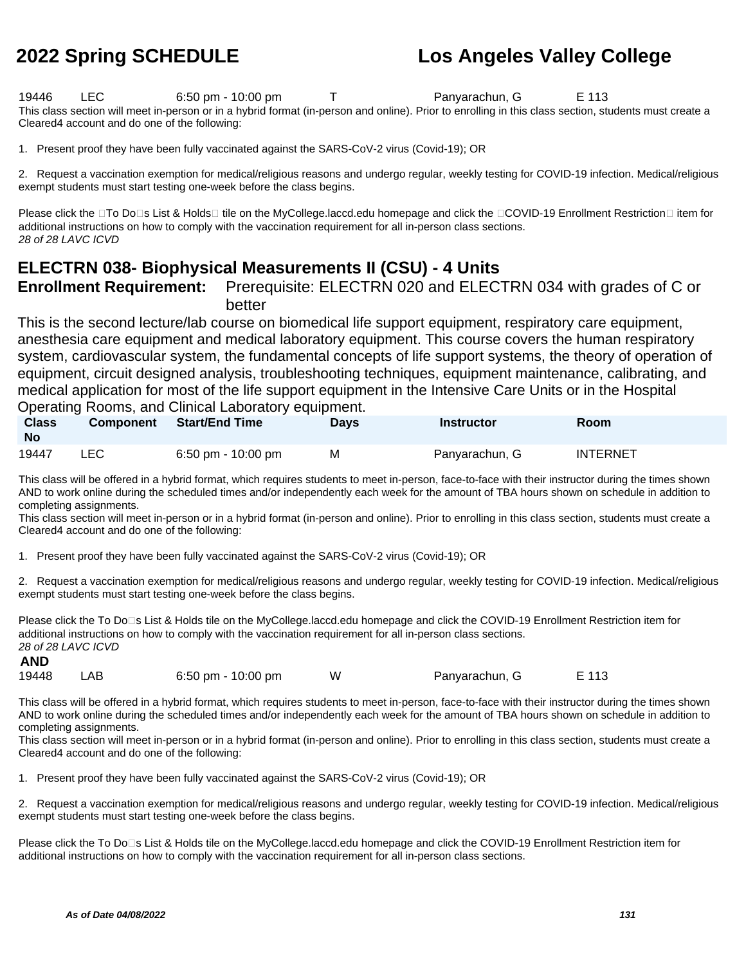19446 LEC 6:50 pm - 10:00 pm T Panyarachun, G E 113 This class section will meet in-person or in a hybrid format (in-person and online). Prior to enrolling in this class section, students must create a Cleared4 account and do one of the following:

1. Present proof they have been fully vaccinated against the SARS-CoV-2 virus (Covid-19); OR

2. Request a vaccination exemption for medical/religious reasons and undergo regular, weekly testing for COVID-19 infection. Medical/religious exempt students must start testing one-week before the class begins.

Please click the □To Do□s List & Holds□ tile on the MyCollege.laccd.edu homepage and click the □COVID-19 Enrollment Restriction□ item for additional instructions on how to comply with the vaccination requirement for all in-person class sections. 28 of 28 LAVC ICVD

### **ELECTRN 038- Biophysical Measurements II (CSU) - 4 Units**

### **Enrollment Requirement:** Prerequisite: ELECTRN 020 and ELECTRN 034 with grades of C or better

This is the second lecture/lab course on biomedical life support equipment, respiratory care equipment, anesthesia care equipment and medical laboratory equipment. This course covers the human respiratory system, cardiovascular system, the fundamental concepts of life support systems, the theory of operation of equipment, circuit designed analysis, troubleshooting techniques, equipment maintenance, calibrating, and medical application for most of the life support equipment in the Intensive Care Units or in the Hospital

### Operating Rooms, and Clinical Laboratory equipment.

| <b>Class</b><br>- No | <b>Component</b> | <b>Start/End Time</b> | <b>Days</b> | <b>Instructor</b> | Room     |
|----------------------|------------------|-----------------------|-------------|-------------------|----------|
| 19447                | LEC.             | 6:50 pm - 10:00 pm    | М           | Panyarachun, G    | INTERNET |

This class will be offered in a hybrid format, which requires students to meet in-person, face-to-face with their instructor during the times shown AND to work online during the scheduled times and/or independently each week for the amount of TBA hours shown on schedule in addition to completing assignments.

This class section will meet in-person or in a hybrid format (in-person and online). Prior to enrolling in this class section, students must create a Cleared4 account and do one of the following:

1. Present proof they have been fully vaccinated against the SARS-CoV-2 virus (Covid-19); OR

2. Request a vaccination exemption for medical/religious reasons and undergo regular, weekly testing for COVID-19 infection. Medical/religious exempt students must start testing one-week before the class begins.

Please click the To Do<sup>n</sup>s List & Holds tile on the MyCollege.laccd.edu homepage and click the COVID-19 Enrollment Restriction item for additional instructions on how to comply with the vaccination requirement for all in-person class sections. 28 of 28 LAVC ICVD **AND**

| 19448 | LAB | 6:50 pm - $10:00$ pm | Panyarachun, G | E 113 |
|-------|-----|----------------------|----------------|-------|
|       |     |                      |                |       |

This class will be offered in a hybrid format, which requires students to meet in-person, face-to-face with their instructor during the times shown AND to work online during the scheduled times and/or independently each week for the amount of TBA hours shown on schedule in addition to completing assignments.

This class section will meet in-person or in a hybrid format (in-person and online). Prior to enrolling in this class section, students must create a Cleared4 account and do one of the following:

1. Present proof they have been fully vaccinated against the SARS-CoV-2 virus (Covid-19); OR

2. Request a vaccination exemption for medical/religious reasons and undergo regular, weekly testing for COVID-19 infection. Medical/religious exempt students must start testing one-week before the class begins.

Please click the To Do<sup>n</sup>s List & Holds tile on the MyCollege.laccd.edu homepage and click the COVID-19 Enrollment Restriction item for additional instructions on how to comply with the vaccination requirement for all in-person class sections.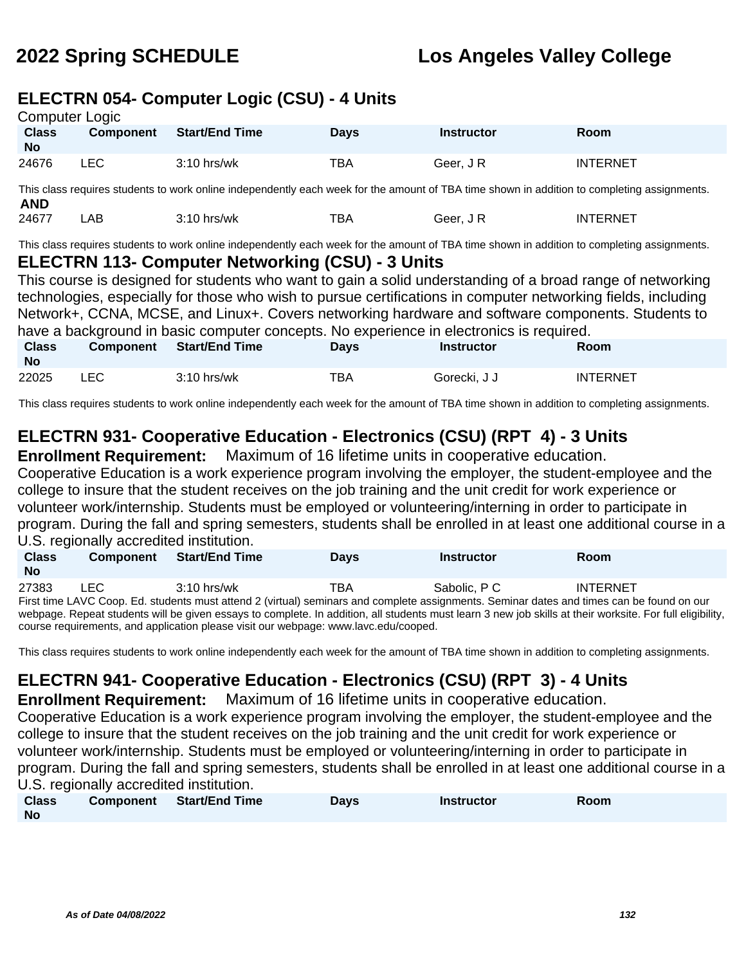### **ELECTRN 054- Computer Logic (CSU) - 4 Units**

| Computer Logic            |           |                       |             |                   |                 |  |  |
|---------------------------|-----------|-----------------------|-------------|-------------------|-----------------|--|--|
| <b>Class</b><br><b>No</b> | Component | <b>Start/End Time</b> | <b>Davs</b> | <b>Instructor</b> | Room            |  |  |
| 24676                     | LEC.      | $3:10$ hrs/wk         | <b>TBA</b>  | Geer. J R         | <b>INTERNET</b> |  |  |

This class requires students to work online independently each week for the amount of TBA time shown in addition to completing assignments. **AND**

24677 LAB 3:10 hrs/wk TBA Geer, J R INTERNET

This class requires students to work online independently each week for the amount of TBA time shown in addition to completing assignments.

### **ELECTRN 113- Computer Networking (CSU) - 3 Units**

This course is designed for students who want to gain a solid understanding of a broad range of networking technologies, especially for those who wish to pursue certifications in computer networking fields, including Network+, CCNA, MCSE, and Linux+. Covers networking hardware and software components. Students to have a background in basic computer concepts. No experience in electronics is required.

| <b>Class</b><br><b>No</b> | <b>Component</b> | <b>Start/End Time</b> | Days | <b>Instructor</b> | Room            |
|---------------------------|------------------|-----------------------|------|-------------------|-----------------|
| 22025                     | ∟EC              | $3:10$ hrs/wk         | тва  | Gorecki, J J      | <b>INTERNET</b> |

This class requires students to work online independently each week for the amount of TBA time shown in addition to completing assignments.

## **ELECTRN 931- Cooperative Education - Electronics (CSU) (RPT 4) - 3 Units**

**Enrollment Requirement:** Maximum of 16 lifetime units in cooperative education.

Cooperative Education is a work experience program involving the employer, the student-employee and the college to insure that the student receives on the job training and the unit credit for work experience or volunteer work/internship. Students must be employed or volunteering/interning in order to participate in program. During the fall and spring semesters, students shall be enrolled in at least one additional course in a U.S. regionally accredited institution.

| <b>Class</b><br><b>No</b> | <b>Component</b> | <b>Start/End Time</b> | <b>Days</b> | Instructor                                                                                                                                | Room            |  |
|---------------------------|------------------|-----------------------|-------------|-------------------------------------------------------------------------------------------------------------------------------------------|-----------------|--|
| 27383                     | LEC.             | $3:10$ hrs/wk         | ТВА         | Sabolic, P C                                                                                                                              | <b>INTERNET</b> |  |
|                           |                  |                       |             | First time LAVC Coop. Ed. students must attend 2 (virtual) seminars and complete assignments. Seminar dates and times can be found on our |                 |  |

webpage. Repeat students will be given essays to complete. In addition, all students must learn 3 new job skills at their worksite. For full eligibility, course requirements, and application please visit our webpage: www.lavc.edu/cooped.

This class requires students to work online independently each week for the amount of TBA time shown in addition to completing assignments.

## **ELECTRN 941- Cooperative Education - Electronics (CSU) (RPT 3) - 4 Units**

**Enrollment Requirement:** Maximum of 16 lifetime units in cooperative education. Cooperative Education is a work experience program involving the employer, the student-employee and the college to insure that the student receives on the job training and the unit credit for work experience or volunteer work/internship. Students must be employed or volunteering/interning in order to participate in program. During the fall and spring semesters, students shall be enrolled in at least one additional course in a U.S. regionally accredited institution.

| <b>Class</b> | Component Start/End Time | Days | <b>Instructor</b> | Room |
|--------------|--------------------------|------|-------------------|------|
| No           |                          |      |                   |      |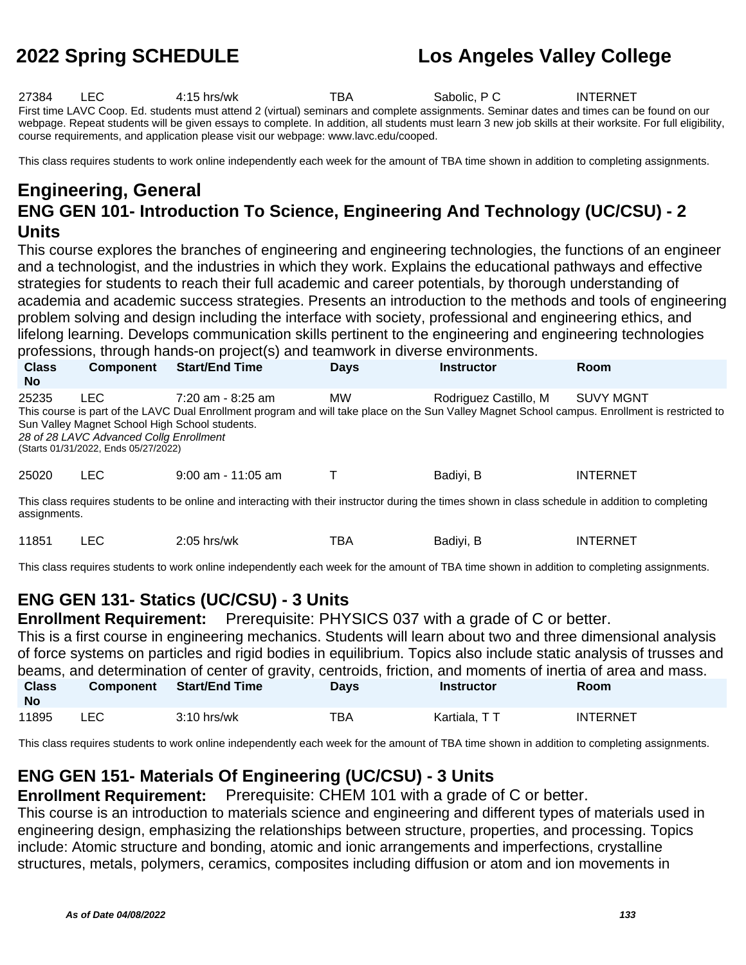27384 LEC 4:15 hrs/wk TBA Sabolic, P C INTERNET First time LAVC Coop. Ed. students must attend 2 (virtual) seminars and complete assignments. Seminar dates and times can be found on our webpage. Repeat students will be given essays to complete. In addition, all students must learn 3 new job skills at their worksite. For full eligibility, course requirements, and application please visit our webpage: www.lavc.edu/cooped.

This class requires students to work online independently each week for the amount of TBA time shown in addition to completing assignments.

### **Engineering, General ENG GEN 101- Introduction To Science, Engineering And Technology (UC/CSU) - 2 Units**

This course explores the branches of engineering and engineering technologies, the functions of an engineer and a technologist, and the industries in which they work. Explains the educational pathways and effective strategies for students to reach their full academic and career potentials, by thorough understanding of academia and academic success strategies. Presents an introduction to the methods and tools of engineering problem solving and design including the interface with society, professional and engineering ethics, and lifelong learning. Develops communication skills pertinent to the engineering and engineering technologies professions, through hands-on project(s) and teamwork in diverse environments.

| <b>Class</b><br><b>No</b> | <b>Component</b>                                                                                                                          | <b>Start/End Time</b> | <b>Days</b> | <b>Instructor</b>     | Room                                                                                                                                                         |
|---------------------------|-------------------------------------------------------------------------------------------------------------------------------------------|-----------------------|-------------|-----------------------|--------------------------------------------------------------------------------------------------------------------------------------------------------------|
| 25235                     | LEC.<br>Sun Valley Magnet School High School students.<br>28 of 28 LAVC Advanced Collg Enrollment<br>(Starts 01/31/2022, Ends 05/27/2022) | $7:20$ am - 8:25 am   | <b>MW</b>   | Rodriguez Castillo, M | SUVY MGNT<br>This course is part of the LAVC Dual Enrollment program and will take place on the Sun Valley Magnet School campus. Enrollment is restricted to |
| 25020                     | LEC.                                                                                                                                      | $9:00$ am - 11:05 am  |             | Badiyi, B             | <b>INTERNET</b>                                                                                                                                              |

This class requires students to be online and interacting with their instructor during the times shown in class schedule in addition to completing assignments.

| 11851 |  | $2:05$ hrs/wk | тва | Badiyi, B | INTERNET |
|-------|--|---------------|-----|-----------|----------|
|-------|--|---------------|-----|-----------|----------|

This class requires students to work online independently each week for the amount of TBA time shown in addition to completing assignments.

### **ENG GEN 131- Statics (UC/CSU) - 3 Units**

**Enrollment Requirement:** Prerequisite: PHYSICS 037 with a grade of C or better.

This is a first course in engineering mechanics. Students will learn about two and three dimensional analysis of force systems on particles and rigid bodies in equilibrium. Topics also include static analysis of trusses and beams, and determination of center of gravity, centroids, friction, and moments of inertia of area and mass. **Class No Component Start/End Time Days Instructor Room** 11895 LEC 3:10 hrs/wk TBA Kartiala, TT INTERNET

This class requires students to work online independently each week for the amount of TBA time shown in addition to completing assignments.

## **ENG GEN 151- Materials Of Engineering (UC/CSU) - 3 Units**

**Enrollment Requirement:** Prerequisite: CHEM 101 with a grade of C or better.

This course is an introduction to materials science and engineering and different types of materials used in engineering design, emphasizing the relationships between structure, properties, and processing. Topics include: Atomic structure and bonding, atomic and ionic arrangements and imperfections, crystalline structures, metals, polymers, ceramics, composites including diffusion or atom and ion movements in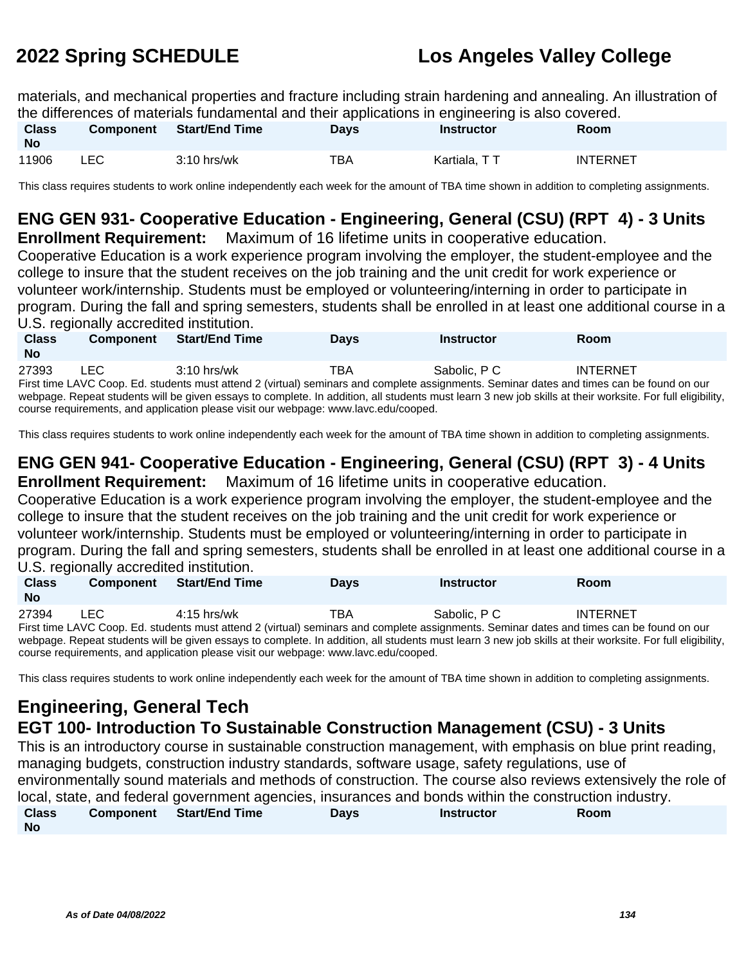materials, and mechanical properties and fracture including strain hardening and annealing. An illustration of the differences of materials fundamental and their applications in engineering is also covered.

| <b>Class</b><br><b>No</b> | <b>Component</b> | <b>Start/End Time</b> | Days | Instructor   | Room            |
|---------------------------|------------------|-----------------------|------|--------------|-----------------|
| 11906                     | LEC.             | $3:10$ hrs/wk         | TBA  | Kartiala, TT | <b>INTERNET</b> |

This class requires students to work online independently each week for the amount of TBA time shown in addition to completing assignments.

## **ENG GEN 931- Cooperative Education - Engineering, General (CSU) (RPT 4) - 3 Units**

**Enrollment Requirement:** Maximum of 16 lifetime units in cooperative education.

Cooperative Education is a work experience program involving the employer, the student-employee and the college to insure that the student receives on the job training and the unit credit for work experience or volunteer work/internship. Students must be employed or volunteering/interning in order to participate in program. During the fall and spring semesters, students shall be enrolled in at least one additional course in a U.S. regionally accredited institution.

| <b>Class</b><br><b>No</b>                                                                                                                                 | <b>Component</b>                                                                                                                          | <b>Start/End Time</b> | <b>Days</b> | <b>Instructor</b> | <b>Room</b>     |  |  |  |
|-----------------------------------------------------------------------------------------------------------------------------------------------------------|-------------------------------------------------------------------------------------------------------------------------------------------|-----------------------|-------------|-------------------|-----------------|--|--|--|
| 27393                                                                                                                                                     | LEC.                                                                                                                                      | $3:10$ hrs/wk         | TBA         | Sabolic, P.C.     | <b>INTERNET</b> |  |  |  |
|                                                                                                                                                           | First time LAVC Coop. Ed. students must attend 2 (virtual) seminars and complete assignments. Seminar dates and times can be found on our |                       |             |                   |                 |  |  |  |
| webpage. Repeat students will be given essays to complete. In addition, all students must learn 3 new job skills at their worksite. For full eligibility, |                                                                                                                                           |                       |             |                   |                 |  |  |  |
|                                                                                                                                                           | course requirements, and application please visit our webpage: www.lavc.edu/cooped.                                                       |                       |             |                   |                 |  |  |  |

This class requires students to work online independently each week for the amount of TBA time shown in addition to completing assignments.

## **ENG GEN 941- Cooperative Education - Engineering, General (CSU) (RPT 3) - 4 Units**

**Enrollment Requirement:** Maximum of 16 lifetime units in cooperative education.

Cooperative Education is a work experience program involving the employer, the student-employee and the college to insure that the student receives on the job training and the unit credit for work experience or volunteer work/internship. Students must be employed or volunteering/interning in order to participate in program. During the fall and spring semesters, students shall be enrolled in at least one additional course in a U.S. regionally accredited institution.

| <b>Class</b><br>No | <b>Component</b> | Start/End Time | Davs | Instructor   | Room                                                                                                                                              |  |
|--------------------|------------------|----------------|------|--------------|---------------------------------------------------------------------------------------------------------------------------------------------------|--|
| 27394              | LEC              | 4:15 hrs/wk    | TBA  | Sabolic. P C | <b>INTERNET</b>                                                                                                                                   |  |
|                    |                  |                |      |              | First time LAUC Cane, Fel. students must attend O (vistual) againsme and againstate accionments. Comings dates and times against the faund an aug |  |

First time LAVC Coop. Ed. students must attend 2 (virtual) seminars and complete assignments. Seminar dates and times can be found on our webpage. Repeat students will be given essays to complete. In addition, all students must learn 3 new job skills at their worksite. For full eligibility, course requirements, and application please visit our webpage: www.lavc.edu/cooped.

This class requires students to work online independently each week for the amount of TBA time shown in addition to completing assignments.

### **Engineering, General Tech EGT 100- Introduction To Sustainable Construction Management (CSU) - 3 Units**

This is an introductory course in sustainable construction management, with emphasis on blue print reading, managing budgets, construction industry standards, software usage, safety regulations, use of environmentally sound materials and methods of construction. The course also reviews extensively the role of local, state, and federal government agencies, insurances and bonds within the construction industry. **Class Component Start/End Time Days Instructor Room**

**No**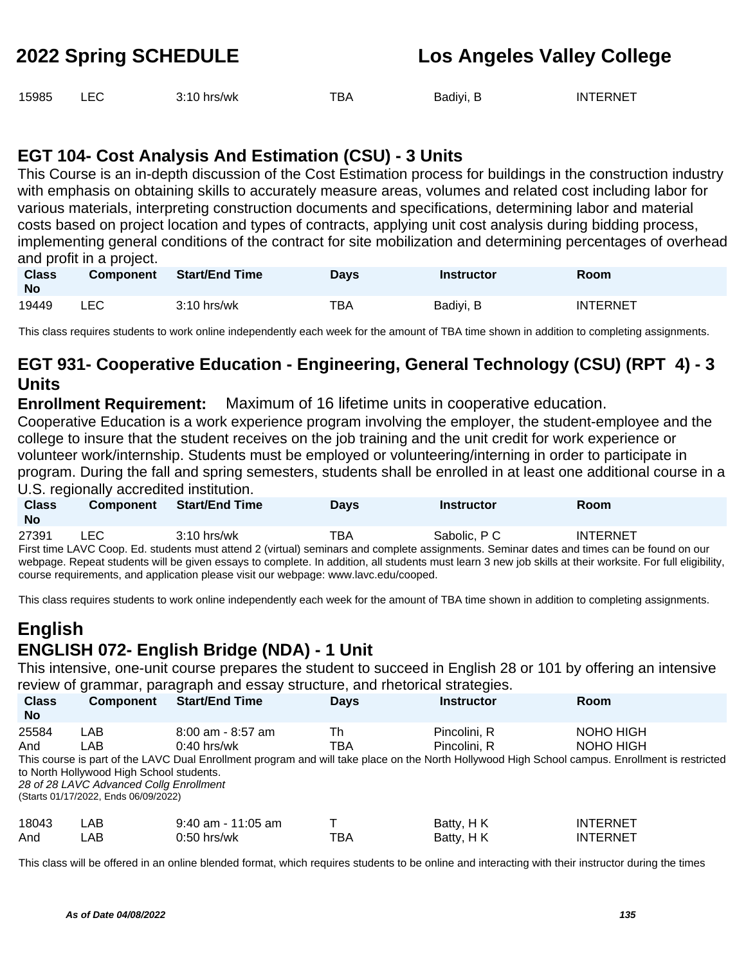| 15985 |  | 3:10 hrs/wk | TBA | Badiyi, B | <b>INTERNET</b> |
|-------|--|-------------|-----|-----------|-----------------|
|-------|--|-------------|-----|-----------|-----------------|

### **EGT 104- Cost Analysis And Estimation (CSU) - 3 Units**

This Course is an in-depth discussion of the Cost Estimation process for buildings in the construction industry with emphasis on obtaining skills to accurately measure areas, volumes and related cost including labor for various materials, interpreting construction documents and specifications, determining labor and material costs based on project location and types of contracts, applying unit cost analysis during bidding process, implementing general conditions of the contract for site mobilization and determining percentages of overhead and profit in a project.

| <b>Class</b><br><b>No</b> | <b>Component</b> | <b>Start/End Time</b> | Days | <b>Instructor</b> | Room            |
|---------------------------|------------------|-----------------------|------|-------------------|-----------------|
| 19449                     | <b>LEC</b>       | $3:10$ hrs/wk         | TBA  | Badiyi, B         | <b>INTERNET</b> |

This class requires students to work online independently each week for the amount of TBA time shown in addition to completing assignments.

## **EGT 931- Cooperative Education - Engineering, General Technology (CSU) (RPT 4) - 3 Units**

**Enrollment Requirement:** Maximum of 16 lifetime units in cooperative education.

Cooperative Education is a work experience program involving the employer, the student-employee and the college to insure that the student receives on the job training and the unit credit for work experience or volunteer work/internship. Students must be employed or volunteering/interning in order to participate in program. During the fall and spring semesters, students shall be enrolled in at least one additional course in a U.S. regionally accredited institution.

| <b>Class</b><br><b>No</b> | <b>Component</b> | <b>Start/End Time</b> | <b>Days</b> | Instructor   | <b>Room</b>                                                                                                                               |  |
|---------------------------|------------------|-----------------------|-------------|--------------|-------------------------------------------------------------------------------------------------------------------------------------------|--|
| 27391                     | LEC.             | $3:10$ hrs/wk         | ТВА         | Sabolic, P C | <b>INTERNET</b>                                                                                                                           |  |
|                           |                  |                       |             |              | First time LAVC Coop. Ed. students must attend 2 (virtual) seminars and complete assignments. Seminar dates and times can be found on our |  |

webpage. Repeat students will be given essays to complete. In addition, all students must learn 3 new job skills at their worksite. For full eligibility, course requirements, and application please visit our webpage: www.lavc.edu/cooped.

This class requires students to work online independently each week for the amount of TBA time shown in addition to completing assignments.

## **English ENGLISH 072- English Bridge (NDA) - 1 Unit**

This intensive, one-unit course prepares the student to succeed in English 28 or 101 by offering an intensive review of grammar, paragraph and essay structure, and rhetorical strategies.

| <b>Class</b><br><b>No</b> | <b>Component</b>                                                                                                                          | <b>Start/End Time</b>                  | <b>Days</b> | <b>Instructor</b>            | Room                                                                                                                                                                      |
|---------------------------|-------------------------------------------------------------------------------------------------------------------------------------------|----------------------------------------|-------------|------------------------------|---------------------------------------------------------------------------------------------------------------------------------------------------------------------------|
| 25584<br>And              | LAB<br>LAB<br>to North Hollywood High School students.<br>28 of 28 LAVC Advanced Collg Enrollment<br>(Starts 01/17/2022, Ends 06/09/2022) | $8:00$ am - $8:57$ am<br>$0:40$ hrs/wk | Th<br>TBA   | Pincolini. R<br>Pincolini, R | NOHO HIGH<br>NOHO HIGH<br>This course is part of the LAVC Dual Enrollment program and will take place on the North Hollywood High School campus. Enrollment is restricted |
| 18043<br>And              | LAB<br>LAB                                                                                                                                | $9:40$ am - 11:05 am<br>$0:50$ hrs/wk  | ТВА         | Batty, H K<br>Batty, HK      | <b>INTERNET</b><br><b>INTERNET</b>                                                                                                                                        |

This class will be offered in an online blended format, which requires students to be online and interacting with their instructor during the times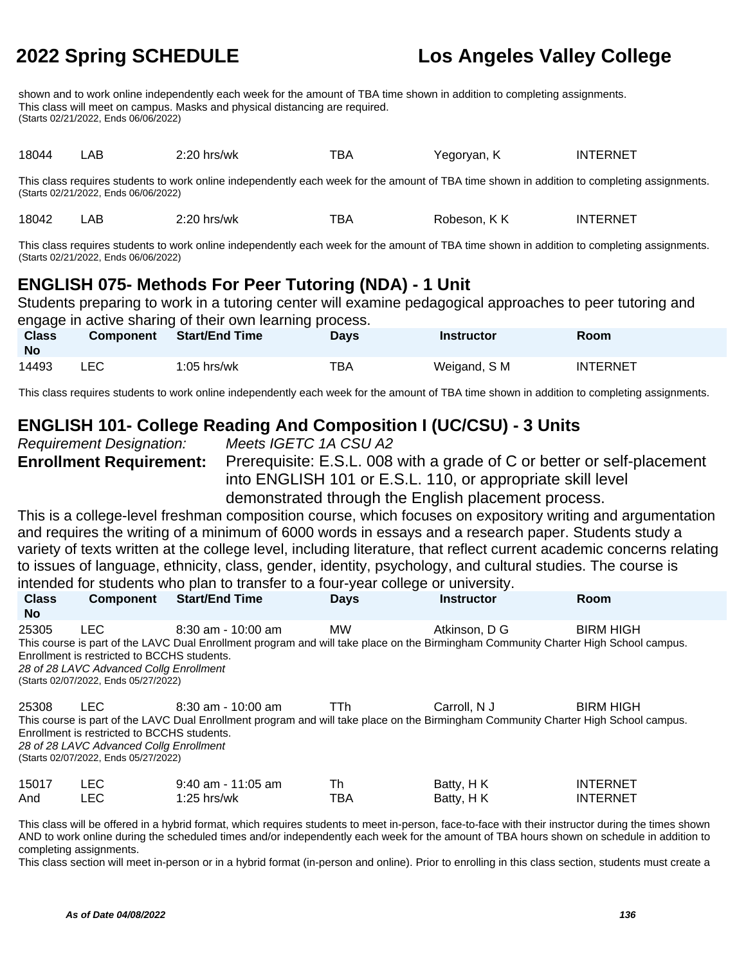shown and to work online independently each week for the amount of TBA time shown in addition to completing assignments. This class will meet on campus. Masks and physical distancing are required. (Starts 02/21/2022, Ends 06/06/2022)

18044 LAB 2:20 hrs/wk TBA Yegoryan, K INTERNET

This class requires students to work online independently each week for the amount of TBA time shown in addition to completing assignments. (Starts 02/21/2022, Ends 06/06/2022)

18042 LAB 2:20 hrs/wk TBA Robeson, K K INTERNET

This class requires students to work online independently each week for the amount of TBA time shown in addition to completing assignments. (Starts 02/21/2022, Ends 06/06/2022)

## **ENGLISH 075- Methods For Peer Tutoring (NDA) - 1 Unit**

Students preparing to work in a tutoring center will examine pedagogical approaches to peer tutoring and engage in active sharing of their own learning process.

| <b>Class</b><br><b>No</b> | Component | engage in active shahng of their own learning process.<br><b>Start/End Time</b> | Davs | <b>Instructor</b> | Room            |
|---------------------------|-----------|---------------------------------------------------------------------------------|------|-------------------|-----------------|
| 14493                     | LEC       | $1:05$ hrs/wk                                                                   | ТВА  | Weigand, S M      | <b>INTERNET</b> |

This class requires students to work online independently each week for the amount of TBA time shown in addition to completing assignments.

### **ENGLISH 101- College Reading And Composition I (UC/CSU) - 3 Units**

| Requirement Designation: |                                |
|--------------------------|--------------------------------|
|                          | <b>Enrollment Requirement:</b> |

Meets IGETC 1A CSU A2

Prerequisite: E.S.L. 008 with a grade of C or better or self-placement into ENGLISH 101 or E.S.L. 110, or appropriate skill level demonstrated through the English placement process.

This is a college-level freshman composition course, which focuses on expository writing and argumentation and requires the writing of a minimum of 6000 words in essays and a research paper. Students study a variety of texts written at the college level, including literature, that reflect current academic concerns relating to issues of language, ethnicity, class, gender, identity, psychology, and cultural studies. The course is intended for students who plan to transfer to a four-year college or university.

| <b>Class</b><br>No. | Component                                                                                                                              | <b>Start/End Time</b>                 | <b>Days</b> | <b>Instructor</b>       | Room                                                                                                                                                    |  |
|---------------------|----------------------------------------------------------------------------------------------------------------------------------------|---------------------------------------|-------------|-------------------------|---------------------------------------------------------------------------------------------------------------------------------------------------------|--|
| 25305               | LEC.<br>Enrollment is restricted to BCCHS students.<br>28 of 28 LAVC Advanced Collg Enrollment<br>(Starts 02/07/2022, Ends 05/27/2022) | 8:30 am - 10:00 am                    | <b>MW</b>   | Atkinson, D G           | <b>BIRM HIGH</b><br>This course is part of the LAVC Dual Enrollment program and will take place on the Birmingham Community Charter High School campus. |  |
| 25308               | LEC.<br>Enrollment is restricted to BCCHS students.<br>28 of 28 LAVC Advanced Collg Enrollment<br>(Starts 02/07/2022, Ends 05/27/2022) | 8:30 am - 10:00 am                    | TTh.        | Carroll, N J            | <b>BIRM HIGH</b><br>This course is part of the LAVC Dual Enrollment program and will take place on the Birmingham Community Charter High School campus. |  |
| 15017<br>And        | <b>LEC</b><br>LEC                                                                                                                      | $9:40$ am - 11:05 am<br>$1:25$ hrs/wk | Th<br>TBA   | Batty, HK<br>Batty, H K | <b>INTERNET</b><br><b>INTERNET</b>                                                                                                                      |  |

This class will be offered in a hybrid format, which requires students to meet in-person, face-to-face with their instructor during the times shown AND to work online during the scheduled times and/or independently each week for the amount of TBA hours shown on schedule in addition to completing assignments.

This class section will meet in-person or in a hybrid format (in-person and online). Prior to enrolling in this class section, students must create a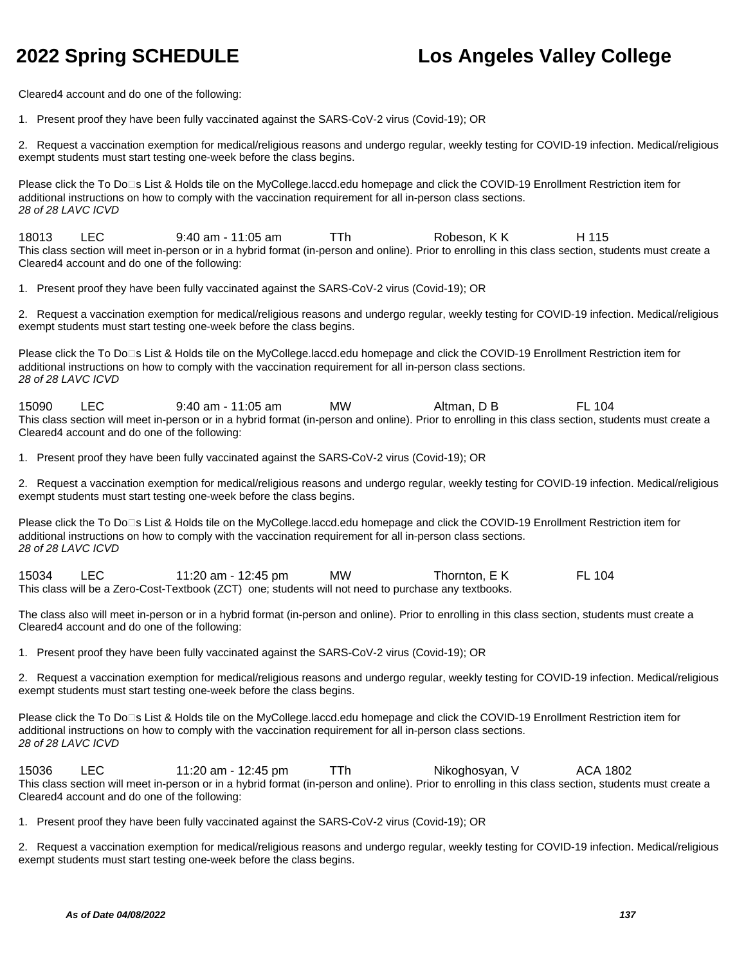Cleared4 account and do one of the following:

1. Present proof they have been fully vaccinated against the SARS-CoV-2 virus (Covid-19); OR

2. Request a vaccination exemption for medical/religious reasons and undergo regular, weekly testing for COVID-19 infection. Medical/religious exempt students must start testing one-week before the class begins.

Please click the To Do<sup>n</sup>s List & Holds tile on the MyCollege.laccd.edu homepage and click the COVID-19 Enrollment Restriction item for additional instructions on how to comply with the vaccination requirement for all in-person class sections. 28 of 28 LAVC ICVD

18013 LEC 9:40 am - 11:05 am TTh Robeson, K K H 115 This class section will meet in-person or in a hybrid format (in-person and online). Prior to enrolling in this class section, students must create a Cleared4 account and do one of the following:

1. Present proof they have been fully vaccinated against the SARS-CoV-2 virus (Covid-19); OR

2. Request a vaccination exemption for medical/religious reasons and undergo regular, weekly testing for COVID-19 infection. Medical/religious exempt students must start testing one-week before the class begins.

Please click the To Do<sup>n</sup>s List & Holds tile on the MyCollege.laccd.edu homepage and click the COVID-19 Enrollment Restriction item for additional instructions on how to comply with the vaccination requirement for all in-person class sections. 28 of 28 LAVC ICVD

15090 LEC 9:40 am - 11:05 am MW Altman, D B FL 104 This class section will meet in-person or in a hybrid format (in-person and online). Prior to enrolling in this class section, students must create a Cleared4 account and do one of the following:

1. Present proof they have been fully vaccinated against the SARS-CoV-2 virus (Covid-19); OR

2. Request a vaccination exemption for medical/religious reasons and undergo regular, weekly testing for COVID-19 infection. Medical/religious exempt students must start testing one-week before the class begins.

Please click the To Do⊡s List & Holds tile on the MyCollege.laccd.edu homepage and click the COVID-19 Enrollment Restriction item for additional instructions on how to comply with the vaccination requirement for all in-person class sections. 28 of 28 LAVC ICVD

15034 LEC 11:20 am - 12:45 pm MW Thornton, E K FL 104 This class will be a Zero-Cost-Textbook (ZCT) one; students will not need to purchase any textbooks.

The class also will meet in-person or in a hybrid format (in-person and online). Prior to enrolling in this class section, students must create a Cleared4 account and do one of the following:

1. Present proof they have been fully vaccinated against the SARS-CoV-2 virus (Covid-19); OR

2. Request a vaccination exemption for medical/religious reasons and undergo regular, weekly testing for COVID-19 infection. Medical/religious exempt students must start testing one-week before the class begins.

Please click the To Do<sup>n</sup>s List & Holds tile on the MyCollege.laccd.edu homepage and click the COVID-19 Enrollment Restriction item for additional instructions on how to comply with the vaccination requirement for all in-person class sections. 28 of 28 LAVC ICVD

15036 LEC 11:20 am - 12:45 pm TTh Nikoghosyan, V ACA 1802 This class section will meet in-person or in a hybrid format (in-person and online). Prior to enrolling in this class section, students must create a Cleared4 account and do one of the following:

1. Present proof they have been fully vaccinated against the SARS-CoV-2 virus (Covid-19); OR

2. Request a vaccination exemption for medical/religious reasons and undergo regular, weekly testing for COVID-19 infection. Medical/religious exempt students must start testing one-week before the class begins.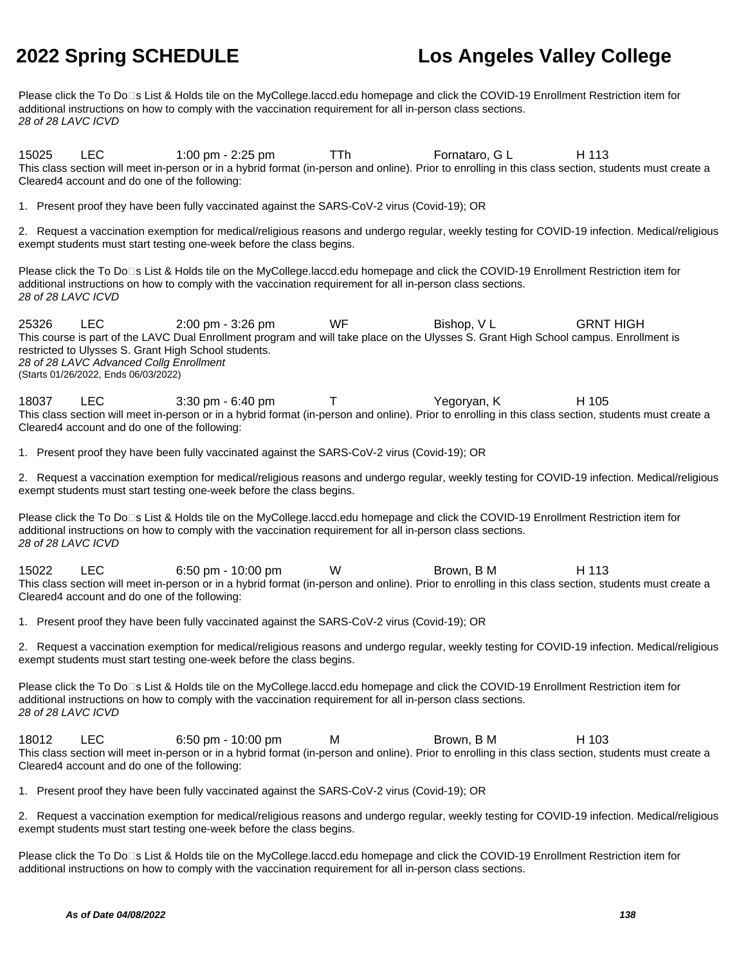Please click the To Do□s List & Holds tile on the MyCollege.laccd.edu homepage and click the COVID-19 Enrollment Restriction item for additional instructions on how to comply with the vaccination requirement for all in-person class sections. 28 of 28 LAVC ICVD

15025 LEC 1:00 pm - 2:25 pm TTh Fornataro, G L H 113 This class section will meet in-person or in a hybrid format (in-person and online). Prior to enrolling in this class section, students must create a Cleared4 account and do one of the following:

1. Present proof they have been fully vaccinated against the SARS-CoV-2 virus (Covid-19); OR

2. Request a vaccination exemption for medical/religious reasons and undergo regular, weekly testing for COVID-19 infection. Medical/religious exempt students must start testing one-week before the class begins.

Please click the To Do□s List & Holds tile on the MyCollege.laccd.edu homepage and click the COVID-19 Enrollment Restriction item for additional instructions on how to comply with the vaccination requirement for all in-person class sections. 28 of 28 LAVC ICVD

25326 LEC 2:00 pm - 3:26 pm WF Bishop, V L GRNT HIGH This course is part of the LAVC Dual Enrollment program and will take place on the Ulysses S. Grant High School campus. Enrollment is restricted to Ulysses S. Grant High School students. 28 of 28 LAVC Advanced Collg Enrollment (Starts 01/26/2022, Ends 06/03/2022)

18037 LEC 3:30 pm - 6:40 pm T Yegoryan, K H 105 This class section will meet in-person or in a hybrid format (in-person and online). Prior to enrolling in this class section, students must create a Cleared4 account and do one of the following:

1. Present proof they have been fully vaccinated against the SARS-CoV-2 virus (Covid-19); OR

2. Request a vaccination exemption for medical/religious reasons and undergo regular, weekly testing for COVID-19 infection. Medical/religious exempt students must start testing one-week before the class begins.

Please click the To Do⊡s List & Holds tile on the MyCollege.laccd.edu homepage and click the COVID-19 Enrollment Restriction item for additional instructions on how to comply with the vaccination requirement for all in-person class sections. 28 of 28 LAVC ICVD

15022 LEC 6:50 pm - 10:00 pm W Brown, B M H 113 This class section will meet in-person or in a hybrid format (in-person and online). Prior to enrolling in this class section, students must create a Cleared4 account and do one of the following:

1. Present proof they have been fully vaccinated against the SARS-CoV-2 virus (Covid-19); OR

2. Request a vaccination exemption for medical/religious reasons and undergo regular, weekly testing for COVID-19 infection. Medical/religious exempt students must start testing one-week before the class begins.

Please click the To Do⊡s List & Holds tile on the MyCollege.laccd.edu homepage and click the COVID-19 Enrollment Restriction item for additional instructions on how to comply with the vaccination requirement for all in-person class sections. 28 of 28 LAVC ICVD

18012 LEC 6:50 pm - 10:00 pm M Brown, B M H 103 This class section will meet in-person or in a hybrid format (in-person and online). Prior to enrolling in this class section, students must create a Cleared4 account and do one of the following:

1. Present proof they have been fully vaccinated against the SARS-CoV-2 virus (Covid-19); OR

2. Request a vaccination exemption for medical/religious reasons and undergo regular, weekly testing for COVID-19 infection. Medical/religious exempt students must start testing one-week before the class begins.

Please click the To Do<sup>n</sup>s List & Holds tile on the MyCollege.laccd.edu homepage and click the COVID-19 Enrollment Restriction item for additional instructions on how to comply with the vaccination requirement for all in-person class sections.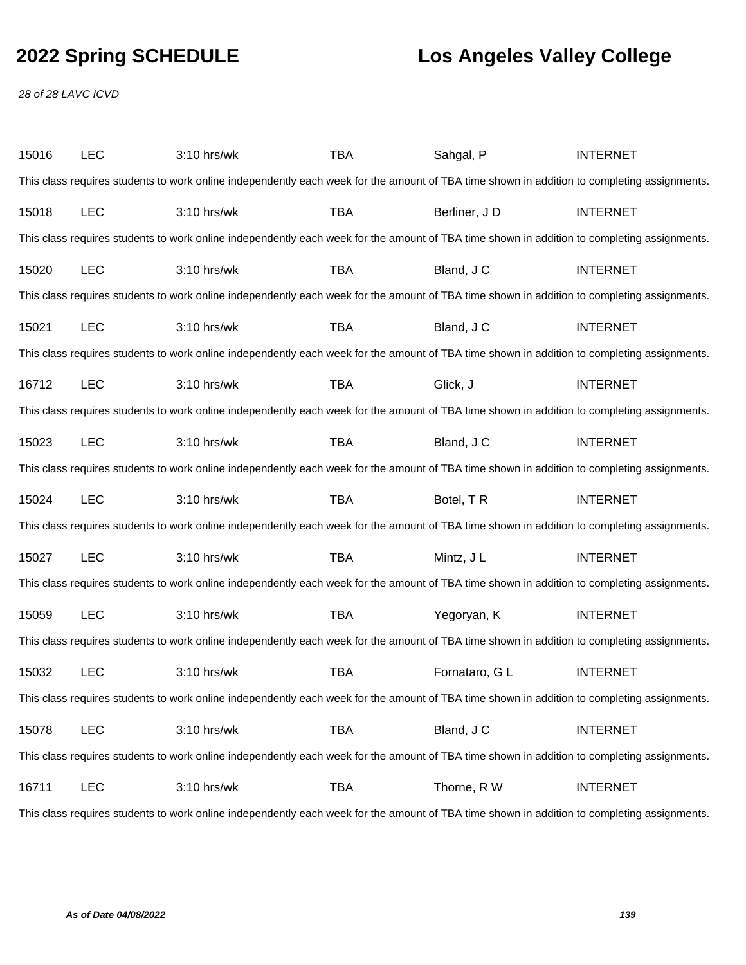28 of 28 LAVC ICVD

| 15016 | LEC        | 3:10 hrs/wk                                                                                                                                 | TBA        | Sahgal, P      | <b>INTERNET</b> |
|-------|------------|---------------------------------------------------------------------------------------------------------------------------------------------|------------|----------------|-----------------|
|       |            | This class requires students to work online independently each week for the amount of TBA time shown in addition to completing assignments. |            |                |                 |
| 15018 | <b>LEC</b> | 3:10 hrs/wk                                                                                                                                 | <b>TBA</b> | Berliner, JD   | <b>INTERNET</b> |
|       |            | This class requires students to work online independently each week for the amount of TBA time shown in addition to completing assignments. |            |                |                 |
| 15020 | <b>LEC</b> | 3:10 hrs/wk                                                                                                                                 | <b>TBA</b> | Bland, J C     | <b>INTERNET</b> |
|       |            | This class requires students to work online independently each week for the amount of TBA time shown in addition to completing assignments. |            |                |                 |
| 15021 | <b>LEC</b> | 3:10 hrs/wk                                                                                                                                 | <b>TBA</b> | Bland, J C     | <b>INTERNET</b> |
|       |            | This class requires students to work online independently each week for the amount of TBA time shown in addition to completing assignments. |            |                |                 |
| 16712 | <b>LEC</b> | 3:10 hrs/wk                                                                                                                                 | <b>TBA</b> | Glick, J       | <b>INTERNET</b> |
|       |            | This class requires students to work online independently each week for the amount of TBA time shown in addition to completing assignments. |            |                |                 |
| 15023 | <b>LEC</b> | 3:10 hrs/wk                                                                                                                                 | <b>TBA</b> | Bland, J C     | <b>INTERNET</b> |
|       |            | This class requires students to work online independently each week for the amount of TBA time shown in addition to completing assignments. |            |                |                 |
| 15024 | <b>LEC</b> | 3:10 hrs/wk                                                                                                                                 | <b>TBA</b> | Botel, TR      | <b>INTERNET</b> |
|       |            | This class requires students to work online independently each week for the amount of TBA time shown in addition to completing assignments. |            |                |                 |
| 15027 | <b>LEC</b> | 3:10 hrs/wk                                                                                                                                 | <b>TBA</b> | Mintz, J L     | <b>INTERNET</b> |
|       |            | This class requires students to work online independently each week for the amount of TBA time shown in addition to completing assignments. |            |                |                 |
| 15059 | <b>LEC</b> | 3:10 hrs/wk                                                                                                                                 | <b>TBA</b> | Yegoryan, K    | <b>INTERNET</b> |
|       |            | This class requires students to work online independently each week for the amount of TBA time shown in addition to completing assignments. |            |                |                 |
| 15032 | <b>LEC</b> | 3:10 hrs/wk                                                                                                                                 | <b>TBA</b> | Fornataro, G L | <b>INTERNET</b> |
|       |            | This class requires students to work online independently each week for the amount of TBA time shown in addition to completing assignments. |            |                |                 |
| 15078 | <b>LEC</b> | 3:10 hrs/wk                                                                                                                                 | <b>TBA</b> | Bland, J C     | <b>INTERNET</b> |
|       |            | This class requires students to work online independently each week for the amount of TBA time shown in addition to completing assignments. |            |                |                 |
| 16711 | <b>LEC</b> | 3:10 hrs/wk                                                                                                                                 | <b>TBA</b> | Thorne, R W    | <b>INTERNET</b> |
|       |            | This class requires students to work online independently each week for the amount of TBA time shown in addition to completing assignments. |            |                |                 |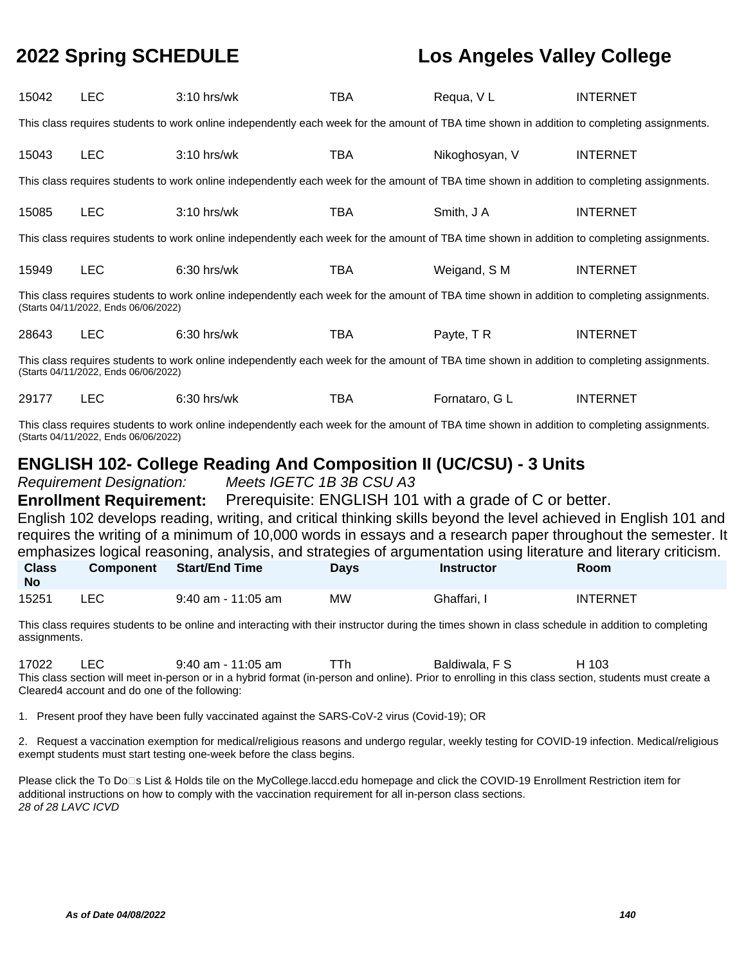| 15042                     | <b>LEC</b>                                                  | $3:10$ hrs/wk                                                                                                                                                                                                          | <b>TBA</b>  | Requa, VL                                                                 | <b>INTERNET</b>                                                                                                                 |
|---------------------------|-------------------------------------------------------------|------------------------------------------------------------------------------------------------------------------------------------------------------------------------------------------------------------------------|-------------|---------------------------------------------------------------------------|---------------------------------------------------------------------------------------------------------------------------------|
|                           |                                                             | This class requires students to work online independently each week for the amount of TBA time shown in addition to completing assignments.                                                                            |             |                                                                           |                                                                                                                                 |
| 15043                     | <b>LEC</b>                                                  | $3:10$ hrs/wk                                                                                                                                                                                                          | <b>TBA</b>  | Nikoghosyan, V                                                            | <b>INTERNET</b>                                                                                                                 |
|                           |                                                             | This class requires students to work online independently each week for the amount of TBA time shown in addition to completing assignments.                                                                            |             |                                                                           |                                                                                                                                 |
| 15085                     | <b>LEC</b>                                                  | $3:10$ hrs/wk                                                                                                                                                                                                          | <b>TBA</b>  | Smith, J A                                                                | <b>INTERNET</b>                                                                                                                 |
|                           |                                                             | This class requires students to work online independently each week for the amount of TBA time shown in addition to completing assignments.                                                                            |             |                                                                           |                                                                                                                                 |
| 15949                     | <b>LEC</b>                                                  | 6:30 hrs/wk                                                                                                                                                                                                            | <b>TBA</b>  | Weigand, S M                                                              | <b>INTERNET</b>                                                                                                                 |
|                           | (Starts 04/11/2022, Ends 06/06/2022)                        | This class requires students to work online independently each week for the amount of TBA time shown in addition to completing assignments.                                                                            |             |                                                                           |                                                                                                                                 |
| 28643                     | <b>LEC</b>                                                  | 6:30 hrs/wk                                                                                                                                                                                                            | <b>TBA</b>  | Payte, TR                                                                 | <b>INTERNET</b>                                                                                                                 |
|                           | (Starts 04/11/2022, Ends 06/06/2022)                        | This class requires students to work online independently each week for the amount of TBA time shown in addition to completing assignments.                                                                            |             |                                                                           |                                                                                                                                 |
| 29177                     | <b>LEC</b>                                                  | 6:30 hrs/wk                                                                                                                                                                                                            | <b>TBA</b>  | Fornataro, G L                                                            | <b>INTERNET</b>                                                                                                                 |
|                           | (Starts 04/11/2022, Ends 06/06/2022)                        | This class requires students to work online independently each week for the amount of TBA time shown in addition to completing assignments.                                                                            |             |                                                                           |                                                                                                                                 |
|                           |                                                             |                                                                                                                                                                                                                        |             |                                                                           |                                                                                                                                 |
|                           |                                                             |                                                                                                                                                                                                                        |             | <b>ENGLISH 102- College Reading And Composition II (UC/CSU) - 3 Units</b> |                                                                                                                                 |
|                           | <b>Requirement Designation:</b>                             | Meets IGETC 1B 3B CSU A3                                                                                                                                                                                               |             |                                                                           |                                                                                                                                 |
|                           | <b>Enrollment Requirement:</b>                              |                                                                                                                                                                                                                        |             | Prerequisite: ENGLISH 101 with a grade of C or better.                    |                                                                                                                                 |
|                           |                                                             |                                                                                                                                                                                                                        |             |                                                                           | English 102 develops reading, writing, and critical thinking skills beyond the level achieved in English 101 and                |
|                           |                                                             |                                                                                                                                                                                                                        |             |                                                                           | requires the writing of a minimum of 10,000 words in essays and a research paper throughout the semester. It                    |
| <b>Class</b><br><b>No</b> | <b>Component</b>                                            | <b>Start/End Time</b>                                                                                                                                                                                                  | <b>Days</b> | <b>Instructor</b>                                                         | emphasizes logical reasoning, analysis, and strategies of argumentation using literature and literary criticism.<br><b>Room</b> |
| 15251                     | <b>LEC</b>                                                  | $9:40$ am - 11:05 am                                                                                                                                                                                                   | <b>MW</b>   | Ghaffari, I                                                               | <b>INTERNET</b>                                                                                                                 |
| assignments.              |                                                             | This class requires students to be online and interacting with their instructor during the times shown in class schedule in addition to completing                                                                     |             |                                                                           |                                                                                                                                 |
| 17022                     | <b>LEC</b><br>Cleared4 account and do one of the following: | 9:40 am - 11:05 am<br>This class section will meet in-person or in a hybrid format (in-person and online). Prior to enrolling in this class section, students must create a                                            | TTh         | Baldiwala, F S                                                            | H 103                                                                                                                           |
|                           |                                                             | 1. Present proof they have been fully vaccinated against the SARS-CoV-2 virus (Covid-19); OR                                                                                                                           |             |                                                                           |                                                                                                                                 |
|                           |                                                             | 2. Request a vaccination exemption for medical/religious reasons and undergo regular, weekly testing for COVID-19 infection. Medical/religious<br>exempt students must start testing one-week before the class begins. |             |                                                                           |                                                                                                                                 |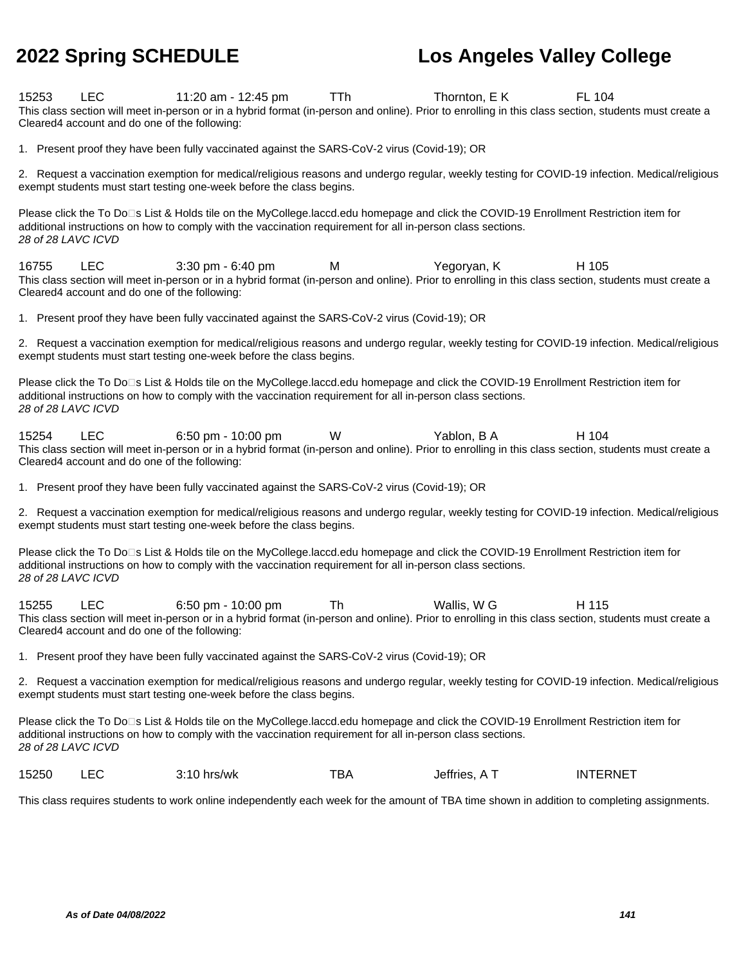15253 LEC 11:20 am - 12:45 pm TTh Thornton, E K FL 104 This class section will meet in-person or in a hybrid format (in-person and online). Prior to enrolling in this class section, students must create a Cleared4 account and do one of the following:

1. Present proof they have been fully vaccinated against the SARS-CoV-2 virus (Covid-19); OR

2. Request a vaccination exemption for medical/religious reasons and undergo regular, weekly testing for COVID-19 infection. Medical/religious exempt students must start testing one-week before the class begins.

Please click the To Do⊡s List & Holds tile on the MyCollege.laccd.edu homepage and click the COVID-19 Enrollment Restriction item for additional instructions on how to comply with the vaccination requirement for all in-person class sections. 28 of 28 LAVC ICVD

16755 LEC 3:30 pm - 6:40 pm M Yegoryan, K H 105 This class section will meet in-person or in a hybrid format (in-person and online). Prior to enrolling in this class section, students must create a Cleared4 account and do one of the following:

1. Present proof they have been fully vaccinated against the SARS-CoV-2 virus (Covid-19); OR

2. Request a vaccination exemption for medical/religious reasons and undergo regular, weekly testing for COVID-19 infection. Medical/religious exempt students must start testing one-week before the class begins.

Please click the To Do<sup>n</sup>s List & Holds tile on the MyCollege.laccd.edu homepage and click the COVID-19 Enrollment Restriction item for additional instructions on how to comply with the vaccination requirement for all in-person class sections. 28 of 28 LAVC ICVD

15254 LEC 6:50 pm - 10:00 pm W Yablon, B A H 104 This class section will meet in-person or in a hybrid format (in-person and online). Prior to enrolling in this class section, students must create a Cleared4 account and do one of the following:

1. Present proof they have been fully vaccinated against the SARS-CoV-2 virus (Covid-19); OR

2. Request a vaccination exemption for medical/religious reasons and undergo regular, weekly testing for COVID-19 infection. Medical/religious exempt students must start testing one-week before the class begins.

Please click the To Do<sup>n</sup>s List & Holds tile on the MyCollege.laccd.edu homepage and click the COVID-19 Enrollment Restriction item for additional instructions on how to comply with the vaccination requirement for all in-person class sections. 28 of 28 LAVC ICVD

15255 LEC 6:50 pm - 10:00 pm Th Wallis, W G H 115 This class section will meet in-person or in a hybrid format (in-person and online). Prior to enrolling in this class section, students must create a Cleared4 account and do one of the following:

1. Present proof they have been fully vaccinated against the SARS-CoV-2 virus (Covid-19); OR

2. Request a vaccination exemption for medical/religious reasons and undergo regular, weekly testing for COVID-19 infection. Medical/religious exempt students must start testing one-week before the class begins.

Please click the To Do<sup>n</sup>s List & Holds tile on the MyCollege.laccd.edu homepage and click the COVID-19 Enrollment Restriction item for additional instructions on how to comply with the vaccination requirement for all in-person class sections. 28 of 28 LAVC ICVD

|  | 15250 |  | $3:10$ hrs/wk | тва | Jeffries, A | INTERNET |
|--|-------|--|---------------|-----|-------------|----------|
|--|-------|--|---------------|-----|-------------|----------|

This class requires students to work online independently each week for the amount of TBA time shown in addition to completing assignments.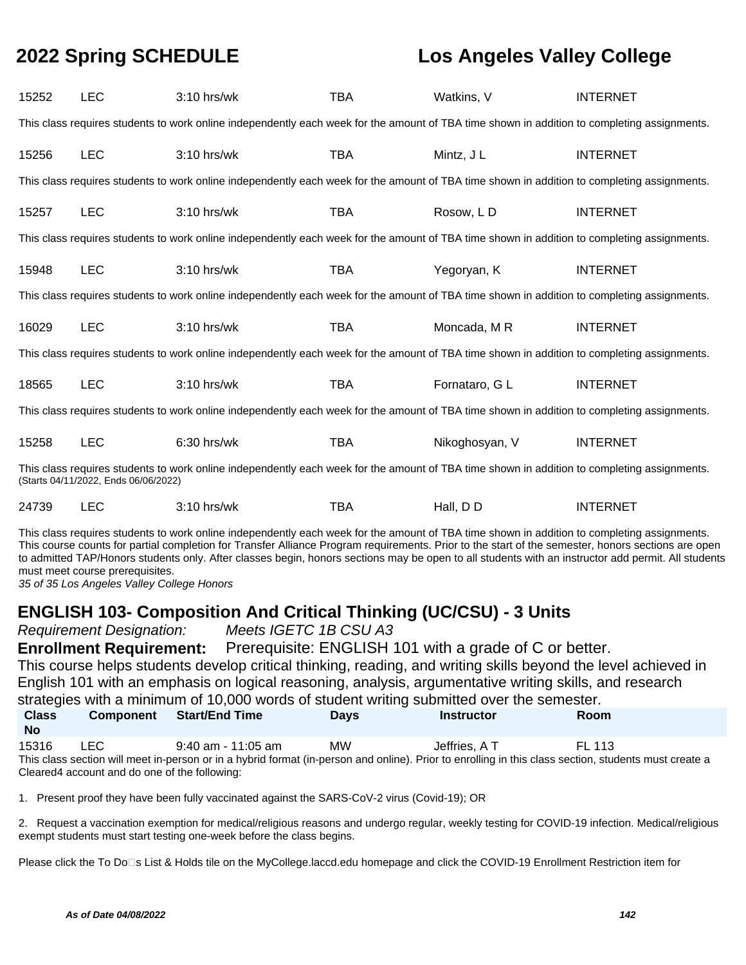| 15252 | <b>LEC</b>                           | 3:10 hrs/wk                                                                                                                                 | <b>TBA</b> | Watkins, V     | <b>INTERNET</b> |
|-------|--------------------------------------|---------------------------------------------------------------------------------------------------------------------------------------------|------------|----------------|-----------------|
|       |                                      | This class requires students to work online independently each week for the amount of TBA time shown in addition to completing assignments. |            |                |                 |
| 15256 | <b>LEC</b>                           | $3:10$ hrs/wk                                                                                                                               | <b>TBA</b> | Mintz, J L     | <b>INTERNET</b> |
|       |                                      | This class requires students to work online independently each week for the amount of TBA time shown in addition to completing assignments. |            |                |                 |
| 15257 | <b>LEC</b>                           | $3:10$ hrs/wk                                                                                                                               | <b>TBA</b> | Rosow, LD      | <b>INTERNET</b> |
|       |                                      | This class requires students to work online independently each week for the amount of TBA time shown in addition to completing assignments. |            |                |                 |
| 15948 | <b>LEC</b>                           | $3:10$ hrs/wk                                                                                                                               | <b>TBA</b> | Yegoryan, K    | <b>INTERNET</b> |
|       |                                      | This class requires students to work online independently each week for the amount of TBA time shown in addition to completing assignments. |            |                |                 |
| 16029 | <b>LEC</b>                           | $3:10$ hrs/wk                                                                                                                               | <b>TBA</b> | Moncada, M R   | <b>INTERNET</b> |
|       |                                      | This class requires students to work online independently each week for the amount of TBA time shown in addition to completing assignments. |            |                |                 |
| 18565 | <b>LEC</b>                           | $3:10$ hrs/wk                                                                                                                               | <b>TBA</b> | Fornataro, G L | <b>INTERNET</b> |
|       |                                      | This class requires students to work online independently each week for the amount of TBA time shown in addition to completing assignments. |            |                |                 |
| 15258 | <b>LEC</b>                           | $6:30$ hrs/wk                                                                                                                               | <b>TBA</b> | Nikoghosyan, V | <b>INTERNET</b> |
|       | (Starts 04/11/2022, Ends 06/06/2022) | This class requires students to work online independently each week for the amount of TBA time shown in addition to completing assignments. |            |                |                 |
| 24739 | <b>LEC</b>                           | $3:10$ hrs/wk                                                                                                                               | TBA        | Hall, DD       | <b>INTERNET</b> |

This class requires students to work online independently each week for the amount of TBA time shown in addition to completing assignments. This course counts for partial completion for Transfer Alliance Program requirements. Prior to the start of the semester, honors sections are open to admitted TAP/Honors students only. After classes begin, honors sections may be open to all students with an instructor add permit. All students must meet course prerequisites.

35 of 35 Los Angeles Valley College Honors

### **ENGLISH 103- Composition And Critical Thinking (UC/CSU) - 3 Units**

Requirement Designation: Meets IGETC 1B CSU A3

**Enrollment Requirement:** Prerequisite: ENGLISH 101 with a grade of C or better. This course helps students develop critical thinking, reading, and writing skills beyond the level achieved in English 101 with an emphasis on logical reasoning, analysis, argumentative writing skills, and research strategies with a minimum of 10,000 words of student writing submitted over the semester.

| <b>Class</b><br><b>No</b> | <b>Component</b> | <b>Start/End Time</b> | <b>Davs</b> | Instructor    | <b>Room</b>                                                                                                                                           |  |
|---------------------------|------------------|-----------------------|-------------|---------------|-------------------------------------------------------------------------------------------------------------------------------------------------------|--|
| 15316                     | LEC.             | $9:40$ am - 11:05 am  | МW          | Jeffries. A T | FI 113                                                                                                                                                |  |
|                           |                  |                       |             |               | This class section will meet in-person or in a hybrid format (in-person and online). Prior to enrolling in this class section, students must create a |  |

Cleared4 account and do one of the following:

1. Present proof they have been fully vaccinated against the SARS-CoV-2 virus (Covid-19); OR

2. Request a vaccination exemption for medical/religious reasons and undergo regular, weekly testing for COVID-19 infection. Medical/religious exempt students must start testing one-week before the class begins.

Please click the To Do<sup>n</sup>s List & Holds tile on the MyCollege.laccd.edu homepage and click the COVID-19 Enrollment Restriction item for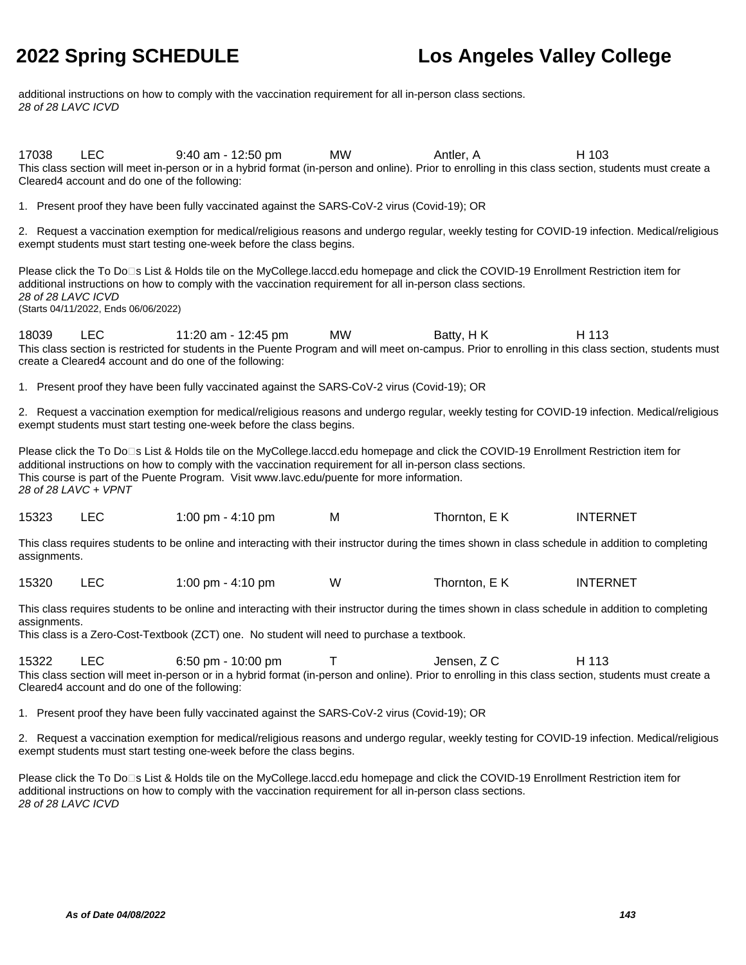additional instructions on how to comply with the vaccination requirement for all in-person class sections. 28 of 28 LAVC ICVD

17038 LEC 9:40 am - 12:50 pm MW Antler, A H 103 This class section will meet in-person or in a hybrid format (in-person and online). Prior to enrolling in this class section, students must create a Cleared4 account and do one of the following:

1. Present proof they have been fully vaccinated against the SARS-CoV-2 virus (Covid-19); OR

2. Request a vaccination exemption for medical/religious reasons and undergo regular, weekly testing for COVID-19 infection. Medical/religious exempt students must start testing one-week before the class begins.

Please click the To Do□s List & Holds tile on the MyCollege.laccd.edu homepage and click the COVID-19 Enrollment Restriction item for additional instructions on how to comply with the vaccination requirement for all in-person class sections. 28 of 28 LAVC ICVD (Starts 04/11/2022, Ends 06/06/2022)

18039 LEC 11:20 am - 12:45 pm MW Batty, HK H 113 This class section is restricted for students in the Puente Program and will meet on-campus. Prior to enrolling in this class section, students must create a Cleared4 account and do one of the following:

1. Present proof they have been fully vaccinated against the SARS-CoV-2 virus (Covid-19); OR

2. Request a vaccination exemption for medical/religious reasons and undergo regular, weekly testing for COVID-19 infection. Medical/religious exempt students must start testing one-week before the class begins.

Please click the To Do<sup>n</sup>s List & Holds tile on the MyCollege.laccd.edu homepage and click the COVID-19 Enrollment Restriction item for additional instructions on how to comply with the vaccination requirement for all in-person class sections. This course is part of the Puente Program. Visit www.lavc.edu/puente for more information. 28 of 28 LAVC + VPNT

|  | 15323 |  | 1:00 pm - 4:10 pm | M | Thornton, E K | <b>INTERNET</b> |
|--|-------|--|-------------------|---|---------------|-----------------|
|--|-------|--|-------------------|---|---------------|-----------------|

This class requires students to be online and interacting with their instructor during the times shown in class schedule in addition to completing assignments.

15320 LEC 1:00 pm - 4:10 pm W Thornton, E K INTERNET

This class requires students to be online and interacting with their instructor during the times shown in class schedule in addition to completing assignments.

This class is a Zero-Cost-Textbook (ZCT) one. No student will need to purchase a textbook.

15322 LEC 6:50 pm - 10:00 pm T Jensen, Z C H 113 This class section will meet in-person or in a hybrid format (in-person and online). Prior to enrolling in this class section, students must create a Cleared4 account and do one of the following:

1. Present proof they have been fully vaccinated against the SARS-CoV-2 virus (Covid-19); OR

2. Request a vaccination exemption for medical/religious reasons and undergo regular, weekly testing for COVID-19 infection. Medical/religious exempt students must start testing one-week before the class begins.

Please click the To Do⊡s List & Holds tile on the MyCollege.laccd.edu homepage and click the COVID-19 Enrollment Restriction item for additional instructions on how to comply with the vaccination requirement for all in-person class sections. 28 of 28 LAVC ICVD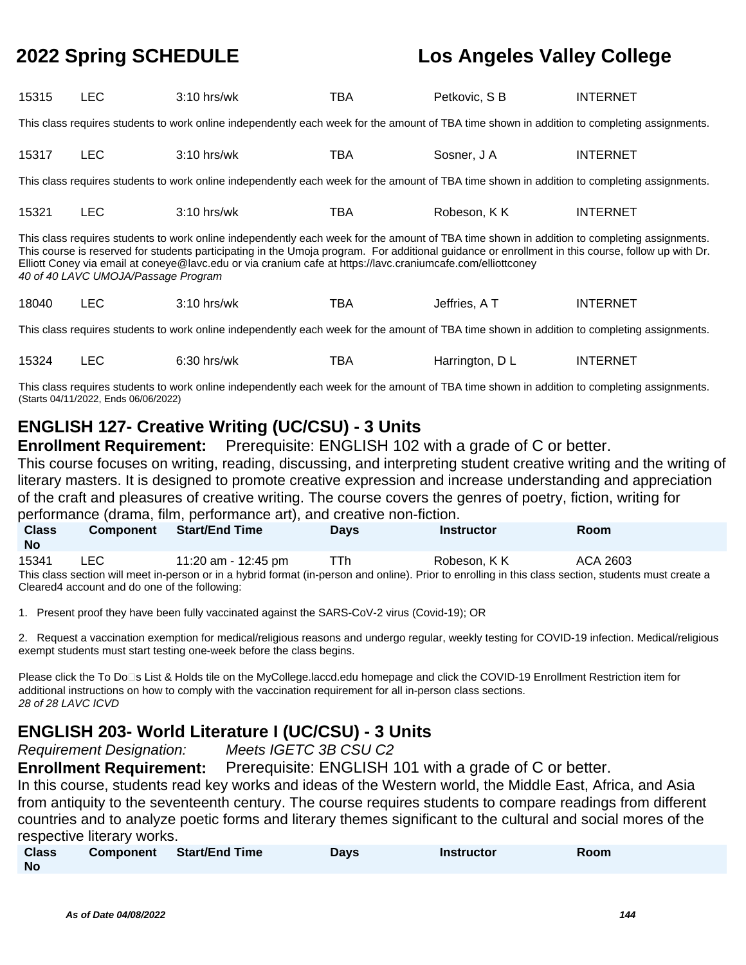| 15315                                                                                                                                                                                                                                                                                                                                                                                                                                                  | <b>LEC</b> | $3:10$ hrs/wk                                                                                                                               | TBA | Petkovic, S B | <b>INTERNET</b> |  |  |
|--------------------------------------------------------------------------------------------------------------------------------------------------------------------------------------------------------------------------------------------------------------------------------------------------------------------------------------------------------------------------------------------------------------------------------------------------------|------------|---------------------------------------------------------------------------------------------------------------------------------------------|-----|---------------|-----------------|--|--|
| This class requires students to work online independently each week for the amount of TBA time shown in addition to completing assignments.                                                                                                                                                                                                                                                                                                            |            |                                                                                                                                             |     |               |                 |  |  |
| 15317                                                                                                                                                                                                                                                                                                                                                                                                                                                  | <b>LEC</b> | $3:10$ hrs/wk                                                                                                                               | TBA | Sosner, J A   | <b>INTERNET</b> |  |  |
| This class requires students to work online independently each week for the amount of TBA time shown in addition to completing assignments.                                                                                                                                                                                                                                                                                                            |            |                                                                                                                                             |     |               |                 |  |  |
| 15321                                                                                                                                                                                                                                                                                                                                                                                                                                                  | <b>LEC</b> | $3:10$ hrs/wk                                                                                                                               | TBA | Robeson, K K  | <b>INTERNET</b> |  |  |
| This class requires students to work online independently each week for the amount of TBA time shown in addition to completing assignments.<br>This course is reserved for students participating in the Umoja program. For additional guidance or enrollment in this course, follow up with Dr.<br>Elliott Coney via email at coneye@lavc.edu or via cranium cafe at https://lavc.craniumcafe.com/elliottconey<br>40 of 40 LAVC UMOJA/Passage Program |            |                                                                                                                                             |     |               |                 |  |  |
|                                                                                                                                                                                                                                                                                                                                                                                                                                                        |            |                                                                                                                                             |     |               |                 |  |  |
| 18040                                                                                                                                                                                                                                                                                                                                                                                                                                                  | <b>LEC</b> | $3:10$ hrs/wk                                                                                                                               | TBA | Jeffries, A T | <b>INTERNET</b> |  |  |
|                                                                                                                                                                                                                                                                                                                                                                                                                                                        |            | This class requires students to work online independently each week for the amount of TBA time shown in addition to completing assignments. |     |               |                 |  |  |

This class requires students to work online independently each week for the amount of TBA time shown in addition to completing assignments. (Starts 04/11/2022, Ends 06/06/2022)

## **ENGLISH 127- Creative Writing (UC/CSU) - 3 Units**

**Enrollment Requirement:** Prerequisite: ENGLISH 102 with a grade of C or better. This course focuses on writing, reading, discussing, and interpreting student creative writing and the writing of literary masters. It is designed to promote creative expression and increase understanding and appreciation of the craft and pleasures of creative writing. The course covers the genres of poetry, fiction, writing for performance (drama, film, performance art), and creative non-fiction.

| <b>Class</b><br>No                                                                                                                                    | <b>Component</b> | <b>Start/End Time</b> | <b>Davs</b> | <b>Instructor</b> | <b>Room</b> |  |
|-------------------------------------------------------------------------------------------------------------------------------------------------------|------------------|-----------------------|-------------|-------------------|-------------|--|
| 15341                                                                                                                                                 | LEC.             | 11:20 am - 12:45 pm   | TTh         | Robeson. K K      | ACA 2603    |  |
| This class section will meet in-person or in a hybrid format (in-person and online). Prior to enrolling in this class section, students must create a |                  |                       |             |                   |             |  |
| Cleared4 account and do one of the following:                                                                                                         |                  |                       |             |                   |             |  |

1. Present proof they have been fully vaccinated against the SARS-CoV-2 virus (Covid-19); OR

2. Request a vaccination exemption for medical/religious reasons and undergo regular, weekly testing for COVID-19 infection. Medical/religious exempt students must start testing one-week before the class begins.

Please click the To Do⊡s List & Holds tile on the MyCollege.laccd.edu homepage and click the COVID-19 Enrollment Restriction item for additional instructions on how to comply with the vaccination requirement for all in-person class sections. 28 of 28 LAVC ICVD

## **ENGLISH 203- World Literature I (UC/CSU) - 3 Units**

Requirement Designation: Meets IGETC 3B CSU C2

**Enrollment Requirement:** Prerequisite: ENGLISH 101 with a grade of C or better.

In this course, students read key works and ideas of the Western world, the Middle East, Africa, and Asia from antiquity to the seventeenth century. The course requires students to compare readings from different countries and to analyze poetic forms and literary themes significant to the cultural and social mores of the respective literary works.

| <b>Class</b> | <b>Component</b> | <b>Start/End Time</b> | Days | <b>Instructor</b> | Room |
|--------------|------------------|-----------------------|------|-------------------|------|
| <b>No</b>    |                  |                       |      |                   |      |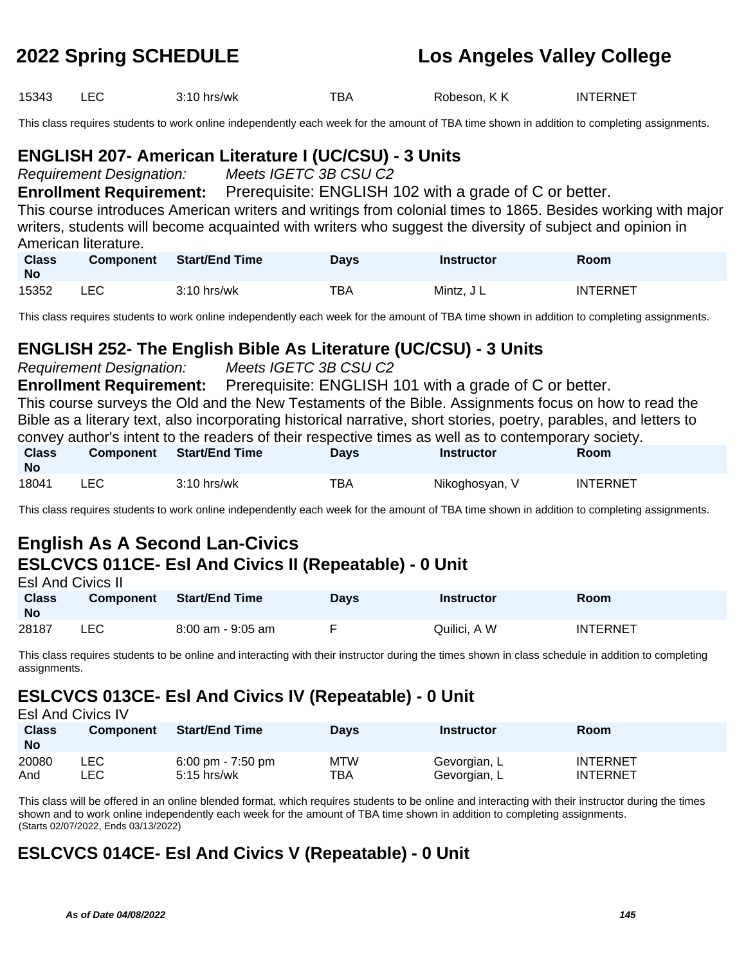15343 LEC 3:10 hrs/wk TBA Robeson, K K INTERNET

This class requires students to work online independently each week for the amount of TBA time shown in addition to completing assignments.

### **ENGLISH 207- American Literature I (UC/CSU) - 3 Units**

Requirement Designation: Meets IGETC 3B CSU C2

**Enrollment Requirement:** Prerequisite: ENGLISH 102 with a grade of C or better.

This course introduces American writers and writings from colonial times to 1865. Besides working with major writers, students will become acquainted with writers who suggest the diversity of subject and opinion in American literature.

| <b>Class</b><br><b>No</b> | <b>Component</b> | <b>Start/End Time</b> | <b>Days</b> | <b>Instructor</b> | Room            |
|---------------------------|------------------|-----------------------|-------------|-------------------|-----------------|
| 15352                     | LEC.             | $3:10$ hrs/wk         | TBA         | Mintz, J L        | <b>INTERNET</b> |

This class requires students to work online independently each week for the amount of TBA time shown in addition to completing assignments.

### **ENGLISH 252- The English Bible As Literature (UC/CSU) - 3 Units**

Requirement Designation: Meets IGETC 3B CSU C2

**Enrollment Requirement:** Prerequisite: ENGLISH 101 with a grade of C or better.

This course surveys the Old and the New Testaments of the Bible. Assignments focus on how to read the Bible as a literary text, also incorporating historical narrative, short stories, poetry, parables, and letters to convey author's intent to the readers of their respective times as well as to contemporary society.

| <b>Class</b><br><b>No</b> | <b>Component</b> | <b>Start/End Time</b> | Days | Instructor     | Room            |
|---------------------------|------------------|-----------------------|------|----------------|-----------------|
| 18041                     | LEC.             | $3:10$ hrs/wk         | тва  | Nikoghosyan, V | <b>INTERNET</b> |

This class requires students to work online independently each week for the amount of TBA time shown in addition to completing assignments.

### **English As A Second Lan-Civics ESLCVCS 011CE- Esl And Civics II (Repeatable) - 0 Unit** Esl And Civics II

| <b>Class</b><br>No | Component | Start/End Time    | Days | <b>Instructor</b> | Room            |
|--------------------|-----------|-------------------|------|-------------------|-----------------|
| 28187              | LEC.      | 8:00 am - 9:05 am |      | Quilici, A W      | <b>INTERNET</b> |

This class requires students to be online and interacting with their instructor during the times shown in class schedule in addition to completing assignments.

# **ESLCVCS 013CE- Esl And Civics IV (Repeatable) - 0 Unit**

| <b>Esl And Civics IV</b>  |                  |                                                      |                   |                              |                                    |
|---------------------------|------------------|------------------------------------------------------|-------------------|------------------------------|------------------------------------|
| <b>Class</b><br><b>No</b> | <b>Component</b> | <b>Start/End Time</b>                                | <b>Days</b>       | <b>Instructor</b>            | <b>Room</b>                        |
| 20080<br>And              | LEC.<br>∟EC      | $6:00 \text{ pm} - 7:50 \text{ pm}$<br>$5:15$ hrs/wk | <b>MTW</b><br>TBA | Gevorgian, L<br>Gevorgian, L | <b>INTERNET</b><br><b>INTERNET</b> |

This class will be offered in an online blended format, which requires students to be online and interacting with their instructor during the times shown and to work online independently each week for the amount of TBA time shown in addition to completing assignments. (Starts 02/07/2022, Ends 03/13/2022)

# **ESLCVCS 014CE- Esl And Civics V (Repeatable) - 0 Unit**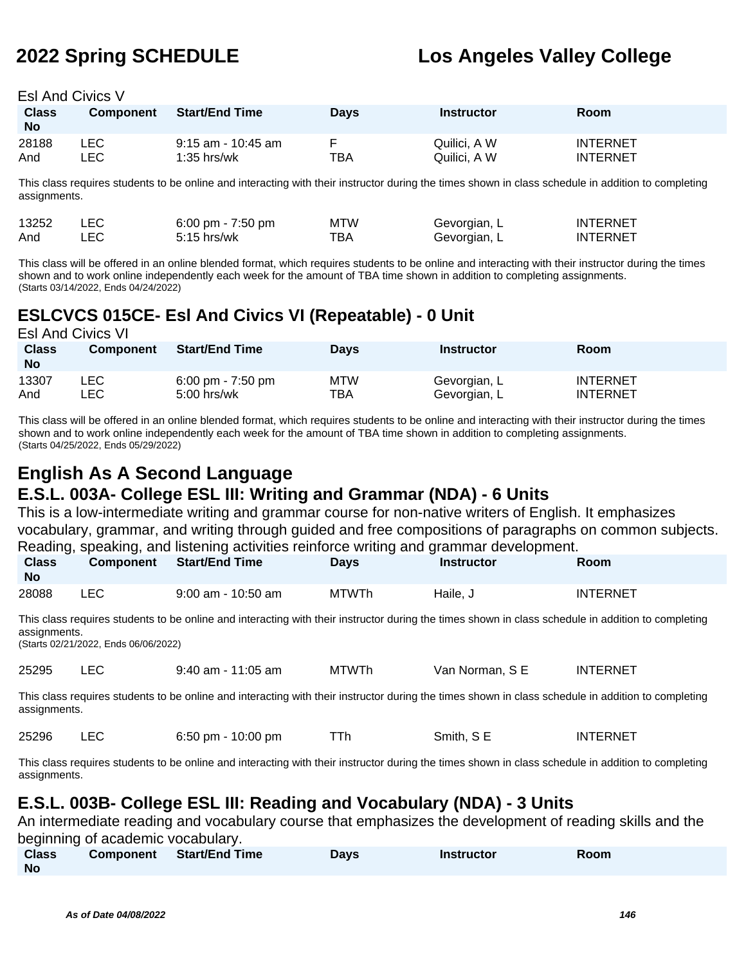Esl And Civics V

| <b>Class</b><br><b>No</b> | <b>Component</b> | <b>Start/End Time</b> | <b>Davs</b> | Instructor   | <b>Room</b>     |
|---------------------------|------------------|-----------------------|-------------|--------------|-----------------|
| 28188                     | LEC              | $9:15$ am - 10:45 am  | ТВА         | Quilici. A W | <b>INTERNET</b> |
| And                       | _EC.             | $1:35$ hrs/wk         |             | Quilici, A W | <b>INTERNET</b> |

This class requires students to be online and interacting with their instructor during the times shown in class schedule in addition to completing assignments.

| 13252 | 6:00 pm - $7:50$ pm | <b>MTW</b> | Gevorgian, L | <b>INTERNET</b> |
|-------|---------------------|------------|--------------|-----------------|
| And   | $5:15$ hrs/wk       | ™ВА        | Gevorgian, L | <b>INTERNET</b> |

This class will be offered in an online blended format, which requires students to be online and interacting with their instructor during the times shown and to work online independently each week for the amount of TBA time shown in addition to completing assignments. (Starts 03/14/2022, Ends 04/24/2022)

## **ESLCVCS 015CE- Esl And Civics VI (Repeatable) - 0 Unit**

| <b>Esl And Civics VI</b> |                  |                                     |             |                   |                 |
|--------------------------|------------------|-------------------------------------|-------------|-------------------|-----------------|
| <b>Class</b>             | <b>Component</b> | <b>Start/End Time</b>               | <b>Days</b> | <b>Instructor</b> | Room            |
| <b>No</b>                |                  |                                     |             |                   |                 |
| 13307                    | _EC              | $6:00 \text{ pm} - 7:50 \text{ pm}$ | <b>MTW</b>  | Gevorgian, L      | <b>INTERNET</b> |
| And                      | .EC              | $5:00$ hrs/wk                       | <b>TBA</b>  | Gevorgian, L      | <b>INTERNET</b> |

This class will be offered in an online blended format, which requires students to be online and interacting with their instructor during the times shown and to work online independently each week for the amount of TBA time shown in addition to completing assignments. (Starts 04/25/2022, Ends 05/29/2022)

## **English As A Second Language E.S.L. 003A- College ESL III: Writing and Grammar (NDA) - 6 Units**

This is a low-intermediate writing and grammar course for non-native writers of English. It emphasizes vocabulary, grammar, and writing through guided and free compositions of paragraphs on common subjects. Reading, speaking, and listening activities reinforce writing and grammar development.

| <b>Class</b><br><b>No</b> | <b>Component</b> | <b>Start/End Time</b> | Davs         | Instructor | Room            |  |
|---------------------------|------------------|-----------------------|--------------|------------|-----------------|--|
| 28088                     | LEC.             | $9:00$ am - 10:50 am  | <b>MTWTh</b> | u Haile, ب | <b>INTERNET</b> |  |

This class requires students to be online and interacting with their instructor during the times shown in class schedule in addition to completing assignments.

(Starts 02/21/2022, Ends 06/06/2022)

25295 LEC 9:40 am - 11:05 am MTWTh Van Norman, S E INTERNET

This class requires students to be online and interacting with their instructor during the times shown in class schedule in addition to completing assignments.

| 25296 |  | 6:50 pm - 10:00 pm |  | Smith, S E | <b>INTERNET</b> |
|-------|--|--------------------|--|------------|-----------------|
|-------|--|--------------------|--|------------|-----------------|

This class requires students to be online and interacting with their instructor during the times shown in class schedule in addition to completing assignments.

# **E.S.L. 003B- College ESL III: Reading and Vocabulary (NDA) - 3 Units**

An intermediate reading and vocabulary course that emphasizes the development of reading skills and the beginning of academic vocabulary.

| $   -$       |                          |      |                   |      |  |
|--------------|--------------------------|------|-------------------|------|--|
| <b>Class</b> | Component Start/End Time | Davs | <b>Instructor</b> | Room |  |
| <b>No</b>    |                          |      |                   |      |  |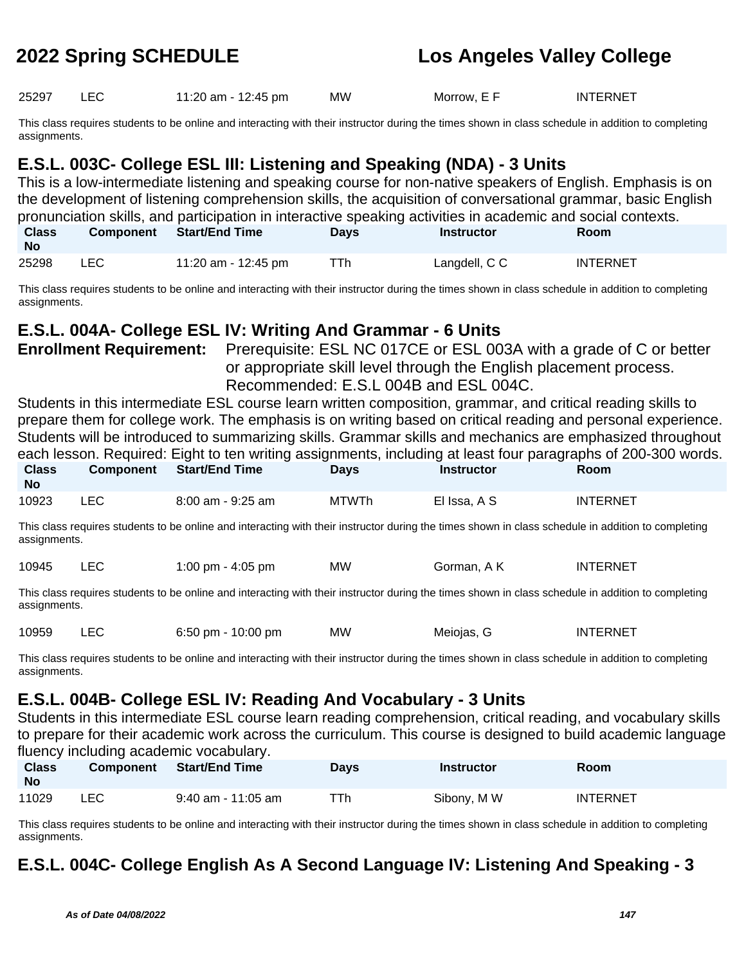25297 LEC 11:20 am - 12:45 pm MW Morrow, E F INTERNET

This class requires students to be online and interacting with their instructor during the times shown in class schedule in addition to completing assignments.

# **E.S.L. 003C- College ESL III: Listening and Speaking (NDA) - 3 Units**

This is a low-intermediate listening and speaking course for non-native speakers of English. Emphasis is on the development of listening comprehension skills, the acquisition of conversational grammar, basic English pronunciation skills, and participation in interactive speaking activities in academic and social contexts. **Class Component Start/End Time Days Instructor Room**

| <b>No</b> |                     |     |               |                 |
|-----------|---------------------|-----|---------------|-----------------|
| 25298     | 11:20 am - 12:45 pm | ™Th | Langdell, C C | <b>INTERNET</b> |

This class requires students to be online and interacting with their instructor during the times shown in class schedule in addition to completing assignments.

## **E.S.L. 004A- College ESL IV: Writing And Grammar - 6 Units**

**Enrollment Requirement:** Prerequisite: ESL NC 017CE or ESL 003A with a grade of C or better or appropriate skill level through the English placement process. Recommended: E.S.L 004B and ESL 004C.

Students in this intermediate ESL course learn written composition, grammar, and critical reading skills to prepare them for college work. The emphasis is on writing based on critical reading and personal experience. Students will be introduced to summarizing skills. Grammar skills and mechanics are emphasized throughout each lesson. Required: Eight to ten writing assignments, including at least four paragraphs of 200-300 words.

| <b>Class</b><br><b>No</b> | <b>Component</b> | <b>Start/End Time</b>                                                                                                                              | <b>Davs</b> | <b>Instructor</b> | <b>Room</b>     |  |
|---------------------------|------------------|----------------------------------------------------------------------------------------------------------------------------------------------------|-------------|-------------------|-----------------|--|
| 10923                     | LEC.             | 8:00 am - 9:25 am                                                                                                                                  | MTWTh       | El Issa, A S      | <b>INTERNET</b> |  |
|                           |                  | This close requires students to be online and interacting with their instructor during the times shown in close schedule in addition to completing |             |                   |                 |  |

This class requires students to be online and interacting with their instructor during the times shown in class schedule in addition to completing assignments.

| 10945 |  | 1:00 pm - 4:05 pm | MW | Gorman, A K | <b>INTERNET</b> |
|-------|--|-------------------|----|-------------|-----------------|
|-------|--|-------------------|----|-------------|-----------------|

This class requires students to be online and interacting with their instructor during the times shown in class schedule in addition to completing assignments.

| 10959 |  | 6:50 pm - $10:00$ pm | ΜW | Meiojas, G | <b>INTERNET</b> |
|-------|--|----------------------|----|------------|-----------------|
|-------|--|----------------------|----|------------|-----------------|

This class requires students to be online and interacting with their instructor during the times shown in class schedule in addition to completing assignments.

# **E.S.L. 004B- College ESL IV: Reading And Vocabulary - 3 Units**

Students in this intermediate ESL course learn reading comprehension, critical reading, and vocabulary skills to prepare for their academic work across the curriculum. This course is designed to build academic language fluency including academic vocabulary.

| <b>Class</b><br>No | <b>Component</b> | Start/End Time       | <b>Days</b> | Instructor  | <b>Room</b>     |
|--------------------|------------------|----------------------|-------------|-------------|-----------------|
| 11029              | LEC              | $9:40$ am - 11:05 am | ⊤Th         | Sibony, M W | <b>INTERNET</b> |

This class requires students to be online and interacting with their instructor during the times shown in class schedule in addition to completing assignments.

# **E.S.L. 004C- College English As A Second Language IV: Listening And Speaking - 3**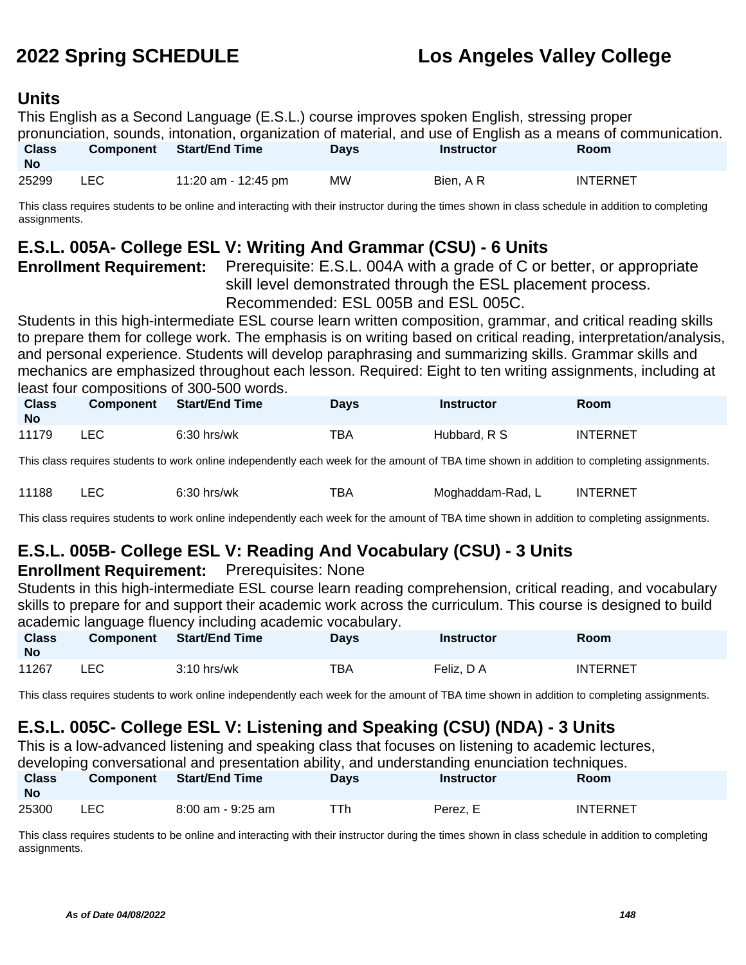### **Units**

This English as a Second Language (E.S.L.) course improves spoken English, stressing proper pronunciation, sounds, intonation, organization of material, and use of English as a means of communication. **Class Component Start/End Time Days Instructor Room**

| <b>No</b> |     |                     |    |          |                 |
|-----------|-----|---------------------|----|----------|-----------------|
| 25299     | LEC | 11:20 am - 12:45 pm | MW | Bien, AR | <b>INTERNET</b> |

This class requires students to be online and interacting with their instructor during the times shown in class schedule in addition to completing assignments.

## **E.S.L. 005A- College ESL V: Writing And Grammar (CSU) - 6 Units**

**Enrollment Requirement:** Prerequisite: E.S.L. 004A with a grade of C or better, or appropriate skill level demonstrated through the ESL placement process. Recommended: ESL 005B and ESL 005C.

Students in this high-intermediate ESL course learn written composition, grammar, and critical reading skills to prepare them for college work. The emphasis is on writing based on critical reading, interpretation/analysis, and personal experience. Students will develop paraphrasing and summarizing skills. Grammar skills and mechanics are emphasized throughout each lesson. Required: Eight to ten writing assignments, including at least four compositions of 300-500 words.

| <b>Class</b><br><b>No</b> | Component | Start/End Time | Davs | Instructor   | Room            |
|---------------------------|-----------|----------------|------|--------------|-----------------|
| 11179                     | _EC       | $6:30$ hrs/wk  | TBA  | Hubbard, R S | <b>INTERNET</b> |

This class requires students to work online independently each week for the amount of TBA time shown in addition to completing assignments.

| 11188 | LEV | $6:30$ hrs/wk | тва | Moghaddam-Rad, ∟ | <b>INTERNET</b> |
|-------|-----|---------------|-----|------------------|-----------------|
|-------|-----|---------------|-----|------------------|-----------------|

This class requires students to work online independently each week for the amount of TBA time shown in addition to completing assignments.

# **E.S.L. 005B- College ESL V: Reading And Vocabulary (CSU) - 3 Units**

### **Enrollment Requirement:** Prerequisites: None

Students in this high-intermediate ESL course learn reading comprehension, critical reading, and vocabulary skills to prepare for and support their academic work across the curriculum. This course is designed to build academic language fluency including academic vocabulary.

| <b>Class</b><br><b>No</b> | <b>Component</b> | Start/End Time | <b>Days</b> | <b>Instructor</b> | Room            |
|---------------------------|------------------|----------------|-------------|-------------------|-----------------|
| 11267                     | LEC              | $3:10$ hrs/wk  | TBA         | Feliz. D A        | <b>INTERNET</b> |

This class requires students to work online independently each week for the amount of TBA time shown in addition to completing assignments.

# **E.S.L. 005C- College ESL V: Listening and Speaking (CSU) (NDA) - 3 Units**

This is a low-advanced listening and speaking class that focuses on listening to academic lectures,

| developing conversational and presentation ability, and understanding enunciation techniques. |           |                   |             |                   |                 |  |  |  |  |
|-----------------------------------------------------------------------------------------------|-----------|-------------------|-------------|-------------------|-----------------|--|--|--|--|
| Class<br><b>No</b>                                                                            | Component | Start/End Time    | <b>Davs</b> | <b>Instructor</b> | <b>Room</b>     |  |  |  |  |
| 25300                                                                                         | LEC -     | 8:00 am - 9:25 am | TTh.        | Perez. E          | <b>INTERNET</b> |  |  |  |  |

This class requires students to be online and interacting with their instructor during the times shown in class schedule in addition to completing assignments.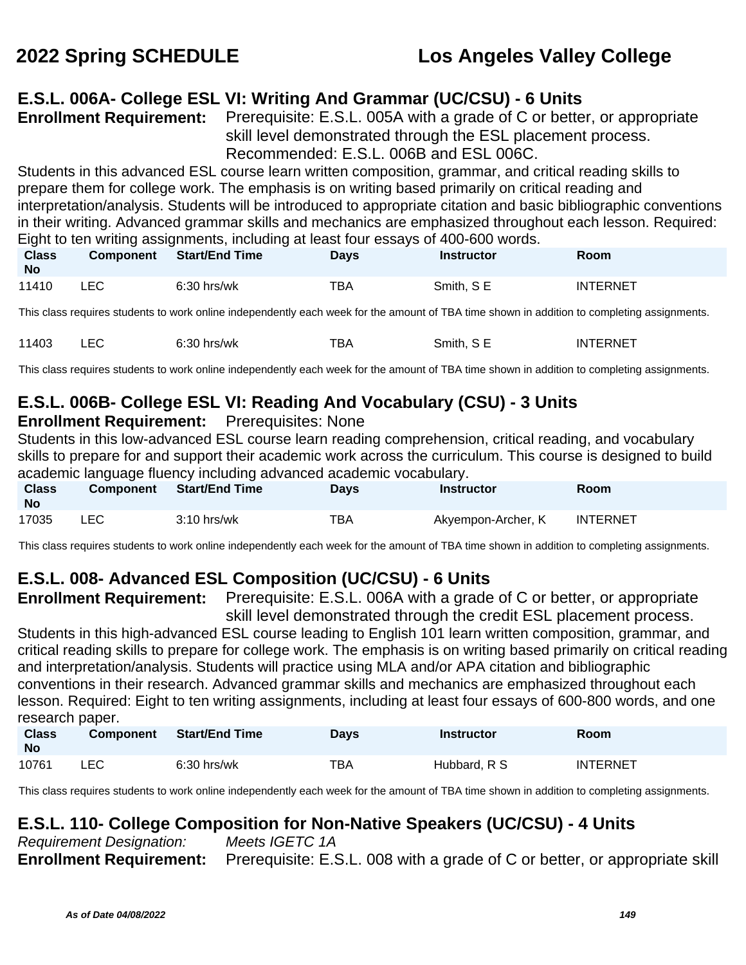# **E.S.L. 006A- College ESL VI: Writing And Grammar (UC/CSU) - 6 Units**

**Enrollment Requirement:** Prerequisite: E.S.L. 005A with a grade of C or better, or appropriate skill level demonstrated through the ESL placement process. Recommended: E.S.L. 006B and ESL 006C.

Students in this advanced ESL course learn written composition, grammar, and critical reading skills to prepare them for college work. The emphasis is on writing based primarily on critical reading and interpretation/analysis. Students will be introduced to appropriate citation and basic bibliographic conventions in their writing. Advanced grammar skills and mechanics are emphasized throughout each lesson. Required: Eight to ten writing assignments, including at least four essays of 400-600 words.

| <b>Class</b><br><b>No</b> |     | Component Start/End Time | Days | Instructor | <b>Room</b>     |
|---------------------------|-----|--------------------------|------|------------|-----------------|
| 11410                     | LEC | $6:30$ hrs/wk            | TBA  | Smith, SE  | <b>INTERNET</b> |

This class requires students to work online independently each week for the amount of TBA time shown in addition to completing assignments.

| 11403 | ᅩᄂ | $6:30$ hrs/wk | тва | Smith, SE | <b>INTERNET</b> |
|-------|----|---------------|-----|-----------|-----------------|
|-------|----|---------------|-----|-----------|-----------------|

This class requires students to work online independently each week for the amount of TBA time shown in addition to completing assignments.

# **E.S.L. 006B- College ESL VI: Reading And Vocabulary (CSU) - 3 Units**

### **Enrollment Requirement:** Prerequisites: None

Students in this low-advanced ESL course learn reading comprehension, critical reading, and vocabulary skills to prepare for and support their academic work across the curriculum. This course is designed to build academic language fluency including advanced academic vocabulary.

| <b>Class</b><br><b>No</b> | <b>Component</b> | Start/End Time | Days | <b>Instructor</b>  | Room     |
|---------------------------|------------------|----------------|------|--------------------|----------|
| 17035                     | LEC              | $3:10$ hrs/wk  | ТВА  | Akyempon-Archer, K | INTERNET |

This class requires students to work online independently each week for the amount of TBA time shown in addition to completing assignments.

# **E.S.L. 008- Advanced ESL Composition (UC/CSU) - 6 Units**

**Enrollment Requirement:** Prerequisite: E.S.L. 006A with a grade of C or better, or appropriate skill level demonstrated through the credit ESL placement process.

Students in this high-advanced ESL course leading to English 101 learn written composition, grammar, and critical reading skills to prepare for college work. The emphasis is on writing based primarily on critical reading and interpretation/analysis. Students will practice using MLA and/or APA citation and bibliographic conventions in their research. Advanced grammar skills and mechanics are emphasized throughout each lesson. Required: Eight to ten writing assignments, including at least four essays of 600-800 words, and one research paper.

| <b>Class</b><br><b>No</b> | <b>Component</b> | <b>Start/End Time</b> | <b>Days</b> | <b>Instructor</b> | <b>Room</b>     |
|---------------------------|------------------|-----------------------|-------------|-------------------|-----------------|
| 10761                     | LEC              | $6:30$ hrs/wk         | TBA         | Hubbard, R S      | <b>INTERNET</b> |

This class requires students to work online independently each week for the amount of TBA time shown in addition to completing assignments.

## **E.S.L. 110- College Composition for Non-Native Speakers (UC/CSU) - 4 Units**

Requirement Designation: Meets IGETC 1A **Enrollment Requirement:** Prerequisite: E.S.L. 008 with a grade of C or better, or appropriate skill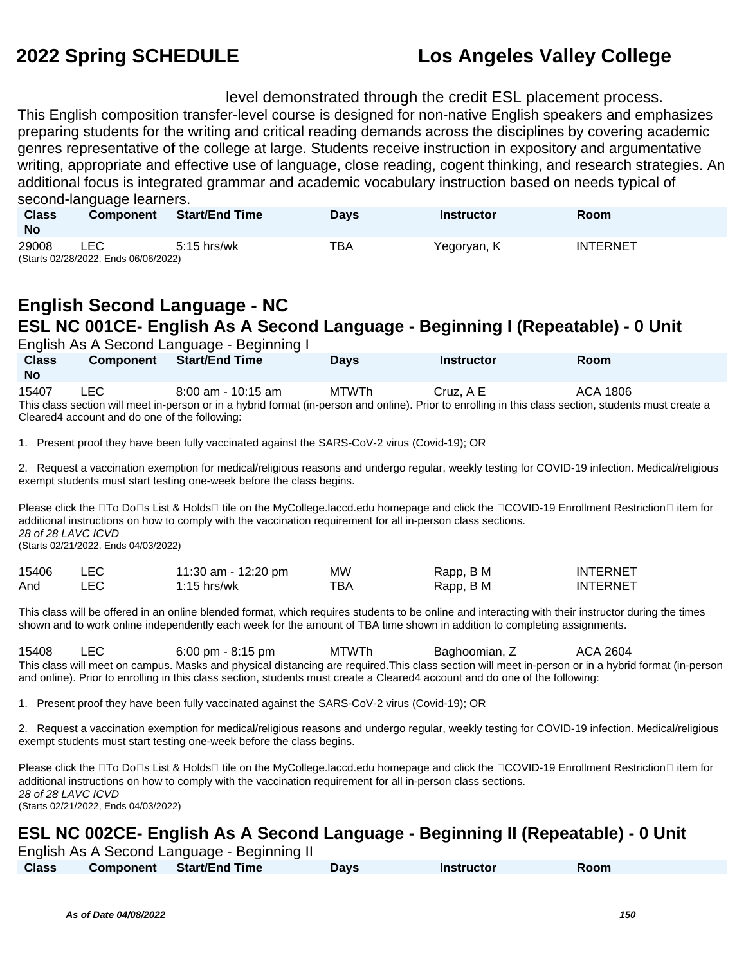level demonstrated through the credit ESL placement process.

This English composition transfer-level course is designed for non-native English speakers and emphasizes preparing students for the writing and critical reading demands across the disciplines by covering academic genres representative of the college at large. Students receive instruction in expository and argumentative writing, appropriate and effective use of language, close reading, cogent thinking, and research strategies. An additional focus is integrated grammar and academic vocabulary instruction based on needs typical of second-language learners.

| <b>Class</b><br><b>No</b> | <b>Component</b>                            | <b>Start/End Time</b> | Davs | Instructor  | Room     |
|---------------------------|---------------------------------------------|-----------------------|------|-------------|----------|
| 29008                     | LEC<br>(Starts 02/28/2022, Ends 06/06/2022) | $5:15$ hrs/wk         | TBA  | Yegoryan, K | INTERNET |

## **English Second Language - NC ESL NC 001CE- English As A Second Language - Beginning I (Repeatable) - 0 Unit**

|                           |                  | English As A Second Language - Beginning I                                                                                                                                    |             |                   |          |
|---------------------------|------------------|-------------------------------------------------------------------------------------------------------------------------------------------------------------------------------|-------------|-------------------|----------|
| <b>Class</b><br><b>No</b> | <b>Component</b> | Start/End Time                                                                                                                                                                | <b>Davs</b> | <b>Instructor</b> | Room     |
| 15407                     | LEC.             | $8:00$ am - 10:15 am<br>This class section will meet in-person or in a hybrid format (in-person and online). Prior to enrolling in this class section, students must create a | MTWTh       | Cruz. A E         | ACA 1806 |

Cleared4 account and do one of the following:

1. Present proof they have been fully vaccinated against the SARS-CoV-2 virus (Covid-19); OR

2. Request a vaccination exemption for medical/religious reasons and undergo regular, weekly testing for COVID-19 infection. Medical/religious exempt students must start testing one-week before the class begins.

Please click the □To Do□s List & Holds□ tile on the MyCollege.laccd.edu homepage and click the □COVID-19 Enrollment Restriction□ item for additional instructions on how to comply with the vaccination requirement for all in-person class sections. 28 of 28 LAVC ICVD (Starts 02/21/2022, Ends 04/03/2022)

| 15406 | <b>LEC</b> | 11:30 am - 12:20 pm | MW  | Rapp, B M | <b>INTERNET</b> |
|-------|------------|---------------------|-----|-----------|-----------------|
| And   | LEC.       | 1:15 hrs/wk         | тва | Rapp, B M | <b>INTERNET</b> |

This class will be offered in an online blended format, which requires students to be online and interacting with their instructor during the times shown and to work online independently each week for the amount of TBA time shown in addition to completing assignments.

15408 LEC 6:00 pm - 8:15 pm MTWTh Baghoomian, Z ACA 2604 This class will meet on campus. Masks and physical distancing are required.This class section will meet in-person or in a hybrid format (in-person and online). Prior to enrolling in this class section, students must create a Cleared4 account and do one of the following:

1. Present proof they have been fully vaccinated against the SARS-CoV-2 virus (Covid-19); OR

2. Request a vaccination exemption for medical/religious reasons and undergo regular, weekly testing for COVID-19 infection. Medical/religious exempt students must start testing one-week before the class begins.

Please click the  $\Box$ To Do $\Box$ s List & Holds $\Box$  tile on the MyCollege.laccd.edu homepage and click the  $\Box$ COVID-19 Enrollment Restriction  $\Box$  item for additional instructions on how to comply with the vaccination requirement for all in-person class sections. 28 of 28 LAVC ICVD

(Starts 02/21/2022, Ends 04/03/2022)

# **ESL NC 002CE- English As A Second Language - Beginning II (Repeatable) - 0 Unit**

|              | English As A Second Language - Beginning II |             |            |             |  |
|--------------|---------------------------------------------|-------------|------------|-------------|--|
| <b>Class</b> | Component Start/End Time                    | <b>Days</b> | Instructor | <b>Room</b> |  |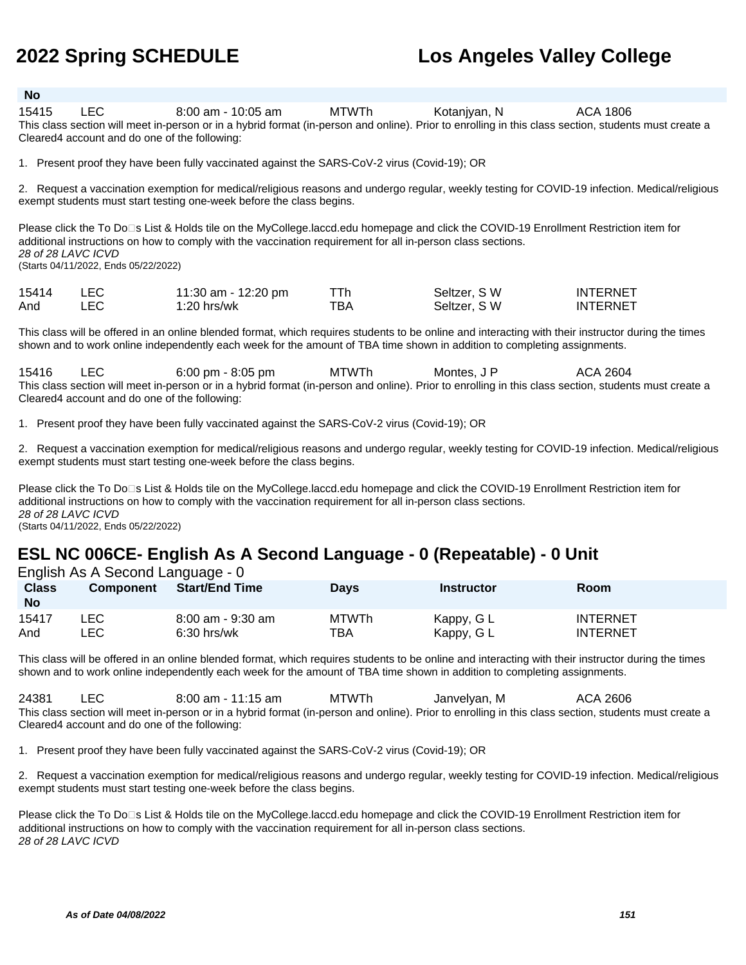### **No**

15415 LEC 8:00 am - 10:05 am MTWTh Kotanjyan, N ACA 1806 This class section will meet in-person or in a hybrid format (in-person and online). Prior to enrolling in this class section, students must create a Cleared4 account and do one of the following:

1. Present proof they have been fully vaccinated against the SARS-CoV-2 virus (Covid-19); OR

2. Request a vaccination exemption for medical/religious reasons and undergo regular, weekly testing for COVID-19 infection. Medical/religious exempt students must start testing one-week before the class begins.

Please click the To Do<sup>n</sup>s List & Holds tile on the MyCollege.laccd.edu homepage and click the COVID-19 Enrollment Restriction item for additional instructions on how to comply with the vaccination requirement for all in-person class sections. 28 of 28 LAVC ICVD (Starts 04/11/2022, Ends 05/22/2022)

| 15414 | LEC. | 11:30 am - 12:20 pm |     | Seltzer, SW  | <b>INTERNET</b> |
|-------|------|---------------------|-----|--------------|-----------------|
| And   | LEC. | $1:20$ hrs/wk       | TBA | Seltzer, S W | <b>INTERNET</b> |

This class will be offered in an online blended format, which requires students to be online and interacting with their instructor during the times shown and to work online independently each week for the amount of TBA time shown in addition to completing assignments.

15416 LEC 6:00 pm - 8:05 pm MTWTh Montes, J P ACA 2604 This class section will meet in-person or in a hybrid format (in-person and online). Prior to enrolling in this class section, students must create a Cleared4 account and do one of the following:

1. Present proof they have been fully vaccinated against the SARS-CoV-2 virus (Covid-19); OR

2. Request a vaccination exemption for medical/religious reasons and undergo regular, weekly testing for COVID-19 infection. Medical/religious exempt students must start testing one-week before the class begins.

Please click the To Do<sup>n</sup>s List & Holds tile on the MyCollege.laccd.edu homepage and click the COVID-19 Enrollment Restriction item for additional instructions on how to comply with the vaccination requirement for all in-person class sections. 28 of 28 LAVC ICVD (Starts 04/11/2022, Ends 05/22/2022)

# **ESL NC 006CE- English As A Second Language - 0 (Repeatable) - 0 Unit**

English As A Second Language - 0

| <b>Class</b><br><b>No</b> | <b>Component</b> | <b>Start/End Time</b> | Days         | <b>Instructor</b> | Room            |
|---------------------------|------------------|-----------------------|--------------|-------------------|-----------------|
| 15417                     | ∟EC.             | 8:00 am - 9:30 am     | <b>MTWTh</b> | Kappy, G L        | <b>INTERNET</b> |
| And                       | ∟EC              | $6:30$ hrs/wk         | TBA          | Kappy, G L        | <b>INTERNET</b> |

This class will be offered in an online blended format, which requires students to be online and interacting with their instructor during the times shown and to work online independently each week for the amount of TBA time shown in addition to completing assignments.

24381 LEC 8:00 am - 11:15 am MTWTh Janvelyan, M ACA 2606 This class section will meet in-person or in a hybrid format (in-person and online). Prior to enrolling in this class section, students must create a Cleared4 account and do one of the following:

1. Present proof they have been fully vaccinated against the SARS-CoV-2 virus (Covid-19); OR

2. Request a vaccination exemption for medical/religious reasons and undergo regular, weekly testing for COVID-19 infection. Medical/religious exempt students must start testing one-week before the class begins.

Please click the To Do⊡s List & Holds tile on the MyCollege.laccd.edu homepage and click the COVID-19 Enrollment Restriction item for additional instructions on how to comply with the vaccination requirement for all in-person class sections. 28 of 28 LAVC ICVD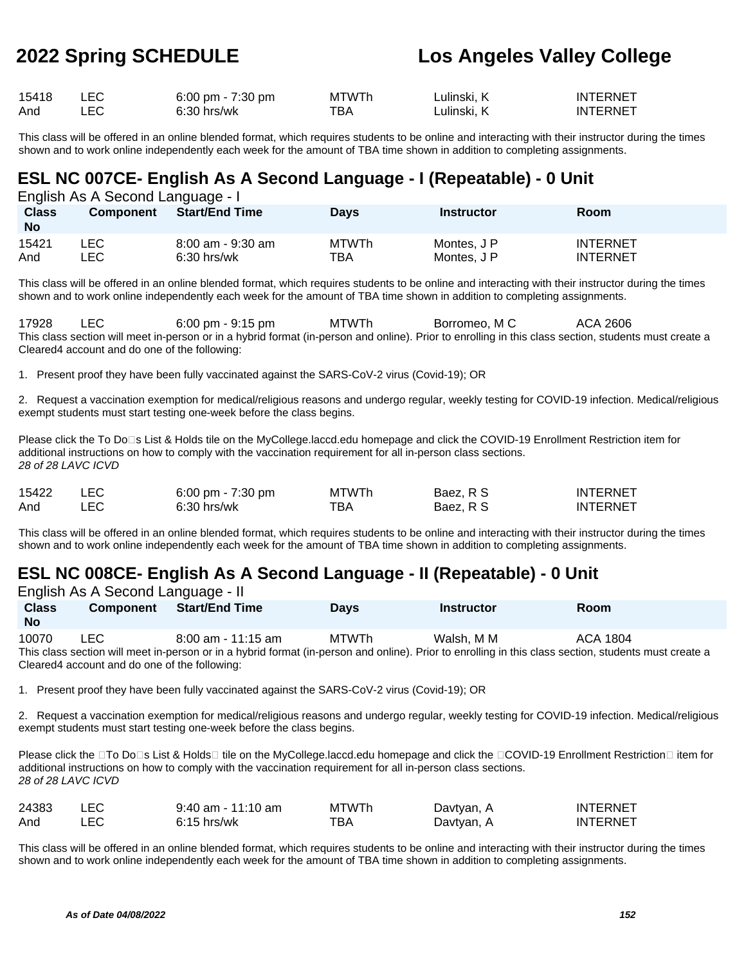| 15418 | $6:00 \text{ pm} - 7:30 \text{ pm}$ | <b>MTWTh</b> | ∟ulinski. K | <b>INTERNET</b> |
|-------|-------------------------------------|--------------|-------------|-----------------|
| And   | 6:30 hrs/wk                         | ⊤вд          | ∟ulinski. K | INTERNET        |

This class will be offered in an online blended format, which requires students to be online and interacting with their instructor during the times shown and to work online independently each week for the amount of TBA time shown in addition to completing assignments.

### **ESL NC 007CE- English As A Second Language - I (Repeatable) - 0 Unit**

English As A Second Language - I

| <b>Class</b><br><b>No</b> | <b>Component</b> | <b>Start/End Time</b> | Days         | Instructor  | <b>Room</b>     |
|---------------------------|------------------|-----------------------|--------------|-------------|-----------------|
| 15421                     | ∟EC.             | 8:00 am - 9:30 am     | <b>MTWTh</b> | Montes, J P | <b>INTERNET</b> |
| And                       | ∟EC              | 6:30 hrs/wk           | тва          | Montes, J P | <b>INTERNET</b> |

This class will be offered in an online blended format, which requires students to be online and interacting with their instructor during the times shown and to work online independently each week for the amount of TBA time shown in addition to completing assignments.

17928 LEC 6:00 pm - 9:15 pm MTWTh Borromeo, M C ACA 2606 This class section will meet in-person or in a hybrid format (in-person and online). Prior to enrolling in this class section, students must create a Cleared4 account and do one of the following:

1. Present proof they have been fully vaccinated against the SARS-CoV-2 virus (Covid-19); OR

2. Request a vaccination exemption for medical/religious reasons and undergo regular, weekly testing for COVID-19 infection. Medical/religious exempt students must start testing one-week before the class begins.

Please click the To Do⊡s List & Holds tile on the MyCollege.laccd.edu homepage and click the COVID-19 Enrollment Restriction item for additional instructions on how to comply with the vaccination requirement for all in-person class sections. 28 of 28 LAVC ICVD

| 15422 | 6:00 pm - 7:30 pm | <b>MTWTh</b> | Baez, R S | <b>INTERNET</b> |
|-------|-------------------|--------------|-----------|-----------------|
| And   | $6:30$ hrs/wk     | тва          | Baez, R S | <b>INTERNET</b> |

This class will be offered in an online blended format, which requires students to be online and interacting with their instructor during the times shown and to work online independently each week for the amount of TBA time shown in addition to completing assignments.

## **ESL NC 008CE- English As A Second Language - II (Repeatable) - 0 Unit**

|              | English As A Second Language - II |                      |             |            |                                                                                                                                                       |  |
|--------------|-----------------------------------|----------------------|-------------|------------|-------------------------------------------------------------------------------------------------------------------------------------------------------|--|
| <b>Class</b> | <b>Component</b>                  | Start/End Time       | <b>Davs</b> | Instructor | Room                                                                                                                                                  |  |
| <b>No</b>    |                                   |                      |             |            |                                                                                                                                                       |  |
| 10070        | <b>LEC</b>                        | $8:00$ am - 11:15 am | MTWTh       | Walsh. M M | ACA 1804                                                                                                                                              |  |
|              |                                   |                      |             |            | This class section will meet in person or in a bybrid format (in person and online). Prior to enrolling in this class section, students must create a |  |

This class section will meet in-person or in a hybrid format (in-person and online). Prior to enrolling in this class section, students must create a Cleared4 account and do one of the following:

1. Present proof they have been fully vaccinated against the SARS-CoV-2 virus (Covid-19); OR

2. Request a vaccination exemption for medical/religious reasons and undergo regular, weekly testing for COVID-19 infection. Medical/religious exempt students must start testing one-week before the class begins.

Please click the □To Do□s List & Holds□ tile on the MyCollege.laccd.edu homepage and click the □COVID-19 Enrollment Restriction□ item for additional instructions on how to comply with the vaccination requirement for all in-person class sections. 28 of 28 LAVC ICVD

| 24383 | 9:40 am - 11:10 am | <b>MTWTh</b> | Davtyan, A | <b>INTERNET</b> |
|-------|--------------------|--------------|------------|-----------------|
| And   | $6:15$ hrs/wk      | тва.         | Davtvan, . | <b>INTERNET</b> |

This class will be offered in an online blended format, which requires students to be online and interacting with their instructor during the times shown and to work online independently each week for the amount of TBA time shown in addition to completing assignments.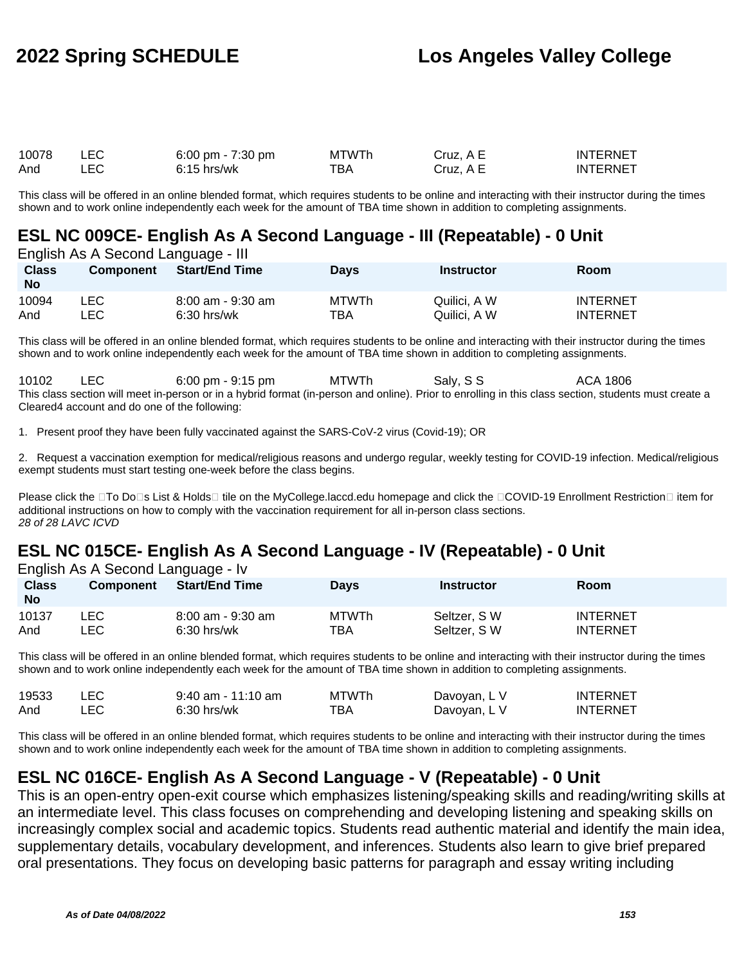| 10078 | 6:00 pm - $7:30$ pm | <b>MTWTh</b> | Cruz, A E | <b>INTERNET</b> |
|-------|---------------------|--------------|-----------|-----------------|
| And   | $6:15$ hrs/wk       | тва          | Cruz. A E | <b>INTERNET</b> |

This class will be offered in an online blended format, which requires students to be online and interacting with their instructor during the times shown and to work online independently each week for the amount of TBA time shown in addition to completing assignments.

### **ESL NC 009CE- English As A Second Language - III (Repeatable) - 0 Unit**

English As A Second Language - III

| <b>Class</b><br><b>No</b> | <b>Component</b> | <b>Start/End Time</b> | <b>Days</b> | <b>Instructor</b> | Room            |
|---------------------------|------------------|-----------------------|-------------|-------------------|-----------------|
| 10094                     | ∟EC-             | 8:00 am - 9:30 am     | MTWTh       | Quilici. A W      | <b>INTERNET</b> |
| And                       | _EC              | $6:30$ hrs/wk         | TBA         | Quilici. A W      | <b>INTERNET</b> |

This class will be offered in an online blended format, which requires students to be online and interacting with their instructor during the times shown and to work online independently each week for the amount of TBA time shown in addition to completing assignments.

10102 LEC 6:00 pm - 9:15 pm MTWTh Saly, SS ACA 1806 This class section will meet in-person or in a hybrid format (in-person and online). Prior to enrolling in this class section, students must create a Cleared4 account and do one of the following:

1. Present proof they have been fully vaccinated against the SARS-CoV-2 virus (Covid-19); OR

2. Request a vaccination exemption for medical/religious reasons and undergo regular, weekly testing for COVID-19 infection. Medical/religious exempt students must start testing one-week before the class begins.

Please click the □To Do□s List & Holds□ tile on the MyCollege.laccd.edu homepage and click the □COVID-19 Enrollment Restriction□ item for additional instructions on how to comply with the vaccination requirement for all in-person class sections. 28 of 28 LAVC ICVD

## **ESL NC 015CE- English As A Second Language - IV (Repeatable) - 0 Unit**

|  | English As A Second Language - Iv |  |
|--|-----------------------------------|--|
|  |                                   |  |

| <b>Class</b><br><b>No</b> | <b>Component</b> | <b>Start/End Time</b> | Days         | <b>Instructor</b> | Room            |
|---------------------------|------------------|-----------------------|--------------|-------------------|-----------------|
| 10137                     | ∟EC              | $8:00$ am - 9:30 am   | <b>MTWTh</b> | Seltzer, SW       | <b>INTERNET</b> |
| And                       | LEC              | $6:30$ hrs/wk         | ТВА          | Seltzer, SW       | <b>INTERNET</b> |

This class will be offered in an online blended format, which requires students to be online and interacting with their instructor during the times shown and to work online independently each week for the amount of TBA time shown in addition to completing assignments.

| 19533 | $9:40$ am - 11:10 am | <b>MTWTh</b> | Davoyan, L V | <b>INTERNET</b> |
|-------|----------------------|--------------|--------------|-----------------|
| And   | $6:30$ hrs/wk        | тва          | Davoyan, L V | <b>INTERNET</b> |

This class will be offered in an online blended format, which requires students to be online and interacting with their instructor during the times shown and to work online independently each week for the amount of TBA time shown in addition to completing assignments.

## **ESL NC 016CE- English As A Second Language - V (Repeatable) - 0 Unit**

This is an open-entry open-exit course which emphasizes listening/speaking skills and reading/writing skills at an intermediate level. This class focuses on comprehending and developing listening and speaking skills on increasingly complex social and academic topics. Students read authentic material and identify the main idea, supplementary details, vocabulary development, and inferences. Students also learn to give brief prepared oral presentations. They focus on developing basic patterns for paragraph and essay writing including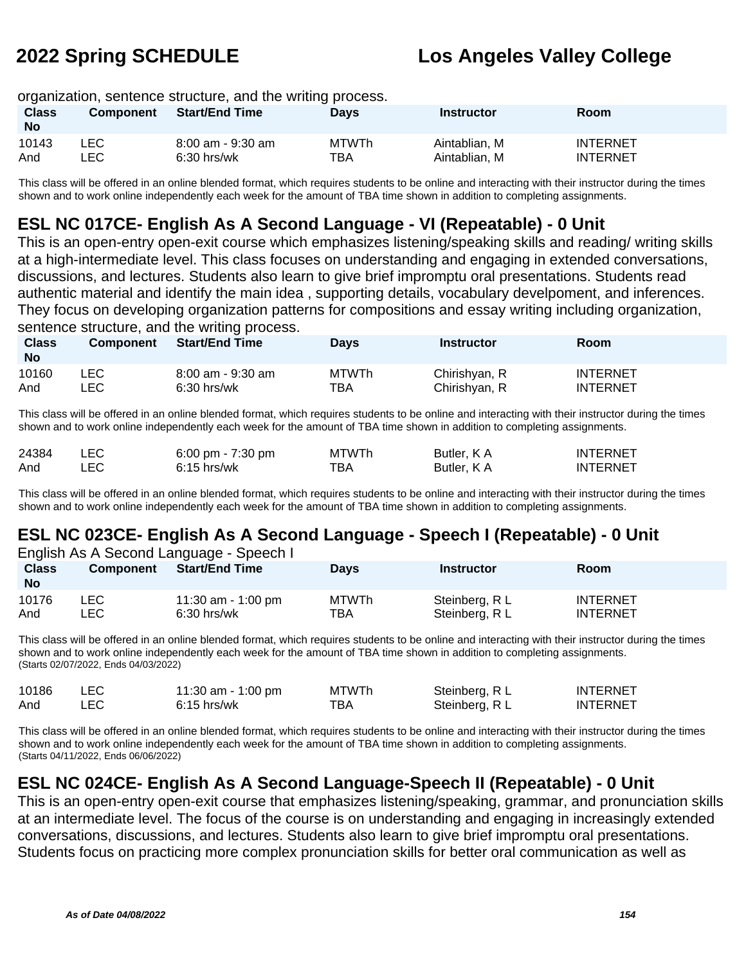### organization, sentence structure, and the writing process.

| <b>Class</b><br><b>No</b> | <b>Component</b> | <b>Start/End Time</b> | <b>Days</b>  | <b>Instructor</b> | <b>Room</b>     |
|---------------------------|------------------|-----------------------|--------------|-------------------|-----------------|
| 10143                     | _EC.             | 8:00 am - 9:30 am     | <b>MTWTh</b> | Aintablian, M     | <b>INTERNET</b> |
| And                       | LEC .            | $6:30$ hrs/wk         | TBA          | Aintablian. M     | <b>INTERNET</b> |

This class will be offered in an online blended format, which requires students to be online and interacting with their instructor during the times shown and to work online independently each week for the amount of TBA time shown in addition to completing assignments.

### **ESL NC 017CE- English As A Second Language - VI (Repeatable) - 0 Unit**

This is an open-entry open-exit course which emphasizes listening/speaking skills and reading/ writing skills at a high-intermediate level. This class focuses on understanding and engaging in extended conversations, discussions, and lectures. Students also learn to give brief impromptu oral presentations. Students read authentic material and identify the main idea , supporting details, vocabulary develpoment, and inferences. They focus on developing organization patterns for compositions and essay writing including organization, sentence structure, and the writing process.

| Class<br><b>No</b> | <b>Component</b> | <b>Start/End Time</b> | <b>Days</b> | Instructor    | Room            |
|--------------------|------------------|-----------------------|-------------|---------------|-----------------|
| 10160              | _EC.             | $8:00$ am - 9:30 am   | MTWTh       | Chirishyan, R | <b>INTERNET</b> |
| And                | LEC.             | $6:30$ hrs/wk         | ТВА         | Chirishyan, R | <b>INTERNET</b> |

This class will be offered in an online blended format, which requires students to be online and interacting with their instructor during the times shown and to work online independently each week for the amount of TBA time shown in addition to completing assignments.

| 24384 | <b>LEC</b> | 6:00 pm - $7:30$ pm | <b>MTWTh</b> | Butler, K A | <b>INTERNET</b> |
|-------|------------|---------------------|--------------|-------------|-----------------|
| And   | LEC        | $6:15$ hrs/wk       | тва          | Butler, K A | <b>INTERNET</b> |

This class will be offered in an online blended format, which requires students to be online and interacting with their instructor during the times shown and to work online independently each week for the amount of TBA time shown in addition to completing assignments.

# **ESL NC 023CE- English As A Second Language - Speech I (Repeatable) - 0 Unit**

| English As A Second Language - Speech I |                  |                       |              |                   |                 |  |  |
|-----------------------------------------|------------------|-----------------------|--------------|-------------------|-----------------|--|--|
| <b>Class</b>                            | <b>Component</b> | <b>Start/End Time</b> | Days         | <b>Instructor</b> | Room            |  |  |
| <b>No</b>                               |                  |                       |              |                   |                 |  |  |
| 10176                                   | LEC.             | 11:30 am - 1:00 pm    | <b>MTWTh</b> | Steinberg, R L    | <b>INTERNET</b> |  |  |
| And                                     | ∟EC.             | $6:30$ hrs/wk         | TBA          | Steinberg, R L    | <b>INTERNET</b> |  |  |

This class will be offered in an online blended format, which requires students to be online and interacting with their instructor during the times shown and to work online independently each week for the amount of TBA time shown in addition to completing assignments. (Starts 02/07/2022, Ends 04/03/2022)

| 10186 | <b>LEC</b> | 11:30 am - 1:00 pm | <b>MTWTh</b> | Steinberg, R L | <b>INTERNET</b> |
|-------|------------|--------------------|--------------|----------------|-----------------|
| And   | LEC        | $6:15$ hrs/wk      | ТВА          | Steinberg, R L | <b>INTERNET</b> |

This class will be offered in an online blended format, which requires students to be online and interacting with their instructor during the times shown and to work online independently each week for the amount of TBA time shown in addition to completing assignments. (Starts 04/11/2022, Ends 06/06/2022)

## **ESL NC 024CE- English As A Second Language-Speech II (Repeatable) - 0 Unit**

This is an open-entry open-exit course that emphasizes listening/speaking, grammar, and pronunciation skills at an intermediate level. The focus of the course is on understanding and engaging in increasingly extended conversations, discussions, and lectures. Students also learn to give brief impromptu oral presentations. Students focus on practicing more complex pronunciation skills for better oral communication as well as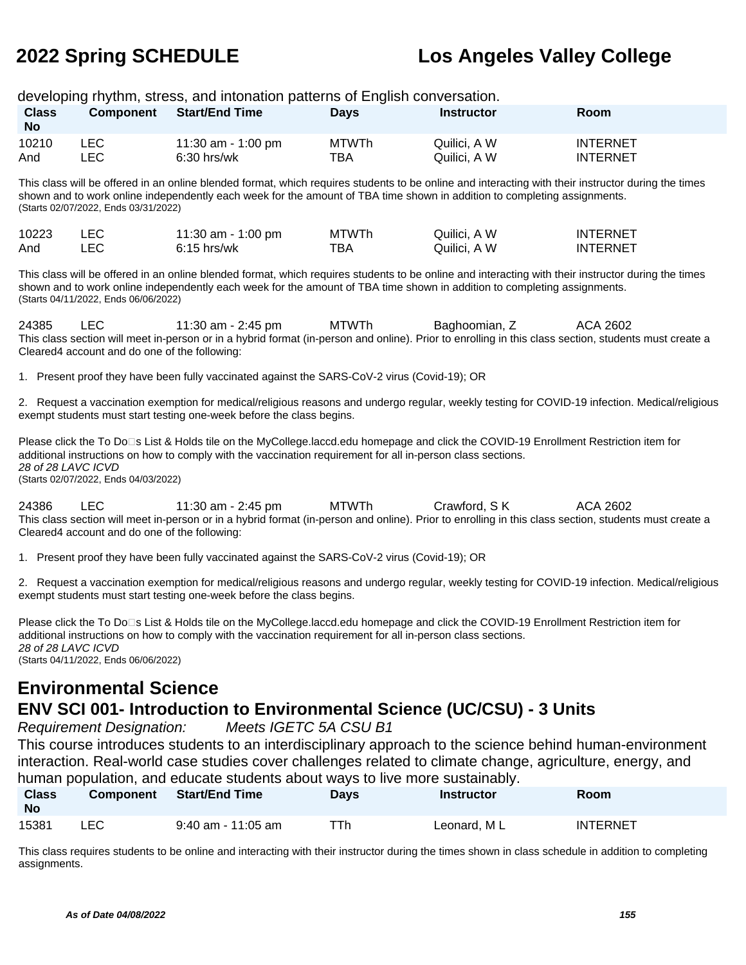| <b>Class</b>                                                                                                                                                                                                                                                                                                       | <b>Component</b>                                                                             | developing rhythm, stress, and intonation patterns of English conversation.<br><b>Start/End Time</b>                                                                                                                                                                            | <b>Days</b>                | <b>Instructor</b>            | Room                               |  |  |
|--------------------------------------------------------------------------------------------------------------------------------------------------------------------------------------------------------------------------------------------------------------------------------------------------------------------|----------------------------------------------------------------------------------------------|---------------------------------------------------------------------------------------------------------------------------------------------------------------------------------------------------------------------------------------------------------------------------------|----------------------------|------------------------------|------------------------------------|--|--|
| <b>No</b>                                                                                                                                                                                                                                                                                                          |                                                                                              |                                                                                                                                                                                                                                                                                 |                            |                              |                                    |  |  |
| 10210<br>And                                                                                                                                                                                                                                                                                                       | <b>LEC</b><br><b>LEC</b>                                                                     | 11:30 am - 1:00 pm<br>6:30 hrs/wk                                                                                                                                                                                                                                               | <b>MTWTh</b><br><b>TBA</b> | Quilici, A W<br>Quilici, A W | <b>INTERNET</b><br><b>INTERNET</b> |  |  |
|                                                                                                                                                                                                                                                                                                                    | (Starts 02/07/2022, Ends 03/31/2022)                                                         | This class will be offered in an online blended format, which requires students to be online and interacting with their instructor during the times<br>shown and to work online independently each week for the amount of TBA time shown in addition to completing assignments. |                            |                              |                                    |  |  |
| 10223<br>And                                                                                                                                                                                                                                                                                                       | LEC<br><b>LEC</b>                                                                            | 11:30 am - 1:00 pm<br>$6:15$ hrs/wk                                                                                                                                                                                                                                             | <b>MTWTh</b><br><b>TBA</b> | Quilici, A W<br>Quilici, A W | <b>INTERNET</b><br><b>INTERNET</b> |  |  |
|                                                                                                                                                                                                                                                                                                                    | (Starts 04/11/2022, Ends 06/06/2022)                                                         | This class will be offered in an online blended format, which requires students to be online and interacting with their instructor during the times<br>shown and to work online independently each week for the amount of TBA time shown in addition to completing assignments. |                            |                              |                                    |  |  |
| 24385                                                                                                                                                                                                                                                                                                              | <b>LEC</b><br>Cleared4 account and do one of the following:                                  | 11:30 am - 2:45 pm<br>This class section will meet in-person or in a hybrid format (in-person and online). Prior to enrolling in this class section, students must create a                                                                                                     | <b>MTWTh</b>               | Baghoomian, Z                | ACA 2602                           |  |  |
|                                                                                                                                                                                                                                                                                                                    |                                                                                              | 1. Present proof they have been fully vaccinated against the SARS-CoV-2 virus (Covid-19); OR                                                                                                                                                                                    |                            |                              |                                    |  |  |
|                                                                                                                                                                                                                                                                                                                    |                                                                                              | 2. Request a vaccination exemption for medical/religious reasons and undergo regular, weekly testing for COVID-19 infection. Medical/religious<br>exempt students must start testing one-week before the class begins.                                                          |                            |                              |                                    |  |  |
| 28 of 28 LAVC ICVD                                                                                                                                                                                                                                                                                                 | (Starts 02/07/2022, Ends 04/03/2022)                                                         | Please click the To Do⊡s List & Holds tile on the MyCollege.laccd.edu homepage and click the COVID-19 Enrollment Restriction item for<br>additional instructions on how to comply with the vaccination requirement for all in-person class sections.                            |                            |                              |                                    |  |  |
| 24386                                                                                                                                                                                                                                                                                                              | LEC<br>Cleared4 account and do one of the following:                                         | 11:30 am - 2:45 pm<br>This class section will meet in-person or in a hybrid format (in-person and online). Prior to enrolling in this class section, students must create a                                                                                                     | <b>MTWTh</b>               | Crawford, SK                 | ACA 2602                           |  |  |
|                                                                                                                                                                                                                                                                                                                    | 1. Present proof they have been fully vaccinated against the SARS-CoV-2 virus (Covid-19); OR |                                                                                                                                                                                                                                                                                 |                            |                              |                                    |  |  |
| 2. Request a vaccination exemption for medical/religious reasons and undergo regular, weekly testing for COVID-19 infection. Medical/religious<br>exempt students must start testing one-week before the class begins.                                                                                             |                                                                                              |                                                                                                                                                                                                                                                                                 |                            |                              |                                    |  |  |
| Please click the To Do⊡s List & Holds tile on the MyCollege.laccd.edu homepage and click the COVID-19 Enrollment Restriction item for<br>additional instructions on how to comply with the vaccination requirement for all in-person class sections.<br>28 of 28 LAVC ICVD<br>(Starts 04/11/2022, Ends 06/06/2022) |                                                                                              |                                                                                                                                                                                                                                                                                 |                            |                              |                                    |  |  |
| <b>Environmental Science</b>                                                                                                                                                                                                                                                                                       |                                                                                              |                                                                                                                                                                                                                                                                                 |                            |                              |                                    |  |  |

# **ENV SCI 001- Introduction to Environmental Science (UC/CSU) - 3 Units**

Requirement Designation: Meets IGETC 5A CSU B1

This course introduces students to an interdisciplinary approach to the science behind human-environment interaction. Real-world case studies cover challenges related to climate change, agriculture, energy, and human population, and educate students about ways to live more sustainably.

| <b>Class</b><br><b>No</b> | <b>Component</b> | Start/End Time       | Days | <b>Instructor</b> | <b>Room</b>     |
|---------------------------|------------------|----------------------|------|-------------------|-----------------|
| 15381                     | LEC              | $9:40$ am - 11:05 am | ττh  | Leonard, ML       | <b>INTERNET</b> |

This class requires students to be online and interacting with their instructor during the times shown in class schedule in addition to completing assignments.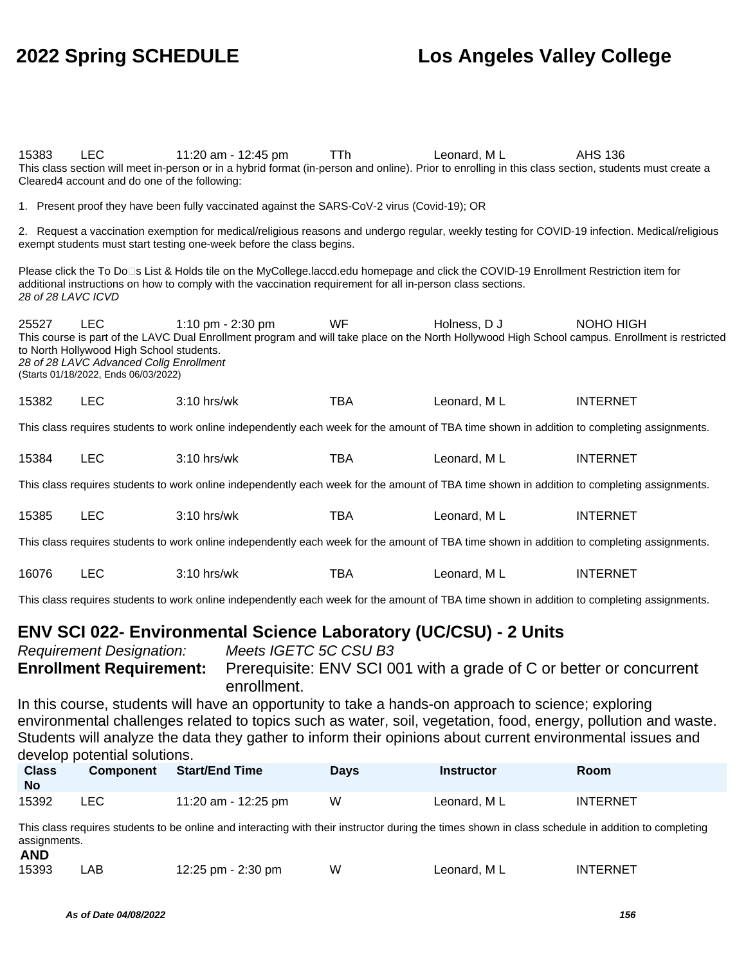| 15383                                                                                                                                                                                                                                                                                                                                                  | <b>LEC</b><br>Cleared4 account and do one of the following: | 11:20 am - 12:45 pm<br>This class section will meet in-person or in a hybrid format (in-person and online). Prior to enrolling in this class section, students must create a                                                                         | <b>TTh</b> | Leonard, ML | <b>AHS 136</b>  |  |
|--------------------------------------------------------------------------------------------------------------------------------------------------------------------------------------------------------------------------------------------------------------------------------------------------------------------------------------------------------|-------------------------------------------------------------|------------------------------------------------------------------------------------------------------------------------------------------------------------------------------------------------------------------------------------------------------|------------|-------------|-----------------|--|
|                                                                                                                                                                                                                                                                                                                                                        |                                                             | 1. Present proof they have been fully vaccinated against the SARS-CoV-2 virus (Covid-19); OR                                                                                                                                                         |            |             |                 |  |
|                                                                                                                                                                                                                                                                                                                                                        |                                                             | 2. Request a vaccination exemption for medical/religious reasons and undergo regular, weekly testing for COVID-19 infection. Medical/religious<br>exempt students must start testing one-week before the class begins.                               |            |             |                 |  |
| 28 of 28 LAVC ICVD                                                                                                                                                                                                                                                                                                                                     |                                                             | Please click the To Do⊡s List & Holds tile on the MyCollege.laccd.edu homepage and click the COVID-19 Enrollment Restriction item for<br>additional instructions on how to comply with the vaccination requirement for all in-person class sections. |            |             |                 |  |
| 25527<br>WF<br>LEC<br>1:10 pm - 2:30 pm<br>Holness, D J<br>NOHO HIGH<br>This course is part of the LAVC Dual Enrollment program and will take place on the North Hollywood High School campus. Enrollment is restricted<br>to North Hollywood High School students.<br>28 of 28 LAVC Advanced Collg Enrollment<br>(Starts 01/18/2022, Ends 06/03/2022) |                                                             |                                                                                                                                                                                                                                                      |            |             |                 |  |
| 15382                                                                                                                                                                                                                                                                                                                                                  | <b>LEC</b>                                                  | 3:10 hrs/wk                                                                                                                                                                                                                                          | <b>TBA</b> | Leonard, ML | <b>INTERNET</b> |  |
|                                                                                                                                                                                                                                                                                                                                                        |                                                             | This class requires students to work online independently each week for the amount of TBA time shown in addition to completing assignments.                                                                                                          |            |             |                 |  |
| 15384                                                                                                                                                                                                                                                                                                                                                  | <b>LEC</b>                                                  | 3:10 hrs/wk                                                                                                                                                                                                                                          | <b>TBA</b> | Leonard, ML | <b>INTERNET</b> |  |
|                                                                                                                                                                                                                                                                                                                                                        |                                                             | This class requires students to work online independently each week for the amount of TBA time shown in addition to completing assignments.                                                                                                          |            |             |                 |  |
| 15385                                                                                                                                                                                                                                                                                                                                                  | <b>LEC</b>                                                  | 3:10 hrs/wk                                                                                                                                                                                                                                          | <b>TBA</b> | Leonard, ML | <b>INTERNET</b> |  |
|                                                                                                                                                                                                                                                                                                                                                        |                                                             | This class requires students to work online independently each week for the amount of TBA time shown in addition to completing assignments.                                                                                                          |            |             |                 |  |
| 16076                                                                                                                                                                                                                                                                                                                                                  | <b>LEC</b>                                                  | 3:10 hrs/wk                                                                                                                                                                                                                                          | <b>TBA</b> | Leonard, ML | <b>INTERNET</b> |  |
|                                                                                                                                                                                                                                                                                                                                                        |                                                             | This class requires students to work online independently each week for the amount of TBA time shown in addition to completing assignments.                                                                                                          |            |             |                 |  |
| <b>ENV SCI 022- Environmental Science Laboratory (UC/CSU) - 2 Units</b><br>Meets IGETC 5C CSU B3<br><b>Requirement Designation:</b><br><b>Enrollment Requirement:</b><br>Prerequisite: ENV SCI 001 with a grade of C or better or concurrent<br>enrollment.                                                                                            |                                                             |                                                                                                                                                                                                                                                      |            |             |                 |  |
| In this course, students will have an opportunity to take a hands-on approach to science; exploring<br>environmental challenges related to topics such as water, soil, vegetation, food, energy, pollution and waste.                                                                                                                                  |                                                             |                                                                                                                                                                                                                                                      |            |             |                 |  |

Students will analyze the data they gather to inform their opinions about current environmental issues and develop potential solutions.

| <b>Class</b><br>No | <b>Component</b> | Start/End Time      | Days | Instructor   | Room            |
|--------------------|------------------|---------------------|------|--------------|-----------------|
| 15392              | LEC              | 11:20 am - 12:25 pm | W    | Leonard, M L | <b>INTERNET</b> |

This class requires students to be online and interacting with their instructor during the times shown in class schedule in addition to completing assignments. **AND**

| 15393 | LAB | 12:25 pm - 2:30 pm | W | Leonard, ML | <b>INTERNET</b> |
|-------|-----|--------------------|---|-------------|-----------------|
|       |     |                    |   |             |                 |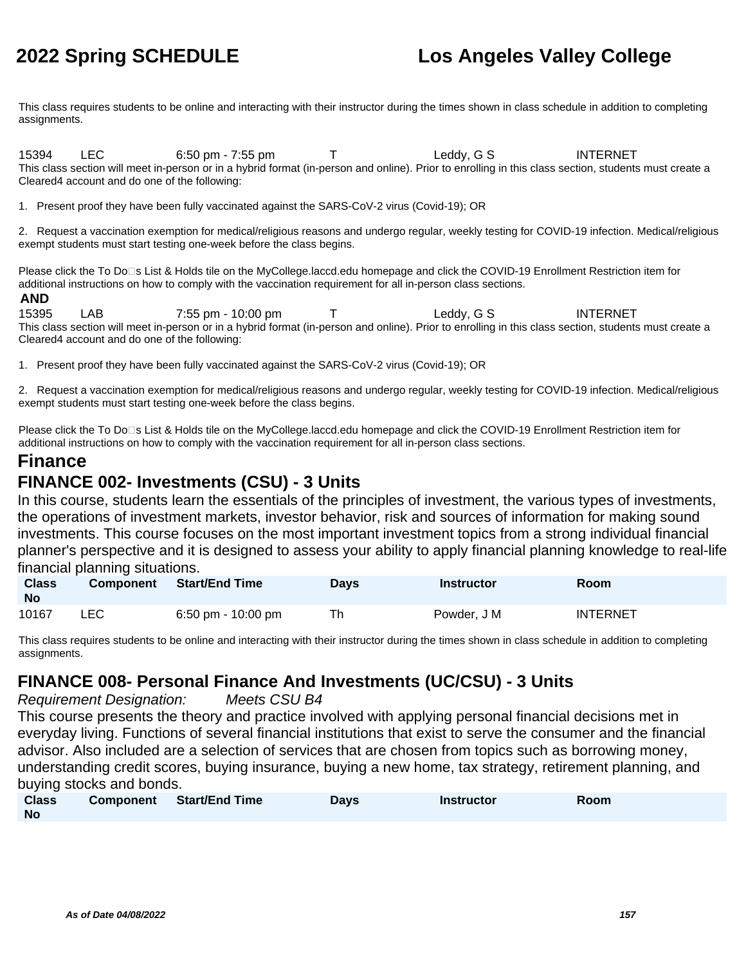This class requires students to be online and interacting with their instructor during the times shown in class schedule in addition to completing assignments.

15394 LEC 6:50 pm - 7:55 pm T Leddy, G S INTERNET This class section will meet in-person or in a hybrid format (in-person and online). Prior to enrolling in this class section, students must create a Cleared4 account and do one of the following:

1. Present proof they have been fully vaccinated against the SARS-CoV-2 virus (Covid-19); OR

2. Request a vaccination exemption for medical/religious reasons and undergo regular, weekly testing for COVID-19 infection. Medical/religious exempt students must start testing one-week before the class begins.

Please click the To Do□s List & Holds tile on the MyCollege.laccd.edu homepage and click the COVID-19 Enrollment Restriction item for additional instructions on how to comply with the vaccination requirement for all in-person class sections.

### **AND**

15395 LAB 7:55 pm - 10:00 pm T Leddy, G S INTERNET This class section will meet in-person or in a hybrid format (in-person and online). Prior to enrolling in this class section, students must create a Cleared4 account and do one of the following:

1. Present proof they have been fully vaccinated against the SARS-CoV-2 virus (Covid-19); OR

2. Request a vaccination exemption for medical/religious reasons and undergo regular, weekly testing for COVID-19 infection. Medical/religious exempt students must start testing one-week before the class begins.

Please click the To Do⊡s List & Holds tile on the MyCollege.laccd.edu homepage and click the COVID-19 Enrollment Restriction item for additional instructions on how to comply with the vaccination requirement for all in-person class sections.

### **Finance**

### **FINANCE 002- Investments (CSU) - 3 Units**

In this course, students learn the essentials of the principles of investment, the various types of investments, the operations of investment markets, investor behavior, risk and sources of information for making sound investments. This course focuses on the most important investment topics from a strong individual financial planner's perspective and it is designed to assess your ability to apply financial planning knowledge to real-life financial planning situations.

| <b>Class</b><br><b>No</b> | <b>Component</b> | <b>Start/End Time</b> | Days | Instructor  | Room            |
|---------------------------|------------------|-----------------------|------|-------------|-----------------|
| 10167                     | LEC              | 6:50 pm - 10:00 pm    | Th   | Powder, J M | <b>INTERNET</b> |

This class requires students to be online and interacting with their instructor during the times shown in class schedule in addition to completing assignments.

### **FINANCE 008- Personal Finance And Investments (UC/CSU) - 3 Units**

Requirement Designation: Meets CSU B4

This course presents the theory and practice involved with applying personal financial decisions met in everyday living. Functions of several financial institutions that exist to serve the consumer and the financial advisor. Also included are a selection of services that are chosen from topics such as borrowing money, understanding credit scores, buying insurance, buying a new home, tax strategy, retirement planning, and buying stocks and bonds.

| <b>Class</b> | Component Start/End Time | Days | <b>Instructor</b> | Room |
|--------------|--------------------------|------|-------------------|------|
| <b>No</b>    |                          |      |                   |      |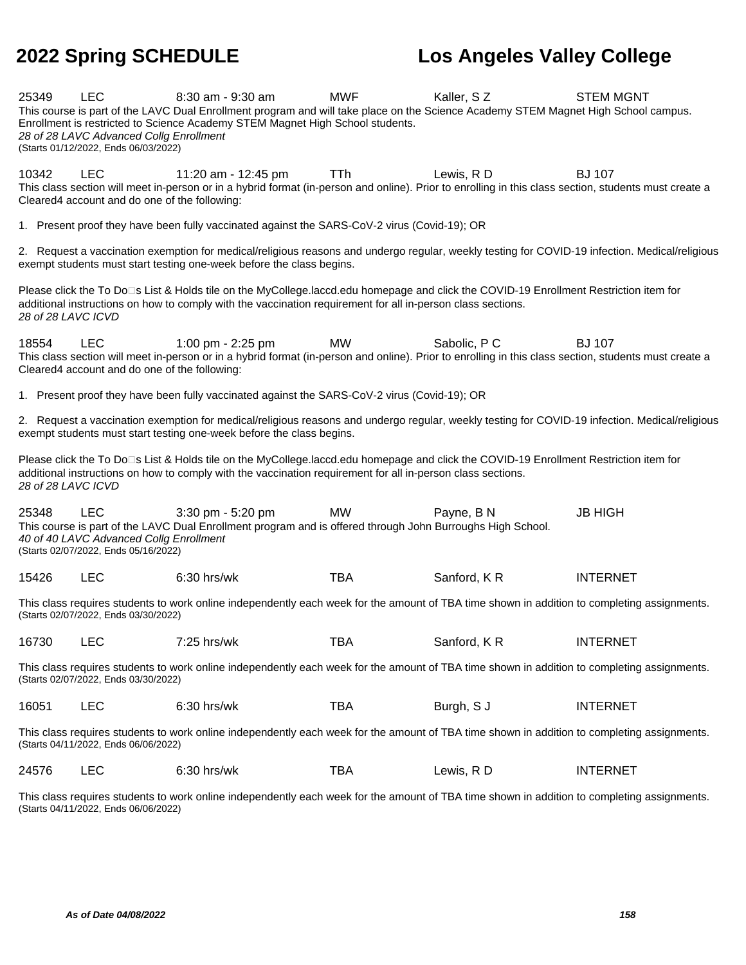| 25349                                                                                                                                                                               | <b>LEC</b><br>28 of 28 LAVC Advanced Collg Enrollment<br>(Starts 01/12/2022, Ends 06/03/2022)                                                                                       | 8:30 am - 9:30 am<br>This course is part of the LAVC Dual Enrollment program and will take place on the Science Academy STEM Magnet High School campus.<br>Enrollment is restricted to Science Academy STEM Magnet High School students.             | <b>MWF</b> | Kaller, SZ   | <b>STEM MGNT</b> |  |  |
|-------------------------------------------------------------------------------------------------------------------------------------------------------------------------------------|-------------------------------------------------------------------------------------------------------------------------------------------------------------------------------------|------------------------------------------------------------------------------------------------------------------------------------------------------------------------------------------------------------------------------------------------------|------------|--------------|------------------|--|--|
| 10342                                                                                                                                                                               | <b>LEC</b><br>Cleared4 account and do one of the following:                                                                                                                         | 11:20 am - 12:45 pm<br>This class section will meet in-person or in a hybrid format (in-person and online). Prior to enrolling in this class section, students must create a                                                                         | <b>TTh</b> | Lewis, RD    | <b>BJ 107</b>    |  |  |
|                                                                                                                                                                                     |                                                                                                                                                                                     | 1. Present proof they have been fully vaccinated against the SARS-CoV-2 virus (Covid-19); OR                                                                                                                                                         |            |              |                  |  |  |
|                                                                                                                                                                                     |                                                                                                                                                                                     | 2. Request a vaccination exemption for medical/religious reasons and undergo regular, weekly testing for COVID-19 infection. Medical/religious<br>exempt students must start testing one-week before the class begins.                               |            |              |                  |  |  |
| 28 of 28 LAVC ICVD                                                                                                                                                                  |                                                                                                                                                                                     | Please click the To Do⊡s List & Holds tile on the MyCollege.laccd.edu homepage and click the COVID-19 Enrollment Restriction item for<br>additional instructions on how to comply with the vaccination requirement for all in-person class sections. |            |              |                  |  |  |
| 18554                                                                                                                                                                               | <b>LEC</b><br>Cleared4 account and do one of the following:                                                                                                                         | 1:00 pm - 2:25 pm<br>This class section will meet in-person or in a hybrid format (in-person and online). Prior to enrolling in this class section, students must create a                                                                           | MW         | Sabolic, P C | <b>BJ 107</b>    |  |  |
|                                                                                                                                                                                     |                                                                                                                                                                                     | 1. Present proof they have been fully vaccinated against the SARS-CoV-2 virus (Covid-19); OR                                                                                                                                                         |            |              |                  |  |  |
|                                                                                                                                                                                     |                                                                                                                                                                                     | 2. Request a vaccination exemption for medical/religious reasons and undergo regular, weekly testing for COVID-19 infection. Medical/religious<br>exempt students must start testing one-week before the class begins.                               |            |              |                  |  |  |
| 28 of 28 LAVC ICVD                                                                                                                                                                  |                                                                                                                                                                                     | Please click the To Do⊡s List & Holds tile on the MyCollege.laccd.edu homepage and click the COVID-19 Enrollment Restriction item for<br>additional instructions on how to comply with the vaccination requirement for all in-person class sections. |            |              |                  |  |  |
| 25348                                                                                                                                                                               | <b>LEC</b><br>40 of 40 LAVC Advanced Collg Enrollment<br>(Starts 02/07/2022, Ends 05/16/2022)                                                                                       | 3:30 pm - 5:20 pm<br>This course is part of the LAVC Dual Enrollment program and is offered through John Burroughs High School.                                                                                                                      | MW         | Payne, B N   | <b>JB HIGH</b>   |  |  |
| 15426                                                                                                                                                                               | <b>LEC</b>                                                                                                                                                                          | 6:30 hrs/wk                                                                                                                                                                                                                                          | <b>TBA</b> | Sanford, KR  | <b>INTERNET</b>  |  |  |
|                                                                                                                                                                                     | (Starts 02/07/2022, Ends 03/30/2022)                                                                                                                                                | This class requires students to work online independently each week for the amount of TBA time shown in addition to completing assignments.                                                                                                          |            |              |                  |  |  |
| 16730                                                                                                                                                                               | <b>LEC</b>                                                                                                                                                                          | 7:25 hrs/wk                                                                                                                                                                                                                                          | <b>TBA</b> | Sanford, KR  | <b>INTERNET</b>  |  |  |
| This class requires students to work online independently each week for the amount of TBA time shown in addition to completing assignments.<br>(Starts 02/07/2022, Ends 03/30/2022) |                                                                                                                                                                                     |                                                                                                                                                                                                                                                      |            |              |                  |  |  |
| 16051                                                                                                                                                                               | <b>LEC</b>                                                                                                                                                                          | 6:30 hrs/wk                                                                                                                                                                                                                                          | <b>TBA</b> | Burgh, S J   | <b>INTERNET</b>  |  |  |
| This class requires students to work online independently each week for the amount of TBA time shown in addition to completing assignments.<br>(Starts 04/11/2022, Ends 06/06/2022) |                                                                                                                                                                                     |                                                                                                                                                                                                                                                      |            |              |                  |  |  |
| 24576                                                                                                                                                                               | <b>LEC</b>                                                                                                                                                                          | 6:30 hrs/wk                                                                                                                                                                                                                                          | <b>TBA</b> | Lewis, RD    | <b>INTERNET</b>  |  |  |
|                                                                                                                                                                                     | This class requires students to work online independently each week for the amount of TBA time shown in addition to completing assignments.<br>(Starts 04/11/2022, Ends 06/06/2022) |                                                                                                                                                                                                                                                      |            |              |                  |  |  |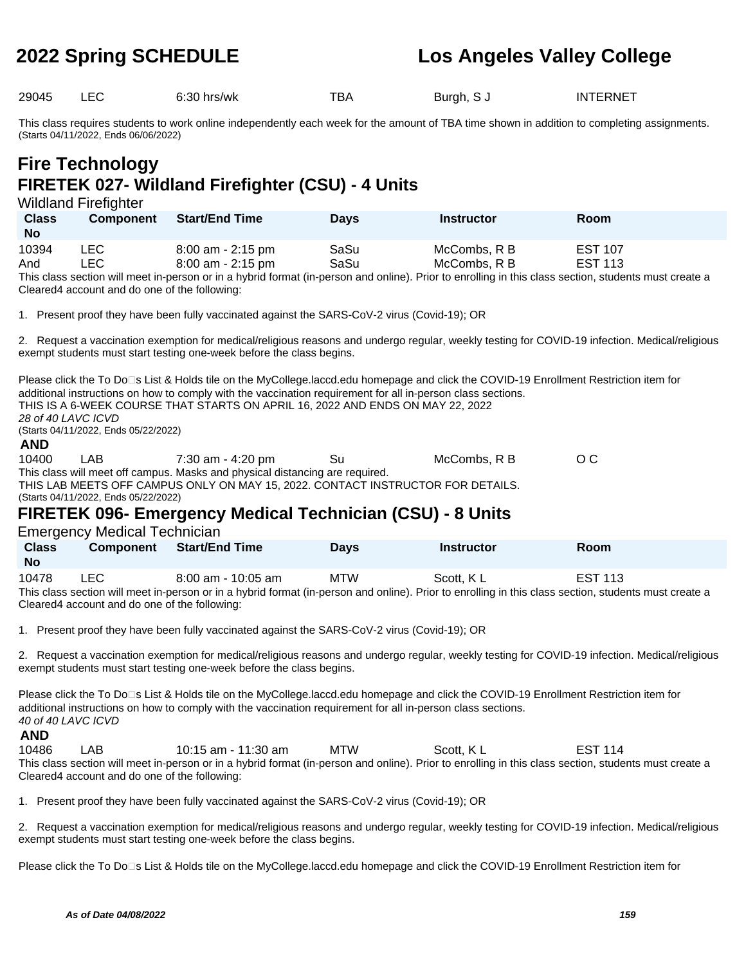29045 LEC 6:30 hrs/wk TBA Burgh, S J INTERNET

This class requires students to work online independently each week for the amount of TBA time shown in addition to completing assignments. (Starts 04/11/2022, Ends 06/06/2022)

# **Fire Technology FIRETEK 027- Wildland Firefighter (CSU) - 4 Units**

Wildland Firefighter

| <b>Class</b><br><b>No</b> | <b>Component</b> | <b>Start/End Time</b> | <b>Days</b> | <b>Instructor</b> | Room           |
|---------------------------|------------------|-----------------------|-------------|-------------------|----------------|
| 10394                     | LEC.             | $8:00$ am - 2:15 pm   | SaSu        | McCombs, R B      | <b>EST 107</b> |
| And                       | ∟EC.             | $8:00$ am - 2:15 pm   | SaSu        | McCombs, R B      | <b>EST 113</b> |

This class section will meet in-person or in a hybrid format (in-person and online). Prior to enrolling in this class section, students must create a Cleared4 account and do one of the following:

1. Present proof they have been fully vaccinated against the SARS-CoV-2 virus (Covid-19); OR

2. Request a vaccination exemption for medical/religious reasons and undergo regular, weekly testing for COVID-19 infection. Medical/religious exempt students must start testing one-week before the class begins.

Please click the To Do<sup>n</sup>s List & Holds tile on the MyCollege.laccd.edu homepage and click the COVID-19 Enrollment Restriction item for additional instructions on how to comply with the vaccination requirement for all in-person class sections. THIS IS A 6-WEEK COURSE THAT STARTS ON APRIL 16, 2022 AND ENDS ON MAY 22, 2022 28 of 40 LAVC ICVD (Starts 04/11/2022, Ends 05/22/2022) **AND** 10400 LAB 7:30 am - 4:20 pm Su McCombs, R B O C

This class will meet off campus. Masks and physical distancing are required. THIS LAB MEETS OFF CAMPUS ONLY ON MAY 15, 2022. CONTACT INSTRUCTOR FOR DETAILS. (Starts 04/11/2022, Ends 05/22/2022)

# **FIRETEK 096- Emergency Medical Technician (CSU) - 8 Units**

Emergency Medical Technician

| <b>Class</b><br><b>No</b> | <b>Component</b> | <b>Start/End Time</b> | <b>Davs</b> | <b>Instructor</b> | Room           |
|---------------------------|------------------|-----------------------|-------------|-------------------|----------------|
| 10478                     | LEC              | $8:00$ am - 10:05 am  | <b>MTW</b>  | Scott, KL         | <b>EST 113</b> |

This class section will meet in-person or in a hybrid format (in-person and online). Prior to enrolling in this class section, students must create a Cleared4 account and do one of the following:

1. Present proof they have been fully vaccinated against the SARS-CoV-2 virus (Covid-19); OR

2. Request a vaccination exemption for medical/religious reasons and undergo regular, weekly testing for COVID-19 infection. Medical/religious exempt students must start testing one-week before the class begins.

Please click the To Do<sup>n</sup>s List & Holds tile on the MyCollege.laccd.edu homepage and click the COVID-19 Enrollment Restriction item for additional instructions on how to comply with the vaccination requirement for all in-person class sections. 40 of 40 LAVC ICVD

### **AND**

10486 LAB 10:15 am - 11:30 am MTW Scott, K L EST 114 This class section will meet in-person or in a hybrid format (in-person and online). Prior to enrolling in this class section, students must create a Cleared4 account and do one of the following:

1. Present proof they have been fully vaccinated against the SARS-CoV-2 virus (Covid-19); OR

2. Request a vaccination exemption for medical/religious reasons and undergo regular, weekly testing for COVID-19 infection. Medical/religious exempt students must start testing one-week before the class begins.

Please click the To Do<sup>n</sup>s List & Holds tile on the MyCollege.laccd.edu homepage and click the COVID-19 Enrollment Restriction item for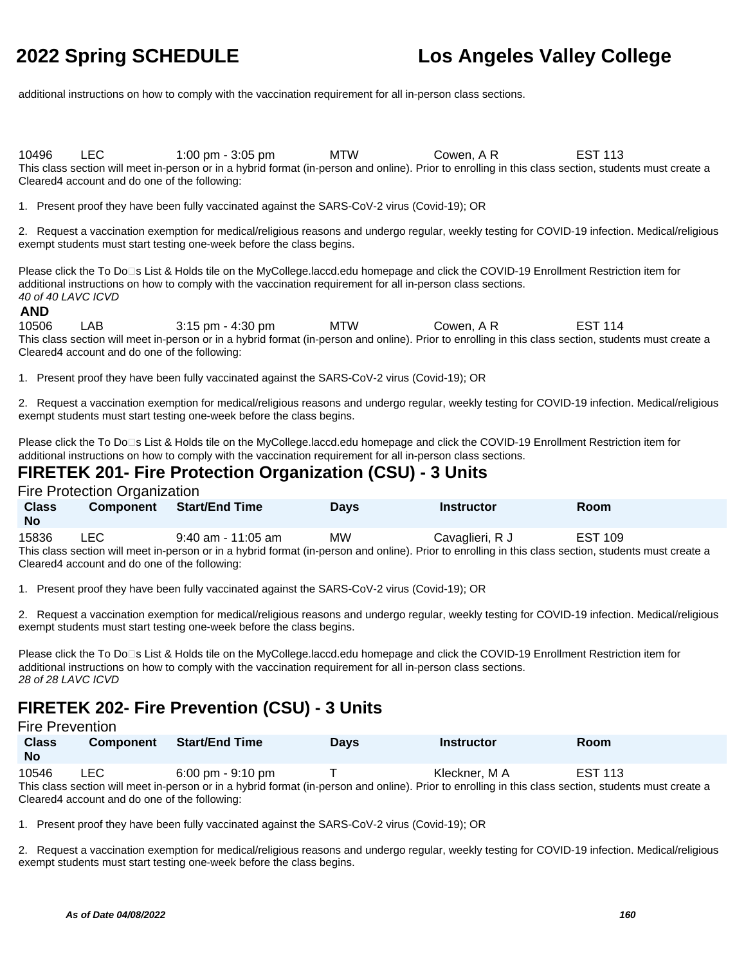additional instructions on how to comply with the vaccination requirement for all in-person class sections.

10496 LEC 1:00 pm - 3:05 pm MTW Cowen, A R EST 113 This class section will meet in-person or in a hybrid format (in-person and online). Prior to enrolling in this class section, students must create a Cleared4 account and do one of the following:

1. Present proof they have been fully vaccinated against the SARS-CoV-2 virus (Covid-19); OR

2. Request a vaccination exemption for medical/religious reasons and undergo regular, weekly testing for COVID-19 infection. Medical/religious exempt students must start testing one-week before the class begins.

Please click the To Do<sup>n</sup>s List & Holds tile on the MyCollege.laccd.edu homepage and click the COVID-19 Enrollment Restriction item for additional instructions on how to comply with the vaccination requirement for all in-person class sections. 40 of 40 LAVC ICVD

### **AND**

10506 LAB 3:15 pm - 4:30 pm MTW Cowen, A R EST 114 This class section will meet in-person or in a hybrid format (in-person and online). Prior to enrolling in this class section, students must create a Cleared4 account and do one of the following:

1. Present proof they have been fully vaccinated against the SARS-CoV-2 virus (Covid-19); OR

2. Request a vaccination exemption for medical/religious reasons and undergo regular, weekly testing for COVID-19 infection. Medical/religious exempt students must start testing one-week before the class begins.

Please click the To Do<sup>n</sup>s List & Holds tile on the MyCollege.laccd.edu homepage and click the COVID-19 Enrollment Restriction item for additional instructions on how to comply with the vaccination requirement for all in-person class sections.

### **FIRETEK 201- Fire Protection Organization (CSU) - 3 Units**

Fire Protection Organization

| <b>Class</b><br><b>No</b> | <b>Component</b> | <b>Start/End Time</b> | <b>Davs</b>                                                                                                                                           | <b>Instructor</b> | Room           |  |  |  |  |  |  |
|---------------------------|------------------|-----------------------|-------------------------------------------------------------------------------------------------------------------------------------------------------|-------------------|----------------|--|--|--|--|--|--|
| 15836                     | LEC.             | $9:40$ am - 11:05 am  | MW.                                                                                                                                                   | Cavaglieri, R J   | <b>EST 109</b> |  |  |  |  |  |  |
|                           |                  |                       | This class section will meet in-person or in a hybrid format (in-person and online). Prior to enrolling in this class section, students must create a |                   |                |  |  |  |  |  |  |

Cleared4 account and do one of the following:

1. Present proof they have been fully vaccinated against the SARS-CoV-2 virus (Covid-19); OR

2. Request a vaccination exemption for medical/religious reasons and undergo regular, weekly testing for COVID-19 infection. Medical/religious exempt students must start testing one-week before the class begins.

Please click the To Do<sup>n</sup>s List & Holds tile on the MyCollege.laccd.edu homepage and click the COVID-19 Enrollment Restriction item for additional instructions on how to comply with the vaccination requirement for all in-person class sections. 28 of 28 LAVC ICVD

## **FIRETEK 202- Fire Prevention (CSU) - 3 Units**

### Fire Prevention

| <b>Class</b><br><b>No</b>                                                                                                                             | <b>Component</b> | <b>Start/End Time</b> | <b>Davs</b> | <b>Instructor</b> | Room           |  |  |  |
|-------------------------------------------------------------------------------------------------------------------------------------------------------|------------------|-----------------------|-------------|-------------------|----------------|--|--|--|
| 10546                                                                                                                                                 | LEC .            | 6:00 pm - 9:10 pm     |             | Kleckner. M A     | <b>EST 113</b> |  |  |  |
| This class section will meet in-person or in a hybrid format (in-person and online). Prior to enrolling in this class section, students must create a |                  |                       |             |                   |                |  |  |  |
| Cleared4 account and do one of the following:                                                                                                         |                  |                       |             |                   |                |  |  |  |

1. Present proof they have been fully vaccinated against the SARS-CoV-2 virus (Covid-19); OR

2. Request a vaccination exemption for medical/religious reasons and undergo regular, weekly testing for COVID-19 infection. Medical/religious exempt students must start testing one-week before the class begins.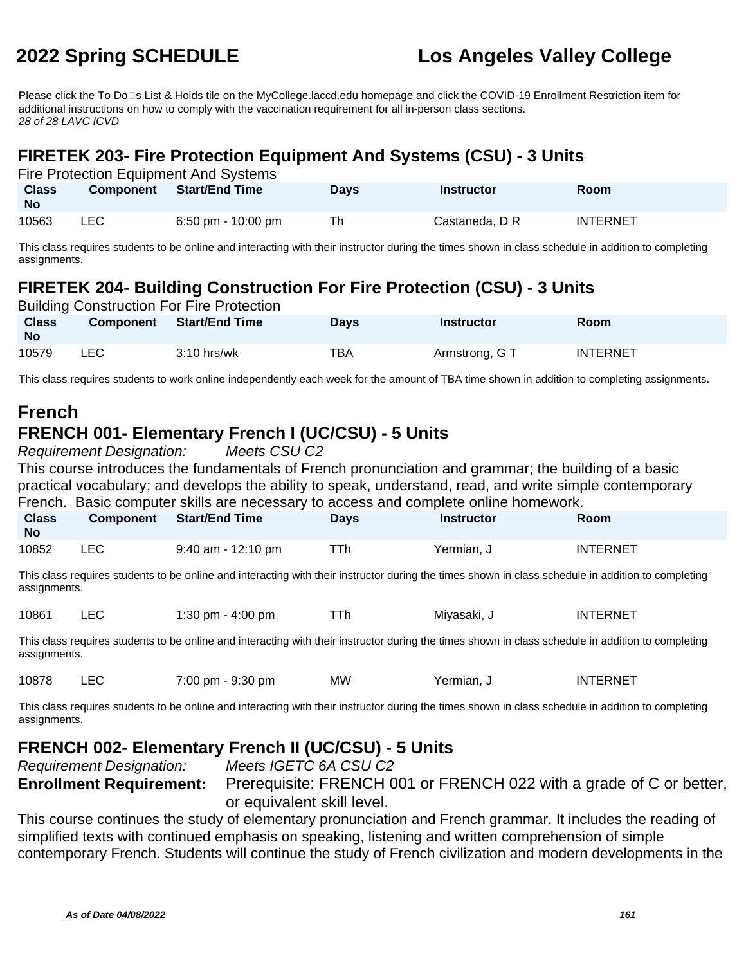Please click the To Do□s List & Holds tile on the MyCollege.laccd.edu homepage and click the COVID-19 Enrollment Restriction item for additional instructions on how to comply with the vaccination requirement for all in-person class sections. 28 of 28 LAVC ICVD

## **FIRETEK 203- Fire Protection Equipment And Systems (CSU) - 3 Units**

| Fire Protection Equipment And Systems |                  |                    |             |                |                 |  |  |  |
|---------------------------------------|------------------|--------------------|-------------|----------------|-----------------|--|--|--|
| <b>Class</b><br><b>No</b>             | <b>Component</b> | Start/End Time     | <b>Davs</b> | Instructor     | <b>Room</b>     |  |  |  |
| 10563                                 | LEC.             | 6:50 pm - 10:00 pm | Th          | Castaneda, D R | <b>INTERNET</b> |  |  |  |

This class requires students to be online and interacting with their instructor during the times shown in class schedule in addition to completing assignments.

# **FIRETEK 204- Building Construction For Fire Protection (CSU) - 3 Units**

| <b>Building Construction For Fire Protection</b> |      |                          |             |                   |                 |  |  |  |
|--------------------------------------------------|------|--------------------------|-------------|-------------------|-----------------|--|--|--|
| <b>Class</b><br><b>No</b>                        |      | Component Start/End Time | <b>Davs</b> | <b>Instructor</b> | <b>Room</b>     |  |  |  |
| 10579                                            | LEC. | $3:10$ hrs/wk            | ТВА         | Armstrong, G T    | <b>INTERNET</b> |  |  |  |

This class requires students to work online independently each week for the amount of TBA time shown in addition to completing assignments.

# **French**

# **FRENCH 001- Elementary French I (UC/CSU) - 5 Units**

Requirement Designation: Meets CSU C2

This course introduces the fundamentals of French pronunciation and grammar; the building of a basic practical vocabulary; and develops the ability to speak, understand, read, and write simple contemporary French. Basic computer skills are necessary to access and complete online homework.

| <b>Class</b><br><b>No</b> | <b>Component</b> | <b>Start/End Time</b> | Days | <b>Instructor</b> | Room            |
|---------------------------|------------------|-----------------------|------|-------------------|-----------------|
| 10852                     | LEC              | $9:40$ am - 12:10 pm  | ⊤Th  | Yermian, J        | <b>INTERNET</b> |

This class requires students to be online and interacting with their instructor during the times shown in class schedule in addition to completing assignments.

| 10861 | $-4:00 \text{ pm}$<br>:30 pm<br>$\sim$ | 1h | Mivasaki. | -------<br>IN<br><b>LERNE</b> |
|-------|----------------------------------------|----|-----------|-------------------------------|
|       |                                        |    |           |                               |

This class requires students to be online and interacting with their instructor during the times shown in class schedule in addition to completing assignments.

| 10878<br>ΜW<br>Yermian, J<br>7:00 pm - 9:30 pm<br>__ | <b>INTERNET</b> |
|------------------------------------------------------|-----------------|
|------------------------------------------------------|-----------------|

This class requires students to be online and interacting with their instructor during the times shown in class schedule in addition to completing

# **FRENCH 002- Elementary French II (UC/CSU) - 5 Units**

Requirement Designation: Meets IGETC 6A CSU C2

assignments.

**Enrollment Requirement:** Prerequisite: FRENCH 001 or FRENCH 022 with a grade of C or better, or equivalent skill level.

This course continues the study of elementary pronunciation and French grammar. It includes the reading of simplified texts with continued emphasis on speaking, listening and written comprehension of simple contemporary French. Students will continue the study of French civilization and modern developments in the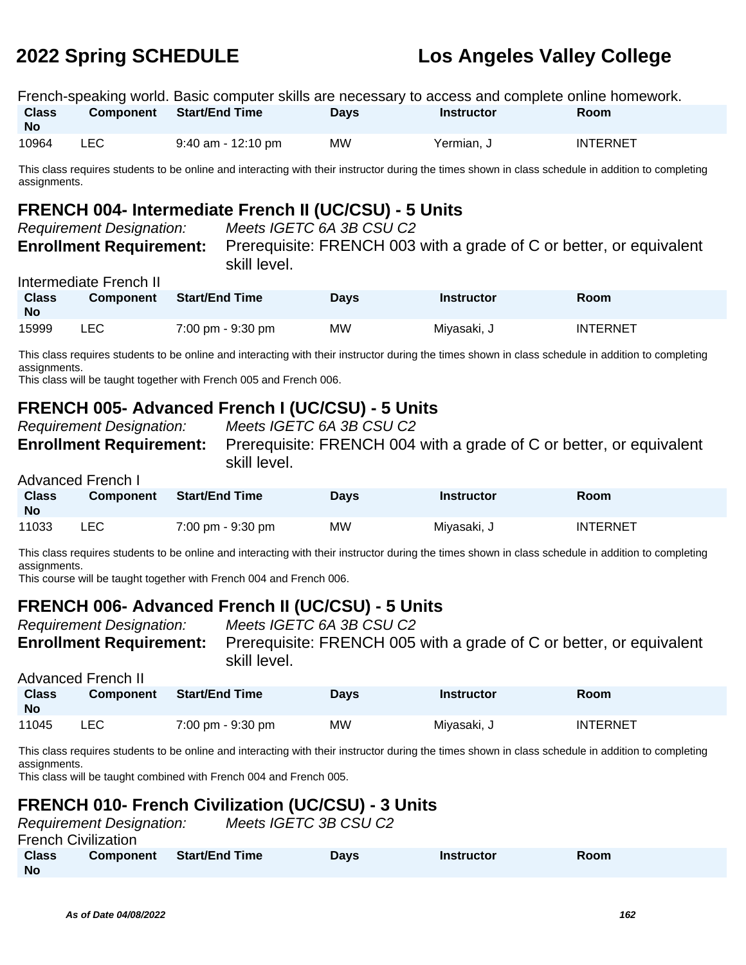|                    |      | French-speaking world. Basic computer skills are necessary to access and complete online homework. |             |                   |                 |
|--------------------|------|----------------------------------------------------------------------------------------------------|-------------|-------------------|-----------------|
| Class<br><b>No</b> |      | Component Start/End Time                                                                           | <b>Davs</b> | <b>Instructor</b> | <b>Room</b>     |
| 10964              | LEC. | 9:40 am - 12:10 pm                                                                                 | <b>MW</b>   | Yermian, J        | <b>INTERNET</b> |

This class requires students to be online and interacting with their instructor during the times shown in class schedule in addition to completing assignments.

# **FRENCH 004- Intermediate French II (UC/CSU) - 5 Units**<br>Requirement Designation: Meats IGETC 64.3B CSU C2

| Requirement Designation:       |
|--------------------------------|
| <b>Enrollment Requirement:</b> |

Meets IGETC 6A 3B CSU C2 Prerequisite: FRENCH 003 with a grade of C or better, or equivalent skill level.

### Intermediate French II

| <b>Class</b><br>No | <b>Component</b> | <b>Start/End Time</b> | <b>Davs</b> | <b>Instructor</b> | Room            |
|--------------------|------------------|-----------------------|-------------|-------------------|-----------------|
| 15999              | LEC              | 7:00 pm - 9:30 pm     | MW.         | Miyasaki, J       | <b>INTERNET</b> |

This class requires students to be online and interacting with their instructor during the times shown in class schedule in addition to completing assignments.

This class will be taught together with French 005 and French 006.

# **FRENCH 005- Advanced French I (UC/CSU) - 5 Units**

|  | kequirement Designation: |                        |  |
|--|--------------------------|------------------------|--|
|  |                          | Enrollment Reauirement |  |

Meets IGETC 6A 3B CSU C2

**Enrollment Requirement:** Prerequisite: FRENCH 004 with a grade of C or better, or equivalent skill level.

### Advanced French I

| <b>Class</b><br><b>No</b> | <b>Component</b> | <b>Start/End Time</b> | Days | <b>Instructor</b> | <b>Room</b>     |
|---------------------------|------------------|-----------------------|------|-------------------|-----------------|
| 11033                     | LEC              | 7:00 pm - 9:30 pm     | MW   | Miyasaki, J       | <b>INTERNET</b> |

This class requires students to be online and interacting with their instructor during the times shown in class schedule in addition to completing assignments.

This course will be taught together with French 004 and French 006.

## **FRENCH 006- Advanced French II (UC/CSU) - 5 Units**

Advanced French II

Requirement Designation: Meets IGETC 6A 3B CSU C2

**Enrollment Requirement:** Prerequisite: FRENCH 005 with a grade of C or better, or equivalent skill level.

| Auvanceu Fiench II |                  |                                     |             |             |                 |  |  |
|--------------------|------------------|-------------------------------------|-------------|-------------|-----------------|--|--|
| <b>Class</b><br>No | <b>Component</b> | <b>Start/End Time</b>               | <b>Davs</b> | Instructor  | Room            |  |  |
| 11045              | LEC.             | $7:00 \text{ pm} - 9:30 \text{ pm}$ | <b>MW</b>   | Miyasaki, J | <b>INTERNET</b> |  |  |

This class requires students to be online and interacting with their instructor during the times shown in class schedule in addition to completing assignments.

This class will be taught combined with French 004 and French 005.

# **FRENCH 010- French Civilization (UC/CSU) - 3 Units**

|                           | <b>Requirement Designation:</b> |                       | Meets IGETC 3B CSU C2 |            |      |  |
|---------------------------|---------------------------------|-----------------------|-----------------------|------------|------|--|
| French Civilization       |                                 |                       |                       |            |      |  |
| <b>Class</b><br><b>No</b> | <b>Component</b>                | <b>Start/End Time</b> | <b>Davs</b>           | Instructor | Room |  |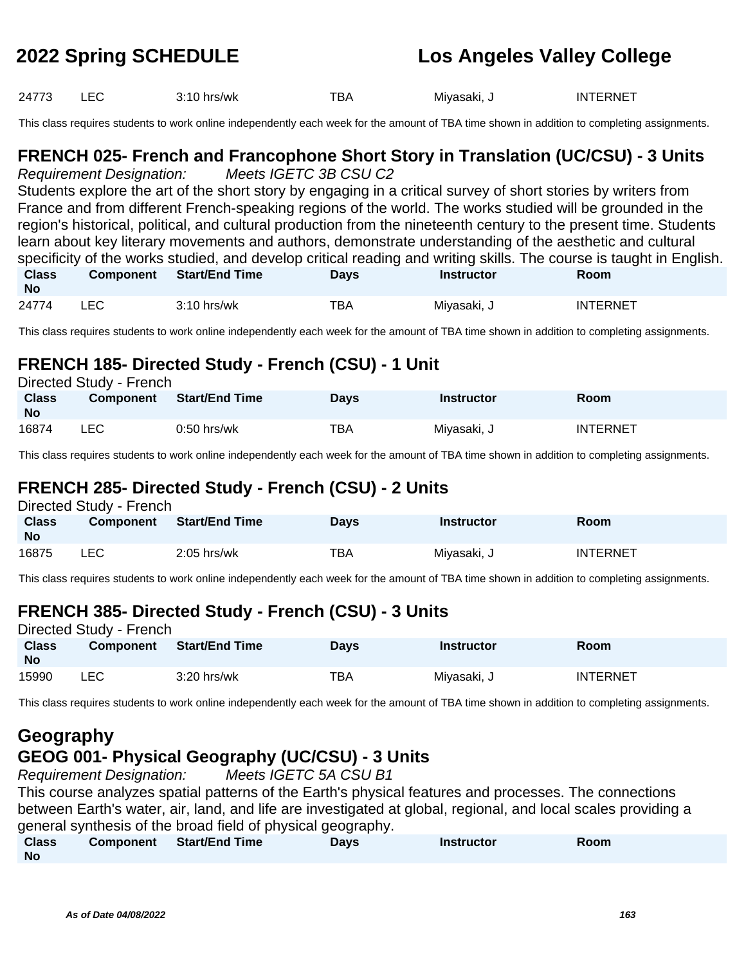24773 LEC 3:10 hrs/wk TBA Miyasaki, J INTERNET

This class requires students to work online independently each week for the amount of TBA time shown in addition to completing assignments.

### **FRENCH 025- French and Francophone Short Story in Translation (UC/CSU) - 3 Units** Requirement Designation: Meets IGETC 3B CSU C2

Students explore the art of the short story by engaging in a critical survey of short stories by writers from France and from different French-speaking regions of the world. The works studied will be grounded in the region's historical, political, and cultural production from the nineteenth century to the present time. Students learn about key literary movements and authors, demonstrate understanding of the aesthetic and cultural specificity of the works studied, and develop critical reading and writing skills. The course is taught in English. **Class No Component Start/End Time Days Instructor Room**

| 24774 |  | $3:10$ hrs/wk | TBA | Mivasaki. | <b>INTERNET</b> |
|-------|--|---------------|-----|-----------|-----------------|
|-------|--|---------------|-----|-----------|-----------------|

This class requires students to work online independently each week for the amount of TBA time shown in addition to completing assignments.

### **FRENCH 185- Directed Study - French (CSU) - 1 Unit** Directed Study - French

| Directed Study - French   |                  |                |             |                   |                 |  |
|---------------------------|------------------|----------------|-------------|-------------------|-----------------|--|
| <b>Class</b><br><b>No</b> | <b>Component</b> | Start/End Time | <b>Davs</b> | <b>Instructor</b> | <b>Room</b>     |  |
| 16874                     | LEC              | $0:50$ hrs/wk  | TBA         | Miyasaki, J       | <b>INTERNET</b> |  |

This class requires students to work online independently each week for the amount of TBA time shown in addition to completing assignments.

### **FRENCH 285- Directed Study - French (CSU) - 2 Units**  $\sum_{i=1}^{n}$

| Directed Study - French   |                  |                       |             |                   |                 |  |  |
|---------------------------|------------------|-----------------------|-------------|-------------------|-----------------|--|--|
| <b>Class</b><br><b>No</b> | <b>Component</b> | <b>Start/End Time</b> | <b>Davs</b> | <b>Instructor</b> | Room            |  |  |
| 16875                     | LEC              | $2:05$ hrs/wk         | ТВА         | Miyasaki, J       | <b>INTERNET</b> |  |  |

This class requires students to work online independently each week for the amount of TBA time shown in addition to completing assignments.

# **FRENCH 385- Directed Study - French (CSU) - 3 Units**

| Directed Study - French |                  |                |             |             |                 |  |  |
|-------------------------|------------------|----------------|-------------|-------------|-----------------|--|--|
| <b>Class</b><br>No      | <b>Component</b> | Start/End Time | <b>Davs</b> | Instructor  | Room            |  |  |
| 15990                   | LEC.             | $3:20$ hrs/wk  | ТВА         | Miyasaki, J | <b>INTERNET</b> |  |  |

This class requires students to work online independently each week for the amount of TBA time shown in addition to completing assignments.

# **Geography**

# **GEOG 001- Physical Geography (UC/CSU) - 3 Units**

Requirement Designation: Meets IGETC 5A CSU B1

This course analyzes spatial patterns of the Earth's physical features and processes. The connections between Earth's water, air, land, and life are investigated at global, regional, and local scales providing a general synthesis of the broad field of physical geography.

| <b>Class</b> | Component Start/End Time | Days | <b>Instructor</b> | Room |
|--------------|--------------------------|------|-------------------|------|
| <b>No</b>    |                          |      |                   |      |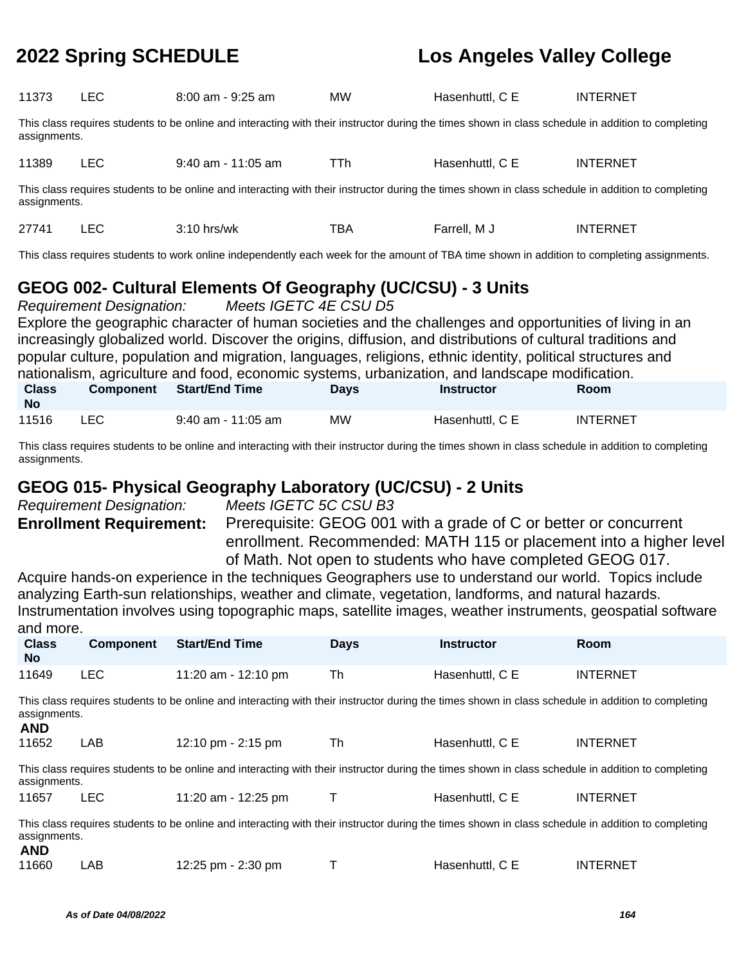| 11373                                                                                                                                                              | <b>LEC</b> | $8:00$ am - $9:25$ am | <b>MW</b>  | Hasenhuttl, C E | <b>INTERNET</b> |  |  |  |
|--------------------------------------------------------------------------------------------------------------------------------------------------------------------|------------|-----------------------|------------|-----------------|-----------------|--|--|--|
| This class requires students to be online and interacting with their instructor during the times shown in class schedule in addition to completing<br>assignments. |            |                       |            |                 |                 |  |  |  |
| 11389                                                                                                                                                              | <b>LEC</b> | $9:40$ am - 11:05 am  | <b>TTh</b> | Hasenhuttl, C E | <b>INTERNET</b> |  |  |  |
| This class requires students to be online and interacting with their instructor during the times shown in class schedule in addition to completing<br>assignments. |            |                       |            |                 |                 |  |  |  |
| 27741                                                                                                                                                              | <b>LEC</b> | $3:10$ hrs/wk         | <b>TBA</b> | Farrell, M J    | <b>INTERNET</b> |  |  |  |
| This class requires students to work online independently each week for the amount of TBA time shown in addition to completing assignments.                        |            |                       |            |                 |                 |  |  |  |

# **GEOG 002- Cultural Elements Of Geography (UC/CSU) - 3 Units**

Requirement Designation: Meets IGETC 4E CSU D5 Explore the geographic character of human societies and the challenges and opportunities of living in an increasingly globalized world. Discover the origins, diffusion, and distributions of cultural traditions and popular culture, population and migration, languages, religions, ethnic identity, political structures and nationalism, agriculture and food, economic systems, urbanization, and landscape modification.

| Class<br><b>No</b> | <b>Component</b> | <b>Start/End Time</b> | Davs | <b>Instructor</b> | <b>Room</b>     |
|--------------------|------------------|-----------------------|------|-------------------|-----------------|
| 11516              | <b>LEC</b>       | $9:40$ am - 11:05 am  | MW   | Hasenhuttl, C E   | <b>INTERNET</b> |

This class requires students to be online and interacting with their instructor during the times shown in class schedule in addition to completing assignments.

# **GEOG 015- Physical Geography Laboratory (UC/CSU) - 2 Units**

Requirement Designation: Meets IGETC 5C CSU B3

**Enrollment Requirement:** Prerequisite: GEOG 001 with a grade of C or better or concurrent enrollment. Recommended: MATH 115 or placement into a higher level of Math. Not open to students who have completed GEOG 017.

Acquire hands-on experience in the techniques Geographers use to understand our world. Topics include analyzing Earth-sun relationships, weather and climate, vegetation, landforms, and natural hazards. Instrumentation involves using topographic maps, satellite images, weather instruments, geospatial software and more.

| <b>Class</b><br><b>No</b>                                                                                                                                                        | <b>Component</b>                                                                                                                                                   | <b>Start/End Time</b>                                                                                                                              | <b>Days</b> | <b>Instructor</b> | <b>Room</b>     |  |  |  |
|----------------------------------------------------------------------------------------------------------------------------------------------------------------------------------|--------------------------------------------------------------------------------------------------------------------------------------------------------------------|----------------------------------------------------------------------------------------------------------------------------------------------------|-------------|-------------------|-----------------|--|--|--|
| 11649                                                                                                                                                                            | <b>LEC</b>                                                                                                                                                         | 11:20 am - 12:10 pm                                                                                                                                | Th          | Hasenhuttl, C E   | <b>INTERNET</b> |  |  |  |
| <b>AND</b>                                                                                                                                                                       | This class requires students to be online and interacting with their instructor during the times shown in class schedule in addition to completing<br>assignments. |                                                                                                                                                    |             |                   |                 |  |  |  |
| 11652                                                                                                                                                                            | LAB                                                                                                                                                                | 12:10 pm - 2:15 pm                                                                                                                                 | Th          | Hasenhuttl, C E   | <b>INTERNET</b> |  |  |  |
| assignments.                                                                                                                                                                     |                                                                                                                                                                    | This class requires students to be online and interacting with their instructor during the times shown in class schedule in addition to completing |             |                   |                 |  |  |  |
| 11657                                                                                                                                                                            | <b>LEC</b>                                                                                                                                                         | 11:20 am - 12:25 pm                                                                                                                                |             | Hasenhuttl, C E   | <b>INTERNET</b> |  |  |  |
| This class requires students to be online and interacting with their instructor during the times shown in class schedule in addition to completing<br>assignments.<br><b>AND</b> |                                                                                                                                                                    |                                                                                                                                                    |             |                   |                 |  |  |  |
| 11660                                                                                                                                                                            | LAB                                                                                                                                                                | 12:25 pm - 2:30 pm                                                                                                                                 |             | Hasenhuttl, C E   | <b>INTERNET</b> |  |  |  |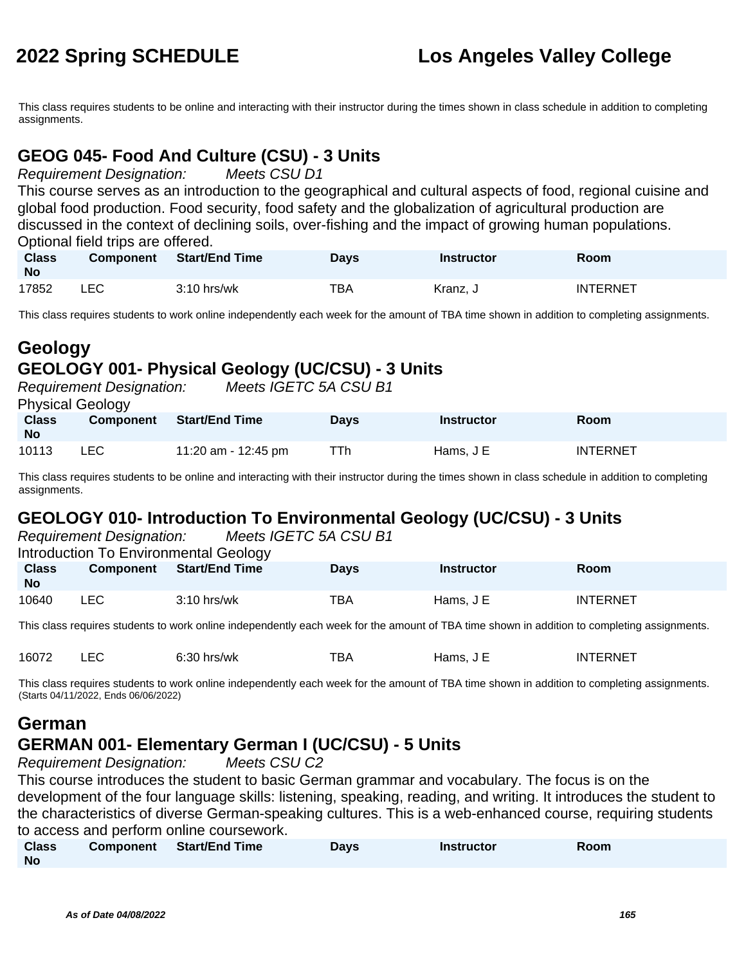This class requires students to be online and interacting with their instructor during the times shown in class schedule in addition to completing assignments.

## **GEOG 045- Food And Culture (CSU) - 3 Units**

Requirement Designation: Meets CSU D1

This course serves as an introduction to the geographical and cultural aspects of food, regional cuisine and global food production. Food security, food safety and the globalization of agricultural production are discussed in the context of declining soils, over-fishing and the impact of growing human populations. Optional field trips are offered.

| <b>Class</b><br><b>No</b> | <b>Component</b> | Start/End Time | Days | Instructor | Room            |
|---------------------------|------------------|----------------|------|------------|-----------------|
| 17852                     | LEC              | $3:10$ hrs/wk  | TBA  | Kranz. J   | <b>INTERNET</b> |

This class requires students to work online independently each week for the amount of TBA time shown in addition to completing assignments.

|                           | Geology<br>GEOLOGY 001- Physical Geology (UC/CSU) - 3 Units |                       |             |                   |                 |  |  |  |
|---------------------------|-------------------------------------------------------------|-----------------------|-------------|-------------------|-----------------|--|--|--|
|                           | <b>Requirement Designation:</b><br><b>Physical Geology</b>  | Meets IGETC 5A CSU B1 |             |                   |                 |  |  |  |
| <b>Class</b><br><b>No</b> | <b>Component</b>                                            | <b>Start/End Time</b> | <b>Days</b> | <b>Instructor</b> | <b>Room</b>     |  |  |  |
| 10113                     | LEC.                                                        | 11:20 am - 12:45 pm   | TTh         | Hams, $JE$        | <b>INTERNET</b> |  |  |  |

This class requires students to be online and interacting with their instructor during the times shown in class schedule in addition to completing assignments.

# **GEOLOGY 010- Introduction To Environmental Geology (UC/CSU) - 3 Units**

| Meets IGETC 5A CSU B1<br><b>Requirement Designation:</b> |                                       |                       |             |                   |                 |  |  |
|----------------------------------------------------------|---------------------------------------|-----------------------|-------------|-------------------|-----------------|--|--|
|                                                          | Introduction To Environmental Geology |                       |             |                   |                 |  |  |
| <b>Class</b><br><b>No</b>                                | <b>Component</b>                      | <b>Start/End Time</b> | <b>Davs</b> | <b>Instructor</b> | <b>Room</b>     |  |  |
| 10640                                                    | LEC.                                  | $3:10$ hrs/wk         | TBA         | Hams, $JE$        | <b>INTERNET</b> |  |  |

This class requires students to work online independently each week for the amount of TBA time shown in addition to completing assignments.

| 16072 | $\Gamma$<br>-- | 6:30 '<br>hrs/wk | <b>TBA</b> | Hams.<br>$\sim$ | <b>INTERNET</b> |
|-------|----------------|------------------|------------|-----------------|-----------------|
|       |                |                  |            |                 |                 |

This class requires students to work online independently each week for the amount of TBA time shown in addition to completing assignments. (Starts 04/11/2022, Ends 06/06/2022)

### **German GERMAN 001- Elementary German I (UC/CSU) - 5 Units**

Requirement Designation: Meets CSU C2

This course introduces the student to basic German grammar and vocabulary. The focus is on the development of the four language skills: listening, speaking, reading, and writing. It introduces the student to the characteristics of diverse German-speaking cultures. This is a web-enhanced course, requiring students to access and perform online coursework.

| <b>Class</b> | Component | <b>Start/End Time</b> | Days | <b>Instructor</b> | Room |
|--------------|-----------|-----------------------|------|-------------------|------|
| <b>No</b>    |           |                       |      |                   |      |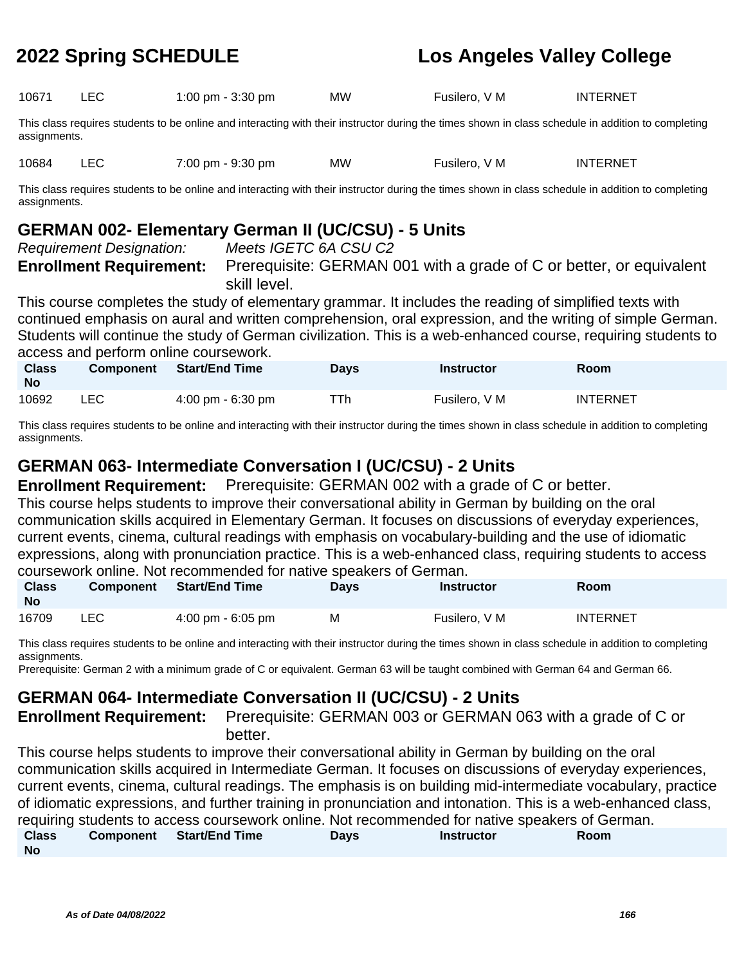| 10671 | 1:00 pm - 3:30 pm | <b>MW</b> | Fusilero, V M | <b>INTERNET</b> |
|-------|-------------------|-----------|---------------|-----------------|
|       |                   |           |               |                 |

This class requires students to be online and interacting with their instructor during the times shown in class schedule in addition to completing assignments.

10684 LEC 7:00 pm - 9:30 pm MW Fusilero, V M INTERNET

This class requires students to be online and interacting with their instructor during the times shown in class schedule in addition to completing assignments.

## **GERMAN 002- Elementary German II (UC/CSU) - 5 Units**

Requirement Designation: Meets IGETC 6A CSU C2

**Enrollment Requirement:** Prerequisite: GERMAN 001 with a grade of C or better, or equivalent

skill level.

This course completes the study of elementary grammar. It includes the reading of simplified texts with continued emphasis on aural and written comprehension, oral expression, and the writing of simple German. Students will continue the study of German civilization. This is a web-enhanced course, requiring students to access and perform online coursework.

| <b>Class</b><br><b>No</b> | <b>Component</b> | Start/End Time                      | <b>Days</b> | <b>Instructor</b> | Room            |
|---------------------------|------------------|-------------------------------------|-------------|-------------------|-----------------|
| 10692                     | LEC.             | $4:00 \text{ pm} - 6:30 \text{ pm}$ | ⊤Th         | Fusilero, V M     | <b>INTERNET</b> |

This class requires students to be online and interacting with their instructor during the times shown in class schedule in addition to completing assignments.

## **GERMAN 063- Intermediate Conversation I (UC/CSU) - 2 Units**

**Enrollment Requirement:** Prerequisite: GERMAN 002 with a grade of C or better. This course helps students to improve their conversational ability in German by building on the oral communication skills acquired in Elementary German. It focuses on discussions of everyday experiences, current events, cinema, cultural readings with emphasis on vocabulary-building and the use of idiomatic expressions, along with pronunciation practice. This is a web-enhanced class, requiring students to access coursework online. Not recommended for native speakers of German.

| <b>Class</b><br><b>No</b> |      | Component Start/End Time            | <b>Days</b> | <b>Instructor</b> | <b>Room</b> |
|---------------------------|------|-------------------------------------|-------------|-------------------|-------------|
| 16709                     | ∟EC. | $4:00 \text{ pm} - 6:05 \text{ pm}$ | M           | Fusilero, V M     | INTERNET    |

This class requires students to be online and interacting with their instructor during the times shown in class schedule in addition to completing assignments.

Prerequisite: German 2 with a minimum grade of C or equivalent. German 63 will be taught combined with German 64 and German 66.

# **GERMAN 064- Intermediate Conversation II (UC/CSU) - 2 Units**

**Enrollment Requirement:** Prerequisite: GERMAN 003 or GERMAN 063 with a grade of C or better.

This course helps students to improve their conversational ability in German by building on the oral communication skills acquired in Intermediate German. It focuses on discussions of everyday experiences, current events, cinema, cultural readings. The emphasis is on building mid-intermediate vocabulary, practice of idiomatic expressions, and further training in pronunciation and intonation. This is a web-enhanced class, requiring students to access coursework online. Not recommended for native speakers of German. **Class No Component Start/End Time Days Instructor Room**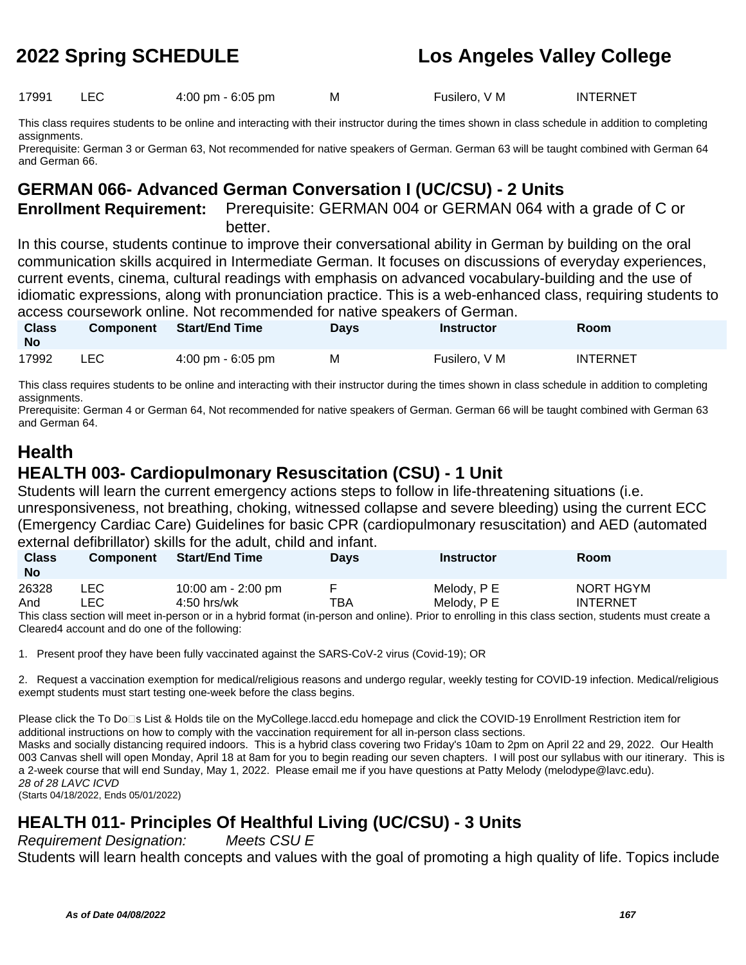17991 LEC 4:00 pm - 6:05 pm M Fusilero, V M INTERNET

This class requires students to be online and interacting with their instructor during the times shown in class schedule in addition to completing assignments.

Prerequisite: German 3 or German 63, Not recommended for native speakers of German. German 63 will be taught combined with German 64 and German 66.

## **GERMAN 066- Advanced German Conversation I (UC/CSU) - 2 Units**

**Enrollment Requirement:** Prerequisite: GERMAN 004 or GERMAN 064 with a grade of C or better.

In this course, students continue to improve their conversational ability in German by building on the oral communication skills acquired in Intermediate German. It focuses on discussions of everyday experiences, current events, cinema, cultural readings with emphasis on advanced vocabulary-building and the use of idiomatic expressions, along with pronunciation practice. This is a web-enhanced class, requiring students to access coursework online. Not recommended for native speakers of German.

| <b>Class</b><br>No | <b>Component</b> | <b>Start/End Time</b>               | Days | Instructor    | <b>Room</b>     |  |
|--------------------|------------------|-------------------------------------|------|---------------|-----------------|--|
| 17992              | LEC              | $4:00 \text{ pm} - 6:05 \text{ pm}$ | M    | Fusilero, V M | <b>INTERNET</b> |  |

This class requires students to be online and interacting with their instructor during the times shown in class schedule in addition to completing assignments.

Prerequisite: German 4 or German 64, Not recommended for native speakers of German. German 66 will be taught combined with German 63 and German 64.

# **Health**

### **HEALTH 003- Cardiopulmonary Resuscitation (CSU) - 1 Unit**

Students will learn the current emergency actions steps to follow in life-threatening situations (i.e. unresponsiveness, not breathing, choking, witnessed collapse and severe bleeding) using the current ECC (Emergency Cardiac Care) Guidelines for basic CPR (cardiopulmonary resuscitation) and AED (automated external defibrillator) skills for the adult, child and infant.

| <b>Class</b><br><b>No</b> | <b>Component</b> | <b>Start/End Time</b> | <b>Days</b> | <b>Instructor</b> | Room            |
|---------------------------|------------------|-----------------------|-------------|-------------------|-----------------|
| 26328                     | LEC              | 10:00 am - 2:00 pm    |             | Melody, P E       | NORT HGYM       |
| And                       | ∟EC-             | $4:50$ hrs/wk         | TBA         | Melodv. P E       | <b>INTERNET</b> |

This class section will meet in-person or in a hybrid format (in-person and online). Prior to enrolling in this class section, students must create a Cleared4 account and do one of the following:

1. Present proof they have been fully vaccinated against the SARS-CoV-2 virus (Covid-19); OR

2. Request a vaccination exemption for medical/religious reasons and undergo regular, weekly testing for COVID-19 infection. Medical/religious exempt students must start testing one-week before the class begins.

Please click the To Do□s List & Holds tile on the MyCollege.laccd.edu homepage and click the COVID-19 Enrollment Restriction item for additional instructions on how to comply with the vaccination requirement for all in-person class sections. Masks and socially distancing required indoors. This is a hybrid class covering two Friday's 10am to 2pm on April 22 and 29, 2022. Our Health

003 Canvas shell will open Monday, April 18 at 8am for you to begin reading our seven chapters. I will post our syllabus with our itinerary. This is a 2-week course that will end Sunday, May 1, 2022. Please email me if you have questions at Patty Melody (melodype@lavc.edu). 28 of 28 LAVC ICVD

(Starts 04/18/2022, Ends 05/01/2022)

# **HEALTH 011- Principles Of Healthful Living (UC/CSU) - 3 Units**

Requirement Designation: Meets CSU E

Students will learn health concepts and values with the goal of promoting a high quality of life. Topics include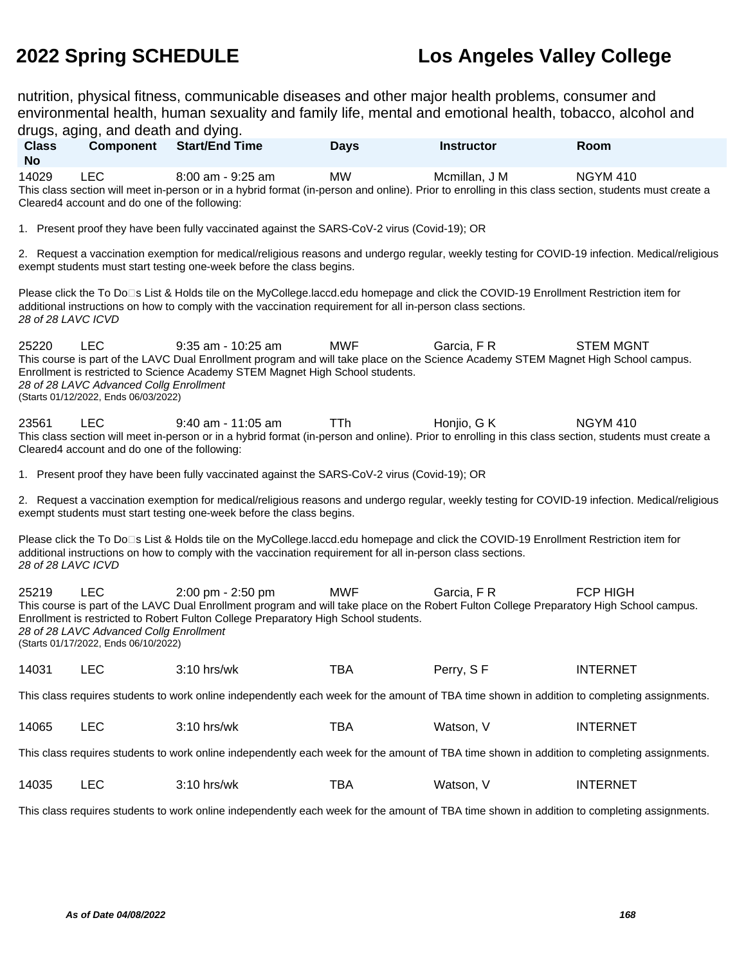nutrition, physical fitness, communicable diseases and other major health problems, consumer and environmental health, human sexuality and family life, mental and emotional health, tobacco, alcohol and

| drugs, aging, and death and dying.                                                                                                          |                                                                                                                                                                                                                                                                                                                                                                                                      |                                                                                                                                                                                                                                                      |             |                   |                                                                                                                                                |  |  |  |
|---------------------------------------------------------------------------------------------------------------------------------------------|------------------------------------------------------------------------------------------------------------------------------------------------------------------------------------------------------------------------------------------------------------------------------------------------------------------------------------------------------------------------------------------------------|------------------------------------------------------------------------------------------------------------------------------------------------------------------------------------------------------------------------------------------------------|-------------|-------------------|------------------------------------------------------------------------------------------------------------------------------------------------|--|--|--|
| <b>Class</b><br><b>No</b>                                                                                                                   | Component                                                                                                                                                                                                                                                                                                                                                                                            | <b>Start/End Time</b>                                                                                                                                                                                                                                | <b>Days</b> | <b>Instructor</b> | Room                                                                                                                                           |  |  |  |
| 14029                                                                                                                                       | <b>LEC</b><br>Cleared4 account and do one of the following:                                                                                                                                                                                                                                                                                                                                          | $8:00$ am - $9:25$ am<br>This class section will meet in-person or in a hybrid format (in-person and online). Prior to enrolling in this class section, students must create a                                                                       | <b>MW</b>   | Mcmillan, J M     | <b>NGYM 410</b>                                                                                                                                |  |  |  |
|                                                                                                                                             |                                                                                                                                                                                                                                                                                                                                                                                                      | 1. Present proof they have been fully vaccinated against the SARS-CoV-2 virus (Covid-19); OR                                                                                                                                                         |             |                   |                                                                                                                                                |  |  |  |
|                                                                                                                                             |                                                                                                                                                                                                                                                                                                                                                                                                      | exempt students must start testing one-week before the class begins.                                                                                                                                                                                 |             |                   | 2. Request a vaccination exemption for medical/religious reasons and undergo regular, weekly testing for COVID-19 infection. Medical/religious |  |  |  |
| 28 of 28 LAVC ICVD                                                                                                                          |                                                                                                                                                                                                                                                                                                                                                                                                      | Please click the To Do⊡s List & Holds tile on the MyCollege.laccd.edu homepage and click the COVID-19 Enrollment Restriction item for<br>additional instructions on how to comply with the vaccination requirement for all in-person class sections. |             |                   |                                                                                                                                                |  |  |  |
| 25220                                                                                                                                       | <b>LEC</b><br>28 of 28 LAVC Advanced Collg Enrollment<br>(Starts 01/12/2022, Ends 06/03/2022)                                                                                                                                                                                                                                                                                                        | 9:35 am - 10:25 am<br>This course is part of the LAVC Dual Enrollment program and will take place on the Science Academy STEM Magnet High School campus.<br>Enrollment is restricted to Science Academy STEM Magnet High School students.            | <b>MWF</b>  | Garcia, FR        | <b>STEM MGNT</b>                                                                                                                               |  |  |  |
| 23561                                                                                                                                       | <b>LEC</b><br>Cleared4 account and do one of the following:                                                                                                                                                                                                                                                                                                                                          | 9:40 am - 11:05 am<br>This class section will meet in-person or in a hybrid format (in-person and online). Prior to enrolling in this class section, students must create a                                                                          | <b>TTh</b>  | Honjio, G K       | <b>NGYM 410</b>                                                                                                                                |  |  |  |
|                                                                                                                                             |                                                                                                                                                                                                                                                                                                                                                                                                      | 1. Present proof they have been fully vaccinated against the SARS-CoV-2 virus (Covid-19); OR                                                                                                                                                         |             |                   |                                                                                                                                                |  |  |  |
|                                                                                                                                             |                                                                                                                                                                                                                                                                                                                                                                                                      | exempt students must start testing one-week before the class begins.                                                                                                                                                                                 |             |                   | 2. Request a vaccination exemption for medical/religious reasons and undergo regular, weekly testing for COVID-19 infection. Medical/religious |  |  |  |
| 28 of 28 LAVC ICVD                                                                                                                          |                                                                                                                                                                                                                                                                                                                                                                                                      | Please click the To Do⊡s List & Holds tile on the MyCollege.laccd.edu homepage and click the COVID-19 Enrollment Restriction item for<br>additional instructions on how to comply with the vaccination requirement for all in-person class sections. |             |                   |                                                                                                                                                |  |  |  |
| 25219                                                                                                                                       | <b>LEC</b><br>2:00 pm - 2:50 pm<br><b>MWF</b><br>Garcia, FR<br><b>FCP HIGH</b><br>This course is part of the LAVC Dual Enrollment program and will take place on the Robert Fulton College Preparatory High School campus.<br>Enrollment is restricted to Robert Fulton College Preparatory High School students.<br>28 of 28 LAVC Advanced Collg Enrollment<br>(Starts 01/17/2022, Ends 06/10/2022) |                                                                                                                                                                                                                                                      |             |                   |                                                                                                                                                |  |  |  |
| 14031                                                                                                                                       | LEC                                                                                                                                                                                                                                                                                                                                                                                                  | $3:10$ hrs/wk                                                                                                                                                                                                                                        | <b>TBA</b>  | Perry, SF         | <b>INTERNET</b>                                                                                                                                |  |  |  |
|                                                                                                                                             | This class requires students to work online independently each week for the amount of TBA time shown in addition to completing assignments.                                                                                                                                                                                                                                                          |                                                                                                                                                                                                                                                      |             |                   |                                                                                                                                                |  |  |  |
| 14065                                                                                                                                       | <b>LEC</b>                                                                                                                                                                                                                                                                                                                                                                                           | 3:10 hrs/wk                                                                                                                                                                                                                                          | <b>TBA</b>  | Watson, V         | <b>INTERNET</b>                                                                                                                                |  |  |  |
|                                                                                                                                             | This class requires students to work online independently each week for the amount of TBA time shown in addition to completing assignments.                                                                                                                                                                                                                                                          |                                                                                                                                                                                                                                                      |             |                   |                                                                                                                                                |  |  |  |
| 14035                                                                                                                                       | <b>LEC</b>                                                                                                                                                                                                                                                                                                                                                                                           | 3:10 hrs/wk                                                                                                                                                                                                                                          | <b>TBA</b>  | Watson, V         | <b>INTERNET</b>                                                                                                                                |  |  |  |
| This class requires students to work online independently each week for the amount of TBA time shown in addition to completing assignments. |                                                                                                                                                                                                                                                                                                                                                                                                      |                                                                                                                                                                                                                                                      |             |                   |                                                                                                                                                |  |  |  |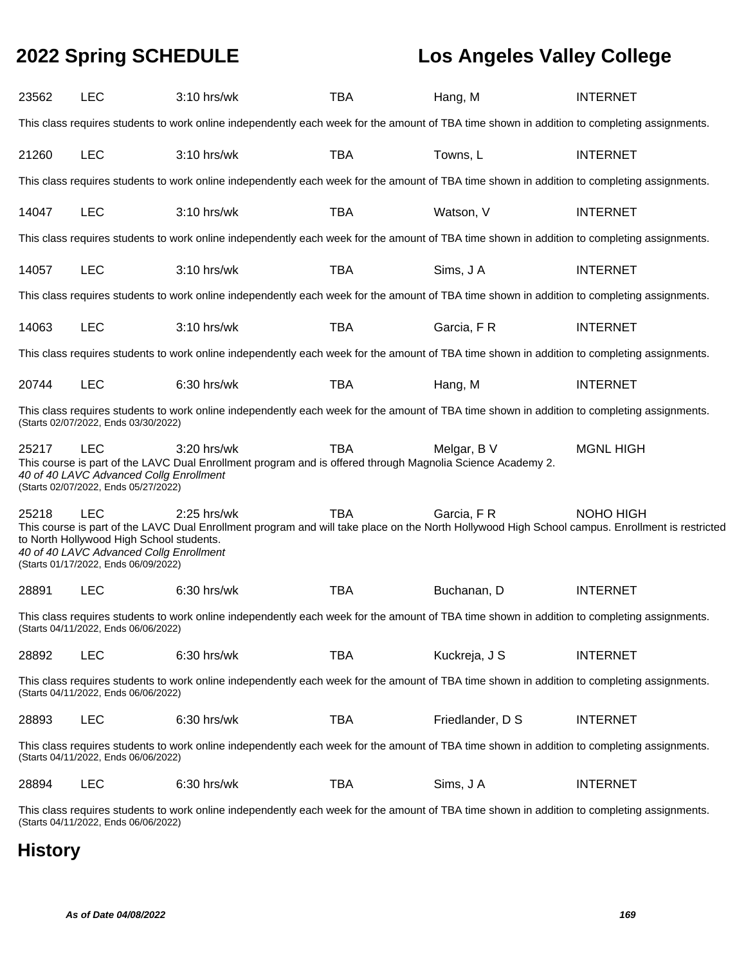| 23562                                                                                                                                                                               | <b>LEC</b>                                                                                                                                                                          | 3:10 hrs/wk                                                                                                                                 | <b>TBA</b> | Hang, M          | <b>INTERNET</b>                                                                                                                                              |  |  |  |
|-------------------------------------------------------------------------------------------------------------------------------------------------------------------------------------|-------------------------------------------------------------------------------------------------------------------------------------------------------------------------------------|---------------------------------------------------------------------------------------------------------------------------------------------|------------|------------------|--------------------------------------------------------------------------------------------------------------------------------------------------------------|--|--|--|
|                                                                                                                                                                                     |                                                                                                                                                                                     | This class requires students to work online independently each week for the amount of TBA time shown in addition to completing assignments. |            |                  |                                                                                                                                                              |  |  |  |
| 21260                                                                                                                                                                               | <b>LEC</b>                                                                                                                                                                          | 3:10 hrs/wk                                                                                                                                 | <b>TBA</b> | Towns, L         | <b>INTERNET</b>                                                                                                                                              |  |  |  |
|                                                                                                                                                                                     |                                                                                                                                                                                     | This class requires students to work online independently each week for the amount of TBA time shown in addition to completing assignments. |            |                  |                                                                                                                                                              |  |  |  |
| 14047                                                                                                                                                                               | <b>LEC</b>                                                                                                                                                                          | 3:10 hrs/wk                                                                                                                                 | <b>TBA</b> | Watson, V        | <b>INTERNET</b>                                                                                                                                              |  |  |  |
|                                                                                                                                                                                     |                                                                                                                                                                                     | This class requires students to work online independently each week for the amount of TBA time shown in addition to completing assignments. |            |                  |                                                                                                                                                              |  |  |  |
| 14057                                                                                                                                                                               | <b>LEC</b>                                                                                                                                                                          | 3:10 hrs/wk                                                                                                                                 | <b>TBA</b> | Sims, J A        | <b>INTERNET</b>                                                                                                                                              |  |  |  |
|                                                                                                                                                                                     |                                                                                                                                                                                     | This class requires students to work online independently each week for the amount of TBA time shown in addition to completing assignments. |            |                  |                                                                                                                                                              |  |  |  |
| 14063                                                                                                                                                                               | <b>LEC</b>                                                                                                                                                                          | 3:10 hrs/wk                                                                                                                                 | <b>TBA</b> | Garcia, F R      | <b>INTERNET</b>                                                                                                                                              |  |  |  |
|                                                                                                                                                                                     |                                                                                                                                                                                     | This class requires students to work online independently each week for the amount of TBA time shown in addition to completing assignments. |            |                  |                                                                                                                                                              |  |  |  |
| 20744                                                                                                                                                                               | <b>LEC</b>                                                                                                                                                                          | 6:30 hrs/wk                                                                                                                                 | <b>TBA</b> | Hang, M          | <b>INTERNET</b>                                                                                                                                              |  |  |  |
|                                                                                                                                                                                     | (Starts 02/07/2022, Ends 03/30/2022)                                                                                                                                                | This class requires students to work online independently each week for the amount of TBA time shown in addition to completing assignments. |            |                  |                                                                                                                                                              |  |  |  |
| 25217                                                                                                                                                                               | <b>LEC</b><br>40 of 40 LAVC Advanced Collg Enrollment<br>(Starts 02/07/2022, Ends 05/27/2022)                                                                                       | 3:20 hrs/wk<br>This course is part of the LAVC Dual Enrollment program and is offered through Magnolia Science Academy 2.                   | <b>TBA</b> | Melgar, B V      | <b>MGNL HIGH</b>                                                                                                                                             |  |  |  |
| 25218                                                                                                                                                                               | <b>LEC</b><br>to North Hollywood High School students.<br>40 of 40 LAVC Advanced Collg Enrollment<br>(Starts 01/17/2022, Ends 06/09/2022)                                           | $2:25$ hrs/wk                                                                                                                               | <b>TBA</b> | Garcia, FR       | NOHO HIGH<br>This course is part of the LAVC Dual Enrollment program and will take place on the North Hollywood High School campus. Enrollment is restricted |  |  |  |
| 28891                                                                                                                                                                               | <b>LEC</b>                                                                                                                                                                          | 6:30 hrs/wk                                                                                                                                 | <b>TBA</b> | Buchanan, D      | <b>INTERNET</b>                                                                                                                                              |  |  |  |
|                                                                                                                                                                                     | (Starts 04/11/2022, Ends 06/06/2022)                                                                                                                                                | This class requires students to work online independently each week for the amount of TBA time shown in addition to completing assignments. |            |                  |                                                                                                                                                              |  |  |  |
| 28892                                                                                                                                                                               | <b>LEC</b>                                                                                                                                                                          | $6:30$ hrs/wk                                                                                                                               | <b>TBA</b> | Kuckreja, J S    | <b>INTERNET</b>                                                                                                                                              |  |  |  |
|                                                                                                                                                                                     | This class requires students to work online independently each week for the amount of TBA time shown in addition to completing assignments.<br>(Starts 04/11/2022, Ends 06/06/2022) |                                                                                                                                             |            |                  |                                                                                                                                                              |  |  |  |
| 28893                                                                                                                                                                               | <b>LEC</b>                                                                                                                                                                          | 6:30 hrs/wk                                                                                                                                 | <b>TBA</b> | Friedlander, D S | <b>INTERNET</b>                                                                                                                                              |  |  |  |
|                                                                                                                                                                                     | (Starts 04/11/2022, Ends 06/06/2022)                                                                                                                                                | This class requires students to work online independently each week for the amount of TBA time shown in addition to completing assignments. |            |                  |                                                                                                                                                              |  |  |  |
| 28894                                                                                                                                                                               | <b>LEC</b>                                                                                                                                                                          | 6:30 hrs/wk                                                                                                                                 | <b>TBA</b> | Sims, J A        | <b>INTERNET</b>                                                                                                                                              |  |  |  |
| This class requires students to work online independently each week for the amount of TBA time shown in addition to completing assignments.<br>(Starts 04/11/2022, Ends 06/06/2022) |                                                                                                                                                                                     |                                                                                                                                             |            |                  |                                                                                                                                                              |  |  |  |

# **History**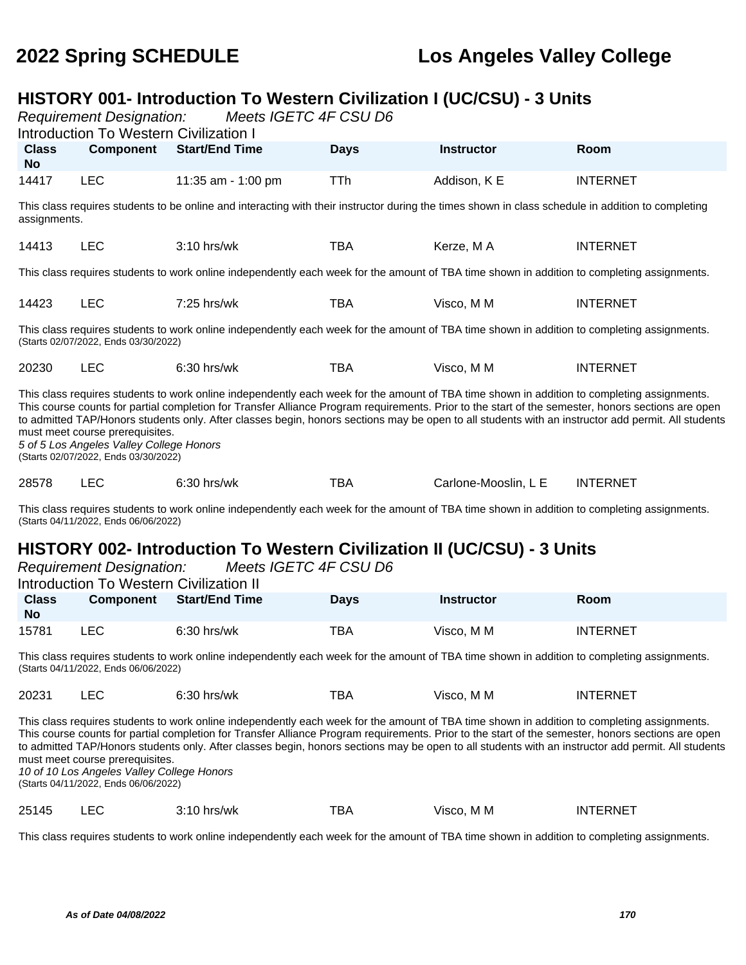# **HISTORY 001- Introduction To Western Civilization I (UC/CSU) - 3 Units**<br>Requirement Designation: Meets IGETC 4F CSU D6

Requirement Designation:

|                           | <b>Introduction To Western Civilization I</b>                                                                       |                       |             |                      |                                                                                                                                                                                                                                                                                                                                                                                                                                                         |  |
|---------------------------|---------------------------------------------------------------------------------------------------------------------|-----------------------|-------------|----------------------|---------------------------------------------------------------------------------------------------------------------------------------------------------------------------------------------------------------------------------------------------------------------------------------------------------------------------------------------------------------------------------------------------------------------------------------------------------|--|
| <b>Class</b><br><b>No</b> | <b>Component</b>                                                                                                    | <b>Start/End Time</b> | <b>Days</b> | <b>Instructor</b>    | Room                                                                                                                                                                                                                                                                                                                                                                                                                                                    |  |
| 14417                     | <b>LEC</b>                                                                                                          | 11:35 am - 1:00 pm    | TTh         | Addison, K E         | <b>INTERNET</b>                                                                                                                                                                                                                                                                                                                                                                                                                                         |  |
| assignments.              |                                                                                                                     |                       |             |                      | This class requires students to be online and interacting with their instructor during the times shown in class schedule in addition to completing                                                                                                                                                                                                                                                                                                      |  |
| 14413                     | <b>LEC</b>                                                                                                          | $3:10$ hrs/wk         | <b>TBA</b>  | Kerze, MA            | <b>INTERNET</b>                                                                                                                                                                                                                                                                                                                                                                                                                                         |  |
|                           |                                                                                                                     |                       |             |                      | This class requires students to work online independently each week for the amount of TBA time shown in addition to completing assignments.                                                                                                                                                                                                                                                                                                             |  |
| 14423                     | <b>LEC</b>                                                                                                          | $7:25$ hrs/wk         | TBA         | Visco, M M           | <b>INTERNET</b>                                                                                                                                                                                                                                                                                                                                                                                                                                         |  |
|                           | (Starts 02/07/2022, Ends 03/30/2022)                                                                                |                       |             |                      | This class requires students to work online independently each week for the amount of TBA time shown in addition to completing assignments.                                                                                                                                                                                                                                                                                                             |  |
| 20230                     | <b>LEC</b>                                                                                                          | $6:30$ hrs/wk         | TBA         | Visco, M M           | <b>INTERNET</b>                                                                                                                                                                                                                                                                                                                                                                                                                                         |  |
|                           | must meet course prerequisites.<br>5 of 5 Los Angeles Valley College Honors<br>(Starts 02/07/2022, Ends 03/30/2022) |                       |             |                      | This class requires students to work online independently each week for the amount of TBA time shown in addition to completing assignments.<br>This course counts for partial completion for Transfer Alliance Program requirements. Prior to the start of the semester, honors sections are open<br>to admitted TAP/Honors students only. After classes begin, honors sections may be open to all students with an instructor add permit. All students |  |
| 28578                     | <b>LEC</b>                                                                                                          | 6:30 hrs/wk           | TBA         | Carlone-Mooslin, L E | <b>INTERNET</b>                                                                                                                                                                                                                                                                                                                                                                                                                                         |  |
|                           |                                                                                                                     |                       |             |                      | This class requires students to work online independently each week for the amount of TBA time shown in addition to completing assignments.                                                                                                                                                                                                                                                                                                             |  |

(Starts 04/11/2022, Ends 06/06/2022)

### **HISTORY 002- Introduction To Western Civilization II (UC/CSU) - 3 Units**<br>Requirement Designation: Meets IGETC 4E CSU D6 Requirement Designation:

|                                                                                                                                                                                                                                                                                                                                                                                                                                                                                                                                          |                                         | <b>INGUMENTE DESIGNATION.</b> MICCIS IOLI O TI COO DO |             |                   |                 |  |  |
|------------------------------------------------------------------------------------------------------------------------------------------------------------------------------------------------------------------------------------------------------------------------------------------------------------------------------------------------------------------------------------------------------------------------------------------------------------------------------------------------------------------------------------------|-----------------------------------------|-------------------------------------------------------|-------------|-------------------|-----------------|--|--|
|                                                                                                                                                                                                                                                                                                                                                                                                                                                                                                                                          | Introduction To Western Civilization II |                                                       |             |                   |                 |  |  |
| <b>Class</b><br>No.                                                                                                                                                                                                                                                                                                                                                                                                                                                                                                                      | <b>Component</b>                        | <b>Start/End Time</b>                                 | <b>Days</b> | <b>Instructor</b> | Room            |  |  |
| 15781                                                                                                                                                                                                                                                                                                                                                                                                                                                                                                                                    | <b>LEC</b>                              | $6:30$ hrs/wk                                         | TBA         | Visco, M M        | <b>INTERNET</b> |  |  |
| This class requires students to work online independently each week for the amount of TBA time shown in addition to completing assignments.<br>(Starts 04/11/2022, Ends 06/06/2022)                                                                                                                                                                                                                                                                                                                                                      |                                         |                                                       |             |                   |                 |  |  |
| 20231                                                                                                                                                                                                                                                                                                                                                                                                                                                                                                                                    | LEC.                                    | $6:30$ hrs/wk                                         | TBA         | Visco, M M        | <b>INTERNET</b> |  |  |
| This class requires students to work online independently each week for the amount of TBA time shown in addition to completing assignments.<br>This course counts for partial completion for Transfer Alliance Program requirements. Prior to the start of the semester, honors sections are open<br>to admitted TAP/Honors students only. After classes begin, honors sections may be open to all students with an instructor add permit. All students<br>must meet course prerequisites.<br>10 of 10 Los Angeles Valley College Honors |                                         |                                                       |             |                   |                 |  |  |

(Starts 04/11/2022, Ends 06/06/2022)

25145 LEC 3:10 hrs/wk TBA Visco, M M INTERNET

This class requires students to work online independently each week for the amount of TBA time shown in addition to completing assignments.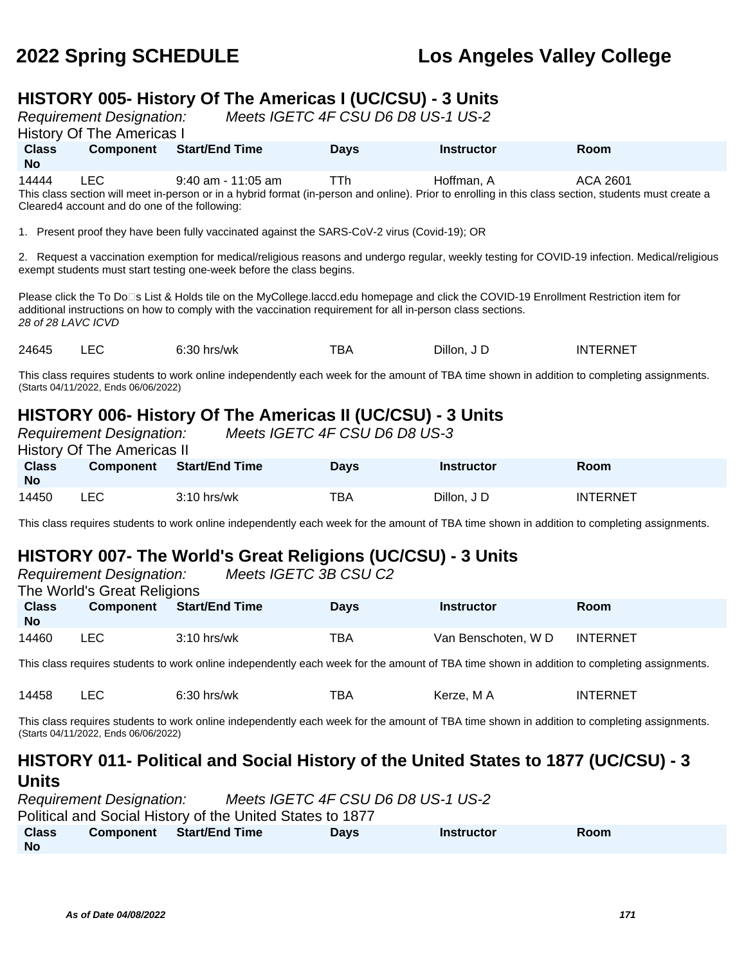## **HISTORY 005- History Of The Americas I (UC/CSU) - 3 Units**

Requirement Designation: Meets IGETC 4F CSU D6 D8 US-1 US-2

History Of The Americas I

|                                                                                                                                                       | $\sim$ 1.000 $\sim$ 1.110 $\sim$ 1.110 $\sim$ 1.100 $\sim$ 1.110 $\sim$ 1.110 $\sim$ 1.110 $\sim$ 1.110 $\sim$ 1.110 $\sim$ 1.110 $\sim$ 1.110 $\sim$ 1.110 $\sim$ 1.110 $\sim$ 1.110 $\sim$ 1.110 $\sim$ 1.110 $\sim$ 1.110 $\sim$ 1.110 $\sim$ 1.110 $\sim$ 1.110 |                       |             |                   |             |  |  |  |
|-------------------------------------------------------------------------------------------------------------------------------------------------------|---------------------------------------------------------------------------------------------------------------------------------------------------------------------------------------------------------------------------------------------------------------------|-----------------------|-------------|-------------------|-------------|--|--|--|
| <b>Class</b>                                                                                                                                          | <b>Component</b>                                                                                                                                                                                                                                                    | <b>Start/End Time</b> | <b>Davs</b> | <b>Instructor</b> | <b>Room</b> |  |  |  |
| <b>No</b>                                                                                                                                             |                                                                                                                                                                                                                                                                     |                       |             |                   |             |  |  |  |
| 14444                                                                                                                                                 | LEC.                                                                                                                                                                                                                                                                | $9:40$ am - 11:05 am  | TTh         | Hoffman, A        | ACA 2601    |  |  |  |
| This class section will meet in-person or in a hybrid format (in-person and online). Prior to enrolling in this class section, students must create a |                                                                                                                                                                                                                                                                     |                       |             |                   |             |  |  |  |
| Cleared4 account and do one of the following:                                                                                                         |                                                                                                                                                                                                                                                                     |                       |             |                   |             |  |  |  |

1. Present proof they have been fully vaccinated against the SARS-CoV-2 virus (Covid-19); OR

2. Request a vaccination exemption for medical/religious reasons and undergo regular, weekly testing for COVID-19 infection. Medical/religious exempt students must start testing one-week before the class begins.

Please click the To Do<sup>n</sup>s List & Holds tile on the MyCollege.laccd.edu homepage and click the COVID-19 Enrollment Restriction item for additional instructions on how to comply with the vaccination requirement for all in-person class sections. 28 of 28 LAVC ICVD

24645 LEC 6:30 hrs/wk TBA Dillon, J D INTERNET

This class requires students to work online independently each week for the amount of TBA time shown in addition to completing assignments. (Starts 04/11/2022, Ends 06/06/2022)

# **HISTORY 006- History Of The Americas II (UC/CSU) - 3 Units**

|                           | <b>Requirement Designation:</b><br><b>History Of The Americas II</b> |                       | Meets IGETC 4F CSU D6 D8 US-3 |                   |                 |
|---------------------------|----------------------------------------------------------------------|-----------------------|-------------------------------|-------------------|-----------------|
| <b>Class</b><br><b>No</b> | Component                                                            | <b>Start/End Time</b> | <b>Days</b>                   | <b>Instructor</b> | Room            |
| 14450                     | LEC .                                                                | $3:10$ hrs/wk         | TBA                           | Dillon, J D       | <b>INTERNET</b> |

This class requires students to work online independently each week for the amount of TBA time shown in addition to completing assignments.

# **HISTORY 007- The World's Great Religions (UC/CSU) - 3 Units**

|                           | <b>Requirement Designation:</b><br>The World's Great Religions |                       | Meets IGETC 3B CSU C2 |                                                                                                                                             |                 |  |
|---------------------------|----------------------------------------------------------------|-----------------------|-----------------------|---------------------------------------------------------------------------------------------------------------------------------------------|-----------------|--|
| <b>Class</b><br><b>No</b> | Component                                                      | <b>Start/End Time</b> | <b>Days</b>           | <b>Instructor</b>                                                                                                                           | <b>Room</b>     |  |
| 14460                     | LEC.                                                           | $3:10$ hrs/wk         | TBA                   | Van Benschoten, WD                                                                                                                          | <b>INTERNET</b> |  |
|                           |                                                                |                       |                       | This along requires of udopts to werk online independently sook week for the emount of TDA time above in addition to completing espignments |                 |  |

This class requires students to work online independently each week for the amount of TBA time shown in addition to completing assignments.

| 14458<br>тва<br>6:30 hrs/wk<br>Kerze, M A | INTERNET |
|-------------------------------------------|----------|
|-------------------------------------------|----------|

This class requires students to work online independently each week for the amount of TBA time shown in addition to completing assignments. (Starts 04/11/2022, Ends 06/06/2022)

### **HISTORY 011- Political and Social History of the United States to 1877 (UC/CSU) - 3 Units**

|              | <b>Requirement Designation:</b> |                                                           | Meets IGETC 4F CSU D6 D8 US-1 US-2 |                   |      |
|--------------|---------------------------------|-----------------------------------------------------------|------------------------------------|-------------------|------|
|              |                                 | Political and Social History of the United States to 1877 |                                    |                   |      |
| <b>Class</b> |                                 | Component Start/End Time                                  | <b>Davs</b>                        | <b>Instructor</b> | Room |
| . No         |                                 |                                                           |                                    |                   |      |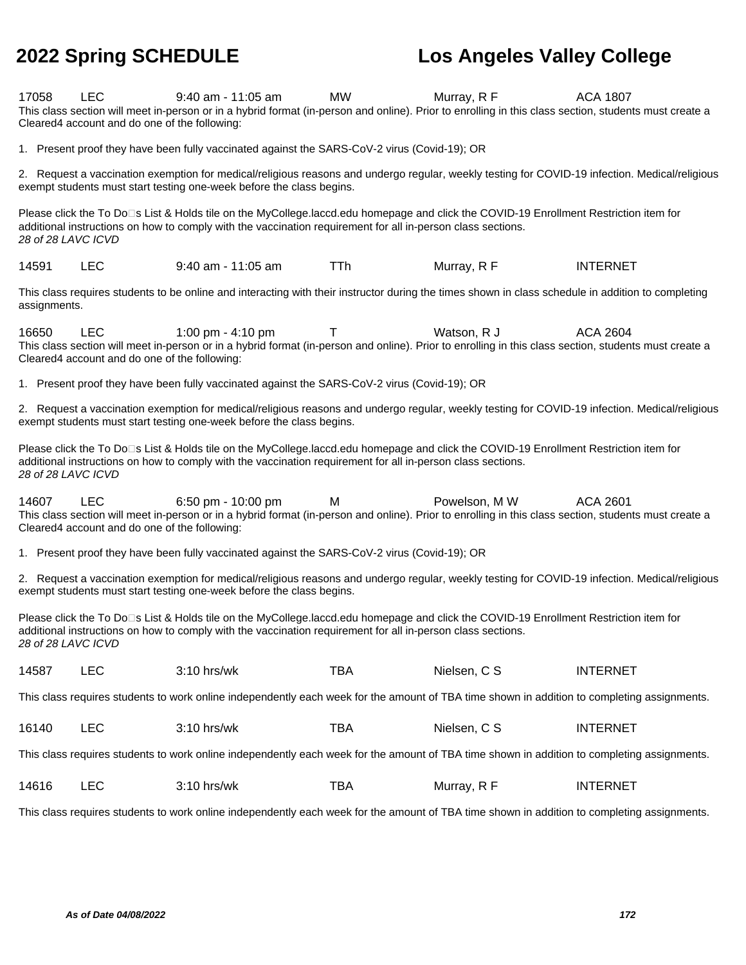| 17058              | <b>LEC</b><br>Cleared4 account and do one of the following: | $9:40$ am - 11:05 am<br>This class section will meet in-person or in a hybrid format (in-person and online). Prior to enrolling in this class section, students must create a                                                                        | <b>MW</b>  | Murray, R F   | <b>ACA 1807</b>                                                                                                                                |
|--------------------|-------------------------------------------------------------|------------------------------------------------------------------------------------------------------------------------------------------------------------------------------------------------------------------------------------------------------|------------|---------------|------------------------------------------------------------------------------------------------------------------------------------------------|
|                    |                                                             | 1. Present proof they have been fully vaccinated against the SARS-CoV-2 virus (Covid-19); OR                                                                                                                                                         |            |               |                                                                                                                                                |
|                    |                                                             | exempt students must start testing one-week before the class begins.                                                                                                                                                                                 |            |               | 2. Request a vaccination exemption for medical/religious reasons and undergo regular, weekly testing for COVID-19 infection. Medical/religious |
| 28 of 28 LAVC ICVD |                                                             | Please click the To Do□s List & Holds tile on the MyCollege.laccd.edu homepage and click the COVID-19 Enrollment Restriction item for<br>additional instructions on how to comply with the vaccination requirement for all in-person class sections. |            |               |                                                                                                                                                |
| 14591              | <b>LEC</b>                                                  | 9:40 am - 11:05 am                                                                                                                                                                                                                                   | <b>TTh</b> | Murray, R F   | <b>INTERNET</b>                                                                                                                                |
| assignments.       |                                                             | This class requires students to be online and interacting with their instructor during the times shown in class schedule in addition to completing                                                                                                   |            |               |                                                                                                                                                |
| 16650              | <b>LEC</b><br>Cleared4 account and do one of the following: | 1:00 pm $-$ 4:10 pm<br>This class section will meet in-person or in a hybrid format (in-person and online). Prior to enrolling in this class section, students must create a                                                                         | Τ          | Watson, R J   | ACA 2604                                                                                                                                       |
|                    |                                                             | 1. Present proof they have been fully vaccinated against the SARS-CoV-2 virus (Covid-19); OR                                                                                                                                                         |            |               |                                                                                                                                                |
|                    |                                                             | 2. Request a vaccination exemption for medical/religious reasons and undergo regular, weekly testing for COVID-19 infection. Medical/religious<br>exempt students must start testing one-week before the class begins.                               |            |               |                                                                                                                                                |
| 28 of 28 LAVC ICVD |                                                             | Please click the To Do□s List & Holds tile on the MyCollege.laccd.edu homepage and click the COVID-19 Enrollment Restriction item for<br>additional instructions on how to comply with the vaccination requirement for all in-person class sections. |            |               |                                                                                                                                                |
| 14607              | <b>LEC</b><br>Cleared4 account and do one of the following: | 6:50 pm - 10:00 pm<br>This class section will meet in-person or in a hybrid format (in-person and online). Prior to enrolling in this class section, students must create a                                                                          | M          | Powelson, M W | <b>ACA 2601</b>                                                                                                                                |
|                    |                                                             | 1. Present proof they have been fully vaccinated against the SARS-CoV-2 virus (Covid-19); OR                                                                                                                                                         |            |               |                                                                                                                                                |
|                    |                                                             | 2. Request a vaccination exemption for medical/religious reasons and undergo regular, weekly testing for COVID-19 infection. Medical/religious<br>exempt students must start testing one-week before the class begins.                               |            |               |                                                                                                                                                |
| 28 of 28 LAVC ICVD |                                                             | Please click the To Do□s List & Holds tile on the MyCollege.laccd.edu homepage and click the COVID-19 Enrollment Restriction item for<br>additional instructions on how to comply with the vaccination requirement for all in-person class sections. |            |               |                                                                                                                                                |
| 14587              | <b>LEC</b>                                                  | 3:10 hrs/wk                                                                                                                                                                                                                                          | <b>TBA</b> | Nielsen, C S  | <b>INTERNET</b>                                                                                                                                |
|                    |                                                             | This class requires students to work online independently each week for the amount of TBA time shown in addition to completing assignments.                                                                                                          |            |               |                                                                                                                                                |
| 16140              | <b>LEC</b>                                                  | 3:10 hrs/wk                                                                                                                                                                                                                                          | <b>TBA</b> | Nielsen, C S  | <b>INTERNET</b>                                                                                                                                |
|                    |                                                             | This class requires students to work online independently each week for the amount of TBA time shown in addition to completing assignments.                                                                                                          |            |               |                                                                                                                                                |
| 14616              | <b>LEC</b>                                                  | 3:10 hrs/wk                                                                                                                                                                                                                                          | <b>TBA</b> | Murray, R F   | <b>INTERNET</b>                                                                                                                                |
|                    |                                                             | This class requires students to work online independently each week for the amount of TBA time shown in addition to completing assignments.                                                                                                          |            |               |                                                                                                                                                |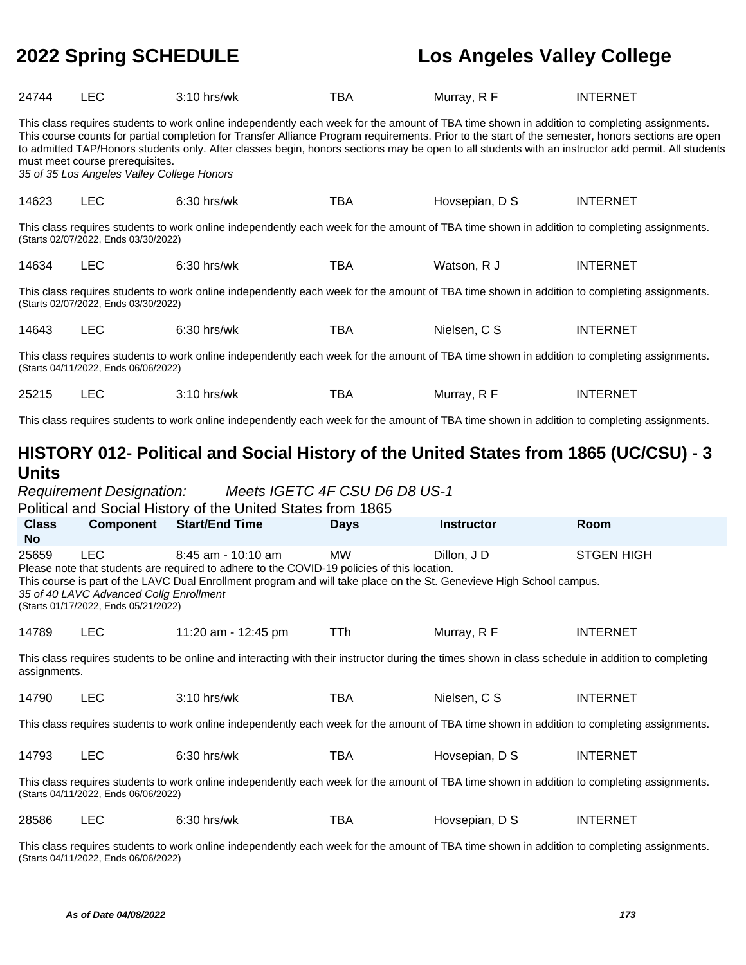| 24744                                                                                                                                                                     | <b>LEC</b>                                                                                    | 3:10 hrs/wk                                                                                                                                                                                                                                                                                       | <b>TBA</b>  | Murray, R F       | <b>INTERNET</b>                                                                                                                                    |  |
|---------------------------------------------------------------------------------------------------------------------------------------------------------------------------|-----------------------------------------------------------------------------------------------|---------------------------------------------------------------------------------------------------------------------------------------------------------------------------------------------------------------------------------------------------------------------------------------------------|-------------|-------------------|----------------------------------------------------------------------------------------------------------------------------------------------------|--|
|                                                                                                                                                                           | must meet course prerequisites.<br>35 of 35 Los Angeles Valley College Honors                 | This class requires students to work online independently each week for the amount of TBA time shown in addition to completing assignments.<br>This course counts for partial completion for Transfer Alliance Program requirements. Prior to the start of the semester, honors sections are open |             |                   | to admitted TAP/Honors students only. After classes begin, honors sections may be open to all students with an instructor add permit. All students |  |
| 14623                                                                                                                                                                     | <b>LEC</b>                                                                                    | 6:30 hrs/wk                                                                                                                                                                                                                                                                                       | <b>TBA</b>  | Hovsepian, D S    | <b>INTERNET</b>                                                                                                                                    |  |
|                                                                                                                                                                           | (Starts 02/07/2022, Ends 03/30/2022)                                                          | This class requires students to work online independently each week for the amount of TBA time shown in addition to completing assignments.                                                                                                                                                       |             |                   |                                                                                                                                                    |  |
| 14634                                                                                                                                                                     | <b>LEC</b>                                                                                    | 6:30 hrs/wk                                                                                                                                                                                                                                                                                       | <b>TBA</b>  | Watson, R J       | <b>INTERNET</b>                                                                                                                                    |  |
|                                                                                                                                                                           | (Starts 02/07/2022, Ends 03/30/2022)                                                          | This class requires students to work online independently each week for the amount of TBA time shown in addition to completing assignments.                                                                                                                                                       |             |                   |                                                                                                                                                    |  |
| 14643                                                                                                                                                                     | <b>LEC</b>                                                                                    | 6:30 hrs/wk                                                                                                                                                                                                                                                                                       | <b>TBA</b>  | Nielsen, C S      | <b>INTERNET</b>                                                                                                                                    |  |
|                                                                                                                                                                           | (Starts 04/11/2022, Ends 06/06/2022)                                                          | This class requires students to work online independently each week for the amount of TBA time shown in addition to completing assignments.                                                                                                                                                       |             |                   |                                                                                                                                                    |  |
| 25215                                                                                                                                                                     | <b>LEC</b>                                                                                    | 3:10 hrs/wk                                                                                                                                                                                                                                                                                       | <b>TBA</b>  | Murray, R F       | <b>INTERNET</b>                                                                                                                                    |  |
|                                                                                                                                                                           |                                                                                               | This class requires students to work online independently each week for the amount of TBA time shown in addition to completing assignments.                                                                                                                                                       |             |                   |                                                                                                                                                    |  |
| HISTORY 012- Political and Social History of the United States from 1865 (UC/CSU) - 3<br><b>Units</b><br>Meets IGETC 4F CSU D6 D8 US-1<br><b>Requirement Designation:</b> |                                                                                               |                                                                                                                                                                                                                                                                                                   |             |                   |                                                                                                                                                    |  |
|                                                                                                                                                                           |                                                                                               |                                                                                                                                                                                                                                                                                                   |             |                   |                                                                                                                                                    |  |
| <b>Class</b>                                                                                                                                                              | <b>Component</b>                                                                              | Political and Social History of the United States from 1865<br><b>Start/End Time</b>                                                                                                                                                                                                              | <b>Days</b> | <b>Instructor</b> | Room                                                                                                                                               |  |
| <b>No</b><br>25659                                                                                                                                                        | <b>LEC</b><br>35 of 40 LAVC Advanced Collg Enrollment<br>(Starts 01/17/2022, Ends 05/21/2022) | $8:45$ am - 10:10 am<br>Please note that students are required to adhere to the COVID-19 policies of this location.<br>This course is part of the LAVC Dual Enrollment program and will take place on the St. Genevieve High School campus.                                                       | <b>MW</b>   | Dillon, J D       | <b>STGEN HIGH</b>                                                                                                                                  |  |
| 14789                                                                                                                                                                     | <b>LEC</b>                                                                                    | 11:20 am - 12:45 pm                                                                                                                                                                                                                                                                               | TTh         | Murray, R F       | <b>INTERNET</b>                                                                                                                                    |  |
| assignments.                                                                                                                                                              |                                                                                               | This class requires students to be online and interacting with their instructor during the times shown in class schedule in addition to completing                                                                                                                                                |             |                   |                                                                                                                                                    |  |
| 14790                                                                                                                                                                     | <b>LEC</b>                                                                                    | 3:10 hrs/wk                                                                                                                                                                                                                                                                                       | <b>TBA</b>  | Nielsen, C S      | <b>INTERNET</b>                                                                                                                                    |  |
|                                                                                                                                                                           |                                                                                               | This class requires students to work online independently each week for the amount of TBA time shown in addition to completing assignments.                                                                                                                                                       |             |                   |                                                                                                                                                    |  |
| 14793                                                                                                                                                                     | <b>LEC</b>                                                                                    | 6:30 hrs/wk                                                                                                                                                                                                                                                                                       | <b>TBA</b>  | Hovsepian, D S    | <b>INTERNET</b>                                                                                                                                    |  |
|                                                                                                                                                                           | (Starts 04/11/2022, Ends 06/06/2022)                                                          | This class requires students to work online independently each week for the amount of TBA time shown in addition to completing assignments.                                                                                                                                                       |             |                   |                                                                                                                                                    |  |
| 28586                                                                                                                                                                     | <b>LEC</b>                                                                                    | 6:30 hrs/wk                                                                                                                                                                                                                                                                                       | <b>TBA</b>  | Hovsepian, D S    | <b>INTERNET</b>                                                                                                                                    |  |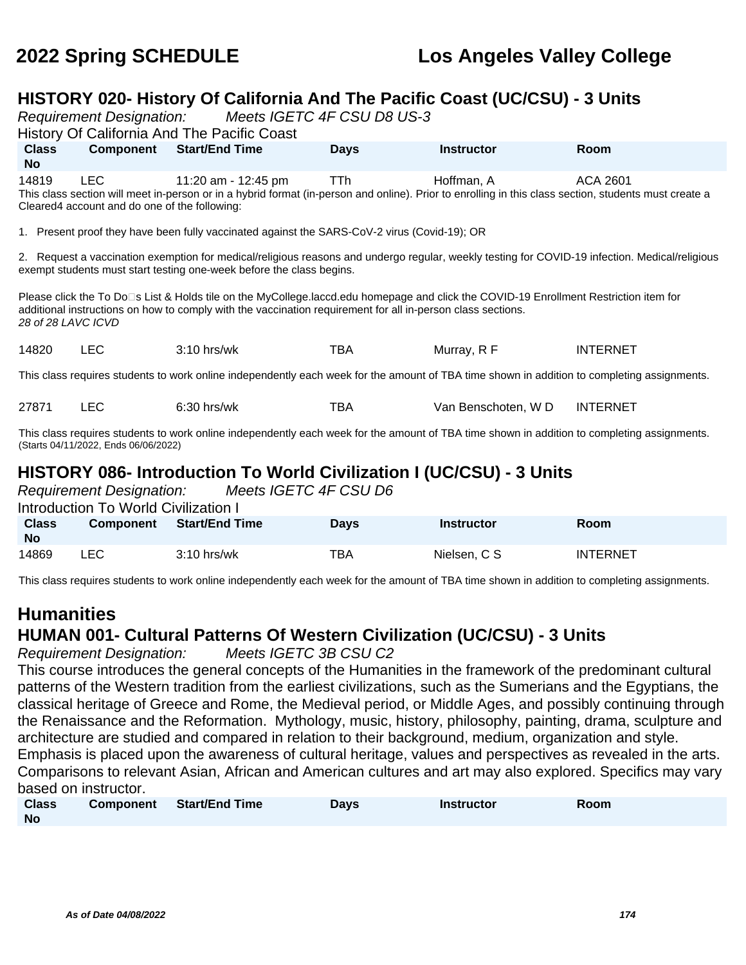# **HISTORY 020- History Of California And The Pacific Coast (UC/CSU) - 3 Units**

Reports ICETC AF CSU D9 US-3

|                                                                                                                                                                                                                                                                            |                                                                                                                                                                                                                                                                               | Regulieniem Designation. Meets iGETC 4F CSU Do US-3<br>History Of California And The Pacific Coast |             |                   |                                                                                                                                                |  |  |  |  |
|----------------------------------------------------------------------------------------------------------------------------------------------------------------------------------------------------------------------------------------------------------------------------|-------------------------------------------------------------------------------------------------------------------------------------------------------------------------------------------------------------------------------------------------------------------------------|----------------------------------------------------------------------------------------------------|-------------|-------------------|------------------------------------------------------------------------------------------------------------------------------------------------|--|--|--|--|
| <b>Class</b><br>No.                                                                                                                                                                                                                                                        |                                                                                                                                                                                                                                                                               | <b>Component</b> Start/End Time                                                                    | <b>Days</b> | <b>Instructor</b> | <b>Room</b>                                                                                                                                    |  |  |  |  |
| 14819                                                                                                                                                                                                                                                                      | LEC.<br>11:20 am - 12:45 pm<br>Hoffman, A<br>ACA 2601<br><b>TTh</b><br>This class section will meet in-person or in a hybrid format (in-person and online). Prior to enrolling in this class section, students must create a<br>Cleared4 account and do one of the following: |                                                                                                    |             |                   |                                                                                                                                                |  |  |  |  |
|                                                                                                                                                                                                                                                                            |                                                                                                                                                                                                                                                                               | 1. Present proof they have been fully vaccinated against the SARS-CoV-2 virus (Covid-19); OR       |             |                   |                                                                                                                                                |  |  |  |  |
|                                                                                                                                                                                                                                                                            |                                                                                                                                                                                                                                                                               | exempt students must start testing one-week before the class begins.                               |             |                   | 2. Request a vaccination exemption for medical/religious reasons and undergo regular, weekly testing for COVID-19 infection. Medical/religious |  |  |  |  |
| Please click the To Do□s List & Holds tile on the MyCollege.laccd.edu homepage and click the COVID-19 Enrollment Restriction item for<br>additional instructions on how to comply with the vaccination requirement for all in-person class sections.<br>28 of 28 LAVC ICVD |                                                                                                                                                                                                                                                                               |                                                                                                    |             |                   |                                                                                                                                                |  |  |  |  |
| 14820                                                                                                                                                                                                                                                                      | <b>LEC</b>                                                                                                                                                                                                                                                                    | $3:10$ hrs/wk                                                                                      | TBA         | Murray, R F       | <b>INTERNET</b>                                                                                                                                |  |  |  |  |
|                                                                                                                                                                                                                                                                            | This class requires students to work online independently each week for the amount of TBA time shown in addition to completing assignments.                                                                                                                                   |                                                                                                    |             |                   |                                                                                                                                                |  |  |  |  |

27871 LEC 6:30 hrs/wk TBA Van Benschoten, W D INTERNET

This class requires students to work online independently each week for the amount of TBA time shown in addition to completing assignments. (Starts 04/11/2022, Ends 06/06/2022)

# **HISTORY 086- Introduction To World Civilization I (UC/CSU) - 3 Units**

|                           | <b>Requirement Designation:</b>      | Meets IGETC 4F CSU D6 |             |                   |                 |  |  |  |
|---------------------------|--------------------------------------|-----------------------|-------------|-------------------|-----------------|--|--|--|
|                           | Introduction To World Civilization I |                       |             |                   |                 |  |  |  |
| <b>Class</b><br><b>No</b> | <b>Component</b>                     | Start/End Time        | <b>Davs</b> | <b>Instructor</b> | Room            |  |  |  |
| 14869                     | LEC.                                 | $3:10$ hrs/wk         | TBA         | Nielsen, C S      | <b>INTERNET</b> |  |  |  |

This class requires students to work online independently each week for the amount of TBA time shown in addition to completing assignments.

# **Humanities HUMAN 001- Cultural Patterns Of Western Civilization (UC/CSU) - 3 Units**

Requirement Designation: Meets IGETC 3B CSU C2

This course introduces the general concepts of the Humanities in the framework of the predominant cultural patterns of the Western tradition from the earliest civilizations, such as the Sumerians and the Egyptians, the classical heritage of Greece and Rome, the Medieval period, or Middle Ages, and possibly continuing through the Renaissance and the Reformation. Mythology, music, history, philosophy, painting, drama, sculpture and architecture are studied and compared in relation to their background, medium, organization and style. Emphasis is placed upon the awareness of cultural heritage, values and perspectives as revealed in the arts. Comparisons to relevant Asian, African and American cultures and art may also explored. Specifics may vary based on instructor.

| <b>Class</b> | Component | <b>Start/End Time</b> | Days | <b>Instructor</b> | Room |
|--------------|-----------|-----------------------|------|-------------------|------|
| <b>No</b>    |           |                       |      |                   |      |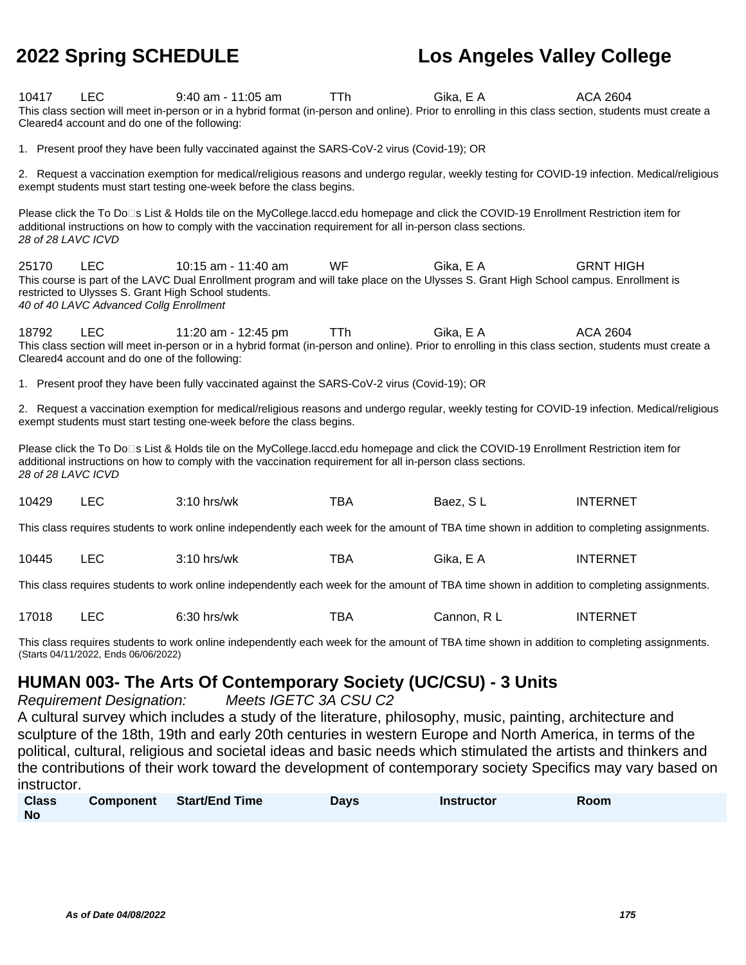| 10417              | <b>LEC</b><br>Cleared4 account and do one of the following: | $9:40$ am - 11:05 am<br>This class section will meet in-person or in a hybrid format (in-person and online). Prior to enrolling in this class section, students must create a                                                                        | <b>TTh</b> | Gika, E A   | <b>ACA 2604</b>  |
|--------------------|-------------------------------------------------------------|------------------------------------------------------------------------------------------------------------------------------------------------------------------------------------------------------------------------------------------------------|------------|-------------|------------------|
|                    |                                                             | 1. Present proof they have been fully vaccinated against the SARS-CoV-2 virus (Covid-19); OR                                                                                                                                                         |            |             |                  |
|                    |                                                             | 2. Request a vaccination exemption for medical/religious reasons and undergo regular, weekly testing for COVID-19 infection. Medical/religious<br>exempt students must start testing one-week before the class begins.                               |            |             |                  |
| 28 of 28 LAVC ICVD |                                                             | Please click the To Do□s List & Holds tile on the MyCollege.laccd.edu homepage and click the COVID-19 Enrollment Restriction item for<br>additional instructions on how to comply with the vaccination requirement for all in-person class sections. |            |             |                  |
| 25170              | <b>LEC</b><br>40 of 40 LAVC Advanced Collg Enrollment       | 10:15 am - 11:40 am<br>This course is part of the LAVC Dual Enrollment program and will take place on the Ulysses S. Grant High School campus. Enrollment is<br>restricted to Ulysses S. Grant High School students.                                 | <b>WF</b>  | Gika, E A   | <b>GRNT HIGH</b> |
| 18792              | <b>LEC</b><br>Cleared4 account and do one of the following: | 11:20 am - 12:45 pm<br>This class section will meet in-person or in a hybrid format (in-person and online). Prior to enrolling in this class section, students must create a                                                                         | TTh        | Gika, E A   | <b>ACA 2604</b>  |
|                    |                                                             | 1. Present proof they have been fully vaccinated against the SARS-CoV-2 virus (Covid-19); OR                                                                                                                                                         |            |             |                  |
|                    |                                                             | 2. Request a vaccination exemption for medical/religious reasons and undergo regular, weekly testing for COVID-19 infection. Medical/religious<br>exempt students must start testing one-week before the class begins.                               |            |             |                  |
| 28 of 28 LAVC ICVD |                                                             | Please click the To Do⊡s List & Holds tile on the MyCollege.laccd.edu homepage and click the COVID-19 Enrollment Restriction item for<br>additional instructions on how to comply with the vaccination requirement for all in-person class sections. |            |             |                  |
| 10429              | <b>LEC</b>                                                  | 3:10 hrs/wk                                                                                                                                                                                                                                          | <b>TBA</b> | Baez, SL    | <b>INTERNET</b>  |
|                    |                                                             | This class requires students to work online independently each week for the amount of TBA time shown in addition to completing assignments.                                                                                                          |            |             |                  |
| 10445              | <b>LEC</b>                                                  | 3:10 hrs/wk                                                                                                                                                                                                                                          | <b>TBA</b> | Gika, E A   | <b>INTERNET</b>  |
|                    |                                                             | This class requires students to work online independently each week for the amount of TBA time shown in addition to completing assignments.                                                                                                          |            |             |                  |
| 17018              | <b>LEC</b>                                                  | 6:30 hrs/wk                                                                                                                                                                                                                                          | <b>TBA</b> | Cannon, R L | <b>INTERNET</b>  |
|                    | (Starts 04/11/2022, Ends 06/06/2022)                        | This class requires students to work online independently each week for the amount of TBA time shown in addition to completing assignments.                                                                                                          |            |             |                  |

## **HUMAN 003- The Arts Of Contemporary Society (UC/CSU) - 3 Units**

Requirement Designation: Meets IGETC 3A CSU C2

A cultural survey which includes a study of the literature, philosophy, music, painting, architecture and sculpture of the 18th, 19th and early 20th centuries in western Europe and North America, in terms of the political, cultural, religious and societal ideas and basic needs which stimulated the artists and thinkers and the contributions of their work toward the development of contemporary society Specifics may vary based on instructor.

| <b>Class</b> | Component Start/End Time | Days | <b>Instructor</b> | Room |
|--------------|--------------------------|------|-------------------|------|
| <b>No</b>    |                          |      |                   |      |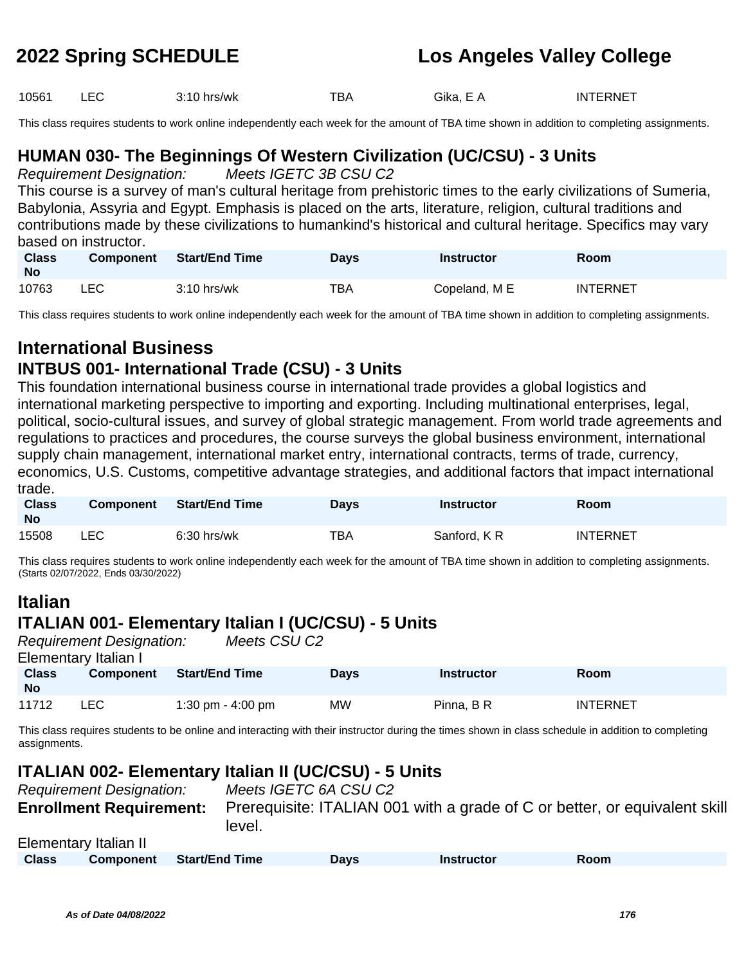| 10561 |  | 3:10 hrs/wk | ™ВА | Gika. E<br>$\mathbf{v}$<br>$\sim$ | <b>INTERNET</b> |
|-------|--|-------------|-----|-----------------------------------|-----------------|
|-------|--|-------------|-----|-----------------------------------|-----------------|

This class requires students to work online independently each week for the amount of TBA time shown in addition to completing assignments.

# **HUMAN 030- The Beginnings Of Western Civilization (UC/CSU) - 3 Units**

Requirement Designation: Meets IGETC 3B CSU C2

This course is a survey of man's cultural heritage from prehistoric times to the early civilizations of Sumeria, Babylonia, Assyria and Egypt. Emphasis is placed on the arts, literature, religion, cultural traditions and contributions made by these civilizations to humankind's historical and cultural heritage. Specifics may vary based on instructor.

| <b>Class</b><br>No | <b>Component</b> | <b>Start/End Time</b> | Days | Instructor    | <b>Room</b>     |
|--------------------|------------------|-----------------------|------|---------------|-----------------|
| 10763              | LEC.             | $3:10$ hrs/wk         | TBA  | Copeland, M E | <b>INTERNET</b> |

This class requires students to work online independently each week for the amount of TBA time shown in addition to completing assignments.

# **International Business**

## **INTBUS 001- International Trade (CSU) - 3 Units**

This foundation international business course in international trade provides a global logistics and international marketing perspective to importing and exporting. Including multinational enterprises, legal, political, socio-cultural issues, and survey of global strategic management. From world trade agreements and regulations to practices and procedures, the course surveys the global business environment, international supply chain management, international market entry, international contracts, terms of trade, currency, economics, U.S. Customs, competitive advantage strategies, and additional factors that impact international trade.

| <b>Class</b><br><b>No</b> | <b>Component</b> | <b>Start/End Time</b> | Davs | Instructor  | Room            |
|---------------------------|------------------|-----------------------|------|-------------|-----------------|
| 15508                     | ∟EC-             | $6:30$ hrs/wk         | TBA  | Sanford, KR | <b>INTERNET</b> |

This class requires students to work online independently each week for the amount of TBA time shown in addition to completing assignments. (Starts 02/07/2022, Ends 03/30/2022)

# **Italian**

### **ITALIAN 001- Elementary Italian I (UC/CSU) - 5 Units**

Requirement Designation: Meets CSU C2 Elementary Italian I **Class No Component Start/End Time Days Instructor Room** 11712 LEC 1:30 pm - 4:00 pm MW Pinna, B R INTERNET

This class requires students to be online and interacting with their instructor during the times shown in class schedule in addition to completing assignments.

## **ITALIAN 002- Elementary Italian II (UC/CSU) - 5 Units**

|              | <b>Requirement Designation:</b> |                       | Meets IGETC 6A CSU C2 |                   |                                                                            |  |
|--------------|---------------------------------|-----------------------|-----------------------|-------------------|----------------------------------------------------------------------------|--|
|              | <b>Enrollment Requirement:</b>  | level.                |                       |                   | Prerequisite: ITALIAN 001 with a grade of C or better, or equivalent skill |  |
|              | Elementary Italian II           |                       |                       |                   |                                                                            |  |
| <b>Class</b> | <b>Component</b>                | <b>Start/End Time</b> | Davs                  | <b>Instructor</b> | Room                                                                       |  |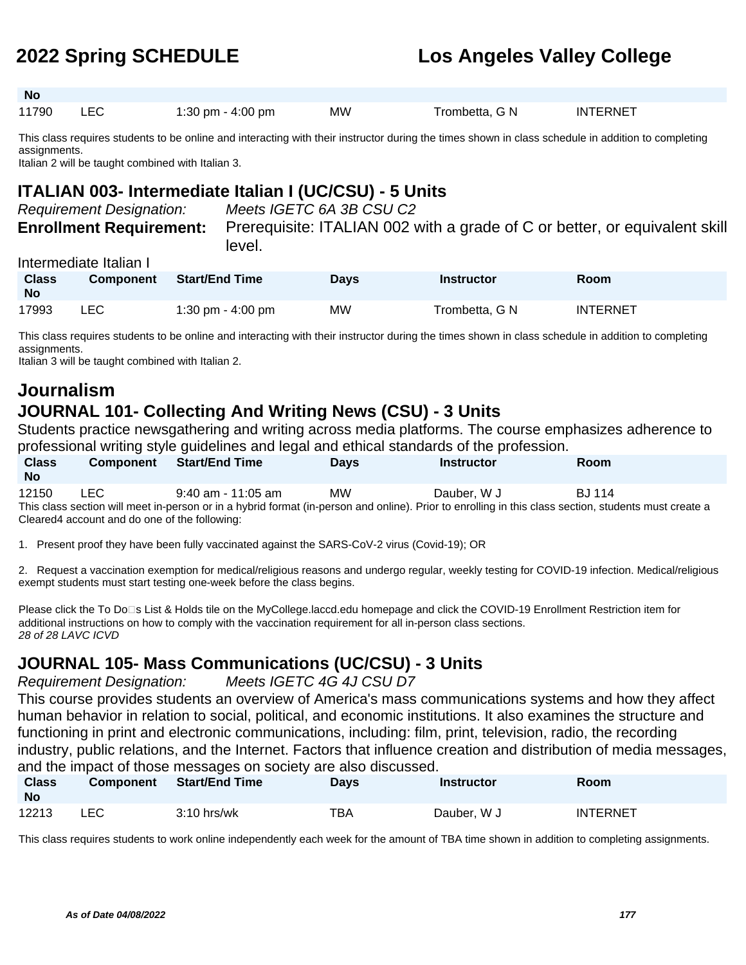| <b>No</b> |     |                     |           |                |                 |  |
|-----------|-----|---------------------|-----------|----------------|-----------------|--|
| 11790     | LEC | 1:30 pm - $4:00$ pm | <b>MW</b> | Trombetta, G N | <b>INTERNET</b> |  |

This class requires students to be online and interacting with their instructor during the times shown in class schedule in addition to completing assignments.

Italian 2 will be taught combined with Italian 3.

## **ITALIAN 003- Intermediate Italian I (UC/CSU) - 5 Units**

| <b>Requirement Designation:</b> | Meets IGETC 6A 3B CSU C2                                                   |
|---------------------------------|----------------------------------------------------------------------------|
| <b>Enrollment Requirement:</b>  | Prerequisite: ITALIAN 002 with a grade of C or better, or equivalent skill |
|                                 | level.                                                                     |

### Intermediate Italian I

| <b>Class</b><br><b>No</b> | <b>Component</b> | <b>Start/End Time</b> | Days | Instructor     | <b>Room</b> |
|---------------------------|------------------|-----------------------|------|----------------|-------------|
| 17993                     | _EC              | 1:30 pm - 4:00 pm     | MW   | Trombetta, G N | INTERNET    |

This class requires students to be online and interacting with their instructor during the times shown in class schedule in addition to completing assignments.

Italian 3 will be taught combined with Italian 2.

### **Journalism JOURNAL 101- Collecting And Writing News (CSU) - 3 Units**

Students practice newsgathering and writing across media platforms. The course emphasizes adherence to professional writing style guidelines and legal and ethical standards of the profession.

| <b>Class</b><br><b>No</b>                                                                                                                             | <b>Component</b>                              | <b>Start/End Time</b> | <b>Davs</b> | <b>Instructor</b> | <b>Room</b>   |  |  |  |
|-------------------------------------------------------------------------------------------------------------------------------------------------------|-----------------------------------------------|-----------------------|-------------|-------------------|---------------|--|--|--|
| 12150                                                                                                                                                 | LEC.                                          | $9:40$ am - 11:05 am  | <b>MW</b>   | Dauber, W J       | <b>BJ</b> 114 |  |  |  |
| This class section will meet in-person or in a hybrid format (in-person and online). Prior to enrolling in this class section, students must create a |                                               |                       |             |                   |               |  |  |  |
|                                                                                                                                                       | Cleared4 account and do one of the following: |                       |             |                   |               |  |  |  |

1. Present proof they have been fully vaccinated against the SARS-CoV-2 virus (Covid-19); OR

2. Request a vaccination exemption for medical/religious reasons and undergo regular, weekly testing for COVID-19 infection. Medical/religious exempt students must start testing one-week before the class begins.

Please click the To Do<sup>n</sup>s List & Holds tile on the MyCollege.laccd.edu homepage and click the COVID-19 Enrollment Restriction item for additional instructions on how to comply with the vaccination requirement for all in-person class sections. 28 of 28 LAVC ICVD

# **JOURNAL 105- Mass Communications (UC/CSU) - 3 Units**

Requirement Designation: Meets IGETC 4G 4J CSU D7

This course provides students an overview of America's mass communications systems and how they affect human behavior in relation to social, political, and economic institutions. It also examines the structure and functioning in print and electronic communications, including: film, print, television, radio, the recording industry, public relations, and the Internet. Factors that influence creation and distribution of media messages, and the impact of those messages on society are also discussed.

| <b>Class</b><br><b>No</b> | <b>Component</b> | Start/End Time | <b>Davs</b> | <b>Instructor</b> | Room            |
|---------------------------|------------------|----------------|-------------|-------------------|-----------------|
| 12213                     | LEC              | $3:10$ hrs/wk  | <b>TBA</b>  | Dauber, W J       | <b>INTERNET</b> |

This class requires students to work online independently each week for the amount of TBA time shown in addition to completing assignments.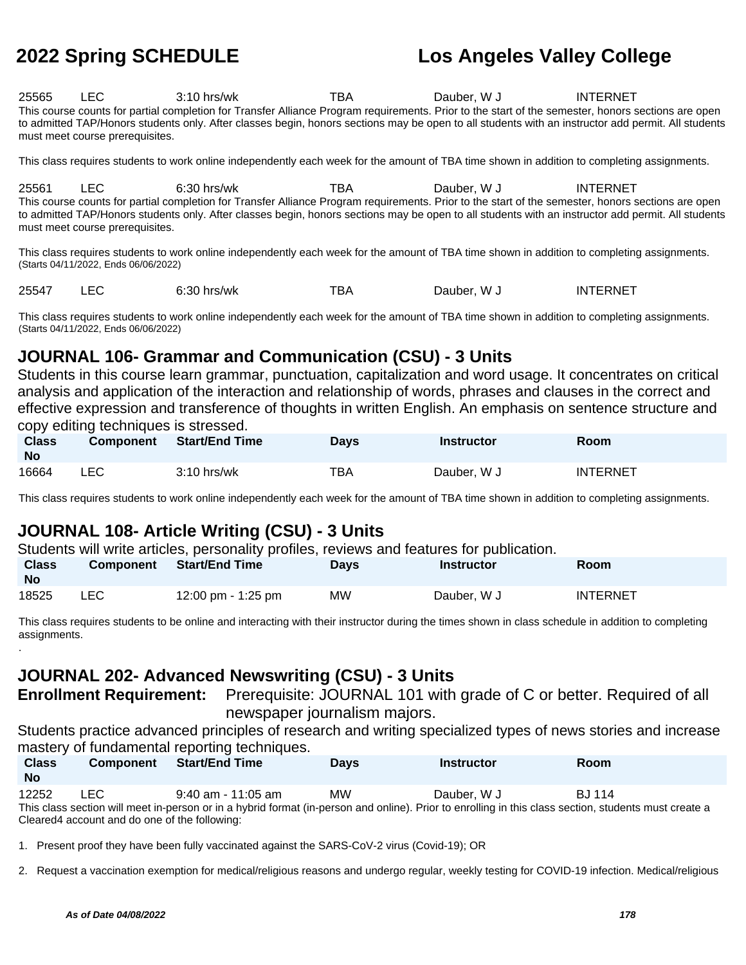| 25565 | LEC.                            | $3:10$ hrs/wk                                                                                                                                      | тва | Dauber, W J | <b>INTERNET</b> |
|-------|---------------------------------|----------------------------------------------------------------------------------------------------------------------------------------------------|-----|-------------|-----------------|
|       |                                 | This course counts for partial completion for Transfer Alliance Program requirements. Prior to the start of the semester, honors sections are open |     |             |                 |
|       |                                 | to admitted TAP/Honors students only. After classes begin, honors sections may be open to all students with an instructor add permit. All students |     |             |                 |
|       | must meet course prerequisites. |                                                                                                                                                    |     |             |                 |

This class requires students to work online independently each week for the amount of TBA time shown in addition to completing assignments.

25561 LEC 6:30 hrs/wk TBA Dauber, W J INTERNET This course counts for partial completion for Transfer Alliance Program requirements. Prior to the start of the semester, honors sections are open to admitted TAP/Honors students only. After classes begin, honors sections may be open to all students with an instructor add permit. All students must meet course prerequisites.

This class requires students to work online independently each week for the amount of TBA time shown in addition to completing assignments. (Starts 04/11/2022, Ends 06/06/2022)

25547 LEC 6:30 hrs/wk TBA Dauber, W J INTERNET

This class requires students to work online independently each week for the amount of TBA time shown in addition to completing assignments. (Starts 04/11/2022, Ends 06/06/2022)

## **JOURNAL 106- Grammar and Communication (CSU) - 3 Units**

Students in this course learn grammar, punctuation, capitalization and word usage. It concentrates on critical analysis and application of the interaction and relationship of words, phrases and clauses in the correct and effective expression and transference of thoughts in written English. An emphasis on sentence structure and copy editing techniques is stressed.

| <b>Class</b><br>No | <b>Component</b> | <b>Start/End Time</b> | <b>Days</b> | Instructor  | <b>Room</b>     |
|--------------------|------------------|-----------------------|-------------|-------------|-----------------|
| 16664              | LEC.             | $3:10$ hrs/wk         | TBA         | Dauber, W J | <b>INTERNET</b> |

This class requires students to work online independently each week for the amount of TBA time shown in addition to completing assignments.

# **JOURNAL 108- Article Writing (CSU) - 3 Units**

Students will write articles, personality profiles, reviews and features for publication.

| <b>Class</b><br><b>No</b> | <b>Component</b> | Start/End Time     | Days | Instructor  | <b>Room</b> |
|---------------------------|------------------|--------------------|------|-------------|-------------|
| 18525                     | LEC.             | 12:00 pm - 1:25 pm | МW   | Dauber, W J | INTERNET    |

This class requires students to be online and interacting with their instructor during the times shown in class schedule in addition to completing assignments. .

### **JOURNAL 202- Advanced Newswriting (CSU) - 3 Units**

**Enrollment Requirement:** Prerequisite: JOURNAL 101 with grade of C or better. Required of all newspaper journalism majors.

Students practice advanced principles of research and writing specialized types of news stories and increase mastery of fundamental reporting techniques.

| <b>Class</b><br>No | <b>Component</b> | <b>Start/End Time</b> | Days | <b>Instructor</b> | Room          |  |
|--------------------|------------------|-----------------------|------|-------------------|---------------|--|
| 12252              | LEC              | $9:40$ am - 11:05 am  | ΜW   | Dauber, W J       | <b>BJ</b> 114 |  |
|                    |                  |                       |      |                   |               |  |

This class section will meet in-person or in a hybrid format (in-person and online). Prior to enrolling in this class section, students must create a Cleared4 account and do one of the following:

1. Present proof they have been fully vaccinated against the SARS-CoV-2 virus (Covid-19); OR

2. Request a vaccination exemption for medical/religious reasons and undergo regular, weekly testing for COVID-19 infection. Medical/religious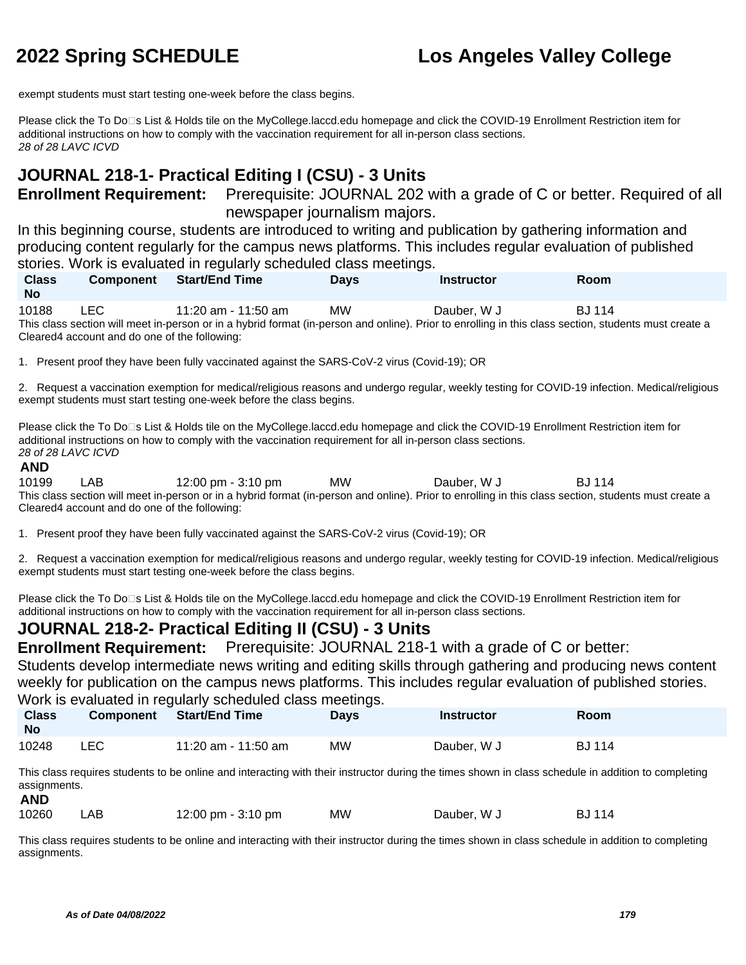exempt students must start testing one-week before the class begins.

Please click the To Do⊡s List & Holds tile on the MyCollege.laccd.edu homepage and click the COVID-19 Enrollment Restriction item for additional instructions on how to comply with the vaccination requirement for all in-person class sections. 28 of 28 LAVC ICVD

# **JOURNAL 218-1- Practical Editing I (CSU) - 3 Units**

**Enrollment Requirement:** Prerequisite: JOURNAL 202 with a grade of C or better. Required of all newspaper journalism majors.

In this beginning course, students are introduced to writing and publication by gathering information and producing content regularly for the campus news platforms. This includes regular evaluation of published stories. Work is evaluated in regularly scheduled class meetings.

**No Component Start/End Time Days Instructor Room** 10188 LEC 11:20 am - 11:50 am MW Dauber, W J BJ 114 This class section will meet in-person or in a hybrid format (in-person and online). Prior to enrolling in this class section, students must create a Cleared4 account and do one of the following:

1. Present proof they have been fully vaccinated against the SARS-CoV-2 virus (Covid-19); OR

2. Request a vaccination exemption for medical/religious reasons and undergo regular, weekly testing for COVID-19 infection. Medical/religious exempt students must start testing one-week before the class begins.

Please click the To Do<sup>n</sup>s List & Holds tile on the MyCollege.laccd.edu homepage and click the COVID-19 Enrollment Restriction item for additional instructions on how to comply with the vaccination requirement for all in-person class sections. 28 of 28 LAVC ICVD

### **AND**

**Class** 

10199 LAB 12:00 pm - 3:10 pm MW Dauber, W J BJ 114 This class section will meet in-person or in a hybrid format (in-person and online). Prior to enrolling in this class section, students must create a Cleared4 account and do one of the following:

1. Present proof they have been fully vaccinated against the SARS-CoV-2 virus (Covid-19); OR

2. Request a vaccination exemption for medical/religious reasons and undergo regular, weekly testing for COVID-19 infection. Medical/religious exempt students must start testing one-week before the class begins.

Please click the To Do□s List & Holds tile on the MyCollege.laccd.edu homepage and click the COVID-19 Enrollment Restriction item for additional instructions on how to comply with the vaccination requirement for all in-person class sections.

## **JOURNAL 218-2- Practical Editing II (CSU) - 3 Units**

**Enrollment Requirement:** Prerequisite: JOURNAL 218-1 with a grade of C or better:

Students develop intermediate news writing and editing skills through gathering and producing news content weekly for publication on the campus news platforms. This includes regular evaluation of published stories. Work is evaluated in regularly scheduled class meetings.

| <b>Class</b><br><b>No</b> | Component | <b>Start/End Time</b> | <b>Days</b> | <b>Instructor</b> | Room          |
|---------------------------|-----------|-----------------------|-------------|-------------------|---------------|
| 10248                     | LEC.      | 11:20 am - 11:50 am   | <b>MW</b>   | Dauber, W J       | <b>BJ</b> 114 |

This class requires students to be online and interacting with their instructor during the times shown in class schedule in addition to completing assignments.

### **AND**

| 10260 | .AB | 12:00 pm - 3:10 pm | ΜW | Dauber, W J | <b>BJ</b> 114 |
|-------|-----|--------------------|----|-------------|---------------|
|-------|-----|--------------------|----|-------------|---------------|

This class requires students to be online and interacting with their instructor during the times shown in class schedule in addition to completing assignments.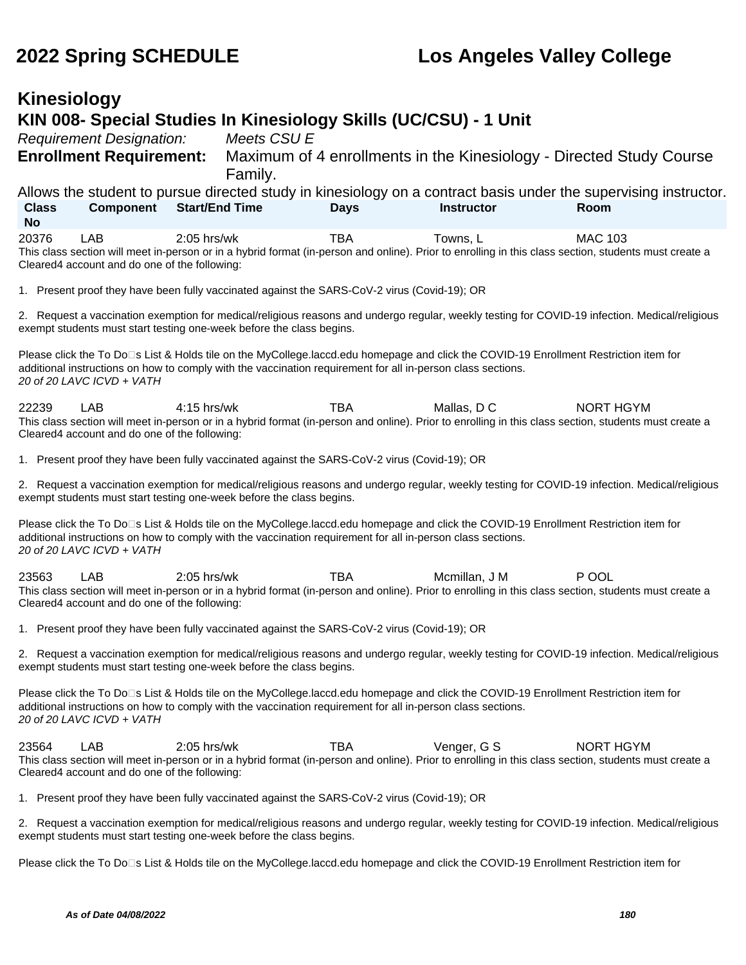### **Kinesiology KIN 008- Special Studies In Kinesiology Skills (UC/CSU) - 1 Unit** Requirement Designation: Meets CSU E **Enrollment Requirement:** Maximum of 4 enrollments in the Kinesiology - Directed Study Course Family. Allows the student to pursue directed study in kinesiology on a contract basis under the supervising instructor. **Class No Component Start/End Time Days Instructor Room** 20376 LAB 2:05 hrs/wk TBA Towns, L MAC 103 This class section will meet in-person or in a hybrid format (in-person and online). Prior to enrolling in this class section, students must create a Cleared4 account and do one of the following: 1. Present proof they have been fully vaccinated against the SARS-CoV-2 virus (Covid-19); OR 2. Request a vaccination exemption for medical/religious reasons and undergo regular, weekly testing for COVID-19 infection. Medical/religious exempt students must start testing one-week before the class begins. Please click the To Do⊡s List & Holds tile on the MyCollege.laccd.edu homepage and click the COVID-19 Enrollment Restriction item for additional instructions on how to comply with the vaccination requirement for all in-person class sections. 20 of 20 LAVC ICVD + VATH 22239 LAB 4:15 hrs/wk TBA Mallas, D C NORT HGYM This class section will meet in-person or in a hybrid format (in-person and online). Prior to enrolling in this class section, students must create a Cleared4 account and do one of the following: 1. Present proof they have been fully vaccinated against the SARS-CoV-2 virus (Covid-19); OR 2. Request a vaccination exemption for medical/religious reasons and undergo regular, weekly testing for COVID-19 infection. Medical/religious exempt students must start testing one-week before the class begins. Please click the To Do□s List & Holds tile on the MyCollege.laccd.edu homepage and click the COVID-19 Enrollment Restriction item for additional instructions on how to comply with the vaccination requirement for all in-person class sections. 20 of 20 LAVC ICVD + VATH 23563 LAB 2:05 hrs/wk TBA Mcmillan, J M P OOL This class section will meet in-person or in a hybrid format (in-person and online). Prior to enrolling in this class section, students must create a Cleared4 account and do one of the following: 1. Present proof they have been fully vaccinated against the SARS-CoV-2 virus (Covid-19); OR 2. Request a vaccination exemption for medical/religious reasons and undergo regular, weekly testing for COVID-19 infection. Medical/religious exempt students must start testing one-week before the class begins. Please click the To Do□s List & Holds tile on the MyCollege.laccd.edu homepage and click the COVID-19 Enrollment Restriction item for additional instructions on how to comply with the vaccination requirement for all in-person class sections. 20 of 20 LAVC ICVD + VATH 23564 LAB 2:05 hrs/wk TBA Venger, G S NORT HGYM This class section will meet in-person or in a hybrid format (in-person and online). Prior to enrolling in this class section, students must create a Cleared4 account and do one of the following: 1. Present proof they have been fully vaccinated against the SARS-CoV-2 virus (Covid-19); OR 2. Request a vaccination exemption for medical/religious reasons and undergo regular, weekly testing for COVID-19 infection. Medical/religious exempt students must start testing one-week before the class begins. Please click the To Do<sup>n</sup>s List & Holds tile on the MyCollege.laccd.edu homepage and click the COVID-19 Enrollment Restriction item for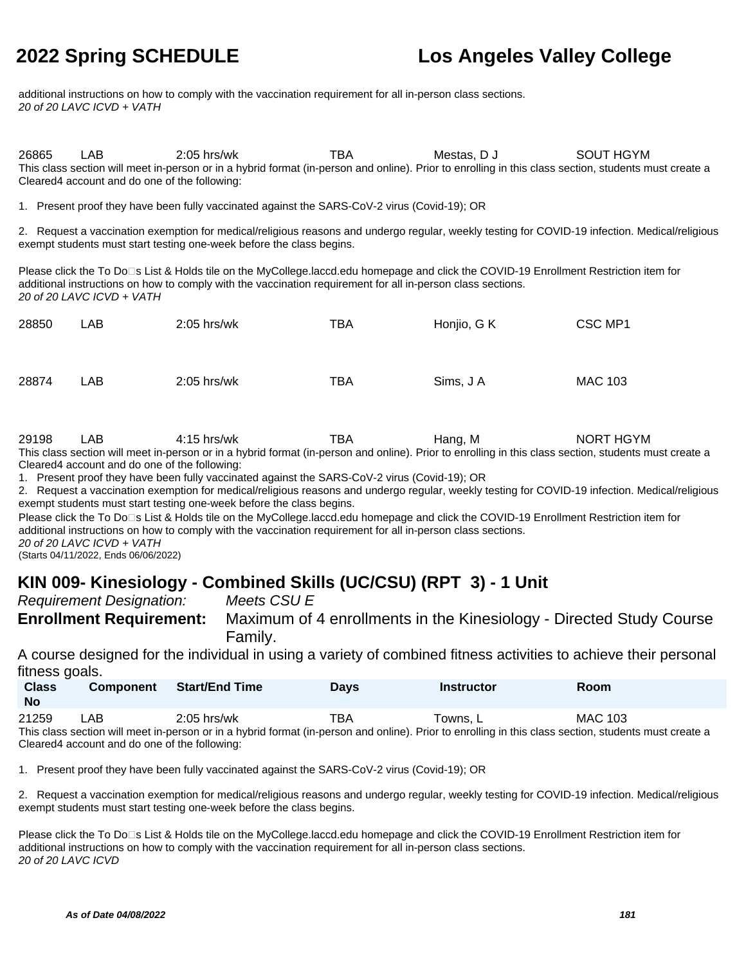additional instructions on how to comply with the vaccination requirement for all in-person class sections. 20 of 20 LAVC ICVD + VATH

26865 LAB 2:05 hrs/wk TBA Mestas, D J SOUT HGYM This class section will meet in-person or in a hybrid format (in-person and online). Prior to enrolling in this class section, students must create a Cleared4 account and do one of the following:

1. Present proof they have been fully vaccinated against the SARS-CoV-2 virus (Covid-19); OR

2. Request a vaccination exemption for medical/religious reasons and undergo regular, weekly testing for COVID-19 infection. Medical/religious exempt students must start testing one-week before the class begins.

Please click the To Do□s List & Holds tile on the MyCollege.laccd.edu homepage and click the COVID-19 Enrollment Restriction item for additional instructions on how to comply with the vaccination requirement for all in-person class sections. 20 of 20 LAVC ICVD + VATH

| 28850 | LAB | 2:05 hrs/wk   | <b>TBA</b> | Honjio, G K | CSC MP1        |
|-------|-----|---------------|------------|-------------|----------------|
| 28874 | LAB | $2:05$ hrs/wk | TBA        | Sims, J A   | <b>MAC 103</b> |

| 29198 | ∟AB. | 4:15 hrs/wk | Hang. M | NORT HGYM                                                                                                     |
|-------|------|-------------|---------|---------------------------------------------------------------------------------------------------------------|
|       |      |             |         | 그대로 나는 그 그는 그대로 나는 그 그 그 사람이 없었다. 그 사람은 그 그 사람들은 그 사람들은 그 사람들을 사용하고 있다. 그 사람들은 그 사람들은 그 사람들은 그 사람들을 지나 않고 있다. |

This class section will meet in-person or in a hybrid format (in-person and online). Prior to enrolling in this class section, students must create a Cleared4 account and do one of the following:

1. Present proof they have been fully vaccinated against the SARS-CoV-2 virus (Covid-19); OR

2. Request a vaccination exemption for medical/religious reasons and undergo regular, weekly testing for COVID-19 infection. Medical/religious exempt students must start testing one-week before the class begins.

Please click the To Do<sup>n</sup>s List & Holds tile on the MyCollege.laccd.edu homepage and click the COVID-19 Enrollment Restriction item for additional instructions on how to comply with the vaccination requirement for all in-person class sections. 20 of 20 LAVC ICVD + VATH

(Starts 04/11/2022, Ends 06/06/2022)

### **KIN 009- Kinesiology - Combined Skills (UC/CSU) (RPT 3) - 1 Unit**

Requirement Designation: Meets CSU E

**Enrollment Requirement:** Maximum of 4 enrollments in the Kinesiology - Directed Study Course Family.

A course designed for the individual in using a variety of combined fitness activities to achieve their personal fitness goals.

| <b>Class</b><br><b>No</b> | <b>Component</b> | Start/End Time | Days | <b>Instructor</b> | Room           |
|---------------------------|------------------|----------------|------|-------------------|----------------|
| 21259                     | LAB.             | $2:05$ hrs/wk  | тва  | Towns, L          | <b>MAC 103</b> |

This class section will meet in-person or in a hybrid format (in-person and online). Prior to enrolling in this class section, students must create a Cleared4 account and do one of the following:

1. Present proof they have been fully vaccinated against the SARS-CoV-2 virus (Covid-19); OR

2. Request a vaccination exemption for medical/religious reasons and undergo regular, weekly testing for COVID-19 infection. Medical/religious exempt students must start testing one-week before the class begins.

Please click the To Do<sup>n</sup>s List & Holds tile on the MyCollege.laccd.edu homepage and click the COVID-19 Enrollment Restriction item for additional instructions on how to comply with the vaccination requirement for all in-person class sections. 20 of 20 LAVC ICVD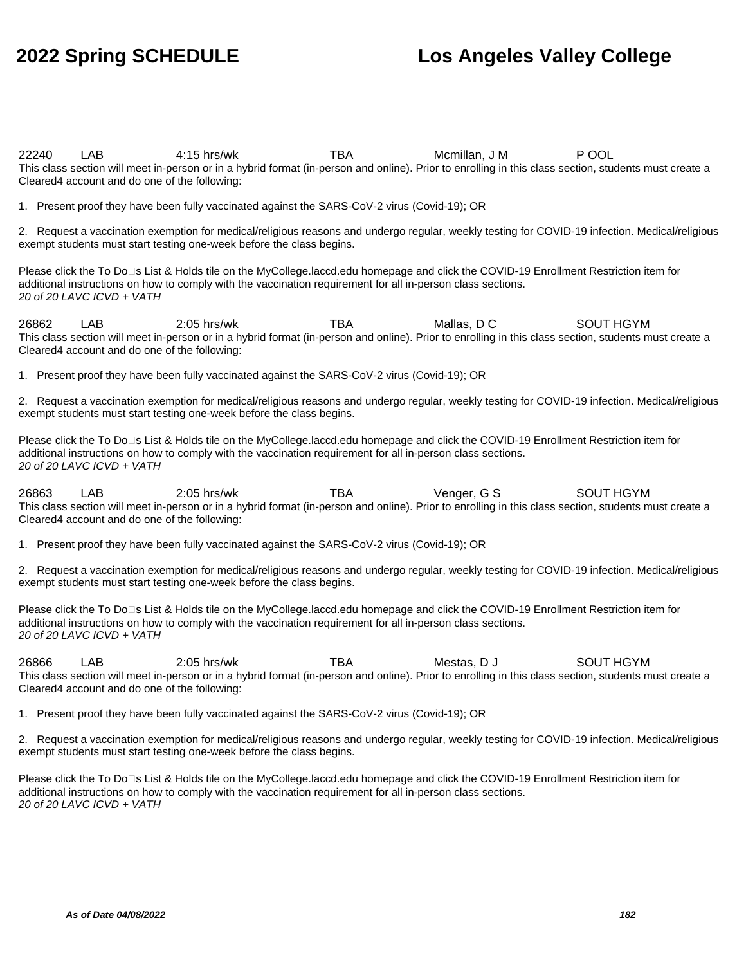22240 LAB 4:15 hrs/wk TBA Mcmillan, J M P OOL This class section will meet in-person or in a hybrid format (in-person and online). Prior to enrolling in this class section, students must create a Cleared4 account and do one of the following:

1. Present proof they have been fully vaccinated against the SARS-CoV-2 virus (Covid-19); OR

2. Request a vaccination exemption for medical/religious reasons and undergo regular, weekly testing for COVID-19 infection. Medical/religious exempt students must start testing one-week before the class begins.

Please click the To Do□s List & Holds tile on the MyCollege.laccd.edu homepage and click the COVID-19 Enrollment Restriction item for additional instructions on how to comply with the vaccination requirement for all in-person class sections. 20 of 20 LAVC ICVD + VATH

26862 LAB 2:05 hrs/wk TBA Mallas, D C SOUT HGYM This class section will meet in-person or in a hybrid format (in-person and online). Prior to enrolling in this class section, students must create a Cleared4 account and do one of the following:

1. Present proof they have been fully vaccinated against the SARS-CoV-2 virus (Covid-19); OR

2. Request a vaccination exemption for medical/religious reasons and undergo regular, weekly testing for COVID-19 infection. Medical/religious exempt students must start testing one-week before the class begins.

Please click the To Do<sup>n</sup>s List & Holds tile on the MyCollege.laccd.edu homepage and click the COVID-19 Enrollment Restriction item for additional instructions on how to comply with the vaccination requirement for all in-person class sections. 20 of 20 LAVC ICVD + VATH

26863 LAB 2:05 hrs/wk TBA Venger, G S SOUT HGYM This class section will meet in-person or in a hybrid format (in-person and online). Prior to enrolling in this class section, students must create a Cleared4 account and do one of the following:

1. Present proof they have been fully vaccinated against the SARS-CoV-2 virus (Covid-19); OR

2. Request a vaccination exemption for medical/religious reasons and undergo regular, weekly testing for COVID-19 infection. Medical/religious exempt students must start testing one-week before the class begins.

Please click the To Do⊡s List & Holds tile on the MyCollege.laccd.edu homepage and click the COVID-19 Enrollment Restriction item for additional instructions on how to comply with the vaccination requirement for all in-person class sections. 20 of 20 LAVC ICVD + VATH

26866 LAB 2:05 hrs/wk TBA Mestas, D J SOUT HGYM This class section will meet in-person or in a hybrid format (in-person and online). Prior to enrolling in this class section, students must create a Cleared4 account and do one of the following:

1. Present proof they have been fully vaccinated against the SARS-CoV-2 virus (Covid-19); OR

2. Request a vaccination exemption for medical/religious reasons and undergo regular, weekly testing for COVID-19 infection. Medical/religious exempt students must start testing one-week before the class begins.

Please click the To Do<sup>n</sup>s List & Holds tile on the MyCollege.laccd.edu homepage and click the COVID-19 Enrollment Restriction item for additional instructions on how to comply with the vaccination requirement for all in-person class sections. 20 of 20 LAVC ICVD + VATH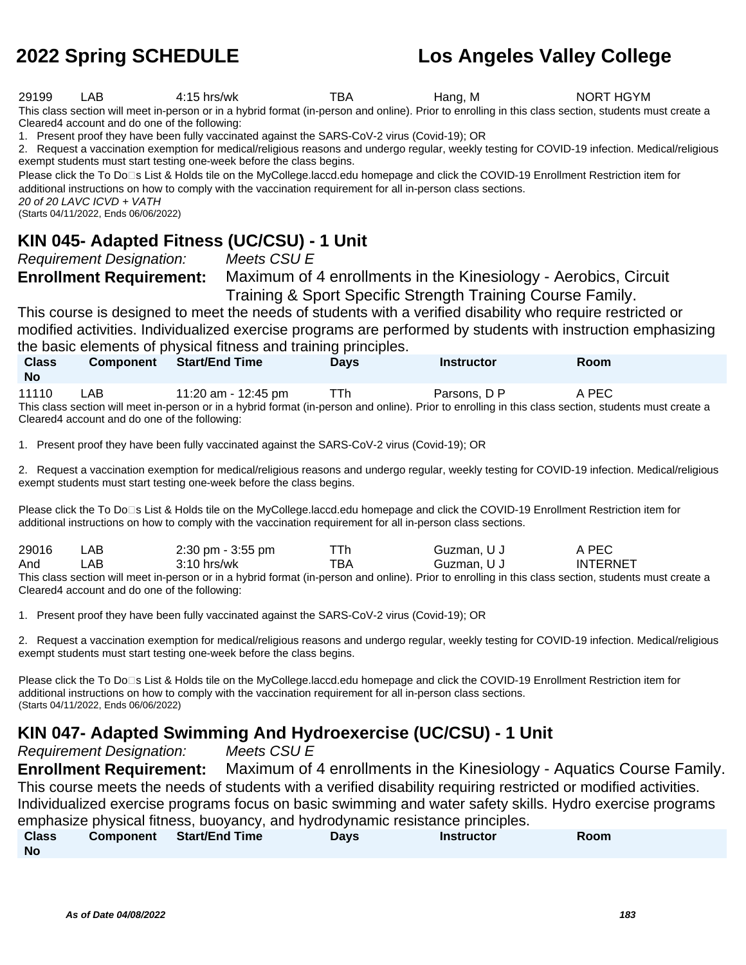29199 LAB 4:15 hrs/wk TBA Hang, M NORT HGYM

This class section will meet in-person or in a hybrid format (in-person and online). Prior to enrolling in this class section, students must create a Cleared4 account and do one of the following:

1. Present proof they have been fully vaccinated against the SARS-CoV-2 virus (Covid-19); OR

2. Request a vaccination exemption for medical/religious reasons and undergo regular, weekly testing for COVID-19 infection. Medical/religious exempt students must start testing one-week before the class begins.

Please click the To Do<sup>n</sup>s List & Holds tile on the MyCollege.laccd.edu homepage and click the COVID-19 Enrollment Restriction item for additional instructions on how to comply with the vaccination requirement for all in-person class sections. 20 of 20 LAVC ICVD + VATH

(Starts 04/11/2022, Ends 06/06/2022)

#### **KIN 045- Adapted Fitness (UC/CSU) - 1 Unit**

Requirement Designation: Meets CSU E

**Enrollment Requirement:** Maximum of 4 enrollments in the Kinesiology - Aerobics, Circuit Training & Sport Specific Strength Training Course Family.

This course is designed to meet the needs of students with a verified disability who require restricted or modified activities. Individualized exercise programs are performed by students with instruction emphasizing the basic elements of physical fitness and training principles.

| <b>Class</b><br><b>No</b>                                                                                                                             | <b>Component</b>                              | <b>Start/End Time</b> | <b>Days</b> | <b>Instructor</b> | <b>Room</b> |  |  |  |
|-------------------------------------------------------------------------------------------------------------------------------------------------------|-----------------------------------------------|-----------------------|-------------|-------------------|-------------|--|--|--|
| 11110                                                                                                                                                 | _AB                                           | 11:20 am - 12:45 pm   | TTh         | Parsons, D P      | A PEC       |  |  |  |
| This class section will meet in-person or in a hybrid format (in-person and online). Prior to enrolling in this class section, students must create a |                                               |                       |             |                   |             |  |  |  |
|                                                                                                                                                       | Cleared4 account and do one of the following: |                       |             |                   |             |  |  |  |

1. Present proof they have been fully vaccinated against the SARS-CoV-2 virus (Covid-19); OR

2. Request a vaccination exemption for medical/religious reasons and undergo regular, weekly testing for COVID-19 infection. Medical/religious exempt students must start testing one-week before the class begins.

Please click the To Do<sup>n</sup>s List & Holds tile on the MyCollege.laccd.edu homepage and click the COVID-19 Enrollment Restriction item for additional instructions on how to comply with the vaccination requirement for all in-person class sections.

| 29016 | ∟AB                                            | 2:30 pm - 3:55 pm                                                                                                                                     | TTh. | Guzman, U J | A PEC           |  |  |  |
|-------|------------------------------------------------|-------------------------------------------------------------------------------------------------------------------------------------------------------|------|-------------|-----------------|--|--|--|
| And   | _AB                                            | $3:10$ hrs/wk                                                                                                                                         | TBA  | Guzman, U J | <b>INTERNET</b> |  |  |  |
|       |                                                | This class section will meet in-person or in a hybrid format (in-person and online). Prior to enrolling in this class section, students must create a |      |             |                 |  |  |  |
|       | Cleared 4 account and do one of the following: |                                                                                                                                                       |      |             |                 |  |  |  |

1. Present proof they have been fully vaccinated against the SARS-CoV-2 virus (Covid-19); OR

2. Request a vaccination exemption for medical/religious reasons and undergo regular, weekly testing for COVID-19 infection. Medical/religious exempt students must start testing one-week before the class begins.

Please click the To Do<sup>n</sup>s List & Holds tile on the MyCollege.laccd.edu homepage and click the COVID-19 Enrollment Restriction item for additional instructions on how to comply with the vaccination requirement for all in-person class sections. (Starts 04/11/2022, Ends 06/06/2022)

### **KIN 047- Adapted Swimming And Hydroexercise (UC/CSU) - 1 Unit**

Requirement Designation: Meets CSU E

**Enrollment Requirement:** Maximum of 4 enrollments in the Kinesiology - Aquatics Course Family. This course meets the needs of students with a verified disability requiring restricted or modified activities. Individualized exercise programs focus on basic swimming and water safety skills. Hydro exercise programs emphasize physical fitness, buoyancy, and hydrodynamic resistance principles.

| <b>Class</b> | Component | Start/End Time | Davs | <b>Instructor</b> | Room |
|--------------|-----------|----------------|------|-------------------|------|
| <b>No</b>    |           |                |      |                   |      |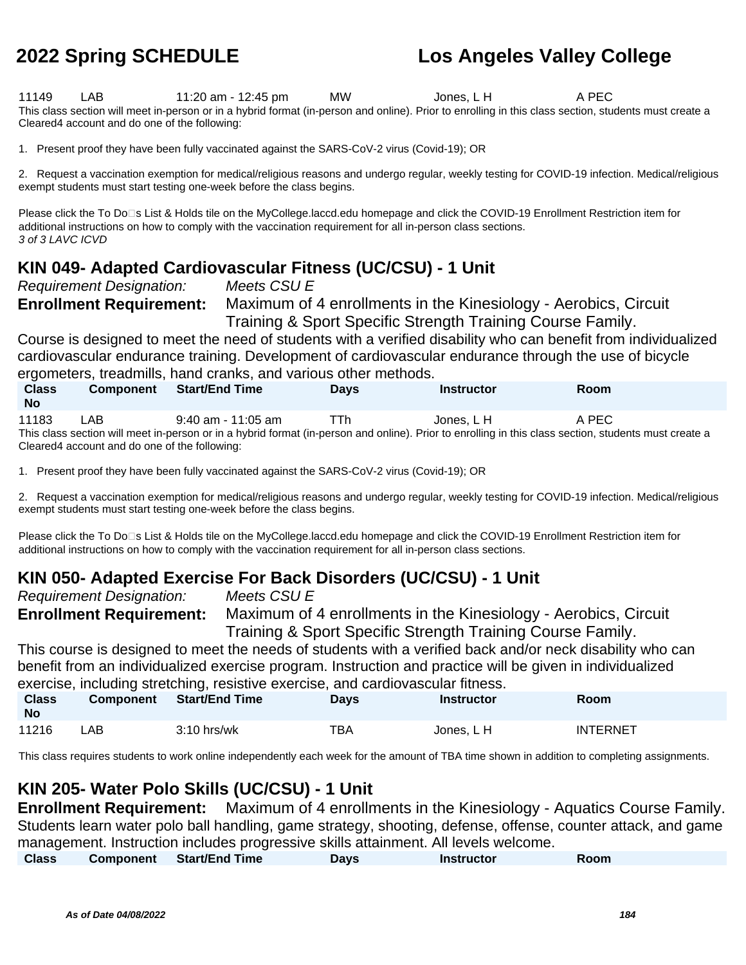11149 LAB 11:20 am - 12:45 pm MW Jones, L H A PEC This class section will meet in-person or in a hybrid format (in-person and online). Prior to enrolling in this class section, students must create a Cleared4 account and do one of the following:

1. Present proof they have been fully vaccinated against the SARS-CoV-2 virus (Covid-19); OR

2. Request a vaccination exemption for medical/religious reasons and undergo regular, weekly testing for COVID-19 infection. Medical/religious exempt students must start testing one-week before the class begins.

Please click the To Do<sup>n</sup>s List & Holds tile on the MyCollege.laccd.edu homepage and click the COVID-19 Enrollment Restriction item for additional instructions on how to comply with the vaccination requirement for all in-person class sections. 3 of 3 LAVC ICVD

### **KIN 049- Adapted Cardiovascular Fitness (UC/CSU) - 1 Unit**

Requirement Designation: Meets CSU E

**Enrollment Requirement:** Maximum of 4 enrollments in the Kinesiology - Aerobics, Circuit Training & Sport Specific Strength Training Course Family.

Course is designed to meet the need of students with a verified disability who can benefit from individualized cardiovascular endurance training. Development of cardiovascular endurance through the use of bicycle ergometers, treadmills, hand cranks, and various other methods.

| <b>Class</b><br><b>No</b> | <b>Component</b> | <b>Start/End Time</b>                                                                                                                                 | <b>Davs</b> | Instructor | Room  |
|---------------------------|------------------|-------------------------------------------------------------------------------------------------------------------------------------------------------|-------------|------------|-------|
| 11183                     | LAB              | $9:40$ am - 11:05 am                                                                                                                                  | TTh         | Jones. L H | A PEC |
|                           |                  | This class section will meet in-person or in a hybrid format (in-person and online). Prior to enrolling in this class section, students must create a |             |            |       |

Cleared4 account and do one of the following:

1. Present proof they have been fully vaccinated against the SARS-CoV-2 virus (Covid-19); OR

2. Request a vaccination exemption for medical/religious reasons and undergo regular, weekly testing for COVID-19 infection. Medical/religious exempt students must start testing one-week before the class begins.

Please click the To Do<sup>n</sup>s List & Holds tile on the MyCollege.laccd.edu homepage and click the COVID-19 Enrollment Restriction item for additional instructions on how to comply with the vaccination requirement for all in-person class sections.

### **KIN 050- Adapted Exercise For Back Disorders (UC/CSU) - 1 Unit**

Requirement Designation: Meets CSU E **Enrollment Requirement:** Maximum of 4 enrollments in the Kinesiology - Aerobics, Circuit

Training & Sport Specific Strength Training Course Family. This course is designed to meet the needs of students with a verified back and/or neck disability who can

benefit from an individualized exercise program. Instruction and practice will be given in individualized exercise, including stretching, resistive exercise, and cardiovascular fitness.

| <b>Class</b><br><b>No</b> | <b>Component</b> | <b>Start/End Time</b> | <b>Days</b> | <b>Instructor</b> | <b>Room</b>     |
|---------------------------|------------------|-----------------------|-------------|-------------------|-----------------|
| 11216                     | LAB.             | $3:10$ hrs/wk         | TBA         | Jones. L H        | <b>INTERNET</b> |

This class requires students to work online independently each week for the amount of TBA time shown in addition to completing assignments.

### **KIN 205- Water Polo Skills (UC/CSU) - 1 Unit**

**Enrollment Requirement:** Maximum of 4 enrollments in the Kinesiology - Aquatics Course Family. Students learn water polo ball handling, game strategy, shooting, defense, offense, counter attack, and game management. Instruction includes progressive skills attainment. All levels welcome.

| <b>Class</b> | Component Start/End Time | <b>Days</b> | <b>Instructor</b> | Room |  |
|--------------|--------------------------|-------------|-------------------|------|--|
|              |                          |             |                   |      |  |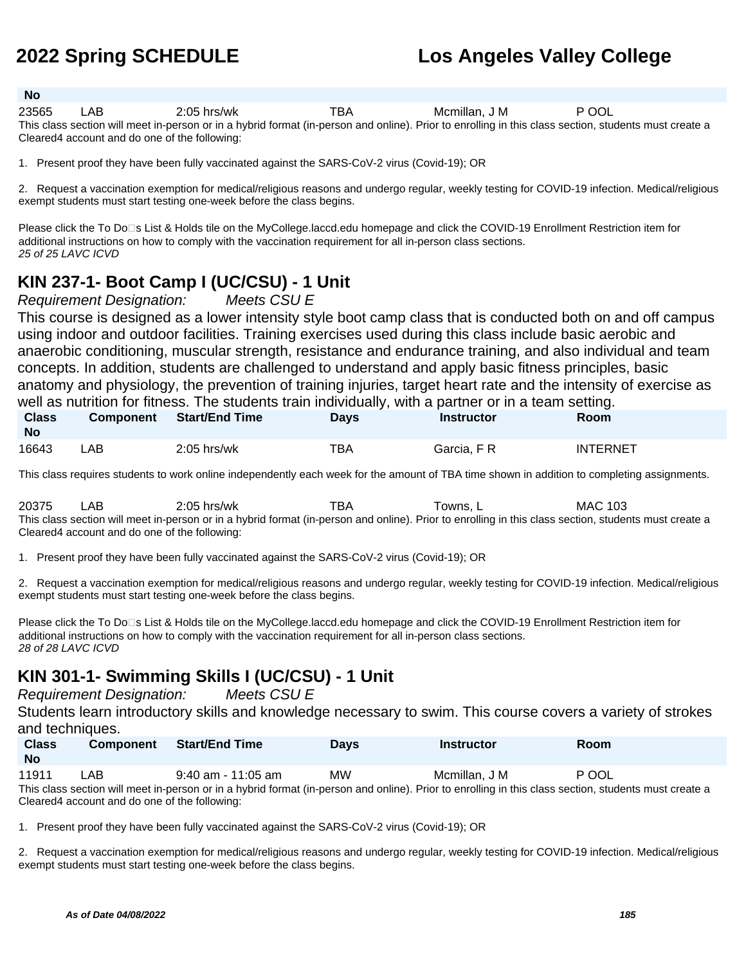#### **No**

| 23565 | $2:05$ hrs/wk                                                                                                                                         | Mcmillan, J M | JUL |  |
|-------|-------------------------------------------------------------------------------------------------------------------------------------------------------|---------------|-----|--|
|       | This close soction will meet in person er in a bybrid format (in person and opling). Prior to eprolling in this close soction, students must create a |               |     |  |

This class section will meet in-person or in a hybrid format (in-person and online). Prior to enrolling in this class section, students must create a Cleared4 account and do one of the following:

1. Present proof they have been fully vaccinated against the SARS-CoV-2 virus (Covid-19); OR

2. Request a vaccination exemption for medical/religious reasons and undergo regular, weekly testing for COVID-19 infection. Medical/religious exempt students must start testing one-week before the class begins.

Please click the To Do<sup>n</sup>s List & Holds tile on the MyCollege.laccd.edu homepage and click the COVID-19 Enrollment Restriction item for additional instructions on how to comply with the vaccination requirement for all in-person class sections. 25 of 25 LAVC ICVD

### **KIN 237-1- Boot Camp I (UC/CSU) - 1 Unit**

Requirement Designation: Meets CSU E

This course is designed as a lower intensity style boot camp class that is conducted both on and off campus using indoor and outdoor facilities. Training exercises used during this class include basic aerobic and anaerobic conditioning, muscular strength, resistance and endurance training, and also individual and team concepts. In addition, students are challenged to understand and apply basic fitness principles, basic anatomy and physiology, the prevention of training injuries, target heart rate and the intensity of exercise as well as nutrition for fitness. The students train individually, with a partner or in a team setting.

| <b>Class</b><br>No | <b>Component</b> | <b>Start/End Time</b> | Days | Instructor  | Room            |
|--------------------|------------------|-----------------------|------|-------------|-----------------|
| 16643              | .AB              | $2:05$ hrs/wk         | TBA  | Garcia. F R | <b>INTERNET</b> |

This class requires students to work online independently each week for the amount of TBA time shown in addition to completing assignments.

20375 LAB 2:05 hrs/wk TBA Towns, L MAC 103 This class section will meet in-person or in a hybrid format (in-person and online). Prior to enrolling in this class section, students must create a Cleared4 account and do one of the following:

1. Present proof they have been fully vaccinated against the SARS-CoV-2 virus (Covid-19); OR

2. Request a vaccination exemption for medical/religious reasons and undergo regular, weekly testing for COVID-19 infection. Medical/religious exempt students must start testing one-week before the class begins.

Please click the To Do<sup>n</sup>s List & Holds tile on the MyCollege.laccd.edu homepage and click the COVID-19 Enrollment Restriction item for additional instructions on how to comply with the vaccination requirement for all in-person class sections. 28 of 28 LAVC ICVD

### **KIN 301-1- Swimming Skills I (UC/CSU) - 1 Unit**

Requirement Designation: Meets CSU E

Students learn introductory skills and knowledge necessary to swim. This course covers a variety of strokes and techniques.

| <b>Class</b><br><b>No</b> | <b>Component</b> | Start/End Time       | <b>Days</b> | <b>Instructor</b> | Room  |
|---------------------------|------------------|----------------------|-------------|-------------------|-------|
| 11911                     | LAB.             | $9:40$ am - 11:05 am | ΜW          | Mcmillan, J M     | P OOL |

This class section will meet in-person or in a hybrid format (in-person and online). Prior to enrolling in this class section, students must create a Cleared4 account and do one of the following:

1. Present proof they have been fully vaccinated against the SARS-CoV-2 virus (Covid-19); OR

2. Request a vaccination exemption for medical/religious reasons and undergo regular, weekly testing for COVID-19 infection. Medical/religious exempt students must start testing one-week before the class begins.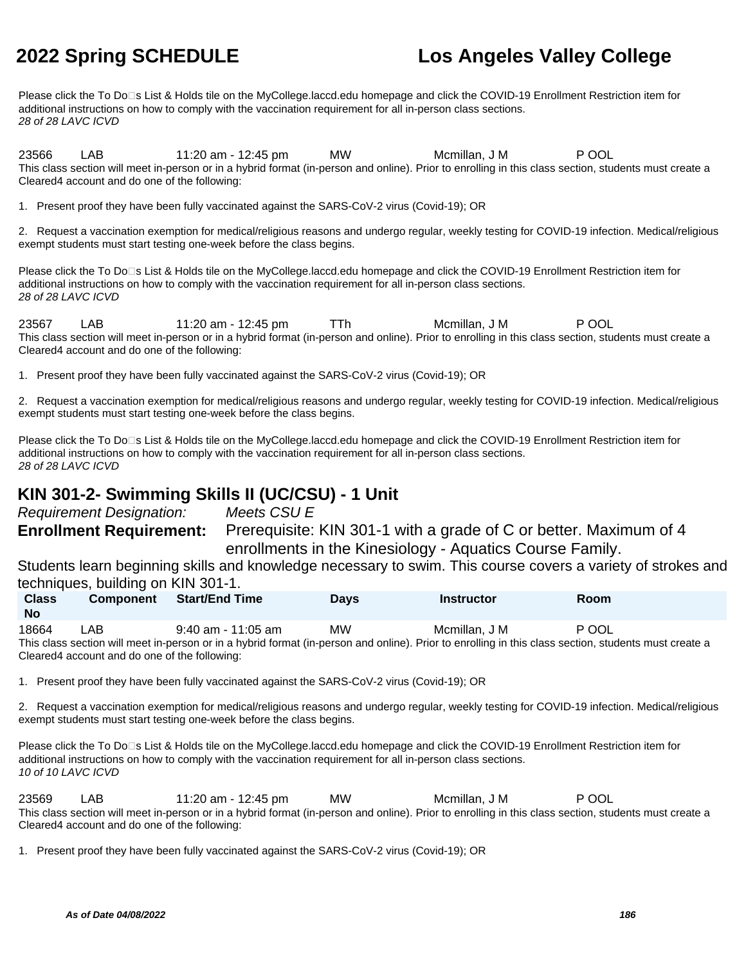Please click the To Do<sup>n</sup>s List & Holds tile on the MyCollege.laccd.edu homepage and click the COVID-19 Enrollment Restriction item for additional instructions on how to comply with the vaccination requirement for all in-person class sections. 28 of 28 LAVC ICVD

23566 LAB 11:20 am - 12:45 pm MW Mcmillan, J M P OOL This class section will meet in-person or in a hybrid format (in-person and online). Prior to enrolling in this class section, students must create a Cleared4 account and do one of the following:

1. Present proof they have been fully vaccinated against the SARS-CoV-2 virus (Covid-19); OR

2. Request a vaccination exemption for medical/religious reasons and undergo regular, weekly testing for COVID-19 infection. Medical/religious exempt students must start testing one-week before the class begins.

Please click the To Do□s List & Holds tile on the MyCollege.laccd.edu homepage and click the COVID-19 Enrollment Restriction item for additional instructions on how to comply with the vaccination requirement for all in-person class sections. 28 of 28 LAVC ICVD

23567 LAB 11:20 am - 12:45 pm TTh Mcmillan, J M P OOL This class section will meet in-person or in a hybrid format (in-person and online). Prior to enrolling in this class section, students must create a Cleared4 account and do one of the following:

1. Present proof they have been fully vaccinated against the SARS-CoV-2 virus (Covid-19); OR

2. Request a vaccination exemption for medical/religious reasons and undergo regular, weekly testing for COVID-19 infection. Medical/religious exempt students must start testing one-week before the class begins.

Please click the To Do<sup>n</sup>s List & Holds tile on the MyCollege.laccd.edu homepage and click the COVID-19 Enrollment Restriction item for additional instructions on how to comply with the vaccination requirement for all in-person class sections. 28 of 28 LAVC ICVD

### **KIN 301-2- Swimming Skills II (UC/CSU) - 1 Unit**

Requirement Designation: Meets CSU E **Enrollment Requirement:** Prerequisite: KIN 301-1 with a grade of C or better. Maximum of 4 enrollments in the Kinesiology - Aquatics Course Family.

Students learn beginning skills and knowledge necessary to swim. This course covers a variety of strokes and techniques, building on KIN 301-1.

| <b>Class</b> | <b>Component</b>                              | <b>Start/End Time</b> | <b>Davs</b> | <b>Instructor</b>                                                                                                                                     | <b>Room</b> |  |
|--------------|-----------------------------------------------|-----------------------|-------------|-------------------------------------------------------------------------------------------------------------------------------------------------------|-------------|--|
| <b>No</b>    |                                               |                       |             |                                                                                                                                                       |             |  |
| 18664        | LAB.                                          | $9:40$ am - 11:05 am  | <b>MW</b>   | Mcmillan, J M                                                                                                                                         | P OOL       |  |
|              |                                               |                       |             | This class section will meet in-person or in a hybrid format (in-person and online). Prior to enrolling in this class section, students must create a |             |  |
|              | Cleared4 account and do one of the following: |                       |             |                                                                                                                                                       |             |  |

1. Present proof they have been fully vaccinated against the SARS-CoV-2 virus (Covid-19); OR

2. Request a vaccination exemption for medical/religious reasons and undergo regular, weekly testing for COVID-19 infection. Medical/religious exempt students must start testing one-week before the class begins.

Please click the To Do□s List & Holds tile on the MyCollege.laccd.edu homepage and click the COVID-19 Enrollment Restriction item for additional instructions on how to comply with the vaccination requirement for all in-person class sections. 10 of 10 LAVC ICVD

23569 LAB 11:20 am - 12:45 pm MW Mcmillan, J M P OOL This class section will meet in-person or in a hybrid format (in-person and online). Prior to enrolling in this class section, students must create a Cleared4 account and do one of the following:

1. Present proof they have been fully vaccinated against the SARS-CoV-2 virus (Covid-19); OR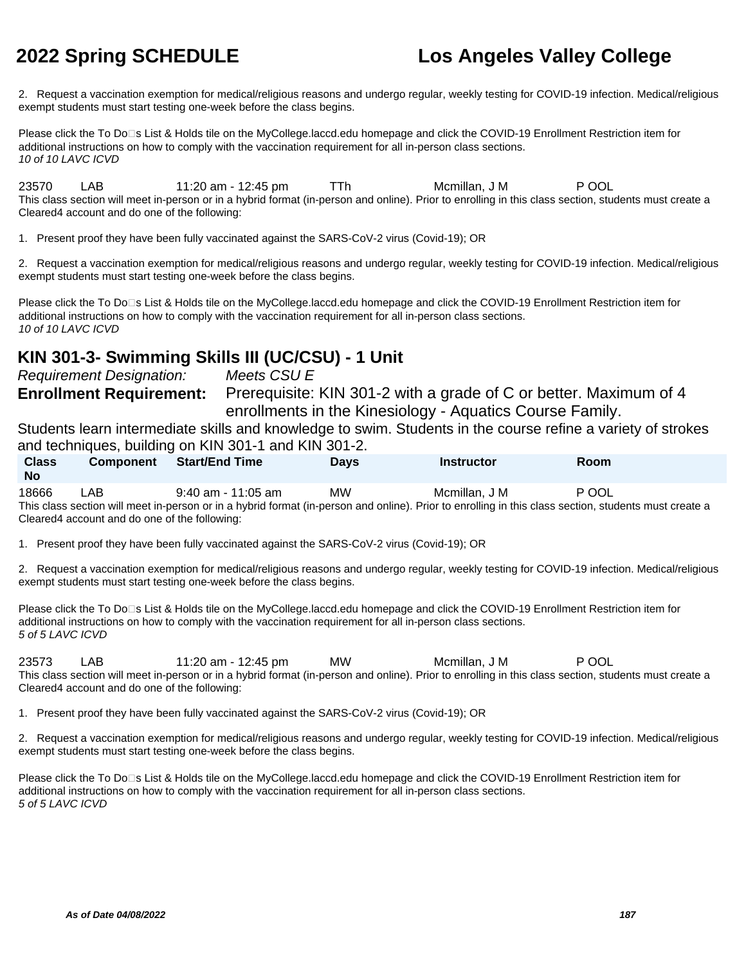2. Request a vaccination exemption for medical/religious reasons and undergo regular, weekly testing for COVID-19 infection. Medical/religious exempt students must start testing one-week before the class begins.

Please click the To Do<sup>n</sup>s List & Holds tile on the MyCollege.laccd.edu homepage and click the COVID-19 Enrollment Restriction item for additional instructions on how to comply with the vaccination requirement for all in-person class sections. 10 of 10 LAVC ICVD

23570 LAB 11:20 am - 12:45 pm TTh Mcmillan, J M P OOL This class section will meet in-person or in a hybrid format (in-person and online). Prior to enrolling in this class section, students must create a Cleared4 account and do one of the following:

1. Present proof they have been fully vaccinated against the SARS-CoV-2 virus (Covid-19); OR

2. Request a vaccination exemption for medical/religious reasons and undergo regular, weekly testing for COVID-19 infection. Medical/religious exempt students must start testing one-week before the class begins.

Please click the To Do⊡s List & Holds tile on the MyCollege.laccd.edu homepage and click the COVID-19 Enrollment Restriction item for additional instructions on how to comply with the vaccination requirement for all in-person class sections. 10 of 10 LAVC ICVD

### **KIN 301-3- Swimming Skills III (UC/CSU) - 1 Unit**

Requirement Designation: Meets CSU E **Enrollment Requirement:** Prerequisite: KIN 301-2 with a grade of C or better. Maximum of 4 enrollments in the Kinesiology - Aquatics Course Family.

Students learn intermediate skills and knowledge to swim. Students in the course refine a variety of strokes and techniques, building on KIN 301-1 and KIN 301-2.

| <b>Class</b><br><b>No</b> | <b>Component</b>                               | <b>Start/End Time</b>                                                                                                                                 | <b>Davs</b> | <b>Instructor</b> | <b>Room</b> |
|---------------------------|------------------------------------------------|-------------------------------------------------------------------------------------------------------------------------------------------------------|-------------|-------------------|-------------|
| 18666                     | LAB                                            | $9:40$ am - 11:05 am                                                                                                                                  | МW          | Mcmillan. J M     | P OOL       |
|                           |                                                | This class section will meet in-person or in a hybrid format (in-person and online). Prior to enrolling in this class section, students must create a |             |                   |             |
|                           | Cleared 4 account and do one of the following: |                                                                                                                                                       |             |                   |             |

1. Present proof they have been fully vaccinated against the SARS-CoV-2 virus (Covid-19); OR

2. Request a vaccination exemption for medical/religious reasons and undergo regular, weekly testing for COVID-19 infection. Medical/religious exempt students must start testing one-week before the class begins.

Please click the To Do<sup>n</sup>s List & Holds tile on the MyCollege.laccd.edu homepage and click the COVID-19 Enrollment Restriction item for additional instructions on how to comply with the vaccination requirement for all in-person class sections. 5 of 5 LAVC ICVD

23573 LAB 11:20 am - 12:45 pm MW Mcmillan, J M P OOL This class section will meet in-person or in a hybrid format (in-person and online). Prior to enrolling in this class section, students must create a Cleared4 account and do one of the following:

1. Present proof they have been fully vaccinated against the SARS-CoV-2 virus (Covid-19); OR

2. Request a vaccination exemption for medical/religious reasons and undergo regular, weekly testing for COVID-19 infection. Medical/religious exempt students must start testing one-week before the class begins.

Please click the To Do<sup>n</sup>s List & Holds tile on the MyCollege.laccd.edu homepage and click the COVID-19 Enrollment Restriction item for additional instructions on how to comply with the vaccination requirement for all in-person class sections. 5 of 5 LAVC ICVD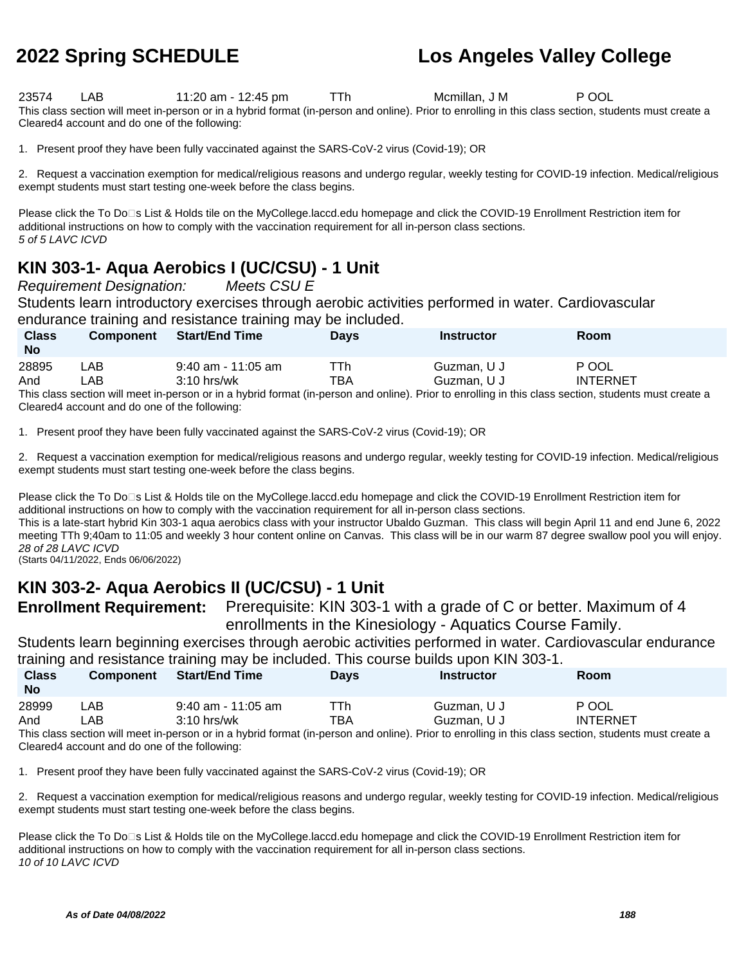23574 LAB 11:20 am - 12:45 pm TTh Mcmillan, J M P OOL This class section will meet in-person or in a hybrid format (in-person and online). Prior to enrolling in this class section, students must create a Cleared4 account and do one of the following:

1. Present proof they have been fully vaccinated against the SARS-CoV-2 virus (Covid-19); OR

2. Request a vaccination exemption for medical/religious reasons and undergo regular, weekly testing for COVID-19 infection. Medical/religious exempt students must start testing one-week before the class begins.

Please click the To Do<sup>n</sup>s List & Holds tile on the MyCollege.laccd.edu homepage and click the COVID-19 Enrollment Restriction item for additional instructions on how to comply with the vaccination requirement for all in-person class sections. 5 of 5 LAVC ICVD

### **KIN 303-1- Aqua Aerobics I (UC/CSU) - 1 Unit**

Requirement Designation: Meets CSU E

Students learn introductory exercises through aerobic activities performed in water. Cardiovascular endurance training and resistance training may be included.

| <b>Class</b><br><b>No</b> | <b>Component</b> | <b>Start/End Time</b> | <b>Davs</b> | Instructor  | Room                                                                                                                                                  |  |
|---------------------------|------------------|-----------------------|-------------|-------------|-------------------------------------------------------------------------------------------------------------------------------------------------------|--|
| 28895                     | ∟AB.             | $9:40$ am - 11:05 am  | ⊤Th         | Guzman, U J | P OOL                                                                                                                                                 |  |
| And                       | _AB              | $3:10$ hrs/wk         | TBA         | Guzman, U J | <b>INTERNET</b>                                                                                                                                       |  |
|                           |                  |                       |             |             | This class section will meet in-person or in a hybrid format (in-person and online). Prior to enrolling in this class section, students must create a |  |

section will meet in-person or in a hybrid format (in-person and online). Prior to enrolling in this class section, students must create a Cleared4 account and do one of the following:

1. Present proof they have been fully vaccinated against the SARS-CoV-2 virus (Covid-19); OR

2. Request a vaccination exemption for medical/religious reasons and undergo regular, weekly testing for COVID-19 infection. Medical/religious exempt students must start testing one-week before the class begins.

Please click the To Do<sup>n</sup>s List & Holds tile on the MyCollege.laccd.edu homepage and click the COVID-19 Enrollment Restriction item for additional instructions on how to comply with the vaccination requirement for all in-person class sections.

This is a late-start hybrid Kin 303-1 aqua aerobics class with your instructor Ubaldo Guzman. This class will begin April 11 and end June 6, 2022 meeting TTh 9;40am to 11:05 and weekly 3 hour content online on Canvas. This class will be in our warm 87 degree swallow pool you will enjoy. 28 of 28 LAVC ICVD

(Starts 04/11/2022, Ends 06/06/2022)

### **KIN 303-2- Aqua Aerobics II (UC/CSU) - 1 Unit**

**Enrollment Requirement:** Prerequisite: KIN 303-1 with a grade of C or better. Maximum of 4 enrollments in the Kinesiology - Aquatics Course Family.

Students learn beginning exercises through aerobic activities performed in water. Cardiovascular endurance training and resistance training may be included. This course builds upon KIN 303-1.

| <b>Class</b><br><b>No</b> | <b>Component</b> | <b>Start/End Time</b> | <b>Days</b> | <b>Instructor</b>                                                                                                                                     | Room            |
|---------------------------|------------------|-----------------------|-------------|-------------------------------------------------------------------------------------------------------------------------------------------------------|-----------------|
| 28999                     | LAB.             | 9:40 am - 11:05 am    | ГTh         | Guzman, U J                                                                                                                                           | P OOL           |
| And                       | _AB.             | $3:10$ hrs/wk         | тва         | Guzman, U J                                                                                                                                           | <b>INTERNET</b> |
|                           |                  |                       |             | This class section will meet in-person or in a hybrid format (in-person and online). Prior to enrolling in this class section, students must create a |                 |

prid format (in-person and online). Prior to enrolling in this class section, students must create a Cleared4 account and do one of the following:

1. Present proof they have been fully vaccinated against the SARS-CoV-2 virus (Covid-19); OR

2. Request a vaccination exemption for medical/religious reasons and undergo regular, weekly testing for COVID-19 infection. Medical/religious exempt students must start testing one-week before the class begins.

Please click the To Do<sup>n</sup>s List & Holds tile on the MyCollege.laccd.edu homepage and click the COVID-19 Enrollment Restriction item for additional instructions on how to comply with the vaccination requirement for all in-person class sections. 10 of 10 LAVC ICVD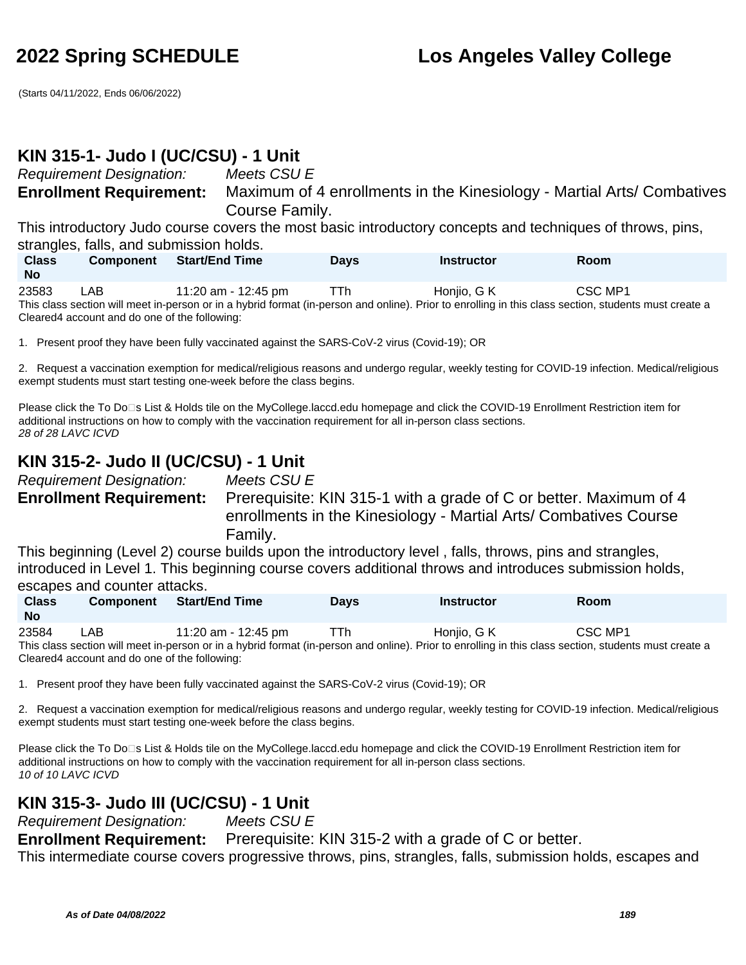(Starts 04/11/2022, Ends 06/06/2022)

#### **KIN 315-1- Judo I (UC/CSU) - 1 Unit**

Requirement Designation: Meets CSU E

**Enrollment Requirement:** Maximum of 4 enrollments in the Kinesiology - Martial Arts/ Combatives Course Family.

This introductory Judo course covers the most basic introductory concepts and techniques of throws, pins, strangles, falls, and submission holds.

| <b>Class</b> | <b>Component</b>                              | <b>Start/End Time</b> | <b>Davs</b> | <b>Instructor</b>                                                                                                                                     | Room    |  |
|--------------|-----------------------------------------------|-----------------------|-------------|-------------------------------------------------------------------------------------------------------------------------------------------------------|---------|--|
| <b>No</b>    |                                               |                       |             |                                                                                                                                                       |         |  |
| 23583        | LAB.                                          | 11:20 am - 12:45 pm   | TTh         | Honiio. G K                                                                                                                                           | CSC MP1 |  |
|              |                                               |                       |             | This class section will meet in-person or in a hybrid format (in-person and online). Prior to enrolling in this class section, students must create a |         |  |
|              | Cleared4 account and do one of the following: |                       |             |                                                                                                                                                       |         |  |

1. Present proof they have been fully vaccinated against the SARS-CoV-2 virus (Covid-19); OR

2. Request a vaccination exemption for medical/religious reasons and undergo regular, weekly testing for COVID-19 infection. Medical/religious exempt students must start testing one-week before the class begins.

Please click the To Do⊡s List & Holds tile on the MyCollege.laccd.edu homepage and click the COVID-19 Enrollment Restriction item for additional instructions on how to comply with the vaccination requirement for all in-person class sections. 28 of 28 LAVC ICVD

#### **KIN 315-2- Judo II (UC/CSU) - 1 Unit**

Requirement Designation: Meets CSU E

**Enrollment Requirement:** Prerequisite: KIN 315-1 with a grade of C or better. Maximum of 4 enrollments in the Kinesiology - Martial Arts/ Combatives Course Family.

This beginning (Level 2) course builds upon the introductory level , falls, throws, pins and strangles, introduced in Level 1. This beginning course covers additional throws and introduces submission holds, escapes and counter attacks.

| <b>Class</b><br><b>No</b> | <b>Component</b> | Start/End Time                                                                                                                                                                                                                 | <b>Days</b> | Instructor  | Room    |  |
|---------------------------|------------------|--------------------------------------------------------------------------------------------------------------------------------------------------------------------------------------------------------------------------------|-------------|-------------|---------|--|
| 23584                     | LAB              | 11:20 am - 12:45 pm                                                                                                                                                                                                            | TTh.        | Honjio, G K | CSC MP1 |  |
|                           |                  | This shape a subset which we are a series a bubild famou for parameter and subject. Durante specified which also a subject abusine would as a series when the series of the series of the series of the series of the series o |             |             |         |  |

This class section will meet in-person or in a hybrid format (in-person and online). Prior to enrolling in this class section, students must create a Cleared4 account and do one of the following:

1. Present proof they have been fully vaccinated against the SARS-CoV-2 virus (Covid-19); OR

2. Request a vaccination exemption for medical/religious reasons and undergo regular, weekly testing for COVID-19 infection. Medical/religious exempt students must start testing one-week before the class begins.

Please click the To Do<sup>n</sup>s List & Holds tile on the MyCollege.laccd.edu homepage and click the COVID-19 Enrollment Restriction item for additional instructions on how to comply with the vaccination requirement for all in-person class sections. 10 of 10 LAVC ICVD

#### **KIN 315-3- Judo III (UC/CSU) - 1 Unit**

Requirement Designation: Meets CSU E **Enrollment Requirement:** Prerequisite: KIN 315-2 with a grade of C or better. This intermediate course covers progressive throws, pins, strangles, falls, submission holds, escapes and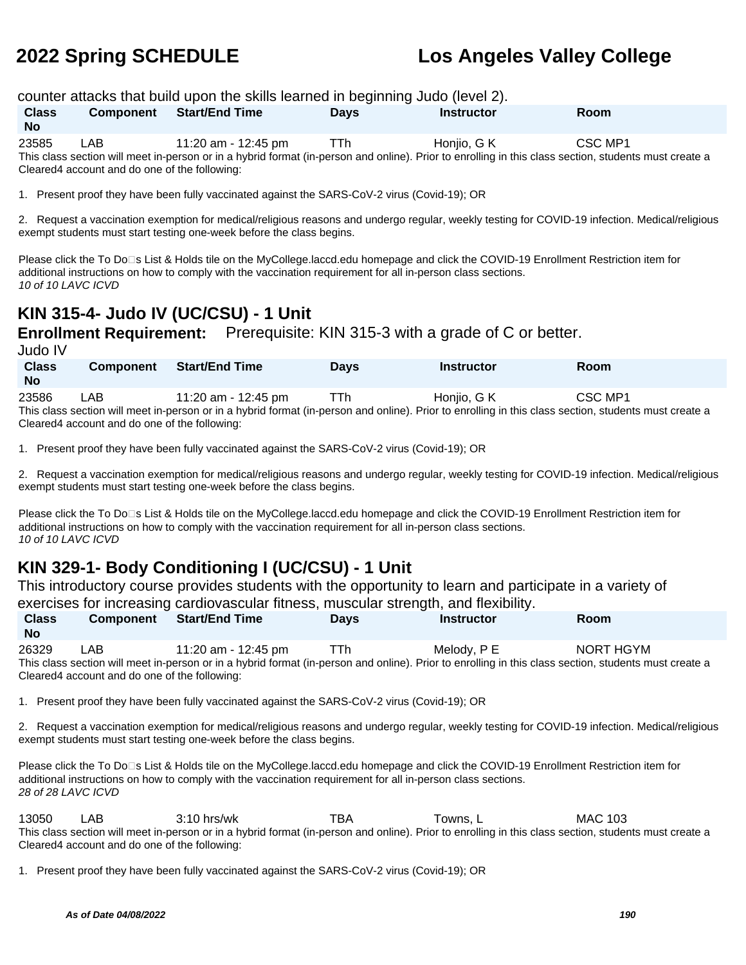counter attacks that build upon the skills learned in beginning Judo (level 2).

| <b>Class</b> | Component                                     | <b>Start/End Time</b> | <b>Davs</b> | <b>Instructor</b> | <b>Room</b>                                                                                                                                           |  |
|--------------|-----------------------------------------------|-----------------------|-------------|-------------------|-------------------------------------------------------------------------------------------------------------------------------------------------------|--|
| <b>No</b>    |                                               |                       |             |                   |                                                                                                                                                       |  |
| 23585        | LAB.                                          | 11:20 am - 12:45 pm   | <b>TTh</b>  | Honiio. G K       | CSC MP1                                                                                                                                               |  |
|              |                                               |                       |             |                   | This class section will meet in-person or in a hybrid format (in-person and online). Prior to enrolling in this class section, students must create a |  |
|              | Cleared4 account and do one of the following: |                       |             |                   |                                                                                                                                                       |  |

1. Present proof they have been fully vaccinated against the SARS-CoV-2 virus (Covid-19); OR

2. Request a vaccination exemption for medical/religious reasons and undergo regular, weekly testing for COVID-19 infection. Medical/religious exempt students must start testing one-week before the class begins.

Please click the To Do<sup>n</sup>s List & Holds tile on the MyCollege.laccd.edu homepage and click the COVID-19 Enrollment Restriction item for additional instructions on how to comply with the vaccination requirement for all in-person class sections. 10 of 10 LAVC ICVD

### **KIN 315-4- Judo IV (UC/CSU) - 1 Unit**

**Enrollment Requirement:** Prerequisite: KIN 315-3 with a grade of C or better.

Judo IV

| <b>Class</b><br><b>No</b> | <b>Component</b> | Start/End Time      | <b>Days</b> | Instructor  | Room    |  |
|---------------------------|------------------|---------------------|-------------|-------------|---------|--|
| 23586                     | LAB.             | 11:20 am - 12:45 pm | TTh         | Honjio, G K | CSC MP1 |  |

This class section will meet in-person or in a hybrid format (in-person and online). Prior to enrolling in this class section, students must create a Cleared4 account and do one of the following:

1. Present proof they have been fully vaccinated against the SARS-CoV-2 virus (Covid-19); OR

2. Request a vaccination exemption for medical/religious reasons and undergo regular, weekly testing for COVID-19 infection. Medical/religious exempt students must start testing one-week before the class begins.

Please click the To Do<sup>n</sup>s List & Holds tile on the MyCollege.laccd.edu homepage and click the COVID-19 Enrollment Restriction item for additional instructions on how to comply with the vaccination requirement for all in-person class sections. 10 of 10 LAVC ICVD

### **KIN 329-1- Body Conditioning I (UC/CSU) - 1 Unit**

This introductory course provides students with the opportunity to learn and participate in a variety of exercises for increasing cardiovascular fitness, muscular strength, and flexibility.

| <b>Class</b><br><b>No</b>                                                                                                                             | <b>Component</b>                              | <b>Start/End Time</b> | <b>Davs</b> | <b>Instructor</b> | Room      |  |
|-------------------------------------------------------------------------------------------------------------------------------------------------------|-----------------------------------------------|-----------------------|-------------|-------------------|-----------|--|
| 26329                                                                                                                                                 | LAB                                           | 11:20 am - 12:45 pm   | TTh         | Melodv. P E       | NORT HGYM |  |
| This class section will meet in-person or in a hybrid format (in-person and online). Prior to enrolling in this class section, students must create a |                                               |                       |             |                   |           |  |
|                                                                                                                                                       | Cleared4 account and do one of the following: |                       |             |                   |           |  |

1. Present proof they have been fully vaccinated against the SARS-CoV-2 virus (Covid-19); OR

2. Request a vaccination exemption for medical/religious reasons and undergo regular, weekly testing for COVID-19 infection. Medical/religious exempt students must start testing one-week before the class begins.

Please click the To Do<sup>n</sup>s List & Holds tile on the MyCollege.laccd.edu homepage and click the COVID-19 Enrollment Restriction item for additional instructions on how to comply with the vaccination requirement for all in-person class sections. 28 of 28 LAVC ICVD

13050 LAB 3:10 hrs/wk TBA Towns, L MAC 103 This class section will meet in-person or in a hybrid format (in-person and online). Prior to enrolling in this class section, students must create a Cleared4 account and do one of the following:

1. Present proof they have been fully vaccinated against the SARS-CoV-2 virus (Covid-19); OR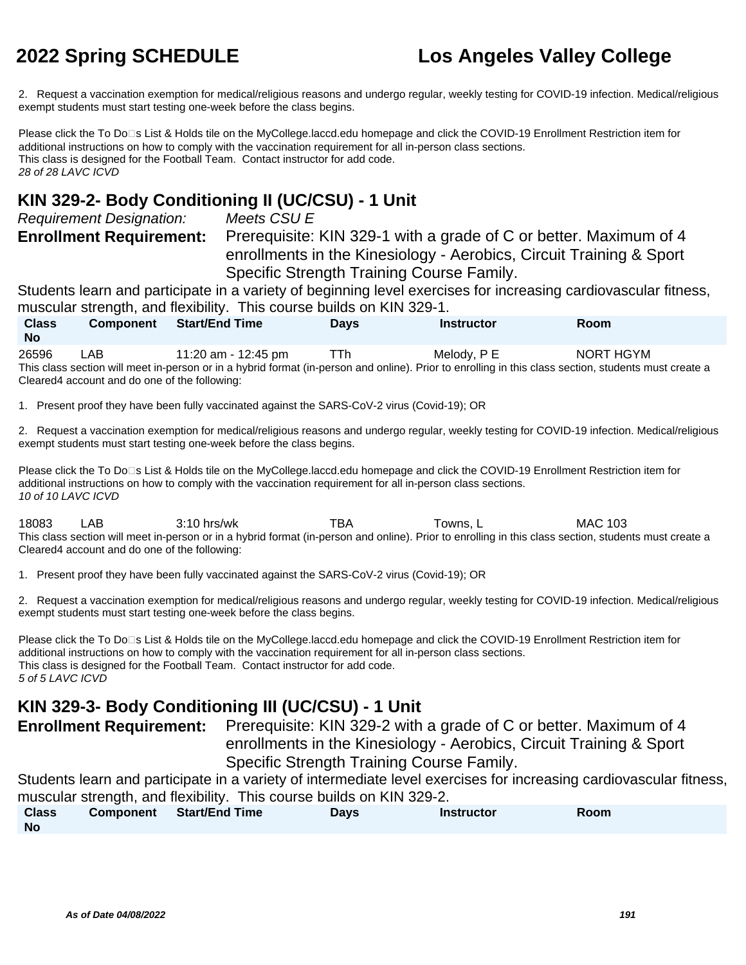2. Request a vaccination exemption for medical/religious reasons and undergo regular, weekly testing for COVID-19 infection. Medical/religious exempt students must start testing one-week before the class begins.

Please click the To Do<sup>n</sup>s List & Holds tile on the MyCollege.laccd.edu homepage and click the COVID-19 Enrollment Restriction item for additional instructions on how to comply with the vaccination requirement for all in-person class sections. This class is designed for the Football Team. Contact instructor for add code. 28 of 28 LAVC ICVD

#### **KIN 329-2- Body Conditioning II (UC/CSU) - 1 Unit**

Requirement Designation: Meets CSU E **Enrollment Requirement:** Prerequisite: KIN 329-1 with a grade of C or better. Maximum of 4 enrollments in the Kinesiology - Aerobics, Circuit Training & Sport Specific Strength Training Course Family.

Students learn and participate in a variety of beginning level exercises for increasing cardiovascular fitness, muscular strength, and flexibility. This course builds on KIN 329-1.

| <b>Class</b><br>No | <b>Component</b> | <b>Start/End Time</b> | <b>Days</b> | Instructor  | Room      |  |
|--------------------|------------------|-----------------------|-------------|-------------|-----------|--|
| 26596              | <b>LAB</b>       | 11:20 am - 12:45 pm   | ⊤Th         | Melody, P E | NORT HGYM |  |

This class section will meet in-person or in a hybrid format (in-person and online). Prior to enrolling in this class section, students must create a Cleared4 account and do one of the following:

1. Present proof they have been fully vaccinated against the SARS-CoV-2 virus (Covid-19); OR

2. Request a vaccination exemption for medical/religious reasons and undergo regular, weekly testing for COVID-19 infection. Medical/religious exempt students must start testing one-week before the class begins.

Please click the To Do□s List & Holds tile on the MyCollege.laccd.edu homepage and click the COVID-19 Enrollment Restriction item for additional instructions on how to comply with the vaccination requirement for all in-person class sections. 10 of 10 LAVC ICVD

18083 LAB 3:10 hrs/wk TBA Towns, L MAC 103 This class section will meet in-person or in a hybrid format (in-person and online). Prior to enrolling in this class section, students must create a Cleared4 account and do one of the following:

1. Present proof they have been fully vaccinated against the SARS-CoV-2 virus (Covid-19); OR

2. Request a vaccination exemption for medical/religious reasons and undergo regular, weekly testing for COVID-19 infection. Medical/religious exempt students must start testing one-week before the class begins.

Please click the To Do<sup>n</sup>s List & Holds tile on the MyCollege.laccd.edu homepage and click the COVID-19 Enrollment Restriction item for additional instructions on how to comply with the vaccination requirement for all in-person class sections. This class is designed for the Football Team. Contact instructor for add code. 5 of 5 LAVC ICVD

### **KIN 329-3- Body Conditioning III (UC/CSU) - 1 Unit**

**Enrollment Requirement:** Prerequisite: KIN 329-2 with a grade of C or better. Maximum of 4 enrollments in the Kinesiology - Aerobics, Circuit Training & Sport Specific Strength Training Course Family.

Students learn and participate in a variety of intermediate level exercises for increasing cardiovascular fitness, muscular strength, and flexibility. This course builds on KIN 329-2.

**Class No Component Start/End Time Days Instructor Room**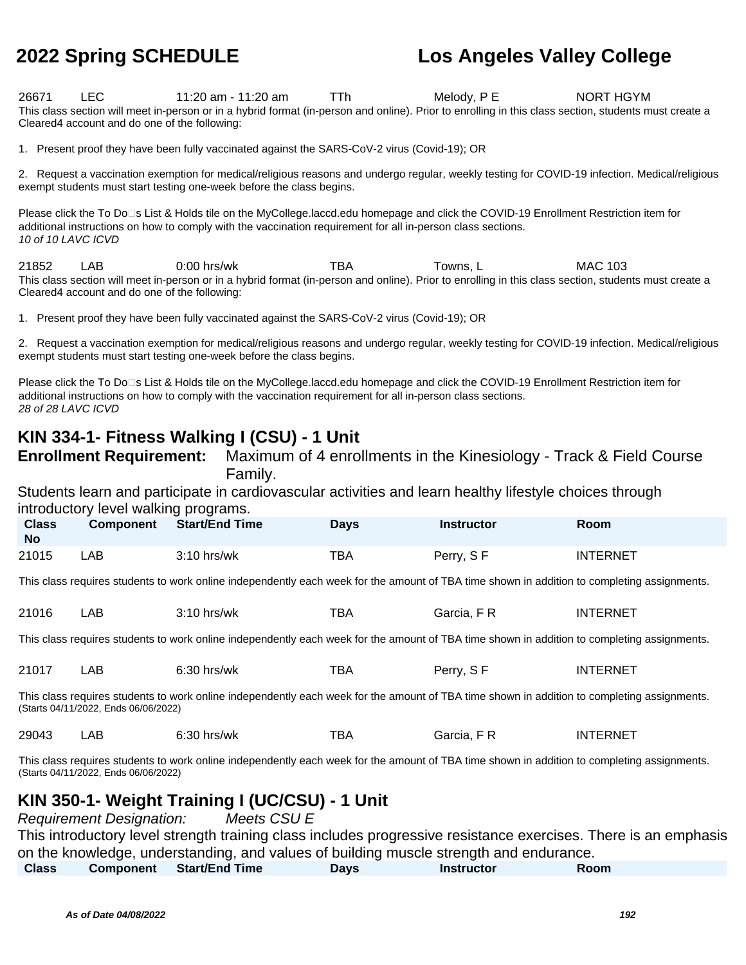26671 LEC 11:20 am - 11:20 am TTh Melody, P E NORT HGYM This class section will meet in-person or in a hybrid format (in-person and online). Prior to enrolling in this class section, students must create a Cleared4 account and do one of the following:

1. Present proof they have been fully vaccinated against the SARS-CoV-2 virus (Covid-19); OR

2. Request a vaccination exemption for medical/religious reasons and undergo regular, weekly testing for COVID-19 infection. Medical/religious exempt students must start testing one-week before the class begins.

Please click the To Do<sup>n</sup>s List & Holds tile on the MyCollege.laccd.edu homepage and click the COVID-19 Enrollment Restriction item for additional instructions on how to comply with the vaccination requirement for all in-person class sections. 10 of 10 LAVC ICVD

21852 LAB 0:00 hrs/wk TBA Towns, L MAC 103 This class section will meet in-person or in a hybrid format (in-person and online). Prior to enrolling in this class section, students must create a Cleared4 account and do one of the following:

1. Present proof they have been fully vaccinated against the SARS-CoV-2 virus (Covid-19); OR

2. Request a vaccination exemption for medical/religious reasons and undergo regular, weekly testing for COVID-19 infection. Medical/religious exempt students must start testing one-week before the class begins.

Please click the To Do<sup>n</sup>s List & Holds tile on the MyCollege.laccd.edu homepage and click the COVID-19 Enrollment Restriction item for additional instructions on how to comply with the vaccination requirement for all in-person class sections. 28 of 28 LAVC ICVD

#### **KIN 334-1- Fitness Walking I (CSU) - 1 Unit**

**Enrollment Requirement:** Maximum of 4 enrollments in the Kinesiology - Track & Field Course Family.

Students learn and participate in cardiovascular activities and learn healthy lifestyle choices through introductory level walking programs.

| <b>Class</b><br><b>No</b> | <b>Component</b> | <b>Start/End Time</b> | <b>Days</b> | <b>Instructor</b> | <b>Room</b>     |
|---------------------------|------------------|-----------------------|-------------|-------------------|-----------------|
| 21015                     | _AB.             | $3:10$ hrs/wk         | <b>TBA</b>  | Perry, SF         | <b>INTERNET</b> |

This class requires students to work online independently each week for the amount of TBA time shown in addition to completing assignments.

| 21016 | _AB | $3:10$ hrs/wk | TBA | Garcia, F R | INTERNET |
|-------|-----|---------------|-----|-------------|----------|
|-------|-----|---------------|-----|-------------|----------|

This class requires students to work online independently each week for the amount of TBA time shown in addition to completing assignments.

| 21017 | ∟AB | $6:30$ hrs/wk | TBA | Perry, SF | <b>INTERNET</b> |
|-------|-----|---------------|-----|-----------|-----------------|
|-------|-----|---------------|-----|-----------|-----------------|

This class requires students to work online independently each week for the amount of TBA time shown in addition to completing assignments. (Starts 04/11/2022, Ends 06/06/2022)

| 29043 | ΑB | $6:30$ hrs/wk | ™ВА | Garcia.<br><b>LD</b> | INTERNET |
|-------|----|---------------|-----|----------------------|----------|
|-------|----|---------------|-----|----------------------|----------|

This class requires students to work online independently each week for the amount of TBA time shown in addition to completing assignments. (Starts 04/11/2022, Ends 06/06/2022)

#### **KIN 350-1- Weight Training I (UC/CSU) - 1 Unit**

Requirement Designation: Meets CSU E

This introductory level strength training class includes progressive resistance exercises. There is an emphasis on the knowledge, understanding, and values of building muscle strength and endurance.

| <b>Class</b> | <b>Component</b> | <b>Start/End Time</b> | Days | <b>Instructor</b> | Room |  |
|--------------|------------------|-----------------------|------|-------------------|------|--|
|--------------|------------------|-----------------------|------|-------------------|------|--|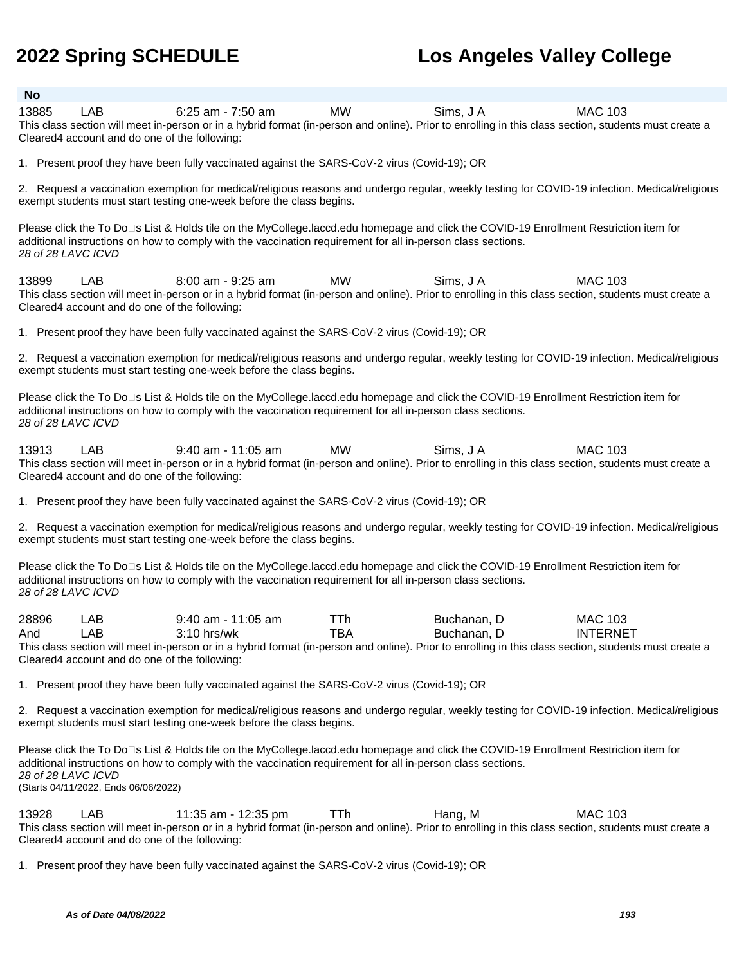#### **No**

13885 LAB 6:25 am - 7:50 am MW Sims, J A MAC 103 This class section will meet in-person or in a hybrid format (in-person and online). Prior to enrolling in this class section, students must create a Cleared4 account and do one of the following:

1. Present proof they have been fully vaccinated against the SARS-CoV-2 virus (Covid-19); OR

2. Request a vaccination exemption for medical/religious reasons and undergo regular, weekly testing for COVID-19 infection. Medical/religious exempt students must start testing one-week before the class begins.

Please click the To Do<sup>n</sup>s List & Holds tile on the MyCollege.laccd.edu homepage and click the COVID-19 Enrollment Restriction item for additional instructions on how to comply with the vaccination requirement for all in-person class sections. 28 of 28 LAVC ICVD

13899 LAB 8:00 am - 9:25 am MW Sims, J A MAC 103 This class section will meet in-person or in a hybrid format (in-person and online). Prior to enrolling in this class section, students must create a Cleared4 account and do one of the following:

1. Present proof they have been fully vaccinated against the SARS-CoV-2 virus (Covid-19); OR

2. Request a vaccination exemption for medical/religious reasons and undergo regular, weekly testing for COVID-19 infection. Medical/religious exempt students must start testing one-week before the class begins.

Please click the To Do<sup>n</sup>s List & Holds tile on the MyCollege.laccd.edu homepage and click the COVID-19 Enrollment Restriction item for additional instructions on how to comply with the vaccination requirement for all in-person class sections. 28 of 28 LAVC ICVD

13913 LAB 9:40 am - 11:05 am MW Sims, J A MAC 103 This class section will meet in-person or in a hybrid format (in-person and online). Prior to enrolling in this class section, students must create a Cleared4 account and do one of the following:

1. Present proof they have been fully vaccinated against the SARS-CoV-2 virus (Covid-19); OR

2. Request a vaccination exemption for medical/religious reasons and undergo regular, weekly testing for COVID-19 infection. Medical/religious exempt students must start testing one-week before the class begins.

Please click the To Do□s List & Holds tile on the MyCollege.laccd.edu homepage and click the COVID-19 Enrollment Restriction item for additional instructions on how to comply with the vaccination requirement for all in-person class sections. 28 of 28 LAVC ICVD

| 28896 | _AB                                            | $9:40$ am - 11:05 am                                                                                                                                  | ⊤Тh | Buchanan. D | MAC 103         |
|-------|------------------------------------------------|-------------------------------------------------------------------------------------------------------------------------------------------------------|-----|-------------|-----------------|
| And   | _AB_                                           | $3:10$ hrs/wk                                                                                                                                         | TBA | Buchanan. D | <b>INTERNET</b> |
|       |                                                | This class section will meet in-person or in a hybrid format (in-person and online). Prior to enrolling in this class section, students must create a |     |             |                 |
|       | Cleared 4 account and do one of the following: |                                                                                                                                                       |     |             |                 |

1. Present proof they have been fully vaccinated against the SARS-CoV-2 virus (Covid-19); OR

2. Request a vaccination exemption for medical/religious reasons and undergo regular, weekly testing for COVID-19 infection. Medical/religious exempt students must start testing one-week before the class begins.

Please click the To Do<sup>n</sup>s List & Holds tile on the MyCollege.laccd.edu homepage and click the COVID-19 Enrollment Restriction item for additional instructions on how to comply with the vaccination requirement for all in-person class sections. 28 of 28 LAVC ICVD (Starts 04/11/2022, Ends 06/06/2022)

13928 LAB 11:35 am - 12:35 pm TTh Hang, M MAC 103 This class section will meet in-person or in a hybrid format (in-person and online). Prior to enrolling in this class section, students must create a Cleared4 account and do one of the following:

1. Present proof they have been fully vaccinated against the SARS-CoV-2 virus (Covid-19); OR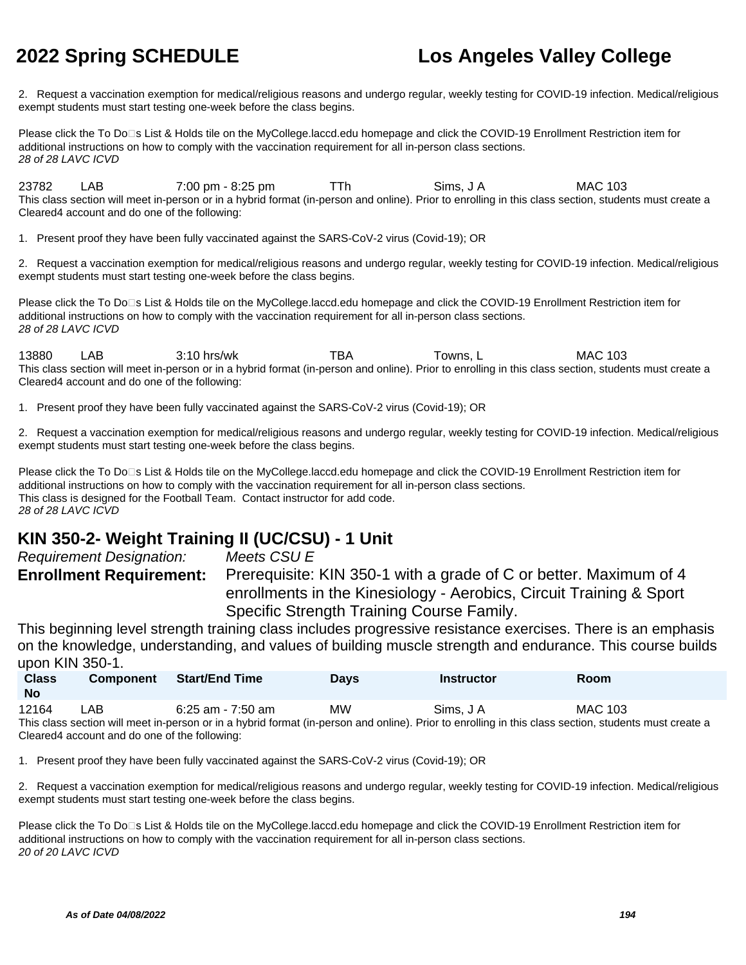2. Request a vaccination exemption for medical/religious reasons and undergo regular, weekly testing for COVID-19 infection. Medical/religious exempt students must start testing one-week before the class begins.

Please click the To Do<sup>n</sup>s List & Holds tile on the MyCollege.laccd.edu homepage and click the COVID-19 Enrollment Restriction item for additional instructions on how to comply with the vaccination requirement for all in-person class sections. 28 of 28 LAVC ICVD

23782 LAB 7:00 pm - 8:25 pm TTh Sims, J A MAC 103 This class section will meet in-person or in a hybrid format (in-person and online). Prior to enrolling in this class section, students must create a Cleared4 account and do one of the following:

1. Present proof they have been fully vaccinated against the SARS-CoV-2 virus (Covid-19); OR

2. Request a vaccination exemption for medical/religious reasons and undergo regular, weekly testing for COVID-19 infection. Medical/religious exempt students must start testing one-week before the class begins.

Please click the To Do<sup>n</sup>s List & Holds tile on the MyCollege.laccd.edu homepage and click the COVID-19 Enrollment Restriction item for additional instructions on how to comply with the vaccination requirement for all in-person class sections. 28 of 28 LAVC ICVD

13880 LAB 3:10 hrs/wk TBA Towns, L MAC 103 This class section will meet in-person or in a hybrid format (in-person and online). Prior to enrolling in this class section, students must create a Cleared4 account and do one of the following:

1. Present proof they have been fully vaccinated against the SARS-CoV-2 virus (Covid-19); OR

2. Request a vaccination exemption for medical/religious reasons and undergo regular, weekly testing for COVID-19 infection. Medical/religious exempt students must start testing one-week before the class begins.

Please click the To Do□s List & Holds tile on the MyCollege.laccd.edu homepage and click the COVID-19 Enrollment Restriction item for additional instructions on how to comply with the vaccination requirement for all in-person class sections. This class is designed for the Football Team. Contact instructor for add code. 28 of 28 LAVC ICVD

### **KIN 350-2- Weight Training II (UC/CSU) - 1 Unit**

Requirement Designation: Meets CSU E

**Enrollment Requirement:** Prerequisite: KIN 350-1 with a grade of C or better. Maximum of 4 enrollments in the Kinesiology - Aerobics, Circuit Training & Sport Specific Strength Training Course Family.

This beginning level strength training class includes progressive resistance exercises. There is an emphasis on the knowledge, understanding, and values of building muscle strength and endurance. This course builds upon KIN 350-1.

| <b>Class</b><br><b>No</b> | <b>Component</b> | <b>Start/End Time</b>                                                                                                                                 | <b>Days</b> | <b>Instructor</b> | Room    |
|---------------------------|------------------|-------------------------------------------------------------------------------------------------------------------------------------------------------|-------------|-------------------|---------|
| 12164                     | LAB              | 6:25 am - 7:50 am                                                                                                                                     | <b>MW</b>   | Sims. J A         | MAC 103 |
|                           |                  | This class section will meet in-person or in a hybrid format (in-person and online). Prior to enrolling in this class section, students must create a |             |                   |         |

Cleared4 account and do one of the following:

1. Present proof they have been fully vaccinated against the SARS-CoV-2 virus (Covid-19); OR

2. Request a vaccination exemption for medical/religious reasons and undergo regular, weekly testing for COVID-19 infection. Medical/religious exempt students must start testing one-week before the class begins.

Please click the To Do<sup>n</sup>s List & Holds tile on the MyCollege.laccd.edu homepage and click the COVID-19 Enrollment Restriction item for additional instructions on how to comply with the vaccination requirement for all in-person class sections. 20 of 20 LAVC ICVD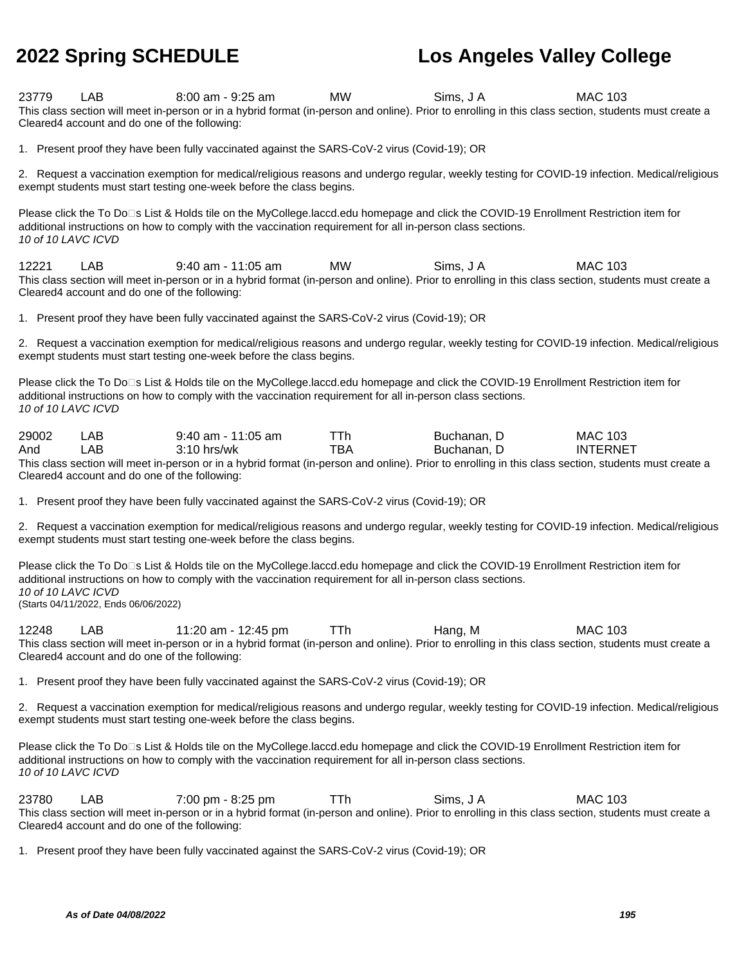23779 LAB 8:00 am - 9:25 am MW Sims, J A MAC 103 This class section will meet in-person or in a hybrid format (in-person and online). Prior to enrolling in this class section, students must create a Cleared4 account and do one of the following:

1. Present proof they have been fully vaccinated against the SARS-CoV-2 virus (Covid-19); OR

2. Request a vaccination exemption for medical/religious reasons and undergo regular, weekly testing for COVID-19 infection. Medical/religious exempt students must start testing one-week before the class begins.

Please click the To Do⊡s List & Holds tile on the MyCollege.laccd.edu homepage and click the COVID-19 Enrollment Restriction item for additional instructions on how to comply with the vaccination requirement for all in-person class sections. 10 of 10 LAVC ICVD

12221 LAB 9:40 am - 11:05 am MW Sims, J A MAC 103 This class section will meet in-person or in a hybrid format (in-person and online). Prior to enrolling in this class section, students must create a Cleared4 account and do one of the following:

1. Present proof they have been fully vaccinated against the SARS-CoV-2 virus (Covid-19); OR

2. Request a vaccination exemption for medical/religious reasons and undergo regular, weekly testing for COVID-19 infection. Medical/religious exempt students must start testing one-week before the class begins.

Please click the To Do<sup>n</sup>s List & Holds tile on the MyCollege.laccd.edu homepage and click the COVID-19 Enrollment Restriction item for additional instructions on how to comply with the vaccination requirement for all in-person class sections. 10 of 10 LAVC ICVD

| 29002 | LAB | $9:40$ am - 11:05 am |     | Buchanan. D | <b>MAC 103</b>  |
|-------|-----|----------------------|-----|-------------|-----------------|
| And   | _AB | $3:10$ hrs/wk        | тва | Buchanan. D | <b>INTERNET</b> |

This class section will meet in-person or in a hybrid format (in-person and online). Prior to enrolling in this class section, students must create a Cleared4 account and do one of the following:

1. Present proof they have been fully vaccinated against the SARS-CoV-2 virus (Covid-19); OR

2. Request a vaccination exemption for medical/religious reasons and undergo regular, weekly testing for COVID-19 infection. Medical/religious exempt students must start testing one-week before the class begins.

Please click the To Do□s List & Holds tile on the MyCollege.laccd.edu homepage and click the COVID-19 Enrollment Restriction item for additional instructions on how to comply with the vaccination requirement for all in-person class sections. 10 of 10 LAVC ICVD (Starts 04/11/2022, Ends 06/06/2022)

12248 LAB 11:20 am - 12:45 pm TTh Hang, M MAC 103 This class section will meet in-person or in a hybrid format (in-person and online). Prior to enrolling in this class section, students must create a Cleared4 account and do one of the following:

1. Present proof they have been fully vaccinated against the SARS-CoV-2 virus (Covid-19); OR

2. Request a vaccination exemption for medical/religious reasons and undergo regular, weekly testing for COVID-19 infection. Medical/religious exempt students must start testing one-week before the class begins.

Please click the To Do⊡s List & Holds tile on the MyCollege.laccd.edu homepage and click the COVID-19 Enrollment Restriction item for additional instructions on how to comply with the vaccination requirement for all in-person class sections. 10 of 10 LAVC ICVD

23780 LAB 7:00 pm - 8:25 pm TTh Sims, J A MAC 103 This class section will meet in-person or in a hybrid format (in-person and online). Prior to enrolling in this class section, students must create a Cleared4 account and do one of the following:

1. Present proof they have been fully vaccinated against the SARS-CoV-2 virus (Covid-19); OR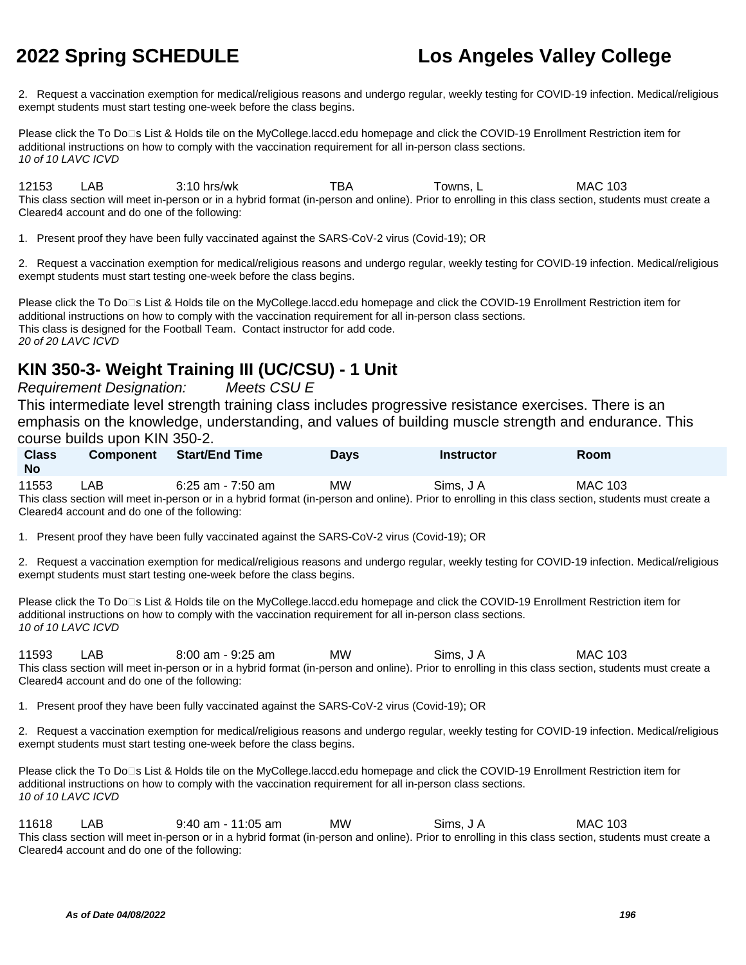2. Request a vaccination exemption for medical/religious reasons and undergo regular, weekly testing for COVID-19 infection. Medical/religious exempt students must start testing one-week before the class begins.

Please click the To Do⊡s List & Holds tile on the MyCollege.laccd.edu homepage and click the COVID-19 Enrollment Restriction item for additional instructions on how to comply with the vaccination requirement for all in-person class sections. 10 of 10 LAVC ICVD

12153 LAB 3:10 hrs/wk TBA Towns, L MAC 103 This class section will meet in-person or in a hybrid format (in-person and online). Prior to enrolling in this class section, students must create a Cleared4 account and do one of the following:

1. Present proof they have been fully vaccinated against the SARS-CoV-2 virus (Covid-19); OR

2. Request a vaccination exemption for medical/religious reasons and undergo regular, weekly testing for COVID-19 infection. Medical/religious exempt students must start testing one-week before the class begins.

Please click the To Do<sup>n</sup>s List & Holds tile on the MyCollege.laccd.edu homepage and click the COVID-19 Enrollment Restriction item for additional instructions on how to comply with the vaccination requirement for all in-person class sections. This class is designed for the Football Team. Contact instructor for add code. 20 of 20 LAVC ICVD

## **KIN 350-3- Weight Training III (UC/CSU) - 1 Unit**

Requirement Designation: Meets CSU E

This intermediate level strength training class includes progressive resistance exercises. There is an emphasis on the knowledge, understanding, and values of building muscle strength and endurance. This course builds upon KIN 350-2.

| <b>Class</b><br><b>No</b> | <b>Component</b> | <b>Start/End Time</b>                                                                                                                                 | <b>Days</b> | Instructor | <b>Room</b> |
|---------------------------|------------------|-------------------------------------------------------------------------------------------------------------------------------------------------------|-------------|------------|-------------|
| 11553                     | LAB              | 6:25 am - 7:50 am                                                                                                                                     | <b>MW</b>   | Sims. J A  | MAC 103     |
|                           |                  | This class section will meet in-person or in a hybrid format (in-person and online). Prior to enrolling in this class section, students must create a |             |            |             |

Cleared4 account and do one of the following:

1. Present proof they have been fully vaccinated against the SARS-CoV-2 virus (Covid-19); OR

2. Request a vaccination exemption for medical/religious reasons and undergo regular, weekly testing for COVID-19 infection. Medical/religious exempt students must start testing one-week before the class begins.

Please click the To Do⊡s List & Holds tile on the MyCollege.laccd.edu homepage and click the COVID-19 Enrollment Restriction item for additional instructions on how to comply with the vaccination requirement for all in-person class sections. 10 of 10 LAVC ICVD

11593 LAB 8:00 am - 9:25 am MW Sims, J A MAC 103 This class section will meet in-person or in a hybrid format (in-person and online). Prior to enrolling in this class section, students must create a Cleared4 account and do one of the following:

1. Present proof they have been fully vaccinated against the SARS-CoV-2 virus (Covid-19); OR

2. Request a vaccination exemption for medical/religious reasons and undergo regular, weekly testing for COVID-19 infection. Medical/religious exempt students must start testing one-week before the class begins.

Please click the To Do⊡s List & Holds tile on the MyCollege.laccd.edu homepage and click the COVID-19 Enrollment Restriction item for additional instructions on how to comply with the vaccination requirement for all in-person class sections. 10 of 10 LAVC ICVD

11618 LAB 9:40 am - 11:05 am MW Sims, J A MAC 103 This class section will meet in-person or in a hybrid format (in-person and online). Prior to enrolling in this class section, students must create a Cleared4 account and do one of the following: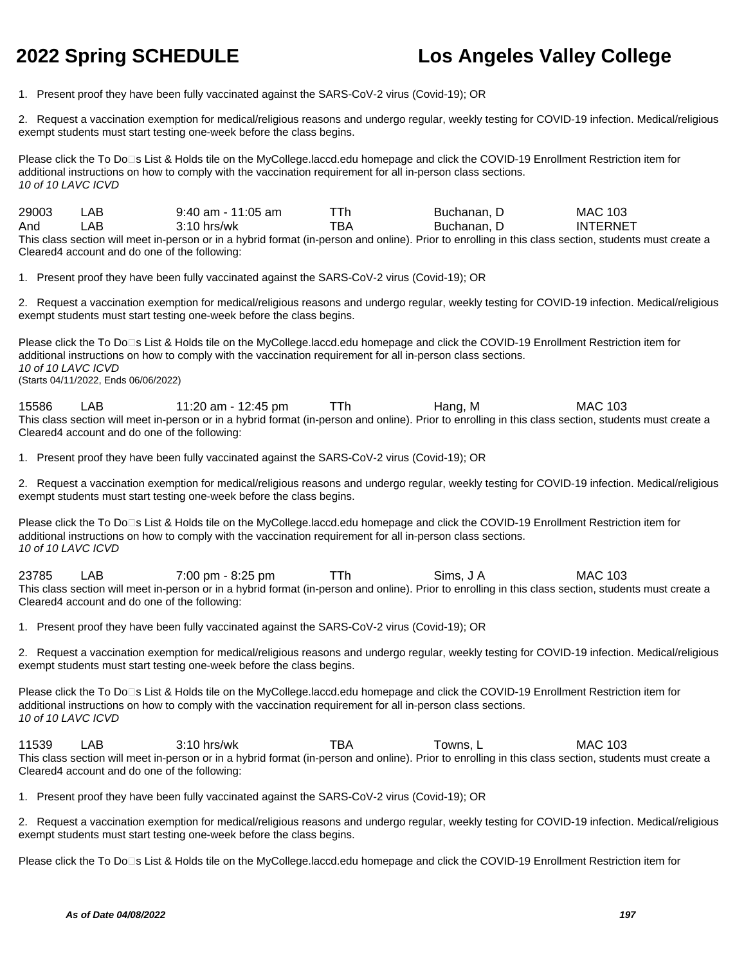1. Present proof they have been fully vaccinated against the SARS-CoV-2 virus (Covid-19); OR

2. Request a vaccination exemption for medical/religious reasons and undergo regular, weekly testing for COVID-19 infection. Medical/religious exempt students must start testing one-week before the class begins.

Please click the To Do<sup>n</sup>s List & Holds tile on the MyCollege.laccd.edu homepage and click the COVID-19 Enrollment Restriction item for additional instructions on how to comply with the vaccination requirement for all in-person class sections. 10 of 10 LAVC ICVD

29003 LAB 9:40 am - 11:05 am TTh Buchanan, D MAC 103 And LAB 3:10 hrs/wk TBA Buchanan, D INTERNET This class section will meet in-person or in a hybrid format (in-person and online). Prior to enrolling in this class section, students must create a Cleared4 account and do one of the following:

1. Present proof they have been fully vaccinated against the SARS-CoV-2 virus (Covid-19); OR

2. Request a vaccination exemption for medical/religious reasons and undergo regular, weekly testing for COVID-19 infection. Medical/religious exempt students must start testing one-week before the class begins.

Please click the To Do⊡s List & Holds tile on the MyCollege.laccd.edu homepage and click the COVID-19 Enrollment Restriction item for additional instructions on how to comply with the vaccination requirement for all in-person class sections. 10 of 10 LAVC ICVD (Starts 04/11/2022, Ends 06/06/2022)

15586 LAB 11:20 am - 12:45 pm TTh Hang, M MAC 103 This class section will meet in-person or in a hybrid format (in-person and online). Prior to enrolling in this class section, students must create a Cleared4 account and do one of the following:

1. Present proof they have been fully vaccinated against the SARS-CoV-2 virus (Covid-19); OR

2. Request a vaccination exemption for medical/religious reasons and undergo regular, weekly testing for COVID-19 infection. Medical/religious exempt students must start testing one-week before the class begins.

Please click the To Do⊡s List & Holds tile on the MyCollege.laccd.edu homepage and click the COVID-19 Enrollment Restriction item for additional instructions on how to comply with the vaccination requirement for all in-person class sections. 10 of 10 LAVC ICVD

23785 LAB 7:00 pm - 8:25 pm TTh Sims, J A MAC 103 This class section will meet in-person or in a hybrid format (in-person and online). Prior to enrolling in this class section, students must create a Cleared4 account and do one of the following:

1. Present proof they have been fully vaccinated against the SARS-CoV-2 virus (Covid-19); OR

2. Request a vaccination exemption for medical/religious reasons and undergo regular, weekly testing for COVID-19 infection. Medical/religious exempt students must start testing one-week before the class begins.

Please click the To Do□s List & Holds tile on the MyCollege.laccd.edu homepage and click the COVID-19 Enrollment Restriction item for additional instructions on how to comply with the vaccination requirement for all in-person class sections. 10 of 10 LAVC ICVD

11539 LAB 3:10 hrs/wk TBA Towns, L MAC 103 This class section will meet in-person or in a hybrid format (in-person and online). Prior to enrolling in this class section, students must create a Cleared4 account and do one of the following:

1. Present proof they have been fully vaccinated against the SARS-CoV-2 virus (Covid-19); OR

2. Request a vaccination exemption for medical/religious reasons and undergo regular, weekly testing for COVID-19 infection. Medical/religious exempt students must start testing one-week before the class begins.

Please click the To Do⊡s List & Holds tile on the MyCollege.laccd.edu homepage and click the COVID-19 Enrollment Restriction item for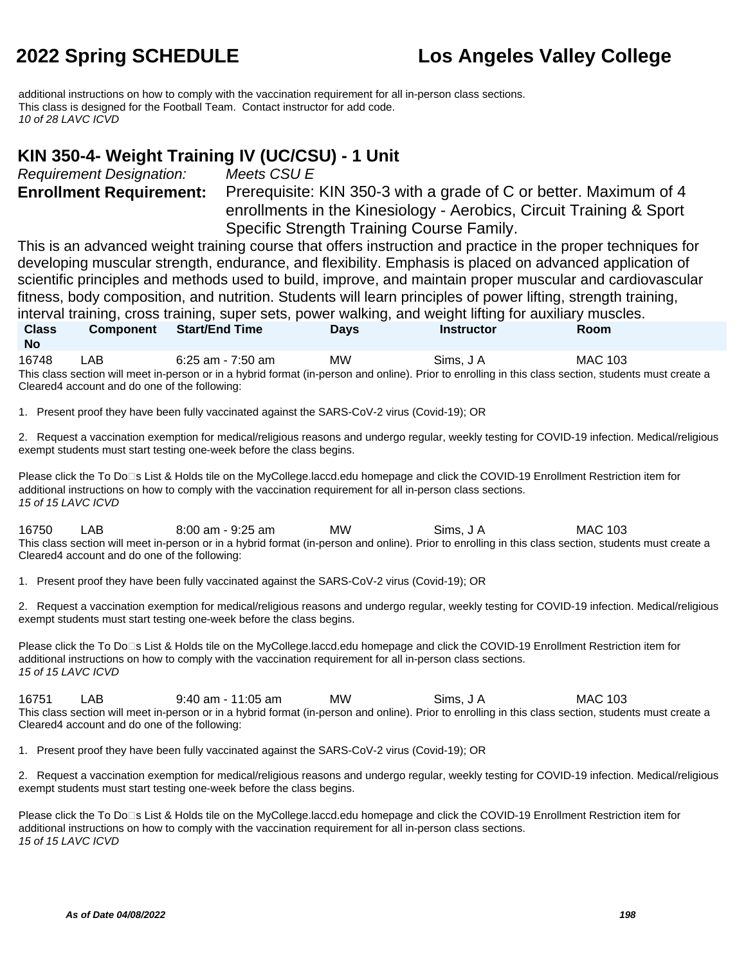additional instructions on how to comply with the vaccination requirement for all in-person class sections. This class is designed for the Football Team. Contact instructor for add code. 10 of 28 LAVC ICVD

#### **KIN 350-4- Weight Training IV (UC/CSU) - 1 Unit**

Requirement Designation: Meets CSU E

**Enrollment Requirement:** Prerequisite: KIN 350-3 with a grade of C or better. Maximum of 4 enrollments in the Kinesiology - Aerobics, Circuit Training & Sport Specific Strength Training Course Family.

This is an advanced weight training course that offers instruction and practice in the proper techniques for developing muscular strength, endurance, and flexibility. Emphasis is placed on advanced application of scientific principles and methods used to build, improve, and maintain proper muscular and cardiovascular fitness, body composition, and nutrition. Students will learn principles of power lifting, strength training, interval training, cross training, super sets, power walking, and weight lifting for auxiliary muscles. **Class No Component Start/End Time Days Instructor Room**

16748 LAB 6:25 am - 7:50 am MW Sims, J A MAC 103 This class section will meet in-person or in a hybrid format (in-person and online). Prior to enrolling in this class section, students must create a Cleared4 account and do one of the following:

1. Present proof they have been fully vaccinated against the SARS-CoV-2 virus (Covid-19); OR

2. Request a vaccination exemption for medical/religious reasons and undergo regular, weekly testing for COVID-19 infection. Medical/religious exempt students must start testing one-week before the class begins.

Please click the To Do⊡s List & Holds tile on the MyCollege.laccd.edu homepage and click the COVID-19 Enrollment Restriction item for additional instructions on how to comply with the vaccination requirement for all in-person class sections. 15 of 15 LAVC ICVD

16750 LAB 8:00 am - 9:25 am MW Sims, J A MAC 103 This class section will meet in-person or in a hybrid format (in-person and online). Prior to enrolling in this class section, students must create a Cleared4 account and do one of the following:

1. Present proof they have been fully vaccinated against the SARS-CoV-2 virus (Covid-19); OR

2. Request a vaccination exemption for medical/religious reasons and undergo regular, weekly testing for COVID-19 infection. Medical/religious exempt students must start testing one-week before the class begins.

Please click the To Do□s List & Holds tile on the MyCollege.laccd.edu homepage and click the COVID-19 Enrollment Restriction item for additional instructions on how to comply with the vaccination requirement for all in-person class sections. 15 of 15 LAVC ICVD

16751 LAB 9:40 am - 11:05 am MW Sims, J A MAC 103 This class section will meet in-person or in a hybrid format (in-person and online). Prior to enrolling in this class section, students must create a Cleared4 account and do one of the following:

1. Present proof they have been fully vaccinated against the SARS-CoV-2 virus (Covid-19); OR

2. Request a vaccination exemption for medical/religious reasons and undergo regular, weekly testing for COVID-19 infection. Medical/religious exempt students must start testing one-week before the class begins.

Please click the To Do<sup>n</sup>s List & Holds tile on the MyCollege.laccd.edu homepage and click the COVID-19 Enrollment Restriction item for additional instructions on how to comply with the vaccination requirement for all in-person class sections. 15 of 15 LAVC ICVD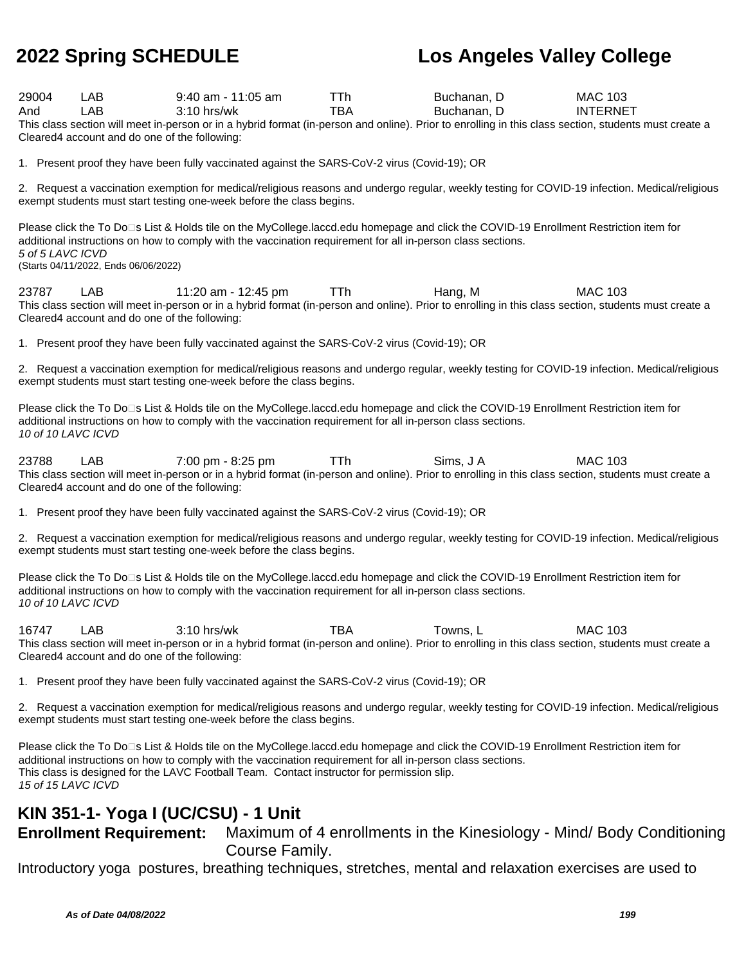| 29004<br>LAB<br>$9:40$ am - 11:05 am<br>TTh.<br>Buchanan, D<br><b>MAC 103</b><br><b>TBA</b><br><b>LAB</b><br>3:10 hrs/wk<br>Buchanan, D<br>And<br><b>INTERNET</b><br>This class section will meet in-person or in a hybrid format (in-person and online). Prior to enrolling in this class section, students must create a<br>Cleared4 account and do one of the following: |
|-----------------------------------------------------------------------------------------------------------------------------------------------------------------------------------------------------------------------------------------------------------------------------------------------------------------------------------------------------------------------------|
| 1. Present proof they have been fully vaccinated against the SARS-CoV-2 virus (Covid-19); OR                                                                                                                                                                                                                                                                                |
| 2. Request a vaccination exemption for medical/religious reasons and undergo regular, weekly testing for COVID-19 infection. Medical/religious<br>exempt students must start testing one-week before the class begins.                                                                                                                                                      |
| Please click the To Do⊡s List & Holds tile on the MyCollege.laccd.edu homepage and click the COVID-19 Enrollment Restriction item for<br>additional instructions on how to comply with the vaccination requirement for all in-person class sections.<br>5 of 5 LAVC ICVD<br>(Starts 04/11/2022, Ends 06/06/2022)                                                            |
| <b>MAC 103</b><br>LAB<br>11:20 am - 12:45 pm<br>TTh<br>Hang, M<br>23787<br>This class section will meet in-person or in a hybrid format (in-person and online). Prior to enrolling in this class section, students must create a<br>Cleared4 account and do one of the following:                                                                                           |
| 1. Present proof they have been fully vaccinated against the SARS-CoV-2 virus (Covid-19); OR                                                                                                                                                                                                                                                                                |
| 2. Request a vaccination exemption for medical/religious reasons and undergo regular, weekly testing for COVID-19 infection. Medical/religious<br>exempt students must start testing one-week before the class begins.                                                                                                                                                      |
| Please click the To Do⊡s List & Holds tile on the MyCollege.laccd.edu homepage and click the COVID-19 Enrollment Restriction item for<br>additional instructions on how to comply with the vaccination requirement for all in-person class sections.<br>10 of 10 LAVC ICVD                                                                                                  |
| 23788<br>7:00 pm - 8:25 pm<br>TTh<br>Sims, J A<br><b>MAC 103</b><br>LAB<br>This class section will meet in-person or in a hybrid format (in-person and online). Prior to enrolling in this class section, students must create a<br>Cleared4 account and do one of the following:                                                                                           |
| 1. Present proof they have been fully vaccinated against the SARS-CoV-2 virus (Covid-19); OR                                                                                                                                                                                                                                                                                |
| 2. Request a vaccination exemption for medical/religious reasons and undergo regular, weekly testing for COVID-19 infection. Medical/religious<br>exempt students must start testing one-week before the class begins.                                                                                                                                                      |
| Please click the To Do⊡s List & Holds tile on the MyCollege.laccd.edu homepage and click the COVID-19 Enrollment Restriction item for<br>additional instructions on how to comply with the vaccination requirement for all in-person class sections.<br>10 of 10 LAVC ICVD                                                                                                  |
| <b>TBA</b><br>Towns, L<br>16747<br>LAB<br>$3:10$ hrs/wk<br><b>MAC 103</b><br>This class section will meet in-person or in a hybrid format (in-person and online). Prior to enrolling in this class section, students must create a<br>Cleared4 account and do one of the following:                                                                                         |
| 1. Present proof they have been fully vaccinated against the SARS-CoV-2 virus (Covid-19); OR                                                                                                                                                                                                                                                                                |
| 2. Request a vaccination exemption for medical/religious reasons and undergo regular, weekly testing for COVID-19 infection. Medical/religious<br>exempt students must start testing one-week before the class begins.                                                                                                                                                      |
| Please click the To Do□s List & Holds tile on the MyCollege.laccd.edu homepage and click the COVID-19 Enrollment Restriction item for<br>additional instructions on how to comply with the vaccination requirement for all in-person class sections.<br>This class is designed for the LAVC Football Team. Contact instructor for permission slip.                          |

15 of 15 LAVC ICVD

### **KIN 351-1- Yoga I (UC/CSU) - 1 Unit**

**Enrollment Requirement:** Maximum of 4 enrollments in the Kinesiology - Mind/ Body Conditioning Course Family.

Introductory yoga postures, breathing techniques, stretches, mental and relaxation exercises are used to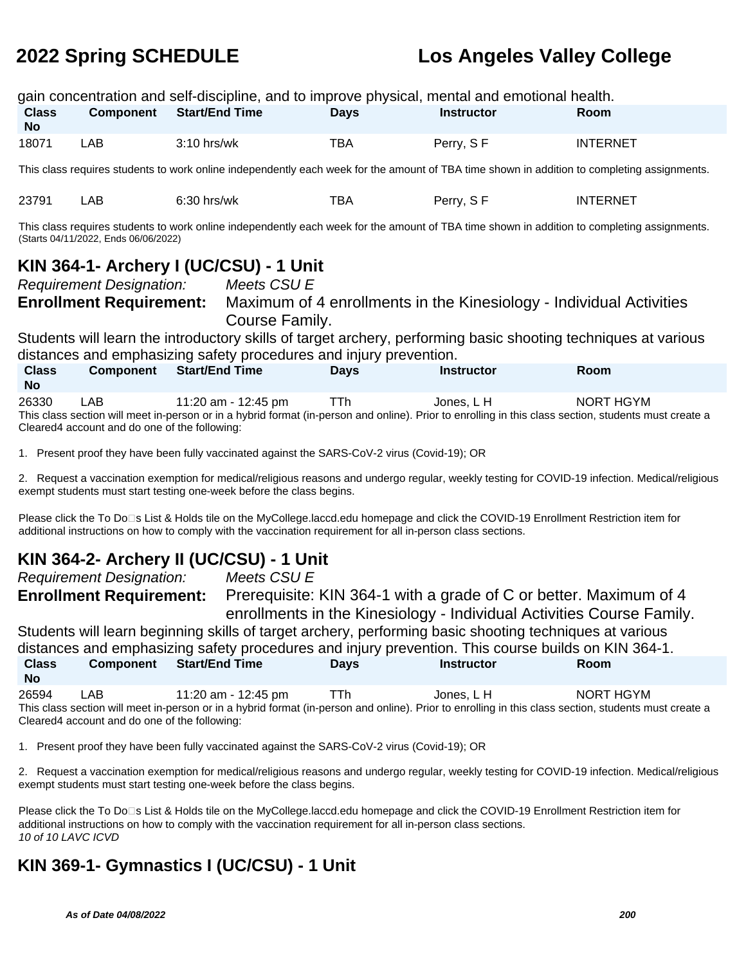|                                                                                                                                                                                                                                                                           |                                                                   |                       |                                                                      |                                                                                                             | gain concentration and self-discipline, and to improve physical, mental and emotional health.                                                                      |                                                                                                                                                |
|---------------------------------------------------------------------------------------------------------------------------------------------------------------------------------------------------------------------------------------------------------------------------|-------------------------------------------------------------------|-----------------------|----------------------------------------------------------------------|-------------------------------------------------------------------------------------------------------------|--------------------------------------------------------------------------------------------------------------------------------------------------------------------|------------------------------------------------------------------------------------------------------------------------------------------------|
| <b>Class</b><br><b>No</b>                                                                                                                                                                                                                                                 | <b>Component</b>                                                  | <b>Start/End Time</b> |                                                                      | <b>Days</b>                                                                                                 | <b>Instructor</b>                                                                                                                                                  | Room                                                                                                                                           |
| 18071                                                                                                                                                                                                                                                                     | <b>LAB</b>                                                        | 3:10 hrs/wk           |                                                                      | <b>TBA</b>                                                                                                  | Perry, SF                                                                                                                                                          | <b>INTERNET</b>                                                                                                                                |
|                                                                                                                                                                                                                                                                           |                                                                   |                       |                                                                      |                                                                                                             | This class requires students to work online independently each week for the amount of TBA time shown in addition to completing assignments.                        |                                                                                                                                                |
| 23791                                                                                                                                                                                                                                                                     | <b>LAB</b>                                                        | 6:30 hrs/wk           |                                                                      | <b>TBA</b>                                                                                                  | Perry, SF                                                                                                                                                          | <b>INTERNET</b>                                                                                                                                |
|                                                                                                                                                                                                                                                                           | (Starts 04/11/2022, Ends 06/06/2022)                              |                       |                                                                      |                                                                                                             | This class requires students to work online independently each week for the amount of TBA time shown in addition to completing assignments.                        |                                                                                                                                                |
|                                                                                                                                                                                                                                                                           |                                                                   |                       | KIN 364-1- Archery I (UC/CSU) - 1 Unit<br>Meets CSU E                |                                                                                                             |                                                                                                                                                                    |                                                                                                                                                |
|                                                                                                                                                                                                                                                                           | <b>Requirement Designation:</b><br><b>Enrollment Requirement:</b> |                       | Course Family.                                                       |                                                                                                             | Maximum of 4 enrollments in the Kinesiology - Individual Activities                                                                                                |                                                                                                                                                |
|                                                                                                                                                                                                                                                                           |                                                                   |                       |                                                                      | distances and emphasizing safety procedures and injury prevention.                                          | Students will learn the introductory skills of target archery, performing basic shooting techniques at various                                                     |                                                                                                                                                |
| <b>Class</b><br><b>No</b>                                                                                                                                                                                                                                                 | <b>Component</b>                                                  | <b>Start/End Time</b> |                                                                      | <b>Days</b>                                                                                                 | <b>Instructor</b>                                                                                                                                                  | Room                                                                                                                                           |
| 26330                                                                                                                                                                                                                                                                     | LAB<br>Cleared4 account and do one of the following:              |                       | 11:20 am - 12:45 pm                                                  | <b>TTh</b>                                                                                                  | Jones, LH<br>This class section will meet in-person or in a hybrid format (in-person and online). Prior to enrolling in this class section, students must create a | <b>NORT HGYM</b>                                                                                                                               |
|                                                                                                                                                                                                                                                                           |                                                                   |                       |                                                                      | 1. Present proof they have been fully vaccinated against the SARS-CoV-2 virus (Covid-19); OR                |                                                                                                                                                                    |                                                                                                                                                |
|                                                                                                                                                                                                                                                                           |                                                                   |                       | exempt students must start testing one-week before the class begins. |                                                                                                             |                                                                                                                                                                    | 2. Request a vaccination exemption for medical/religious reasons and undergo regular, weekly testing for COVID-19 infection. Medical/religious |
|                                                                                                                                                                                                                                                                           |                                                                   |                       |                                                                      | additional instructions on how to comply with the vaccination requirement for all in-person class sections. | Please click the To Do□s List & Holds tile on the MyCollege.laccd.edu homepage and click the COVID-19 Enrollment Restriction item for                              |                                                                                                                                                |
| KIN 364-2- Archery II (UC/CSU) - 1 Unit<br>Meets CSU E<br><b>Requirement Designation:</b><br><b>Enrollment Requirement:</b><br>Prerequisite: KIN 364-1 with a grade of C or better. Maximum of 4<br>enrollments in the Kinesiology - Individual Activities Course Family. |                                                                   |                       |                                                                      |                                                                                                             |                                                                                                                                                                    |                                                                                                                                                |

Students will learn beginning skills of target archery, performing basic shooting techniques at various distances and emphasizing safety procedures and injury prevention. This course builds on KIN 364-1. **Class Component Start/End Time Days Instructor Room**

| 26594 | LAB | 11:20 am - 12:45 pm                           | TTh. | Jones. L H | NORT HGYM                                                                                                                                             |
|-------|-----|-----------------------------------------------|------|------------|-------------------------------------------------------------------------------------------------------------------------------------------------------|
|       |     |                                               |      |            | This class section will meet in-person or in a hybrid format (in-person and online). Prior to enrolling in this class section, students must create a |
|       |     | Cleared4 account and do one of the following: |      |            |                                                                                                                                                       |

1. Present proof they have been fully vaccinated against the SARS-CoV-2 virus (Covid-19); OR

2. Request a vaccination exemption for medical/religious reasons and undergo regular, weekly testing for COVID-19 infection. Medical/religious exempt students must start testing one-week before the class begins.

Please click the To Do<sup>n</sup>s List & Holds tile on the MyCollege.laccd.edu homepage and click the COVID-19 Enrollment Restriction item for additional instructions on how to comply with the vaccination requirement for all in-person class sections. 10 of 10 LAVC ICVD

### **KIN 369-1- Gymnastics I (UC/CSU) - 1 Unit**

**No**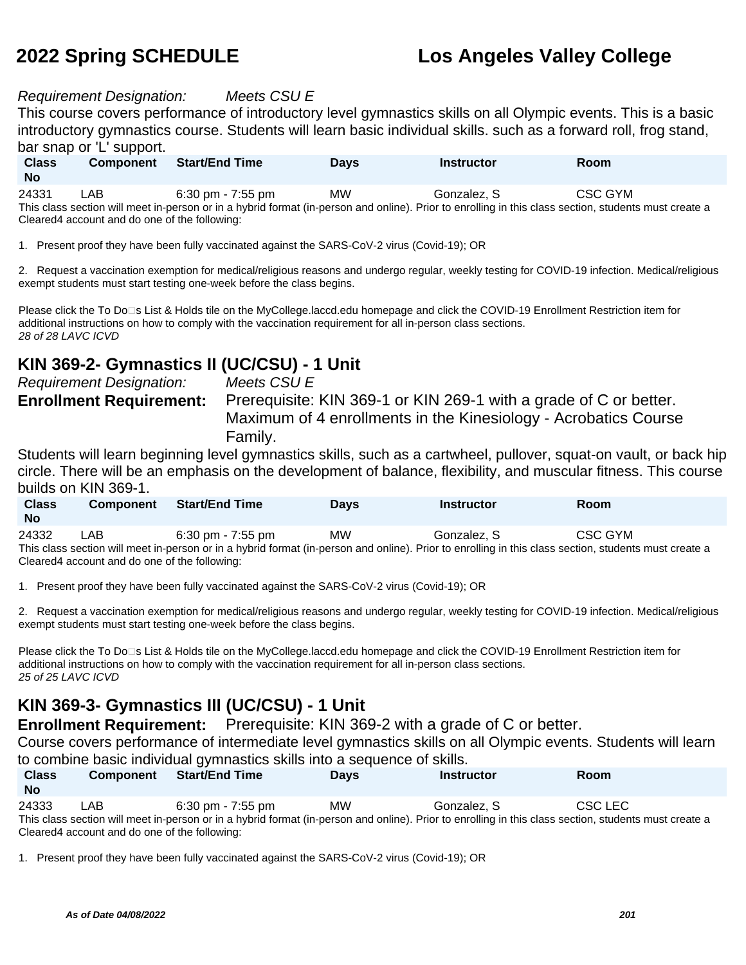#### Requirement Designation: Meets CSU E

This course covers performance of introductory level gymnastics skills on all Olympic events. This is a basic introductory gymnastics course. Students will learn basic individual skills. such as a forward roll, frog stand, bar snap or 'L' support.

| <b>Class</b><br><b>No</b> | <b>Component</b> | <b>Start/End Time</b>               | Days | <b>Instructor</b> | Room    |  |
|---------------------------|------------------|-------------------------------------|------|-------------------|---------|--|
| 24331<br>$- \cdot$ .      | LAB.             | $6:30 \text{ pm} - 7:55 \text{ pm}$ | MW   | Gonzalez. S       | CSC GYM |  |

This class section will meet in-person or in a hybrid format (in-person and online). Prior to enrolling in this class section, students must create a Cleared4 account and do one of the following:

1. Present proof they have been fully vaccinated against the SARS-CoV-2 virus (Covid-19); OR

2. Request a vaccination exemption for medical/religious reasons and undergo regular, weekly testing for COVID-19 infection. Medical/religious exempt students must start testing one-week before the class begins.

Please click the To Do<sup>n</sup>s List & Holds tile on the MyCollege.laccd.edu homepage and click the COVID-19 Enrollment Restriction item for additional instructions on how to comply with the vaccination requirement for all in-person class sections. 28 of 28 LAVC ICVD

### **KIN 369-2- Gymnastics II (UC/CSU) - 1 Unit**

Requirement Designation: Meets CSU E

**Enrollment Requirement:** Prerequisite: KIN 369-1 or KIN 269-1 with a grade of C or better. Maximum of 4 enrollments in the Kinesiology - Acrobatics Course Family.

Students will learn beginning level gymnastics skills, such as a cartwheel, pullover, squat-on vault, or back hip circle. There will be an emphasis on the development of balance, flexibility, and muscular fitness. This course builds on KIN 369-1.

| <b>Class</b><br><b>No</b> | <b>Component</b> | <b>Start/End Time</b> | Davs      | <b>Instructor</b> | Room    |
|---------------------------|------------------|-----------------------|-----------|-------------------|---------|
| 24332<br>$    -$          | ∟AB              | 6:30 pm - $7:55$ pm   | <b>MW</b> | Gonzalez, S       | CSC GYM |

This class section will meet in-person or in a hybrid format (in-person and online). Prior to enrolling in this class section, students must create a Cleared4 account and do one of the following:

1. Present proof they have been fully vaccinated against the SARS-CoV-2 virus (Covid-19); OR

2. Request a vaccination exemption for medical/religious reasons and undergo regular, weekly testing for COVID-19 infection. Medical/religious exempt students must start testing one-week before the class begins.

Please click the To Do<sup>n</sup>s List & Holds tile on the MyCollege.laccd.edu homepage and click the COVID-19 Enrollment Restriction item for additional instructions on how to comply with the vaccination requirement for all in-person class sections. 25 of 25 LAVC ICVD

### **KIN 369-3- Gymnastics III (UC/CSU) - 1 Unit**

**Enrollment Requirement:** Prerequisite: KIN 369-2 with a grade of C or better.

Course covers performance of intermediate level gymnastics skills on all Olympic events. Students will learn to combine basic individual gymnastics skills into a sequence of skills.

| <b>Class</b><br><b>No</b> | <b>Component</b> | <b>Start/End Time</b> | <b>Days</b> | Instructor                                                                                                                                            | <b>Room</b> |  |
|---------------------------|------------------|-----------------------|-------------|-------------------------------------------------------------------------------------------------------------------------------------------------------|-------------|--|
| 24333                     | LAB              | 6:30 pm - 7:55 pm     | MW          | Gonzalez, S                                                                                                                                           | CSC LEC     |  |
|                           |                  |                       |             | This class section will meet in-person or in a hybrid format (in-person and online). Prior to enrolling in this class section, students must create a |             |  |

1. Present proof they have been fully vaccinated against the SARS-CoV-2 virus (Covid-19); OR

Cleared4 account and do one of the following: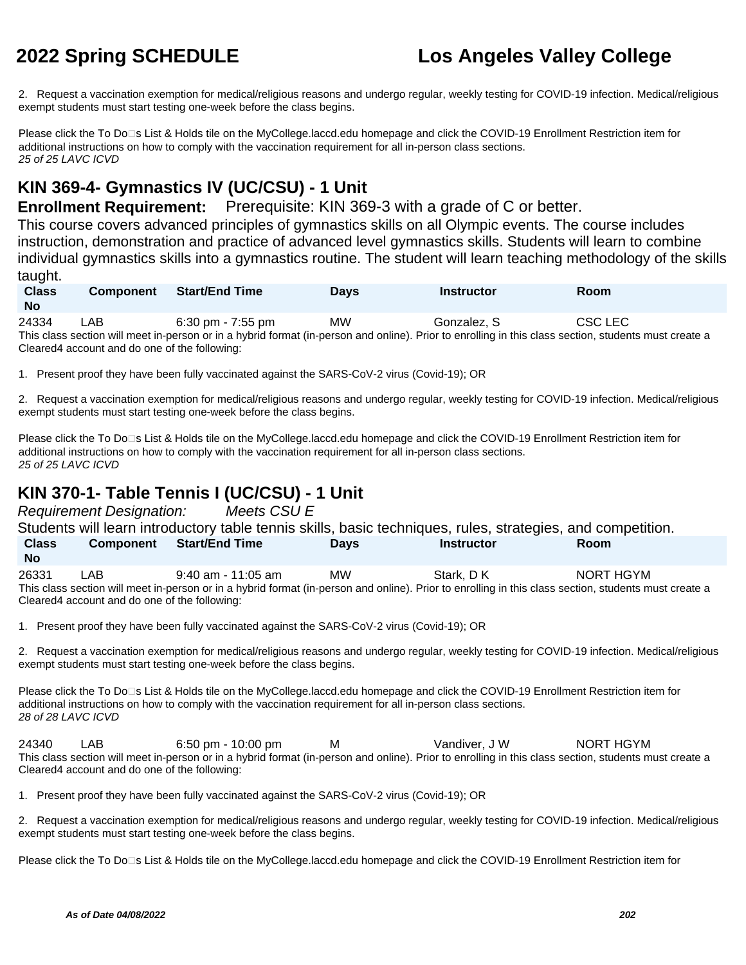2. Request a vaccination exemption for medical/religious reasons and undergo regular, weekly testing for COVID-19 infection. Medical/religious exempt students must start testing one-week before the class begins.

Please click the To Do<sup>n</sup>s List & Holds tile on the MyCollege.laccd.edu homepage and click the COVID-19 Enrollment Restriction item for additional instructions on how to comply with the vaccination requirement for all in-person class sections. 25 of 25 LAVC ICVD

### **KIN 369-4- Gymnastics IV (UC/CSU) - 1 Unit**

**Enrollment Requirement:** Prerequisite: KIN 369-3 with a grade of C or better.

This course covers advanced principles of gymnastics skills on all Olympic events. The course includes instruction, demonstration and practice of advanced level gymnastics skills. Students will learn to combine individual gymnastics skills into a gymnastics routine. The student will learn teaching methodology of the skills taught.

| <b>Class</b><br><b>No</b> | <b>Component</b> | Start/End Time      | <b>Days</b> | Instructor  | Room    |  |
|---------------------------|------------------|---------------------|-------------|-------------|---------|--|
| 24334                     | LAB.             | 6:30 pm - $7:55$ pm | MW          | Gonzalez, S | CSC LEC |  |

This class section will meet in-person or in a hybrid format (in-person and online). Prior to enrolling in this class section, students must create a Cleared4 account and do one of the following:

1. Present proof they have been fully vaccinated against the SARS-CoV-2 virus (Covid-19); OR

2. Request a vaccination exemption for medical/religious reasons and undergo regular, weekly testing for COVID-19 infection. Medical/religious exempt students must start testing one-week before the class begins.

Please click the To Do<sup>n</sup>s List & Holds tile on the MyCollege.laccd.edu homepage and click the COVID-19 Enrollment Restriction item for additional instructions on how to comply with the vaccination requirement for all in-person class sections. 25 of 25 LAVC ICVD

### **KIN 370-1- Table Tennis I (UC/CSU) - 1 Unit**

Requirement Designation: Meets CSU E Students will learn introductory table tennis skills, basic techniques, rules, strategies, and competition. **Class No Component Start/End Time Days Instructor Room** 26331 LAB 9:40 am - 11:05 am MW Stark, D K NORT HGYM This class section will meet in-person or in a hybrid format (in-person and online). Prior to enrolling in this class section, students must create a Cleared4 account and do one of the following:

1. Present proof they have been fully vaccinated against the SARS-CoV-2 virus (Covid-19); OR

2. Request a vaccination exemption for medical/religious reasons and undergo regular, weekly testing for COVID-19 infection. Medical/religious exempt students must start testing one-week before the class begins.

Please click the To Do⊡s List & Holds tile on the MyCollege.laccd.edu homepage and click the COVID-19 Enrollment Restriction item for additional instructions on how to comply with the vaccination requirement for all in-person class sections. 28 of 28 LAVC ICVD

24340 LAB 6:50 pm - 10:00 pm M Vandiver, J W NORT HGYM This class section will meet in-person or in a hybrid format (in-person and online). Prior to enrolling in this class section, students must create a Cleared4 account and do one of the following:

1. Present proof they have been fully vaccinated against the SARS-CoV-2 virus (Covid-19); OR

2. Request a vaccination exemption for medical/religious reasons and undergo regular, weekly testing for COVID-19 infection. Medical/religious exempt students must start testing one-week before the class begins.

Please click the To Do<sup>n</sup>s List & Holds tile on the MyCollege.laccd.edu homepage and click the COVID-19 Enrollment Restriction item for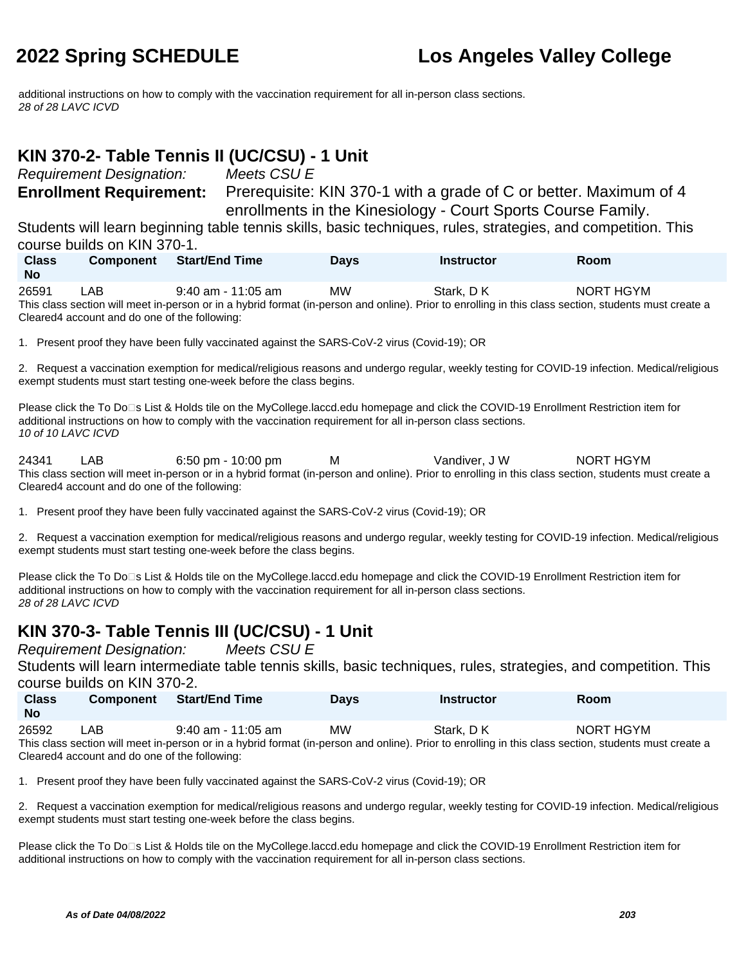additional instructions on how to comply with the vaccination requirement for all in-person class sections. 28 of 28 LAVC ICVD

### **KIN 370-2- Table Tennis II (UC/CSU) - 1 Unit**

Requirement Designation: Meets CSU E

**Enrollment Requirement:** Prerequisite: KIN 370-1 with a grade of C or better. Maximum of 4 enrollments in the Kinesiology - Court Sports Course Family.

Students will learn beginning table tennis skills, basic techniques, rules, strategies, and competition. This course builds on KIN 370-1.

| <b>Class</b> | <b>Component</b>                              | <b>Start/End Time</b> | <b>Davs</b> | <b>Instructor</b> | Room                                                                                                                                                  |  |
|--------------|-----------------------------------------------|-----------------------|-------------|-------------------|-------------------------------------------------------------------------------------------------------------------------------------------------------|--|
| <b>No</b>    |                                               |                       |             |                   |                                                                                                                                                       |  |
| 26591        | _AB                                           | $9:40$ am - 11:05 am  | MW          | Stark, DK         | NORT HGYM                                                                                                                                             |  |
|              |                                               |                       |             |                   | This class section will meet in-person or in a hybrid format (in-person and online). Prior to enrolling in this class section, students must create a |  |
|              | Cleared4 account and do one of the following: |                       |             |                   |                                                                                                                                                       |  |

1. Present proof they have been fully vaccinated against the SARS-CoV-2 virus (Covid-19); OR

2. Request a vaccination exemption for medical/religious reasons and undergo regular, weekly testing for COVID-19 infection. Medical/religious exempt students must start testing one-week before the class begins.

Please click the To Do<sup>n</sup>s List & Holds tile on the MyCollege.laccd.edu homepage and click the COVID-19 Enrollment Restriction item for additional instructions on how to comply with the vaccination requirement for all in-person class sections. 10 of 10 LAVC ICVD

24341 LAB 6:50 pm - 10:00 pm M Vandiver, J W NORT HGYM This class section will meet in-person or in a hybrid format (in-person and online). Prior to enrolling in this class section, students must create a Cleared4 account and do one of the following:

1. Present proof they have been fully vaccinated against the SARS-CoV-2 virus (Covid-19); OR

2. Request a vaccination exemption for medical/religious reasons and undergo regular, weekly testing for COVID-19 infection. Medical/religious exempt students must start testing one-week before the class begins.

Please click the To Do⊡s List & Holds tile on the MyCollege.laccd.edu homepage and click the COVID-19 Enrollment Restriction item for additional instructions on how to comply with the vaccination requirement for all in-person class sections. 28 of 28 LAVC ICVD

### **KIN 370-3- Table Tennis III (UC/CSU) - 1 Unit**

Requirement Designation: Meets CSU E

Students will learn intermediate table tennis skills, basic techniques, rules, strategies, and competition. This course builds on KIN 370-2.

| <b>Class</b><br>No | <b>Component</b> | Start/End Time     | Days | Instructor | Room      |  |
|--------------------|------------------|--------------------|------|------------|-----------|--|
| 26592              | _AB              | 9:40 am - 11:05 am | MW   | Stark, DK  | NORT HGYM |  |

This class section will meet in-person or in a hybrid format (in-person and online). Prior to enrolling in this class section, students must create a Cleared4 account and do one of the following:

1. Present proof they have been fully vaccinated against the SARS-CoV-2 virus (Covid-19); OR

2. Request a vaccination exemption for medical/religious reasons and undergo regular, weekly testing for COVID-19 infection. Medical/religious exempt students must start testing one-week before the class begins.

Please click the To Do□s List & Holds tile on the MyCollege.laccd.edu homepage and click the COVID-19 Enrollment Restriction item for additional instructions on how to comply with the vaccination requirement for all in-person class sections.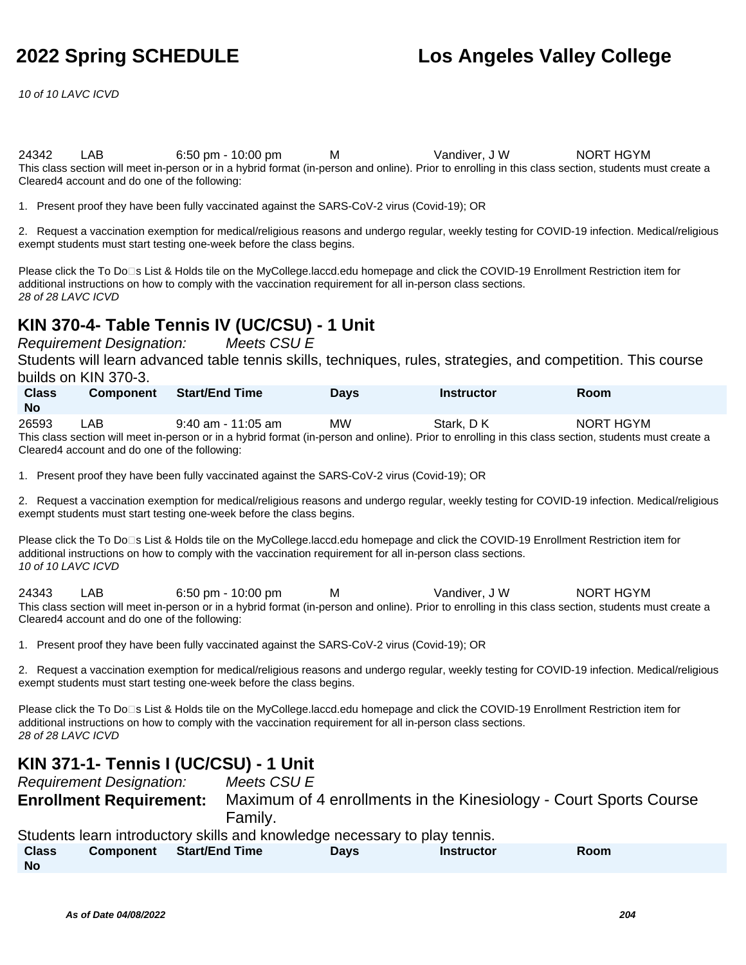10 of 10 LAVC ICVD

24342 LAB 6:50 pm - 10:00 pm M Vandiver, J W NORT HGYM This class section will meet in-person or in a hybrid format (in-person and online). Prior to enrolling in this class section, students must create a Cleared4 account and do one of the following:

1. Present proof they have been fully vaccinated against the SARS-CoV-2 virus (Covid-19); OR

2. Request a vaccination exemption for medical/religious reasons and undergo regular, weekly testing for COVID-19 infection. Medical/religious exempt students must start testing one-week before the class begins.

Please click the To Do□s List & Holds tile on the MyCollege.laccd.edu homepage and click the COVID-19 Enrollment Restriction item for additional instructions on how to comply with the vaccination requirement for all in-person class sections. 28 of 28 LAVC ICVD

### **KIN 370-4- Table Tennis IV (UC/CSU) - 1 Unit**

Requirement Designation: Meets CSU E

Students will learn advanced table tennis skills, techniques, rules, strategies, and competition. This course builds on KIN 370-3.

| <b>Class</b><br><b>No</b> | <b>Component</b> | Start/End Time                                                                                                                                             | Davs | <b>Instructor</b> | <b>Room</b> |
|---------------------------|------------------|------------------------------------------------------------------------------------------------------------------------------------------------------------|------|-------------------|-------------|
| 26593                     | LAB              | $9:40$ am - 11:05 am                                                                                                                                       | МW   | Stark, DK         | NORT HGYM   |
|                           |                  | This shape against which are a sense as in a bubble formed for a sense and solidar Doise to appelling in this shape against atualante must as a sense to a |      |                   |             |

This class section will meet in-person or in a hybrid format (in-person and online). Prior to enrolling in this class section, students must create a Cleared4 account and do one of the following:

1. Present proof they have been fully vaccinated against the SARS-CoV-2 virus (Covid-19); OR

2. Request a vaccination exemption for medical/religious reasons and undergo regular, weekly testing for COVID-19 infection. Medical/religious exempt students must start testing one-week before the class begins.

Please click the To Do<sup>n</sup>s List & Holds tile on the MyCollege.laccd.edu homepage and click the COVID-19 Enrollment Restriction item for additional instructions on how to comply with the vaccination requirement for all in-person class sections. 10 of 10 LAVC ICVD

24343 LAB 6:50 pm - 10:00 pm M Vandiver, J W NORT HGYM This class section will meet in-person or in a hybrid format (in-person and online). Prior to enrolling in this class section, students must create a Cleared4 account and do one of the following:

1. Present proof they have been fully vaccinated against the SARS-CoV-2 virus (Covid-19); OR

2. Request a vaccination exemption for medical/religious reasons and undergo regular, weekly testing for COVID-19 infection. Medical/religious exempt students must start testing one-week before the class begins.

Please click the To Do⊡s List & Holds tile on the MyCollege.laccd.edu homepage and click the COVID-19 Enrollment Restriction item for additional instructions on how to comply with the vaccination requirement for all in-person class sections. 28 of 28 LAVC ICVD

#### **KIN 371-1- Tennis I (UC/CSU) - 1 Unit**

| <b>Requirement Designation:</b> | Meets CSU E                                                                |
|---------------------------------|----------------------------------------------------------------------------|
| <b>Enrollment Requirement:</b>  | Maximum of 4 enrollments in the Kinesiology - Court Sports Course          |
|                                 | Family.                                                                    |
|                                 | Students learn introductory skills and knowledge necessary to play tennis. |

| <b>Class</b> | Component | <b>Start/End Time</b> | Days | <b>Instructor</b> | Room |  |
|--------------|-----------|-----------------------|------|-------------------|------|--|
| <b>No</b>    |           |                       |      |                   |      |  |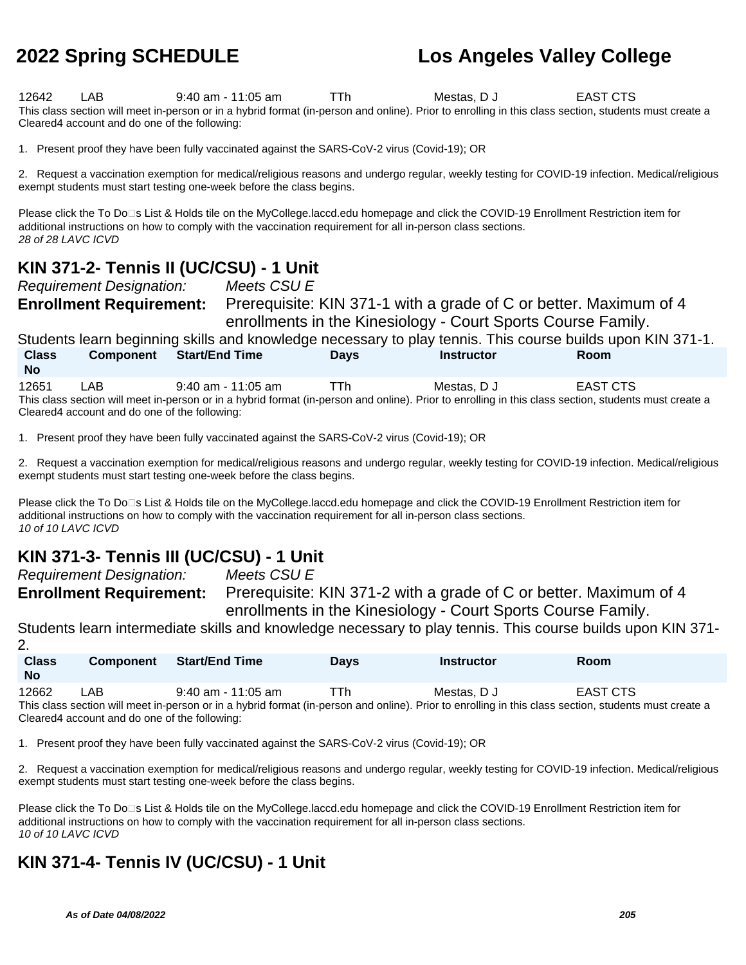12642 LAB 9:40 am - 11:05 am TTh Mestas, D J EAST CTS This class section will meet in-person or in a hybrid format (in-person and online). Prior to enrolling in this class section, students must create a Cleared4 account and do one of the following:

1. Present proof they have been fully vaccinated against the SARS-CoV-2 virus (Covid-19); OR

2. Request a vaccination exemption for medical/religious reasons and undergo regular, weekly testing for COVID-19 infection. Medical/religious exempt students must start testing one-week before the class begins.

Please click the To Do⊡s List & Holds tile on the MyCollege.laccd.edu homepage and click the COVID-19 Enrollment Restriction item for additional instructions on how to comply with the vaccination requirement for all in-person class sections. 28 of 28 LAVC ICVD

### **KIN 371-2- Tennis II (UC/CSU) - 1 Unit**

Requirement Designation: Meets CSU E

**Enrollment Requirement:** Prerequisite: KIN 371-1 with a grade of C or better. Maximum of 4 enrollments in the Kinesiology - Court Sports Course Family.

Students learn beginning skills and knowledge necessary to play tennis. This course builds upon KIN 371-1. **Class No Component Start/End Time Days Instructor Room** 12651 LAB 9:40 am - 11:05 am TTh Mestas, D J EAST CTS

This class section will meet in-person or in a hybrid format (in-person and online). Prior to enrolling in this class section, students must create a Cleared4 account and do one of the following:

1. Present proof they have been fully vaccinated against the SARS-CoV-2 virus (Covid-19); OR

2. Request a vaccination exemption for medical/religious reasons and undergo regular, weekly testing for COVID-19 infection. Medical/religious exempt students must start testing one-week before the class begins.

Please click the To Do⊡s List & Holds tile on the MyCollege.laccd.edu homepage and click the COVID-19 Enrollment Restriction item for additional instructions on how to comply with the vaccination requirement for all in-person class sections. 10 of 10 LAVC ICVD

### **KIN 371-3- Tennis III (UC/CSU) - 1 Unit**

Requirement Designation: Meets CSU E

**Enrollment Requirement:** Prerequisite: KIN 371-2 with a grade of C or better. Maximum of 4 enrollments in the Kinesiology - Court Sports Course Family.

Students learn intermediate skills and knowledge necessary to play tennis. This course builds upon KIN 371-

| <b>Class</b><br><b>No</b> | <b>Component</b> | <b>Start/End Time</b>                                                                                                                                 | <b>Davs</b> | <b>Instructor</b> | <b>Room</b> |
|---------------------------|------------------|-------------------------------------------------------------------------------------------------------------------------------------------------------|-------------|-------------------|-------------|
| 12662                     | LAB              | 9:40 am - 11:05 am                                                                                                                                    | l Ih        | Mestas. D J       | EAST CTS    |
|                           |                  | This class section will meet in-person or in a hybrid format (in-person and online). Prior to enrolling in this class section, students must create a |             |                   |             |

Cleared4 account and do one of the following:

 $\mathfrak{D}$ 

1. Present proof they have been fully vaccinated against the SARS-CoV-2 virus (Covid-19); OR

2. Request a vaccination exemption for medical/religious reasons and undergo regular, weekly testing for COVID-19 infection. Medical/religious exempt students must start testing one-week before the class begins.

Please click the To Do<sup>n</sup>s List & Holds tile on the MyCollege.laccd.edu homepage and click the COVID-19 Enrollment Restriction item for additional instructions on how to comply with the vaccination requirement for all in-person class sections. 10 of 10 LAVC ICVD

### **KIN 371-4- Tennis IV (UC/CSU) - 1 Unit**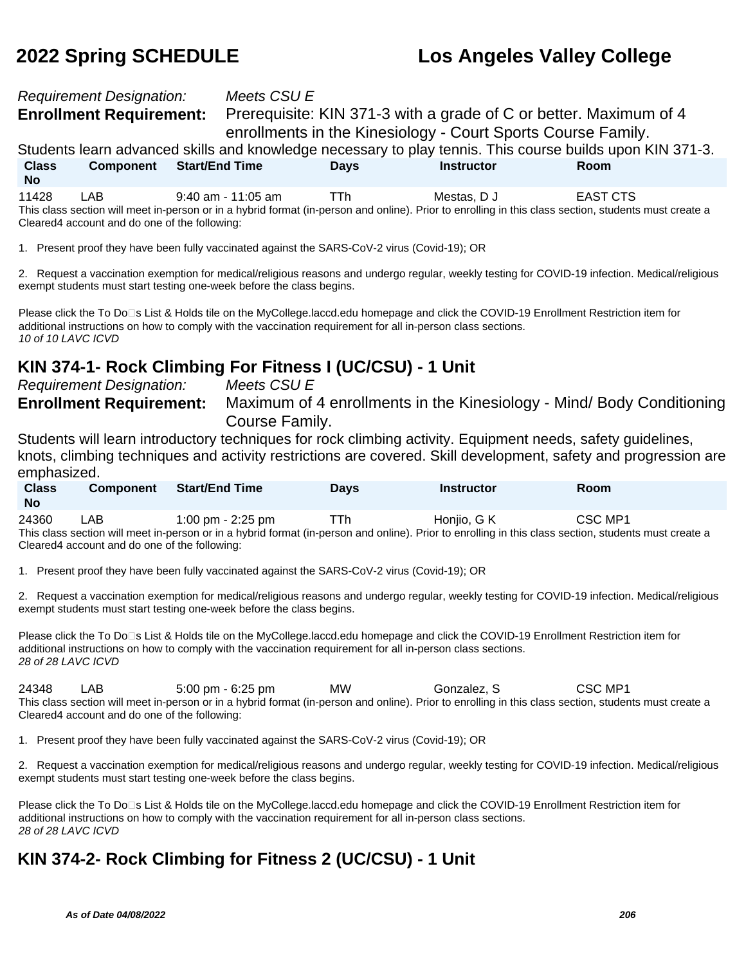# Requirement Designation: Meets CSU E

**Enrollment Requirement:** Prerequisite: KIN 371-3 with a grade of C or better. Maximum of 4 enrollments in the Kinesiology - Court Sports Course Family.

Students learn advanced skills and knowledge necessary to play tennis. This course builds upon KIN 371-3. **Class No Component Start/End Time Days Instructor Room** 11428 LAB 9:40 am - 11:05 am TTh Mestas, D J EAST CTS

This class section will meet in-person or in a hybrid format (in-person and online). Prior to enrolling in this class section, students must create a Cleared4 account and do one of the following:

1. Present proof they have been fully vaccinated against the SARS-CoV-2 virus (Covid-19); OR

2. Request a vaccination exemption for medical/religious reasons and undergo regular, weekly testing for COVID-19 infection. Medical/religious exempt students must start testing one-week before the class begins.

Please click the To Do<sup>n</sup>s List & Holds tile on the MyCollege.laccd.edu homepage and click the COVID-19 Enrollment Restriction item for additional instructions on how to comply with the vaccination requirement for all in-person class sections. 10 of 10 LAVC ICVD

### **KIN 374-1- Rock Climbing For Fitness I (UC/CSU) - 1 Unit**

Requirement Designation: Meets CSU E

**Enrollment Requirement:** Maximum of 4 enrollments in the Kinesiology - Mind/ Body Conditioning Course Family.

Students will learn introductory techniques for rock climbing activity. Equipment needs, safety guidelines, knots, climbing techniques and activity restrictions are covered. Skill development, safety and progression are emphasized.

| <b>Class</b><br><b>No</b> | <b>Component</b> | Start/End Time    | Days | <b>Instructor</b> | Room    |  |
|---------------------------|------------------|-------------------|------|-------------------|---------|--|
| 24360                     | LAB.             | 1:00 pm - 2:25 pm | ттh. | Honjio, G K       | CSC MP1 |  |

This class section will meet in-person or in a hybrid format (in-person and online). Prior to enrolling in this class section, students must create a Cleared4 account and do one of the following:

1. Present proof they have been fully vaccinated against the SARS-CoV-2 virus (Covid-19); OR

2. Request a vaccination exemption for medical/religious reasons and undergo regular, weekly testing for COVID-19 infection. Medical/religious exempt students must start testing one-week before the class begins.

Please click the To Do<sup>n</sup>s List & Holds tile on the MyCollege.laccd.edu homepage and click the COVID-19 Enrollment Restriction item for additional instructions on how to comply with the vaccination requirement for all in-person class sections. 28 of 28 LAVC ICVD

24348 LAB 5:00 pm - 6:25 pm MW Gonzalez, S CSC MP1 This class section will meet in-person or in a hybrid format (in-person and online). Prior to enrolling in this class section, students must create a Cleared4 account and do one of the following:

1. Present proof they have been fully vaccinated against the SARS-CoV-2 virus (Covid-19); OR

2. Request a vaccination exemption for medical/religious reasons and undergo regular, weekly testing for COVID-19 infection. Medical/religious exempt students must start testing one-week before the class begins.

Please click the To Do<sup>n</sup>s List & Holds tile on the MyCollege.laccd.edu homepage and click the COVID-19 Enrollment Restriction item for additional instructions on how to comply with the vaccination requirement for all in-person class sections. 28 of 28 LAVC ICVD

### **KIN 374-2- Rock Climbing for Fitness 2 (UC/CSU) - 1 Unit**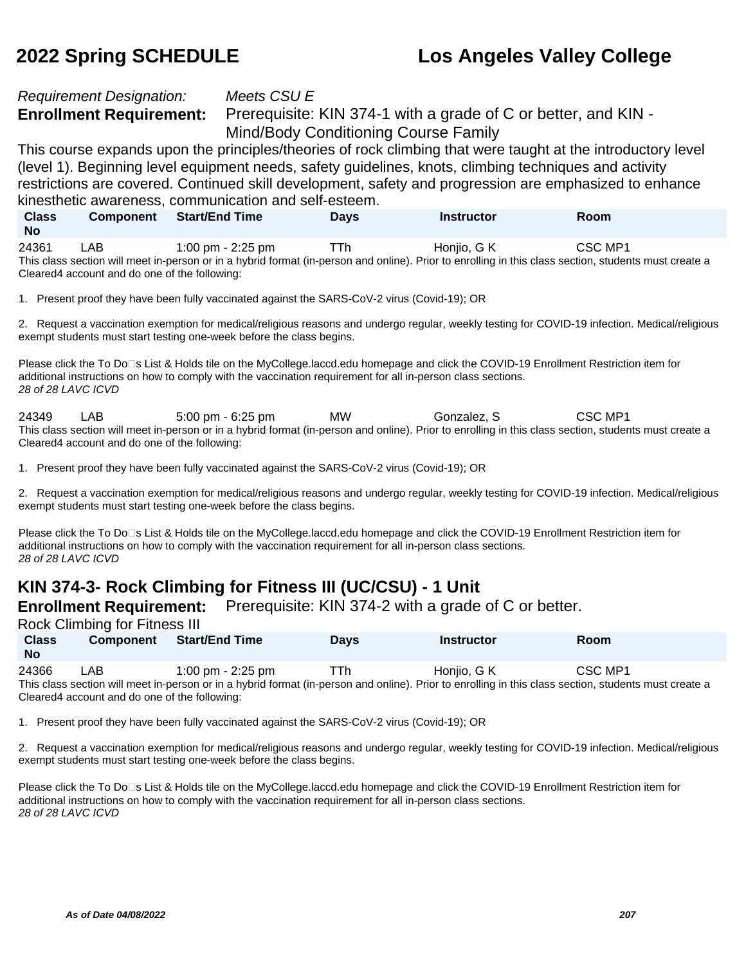# Requirement Designation: Meets CSU E

**Enrollment Requirement:** Prerequisite: KIN 374-1 with a grade of C or better, and KIN -Mind/Body Conditioning Course Family

This course expands upon the principles/theories of rock climbing that were taught at the introductory level (level 1). Beginning level equipment needs, safety guidelines, knots, climbing techniques and activity restrictions are covered. Continued skill development, safety and progression are emphasized to enhance kinesthetic awareness, communication and self-esteem.

| <b>Class</b><br><b>No</b> | <b>Component</b> | <b>Start/End Time</b>                                                                                                                                 | Davs | Instructor  | Room    |
|---------------------------|------------------|-------------------------------------------------------------------------------------------------------------------------------------------------------|------|-------------|---------|
| 24361                     | ∟AB              | 1:00 pm - 2:25 pm                                                                                                                                     | TTh  | Honiio. G K | CSC MP1 |
|                           |                  | This class section will meet in-person or in a hybrid format (in-person and online). Prior to enrolling in this class section, students must create a |      |             |         |

Cleared4 account and do one of the following:

1. Present proof they have been fully vaccinated against the SARS-CoV-2 virus (Covid-19); OR

2. Request a vaccination exemption for medical/religious reasons and undergo regular, weekly testing for COVID-19 infection. Medical/religious exempt students must start testing one-week before the class begins.

Please click the To Do□s List & Holds tile on the MyCollege.laccd.edu homepage and click the COVID-19 Enrollment Restriction item for additional instructions on how to comply with the vaccination requirement for all in-person class sections. 28 of 28 LAVC ICVD

24349 LAB 5:00 pm - 6:25 pm MW Gonzalez, S CSC MP1 This class section will meet in-person or in a hybrid format (in-person and online). Prior to enrolling in this class section, students must create a Cleared4 account and do one of the following:

1. Present proof they have been fully vaccinated against the SARS-CoV-2 virus (Covid-19); OR

2. Request a vaccination exemption for medical/religious reasons and undergo regular, weekly testing for COVID-19 infection. Medical/religious exempt students must start testing one-week before the class begins.

Please click the To Do<sup>n</sup>s List & Holds tile on the MyCollege.laccd.edu homepage and click the COVID-19 Enrollment Restriction item for additional instructions on how to comply with the vaccination requirement for all in-person class sections. 28 of 28 LAVC ICVD

### **KIN 374-3- Rock Climbing for Fitness III (UC/CSU) - 1 Unit**

**Enrollment Requirement:** Prerequisite: KIN 374-2 with a grade of C or better.

Rock Climbing for Fitness III

| <b>Class</b><br><b>No</b> | <b>Component</b> | Start/End Time      | Days | <b>Instructor</b>                                                                                                                                     | Room    |  |
|---------------------------|------------------|---------------------|------|-------------------------------------------------------------------------------------------------------------------------------------------------------|---------|--|
| 24366                     | LAB              | 1:00 pm $-$ 2:25 pm | ГTh  | Honjio, G K                                                                                                                                           | CSC MP1 |  |
|                           |                  |                     |      | This class section will meet in-person or in a hybrid format (in-person and online). Prior to enrolling in this class section, students must create a |         |  |

orid tormat (in-person and online). Prior to enrolling in this class section, students must create a Cleared4 account and do one of the following:

1. Present proof they have been fully vaccinated against the SARS-CoV-2 virus (Covid-19); OR

2. Request a vaccination exemption for medical/religious reasons and undergo regular, weekly testing for COVID-19 infection. Medical/religious exempt students must start testing one-week before the class begins.

Please click the To Do⊡s List & Holds tile on the MyCollege.laccd.edu homepage and click the COVID-19 Enrollment Restriction item for additional instructions on how to comply with the vaccination requirement for all in-person class sections. 28 of 28 LAVC ICVD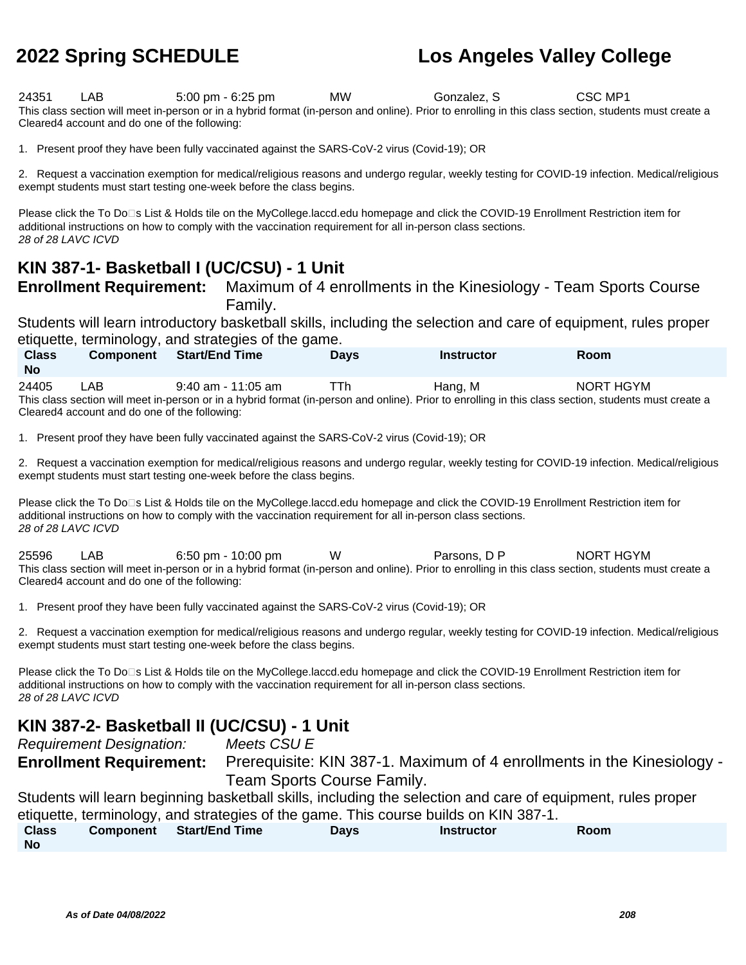24351 LAB 5:00 pm - 6:25 pm MW Gonzalez, S CSC MP1 This class section will meet in-person or in a hybrid format (in-person and online). Prior to enrolling in this class section, students must create a Cleared4 account and do one of the following:

1. Present proof they have been fully vaccinated against the SARS-CoV-2 virus (Covid-19); OR

2. Request a vaccination exemption for medical/religious reasons and undergo regular, weekly testing for COVID-19 infection. Medical/religious exempt students must start testing one-week before the class begins.

Please click the To Do<sup>n</sup>s List & Holds tile on the MyCollege.laccd.edu homepage and click the COVID-19 Enrollment Restriction item for additional instructions on how to comply with the vaccination requirement for all in-person class sections. 28 of 28 LAVC ICVD

### **KIN 387-1- Basketball I (UC/CSU) - 1 Unit**

**Enrollment Requirement:** Maximum of 4 enrollments in the Kinesiology - Team Sports Course Family.

Students will learn introductory basketball skills, including the selection and care of equipment, rules proper etiquette, terminology, and strategies of the game.

| <b>Class</b> | <b>Component</b>                              | <b>Start/End Time</b> | <b>Davs</b> | <b>Instructor</b> | <b>Room</b>                                                                                                                                           |  |
|--------------|-----------------------------------------------|-----------------------|-------------|-------------------|-------------------------------------------------------------------------------------------------------------------------------------------------------|--|
| <b>No</b>    |                                               |                       |             |                   |                                                                                                                                                       |  |
| 24405        | _AB                                           | $9:40$ am - 11:05 am  | TTh         | Hang. M           | NORT HGYM                                                                                                                                             |  |
|              |                                               |                       |             |                   | This class section will meet in-person or in a hybrid format (in-person and online). Prior to enrolling in this class section, students must create a |  |
|              | Cleared4 account and do one of the following: |                       |             |                   |                                                                                                                                                       |  |

1. Present proof they have been fully vaccinated against the SARS-CoV-2 virus (Covid-19); OR

2. Request a vaccination exemption for medical/religious reasons and undergo regular, weekly testing for COVID-19 infection. Medical/religious exempt students must start testing one-week before the class begins.

Please click the To Do<sup>n</sup>s List & Holds tile on the MyCollege.laccd.edu homepage and click the COVID-19 Enrollment Restriction item for additional instructions on how to comply with the vaccination requirement for all in-person class sections. 28 of 28 LAVC ICVD

25596 LAB 6:50 pm - 10:00 pm W Parsons, D P NORT HGYM This class section will meet in-person or in a hybrid format (in-person and online). Prior to enrolling in this class section, students must create a Cleared4 account and do one of the following:

1. Present proof they have been fully vaccinated against the SARS-CoV-2 virus (Covid-19); OR

2. Request a vaccination exemption for medical/religious reasons and undergo regular, weekly testing for COVID-19 infection. Medical/religious exempt students must start testing one-week before the class begins.

Please click the To Do<sup>n</sup>s List & Holds tile on the MyCollege.laccd.edu homepage and click the COVID-19 Enrollment Restriction item for additional instructions on how to comply with the vaccination requirement for all in-person class sections. 28 of 28 LAVC ICVD

### **KIN 387-2- Basketball II (UC/CSU) - 1 Unit**

Requirement Designation: Meets CSU E

**Enrollment Requirement:** Prerequisite: KIN 387-1. Maximum of 4 enrollments in the Kinesiology - Team Sports Course Family.

Students will learn beginning basketball skills, including the selection and care of equipment, rules proper etiquette, terminology, and strategies of the game. This course builds on KIN 387-1.

| <b>Class</b> | Component Start/End Time | <b>Days</b> | <b>Instructor</b> | Room |  |
|--------------|--------------------------|-------------|-------------------|------|--|
| <b>No</b>    |                          |             |                   |      |  |

**As of Date 04/08/2022 208**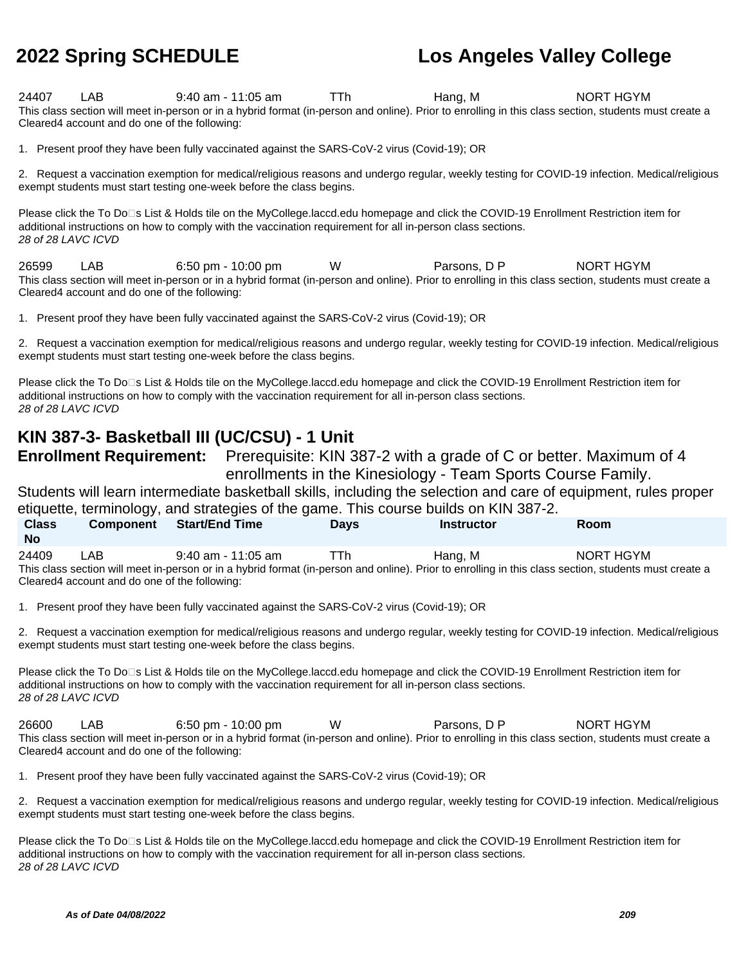24407 LAB 9:40 am - 11:05 am TTh Hang, M NORT HGYM This class section will meet in-person or in a hybrid format (in-person and online). Prior to enrolling in this class section, students must create a Cleared4 account and do one of the following:

1. Present proof they have been fully vaccinated against the SARS-CoV-2 virus (Covid-19); OR

2. Request a vaccination exemption for medical/religious reasons and undergo regular, weekly testing for COVID-19 infection. Medical/religious exempt students must start testing one-week before the class begins.

Please click the To Do<sup>n</sup>s List & Holds tile on the MyCollege.laccd.edu homepage and click the COVID-19 Enrollment Restriction item for additional instructions on how to comply with the vaccination requirement for all in-person class sections. 28 of 28 LAVC ICVD

26599 LAB 6:50 pm - 10:00 pm W Parsons, D P NORT HGYM This class section will meet in-person or in a hybrid format (in-person and online). Prior to enrolling in this class section, students must create a Cleared4 account and do one of the following:

1. Present proof they have been fully vaccinated against the SARS-CoV-2 virus (Covid-19); OR

2. Request a vaccination exemption for medical/religious reasons and undergo regular, weekly testing for COVID-19 infection. Medical/religious exempt students must start testing one-week before the class begins.

Please click the To Do<sup>n</sup>s List & Holds tile on the MyCollege.laccd.edu homepage and click the COVID-19 Enrollment Restriction item for additional instructions on how to comply with the vaccination requirement for all in-person class sections. 28 of 28 LAVC ICVD

### **KIN 387-3- Basketball III (UC/CSU) - 1 Unit**

**Enrollment Requirement:** Prerequisite: KIN 387-2 with a grade of C or better. Maximum of 4 enrollments in the Kinesiology - Team Sports Course Family.

Students will learn intermediate basketball skills, including the selection and care of equipment, rules proper etiquette, terminology, and strategies of the game. This course builds on KIN 387-2.

| <b>Class</b>                                                                                                                                          | <b>Component</b>                               | <b>Start/End Time</b> | <b>Davs</b> | <b>Instructor</b> | <b>Room</b> |  |  |
|-------------------------------------------------------------------------------------------------------------------------------------------------------|------------------------------------------------|-----------------------|-------------|-------------------|-------------|--|--|
| <b>No</b>                                                                                                                                             |                                                |                       |             |                   |             |  |  |
| 24409                                                                                                                                                 | LAB                                            | $9:40$ am - 11:05 am  | TTh         | Hang. M           | NORT HGYM   |  |  |
| This class section will meet in-person or in a hybrid format (in-person and online). Prior to enrolling in this class section, students must create a |                                                |                       |             |                   |             |  |  |
|                                                                                                                                                       | Cleared 4 account and do one of the following: |                       |             |                   |             |  |  |

1. Present proof they have been fully vaccinated against the SARS-CoV-2 virus (Covid-19); OR

2. Request a vaccination exemption for medical/religious reasons and undergo regular, weekly testing for COVID-19 infection. Medical/religious exempt students must start testing one-week before the class begins.

Please click the To Do<sup>n</sup>s List & Holds tile on the MyCollege.laccd.edu homepage and click the COVID-19 Enrollment Restriction item for additional instructions on how to comply with the vaccination requirement for all in-person class sections. 28 of 28 LAVC ICVD

26600 LAB 6:50 pm - 10:00 pm W Parsons, D P NORT HGYM This class section will meet in-person or in a hybrid format (in-person and online). Prior to enrolling in this class section, students must create a Cleared4 account and do one of the following:

1. Present proof they have been fully vaccinated against the SARS-CoV-2 virus (Covid-19); OR

2. Request a vaccination exemption for medical/religious reasons and undergo regular, weekly testing for COVID-19 infection. Medical/religious exempt students must start testing one-week before the class begins.

Please click the To Do⊡s List & Holds tile on the MyCollege.laccd.edu homepage and click the COVID-19 Enrollment Restriction item for additional instructions on how to comply with the vaccination requirement for all in-person class sections. 28 of 28 LAVC ICVD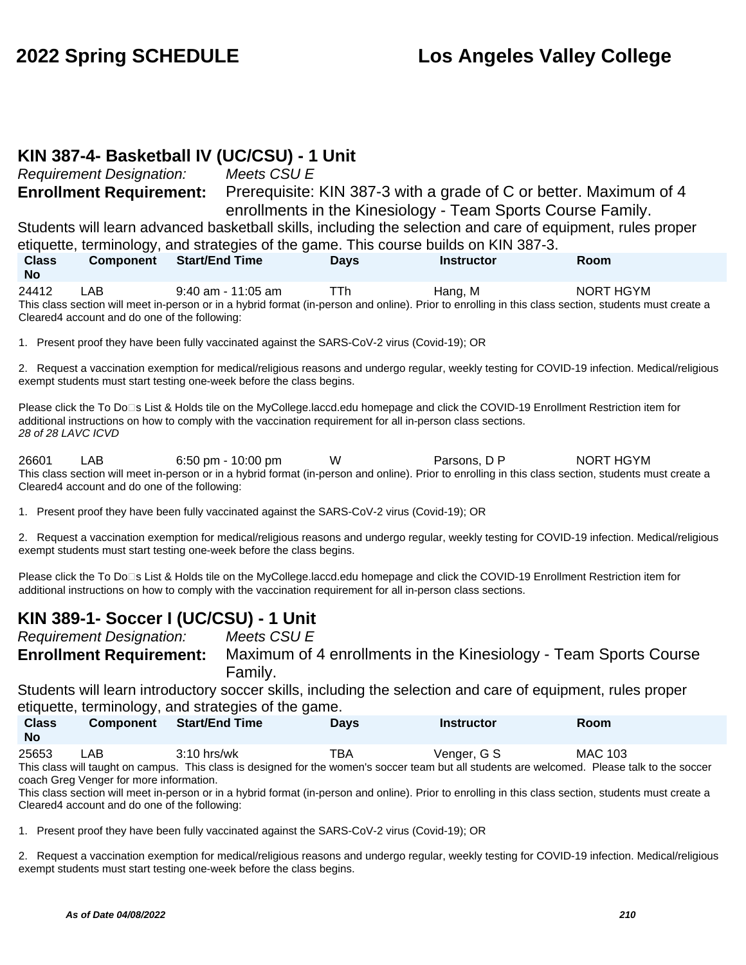#### **KIN 387-4- Basketball IV (UC/CSU) - 1 Unit**

Requirement Designation: Meets CSU E

**Class** 

**Enrollment Requirement:** Prerequisite: KIN 387-3 with a grade of C or better. Maximum of 4 enrollments in the Kinesiology - Team Sports Course Family.

Students will learn advanced basketball skills, including the selection and care of equipment, rules proper etiquette, terminology, and strategies of the game. This course builds on KIN 387-3.

**Component Start/End Time Days Instructor Room**

**No** 24412 LAB 9:40 am - 11:05 am TTh Hang, M NORT HGYM This class section will meet in-person or in a hybrid format (in-person and online). Prior to enrolling in this class section, students must create a Cleared4 account and do one of the following:

1. Present proof they have been fully vaccinated against the SARS-CoV-2 virus (Covid-19); OR

2. Request a vaccination exemption for medical/religious reasons and undergo regular, weekly testing for COVID-19 infection. Medical/religious exempt students must start testing one-week before the class begins.

Please click the To Do⊡s List & Holds tile on the MyCollege.laccd.edu homepage and click the COVID-19 Enrollment Restriction item for additional instructions on how to comply with the vaccination requirement for all in-person class sections. 28 of 28 LAVC ICVD

26601 LAB 6:50 pm - 10:00 pm W Parsons, D P NORT HGYM This class section will meet in-person or in a hybrid format (in-person and online). Prior to enrolling in this class section, students must create a Cleared4 account and do one of the following:

1. Present proof they have been fully vaccinated against the SARS-CoV-2 virus (Covid-19); OR

2. Request a vaccination exemption for medical/religious reasons and undergo regular, weekly testing for COVID-19 infection. Medical/religious exempt students must start testing one-week before the class begins.

Please click the To Do⊡s List & Holds tile on the MyCollege.laccd.edu homepage and click the COVID-19 Enrollment Restriction item for additional instructions on how to comply with the vaccination requirement for all in-person class sections.

### **KIN 389-1- Soccer I (UC/CSU) - 1 Unit**

Requirement Designation: Meets CSU E **Enrollment Requirement:** Maximum of 4 enrollments in the Kinesiology - Team Sports Course Family.

Students will learn introductory soccer skills, including the selection and care of equipment, rules proper etiquette, terminology, and strategies of the game.

| <b>Class</b><br><b>No</b> | <b>Component</b> | <b>Start/End Time</b> | Davs | Instructor  | Room           |  |
|---------------------------|------------------|-----------------------|------|-------------|----------------|--|
| 25653                     | _AB .            | $3:10$ hrs/wk         | тва  | Venger, G S | <b>MAC 103</b> |  |

This class will taught on campus. This class is designed for the women's soccer team but all students are welcomed. Please talk to the soccer coach Greg Venger for more information.

This class section will meet in-person or in a hybrid format (in-person and online). Prior to enrolling in this class section, students must create a Cleared4 account and do one of the following:

1. Present proof they have been fully vaccinated against the SARS-CoV-2 virus (Covid-19); OR

2. Request a vaccination exemption for medical/religious reasons and undergo regular, weekly testing for COVID-19 infection. Medical/religious exempt students must start testing one-week before the class begins.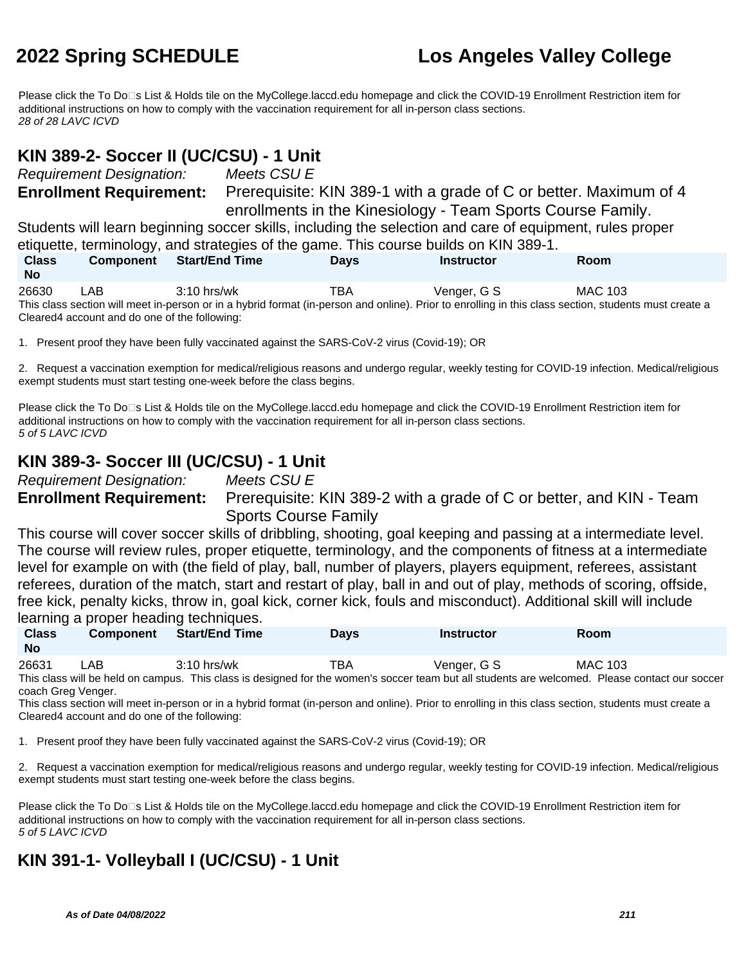Please click the To Do□s List & Holds tile on the MyCollege.laccd.edu homepage and click the COVID-19 Enrollment Restriction item for additional instructions on how to comply with the vaccination requirement for all in-person class sections. 28 of 28 LAVC ICVD

#### **KIN 389-2- Soccer II (UC/CSU) - 1 Unit**

Requirement Designation: Meets CSU E

**Enrollment Requirement:** Prerequisite: KIN 389-1 with a grade of C or better. Maximum of 4 enrollments in the Kinesiology - Team Sports Course Family.

Students will learn beginning soccer skills, including the selection and care of equipment, rules proper etiquette, terminology, and strategies of the game. This course builds on KIN 389-1.

| <b>Class</b><br><b>No</b> | <b>Component</b> | <b>Start/End Time</b>                                                                                                                                 | <b>Days</b> | <b>Instructor</b> | Room    |
|---------------------------|------------------|-------------------------------------------------------------------------------------------------------------------------------------------------------|-------------|-------------------|---------|
| 26630                     | LAB              | $3:10$ hrs/wk                                                                                                                                         | TBA         | Venger, G S       | MAC 103 |
|                           |                  | This class section will meet in-person or in a hybrid format (in-person and online). Prior to enrolling in this class section, students must create a |             |                   |         |

Cleared4 account and do one of the following:

1. Present proof they have been fully vaccinated against the SARS-CoV-2 virus (Covid-19); OR

2. Request a vaccination exemption for medical/religious reasons and undergo regular, weekly testing for COVID-19 infection. Medical/religious exempt students must start testing one-week before the class begins.

Please click the To Do<sup>n</sup>s List & Holds tile on the MyCollege.laccd.edu homepage and click the COVID-19 Enrollment Restriction item for additional instructions on how to comply with the vaccination requirement for all in-person class sections. 5 of 5 LAVC ICVD

### **KIN 389-3- Soccer III (UC/CSU) - 1 Unit**

Requirement Designation: Meets CSU E

**Enrollment Requirement:** Prerequisite: KIN 389-2 with a grade of C or better, and KIN - Team Sports Course Family

This course will cover soccer skills of dribbling, shooting, goal keeping and passing at a intermediate level. The course will review rules, proper etiquette, terminology, and the components of fitness at a intermediate level for example on with (the field of play, ball, number of players, players equipment, referees, assistant referees, duration of the match, start and restart of play, ball in and out of play, methods of scoring, offside, free kick, penalty kicks, throw in, goal kick, corner kick, fouls and misconduct). Additional skill will include learning a proper heading techniques.

| <b>Class</b><br><b>No</b> | <b>Component</b> | <b>Start/End Time</b> | <b>Days</b> | Instructor                                                                                                                                     | Room    |  |
|---------------------------|------------------|-----------------------|-------------|------------------------------------------------------------------------------------------------------------------------------------------------|---------|--|
| 26631                     | LAB.             | $3:10$ hrs/wk         | TBA         | Venger, G S                                                                                                                                    | MAC 103 |  |
|                           |                  |                       |             | This class will be held on campus. This class is designed for the women's soccer team but all students are welcomed. Please contact our soccer |         |  |

This class will be held on campus. This class is designed for the women's soccer team but all students are welcomed. Please contact our soccer coach Greg Venger.

This class section will meet in-person or in a hybrid format (in-person and online). Prior to enrolling in this class section, students must create a Cleared4 account and do one of the following:

1. Present proof they have been fully vaccinated against the SARS-CoV-2 virus (Covid-19); OR

2. Request a vaccination exemption for medical/religious reasons and undergo regular, weekly testing for COVID-19 infection. Medical/religious exempt students must start testing one-week before the class begins.

Please click the To Do<sup>n</sup>s List & Holds tile on the MyCollege.laccd.edu homepage and click the COVID-19 Enrollment Restriction item for additional instructions on how to comply with the vaccination requirement for all in-person class sections. 5 of 5 LAVC ICVD

### **KIN 391-1- Volleyball I (UC/CSU) - 1 Unit**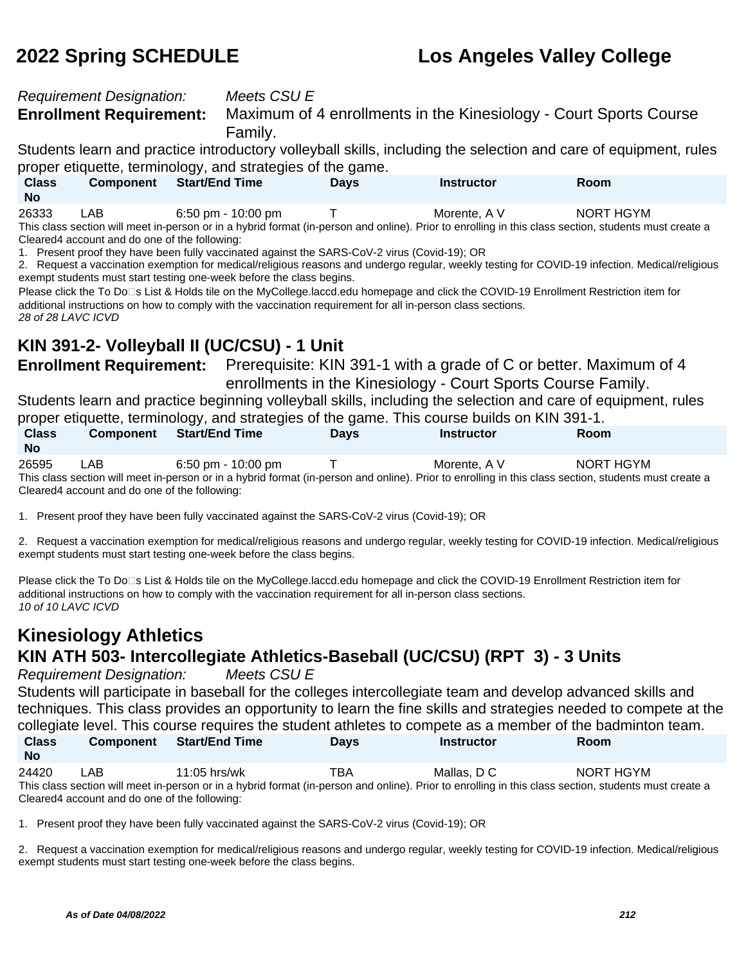#### Requirement Designation: Meets CSU E

**Enrollment Requirement:** Maximum of 4 enrollments in the Kinesiology - Court Sports Course Family.

Students learn and practice introductory volleyball skills, including the selection and care of equipment, rules proper etiquette, terminology, and strategies of the game.

| <b>Class</b><br>No | <b>Component</b> | Start/End Time     | <b>Davs</b> | Instructor   | Room      |  |
|--------------------|------------------|--------------------|-------------|--------------|-----------|--|
| 26333              | LAB              | 6:50 pm - 10:00 pm |             | Morente, A V | NORT HGYM |  |

This class section will meet in-person or in a hybrid format (in-person and online). Prior to enrolling in this class section, students must create a Cleared4 account and do one of the following:

1. Present proof they have been fully vaccinated against the SARS-CoV-2 virus (Covid-19); OR

2. Request a vaccination exemption for medical/religious reasons and undergo regular, weekly testing for COVID-19 infection. Medical/religious exempt students must start testing one-week before the class begins.

Please click the To Do<sup>n</sup>s List & Holds tile on the MyCollege.laccd.edu homepage and click the COVID-19 Enrollment Restriction item for additional instructions on how to comply with the vaccination requirement for all in-person class sections. 28 of 28 LAVC ICVD

### **KIN 391-2- Volleyball II (UC/CSU) - 1 Unit**

**Enrollment Requirement:** Prerequisite: KIN 391-1 with a grade of C or better. Maximum of 4 enrollments in the Kinesiology - Court Sports Course Family.

Students learn and practice beginning volleyball skills, including the selection and care of equipment, rules proper etiquette, terminology, and strategies of the game. This course builds on KIN 391-1.

| <b>Class</b>                                                                                                                                          | <b>Component</b>                               | <b>Start/End Time</b> | <b>Davs</b> | <b>Instructor</b> | <b>Room</b> |  |  |
|-------------------------------------------------------------------------------------------------------------------------------------------------------|------------------------------------------------|-----------------------|-------------|-------------------|-------------|--|--|
| <b>No</b>                                                                                                                                             |                                                |                       |             |                   |             |  |  |
| 26595                                                                                                                                                 | LAB                                            | $6:50$ pm - 10:00 pm  |             | Morente, A V      | NORT HGYM   |  |  |
| This class section will meet in-person or in a hybrid format (in-person and online). Prior to enrolling in this class section, students must create a |                                                |                       |             |                   |             |  |  |
|                                                                                                                                                       | Cleared 4 account and do one of the following: |                       |             |                   |             |  |  |

1. Present proof they have been fully vaccinated against the SARS-CoV-2 virus (Covid-19); OR

2. Request a vaccination exemption for medical/religious reasons and undergo regular, weekly testing for COVID-19 infection. Medical/religious exempt students must start testing one-week before the class begins.

Please click the To Do<sup>n</sup>s List & Holds tile on the MyCollege.laccd.edu homepage and click the COVID-19 Enrollment Restriction item for additional instructions on how to comply with the vaccination requirement for all in-person class sections. 10 of 10 LAVC ICVD

### **Kinesiology Athletics KIN ATH 503- Intercollegiate Athletics-Baseball (UC/CSU) (RPT 3) - 3 Units**

Requirement Designation: Meets CSU E

Students will participate in baseball for the colleges intercollegiate team and develop advanced skills and techniques. This class provides an opportunity to learn the fine skills and strategies needed to compete at the collegiate level. This course requires the student athletes to compete as a member of the badminton team. **Class Component Start/End Time Days Instructor Room**

24420 LAB 11:05 hrs/wk TBA Mallas, D C NORT HGYM This class section will meet in-person or in a hybrid format (in-person and online). Prior to enrolling in this class section, students must create a Cleared4 account and do one of the following:

1. Present proof they have been fully vaccinated against the SARS-CoV-2 virus (Covid-19); OR

2. Request a vaccination exemption for medical/religious reasons and undergo regular, weekly testing for COVID-19 infection. Medical/religious exempt students must start testing one-week before the class begins.

**No**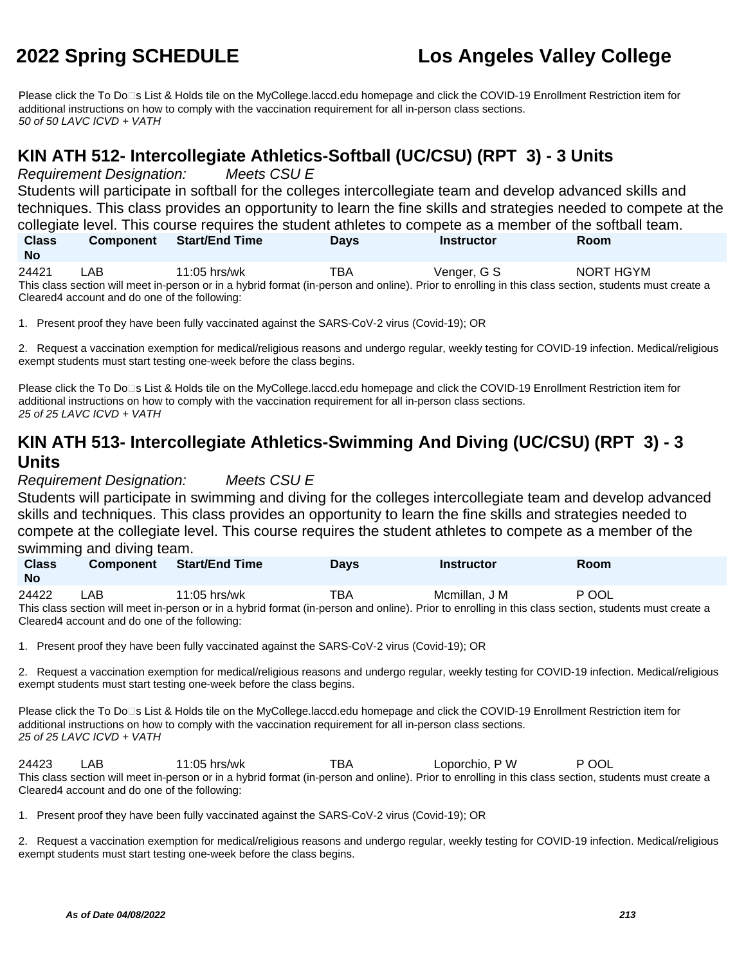Please click the To Do□s List & Holds tile on the MyCollege.laccd.edu homepage and click the COVID-19 Enrollment Restriction item for additional instructions on how to comply with the vaccination requirement for all in-person class sections. 50 of 50 LAVC ICVD + VATH

#### **KIN ATH 512- Intercollegiate Athletics-Softball (UC/CSU) (RPT 3) - 3 Units**

Requirement Designation: Meets CSU E

Students will participate in softball for the colleges intercollegiate team and develop advanced skills and techniques. This class provides an opportunity to learn the fine skills and strategies needed to compete at the collegiate level. This course requires the student athletes to compete as a member of the softball team. **Class Component Start/End Time Days Instructor Room**

| <b>No</b> |      |                                                                                                                                                       |     |             |           |  |
|-----------|------|-------------------------------------------------------------------------------------------------------------------------------------------------------|-----|-------------|-----------|--|
| 24421     | _AB_ | $11:05$ hrs/wk                                                                                                                                        | TBA | Venger, G S | NORT HGYM |  |
|           |      | This class section will meet in-person or in a hybrid format (in-person and online). Prior to enrolling in this class section, students must create a |     |             |           |  |
|           |      | Cleared4 account and do one of the following:                                                                                                         |     |             |           |  |

1. Present proof they have been fully vaccinated against the SARS-CoV-2 virus (Covid-19); OR

2. Request a vaccination exemption for medical/religious reasons and undergo regular, weekly testing for COVID-19 infection. Medical/religious exempt students must start testing one-week before the class begins.

Please click the To Do⊡s List & Holds tile on the MyCollege.laccd.edu homepage and click the COVID-19 Enrollment Restriction item for additional instructions on how to comply with the vaccination requirement for all in-person class sections. 25 of 25 LAVC ICVD + VATH

### **KIN ATH 513- Intercollegiate Athletics-Swimming And Diving (UC/CSU) (RPT 3) - 3 Units**

Requirement Designation: Meets CSU E

Students will participate in swimming and diving for the colleges intercollegiate team and develop advanced skills and techniques. This class provides an opportunity to learn the fine skills and strategies needed to compete at the collegiate level. This course requires the student athletes to compete as a member of the swimming and diving team.

| <b>Class</b><br><b>No</b> | <b>Component</b> | <b>Start/End Time</b> | Days | <b>Instructor</b> | Room  |
|---------------------------|------------------|-----------------------|------|-------------------|-------|
| 24422                     | .AB              | $11:05$ hrs/wk        | тва  | Mcmillan, J M     | P OOL |

This class section will meet in-person or in a hybrid format (in-person and online). Prior to enrolling in this class section, students must create a Cleared4 account and do one of the following:

1. Present proof they have been fully vaccinated against the SARS-CoV-2 virus (Covid-19); OR

2. Request a vaccination exemption for medical/religious reasons and undergo regular, weekly testing for COVID-19 infection. Medical/religious exempt students must start testing one-week before the class begins.

Please click the To Do<sup>n</sup>s List & Holds tile on the MyCollege.laccd.edu homepage and click the COVID-19 Enrollment Restriction item for additional instructions on how to comply with the vaccination requirement for all in-person class sections. 25 of 25 LAVC ICVD + VATH

24423 LAB 11:05 hrs/wk TBA Loporchio, P W P OOL This class section will meet in-person or in a hybrid format (in-person and online). Prior to enrolling in this class section, students must create a Cleared4 account and do one of the following:

1. Present proof they have been fully vaccinated against the SARS-CoV-2 virus (Covid-19); OR

2. Request a vaccination exemption for medical/religious reasons and undergo regular, weekly testing for COVID-19 infection. Medical/religious exempt students must start testing one-week before the class begins.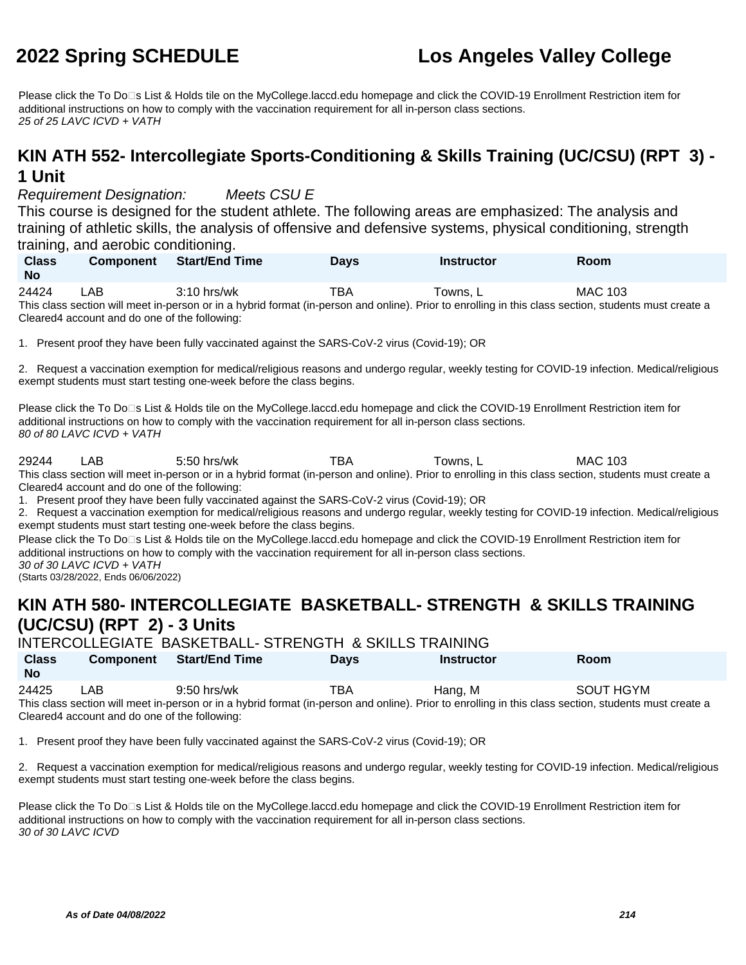Please click the To Do<sup>n</sup>s List & Holds tile on the MyCollege.laccd.edu homepage and click the COVID-19 Enrollment Restriction item for additional instructions on how to comply with the vaccination requirement for all in-person class sections. 25 of 25 LAVC ICVD + VATH

#### **KIN ATH 552- Intercollegiate Sports-Conditioning & Skills Training (UC/CSU) (RPT 3) - 1 Unit**

Requirement Designation: Meets CSU E

This course is designed for the student athlete. The following areas are emphasized: The analysis and training of athletic skills, the analysis of offensive and defensive systems, physical conditioning, strength training, and aerobic conditioning.

| <b>Class</b><br><b>No</b> | <b>Component</b> | <b>Start/End Time</b>                                                                                                                                 | Days | Instructor | Room           |
|---------------------------|------------------|-------------------------------------------------------------------------------------------------------------------------------------------------------|------|------------|----------------|
| 24424                     | _AB              | $3:10$ hrs/wk                                                                                                                                         | ⊤ва  | ™owns. L   | <b>MAC 103</b> |
|                           |                  | This class section will meet in-person or in a hybrid format (in-person and online). Prior to enrolling in this class section, students must create a |      |            |                |

 $\hbox{hybrid format}$  (in-person and online). Prior to enrolling in this class section, students must create a Cleared4 account and do one of the following:

1. Present proof they have been fully vaccinated against the SARS-CoV-2 virus (Covid-19); OR

2. Request a vaccination exemption for medical/religious reasons and undergo regular, weekly testing for COVID-19 infection. Medical/religious exempt students must start testing one-week before the class begins.

Please click the To Do<sup>n</sup>s List & Holds tile on the MyCollege.laccd.edu homepage and click the COVID-19 Enrollment Restriction item for additional instructions on how to comply with the vaccination requirement for all in-person class sections. 80 of 80 LAVC ICVD + VATH

29244 LAB 5:50 hrs/wk TBA Towns, L MAC 103 This class section will meet in-person or in a hybrid format (in-person and online). Prior to enrolling in this class section, students must create a Cleared4 account and do one of the following:

1. Present proof they have been fully vaccinated against the SARS-CoV-2 virus (Covid-19); OR

2. Request a vaccination exemption for medical/religious reasons and undergo regular, weekly testing for COVID-19 infection. Medical/religious exempt students must start testing one-week before the class begins.

Please click the To Do<sup>n</sup>s List & Holds tile on the MyCollege.laccd.edu homepage and click the COVID-19 Enrollment Restriction item for additional instructions on how to comply with the vaccination requirement for all in-person class sections. 30 of 30 LAVC ICVD + VATH

(Starts 03/28/2022, Ends 06/06/2022)

### **KIN ATH 580- INTERCOLLEGIATE BASKETBALL- STRENGTH & SKILLS TRAINING (UC/CSU) (RPT 2) - 3 Units**

|                           |                  |                       | <b>INTERCOLLEGIATE BASKETBALL- STRENGTH &amp; SKILLS TRAINING</b> |                   |                                                                                                                                                                    |  |
|---------------------------|------------------|-----------------------|-------------------------------------------------------------------|-------------------|--------------------------------------------------------------------------------------------------------------------------------------------------------------------|--|
| <b>Class</b><br><b>No</b> | <b>Component</b> | <b>Start/End Time</b> | <b>Davs</b>                                                       | <b>Instructor</b> | <b>Room</b>                                                                                                                                                        |  |
| 24425                     | LAB              | 9:50 hrs/wk           | TBA                                                               | Hang, M           | SOUT HGYM<br>This class section will meet in person or in a bybrid format (in person and online). Prior to enrolling in this class section, students must create a |  |

This class section will meet in-person or in a hybrid format (in-person and online). Prior to enrolling in this class section, students must create a Cleared4 account and do one of the following:

1. Present proof they have been fully vaccinated against the SARS-CoV-2 virus (Covid-19); OR

2. Request a vaccination exemption for medical/religious reasons and undergo regular, weekly testing for COVID-19 infection. Medical/religious exempt students must start testing one-week before the class begins.

Please click the To Do⊡s List & Holds tile on the MyCollege.laccd.edu homepage and click the COVID-19 Enrollment Restriction item for additional instructions on how to comply with the vaccination requirement for all in-person class sections. 30 of 30 LAVC ICVD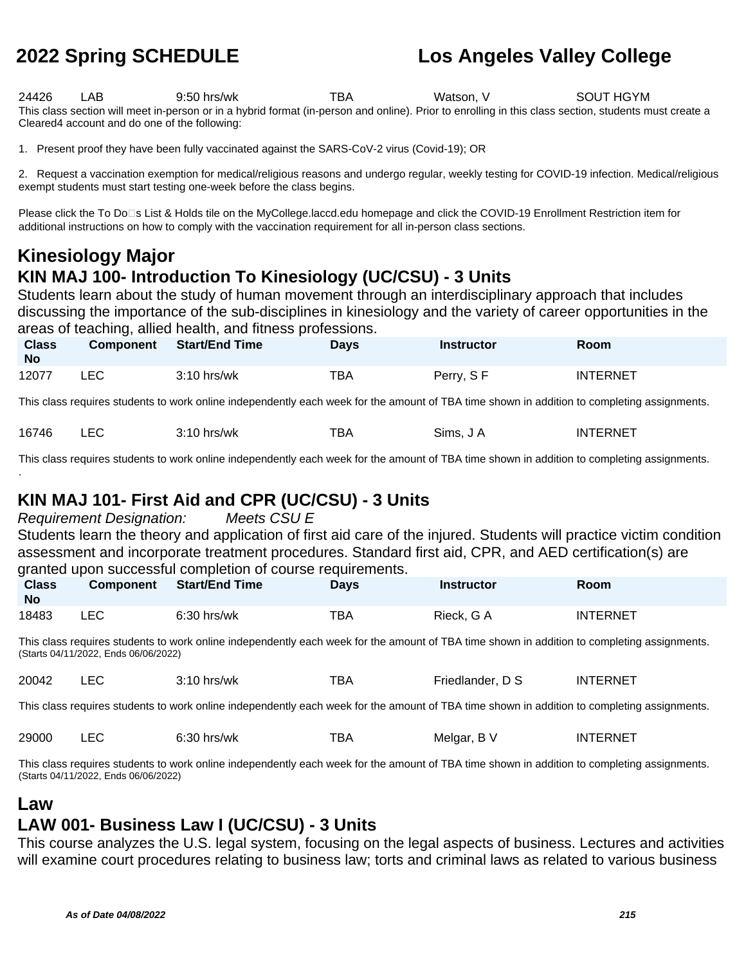24426 LAB 9:50 hrs/wk TBA Watson, V SOUT HGYM This class section will meet in-person or in a hybrid format (in-person and online). Prior to enrolling in this class section, students must create a Cleared4 account and do one of the following:

1. Present proof they have been fully vaccinated against the SARS-CoV-2 virus (Covid-19); OR

2. Request a vaccination exemption for medical/religious reasons and undergo regular, weekly testing for COVID-19 infection. Medical/religious exempt students must start testing one-week before the class begins.

Please click the To Do<sup>n</sup>s List & Holds tile on the MyCollege.laccd.edu homepage and click the COVID-19 Enrollment Restriction item for additional instructions on how to comply with the vaccination requirement for all in-person class sections.

### **Kinesiology Major KIN MAJ 100- Introduction To Kinesiology (UC/CSU) - 3 Units**

Students learn about the study of human movement through an interdisciplinary approach that includes discussing the importance of the sub-disciplines in kinesiology and the variety of career opportunities in the areas of teaching, allied health, and fitness professions.

| <b>Class</b><br><b>No</b> | <b>Component</b> | <b>Start/End Time</b> | Days | <b>Instructor</b> | Room            |
|---------------------------|------------------|-----------------------|------|-------------------|-----------------|
| 12077                     | LEC.             | $3:10$ hrs/wk         | TBA  | Perry, SF         | <b>INTERNET</b> |

This class requires students to work online independently each week for the amount of TBA time shown in addition to completing assignments.

| $\Gamma$<br>16746<br>-07 | $3:10$ hrs/wk | TBA | Sims. J A | INTERNET |
|--------------------------|---------------|-----|-----------|----------|
|--------------------------|---------------|-----|-----------|----------|

This class requires students to work online independently each week for the amount of TBA time shown in addition to completing assignments. .

### **KIN MAJ 101- First Aid and CPR (UC/CSU) - 3 Units**

Requirement Designation: Meets CSU E Students learn the theory and application of first aid care of the injured. Students will practice victim condition assessment and incorporate treatment procedures. Standard first aid, CPR, and AED certification(s) are granted upon successful completion of course requirements.

| <b>Class</b><br><b>No</b> | <b>Component</b> | <b>Start/End Time</b> | Days | <b>Instructor</b> | Room            |
|---------------------------|------------------|-----------------------|------|-------------------|-----------------|
| 18483                     | LEC              | $6:30$ hrs/wk         | TBA  | Rieck, G A        | <b>INTERNET</b> |

This class requires students to work online independently each week for the amount of TBA time shown in addition to completing assignments. (Starts 04/11/2022, Ends 06/06/2022)

| 20042 |  | ?'10 hrs/wk | --<br>BΑ | Friedlander, D S | <b>INTERNET</b> |
|-------|--|-------------|----------|------------------|-----------------|
|-------|--|-------------|----------|------------------|-----------------|

This class requires students to work online independently each week for the amount of TBA time shown in addition to completing assignments.

| 29000 |  | hrs/wk<br>. <u>.</u> | --<br>B٨ | Meldar<br>the contract of the contract of | <b>INTERNET</b> |
|-------|--|----------------------|----------|-------------------------------------------|-----------------|
|-------|--|----------------------|----------|-------------------------------------------|-----------------|

This class requires students to work online independently each week for the amount of TBA time shown in addition to completing assignments. (Starts 04/11/2022, Ends 06/06/2022)

#### **Law**

#### **LAW 001- Business Law I (UC/CSU) - 3 Units**

This course analyzes the U.S. legal system, focusing on the legal aspects of business. Lectures and activities will examine court procedures relating to business law; torts and criminal laws as related to various business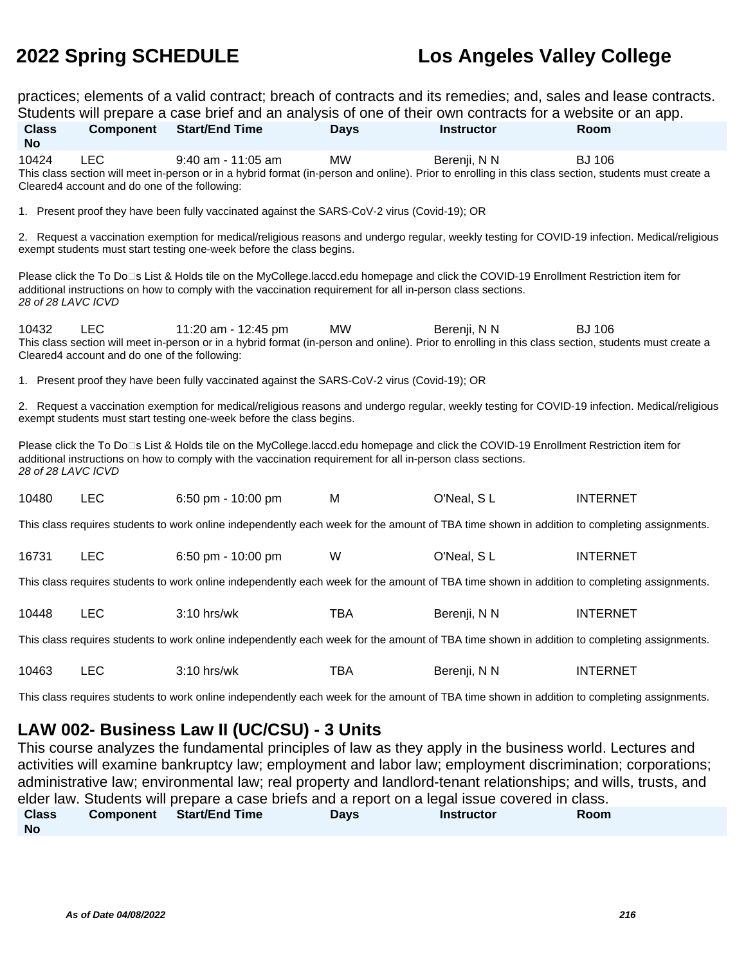practices; elements of a valid contract; breach of contracts and its remedies; and, sales and lease contracts.

| Students will prepare a case brief and an analysis of one of their own contracts for a website or an app.                                                                                                                                                                                          |                                                                                                                                                                                                                        |                                                                                                                                                                                                                                                      |             |                   |                 |  |  |
|----------------------------------------------------------------------------------------------------------------------------------------------------------------------------------------------------------------------------------------------------------------------------------------------------|------------------------------------------------------------------------------------------------------------------------------------------------------------------------------------------------------------------------|------------------------------------------------------------------------------------------------------------------------------------------------------------------------------------------------------------------------------------------------------|-------------|-------------------|-----------------|--|--|
| <b>Class</b>                                                                                                                                                                                                                                                                                       | <b>Component</b>                                                                                                                                                                                                       | <b>Start/End Time</b>                                                                                                                                                                                                                                | <b>Davs</b> | <b>Instructor</b> | Room            |  |  |
| <b>No</b>                                                                                                                                                                                                                                                                                          |                                                                                                                                                                                                                        |                                                                                                                                                                                                                                                      |             |                   |                 |  |  |
| 10424                                                                                                                                                                                                                                                                                              | <b>LEC</b>                                                                                                                                                                                                             | $9:40$ am - 11:05 am<br>This class section will meet in-person or in a hybrid format (in-person and online). Prior to enrolling in this class section, students must create a                                                                        | <b>MW</b>   | Berenji, N N      | <b>BJ 106</b>   |  |  |
|                                                                                                                                                                                                                                                                                                    | Cleared4 account and do one of the following:                                                                                                                                                                          |                                                                                                                                                                                                                                                      |             |                   |                 |  |  |
|                                                                                                                                                                                                                                                                                                    |                                                                                                                                                                                                                        | 1. Present proof they have been fully vaccinated against the SARS-CoV-2 virus (Covid-19); OR                                                                                                                                                         |             |                   |                 |  |  |
|                                                                                                                                                                                                                                                                                                    |                                                                                                                                                                                                                        | 2. Request a vaccination exemption for medical/religious reasons and undergo regular, weekly testing for COVID-19 infection. Medical/religious<br>exempt students must start testing one-week before the class begins.                               |             |                   |                 |  |  |
| 28 of 28 LAVC ICVD                                                                                                                                                                                                                                                                                 |                                                                                                                                                                                                                        | Please click the To Do⊡s List & Holds tile on the MyCollege.laccd.edu homepage and click the COVID-19 Enrollment Restriction item for<br>additional instructions on how to comply with the vaccination requirement for all in-person class sections. |             |                   |                 |  |  |
| 10432<br><b>LEC</b><br><b>MW</b><br><b>BJ 106</b><br>11:20 am - 12:45 pm<br>Berenji, N N<br>This class section will meet in-person or in a hybrid format (in-person and online). Prior to enrolling in this class section, students must create a<br>Cleared4 account and do one of the following: |                                                                                                                                                                                                                        |                                                                                                                                                                                                                                                      |             |                   |                 |  |  |
|                                                                                                                                                                                                                                                                                                    |                                                                                                                                                                                                                        | 1. Present proof they have been fully vaccinated against the SARS-CoV-2 virus (Covid-19); OR                                                                                                                                                         |             |                   |                 |  |  |
|                                                                                                                                                                                                                                                                                                    | 2. Request a vaccination exemption for medical/religious reasons and undergo regular, weekly testing for COVID-19 infection. Medical/religious<br>exempt students must start testing one-week before the class begins. |                                                                                                                                                                                                                                                      |             |                   |                 |  |  |
| Please click the To Do⊡s List & Holds tile on the MyCollege.laccd.edu homepage and click the COVID-19 Enrollment Restriction item for<br>additional instructions on how to comply with the vaccination requirement for all in-person class sections.<br>28 of 28 LAVC ICVD                         |                                                                                                                                                                                                                        |                                                                                                                                                                                                                                                      |             |                   |                 |  |  |
| 10480                                                                                                                                                                                                                                                                                              | LEC                                                                                                                                                                                                                    | 6:50 pm - 10:00 pm                                                                                                                                                                                                                                   | M           | O'Neal, SL        | <b>INTERNET</b> |  |  |
| This class requires students to work online independently each week for the amount of TBA time shown in addition to completing assignments.                                                                                                                                                        |                                                                                                                                                                                                                        |                                                                                                                                                                                                                                                      |             |                   |                 |  |  |
| 16731                                                                                                                                                                                                                                                                                              | <b>LEC</b>                                                                                                                                                                                                             | 6:50 pm - 10:00 pm                                                                                                                                                                                                                                   | W           | O'Neal, SL        | <b>INTERNET</b> |  |  |
| This class requires students to work online independently each week for the amount of TBA time shown in addition to completing assignments.                                                                                                                                                        |                                                                                                                                                                                                                        |                                                                                                                                                                                                                                                      |             |                   |                 |  |  |
| 10448                                                                                                                                                                                                                                                                                              | <b>LEC</b>                                                                                                                                                                                                             | 3:10 hrs/wk                                                                                                                                                                                                                                          | <b>TBA</b>  | Berenji, N N      | <b>INTERNET</b> |  |  |
| This class requires students to work online independently each week for the amount of TBA time shown in addition to completing assignments.                                                                                                                                                        |                                                                                                                                                                                                                        |                                                                                                                                                                                                                                                      |             |                   |                 |  |  |
| 10463                                                                                                                                                                                                                                                                                              | <b>LEC</b>                                                                                                                                                                                                             | 3:10 hrs/wk                                                                                                                                                                                                                                          | <b>TBA</b>  | Berenji, N N      | <b>INTERNET</b> |  |  |
| This class requires students to work online independently each week for the amount of TBA time shown in addition to completing assignments.                                                                                                                                                        |                                                                                                                                                                                                                        |                                                                                                                                                                                                                                                      |             |                   |                 |  |  |
| LAW 002- Business Law II (UC/CSU) - 3 Units                                                                                                                                                                                                                                                        |                                                                                                                                                                                                                        |                                                                                                                                                                                                                                                      |             |                   |                 |  |  |

This course analyzes the fundamental principles of law as they apply in the business world. Lectures and activities will examine bankruptcy law; employment and labor law; employment discrimination; corporations; administrative law; environmental law; real property and landlord-tenant relationships; and wills, trusts, and elder law. Students will prepare a case briefs and a report on a legal issue covered in class. **Class No Component Start/End Time Days Instructor Room**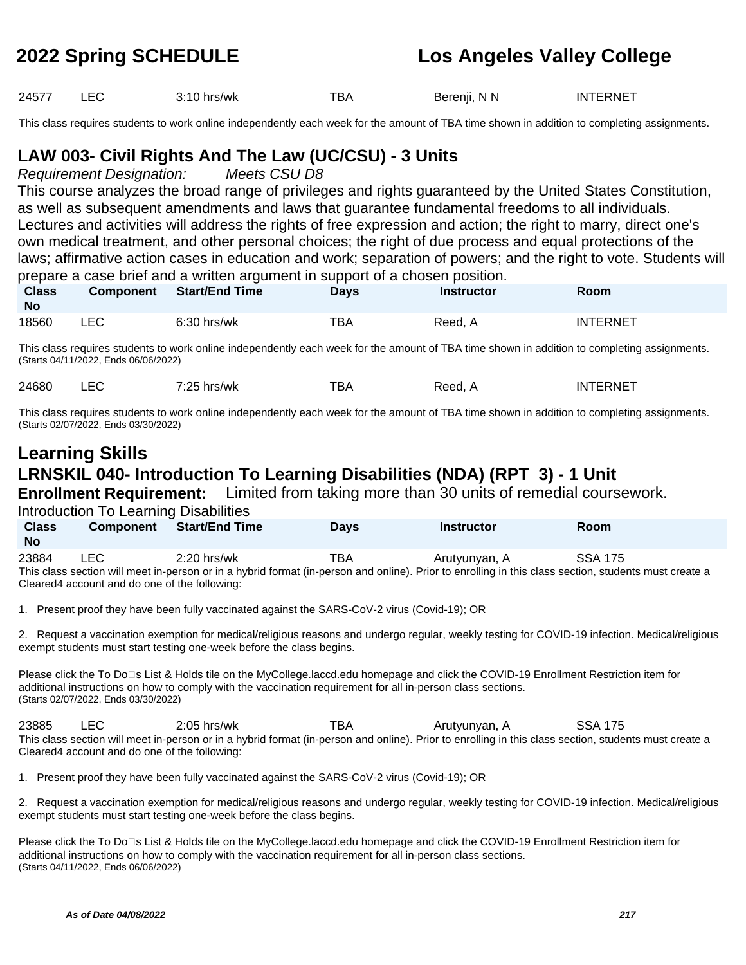24577 LEC 3:10 hrs/wk TBA Berenji, N N INTERNET

This class requires students to work online independently each week for the amount of TBA time shown in addition to completing assignments.

# **LAW 003- Civil Rights And The Law (UC/CSU) - 3 Units**

Requirement Designation: Meets CSU D8

This course analyzes the broad range of privileges and rights guaranteed by the United States Constitution, as well as subsequent amendments and laws that guarantee fundamental freedoms to all individuals. Lectures and activities will address the rights of free expression and action; the right to marry, direct one's own medical treatment, and other personal choices; the right of due process and equal protections of the laws; affirmative action cases in education and work; separation of powers; and the right to vote. Students will prepare a case brief and a written argument in support of a chosen position.

| <b>Class</b><br><b>No</b> | <b>Component</b> | Start/End Time | Days | <b>Instructor</b> | Room            |  |
|---------------------------|------------------|----------------|------|-------------------|-----------------|--|
| 18560                     | LEC              | $6:30$ hrs/wk  | TBA  | Reed. A           | <b>INTERNET</b> |  |

This class requires students to work online independently each week for the amount of TBA time shown in addition to completing assignments. (Starts 04/11/2022, Ends 06/06/2022)

| hrs/wk<br>ں ے.<br>___ | 24680<br>・つに | --<br>.BA | <b>FERNET</b><br>INTE<br>Reed. A |
|-----------------------|--------------|-----------|----------------------------------|
|-----------------------|--------------|-----------|----------------------------------|

This class requires students to work online independently each week for the amount of TBA time shown in addition to completing assignments. (Starts 02/07/2022, Ends 03/30/2022)

# **Learning Skills LRNSKIL 040- Introduction To Learning Disabilities (NDA) (RPT 3) - 1 Unit**

**Enrollment Requirement:** Limited from taking more than 30 units of remedial coursework.

Introduction To Learning Disabilities

| <b>Class</b><br><b>No</b> | <b>Component</b> | Start/End Time | Days | <b>Instructor</b> | Room           |
|---------------------------|------------------|----------------|------|-------------------|----------------|
| 23884                     | ∟EC.             | $2:20$ hrs/wk  | тва  | Arutyunyan, A     | <b>SSA 175</b> |

This class section will meet in-person or in a hybrid format (in-person and online). Prior to enrolling in this class section, students must create a Cleared4 account and do one of the following:

1. Present proof they have been fully vaccinated against the SARS-CoV-2 virus (Covid-19); OR

2. Request a vaccination exemption for medical/religious reasons and undergo regular, weekly testing for COVID-19 infection. Medical/religious exempt students must start testing one-week before the class begins.

Please click the To Do⊡s List & Holds tile on the MyCollege.laccd.edu homepage and click the COVID-19 Enrollment Restriction item for additional instructions on how to comply with the vaccination requirement for all in-person class sections. (Starts 02/07/2022, Ends 03/30/2022)

23885 LEC 2:05 hrs/wk TBA Arutyunyan, A SSA 175 This class section will meet in-person or in a hybrid format (in-person and online). Prior to enrolling in this class section, students must create a Cleared4 account and do one of the following:

1. Present proof they have been fully vaccinated against the SARS-CoV-2 virus (Covid-19); OR

2. Request a vaccination exemption for medical/religious reasons and undergo regular, weekly testing for COVID-19 infection. Medical/religious exempt students must start testing one-week before the class begins.

Please click the To Do<sup>n</sup>s List & Holds tile on the MyCollege.laccd.edu homepage and click the COVID-19 Enrollment Restriction item for additional instructions on how to comply with the vaccination requirement for all in-person class sections. (Starts 04/11/2022, Ends 06/06/2022)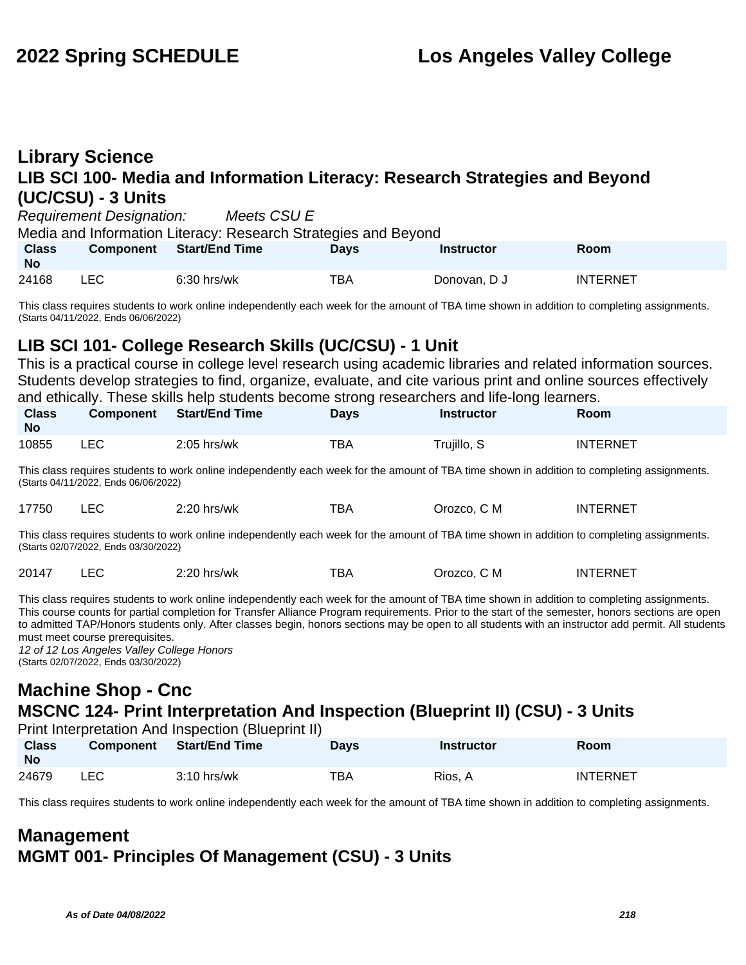# **Library Science LIB SCI 100- Media and Information Literacy: Research Strategies and Beyond (UC/CSU) - 3 Units**

Requirement Designation: Meets CSU E

Media and Information Literacy: Research Strategies and Beyond

| <b>Class</b><br><b>No</b> | <b>Component</b> | Start/End Time | Days | Instructor   | Room            |
|---------------------------|------------------|----------------|------|--------------|-----------------|
| 24168                     | <b>LEC</b>       | $6:30$ hrs/wk  | TBA  | Donovan, D J | <b>INTERNET</b> |

This class requires students to work online independently each week for the amount of TBA time shown in addition to completing assignments. (Starts 04/11/2022, Ends 06/06/2022)

# **LIB SCI 101- College Research Skills (UC/CSU) - 1 Unit**

This is a practical course in college level research using academic libraries and related information sources. Students develop strategies to find, organize, evaluate, and cite various print and online sources effectively and ethically. These skills help students become strong researchers and life-long learners.

| <b>Class</b><br><b>No</b> | Component | Start/End Time | <b>Davs</b> | <b>Instructor</b> | Room            |
|---------------------------|-----------|----------------|-------------|-------------------|-----------------|
| 10855                     | LEC       | $2:05$ hrs/wk  | TBA         | Trujillo, S       | <b>INTERNET</b> |

This class requires students to work online independently each week for the amount of TBA time shown in addition to completing assignments. (Starts 04/11/2022, Ends 06/06/2022)

| $   -$ | 17750 | ᄕᄔ | $2:20$ hrs/wk | TBA. | Orozco, C M | INTERNET |
|--------|-------|----|---------------|------|-------------|----------|
|--------|-------|----|---------------|------|-------------|----------|

This class requires students to work online independently each week for the amount of TBA time shown in addition to completing assignments. (Starts 02/07/2022, Ends 03/30/2022)

|  | 20147 |  | 2:20 hrs/wk | тва | Orozco, C M | INTERNET |
|--|-------|--|-------------|-----|-------------|----------|
|--|-------|--|-------------|-----|-------------|----------|

This class requires students to work online independently each week for the amount of TBA time shown in addition to completing assignments. This course counts for partial completion for Transfer Alliance Program requirements. Prior to the start of the semester, honors sections are open to admitted TAP/Honors students only. After classes begin, honors sections may be open to all students with an instructor add permit. All students must meet course prerequisites.

12 of 12 Los Angeles Valley College Honors (Starts 02/07/2022, Ends 03/30/2022)

# **Machine Shop - Cnc MSCNC 124- Print Interpretation And Inspection (Blueprint II) (CSU) - 3 Units**

Print Interpretation And Inspection (Blueprint II)

| <b>Class</b><br><b>No</b> | <b>Component</b> | <b>Start/End Time</b> | <b>Days</b> | <b>Instructor</b> | <b>Room</b>     |
|---------------------------|------------------|-----------------------|-------------|-------------------|-----------------|
| 24679                     | ∟EC              | 3:10 hrs/wk           | TBA         | Rios. A           | <b>INTERNET</b> |

This class requires students to work online independently each week for the amount of TBA time shown in addition to completing assignments.

# **Management MGMT 001- Principles Of Management (CSU) - 3 Units**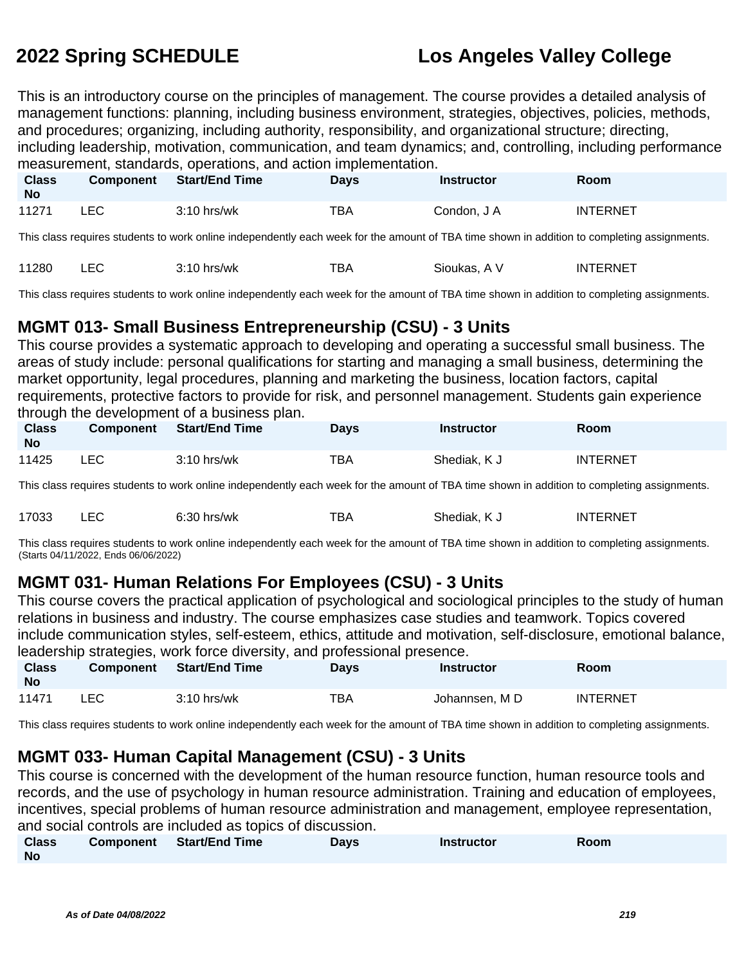This is an introductory course on the principles of management. The course provides a detailed analysis of management functions: planning, including business environment, strategies, objectives, policies, methods, and procedures; organizing, including authority, responsibility, and organizational structure; directing, including leadership, motivation, communication, and team dynamics; and, controlling, including performance measurement, standards, operations, and action implementation.

| <b>Class</b><br><b>No</b> | <b>Component</b> | <b>Start/End Time</b> | <b>Days</b> | <b>Instructor</b> | Room            |
|---------------------------|------------------|-----------------------|-------------|-------------------|-----------------|
| 11271                     | ∟EC              | $3:10$ hrs/wk         | TBA         | Condon, J A       | <b>INTERNET</b> |

This class requires students to work online independently each week for the amount of TBA time shown in addition to completing assignments.

| 11280<br>3:10 hrs/wk | <b>INTERNET</b><br>тва<br>Sioukas. A V |
|----------------------|----------------------------------------|
|----------------------|----------------------------------------|

This class requires students to work online independently each week for the amount of TBA time shown in addition to completing assignments.

# **MGMT 013- Small Business Entrepreneurship (CSU) - 3 Units**

This course provides a systematic approach to developing and operating a successful small business. The areas of study include: personal qualifications for starting and managing a small business, determining the market opportunity, legal procedures, planning and marketing the business, location factors, capital requirements, protective factors to provide for risk, and personnel management. Students gain experience through the development of a business plan.

| <b>Class</b><br>No | <b>Component</b> | <b>Start/End Time</b> | <b>Days</b> | Instructor   | Room            |
|--------------------|------------------|-----------------------|-------------|--------------|-----------------|
| 11425              | _EC              | $3:10$ hrs/wk         | TBA         | Shediak, K J | <b>INTERNET</b> |

This class requires students to work online independently each week for the amount of TBA time shown in addition to completing assignments.

| 17033 | $6:30$ hrs/wk | тва | Shediak.<br>n J | <b>INTERNET</b> |
|-------|---------------|-----|-----------------|-----------------|
|       |               |     |                 |                 |

This class requires students to work online independently each week for the amount of TBA time shown in addition to completing assignments. (Starts 04/11/2022, Ends 06/06/2022)

# **MGMT 031- Human Relations For Employees (CSU) - 3 Units**

This course covers the practical application of psychological and sociological principles to the study of human relations in business and industry. The course emphasizes case studies and teamwork. Topics covered include communication styles, self-esteem, ethics, attitude and motivation, self-disclosure, emotional balance, leadership strategies, work force diversity, and professional presence.

| <b>Class</b><br><b>No</b> | <b>Component</b> | Start/End Time | <b>Davs</b> | <b>Instructor</b> | Room            |
|---------------------------|------------------|----------------|-------------|-------------------|-----------------|
| 11471                     | LEC              | $3:10$ hrs/wk  | TBA         | Johannsen, M D    | <b>INTERNET</b> |

This class requires students to work online independently each week for the amount of TBA time shown in addition to completing assignments.

# **MGMT 033- Human Capital Management (CSU) - 3 Units**

This course is concerned with the development of the human resource function, human resource tools and records, and the use of psychology in human resource administration. Training and education of employees, incentives, special problems of human resource administration and management, employee representation, and social controls are included as topics of discussion.

| <b>Class</b> | <b>Component</b> Start/End Time | Days | <b>Instructor</b> | Room |
|--------------|---------------------------------|------|-------------------|------|
| <b>No</b>    |                                 |      |                   |      |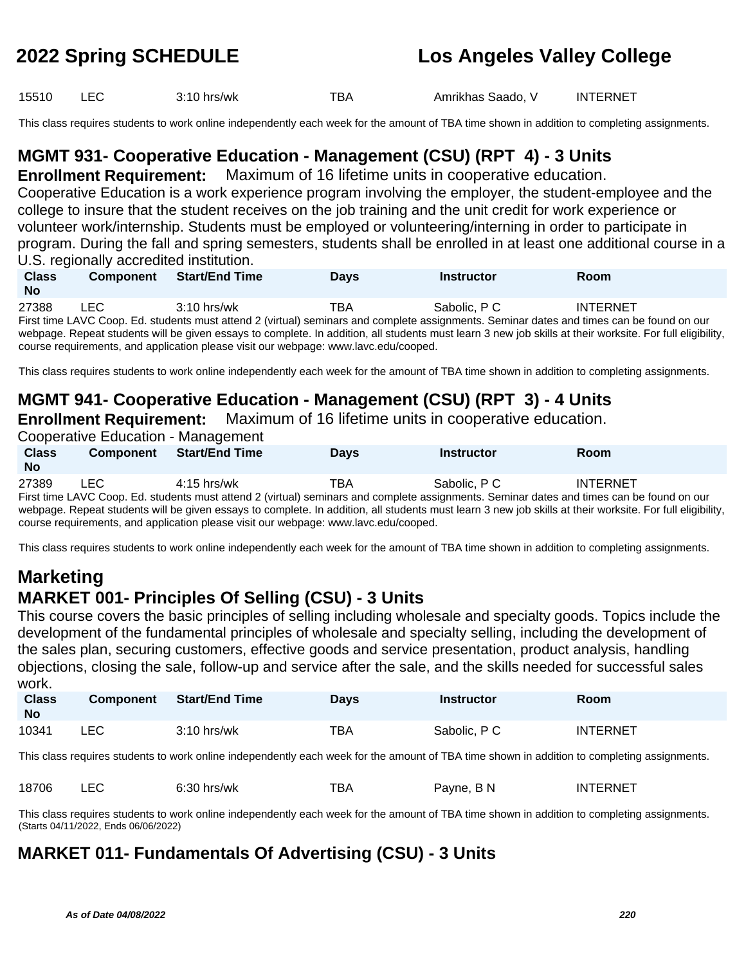15510 LEC 3:10 hrs/wk TBA Amrikhas Saado, V INTERNET

This class requires students to work online independently each week for the amount of TBA time shown in addition to completing assignments.

# **MGMT 931- Cooperative Education - Management (CSU) (RPT 4) - 3 Units**

**Enrollment Requirement:** Maximum of 16 lifetime units in cooperative education.

Cooperative Education is a work experience program involving the employer, the student-employee and the college to insure that the student receives on the job training and the unit credit for work experience or volunteer work/internship. Students must be employed or volunteering/interning in order to participate in program. During the fall and spring semesters, students shall be enrolled in at least one additional course in a U.S. regionally accredited institution.

| <b>Class</b><br><b>No</b> | <b>Component</b> | <b>Start/End Time</b> | <b>Davs</b> | <b>Instructor</b> | <b>Room</b>                                                                                                                               |  |
|---------------------------|------------------|-----------------------|-------------|-------------------|-------------------------------------------------------------------------------------------------------------------------------------------|--|
| 27388                     | <b>LEC</b>       | $3:10$ hrs/wk         | TBA         | Sabolic, P C      | <b>INTERNET</b>                                                                                                                           |  |
|                           |                  |                       |             |                   | First time LAVC Coop. Ed. students must attend 2 (virtual) seminars and complete assignments. Seminar dates and times can be found on our |  |

webpage. Repeat students will be given essays to complete. In addition, all students must learn 3 new job skills at their worksite. For full eligibility, course requirements, and application please visit our webpage: www.lavc.edu/cooped.

This class requires students to work online independently each week for the amount of TBA time shown in addition to completing assignments.

# **MGMT 941- Cooperative Education - Management (CSU) (RPT 3) - 4 Units**

**Enrollment Requirement:** Maximum of 16 lifetime units in cooperative education.

|                                                                                                                                                           | Cooperative Education - Management |                                                                                     |             |                   |                                                                                                                                           |  |  |  |  |
|-----------------------------------------------------------------------------------------------------------------------------------------------------------|------------------------------------|-------------------------------------------------------------------------------------|-------------|-------------------|-------------------------------------------------------------------------------------------------------------------------------------------|--|--|--|--|
| <b>Class</b>                                                                                                                                              | <b>Component</b>                   | <b>Start/End Time</b>                                                               | <b>Days</b> | <b>Instructor</b> | <b>Room</b>                                                                                                                               |  |  |  |  |
| <b>No</b>                                                                                                                                                 |                                    |                                                                                     |             |                   |                                                                                                                                           |  |  |  |  |
| 27389                                                                                                                                                     | LEC.                               | $4:15$ hrs/wk                                                                       | TBA         | Sabolic, P C      | <b>INTERNET</b>                                                                                                                           |  |  |  |  |
|                                                                                                                                                           |                                    |                                                                                     |             |                   | First time LAVC Coop. Ed. students must attend 2 (virtual) seminars and complete assignments. Seminar dates and times can be found on our |  |  |  |  |
| webpage. Repeat students will be given essays to complete. In addition, all students must learn 3 new job skills at their worksite. For full eligibility, |                                    |                                                                                     |             |                   |                                                                                                                                           |  |  |  |  |
|                                                                                                                                                           |                                    | course requirements, and application please visit our webpage: www.lavc.edu/cooped. |             |                   |                                                                                                                                           |  |  |  |  |

This class requires students to work online independently each week for the amount of TBA time shown in addition to completing assignments.

# **Marketing MARKET 001- Principles Of Selling (CSU) - 3 Units**

This course covers the basic principles of selling including wholesale and specialty goods. Topics include the development of the fundamental principles of wholesale and specialty selling, including the development of the sales plan, securing customers, effective goods and service presentation, product analysis, handling objections, closing the sale, follow-up and service after the sale, and the skills needed for successful sales work.

| <b>Class</b><br><b>No</b> | <b>Component</b> | <b>Start/End Time</b> | Days | Instructor   | Room            |
|---------------------------|------------------|-----------------------|------|--------------|-----------------|
| 10341                     | LEC              | $3:10$ hrs/wk         | тва  | Sabolic, P C | <b>INTERNET</b> |

This class requires students to work online independently each week for the amount of TBA time shown in addition to completing assignments.

| 18706 |  | $6:30$ hrs/wk | тва | Payne, B N | INTERNET |
|-------|--|---------------|-----|------------|----------|
|-------|--|---------------|-----|------------|----------|

This class requires students to work online independently each week for the amount of TBA time shown in addition to completing assignments. (Starts 04/11/2022, Ends 06/06/2022)

# **MARKET 011- Fundamentals Of Advertising (CSU) - 3 Units**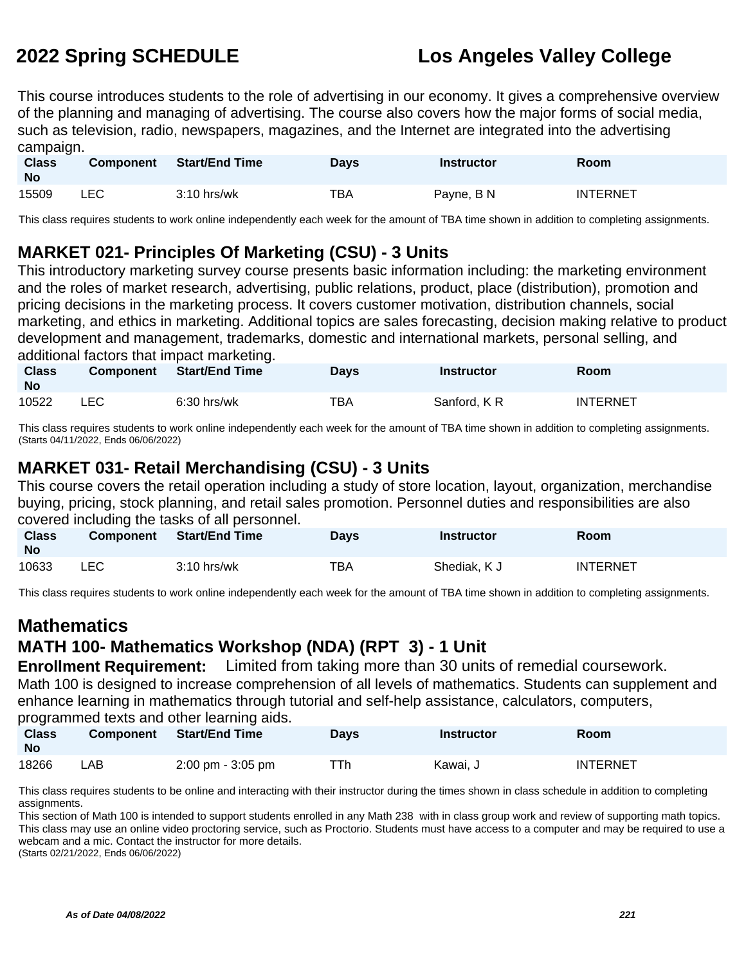This course introduces students to the role of advertising in our economy. It gives a comprehensive overview of the planning and managing of advertising. The course also covers how the major forms of social media, such as television, radio, newspapers, magazines, and the Internet are integrated into the advertising campaign.

| <b>Class</b><br><b>No</b> | <b>Component</b> | <b>Start/End Time</b> | <b>Days</b> | Instructor | Room            |
|---------------------------|------------------|-----------------------|-------------|------------|-----------------|
| 15509                     | <b>LEC</b>       | $3:10$ hrs/wk         | TBA         | Payne, B N | <b>INTERNET</b> |

This class requires students to work online independently each week for the amount of TBA time shown in addition to completing assignments.

# **MARKET 021- Principles Of Marketing (CSU) - 3 Units**

This introductory marketing survey course presents basic information including: the marketing environment and the roles of market research, advertising, public relations, product, place (distribution), promotion and pricing decisions in the marketing process. It covers customer motivation, distribution channels, social marketing, and ethics in marketing. Additional topics are sales forecasting, decision making relative to product development and management, trademarks, domestic and international markets, personal selling, and additional factors that impact marketing.

| <b>Class</b><br><b>No</b> | <b>Component</b> | <b>Start/End Time</b> | <b>Days</b> | <b>Instructor</b> | <b>Room</b>     |
|---------------------------|------------------|-----------------------|-------------|-------------------|-----------------|
| 10522                     | LEC              | $6:30$ hrs/wk         | TBA         | Sanford, KR       | <b>INTERNET</b> |

This class requires students to work online independently each week for the amount of TBA time shown in addition to completing assignments. (Starts 04/11/2022, Ends 06/06/2022)

# **MARKET 031- Retail Merchandising (CSU) - 3 Units**

This course covers the retail operation including a study of store location, layout, organization, merchandise buying, pricing, stock planning, and retail sales promotion. Personnel duties and responsibilities are also covered including the tasks of all personnel.

| <b>Class</b><br><b>No</b> | Component | <b>Start/End Time</b> | <b>Days</b> | <b>Instructor</b> | <b>Room</b>     |
|---------------------------|-----------|-----------------------|-------------|-------------------|-----------------|
| 10633                     | LEC.      | $3:10$ hrs/wk         | <b>TBA</b>  | Shediak, K J      | <b>INTERNET</b> |

This class requires students to work online independently each week for the amount of TBA time shown in addition to completing assignments.

# **Mathematics**

# **MATH 100- Mathematics Workshop (NDA) (RPT 3) - 1 Unit**

**Enrollment Requirement:** Limited from taking more than 30 units of remedial coursework. Math 100 is designed to increase comprehension of all levels of mathematics. Students can supplement and enhance learning in mathematics through tutorial and self-help assistance, calculators, computers, programmed texts and other learning aids.

| <b>Class</b><br><b>No</b> | <b>Component</b> | <b>Start/End Time</b>               | <b>Days</b> | <b>Instructor</b> | Room            |
|---------------------------|------------------|-------------------------------------|-------------|-------------------|-----------------|
| 18266                     | ∟AB              | $2:00 \text{ pm} - 3:05 \text{ pm}$ | ⊤Th         | Kawai. J          | <b>INTERNET</b> |

This class requires students to be online and interacting with their instructor during the times shown in class schedule in addition to completing assignments.

This section of Math 100 is intended to support students enrolled in any Math 238 with in class group work and review of supporting math topics. This class may use an online video proctoring service, such as Proctorio. Students must have access to a computer and may be required to use a webcam and a mic. Contact the instructor for more details.

(Starts 02/21/2022, Ends 06/06/2022)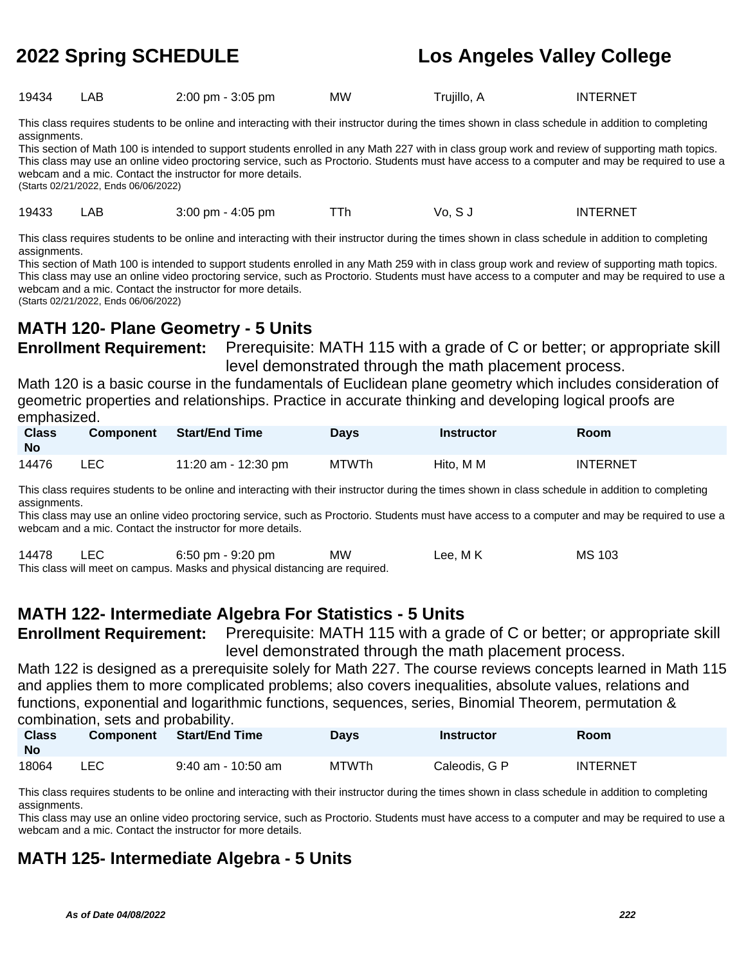19434 LAB 2:00 pm - 3:05 pm MW Trujillo, A INTERNET

This class requires students to be online and interacting with their instructor during the times shown in class schedule in addition to completing assignments.

This section of Math 100 is intended to support students enrolled in any Math 227 with in class group work and review of supporting math topics. This class may use an online video proctoring service, such as Proctorio. Students must have access to a computer and may be required to use a webcam and a mic. Contact the instructor for more details. (Starts 02/21/2022, Ends 06/06/2022)

19433 LAB 3:00 pm - 4:05 pm TTh Vo, S J INTERNET

This class requires students to be online and interacting with their instructor during the times shown in class schedule in addition to completing assignments.

This section of Math 100 is intended to support students enrolled in any Math 259 with in class group work and review of supporting math topics. This class may use an online video proctoring service, such as Proctorio. Students must have access to a computer and may be required to use a webcam and a mic. Contact the instructor for more details.

(Starts 02/21/2022, Ends 06/06/2022)

# **MATH 120- Plane Geometry - 5 Units**

**Enrollment Requirement:** Prerequisite: MATH 115 with a grade of C or better; or appropriate skill level demonstrated through the math placement process.

Math 120 is a basic course in the fundamentals of Euclidean plane geometry which includes consideration of geometric properties and relationships. Practice in accurate thinking and developing logical proofs are emphasized.

| <b>Class</b><br><b>No</b> | <b>Component</b> | <b>Start/End Time</b> | Days  | Instructor | <b>Room</b>     |
|---------------------------|------------------|-----------------------|-------|------------|-----------------|
| 14476                     | LEC.             | 11:20 am - 12:30 pm   | MTWTh | Hito, M M  | <b>INTERNET</b> |

This class requires students to be online and interacting with their instructor during the times shown in class schedule in addition to completing assignments.

This class may use an online video proctoring service, such as Proctorio. Students must have access to a computer and may be required to use a webcam and a mic. Contact the instructor for more details.

| 14478 | <b>LEC</b> | 6:50 pm - 9:20 pm                                                           | МW | Lee, M K | <b>MS 103</b> |
|-------|------------|-----------------------------------------------------------------------------|----|----------|---------------|
|       |            | This class will meet on campus. Masks and physical distancing are required. |    |          |               |

# **MATH 122- Intermediate Algebra For Statistics - 5 Units**

**Enrollment Requirement:** Prerequisite: MATH 115 with a grade of C or better; or appropriate skill level demonstrated through the math placement process.

Math 122 is designed as a prerequisite solely for Math 227. The course reviews concepts learned in Math 115 and applies them to more complicated problems; also covers inequalities, absolute values, relations and functions, exponential and logarithmic functions, sequences, series, Binomial Theorem, permutation & combination, sets and probability.

| <b>Class</b><br>No | <b>Component</b> | <b>Start/End Time</b> | <b>Days</b> | <b>Instructor</b> | Room            |
|--------------------|------------------|-----------------------|-------------|-------------------|-----------------|
| 18064              | LEC              | $9:40$ am - 10:50 am  | MTWTh       | Caleodis, G P     | <b>INTERNET</b> |

This class requires students to be online and interacting with their instructor during the times shown in class schedule in addition to completing assignments.

This class may use an online video proctoring service, such as Proctorio. Students must have access to a computer and may be required to use a webcam and a mic. Contact the instructor for more details.

# **MATH 125- Intermediate Algebra - 5 Units**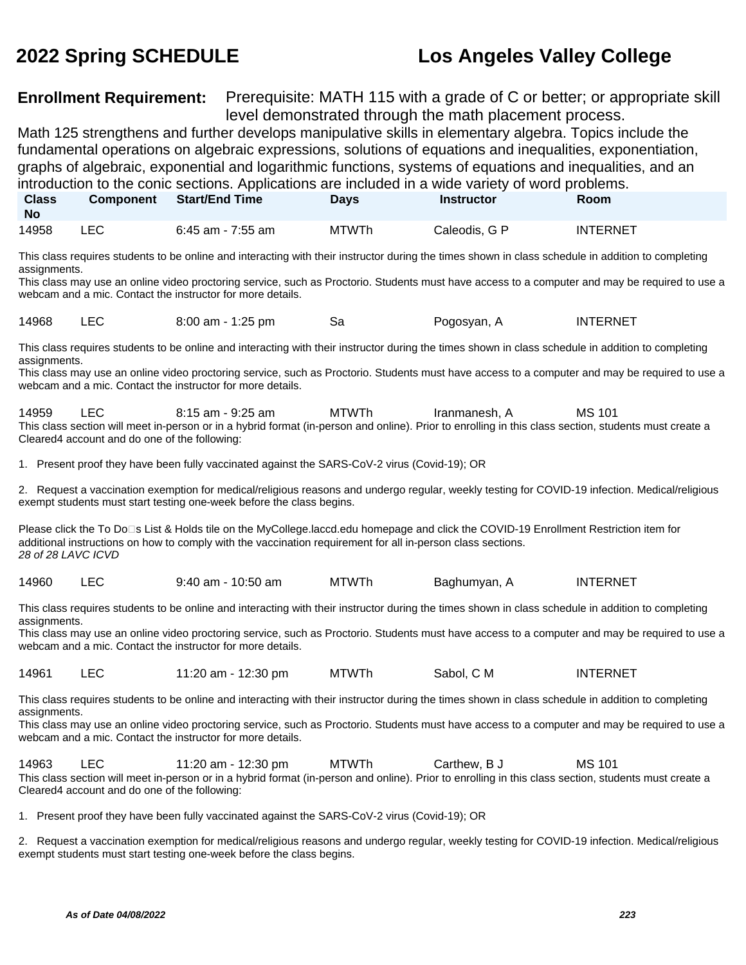**Class** 

# **2022 Spring SCHEDULE Los Angeles Valley College**

**Enrollment Requirement:** Prerequisite: MATH 115 with a grade of C or better; or appropriate skill level demonstrated through the math placement process.

Math 125 strengthens and further develops manipulative skills in elementary algebra. Topics include the fundamental operations on algebraic expressions, solutions of equations and inequalities, exponentiation, graphs of algebraic, exponential and logarithmic functions, systems of equations and inequalities, and an introduction to the conic sections. Applications are included in a wide variety of word problems.

**Component Start/End Time Days Instructor Room**

| <b>No</b>    |            |                                                                                                                                                                                                                             |              |               |                 |
|--------------|------------|-----------------------------------------------------------------------------------------------------------------------------------------------------------------------------------------------------------------------------|--------------|---------------|-----------------|
| 14958        | <b>LEC</b> | 6:45 am - 7:55 am                                                                                                                                                                                                           | <b>MTWTh</b> | Caleodis, G P | <b>INTERNET</b> |
| assignments. |            | This class requires students to be online and interacting with their instructor during the times shown in class schedule in addition to completing                                                                          |              |               |                 |
|              |            | This class may use an online video proctoring service, such as Proctorio. Students must have access to a computer and may be required to use a<br>webcam and a mic. Contact the instructor for more details.                |              |               |                 |
| 14968        | <b>LEC</b> | 8:00 am - 1:25 pm                                                                                                                                                                                                           | Sa           | Pogosyan, A   | <b>INTERNET</b> |
| assignments. |            | This class requires students to be online and interacting with their instructor during the times shown in class schedule in addition to completing                                                                          |              |               |                 |
|              |            | This class may use an online video proctoring service, such as Proctorio. Students must have access to a computer and may be required to use a<br>webcam and a mic. Contact the instructor for more details.                |              |               |                 |
| 14959        | LEC.       | 8:15 am - 9:25 am<br>This class section will meet in-person or in a hybrid format (in-person and online). Prior to enrolling in this class section, students must create a<br>Cleared4 account and do one of the following: | MTWTh        | Iranmanesh, A | MS 101          |
|              |            | 1. Present proof they have been fully vaccinated against the SARS-CoV-2 virus (Covid-19); OR                                                                                                                                |              |               |                 |

2. Request a vaccination exemption for medical/religious reasons and undergo regular, weekly testing for COVID-19 infection. Medical/religious exempt students must start testing one-week before the class begins.

Please click the To Do⊡s List & Holds tile on the MyCollege.laccd.edu homepage and click the COVID-19 Enrollment Restriction item for additional instructions on how to comply with the vaccination requirement for all in-person class sections. 28 of 28 LAVC ICVD

14960 LEC 9:40 am - 10:50 am MTWTh Baghumyan, A INTERNET

This class requires students to be online and interacting with their instructor during the times shown in class schedule in addition to completing assignments.

This class may use an online video proctoring service, such as Proctorio. Students must have access to a computer and may be required to use a webcam and a mic. Contact the instructor for more details.

14961 LEC 11:20 am - 12:30 pm MTWTh Sabol, C M INTERNET

This class requires students to be online and interacting with their instructor during the times shown in class schedule in addition to completing assignments.

This class may use an online video proctoring service, such as Proctorio. Students must have access to a computer and may be required to use a webcam and a mic. Contact the instructor for more details.

14963 LEC 11:20 am - 12:30 pm MTWTh Carthew, B J MS 101 This class section will meet in-person or in a hybrid format (in-person and online). Prior to enrolling in this class section, students must create a Cleared4 account and do one of the following:

1. Present proof they have been fully vaccinated against the SARS-CoV-2 virus (Covid-19); OR

2. Request a vaccination exemption for medical/religious reasons and undergo regular, weekly testing for COVID-19 infection. Medical/religious exempt students must start testing one-week before the class begins.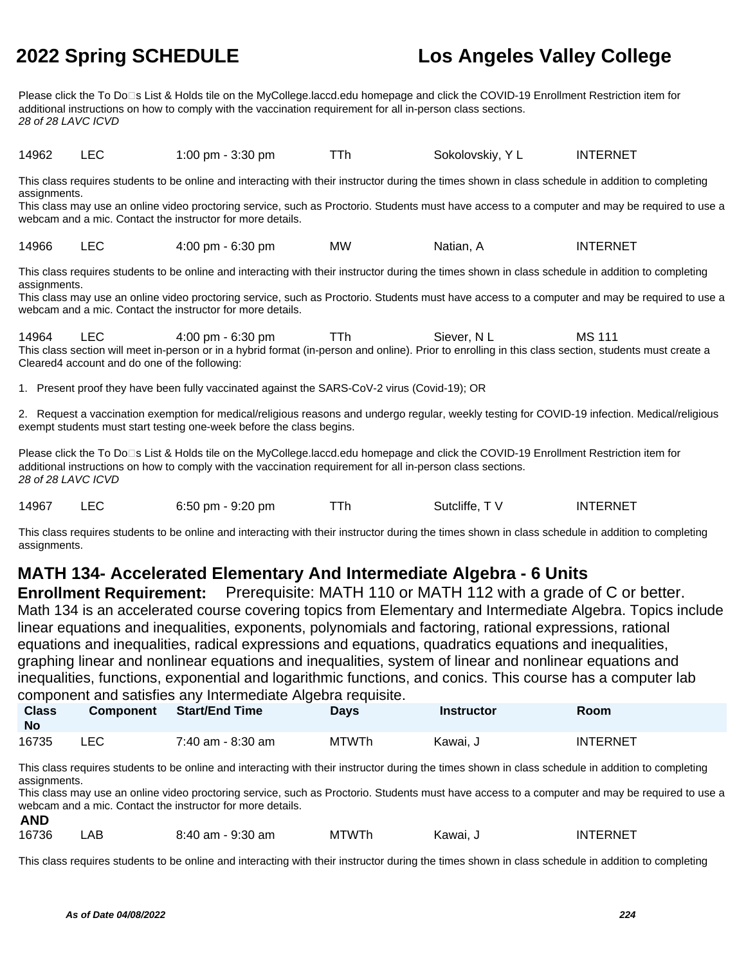Please click the To Do□s List & Holds tile on the MyCollege.laccd.edu homepage and click the COVID-19 Enrollment Restriction item for additional instructions on how to comply with the vaccination requirement for all in-person class sections. 28 of 28 LAVC ICVD

14962 LEC 1:00 pm - 3:30 pm TTh Sokolovskiy, Y L INTERNET

This class requires students to be online and interacting with their instructor during the times shown in class schedule in addition to completing assignments.

This class may use an online video proctoring service, such as Proctorio. Students must have access to a computer and may be required to use a webcam and a mic. Contact the instructor for more details.

14966 LEC 4:00 pm - 6:30 pm MW Natian, A INTERNET

This class requires students to be online and interacting with their instructor during the times shown in class schedule in addition to completing assignments.

This class may use an online video proctoring service, such as Proctorio. Students must have access to a computer and may be required to use a webcam and a mic. Contact the instructor for more details.

14964 LEC 4:00 pm - 6:30 pm TTh Siever, N L MS 111 This class section will meet in-person or in a hybrid format (in-person and online). Prior to enrolling in this class section, students must create a Cleared4 account and do one of the following:

1. Present proof they have been fully vaccinated against the SARS-CoV-2 virus (Covid-19); OR

2. Request a vaccination exemption for medical/religious reasons and undergo regular, weekly testing for COVID-19 infection. Medical/religious exempt students must start testing one-week before the class begins.

Please click the To Do□s List & Holds tile on the MyCollege.laccd.edu homepage and click the COVID-19 Enrollment Restriction item for additional instructions on how to comply with the vaccination requirement for all in-person class sections. 28 of 28 LAVC ICVD

14967 LEC 6:50 pm - 9:20 pm TTh Sutcliffe, TV INTERNET

This class requires students to be online and interacting with their instructor during the times shown in class schedule in addition to completing assignments.

# **MATH 134- Accelerated Elementary And Intermediate Algebra - 6 Units**

**Enrollment Requirement:** Prerequisite: MATH 110 or MATH 112 with a grade of C or better. Math 134 is an accelerated course covering topics from Elementary and Intermediate Algebra. Topics include linear equations and inequalities, exponents, polynomials and factoring, rational expressions, rational equations and inequalities, radical expressions and equations, quadratics equations and inequalities, graphing linear and nonlinear equations and inequalities, system of linear and nonlinear equations and inequalities, functions, exponential and logarithmic functions, and conics. This course has a computer lab component and satisfies any Intermediate Algebra requisite.

| <b>Class</b><br>No | <b>Component</b> | <b>Start/End Time</b> | Days         | <b>Instructor</b> | Room            |
|--------------------|------------------|-----------------------|--------------|-------------------|-----------------|
| 16735              | LEC.             | 7:40 am - 8:30 am     | <b>MTWTh</b> | Kawai. J          | <b>INTERNET</b> |

This class requires students to be online and interacting with their instructor during the times shown in class schedule in addition to completing assignments.

This class may use an online video proctoring service, such as Proctorio. Students must have access to a computer and may be required to use a webcam and a mic. Contact the instructor for more details. **AND**

| 16736 | .AB | 8:40 am - 9:30 am | <b>MTWTh</b> | س Kawai, | INTERNET |
|-------|-----|-------------------|--------------|----------|----------|
|-------|-----|-------------------|--------------|----------|----------|

This class requires students to be online and interacting with their instructor during the times shown in class schedule in addition to completing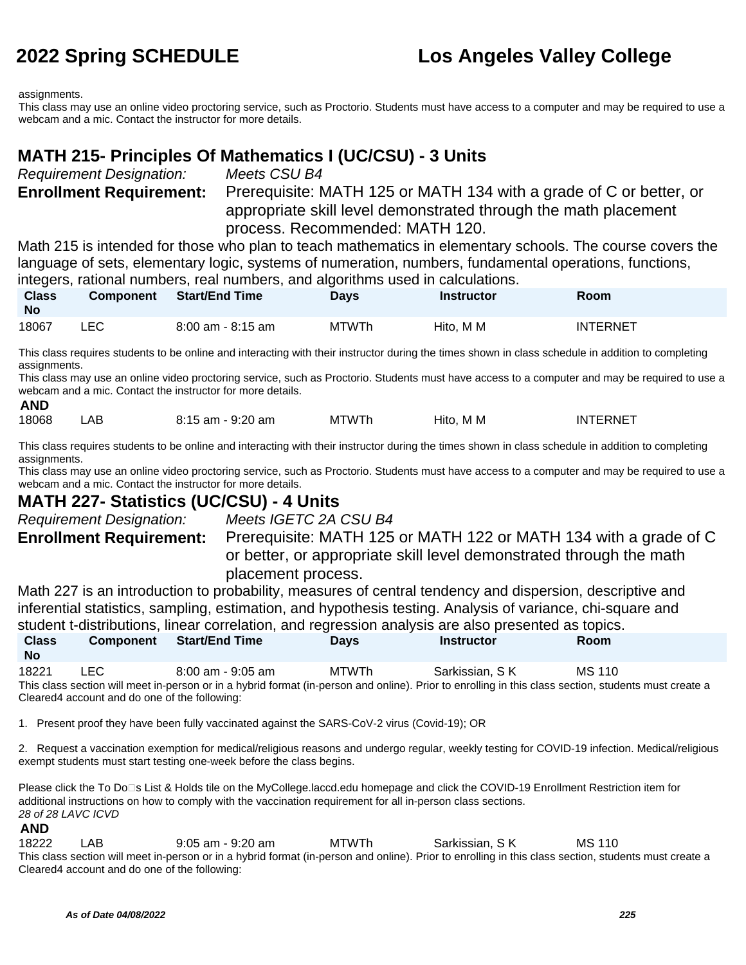assignments.

**AND**

This class may use an online video proctoring service, such as Proctorio. Students must have access to a computer and may be required to use a webcam and a mic. Contact the instructor for more details.

# **MATH 215- Principles Of Mathematics I (UC/CSU) - 3 Units**

Requirement Designation: Meets CSU B4

**Enrollment Requirement:** Prerequisite: MATH 125 or MATH 134 with a grade of C or better, or appropriate skill level demonstrated through the math placement process. Recommended: MATH 120.

Math 215 is intended for those who plan to teach mathematics in elementary schools. The course covers the language of sets, elementary logic, systems of numeration, numbers, fundamental operations, functions, integers, rational numbers, real numbers, and algorithms used in calculations.

| <b>Class</b><br><b>No</b> | <b>Component</b> |                   | <b>Davs</b> | <b>Instructor</b> | Room            |
|---------------------------|------------------|-------------------|-------------|-------------------|-----------------|
| 18067                     | ∟EC I            | 8:00 am - 8:15 am | MTWTh       | Hito. M M         | <b>INTERNET</b> |

This class requires students to be online and interacting with their instructor during the times shown in class schedule in addition to completing assignments.

This class may use an online video proctoring service, such as Proctorio. Students must have access to a computer and may be required to use a webcam and a mic. Contact the instructor for more details.

| 18068 | AΒ | $9:20$ am<br>0 · 1 E<br>⊺am<br>U J | MTWTh | Hito.<br>M M | <b>INTERNET</b> |
|-------|----|------------------------------------|-------|--------------|-----------------|
|       |    |                                    |       |              |                 |

This class requires students to be online and interacting with their instructor during the times shown in class schedule in addition to completing assignments.

This class may use an online video proctoring service, such as Proctorio. Students must have access to a computer and may be required to use a webcam and a mic. Contact the instructor for more details.

## **MATH 227- Statistics (UC/CSU) - 4 Units**

Requirement Designation: Meets IGETC 2A CSU B4 **Enrollment Requirement:** Prerequisite: MATH 125 or MATH 122 or MATH 134 with a grade of C or better, or appropriate skill level demonstrated through the math placement process.

Math 227 is an introduction to probability, measures of central tendency and dispersion, descriptive and inferential statistics, sampling, estimation, and hypothesis testing. Analysis of variance, chi-square and student t-distributions, linear correlation, and regression analysis are also presented as topics. **Class No Component Start/End Time Days Instructor Room**

18221 LEC 8:00 am - 9:05 am MTWTh Sarkissian, S K MS 110 This class section will meet in-person or in a hybrid format (in-person and online). Prior to enrolling in this class section, students must create a Cleared4 account and do one of the following:

1. Present proof they have been fully vaccinated against the SARS-CoV-2 virus (Covid-19); OR

2. Request a vaccination exemption for medical/religious reasons and undergo regular, weekly testing for COVID-19 infection. Medical/religious exempt students must start testing one-week before the class begins.

Please click the To Do<sup>n</sup>s List & Holds tile on the MyCollege.laccd.edu homepage and click the COVID-19 Enrollment Restriction item for additional instructions on how to comply with the vaccination requirement for all in-person class sections. 28 of 28 LAVC ICVD

## **AND**

18222 LAB 9:05 am - 9:20 am MTWTh Sarkissian, S K MS 110 This class section will meet in-person or in a hybrid format (in-person and online). Prior to enrolling in this class section, students must create a Cleared4 account and do one of the following: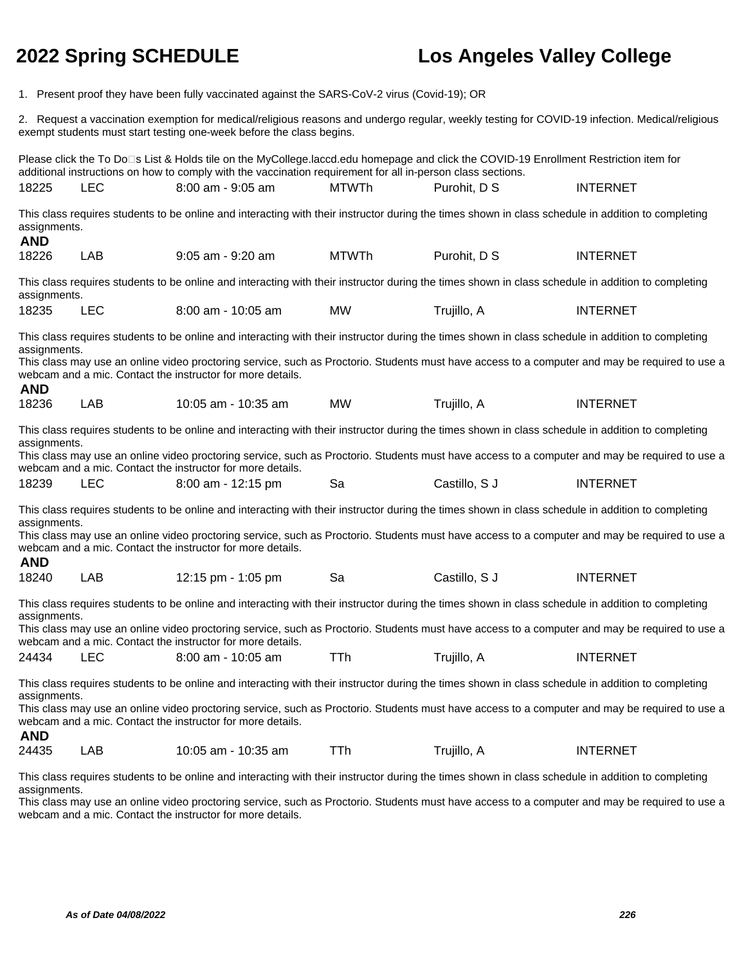1. Present proof they have been fully vaccinated against the SARS-CoV-2 virus (Covid-19); OR

2. Request a vaccination exemption for medical/religious reasons and undergo regular, weekly testing for COVID-19 infection. Medical/religious exempt students must start testing one-week before the class begins.

Please click the To Do⊡s List & Holds tile on the MyCollege.laccd.edu homepage and click the COVID-19 Enrollment Restriction item for additional instructions on how to comply with the vaccination requirement for all in-person class sections. 18225 LEC 8:00 am - 9:05 am MTWTh Purohit, D S INTERNET This class requires students to be online and interacting with their instructor during the times shown in class schedule in addition to completing assignments. **AND** 18226 LAB 9:05 am - 9:20 am MTWTh Purohit, D S INTERNET This class requires students to be online and interacting with their instructor during the times shown in class schedule in addition to completing assignments. 18235 LEC 8:00 am - 10:05 am MW Trujillo, A INTERNET This class requires students to be online and interacting with their instructor during the times shown in class schedule in addition to completing assignments. This class may use an online video proctoring service, such as Proctorio. Students must have access to a computer and may be required to use a webcam and a mic. Contact the instructor for more details. **AND** 18236 LAB 10:05 am - 10:35 am MW Trujillo, A INTERNET This class requires students to be online and interacting with their instructor during the times shown in class schedule in addition to completing assignments. This class may use an online video proctoring service, such as Proctorio. Students must have access to a computer and may be required to use a webcam and a mic. Contact the instructor for more details. 18239 LEC 8:00 am - 12:15 pm Sa Castillo, S J INTERNET This class requires students to be online and interacting with their instructor during the times shown in class schedule in addition to completing assignments. This class may use an online video proctoring service, such as Proctorio. Students must have access to a computer and may be required to use a webcam and a mic. Contact the instructor for more details. **AND** 18240 LAB 12:15 pm - 1:05 pm Sa Castillo, S J INTERNET This class requires students to be online and interacting with their instructor during the times shown in class schedule in addition to completing assignments. This class may use an online video proctoring service, such as Proctorio. Students must have access to a computer and may be required to use a webcam and a mic. Contact the instructor for more details. 24434 LEC 8:00 am - 10:05 am TTh Trujillo, A INTERNET This class requires students to be online and interacting with their instructor during the times shown in class schedule in addition to completing assignments. This class may use an online video proctoring service, such as Proctorio. Students must have access to a computer and may be required to use a webcam and a mic. Contact the instructor for more details. **AND** 24435 LAB 10:05 am - 10:35 am TTh Trujillo, A INTERNET

This class requires students to be online and interacting with their instructor during the times shown in class schedule in addition to completing assignments.

This class may use an online video proctoring service, such as Proctorio. Students must have access to a computer and may be required to use a webcam and a mic. Contact the instructor for more details.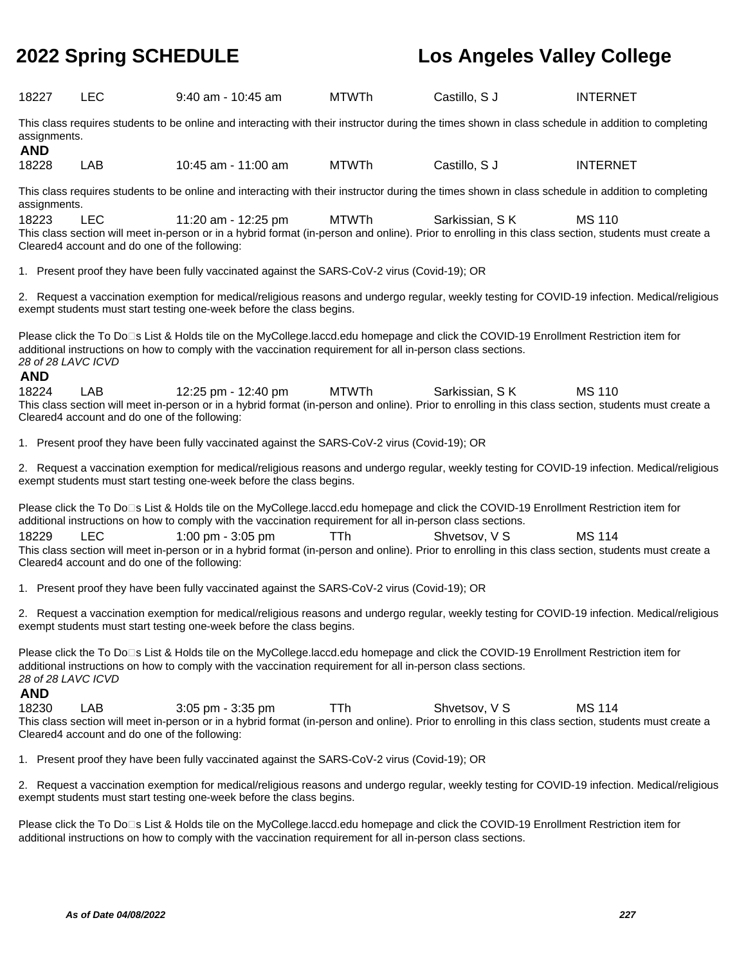| 18227                                                                                                                                                                                                                                                                                    | <b>LEC</b>                                                  | $9:40$ am - 10:45 am                                                                                                                                                                                                                                 | <b>MTWTh</b> | Castillo, S J  | <b>INTERNET</b> |  |  |
|------------------------------------------------------------------------------------------------------------------------------------------------------------------------------------------------------------------------------------------------------------------------------------------|-------------------------------------------------------------|------------------------------------------------------------------------------------------------------------------------------------------------------------------------------------------------------------------------------------------------------|--------------|----------------|-----------------|--|--|
| This class requires students to be online and interacting with their instructor during the times shown in class schedule in addition to completing<br>assignments.<br><b>AND</b>                                                                                                         |                                                             |                                                                                                                                                                                                                                                      |              |                |                 |  |  |
| 18228                                                                                                                                                                                                                                                                                    | LAB                                                         | 10:45 am - 11:00 am                                                                                                                                                                                                                                  | <b>MTWTh</b> | Castillo, S J  | <b>INTERNET</b> |  |  |
| assignments.                                                                                                                                                                                                                                                                             |                                                             | This class requires students to be online and interacting with their instructor during the times shown in class schedule in addition to completing                                                                                                   |              |                |                 |  |  |
| 18223                                                                                                                                                                                                                                                                                    | <b>LEC</b><br>Cleared4 account and do one of the following: | 11:20 am - 12:25 pm<br>This class section will meet in-person or in a hybrid format (in-person and online). Prior to enrolling in this class section, students must create a                                                                         | <b>MTWTh</b> | Sarkissian, SK | <b>MS 110</b>   |  |  |
|                                                                                                                                                                                                                                                                                          |                                                             | 1. Present proof they have been fully vaccinated against the SARS-CoV-2 virus (Covid-19); OR                                                                                                                                                         |              |                |                 |  |  |
|                                                                                                                                                                                                                                                                                          |                                                             | 2. Request a vaccination exemption for medical/religious reasons and undergo regular, weekly testing for COVID-19 infection. Medical/religious<br>exempt students must start testing one-week before the class begins.                               |              |                |                 |  |  |
| 28 of 28 LAVC ICVD<br><b>AND</b>                                                                                                                                                                                                                                                         |                                                             | Please click the To Do□s List & Holds tile on the MyCollege.laccd.edu homepage and click the COVID-19 Enrollment Restriction item for<br>additional instructions on how to comply with the vaccination requirement for all in-person class sections. |              |                |                 |  |  |
| 18224                                                                                                                                                                                                                                                                                    | LAB<br>Cleared4 account and do one of the following:        | 12:25 pm - 12:40 pm<br>This class section will meet in-person or in a hybrid format (in-person and online). Prior to enrolling in this class section, students must create a                                                                         | <b>MTWTh</b> | Sarkissian, SK | <b>MS 110</b>   |  |  |
|                                                                                                                                                                                                                                                                                          |                                                             | 1. Present proof they have been fully vaccinated against the SARS-CoV-2 virus (Covid-19); OR                                                                                                                                                         |              |                |                 |  |  |
|                                                                                                                                                                                                                                                                                          |                                                             | 2. Request a vaccination exemption for medical/religious reasons and undergo regular, weekly testing for COVID-19 infection. Medical/religious<br>exempt students must start testing one-week before the class begins.                               |              |                |                 |  |  |
|                                                                                                                                                                                                                                                                                          |                                                             | Please click the To Do□s List & Holds tile on the MyCollege.laccd.edu homepage and click the COVID-19 Enrollment Restriction item for<br>additional instructions on how to comply with the vaccination requirement for all in-person class sections. |              |                |                 |  |  |
| 18229                                                                                                                                                                                                                                                                                    | <b>LEC</b><br>Cleared4 account and do one of the following: | 1:00 pm - 3:05 pm<br>This class section will meet in-person or in a hybrid format (in-person and online). Prior to enrolling in this class section, students must create a                                                                           | TTh          | Shvetsov, V S  | <b>MS 114</b>   |  |  |
|                                                                                                                                                                                                                                                                                          |                                                             | 1. Present proof they have been fully vaccinated against the SARS-CoV-2 virus (Covid-19); OR                                                                                                                                                         |              |                |                 |  |  |
|                                                                                                                                                                                                                                                                                          |                                                             | 2. Request a vaccination exemption for medical/religious reasons and undergo regular, weekly testing for COVID-19 infection. Medical/religious<br>exempt students must start testing one-week before the class begins.                               |              |                |                 |  |  |
| Please click the To Do□s List & Holds tile on the MyCollege.laccd.edu homepage and click the COVID-19 Enrollment Restriction item for<br>additional instructions on how to comply with the vaccination requirement for all in-person class sections.<br>28 of 28 LAVC ICVD<br><b>AND</b> |                                                             |                                                                                                                                                                                                                                                      |              |                |                 |  |  |
| 18230                                                                                                                                                                                                                                                                                    | <b>LAB</b><br>Cleared4 account and do one of the following: | 3:05 pm - 3:35 pm<br>This class section will meet in-person or in a hybrid format (in-person and online). Prior to enrolling in this class section, students must create a                                                                           | TTh          | Shvetsov, V S  | <b>MS 114</b>   |  |  |
|                                                                                                                                                                                                                                                                                          |                                                             | 1. Present proof they have been fully vaccinated against the SARS-CoV-2 virus (Covid-19); OR                                                                                                                                                         |              |                |                 |  |  |
| 2. Request a vaccination exemption for medical/religious reasons and undergo regular, weekly testing for COVID-19 infection. Medical/religious<br>exempt students must start testing one-week before the class begins.                                                                   |                                                             |                                                                                                                                                                                                                                                      |              |                |                 |  |  |
| Please click the To Do□s List & Holds tile on the MyCollege.laccd.edu homepage and click the COVID-19 Enrollment Restriction item for<br>additional instructions on how to comply with the vaccination requirement for all in-person class sections.                                     |                                                             |                                                                                                                                                                                                                                                      |              |                |                 |  |  |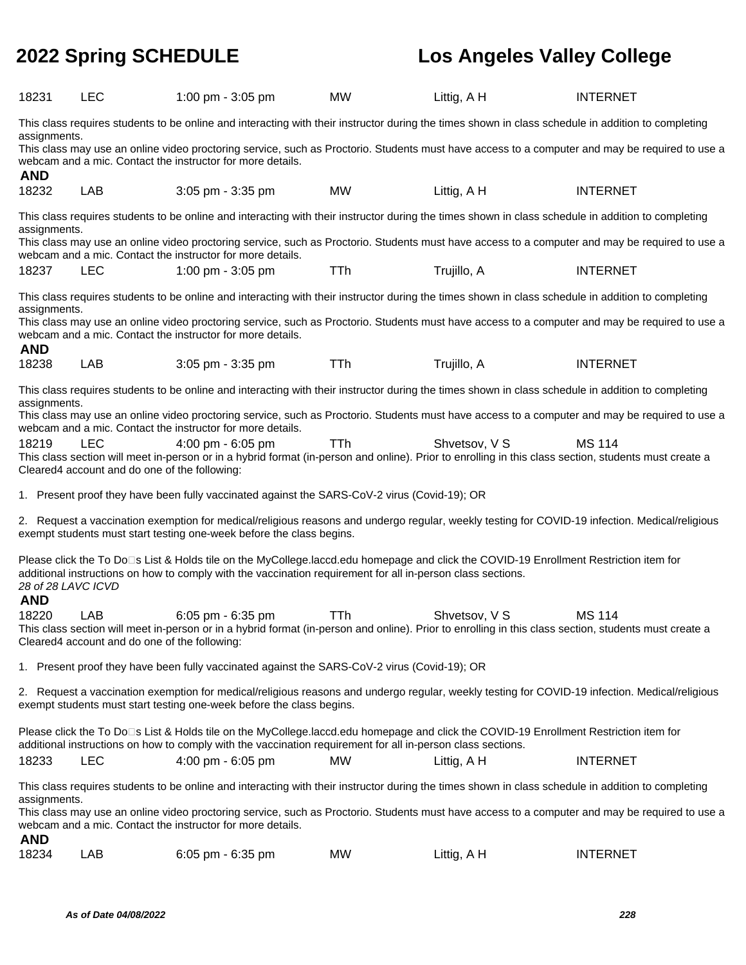| 18231                                                                                                                                                                                                                                                                                                                                                                              | <b>LEC</b>                                                                                                                                                                                                                                                                                                                                                                         | 1:00 pm - 3:05 pm                                                                                                                                                                                                                                    | <b>MW</b>  | Littig, A H   | <b>INTERNET</b>                                                                                                                                |  |  |
|------------------------------------------------------------------------------------------------------------------------------------------------------------------------------------------------------------------------------------------------------------------------------------------------------------------------------------------------------------------------------------|------------------------------------------------------------------------------------------------------------------------------------------------------------------------------------------------------------------------------------------------------------------------------------------------------------------------------------------------------------------------------------|------------------------------------------------------------------------------------------------------------------------------------------------------------------------------------------------------------------------------------------------------|------------|---------------|------------------------------------------------------------------------------------------------------------------------------------------------|--|--|
| This class requires students to be online and interacting with their instructor during the times shown in class schedule in addition to completing<br>assignments.<br>This class may use an online video proctoring service, such as Proctorio. Students must have access to a computer and may be required to use a<br>webcam and a mic. Contact the instructor for more details. |                                                                                                                                                                                                                                                                                                                                                                                    |                                                                                                                                                                                                                                                      |            |               |                                                                                                                                                |  |  |
| <b>AND</b><br>18232                                                                                                                                                                                                                                                                                                                                                                | LAB                                                                                                                                                                                                                                                                                                                                                                                | 3:05 pm - 3:35 pm                                                                                                                                                                                                                                    | <b>MW</b>  | Littig, A H   | <b>INTERNET</b>                                                                                                                                |  |  |
|                                                                                                                                                                                                                                                                                                                                                                                    | This class requires students to be online and interacting with their instructor during the times shown in class schedule in addition to completing<br>assignments.<br>This class may use an online video proctoring service, such as Proctorio. Students must have access to a computer and may be required to use a<br>webcam and a mic. Contact the instructor for more details. |                                                                                                                                                                                                                                                      |            |               |                                                                                                                                                |  |  |
| 18237                                                                                                                                                                                                                                                                                                                                                                              | <b>LEC</b>                                                                                                                                                                                                                                                                                                                                                                         | 1:00 pm - 3:05 pm                                                                                                                                                                                                                                    | <b>TTh</b> | Trujillo, A   | <b>INTERNET</b>                                                                                                                                |  |  |
| assignments.                                                                                                                                                                                                                                                                                                                                                                       |                                                                                                                                                                                                                                                                                                                                                                                    | This class requires students to be online and interacting with their instructor during the times shown in class schedule in addition to completing<br>webcam and a mic. Contact the instructor for more details.                                     |            |               | This class may use an online video proctoring service, such as Proctorio. Students must have access to a computer and may be required to use a |  |  |
| <b>AND</b><br>18238                                                                                                                                                                                                                                                                                                                                                                | LAB                                                                                                                                                                                                                                                                                                                                                                                | 3:05 pm - 3:35 pm                                                                                                                                                                                                                                    | <b>TTh</b> | Trujillo, A   | <b>INTERNET</b>                                                                                                                                |  |  |
| assignments.                                                                                                                                                                                                                                                                                                                                                                       |                                                                                                                                                                                                                                                                                                                                                                                    | This class requires students to be online and interacting with their instructor during the times shown in class schedule in addition to completing<br>webcam and a mic. Contact the instructor for more details.                                     |            |               | This class may use an online video proctoring service, such as Proctorio. Students must have access to a computer and may be required to use a |  |  |
| 18219                                                                                                                                                                                                                                                                                                                                                                              | <b>LEC</b><br>Cleared4 account and do one of the following:                                                                                                                                                                                                                                                                                                                        | 4:00 pm - 6:05 pm<br>This class section will meet in-person or in a hybrid format (in-person and online). Prior to enrolling in this class section, students must create a                                                                           | <b>TTh</b> | Shvetsov, V S | <b>MS 114</b>                                                                                                                                  |  |  |
|                                                                                                                                                                                                                                                                                                                                                                                    |                                                                                                                                                                                                                                                                                                                                                                                    | 1. Present proof they have been fully vaccinated against the SARS-CoV-2 virus (Covid-19); OR                                                                                                                                                         |            |               |                                                                                                                                                |  |  |
|                                                                                                                                                                                                                                                                                                                                                                                    |                                                                                                                                                                                                                                                                                                                                                                                    | 2. Request a vaccination exemption for medical/religious reasons and undergo regular, weekly testing for COVID-19 infection. Medical/religious<br>exempt students must start testing one-week before the class begins.                               |            |               |                                                                                                                                                |  |  |
| Please click the To Do⊡s List & Holds tile on the MyCollege.laccd.edu homepage and click the COVID-19 Enrollment Restriction item for<br>additional instructions on how to comply with the vaccination requirement for all in-person class sections.<br>28 of 28 LAVC ICVD                                                                                                         |                                                                                                                                                                                                                                                                                                                                                                                    |                                                                                                                                                                                                                                                      |            |               |                                                                                                                                                |  |  |
|                                                                                                                                                                                                                                                                                                                                                                                    |                                                                                                                                                                                                                                                                                                                                                                                    |                                                                                                                                                                                                                                                      |            |               |                                                                                                                                                |  |  |
| <b>AND</b><br>18220                                                                                                                                                                                                                                                                                                                                                                | LAB<br>Cleared4 account and do one of the following:                                                                                                                                                                                                                                                                                                                               | 6:05 pm - 6:35 pm<br>This class section will meet in-person or in a hybrid format (in-person and online). Prior to enrolling in this class section, students must create a                                                                           | <b>TTh</b> | Shvetsov, V S | <b>MS 114</b>                                                                                                                                  |  |  |
|                                                                                                                                                                                                                                                                                                                                                                                    |                                                                                                                                                                                                                                                                                                                                                                                    | 1. Present proof they have been fully vaccinated against the SARS-CoV-2 virus (Covid-19); OR                                                                                                                                                         |            |               |                                                                                                                                                |  |  |
|                                                                                                                                                                                                                                                                                                                                                                                    |                                                                                                                                                                                                                                                                                                                                                                                    | 2. Request a vaccination exemption for medical/religious reasons and undergo regular, weekly testing for COVID-19 infection. Medical/religious<br>exempt students must start testing one-week before the class begins.                               |            |               |                                                                                                                                                |  |  |
|                                                                                                                                                                                                                                                                                                                                                                                    |                                                                                                                                                                                                                                                                                                                                                                                    | Please click the To Do⊡s List & Holds tile on the MyCollege.laccd.edu homepage and click the COVID-19 Enrollment Restriction item for<br>additional instructions on how to comply with the vaccination requirement for all in-person class sections. |            |               |                                                                                                                                                |  |  |
| 18233                                                                                                                                                                                                                                                                                                                                                                              | <b>LEC</b>                                                                                                                                                                                                                                                                                                                                                                         | 4:00 pm - 6:05 pm                                                                                                                                                                                                                                    | <b>MW</b>  | Littig, A H   | <b>INTERNET</b>                                                                                                                                |  |  |
| assignments.<br><b>AND</b>                                                                                                                                                                                                                                                                                                                                                         |                                                                                                                                                                                                                                                                                                                                                                                    | This class requires students to be online and interacting with their instructor during the times shown in class schedule in addition to completing<br>webcam and a mic. Contact the instructor for more details.                                     |            |               | This class may use an online video proctoring service, such as Proctorio. Students must have access to a computer and may be required to use a |  |  |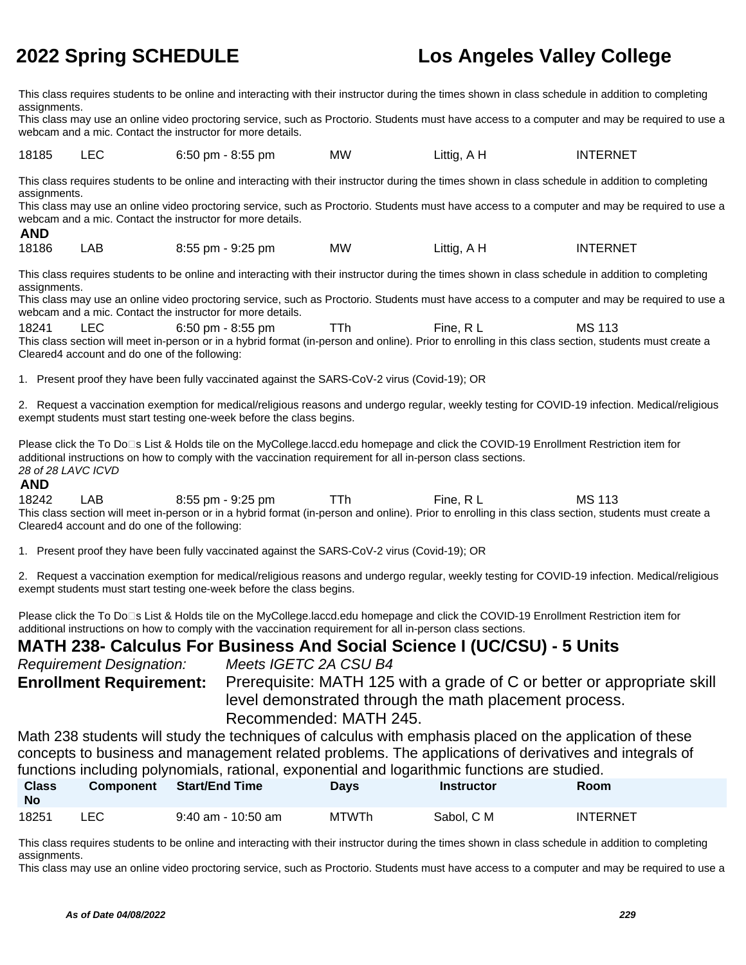This class requires students to be online and interacting with their instructor during the times shown in class schedule in addition to completing assignments.

This class may use an online video proctoring service, such as Proctorio. Students must have access to a computer and may be required to use a webcam and a mic. Contact the instructor for more details.

18185 LEC 6:50 pm - 8:55 pm MW Littig, A H INTERNET

This class requires students to be online and interacting with their instructor during the times shown in class schedule in addition to completing assignments.

This class may use an online video proctoring service, such as Proctorio. Students must have access to a computer and may be required to use a webcam and a mic. Contact the instructor for more details.

 **AND** 18186 LAB 8:55 pm - 9:25 pm MW Littig, A H INTERNET

This class requires students to be online and interacting with their instructor during the times shown in class schedule in addition to completing assignments.

This class may use an online video proctoring service, such as Proctorio. Students must have access to a computer and may be required to use a webcam and a mic. Contact the instructor for more details.

18241 LEC 6:50 pm - 8:55 pm TTh Fine, R L MS 113 This class section will meet in-person or in a hybrid format (in-person and online). Prior to enrolling in this class section, students must create a Cleared4 account and do one of the following:

1. Present proof they have been fully vaccinated against the SARS-CoV-2 virus (Covid-19); OR

2. Request a vaccination exemption for medical/religious reasons and undergo regular, weekly testing for COVID-19 infection. Medical/religious exempt students must start testing one-week before the class begins.

Please click the To Do<sup>n</sup>s List & Holds tile on the MyCollege.laccd.edu homepage and click the COVID-19 Enrollment Restriction item for additional instructions on how to comply with the vaccination requirement for all in-person class sections. 28 of 28 LAVC ICVD

## **AND**

18242 LAB 8:55 pm - 9:25 pm TTh Fine, R L MS 113 This class section will meet in-person or in a hybrid format (in-person and online). Prior to enrolling in this class section, students must create a Cleared4 account and do one of the following:

1. Present proof they have been fully vaccinated against the SARS-CoV-2 virus (Covid-19); OR

2. Request a vaccination exemption for medical/religious reasons and undergo regular, weekly testing for COVID-19 infection. Medical/religious exempt students must start testing one-week before the class begins.

Please click the To Do<sup>n</sup>s List & Holds tile on the MyCollege.laccd.edu homepage and click the COVID-19 Enrollment Restriction item for additional instructions on how to comply with the vaccination requirement for all in-person class sections.

# **MATH 238- Calculus For Business And Social Science I (UC/CSU) - 5 Units**

Requirement Designation: Meets IGETC 2A CSU B4 **Enrollment Requirement:** Prerequisite: MATH 125 with a grade of C or better or appropriate skill level demonstrated through the math placement process. Recommended: MATH 245.

Math 238 students will study the techniques of calculus with emphasis placed on the application of these concepts to business and management related problems. The applications of derivatives and integrals of functions including polynomials, rational, exponential and logarithmic functions are studied.

| <b>Class</b><br><b>No</b> | <b>Component</b> | Start/End Time       | Days         | Instructor | Room            |
|---------------------------|------------------|----------------------|--------------|------------|-----------------|
| 18251                     | LEC              | $9:40$ am - 10:50 am | <b>MTWTh</b> | Sabol, C M | <b>INTERNET</b> |

This class requires students to be online and interacting with their instructor during the times shown in class schedule in addition to completing assignments.

This class may use an online video proctoring service, such as Proctorio. Students must have access to a computer and may be required to use a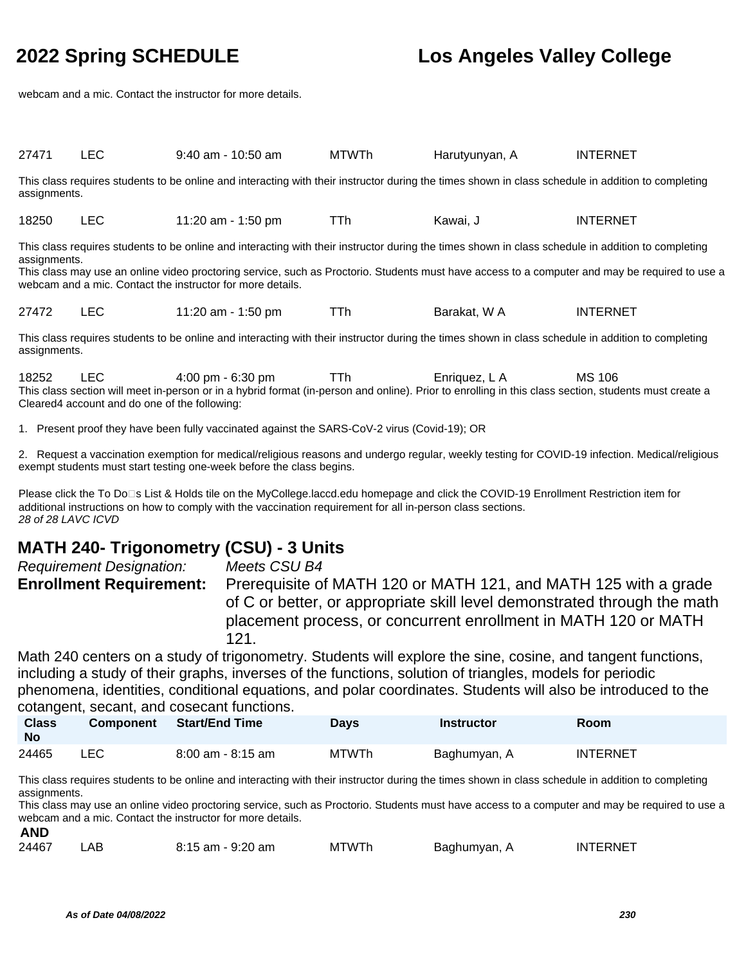webcam and a mic. Contact the instructor for more details.

| 27471                                                                                                                                                                                                                                                                                                                                                                              | <b>LEC</b> | $9:40$ am - 10:50 am                | <b>MTWTh</b> | Harutyunyan, A | <b>INTERNET</b> |  |  |
|------------------------------------------------------------------------------------------------------------------------------------------------------------------------------------------------------------------------------------------------------------------------------------------------------------------------------------------------------------------------------------|------------|-------------------------------------|--------------|----------------|-----------------|--|--|
| This class requires students to be online and interacting with their instructor during the times shown in class schedule in addition to completing<br>assignments.                                                                                                                                                                                                                 |            |                                     |              |                |                 |  |  |
| 18250                                                                                                                                                                                                                                                                                                                                                                              | <b>LEC</b> | 11:20 am - 1:50 pm                  | TTh          | Kawai, J       | <b>INTERNET</b> |  |  |
| This class requires students to be online and interacting with their instructor during the times shown in class schedule in addition to completing<br>assignments.<br>This class may use an online video proctoring service, such as Proctorio. Students must have access to a computer and may be required to use a<br>webcam and a mic. Contact the instructor for more details. |            |                                     |              |                |                 |  |  |
| 27472                                                                                                                                                                                                                                                                                                                                                                              | <b>LEC</b> | 11:20 am - 1:50 pm                  | TTh          | Barakat, W A   | <b>INTERNET</b> |  |  |
| This class requires students to be online and interacting with their instructor during the times shown in class schedule in addition to completing<br>assignments.                                                                                                                                                                                                                 |            |                                     |              |                |                 |  |  |
| 18252                                                                                                                                                                                                                                                                                                                                                                              | <b>LEC</b> | $4:00 \text{ pm} - 6:30 \text{ pm}$ | TTh          | Enriquez, L A  | MS 106          |  |  |

This class section will meet in-person or in a hybrid format (in-person and online). Prior to enrolling in this class section, students must create a Cleared4 account and do one of the following:

1. Present proof they have been fully vaccinated against the SARS-CoV-2 virus (Covid-19); OR

2. Request a vaccination exemption for medical/religious reasons and undergo regular, weekly testing for COVID-19 infection. Medical/religious exempt students must start testing one-week before the class begins.

Please click the To Do⊡s List & Holds tile on the MyCollege.laccd.edu homepage and click the COVID-19 Enrollment Restriction item for additional instructions on how to comply with the vaccination requirement for all in-person class sections. 28 of 28 LAVC ICVD

# **MATH 240- Trigonometry (CSU) - 3 Units**

| <b>Requirement Designation:</b> | Meets CSU B4                                                                                                                                |
|---------------------------------|---------------------------------------------------------------------------------------------------------------------------------------------|
| <b>Enrollment Requirement:</b>  | Prerequisite of MATH 120 or MATH 121, and MATH 125 with a grade<br>of C or better, or appropriate skill level demonstrated through the math |
|                                 | placement process, or concurrent enrollment in MATH 120 or MATH<br>121.                                                                     |
|                                 |                                                                                                                                             |

Math 240 centers on a study of trigonometry. Students will explore the sine, cosine, and tangent functions, including a study of their graphs, inverses of the functions, solution of triangles, models for periodic phenomena, identities, conditional equations, and polar coordinates. Students will also be introduced to the cotangent, secant, and cosecant functions.

| <b>Class</b><br>No |     | <b>Component</b> Start/End Time | Days         | <b>Instructor</b> | Room            |
|--------------------|-----|---------------------------------|--------------|-------------------|-----------------|
| 24465              | LEC | $8:00$ am - $8:15$ am           | <b>MTWTh</b> | Baghumyan, A      | <b>INTERNET</b> |

This class requires students to be online and interacting with their instructor during the times shown in class schedule in addition to completing assignments.

This class may use an online video proctoring service, such as Proctorio. Students must have access to a computer and may be required to use a webcam and a mic. Contact the instructor for more details.

| 24467 | ΑB | $8:15$ am - $9:20$ am | <b>MTWTh</b> | Baghumyan, | INTERNET |
|-------|----|-----------------------|--------------|------------|----------|
|       |    |                       |              |            |          |

**AND**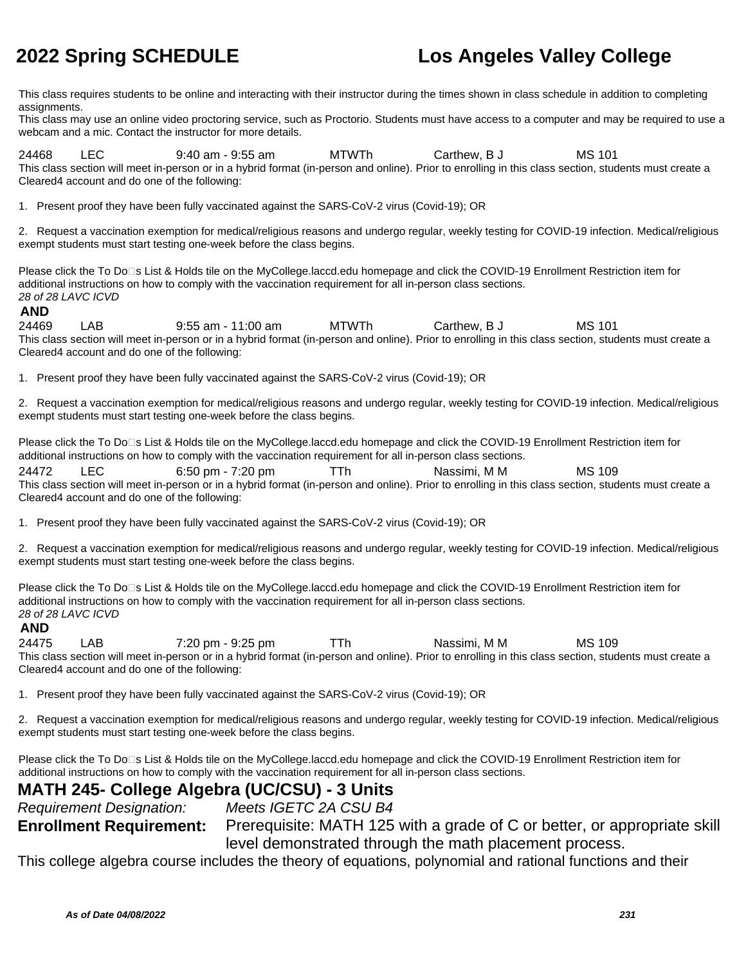This class requires students to be online and interacting with their instructor during the times shown in class schedule in addition to completing assignments.

This class may use an online video proctoring service, such as Proctorio. Students must have access to a computer and may be required to use a webcam and a mic. Contact the instructor for more details.

24468 LEC 9:40 am - 9:55 am MTWTh Carthew, B J MS 101 This class section will meet in-person or in a hybrid format (in-person and online). Prior to enrolling in this class section, students must create a Cleared4 account and do one of the following:

1. Present proof they have been fully vaccinated against the SARS-CoV-2 virus (Covid-19); OR

2. Request a vaccination exemption for medical/religious reasons and undergo regular, weekly testing for COVID-19 infection. Medical/religious exempt students must start testing one-week before the class begins.

Please click the To Do□s List & Holds tile on the MyCollege.laccd.edu homepage and click the COVID-19 Enrollment Restriction item for additional instructions on how to comply with the vaccination requirement for all in-person class sections. 28 of 28 LAVC ICVD

## **AND**

24469 LAB 9:55 am - 11:00 am MTWTh Carthew, B J MS 101 This class section will meet in-person or in a hybrid format (in-person and online). Prior to enrolling in this class section, students must create a Cleared4 account and do one of the following:

1. Present proof they have been fully vaccinated against the SARS-CoV-2 virus (Covid-19); OR

2. Request a vaccination exemption for medical/religious reasons and undergo regular, weekly testing for COVID-19 infection. Medical/religious exempt students must start testing one-week before the class begins.

Please click the To Do⊡s List & Holds tile on the MyCollege.laccd.edu homepage and click the COVID-19 Enrollment Restriction item for additional instructions on how to comply with the vaccination requirement for all in-person class sections.

24472 LEC 6:50 pm - 7:20 pm TTh Nassimi, M M MS 109 This class section will meet in-person or in a hybrid format (in-person and online). Prior to enrolling in this class section, students must create a Cleared4 account and do one of the following:

1. Present proof they have been fully vaccinated against the SARS-CoV-2 virus (Covid-19); OR

2. Request a vaccination exemption for medical/religious reasons and undergo regular, weekly testing for COVID-19 infection. Medical/religious exempt students must start testing one-week before the class begins.

Please click the To Do□s List & Holds tile on the MyCollege.laccd.edu homepage and click the COVID-19 Enrollment Restriction item for additional instructions on how to comply with the vaccination requirement for all in-person class sections. 28 of 28 LAVC ICVD

## **AND**

24475 LAB 7:20 pm - 9:25 pm TTh Nassimi, M M MS 109 This class section will meet in-person or in a hybrid format (in-person and online). Prior to enrolling in this class section, students must create a Cleared4 account and do one of the following:

1. Present proof they have been fully vaccinated against the SARS-CoV-2 virus (Covid-19); OR

2. Request a vaccination exemption for medical/religious reasons and undergo regular, weekly testing for COVID-19 infection. Medical/religious exempt students must start testing one-week before the class begins.

Please click the To Do<sup>n</sup>s List & Holds tile on the MyCollege.laccd.edu homepage and click the COVID-19 Enrollment Restriction item for additional instructions on how to comply with the vaccination requirement for all in-person class sections.

# **MATH 245- College Algebra (UC/CSU) - 3 Units**

Requirement Designation: Meets IGETC 2A CSU B4

**Enrollment Requirement:** Prerequisite: MATH 125 with a grade of C or better, or appropriate skill level demonstrated through the math placement process.

This college algebra course includes the theory of equations, polynomial and rational functions and their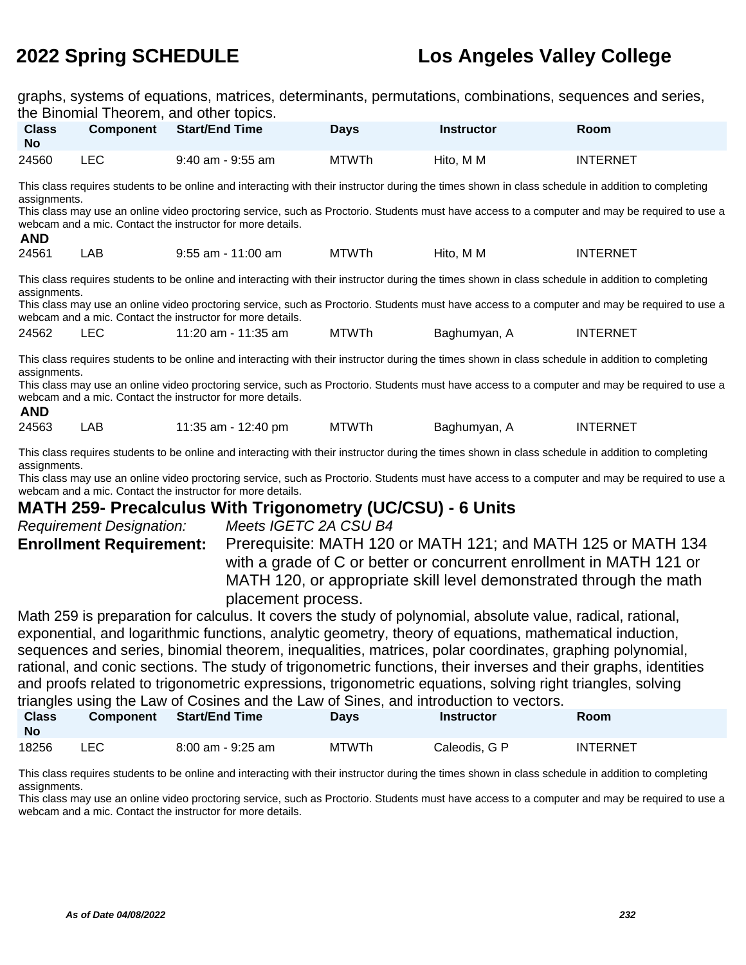graphs, systems of equations, matrices, determinants, permutations, combinations, sequences and series, the Binomial Theorem, and other topics.

| <b>Class</b><br><b>No</b>                                                                                                                                                                                                                                                                                                                                                                             | <b>Component</b>                                                                                                                                                                                                                                                                                                                                                                   | $511161$ $1115515111$ $0116$ $01161$ $100$<br><b>Start/End Time</b>                                                                                                                                              | <b>Days</b>  | <b>Instructor</b> | <b>Room</b>                                                                                                                                    |  |  |  |
|-------------------------------------------------------------------------------------------------------------------------------------------------------------------------------------------------------------------------------------------------------------------------------------------------------------------------------------------------------------------------------------------------------|------------------------------------------------------------------------------------------------------------------------------------------------------------------------------------------------------------------------------------------------------------------------------------------------------------------------------------------------------------------------------------|------------------------------------------------------------------------------------------------------------------------------------------------------------------------------------------------------------------|--------------|-------------------|------------------------------------------------------------------------------------------------------------------------------------------------|--|--|--|
| 24560                                                                                                                                                                                                                                                                                                                                                                                                 | <b>LEC</b>                                                                                                                                                                                                                                                                                                                                                                         | 9:40 am - 9:55 am                                                                                                                                                                                                | <b>MTWTh</b> | Hito, M M         | <b>INTERNET</b>                                                                                                                                |  |  |  |
| <b>AND</b>                                                                                                                                                                                                                                                                                                                                                                                            | This class requires students to be online and interacting with their instructor during the times shown in class schedule in addition to completing<br>assignments.<br>This class may use an online video proctoring service, such as Proctorio. Students must have access to a computer and may be required to use a<br>webcam and a mic. Contact the instructor for more details. |                                                                                                                                                                                                                  |              |                   |                                                                                                                                                |  |  |  |
| 24561                                                                                                                                                                                                                                                                                                                                                                                                 | LAB.                                                                                                                                                                                                                                                                                                                                                                               | $9:55$ am - 11:00 am                                                                                                                                                                                             | MTWTh        | Hito, M M         | <b>INTERNET</b>                                                                                                                                |  |  |  |
| assignments.                                                                                                                                                                                                                                                                                                                                                                                          |                                                                                                                                                                                                                                                                                                                                                                                    | This class requires students to be online and interacting with their instructor during the times shown in class schedule in addition to completing<br>webcam and a mic. Contact the instructor for more details. |              |                   | This class may use an online video proctoring service, such as Proctorio. Students must have access to a computer and may be required to use a |  |  |  |
| 24562                                                                                                                                                                                                                                                                                                                                                                                                 | <b>LEC</b>                                                                                                                                                                                                                                                                                                                                                                         | 11:20 am - 11:35 am                                                                                                                                                                                              | <b>MTWTh</b> | Baghumyan, A      | <b>INTERNET</b>                                                                                                                                |  |  |  |
| This class requires students to be online and interacting with their instructor during the times shown in class schedule in addition to completing<br>assignments.<br>This class may use an online video proctoring service, such as Proctorio. Students must have access to a computer and may be required to use a<br>webcam and a mic. Contact the instructor for more details.<br><b>AND</b>      |                                                                                                                                                                                                                                                                                                                                                                                    |                                                                                                                                                                                                                  |              |                   |                                                                                                                                                |  |  |  |
| 24563                                                                                                                                                                                                                                                                                                                                                                                                 | LAB                                                                                                                                                                                                                                                                                                                                                                                | 11:35 am - 12:40 pm                                                                                                                                                                                              | <b>MTWTh</b> | Baghumyan, A      | <b>INTERNET</b>                                                                                                                                |  |  |  |
| This class requires students to be online and interacting with their instructor during the times shown in class schedule in addition to completing<br>assignments.<br>$\sim$ 1. The contract of the contract of the contract of the contract of the contract of the contract of the contract of the contract of the contract of the contract of the contract of the contract of the contract of the c |                                                                                                                                                                                                                                                                                                                                                                                    |                                                                                                                                                                                                                  |              |                   |                                                                                                                                                |  |  |  |

This class may use an online video proctoring service, such as Proctorio. Students must have access to a computer and may be required to use a webcam and a mic. Contact the instructor for more details.

# **MATH 259- Precalculus With Trigonometry (UC/CSU) - 6 Units**

| <b>Requirement Designation:</b> | Meets IGETC 2A CSU B4                                               |
|---------------------------------|---------------------------------------------------------------------|
| <b>Enrollment Requirement:</b>  | Prerequisite: MATH 120 or MATH 121; and MATH 125 or MATH 134        |
|                                 | with a grade of C or better or concurrent enrollment in MATH 121 or |
|                                 | MATH 120, or appropriate skill level demonstrated through the math  |
|                                 | placement process.                                                  |
|                                 |                                                                     |

Math 259 is preparation for calculus. It covers the study of polynomial, absolute value, radical, rational, exponential, and logarithmic functions, analytic geometry, theory of equations, mathematical induction, sequences and series, binomial theorem, inequalities, matrices, polar coordinates, graphing polynomial, rational, and conic sections. The study of trigonometric functions, their inverses and their graphs, identities and proofs related to trigonometric expressions, trigonometric equations, solving right triangles, solving triangles using the Law of Cosines and the Law of Sines, and introduction to vectors.

| <b>Class</b><br>No | <b>Component</b> | <b>Start/End Time</b> | <b>Days</b>  | Instructor    | Room            |
|--------------------|------------------|-----------------------|--------------|---------------|-----------------|
| 18256              | ∟EC.             | 8:00 am - 9:25 am     | <b>MTWTh</b> | Caleodis, G P | <b>INTERNET</b> |

This class requires students to be online and interacting with their instructor during the times shown in class schedule in addition to completing assignments.

This class may use an online video proctoring service, such as Proctorio. Students must have access to a computer and may be required to use a webcam and a mic. Contact the instructor for more details.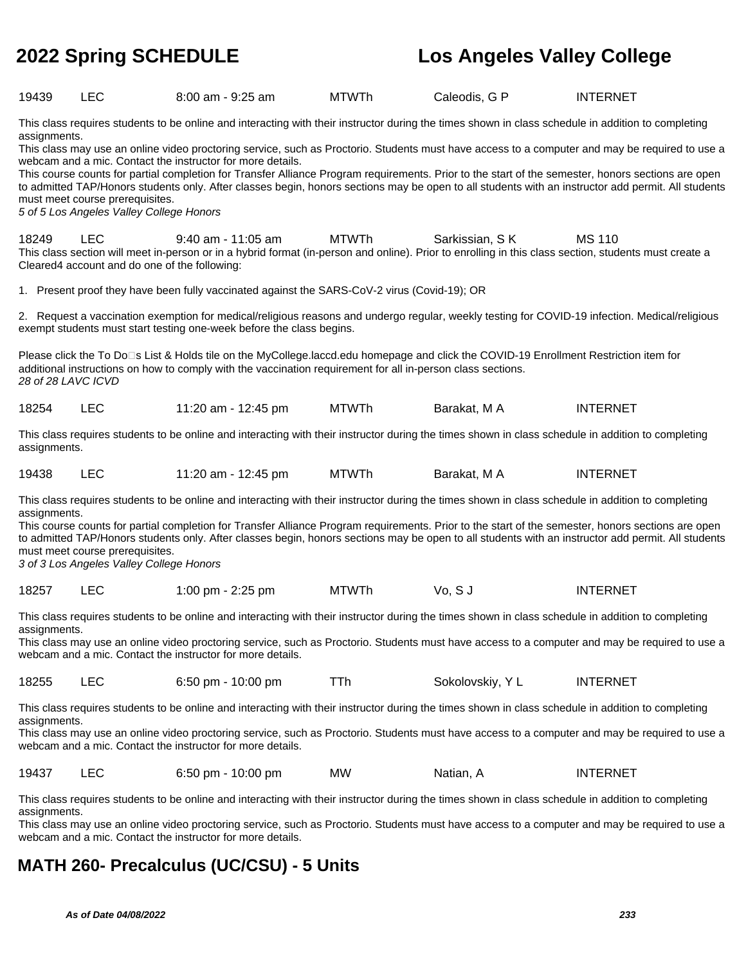| 19439                                                                                                                                                                                                                                                                                                                                                                              | <b>LEC</b>                                                                                                                                                                                                                                                                                                                                                                                                                                                                                                                                                                                                                                                                                                                                                                    | 8:00 am - 9:25 am                                                                                                                                                                                                                                    | <b>MTWTh</b> | Caleodis, G P    | <b>INTERNET</b>                                                                                                                                                                                                                                                                                          |  |  |
|------------------------------------------------------------------------------------------------------------------------------------------------------------------------------------------------------------------------------------------------------------------------------------------------------------------------------------------------------------------------------------|-------------------------------------------------------------------------------------------------------------------------------------------------------------------------------------------------------------------------------------------------------------------------------------------------------------------------------------------------------------------------------------------------------------------------------------------------------------------------------------------------------------------------------------------------------------------------------------------------------------------------------------------------------------------------------------------------------------------------------------------------------------------------------|------------------------------------------------------------------------------------------------------------------------------------------------------------------------------------------------------------------------------------------------------|--------------|------------------|----------------------------------------------------------------------------------------------------------------------------------------------------------------------------------------------------------------------------------------------------------------------------------------------------------|--|--|
|                                                                                                                                                                                                                                                                                                                                                                                    | This class requires students to be online and interacting with their instructor during the times shown in class schedule in addition to completing<br>assignments.<br>This class may use an online video proctoring service, such as Proctorio. Students must have access to a computer and may be required to use a<br>webcam and a mic. Contact the instructor for more details.<br>This course counts for partial completion for Transfer Alliance Program requirements. Prior to the start of the semester, honors sections are open<br>to admitted TAP/Honors students only. After classes begin, honors sections may be open to all students with an instructor add permit. All students<br>must meet course prerequisites.<br>5 of 5 Los Angeles Valley College Honors |                                                                                                                                                                                                                                                      |              |                  |                                                                                                                                                                                                                                                                                                          |  |  |
| 18249                                                                                                                                                                                                                                                                                                                                                                              | <b>LEC</b><br>Cleared4 account and do one of the following:                                                                                                                                                                                                                                                                                                                                                                                                                                                                                                                                                                                                                                                                                                                   | $9:40$ am - 11:05 am<br>This class section will meet in-person or in a hybrid format (in-person and online). Prior to enrolling in this class section, students must create a                                                                        | <b>MTWTh</b> | Sarkissian, SK   | <b>MS 110</b>                                                                                                                                                                                                                                                                                            |  |  |
|                                                                                                                                                                                                                                                                                                                                                                                    |                                                                                                                                                                                                                                                                                                                                                                                                                                                                                                                                                                                                                                                                                                                                                                               | 1. Present proof they have been fully vaccinated against the SARS-CoV-2 virus (Covid-19); OR                                                                                                                                                         |              |                  |                                                                                                                                                                                                                                                                                                          |  |  |
|                                                                                                                                                                                                                                                                                                                                                                                    |                                                                                                                                                                                                                                                                                                                                                                                                                                                                                                                                                                                                                                                                                                                                                                               | exempt students must start testing one-week before the class begins.                                                                                                                                                                                 |              |                  | 2. Request a vaccination exemption for medical/religious reasons and undergo regular, weekly testing for COVID-19 infection. Medical/religious                                                                                                                                                           |  |  |
| 28 of 28 LAVC ICVD                                                                                                                                                                                                                                                                                                                                                                 |                                                                                                                                                                                                                                                                                                                                                                                                                                                                                                                                                                                                                                                                                                                                                                               | Please click the To Do⊡s List & Holds tile on the MyCollege.laccd.edu homepage and click the COVID-19 Enrollment Restriction item for<br>additional instructions on how to comply with the vaccination requirement for all in-person class sections. |              |                  |                                                                                                                                                                                                                                                                                                          |  |  |
| 18254                                                                                                                                                                                                                                                                                                                                                                              | <b>LEC</b>                                                                                                                                                                                                                                                                                                                                                                                                                                                                                                                                                                                                                                                                                                                                                                    | 11:20 am - 12:45 pm                                                                                                                                                                                                                                  | <b>MTWTh</b> | Barakat, M A     | <b>INTERNET</b>                                                                                                                                                                                                                                                                                          |  |  |
| assignments.                                                                                                                                                                                                                                                                                                                                                                       |                                                                                                                                                                                                                                                                                                                                                                                                                                                                                                                                                                                                                                                                                                                                                                               | This class requires students to be online and interacting with their instructor during the times shown in class schedule in addition to completing                                                                                                   |              |                  |                                                                                                                                                                                                                                                                                                          |  |  |
| 19438                                                                                                                                                                                                                                                                                                                                                                              | <b>LEC</b>                                                                                                                                                                                                                                                                                                                                                                                                                                                                                                                                                                                                                                                                                                                                                                    | 11:20 am - 12:45 pm                                                                                                                                                                                                                                  | <b>MTWTh</b> | Barakat, M A     | <b>INTERNET</b>                                                                                                                                                                                                                                                                                          |  |  |
| assignments.                                                                                                                                                                                                                                                                                                                                                                       | must meet course prerequisites.<br>3 of 3 Los Angeles Valley College Honors                                                                                                                                                                                                                                                                                                                                                                                                                                                                                                                                                                                                                                                                                                   | This class requires students to be online and interacting with their instructor during the times shown in class schedule in addition to completing                                                                                                   |              |                  | This course counts for partial completion for Transfer Alliance Program requirements. Prior to the start of the semester, honors sections are open<br>to admitted TAP/Honors students only. After classes begin, honors sections may be open to all students with an instructor add permit. All students |  |  |
| 18257                                                                                                                                                                                                                                                                                                                                                                              | <b>LEC</b>                                                                                                                                                                                                                                                                                                                                                                                                                                                                                                                                                                                                                                                                                                                                                                    | 1:00 pm - 2:25 pm                                                                                                                                                                                                                                    | <b>MTWTh</b> | Vo, SJ           | <b>INTERNET</b>                                                                                                                                                                                                                                                                                          |  |  |
| assignments.                                                                                                                                                                                                                                                                                                                                                                       |                                                                                                                                                                                                                                                                                                                                                                                                                                                                                                                                                                                                                                                                                                                                                                               | This class requires students to be online and interacting with their instructor during the times shown in class schedule in addition to completing<br>webcam and a mic. Contact the instructor for more details.                                     |              |                  | This class may use an online video proctoring service, such as Proctorio. Students must have access to a computer and may be required to use a                                                                                                                                                           |  |  |
| 18255                                                                                                                                                                                                                                                                                                                                                                              | <b>LEC</b>                                                                                                                                                                                                                                                                                                                                                                                                                                                                                                                                                                                                                                                                                                                                                                    | 6:50 pm - 10:00 pm                                                                                                                                                                                                                                   | TTh          | Sokolovskiy, Y L | <b>INTERNET</b>                                                                                                                                                                                                                                                                                          |  |  |
|                                                                                                                                                                                                                                                                                                                                                                                    | This class requires students to be online and interacting with their instructor during the times shown in class schedule in addition to completing<br>assignments.<br>This class may use an online video proctoring service, such as Proctorio. Students must have access to a computer and may be required to use a<br>webcam and a mic. Contact the instructor for more details.                                                                                                                                                                                                                                                                                                                                                                                            |                                                                                                                                                                                                                                                      |              |                  |                                                                                                                                                                                                                                                                                                          |  |  |
| 19437                                                                                                                                                                                                                                                                                                                                                                              | LEC                                                                                                                                                                                                                                                                                                                                                                                                                                                                                                                                                                                                                                                                                                                                                                           | 6:50 pm - 10:00 pm                                                                                                                                                                                                                                   | MW           | Natian, A        | <b>INTERNET</b>                                                                                                                                                                                                                                                                                          |  |  |
| This class requires students to be online and interacting with their instructor during the times shown in class schedule in addition to completing<br>assignments.<br>This class may use an online video proctoring service, such as Proctorio. Students must have access to a computer and may be required to use a<br>webcam and a mic. Contact the instructor for more details. |                                                                                                                                                                                                                                                                                                                                                                                                                                                                                                                                                                                                                                                                                                                                                                               |                                                                                                                                                                                                                                                      |              |                  |                                                                                                                                                                                                                                                                                                          |  |  |
|                                                                                                                                                                                                                                                                                                                                                                                    | <b>MATH 260- Precalculus (UC/CSU) - 5 Units</b>                                                                                                                                                                                                                                                                                                                                                                                                                                                                                                                                                                                                                                                                                                                               |                                                                                                                                                                                                                                                      |              |                  |                                                                                                                                                                                                                                                                                                          |  |  |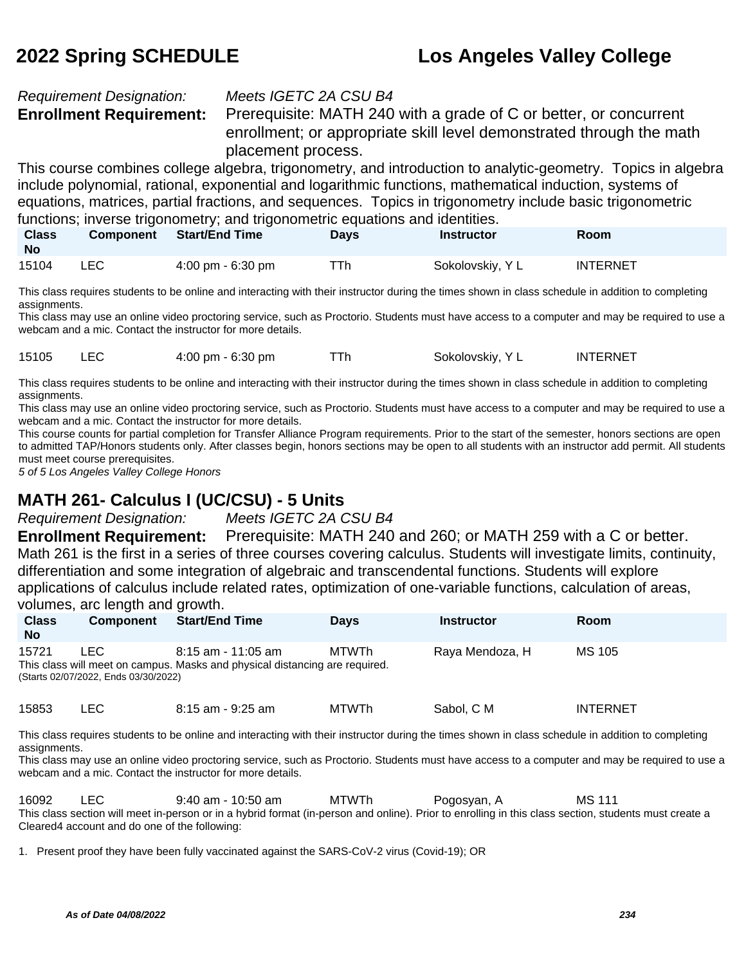# Requirement Designation: Meets IGETC 2A CSU B4

**Enrollment Requirement:** Prerequisite: MATH 240 with a grade of C or better, or concurrent enrollment; or appropriate skill level demonstrated through the math placement process.

This course combines college algebra, trigonometry, and introduction to analytic-geometry. Topics in algebra include polynomial, rational, exponential and logarithmic functions, mathematical induction, systems of equations, matrices, partial fractions, and sequences. Topics in trigonometry include basic trigonometric functions; inverse trigonometry; and trigonometric equations and identities.

| <b>Class</b><br><b>No</b> | <b>Component</b> | Start/End Time                      | Days | <b>Instructor</b> | Room            |  |
|---------------------------|------------------|-------------------------------------|------|-------------------|-----------------|--|
| 15104                     | LEC              | $4:00 \text{ pm} - 6:30 \text{ pm}$ | ⊤Th  | Sokolovskiy, Y L  | <b>INTERNET</b> |  |

This class requires students to be online and interacting with their instructor during the times shown in class schedule in addition to completing assignments.

This class may use an online video proctoring service, such as Proctorio. Students must have access to a computer and may be required to use a webcam and a mic. Contact the instructor for more details.

15105 LEC 4:00 pm - 6:30 pm TTh Sokolovskiy, Y L INTERNET

This class requires students to be online and interacting with their instructor during the times shown in class schedule in addition to completing assignments.

This class may use an online video proctoring service, such as Proctorio. Students must have access to a computer and may be required to use a webcam and a mic. Contact the instructor for more details.

This course counts for partial completion for Transfer Alliance Program requirements. Prior to the start of the semester, honors sections are open to admitted TAP/Honors students only. After classes begin, honors sections may be open to all students with an instructor add permit. All students must meet course prerequisites.

5 of 5 Los Angeles Valley College Honors

# **MATH 261- Calculus I (UC/CSU) - 5 Units**

Requirement Designation: Meets IGETC 2A CSU B4

**Enrollment Requirement:** Prerequisite: MATH 240 and 260; or MATH 259 with a C or better. Math 261 is the first in a series of three courses covering calculus. Students will investigate limits, continuity, differentiation and some integration of algebraic and transcendental functions. Students will explore applications of calculus include related rates, optimization of one-variable functions, calculation of areas, volumes, arc length and growth.

| <b>Class</b><br><b>No</b> | <b>Component</b>                             | <b>Start/End Time</b>                                                                               | <b>Davs</b> | <b>Instructor</b> | <b>Room</b>     |  |
|---------------------------|----------------------------------------------|-----------------------------------------------------------------------------------------------------|-------------|-------------------|-----------------|--|
| 15721                     | LEC.<br>(Starts 02/07/2022, Ends 03/30/2022) | $8:15$ am - 11:05 am<br>This class will meet on campus. Masks and physical distancing are required. | MTWTh       | Raya Mendoza, H   | MS 105          |  |
| 15853                     | _EC.                                         | 8:15 am - 9:25 am                                                                                   | MTWTh       | Sabol, C M        | <b>INTERNET</b> |  |

This class requires students to be online and interacting with their instructor during the times shown in class schedule in addition to completing assignments.

This class may use an online video proctoring service, such as Proctorio. Students must have access to a computer and may be required to use a webcam and a mic. Contact the instructor for more details.

16092 LEC 9:40 am - 10:50 am MTWTh Pogosyan, A MS 111 This class section will meet in-person or in a hybrid format (in-person and online). Prior to enrolling in this class section, students must create a Cleared4 account and do one of the following:

1. Present proof they have been fully vaccinated against the SARS-CoV-2 virus (Covid-19); OR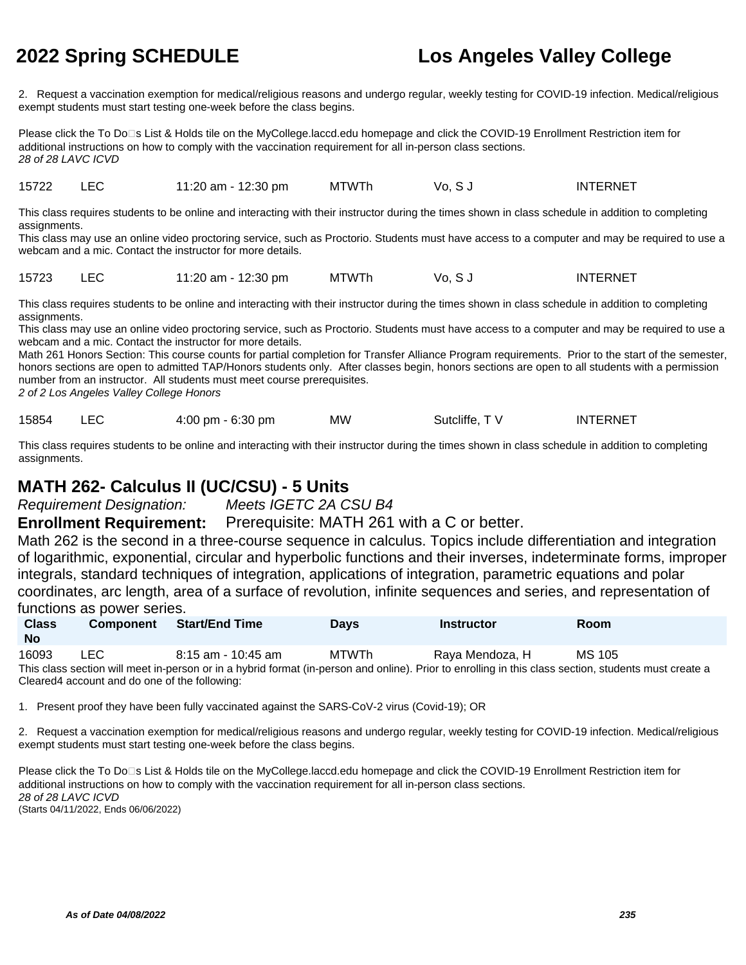2. Request a vaccination exemption for medical/religious reasons and undergo regular, weekly testing for COVID-19 infection. Medical/religious exempt students must start testing one-week before the class begins.

Please click the To Do⊡s List & Holds tile on the MyCollege.laccd.edu homepage and click the COVID-19 Enrollment Restriction item for additional instructions on how to comply with the vaccination requirement for all in-person class sections. 28 of 28 LAVC ICVD

15722 LEC 11:20 am - 12:30 pm MTWTh Vo, S J INTERNET

This class requires students to be online and interacting with their instructor during the times shown in class schedule in addition to completing assignments.

This class may use an online video proctoring service, such as Proctorio. Students must have access to a computer and may be required to use a webcam and a mic. Contact the instructor for more details.

15723 LEC 11:20 am - 12:30 pm MTWTh Vo, S J INTERNET

This class requires students to be online and interacting with their instructor during the times shown in class schedule in addition to completing assignments.

This class may use an online video proctoring service, such as Proctorio. Students must have access to a computer and may be required to use a webcam and a mic. Contact the instructor for more details.

Math 261 Honors Section: This course counts for partial completion for Transfer Alliance Program requirements. Prior to the start of the semester, honors sections are open to admitted TAP/Honors students only. After classes begin, honors sections are open to all students with a permission number from an instructor. All students must meet course prerequisites.

2 of 2 Los Angeles Valley College Honors

15854 LEC 4:00 pm - 6:30 pm MW Sutcliffe, TV INTERNET

This class requires students to be online and interacting with their instructor during the times shown in class schedule in addition to completing assignments.

# **MATH 262- Calculus II (UC/CSU) - 5 Units**

Requirement Designation: Meets IGETC 2A CSU B4

**Enrollment Requirement:** Prerequisite: MATH 261 with a C or better.

Math 262 is the second in a three-course sequence in calculus. Topics include differentiation and integration of logarithmic, exponential, circular and hyperbolic functions and their inverses, indeterminate forms, improper integrals, standard techniques of integration, applications of integration, parametric equations and polar coordinates, arc length, area of a surface of revolution, infinite sequences and series, and representation of functions as power series.

| <b>Class</b><br><b>No</b> | <b>Component</b> | <b>Start/End Time</b>                                                                                                                                 | <b>Davs</b> | <b>Instructor</b> | Room   |
|---------------------------|------------------|-------------------------------------------------------------------------------------------------------------------------------------------------------|-------------|-------------------|--------|
| 16093                     | LEC.             | 8:15 am - 10:45 am                                                                                                                                    | MTWTh       | Rava Mendoza. H   | MS 105 |
|                           |                  | This class section will meet in-person or in a hybrid format (in-person and online). Prior to enrolling in this class section, students must create a |             |                   |        |

Cleared4 account and do one of the following:

1. Present proof they have been fully vaccinated against the SARS-CoV-2 virus (Covid-19); OR

2. Request a vaccination exemption for medical/religious reasons and undergo regular, weekly testing for COVID-19 infection. Medical/religious exempt students must start testing one-week before the class begins.

Please click the To Do⊡s List & Holds tile on the MyCollege.laccd.edu homepage and click the COVID-19 Enrollment Restriction item for additional instructions on how to comply with the vaccination requirement for all in-person class sections. 28 of 28 LAVC ICVD (Starts 04/11/2022, Ends 06/06/2022)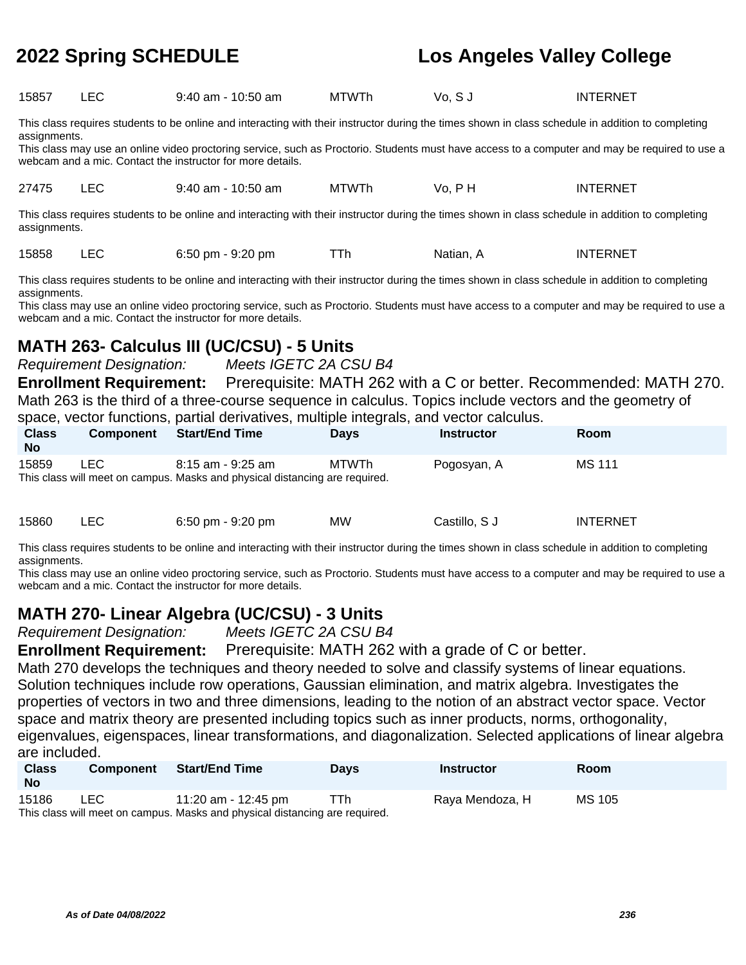| 15857 | LEC | 9:40 am - 10:50 am | MTWTh | Vo, S J | INTERNET |
|-------|-----|--------------------|-------|---------|----------|
|       |     |                    |       |         |          |

This class requires students to be online and interacting with their instructor during the times shown in class schedule in addition to completing assignments.

This class may use an online video proctoring service, such as Proctorio. Students must have access to a computer and may be required to use a webcam and a mic. Contact the instructor for more details.

27475 LEC 9:40 am - 10:50 am MTWTh Vo, P H INTERNET

This class requires students to be online and interacting with their instructor during the times shown in class schedule in addition to completing assignments.

15858 LEC 6:50 pm - 9:20 pm TTh Natian, A INTERNET

This class requires students to be online and interacting with their instructor during the times shown in class schedule in addition to completing assignments.

This class may use an online video proctoring service, such as Proctorio. Students must have access to a computer and may be required to use a webcam and a mic. Contact the instructor for more details.

# **MATH 263- Calculus III (UC/CSU) - 5 Units**

Requirement Designation: Meets IGETC 2A CSU B4

**Enrollment Requirement:** Prerequisite: MATH 262 with a C or better. Recommended: MATH 270. Math 263 is the third of a three-course sequence in calculus. Topics include vectors and the geometry of space, vector functions, partial derivatives, multiple integrals, and vector calculus.

| <b>Class</b><br><b>No</b> | <b>Component</b> | <b>Start/End Time</b>                                                                            | <b>Davs</b> | <b>Instructor</b> | Room   |
|---------------------------|------------------|--------------------------------------------------------------------------------------------------|-------------|-------------------|--------|
| 15859                     | LEC.             | 8:15 am - 9:25 am<br>This class will meet on campus. Masks and physical distancing are required. | MTWTh       | Pogosyan, A       | MS 111 |

| 15860 |  | $6:50 \text{ pm} - 9:20 \text{ pm}$ | <b>MW</b> | Castillo, S J | <b>INTERNET</b> |
|-------|--|-------------------------------------|-----------|---------------|-----------------|
|-------|--|-------------------------------------|-----------|---------------|-----------------|

This class requires students to be online and interacting with their instructor during the times shown in class schedule in addition to completing assignments.

This class may use an online video proctoring service, such as Proctorio. Students must have access to a computer and may be required to use a webcam and a mic. Contact the instructor for more details.

# **MATH 270- Linear Algebra (UC/CSU) - 3 Units**

Requirement Designation: Meets IGETC 2A CSU B4

**Enrollment Requirement:** Prerequisite: MATH 262 with a grade of C or better.

Math 270 develops the techniques and theory needed to solve and classify systems of linear equations. Solution techniques include row operations, Gaussian elimination, and matrix algebra. Investigates the properties of vectors in two and three dimensions, leading to the notion of an abstract vector space. Vector space and matrix theory are presented including topics such as inner products, norms, orthogonality, eigenvalues, eigenspaces, linear transformations, and diagonalization. Selected applications of linear algebra are included.

| <b>Class</b><br><b>No</b> |                                                                             | Component Start/End Time | <b>Davs</b> | Instructor      | <b>Room</b> |  |  |  |
|---------------------------|-----------------------------------------------------------------------------|--------------------------|-------------|-----------------|-------------|--|--|--|
| 15186                     | LEC.                                                                        | 11:20 am - 12:45 pm      | TTh         | Raya Mendoza, H | MS 105      |  |  |  |
|                           | This class will meet on campus. Masks and physical distancing are required. |                          |             |                 |             |  |  |  |

**As of Date 04/08/2022 236**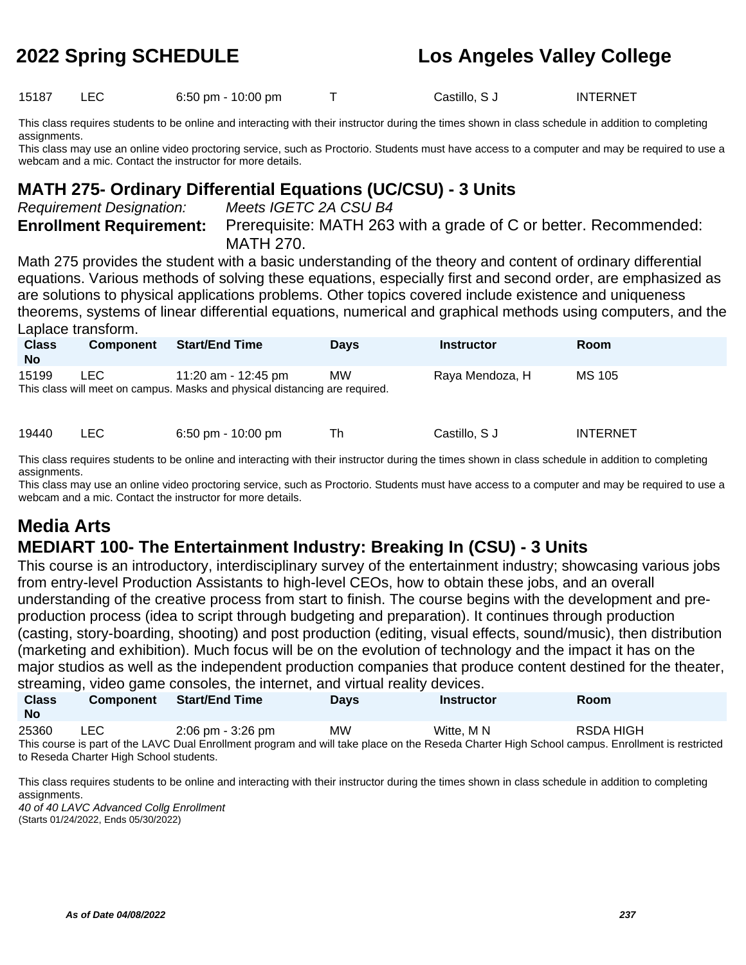15187 LEC 6:50 pm - 10:00 pm T Castillo, S J INTERNET

This class requires students to be online and interacting with their instructor during the times shown in class schedule in addition to completing assignments.

This class may use an online video proctoring service, such as Proctorio. Students must have access to a computer and may be required to use a webcam and a mic. Contact the instructor for more details.

# **MATH 275- Ordinary Differential Equations (UC/CSU) - 3 Units**

Requirement Designation: Meets IGETC 2A CSU B4

**Enrollment Requirement:** Prerequisite: MATH 263 with a grade of C or better. Recommended: MATH 270.

Math 275 provides the student with a basic understanding of the theory and content of ordinary differential equations. Various methods of solving these equations, especially first and second order, are emphasized as are solutions to physical applications problems. Other topics covered include existence and uniqueness theorems, systems of linear differential equations, numerical and graphical methods using computers, and the Laplace transform.

| <b>Class</b><br><b>No</b> | <b>Component</b> | <b>Start/End Time</b>                                                                              | <b>Days</b> | <b>Instructor</b> | Room            |
|---------------------------|------------------|----------------------------------------------------------------------------------------------------|-------------|-------------------|-----------------|
| 15199                     | LEC.             | 11:20 am - 12:45 pm<br>This class will meet on campus. Masks and physical distancing are required. | <b>MW</b>   | Raya Mendoza, H   | MS 105          |
| 19440                     | ∟EC I            | $6:50 \text{ pm} - 10:00 \text{ pm}$                                                               | Th          | Castillo, S J     | <b>INTERNET</b> |

This class requires students to be online and interacting with their instructor during the times shown in class schedule in addition to completing assignments.

This class may use an online video proctoring service, such as Proctorio. Students must have access to a computer and may be required to use a webcam and a mic. Contact the instructor for more details.

# **Media Arts**

# **MEDIART 100- The Entertainment Industry: Breaking In (CSU) - 3 Units**

This course is an introductory, interdisciplinary survey of the entertainment industry; showcasing various jobs from entry-level Production Assistants to high-level CEOs, how to obtain these jobs, and an overall understanding of the creative process from start to finish. The course begins with the development and preproduction process (idea to script through budgeting and preparation). It continues through production (casting, story-boarding, shooting) and post production (editing, visual effects, sound/music), then distribution (marketing and exhibition). Much focus will be on the evolution of technology and the impact it has on the major studios as well as the independent production companies that produce content destined for the theater, streaming, video game consoles, the internet, and virtual reality devices.

|                                                                                                                                                |                                         | Streaming, video game consoles, the internet, and virtual reality devices. |             |                   |             |  |  |
|------------------------------------------------------------------------------------------------------------------------------------------------|-----------------------------------------|----------------------------------------------------------------------------|-------------|-------------------|-------------|--|--|
| <b>Class</b>                                                                                                                                   | <b>Component</b>                        | <b>Start/End Time</b>                                                      | <b>Davs</b> | <b>Instructor</b> | <b>Room</b> |  |  |
| <b>No</b>                                                                                                                                      |                                         |                                                                            |             |                   |             |  |  |
| 25360                                                                                                                                          | LEC.                                    | 2:06 pm - 3:26 pm                                                          | <b>MW</b>   | Witte, M N        | RSDA HIGH   |  |  |
| This course is part of the LAVC Dual Enrollment program and will take place on the Reseda Charter High School campus. Enrollment is restricted |                                         |                                                                            |             |                   |             |  |  |
|                                                                                                                                                | to Reseda Charter High School students. |                                                                            |             |                   |             |  |  |

This class requires students to be online and interacting with their instructor during the times shown in class schedule in addition to completing assignments.

40 of 40 LAVC Advanced Collg Enrollment (Starts 01/24/2022, Ends 05/30/2022)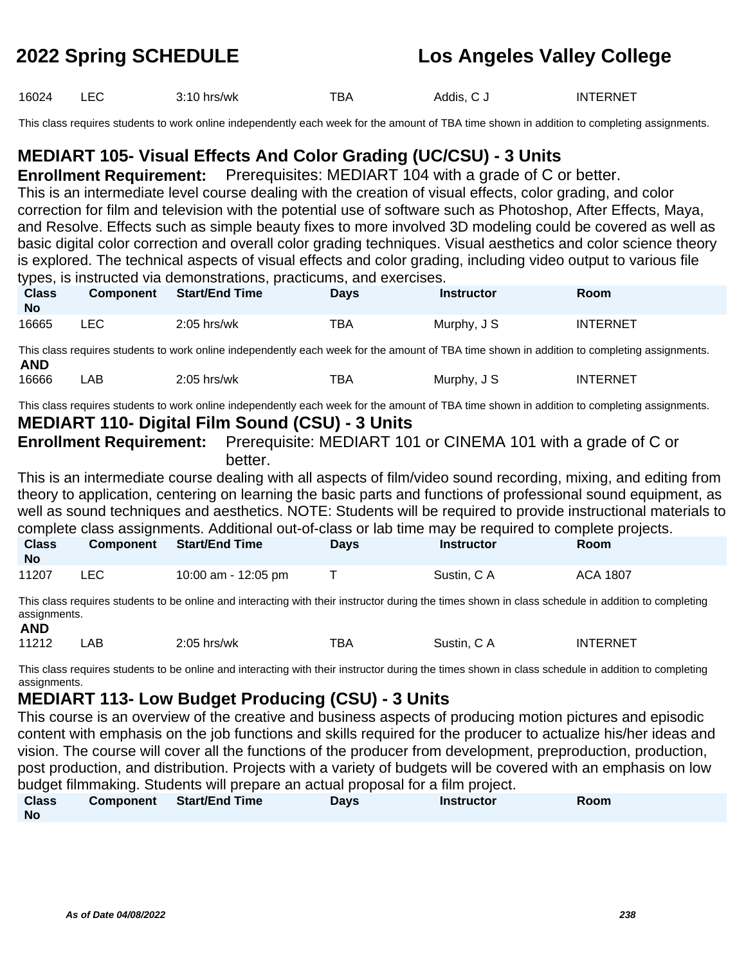16024 LEC 3:10 hrs/wk TBA Addis, C J INTERNET

This class requires students to work online independently each week for the amount of TBA time shown in addition to completing assignments.

# **MEDIART 105- Visual Effects And Color Grading (UC/CSU) - 3 Units**

**Enrollment Requirement:** Prerequisites: MEDIART 104 with a grade of C or better.

This is an intermediate level course dealing with the creation of visual effects, color grading, and color correction for film and television with the potential use of software such as Photoshop, After Effects, Maya, and Resolve. Effects such as simple beauty fixes to more involved 3D modeling could be covered as well as basic digital color correction and overall color grading techniques. Visual aesthetics and color science theory is explored. The technical aspects of visual effects and color grading, including video output to various file types, is instructed via demonstrations, practicums, and exercises.

| <b>Class</b><br><b>No</b>                                                                                      | <b>Component</b>                                                                                               | <b>Start/End Time</b>                                  | <b>Days</b> | <b>Instructor</b>                                                                                                                           | Room            |  |  |  |  |
|----------------------------------------------------------------------------------------------------------------|----------------------------------------------------------------------------------------------------------------|--------------------------------------------------------|-------------|---------------------------------------------------------------------------------------------------------------------------------------------|-----------------|--|--|--|--|
| 16665                                                                                                          | <b>LEC</b>                                                                                                     | $2:05$ hrs/wk                                          | TBA         | Murphy, J S                                                                                                                                 | <b>INTERNET</b> |  |  |  |  |
| <b>AND</b>                                                                                                     |                                                                                                                |                                                        |             | This class requires students to work online independently each week for the amount of TBA time shown in addition to completing assignments. |                 |  |  |  |  |
| 16666                                                                                                          | LAB                                                                                                            | $2:05$ hrs/wk                                          | TBA         | Murphy, J S                                                                                                                                 | <b>INTERNET</b> |  |  |  |  |
|                                                                                                                |                                                                                                                |                                                        |             | This class requires students to work online independently each week for the amount of TBA time shown in addition to completing assignments. |                 |  |  |  |  |
|                                                                                                                |                                                                                                                | <b>MEDIART 110- Digital Film Sound (CSU) - 3 Units</b> |             |                                                                                                                                             |                 |  |  |  |  |
|                                                                                                                |                                                                                                                |                                                        |             | <b>Enrollment Requirement:</b> Prerequisite: MEDIART 101 or CINEMA 101 with a grade of C or                                                 |                 |  |  |  |  |
|                                                                                                                |                                                                                                                | better.                                                |             |                                                                                                                                             |                 |  |  |  |  |
|                                                                                                                |                                                                                                                |                                                        |             | This is an intermediate course dealing with all aspects of film/video sound recording, mixing, and editing from                             |                 |  |  |  |  |
|                                                                                                                | theory to application, centering on learning the basic parts and functions of professional sound equipment, as |                                                        |             |                                                                                                                                             |                 |  |  |  |  |
| well as sound techniques and aesthetics. NOTE: Students will be required to provide instructional materials to |                                                                                                                |                                                        |             |                                                                                                                                             |                 |  |  |  |  |
|                                                                                                                |                                                                                                                |                                                        |             | complete class assignments. Additional out-of-class or lab time may be required to complete projects.                                       |                 |  |  |  |  |
| <b>Class</b><br><b>No</b>                                                                                      | <b>Component</b>                                                                                               | <b>Start/End Time</b>                                  | <b>Days</b> | <b>Instructor</b>                                                                                                                           | Room            |  |  |  |  |

This class requires students to be online and interacting with their instructor during the times shown in class schedule in addition to completing assignments.

11207 LEC 10:00 am - 12:05 pm T Sustin, C A ACA 1807

## **AND**

11212 LAB 2:05 hrs/wk TBA Sustin, C A INTERNET

This class requires students to be online and interacting with their instructor during the times shown in class schedule in addition to completing assignments.

# **MEDIART 113- Low Budget Producing (CSU) - 3 Units**

This course is an overview of the creative and business aspects of producing motion pictures and episodic content with emphasis on the job functions and skills required for the producer to actualize his/her ideas and vision. The course will cover all the functions of the producer from development, preproduction, production, post production, and distribution. Projects with a variety of budgets will be covered with an emphasis on low budget filmmaking. Students will prepare an actual proposal for a film project.

| <b>Class</b> | Component Start/End Time | Days | <b>Instructor</b> | Room |
|--------------|--------------------------|------|-------------------|------|
| No           |                          |      |                   |      |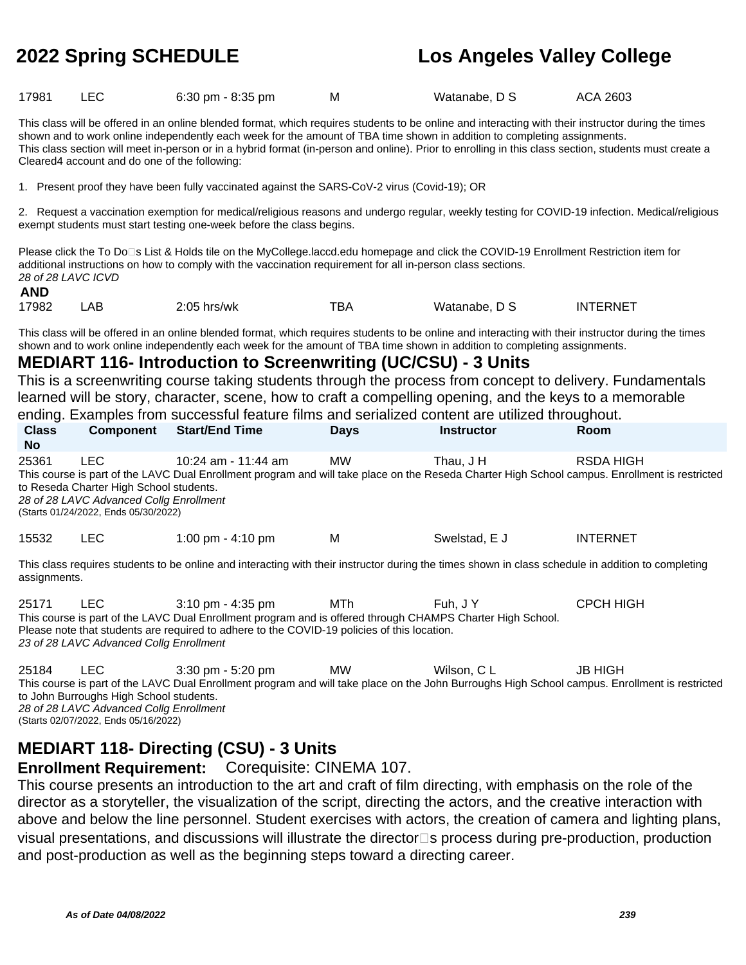| 17981<br>$6:30$ pm - $8:35$ pm | Watanabe, D S | ACA 2603 |
|--------------------------------|---------------|----------|
|--------------------------------|---------------|----------|

This class will be offered in an online blended format, which requires students to be online and interacting with their instructor during the times shown and to work online independently each week for the amount of TBA time shown in addition to completing assignments. This class section will meet in-person or in a hybrid format (in-person and online). Prior to enrolling in this class section, students must create a Cleared4 account and do one of the following:

1. Present proof they have been fully vaccinated against the SARS-CoV-2 virus (Covid-19); OR

2. Request a vaccination exemption for medical/religious reasons and undergo regular, weekly testing for COVID-19 infection. Medical/religious exempt students must start testing one-week before the class begins.

Please click the To Do<sup>n</sup>s List & Holds tile on the MyCollege.laccd.edu homepage and click the COVID-19 Enrollment Restriction item for additional instructions on how to comply with the vaccination requirement for all in-person class sections. 28 of 28 LAVC ICVD

## **AND**

17982 LAB 2:05 hrs/wk TBA Watanabe, D S INTERNET

This class will be offered in an online blended format, which requires students to be online and interacting with their instructor during the times shown and to work online independently each week for the amount of TBA time shown in addition to completing assignments.

## **MEDIART 116- Introduction to Screenwriting (UC/CSU) - 3 Units**

This is a screenwriting course taking students through the process from concept to delivery. Fundamentals learned will be story, character, scene, how to craft a compelling opening, and the keys to a memorable ending. Examples from successful feature films and serialized content are utilized throughout.

| <b>Class</b><br>No. | <b>Component</b>                                                                                                                   | <b>Start/End Time</b>                                                                                                                                                                                                                            | <b>Days</b> | <b>Instructor</b> | Room                                                                                                                                                               |
|---------------------|------------------------------------------------------------------------------------------------------------------------------------|--------------------------------------------------------------------------------------------------------------------------------------------------------------------------------------------------------------------------------------------------|-------------|-------------------|--------------------------------------------------------------------------------------------------------------------------------------------------------------------|
| 25361               | LEC.<br>to Reseda Charter High School students.<br>28 of 28 LAVC Advanced Collg Enrollment<br>(Starts 01/24/2022, Ends 05/30/2022) | 10:24 am - 11:44 am                                                                                                                                                                                                                              | <b>MW</b>   | Thau, J H         | <b>RSDA HIGH</b><br>This course is part of the LAVC Dual Enrollment program and will take place on the Reseda Charter High School campus. Enrollment is restricted |
| 15532               | LEC                                                                                                                                | 1:00 pm $-$ 4:10 pm                                                                                                                                                                                                                              | м           | Swelstad, E J     | <b>INTERNET</b>                                                                                                                                                    |
| assignments.        |                                                                                                                                    | This class requires students to be online and interacting with their instructor during the times shown in class schedule in addition to completing                                                                                               |             |                   |                                                                                                                                                                    |
| 25171               | LEC.                                                                                                                               | $3:10 \text{ pm} - 4:35 \text{ pm}$<br>This course is part of the LAVC Dual Enrollment program and is offered through CHAMPS Charter High School.<br>Please note that students are required to adhere to the COVID-19 policies of this location. | MTh         | Fuh. J Y          | <b>CPCH HIGH</b>                                                                                                                                                   |

23 of 28 LAVC Advanced Collg Enrollment

| 25184 | LEC.                                    | $3:30$ pm - 5:20 pm | MW. | Wilson, C L                                                                                                                                    | JB HIGH |  |
|-------|-----------------------------------------|---------------------|-----|------------------------------------------------------------------------------------------------------------------------------------------------|---------|--|
|       |                                         |                     |     | This course is part of the LAVC Dual Enrollment program and will take place on the John Burroughs High School campus. Enrollment is restricted |         |  |
|       | to John Burroughs High School students. |                     |     |                                                                                                                                                |         |  |
|       | 28 of 28 LAVC Advanced Collg Enrollment |                     |     |                                                                                                                                                |         |  |
|       | (Starts 02/07/2022, Ends 05/16/2022)    |                     |     |                                                                                                                                                |         |  |

# **MEDIART 118- Directing (CSU) - 3 Units**

**Enrollment Requirement:** Corequisite: CINEMA 107.

This course presents an introduction to the art and craft of film directing, with emphasis on the role of the director as a storyteller, the visualization of the script, directing the actors, and the creative interaction with above and below the line personnel. Student exercises with actors, the creation of camera and lighting plans, visual presentations, and discussions will illustrate the director<sup>1</sup>s process during pre-production, production and post-production as well as the beginning steps toward a directing career.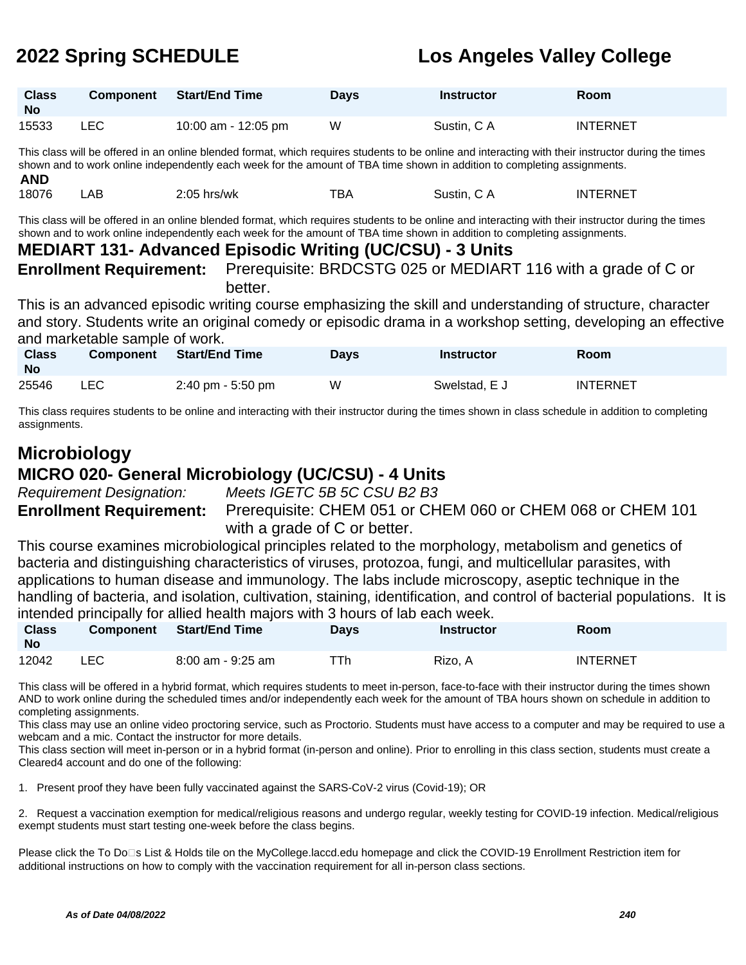| <b>Class</b><br><b>No</b> | <b>Component</b> | <b>Start/End Time</b> | <b>Days</b> | <b>Instructor</b> | Room            |
|---------------------------|------------------|-----------------------|-------------|-------------------|-----------------|
| 15533                     | LEC              | 10:00 am - 12:05 pm   | W           | Sustin, C A       | <b>INTERNET</b> |

This class will be offered in an online blended format, which requires students to be online and interacting with their instructor during the times shown and to work online independently each week for the amount of TBA time shown in addition to completing assignments. **AND**

| <b>AIV</b> |    |                |     |                                                 |              |
|------------|----|----------------|-----|-------------------------------------------------|--------------|
| 18076      | АE | 2:05<br>hrs/wk | тва | Sustin.<br>.ור<br>. <i>. .</i><br>$\sim$ $\sim$ | FRNF<br>IN I |

This class will be offered in an online blended format, which requires students to be online and interacting with their instructor during the times shown and to work online independently each week for the amount of TBA time shown in addition to completing assignments.

## **MEDIART 131- Advanced Episodic Writing (UC/CSU) - 3 Units**

**Enrollment Requirement:** Prerequisite: BRDCSTG 025 or MEDIART 116 with a grade of C or better.

This is an advanced episodic writing course emphasizing the skill and understanding of structure, character and story. Students write an original comedy or episodic drama in a workshop setting, developing an effective and marketable sample of work.

| <b>Class</b><br>No | <b>Component</b> | Start/End Time    | <b>Days</b> | <b>Instructor</b> | Room     |
|--------------------|------------------|-------------------|-------------|-------------------|----------|
| 25546              | LEC.             | 2:40 pm - 5:50 pm | W           | Swelstad, E J     | INTERNET |

This class requires students to be online and interacting with their instructor during the times shown in class schedule in addition to completing assignments.

## **Microbiology MICRO 020- General Microbiology (UC/CSU) - 4 Units**

Requirement Designation: Meets IGETC 5B 5C CSU B2 B3

**Enrollment Requirement:** Prerequisite: CHEM 051 or CHEM 060 or CHEM 068 or CHEM 101 with a grade of C or better.

This course examines microbiological principles related to the morphology, metabolism and genetics of bacteria and distinguishing characteristics of viruses, protozoa, fungi, and multicellular parasites, with applications to human disease and immunology. The labs include microscopy, aseptic technique in the handling of bacteria, and isolation, cultivation, staining, identification, and control of bacterial populations. It is intended principally for allied health majors with 3 hours of lab each week.

| <b>Class</b><br><b>No</b> | <b>Component</b> | <b>Start/End Time</b> | Days | <b>Instructor</b> | <b>Room</b>     |
|---------------------------|------------------|-----------------------|------|-------------------|-----------------|
| 12042                     | LEC              | $8:00$ am - $9:25$ am | ™Th  | Rizo. A           | <b>INTERNET</b> |

This class will be offered in a hybrid format, which requires students to meet in-person, face-to-face with their instructor during the times shown AND to work online during the scheduled times and/or independently each week for the amount of TBA hours shown on schedule in addition to completing assignments.

This class may use an online video proctoring service, such as Proctorio. Students must have access to a computer and may be required to use a webcam and a mic. Contact the instructor for more details.

This class section will meet in-person or in a hybrid format (in-person and online). Prior to enrolling in this class section, students must create a Cleared4 account and do one of the following:

1. Present proof they have been fully vaccinated against the SARS-CoV-2 virus (Covid-19); OR

2. Request a vaccination exemption for medical/religious reasons and undergo regular, weekly testing for COVID-19 infection. Medical/religious exempt students must start testing one-week before the class begins.

Please click the To Do<sup>n</sup>s List & Holds tile on the MyCollege.laccd.edu homepage and click the COVID-19 Enrollment Restriction item for additional instructions on how to comply with the vaccination requirement for all in-person class sections.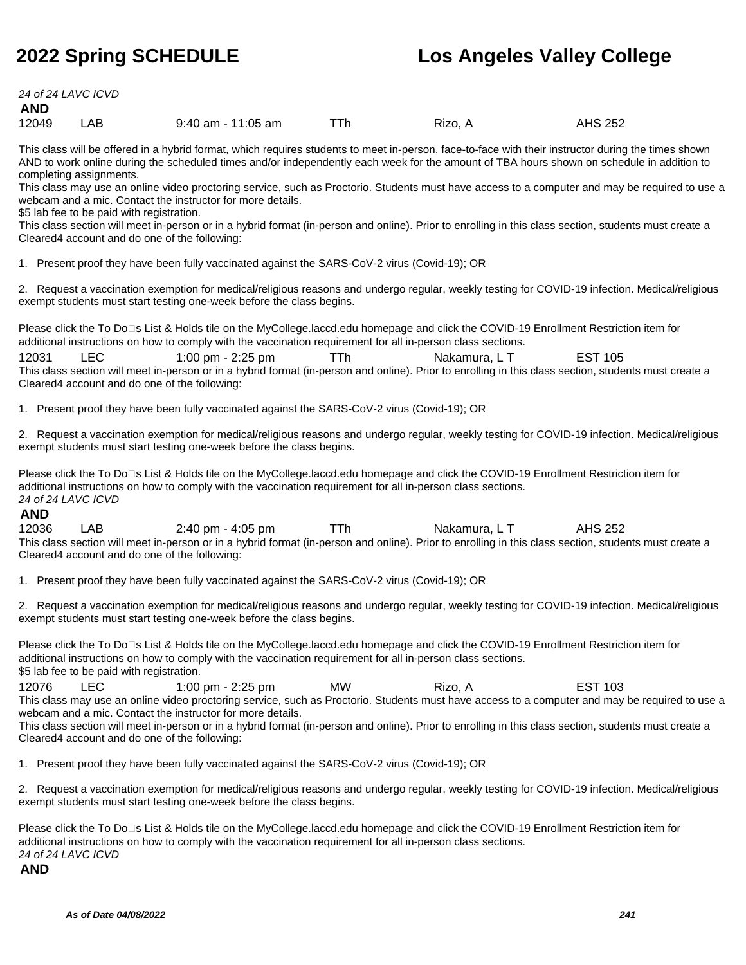24 of 24 LAVC ICVD

**AND**

12049 LAB 9:40 am - 11:05 am TTh Rizo, A AHS 252

This class will be offered in a hybrid format, which requires students to meet in-person, face-to-face with their instructor during the times shown AND to work online during the scheduled times and/or independently each week for the amount of TBA hours shown on schedule in addition to completing assignments.

This class may use an online video proctoring service, such as Proctorio. Students must have access to a computer and may be required to use a webcam and a mic. Contact the instructor for more details.

\$5 lab fee to be paid with registration.

This class section will meet in-person or in a hybrid format (in-person and online). Prior to enrolling in this class section, students must create a Cleared4 account and do one of the following:

1. Present proof they have been fully vaccinated against the SARS-CoV-2 virus (Covid-19); OR

2. Request a vaccination exemption for medical/religious reasons and undergo regular, weekly testing for COVID-19 infection. Medical/religious exempt students must start testing one-week before the class begins.

Please click the To Do<sup>n</sup>s List & Holds tile on the MyCollege.laccd.edu homepage and click the COVID-19 Enrollment Restriction item for additional instructions on how to comply with the vaccination requirement for all in-person class sections.

12031 LEC 1:00 pm - 2:25 pm TTh Nakamura, L T EST 105 This class section will meet in-person or in a hybrid format (in-person and online). Prior to enrolling in this class section, students must create a Cleared4 account and do one of the following:

1. Present proof they have been fully vaccinated against the SARS-CoV-2 virus (Covid-19); OR

2. Request a vaccination exemption for medical/religious reasons and undergo regular, weekly testing for COVID-19 infection. Medical/religious exempt students must start testing one-week before the class begins.

Please click the To Do⊡s List & Holds tile on the MyCollege.laccd.edu homepage and click the COVID-19 Enrollment Restriction item for additional instructions on how to comply with the vaccination requirement for all in-person class sections. 24 of 24 LAVC ICVD

## **AND**

12036 LAB 2:40 pm - 4:05 pm TTh Nakamura, L T AHS 252 This class section will meet in-person or in a hybrid format (in-person and online). Prior to enrolling in this class section, students must create a Cleared4 account and do one of the following:

1. Present proof they have been fully vaccinated against the SARS-CoV-2 virus (Covid-19); OR

2. Request a vaccination exemption for medical/religious reasons and undergo regular, weekly testing for COVID-19 infection. Medical/religious exempt students must start testing one-week before the class begins.

Please click the To Do<sup>n</sup>s List & Holds tile on the MyCollege.laccd.edu homepage and click the COVID-19 Enrollment Restriction item for additional instructions on how to comply with the vaccination requirement for all in-person class sections. \$5 lab fee to be paid with registration.

12076 LEC 1:00 pm - 2:25 pm MW Rizo, A EST 103 This class may use an online video proctoring service, such as Proctorio. Students must have access to a computer and may be required to use a webcam and a mic. Contact the instructor for more details.

This class section will meet in-person or in a hybrid format (in-person and online). Prior to enrolling in this class section, students must create a Cleared4 account and do one of the following:

1. Present proof they have been fully vaccinated against the SARS-CoV-2 virus (Covid-19); OR

2. Request a vaccination exemption for medical/religious reasons and undergo regular, weekly testing for COVID-19 infection. Medical/religious exempt students must start testing one-week before the class begins.

Please click the To Do□s List & Holds tile on the MyCollege.laccd.edu homepage and click the COVID-19 Enrollment Restriction item for additional instructions on how to comply with the vaccination requirement for all in-person class sections. 24 of 24 LAVC ICVD

## **AND**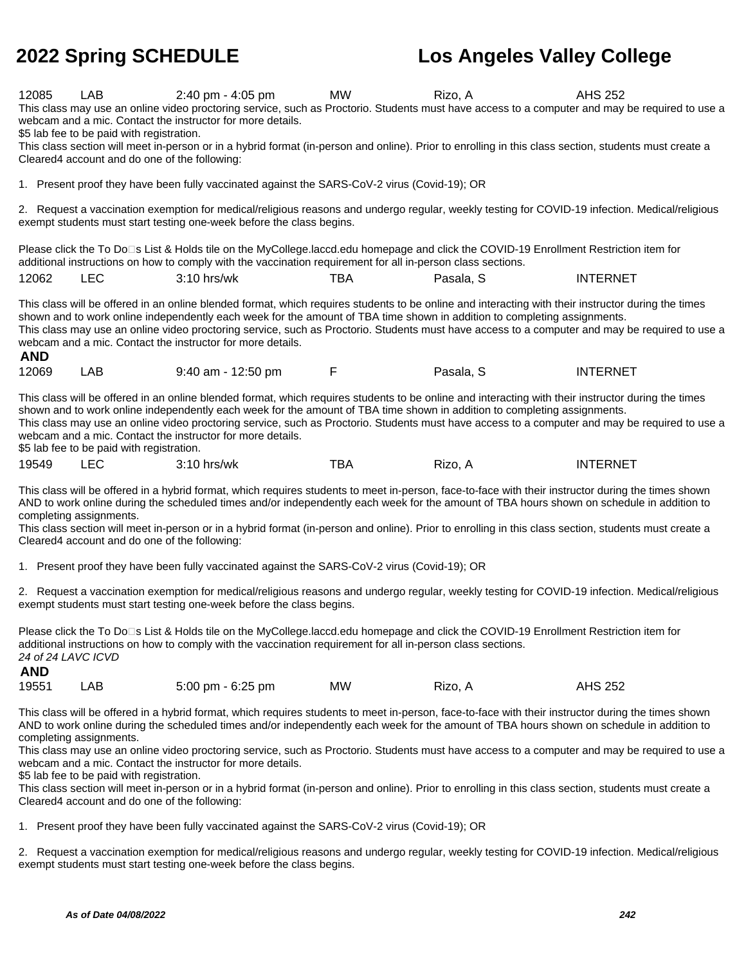**2022 Spring SCHEDULE Los Angeles Valley College** 12085 LAB 2:40 pm - 4:05 pm MW Rizo, A AHS 252 This class may use an online video proctoring service, such as Proctorio. Students must have access to a computer and may be required to use a webcam and a mic. Contact the instructor for more details. \$5 lab fee to be paid with registration. This class section will meet in-person or in a hybrid format (in-person and online). Prior to enrolling in this class section, students must create a Cleared4 account and do one of the following: 1. Present proof they have been fully vaccinated against the SARS-CoV-2 virus (Covid-19); OR 2. Request a vaccination exemption for medical/religious reasons and undergo regular, weekly testing for COVID-19 infection. Medical/religious exempt students must start testing one-week before the class begins. Please click the To Do<sup>n</sup>s List & Holds tile on the MyCollege.laccd.edu homepage and click the COVID-19 Enrollment Restriction item for additional instructions on how to comply with the vaccination requirement for all in-person class sections. 12062 LEC 3:10 hrs/wk TBA Pasala, S INTERNET This class will be offered in an online blended format, which requires students to be online and interacting with their instructor during the times shown and to work online independently each week for the amount of TBA time shown in addition to completing assignments. This class may use an online video proctoring service, such as Proctorio. Students must have access to a computer and may be required to use a webcam and a mic. Contact the instructor for more details. **AND** 12069 LAB 9:40 am - 12:50 pm F Pasala, S INTERNET This class will be offered in an online blended format, which requires students to be online and interacting with their instructor during the times shown and to work online independently each week for the amount of TBA time shown in addition to completing assignments. This class may use an online video proctoring service, such as Proctorio. Students must have access to a computer and may be required to use a webcam and a mic. Contact the instructor for more details. \$5 lab fee to be paid with registration. 19549 LEC 3:10 hrs/wk TBA Rizo, A INTERNET This class will be offered in a hybrid format, which requires students to meet in-person, face-to-face with their instructor during the times shown AND to work online during the scheduled times and/or independently each week for the amount of TBA hours shown on schedule in addition to completing assignments. This class section will meet in-person or in a hybrid format (in-person and online). Prior to enrolling in this class section, students must create a Cleared4 account and do one of the following: 1. Present proof they have been fully vaccinated against the SARS-CoV-2 virus (Covid-19); OR 2. Request a vaccination exemption for medical/religious reasons and undergo regular, weekly testing for COVID-19 infection. Medical/religious exempt students must start testing one-week before the class begins. Please click the To Do□s List & Holds tile on the MyCollege.laccd.edu homepage and click the COVID-19 Enrollment Restriction item for additional instructions on how to comply with the vaccination requirement for all in-person class sections.

24 of 24 LAVC ICVD **AND** 19551 LAB 5:00 pm - 6:25 pm MW Rizo, A AHS 252

This class will be offered in a hybrid format, which requires students to meet in-person, face-to-face with their instructor during the times shown AND to work online during the scheduled times and/or independently each week for the amount of TBA hours shown on schedule in addition to completing assignments.

This class may use an online video proctoring service, such as Proctorio. Students must have access to a computer and may be required to use a webcam and a mic. Contact the instructor for more details.

\$5 lab fee to be paid with registration.

This class section will meet in-person or in a hybrid format (in-person and online). Prior to enrolling in this class section, students must create a Cleared4 account and do one of the following:

1. Present proof they have been fully vaccinated against the SARS-CoV-2 virus (Covid-19); OR

2. Request a vaccination exemption for medical/religious reasons and undergo regular, weekly testing for COVID-19 infection. Medical/religious exempt students must start testing one-week before the class begins.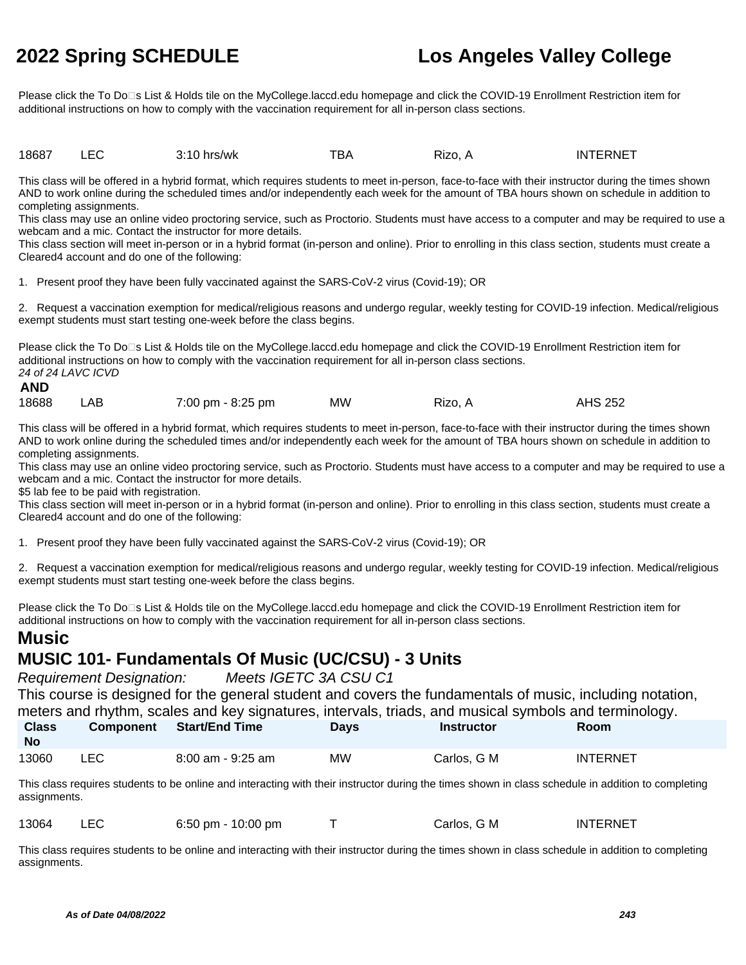Please click the To Do□s List & Holds tile on the MyCollege.laccd.edu homepage and click the COVID-19 Enrollment Restriction item for additional instructions on how to comply with the vaccination requirement for all in-person class sections.

18687 LEC 3:10 hrs/wk TBA Rizo, A INTERNET

This class will be offered in a hybrid format, which requires students to meet in-person, face-to-face with their instructor during the times shown AND to work online during the scheduled times and/or independently each week for the amount of TBA hours shown on schedule in addition to completing assignments.

This class may use an online video proctoring service, such as Proctorio. Students must have access to a computer and may be required to use a webcam and a mic. Contact the instructor for more details.

This class section will meet in-person or in a hybrid format (in-person and online). Prior to enrolling in this class section, students must create a Cleared4 account and do one of the following:

1. Present proof they have been fully vaccinated against the SARS-CoV-2 virus (Covid-19); OR

2. Request a vaccination exemption for medical/religious reasons and undergo regular, weekly testing for COVID-19 infection. Medical/religious exempt students must start testing one-week before the class begins.

Please click the To Do□s List & Holds tile on the MyCollege.laccd.edu homepage and click the COVID-19 Enrollment Restriction item for additional instructions on how to comply with the vaccination requirement for all in-person class sections. 24 of 24 LAVC ICVD

# **AND**

| 18688 | LAB | 7:00 pm - 8:25 pm | ΜW | Rizo. A | <b>AHS 252</b> |
|-------|-----|-------------------|----|---------|----------------|
|       |     |                   |    |         |                |

This class will be offered in a hybrid format, which requires students to meet in-person, face-to-face with their instructor during the times shown AND to work online during the scheduled times and/or independently each week for the amount of TBA hours shown on schedule in addition to completing assignments.

This class may use an online video proctoring service, such as Proctorio. Students must have access to a computer and may be required to use a webcam and a mic. Contact the instructor for more details.

\$5 lab fee to be paid with registration.

This class section will meet in-person or in a hybrid format (in-person and online). Prior to enrolling in this class section, students must create a Cleared4 account and do one of the following:

1. Present proof they have been fully vaccinated against the SARS-CoV-2 virus (Covid-19); OR

2. Request a vaccination exemption for medical/religious reasons and undergo regular, weekly testing for COVID-19 infection. Medical/religious exempt students must start testing one-week before the class begins.

Please click the To Do<sup>n</sup>s List & Holds tile on the MyCollege.laccd.edu homepage and click the COVID-19 Enrollment Restriction item for additional instructions on how to comply with the vaccination requirement for all in-person class sections.

# **Music**

# **MUSIC 101- Fundamentals Of Music (UC/CSU) - 3 Units**

Requirement Designation: Meets IGETC 3A CSU C1

This course is designed for the general student and covers the fundamentals of music, including notation, meters and rhythm, scales and key signatures, intervals, triads, and musical symbols and terminology.

| <b>Class</b><br>No | <b>Component</b> | Start/End Time        | <b>Days</b> | <b>Instructor</b> | <b>Room</b>     |
|--------------------|------------------|-----------------------|-------------|-------------------|-----------------|
| 13060              | LEC              | $8:00$ am - $9:25$ am | MW          | Carlos, G M       | <b>INTERNET</b> |

This class requires students to be online and interacting with their instructor during the times shown in class schedule in addition to completing assignments.

| 13064 |  | $6:50 \text{ pm} - 10:00 \text{ pm}$ |  | Carlos, G M | INTERNET |
|-------|--|--------------------------------------|--|-------------|----------|
|-------|--|--------------------------------------|--|-------------|----------|

This class requires students to be online and interacting with their instructor during the times shown in class schedule in addition to completing assignments.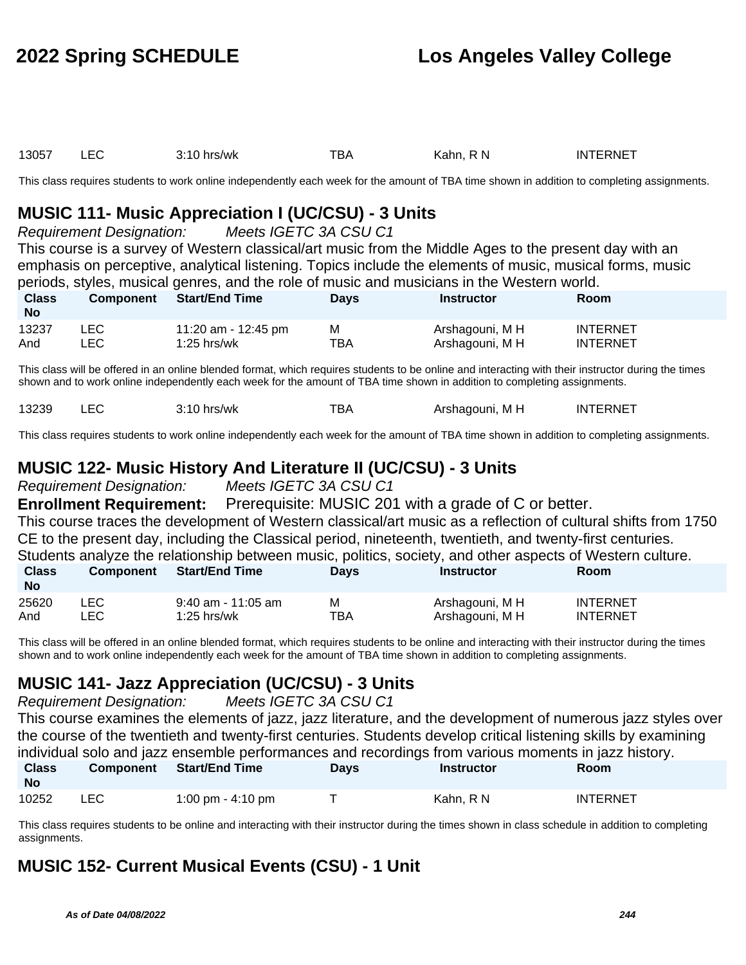| 13057 | $3:10$ hrs/wk | тва | Kahn. R N | INTERNET |
|-------|---------------|-----|-----------|----------|
|       |               |     |           |          |

This class requires students to work online independently each week for the amount of TBA time shown in addition to completing assignments.

# **MUSIC 111- Music Appreciation I (UC/CSU) - 3 Units**

Requirement Designation: Meets IGETC 3A CSU C1

This course is a survey of Western classical/art music from the Middle Ages to the present day with an emphasis on perceptive, analytical listening. Topics include the elements of music, musical forms, music periods, styles, musical genres, and the role of music and musicians in the Western world.

| <b>Class</b><br><b>No</b> | <b>Component</b> | <b>Start/End Time</b> | <b>Days</b> | <b>Instructor</b> | Room            |
|---------------------------|------------------|-----------------------|-------------|-------------------|-----------------|
| 13237                     | LEC.             | 11:20 am - 12:45 pm   | м           | Arshagouni, M H   | <b>INTERNET</b> |
| And                       | LEC              | $1:25$ hrs/wk         | TBA         | Arshagouni, M H   | INTERNET        |

This class will be offered in an online blended format, which requires students to be online and interacting with their instructor during the times shown and to work online independently each week for the amount of TBA time shown in addition to completing assignments.

|  | 13239 |  | hrs/wk<br>"10. | ™ВА | M H<br>Arshagouni. | <b>INTERNET</b> |
|--|-------|--|----------------|-----|--------------------|-----------------|
|--|-------|--|----------------|-----|--------------------|-----------------|

This class requires students to work online independently each week for the amount of TBA time shown in addition to completing assignments.

# **MUSIC 122- Music History And Literature II (UC/CSU) - 3 Units**

Requirement Designation: Meets IGETC 3A CSU C1

**Enrollment Requirement:** Prerequisite: MUSIC 201 with a grade of C or better. This course traces the development of Western classical/art music as a reflection of cultural shifts from 1750 CE to the present day, including the Classical period, nineteenth, twentieth, and twenty-first centuries. Students analyze the relationship between music, politics, society, and other aspects of Western culture. **Class Component Start/End Time Days Instructor Room**

| <b>No</b> |       |                      |     |                 |                 |
|-----------|-------|----------------------|-----|-----------------|-----------------|
| 25620     |       | $9:40$ am - 11:05 am | М   | Arshagouni, M H | <b>INTERNET</b> |
| And       | LEC . | $1:25$ hrs/wk        | TBA | Arshagouni, M H | <b>INTERNET</b> |

This class will be offered in an online blended format, which requires students to be online and interacting with their instructor during the times shown and to work online independently each week for the amount of TBA time shown in addition to completing assignments.

# **MUSIC 141- Jazz Appreciation (UC/CSU) - 3 Units**

Requirement Designation: Meets IGETC 3A CSU C1

This course examines the elements of jazz, jazz literature, and the development of numerous jazz styles over the course of the twentieth and twenty-first centuries. Students develop critical listening skills by examining individual solo and jazz ensemble performances and recordings from various moments in jazz history.

| <b>Class</b><br><b>No</b> | <b>Component</b> | <b>Start/End Time</b> | Days | Instructor | Room            |
|---------------------------|------------------|-----------------------|------|------------|-----------------|
| 10252                     | <b>LEC</b>       | 1:00 pm - 4:10 pm     |      | Kahn. R N  | <b>INTERNET</b> |

This class requires students to be online and interacting with their instructor during the times shown in class schedule in addition to completing assignments.

# **MUSIC 152- Current Musical Events (CSU) - 1 Unit**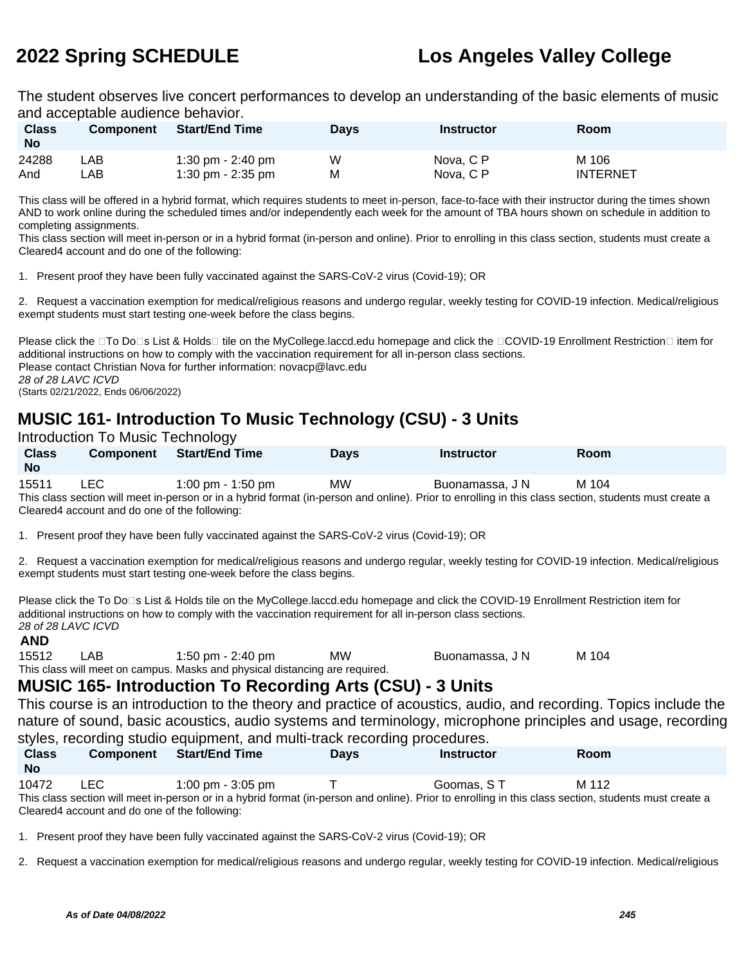The student observes live concert performances to develop an understanding of the basic elements of music and acceptable audience behavior.

| <b>Class</b><br><b>No</b> | <b>Component</b> | <b>Start/End Time</b> | <b>Days</b> | <b>Instructor</b> | Room            |
|---------------------------|------------------|-----------------------|-------------|-------------------|-----------------|
| 24288                     | .AB              | 1:30 pm $-$ 2:40 pm   | W           | Nova, C P         | M 106           |
| And                       | .AB              | 1:30 pm - $2:35$ pm   | М           | Nova, C P         | <b>INTERNET</b> |

This class will be offered in a hybrid format, which requires students to meet in-person, face-to-face with their instructor during the times shown AND to work online during the scheduled times and/or independently each week for the amount of TBA hours shown on schedule in addition to completing assignments.

This class section will meet in-person or in a hybrid format (in-person and online). Prior to enrolling in this class section, students must create a Cleared4 account and do one of the following:

1. Present proof they have been fully vaccinated against the SARS-CoV-2 virus (Covid-19); OR

2. Request a vaccination exemption for medical/religious reasons and undergo regular, weekly testing for COVID-19 infection. Medical/religious exempt students must start testing one-week before the class begins.

Please click the □To Do□s List & Holds□ tile on the MyCollege.laccd.edu homepage and click the □COVID-19 Enrollment Restriction□ item for additional instructions on how to comply with the vaccination requirement for all in-person class sections. Please contact Christian Nova for further information: novacp@lavc.edu 28 of 28 LAVC ICVD (Starts 02/21/2022, Ends 06/06/2022)

# **MUSIC 161- Introduction To Music Technology (CSU) - 3 Units**

Introduction To Music Technology

| <b>Class</b><br><b>No</b>                                                                                                                             | <b>Component</b> | <b>Start/End Time</b>               | <b>Davs</b> | <b>Instructor</b> | <b>Room</b> |  |  |  |
|-------------------------------------------------------------------------------------------------------------------------------------------------------|------------------|-------------------------------------|-------------|-------------------|-------------|--|--|--|
| 15511                                                                                                                                                 | LEC.             | $1:00 \text{ pm} - 1:50 \text{ pm}$ | MW          | Buonamassa, J N   | M 104       |  |  |  |
| This class section will meet in-person or in a hybrid format (in-person and online). Prior to enrolling in this class section, students must create a |                  |                                     |             |                   |             |  |  |  |
| Cleared4 account and do one of the following:                                                                                                         |                  |                                     |             |                   |             |  |  |  |

1. Present proof they have been fully vaccinated against the SARS-CoV-2 virus (Covid-19); OR

2. Request a vaccination exemption for medical/religious reasons and undergo regular, weekly testing for COVID-19 infection. Medical/religious exempt students must start testing one-week before the class begins.

Please click the To Do<sup>n</sup>s List & Holds tile on the MyCollege.laccd.edu homepage and click the COVID-19 Enrollment Restriction item for additional instructions on how to comply with the vaccination requirement for all in-person class sections. 28 of 28 LAVC ICVD

**AND**<br>15512 LAB 1:50 pm - 2:40 pm MW Buonamassa, J N M 104 This class will meet on campus. Masks and physical distancing are required.

**MUSIC 165- Introduction To Recording Arts (CSU) - 3 Units**

This course is an introduction to the theory and practice of acoustics, audio, and recording. Topics include the nature of sound, basic acoustics, audio systems and terminology, microphone principles and usage, recording styles, recording studio equipment, and multi-track recording procedures.

| <b>Class</b><br><b>No</b>                                                                                                                             | <b>Component</b>                              | <b>Start/End Time</b>               | <b>Davs</b> | <b>Instructor</b> | Room  |  |  |  |
|-------------------------------------------------------------------------------------------------------------------------------------------------------|-----------------------------------------------|-------------------------------------|-------------|-------------------|-------|--|--|--|
| 10472                                                                                                                                                 | LEC.                                          | $1:00 \text{ pm} - 3:05 \text{ pm}$ |             | Goomas, ST        | M 112 |  |  |  |
| This class section will meet in-person or in a hybrid format (in-person and online). Prior to enrolling in this class section, students must create a |                                               |                                     |             |                   |       |  |  |  |
|                                                                                                                                                       | Cleared4 account and do one of the following: |                                     |             |                   |       |  |  |  |

1. Present proof they have been fully vaccinated against the SARS-CoV-2 virus (Covid-19); OR

2. Request a vaccination exemption for medical/religious reasons and undergo regular, weekly testing for COVID-19 infection. Medical/religious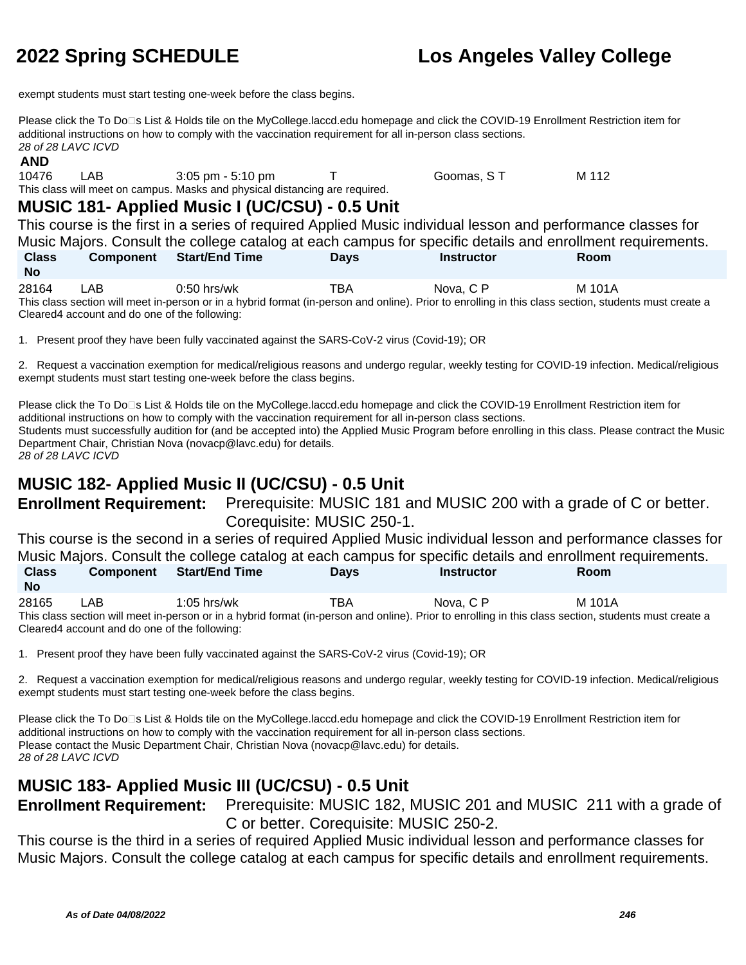exempt students must start testing one-week before the class begins.

Please click the To Do<sup>n</sup>s List & Holds tile on the MyCollege.laccd.edu homepage and click the COVID-19 Enrollment Restriction item for additional instructions on how to comply with the vaccination requirement for all in-person class sections. 28 of 28 LAVC ICVD

## **AND**

10476 LAB 3:05 pm - 5:10 pm T Goomas, S T M 112 This class will meet on campus. Masks and physical distancing are required.

# **MUSIC 181- Applied Music I (UC/CSU) - 0.5 Unit**

This course is the first in a series of required Applied Music individual lesson and performance classes for Music Majors. Consult the college catalog at each campus for specific details and enrollment requirements. **Class No Component Start/End Time Days Instructor Room** 28164 LAB 0:50 hrs/wk TBA Nova, C P M 101A

This class section will meet in-person or in a hybrid format (in-person and online). Prior to enrolling in this class section, students must create a Cleared4 account and do one of the following:

1. Present proof they have been fully vaccinated against the SARS-CoV-2 virus (Covid-19); OR

2. Request a vaccination exemption for medical/religious reasons and undergo regular, weekly testing for COVID-19 infection. Medical/religious exempt students must start testing one-week before the class begins.

Please click the To Do⊡s List & Holds tile on the MyCollege.laccd.edu homepage and click the COVID-19 Enrollment Restriction item for additional instructions on how to comply with the vaccination requirement for all in-person class sections. Students must successfully audition for (and be accepted into) the Applied Music Program before enrolling in this class. Please contract the Music Department Chair, Christian Nova (novacp@lavc.edu) for details. 28 of 28 LAVC ICVD

# **MUSIC 182- Applied Music II (UC/CSU) - 0.5 Unit**

**Enrollment Requirement:** Prerequisite: MUSIC 181 and MUSIC 200 with a grade of C or better. Corequisite: MUSIC 250-1.

This course is the second in a series of required Applied Music individual lesson and performance classes for Music Majors. Consult the college catalog at each campus for specific details and enrollment requirements. **Class Component Start/End Time Days Instructor Room**

**No** 28165 LAB 1:05 hrs/wk TBA Nova, C P M 101A

This class section will meet in-person or in a hybrid format (in-person and online). Prior to enrolling in this class section, students must create a Cleared4 account and do one of the following:

1. Present proof they have been fully vaccinated against the SARS-CoV-2 virus (Covid-19); OR

2. Request a vaccination exemption for medical/religious reasons and undergo regular, weekly testing for COVID-19 infection. Medical/religious exempt students must start testing one-week before the class begins.

Please click the To Do□s List & Holds tile on the MyCollege.laccd.edu homepage and click the COVID-19 Enrollment Restriction item for additional instructions on how to comply with the vaccination requirement for all in-person class sections. Please contact the Music Department Chair, Christian Nova (novacp@lavc.edu) for details. 28 of 28 LAVC ICVD

# **MUSIC 183- Applied Music III (UC/CSU) - 0.5 Unit**

**Enrollment Requirement:** Prerequisite: MUSIC 182, MUSIC 201 and MUSIC 211 with a grade of C or better. Corequisite: MUSIC 250-2.

This course is the third in a series of required Applied Music individual lesson and performance classes for Music Majors. Consult the college catalog at each campus for specific details and enrollment requirements.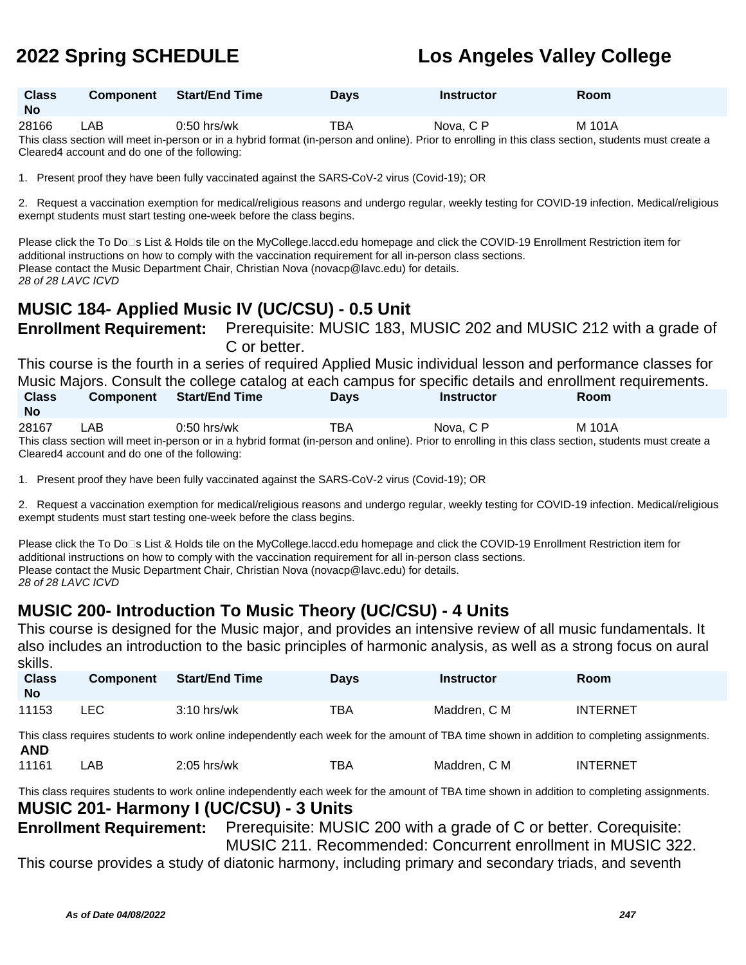| <b>Class</b><br><b>No</b> | Component | Start/End Time | Days | <b>Instructor</b>    | Room |
|---------------------------|-----------|----------------|------|----------------------|------|
| $\cdots$                  | .         | -----          | ---  | $\sim$ $\sim$<br>. . | .    |

28166 LAB 0:50 hrs/wk TBA Nova, C P M 101A This class section will meet in-person or in a hybrid format (in-person and online). Prior to enrolling in this class section, students must create a Cleared4 account and do one of the following:

1. Present proof they have been fully vaccinated against the SARS-CoV-2 virus (Covid-19); OR

2. Request a vaccination exemption for medical/religious reasons and undergo regular, weekly testing for COVID-19 infection. Medical/religious exempt students must start testing one-week before the class begins.

Please click the To Do⊡s List & Holds tile on the MyCollege.laccd.edu homepage and click the COVID-19 Enrollment Restriction item for additional instructions on how to comply with the vaccination requirement for all in-person class sections. Please contact the Music Department Chair, Christian Nova (novacp@lavc.edu) for details. 28 of 28 LAVC ICVD

# **MUSIC 184- Applied Music IV (UC/CSU) - 0.5 Unit**

**Enrollment Requirement:** Prerequisite: MUSIC 183, MUSIC 202 and MUSIC 212 with a grade of C or better.

This course is the fourth in a series of required Applied Music individual lesson and performance classes for Music Majors. Consult the college catalog at each campus for specific details and enrollment requirements. **Class No Component Start/End Time Days Instructor Room**

28167 LAB 0:50 hrs/wk TBA Nova, C P M 101A This class section will meet in-person or in a hybrid format (in-person and online). Prior to enrolling in this class section, students must create a Cleared4 account and do one of the following:

1. Present proof they have been fully vaccinated against the SARS-CoV-2 virus (Covid-19); OR

2. Request a vaccination exemption for medical/religious reasons and undergo regular, weekly testing for COVID-19 infection. Medical/religious exempt students must start testing one-week before the class begins.

Please click the To Do⊡s List & Holds tile on the MyCollege.laccd.edu homepage and click the COVID-19 Enrollment Restriction item for additional instructions on how to comply with the vaccination requirement for all in-person class sections. Please contact the Music Department Chair, Christian Nova (novacp@lavc.edu) for details. 28 of 28 LAVC ICVD

# **MUSIC 200- Introduction To Music Theory (UC/CSU) - 4 Units**

This course is designed for the Music major, and provides an intensive review of all music fundamentals. It also includes an introduction to the basic principles of harmonic analysis, as well as a strong focus on aural skills.

| ------<br><b>Class</b><br><b>No</b>                                                                                                         | <b>Component</b> | <b>Start/End Time</b>                                                                                                                       | <b>Days</b> | <b>Instructor</b> | <b>Room</b>     |  |
|---------------------------------------------------------------------------------------------------------------------------------------------|------------------|---------------------------------------------------------------------------------------------------------------------------------------------|-------------|-------------------|-----------------|--|
| 11153                                                                                                                                       | LEC.             | $3:10$ hrs/wk                                                                                                                               | <b>TBA</b>  | Maddren, C M      | <b>INTERNET</b> |  |
| <b>AND</b>                                                                                                                                  |                  | This class requires students to work online independently each week for the amount of TBA time shown in addition to completing assignments. |             |                   |                 |  |
| 11161                                                                                                                                       | LAB              | $2:05$ hrs/wk                                                                                                                               | TBA         | Maddren, C M      | <b>INTERNET</b> |  |
| This class requires students to work online independently each week for the amount of TBA time shown in addition to completing assignments. |                  |                                                                                                                                             |             |                   |                 |  |

## **MUSIC 201- Harmony I (UC/CSU) - 3 Units**

**Enrollment Requirement:** Prerequisite: MUSIC 200 with a grade of C or better. Corequisite: MUSIC 211. Recommended: Concurrent enrollment in MUSIC 322.

This course provides a study of diatonic harmony, including primary and secondary triads, and seventh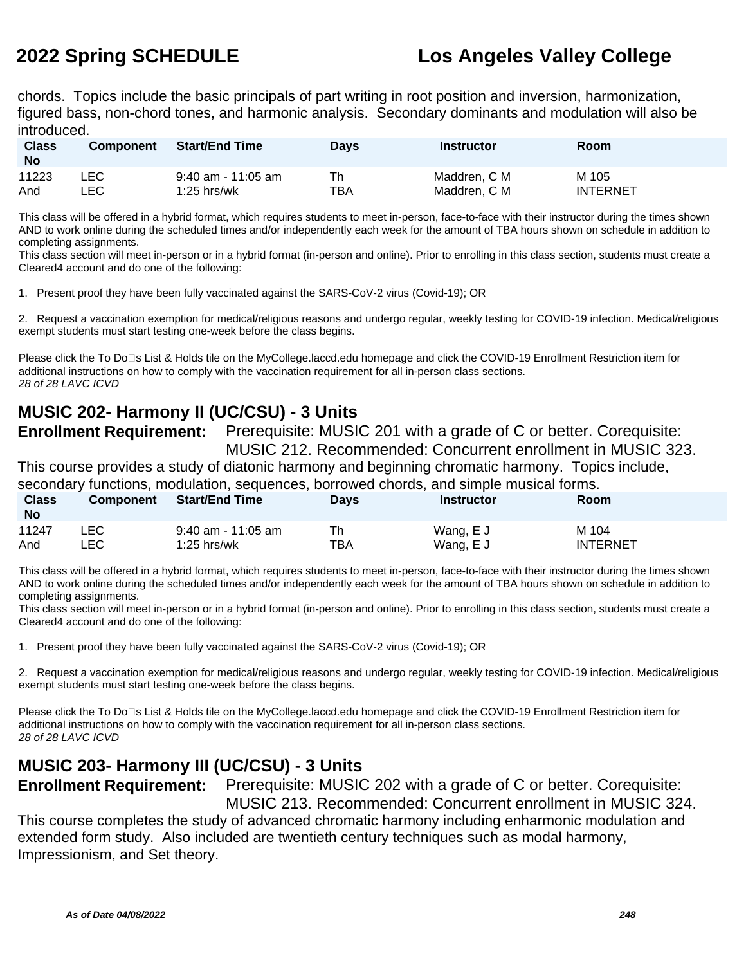chords. Topics include the basic principals of part writing in root position and inversion, harmonization, figured bass, non-chord tones, and harmonic analysis. Secondary dominants and modulation will also be introduced.

| <b>Class</b><br><b>No</b> | <b>Component</b> | <b>Start/End Time</b> | Days | <b>Instructor</b> | Room            |
|---------------------------|------------------|-----------------------|------|-------------------|-----------------|
| 11223                     | LEC.             | 9:40 am - 11:05 am    | Th   | Maddren, C M      | M 105           |
| And                       | _EC.             | $1:25$ hrs/wk         | TBA  | Maddren. C M      | <b>INTERNET</b> |

This class will be offered in a hybrid format, which requires students to meet in-person, face-to-face with their instructor during the times shown AND to work online during the scheduled times and/or independently each week for the amount of TBA hours shown on schedule in addition to completing assignments.

This class section will meet in-person or in a hybrid format (in-person and online). Prior to enrolling in this class section, students must create a Cleared4 account and do one of the following:

1. Present proof they have been fully vaccinated against the SARS-CoV-2 virus (Covid-19); OR

2. Request a vaccination exemption for medical/religious reasons and undergo regular, weekly testing for COVID-19 infection. Medical/religious exempt students must start testing one-week before the class begins.

Please click the To Do□s List & Holds tile on the MyCollege.laccd.edu homepage and click the COVID-19 Enrollment Restriction item for additional instructions on how to comply with the vaccination requirement for all in-person class sections. 28 of 28 LAVC ICVD

# **MUSIC 202- Harmony II (UC/CSU) - 3 Units**

**Enrollment Requirement:** Prerequisite: MUSIC 201 with a grade of C or better. Corequisite: MUSIC 212. Recommended: Concurrent enrollment in MUSIC 323.

This course provides a study of diatonic harmony and beginning chromatic harmony. Topics include, secondary functions, modulation, sequences, borrowed chords, and simple musical forms.

| <b>Class</b><br><b>No</b> | <b>Component</b> | <b>Start/End Time</b> | <b>Days</b> | <b>Instructor</b> | Room            |
|---------------------------|------------------|-----------------------|-------------|-------------------|-----------------|
| 11247                     | ∟EC              | 9:40 am - 11:05 am    | тва         | Wang, E J         | M 104           |
| And                       | LEC              | $1:25$ hrs/wk         |             | Wang, E J         | <b>INTERNET</b> |

This class will be offered in a hybrid format, which requires students to meet in-person, face-to-face with their instructor during the times shown AND to work online during the scheduled times and/or independently each week for the amount of TBA hours shown on schedule in addition to completing assignments.

This class section will meet in-person or in a hybrid format (in-person and online). Prior to enrolling in this class section, students must create a Cleared4 account and do one of the following:

1. Present proof they have been fully vaccinated against the SARS-CoV-2 virus (Covid-19); OR

2. Request a vaccination exemption for medical/religious reasons and undergo regular, weekly testing for COVID-19 infection. Medical/religious exempt students must start testing one-week before the class begins.

Please click the To Do□s List & Holds tile on the MyCollege.laccd.edu homepage and click the COVID-19 Enrollment Restriction item for additional instructions on how to comply with the vaccination requirement for all in-person class sections. 28 of 28 LAVC ICVD

# **MUSIC 203- Harmony III (UC/CSU) - 3 Units**

**Enrollment Requirement:** Prerequisite: MUSIC 202 with a grade of C or better. Corequisite:

MUSIC 213. Recommended: Concurrent enrollment in MUSIC 324. This course completes the study of advanced chromatic harmony including enharmonic modulation and extended form study. Also included are twentieth century techniques such as modal harmony, Impressionism, and Set theory.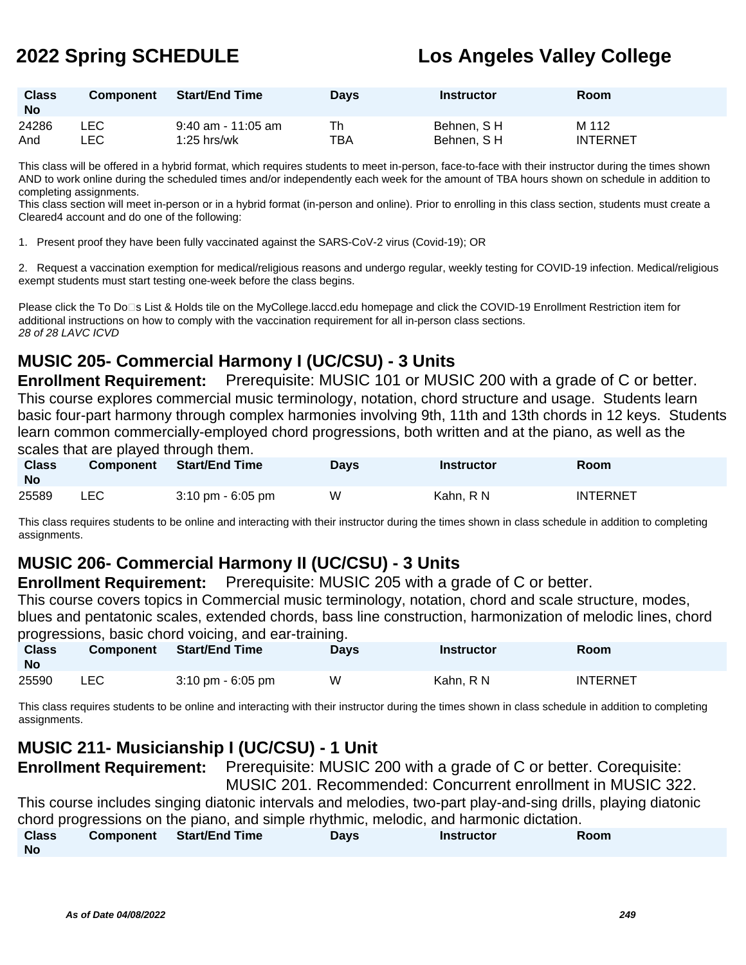| <b>Class</b><br><b>No</b> | <b>Component</b> | <b>Start/End Time</b> | <b>Days</b> | <b>Instructor</b> | <b>Room</b>     |
|---------------------------|------------------|-----------------------|-------------|-------------------|-----------------|
| 24286                     | ∟EC              | 9:40 am - 11:05 am    | Th          | Behnen, SH        | M 112           |
| And                       | LEC.             | $1:25$ hrs/wk         | TBA         | Behnen, SH        | <b>INTERNET</b> |

This class will be offered in a hybrid format, which requires students to meet in-person, face-to-face with their instructor during the times shown AND to work online during the scheduled times and/or independently each week for the amount of TBA hours shown on schedule in addition to completing assignments.

This class section will meet in-person or in a hybrid format (in-person and online). Prior to enrolling in this class section, students must create a Cleared4 account and do one of the following:

1. Present proof they have been fully vaccinated against the SARS-CoV-2 virus (Covid-19); OR

2. Request a vaccination exemption for medical/religious reasons and undergo regular, weekly testing for COVID-19 infection. Medical/religious exempt students must start testing one-week before the class begins.

Please click the To Do⊡s List & Holds tile on the MyCollege.laccd.edu homepage and click the COVID-19 Enrollment Restriction item for additional instructions on how to comply with the vaccination requirement for all in-person class sections. 28 of 28 LAVC ICVD

# **MUSIC 205- Commercial Harmony I (UC/CSU) - 3 Units**

**Enrollment Requirement:** Prerequisite: MUSIC 101 or MUSIC 200 with a grade of C or better. This course explores commercial music terminology, notation, chord structure and usage. Students learn basic four-part harmony through complex harmonies involving 9th, 11th and 13th chords in 12 keys. Students learn common commercially-employed chord progressions, both written and at the piano, as well as the scales that are played through them.

| <b>Class</b><br><b>No</b> | <b>Component</b> | <b>Start/End Time</b> | <b>Days</b> | <b>Instructor</b> | Room            |
|---------------------------|------------------|-----------------------|-------------|-------------------|-----------------|
| 25589                     | LEC              | 3:10 pm - 6:05 pm     | W           | Kahn. R N         | <b>INTERNET</b> |

This class requires students to be online and interacting with their instructor during the times shown in class schedule in addition to completing assignments.

# **MUSIC 206- Commercial Harmony II (UC/CSU) - 3 Units**

**Enrollment Requirement:** Prerequisite: MUSIC 205 with a grade of C or better.

This course covers topics in Commercial music terminology, notation, chord and scale structure, modes, blues and pentatonic scales, extended chords, bass line construction, harmonization of melodic lines, chord progressions, basic chord voicing, and ear-training.

| <b>Class</b><br>No | <b>Component</b> | <b>Start/End Time</b>               | Davs | <b>Instructor</b> | Room            |
|--------------------|------------------|-------------------------------------|------|-------------------|-----------------|
| 25590              | LEC              | $3:10 \text{ pm} - 6:05 \text{ pm}$ | W    | Kahn. R N         | <b>INTERNET</b> |

This class requires students to be online and interacting with their instructor during the times shown in class schedule in addition to completing assignments.

# **MUSIC 211- Musicianship I (UC/CSU) - 1 Unit**

**Enrollment Requirement:** Prerequisite: MUSIC 200 with a grade of C or better. Corequisite:

MUSIC 201. Recommended: Concurrent enrollment in MUSIC 322.

This course includes singing diatonic intervals and melodies, two-part play-and-sing drills, playing diatonic chord progressions on the piano, and simple rhythmic, melodic, and harmonic dictation.

| <b>Class</b> | Component | <b>Start/End Time</b> | <b>Days</b> | <b>Instructor</b> | Room |  |
|--------------|-----------|-----------------------|-------------|-------------------|------|--|
| <b>No</b>    |           |                       |             |                   |      |  |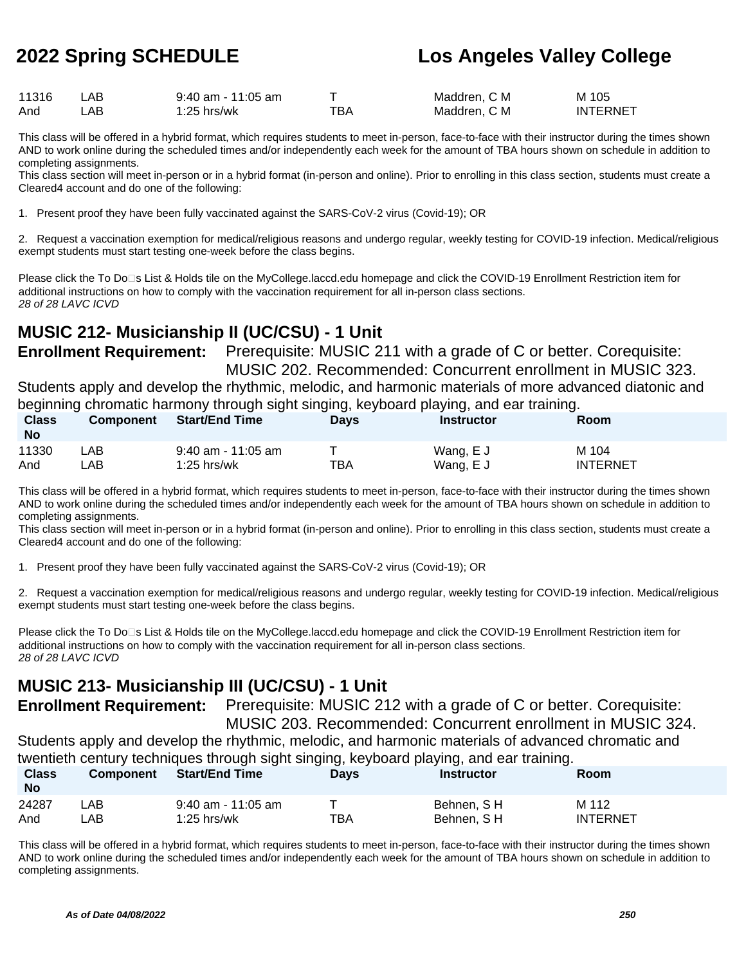| 11316 | AB   | $9:40$ am - 11:05 am |     | Maddren, C M | M 105           |
|-------|------|----------------------|-----|--------------|-----------------|
| And   | .AB. | $1:25$ hrs/wk        | ™ВА | Maddren, C M | <b>INTERNET</b> |

This class will be offered in a hybrid format, which requires students to meet in-person, face-to-face with their instructor during the times shown AND to work online during the scheduled times and/or independently each week for the amount of TBA hours shown on schedule in addition to completing assignments.

This class section will meet in-person or in a hybrid format (in-person and online). Prior to enrolling in this class section, students must create a Cleared4 account and do one of the following:

1. Present proof they have been fully vaccinated against the SARS-CoV-2 virus (Covid-19); OR

2. Request a vaccination exemption for medical/religious reasons and undergo regular, weekly testing for COVID-19 infection. Medical/religious exempt students must start testing one-week before the class begins.

Please click the To Do□s List & Holds tile on the MyCollege.laccd.edu homepage and click the COVID-19 Enrollment Restriction item for additional instructions on how to comply with the vaccination requirement for all in-person class sections. 28 of 28 LAVC ICVD

# **MUSIC 212- Musicianship II (UC/CSU) - 1 Unit**

**Enrollment Requirement:** Prerequisite: MUSIC 211 with a grade of C or better. Corequisite: MUSIC 202. Recommended: Concurrent enrollment in MUSIC 323. Students apply and develop the rhythmic, melodic, and harmonic materials of more advanced diatonic and beginning chromatic harmony through sight singing, keyboard playing, and ear training.

| <b>Class</b><br>No | <b>Component</b> | <b>Start/End Time</b> | Davs | Instructor | <b>Room</b>     |
|--------------------|------------------|-----------------------|------|------------|-----------------|
| 11330              | _AB_             | $9:40$ am - 11:05 am  | TBA  | Wang, E J  | M 104           |
| And                | ∟AB.             | $1:25$ hrs/wk         |      | Wang, E J  | <b>INTERNET</b> |

This class will be offered in a hybrid format, which requires students to meet in-person, face-to-face with their instructor during the times shown AND to work online during the scheduled times and/or independently each week for the amount of TBA hours shown on schedule in addition to completing assignments.

This class section will meet in-person or in a hybrid format (in-person and online). Prior to enrolling in this class section, students must create a Cleared4 account and do one of the following:

1. Present proof they have been fully vaccinated against the SARS-CoV-2 virus (Covid-19); OR

2. Request a vaccination exemption for medical/religious reasons and undergo regular, weekly testing for COVID-19 infection. Medical/religious exempt students must start testing one-week before the class begins.

Please click the To Do□s List & Holds tile on the MyCollege.laccd.edu homepage and click the COVID-19 Enrollment Restriction item for additional instructions on how to comply with the vaccination requirement for all in-person class sections. 28 of 28 LAVC ICVD

# **MUSIC 213- Musicianship III (UC/CSU) - 1 Unit**

**Enrollment Requirement:** Prerequisite: MUSIC 212 with a grade of C or better. Corequisite: MUSIC 203. Recommended: Concurrent enrollment in MUSIC 324.

Students apply and develop the rhythmic, melodic, and harmonic materials of advanced chromatic and

twentieth century techniques through sight singing, keyboard playing, and ear training.

| <b>Class</b><br><b>No</b> | Component | <b>Start/End Time</b> | <b>Days</b> | <b>Instructor</b> | Room            |
|---------------------------|-----------|-----------------------|-------------|-------------------|-----------------|
| 24287                     | '_AB      | 9:40 am - 11:05 am    |             | Behnen, SH        | M 112           |
| And                       | _AB .     | $1:25$ hrs/wk         | ТВА         | Behnen, SH        | <b>INTERNET</b> |

This class will be offered in a hybrid format, which requires students to meet in-person, face-to-face with their instructor during the times shown AND to work online during the scheduled times and/or independently each week for the amount of TBA hours shown on schedule in addition to completing assignments.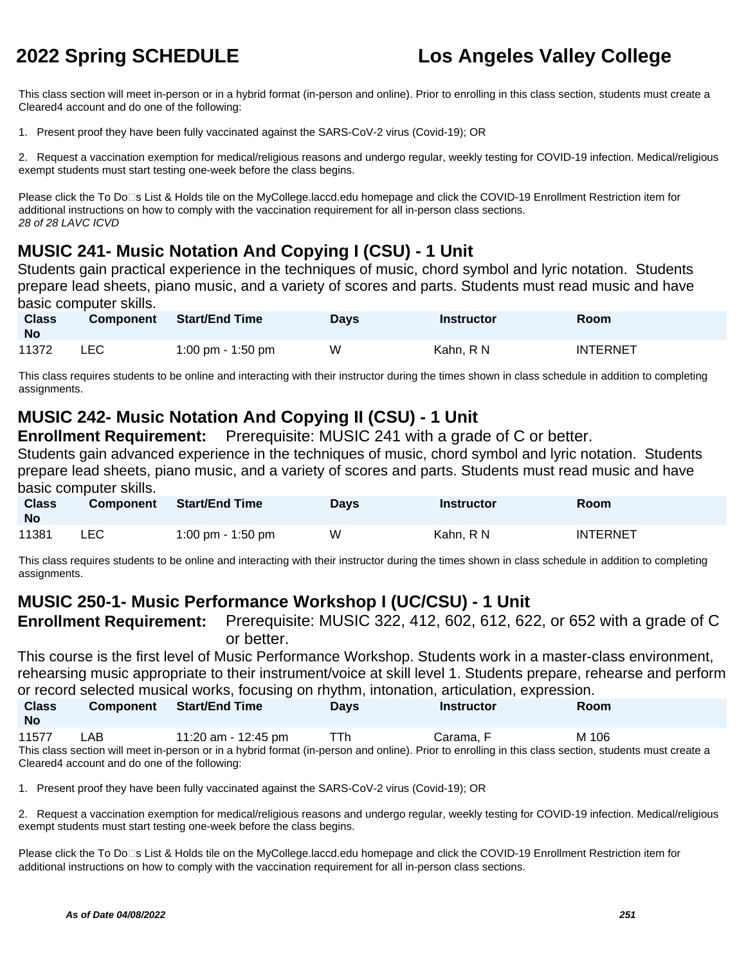This class section will meet in-person or in a hybrid format (in-person and online). Prior to enrolling in this class section, students must create a Cleared4 account and do one of the following:

1. Present proof they have been fully vaccinated against the SARS-CoV-2 virus (Covid-19); OR

2. Request a vaccination exemption for medical/religious reasons and undergo regular, weekly testing for COVID-19 infection. Medical/religious exempt students must start testing one-week before the class begins.

Please click the To Do□s List & Holds tile on the MyCollege.laccd.edu homepage and click the COVID-19 Enrollment Restriction item for additional instructions on how to comply with the vaccination requirement for all in-person class sections. 28 of 28 LAVC ICVD

# **MUSIC 241- Music Notation And Copying I (CSU) - 1 Unit**

Students gain practical experience in the techniques of music, chord symbol and lyric notation. Students prepare lead sheets, piano music, and a variety of scores and parts. Students must read music and have basic computer skills.

| <b>Class</b><br><b>No</b> | <b>Component</b> | Start/End Time    | <b>Days</b> | Instructor | <b>Room</b>     |
|---------------------------|------------------|-------------------|-------------|------------|-----------------|
| 11372                     | ∟EC.             | 1:00 pm - 1:50 pm | W           | Kahn. R N  | <b>INTERNET</b> |

This class requires students to be online and interacting with their instructor during the times shown in class schedule in addition to completing assignments.

# **MUSIC 242- Music Notation And Copying II (CSU) - 1 Unit**

**Enrollment Requirement:** Prerequisite: MUSIC 241 with a grade of C or better.

Students gain advanced experience in the techniques of music, chord symbol and lyric notation. Students prepare lead sheets, piano music, and a variety of scores and parts. Students must read music and have basic computer skills.

| <b>Class</b><br><b>No</b> | Component | <b>Start/End Time</b> | <b>Days</b> | Instructor | <b>Room</b>     |
|---------------------------|-----------|-----------------------|-------------|------------|-----------------|
| 11381                     | LEC.      | 1:00 pm - 1:50 pm     | W           | Kahn. R N  | <b>INTERNET</b> |

This class requires students to be online and interacting with their instructor during the times shown in class schedule in addition to completing assignments.

# **MUSIC 250-1- Music Performance Workshop I (UC/CSU) - 1 Unit**

**Enrollment Requirement:** Prerequisite: MUSIC 322, 412, 602, 612, 622, or 652 with a grade of C or better.

This course is the first level of Music Performance Workshop. Students work in a master-class environment, rehearsing music appropriate to their instrument/voice at skill level 1. Students prepare, rehearse and perform or record selected musical works, focusing on rhythm, intonation, articulation, expression.

| <u>and a conservation in a creative to a computer in family in the new constraint and conservation of</u><br><b>Class</b><br><b>No</b> | <b>Component</b> | <b>Start/End Time</b>                                                                                                                                                        | <b>Davs</b> | Instructor | <b>Room</b> |
|----------------------------------------------------------------------------------------------------------------------------------------|------------------|------------------------------------------------------------------------------------------------------------------------------------------------------------------------------|-------------|------------|-------------|
| 11577                                                                                                                                  | LAB              | 11:20 am - 12:45 pm<br>This class section will meet in-person or in a hybrid format (in-person and online). Prior to enrolling in this class section, students must create a | <b>TTh</b>  | Carama. F  | M 106       |

Cleared4 account and do one of the following:

1. Present proof they have been fully vaccinated against the SARS-CoV-2 virus (Covid-19); OR

2. Request a vaccination exemption for medical/religious reasons and undergo regular, weekly testing for COVID-19 infection. Medical/religious exempt students must start testing one-week before the class begins.

Please click the To Do<sup>n</sup>s List & Holds tile on the MyCollege.laccd.edu homepage and click the COVID-19 Enrollment Restriction item for additional instructions on how to comply with the vaccination requirement for all in-person class sections.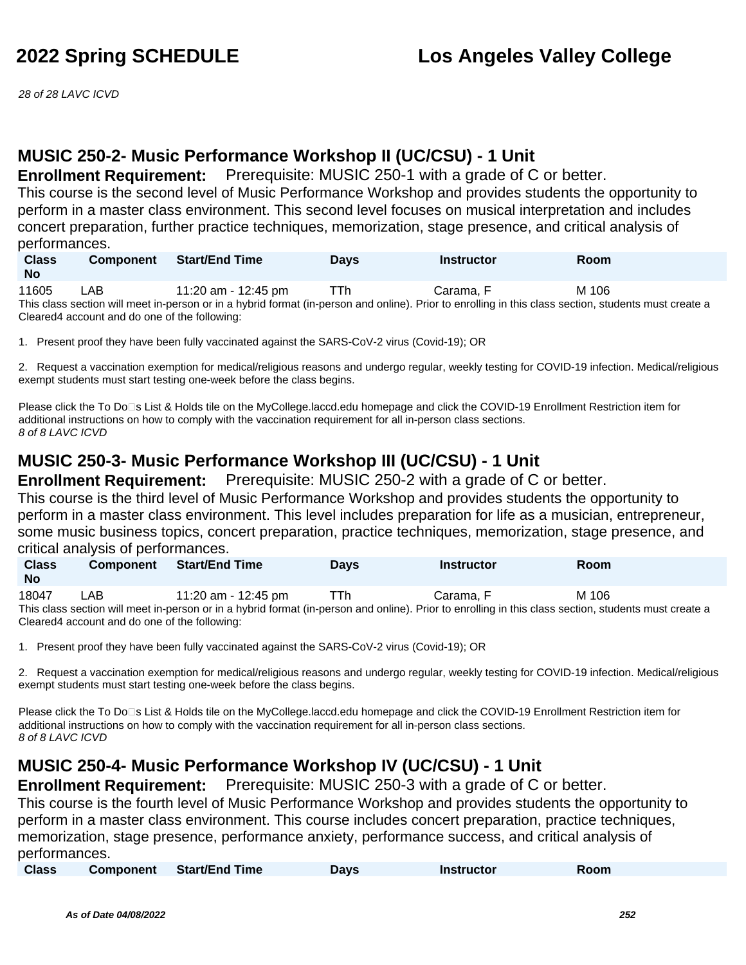28 of 28 LAVC ICVD

# **MUSIC 250-2- Music Performance Workshop II (UC/CSU) - 1 Unit**

**Enrollment Requirement:** Prerequisite: MUSIC 250-1 with a grade of C or better.

This course is the second level of Music Performance Workshop and provides students the opportunity to perform in a master class environment. This second level focuses on musical interpretation and includes concert preparation, further practice techniques, memorization, stage presence, and critical analysis of performances.

| <b>Class</b> | <b>Component</b>                              | <b>Start/End Time</b> | <b>Davs</b> | <b>Instructor</b>                                                                                                                                     | <b>Room</b> |  |
|--------------|-----------------------------------------------|-----------------------|-------------|-------------------------------------------------------------------------------------------------------------------------------------------------------|-------------|--|
| <b>No</b>    |                                               |                       |             |                                                                                                                                                       |             |  |
| 11605        | _AB.                                          | 11:20 am - 12:45 pm   | TTh         | Carama. F                                                                                                                                             | M 106       |  |
|              |                                               |                       |             | This class section will meet in-person or in a hybrid format (in-person and online). Prior to enrolling in this class section, students must create a |             |  |
|              | Cleared4 account and do one of the following: |                       |             |                                                                                                                                                       |             |  |

1. Present proof they have been fully vaccinated against the SARS-CoV-2 virus (Covid-19); OR

2. Request a vaccination exemption for medical/religious reasons and undergo regular, weekly testing for COVID-19 infection. Medical/religious exempt students must start testing one-week before the class begins.

Please click the To Do⊡s List & Holds tile on the MyCollege.laccd.edu homepage and click the COVID-19 Enrollment Restriction item for additional instructions on how to comply with the vaccination requirement for all in-person class sections. 8 of 8 LAVC ICVD

# **MUSIC 250-3- Music Performance Workshop III (UC/CSU) - 1 Unit**

**Enrollment Requirement:** Prerequisite: MUSIC 250-2 with a grade of C or better.

This course is the third level of Music Performance Workshop and provides students the opportunity to perform in a master class environment. This level includes preparation for life as a musician, entrepreneur, some music business topics, concert preparation, practice techniques, memorization, stage presence, and critical analysis of performances.

| <b>Class</b><br>No | <b>Component</b> | <b>Start/End Time</b> | Days | <b>Instructor</b> | Room  |  |
|--------------------|------------------|-----------------------|------|-------------------|-------|--|
| 18047              | _AB              | 11:20 am - 12:45 pm   | ⊤Th  | Carama. F         | M 106 |  |

This class section will meet in-person or in a hybrid format (in-person and online). Prior to enrolling in this class section, students must create a Cleared4 account and do one of the following:

1. Present proof they have been fully vaccinated against the SARS-CoV-2 virus (Covid-19); OR

2. Request a vaccination exemption for medical/religious reasons and undergo regular, weekly testing for COVID-19 infection. Medical/religious exempt students must start testing one-week before the class begins.

Please click the To Do<sup>n</sup>s List & Holds tile on the MyCollege.laccd.edu homepage and click the COVID-19 Enrollment Restriction item for additional instructions on how to comply with the vaccination requirement for all in-person class sections. 8 of 8 LAVC ICVD

# **MUSIC 250-4- Music Performance Workshop IV (UC/CSU) - 1 Unit**

**Enrollment Requirement:** Prerequisite: MUSIC 250-3 with a grade of C or better.

This course is the fourth level of Music Performance Workshop and provides students the opportunity to perform in a master class environment. This course includes concert preparation, practice techniques, memorization, stage presence, performance anxiety, performance success, and critical analysis of performances.

| <b>Class</b><br><b>Start/End Time</b><br><b>Component</b><br><b>Instructor</b><br>Room<br><b>Days</b> |  |
|-------------------------------------------------------------------------------------------------------|--|
|-------------------------------------------------------------------------------------------------------|--|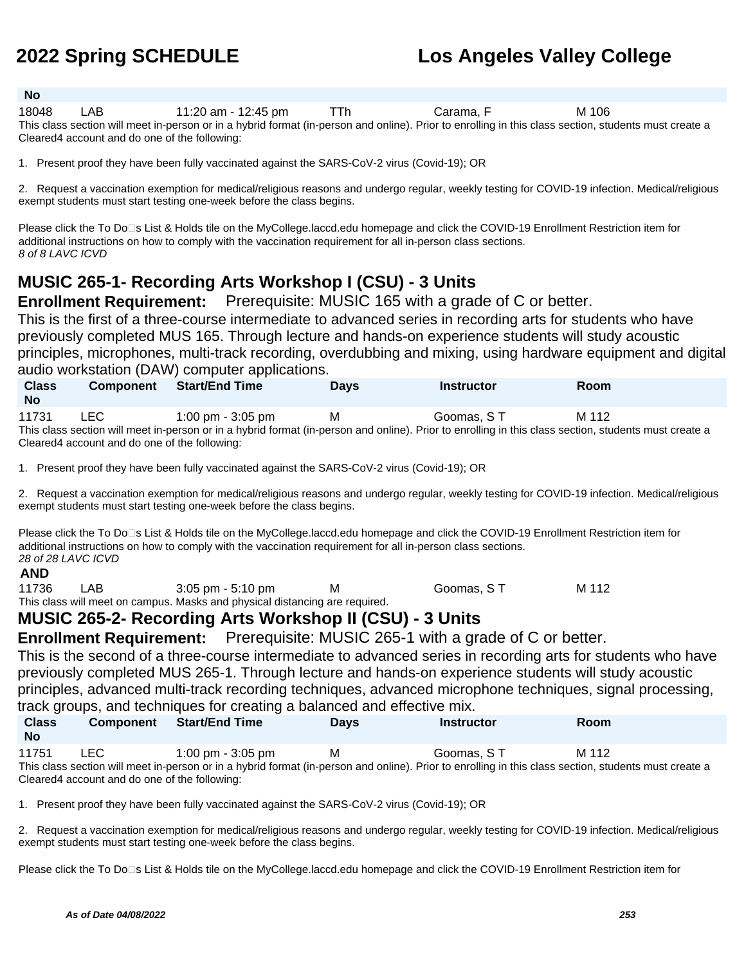### **No**

18048 LAB 11:20 am - 12:45 pm TTh Carama, F M 106 This class section will meet in-person or in a hybrid format (in-person and online). Prior to enrolling in this class section, students must create a Cleared4 account and do one of the following:

1. Present proof they have been fully vaccinated against the SARS-CoV-2 virus (Covid-19); OR

2. Request a vaccination exemption for medical/religious reasons and undergo regular, weekly testing for COVID-19 infection. Medical/religious exempt students must start testing one-week before the class begins.

Please click the To Do<sup>n</sup>s List & Holds tile on the MyCollege.laccd.edu homepage and click the COVID-19 Enrollment Restriction item for additional instructions on how to comply with the vaccination requirement for all in-person class sections. 8 of 8 LAVC ICVD

## **MUSIC 265-1- Recording Arts Workshop I (CSU) - 3 Units**

**Enrollment Requirement:** Prerequisite: MUSIC 165 with a grade of C or better.

This is the first of a three-course intermediate to advanced series in recording arts for students who have previously completed MUS 165. Through lecture and hands-on experience students will study acoustic principles, microphones, multi-track recording, overdubbing and mixing, using hardware equipment and digital audio workstation (DAW) computer applications.

| <b>Class</b><br><b>No</b> | <b>Component</b> | <b>Start/End Time</b>                                                                                                                                 | Davs | Instructor | Room  |
|---------------------------|------------------|-------------------------------------------------------------------------------------------------------------------------------------------------------|------|------------|-------|
| 11731                     | LEC.             | $1:00 \text{ pm} - 3:05 \text{ pm}$                                                                                                                   | м    | Goomas, ST | M 112 |
|                           |                  | This class section will meet in-person or in a hybrid format (in-person and online). Prior to enrolling in this class section, students must create a |      |            |       |

Cleared4 account and do one of the following:

1. Present proof they have been fully vaccinated against the SARS-CoV-2 virus (Covid-19); OR

2. Request a vaccination exemption for medical/religious reasons and undergo regular, weekly testing for COVID-19 infection. Medical/religious exempt students must start testing one-week before the class begins.

Please click the To Do⊡s List & Holds tile on the MyCollege.laccd.edu homepage and click the COVID-19 Enrollment Restriction item for additional instructions on how to comply with the vaccination requirement for all in-person class sections. 28 of 28 LAVC ICVD

### **AND**

11736 LAB 3:05 pm - 5:10 pm M Goomas, ST M 112 This class will meet on campus. Masks and physical distancing are required.

### **MUSIC 265-2- Recording Arts Workshop II (CSU) - 3 Units**

**Enrollment Requirement:** Prerequisite: MUSIC 265-1 with a grade of C or better.

This is the second of a three-course intermediate to advanced series in recording arts for students who have previously completed MUS 265-1. Through lecture and hands-on experience students will study acoustic principles, advanced multi-track recording techniques, advanced microphone techniques, signal processing, track groups, and techniques for creating a balanced and effective mix.

| <b>Class</b><br><b>No</b> | <b>Component</b> | Start/End Time                                                                                                                                        | <b>Days</b> | <b>Instructor</b> | Room  |
|---------------------------|------------------|-------------------------------------------------------------------------------------------------------------------------------------------------------|-------------|-------------------|-------|
| 11751                     | LEC .            | 1:00 pm $-$ 3:05 pm                                                                                                                                   | M           | Goomas. S T       | M 112 |
|                           |                  | This class section will meet in-person or in a hybrid format (in-person and online). Prior to enrolling in this class section, students must create a |             |                   |       |

Cleared4 account and do one of the following:

1. Present proof they have been fully vaccinated against the SARS-CoV-2 virus (Covid-19); OR

2. Request a vaccination exemption for medical/religious reasons and undergo regular, weekly testing for COVID-19 infection. Medical/religious exempt students must start testing one-week before the class begins.

Please click the To Do<sup>n</sup>s List & Holds tile on the MyCollege.laccd.edu homepage and click the COVID-19 Enrollment Restriction item for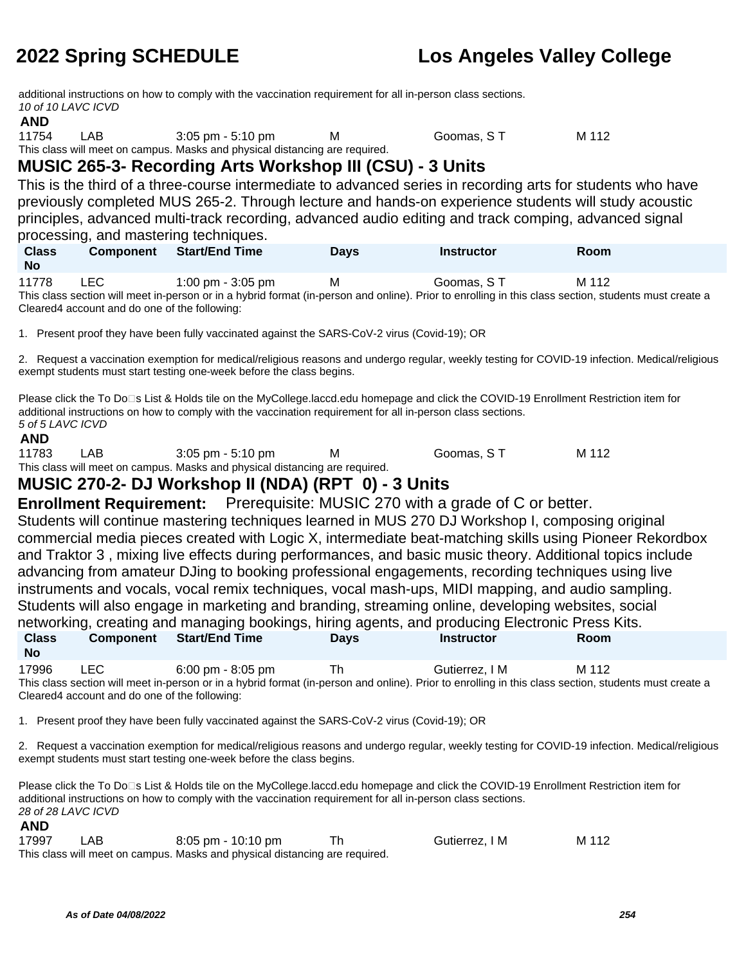additional instructions on how to comply with the vaccination requirement for all in-person class sections. 10 of 10 LAVC ICVD

### **AND**

11754 LAB 3:05 pm - 5:10 pm M Goomas, ST M 112 This class will meet on campus. Masks and physical distancing are required.

## **MUSIC 265-3- Recording Arts Workshop III (CSU) - 3 Units**

This is the third of a three-course intermediate to advanced series in recording arts for students who have previously completed MUS 265-2. Through lecture and hands-on experience students will study acoustic principles, advanced multi-track recording, advanced audio editing and track comping, advanced signal processing, and mastering techniques.

| <b>Class</b><br><b>No</b> | <b>Component</b> | <b>Start/End Time</b> | Days | <b>Instructor</b> | Room  |
|---------------------------|------------------|-----------------------|------|-------------------|-------|
| 11778                     | <b>LEC</b>       | 1:00 pm - 3:05 pm     | M    | Goomas, ST        | M 112 |

This class section will meet in-person or in a hybrid format (in-person and online). Prior to enrolling in this class section, students must create a Cleared4 account and do one of the following:

1. Present proof they have been fully vaccinated against the SARS-CoV-2 virus (Covid-19); OR

2. Request a vaccination exemption for medical/religious reasons and undergo regular, weekly testing for COVID-19 infection. Medical/religious exempt students must start testing one-week before the class begins.

Please click the To Do<sup>n</sup>s List & Holds tile on the MyCollege.laccd.edu homepage and click the COVID-19 Enrollment Restriction item for additional instructions on how to comply with the vaccination requirement for all in-person class sections. 5 of 5 LAVC ICVD

### **AND**

11783 LAB 3:05 pm - 5:10 pm M Goomas, S T M 112 This class will meet on campus. Masks and physical distancing are required.

## **MUSIC 270-2- DJ Workshop II (NDA) (RPT 0) - 3 Units**

**Enrollment Requirement:** Prerequisite: MUSIC 270 with a grade of C or better.

Students will continue mastering techniques learned in MUS 270 DJ Workshop I, composing original commercial media pieces created with Logic X, intermediate beat-matching skills using Pioneer Rekordbox and Traktor 3 , mixing live effects during performances, and basic music theory. Additional topics include advancing from amateur DJing to booking professional engagements, recording techniques using live instruments and vocals, vocal remix techniques, vocal mash-ups, MIDI mapping, and audio sampling. Students will also engage in marketing and branding, streaming online, developing websites, social networking, creating and managing bookings, hiring agents, and producing Electronic Press Kits. **Class No Component Start/End Time Days Instructor Room**

17996 LEC 6:00 pm - 8:05 pm Th Gutierrez, I M M 112 This class section will meet in-person or in a hybrid format (in-person and online). Prior to enrolling in this class section, students must create a Cleared4 account and do one of the following:

1. Present proof they have been fully vaccinated against the SARS-CoV-2 virus (Covid-19); OR

2. Request a vaccination exemption for medical/religious reasons and undergo regular, weekly testing for COVID-19 infection. Medical/religious exempt students must start testing one-week before the class begins.

Please click the To Do□s List & Holds tile on the MyCollege.laccd.edu homepage and click the COVID-19 Enrollment Restriction item for additional instructions on how to comply with the vaccination requirement for all in-person class sections. 28 of 28 LAVC ICVD

### **AND**

| 17997 | LAB | 8:05 pm - 10:10 pm                                                          | Gutierrez, I M | M 112 |
|-------|-----|-----------------------------------------------------------------------------|----------------|-------|
|       |     | This class will meet on campus. Masks and physical distancing are required. |                |       |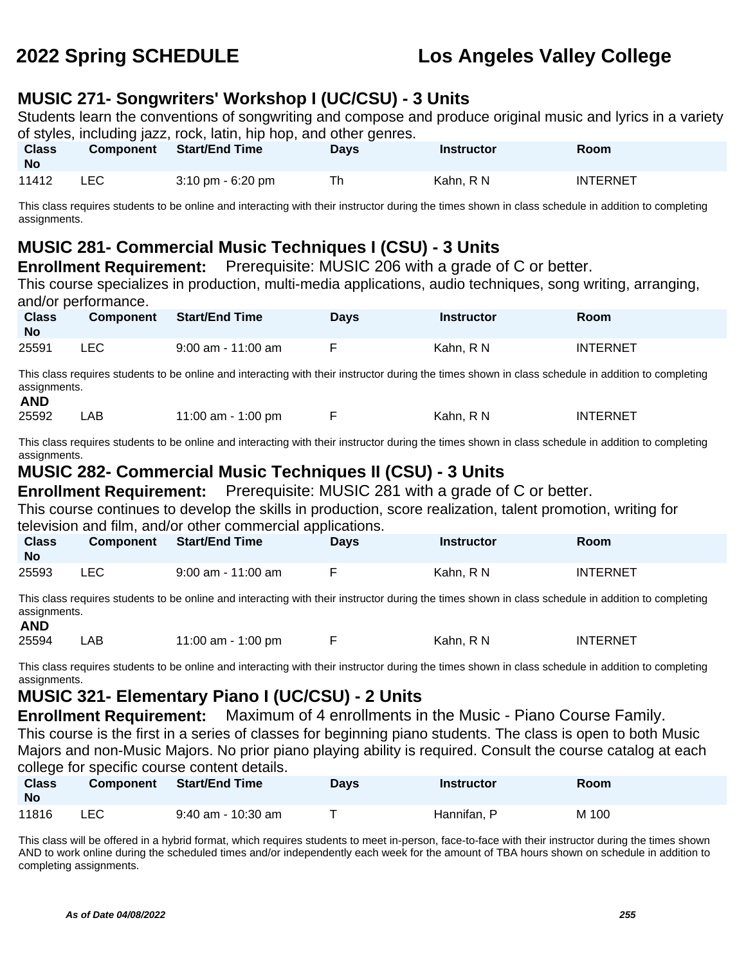## **MUSIC 271- Songwriters' Workshop I (UC/CSU) - 3 Units**

Students learn the conventions of songwriting and compose and produce original music and lyrics in a variety of styles, including jazz, rock, latin, hip hop, and other genres.

| <b>Class</b><br><b>No</b> | <b>Component</b> | <b>Start/End Time</b>               | Days | Instructor | Room            |
|---------------------------|------------------|-------------------------------------|------|------------|-----------------|
| 11412                     | LEC              | $3:10 \text{ pm} - 6:20 \text{ pm}$ | Th   | Kahn, R N  | <b>INTERNET</b> |

This class requires students to be online and interacting with their instructor during the times shown in class schedule in addition to completing assignments.

## **MUSIC 281- Commercial Music Techniques I (CSU) - 3 Units**

**Enrollment Requirement:** Prerequisite: MUSIC 206 with a grade of C or better.

This course specializes in production, multi-media applications, audio techniques, song writing, arranging, and/or performance.

| <b>Class</b><br><b>No</b> | <b>Component</b> | <b>Start/End Time</b> | Days | <b>Instructor</b> | Room            |
|---------------------------|------------------|-----------------------|------|-------------------|-----------------|
| 25591                     | LEC.             | $9:00$ am - 11:00 am  |      | Kahn. R N         | <b>INTERNET</b> |

This class requires students to be online and interacting with their instructor during the times shown in class schedule in addition to completing assignments. **AND**

| 25592 | LAB . | 11:00 am - 1:00 pm |  | Kahn. R N<br>______ | <b>INTERNET</b> |
|-------|-------|--------------------|--|---------------------|-----------------|
|-------|-------|--------------------|--|---------------------|-----------------|

This class requires students to be online and interacting with their instructor during the times shown in class schedule in addition to completing assignments.

### **MUSIC 282- Commercial Music Techniques II (CSU) - 3 Units**

**Enrollment Requirement:** Prerequisite: MUSIC 281 with a grade of C or better.

This course continues to develop the skills in production, score realization, talent promotion, writing for television and film, and/or other commercial applications.

| <b>Class</b><br><b>No</b> | <b>Component</b> | Start/End Time       | Days | Instructor | Room            |
|---------------------------|------------------|----------------------|------|------------|-----------------|
| 25593                     | LEC              | $9:00$ am - 11:00 am |      | Kahn. R N  | <b>INTERNET</b> |

This class requires students to be online and interacting with their instructor during the times shown in class schedule in addition to completing assignments.

**AND**

25594 LAB 11:00 am - 1:00 pm F Kahn, R N INTERNET

This class requires students to be online and interacting with their instructor during the times shown in class schedule in addition to completing assignments.

## **MUSIC 321- Elementary Piano I (UC/CSU) - 2 Units**

**Enrollment Requirement:** Maximum of 4 enrollments in the Music - Piano Course Family. This course is the first in a series of classes for beginning piano students. The class is open to both Music Majors and non-Music Majors. No prior piano playing ability is required. Consult the course catalog at each college for specific course content details.

| <b>Class</b><br><b>No</b> | <b>Component</b> | Start/End Time       | <b>Days</b> | Instructor  | Room  |
|---------------------------|------------------|----------------------|-------------|-------------|-------|
| 11816                     | <b>LEC</b>       | $9:40$ am - 10:30 am |             | Hannifan. P | M 100 |

This class will be offered in a hybrid format, which requires students to meet in-person, face-to-face with their instructor during the times shown AND to work online during the scheduled times and/or independently each week for the amount of TBA hours shown on schedule in addition to completing assignments.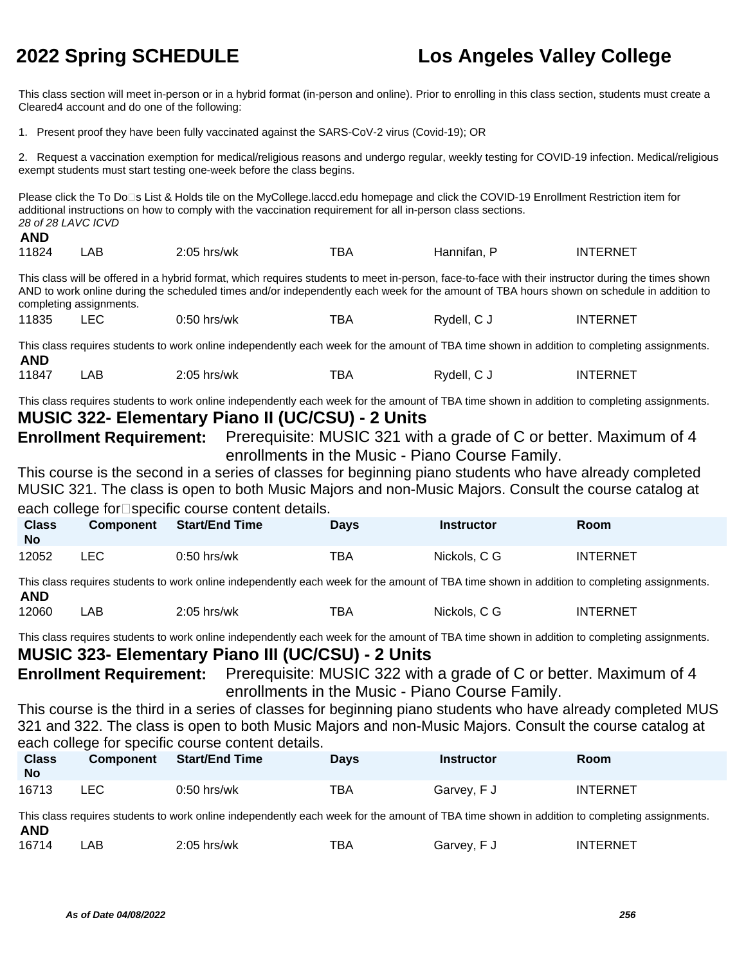This class section will meet in-person or in a hybrid format (in-person and online). Prior to enrolling in this class section, students must create a Cleared4 account and do one of the following:

1. Present proof they have been fully vaccinated against the SARS-CoV-2 virus (Covid-19); OR

2. Request a vaccination exemption for medical/religious reasons and undergo regular, weekly testing for COVID-19 infection. Medical/religious exempt students must start testing one-week before the class begins.

Please click the To Do□s List & Holds tile on the MyCollege.laccd.edu homepage and click the COVID-19 Enrollment Restriction item for additional instructions on how to comply with the vaccination requirement for all in-person class sections. 28 of 28 LAVC ICVD **AND**

|       |      | 2.05        | -- |          |             |
|-------|------|-------------|----|----------|-------------|
| 11824 | ∟AB. | hrs/wk<br>. | וט | ≧nnitan. | FRNF.<br>IN |

This class will be offered in a hybrid format, which requires students to meet in-person, face-to-face with their instructor during the times shown AND to work online during the scheduled times and/or independently each week for the amount of TBA hours shown on schedule in addition to completing assignments.

11835 LEC 0:50 hrs/wk TBA Rydell, C J INTERNET

This class requires students to work online independently each week for the amount of TBA time shown in addition to completing assignments. **AND**<br>11847

11847 LAB 2:05 hrs/wk TBA Rydell, C J INTERNET

This class requires students to work online independently each week for the amount of TBA time shown in addition to completing assignments. **MUSIC 322- Elementary Piano II (UC/CSU) - 2 Units**

**Enrollment Requirement:** Prerequisite: MUSIC 321 with a grade of C or better. Maximum of 4 enrollments in the Music - Piano Course Family.

This course is the second in a series of classes for beginning piano students who have already completed MUSIC 321. The class is open to both Music Majors and non-Music Majors. Consult the course catalog at each college for $\square$ specific course content details.

| <b>Class</b><br><b>No</b> | <b>Component</b> | <b>Start/End Time</b> | Days | <b>Instructor</b> | Room            |
|---------------------------|------------------|-----------------------|------|-------------------|-----------------|
| 12052                     | LEC              | $0:50$ hrs/wk         | тва  | Nickols, C G      | <b>INTERNET</b> |

This class requires students to work online independently each week for the amount of TBA time shown in addition to completing assignments. **AND**

12060 LAB 2:05 hrs/wk TBA Nickols, C G INTERNET

This class requires students to work online independently each week for the amount of TBA time shown in addition to completing assignments.

### **MUSIC 323- Elementary Piano III (UC/CSU) - 2 Units**

**Enrollment Requirement:** Prerequisite: MUSIC 322 with a grade of C or better. Maximum of 4 enrollments in the Music - Piano Course Family.

This course is the third in a series of classes for beginning piano students who have already completed MUS 321 and 322. The class is open to both Music Majors and non-Music Majors. Consult the course catalog at each college for specific course content details.

| <b>Class</b><br><b>No</b> | <b>Component</b> | <b>Start/End Time</b> | <b>Days</b> | <b>Instructor</b> | Room            |
|---------------------------|------------------|-----------------------|-------------|-------------------|-----------------|
| 16713                     | LEC              | $0:50$ hrs/wk         | TBA         | Garvey, F J       | <b>INTERNET</b> |

This class requires students to work online independently each week for the amount of TBA time shown in addition to completing assignments. **AND**

| <b>INTERNET</b><br>16714<br>тва<br>$2:05$ hrs/wk<br>AB<br>Garvey, F |  |
|---------------------------------------------------------------------|--|
|---------------------------------------------------------------------|--|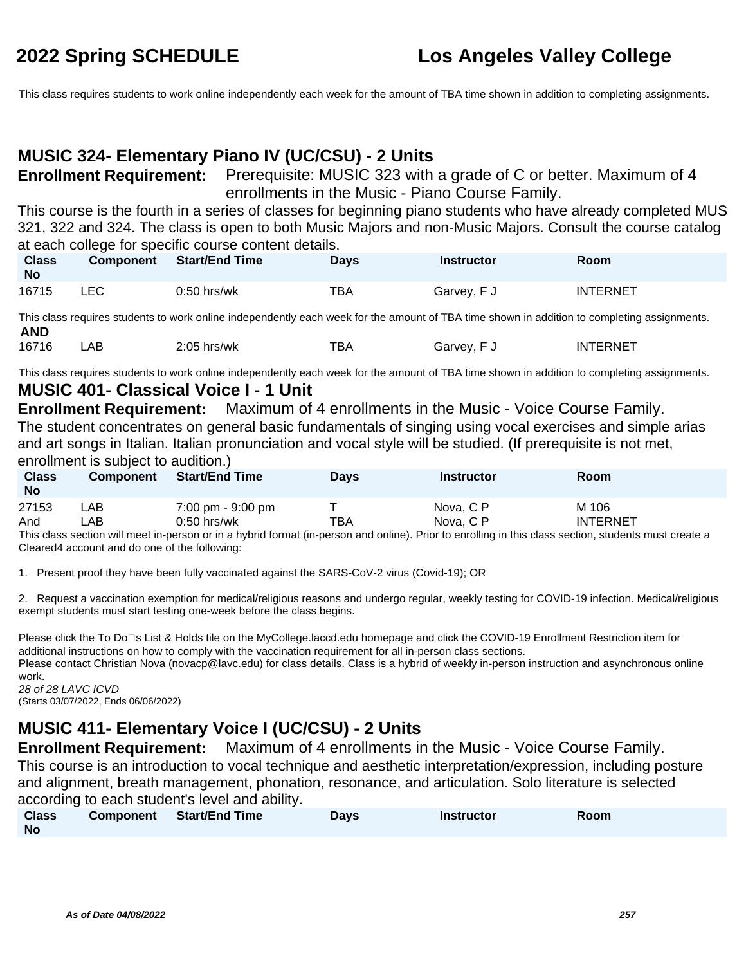This class requires students to work online independently each week for the amount of TBA time shown in addition to completing assignments.

### **MUSIC 324- Elementary Piano IV (UC/CSU) - 2 Units**

**Enrollment Requirement:** Prerequisite: MUSIC 323 with a grade of C or better. Maximum of 4 enrollments in the Music - Piano Course Family.

This course is the fourth in a series of classes for beginning piano students who have already completed MUS 321, 322 and 324. The class is open to both Music Majors and non-Music Majors. Consult the course catalog at each college for specific course content details.

| <b>Class</b><br><b>No</b> | <b>Component</b> | <b>Start/End Time</b> | Days | <b>Instructor</b> | Room            |
|---------------------------|------------------|-----------------------|------|-------------------|-----------------|
| 16715                     | LEC              | $0:50$ hrs/wk         | TBA  | Garvey, F J       | <b>INTERNET</b> |

This class requires students to work online independently each week for the amount of TBA time shown in addition to completing assignments. **AND**<br>16716

16716 LAB 2:05 hrs/wk TBA Garvey, F J INTERNET

This class requires students to work online independently each week for the amount of TBA time shown in addition to completing assignments.

### **MUSIC 401- Classical Voice I - 1 Unit**

**Enrollment Requirement:** Maximum of 4 enrollments in the Music - Voice Course Family. The student concentrates on general basic fundamentals of singing using vocal exercises and simple arias and art songs in Italian. Italian pronunciation and vocal style will be studied. (If prerequisite is not met, enrollment is subject to audition.)

| <b>Class</b><br><b>No</b> | <b>Component</b> | <b>Start/End Time</b>               | <b>Days</b> | <b>Instructor</b> | Room                                                                                                                                                                                                                                               |
|---------------------------|------------------|-------------------------------------|-------------|-------------------|----------------------------------------------------------------------------------------------------------------------------------------------------------------------------------------------------------------------------------------------------|
| 27153                     | LAB              | $7:00 \text{ pm} - 9:00 \text{ pm}$ |             | Nova, C P         | M 106                                                                                                                                                                                                                                              |
| And                       | LAB              | $0:50$ hrs/wk                       | тва         | Nova, C P<br>.    | <b>INTERNET</b><br>$\sim$ . The set of the set of the set of the set of the set of the set of the set of the set of the set of the set of the set of the set of the set of the set of the set of the set of the set of the set of the set of the s |

This class section will meet in-person or in a hybrid format (in-person and online). Prior to enrolling in this class section, students must create a Cleared4 account and do one of the following:

1. Present proof they have been fully vaccinated against the SARS-CoV-2 virus (Covid-19); OR

2. Request a vaccination exemption for medical/religious reasons and undergo regular, weekly testing for COVID-19 infection. Medical/religious exempt students must start testing one-week before the class begins.

Please click the To Do<sup>n</sup>s List & Holds tile on the MyCollege.laccd.edu homepage and click the COVID-19 Enrollment Restriction item for additional instructions on how to comply with the vaccination requirement for all in-person class sections. Please contact Christian Nova (novacp@lavc.edu) for class details. Class is a hybrid of weekly in-person instruction and asynchronous online

work. 28 of 28 LAVC ICVD

(Starts 03/07/2022, Ends 06/06/2022)

## **MUSIC 411- Elementary Voice I (UC/CSU) - 2 Units**

**Enrollment Requirement:** Maximum of 4 enrollments in the Music - Voice Course Family. This course is an introduction to vocal technique and aesthetic interpretation/expression, including posture and alignment, breath management, phonation, resonance, and articulation. Solo literature is selected according to each student's level and ability.

| <b>Class</b> | <b>Component</b> Start/End Time | <b>Days</b> | <b>Instructor</b> | Room |
|--------------|---------------------------------|-------------|-------------------|------|
| No           |                                 |             |                   |      |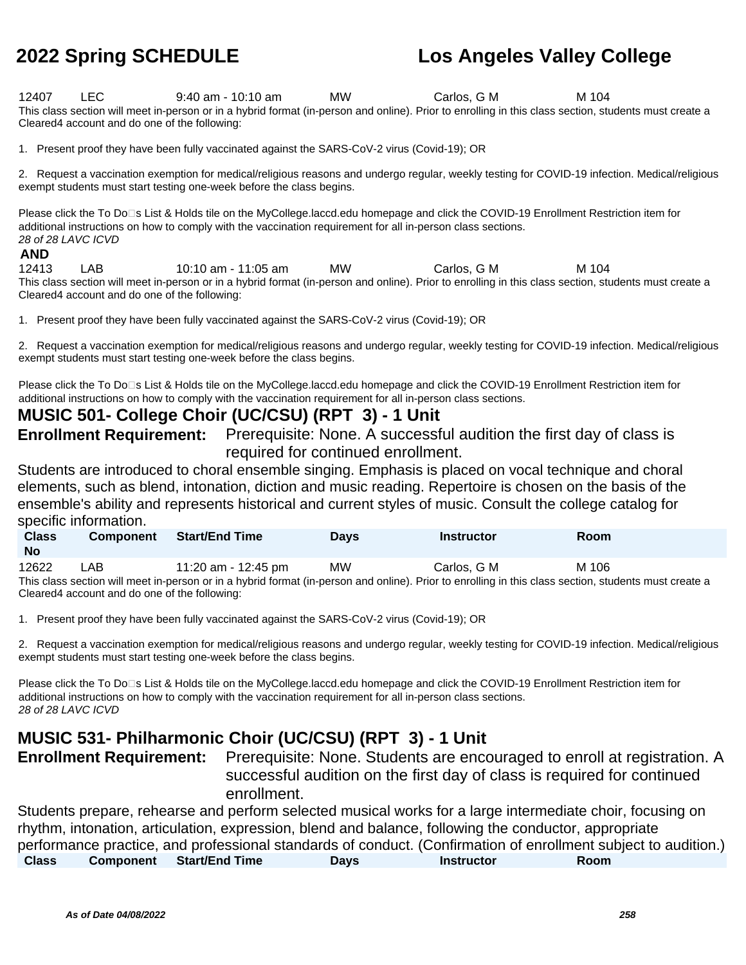12407 LEC 9:40 am - 10:10 am MW Carlos, G M M 104 This class section will meet in-person or in a hybrid format (in-person and online). Prior to enrolling in this class section, students must create a Cleared4 account and do one of the following:

1. Present proof they have been fully vaccinated against the SARS-CoV-2 virus (Covid-19); OR

2. Request a vaccination exemption for medical/religious reasons and undergo regular, weekly testing for COVID-19 infection. Medical/religious exempt students must start testing one-week before the class begins.

Please click the To Do⊡s List & Holds tile on the MyCollege.laccd.edu homepage and click the COVID-19 Enrollment Restriction item for additional instructions on how to comply with the vaccination requirement for all in-person class sections. 28 of 28 LAVC ICVD

### **AND**

12413 LAB 10:10 am - 11:05 am MW Carlos, G M M 104 This class section will meet in-person or in a hybrid format (in-person and online). Prior to enrolling in this class section, students must create a Cleared4 account and do one of the following:

1. Present proof they have been fully vaccinated against the SARS-CoV-2 virus (Covid-19); OR

2. Request a vaccination exemption for medical/religious reasons and undergo regular, weekly testing for COVID-19 infection. Medical/religious exempt students must start testing one-week before the class begins.

Please click the To Do⊡s List & Holds tile on the MyCollege.laccd.edu homepage and click the COVID-19 Enrollment Restriction item for additional instructions on how to comply with the vaccination requirement for all in-person class sections.

### **MUSIC 501- College Choir (UC/CSU) (RPT 3) - 1 Unit**

**Enrollment Requirement:** Prerequisite: None. A successful audition the first day of class is required for continued enrollment.

Students are introduced to choral ensemble singing. Emphasis is placed on vocal technique and choral elements, such as blend, intonation, diction and music reading. Repertoire is chosen on the basis of the ensemble's ability and represents historical and current styles of music. Consult the college catalog for specific information.

| <b>Class</b><br><b>No</b>                                                                                                                             | <b>Component</b> | <b>Start/End Time</b> | <b>Davs</b> | <b>Instructor</b> | <b>Room</b> |  |
|-------------------------------------------------------------------------------------------------------------------------------------------------------|------------------|-----------------------|-------------|-------------------|-------------|--|
| 12622                                                                                                                                                 | _AB_             | 11:20 am - 12:45 pm   | МW          | Carlos, G M       | M 106       |  |
| This class section will meet in-person or in a hybrid format (in-person and online). Prior to enrolling in this class section, students must create a |                  |                       |             |                   |             |  |
| Cleared4 account and do one of the following:                                                                                                         |                  |                       |             |                   |             |  |

1. Present proof they have been fully vaccinated against the SARS-CoV-2 virus (Covid-19); OR

2. Request a vaccination exemption for medical/religious reasons and undergo regular, weekly testing for COVID-19 infection. Medical/religious exempt students must start testing one-week before the class begins.

Please click the To Do<sup>n</sup>s List & Holds tile on the MyCollege.laccd.edu homepage and click the COVID-19 Enrollment Restriction item for additional instructions on how to comply with the vaccination requirement for all in-person class sections. 28 of 28 LAVC ICVD

### **MUSIC 531- Philharmonic Choir (UC/CSU) (RPT 3) - 1 Unit**

**Enrollment Requirement:** Prerequisite: None. Students are encouraged to enroll at registration. A successful audition on the first day of class is required for continued enrollment.

Students prepare, rehearse and perform selected musical works for a large intermediate choir, focusing on rhythm, intonation, articulation, expression, blend and balance, following the conductor, appropriate performance practice, and professional standards of conduct. (Confirmation of enrollment subject to audition.) **Class Component Start/End Time Days Instructor Room**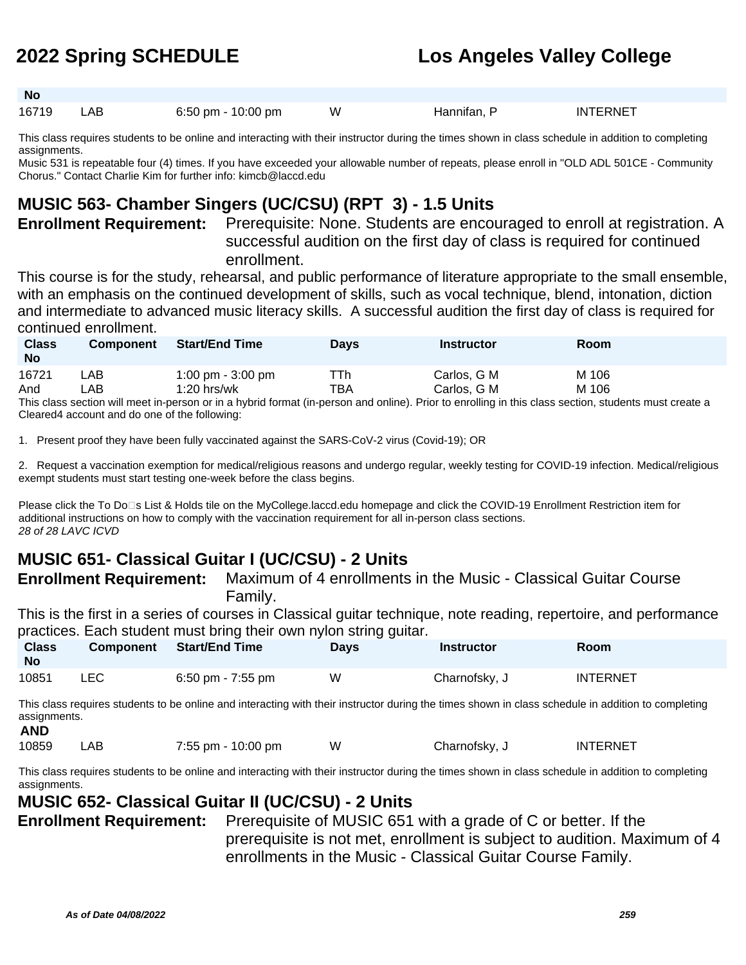**No** 16719 LAB 6:50 pm - 10:00 pm W Hannifan, P INTERNET

This class requires students to be online and interacting with their instructor during the times shown in class schedule in addition to completing assignments.

Music 531 is repeatable four (4) times. If you have exceeded your allowable number of repeats, please enroll in "OLD ADL 501CE - Community Chorus." Contact Charlie Kim for further info: kimcb@laccd.edu

## **MUSIC 563- Chamber Singers (UC/CSU) (RPT 3) - 1.5 Units**

**Enrollment Requirement:** Prerequisite: None. Students are encouraged to enroll at registration. A successful audition on the first day of class is required for continued enrollment.

This course is for the study, rehearsal, and public performance of literature appropriate to the small ensemble, with an emphasis on the continued development of skills, such as vocal technique, blend, intonation, diction and intermediate to advanced music literacy skills. A successful audition the first day of class is required for continued enrollment.

| <b>Class</b><br><b>No</b>                                                                                                                             | <b>Component</b> | <b>Start/End Time</b> | Davs | Instructor  | Room  |  |
|-------------------------------------------------------------------------------------------------------------------------------------------------------|------------------|-----------------------|------|-------------|-------|--|
| 16721                                                                                                                                                 | ∟AB⊹             | 1:00 pm $-$ 3:00 pm   | TTh. | Carlos, G M | M 106 |  |
| And                                                                                                                                                   | _AB.             | $1:20$ hrs/wk         | ТВА  | Carlos, G M | M 106 |  |
| This close soction will most in person or in a bybrid format (in person and opling). Prior to eprolling in this close soction, students must create a |                  |                       |      |             |       |  |

ierson or in a nybrid format (in-person and online). Prior to enrolling in this class section, students must create a Cleared4 account and do one of the following:

1. Present proof they have been fully vaccinated against the SARS-CoV-2 virus (Covid-19); OR

2. Request a vaccination exemption for medical/religious reasons and undergo regular, weekly testing for COVID-19 infection. Medical/religious exempt students must start testing one-week before the class begins.

Please click the To Do□s List & Holds tile on the MyCollege.laccd.edu homepage and click the COVID-19 Enrollment Restriction item for additional instructions on how to comply with the vaccination requirement for all in-person class sections. 28 of 28 LAVC ICVD

## **MUSIC 651- Classical Guitar I (UC/CSU) - 2 Units**

**Enrollment Requirement:** Maximum of 4 enrollments in the Music - Classical Guitar Course Family.

This is the first in a series of courses in Classical guitar technique, note reading, repertoire, and performance practices. Each student must bring their own nylon string guitar.

| <b>Class</b><br>No | <b>Component</b> | <b>Start/End Time</b> | ັັ<br><b>Days</b> | Instructor    | Room            |
|--------------------|------------------|-----------------------|-------------------|---------------|-----------------|
| 10851              | LEC              | $6:50$ pm - 7:55 pm   | W                 | Charnofsky, J | <b>INTERNET</b> |

This class requires students to be online and interacting with their instructor during the times shown in class schedule in addition to completing assignments.

| 10859 | 7:55 pm - 10:00 pm | Charnofsky, J | <b>INTERNET</b> |
|-------|--------------------|---------------|-----------------|

This class requires students to be online and interacting with their instructor during the times shown in class schedule in addition to completing assignments.

### **MUSIC 652- Classical Guitar II (UC/CSU) - 2 Units**

**Enrollment Requirement:** Prerequisite of MUSIC 651 with a grade of C or better. If the prerequisite is not met, enrollment is subject to audition. Maximum of 4 enrollments in the Music - Classical Guitar Course Family.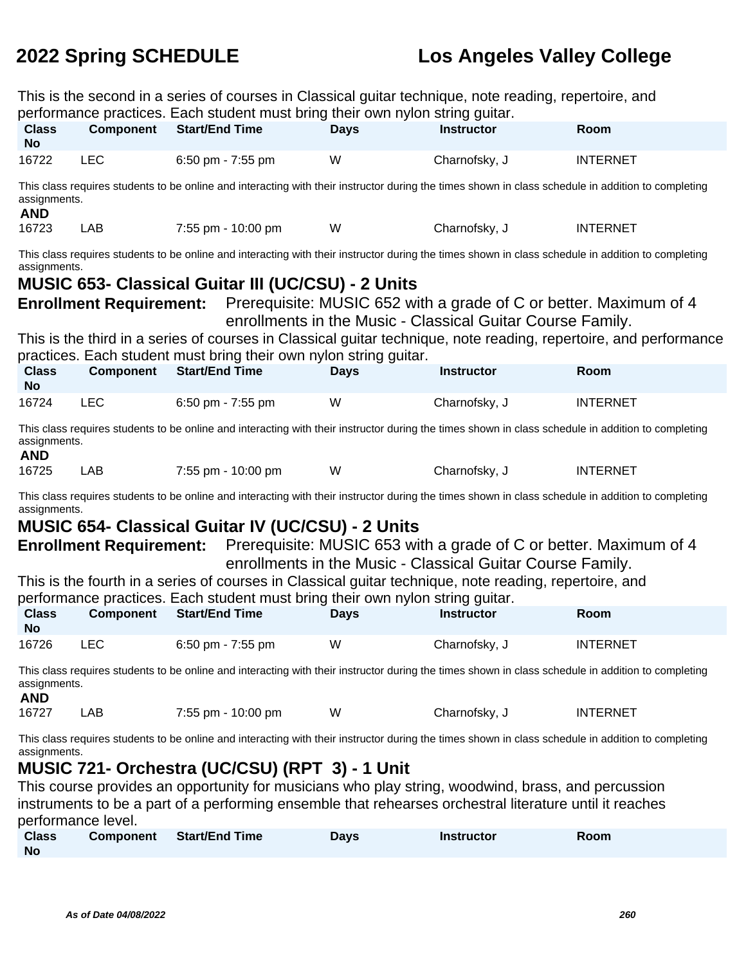| This is the second in a series of courses in Classical guitar technique, note reading, repertoire, and<br>performance practices. Each student must bring their own nylon string guitar. |                                                                                                         |                                                                                                                                                    |             |                                                                                                                                 |                                                                                                                   |  |
|-----------------------------------------------------------------------------------------------------------------------------------------------------------------------------------------|---------------------------------------------------------------------------------------------------------|----------------------------------------------------------------------------------------------------------------------------------------------------|-------------|---------------------------------------------------------------------------------------------------------------------------------|-------------------------------------------------------------------------------------------------------------------|--|
| <b>Class</b><br><b>No</b>                                                                                                                                                               | <b>Component</b>                                                                                        | <b>Start/End Time</b>                                                                                                                              | <b>Days</b> | <b>Instructor</b>                                                                                                               | Room                                                                                                              |  |
| 16722                                                                                                                                                                                   | <b>LEC</b>                                                                                              | 6:50 pm - 7:55 pm                                                                                                                                  | W           | Charnofsky, J                                                                                                                   | <b>INTERNET</b>                                                                                                   |  |
| assignments.<br><b>AND</b>                                                                                                                                                              |                                                                                                         | This class requires students to be online and interacting with their instructor during the times shown in class schedule in addition to completing |             |                                                                                                                                 |                                                                                                                   |  |
| 16723                                                                                                                                                                                   | LAB                                                                                                     | 7:55 pm - 10:00 pm                                                                                                                                 | W           | Charnofsky, J                                                                                                                   | <b>INTERNET</b>                                                                                                   |  |
| assignments.                                                                                                                                                                            |                                                                                                         | This class requires students to be online and interacting with their instructor during the times shown in class schedule in addition to completing |             |                                                                                                                                 |                                                                                                                   |  |
|                                                                                                                                                                                         |                                                                                                         | <b>MUSIC 653- Classical Guitar III (UC/CSU) - 2 Units</b>                                                                                          |             |                                                                                                                                 |                                                                                                                   |  |
|                                                                                                                                                                                         | <b>Enrollment Requirement:</b>                                                                          |                                                                                                                                                    |             | Prerequisite: MUSIC 652 with a grade of C or better. Maximum of 4<br>enrollments in the Music - Classical Guitar Course Family. |                                                                                                                   |  |
|                                                                                                                                                                                         |                                                                                                         |                                                                                                                                                    |             |                                                                                                                                 | This is the third in a series of courses in Classical guitar technique, note reading, repertoire, and performance |  |
| <b>Class</b>                                                                                                                                                                            | <b>Component</b>                                                                                        | practices. Each student must bring their own nylon string quitar.<br><b>Start/End Time</b>                                                         | <b>Days</b> | <b>Instructor</b>                                                                                                               | Room                                                                                                              |  |
| <b>No</b>                                                                                                                                                                               |                                                                                                         |                                                                                                                                                    |             |                                                                                                                                 |                                                                                                                   |  |
| 16724                                                                                                                                                                                   | <b>LEC</b>                                                                                              | 6:50 pm - 7:55 pm                                                                                                                                  | W           | Charnofsky, J                                                                                                                   | <b>INTERNET</b>                                                                                                   |  |
| assignments.<br><b>AND</b>                                                                                                                                                              |                                                                                                         | This class requires students to be online and interacting with their instructor during the times shown in class schedule in addition to completing |             |                                                                                                                                 |                                                                                                                   |  |
| 16725                                                                                                                                                                                   | LAB                                                                                                     | 7:55 pm - 10:00 pm                                                                                                                                 | W           | Charnofsky, J                                                                                                                   | <b>INTERNET</b>                                                                                                   |  |
| assignments.                                                                                                                                                                            |                                                                                                         | This class requires students to be online and interacting with their instructor during the times shown in class schedule in addition to completing |             |                                                                                                                                 |                                                                                                                   |  |
|                                                                                                                                                                                         |                                                                                                         | <b>MUSIC 654- Classical Guitar IV (UC/CSU) - 2 Units</b>                                                                                           |             |                                                                                                                                 |                                                                                                                   |  |
|                                                                                                                                                                                         | <b>Enrollment Requirement:</b>                                                                          |                                                                                                                                                    |             | Prerequisite: MUSIC 653 with a grade of C or better. Maximum of 4<br>enrollments in the Music - Classical Guitar Course Family. |                                                                                                                   |  |
|                                                                                                                                                                                         |                                                                                                         | This is the fourth in a series of courses in Classical guitar technique, note reading, repertoire, and                                             |             |                                                                                                                                 |                                                                                                                   |  |
| <b>Class</b>                                                                                                                                                                            | <b>Component</b>                                                                                        | performance practices. Each student must bring their own nylon string guitar.<br><b>Start/End Time</b>                                             | <b>Days</b> | <b>Instructor</b>                                                                                                               | Room                                                                                                              |  |
| No.                                                                                                                                                                                     |                                                                                                         |                                                                                                                                                    |             |                                                                                                                                 |                                                                                                                   |  |
| 16726                                                                                                                                                                                   | <b>LEC</b>                                                                                              | 6:50 pm - 7:55 pm                                                                                                                                  | W           | Charnofsky, J                                                                                                                   | <b>INTERNET</b>                                                                                                   |  |
| assignments.<br><b>AND</b>                                                                                                                                                              |                                                                                                         | This class requires students to be online and interacting with their instructor during the times shown in class schedule in addition to completing |             |                                                                                                                                 |                                                                                                                   |  |
| 16727                                                                                                                                                                                   | <b>LAB</b>                                                                                              | 7:55 pm - 10:00 pm                                                                                                                                 | W           | Charnofsky, J                                                                                                                   | <b>INTERNET</b>                                                                                                   |  |
| assignments.                                                                                                                                                                            |                                                                                                         | This class requires students to be online and interacting with their instructor during the times shown in class schedule in addition to completing |             |                                                                                                                                 |                                                                                                                   |  |
|                                                                                                                                                                                         |                                                                                                         | MUSIC 721- Orchestra (UC/CSU) (RPT 3) - 1 Unit                                                                                                     |             |                                                                                                                                 |                                                                                                                   |  |
| This course provides an opportunity for musicians who play string, woodwind, brass, and percussion                                                                                      |                                                                                                         |                                                                                                                                                    |             |                                                                                                                                 |                                                                                                                   |  |
|                                                                                                                                                                                         | instruments to be a part of a performing ensemble that rehearses orchestral literature until it reaches |                                                                                                                                                    |             |                                                                                                                                 |                                                                                                                   |  |
| <b>Class</b>                                                                                                                                                                            | performance level.<br><b>Component</b>                                                                  | <b>Start/End Time</b>                                                                                                                              | <b>Days</b> | <b>Instructor</b>                                                                                                               | Room                                                                                                              |  |
| <b>No</b>                                                                                                                                                                               |                                                                                                         |                                                                                                                                                    |             |                                                                                                                                 |                                                                                                                   |  |
|                                                                                                                                                                                         |                                                                                                         |                                                                                                                                                    |             |                                                                                                                                 |                                                                                                                   |  |
|                                                                                                                                                                                         |                                                                                                         |                                                                                                                                                    |             |                                                                                                                                 |                                                                                                                   |  |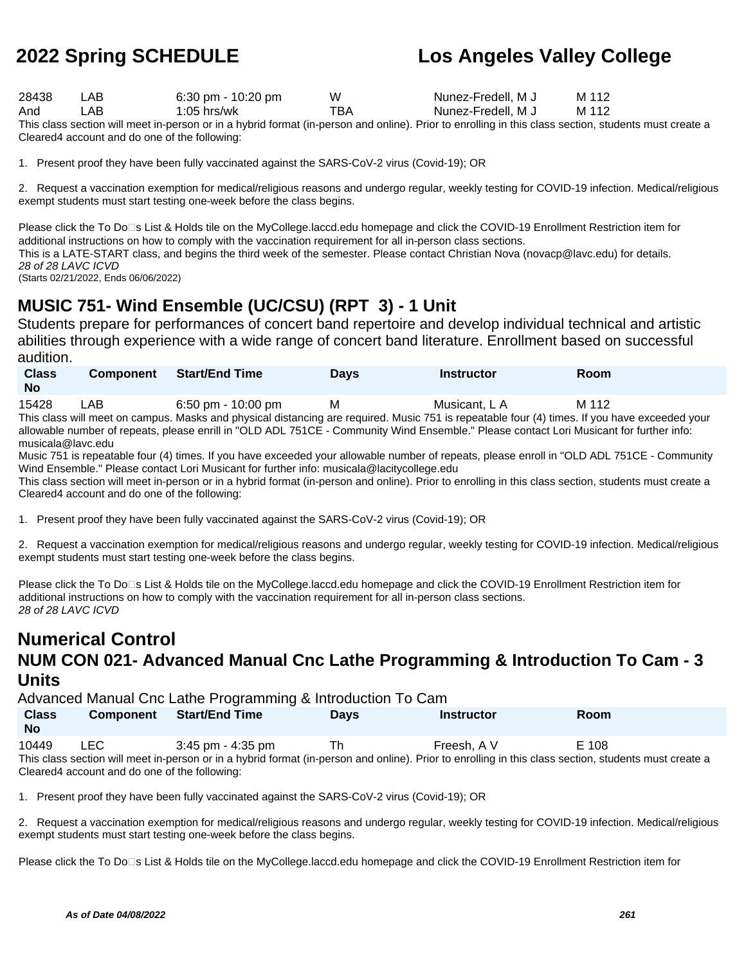| 28438 | LAB. | 6:30 pm - $10:20$ pm | w   | Nunez-Fredell, M J | M 112 |
|-------|------|----------------------|-----|--------------------|-------|
| And   | ∟AB⊣ | 1:05 hrs/wk          | TBA | Nunez-Fredell, M J | M 112 |

This class section will meet in-person or in a hybrid format (in-person and online). Prior to enrolling in this class section, students must create a Cleared4 account and do one of the following:

1. Present proof they have been fully vaccinated against the SARS-CoV-2 virus (Covid-19); OR

2. Request a vaccination exemption for medical/religious reasons and undergo regular, weekly testing for COVID-19 infection. Medical/religious exempt students must start testing one-week before the class begins.

Please click the To Do⊡s List & Holds tile on the MyCollege.laccd.edu homepage and click the COVID-19 Enrollment Restriction item for additional instructions on how to comply with the vaccination requirement for all in-person class sections.

This is a LATE-START class, and begins the third week of the semester. Please contact Christian Nova (novacp@lavc.edu) for details. 28 of 28 LAVC ICVD

(Starts 02/21/2022, Ends 06/06/2022)

## **MUSIC 751- Wind Ensemble (UC/CSU) (RPT 3) - 1 Unit**

Students prepare for performances of concert band repertoire and develop individual technical and artistic abilities through experience with a wide range of concert band literature. Enrollment based on successful audition.

| <b>Class</b><br><b>No</b> | <b>Component</b> | Start/End Time          | <b>Days</b> | Instructor         | Room  |  |
|---------------------------|------------------|-------------------------|-------------|--------------------|-------|--|
| 15428                     | LAB              | 6:50 pm - 10:00 pm<br>. | м           | Musicant. L A<br>. | M 112 |  |

This class will meet on campus. Masks and physical distancing are required. Music 751 is repeatable four (4) times. If you have exceeded your allowable number of repeats, please enrill in "OLD ADL 751CE - Community Wind Ensemble." Please contact Lori Musicant for further info: musicala@lavc.edu

Music 751 is repeatable four (4) times. If you have exceeded your allowable number of repeats, please enroll in "OLD ADL 751CE - Community Wind Ensemble." Please contact Lori Musicant for further info: musicala@lacitycollege.edu

This class section will meet in-person or in a hybrid format (in-person and online). Prior to enrolling in this class section, students must create a Cleared4 account and do one of the following:

1. Present proof they have been fully vaccinated against the SARS-CoV-2 virus (Covid-19); OR

2. Request a vaccination exemption for medical/religious reasons and undergo regular, weekly testing for COVID-19 infection. Medical/religious exempt students must start testing one-week before the class begins.

Please click the To Do⊡s List & Holds tile on the MyCollege.laccd.edu homepage and click the COVID-19 Enrollment Restriction item for additional instructions on how to comply with the vaccination requirement for all in-person class sections. 28 of 28 LAVC ICVD

## **Numerical Control NUM CON 021- Advanced Manual Cnc Lathe Programming & Introduction To Cam - 3 Units**

Advanced Manual Cnc Lathe Programming & Introduction To Cam

| <b>Class</b><br><b>No</b> | Component  | Start/End Time        | Davs | <b>Instructor</b> | Room                                                                                                                                                                                                                                    |  |
|---------------------------|------------|-----------------------|------|-------------------|-----------------------------------------------------------------------------------------------------------------------------------------------------------------------------------------------------------------------------------------|--|
| 10449                     | <b>LEC</b> | $3:45$ pm - $4:35$ pm | Th   | Freesh. A V       | E 108<br>This share control will be controlled to be belief all frames for a control of the Date of a considered the state of control control construction of a construction of the best of the state of the construction of the best o |  |

This class section will meet in-person or in a hybrid format (in-person and online). Prior to enrolling in this class section, students must create a Cleared4 account and do one of the following:

1. Present proof they have been fully vaccinated against the SARS-CoV-2 virus (Covid-19); OR

2. Request a vaccination exemption for medical/religious reasons and undergo regular, weekly testing for COVID-19 infection. Medical/religious exempt students must start testing one-week before the class begins.

Please click the To Do<sup>n</sup>s List & Holds tile on the MyCollege.laccd.edu homepage and click the COVID-19 Enrollment Restriction item for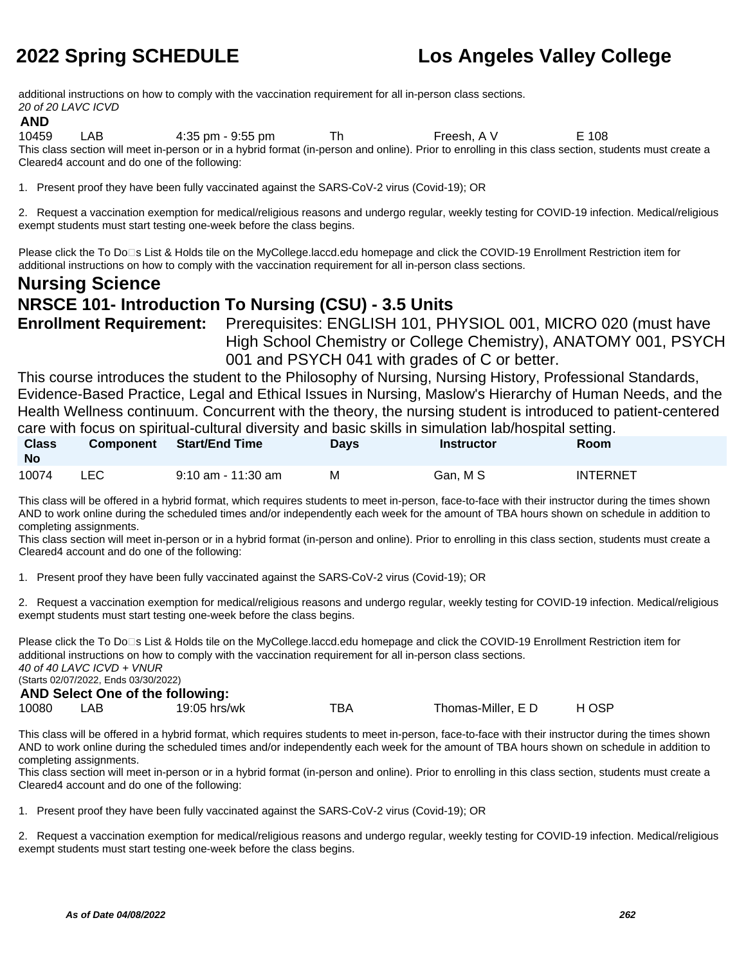additional instructions on how to comply with the vaccination requirement for all in-person class sections. 20 of 20 LAVC ICVD

### **AND**

10459 LAB 4:35 pm - 9:55 pm Th Freesh, A V E 108 This class section will meet in-person or in a hybrid format (in-person and online). Prior to enrolling in this class section, students must create a Cleared4 account and do one of the following:

1. Present proof they have been fully vaccinated against the SARS-CoV-2 virus (Covid-19); OR

2. Request a vaccination exemption for medical/religious reasons and undergo regular, weekly testing for COVID-19 infection. Medical/religious exempt students must start testing one-week before the class begins.

Please click the To Do<sup>n</sup>s List & Holds tile on the MyCollege.laccd.edu homepage and click the COVID-19 Enrollment Restriction item for additional instructions on how to comply with the vaccination requirement for all in-person class sections.

## **Nursing Science NRSCE 101- Introduction To Nursing (CSU) - 3.5 Units Enrollment Requirement:** Prerequisites: ENGLISH 101, PHYSIOL 001, MICRO 020 (must have

High School Chemistry or College Chemistry), ANATOMY 001, PSYCH 001 and PSYCH 041 with grades of C or better.

This course introduces the student to the Philosophy of Nursing, Nursing History, Professional Standards, Evidence-Based Practice, Legal and Ethical Issues in Nursing, Maslow's Hierarchy of Human Needs, and the Health Wellness continuum. Concurrent with the theory, the nursing student is introduced to patient-centered care with focus on spiritual-cultural diversity and basic skills in simulation lab/hospital setting.

| <b>Class</b><br><b>No</b> | <b>Component</b> | Start/End Time     | Days | <b>Instructor</b> | Room            |
|---------------------------|------------------|--------------------|------|-------------------|-----------------|
| 10074                     |                  | 9:10 am - 11:30 am | м    | Gan, M S          | <b>INTERNET</b> |

This class will be offered in a hybrid format, which requires students to meet in-person, face-to-face with their instructor during the times shown AND to work online during the scheduled times and/or independently each week for the amount of TBA hours shown on schedule in addition to completing assignments.

This class section will meet in-person or in a hybrid format (in-person and online). Prior to enrolling in this class section, students must create a Cleared4 account and do one of the following:

1. Present proof they have been fully vaccinated against the SARS-CoV-2 virus (Covid-19); OR

2. Request a vaccination exemption for medical/religious reasons and undergo regular, weekly testing for COVID-19 infection. Medical/religious exempt students must start testing one-week before the class begins.

Please click the To Do□s List & Holds tile on the MyCollege.laccd.edu homepage and click the COVID-19 Enrollment Restriction item for additional instructions on how to comply with the vaccination requirement for all in-person class sections. 40 of 40 LAVC ICVD + VNUR (Starts 02/07/2022, Ends 03/30/2022) **AND Select One of the following:** 10080 LAB 19:05 hrs/wk TBA Thomas-Miller, E D H OSP

This class will be offered in a hybrid format, which requires students to meet in-person, face-to-face with their instructor during the times shown AND to work online during the scheduled times and/or independently each week for the amount of TBA hours shown on schedule in addition to completing assignments.

This class section will meet in-person or in a hybrid format (in-person and online). Prior to enrolling in this class section, students must create a Cleared4 account and do one of the following:

1. Present proof they have been fully vaccinated against the SARS-CoV-2 virus (Covid-19); OR

2. Request a vaccination exemption for medical/religious reasons and undergo regular, weekly testing for COVID-19 infection. Medical/religious exempt students must start testing one-week before the class begins.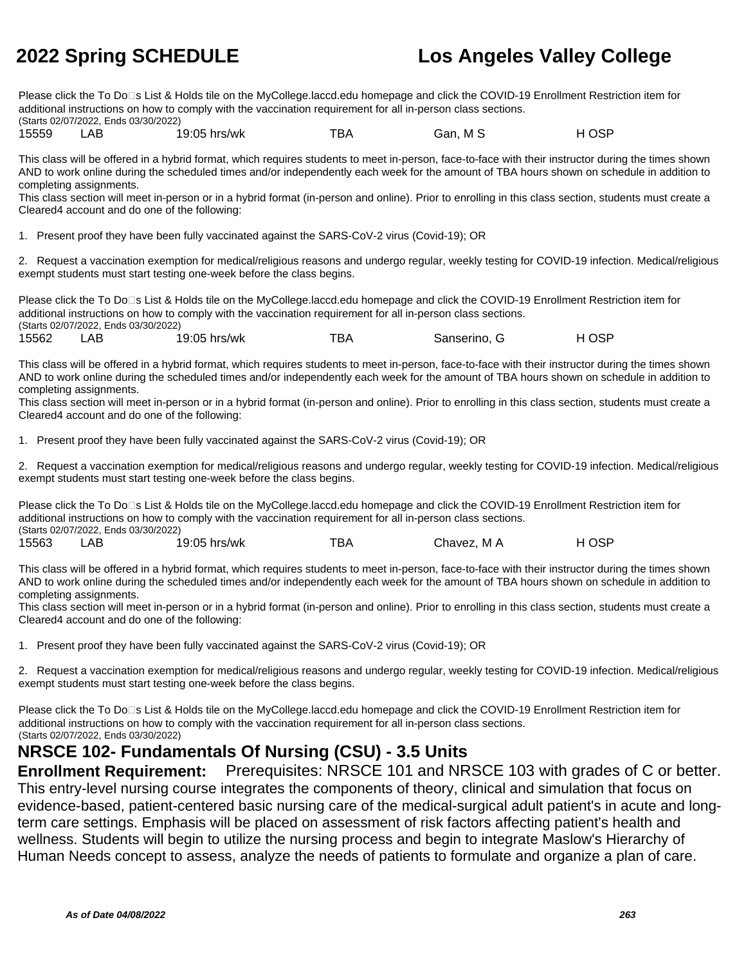Please click the To Do□s List & Holds tile on the MyCollege.laccd.edu homepage and click the COVID-19 Enrollment Restriction item for additional instructions on how to comply with the vaccination requirement for all in-person class sections. (Starts 02/07/2022, Ends 03/30/2022)

15559 LAB 19:05 hrs/wk TBA Gan, M S H OSP

This class will be offered in a hybrid format, which requires students to meet in-person, face-to-face with their instructor during the times shown AND to work online during the scheduled times and/or independently each week for the amount of TBA hours shown on schedule in addition to completing assignments.

This class section will meet in-person or in a hybrid format (in-person and online). Prior to enrolling in this class section, students must create a Cleared4 account and do one of the following:

1. Present proof they have been fully vaccinated against the SARS-CoV-2 virus (Covid-19); OR

2. Request a vaccination exemption for medical/religious reasons and undergo regular, weekly testing for COVID-19 infection. Medical/religious exempt students must start testing one-week before the class begins.

Please click the To Do<sup>n</sup>s List & Holds tile on the MyCollege.laccd.edu homepage and click the COVID-19 Enrollment Restriction item for additional instructions on how to comply with the vaccination requirement for all in-person class sections. (Starts 02/07/2022, Ends 03/30/2022)

15562 LAB 19:05 hrs/wk TBA Sanserino, G H OSP

This class will be offered in a hybrid format, which requires students to meet in-person, face-to-face with their instructor during the times shown AND to work online during the scheduled times and/or independently each week for the amount of TBA hours shown on schedule in addition to completing assignments.

This class section will meet in-person or in a hybrid format (in-person and online). Prior to enrolling in this class section, students must create a Cleared4 account and do one of the following:

1. Present proof they have been fully vaccinated against the SARS-CoV-2 virus (Covid-19); OR

2. Request a vaccination exemption for medical/religious reasons and undergo regular, weekly testing for COVID-19 infection. Medical/religious exempt students must start testing one-week before the class begins.

Please click the To Do□s List & Holds tile on the MyCollege.laccd.edu homepage and click the COVID-19 Enrollment Restriction item for additional instructions on how to comply with the vaccination requirement for all in-person class sections. (Starts 02/07/2022, Ends 03/30/2022)

15563 LAB 19:05 hrs/wk TBA Chavez, M A H OSP

This class will be offered in a hybrid format, which requires students to meet in-person, face-to-face with their instructor during the times shown AND to work online during the scheduled times and/or independently each week for the amount of TBA hours shown on schedule in addition to completing assignments.

This class section will meet in-person or in a hybrid format (in-person and online). Prior to enrolling in this class section, students must create a Cleared4 account and do one of the following:

1. Present proof they have been fully vaccinated against the SARS-CoV-2 virus (Covid-19); OR

2. Request a vaccination exemption for medical/religious reasons and undergo regular, weekly testing for COVID-19 infection. Medical/religious exempt students must start testing one-week before the class begins.

Please click the To Do⊡s List & Holds tile on the MyCollege.laccd.edu homepage and click the COVID-19 Enrollment Restriction item for additional instructions on how to comply with the vaccination requirement for all in-person class sections. (Starts 02/07/2022, Ends 03/30/2022)

### **NRSCE 102- Fundamentals Of Nursing (CSU) - 3.5 Units**

**Enrollment Requirement:** Prerequisites: NRSCE 101 and NRSCE 103 with grades of C or better. This entry-level nursing course integrates the components of theory, clinical and simulation that focus on evidence-based, patient-centered basic nursing care of the medical-surgical adult patient's in acute and longterm care settings. Emphasis will be placed on assessment of risk factors affecting patient's health and wellness. Students will begin to utilize the nursing process and begin to integrate Maslow's Hierarchy of Human Needs concept to assess, analyze the needs of patients to formulate and organize a plan of care.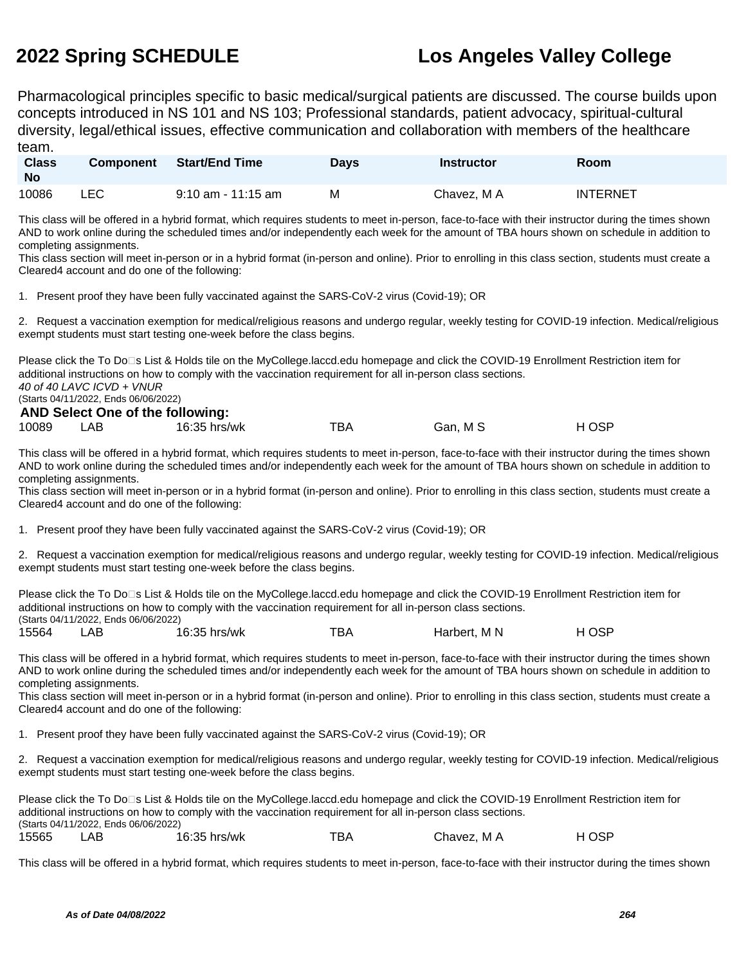Pharmacological principles specific to basic medical/surgical patients are discussed. The course builds upon concepts introduced in NS 101 and NS 103; Professional standards, patient advocacy, spiritual-cultural diversity, legal/ethical issues, effective communication and collaboration with members of the healthcare team.

| <b>Class</b><br><b>No</b> | <b>Component</b> | <b>Start/End Time</b> | Davs | Instructor  | <b>Room</b>     |
|---------------------------|------------------|-----------------------|------|-------------|-----------------|
| 10086                     | ∟EC l            | $9:10$ am - 11:15 am  | M    | Chavez, M A | <b>INTERNET</b> |

This class will be offered in a hybrid format, which requires students to meet in-person, face-to-face with their instructor during the times shown AND to work online during the scheduled times and/or independently each week for the amount of TBA hours shown on schedule in addition to completing assignments.

This class section will meet in-person or in a hybrid format (in-person and online). Prior to enrolling in this class section, students must create a Cleared4 account and do one of the following:

1. Present proof they have been fully vaccinated against the SARS-CoV-2 virus (Covid-19); OR

2. Request a vaccination exemption for medical/religious reasons and undergo regular, weekly testing for COVID-19 infection. Medical/religious exempt students must start testing one-week before the class begins.

Please click the To Do<sup>n</sup>s List & Holds tile on the MyCollege.laccd.edu homepage and click the COVID-19 Enrollment Restriction item for additional instructions on how to comply with the vaccination requirement for all in-person class sections. 40 of 40 LAVC ICVD + VNUR (Starts 04/11/2022, Ends 06/06/2022)

### **AND Select One of the following:**

| 10089 | LAB | 16:35 hrs/wk | TBA | Gan, M S | H OSP |
|-------|-----|--------------|-----|----------|-------|

This class will be offered in a hybrid format, which requires students to meet in-person, face-to-face with their instructor during the times shown AND to work online during the scheduled times and/or independently each week for the amount of TBA hours shown on schedule in addition to completing assignments.

This class section will meet in-person or in a hybrid format (in-person and online). Prior to enrolling in this class section, students must create a Cleared4 account and do one of the following:

1. Present proof they have been fully vaccinated against the SARS-CoV-2 virus (Covid-19); OR

2. Request a vaccination exemption for medical/religious reasons and undergo regular, weekly testing for COVID-19 infection. Medical/religious exempt students must start testing one-week before the class begins.

Please click the To Do⊡s List & Holds tile on the MyCollege.laccd.edu homepage and click the COVID-19 Enrollment Restriction item for additional instructions on how to comply with the vaccination requirement for all in-person class sections. (Starts 04/11/2022, Ends 06/06/2022) 15564 LAB 16:35 hrs/wk TBA Harbert, M N HOSP

This class will be offered in a hybrid format, which requires students to meet in-person, face-to-face with their instructor during the times shown AND to work online during the scheduled times and/or independently each week for the amount of TBA hours shown on schedule in addition to completing assignments.

This class section will meet in-person or in a hybrid format (in-person and online). Prior to enrolling in this class section, students must create a Cleared4 account and do one of the following:

1. Present proof they have been fully vaccinated against the SARS-CoV-2 virus (Covid-19); OR

2. Request a vaccination exemption for medical/religious reasons and undergo regular, weekly testing for COVID-19 infection. Medical/religious exempt students must start testing one-week before the class begins.

Please click the To Do⊡s List & Holds tile on the MyCollege.laccd.edu homepage and click the COVID-19 Enrollment Restriction item for additional instructions on how to comply with the vaccination requirement for all in-person class sections. (Starts 04/11/2022, Ends 06/06/2022) 15565 LAB 16:35 hrs/wk TBA Chavez, M A H OSP

This class will be offered in a hybrid format, which requires students to meet in-person, face-to-face with their instructor during the times shown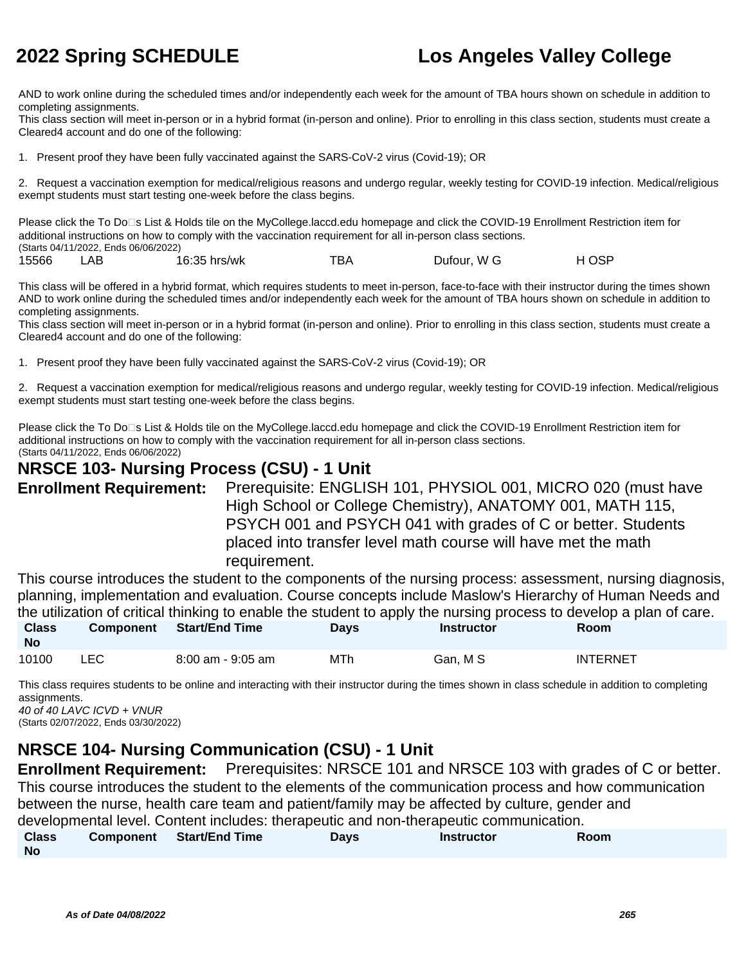AND to work online during the scheduled times and/or independently each week for the amount of TBA hours shown on schedule in addition to completing assignments.

This class section will meet in-person or in a hybrid format (in-person and online). Prior to enrolling in this class section, students must create a Cleared4 account and do one of the following:

1. Present proof they have been fully vaccinated against the SARS-CoV-2 virus (Covid-19); OR

2. Request a vaccination exemption for medical/religious reasons and undergo regular, weekly testing for COVID-19 infection. Medical/religious exempt students must start testing one-week before the class begins.

Please click the To Do⊡s List & Holds tile on the MyCollege.laccd.edu homepage and click the COVID-19 Enrollment Restriction item for additional instructions on how to comply with the vaccination requirement for all in-person class sections. (Starts 04/11/2022, Ends 06/06/2022)

| 15566 | _AB | 16:35 hrs/wk | тва | Dufour, W G | H OSP |
|-------|-----|--------------|-----|-------------|-------|

This class will be offered in a hybrid format, which requires students to meet in-person, face-to-face with their instructor during the times shown AND to work online during the scheduled times and/or independently each week for the amount of TBA hours shown on schedule in addition to completing assignments.

This class section will meet in-person or in a hybrid format (in-person and online). Prior to enrolling in this class section, students must create a Cleared4 account and do one of the following:

1. Present proof they have been fully vaccinated against the SARS-CoV-2 virus (Covid-19); OR

2. Request a vaccination exemption for medical/religious reasons and undergo regular, weekly testing for COVID-19 infection. Medical/religious exempt students must start testing one-week before the class begins.

Please click the To Do<sup>n</sup>s List & Holds tile on the MyCollege.laccd.edu homepage and click the COVID-19 Enrollment Restriction item for additional instructions on how to comply with the vaccination requirement for all in-person class sections.

(Starts 04/11/2022, Ends 06/06/2022)

### **NRSCE 103- Nursing Process (CSU) - 1 Unit**

**Enrollment Requirement:** Prerequisite: ENGLISH 101, PHYSIOL 001, MICRO 020 (must have High School or College Chemistry), ANATOMY 001, MATH 115, PSYCH 001 and PSYCH 041 with grades of C or better. Students placed into transfer level math course will have met the math requirement.

This course introduces the student to the components of the nursing process: assessment, nursing diagnosis, planning, implementation and evaluation. Course concepts include Maslow's Hierarchy of Human Needs and the utilization of critical thinking to enable the student to apply the nursing process to develop a plan of care. **Class Component Start/End Time Days Instructor Room**

| <b>No</b> |     |                   |     |          |                 |
|-----------|-----|-------------------|-----|----------|-----------------|
| 10100     | LEC | 8:00 am - 9:05 am | MTh | Gan, M S | <b>INTERNET</b> |

This class requires students to be online and interacting with their instructor during the times shown in class schedule in addition to completing assignments.

40 of 40 LAVC ICVD + VNUR (Starts 02/07/2022, Ends 03/30/2022)

### **NRSCE 104- Nursing Communication (CSU) - 1 Unit**

**Enrollment Requirement:** Prerequisites: NRSCE 101 and NRSCE 103 with grades of C or better. This course introduces the student to the elements of the communication process and how communication between the nurse, health care team and patient/family may be affected by culture, gender and developmental level. Content includes: therapeutic and non-therapeutic communication. **Class No Component Start/End Time Days Instructor Room**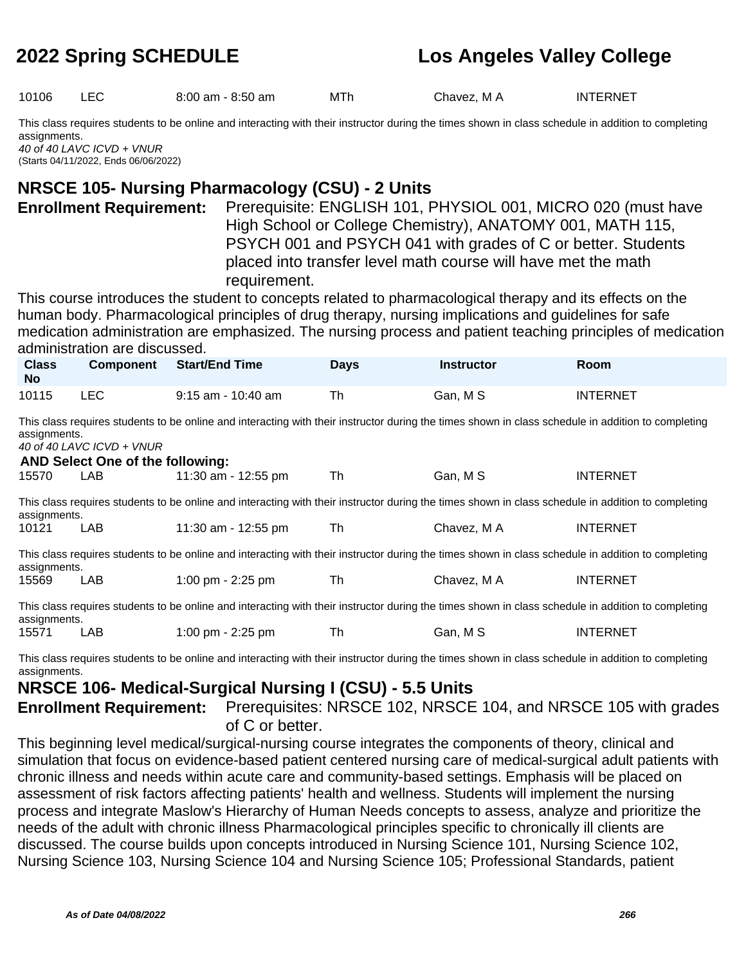10106 LEC 8:00 am - 8:50 am MTh Chavez, M A INTERNET

This class requires students to be online and interacting with their instructor during the times shown in class schedule in addition to completing assignments.

40 of 40 LAVC ICVD + VNUR (Starts 04/11/2022, Ends 06/06/2022)

### **NRSCE 105- Nursing Pharmacology (CSU) - 2 Units**

**Enrollment Requirement:** Prerequisite: ENGLISH 101, PHYSIOL 001, MICRO 020 (must have High School or College Chemistry), ANATOMY 001, MATH 115, PSYCH 001 and PSYCH 041 with grades of C or better. Students placed into transfer level math course will have met the math requirement.

This course introduces the student to concepts related to pharmacological therapy and its effects on the human body. Pharmacological principles of drug therapy, nursing implications and guidelines for safe medication administration are emphasized. The nursing process and patient teaching principles of medication administration are discussed.

| <b>Class</b><br><b>No</b> | Component | <b>Start/End Time</b> | Days | <b>Instructor</b> | <b>Room</b>     |  |
|---------------------------|-----------|-----------------------|------|-------------------|-----------------|--|
| 10115                     | LEC.      | 9:15 am - 10:40 am    | Th   | Gan, M S          | <b>INTERNET</b> |  |

This class requires students to be online and interacting with their instructor during the times shown in class schedule in addition to completing assignments.

40 of 40 LAVC ICVD + VNUR

| AND Select One of the following: |                                                                                                                                                    |                                                                                                                                                    |    |             |                 |  |  |
|----------------------------------|----------------------------------------------------------------------------------------------------------------------------------------------------|----------------------------------------------------------------------------------------------------------------------------------------------------|----|-------------|-----------------|--|--|
| 15570                            | LAB.                                                                                                                                               | 11:30 am - 12:55 pm                                                                                                                                | Th | Gan, M S    | <b>INTERNET</b> |  |  |
| assignments.                     |                                                                                                                                                    | This class requires students to be online and interacting with their instructor during the times shown in class schedule in addition to completing |    |             |                 |  |  |
| 10121                            | <b>LAB</b>                                                                                                                                         | 11:30 am - 12:55 pm                                                                                                                                | Th | Chavez. M A | <b>INTERNET</b> |  |  |
| assignments.                     |                                                                                                                                                    | This class requires students to be online and interacting with their instructor during the times shown in class schedule in addition to completing |    |             |                 |  |  |
| 15569                            | LAB                                                                                                                                                | 1:00 pm - $2:25$ pm                                                                                                                                | Th | Chavez. M A | <b>INTERNET</b> |  |  |
|                                  | This class requires students to be online and interacting with their instructor during the times shown in class schedule in addition to completing |                                                                                                                                                    |    |             |                 |  |  |

assignments. 15571 LAB 1:00 pm - 2:25 pm Th Gan, M S INTERNET

This class requires students to be online and interacting with their instructor during the times shown in class schedule in addition to completing assignments.

### **NRSCE 106- Medical-Surgical Nursing I (CSU) - 5.5 Units**

**Enrollment Requirement:** Prerequisites: NRSCE 102, NRSCE 104, and NRSCE 105 with grades of C or better.

This beginning level medical/surgical-nursing course integrates the components of theory, clinical and simulation that focus on evidence-based patient centered nursing care of medical-surgical adult patients with chronic illness and needs within acute care and community-based settings. Emphasis will be placed on assessment of risk factors affecting patients' health and wellness. Students will implement the nursing process and integrate Maslow's Hierarchy of Human Needs concepts to assess, analyze and prioritize the needs of the adult with chronic illness Pharmacological principles specific to chronically ill clients are discussed. The course builds upon concepts introduced in Nursing Science 101, Nursing Science 102, Nursing Science 103, Nursing Science 104 and Nursing Science 105; Professional Standards, patient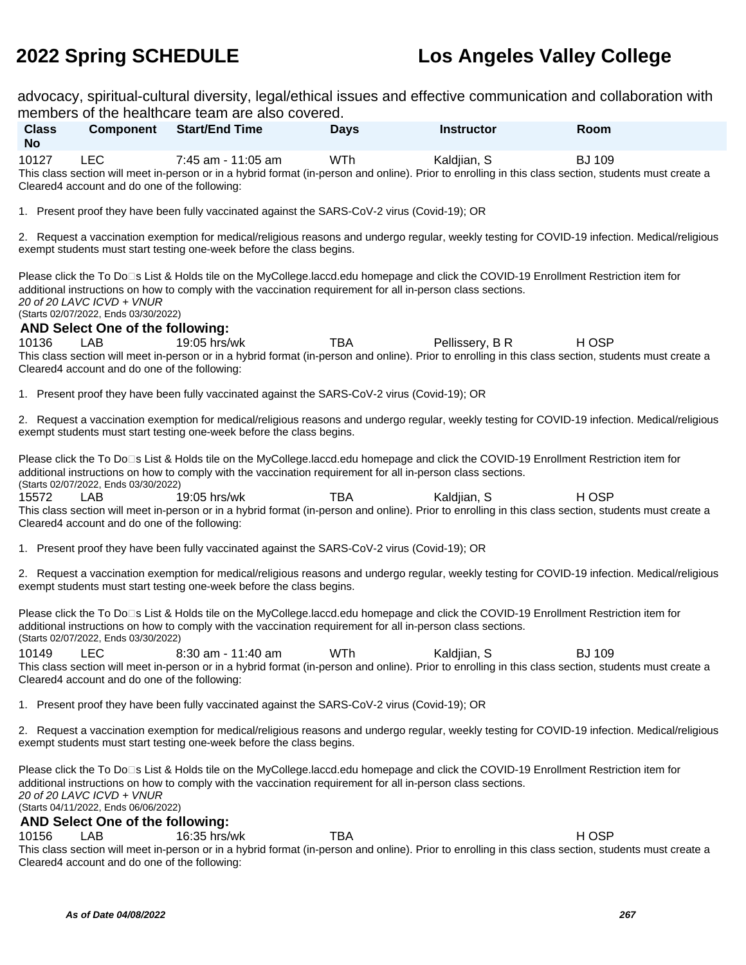advocacy, spiritual-cultural diversity, legal/ethical issues and effective communication and collaboration with members of the healthcare team are also covered.

|                           |                                                                                                              | members of the healthcare team are also covered.                                                                                                                                                                                                     |             |                   |                                                                                                                                                                        |
|---------------------------|--------------------------------------------------------------------------------------------------------------|------------------------------------------------------------------------------------------------------------------------------------------------------------------------------------------------------------------------------------------------------|-------------|-------------------|------------------------------------------------------------------------------------------------------------------------------------------------------------------------|
| <b>Class</b><br><b>No</b> | Component                                                                                                    | <b>Start/End Time</b>                                                                                                                                                                                                                                | <b>Days</b> | <b>Instructor</b> | Room                                                                                                                                                                   |
| 10127                     | <b>LEC</b><br>Cleared4 account and do one of the following:                                                  | 7:45 am - 11:05 am                                                                                                                                                                                                                                   | WTh         | Kaldjian, S       | <b>BJ 109</b><br>This class section will meet in-person or in a hybrid format (in-person and online). Prior to enrolling in this class section, students must create a |
|                           |                                                                                                              | 1. Present proof they have been fully vaccinated against the SARS-CoV-2 virus (Covid-19); OR                                                                                                                                                         |             |                   |                                                                                                                                                                        |
|                           |                                                                                                              | exempt students must start testing one-week before the class begins.                                                                                                                                                                                 |             |                   | 2. Request a vaccination exemption for medical/religious reasons and undergo regular, weekly testing for COVID-19 infection. Medical/religious                         |
|                           | 20 of 20 LAVC ICVD + VNUR<br>(Starts 02/07/2022, Ends 03/30/2022)<br><b>AND Select One of the following:</b> | Please click the To Do⊡s List & Holds tile on the MyCollege.laccd.edu homepage and click the COVID-19 Enrollment Restriction item for<br>additional instructions on how to comply with the vaccination requirement for all in-person class sections. |             |                   |                                                                                                                                                                        |
| 10136                     | LAB                                                                                                          | 19:05 hrs/wk                                                                                                                                                                                                                                         | <b>TBA</b>  | Pellissery, B R   | H OSP<br>This class section will meet in-person or in a hybrid format (in-person and online). Prior to enrolling in this class section, students must create a         |
|                           | Cleared4 account and do one of the following:                                                                |                                                                                                                                                                                                                                                      |             |                   |                                                                                                                                                                        |
|                           |                                                                                                              | 1. Present proof they have been fully vaccinated against the SARS-CoV-2 virus (Covid-19); OR                                                                                                                                                         |             |                   |                                                                                                                                                                        |
|                           |                                                                                                              | exempt students must start testing one-week before the class begins.                                                                                                                                                                                 |             |                   | 2. Request a vaccination exemption for medical/religious reasons and undergo regular, weekly testing for COVID-19 infection. Medical/religious                         |
|                           | (Starts 02/07/2022, Ends 03/30/2022)                                                                         | Please click the To Do⊡s List & Holds tile on the MyCollege.laccd.edu homepage and click the COVID-19 Enrollment Restriction item for<br>additional instructions on how to comply with the vaccination requirement for all in-person class sections. |             |                   |                                                                                                                                                                        |
| 15572                     | LAB<br>Cleared4 account and do one of the following:                                                         | 19:05 hrs/wk                                                                                                                                                                                                                                         | <b>TBA</b>  | Kaldjian, S       | H OSP<br>This class section will meet in-person or in a hybrid format (in-person and online). Prior to enrolling in this class section, students must create a         |
|                           |                                                                                                              | 1. Present proof they have been fully vaccinated against the SARS-CoV-2 virus (Covid-19); OR                                                                                                                                                         |             |                   |                                                                                                                                                                        |
|                           |                                                                                                              | exempt students must start testing one-week before the class begins.                                                                                                                                                                                 |             |                   | 2. Request a vaccination exemption for medical/religious reasons and undergo regular, weekly testing for COVID-19 infection. Medical/religious                         |
|                           | (Starts 02/07/2022, Ends 03/30/2022)                                                                         | Please click the To Do⊡s List & Holds tile on the MyCollege.laccd.edu homepage and click the COVID-19 Enrollment Restriction item for<br>additional instructions on how to comply with the vaccination requirement for all in-person class sections. |             |                   |                                                                                                                                                                        |
| 10149                     | <b>LEC</b>                                                                                                   | 8:30 am - 11:40 am                                                                                                                                                                                                                                   | WTh         | Kaldjian, S       | <b>BJ 109</b>                                                                                                                                                          |
|                           | Cleared4 account and do one of the following:                                                                |                                                                                                                                                                                                                                                      |             |                   | This class section will meet in-person or in a hybrid format (in-person and online). Prior to enrolling in this class section, students must create a                  |
|                           |                                                                                                              | 1. Present proof they have been fully vaccinated against the SARS-CoV-2 virus (Covid-19); OR                                                                                                                                                         |             |                   |                                                                                                                                                                        |
|                           |                                                                                                              | exempt students must start testing one-week before the class begins.                                                                                                                                                                                 |             |                   | 2. Request a vaccination exemption for medical/religious reasons and undergo regular, weekly testing for COVID-19 infection. Medical/religious                         |
|                           | 20 of 20 LAVC ICVD + VNUR<br>(Starts 04/11/2022, Ends 06/06/2022)                                            | Please click the To Do⊡s List & Holds tile on the MyCollege.laccd.edu homepage and click the COVID-19 Enrollment Restriction item for<br>additional instructions on how to comply with the vaccination requirement for all in-person class sections. |             |                   |                                                                                                                                                                        |
| 10156                     | <b>AND Select One of the following:</b><br>LAB                                                               | 16:35 hrs/wk                                                                                                                                                                                                                                         | <b>TBA</b>  |                   | H OSP                                                                                                                                                                  |
|                           | Cleared4 account and do one of the following:                                                                |                                                                                                                                                                                                                                                      |             |                   | This class section will meet in-person or in a hybrid format (in-person and online). Prior to enrolling in this class section, students must create a                  |
|                           |                                                                                                              |                                                                                                                                                                                                                                                      |             |                   |                                                                                                                                                                        |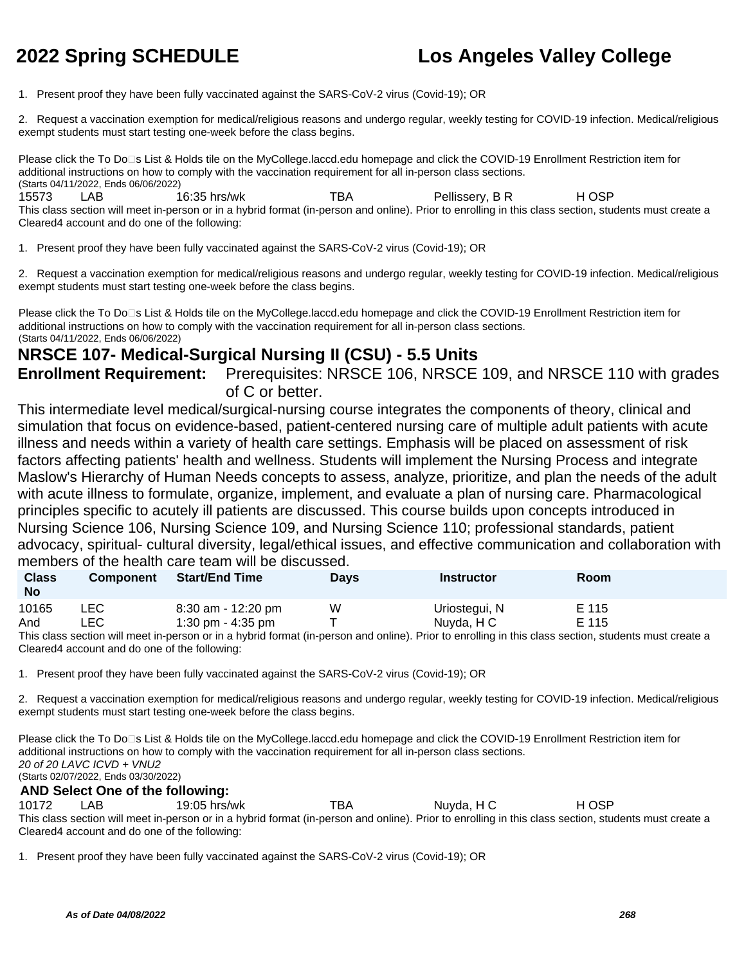1. Present proof they have been fully vaccinated against the SARS-CoV-2 virus (Covid-19); OR

2. Request a vaccination exemption for medical/religious reasons and undergo regular, weekly testing for COVID-19 infection. Medical/religious exempt students must start testing one-week before the class begins.

Please click the To Do<sup>n</sup>s List & Holds tile on the MyCollege.laccd.edu homepage and click the COVID-19 Enrollment Restriction item for additional instructions on how to comply with the vaccination requirement for all in-person class sections. (Starts 04/11/2022, Ends 06/06/2022) 15573 LAB 16:35 hrs/wk TBA Pellissery, B R H OSP

This class section will meet in-person or in a hybrid format (in-person and online). Prior to enrolling in this class section, students must create a Cleared4 account and do one of the following:

1. Present proof they have been fully vaccinated against the SARS-CoV-2 virus (Covid-19); OR

2. Request a vaccination exemption for medical/religious reasons and undergo regular, weekly testing for COVID-19 infection. Medical/religious exempt students must start testing one-week before the class begins.

Please click the To Do<sup>n</sup>s List & Holds tile on the MyCollege.laccd.edu homepage and click the COVID-19 Enrollment Restriction item for additional instructions on how to comply with the vaccination requirement for all in-person class sections. (Starts 04/11/2022, Ends 06/06/2022)

### **NRSCE 107- Medical-Surgical Nursing II (CSU) - 5.5 Units**

**Enrollment Requirement:** Prerequisites: NRSCE 106, NRSCE 109, and NRSCE 110 with grades of C or better.

This intermediate level medical/surgical-nursing course integrates the components of theory, clinical and simulation that focus on evidence-based, patient-centered nursing care of multiple adult patients with acute illness and needs within a variety of health care settings. Emphasis will be placed on assessment of risk factors affecting patients' health and wellness. Students will implement the Nursing Process and integrate Maslow's Hierarchy of Human Needs concepts to assess, analyze, prioritize, and plan the needs of the adult with acute illness to formulate, organize, implement, and evaluate a plan of nursing care. Pharmacological principles specific to acutely ill patients are discussed. This course builds upon concepts introduced in Nursing Science 106, Nursing Science 109, and Nursing Science 110; professional standards, patient advocacy, spiritual- cultural diversity, legal/ethical issues, and effective communication and collaboration with members of the health care team will be discussed.

| <b>Class</b><br><b>No</b> | <b>Component</b> | <b>Start/End Time</b> | Days | <b>Instructor</b> | Room  |
|---------------------------|------------------|-----------------------|------|-------------------|-------|
| 10165                     | ∟EC              | 8:30 am - 12:20 pm    | W    | Uriostegui, N     | E 115 |
| And                       | ∟EC              | 1:30 pm - 4:35 pm     |      | Nuyda, H C        | E 115 |

This class section will meet in-person or in a hybrid format (in-person and online). Prior to enrolling in this class section, students must create a Cleared4 account and do one of the following:

1. Present proof they have been fully vaccinated against the SARS-CoV-2 virus (Covid-19); OR

2. Request a vaccination exemption for medical/religious reasons and undergo regular, weekly testing for COVID-19 infection. Medical/religious exempt students must start testing one-week before the class begins.

Please click the To Do<sup>n</sup>s List & Holds tile on the MyCollege.laccd.edu homepage and click the COVID-19 Enrollment Restriction item for additional instructions on how to comply with the vaccination requirement for all in-person class sections. 20 of 20 LAVC ICVD + VNU2 (Starts 02/07/2022, Ends 03/30/2022)

### **AND Select One of the following:**

10172 LAB 19:05 hrs/wk TBA Nuyda, H C H OSP This class section will meet in-person or in a hybrid format (in-person and online). Prior to enrolling in this class section, students must create a Cleared4 account and do one of the following:

1. Present proof they have been fully vaccinated against the SARS-CoV-2 virus (Covid-19); OR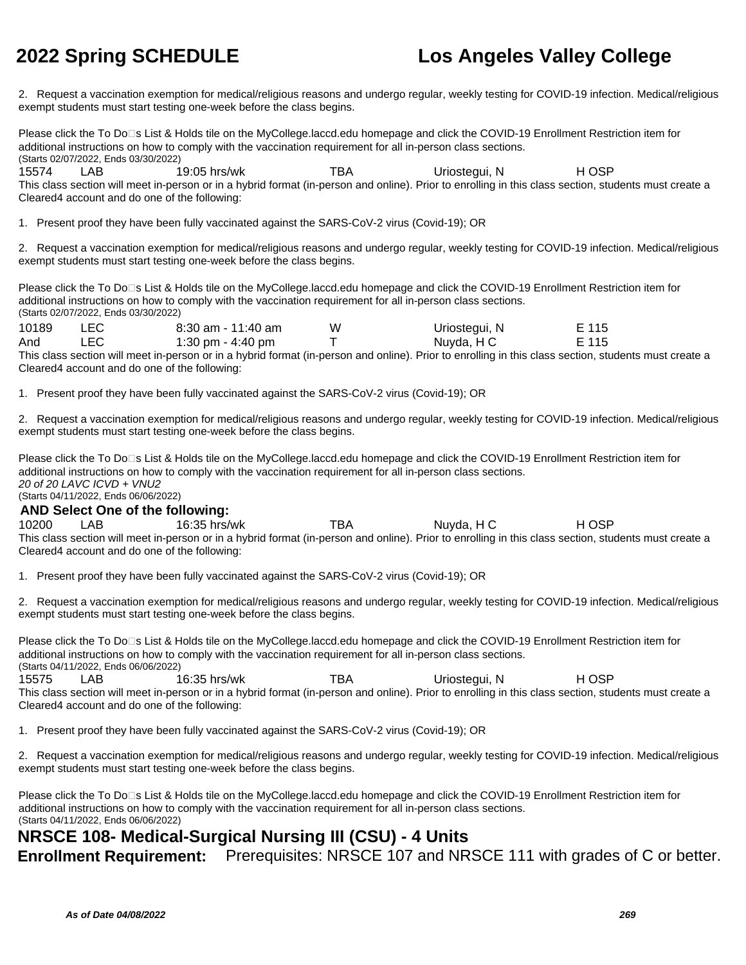2. Request a vaccination exemption for medical/religious reasons and undergo regular, weekly testing for COVID-19 infection. Medical/religious exempt students must start testing one-week before the class begins.

Please click the To Do<sup>n</sup>s List & Holds tile on the MyCollege.laccd.edu homepage and click the COVID-19 Enrollment Restriction item for additional instructions on how to comply with the vaccination requirement for all in-person class sections. (Starts 02/07/2022, Ends 03/30/2022)

15574 LAB 19:05 hrs/wk TBA Uriostegui, N H OSP This class section will meet in-person or in a hybrid format (in-person and online). Prior to enrolling in this class section, students must create a Cleared4 account and do one of the following:

1. Present proof they have been fully vaccinated against the SARS-CoV-2 virus (Covid-19); OR

2. Request a vaccination exemption for medical/religious reasons and undergo regular, weekly testing for COVID-19 infection. Medical/religious exempt students must start testing one-week before the class begins.

Please click the To Do<sup>n</sup>s List & Holds tile on the MyCollege.laccd.edu homepage and click the COVID-19 Enrollment Restriction item for additional instructions on how to comply with the vaccination requirement for all in-person class sections. (Starts 02/07/2022, Ends 03/30/2022)

| 10189 | LEC. | $8:30$ am - 11:40 am | W | Uriostegui, N                                                                                                                                         | E 115 |  |
|-------|------|----------------------|---|-------------------------------------------------------------------------------------------------------------------------------------------------------|-------|--|
| And   | LEC. | 1:30 pm - 4:40 pm    |   | Nuyda, H C                                                                                                                                            | E 115 |  |
|       |      |                      |   | This class section will meet in-person or in a hybrid format (in-person and online). Prior to enrolling in this class section, students must create a |       |  |

Cleared4 account and do one of the following:

1. Present proof they have been fully vaccinated against the SARS-CoV-2 virus (Covid-19); OR

2. Request a vaccination exemption for medical/religious reasons and undergo regular, weekly testing for COVID-19 infection. Medical/religious exempt students must start testing one-week before the class begins.

Please click the To Do□s List & Holds tile on the MyCollege.laccd.edu homepage and click the COVID-19 Enrollment Restriction item for additional instructions on how to comply with the vaccination requirement for all in-person class sections. 20 of 20 LAVC ICVD + VNU2 (Starts 04/11/2022, Ends 06/06/2022)

### **AND Select One of the following:**

10200 LAB 16:35 hrs/wk TBA Nuyda, H C H OSP This class section will meet in-person or in a hybrid format (in-person and online). Prior to enrolling in this class section, students must create a Cleared4 account and do one of the following:

1. Present proof they have been fully vaccinated against the SARS-CoV-2 virus (Covid-19); OR

2. Request a vaccination exemption for medical/religious reasons and undergo regular, weekly testing for COVID-19 infection. Medical/religious exempt students must start testing one-week before the class begins.

Please click the To Do⊡s List & Holds tile on the MyCollege.laccd.edu homepage and click the COVID-19 Enrollment Restriction item for additional instructions on how to comply with the vaccination requirement for all in-person class sections. (Starts 04/11/2022, Ends 06/06/2022) 15575 LAB 16:35 hrs/wk TBA Uriostegui, N H OSP

This class section will meet in-person or in a hybrid format (in-person and online). Prior to enrolling in this class section, students must create a Cleared4 account and do one of the following:

1. Present proof they have been fully vaccinated against the SARS-CoV-2 virus (Covid-19); OR

2. Request a vaccination exemption for medical/religious reasons and undergo regular, weekly testing for COVID-19 infection. Medical/religious exempt students must start testing one-week before the class begins.

Please click the To Do⊡s List & Holds tile on the MyCollege.laccd.edu homepage and click the COVID-19 Enrollment Restriction item for additional instructions on how to comply with the vaccination requirement for all in-person class sections. (Starts 04/11/2022, Ends 06/06/2022)

### **NRSCE 108- Medical-Surgical Nursing III (CSU) - 4 Units**

**Enrollment Requirement:** Prerequisites: NRSCE 107 and NRSCE 111 with grades of C or better.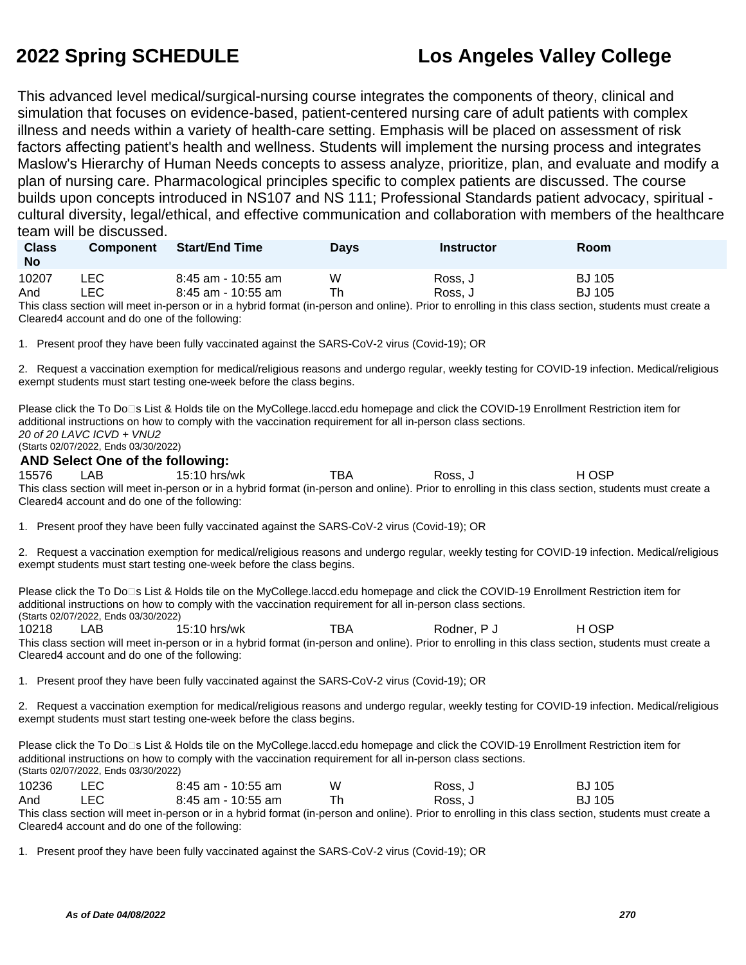This advanced level medical/surgical-nursing course integrates the components of theory, clinical and simulation that focuses on evidence-based, patient-centered nursing care of adult patients with complex illness and needs within a variety of health-care setting. Emphasis will be placed on assessment of risk factors affecting patient's health and wellness. Students will implement the nursing process and integrates Maslow's Hierarchy of Human Needs concepts to assess analyze, prioritize, plan, and evaluate and modify a plan of nursing care. Pharmacological principles specific to complex patients are discussed. The course builds upon concepts introduced in NS107 and NS 111; Professional Standards patient advocacy, spiritual cultural diversity, legal/ethical, and effective communication and collaboration with members of the healthcare team will be discussed.

| <b>Class</b><br><b>No</b> | <b>Component</b> | <b>Start/End Time</b> | Days | Instructor | Room          |
|---------------------------|------------------|-----------------------|------|------------|---------------|
| 10207                     | ∟EC              | 8:45 am - 10:55 am    | W    | Ross. J    | <b>BJ</b> 105 |
| And                       | LEC              | 8:45 am - 10:55 am    | Th   | Ross, J    | <b>BJ</b> 105 |

This class section will meet in-person or in a hybrid format (in-person and online). Prior to enrolling in this class section, students must create a Cleared4 account and do one of the following:

1. Present proof they have been fully vaccinated against the SARS-CoV-2 virus (Covid-19); OR

2. Request a vaccination exemption for medical/religious reasons and undergo regular, weekly testing for COVID-19 infection. Medical/religious exempt students must start testing one-week before the class begins.

Please click the To Do<sup>n</sup>s List & Holds tile on the MyCollege.laccd.edu homepage and click the COVID-19 Enrollment Restriction item for additional instructions on how to comply with the vaccination requirement for all in-person class sections. 20 of 20 LAVC ICVD + VNU2 (Starts 02/07/2022, Ends 03/30/2022)

### **AND Select One of the following:**

15576 LAB 15:10 hrs/wk TBA Ross, J H OSP This class section will meet in-person or in a hybrid format (in-person and online). Prior to enrolling in this class section, students must create a Cleared4 account and do one of the following:

1. Present proof they have been fully vaccinated against the SARS-CoV-2 virus (Covid-19); OR

2. Request a vaccination exemption for medical/religious reasons and undergo regular, weekly testing for COVID-19 infection. Medical/religious exempt students must start testing one-week before the class begins.

Please click the To Do<sup>n</sup>s List & Holds tile on the MyCollege.laccd.edu homepage and click the COVID-19 Enrollment Restriction item for additional instructions on how to comply with the vaccination requirement for all in-person class sections. (Starts 02/07/2022, Ends 03/30/2022)

10218 LAB 15:10 hrs/wk TBA Rodner, P J H OSP This class section will meet in-person or in a hybrid format (in-person and online). Prior to enrolling in this class section, students must create a Cleared4 account and do one of the following:

1. Present proof they have been fully vaccinated against the SARS-CoV-2 virus (Covid-19); OR

2. Request a vaccination exemption for medical/religious reasons and undergo regular, weekly testing for COVID-19 infection. Medical/religious exempt students must start testing one-week before the class begins.

Please click the To Do□s List & Holds tile on the MyCollege.laccd.edu homepage and click the COVID-19 Enrollment Restriction item for additional instructions on how to comply with the vaccination requirement for all in-person class sections. (Starts 02/07/2022, Ends 03/30/2022)

| 10236 | LEC. | 8:45 am - 10:55 am | w | Ross. J | BJ 105        |
|-------|------|--------------------|---|---------|---------------|
| And   | LEC  | 8:45 am - 10:55 am |   | Ross. J | <b>BJ 105</b> |
| ____  |      |                    |   |         |               |

This class section will meet in-person or in a hybrid format (in-person and online). Prior to enrolling in this class section, students must create a Cleared4 account and do one of the following:

1. Present proof they have been fully vaccinated against the SARS-CoV-2 virus (Covid-19); OR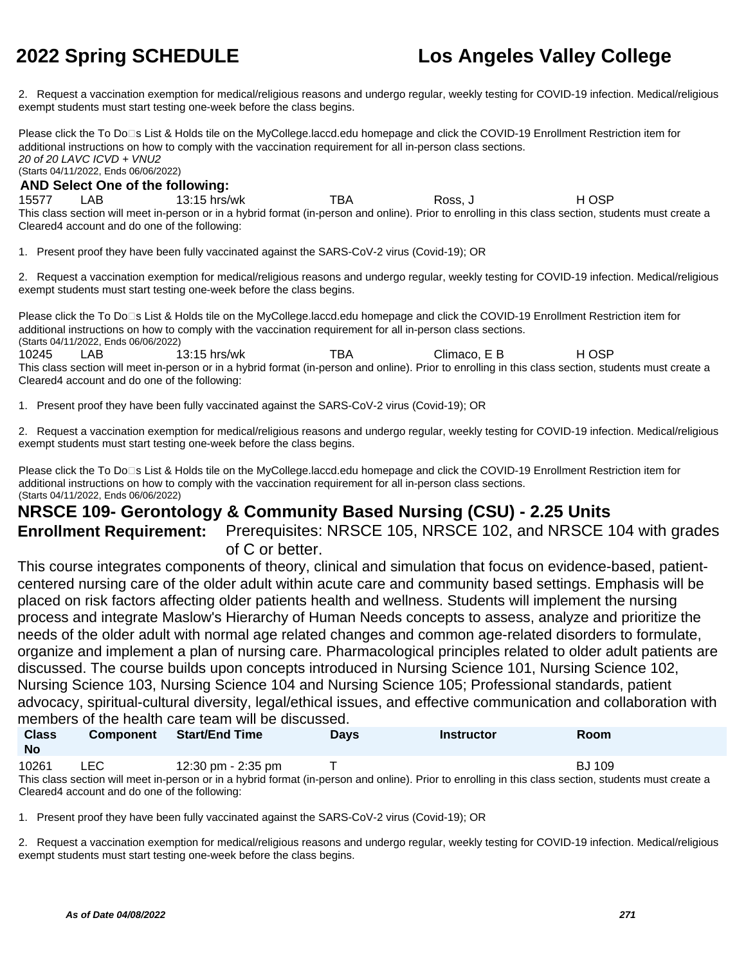2. Request a vaccination exemption for medical/religious reasons and undergo regular, weekly testing for COVID-19 infection. Medical/religious exempt students must start testing one-week before the class begins.

Please click the To Do<sup>n</sup>s List & Holds tile on the MyCollege.laccd.edu homepage and click the COVID-19 Enrollment Restriction item for additional instructions on how to comply with the vaccination requirement for all in-person class sections. 20 of 20 LAVC ICVD + VNU2 (Starts 04/11/2022, Ends 06/06/2022)

### **AND Select One of the following:**

15577 LAB 13:15 hrs/wk TBA Ross, J H OSP This class section will meet in-person or in a hybrid format (in-person and online). Prior to enrolling in this class section, students must create a Cleared4 account and do one of the following:

1. Present proof they have been fully vaccinated against the SARS-CoV-2 virus (Covid-19); OR

2. Request a vaccination exemption for medical/religious reasons and undergo regular, weekly testing for COVID-19 infection. Medical/religious exempt students must start testing one-week before the class begins.

Please click the To Do⊡s List & Holds tile on the MyCollege.laccd.edu homepage and click the COVID-19 Enrollment Restriction item for additional instructions on how to comply with the vaccination requirement for all in-person class sections. (Starts 04/11/2022, Ends 06/06/2022) 10245 LAB 13:15 hrs/wk TBA Climaco, E B H OSP This class section will meet in-person or in a hybrid format (in-person and online). Prior to enrolling in this class section, students must create a Cleared4 account and do one of the following:

1. Present proof they have been fully vaccinated against the SARS-CoV-2 virus (Covid-19); OR

2. Request a vaccination exemption for medical/religious reasons and undergo regular, weekly testing for COVID-19 infection. Medical/religious exempt students must start testing one-week before the class begins.

Please click the To Do□s List & Holds tile on the MyCollege.laccd.edu homepage and click the COVID-19 Enrollment Restriction item for additional instructions on how to comply with the vaccination requirement for all in-person class sections. (Starts 04/11/2022, Ends 06/06/2022)

### **NRSCE 109- Gerontology & Community Based Nursing (CSU) - 2.25 Units**

**Enrollment Requirement:** Prerequisites: NRSCE 105, NRSCE 102, and NRSCE 104 with grades of C or better.

This course integrates components of theory, clinical and simulation that focus on evidence-based, patientcentered nursing care of the older adult within acute care and community based settings. Emphasis will be placed on risk factors affecting older patients health and wellness. Students will implement the nursing process and integrate Maslow's Hierarchy of Human Needs concepts to assess, analyze and prioritize the needs of the older adult with normal age related changes and common age-related disorders to formulate, organize and implement a plan of nursing care. Pharmacological principles related to older adult patients are discussed. The course builds upon concepts introduced in Nursing Science 101, Nursing Science 102, Nursing Science 103, Nursing Science 104 and Nursing Science 105; Professional standards, patient advocacy, spiritual-cultural diversity, legal/ethical issues, and effective communication and collaboration with members of the health care team will be discussed.

| <b>Class</b><br><b>No</b>                                                                                                                             | <b>Component</b>                              | <b>Start/End Time</b> | <b>Davs</b> | <b>Instructor</b> | <b>Room</b> |  |  |  |
|-------------------------------------------------------------------------------------------------------------------------------------------------------|-----------------------------------------------|-----------------------|-------------|-------------------|-------------|--|--|--|
| 10261                                                                                                                                                 | LEC.                                          | 12:30 pm - 2:35 pm    |             |                   | BJ 109      |  |  |  |
| This class section will meet in-person or in a hybrid format (in-person and online). Prior to enrolling in this class section, students must create a |                                               |                       |             |                   |             |  |  |  |
|                                                                                                                                                       | Cleared4 account and do one of the following: |                       |             |                   |             |  |  |  |

1. Present proof they have been fully vaccinated against the SARS-CoV-2 virus (Covid-19); OR

2. Request a vaccination exemption for medical/religious reasons and undergo regular, weekly testing for COVID-19 infection. Medical/religious exempt students must start testing one-week before the class begins.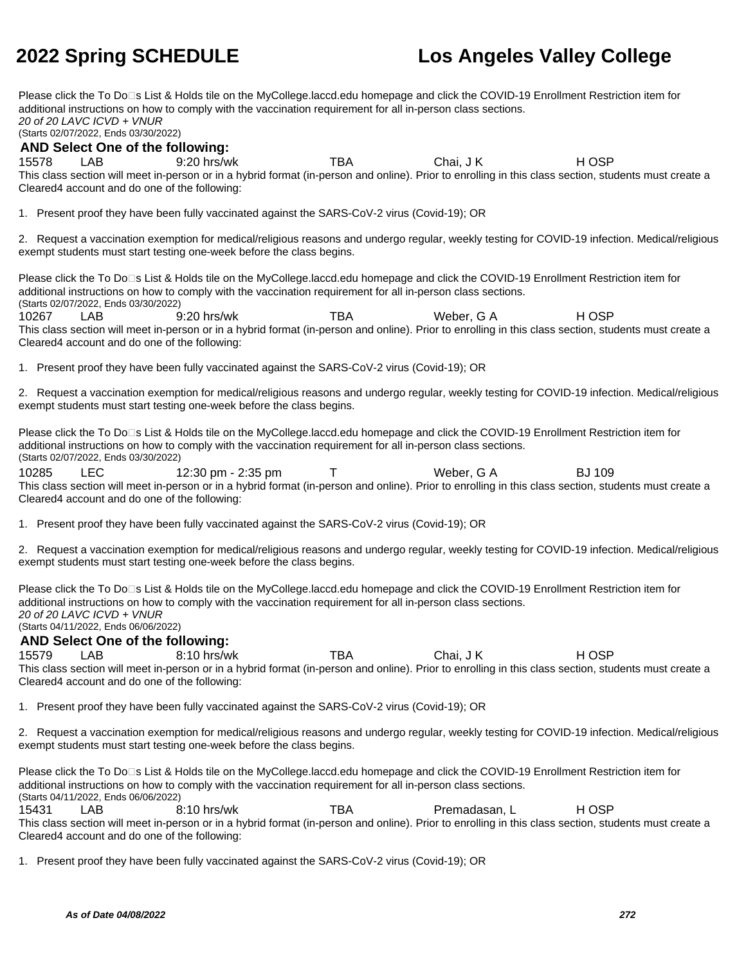Please click the To Do<sup>n</sup>s List & Holds tile on the MyCollege.laccd.edu homepage and click the COVID-19 Enrollment Restriction item for additional instructions on how to comply with the vaccination requirement for all in-person class sections. 20 of 20 LAVC ICVD + VNUR (Starts 02/07/2022, Ends 03/30/2022) **AND Select One of the following:** 15578 LAB 9:20 hrs/wk TBA Chai, J K H OSP This class section will meet in-person or in a hybrid format (in-person and online). Prior to enrolling in this class section, students must create a Cleared4 account and do one of the following: 1. Present proof they have been fully vaccinated against the SARS-CoV-2 virus (Covid-19); OR 2. Request a vaccination exemption for medical/religious reasons and undergo regular, weekly testing for COVID-19 infection. Medical/religious exempt students must start testing one-week before the class begins. Please click the To Do□s List & Holds tile on the MyCollege.laccd.edu homepage and click the COVID-19 Enrollment Restriction item for additional instructions on how to comply with the vaccination requirement for all in-person class sections. (Starts 02/07/2022, Ends 03/30/2022) 10267 LAB 9:20 hrs/wk TBA Weber, G A H OSP This class section will meet in-person or in a hybrid format (in-person and online). Prior to enrolling in this class section, students must create a Cleared4 account and do one of the following: 1. Present proof they have been fully vaccinated against the SARS-CoV-2 virus (Covid-19); OR 2. Request a vaccination exemption for medical/religious reasons and undergo regular, weekly testing for COVID-19 infection. Medical/religious exempt students must start testing one-week before the class begins. Please click the To Do<sup>n</sup>s List & Holds tile on the MyCollege.laccd.edu homepage and click the COVID-19 Enrollment Restriction item for additional instructions on how to comply with the vaccination requirement for all in-person class sections. (Starts 02/07/2022, Ends 03/30/2022) 10285 LEC 12:30 pm - 2:35 pm T Weber, G A BJ 109 This class section will meet in-person or in a hybrid format (in-person and online). Prior to enrolling in this class section, students must create a Cleared4 account and do one of the following: 1. Present proof they have been fully vaccinated against the SARS-CoV-2 virus (Covid-19); OR 2. Request a vaccination exemption for medical/religious reasons and undergo regular, weekly testing for COVID-19 infection. Medical/religious exempt students must start testing one-week before the class begins. Please click the To Do<sup>n</sup>s List & Holds tile on the MyCollege.laccd.edu homepage and click the COVID-19 Enrollment Restriction item for additional instructions on how to comply with the vaccination requirement for all in-person class sections. 20 of 20 LAVC ICVD + VNUR (Starts 04/11/2022, Ends 06/06/2022) **AND Select One of the following:** 15579 LAB 8:10 hrs/wk TBA Chai, J K H OSP This class section will meet in-person or in a hybrid format (in-person and online). Prior to enrolling in this class section, students must create a Cleared4 account and do one of the following: 1. Present proof they have been fully vaccinated against the SARS-CoV-2 virus (Covid-19); OR 2. Request a vaccination exemption for medical/religious reasons and undergo regular, weekly testing for COVID-19 infection. Medical/religious exempt students must start testing one-week before the class begins. Please click the To Do<sup>n</sup>s List & Holds tile on the MyCollege.laccd.edu homepage and click the COVID-19 Enrollment Restriction item for additional instructions on how to comply with the vaccination requirement for all in-person class sections. (Starts 04/11/2022, Ends 06/06/2022) 15431 LAB 8:10 hrs/wk TBA Premadasan, L H OSP This class section will meet in-person or in a hybrid format (in-person and online). Prior to enrolling in this class section, students must create a Cleared4 account and do one of the following: 1. Present proof they have been fully vaccinated against the SARS-CoV-2 virus (Covid-19); OR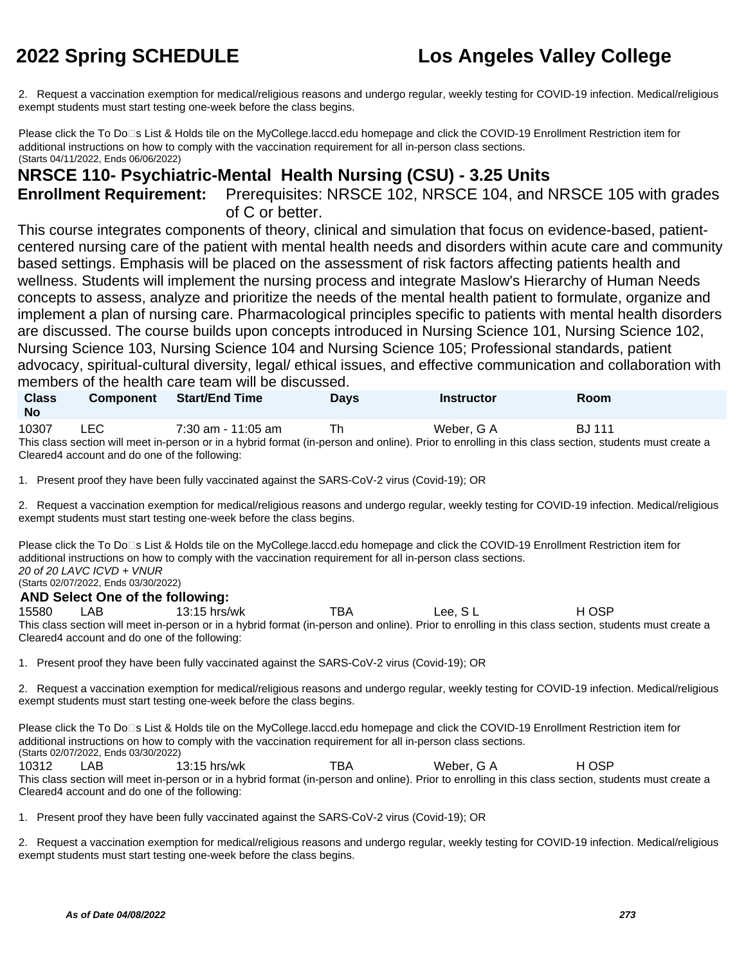2. Request a vaccination exemption for medical/religious reasons and undergo regular, weekly testing for COVID-19 infection. Medical/religious exempt students must start testing one-week before the class begins.

Please click the To Do<sup>n</sup>s List & Holds tile on the MyCollege.laccd.edu homepage and click the COVID-19 Enrollment Restriction item for additional instructions on how to comply with the vaccination requirement for all in-person class sections. (Starts 04/11/2022, Ends 06/06/2022)

## **NRSCE 110- Psychiatric-Mental Health Nursing (CSU) - 3.25 Units**

**Enrollment Requirement:** Prerequisites: NRSCE 102, NRSCE 104, and NRSCE 105 with grades of C or better.

This course integrates components of theory, clinical and simulation that focus on evidence-based, patientcentered nursing care of the patient with mental health needs and disorders within acute care and community based settings. Emphasis will be placed on the assessment of risk factors affecting patients health and wellness. Students will implement the nursing process and integrate Maslow's Hierarchy of Human Needs concepts to assess, analyze and prioritize the needs of the mental health patient to formulate, organize and implement a plan of nursing care. Pharmacological principles specific to patients with mental health disorders are discussed. The course builds upon concepts introduced in Nursing Science 101, Nursing Science 102, Nursing Science 103, Nursing Science 104 and Nursing Science 105; Professional standards, patient advocacy, spiritual-cultural diversity, legal/ ethical issues, and effective communication and collaboration with members of the health care team will be discussed.

| <b>Class</b><br><b>No</b> | <b>Component</b> | <b>Start/End Time</b> | Days | <b>Instructor</b>                                                                                                                                     | Room          |
|---------------------------|------------------|-----------------------|------|-------------------------------------------------------------------------------------------------------------------------------------------------------|---------------|
| 10307                     | LEC              | $7:30$ am - 11:05 am  |      | Weber, G A                                                                                                                                            | <b>BJ</b> 111 |
|                           |                  |                       |      | This class section will meet in-person or in a hybrid format (in-person and online). Prior to enrolling in this class section, students must create a |               |

or in a hybrid format (in-person and online). Prior to enrolling in this class section, students must create a Cleared4 account and do one of the following:

1. Present proof they have been fully vaccinated against the SARS-CoV-2 virus (Covid-19); OR

2. Request a vaccination exemption for medical/religious reasons and undergo regular, weekly testing for COVID-19 infection. Medical/religious exempt students must start testing one-week before the class begins.

Please click the To Do□s List & Holds tile on the MyCollege.laccd.edu homepage and click the COVID-19 Enrollment Restriction item for additional instructions on how to comply with the vaccination requirement for all in-person class sections. 20 of 20 LAVC ICVD + VNUR (Starts 02/07/2022, Ends 03/30/2022)

**AND Select One of the following:**

15580 LAB 13:15 hrs/wk TBA Lee, S L H OSP This class section will meet in-person or in a hybrid format (in-person and online). Prior to enrolling in this class section, students must create a Cleared4 account and do one of the following:

1. Present proof they have been fully vaccinated against the SARS-CoV-2 virus (Covid-19); OR

2. Request a vaccination exemption for medical/religious reasons and undergo regular, weekly testing for COVID-19 infection. Medical/religious exempt students must start testing one-week before the class begins.

Please click the To Do<sup>n</sup>s List & Holds tile on the MyCollege.laccd.edu homepage and click the COVID-19 Enrollment Restriction item for additional instructions on how to comply with the vaccination requirement for all in-person class sections. (Starts 02/07/2022, Ends 03/30/2022)

10312 LAB 13:15 hrs/wk TBA Weber, G A H OSP This class section will meet in-person or in a hybrid format (in-person and online). Prior to enrolling in this class section, students must create a Cleared4 account and do one of the following:

1. Present proof they have been fully vaccinated against the SARS-CoV-2 virus (Covid-19); OR

2. Request a vaccination exemption for medical/religious reasons and undergo regular, weekly testing for COVID-19 infection. Medical/religious exempt students must start testing one-week before the class begins.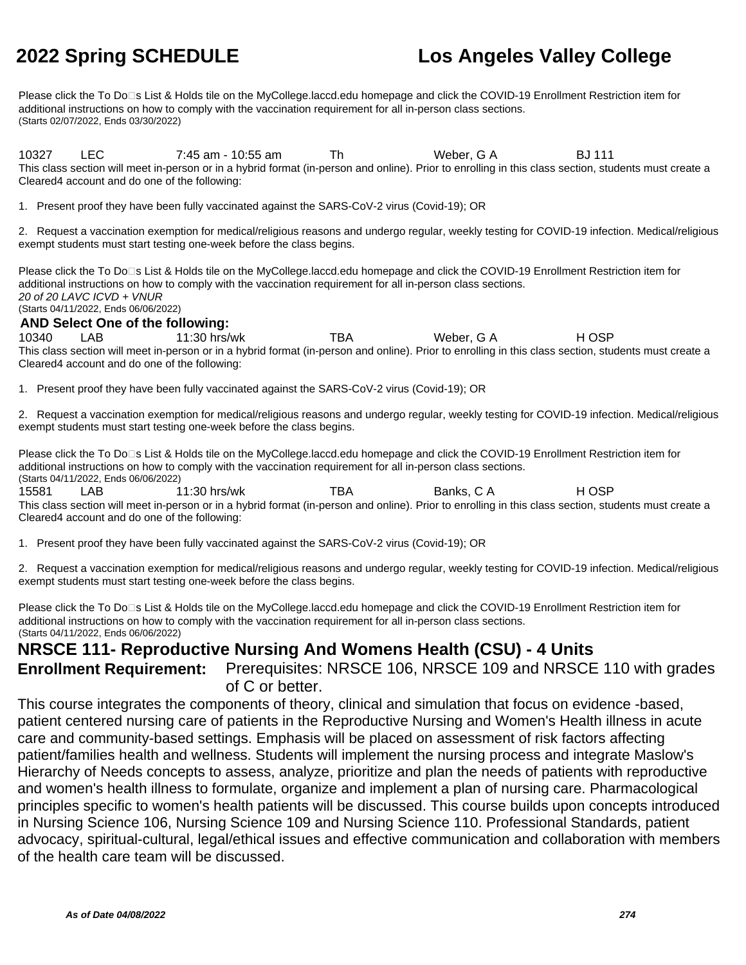Please click the To Do□s List & Holds tile on the MyCollege.laccd.edu homepage and click the COVID-19 Enrollment Restriction item for additional instructions on how to comply with the vaccination requirement for all in-person class sections. (Starts 02/07/2022, Ends 03/30/2022)

10327 LEC 7:45 am - 10:55 am Th Weber, G A BJ 111 This class section will meet in-person or in a hybrid format (in-person and online). Prior to enrolling in this class section, students must create a Cleared4 account and do one of the following:

1. Present proof they have been fully vaccinated against the SARS-CoV-2 virus (Covid-19); OR

2. Request a vaccination exemption for medical/religious reasons and undergo regular, weekly testing for COVID-19 infection. Medical/religious exempt students must start testing one-week before the class begins.

Please click the To Do□s List & Holds tile on the MyCollege.laccd.edu homepage and click the COVID-19 Enrollment Restriction item for additional instructions on how to comply with the vaccination requirement for all in-person class sections. 20 of 20 LAVC ICVD + VNUR (Starts 04/11/2022, Ends 06/06/2022)

### **AND Select One of the following:**

10340 LAB 11:30 hrs/wk TBA Weber, G A H OSP This class section will meet in-person or in a hybrid format (in-person and online). Prior to enrolling in this class section, students must create a Cleared4 account and do one of the following:

1. Present proof they have been fully vaccinated against the SARS-CoV-2 virus (Covid-19); OR

2. Request a vaccination exemption for medical/religious reasons and undergo regular, weekly testing for COVID-19 infection. Medical/religious exempt students must start testing one-week before the class begins.

Please click the To Do□s List & Holds tile on the MyCollege.laccd.edu homepage and click the COVID-19 Enrollment Restriction item for additional instructions on how to comply with the vaccination requirement for all in-person class sections. (Starts 04/11/2022, Ends 06/06/2022)

15581 LAB 11:30 hrs/wk TBA Banks, C A H OSP This class section will meet in-person or in a hybrid format (in-person and online). Prior to enrolling in this class section, students must create a Cleared4 account and do one of the following:

1. Present proof they have been fully vaccinated against the SARS-CoV-2 virus (Covid-19); OR

2. Request a vaccination exemption for medical/religious reasons and undergo regular, weekly testing for COVID-19 infection. Medical/religious exempt students must start testing one-week before the class begins.

Please click the To Do<sup>n</sup>s List & Holds tile on the MyCollege.laccd.edu homepage and click the COVID-19 Enrollment Restriction item for additional instructions on how to comply with the vaccination requirement for all in-person class sections. (Starts 04/11/2022, Ends 06/06/2022)

### **NRSCE 111- Reproductive Nursing And Womens Health (CSU) - 4 Units**

**Enrollment Requirement:** Prerequisites: NRSCE 106, NRSCE 109 and NRSCE 110 with grades of C or better.

This course integrates the components of theory, clinical and simulation that focus on evidence -based, patient centered nursing care of patients in the Reproductive Nursing and Women's Health illness in acute care and community-based settings. Emphasis will be placed on assessment of risk factors affecting patient/families health and wellness. Students will implement the nursing process and integrate Maslow's Hierarchy of Needs concepts to assess, analyze, prioritize and plan the needs of patients with reproductive and women's health illness to formulate, organize and implement a plan of nursing care. Pharmacological principles specific to women's health patients will be discussed. This course builds upon concepts introduced in Nursing Science 106, Nursing Science 109 and Nursing Science 110. Professional Standards, patient advocacy, spiritual-cultural, legal/ethical issues and effective communication and collaboration with members of the health care team will be discussed.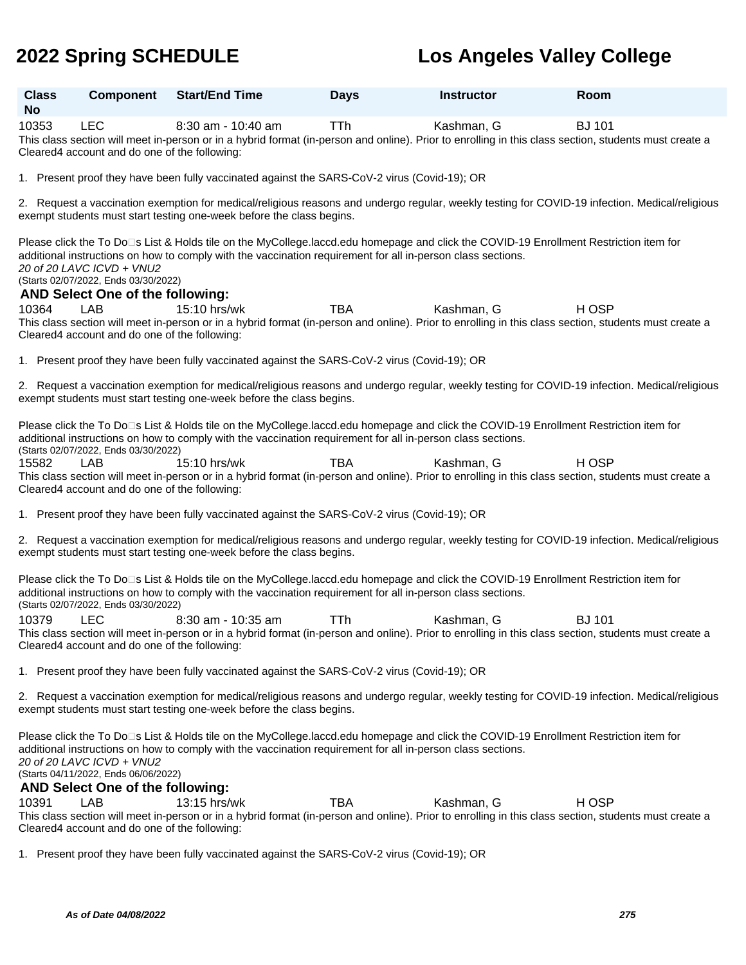| <b>Class</b><br><b>No</b> | <b>Component</b>                                                                                                                                                                                                                                                                                                          | <b>Start/End Time</b>                                                                                       | <b>Days</b> | <b>Instructor</b> | Room                                                                                                                                                                   |  |  |
|---------------------------|---------------------------------------------------------------------------------------------------------------------------------------------------------------------------------------------------------------------------------------------------------------------------------------------------------------------------|-------------------------------------------------------------------------------------------------------------|-------------|-------------------|------------------------------------------------------------------------------------------------------------------------------------------------------------------------|--|--|
| 10353                     | <b>LEC</b><br>Cleared4 account and do one of the following:                                                                                                                                                                                                                                                               | 8:30 am - 10:40 am                                                                                          | TTh         | Kashman, G        | <b>BJ 101</b><br>This class section will meet in-person or in a hybrid format (in-person and online). Prior to enrolling in this class section, students must create a |  |  |
|                           |                                                                                                                                                                                                                                                                                                                           | 1. Present proof they have been fully vaccinated against the SARS-CoV-2 virus (Covid-19); OR                |             |                   |                                                                                                                                                                        |  |  |
|                           |                                                                                                                                                                                                                                                                                                                           | exempt students must start testing one-week before the class begins.                                        |             |                   | 2. Request a vaccination exemption for medical/religious reasons and undergo regular, weekly testing for COVID-19 infection. Medical/religious                         |  |  |
|                           | 20 of 20 LAVC ICVD + VNU2<br>(Starts 02/07/2022, Ends 03/30/2022)<br>AND Select One of the following:                                                                                                                                                                                                                     | additional instructions on how to comply with the vaccination requirement for all in-person class sections. |             |                   | Please click the To Do⊡s List & Holds tile on the MyCollege.laccd.edu homepage and click the COVID-19 Enrollment Restriction item for                                  |  |  |
| 10364                     | LAB<br>Cleared4 account and do one of the following:                                                                                                                                                                                                                                                                      | 15:10 hrs/wk                                                                                                | <b>TBA</b>  | Kashman, G        | H OSP<br>This class section will meet in-person or in a hybrid format (in-person and online). Prior to enrolling in this class section, students must create a         |  |  |
|                           |                                                                                                                                                                                                                                                                                                                           | 1. Present proof they have been fully vaccinated against the SARS-CoV-2 virus (Covid-19); OR                |             |                   |                                                                                                                                                                        |  |  |
|                           |                                                                                                                                                                                                                                                                                                                           | exempt students must start testing one-week before the class begins.                                        |             |                   | 2. Request a vaccination exemption for medical/religious reasons and undergo regular, weekly testing for COVID-19 infection. Medical/religious                         |  |  |
|                           | (Starts 02/07/2022, Ends 03/30/2022)                                                                                                                                                                                                                                                                                      | additional instructions on how to comply with the vaccination requirement for all in-person class sections. |             |                   | Please click the To Do⊡s List & Holds tile on the MyCollege.laccd.edu homepage and click the COVID-19 Enrollment Restriction item for                                  |  |  |
| 15582                     | LAB<br>Cleared4 account and do one of the following:                                                                                                                                                                                                                                                                      | 15:10 hrs/wk                                                                                                | <b>TBA</b>  | Kashman, G        | H OSP<br>This class section will meet in-person or in a hybrid format (in-person and online). Prior to enrolling in this class section, students must create a         |  |  |
|                           |                                                                                                                                                                                                                                                                                                                           | 1. Present proof they have been fully vaccinated against the SARS-CoV-2 virus (Covid-19); OR                |             |                   |                                                                                                                                                                        |  |  |
|                           |                                                                                                                                                                                                                                                                                                                           | exempt students must start testing one-week before the class begins.                                        |             |                   | 2. Request a vaccination exemption for medical/religious reasons and undergo regular, weekly testing for COVID-19 infection. Medical/religious                         |  |  |
|                           | (Starts 02/07/2022, Ends 03/30/2022)                                                                                                                                                                                                                                                                                      | additional instructions on how to comply with the vaccination requirement for all in-person class sections. |             |                   | Please click the To Do⊡s List & Holds tile on the MyCollege.laccd.edu homepage and click the COVID-19 Enrollment Restriction item for                                  |  |  |
| 10379                     | <b>LEC</b><br>Cleared4 account and do one of the following:                                                                                                                                                                                                                                                               | 8:30 am - 10:35 am                                                                                          | TTh         | Kashman, G        | <b>BJ</b> 101<br>This class section will meet in-person or in a hybrid format (in-person and online). Prior to enrolling in this class section, students must create a |  |  |
|                           |                                                                                                                                                                                                                                                                                                                           | 1. Present proof they have been fully vaccinated against the SARS-CoV-2 virus (Covid-19); OR                |             |                   |                                                                                                                                                                        |  |  |
|                           |                                                                                                                                                                                                                                                                                                                           | exempt students must start testing one-week before the class begins.                                        |             |                   | 2. Request a vaccination exemption for medical/religious reasons and undergo regular, weekly testing for COVID-19 infection. Medical/religious                         |  |  |
|                           | Please click the To Do⊡s List & Holds tile on the MyCollege.laccd.edu homepage and click the COVID-19 Enrollment Restriction item for<br>additional instructions on how to comply with the vaccination requirement for all in-person class sections.<br>20 of 20 LAVC ICVD + VNU2<br>(Starts 04/11/2022, Ends 06/06/2022) |                                                                                                             |             |                   |                                                                                                                                                                        |  |  |
|                           | AND Select One of the following:                                                                                                                                                                                                                                                                                          |                                                                                                             |             |                   |                                                                                                                                                                        |  |  |
| 10391                     | LAB<br>Cleared4 account and do one of the following:                                                                                                                                                                                                                                                                      | 13:15 hrs/wk                                                                                                | <b>TBA</b>  | Kashman, G        | H OSP<br>This class section will meet in-person or in a hybrid format (in-person and online). Prior to enrolling in this class section, students must create a         |  |  |

1. Present proof they have been fully vaccinated against the SARS-CoV-2 virus (Covid-19); OR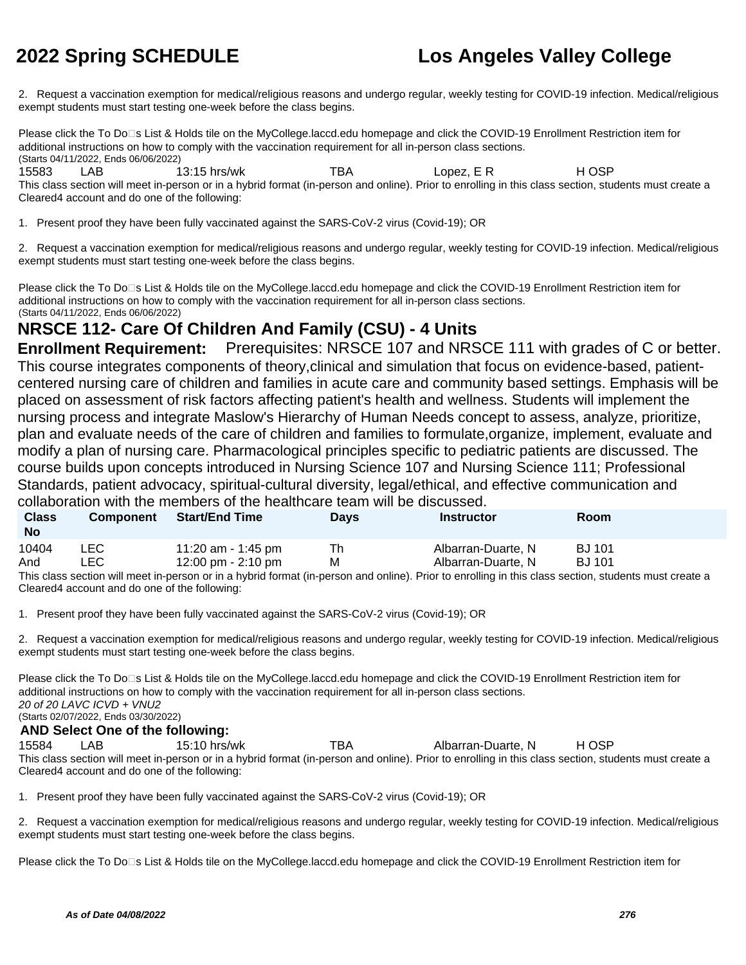2. Request a vaccination exemption for medical/religious reasons and undergo regular, weekly testing for COVID-19 infection. Medical/religious exempt students must start testing one-week before the class begins.

Please click the To Do<sup>n</sup>s List & Holds tile on the MyCollege.laccd.edu homepage and click the COVID-19 Enrollment Restriction item for additional instructions on how to comply with the vaccination requirement for all in-person class sections. (Starts 04/11/2022, Ends 06/06/2022) 15583 LAB 13:15 hrs/wk TBA Lopez, E R H OSP This class section will meet in-person or in a hybrid format (in-person and online). Prior to enrolling in this class section, students must create a

Cleared4 account and do one of the following:

1. Present proof they have been fully vaccinated against the SARS-CoV-2 virus (Covid-19); OR

2. Request a vaccination exemption for medical/religious reasons and undergo regular, weekly testing for COVID-19 infection. Medical/religious exempt students must start testing one-week before the class begins.

Please click the To Do<sup>n</sup>s List & Holds tile on the MyCollege.laccd.edu homepage and click the COVID-19 Enrollment Restriction item for additional instructions on how to comply with the vaccination requirement for all in-person class sections. (Starts 04/11/2022, Ends 06/06/2022)

## **NRSCE 112- Care Of Children And Family (CSU) - 4 Units**

**Enrollment Requirement:** Prerequisites: NRSCE 107 and NRSCE 111 with grades of C or better. This course integrates components of theory,clinical and simulation that focus on evidence-based, patientcentered nursing care of children and families in acute care and community based settings. Emphasis will be placed on assessment of risk factors affecting patient's health and wellness. Students will implement the nursing process and integrate Maslow's Hierarchy of Human Needs concept to assess, analyze, prioritize, plan and evaluate needs of the care of children and families to formulate,organize, implement, evaluate and modify a plan of nursing care. Pharmacological principles specific to pediatric patients are discussed. The course builds upon concepts introduced in Nursing Science 107 and Nursing Science 111; Professional Standards, patient advocacy, spiritual-cultural diversity, legal/ethical, and effective communication and collaboration with the members of the healthcare team will be discussed.

| <b>Class</b><br><b>No</b> | <b>Component</b> | <b>Start/End Time</b>                                                                                                                                 | <b>Days</b> | <b>Instructor</b>  | Room          |
|---------------------------|------------------|-------------------------------------------------------------------------------------------------------------------------------------------------------|-------------|--------------------|---------------|
| 10404                     | LEC.             | 11:20 am - 1:45 pm                                                                                                                                    | Th          | Albarran-Duarte, N | <b>BJ</b> 101 |
| And                       | LEC.             | 12:00 pm - 2:10 pm                                                                                                                                    | м           | Albarran-Duarte, N | <b>BJ</b> 101 |
|                           |                  | This close section will meet in person or in a bybrid format (in person and opling). Prior to eprolling in this close section, students must create a |             |                    |               |

son or in a hybrid format (in-person and online). Prior to enrolling in this class section, students must create Cleared4 account and do one of the following:

1. Present proof they have been fully vaccinated against the SARS-CoV-2 virus (Covid-19); OR

2. Request a vaccination exemption for medical/religious reasons and undergo regular, weekly testing for COVID-19 infection. Medical/religious exempt students must start testing one-week before the class begins.

Please click the To Do<sup>n</sup>s List & Holds tile on the MyCollege.laccd.edu homepage and click the COVID-19 Enrollment Restriction item for additional instructions on how to comply with the vaccination requirement for all in-person class sections. 20 of 20 LAVC ICVD + VNU2 (Starts 02/07/2022, Ends 03/30/2022) **AND Select One of the following:** 15584 LAB 15:10 hrs/wk TBA Albarran-Duarte, N H OSP

This class section will meet in-person or in a hybrid format (in-person and online). Prior to enrolling in this class section, students must create a Cleared4 account and do one of the following:

1. Present proof they have been fully vaccinated against the SARS-CoV-2 virus (Covid-19); OR

2. Request a vaccination exemption for medical/religious reasons and undergo regular, weekly testing for COVID-19 infection. Medical/religious exempt students must start testing one-week before the class begins.

Please click the To Do⊡s List & Holds tile on the MyCollege.laccd.edu homepage and click the COVID-19 Enrollment Restriction item for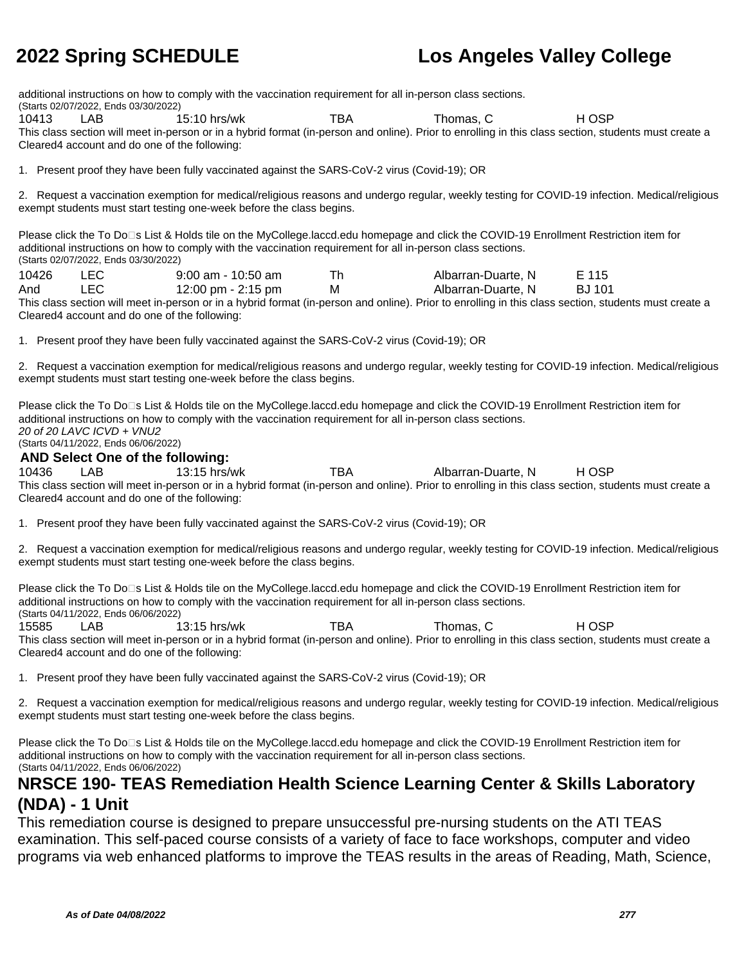additional instructions on how to comply with the vaccination requirement for all in-person class sections.

(Starts 02/07/2022, Ends 03/30/2022)

10413 LAB 15:10 hrs/wk TBA Thomas, C H OSP

This class section will meet in-person or in a hybrid format (in-person and online). Prior to enrolling in this class section, students must create a Cleared4 account and do one of the following:

1. Present proof they have been fully vaccinated against the SARS-CoV-2 virus (Covid-19); OR

2. Request a vaccination exemption for medical/religious reasons and undergo regular, weekly testing for COVID-19 infection. Medical/religious exempt students must start testing one-week before the class begins.

Please click the To Do<sup>n</sup>s List & Holds tile on the MyCollege.laccd.edu homepage and click the COVID-19 Enrollment Restriction item for additional instructions on how to comply with the vaccination requirement for all in-person class sections. (Starts 02/07/2022, Ends 03/30/2022)

| 10426 | $9:00$ am - 10:50 am | Albarran-Duarte, N | E 115  |
|-------|----------------------|--------------------|--------|
| And   | 12:00 pm - 2:15 pm   | Albarran-Duarte, N | BJ 101 |

This class section will meet in-person or in a hybrid format (in-person and online). Prior to enrolling in this class section, students must create a Cleared4 account and do one of the following:

1. Present proof they have been fully vaccinated against the SARS-CoV-2 virus (Covid-19); OR

2. Request a vaccination exemption for medical/religious reasons and undergo regular, weekly testing for COVID-19 infection. Medical/religious exempt students must start testing one-week before the class begins.

Please click the To Do□s List & Holds tile on the MyCollege.laccd.edu homepage and click the COVID-19 Enrollment Restriction item for additional instructions on how to comply with the vaccination requirement for all in-person class sections. 20 of 20 LAVC ICVD + VNU2 (Starts 04/11/2022, Ends 06/06/2022)

### **AND Select One of the following:**

10436 LAB 13:15 hrs/wk TBA Albarran-Duarte, N H OSP This class section will meet in-person or in a hybrid format (in-person and online). Prior to enrolling in this class section, students must create a Cleared4 account and do one of the following:

1. Present proof they have been fully vaccinated against the SARS-CoV-2 virus (Covid-19); OR

2. Request a vaccination exemption for medical/religious reasons and undergo regular, weekly testing for COVID-19 infection. Medical/religious exempt students must start testing one-week before the class begins.

Please click the To Do<sup>n</sup>s List & Holds tile on the MyCollege.laccd.edu homepage and click the COVID-19 Enrollment Restriction item for additional instructions on how to comply with the vaccination requirement for all in-person class sections. (Starts 04/11/2022, Ends 06/06/2022)

15585 LAB 13:15 hrs/wk TBA Thomas, C H OSP This class section will meet in-person or in a hybrid format (in-person and online). Prior to enrolling in this class section, students must create a Cleared4 account and do one of the following:

1. Present proof they have been fully vaccinated against the SARS-CoV-2 virus (Covid-19); OR

2. Request a vaccination exemption for medical/religious reasons and undergo regular, weekly testing for COVID-19 infection. Medical/religious exempt students must start testing one-week before the class begins.

Please click the To Do□s List & Holds tile on the MyCollege.laccd.edu homepage and click the COVID-19 Enrollment Restriction item for additional instructions on how to comply with the vaccination requirement for all in-person class sections. (Starts 04/11/2022, Ends 06/06/2022)

### **NRSCE 190- TEAS Remediation Health Science Learning Center & Skills Laboratory (NDA) - 1 Unit**

This remediation course is designed to prepare unsuccessful pre-nursing students on the ATI TEAS examination. This self-paced course consists of a variety of face to face workshops, computer and video programs via web enhanced platforms to improve the TEAS results in the areas of Reading, Math, Science,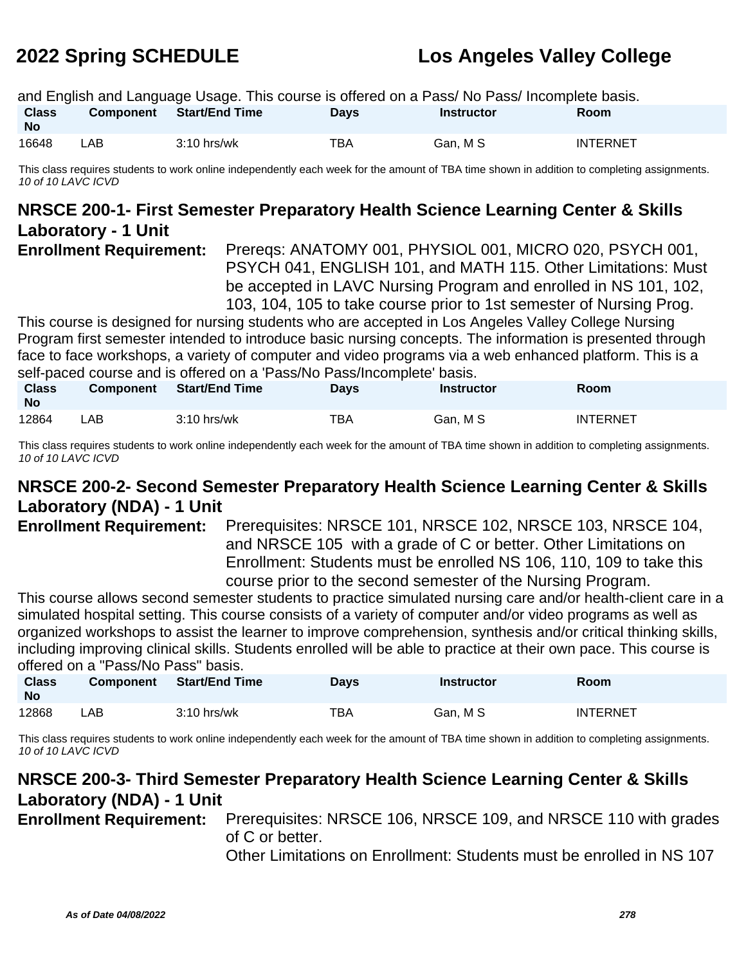|                           | and English and Language Usage. This course is offered on a Pass/No Pass/Incomplete basis. |                          |             |            |                 |  |  |  |  |
|---------------------------|--------------------------------------------------------------------------------------------|--------------------------|-------------|------------|-----------------|--|--|--|--|
| <b>Class</b><br><b>No</b> |                                                                                            | Component Start/End Time | <b>Davs</b> | Instructor | <b>Room</b>     |  |  |  |  |
| 16648                     | LAB                                                                                        | $3:10$ hrs/wk            | TBA         | Gan, M S   | <b>INTERNET</b> |  |  |  |  |

This class requires students to work online independently each week for the amount of TBA time shown in addition to completing assignments. 10 of 10 LAVC ICVD

### **NRSCE 200-1- First Semester Preparatory Health Science Learning Center & Skills Laboratory - 1 Unit**

**Enrollment Requirement:** Prereqs: ANATOMY 001, PHYSIOL 001, MICRO 020, PSYCH 001, PSYCH 041, ENGLISH 101, and MATH 115. Other Limitations: Must be accepted in LAVC Nursing Program and enrolled in NS 101, 102, 103, 104, 105 to take course prior to 1st semester of Nursing Prog.

This course is designed for nursing students who are accepted in Los Angeles Valley College Nursing Program first semester intended to introduce basic nursing concepts. The information is presented through face to face workshops, a variety of computer and video programs via a web enhanced platform. This is a self-paced course and is offered on a 'Pass/No Pass/Incomplete' basis.

| <b>Class</b><br><b>No</b> | <b>Component</b> | <b>Start/End Time</b> | Days | <b>Instructor</b> | Room            |
|---------------------------|------------------|-----------------------|------|-------------------|-----------------|
| 12864                     | _AB              | $3:10$ hrs/wk         | TBA  | Gan, M S          | <b>INTERNET</b> |

This class requires students to work online independently each week for the amount of TBA time shown in addition to completing assignments. 10 of 10 LAVC ICVD

## **NRSCE 200-2- Second Semester Preparatory Health Science Learning Center & Skills Laboratory (NDA) - 1 Unit**

**Enrollment Requirement:** Prerequisites: NRSCE 101, NRSCE 102, NRSCE 103, NRSCE 104, and NRSCE 105 with a grade of C or better. Other Limitations on Enrollment: Students must be enrolled NS 106, 110, 109 to take this course prior to the second semester of the Nursing Program.

This course allows second semester students to practice simulated nursing care and/or health-client care in a simulated hospital setting. This course consists of a variety of computer and/or video programs as well as organized workshops to assist the learner to improve comprehension, synthesis and/or critical thinking skills, including improving clinical skills. Students enrolled will be able to practice at their own pace. This course is offered on a "Pass/No Pass" basis.

| <b>Class</b><br><b>No</b> | <b>Component</b> | <b>Start/End Time</b> | Days | Instructor | Room            |
|---------------------------|------------------|-----------------------|------|------------|-----------------|
| 12868                     | _AB              | $3:10$ hrs/wk         | TBA  | Gan, M S   | <b>INTERNET</b> |

This class requires students to work online independently each week for the amount of TBA time shown in addition to completing assignments. 10 of 10 LAVC ICVD

## **NRSCE 200-3- Third Semester Preparatory Health Science Learning Center & Skills Laboratory (NDA) - 1 Unit**

**Enrollment Requirement:** Prerequisites: NRSCE 106, NRSCE 109, and NRSCE 110 with grades of C or better.

Other Limitations on Enrollment: Students must be enrolled in NS 107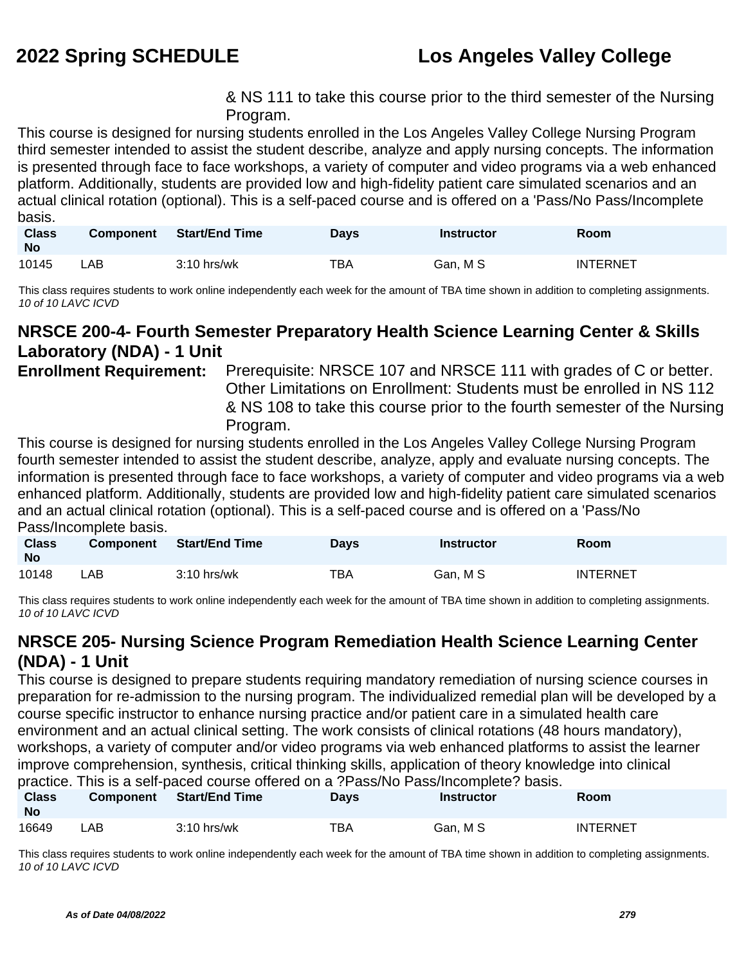& NS 111 to take this course prior to the third semester of the Nursing Program.

This course is designed for nursing students enrolled in the Los Angeles Valley College Nursing Program third semester intended to assist the student describe, analyze and apply nursing concepts. The information is presented through face to face workshops, a variety of computer and video programs via a web enhanced platform. Additionally, students are provided low and high-fidelity patient care simulated scenarios and an actual clinical rotation (optional). This is a self-paced course and is offered on a 'Pass/No Pass/Incomplete basis.

| <b>Class</b><br><b>No</b> | <b>Component</b> | <b>Start/End Time</b> | Days | <b>Instructor</b> | <b>Room</b>     |
|---------------------------|------------------|-----------------------|------|-------------------|-----------------|
| 10145                     | _AB_             | $3:10$ hrs/wk         | TBA  | Gan. M S          | <b>INTERNET</b> |

This class requires students to work online independently each week for the amount of TBA time shown in addition to completing assignments. 10 of 10 LAVC ICVD

### **NRSCE 200-4- Fourth Semester Preparatory Health Science Learning Center & Skills Laboratory (NDA) - 1 Unit**

**Enrollment Requirement:** Prerequisite: NRSCE 107 and NRSCE 111 with grades of C or better. Other Limitations on Enrollment: Students must be enrolled in NS 112 & NS 108 to take this course prior to the fourth semester of the Nursing Program.

This course is designed for nursing students enrolled in the Los Angeles Valley College Nursing Program fourth semester intended to assist the student describe, analyze, apply and evaluate nursing concepts. The information is presented through face to face workshops, a variety of computer and video programs via a web enhanced platform. Additionally, students are provided low and high-fidelity patient care simulated scenarios and an actual clinical rotation (optional). This is a self-paced course and is offered on a 'Pass/No Pass/Incomplete basis.

| <b>Class</b><br><b>No</b> | Component | <b>Start/End Time</b> | Days       | <b>Instructor</b> | <b>Room</b>     |
|---------------------------|-----------|-----------------------|------------|-------------------|-----------------|
| 10148                     | ∟AB       | $3:10$ hrs/wk         | <b>TBA</b> | Gan, M S          | <b>INTERNET</b> |

This class requires students to work online independently each week for the amount of TBA time shown in addition to completing assignments. 10 of 10 LAVC ICVD

## **NRSCE 205- Nursing Science Program Remediation Health Science Learning Center (NDA) - 1 Unit**

This course is designed to prepare students requiring mandatory remediation of nursing science courses in preparation for re-admission to the nursing program. The individualized remedial plan will be developed by a course specific instructor to enhance nursing practice and/or patient care in a simulated health care environment and an actual clinical setting. The work consists of clinical rotations (48 hours mandatory), workshops, a variety of computer and/or video programs via web enhanced platforms to assist the learner improve comprehension, synthesis, critical thinking skills, application of theory knowledge into clinical practice. This is a self-paced course offered on a ?Pass/No Pass/Incomplete? basis.

|                           |     |                          |             | practice. This is a self-paced course offered on a !T assiTed Fass/Incomplete! Dasis. |                 |  |
|---------------------------|-----|--------------------------|-------------|---------------------------------------------------------------------------------------|-----------------|--|
| <b>Class</b><br><b>No</b> |     | Component Start/End Time | <b>Davs</b> | <b>Instructor</b>                                                                     | <b>Room</b>     |  |
| 16649                     | ∟AB | $3:10$ hrs/wk            | TBA         | Gan. M S                                                                              | <b>INTERNET</b> |  |

This class requires students to work online independently each week for the amount of TBA time shown in addition to completing assignments. 10 of 10 LAVC ICVD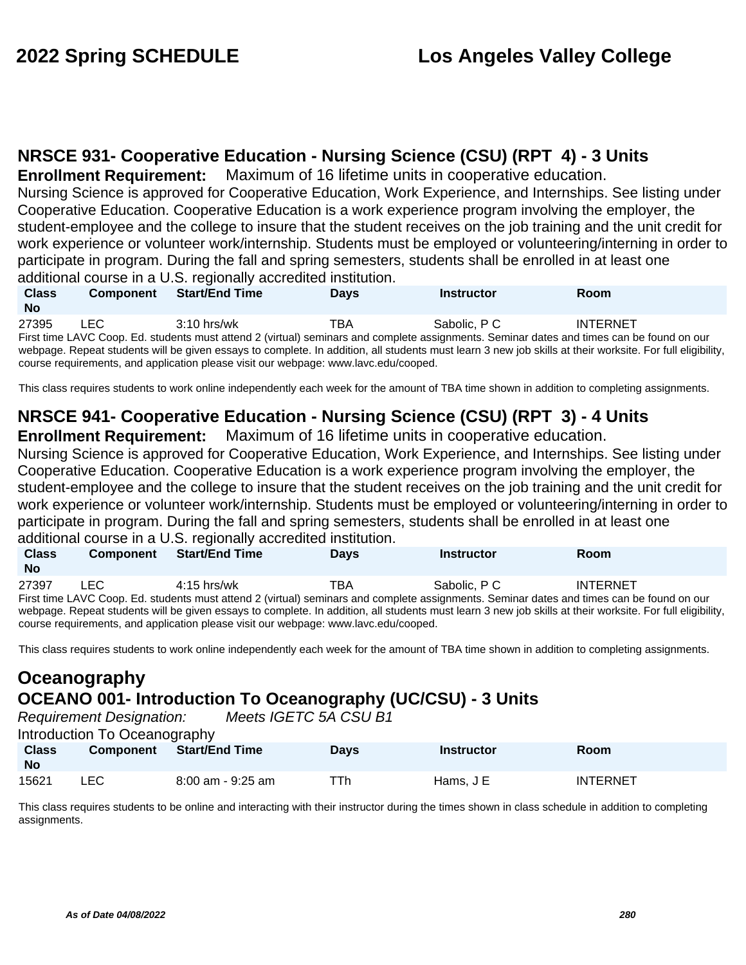## **NRSCE 931- Cooperative Education - Nursing Science (CSU) (RPT 4) - 3 Units**

**Enrollment Requirement:** Maximum of 16 lifetime units in cooperative education.

Nursing Science is approved for Cooperative Education, Work Experience, and Internships. See listing under Cooperative Education. Cooperative Education is a work experience program involving the employer, the student-employee and the college to insure that the student receives on the job training and the unit credit for work experience or volunteer work/internship. Students must be employed or volunteering/interning in order to participate in program. During the fall and spring semesters, students shall be enrolled in at least one additional course in a U.S. regionally accredited institution.

| <b>Class</b><br><b>No</b> | <b>Component</b> | <b>Start/End Time</b>                                                               | <b>Davs</b> | <b>Instructor</b>                                                                                                                                         | Room            |  |
|---------------------------|------------------|-------------------------------------------------------------------------------------|-------------|-----------------------------------------------------------------------------------------------------------------------------------------------------------|-----------------|--|
| 27395                     | LEC.             | $3:10$ hrs/wk                                                                       | TBA         | Sabolic, P.C.                                                                                                                                             | <b>INTERNET</b> |  |
|                           |                  |                                                                                     |             | First time LAVC Coop. Ed. students must attend 2 (virtual) seminars and complete assignments. Seminar dates and times can be found on our                 |                 |  |
|                           |                  |                                                                                     |             | webpage. Repeat students will be given essays to complete. In addition, all students must learn 3 new job skills at their worksite. For full eligibility, |                 |  |
|                           |                  | course requirements, and application please visit our webpage: www.lavc.edu/cooped. |             |                                                                                                                                                           |                 |  |

This class requires students to work online independently each week for the amount of TBA time shown in addition to completing assignments.

## **NRSCE 941- Cooperative Education - Nursing Science (CSU) (RPT 3) - 4 Units**

**Enrollment Requirement:** Maximum of 16 lifetime units in cooperative education.

Nursing Science is approved for Cooperative Education, Work Experience, and Internships. See listing under Cooperative Education. Cooperative Education is a work experience program involving the employer, the student-employee and the college to insure that the student receives on the job training and the unit credit for work experience or volunteer work/internship. Students must be employed or volunteering/interning in order to participate in program. During the fall and spring semesters, students shall be enrolled in at least one additional course in a U.S. regionally accredited institution.

|              |                  | additional obditod in a Grot rogionally abordance inclination. |             |                                                                                                                                           |                 |  |
|--------------|------------------|----------------------------------------------------------------|-------------|-------------------------------------------------------------------------------------------------------------------------------------------|-----------------|--|
| <b>Class</b> | <b>Component</b> | <b>Start/End Time</b>                                          | <b>Davs</b> | <b>Instructor</b>                                                                                                                         | Room            |  |
| No           |                  |                                                                |             |                                                                                                                                           |                 |  |
| 27397        | LEC.             | 4:15 hrs/wk                                                    | TBA         | Sabolic, P.C.                                                                                                                             | <b>INTERNET</b> |  |
|              |                  |                                                                |             | First time LAVC Coop. Ed. students must attend 2 (virtual) seminars and complete assignments. Seminar dates and times can be found on our |                 |  |
|              |                  |                                                                |             | rent and the state of the state of the state of the state of the state of the state of the state of the state o                           |                 |  |

webpage. Repeat students will be given essays to complete. In addition, all students must learn 3 new job skills at their worksite. For full eligibility, course requirements, and application please visit our webpage: www.lavc.edu/cooped.

This class requires students to work online independently each week for the amount of TBA time shown in addition to completing assignments.

## **Oceanography OCEANO 001- Introduction To Oceanography (UC/CSU) - 3 Units**

Requirement Designation: Meets IGETC 5A CSU B1

Introduction To Oceanography

| <b>Class</b><br><b>No</b> | <b>Component</b> | <b>Start/End Time</b> | <b>Days</b> | Instructor | <b>Room</b>     |
|---------------------------|------------------|-----------------------|-------------|------------|-----------------|
| 15621                     | LEC              | 8:00 am - 9:25 am     | ⊤Th         | Hams, J E  | <b>INTERNET</b> |

This class requires students to be online and interacting with their instructor during the times shown in class schedule in addition to completing assignments.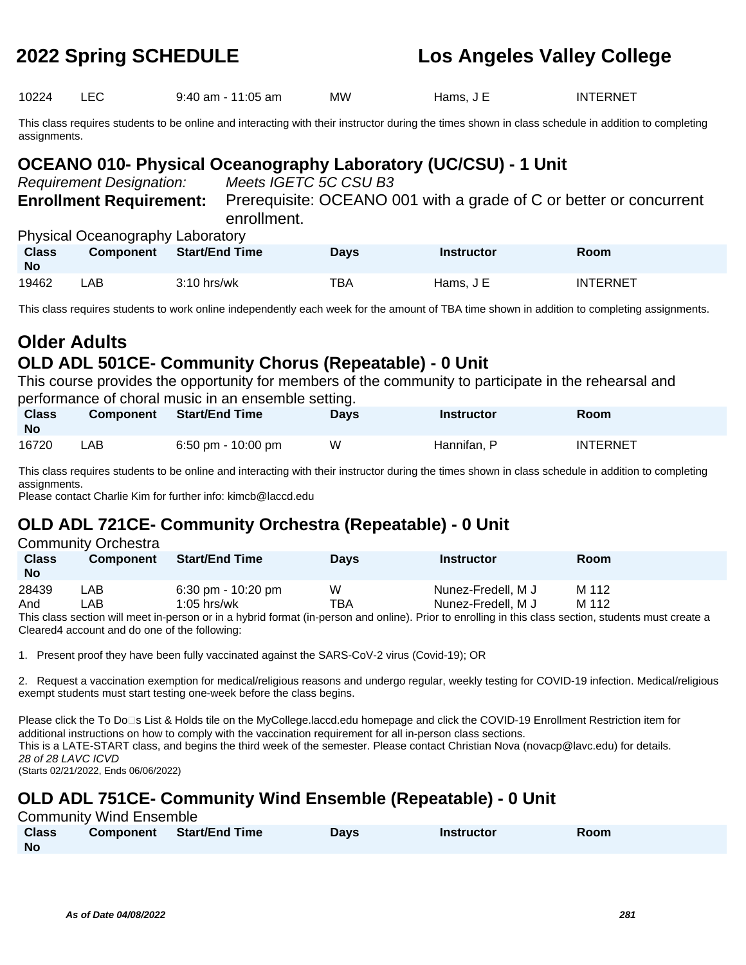10224 LEC 9:40 am - 11:05 am MW Hams, J E INTERNET

This class requires students to be online and interacting with their instructor during the times shown in class schedule in addition to completing assignments.

## **OCEANO 010- Physical Oceanography Laboratory (UC/CSU) - 1 Unit**

Requirement Designation: Meets IGETC 5C CSU B3

**Enrollment Requirement:** Prerequisite: OCEANO 001 with a grade of C or better or concurrent enrollment.

Physical Oceanography Laboratory

| <b>Class</b><br><b>No</b> | $\ldots$ , $\ldots$ , $\ldots$ , $\ldots$ , $\ldots$ , $\ldots$ , $\ldots$ , $\ldots$ , $\ldots$ , $\ldots$ , $\ldots$ , $\ldots$ , $\ldots$ , $\ldots$ , $\ldots$ , $\ldots$ , $\ldots$ , $\ldots$ , $\ldots$ , $\ldots$ , $\ldots$ , $\ldots$ , $\ldots$ , $\ldots$ , $\ldots$ , $\ldots$ , $\ldots$ , $\ldots$ , $\ldots$ , $\ldots$ , $\ldots$ , $\ldots$<br><b>Component</b> | Start/End Time | Days | <b>Instructor</b> | Room            |
|---------------------------|-----------------------------------------------------------------------------------------------------------------------------------------------------------------------------------------------------------------------------------------------------------------------------------------------------------------------------------------------------------------------------------|----------------|------|-------------------|-----------------|
| 19462                     | _AB_                                                                                                                                                                                                                                                                                                                                                                              | $3:10$ hrs/wk  | ТВА  | Hams. J E         | <b>INTERNET</b> |

This class requires students to work online independently each week for the amount of TBA time shown in addition to completing assignments.

## **Older Adults OLD ADL 501CE- Community Chorus (Repeatable) - 0 Unit**

This course provides the opportunity for members of the community to participate in the rehearsal and performance of choral music in an ensemble setting.

| <b>Class</b><br><b>No</b> | <b>Component</b> | <b>Start/End Time</b> | <b>Days</b> | <b>Instructor</b> | <b>Room</b>     |
|---------------------------|------------------|-----------------------|-------------|-------------------|-----------------|
| 16720                     | LAB              | 6:50 pm - $10:00$ pm  | W           | Hannifan. P       | <b>INTERNET</b> |

This class requires students to be online and interacting with their instructor during the times shown in class schedule in addition to completing assignments.

Please contact Charlie Kim for further info: kimcb@laccd.edu

# **OLD ADL 721CE- Community Orchestra (Repeatable) - 0 Unit**

|                           | <b>Community Orchestra</b> |                                                                                                                                                       |             |                    |             |
|---------------------------|----------------------------|-------------------------------------------------------------------------------------------------------------------------------------------------------|-------------|--------------------|-------------|
| <b>Class</b><br><b>No</b> | <b>Component</b>           | <b>Start/End Time</b>                                                                                                                                 | <b>Davs</b> | <b>Instructor</b>  | <b>Room</b> |
| 28439                     | ∟AB                        | $6:30 \text{ pm} - 10:20 \text{ pm}$                                                                                                                  | W           | Nunez-Fredell, M J | M 112       |
| And                       | _AB.                       | $1:05$ hrs/wk                                                                                                                                         | TBA         | Nunez-Fredell, M J | M 112       |
|                           |                            | This class section will meet in person or in a bybrid format (in person and online). Prior to enrolling in this class section, students must create a |             |                    |             |

I his class section will meet in-person or in a hybrid format (in-person and online). Prior to enrolling in this class section, students must create a Cleared4 account and do one of the following:

1. Present proof they have been fully vaccinated against the SARS-CoV-2 virus (Covid-19); OR

2. Request a vaccination exemption for medical/religious reasons and undergo regular, weekly testing for COVID-19 infection. Medical/religious exempt students must start testing one-week before the class begins.

Please click the To Do□s List & Holds tile on the MyCollege.laccd.edu homepage and click the COVID-19 Enrollment Restriction item for additional instructions on how to comply with the vaccination requirement for all in-person class sections. This is a LATE-START class, and begins the third week of the semester. Please contact Christian Nova (novacp@lavc.edu) for details. 28 of 28 LAVC ICVD (Starts 02/21/2022, Ends 06/06/2022)

## **OLD ADL 751CE- Community Wind Ensemble (Repeatable) - 0 Unit**

Community Wind Ensemble

| <b>Class</b> | <b>Component</b> Start/End Time | Davs | <b>Instructor</b> | <b>Room</b> |
|--------------|---------------------------------|------|-------------------|-------------|
| <b>No</b>    |                                 |      |                   |             |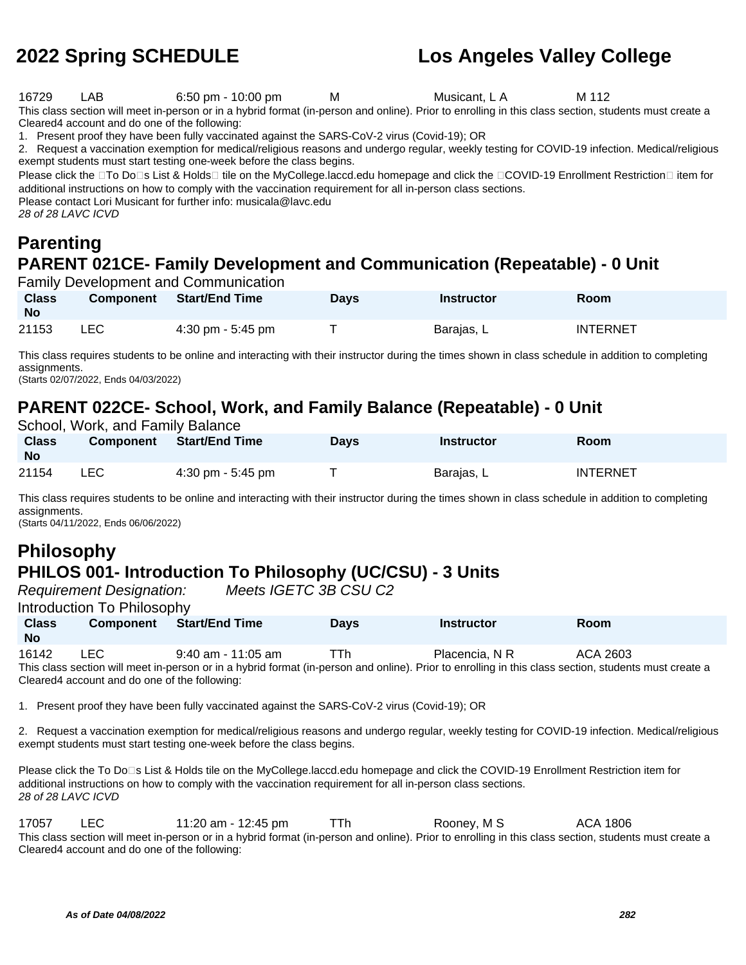16729 LAB 6:50 pm - 10:00 pm M Musicant, L A M 112

This class section will meet in-person or in a hybrid format (in-person and online). Prior to enrolling in this class section, students must create a Cleared4 account and do one of the following:

1. Present proof they have been fully vaccinated against the SARS-CoV-2 virus (Covid-19); OR

2. Request a vaccination exemption for medical/religious reasons and undergo regular, weekly testing for COVID-19 infection. Medical/religious exempt students must start testing one-week before the class begins.

Please click the □To Do□s List & Holds□ tile on the MyCollege.laccd.edu homepage and click the □COVID-19 Enrollment Restriction□ item for additional instructions on how to comply with the vaccination requirement for all in-person class sections.

Please contact Lori Musicant for further info: musicala@lavc.edu

28 of 28 LAVC ICVD

## **Parenting PARENT 021CE- Family Development and Communication (Repeatable) - 0 Unit**

Family Development and Communication

| <b>Class</b><br><b>No</b> | <b>Component</b> | <b>Start/End Time</b>               | Days | <b>Instructor</b> | Room            |
|---------------------------|------------------|-------------------------------------|------|-------------------|-----------------|
| 21153                     | LEC.             | $4:30 \text{ pm} - 5:45 \text{ pm}$ |      | Barajas, L        | <b>INTERNET</b> |

This class requires students to be online and interacting with their instructor during the times shown in class schedule in addition to completing assignments.

(Starts 02/07/2022, Ends 04/03/2022)

## **PARENT 022CE- School, Work, and Family Balance (Repeatable) - 0 Unit**

School, Work, and Family Balance

| <b>Class</b><br><b>No</b> | <b>Component</b> | Start/End Time                      | <b>Days</b> | Instructor | Room            |
|---------------------------|------------------|-------------------------------------|-------------|------------|-----------------|
| 21154                     | ∟EC.             | $4:30 \text{ pm} - 5:45 \text{ pm}$ |             | Barajas, L | <b>INTERNET</b> |

This class requires students to be online and interacting with their instructor during the times shown in class schedule in addition to completing assignments.

(Starts 04/11/2022, Ends 06/06/2022)

### **Philosophy PHILOS 001- Introduction To Philosophy (UC/CSU) - 3 Units**

Introduction To Philosophy

Requirement Designation: Meets IGETC 3B CSU C2

|                    | <b>INTERNATIONAL TO LATER DISPONSIVITY</b> |                      |             |                |          |  |
|--------------------|--------------------------------------------|----------------------|-------------|----------------|----------|--|
| <b>Class</b><br>No | <b>Component</b>                           | Start/End Time       | <b>Davs</b> | Instructor     | Room     |  |
| 16142              | LEC                                        | $9:40$ am - 11:05 am | ⊤Th         | Placencia. N R | ACA 2603 |  |

This class section will meet in-person or in a hybrid format (in-person and online). Prior to enrolling in this class section, students must create a Cleared4 account and do one of the following:

1. Present proof they have been fully vaccinated against the SARS-CoV-2 virus (Covid-19); OR

2. Request a vaccination exemption for medical/religious reasons and undergo regular, weekly testing for COVID-19 infection. Medical/religious exempt students must start testing one-week before the class begins.

Please click the To Do⊡s List & Holds tile on the MyCollege.laccd.edu homepage and click the COVID-19 Enrollment Restriction item for additional instructions on how to comply with the vaccination requirement for all in-person class sections. 28 of 28 LAVC ICVD

17057 LEC 11:20 am - 12:45 pm TTh Rooney, M S ACA 1806 This class section will meet in-person or in a hybrid format (in-person and online). Prior to enrolling in this class section, students must create a Cleared4 account and do one of the following: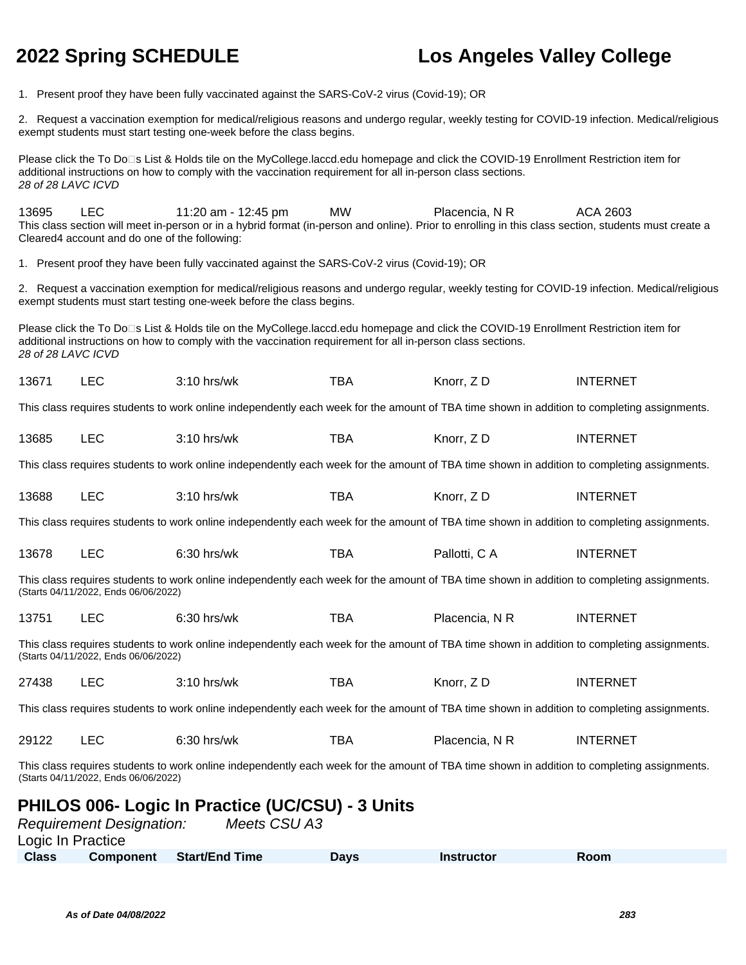1. Present proof they have been fully vaccinated against the SARS-CoV-2 virus (Covid-19); OR

2. Request a vaccination exemption for medical/religious reasons and undergo regular, weekly testing for COVID-19 infection. Medical/religious exempt students must start testing one-week before the class begins.

Please click the To Do<sup>n</sup>s List & Holds tile on the MyCollege.laccd.edu homepage and click the COVID-19 Enrollment Restriction item for additional instructions on how to comply with the vaccination requirement for all in-person class sections. 28 of 28 LAVC ICVD

13695 LEC 11:20 am - 12:45 pm MW Placencia, N R ACA 2603 This class section will meet in-person or in a hybrid format (in-person and online). Prior to enrolling in this class section, students must create a Cleared4 account and do one of the following:

1. Present proof they have been fully vaccinated against the SARS-CoV-2 virus (Covid-19); OR

2. Request a vaccination exemption for medical/religious reasons and undergo regular, weekly testing for COVID-19 infection. Medical/religious exempt students must start testing one-week before the class begins.

Please click the To Do<sup>n</sup>s List & Holds tile on the MyCollege.laccd.edu homepage and click the COVID-19 Enrollment Restriction item for additional instructions on how to comply with the vaccination requirement for all in-person class sections. 28 of 28 LAVC ICVD

| 13671 |  | $3:10$ hrs/wk | тва | Knorr, ZD<br>______ | INTERNET |
|-------|--|---------------|-----|---------------------|----------|
|-------|--|---------------|-----|---------------------|----------|

This class requires students to work online independently each week for the amount of TBA time shown in addition to completing assignments.

| EΩ<br>13685<br>тва<br>Knorr. Z D<br>$3:10$ hrs/wk | <b>INTERNET</b> |
|---------------------------------------------------|-----------------|
|---------------------------------------------------|-----------------|

This class requires students to work online independently each week for the amount of TBA time shown in addition to completing assignments.

| 13688 | --<br>---<br>$\sim$ | .<br>ካrs/wk | $ -$<br>BA | Knorr. | TERNE <sup>.</sup><br>INT |
|-------|---------------------|-------------|------------|--------|---------------------------|
|-------|---------------------|-------------|------------|--------|---------------------------|

This class requires students to work online independently each week for the amount of TBA time shown in addition to completing assignments.

|  | 13678 | $\sqrt{2}$<br>ᄕ | $6:30$ hrs/wk | тва | Pallotti, C A | <b>INTERNET</b> |
|--|-------|-----------------|---------------|-----|---------------|-----------------|
|--|-------|-----------------|---------------|-----|---------------|-----------------|

This class requires students to work online independently each week for the amount of TBA time shown in addition to completing assignments. (Starts 04/11/2022, Ends 06/06/2022)

| 13751 | $6:30$ hrs/wk | тва | Placencia. N R | <b>INTERNET</b> |
|-------|---------------|-----|----------------|-----------------|
|       |               |     |                |                 |

This class requires students to work online independently each week for the amount of TBA time shown in addition to completing assignments. (Starts 04/11/2022, Ends 06/06/2022)

27438 LEC 3:10 hrs/wk TBA Knorr, Z D INTERNET

This class requires students to work online independently each week for the amount of TBA time shown in addition to completing assignments.

| 29122<br>тва<br>Placencia, N R<br>$6:30$ hrs/wk | INTERNET |
|-------------------------------------------------|----------|
|-------------------------------------------------|----------|

This class requires students to work online independently each week for the amount of TBA time shown in addition to completing assignments. (Starts 04/11/2022, Ends 06/06/2022)

## **PHILOS 006- Logic In Practice (UC/CSU) - 3 Units**

|                   | <b>Requirement Designation:</b> | Meets CSU A3     |      |            |      |  |
|-------------------|---------------------------------|------------------|------|------------|------|--|
| Logic In Practice |                                 |                  |      |            |      |  |
| Class             | <b>Component</b>                | ∍ Start/End Time | Davs | Instructor | Room |  |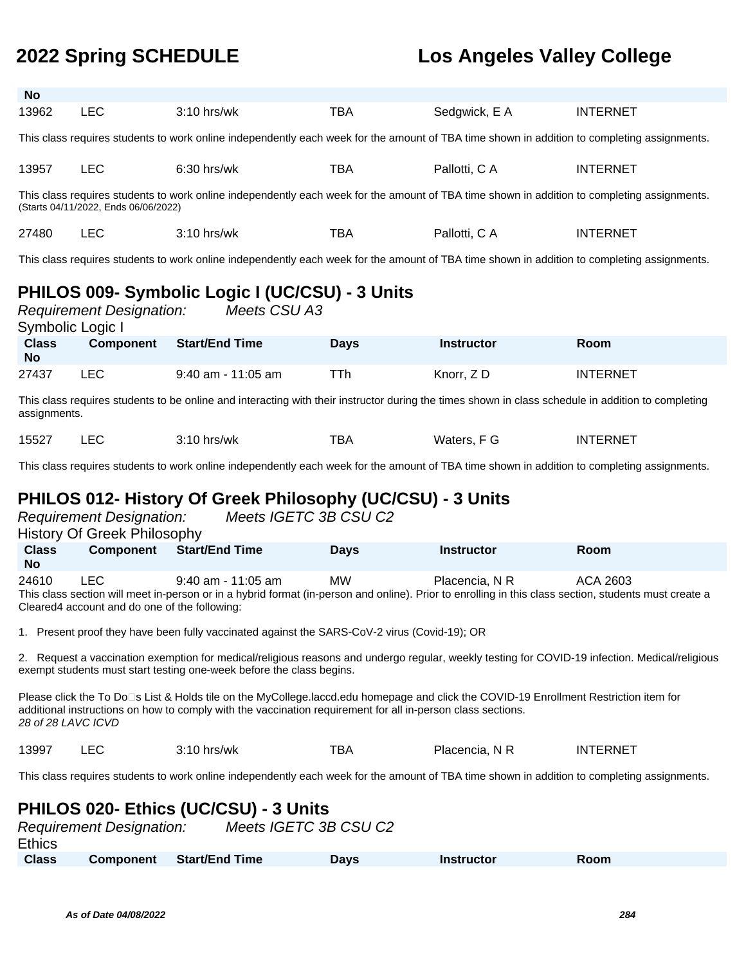**As of Date 04/08/2022 284**

## **2022 Spring SCHEDULE Los Angeles Valley College**

| <b>No</b>                                                                                                                                                                           |            |               |            |               |                 |  |  |
|-------------------------------------------------------------------------------------------------------------------------------------------------------------------------------------|------------|---------------|------------|---------------|-----------------|--|--|
| 13962                                                                                                                                                                               | <b>LEC</b> | $3:10$ hrs/wk | <b>TBA</b> | Sedgwick, E A | <b>INTERNET</b> |  |  |
| This class requires students to work online independently each week for the amount of TBA time shown in addition to completing assignments.                                         |            |               |            |               |                 |  |  |
| 13957                                                                                                                                                                               | <b>LEC</b> | $6:30$ hrs/wk | TBA        | Pallotti, C A | <b>INTERNET</b> |  |  |
| This class requires students to work online independently each week for the amount of TBA time shown in addition to completing assignments.<br>(Starts 04/11/2022, Ends 06/06/2022) |            |               |            |               |                 |  |  |
| 27480                                                                                                                                                                               | LEC.       | $3:10$ hrs/wk | <b>TBA</b> | Pallotti, C A | <b>INTERNET</b> |  |  |
| This class requires students to work online independently each week for the amount of TBA time shown in addition to completing assignments.                                         |            |               |            |               |                 |  |  |

## **PHILOS 009- Symbolic Logic I (UC/CSU) - 3 Units**

| Symbolic Logic I          | <b>Requirement Designation:</b> | Meets CSU A3          |      |                   |                 |
|---------------------------|---------------------------------|-----------------------|------|-------------------|-----------------|
| <b>Class</b><br><b>No</b> | <b>Component</b>                | <b>Start/End Time</b> | Days | <b>Instructor</b> | <b>Room</b>     |
| 27437                     | LEC.                            | 9:40 am - 11:05 am    | TTh  | Knorr, ZD         | <b>INTERNET</b> |

This class requires students to be online and interacting with their instructor during the times shown in class schedule in addition to completing assignments.

| ᆂᇝ<br>15527<br>Waters<br>ΙN<br>hrs/wk<br>J.<br>DP<br>-02<br>alcia.<br>.<br>____ | <b>FERNET</b> |
|---------------------------------------------------------------------------------|---------------|
|---------------------------------------------------------------------------------|---------------|

This class requires students to work online independently each week for the amount of TBA time shown in addition to completing assignments.

## **PHILOS 012- History Of Greek Philosophy (UC/CSU) - 3 Units**

|                                                                                                                                                                                                                                                                            | <b>Requirement Designation:</b><br><b>History Of Greek Philosophy</b> |                                                                                              | Meets IGETC 3B CSU C2 |                   |                                                                                                                                                                   |  |
|----------------------------------------------------------------------------------------------------------------------------------------------------------------------------------------------------------------------------------------------------------------------------|-----------------------------------------------------------------------|----------------------------------------------------------------------------------------------|-----------------------|-------------------|-------------------------------------------------------------------------------------------------------------------------------------------------------------------|--|
| <b>Class</b><br>No.                                                                                                                                                                                                                                                        |                                                                       | <b>Component</b> Start/End Time                                                              | <b>Days</b>           | <b>Instructor</b> | <b>Room</b>                                                                                                                                                       |  |
| 24610                                                                                                                                                                                                                                                                      | LEC.<br>Cleared4 account and do one of the following:                 | $9:40$ am - 11:05 am                                                                         | <b>MW</b>             | Placencia, N R    | ACA 2603<br>This class section will meet in-person or in a hybrid format (in-person and online). Prior to enrolling in this class section, students must create a |  |
|                                                                                                                                                                                                                                                                            |                                                                       | 1. Present proof they have been fully vaccinated against the SARS-CoV-2 virus (Covid-19); OR |                       |                   |                                                                                                                                                                   |  |
| 2. Request a vaccination exemption for medical/religious reasons and undergo regular, weekly testing for COVID-19 infection. Medical/religious<br>exempt students must start testing one-week before the class begins.                                                     |                                                                       |                                                                                              |                       |                   |                                                                                                                                                                   |  |
| Please click the To Do□s List & Holds tile on the MyCollege.laccd.edu homepage and click the COVID-19 Enrollment Restriction item for<br>additional instructions on how to comply with the vaccination requirement for all in-person class sections.<br>28 of 28 LAVC ICVD |                                                                       |                                                                                              |                       |                   |                                                                                                                                                                   |  |
| 13997                                                                                                                                                                                                                                                                      | LEC                                                                   | $3:10$ hrs/wk                                                                                | TBA                   | Placencia, N R    | <b>INTERNET</b>                                                                                                                                                   |  |

This class requires students to work online independently each week for the amount of TBA time shown in addition to completing assignments.

### **PHILOS 020- Ethics (UC/CSU) - 3 Units**

| <b>Requirement Designation:</b> |                  |                | Meets IGETC 3B CSU C2 |                   |      |  |
|---------------------------------|------------------|----------------|-----------------------|-------------------|------|--|
| <b>Ethics</b>                   |                  |                |                       |                   |      |  |
| <b>Class</b>                    | <b>Component</b> | Start/End Time | <b>Davs</b>           | <b>Instructor</b> | Room |  |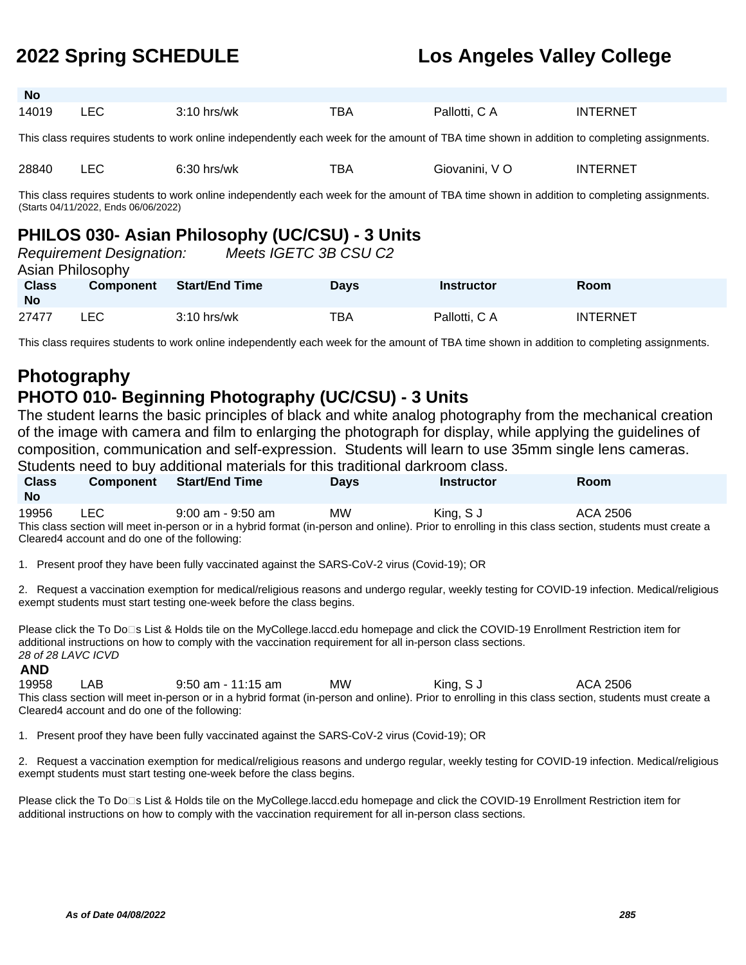| <b>No</b>                                                                                                                                   |       |               |     |                |                 |  |  |
|---------------------------------------------------------------------------------------------------------------------------------------------|-------|---------------|-----|----------------|-----------------|--|--|
| 14019                                                                                                                                       | ∟EC – | $3:10$ hrs/wk | ТВА | Pallotti, C A  | <b>INTERNET</b> |  |  |
|                                                                                                                                             |       |               |     |                |                 |  |  |
| This class requires students to work online independently each week for the amount of TBA time shown in addition to completing assignments. |       |               |     |                |                 |  |  |
|                                                                                                                                             |       |               |     |                |                 |  |  |
| 28840                                                                                                                                       | LEC   | $6:30$ hrs/wk | тва | Giovanini. V O | <b>INTERNET</b> |  |  |

This class requires students to work online independently each week for the amount of TBA time shown in addition to completing assignments. (Starts 04/11/2022, Ends 06/06/2022)

### **PHILOS 030- Asian Philosophy (UC/CSU) - 3 Units**

| Asian Philosophy          | <b>Requirement Designation:</b> | Meets IGETC 3B CSU C2 |             |                   |                 |
|---------------------------|---------------------------------|-----------------------|-------------|-------------------|-----------------|
| <b>Class</b><br><b>No</b> | <b>Component</b>                | <b>Start/End Time</b> | <b>Days</b> | <b>Instructor</b> | Room            |
| 27477                     | LEC.                            | $3:10$ hrs/wk         | TBA         | Pallotti, C A     | <b>INTERNET</b> |

This class requires students to work online independently each week for the amount of TBA time shown in addition to completing assignments.

## **Photography PHOTO 010- Beginning Photography (UC/CSU) - 3 Units**

The student learns the basic principles of black and white analog photography from the mechanical creation of the image with camera and film to enlarging the photograph for display, while applying the guidelines of composition, communication and self-expression. Students will learn to use 35mm single lens cameras. Students need to buy additional materials for this traditional darkroom class.

| <b>Class</b><br><b>No</b>                                                                                                                             | <b>Component</b> | <b>Start/End Time</b> | <b>Davs</b> | <b>Instructor</b> | <b>Room</b> |  |
|-------------------------------------------------------------------------------------------------------------------------------------------------------|------------------|-----------------------|-------------|-------------------|-------------|--|
| 19956                                                                                                                                                 | LEC.             | $9:00$ am - $9:50$ am | MW          | King, S J         | ACA 2506    |  |
| This class section will meet in-person or in a hybrid format (in-person and online). Prior to enrolling in this class section, students must create a |                  |                       |             |                   |             |  |
| Cleared4 account and do one of the following:                                                                                                         |                  |                       |             |                   |             |  |

1. Present proof they have been fully vaccinated against the SARS-CoV-2 virus (Covid-19); OR

2. Request a vaccination exemption for medical/religious reasons and undergo regular, weekly testing for COVID-19 infection. Medical/religious exempt students must start testing one-week before the class begins.

Please click the To Do<sup>n</sup>s List & Holds tile on the MyCollege.laccd.edu homepage and click the COVID-19 Enrollment Restriction item for additional instructions on how to comply with the vaccination requirement for all in-person class sections. 28 of 28 LAVC ICVD

### **AND**

19958 LAB 9:50 am - 11:15 am MW King, S J ACA 2506 This class section will meet in-person or in a hybrid format (in-person and online). Prior to enrolling in this class section, students must create a Cleared4 account and do one of the following:

1. Present proof they have been fully vaccinated against the SARS-CoV-2 virus (Covid-19); OR

2. Request a vaccination exemption for medical/religious reasons and undergo regular, weekly testing for COVID-19 infection. Medical/religious exempt students must start testing one-week before the class begins.

Please click the To Do<sup>n</sup>s List & Holds tile on the MyCollege.laccd.edu homepage and click the COVID-19 Enrollment Restriction item for additional instructions on how to comply with the vaccination requirement for all in-person class sections.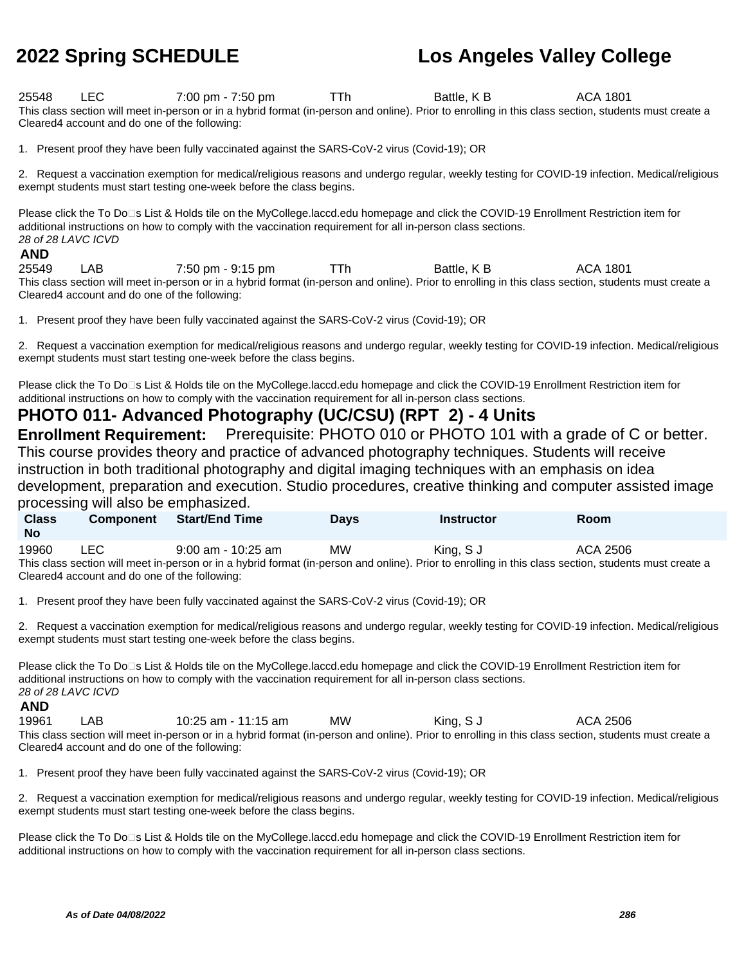25548 LEC 7:00 pm - 7:50 pm TTh Battle, K B ACA 1801 This class section will meet in-person or in a hybrid format (in-person and online). Prior to enrolling in this class section, students must create a Cleared4 account and do one of the following:

1. Present proof they have been fully vaccinated against the SARS-CoV-2 virus (Covid-19); OR

2. Request a vaccination exemption for medical/religious reasons and undergo regular, weekly testing for COVID-19 infection. Medical/religious exempt students must start testing one-week before the class begins.

Please click the To Do⊡s List & Holds tile on the MyCollege.laccd.edu homepage and click the COVID-19 Enrollment Restriction item for additional instructions on how to comply with the vaccination requirement for all in-person class sections. 28 of 28 LAVC ICVD

### **AND**

25549 LAB 7:50 pm - 9:15 pm TTh Battle, K B ACA 1801 This class section will meet in-person or in a hybrid format (in-person and online). Prior to enrolling in this class section, students must create a Cleared4 account and do one of the following:

1. Present proof they have been fully vaccinated against the SARS-CoV-2 virus (Covid-19); OR

2. Request a vaccination exemption for medical/religious reasons and undergo regular, weekly testing for COVID-19 infection. Medical/religious exempt students must start testing one-week before the class begins.

Please click the To Do⊡s List & Holds tile on the MyCollege.laccd.edu homepage and click the COVID-19 Enrollment Restriction item for additional instructions on how to comply with the vaccination requirement for all in-person class sections.

### **PHOTO 011- Advanced Photography (UC/CSU) (RPT 2) - 4 Units**

**Enrollment Requirement:** Prerequisite: PHOTO 010 or PHOTO 101 with a grade of C or better. This course provides theory and practice of advanced photography techniques. Students will receive instruction in both traditional photography and digital imaging techniques with an emphasis on idea development, preparation and execution. Studio procedures, creative thinking and computer assisted image processing will also be emphasized.

| prococoling will didd bo critiquidoleod.                                                                                                              |                  |                       |             |                   |             |  |  |
|-------------------------------------------------------------------------------------------------------------------------------------------------------|------------------|-----------------------|-------------|-------------------|-------------|--|--|
| <b>Class</b>                                                                                                                                          | <b>Component</b> | <b>Start/End Time</b> | <b>Davs</b> | <b>Instructor</b> | <b>Room</b> |  |  |
| <b>No</b>                                                                                                                                             |                  |                       |             |                   |             |  |  |
| 19960                                                                                                                                                 | LEC.             | $9:00$ am - 10:25 am  | МW          | King, S J         | ACA 2506    |  |  |
| This class section will meet in-person or in a hybrid format (in-person and online). Prior to enrolling in this class section, students must create a |                  |                       |             |                   |             |  |  |

Cleared4 account and do one of the following:

1. Present proof they have been fully vaccinated against the SARS-CoV-2 virus (Covid-19); OR

2. Request a vaccination exemption for medical/religious reasons and undergo regular, weekly testing for COVID-19 infection. Medical/religious exempt students must start testing one-week before the class begins.

Please click the To Do□s List & Holds tile on the MyCollege.laccd.edu homepage and click the COVID-19 Enrollment Restriction item for additional instructions on how to comply with the vaccination requirement for all in-person class sections. 28 of 28 LAVC ICVD

### **AND**

19961 LAB 10:25 am - 11:15 am MW King, S J ACA 2506 This class section will meet in-person or in a hybrid format (in-person and online). Prior to enrolling in this class section, students must create a Cleared4 account and do one of the following:

1. Present proof they have been fully vaccinated against the SARS-CoV-2 virus (Covid-19); OR

2. Request a vaccination exemption for medical/religious reasons and undergo regular, weekly testing for COVID-19 infection. Medical/religious exempt students must start testing one-week before the class begins.

Please click the To Do⊡s List & Holds tile on the MyCollege.laccd.edu homepage and click the COVID-19 Enrollment Restriction item for additional instructions on how to comply with the vaccination requirement for all in-person class sections.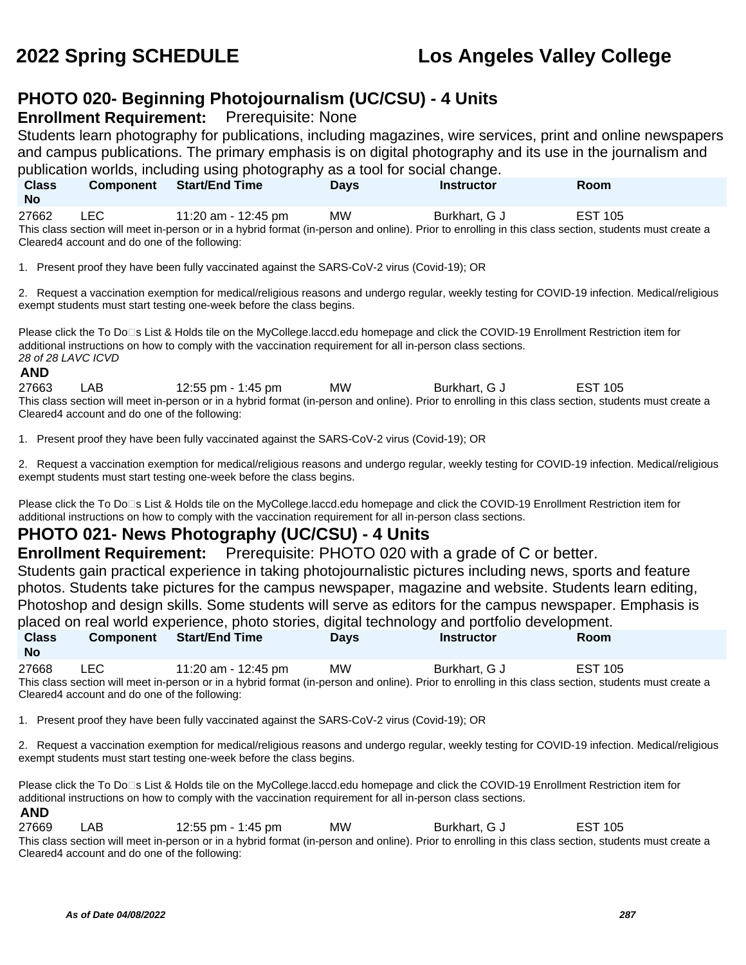### **PHOTO 020- Beginning Photojournalism (UC/CSU) - 4 Units**

**Enrollment Requirement:** Prerequisite: None

Students learn photography for publications, including magazines, wire services, print and online newspapers and campus publications. The primary emphasis is on digital photography and its use in the journalism and publication worlds, including using photography as a tool for social change.

| publication worlds, including using priotography as a tool for social change.                                                                         |                  |                       |             |                   |                |  |  |
|-------------------------------------------------------------------------------------------------------------------------------------------------------|------------------|-----------------------|-------------|-------------------|----------------|--|--|
| <b>Class</b><br><b>No</b>                                                                                                                             | <b>Component</b> | <b>Start/End Time</b> | <b>Davs</b> | <b>Instructor</b> | <b>Room</b>    |  |  |
| 27662                                                                                                                                                 | LEC.             | 11:20 am - 12:45 pm   | MW.         | Burkhart, G J     | <b>EST 105</b> |  |  |
| This class section will meet in-person or in a hybrid format (in-person and online). Prior to enrolling in this class section, students must create a |                  |                       |             |                   |                |  |  |

Cleared4 account and do one of the following:

1. Present proof they have been fully vaccinated against the SARS-CoV-2 virus (Covid-19); OR

2. Request a vaccination exemption for medical/religious reasons and undergo regular, weekly testing for COVID-19 infection. Medical/religious exempt students must start testing one-week before the class begins.

Please click the To Do⊡s List & Holds tile on the MyCollege.laccd.edu homepage and click the COVID-19 Enrollment Restriction item for additional instructions on how to comply with the vaccination requirement for all in-person class sections. 28 of 28 LAVC ICVD

### **AND**

27663 LAB 12:55 pm - 1:45 pm MW Burkhart, G J EST 105 This class section will meet in-person or in a hybrid format (in-person and online). Prior to enrolling in this class section, students must create a Cleared4 account and do one of the following:

1. Present proof they have been fully vaccinated against the SARS-CoV-2 virus (Covid-19); OR

2. Request a vaccination exemption for medical/religious reasons and undergo regular, weekly testing for COVID-19 infection. Medical/religious exempt students must start testing one-week before the class begins.

Please click the To Do⊡s List & Holds tile on the MyCollege.laccd.edu homepage and click the COVID-19 Enrollment Restriction item for additional instructions on how to comply with the vaccination requirement for all in-person class sections.

### **PHOTO 021- News Photography (UC/CSU) - 4 Units**

**Enrollment Requirement:** Prerequisite: PHOTO 020 with a grade of C or better.

Students gain practical experience in taking photojournalistic pictures including news, sports and feature photos. Students take pictures for the campus newspaper, magazine and website. Students learn editing, Photoshop and design skills. Some students will serve as editors for the campus newspaper. Emphasis is placed on real world experience, photo stories, digital technology and portfolio development.

|                                                                                                                                                       |                  |                       |             | piaced on real world experience, prioto stories, digital technology and portiolio development. |             |  |
|-------------------------------------------------------------------------------------------------------------------------------------------------------|------------------|-----------------------|-------------|------------------------------------------------------------------------------------------------|-------------|--|
| <b>Class</b><br><b>No</b>                                                                                                                             | <b>Component</b> | <b>Start/End Time</b> | <b>Davs</b> | <b>Instructor</b>                                                                              | <b>Room</b> |  |
| 27668                                                                                                                                                 | LEC              | 11:20 am - 12:45 pm   | МW          | Burkhart, G J                                                                                  | EST 105     |  |
| This class section will meet in-person or in a hybrid format (in-person and online). Prior to enrolling in this class section, students must create a |                  |                       |             |                                                                                                |             |  |
| Cleared4 account and do one of the following:                                                                                                         |                  |                       |             |                                                                                                |             |  |

1. Present proof they have been fully vaccinated against the SARS-CoV-2 virus (Covid-19); OR

2. Request a vaccination exemption for medical/religious reasons and undergo regular, weekly testing for COVID-19 infection. Medical/religious exempt students must start testing one-week before the class begins.

Please click the To Do□s List & Holds tile on the MyCollege.laccd.edu homepage and click the COVID-19 Enrollment Restriction item for additional instructions on how to comply with the vaccination requirement for all in-person class sections.

### **AND**

27669 LAB 12:55 pm - 1:45 pm MW Burkhart, G J EST 105 This class section will meet in-person or in a hybrid format (in-person and online). Prior to enrolling in this class section, students must create a Cleared4 account and do one of the following: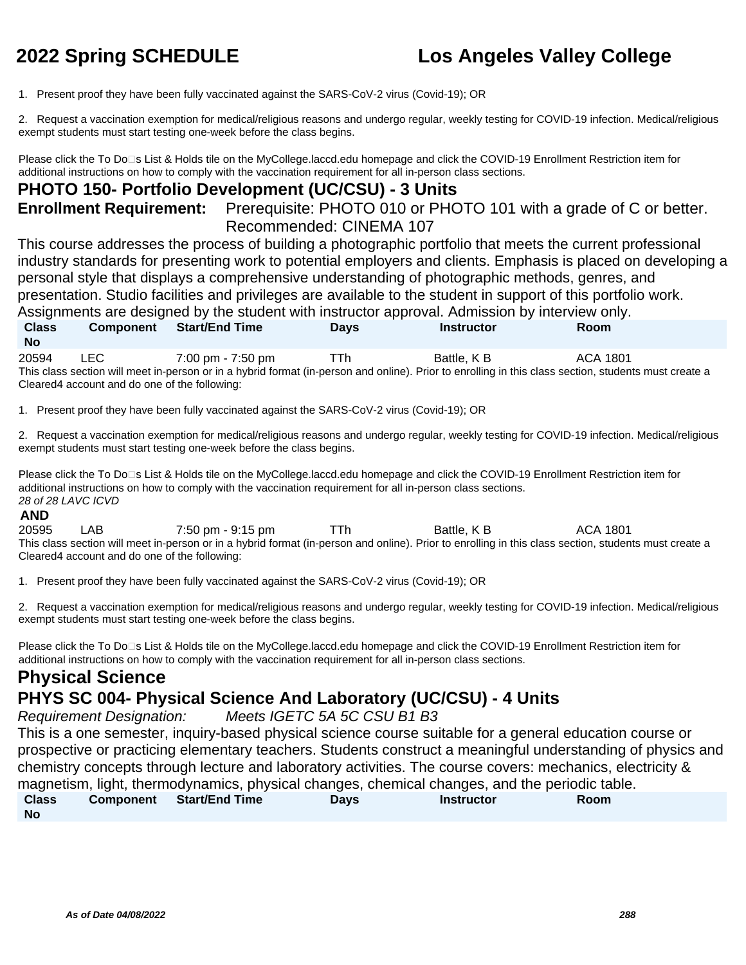1. Present proof they have been fully vaccinated against the SARS-CoV-2 virus (Covid-19); OR

2. Request a vaccination exemption for medical/religious reasons and undergo regular, weekly testing for COVID-19 infection. Medical/religious exempt students must start testing one-week before the class begins.

Please click the To Do⊡s List & Holds tile on the MyCollege.laccd.edu homepage and click the COVID-19 Enrollment Restriction item for additional instructions on how to comply with the vaccination requirement for all in-person class sections.

### **PHOTO 150- Portfolio Development (UC/CSU) - 3 Units**

**Enrollment Requirement:** Prerequisite: PHOTO 010 or PHOTO 101 with a grade of C or better. Recommended: CINEMA 107

This course addresses the process of building a photographic portfolio that meets the current professional industry standards for presenting work to potential employers and clients. Emphasis is placed on developing a personal style that displays a comprehensive understanding of photographic methods, genres, and presentation. Studio facilities and privileges are available to the student in support of this portfolio work. Assignments are designed by the student with instructor approval. Admission by interview only. **Class No Component Start/End Time Days Instructor Room**

20594 LEC 7:00 pm - 7:50 pm TTh Battle, K B ACA 1801 This class section will meet in-person or in a hybrid format (in-person and online). Prior to enrolling in this class section, students must create a Cleared4 account and do one of the following:

1. Present proof they have been fully vaccinated against the SARS-CoV-2 virus (Covid-19); OR

2. Request a vaccination exemption for medical/religious reasons and undergo regular, weekly testing for COVID-19 infection. Medical/religious exempt students must start testing one-week before the class begins.

Please click the To Do⊡s List & Holds tile on the MyCollege.laccd.edu homepage and click the COVID-19 Enrollment Restriction item for additional instructions on how to comply with the vaccination requirement for all in-person class sections. 28 of 28 LAVC ICVD

### **AND**

20595 LAB 7:50 pm - 9:15 pm TTh Battle, K B ACA 1801 This class section will meet in-person or in a hybrid format (in-person and online). Prior to enrolling in this class section, students must create a Cleared4 account and do one of the following:

1. Present proof they have been fully vaccinated against the SARS-CoV-2 virus (Covid-19); OR

2. Request a vaccination exemption for medical/religious reasons and undergo regular, weekly testing for COVID-19 infection. Medical/religious exempt students must start testing one-week before the class begins.

Please click the To Do□s List & Holds tile on the MyCollege.laccd.edu homepage and click the COVID-19 Enrollment Restriction item for additional instructions on how to comply with the vaccination requirement for all in-person class sections.

### **Physical Science PHYS SC 004- Physical Science And Laboratory (UC/CSU) - 4 Units**

Requirement Designation: Meets IGETC 5A 5C CSU B1 B3

This is a one semester, inquiry-based physical science course suitable for a general education course or prospective or practicing elementary teachers. Students construct a meaningful understanding of physics and chemistry concepts through lecture and laboratory activities. The course covers: mechanics, electricity & magnetism, light, thermodynamics, physical changes, chemical changes, and the periodic table. **Class No Component Start/End Time Days Instructor Room**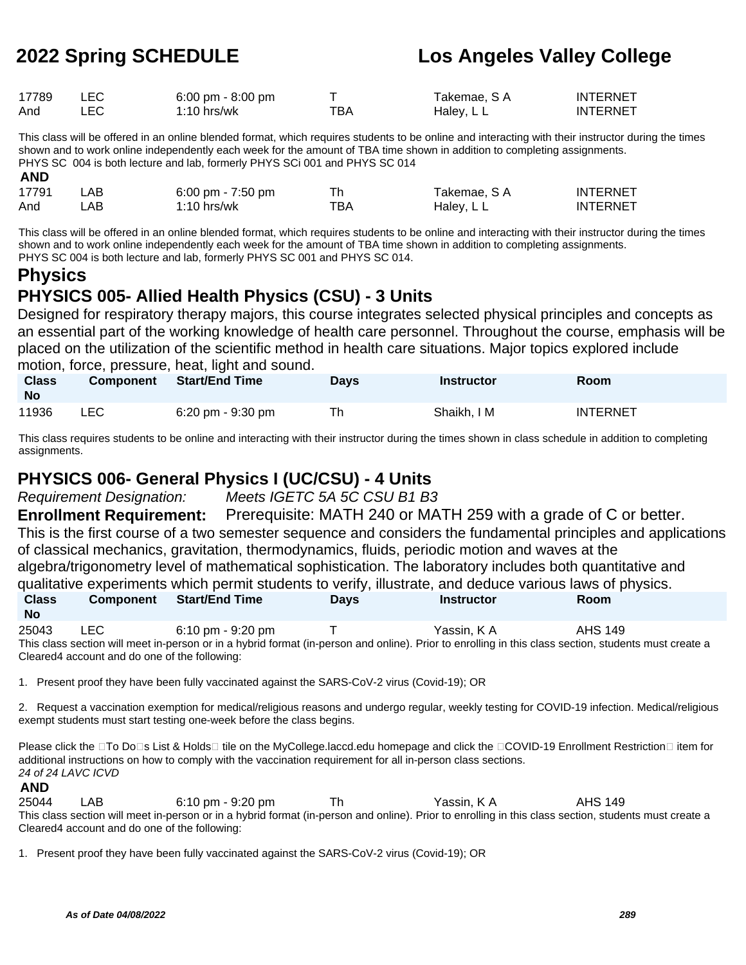| 17789 |       | 6:00 pm - 8:00 pm |     | Takemae. S A | <b>INTERNET</b> |
|-------|-------|-------------------|-----|--------------|-----------------|
| And   | ∟EC I | $1:10$ hrs/wk     | TBA | Haley, L L   | <b>INTERNET</b> |

This class will be offered in an online blended format, which requires students to be online and interacting with their instructor during the times shown and to work online independently each week for the amount of TBA time shown in addition to completing assignments. PHYS SC 004 is both lecture and lab, formerly PHYS SCi 001 and PHYS SC 014 **AND**

| .     |       |                     |     |              |                 |
|-------|-------|---------------------|-----|--------------|-----------------|
| 17791 | '_AB  | 6:00 pm - $7:50$ pm |     | Takemae. S A | <b>INTERNET</b> |
| And   | _AB . | $1:10$ hrs/wk       | тва | Haley, L L   | <b>INTERNET</b> |

This class will be offered in an online blended format, which requires students to be online and interacting with their instructor during the times shown and to work online independently each week for the amount of TBA time shown in addition to completing assignments. PHYS SC 004 is both lecture and lab, formerly PHYS SC 001 and PHYS SC 014.

# **Physics**

## **PHYSICS 005- Allied Health Physics (CSU) - 3 Units**

Designed for respiratory therapy majors, this course integrates selected physical principles and concepts as an essential part of the working knowledge of health care personnel. Throughout the course, emphasis will be placed on the utilization of the scientific method in health care situations. Major topics explored include motion, force, pressure, heat, light and sound.

| <b>Class</b><br><b>No</b> | <b>Component</b> | <b>Start/End Time</b>               | Days | <b>Instructor</b> | <b>Room</b>     |
|---------------------------|------------------|-------------------------------------|------|-------------------|-----------------|
| 11936                     | LEC              | $6:20 \text{ pm} - 9:30 \text{ pm}$ | Th   | Shaikh, I M       | <b>INTERNET</b> |

This class requires students to be online and interacting with their instructor during the times shown in class schedule in addition to completing assignments.

### **PHYSICS 006- General Physics I (UC/CSU) - 4 Units**

Requirement Designation: Meets IGETC 5A 5C CSU B1 B3

**Enrollment Requirement:** Prerequisite: MATH 240 or MATH 259 with a grade of C or better. This is the first course of a two semester sequence and considers the fundamental principles and applications of classical mechanics, gravitation, thermodynamics, fluids, periodic motion and waves at the algebra/trigonometry level of mathematical sophistication. The laboratory includes both quantitative and qualitative experiments which permit students to verify, illustrate, and deduce various laws of physics. **Class Component Start/End Time Days Instructor Room**

| No    |       |                                               |                                                                                                                                                       |         |  |
|-------|-------|-----------------------------------------------|-------------------------------------------------------------------------------------------------------------------------------------------------------|---------|--|
| 25043 | LEC . | 6:10 pm - 9:20 pm                             | Yassin. K A                                                                                                                                           | AHS 149 |  |
|       |       |                                               | This class section will meet in-person or in a hybrid format (in-person and online). Prior to enrolling in this class section, students must create a |         |  |
|       |       | Cleared4 account and do one of the following: |                                                                                                                                                       |         |  |

1. Present proof they have been fully vaccinated against the SARS-CoV-2 virus (Covid-19); OR

2. Request a vaccination exemption for medical/religious reasons and undergo regular, weekly testing for COVID-19 infection. Medical/religious exempt students must start testing one-week before the class begins.

Please click the □To Do□s List & Holds□ tile on the MyCollege.laccd.edu homepage and click the □COVID-19 Enrollment Restriction□ item for additional instructions on how to comply with the vaccination requirement for all in-person class sections. 24 of 24 LAVC ICVD

**AND**

25044 LAB 6:10 pm - 9:20 pm Th Yassin, K A AHS 149 This class section will meet in-person or in a hybrid format (in-person and online). Prior to enrolling in this class section, students must create a Cleared4 account and do one of the following:

1. Present proof they have been fully vaccinated against the SARS-CoV-2 virus (Covid-19); OR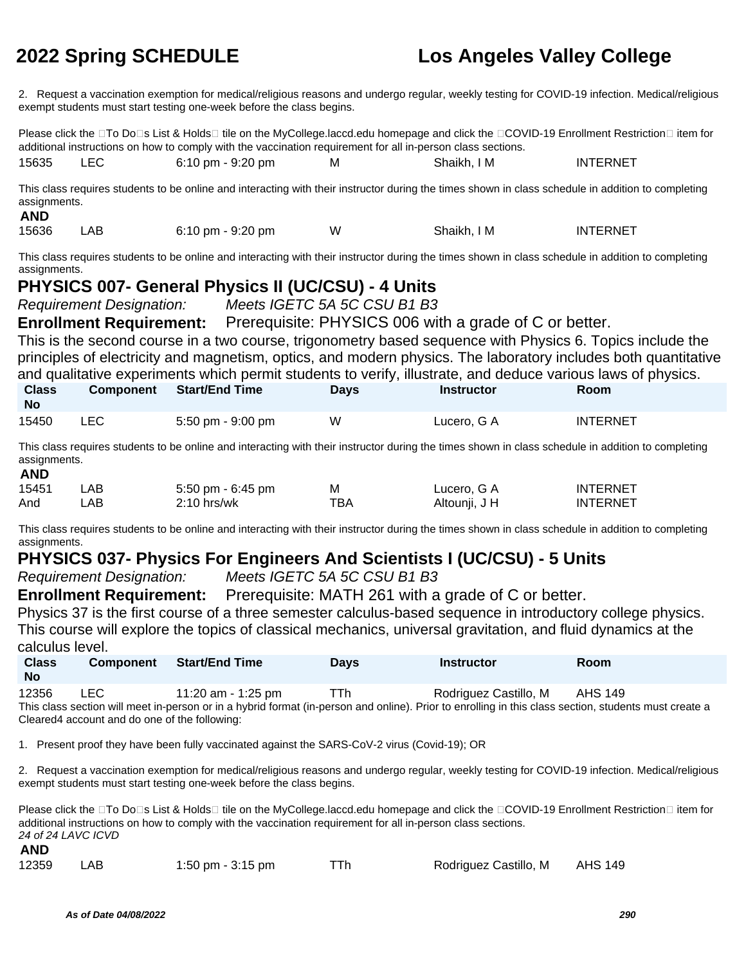2. Request a vaccination exemption for medical/religious reasons and undergo regular, weekly testing for COVID-19 infection. Medical/religious exempt students must start testing one-week before the class begins.

Please click the □To Do□s List & Holds□ tile on the MyCollege.laccd.edu homepage and click the □COVID-19 Enrollment Restriction□ item for additional instructions on how to comply with the vaccination requirement for all in-person class sections. 15635 LEC 6:10 pm - 9:20 pm M Shaikh, I M INTERNET

This class requires students to be online and interacting with their instructor during the times shown in class schedule in addition to completing assignments.

| 15636<br>АB | $6:10 \text{ pm} - 9:20 \text{ pm}$ | w | Shaikh. I M | INTERNET |
|-------------|-------------------------------------|---|-------------|----------|
|-------------|-------------------------------------|---|-------------|----------|

This class requires students to be online and interacting with their instructor during the times shown in class schedule in addition to completing assignments.

### **PHYSICS 007- General Physics II (UC/CSU) - 4 Units**

Requirement Designation: Meets IGETC 5A 5C CSU B1 B3

**Enrollment Requirement:** Prerequisite: PHYSICS 006 with a grade of C or better.

This is the second course in a two course, trigonometry based sequence with Physics 6. Topics include the principles of electricity and magnetism, optics, and modern physics. The laboratory includes both quantitative and qualitative experiments which permit students to verify, illustrate, and deduce various laws of physics.

| <b>Class</b><br><b>No</b> | <b>Component</b> | Start/End Time                      | Days | Instructor  | <b>Room</b>     |  |
|---------------------------|------------------|-------------------------------------|------|-------------|-----------------|--|
| 15450                     | LEC              | $5:50 \text{ pm} - 9:00 \text{ pm}$ | W    | Lucero. G A | <b>INTERNET</b> |  |

This class requires students to be online and interacting with their instructor during the times shown in class schedule in addition to completing assignments.

### **AND**

**AND**

| 15451 | LAB | 5:50 pm - 6:45 pm | M   | Lucero, G A   | <b>INTERNET</b> |
|-------|-----|-------------------|-----|---------------|-----------------|
| And   | .AB | 2:10 hrs/wk       | тва | Altounji, J H | <b>INTERNET</b> |

This class requires students to be online and interacting with their instructor during the times shown in class schedule in addition to completing assignments.

### **PHYSICS 037- Physics For Engineers And Scientists I (UC/CSU) - 5 Units**

Requirement Designation: Meets IGETC 5A 5C CSU B1 B3

**Enrollment Requirement:** Prerequisite: MATH 261 with a grade of C or better.

Physics 37 is the first course of a three semester calculus-based sequence in introductory college physics. This course will explore the topics of classical mechanics, universal gravitation, and fluid dynamics at the calculus level.

| <b>Class</b><br><b>No</b> | <b>Component</b> | Start/End Time     | Days | <b>Instructor</b>                                                                                                                                     | <b>Room</b> |  |
|---------------------------|------------------|--------------------|------|-------------------------------------------------------------------------------------------------------------------------------------------------------|-------------|--|
| 12356                     | LEC.             | 11:20 am - 1:25 pm | ⊤Тh  | Rodriguez Castillo, M                                                                                                                                 | AHS 149     |  |
|                           |                  |                    |      | This close section will meet in person or in a bybrid format (in person and opling). Prior to eprolling in this close section, students must create a |             |  |

This class section will meet in-person or in a hybrid format (in-person and online). Prior to enrolling in this class section, students must create a Cleared4 account and do one of the following:

1. Present proof they have been fully vaccinated against the SARS-CoV-2 virus (Covid-19); OR

2. Request a vaccination exemption for medical/religious reasons and undergo regular, weekly testing for COVID-19 infection. Medical/religious exempt students must start testing one-week before the class begins.

Please click the □To Do□s List & Holds□ tile on the MyCollege.laccd.edu homepage and click the □COVID-19 Enrollment Restriction□ item for additional instructions on how to comply with the vaccination requirement for all in-person class sections. 24 of 24 LAVC ICVD

| <b>AND</b> |     |                   |                               |  |
|------------|-----|-------------------|-------------------------------|--|
| 12359      | LAB | 1:50 pm - 3:15 pm | Rodriguez Castillo, M AHS 149 |  |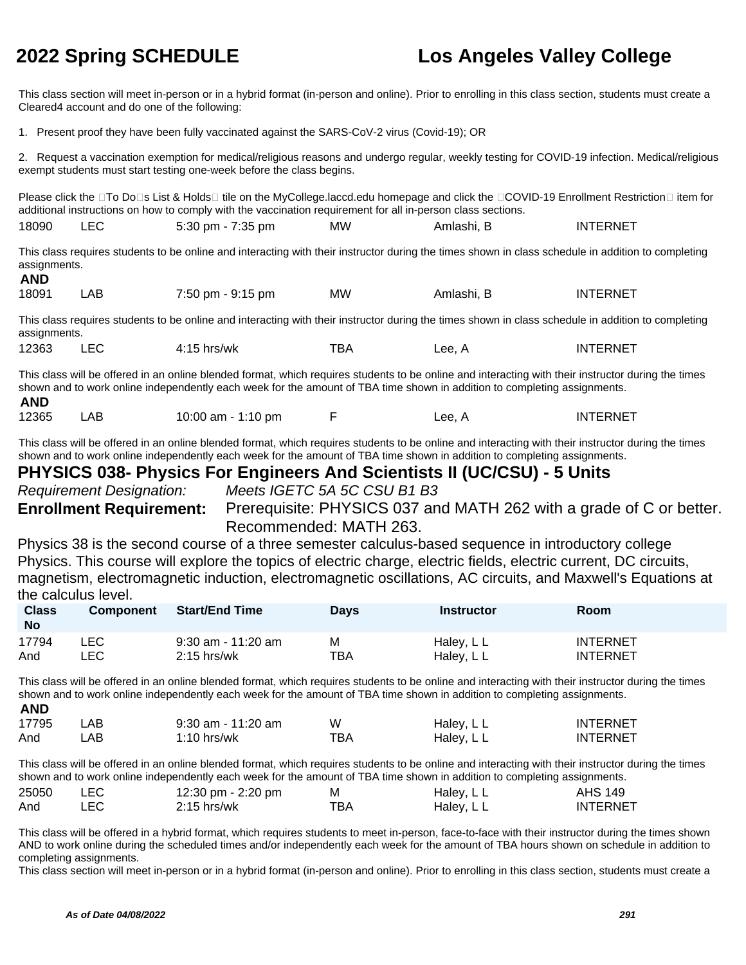This class section will meet in-person or in a hybrid format (in-person and online). Prior to enrolling in this class section, students must create a Cleared4 account and do one of the following:

1. Present proof they have been fully vaccinated against the SARS-CoV-2 virus (Covid-19); OR

2. Request a vaccination exemption for medical/religious reasons and undergo regular, weekly testing for COVID-19 infection. Medical/religious exempt students must start testing one-week before the class begins.

Please click the □To Do□s List & Holds□ tile on the MyCollege.laccd.edu homepage and click the □COVID-19 Enrollment Restriction□ item for additional instructions on how to comply with the vaccination requirement for all in-person class sections.

| 18090 |  | $5:30$ pm - $7:35$ pm | <b>MW</b> | – Amlashi. ∟ | <b>INTERNET</b> |
|-------|--|-----------------------|-----------|--------------|-----------------|
|-------|--|-----------------------|-----------|--------------|-----------------|

This class requires students to be online and interacting with their instructor during the times shown in class schedule in addition to completing assignments. **AND**

| 18091 | LAB | 7:50 pm - 9:15 pm | MW | Amlashi. B | <b>INTERNET</b> |
|-------|-----|-------------------|----|------------|-----------------|
|-------|-----|-------------------|----|------------|-----------------|

This class requires students to be online and interacting with their instructor during the times shown in class schedule in addition to completing assignments.

| 12363 |  | hrs/wk<br><b>1.15</b><br>1 J | ™ВА | Lee. A<br>__ | <b>INTERNET</b> |
|-------|--|------------------------------|-----|--------------|-----------------|
|-------|--|------------------------------|-----|--------------|-----------------|

This class will be offered in an online blended format, which requires students to be online and interacting with their instructor during the times shown and to work online independently each week for the amount of TBA time shown in addition to completing assignments. **AND**

| 12365 | LAB | 10:00 am - 1:10 pm |  | Lee. A | <b>INTERNET</b> |
|-------|-----|--------------------|--|--------|-----------------|
|-------|-----|--------------------|--|--------|-----------------|

This class will be offered in an online blended format, which requires students to be online and interacting with their instructor during the times shown and to work online independently each week for the amount of TBA time shown in addition to completing assignments.

## **PHYSICS 038- Physics For Engineers And Scientists II (UC/CSU) - 5 Units**

Requirement Designation: Meets IGETC 5A 5C CSU B1 B3

**Enrollment Requirement:** Prerequisite: PHYSICS 037 and MATH 262 with a grade of C or better. Recommended: MATH 263.

Physics 38 is the second course of a three semester calculus-based sequence in introductory college Physics. This course will explore the topics of electric charge, electric fields, electric current, DC circuits, magnetism, electromagnetic induction, electromagnetic oscillations, AC circuits, and Maxwell's Equations at the calculus level.

| <b>Class</b><br>No | <b>Component</b> | <b>Start/End Time</b> | <b>Days</b> | Instructor | Room            |
|--------------------|------------------|-----------------------|-------------|------------|-----------------|
| 17794              | _EC_             | $9:30$ am - 11:20 am  | м           | Haley, L L | <b>INTERNET</b> |
| And                | .EC              | $2:15$ hrs/wk         | TBA         | Haley, L L | <b>INTERNET</b> |

This class will be offered in an online blended format, which requires students to be online and interacting with their instructor during the times shown and to work online independently each week for the amount of TBA time shown in addition to completing assignments. **AND**

| .     |     |                    |     |            |                 |
|-------|-----|--------------------|-----|------------|-----------------|
| 17795 | .AB | 9:30 am - 11:20 am | W   | Haley, L L | <b>INTERNET</b> |
| And   | .AB | $1:10$ hrs/wk      | ТВА | Haley, L L | <b>INTERNET</b> |

This class will be offered in an online blended format, which requires students to be online and interacting with their instructor during the times shown and to work online independently each week for the amount of TBA time shown in addition to completing assignments.

| 25050 | LEC  | 12:30 pm - 2:20 pm | M    | Haley, L L | <b>AHS 149</b>  |
|-------|------|--------------------|------|------------|-----------------|
| And   | LEC. | $2:15$ hrs/wk      | тва. | Haley, L L | <b>INTERNET</b> |

This class will be offered in a hybrid format, which requires students to meet in-person, face-to-face with their instructor during the times shown AND to work online during the scheduled times and/or independently each week for the amount of TBA hours shown on schedule in addition to completing assignments.

This class section will meet in-person or in a hybrid format (in-person and online). Prior to enrolling in this class section, students must create a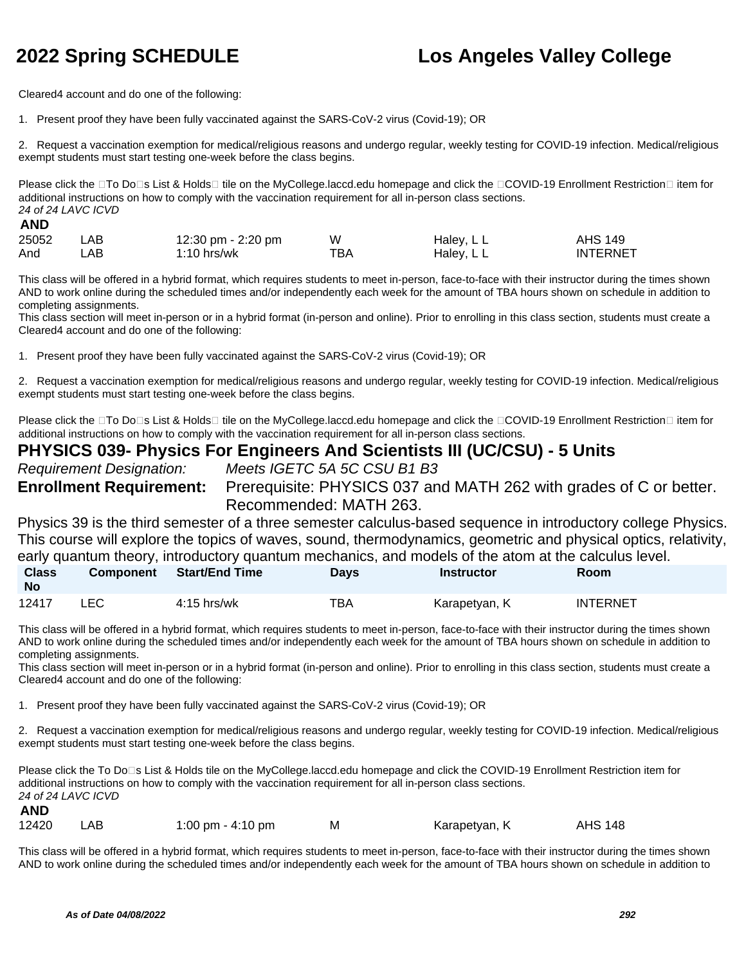Cleared4 account and do one of the following:

1. Present proof they have been fully vaccinated against the SARS-CoV-2 virus (Covid-19); OR

2. Request a vaccination exemption for medical/religious reasons and undergo regular, weekly testing for COVID-19 infection. Medical/religious exempt students must start testing one-week before the class begins.

Please click the □To Do□s List & Holds□ tile on the MyCollege.laccd.edu homepage and click the □COVID-19 Enrollment Restriction□ item for additional instructions on how to comply with the vaccination requirement for all in-person class sections. 24 of 24 LAVC ICVD

### **AND**

| 25052 | LAB | 12:30 pm - 2:20 pm | W   | Haley, L L | AHS 149         |
|-------|-----|--------------------|-----|------------|-----------------|
| And   | AB- | $1:10$ hrs/wk      | TBA | Haley, L L | <b>INTERNET</b> |

This class will be offered in a hybrid format, which requires students to meet in-person, face-to-face with their instructor during the times shown AND to work online during the scheduled times and/or independently each week for the amount of TBA hours shown on schedule in addition to completing assignments.

This class section will meet in-person or in a hybrid format (in-person and online). Prior to enrolling in this class section, students must create a Cleared4 account and do one of the following:

1. Present proof they have been fully vaccinated against the SARS-CoV-2 virus (Covid-19); OR

2. Request a vaccination exemption for medical/religious reasons and undergo regular, weekly testing for COVID-19 infection. Medical/religious exempt students must start testing one-week before the class begins.

Please click the □To Do□s List & Holds□ tile on the MyCollege.laccd.edu homepage and click the □COVID-19 Enrollment Restriction□ item for additional instructions on how to comply with the vaccination requirement for all in-person class sections.

### **PHYSICS 039- Physics For Engineers And Scientists III (UC/CSU) - 5 Units**

Requirement Designation: Meets IGETC 5A 5C CSU B1 B3

**Enrollment Requirement:** Prerequisite: PHYSICS 037 and MATH 262 with grades of C or better. Recommended: MATH 263.

Physics 39 is the third semester of a three semester calculus-based sequence in introductory college Physics. This course will explore the topics of waves, sound, thermodynamics, geometric and physical optics, relativity, early quantum theory, introductory quantum mechanics, and models of the atom at the calculus level.

| <b>Class</b><br><b>No</b> | <b>Component</b> | <b>Start/End Time</b> | Days | <b>Instructor</b> | <b>Room</b> |
|---------------------------|------------------|-----------------------|------|-------------------|-------------|
| 12417                     |                  | $4:15$ hrs/wk         | TBA  | Karapetyan, K     | INTERNET    |

This class will be offered in a hybrid format, which requires students to meet in-person, face-to-face with their instructor during the times shown AND to work online during the scheduled times and/or independently each week for the amount of TBA hours shown on schedule in addition to completing assignments.

This class section will meet in-person or in a hybrid format (in-person and online). Prior to enrolling in this class section, students must create a Cleared4 account and do one of the following:

1. Present proof they have been fully vaccinated against the SARS-CoV-2 virus (Covid-19); OR

2. Request a vaccination exemption for medical/religious reasons and undergo regular, weekly testing for COVID-19 infection. Medical/religious exempt students must start testing one-week before the class begins.

Please click the To Do⊡s List & Holds tile on the MyCollege.laccd.edu homepage and click the COVID-19 Enrollment Restriction item for additional instructions on how to comply with the vaccination requirement for all in-person class sections. 24 of 24 LAVC ICVD

| 12420 | LAB | 1:00 pm $-$ 4:10 pm | M | Karapetyan, K | <b>AHS 148</b> |
|-------|-----|---------------------|---|---------------|----------------|
|-------|-----|---------------------|---|---------------|----------------|

This class will be offered in a hybrid format, which requires students to meet in-person, face-to-face with their instructor during the times shown AND to work online during the scheduled times and/or independently each week for the amount of TBA hours shown on schedule in addition to

**AND**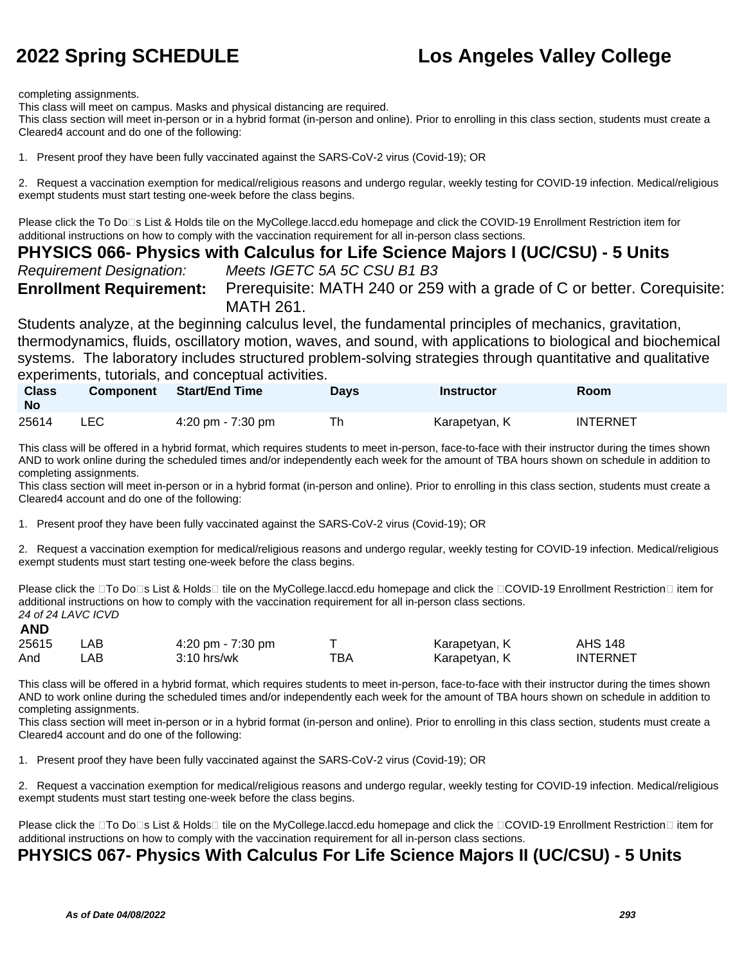completing assignments.

This class will meet on campus. Masks and physical distancing are required.

This class section will meet in-person or in a hybrid format (in-person and online). Prior to enrolling in this class section, students must create a Cleared4 account and do one of the following:

1. Present proof they have been fully vaccinated against the SARS-CoV-2 virus (Covid-19); OR

2. Request a vaccination exemption for medical/religious reasons and undergo regular, weekly testing for COVID-19 infection. Medical/religious exempt students must start testing one-week before the class begins.

Please click the To Do⊡s List & Holds tile on the MyCollege.laccd.edu homepage and click the COVID-19 Enrollment Restriction item for additional instructions on how to comply with the vaccination requirement for all in-person class sections.

### **PHYSICS 066- Physics with Calculus for Life Science Majors I (UC/CSU) - 5 Units**

Requirement Designation: Meets IGETC 5A 5C CSU B1 B3

**Enrollment Requirement:** Prerequisite: MATH 240 or 259 with a grade of C or better. Corequisite: MATH 261.

Students analyze, at the beginning calculus level, the fundamental principles of mechanics, gravitation, thermodynamics, fluids, oscillatory motion, waves, and sound, with applications to biological and biochemical systems. The laboratory includes structured problem-solving strategies through quantitative and qualitative experiments, tutorials, and conceptual activities.

| <b>Class</b><br>- No | Component | <b>Start/End Time</b> | <b>Days</b> | <b>Instructor</b> | <b>Room</b>     |
|----------------------|-----------|-----------------------|-------------|-------------------|-----------------|
| 25614                | LEC.      | 4:20 pm - $7:30$ pm   | Th          | Karapetyan, K     | <b>INTERNET</b> |

This class will be offered in a hybrid format, which requires students to meet in-person, face-to-face with their instructor during the times shown AND to work online during the scheduled times and/or independently each week for the amount of TBA hours shown on schedule in addition to completing assignments.

This class section will meet in-person or in a hybrid format (in-person and online). Prior to enrolling in this class section, students must create a Cleared4 account and do one of the following:

1. Present proof they have been fully vaccinated against the SARS-CoV-2 virus (Covid-19); OR

2. Request a vaccination exemption for medical/religious reasons and undergo regular, weekly testing for COVID-19 infection. Medical/religious exempt students must start testing one-week before the class begins.

Please click the □To Do□s List & Holds□ tile on the MyCollege.laccd.edu homepage and click the □COVID-19 Enrollment Restriction□ item for additional instructions on how to comply with the vaccination requirement for all in-person class sections. 24 of 24 LAVC ICVD **AND**

| <b>AII</b> |       |                     |     |               |                 |
|------------|-------|---------------------|-----|---------------|-----------------|
| 25615      | LAB.  | 4:20 pm - $7:30$ pm |     | Karapetyan, K | <b>AHS 148</b>  |
| And        | _AB . | $3:10$ hrs/wk       | тва | Karapetyan, K | <b>INTERNET</b> |

This class will be offered in a hybrid format, which requires students to meet in-person, face-to-face with their instructor during the times shown AND to work online during the scheduled times and/or independently each week for the amount of TBA hours shown on schedule in addition to completing assignments.

This class section will meet in-person or in a hybrid format (in-person and online). Prior to enrolling in this class section, students must create a Cleared4 account and do one of the following:

1. Present proof they have been fully vaccinated against the SARS-CoV-2 virus (Covid-19); OR

2. Request a vaccination exemption for medical/religious reasons and undergo regular, weekly testing for COVID-19 infection. Medical/religious exempt students must start testing one-week before the class begins.

Please click the □To Do□s List & Holds□ tile on the MyCollege.laccd.edu homepage and click the □COVID-19 Enrollment Restriction□ item for additional instructions on how to comply with the vaccination requirement for all in-person class sections.

### **PHYSICS 067- Physics With Calculus For Life Science Majors II (UC/CSU) - 5 Units**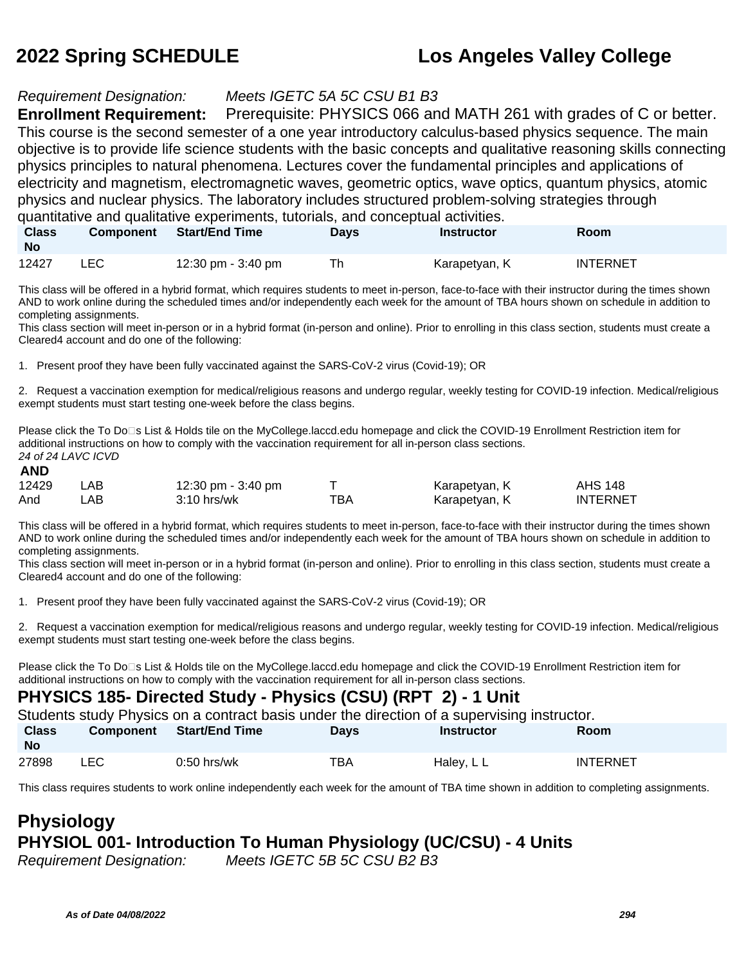### Requirement Designation: Meets IGETC 5A 5C CSU B1 B3

**Enrollment Requirement:** Prerequisite: PHYSICS 066 and MATH 261 with grades of C or better. This course is the second semester of a one year introductory calculus-based physics sequence. The main objective is to provide life science students with the basic concepts and qualitative reasoning skills connecting physics principles to natural phenomena. Lectures cover the fundamental principles and applications of electricity and magnetism, electromagnetic waves, geometric optics, wave optics, quantum physics, atomic physics and nuclear physics. The laboratory includes structured problem-solving strategies through quantitative and qualitative experiments, tutorials, and conceptual activities.

**Class No Component Start/End Time Days Instructor Room** 12427 LEC 12:30 pm - 3:40 pm Th Karapetyan, K INTERNET

This class will be offered in a hybrid format, which requires students to meet in-person, face-to-face with their instructor during the times shown AND to work online during the scheduled times and/or independently each week for the amount of TBA hours shown on schedule in addition to completing assignments.

This class section will meet in-person or in a hybrid format (in-person and online). Prior to enrolling in this class section, students must create a Cleared4 account and do one of the following:

1. Present proof they have been fully vaccinated against the SARS-CoV-2 virus (Covid-19); OR

2. Request a vaccination exemption for medical/religious reasons and undergo regular, weekly testing for COVID-19 infection. Medical/religious exempt students must start testing one-week before the class begins.

Please click the To Do⊡s List & Holds tile on the MyCollege.laccd.edu homepage and click the COVID-19 Enrollment Restriction item for additional instructions on how to comply with the vaccination requirement for all in-person class sections. 24 of 24 LAVC ICVD **AND**

| л11   |      |                    |     |               |                 |
|-------|------|--------------------|-----|---------------|-----------------|
| 12429 | LAB  | 12:30 pm - 3:40 pm |     | Karapetyan, K | <b>AHS 148</b>  |
| And   | LAB. | $3:10$ hrs/wk      | тва | Karapetyan, K | <b>INTERNET</b> |

This class will be offered in a hybrid format, which requires students to meet in-person, face-to-face with their instructor during the times shown AND to work online during the scheduled times and/or independently each week for the amount of TBA hours shown on schedule in addition to completing assignments.

This class section will meet in-person or in a hybrid format (in-person and online). Prior to enrolling in this class section, students must create a Cleared4 account and do one of the following:

1. Present proof they have been fully vaccinated against the SARS-CoV-2 virus (Covid-19); OR

2. Request a vaccination exemption for medical/religious reasons and undergo regular, weekly testing for COVID-19 infection. Medical/religious exempt students must start testing one-week before the class begins.

Please click the To Do□s List & Holds tile on the MyCollege.laccd.edu homepage and click the COVID-19 Enrollment Restriction item for additional instructions on how to comply with the vaccination requirement for all in-person class sections.

### **PHYSICS 185- Directed Study - Physics (CSU) (RPT 2) - 1 Unit**

Students study Physics on a contract basis under the direction of a supervising instructor.

| <b>Class</b><br><b>No</b> | <b>Component</b> | <b>Start/End Time</b> | Days | <b>Instructor</b> | Room            |
|---------------------------|------------------|-----------------------|------|-------------------|-----------------|
| 27898                     | LEC              | $0:50$ hrs/wk         | ТВА  | Haley, L L        | <b>INTERNET</b> |

This class requires students to work online independently each week for the amount of TBA time shown in addition to completing assignments.

## **Physiology PHYSIOL 001- Introduction To Human Physiology (UC/CSU) - 4 Units**

Requirement Designation: Meets IGETC 5B 5C CSU B2 B3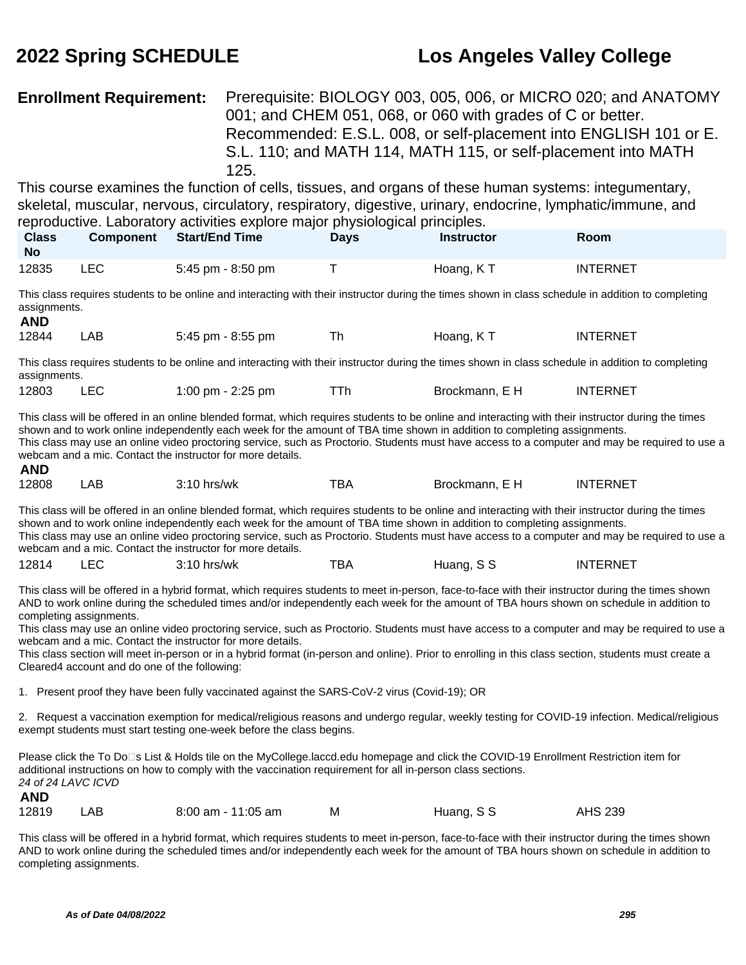### **Enrollment Requirement:** Prerequisite: BIOLOGY 003, 005, 006, or MICRO 020; and ANATOMY 001; and CHEM 051, 068, or 060 with grades of C or better. Recommended: E.S.L. 008, or self-placement into ENGLISH 101 or E. S.L. 110; and MATH 114, MATH 115, or self-placement into MATH 125.

This course examines the function of cells, tissues, and organs of these human systems: integumentary, skeletal, muscular, nervous, circulatory, respiratory, digestive, urinary, endocrine, lymphatic/immune, and reproductive. Laboratory activities explore major physiological principles.

| <b>Class</b><br><b>No</b> | <b>Component</b> | Start/End Time    | Days | <b>Instructor</b> | Room            |  |
|---------------------------|------------------|-------------------|------|-------------------|-----------------|--|
| 12835                     | ∟EC              | 5:45 pm - 8:50 pm |      | Hoang, KT         | <b>INTERNET</b> |  |

This class requires students to be online and interacting with their instructor during the times shown in class schedule in addition to completing assignments. **AND**

| 12844 | LAB | 5:45 pm - 8:55 pm |  | Hoang, KT | <b>INTERNET</b> |
|-------|-----|-------------------|--|-----------|-----------------|
|-------|-----|-------------------|--|-----------|-----------------|

This class requires students to be online and interacting with their instructor during the times shown in class schedule in addition to completing assignments.

| 12803 |  | 1:00 pm $-$ 2:25 pm |  | Brockmann, E H | <b>INTERNET</b> |
|-------|--|---------------------|--|----------------|-----------------|
|-------|--|---------------------|--|----------------|-----------------|

This class will be offered in an online blended format, which requires students to be online and interacting with their instructor during the times shown and to work online independently each week for the amount of TBA time shown in addition to completing assignments. This class may use an online video proctoring service, such as Proctorio. Students must have access to a computer and may be required to use a webcam and a mic. Contact the instructor for more details. **AND**

| mΝΜ          |    |                      |           |                 |              |
|--------------|----|----------------------|-----------|-----------------|--------------|
| 12808<br>___ | АE | hrs/wk<br>,,,<br>. . | TDA<br>DF | Brockmann.<br>_ | .-RNF<br>INE |

This class will be offered in an online blended format, which requires students to be online and interacting with their instructor during the times shown and to work online independently each week for the amount of TBA time shown in addition to completing assignments. This class may use an online video proctoring service, such as Proctorio. Students must have access to a computer and may be required to use a webcam and a mic. Contact the instructor for more details.

| 12814 | ᄕᄔ | $3:10$ hrs/wk | <b>TD</b><br>BА | Huang, S S | <b>INTERNET</b> |
|-------|----|---------------|-----------------|------------|-----------------|
|-------|----|---------------|-----------------|------------|-----------------|

This class will be offered in a hybrid format, which requires students to meet in-person, face-to-face with their instructor during the times shown AND to work online during the scheduled times and/or independently each week for the amount of TBA hours shown on schedule in addition to completing assignments.

This class may use an online video proctoring service, such as Proctorio. Students must have access to a computer and may be required to use a webcam and a mic. Contact the instructor for more details.

This class section will meet in-person or in a hybrid format (in-person and online). Prior to enrolling in this class section, students must create a Cleared4 account and do one of the following:

1. Present proof they have been fully vaccinated against the SARS-CoV-2 virus (Covid-19); OR

2. Request a vaccination exemption for medical/religious reasons and undergo regular, weekly testing for COVID-19 infection. Medical/religious exempt students must start testing one-week before the class begins.

Please click the To Do⊡s List & Holds tile on the MyCollege.laccd.edu homepage and click the COVID-19 Enrollment Restriction item for additional instructions on how to comply with the vaccination requirement for all in-person class sections. 24 of 24 LAVC ICVD **AND**

| 12819 | LAB | 8:00 am - 11:05 am | м | Huang, S S | AHS 239 |
|-------|-----|--------------------|---|------------|---------|

This class will be offered in a hybrid format, which requires students to meet in-person, face-to-face with their instructor during the times shown AND to work online during the scheduled times and/or independently each week for the amount of TBA hours shown on schedule in addition to completing assignments.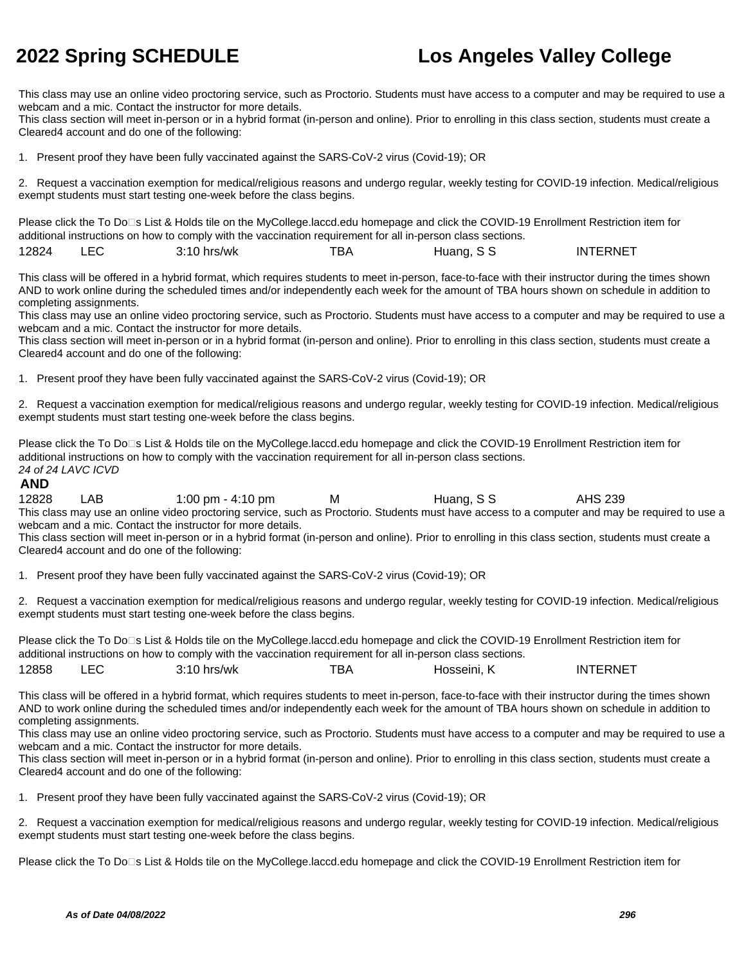This class may use an online video proctoring service, such as Proctorio. Students must have access to a computer and may be required to use a webcam and a mic. Contact the instructor for more details.

This class section will meet in-person or in a hybrid format (in-person and online). Prior to enrolling in this class section, students must create a Cleared4 account and do one of the following:

1. Present proof they have been fully vaccinated against the SARS-CoV-2 virus (Covid-19); OR

2. Request a vaccination exemption for medical/religious reasons and undergo regular, weekly testing for COVID-19 infection. Medical/religious exempt students must start testing one-week before the class begins.

Please click the To Do⊡s List & Holds tile on the MyCollege.laccd.edu homepage and click the COVID-19 Enrollment Restriction item for additional instructions on how to comply with the vaccination requirement for all in-person class sections.

| 12824 | ro-<br>- | 3:10<br>hrs/wk | ™ВА | S S<br>Huang, | <b>INTERNET</b> |
|-------|----------|----------------|-----|---------------|-----------------|
|-------|----------|----------------|-----|---------------|-----------------|

This class will be offered in a hybrid format, which requires students to meet in-person, face-to-face with their instructor during the times shown AND to work online during the scheduled times and/or independently each week for the amount of TBA hours shown on schedule in addition to completing assignments.

This class may use an online video proctoring service, such as Proctorio. Students must have access to a computer and may be required to use a webcam and a mic. Contact the instructor for more details.

This class section will meet in-person or in a hybrid format (in-person and online). Prior to enrolling in this class section, students must create a Cleared4 account and do one of the following:

1. Present proof they have been fully vaccinated against the SARS-CoV-2 virus (Covid-19); OR

2. Request a vaccination exemption for medical/religious reasons and undergo regular, weekly testing for COVID-19 infection. Medical/religious exempt students must start testing one-week before the class begins.

Please click the To Do□s List & Holds tile on the MyCollege.laccd.edu homepage and click the COVID-19 Enrollment Restriction item for additional instructions on how to comply with the vaccination requirement for all in-person class sections. 24 of 24 LAVC ICVD

### **AND**

12828 LAB 1:00 pm - 4:10 pm M Huang, S S AHS 239 This class may use an online video proctoring service, such as Proctorio. Students must have access to a computer and may be required to use a webcam and a mic. Contact the instructor for more details.

This class section will meet in-person or in a hybrid format (in-person and online). Prior to enrolling in this class section, students must create a Cleared4 account and do one of the following:

1. Present proof they have been fully vaccinated against the SARS-CoV-2 virus (Covid-19); OR

2. Request a vaccination exemption for medical/religious reasons and undergo regular, weekly testing for COVID-19 infection. Medical/religious exempt students must start testing one-week before the class begins.

Please click the To Do□s List & Holds tile on the MyCollege.laccd.edu homepage and click the COVID-19 Enrollment Restriction item for additional instructions on how to comply with the vaccination requirement for all in-person class sections. 12858 LEC 3:10 hrs/wk TBA Hosseini, K INTERNET

This class will be offered in a hybrid format, which requires students to meet in-person, face-to-face with their instructor during the times shown AND to work online during the scheduled times and/or independently each week for the amount of TBA hours shown on schedule in addition to completing assignments.

This class may use an online video proctoring service, such as Proctorio. Students must have access to a computer and may be required to use a webcam and a mic. Contact the instructor for more details.

This class section will meet in-person or in a hybrid format (in-person and online). Prior to enrolling in this class section, students must create a Cleared4 account and do one of the following:

1. Present proof they have been fully vaccinated against the SARS-CoV-2 virus (Covid-19); OR

2. Request a vaccination exemption for medical/religious reasons and undergo regular, weekly testing for COVID-19 infection. Medical/religious exempt students must start testing one-week before the class begins.

Please click the To Do□s List & Holds tile on the MyCollege.laccd.edu homepage and click the COVID-19 Enrollment Restriction item for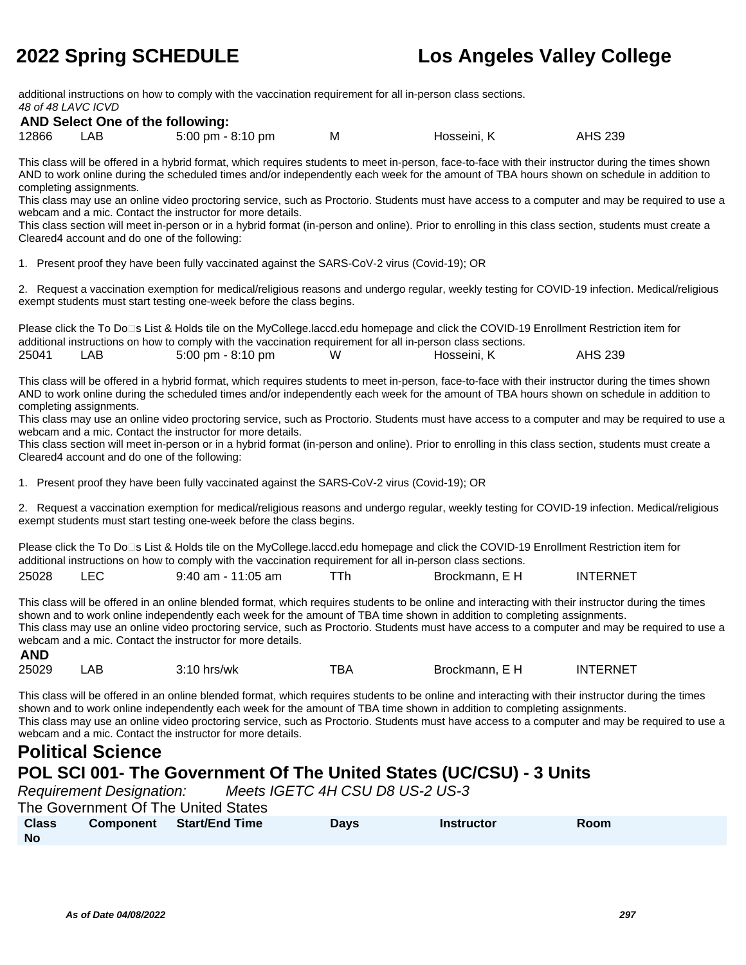additional instructions on how to comply with the vaccination requirement for all in-person class sections. 48 of 48 LAVC ICVD

### **AND Select One of the following:**

| 12866 | LAB. | 5:00 pm - 8:10 pm | М | Hosseini, K | AHS 239 |
|-------|------|-------------------|---|-------------|---------|
|-------|------|-------------------|---|-------------|---------|

This class will be offered in a hybrid format, which requires students to meet in-person, face-to-face with their instructor during the times shown AND to work online during the scheduled times and/or independently each week for the amount of TBA hours shown on schedule in addition to completing assignments.

This class may use an online video proctoring service, such as Proctorio. Students must have access to a computer and may be required to use a webcam and a mic. Contact the instructor for more details.

This class section will meet in-person or in a hybrid format (in-person and online). Prior to enrolling in this class section, students must create a Cleared4 account and do one of the following:

1. Present proof they have been fully vaccinated against the SARS-CoV-2 virus (Covid-19); OR

2. Request a vaccination exemption for medical/religious reasons and undergo regular, weekly testing for COVID-19 infection. Medical/religious exempt students must start testing one-week before the class begins.

Please click the To Do<sup>n</sup>s List & Holds tile on the MyCollege.laccd.edu homepage and click the COVID-19 Enrollment Restriction item for additional instructions on how to comply with the vaccination requirement for all in-person class sections. 25041 LAB 5:00 pm - 8:10 pm W Hosseini, K AHS 239

This class will be offered in a hybrid format, which requires students to meet in-person, face-to-face with their instructor during the times shown AND to work online during the scheduled times and/or independently each week for the amount of TBA hours shown on schedule in addition to completing assignments.

This class may use an online video proctoring service, such as Proctorio. Students must have access to a computer and may be required to use a webcam and a mic. Contact the instructor for more details.

This class section will meet in-person or in a hybrid format (in-person and online). Prior to enrolling in this class section, students must create a Cleared4 account and do one of the following:

1. Present proof they have been fully vaccinated against the SARS-CoV-2 virus (Covid-19); OR

2. Request a vaccination exemption for medical/religious reasons and undergo regular, weekly testing for COVID-19 infection. Medical/religious exempt students must start testing one-week before the class begins.

Please click the To Do□s List & Holds tile on the MyCollege.laccd.edu homepage and click the COVID-19 Enrollment Restriction item for additional instructions on how to comply with the vaccination requirement for all in-person class sections. 25028 LEC 9:40 am - 11:05 am TTh Brockmann, E H INTERNET

This class will be offered in an online blended format, which requires students to be online and interacting with their instructor during the times shown and to work online independently each week for the amount of TBA time shown in addition to completing assignments. This class may use an online video proctoring service, such as Proctorio. Students must have access to a computer and may be required to use a webcam and a mic. Contact the instructor for more details. **AND**

| <b>AIV</b> |     |               |     |                |                 |
|------------|-----|---------------|-----|----------------|-----------------|
| 25029      | AB. | $3:10$ hrs/wk | TBA | Brockmann, E H | <b>INTERNET</b> |

This class will be offered in an online blended format, which requires students to be online and interacting with their instructor during the times shown and to work online independently each week for the amount of TBA time shown in addition to completing assignments. This class may use an online video proctoring service, such as Proctorio. Students must have access to a computer and may be required to use a webcam and a mic. Contact the instructor for more details.

## **Political Science**

### **POL SCI 001- The Government Of The United States (UC/CSU) - 3 Units**

|              | <b>Requirement Designation:</b>     |                       | Meets IGETC 4H CSU D8 US-2 US-3 |                   |             |
|--------------|-------------------------------------|-----------------------|---------------------------------|-------------------|-------------|
|              | The Government Of The United States |                       |                                 |                   |             |
| <b>Class</b> | <b>Component</b>                    | <b>Start/End Time</b> | <b>Davs</b>                     | <b>Instructor</b> | <b>Room</b> |
| <b>No</b>    |                                     |                       |                                 |                   |             |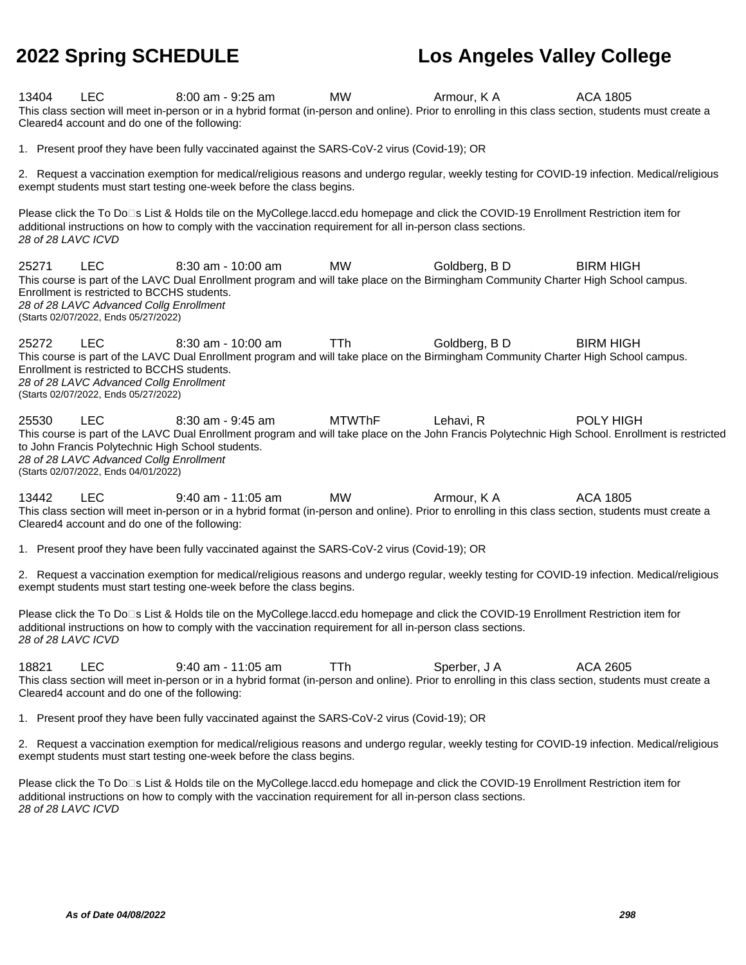| 13404 | <b>LEC</b><br>Cleared4 account and do one of the following:                                                                                  | $8:00$ am - $9:25$ am<br>This class section will meet in-person or in a hybrid format (in-person and online). Prior to enrolling in this class section, students must create a                                                                       | MW            | Armour, K A   | ACA 1805                                                                                                                                                       |
|-------|----------------------------------------------------------------------------------------------------------------------------------------------|------------------------------------------------------------------------------------------------------------------------------------------------------------------------------------------------------------------------------------------------------|---------------|---------------|----------------------------------------------------------------------------------------------------------------------------------------------------------------|
|       |                                                                                                                                              | 1. Present proof they have been fully vaccinated against the SARS-CoV-2 virus (Covid-19); OR                                                                                                                                                         |               |               |                                                                                                                                                                |
|       |                                                                                                                                              | 2. Request a vaccination exemption for medical/religious reasons and undergo regular, weekly testing for COVID-19 infection. Medical/religious<br>exempt students must start testing one-week before the class begins.                               |               |               |                                                                                                                                                                |
|       | 28 of 28 LAVC ICVD                                                                                                                           | Please click the To Do⊡s List & Holds tile on the MyCollege.laccd.edu homepage and click the COVID-19 Enrollment Restriction item for<br>additional instructions on how to comply with the vaccination requirement for all in-person class sections. |               |               |                                                                                                                                                                |
| 25271 | <b>LEC</b><br>Enrollment is restricted to BCCHS students.<br>28 of 28 LAVC Advanced Collg Enrollment<br>(Starts 02/07/2022, Ends 05/27/2022) | 8:30 am - 10:00 am<br>This course is part of the LAVC Dual Enrollment program and will take place on the Birmingham Community Charter High School campus.                                                                                            | <b>MW</b>     | Goldberg, B D | <b>BIRM HIGH</b>                                                                                                                                               |
| 25272 | <b>LEC</b><br>Enrollment is restricted to BCCHS students.<br>28 of 28 LAVC Advanced Collg Enrollment<br>(Starts 02/07/2022, Ends 05/27/2022) | 8:30 am - 10:00 am<br>This course is part of the LAVC Dual Enrollment program and will take place on the Birmingham Community Charter High School campus.                                                                                            | TTh           | Goldberg, B D | <b>BIRM HIGH</b>                                                                                                                                               |
| 25530 | <b>LEC</b><br>28 of 28 LAVC Advanced Collg Enrollment<br>(Starts 02/07/2022, Ends 04/01/2022)                                                | $8:30$ am - $9:45$ am<br>to John Francis Polytechnic High School students.                                                                                                                                                                           | <b>MTWThF</b> | Lehavi, R     | POLY HIGH<br>This course is part of the LAVC Dual Enrollment program and will take place on the John Francis Polytechnic High School. Enrollment is restricted |
| 13442 | <b>LEC</b><br>Cleared4 account and do one of the following:                                                                                  | 9:40 am - 11:05 am<br>This class section will meet in-person or in a hybrid format (in-person and online). Prior to enrolling in this class section, students must create a                                                                          | MW            | Armour, K A   | <b>ACA 1805</b>                                                                                                                                                |
|       |                                                                                                                                              | 1. Present proof they have been fully vaccinated against the SARS-CoV-2 virus (Covid-19); OR                                                                                                                                                         |               |               |                                                                                                                                                                |
|       |                                                                                                                                              | 2. Request a vaccination exemption for medical/religious reasons and undergo regular, weekly testing for COVID-19 infection. Medical/religious<br>exempt students must start testing one-week before the class begins.                               |               |               |                                                                                                                                                                |
|       | 28 of 28 LAVC ICVD                                                                                                                           | Please click the To Do□s List & Holds tile on the MyCollege.laccd.edu homepage and click the COVID-19 Enrollment Restriction item for<br>additional instructions on how to comply with the vaccination requirement for all in-person class sections. |               |               |                                                                                                                                                                |
| 18821 | <b>LEC</b><br>Cleared4 account and do one of the following:                                                                                  | $9:40$ am - 11:05 am<br>This class section will meet in-person or in a hybrid format (in-person and online). Prior to enrolling in this class section, students must create a                                                                        | TTh           | Sperber, J A  | ACA 2605                                                                                                                                                       |
|       |                                                                                                                                              | 1. Present proof they have been fully vaccinated against the SARS-CoV-2 virus (Covid-19); OR                                                                                                                                                         |               |               |                                                                                                                                                                |
|       |                                                                                                                                              |                                                                                                                                                                                                                                                      |               |               | 2 Requiest a vaccination exemption for medical/religious reasons and undergo requier weekly testing for COVID-19 infection Medical/religious                   |

2. Request a vaccination exemption for medical/religious reasons and undergo regular, weekly testing for COVID-19 infection. Medical/religious exempt students must start testing one-week before the class begins.

Please click the To Do<sup>n</sup>s List & Holds tile on the MyCollege.laccd.edu homepage and click the COVID-19 Enrollment Restriction item for additional instructions on how to comply with the vaccination requirement for all in-person class sections. 28 of 28 LAVC ICVD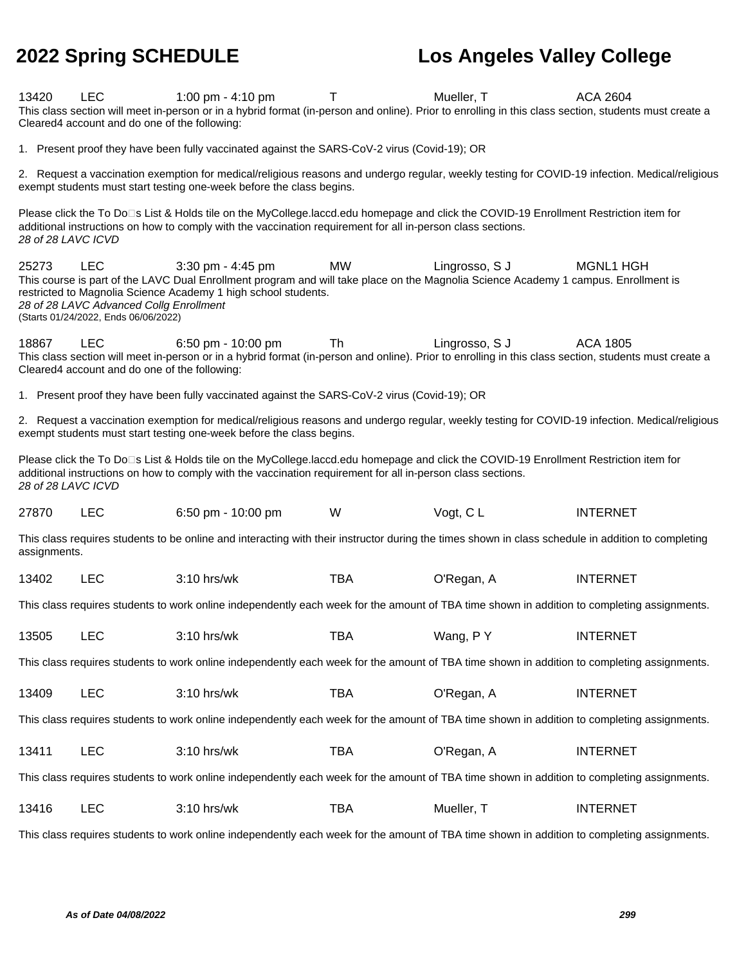**2022 Spring SCHEDULE Los Angeles Valley College** 13420 LEC 1:00 pm - 4:10 pm T Mueller, T ACA 2604 This class section will meet in-person or in a hybrid format (in-person and online). Prior to enrolling in this class section, students must create a Cleared4 account and do one of the following: 1. Present proof they have been fully vaccinated against the SARS-CoV-2 virus (Covid-19); OR 2. Request a vaccination exemption for medical/religious reasons and undergo regular, weekly testing for COVID-19 infection. Medical/religious exempt students must start testing one-week before the class begins. Please click the To Do<sup>n</sup>s List & Holds tile on the MyCollege.laccd.edu homepage and click the COVID-19 Enrollment Restriction item for additional instructions on how to comply with the vaccination requirement for all in-person class sections. 28 of 28 LAVC ICVD 25273 LEC 3:30 pm - 4:45 pm MW Lingrosso, S J MGNL1 HGH This course is part of the LAVC Dual Enrollment program and will take place on the Magnolia Science Academy 1 campus. Enrollment is restricted to Magnolia Science Academy 1 high school students. 28 of 28 LAVC Advanced Collg Enrollment (Starts 01/24/2022, Ends 06/06/2022) 18867 LEC 6:50 pm - 10:00 pm Th Lingrosso, S J ACA 1805 This class section will meet in-person or in a hybrid format (in-person and online). Prior to enrolling in this class section, students must create a Cleared4 account and do one of the following: 1. Present proof they have been fully vaccinated against the SARS-CoV-2 virus (Covid-19); OR 2. Request a vaccination exemption for medical/religious reasons and undergo regular, weekly testing for COVID-19 infection. Medical/religious exempt students must start testing one-week before the class begins. Please click the To Do<sup>n</sup>s List & Holds tile on the MyCollege.laccd.edu homepage and click the COVID-19 Enrollment Restriction item for additional instructions on how to comply with the vaccination requirement for all in-person class sections. 28 of 28 LAVC ICVD 27870 LEC 6:50 pm - 10:00 pm W Vogt, C L INTERNET This class requires students to be online and interacting with their instructor during the times shown in class schedule in addition to completing assignments. 13402 LEC 3:10 hrs/wk TBA O'Regan, A INTERNET This class requires students to work online independently each week for the amount of TBA time shown in addition to completing assignments. 13505 LEC 3:10 hrs/wk TBA Wang, P Y INTERNET This class requires students to work online independently each week for the amount of TBA time shown in addition to completing assignments. 13409 LEC 3:10 hrs/wk TBA O'Regan, A INTERNET This class requires students to work online independently each week for the amount of TBA time shown in addition to completing assignments. 13411 LEC 3:10 hrs/wk TBA O'Regan, A INTERNET This class requires students to work online independently each week for the amount of TBA time shown in addition to completing assignments. 13416 LEC 3:10 hrs/wk TBA Mueller, T INTERNET This class requires students to work online independently each week for the amount of TBA time shown in addition to completing assignments.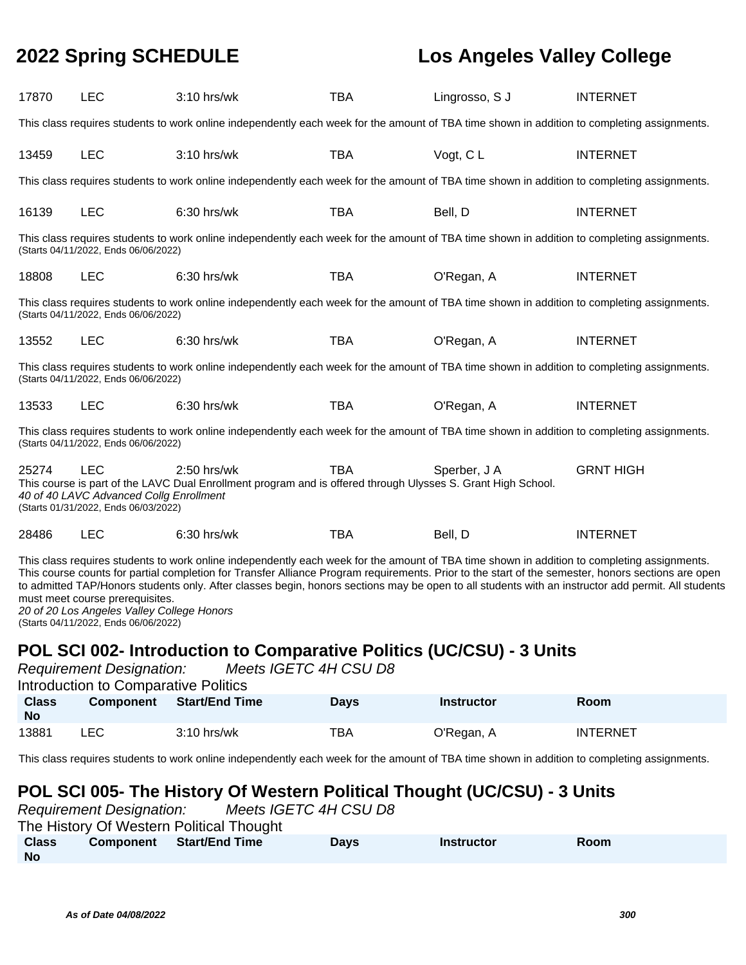| 17870                                                                                                                                                                                                                                                                                                                                                                                                                                                                                                                                                                            | <b>LEC</b>                                                                                    | 3:10 hrs/wk                                                                                                                                 | <b>TBA</b>  | Lingrosso, S J    | <b>INTERNET</b>  |  |  |
|----------------------------------------------------------------------------------------------------------------------------------------------------------------------------------------------------------------------------------------------------------------------------------------------------------------------------------------------------------------------------------------------------------------------------------------------------------------------------------------------------------------------------------------------------------------------------------|-----------------------------------------------------------------------------------------------|---------------------------------------------------------------------------------------------------------------------------------------------|-------------|-------------------|------------------|--|--|
|                                                                                                                                                                                                                                                                                                                                                                                                                                                                                                                                                                                  |                                                                                               | This class requires students to work online independently each week for the amount of TBA time shown in addition to completing assignments. |             |                   |                  |  |  |
| 13459                                                                                                                                                                                                                                                                                                                                                                                                                                                                                                                                                                            | <b>LEC</b>                                                                                    | 3:10 hrs/wk                                                                                                                                 | <b>TBA</b>  | Vogt, CL          | <b>INTERNET</b>  |  |  |
|                                                                                                                                                                                                                                                                                                                                                                                                                                                                                                                                                                                  |                                                                                               | This class requires students to work online independently each week for the amount of TBA time shown in addition to completing assignments. |             |                   |                  |  |  |
| 16139                                                                                                                                                                                                                                                                                                                                                                                                                                                                                                                                                                            | <b>LEC</b>                                                                                    | 6:30 hrs/wk                                                                                                                                 | <b>TBA</b>  | Bell, D           | <b>INTERNET</b>  |  |  |
|                                                                                                                                                                                                                                                                                                                                                                                                                                                                                                                                                                                  | (Starts 04/11/2022, Ends 06/06/2022)                                                          | This class requires students to work online independently each week for the amount of TBA time shown in addition to completing assignments. |             |                   |                  |  |  |
| 18808                                                                                                                                                                                                                                                                                                                                                                                                                                                                                                                                                                            | <b>LEC</b>                                                                                    | 6:30 hrs/wk                                                                                                                                 | <b>TBA</b>  | O'Regan, A        | <b>INTERNET</b>  |  |  |
|                                                                                                                                                                                                                                                                                                                                                                                                                                                                                                                                                                                  | (Starts 04/11/2022, Ends 06/06/2022)                                                          | This class requires students to work online independently each week for the amount of TBA time shown in addition to completing assignments. |             |                   |                  |  |  |
| 13552                                                                                                                                                                                                                                                                                                                                                                                                                                                                                                                                                                            | <b>LEC</b>                                                                                    | 6:30 hrs/wk                                                                                                                                 | <b>TBA</b>  | O'Regan, A        | <b>INTERNET</b>  |  |  |
|                                                                                                                                                                                                                                                                                                                                                                                                                                                                                                                                                                                  | (Starts 04/11/2022, Ends 06/06/2022)                                                          | This class requires students to work online independently each week for the amount of TBA time shown in addition to completing assignments. |             |                   |                  |  |  |
| 13533                                                                                                                                                                                                                                                                                                                                                                                                                                                                                                                                                                            | <b>LEC</b>                                                                                    | 6:30 hrs/wk                                                                                                                                 | <b>TBA</b>  | O'Regan, A        | <b>INTERNET</b>  |  |  |
|                                                                                                                                                                                                                                                                                                                                                                                                                                                                                                                                                                                  | (Starts 04/11/2022, Ends 06/06/2022)                                                          | This class requires students to work online independently each week for the amount of TBA time shown in addition to completing assignments. |             |                   |                  |  |  |
| 25274                                                                                                                                                                                                                                                                                                                                                                                                                                                                                                                                                                            | <b>LEC</b><br>40 of 40 LAVC Advanced Collg Enrollment<br>(Starts 01/31/2022, Ends 06/03/2022) | $2:50$ hrs/wk<br>This course is part of the LAVC Dual Enrollment program and is offered through Ulysses S. Grant High School.               | <b>TBA</b>  | Sperber, J A      | <b>GRNT HIGH</b> |  |  |
| 28486                                                                                                                                                                                                                                                                                                                                                                                                                                                                                                                                                                            | <b>LEC</b>                                                                                    | 6:30 hrs/wk                                                                                                                                 | <b>TBA</b>  | Bell, D           | <b>INTERNET</b>  |  |  |
| This class requires students to work online independently each week for the amount of TBA time shown in addition to completing assignments.<br>This course counts for partial completion for Transfer Alliance Program requirements. Prior to the start of the semester, honors sections are open<br>to admitted TAP/Honors students only. After classes begin, honors sections may be open to all students with an instructor add permit. All students<br>must meet course prerequisites.<br>20 of 20 Los Angeles Valley College Honors<br>(Starts 04/11/2022, Ends 06/06/2022) |                                                                                               |                                                                                                                                             |             |                   |                  |  |  |
| POL SCI 002- Introduction to Comparative Politics (UC/CSU) - 3 Units<br>Meets IGETC 4H CSU D8<br><b>Requirement Designation:</b><br><b>Introduction to Comparative Politics</b>                                                                                                                                                                                                                                                                                                                                                                                                  |                                                                                               |                                                                                                                                             |             |                   |                  |  |  |
| <b>Class</b><br><b>No</b>                                                                                                                                                                                                                                                                                                                                                                                                                                                                                                                                                        | <b>Component</b>                                                                              | <b>Start/End Time</b>                                                                                                                       | <b>Days</b> | <b>Instructor</b> | Room             |  |  |
| 13881                                                                                                                                                                                                                                                                                                                                                                                                                                                                                                                                                                            | <b>LEC</b>                                                                                    | 3:10 hrs/wk                                                                                                                                 | <b>TBA</b>  | O'Regan, A        | <b>INTERNET</b>  |  |  |
|                                                                                                                                                                                                                                                                                                                                                                                                                                                                                                                                                                                  |                                                                                               | This class requires students to work online independently each week for the amount of TBA time shown in addition to completing assignments. |             |                   |                  |  |  |
|                                                                                                                                                                                                                                                                                                                                                                                                                                                                                                                                                                                  |                                                                                               |                                                                                                                                             |             |                   |                  |  |  |

### **POL SCI 005- The History Of Western Political Thought (UC/CSU) - 3 Units**

| <b>Requirement Designation:</b> |                                          |  | Meets IGETC 4H CSU D8 |             |                   |      |
|---------------------------------|------------------------------------------|--|-----------------------|-------------|-------------------|------|
|                                 | The History Of Western Political Thought |  |                       |             |                   |      |
| <b>Class</b>                    | Component Start/End Time                 |  |                       | <b>Davs</b> | <b>Instructor</b> | Room |
| <b>No</b>                       |                                          |  |                       |             |                   |      |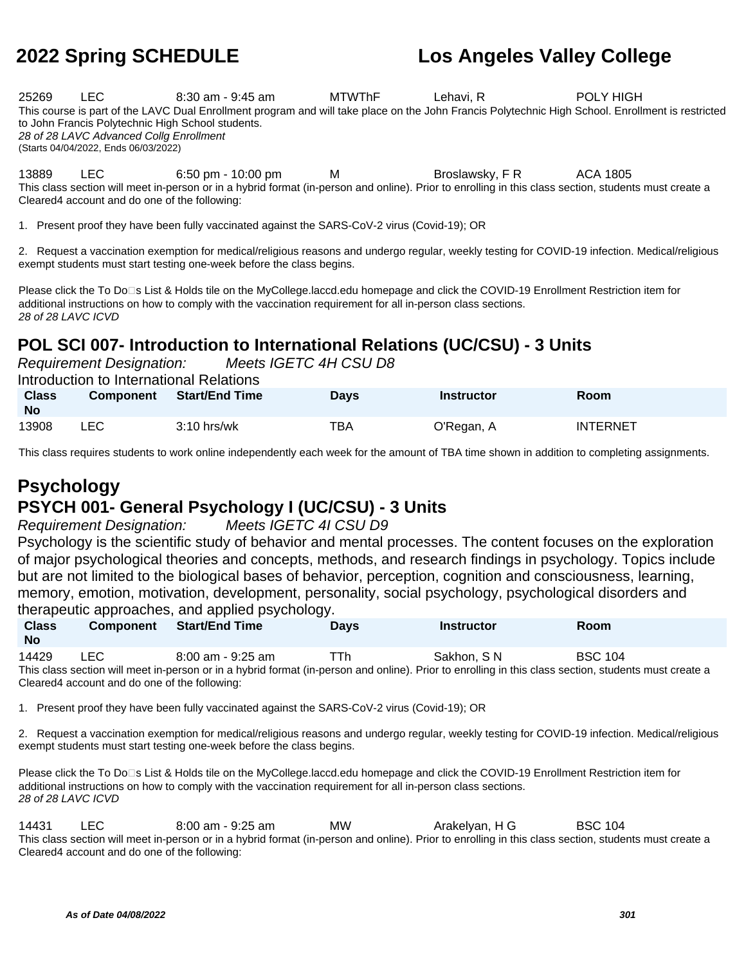25269 LEC 8:30 am - 9:45 am MTWThF Lehavi, R POLY HIGH This course is part of the LAVC Dual Enrollment program and will take place on the John Francis Polytechnic High School. Enrollment is restricted to John Francis Polytechnic High School students. 28 of 28 LAVC Advanced Collg Enrollment (Starts 04/04/2022, Ends 06/03/2022)

13889 LEC 6:50 pm - 10:00 pm M Broslawsky, F R ACA 1805 This class section will meet in-person or in a hybrid format (in-person and online). Prior to enrolling in this class section, students must create a Cleared4 account and do one of the following:

1. Present proof they have been fully vaccinated against the SARS-CoV-2 virus (Covid-19); OR

2. Request a vaccination exemption for medical/religious reasons and undergo regular, weekly testing for COVID-19 infection. Medical/religious exempt students must start testing one-week before the class begins.

Please click the To Do□s List & Holds tile on the MyCollege.laccd.edu homepage and click the COVID-19 Enrollment Restriction item for additional instructions on how to comply with the vaccination requirement for all in-person class sections. 28 of 28 LAVC ICVD

## **POL SCI 007- Introduction to International Relations (UC/CSU) - 3 Units**

Requirement Designation: Meets IGETC 4H CSU D8

Introduction to International Relations

| <b>Class</b><br><b>No</b> | <b>Component</b> | <b>Start/End Time</b> | Days | <b>Instructor</b> | Room            |
|---------------------------|------------------|-----------------------|------|-------------------|-----------------|
| 13908                     | LEC              | $3:10$ hrs/wk         | TBA  | O'Regan, A        | <b>INTERNET</b> |

This class requires students to work online independently each week for the amount of TBA time shown in addition to completing assignments.

# **Psychology**

## **PSYCH 001- General Psychology I (UC/CSU) - 3 Units**

Requirement Designation: Meets IGETC 4I CSU D9

Psychology is the scientific study of behavior and mental processes. The content focuses on the exploration of major psychological theories and concepts, methods, and research findings in psychology. Topics include but are not limited to the biological bases of behavior, perception, cognition and consciousness, learning, memory, emotion, motivation, development, personality, social psychology, psychological disorders and therapeutic approaches, and applied psychology.

| <b>Class</b><br>No | <b>Component</b>                              | <b>Start/End Time</b> | ັ<br><b>Davs</b> | <b>Instructor</b>                                                                                                                                     | <b>Room</b>    |  |
|--------------------|-----------------------------------------------|-----------------------|------------------|-------------------------------------------------------------------------------------------------------------------------------------------------------|----------------|--|
| 14429              | LEC.                                          | $8:00$ am - 9:25 am   | TTh              | Sakhon, SN                                                                                                                                            | <b>BSC 104</b> |  |
|                    |                                               |                       |                  | This class section will meet in-person or in a hybrid format (in-person and online). Prior to enrolling in this class section, students must create a |                |  |
|                    | Cleared4 account and do one of the following: |                       |                  |                                                                                                                                                       |                |  |

1. Present proof they have been fully vaccinated against the SARS-CoV-2 virus (Covid-19); OR

2. Request a vaccination exemption for medical/religious reasons and undergo regular, weekly testing for COVID-19 infection. Medical/religious exempt students must start testing one-week before the class begins.

Please click the To Do□s List & Holds tile on the MyCollege.laccd.edu homepage and click the COVID-19 Enrollment Restriction item for additional instructions on how to comply with the vaccination requirement for all in-person class sections. 28 of 28 LAVC ICVD

14431 LEC 8:00 am - 9:25 am MW Arakelyan, H G BSC 104 This class section will meet in-person or in a hybrid format (in-person and online). Prior to enrolling in this class section, students must create a Cleared4 account and do one of the following: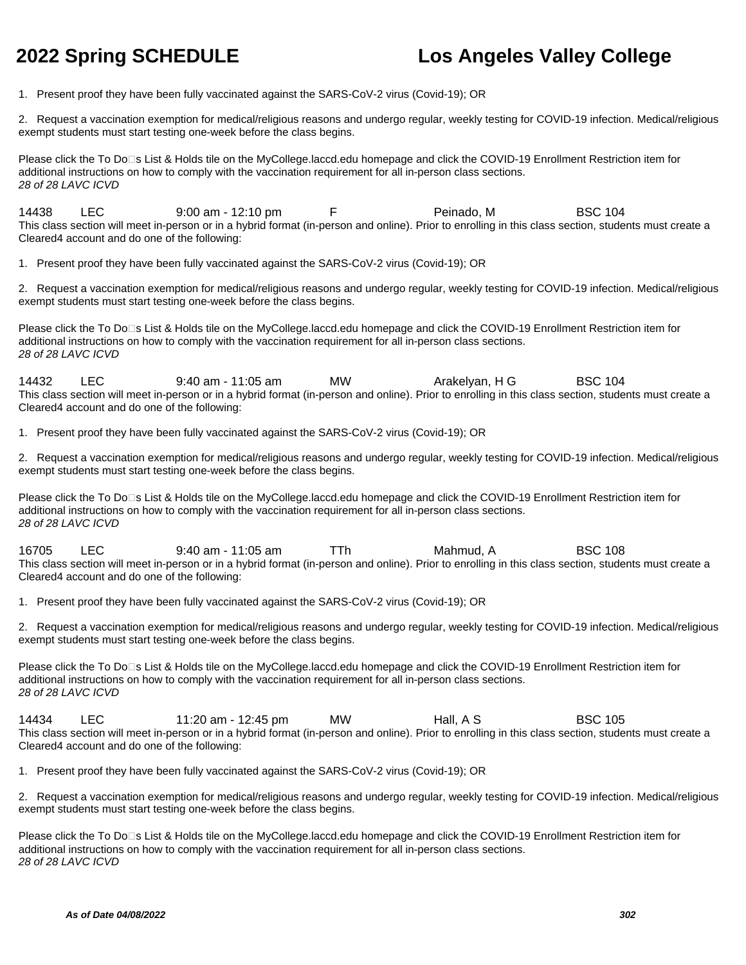1. Present proof they have been fully vaccinated against the SARS-CoV-2 virus (Covid-19); OR

2. Request a vaccination exemption for medical/religious reasons and undergo regular, weekly testing for COVID-19 infection. Medical/religious exempt students must start testing one-week before the class begins.

Please click the To Do<sup>n</sup>s List & Holds tile on the MyCollege.laccd.edu homepage and click the COVID-19 Enrollment Restriction item for additional instructions on how to comply with the vaccination requirement for all in-person class sections. 28 of 28 LAVC ICVD

14438 LEC 9:00 am - 12:10 pm F Peinado, M BSC 104 This class section will meet in-person or in a hybrid format (in-person and online). Prior to enrolling in this class section, students must create a Cleared4 account and do one of the following:

1. Present proof they have been fully vaccinated against the SARS-CoV-2 virus (Covid-19); OR

2. Request a vaccination exemption for medical/religious reasons and undergo regular, weekly testing for COVID-19 infection. Medical/religious exempt students must start testing one-week before the class begins.

Please click the To Do<sup>n</sup>s List & Holds tile on the MyCollege.laccd.edu homepage and click the COVID-19 Enrollment Restriction item for additional instructions on how to comply with the vaccination requirement for all in-person class sections. 28 of 28 LAVC ICVD

14432 LEC 9:40 am - 11:05 am MW Arakelyan, H G BSC 104 This class section will meet in-person or in a hybrid format (in-person and online). Prior to enrolling in this class section, students must create a Cleared4 account and do one of the following:

1. Present proof they have been fully vaccinated against the SARS-CoV-2 virus (Covid-19); OR

2. Request a vaccination exemption for medical/religious reasons and undergo regular, weekly testing for COVID-19 infection. Medical/religious exempt students must start testing one-week before the class begins.

Please click the To Do⊡s List & Holds tile on the MyCollege.laccd.edu homepage and click the COVID-19 Enrollment Restriction item for additional instructions on how to comply with the vaccination requirement for all in-person class sections. 28 of 28 LAVC ICVD

16705 LEC 9:40 am - 11:05 am TTh Mahmud, A BSC 108 This class section will meet in-person or in a hybrid format (in-person and online). Prior to enrolling in this class section, students must create a Cleared4 account and do one of the following:

1. Present proof they have been fully vaccinated against the SARS-CoV-2 virus (Covid-19); OR

2. Request a vaccination exemption for medical/religious reasons and undergo regular, weekly testing for COVID-19 infection. Medical/religious exempt students must start testing one-week before the class begins.

Please click the To Do□s List & Holds tile on the MyCollege.laccd.edu homepage and click the COVID-19 Enrollment Restriction item for additional instructions on how to comply with the vaccination requirement for all in-person class sections. 28 of 28 LAVC ICVD

14434 LEC 11:20 am - 12:45 pm MW Hall, A S BSC 105 This class section will meet in-person or in a hybrid format (in-person and online). Prior to enrolling in this class section, students must create a Cleared4 account and do one of the following:

1. Present proof they have been fully vaccinated against the SARS-CoV-2 virus (Covid-19); OR

2. Request a vaccination exemption for medical/religious reasons and undergo regular, weekly testing for COVID-19 infection. Medical/religious exempt students must start testing one-week before the class begins.

Please click the To Do□s List & Holds tile on the MyCollege.laccd.edu homepage and click the COVID-19 Enrollment Restriction item for additional instructions on how to comply with the vaccination requirement for all in-person class sections. 28 of 28 LAVC ICVD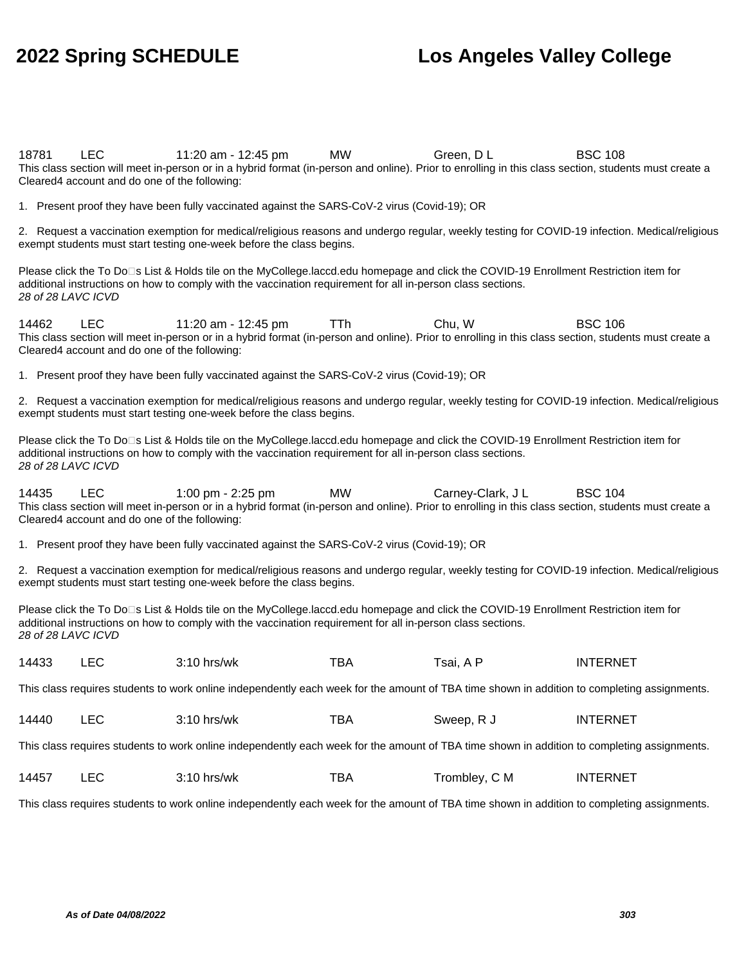18781 LEC 11:20 am - 12:45 pm MW Green, D L BSC 108 This class section will meet in-person or in a hybrid format (in-person and online). Prior to enrolling in this class section, students must create a Cleared4 account and do one of the following: 1. Present proof they have been fully vaccinated against the SARS-CoV-2 virus (Covid-19); OR 2. Request a vaccination exemption for medical/religious reasons and undergo regular, weekly testing for COVID-19 infection. Medical/religious exempt students must start testing one-week before the class begins. Please click the To Do<sup>n</sup>s List & Holds tile on the MyCollege.laccd.edu homepage and click the COVID-19 Enrollment Restriction item for additional instructions on how to comply with the vaccination requirement for all in-person class sections. 28 of 28 LAVC ICVD 14462 LEC 11:20 am - 12:45 pm TTh Chu, W BSC 106 This class section will meet in-person or in a hybrid format (in-person and online). Prior to enrolling in this class section, students must create a Cleared4 account and do one of the following: 1. Present proof they have been fully vaccinated against the SARS-CoV-2 virus (Covid-19); OR 2. Request a vaccination exemption for medical/religious reasons and undergo regular, weekly testing for COVID-19 infection. Medical/religious exempt students must start testing one-week before the class begins. Please click the To Do□s List & Holds tile on the MyCollege.laccd.edu homepage and click the COVID-19 Enrollment Restriction item for additional instructions on how to comply with the vaccination requirement for all in-person class sections. 28 of 28 LAVC ICVD 14435 LEC 1:00 pm - 2:25 pm MW Carney-Clark, J L BSC 104 This class section will meet in-person or in a hybrid format (in-person and online). Prior to enrolling in this class section, students must create a Cleared4 account and do one of the following: 1. Present proof they have been fully vaccinated against the SARS-CoV-2 virus (Covid-19); OR 2. Request a vaccination exemption for medical/religious reasons and undergo regular, weekly testing for COVID-19 infection. Medical/religious exempt students must start testing one-week before the class begins. Please click the To Do⊡s List & Holds tile on the MyCollege.laccd.edu homepage and click the COVID-19 Enrollment Restriction item for additional instructions on how to comply with the vaccination requirement for all in-person class sections. 28 of 28 LAVC ICVD 14433 LEC 3:10 hrs/wk TBA Tsai, A P INTERNET This class requires students to work online independently each week for the amount of TBA time shown in addition to completing assignments. 14440 LEC 3:10 hrs/wk TBA Sweep, R J INTERNET This class requires students to work online independently each week for the amount of TBA time shown in addition to completing assignments. 14457 LEC 3:10 hrs/wk TBA Trombley, C M INTERNET This class requires students to work online independently each week for the amount of TBA time shown in addition to completing assignments.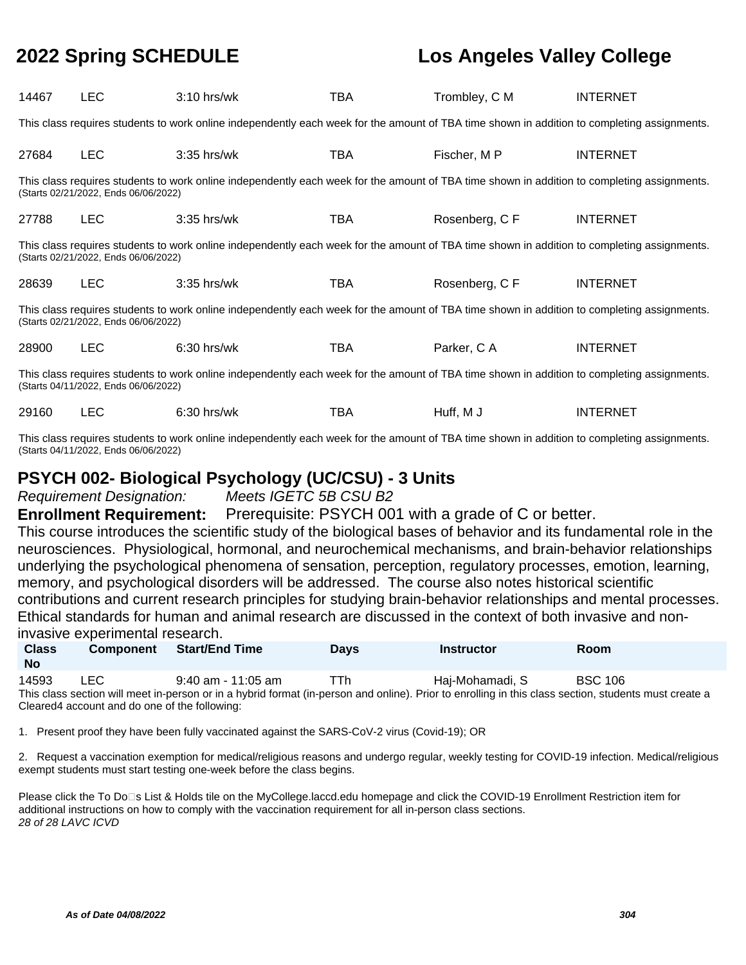| 14467                                                                                                                                                                               | <b>LEC</b>                                                                                                                                  | $3:10$ hrs/wk                                                                                                                               | TBA | Trombley, C M | <b>INTERNET</b> |  |  |  |
|-------------------------------------------------------------------------------------------------------------------------------------------------------------------------------------|---------------------------------------------------------------------------------------------------------------------------------------------|---------------------------------------------------------------------------------------------------------------------------------------------|-----|---------------|-----------------|--|--|--|
|                                                                                                                                                                                     | This class requires students to work online independently each week for the amount of TBA time shown in addition to completing assignments. |                                                                                                                                             |     |               |                 |  |  |  |
| 27684                                                                                                                                                                               | <b>LEC</b>                                                                                                                                  | $3:35$ hrs/wk                                                                                                                               | TBA | Fischer, M P  | <b>INTERNET</b> |  |  |  |
|                                                                                                                                                                                     | (Starts 02/21/2022, Ends 06/06/2022)                                                                                                        | This class requires students to work online independently each week for the amount of TBA time shown in addition to completing assignments. |     |               |                 |  |  |  |
| 27788                                                                                                                                                                               | <b>LEC</b>                                                                                                                                  | $3:35$ hrs/wk                                                                                                                               | TBA | Rosenberg, CF | <b>INTERNET</b> |  |  |  |
|                                                                                                                                                                                     | (Starts 02/21/2022, Ends 06/06/2022)                                                                                                        | This class requires students to work online independently each week for the amount of TBA time shown in addition to completing assignments. |     |               |                 |  |  |  |
| 28639                                                                                                                                                                               | <b>LEC</b>                                                                                                                                  | $3:35$ hrs/wk                                                                                                                               | TBA | Rosenberg, CF | <b>INTERNET</b> |  |  |  |
|                                                                                                                                                                                     | (Starts 02/21/2022, Ends 06/06/2022)                                                                                                        | This class requires students to work online independently each week for the amount of TBA time shown in addition to completing assignments. |     |               |                 |  |  |  |
| 28900                                                                                                                                                                               | <b>LEC</b>                                                                                                                                  | $6:30$ hrs/wk                                                                                                                               | TBA | Parker, CA    | <b>INTERNET</b> |  |  |  |
| This class requires students to work online independently each week for the amount of TBA time shown in addition to completing assignments.<br>(Starts 04/11/2022, Ends 06/06/2022) |                                                                                                                                             |                                                                                                                                             |     |               |                 |  |  |  |
| 29160                                                                                                                                                                               | <b>LEC</b>                                                                                                                                  | $6:30$ hrs/wk                                                                                                                               | TBA | Huff, M J     | <b>INTERNET</b> |  |  |  |

This class requires students to work online independently each week for the amount of TBA time shown in addition to completing assignments. (Starts 04/11/2022, Ends 06/06/2022)

### **PSYCH 002- Biological Psychology (UC/CSU) - 3 Units**

Requirement Designation: Meets IGETC 5B CSU B2

**Enrollment Requirement:** Prerequisite: PSYCH 001 with a grade of C or better.

This course introduces the scientific study of the biological bases of behavior and its fundamental role in the neurosciences. Physiological, hormonal, and neurochemical mechanisms, and brain-behavior relationships underlying the psychological phenomena of sensation, perception, regulatory processes, emotion, learning, memory, and psychological disorders will be addressed. The course also notes historical scientific contributions and current research principles for studying brain-behavior relationships and mental processes. Ethical standards for human and animal research are discussed in the context of both invasive and noninvasive experimental research.

| <b>Class</b><br>No       | Component     | Start/End Time | <b>Days</b> | <b>Instructor</b> | Room                 |  |
|--------------------------|---------------|----------------|-------------|-------------------|----------------------|--|
| $\overline{\phantom{a}}$ | $\sim$ $\sim$ | $\sim$ $\sim$  | ---         | .                 | $\sim$ $\sim$ $\sim$ |  |

14593 LEC 9:40 am - 11:05 am TTh Haj-Mohamadi, S BSC 106 This class section will meet in-person or in a hybrid format (in-person and online). Prior to enrolling in this class section, students must create a Cleared4 account and do one of the following:

1. Present proof they have been fully vaccinated against the SARS-CoV-2 virus (Covid-19); OR

2. Request a vaccination exemption for medical/religious reasons and undergo regular, weekly testing for COVID-19 infection. Medical/religious exempt students must start testing one-week before the class begins.

Please click the To Do⊡s List & Holds tile on the MyCollege.laccd.edu homepage and click the COVID-19 Enrollment Restriction item for additional instructions on how to comply with the vaccination requirement for all in-person class sections. 28 of 28 LAVC ICVD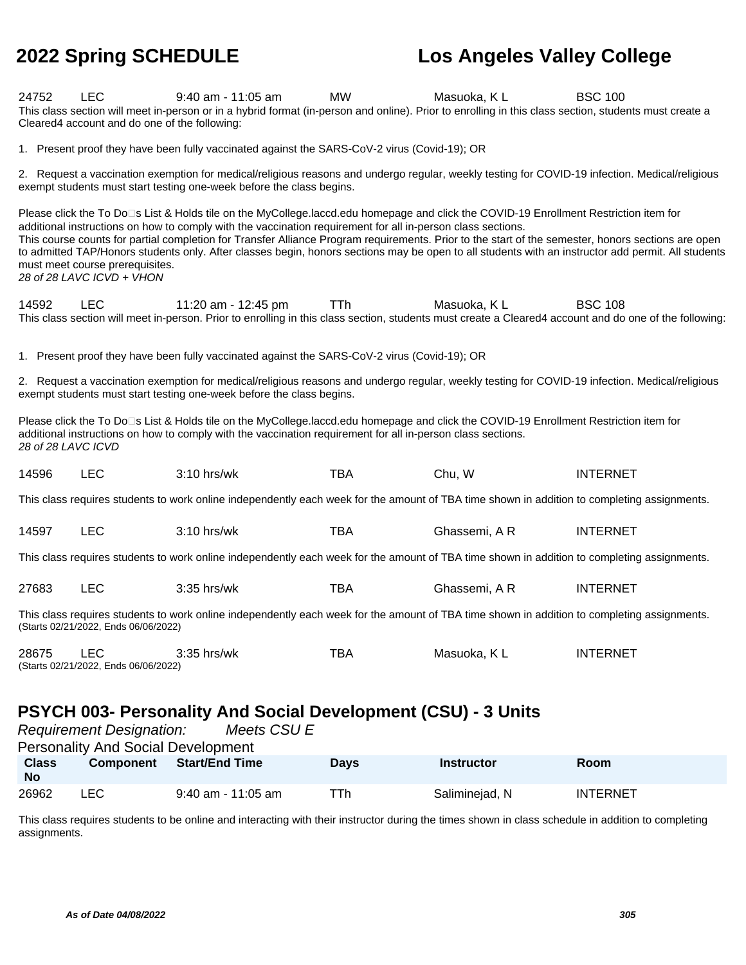| 24752                     | <b>LEC</b><br>Cleared4 account and do one of the following:                                                                                                         | $9:40$ am - 11:05 am<br>This class section will meet in-person or in a hybrid format (in-person and online). Prior to enrolling in this class section, students must create a                                                                                                                                                                                                                                                                                                                                                                                    | MW          | Masuoka, KL       | <b>BSC 100</b>  |  |
|---------------------------|---------------------------------------------------------------------------------------------------------------------------------------------------------------------|------------------------------------------------------------------------------------------------------------------------------------------------------------------------------------------------------------------------------------------------------------------------------------------------------------------------------------------------------------------------------------------------------------------------------------------------------------------------------------------------------------------------------------------------------------------|-------------|-------------------|-----------------|--|
|                           |                                                                                                                                                                     | 1. Present proof they have been fully vaccinated against the SARS-CoV-2 virus (Covid-19); OR                                                                                                                                                                                                                                                                                                                                                                                                                                                                     |             |                   |                 |  |
|                           |                                                                                                                                                                     | 2. Request a vaccination exemption for medical/religious reasons and undergo regular, weekly testing for COVID-19 infection. Medical/religious<br>exempt students must start testing one-week before the class begins.                                                                                                                                                                                                                                                                                                                                           |             |                   |                 |  |
|                           | must meet course prerequisites.<br>28 of 28 LAVC ICVD + VHON                                                                                                        | Please click the To Do□s List & Holds tile on the MyCollege.laccd.edu homepage and click the COVID-19 Enrollment Restriction item for<br>additional instructions on how to comply with the vaccination requirement for all in-person class sections.<br>This course counts for partial completion for Transfer Alliance Program requirements. Prior to the start of the semester, honors sections are open<br>to admitted TAP/Honors students only. After classes begin, honors sections may be open to all students with an instructor add permit. All students |             |                   |                 |  |
| 14592                     | <b>LEC</b>                                                                                                                                                          | 11:20 am - 12:45 pm<br>This class section will meet in-person. Prior to enrolling in this class section, students must create a Cleared4 account and do one of the following:                                                                                                                                                                                                                                                                                                                                                                                    | <b>TTh</b>  | Masuoka, KL       | <b>BSC 108</b>  |  |
|                           |                                                                                                                                                                     | 1. Present proof they have been fully vaccinated against the SARS-CoV-2 virus (Covid-19); OR                                                                                                                                                                                                                                                                                                                                                                                                                                                                     |             |                   |                 |  |
|                           |                                                                                                                                                                     | 2. Request a vaccination exemption for medical/religious reasons and undergo regular, weekly testing for COVID-19 infection. Medical/religious<br>exempt students must start testing one-week before the class begins.                                                                                                                                                                                                                                                                                                                                           |             |                   |                 |  |
| 28 of 28 LAVC ICVD        |                                                                                                                                                                     | Please click the To Do□s List & Holds tile on the MyCollege.laccd.edu homepage and click the COVID-19 Enrollment Restriction item for<br>additional instructions on how to comply with the vaccination requirement for all in-person class sections.                                                                                                                                                                                                                                                                                                             |             |                   |                 |  |
| 14596                     | <b>LEC</b>                                                                                                                                                          | 3:10 hrs/wk                                                                                                                                                                                                                                                                                                                                                                                                                                                                                                                                                      | <b>TBA</b>  | Chu, W            | <b>INTERNET</b> |  |
|                           |                                                                                                                                                                     | This class requires students to work online independently each week for the amount of TBA time shown in addition to completing assignments.                                                                                                                                                                                                                                                                                                                                                                                                                      |             |                   |                 |  |
| 14597                     | <b>LEC</b>                                                                                                                                                          | 3:10 hrs/wk                                                                                                                                                                                                                                                                                                                                                                                                                                                                                                                                                      | <b>TBA</b>  | Ghassemi, A R     | <b>INTERNET</b> |  |
|                           |                                                                                                                                                                     | This class requires students to work online independently each week for the amount of TBA time shown in addition to completing assignments.                                                                                                                                                                                                                                                                                                                                                                                                                      |             |                   |                 |  |
| 27683                     | <b>LEC</b>                                                                                                                                                          | 3:35 hrs/wk                                                                                                                                                                                                                                                                                                                                                                                                                                                                                                                                                      | <b>TBA</b>  | Ghassemi, A R     | <b>INTERNET</b> |  |
|                           | (Starts 02/21/2022, Ends 06/06/2022)                                                                                                                                | This class requires students to work online independently each week for the amount of TBA time shown in addition to completing assignments.                                                                                                                                                                                                                                                                                                                                                                                                                      |             |                   |                 |  |
| 28675                     | <b>LEC</b><br>(Starts 02/21/2022, Ends 06/06/2022)                                                                                                                  | 3:35 hrs/wk                                                                                                                                                                                                                                                                                                                                                                                                                                                                                                                                                      | <b>TBA</b>  | Masuoka, KL       | <b>INTERNET</b> |  |
|                           | <b>PSYCH 003- Personality And Social Development (CSU) - 3 Units</b><br>Meets CSU E<br><b>Requirement Designation:</b><br><b>Personality And Social Development</b> |                                                                                                                                                                                                                                                                                                                                                                                                                                                                                                                                                                  |             |                   |                 |  |
| <b>Class</b><br><b>No</b> | <b>Component</b>                                                                                                                                                    | <b>Start/End Time</b>                                                                                                                                                                                                                                                                                                                                                                                                                                                                                                                                            | <b>Days</b> | <b>Instructor</b> | Room            |  |
| 26962                     | <b>LEC</b>                                                                                                                                                          | 9:40 am - 11:05 am                                                                                                                                                                                                                                                                                                                                                                                                                                                                                                                                               | TTh         | Saliminejad, N    | <b>INTERNET</b> |  |

This class requires students to be online and interacting with their instructor during the times shown in class schedule in addition to completing assignments.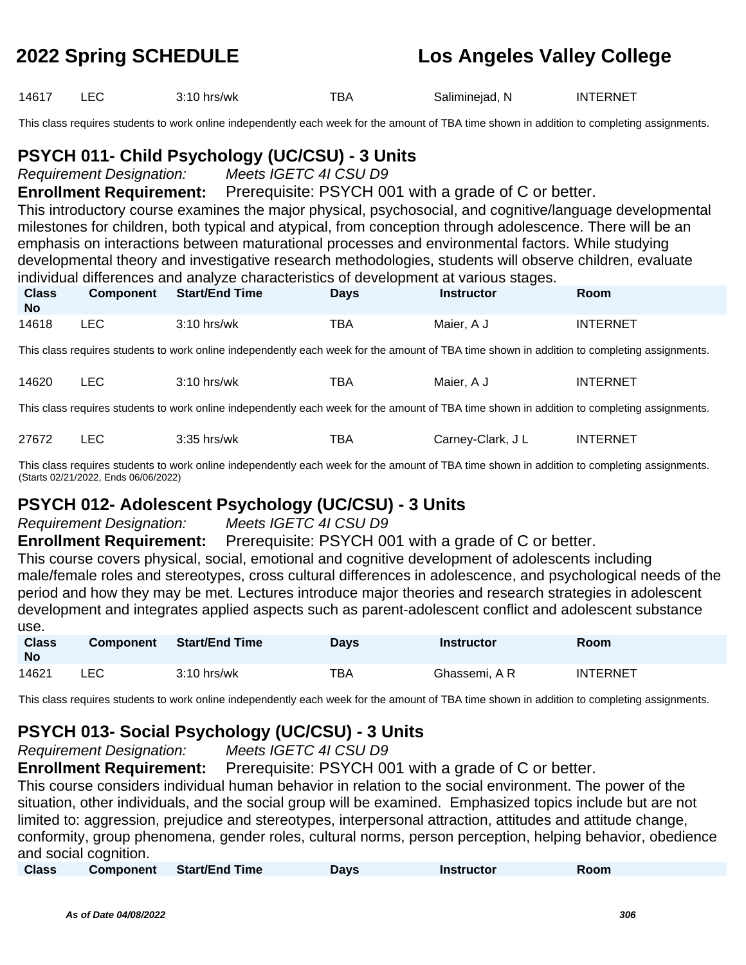14617 LEC 3:10 hrs/wk TBA Saliminejad, N INTERNET

This class requires students to work online independently each week for the amount of TBA time shown in addition to completing assignments.

### **PSYCH 011- Child Psychology (UC/CSU) - 3 Units**

Requirement Designation: Meets IGETC 4I CSU D9

**Enrollment Requirement:** Prerequisite: PSYCH 001 with a grade of C or better. This introductory course examines the major physical, psychosocial, and cognitive/language developmental milestones for children, both typical and atypical, from conception through adolescence. There will be an emphasis on interactions between maturational processes and environmental factors. While studying developmental theory and investigative research methodologies, students will observe children, evaluate  $\frac{1}{2}$  individual differences and analyze characteristics of development at various  $\frac{1}{2}$ 

|                           |            | muniqual differences and analyze characteristics of development at various stages. |             |            |                 |
|---------------------------|------------|------------------------------------------------------------------------------------|-------------|------------|-----------------|
| <b>Class</b><br><b>No</b> | Component  | Start/End Time                                                                     | <b>Days</b> | Instructor | Room            |
| 14618                     | <b>LEC</b> | $3:10$ hrs/wk                                                                      | TBA         | Maier, A J | <b>INTERNET</b> |

This class requires students to work online independently each week for the amount of TBA time shown in addition to completing assignments.

| 14620 | $\sim$ | 3:10 hrs/wk | тва | Maier.<br>A J<br>. | INTERNET |
|-------|--------|-------------|-----|--------------------|----------|
|-------|--------|-------------|-----|--------------------|----------|

This class requires students to work online independently each week for the amount of TBA time shown in addition to completing assignments.

| 27672 |  | 3:35 hrs/wk | тва | Carney-Clark, J L | <b>INTERNET</b> |
|-------|--|-------------|-----|-------------------|-----------------|
|-------|--|-------------|-----|-------------------|-----------------|

This class requires students to work online independently each week for the amount of TBA time shown in addition to completing assignments. (Starts 02/21/2022, Ends 06/06/2022)

### **PSYCH 012- Adolescent Psychology (UC/CSU) - 3 Units**

Requirement Designation: Meets IGETC 4I CSU D9

**Enrollment Requirement:** Prerequisite: PSYCH 001 with a grade of C or better.

This course covers physical, social, emotional and cognitive development of adolescents including male/female roles and stereotypes, cross cultural differences in adolescence, and psychological needs of the period and how they may be met. Lectures introduce major theories and research strategies in adolescent development and integrates applied aspects such as parent-adolescent conflict and adolescent substance use.

| <b>Class</b><br><b>No</b> | <b>Component</b> | <b>Start/End Time</b> | <b>Days</b> | <b>Instructor</b> | Room            |
|---------------------------|------------------|-----------------------|-------------|-------------------|-----------------|
| 14621                     | LEC              | $3:10$ hrs/wk         | тва         | Ghassemi. A R     | <b>INTERNET</b> |

This class requires students to work online independently each week for the amount of TBA time shown in addition to completing assignments.

## **PSYCH 013- Social Psychology (UC/CSU) - 3 Units**

Requirement Designation: Meets IGETC 4I CSU D9

**Enrollment Requirement:** Prerequisite: PSYCH 001 with a grade of C or better.

This course considers individual human behavior in relation to the social environment. The power of the situation, other individuals, and the social group will be examined. Emphasized topics include but are not limited to: aggression, prejudice and stereotypes, interpersonal attraction, attitudes and attitude change, conformity, group phenomena, gender roles, cultural norms, person perception, helping behavior, obedience and social cognition.

| <b>Class</b> | <b>Component</b> | <b>Start/End Time</b> | Davs | <b>Instructor</b> | Room |  |
|--------------|------------------|-----------------------|------|-------------------|------|--|
|              |                  |                       |      |                   |      |  |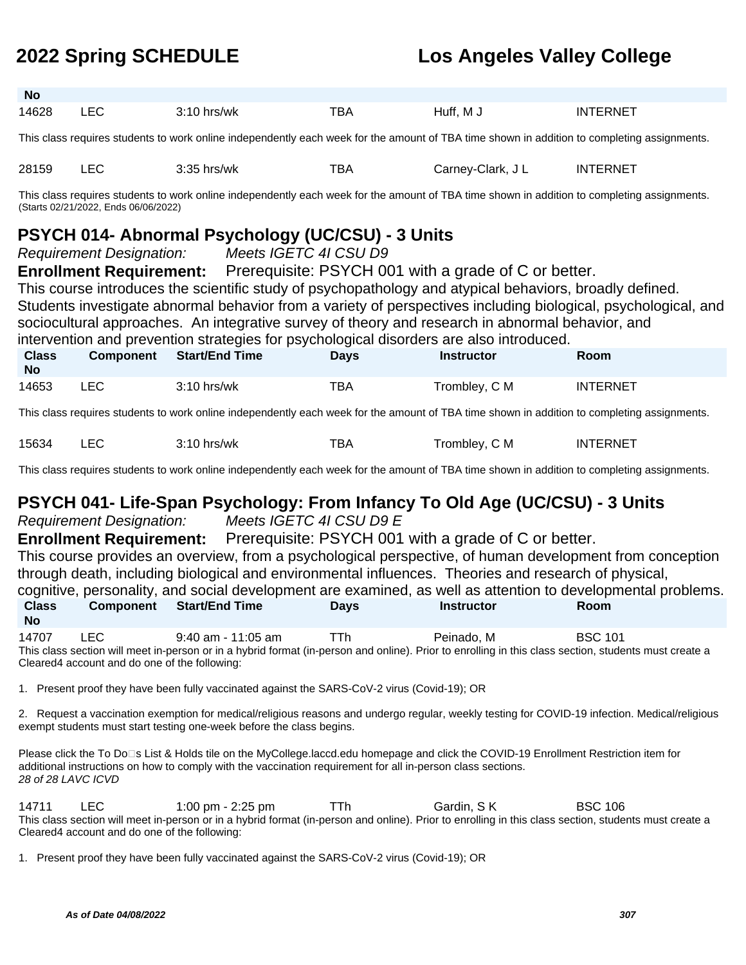| <b>No</b>                 |                                                                                                                                                                                                                                                                                                                                                                                                                                                                                                                                                                                                                                  |                                                                                                                                             |             |                   |                 |  |  |
|---------------------------|----------------------------------------------------------------------------------------------------------------------------------------------------------------------------------------------------------------------------------------------------------------------------------------------------------------------------------------------------------------------------------------------------------------------------------------------------------------------------------------------------------------------------------------------------------------------------------------------------------------------------------|---------------------------------------------------------------------------------------------------------------------------------------------|-------------|-------------------|-----------------|--|--|
| 14628                     | <b>LEC</b>                                                                                                                                                                                                                                                                                                                                                                                                                                                                                                                                                                                                                       | $3:10$ hrs/wk                                                                                                                               | <b>TBA</b>  | Huff, M J         | <b>INTERNET</b> |  |  |
|                           |                                                                                                                                                                                                                                                                                                                                                                                                                                                                                                                                                                                                                                  | This class requires students to work online independently each week for the amount of TBA time shown in addition to completing assignments. |             |                   |                 |  |  |
| 28159                     | <b>LEC</b>                                                                                                                                                                                                                                                                                                                                                                                                                                                                                                                                                                                                                       | $3:35$ hrs/wk                                                                                                                               | <b>TBA</b>  | Carney-Clark, J L | <b>INTERNET</b> |  |  |
|                           | (Starts 02/21/2022, Ends 06/06/2022)                                                                                                                                                                                                                                                                                                                                                                                                                                                                                                                                                                                             | This class requires students to work online independently each week for the amount of TBA time shown in addition to completing assignments. |             |                   |                 |  |  |
|                           | PSYCH 014- Abnormal Psychology (UC/CSU) - 3 Units<br><b>Requirement Designation:</b><br>Meets IGETC 4I CSU D9<br><b>Enrollment Requirement:</b> Prerequisite: PSYCH 001 with a grade of C or better.<br>This course introduces the scientific study of psychopathology and atypical behaviors, broadly defined.<br>Students investigate abnormal behavior from a variety of perspectives including biological, psychological, and<br>sociocultural approaches. An integrative survey of theory and research in abnormal behavior, and<br>intervention and prevention strategies for psychological disorders are also introduced. |                                                                                                                                             |             |                   |                 |  |  |
| <b>Class</b><br><b>No</b> | <b>Component</b>                                                                                                                                                                                                                                                                                                                                                                                                                                                                                                                                                                                                                 | <b>Start/End Time</b>                                                                                                                       | <b>Days</b> | <b>Instructor</b> | Room            |  |  |
| 14653                     | <b>LEC</b>                                                                                                                                                                                                                                                                                                                                                                                                                                                                                                                                                                                                                       | $3:10$ hrs/wk                                                                                                                               | TBA         | Trombley, C M     | <b>INTERNET</b> |  |  |
|                           |                                                                                                                                                                                                                                                                                                                                                                                                                                                                                                                                                                                                                                  | This class requires students to work online independently each week for the amount of TBA time shown in addition to completing assignments. |             |                   |                 |  |  |
| 15634                     | <b>LEC</b>                                                                                                                                                                                                                                                                                                                                                                                                                                                                                                                                                                                                                       | $3:10$ hrs/wk                                                                                                                               | TBA         | Trombley, C M     | <b>INTERNET</b> |  |  |
|                           |                                                                                                                                                                                                                                                                                                                                                                                                                                                                                                                                                                                                                                  | This class requires students to work online independently each week for the amount of TBA time shown in addition to completing assignments. |             |                   |                 |  |  |
|                           | PSYCH 041- Life-Span Psychology: From Infancy To Old Age (UC/CSU) - 3 Units                                                                                                                                                                                                                                                                                                                                                                                                                                                                                                                                                      |                                                                                                                                             |             |                   |                 |  |  |

### **PSYCH 041- Life-Span Psychology: From Infancy To Old Age (UC/CSU) - 3 Units**

Requirement Designation: Meets IGETC 4I CSU D9 E

**Enrollment Requirement:** Prerequisite: PSYCH 001 with a grade of C or better.

This course provides an overview, from a psychological perspective, of human development from conception through death, including biological and environmental influences. Theories and research of physical, cognitive, personality, and social development are examined, as well as attention to developmental problems.

|                    |           | cognitive, personality, and social development are examined, as well as attention to developmental problems. |             |            |             |  |
|--------------------|-----------|--------------------------------------------------------------------------------------------------------------|-------------|------------|-------------|--|
| <b>Class</b><br>No | Component | Start/End Time                                                                                               | <b>Davs</b> | Instructor | <b>Room</b> |  |
|                    |           |                                                                                                              |             |            |             |  |

14707 LEC 9:40 am - 11:05 am TTh Peinado, M BSC 101 This class section will meet in-person or in a hybrid format (in-person and online). Prior to enrolling in this class section, students must create a Cleared4 account and do one of the following:

1. Present proof they have been fully vaccinated against the SARS-CoV-2 virus (Covid-19); OR

2. Request a vaccination exemption for medical/religious reasons and undergo regular, weekly testing for COVID-19 infection. Medical/religious exempt students must start testing one-week before the class begins.

Please click the To Do⊡s List & Holds tile on the MyCollege.laccd.edu homepage and click the COVID-19 Enrollment Restriction item for additional instructions on how to comply with the vaccination requirement for all in-person class sections. 28 of 28 LAVC ICVD

14711 LEC 1:00 pm - 2:25 pm TTh Gardin, SK BSC 106 This class section will meet in-person or in a hybrid format (in-person and online). Prior to enrolling in this class section, students must create a Cleared4 account and do one of the following:

1. Present proof they have been fully vaccinated against the SARS-CoV-2 virus (Covid-19); OR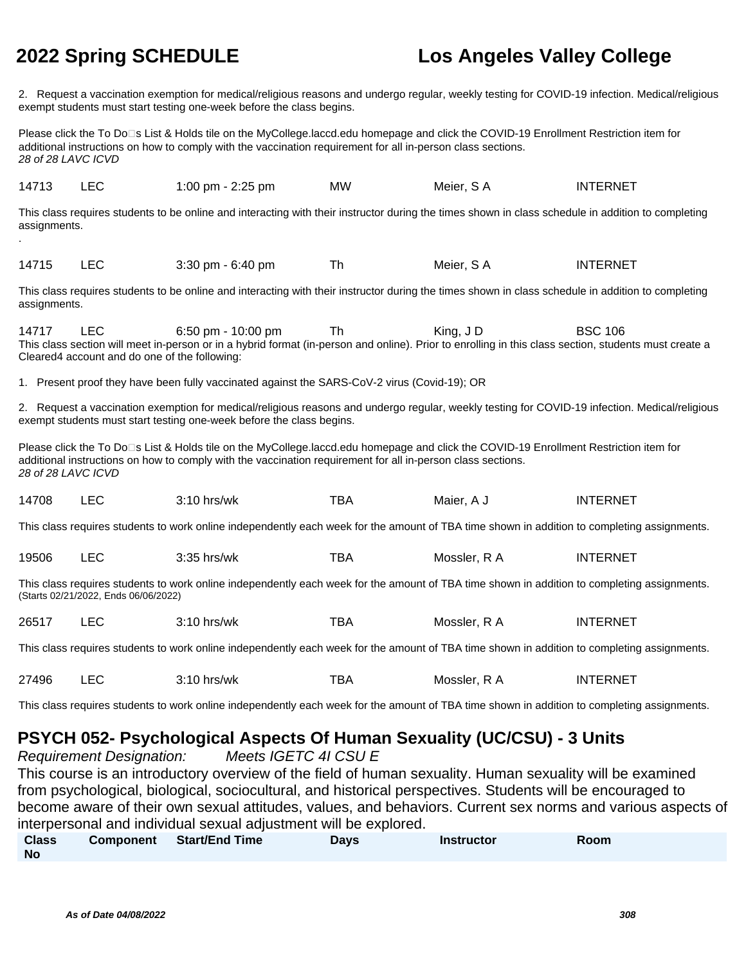assignments.

.

# **2022 Spring SCHEDULE Los Angeles Valley College**

2. Request a vaccination exemption for medical/religious reasons and undergo regular, weekly testing for COVID-19 infection. Medical/religious exempt students must start testing one-week before the class begins.

Please click the To Do<sup>n</sup>s List & Holds tile on the MyCollege.laccd.edu homepage and click the COVID-19 Enrollment Restriction item for additional instructions on how to comply with the vaccination requirement for all in-person class sections. 28 of 28 LAVC ICVD

| 14713 | LEC | 1:00 pm - 2:25 pm                                                                                                                                  | <b>MW</b> | Meier. S A | INTERNET |  |
|-------|-----|----------------------------------------------------------------------------------------------------------------------------------------------------|-----------|------------|----------|--|
|       |     | This class requires students to be online and interacting with their instructor during the times shown in class schedule in addition to completing |           |            |          |  |

14715 LEC 3:30 pm - 6:40 pm Th Meier, S A INTERNET

This class requires students to be online and interacting with their instructor during the times shown in class schedule in addition to completing assignments.

14717 LEC 6:50 pm - 10:00 pm Th King, J D BSC 106 This class section will meet in-person or in a hybrid format (in-person and online). Prior to enrolling in this class section, students must create a Cleared4 account and do one of the following:

1. Present proof they have been fully vaccinated against the SARS-CoV-2 virus (Covid-19); OR

2. Request a vaccination exemption for medical/religious reasons and undergo regular, weekly testing for COVID-19 infection. Medical/religious exempt students must start testing one-week before the class begins.

Please click the To Do⊡s List & Holds tile on the MyCollege.laccd.edu homepage and click the COVID-19 Enrollment Restriction item for additional instructions on how to comply with the vaccination requirement for all in-person class sections. 28 of 28 LAVC ICVD

| _____ | 14708 |  | ) hrs/wk<br>$^{\circ}$ 10 . | тва | Maier.<br><b>A</b> | <b>INTERNET</b> |
|-------|-------|--|-----------------------------|-----|--------------------|-----------------|
|-------|-------|--|-----------------------------|-----|--------------------|-----------------|

This class requires students to work online independently each week for the amount of TBA time shown in addition to completing assignments.

| $\overline{\phantom{a}}$<br>19506<br>2.2F<br>ᄔ<br>ບປ | -- 1<br>BA<br>hrs/wk | Mossler<br>. . | TERNET<br>INT |
|------------------------------------------------------|----------------------|----------------|---------------|
|------------------------------------------------------|----------------------|----------------|---------------|

This class requires students to work online independently each week for the amount of TBA time shown in addition to completing assignments. (Starts 02/21/2022, Ends 06/06/2022)

| 26517 | $3:10$ hrs/wk | ™ВА | Mossler, R A<br>. | <b>INTERNET</b> |
|-------|---------------|-----|-------------------|-----------------|
|       |               |     |                   |                 |

This class requires students to work online independently each week for the amount of TBA time shown in addition to completing assignments.

| 27496 | --     | nrs/wk | --<br>BA | Mossler<br>. .<br>$\mathbf{r}$ | ₹NE<br>I N I<br>w |
|-------|--------|--------|----------|--------------------------------|-------------------|
|       | $\sim$ |        |          | .                              |                   |

This class requires students to work online independently each week for the amount of TBA time shown in addition to completing assignments.

## **PSYCH 052- Psychological Aspects Of Human Sexuality (UC/CSU) - 3 Units**

Requirement Designation: Meets IGETC 4I CSU E This course is an introductory overview of the field of human sexuality. Human sexuality will be examined from psychological, biological, sociocultural, and historical perspectives. Students will be encouraged to become aware of their own sexual attitudes, values, and behaviors. Current sex norms and various aspects of interpersonal and individual sexual adjustment will be explored.

| <b>Class</b> | <b>Component</b> | <b>Start/End Time</b> | <b>Days</b> | <b>Instructor</b> | Room |
|--------------|------------------|-----------------------|-------------|-------------------|------|
| <b>No</b>    |                  |                       |             |                   |      |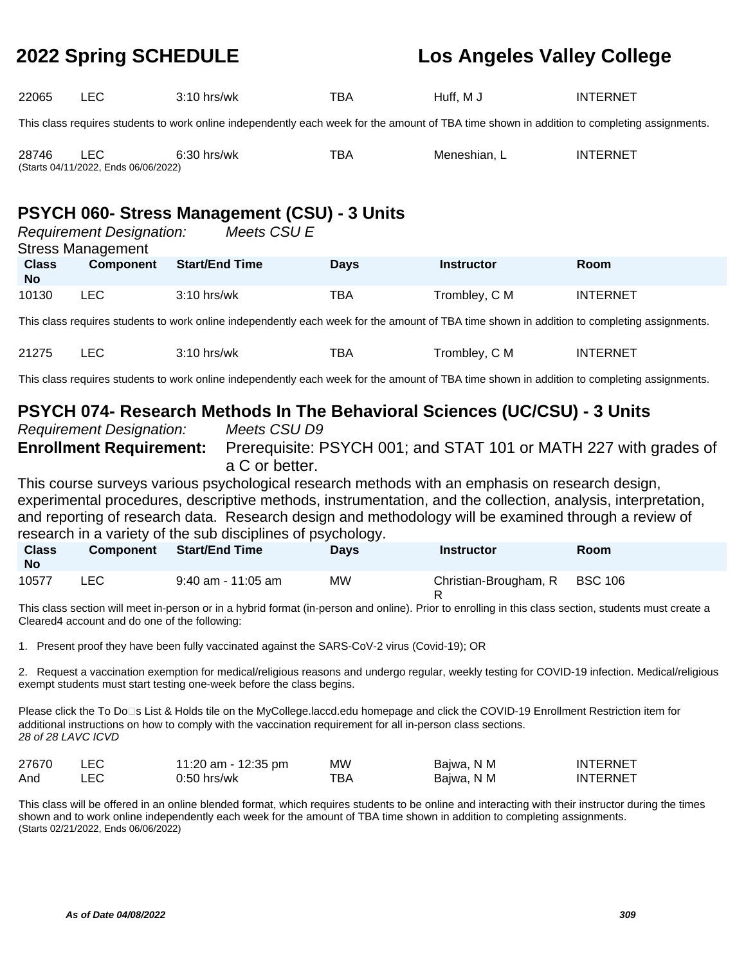| 22065                                                                                                                                                                                                                                                | <b>LEC</b>                                                                                                                                  | $3:10$ hrs/wk         |  | TBA         | Huff, M J                                                                                                                                   | <b>INTERNET</b> |  |  |
|------------------------------------------------------------------------------------------------------------------------------------------------------------------------------------------------------------------------------------------------------|---------------------------------------------------------------------------------------------------------------------------------------------|-----------------------|--|-------------|---------------------------------------------------------------------------------------------------------------------------------------------|-----------------|--|--|
|                                                                                                                                                                                                                                                      | This class requires students to work online independently each week for the amount of TBA time shown in addition to completing assignments. |                       |  |             |                                                                                                                                             |                 |  |  |
| 28746                                                                                                                                                                                                                                                | <b>LEC</b><br>(Starts 04/11/2022, Ends 06/06/2022)                                                                                          | 6:30 hrs/wk           |  | <b>TBA</b>  | Meneshian, L                                                                                                                                | <b>INTERNET</b> |  |  |
| <b>PSYCH 060- Stress Management (CSU) - 3 Units</b><br>Meets CSU E<br><b>Requirement Designation:</b><br><b>Stress Management</b>                                                                                                                    |                                                                                                                                             |                       |  |             |                                                                                                                                             |                 |  |  |
| <b>Class</b><br><b>No</b>                                                                                                                                                                                                                            | Component                                                                                                                                   | <b>Start/End Time</b> |  | <b>Days</b> | <b>Instructor</b>                                                                                                                           | <b>Room</b>     |  |  |
| 10130                                                                                                                                                                                                                                                | <b>LEC</b>                                                                                                                                  | 3:10 hrs/wk           |  | TBA         | Trombley, C M                                                                                                                               | <b>INTERNET</b> |  |  |
|                                                                                                                                                                                                                                                      |                                                                                                                                             |                       |  |             | This class requires students to work online independently each week for the amount of TBA time shown in addition to completing assignments. |                 |  |  |
| 21275                                                                                                                                                                                                                                                | <b>LEC</b>                                                                                                                                  | 3:10 hrs/wk           |  | <b>TBA</b>  | Trombley, C M                                                                                                                               | <b>INTERNET</b> |  |  |
|                                                                                                                                                                                                                                                      |                                                                                                                                             |                       |  |             | This class requires students to work online independently each week for the amount of TBA time shown in addition to completing assignments. |                 |  |  |
| PSYCH 074- Research Methods In The Behavioral Sciences (UC/CSU) - 3 Units<br><b>Requirement Designation:</b><br>Meets CSU D9<br>Prerequisite: PSYCH 001; and STAT 101 or MATH 227 with grades of<br><b>Enrollment Requirement:</b><br>a C or better. |                                                                                                                                             |                       |  |             |                                                                                                                                             |                 |  |  |
| This course surveys various psychological research methods with an emphasis on research design,<br>ومتلفظ ومستحلفتك والمستور ومتلقيه المتورة والمستحيل وملاقطين ومستنقصا والمتحلف والمستحدث والمتحل والمستلح والمقومة                                |                                                                                                                                             |                       |  |             |                                                                                                                                             |                 |  |  |

experimental procedures, descriptive methods, instrumentation, and the collection, analysis, interpretation, and reporting of research data. Research design and methodology will be examined through a review of research in a variety of the sub disciplines of psychology.

| <b>Class</b><br><b>No</b> | <b>Component</b> | <b>Start/End Time</b> | <b>Davs</b> | <b>Instructor</b>             | Room |  |
|---------------------------|------------------|-----------------------|-------------|-------------------------------|------|--|
| 10577                     | LEC.             | $9:40$ am - 11:05 am  | МW          | Christian-Brougham, R BSC 106 |      |  |

This class section will meet in-person or in a hybrid format (in-person and online). Prior to enrolling in this class section, students must create a Cleared4 account and do one of the following:

1. Present proof they have been fully vaccinated against the SARS-CoV-2 virus (Covid-19); OR

2. Request a vaccination exemption for medical/religious reasons and undergo regular, weekly testing for COVID-19 infection. Medical/religious exempt students must start testing one-week before the class begins.

Please click the To Do<sup>n</sup>s List & Holds tile on the MyCollege.laccd.edu homepage and click the COVID-19 Enrollment Restriction item for additional instructions on how to comply with the vaccination requirement for all in-person class sections. 28 of 28 LAVC ICVD

| 27670 | LEC. | 11:20 am - 12:35 pm | MW. | Bajwa, N M | INTERNET |
|-------|------|---------------------|-----|------------|----------|
| And   |      | 0:50 hrs/wk         | ТВА | Bajwa, N M | INTERNET |

This class will be offered in an online blended format, which requires students to be online and interacting with their instructor during the times shown and to work online independently each week for the amount of TBA time shown in addition to completing assignments. (Starts 02/21/2022, Ends 06/06/2022)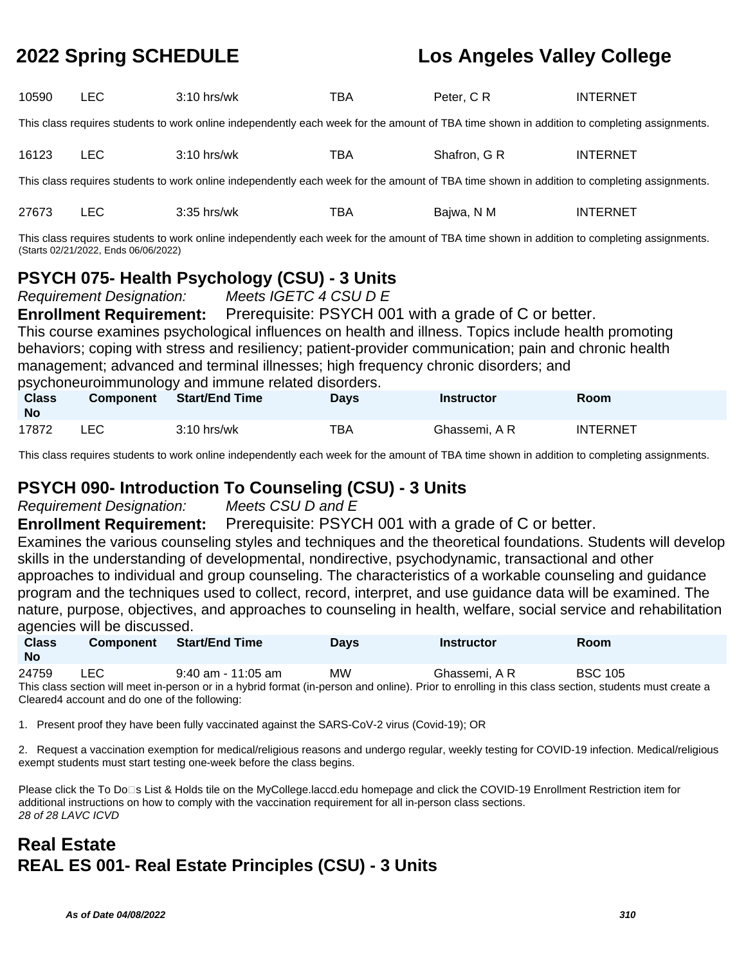| 10590                                                                                                                                                                                                                                                                                                                                                                                                                                                                                                                                                                                                                                                                  | <b>LEC</b>                                                                                                                                                                          | 3:10 hrs/wk                                                                                                                                 | TBA | Peter, CR     | <b>INTERNET</b> |  |  |  |
|------------------------------------------------------------------------------------------------------------------------------------------------------------------------------------------------------------------------------------------------------------------------------------------------------------------------------------------------------------------------------------------------------------------------------------------------------------------------------------------------------------------------------------------------------------------------------------------------------------------------------------------------------------------------|-------------------------------------------------------------------------------------------------------------------------------------------------------------------------------------|---------------------------------------------------------------------------------------------------------------------------------------------|-----|---------------|-----------------|--|--|--|
|                                                                                                                                                                                                                                                                                                                                                                                                                                                                                                                                                                                                                                                                        | This class requires students to work online independently each week for the amount of TBA time shown in addition to completing assignments.                                         |                                                                                                                                             |     |               |                 |  |  |  |
| 16123                                                                                                                                                                                                                                                                                                                                                                                                                                                                                                                                                                                                                                                                  | <b>LEC</b>                                                                                                                                                                          | $3:10$ hrs/wk                                                                                                                               | TBA | Shafron, G R  | <b>INTERNET</b> |  |  |  |
|                                                                                                                                                                                                                                                                                                                                                                                                                                                                                                                                                                                                                                                                        |                                                                                                                                                                                     | This class requires students to work online independently each week for the amount of TBA time shown in addition to completing assignments. |     |               |                 |  |  |  |
| 27673                                                                                                                                                                                                                                                                                                                                                                                                                                                                                                                                                                                                                                                                  | <b>LEC</b>                                                                                                                                                                          | $3:35$ hrs/wk                                                                                                                               | TBA | Bajwa, N M    | <b>INTERNET</b> |  |  |  |
|                                                                                                                                                                                                                                                                                                                                                                                                                                                                                                                                                                                                                                                                        | This class requires students to work online independently each week for the amount of TBA time shown in addition to completing assignments.<br>(Starts 02/21/2022, Ends 06/06/2022) |                                                                                                                                             |     |               |                 |  |  |  |
| <b>PSYCH 075- Health Psychology (CSU) - 3 Units</b><br>Meets IGETC 4 CSU D E<br><b>Requirement Designation:</b><br><b>Enrollment Requirement:</b> Prerequisite: PSYCH 001 with a grade of C or better.<br>This course examines psychological influences on health and illness. Topics include health promoting<br>behaviors; coping with stress and resiliency; patient-provider communication; pain and chronic health<br>management; advanced and terminal illnesses; high frequency chronic disorders; and<br>psychoneuroimmunology and immune related disorders.<br><b>Start/End Time</b><br><b>Class</b><br>Component<br><b>Instructor</b><br>Room<br><b>Days</b> |                                                                                                                                                                                     |                                                                                                                                             |     |               |                 |  |  |  |
| <b>No</b>                                                                                                                                                                                                                                                                                                                                                                                                                                                                                                                                                                                                                                                              |                                                                                                                                                                                     |                                                                                                                                             |     |               |                 |  |  |  |
| 17872                                                                                                                                                                                                                                                                                                                                                                                                                                                                                                                                                                                                                                                                  | <b>LEC</b>                                                                                                                                                                          | $3:10$ hrs/wk                                                                                                                               | TBA | Ghassemi, A R | <b>INTERNET</b> |  |  |  |

This class requires students to work online independently each week for the amount of TBA time shown in addition to completing assignments.

### **PSYCH 090- Introduction To Counseling (CSU) - 3 Units**

Requirement Designation: Meets CSU D and E

**Enrollment Requirement:** Prerequisite: PSYCH 001 with a grade of C or better.

Examines the various counseling styles and techniques and the theoretical foundations. Students will develop skills in the understanding of developmental, nondirective, psychodynamic, transactional and other approaches to individual and group counseling. The characteristics of a workable counseling and guidance program and the techniques used to collect, record, interpret, and use guidance data will be examined. The nature, purpose, objectives, and approaches to counseling in health, welfare, social service and rehabilitation agencies will be discussed.

| <b>Class</b><br><b>No</b>                                                                                                                             | <b>Component</b>                               | <b>Start/End Time</b> | <b>Davs</b> | <b>Instructor</b> | <b>Room</b>    |  |  |
|-------------------------------------------------------------------------------------------------------------------------------------------------------|------------------------------------------------|-----------------------|-------------|-------------------|----------------|--|--|
| 24759                                                                                                                                                 | LEC.                                           | $9:40$ am - 11:05 am  | <b>MW</b>   | Ghassemi. A R     | <b>BSC 105</b> |  |  |
| This class section will meet in-person or in a hybrid format (in-person and online). Prior to enrolling in this class section, students must create a |                                                |                       |             |                   |                |  |  |
|                                                                                                                                                       | Cleared 4 account and do one of the following: |                       |             |                   |                |  |  |

1. Present proof they have been fully vaccinated against the SARS-CoV-2 virus (Covid-19); OR

2. Request a vaccination exemption for medical/religious reasons and undergo regular, weekly testing for COVID-19 infection. Medical/religious exempt students must start testing one-week before the class begins.

Please click the To Do<sup>n</sup>s List & Holds tile on the MyCollege.laccd.edu homepage and click the COVID-19 Enrollment Restriction item for additional instructions on how to comply with the vaccination requirement for all in-person class sections. 28 of 28 LAVC ICVD

## **Real Estate REAL ES 001- Real Estate Principles (CSU) - 3 Units**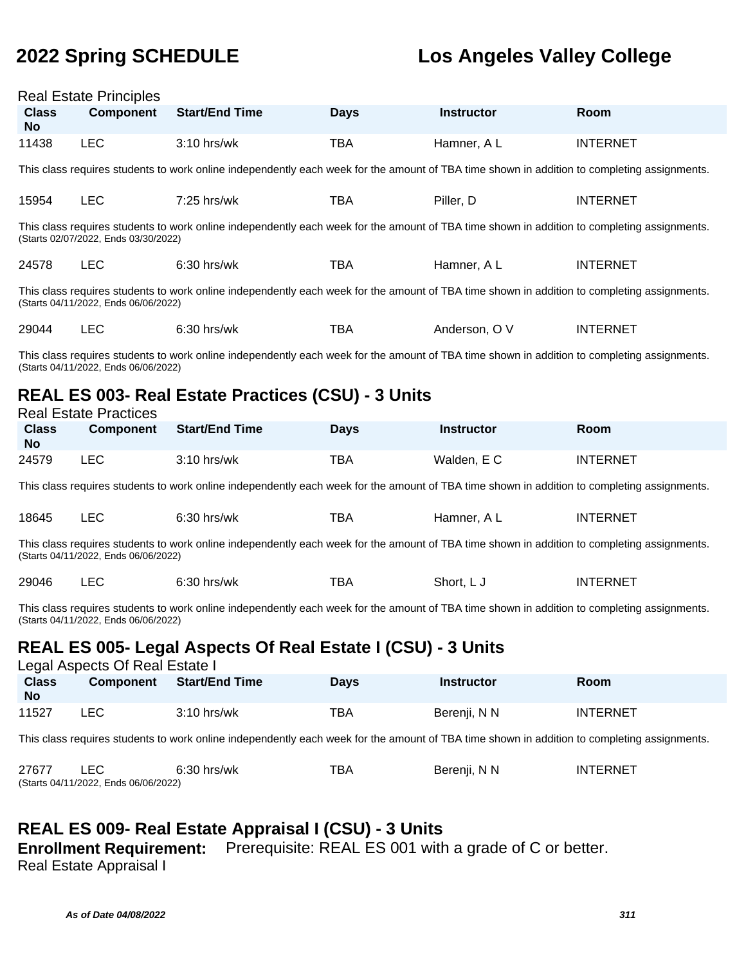|                           | <b>Real Estate Principles</b>                                                      |                                                                                                                                             |             |                   |                 |  |  |  |
|---------------------------|------------------------------------------------------------------------------------|---------------------------------------------------------------------------------------------------------------------------------------------|-------------|-------------------|-----------------|--|--|--|
| <b>Class</b><br><b>No</b> | <b>Component</b>                                                                   | <b>Start/End Time</b>                                                                                                                       | <b>Days</b> | <b>Instructor</b> | Room            |  |  |  |
| 11438                     | <b>LEC</b>                                                                         | 3:10 hrs/wk                                                                                                                                 | <b>TBA</b>  | Hamner, A L       | <b>INTERNET</b> |  |  |  |
|                           |                                                                                    | This class requires students to work online independently each week for the amount of TBA time shown in addition to completing assignments. |             |                   |                 |  |  |  |
| 15954                     | <b>LEC</b>                                                                         | 7:25 hrs/wk                                                                                                                                 | <b>TBA</b>  | Piller, D         | <b>INTERNET</b> |  |  |  |
|                           | (Starts 02/07/2022, Ends 03/30/2022)                                               | This class requires students to work online independently each week for the amount of TBA time shown in addition to completing assignments. |             |                   |                 |  |  |  |
| 24578                     | <b>LEC</b>                                                                         | 6:30 hrs/wk                                                                                                                                 | <b>TBA</b>  | Hamner, A L       | <b>INTERNET</b> |  |  |  |
|                           | (Starts 04/11/2022, Ends 06/06/2022)                                               | This class requires students to work online independently each week for the amount of TBA time shown in addition to completing assignments. |             |                   |                 |  |  |  |
| 29044                     | <b>LEC</b>                                                                         | $6:30$ hrs/wk                                                                                                                               | <b>TBA</b>  | Anderson, O V     | <b>INTERNET</b> |  |  |  |
|                           | (Starts 04/11/2022, Ends 06/06/2022)                                               | This class requires students to work online independently each week for the amount of TBA time shown in addition to completing assignments. |             |                   |                 |  |  |  |
|                           | REAL ES 003- Real Estate Practices (CSU) - 3 Units<br><b>Real Estate Practices</b> |                                                                                                                                             |             |                   |                 |  |  |  |
| <b>Class</b><br><b>No</b> | <b>Component</b>                                                                   | <b>Start/End Time</b>                                                                                                                       | <b>Days</b> | <b>Instructor</b> | Room            |  |  |  |
| 24579                     | <b>LEC</b>                                                                         | 3:10 hrs/wk                                                                                                                                 | <b>TBA</b>  | Walden, E C       | <b>INTERNET</b> |  |  |  |
|                           |                                                                                    | This class requires students to work online independently each week for the amount of TBA time shown in addition to completing assignments. |             |                   |                 |  |  |  |
| 18645                     | <b>LEC</b>                                                                         | 6:30 hrs/wk                                                                                                                                 | <b>TBA</b>  | Hamner, A L       | <b>INTERNET</b> |  |  |  |
|                           | (Starts 04/11/2022, Ends 06/06/2022)                                               | This class requires students to work online independently each week for the amount of TBA time shown in addition to completing assignments. |             |                   |                 |  |  |  |
| 29046                     | <b>LEC</b>                                                                         | 6:30 hrs/wk                                                                                                                                 | <b>TBA</b>  | Short, L J        | <b>INTERNET</b> |  |  |  |
|                           | (Starts 04/11/2022, Ends 06/06/2022)                                               | This class requires students to work online independently each week for the amount of TBA time shown in addition to completing assignments. |             |                   |                 |  |  |  |
|                           | Legal Aspects Of Real Estate I                                                     | REAL ES 005- Legal Aspects Of Real Estate I (CSU) - 3 Units                                                                                 |             |                   |                 |  |  |  |
| <b>Class</b><br><b>No</b> | <b>Component</b>                                                                   | <b>Start/End Time</b>                                                                                                                       | <b>Days</b> | <b>Instructor</b> | Room            |  |  |  |
| 11527                     | <b>LEC</b>                                                                         | 3:10 hrs/wk                                                                                                                                 | <b>TBA</b>  | Berenji, N N      | <b>INTERNET</b> |  |  |  |
|                           |                                                                                    | This class requires students to work online independently each week for the amount of TBA time shown in addition to completing assignments. |             |                   |                 |  |  |  |
| 27677                     | <b>LEC</b><br>(Starts 04/11/2022, Ends 06/06/2022)                                 | 6:30 hrs/wk                                                                                                                                 | <b>TBA</b>  | Berenji, N N      | <b>INTERNET</b> |  |  |  |

## **REAL ES 009- Real Estate Appraisal I (CSU) - 3 Units**

**Enrollment Requirement:** Prerequisite: REAL ES 001 with a grade of C or better.

Real Estate Appraisal I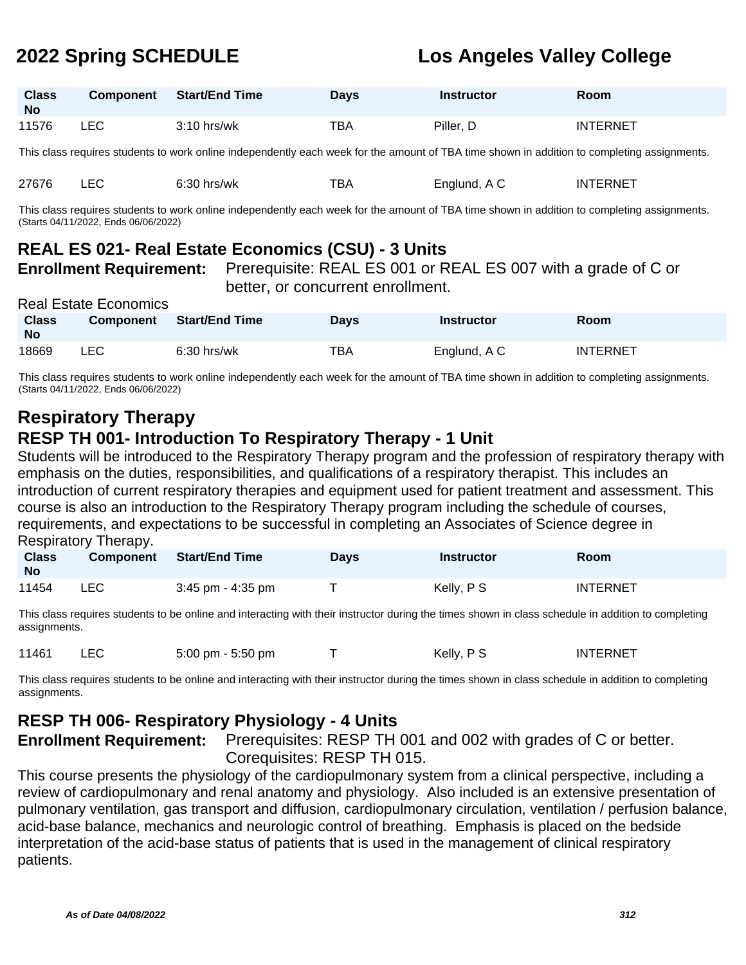| <b>Class</b><br><b>No</b> | Component | <b>Start/End Time</b> | Days | <b>Instructor</b> | Room            |
|---------------------------|-----------|-----------------------|------|-------------------|-----------------|
| 11576                     | ∟EC       | $3:10$ hrs/wk         | TBA  | Piller, D         | <b>INTERNET</b> |

This class requires students to work online independently each week for the amount of TBA time shown in addition to completing assignments.

| 27676 |  | $6:30$ hrs/wk | тва | Englund, A C | <b>INTERNET</b> |
|-------|--|---------------|-----|--------------|-----------------|
|-------|--|---------------|-----|--------------|-----------------|

This class requires students to work online independently each week for the amount of TBA time shown in addition to completing assignments. (Starts 04/11/2022, Ends 06/06/2022)

## **REAL ES 021- Real Estate Economics (CSU) - 3 Units**

**Enrollment Requirement:** Prerequisite: REAL ES 001 or REAL ES 007 with a grade of C or

better, or concurrent enrollment.

| <b>Real Estate Economics</b> |                  |                |             |                   |                 |  |  |
|------------------------------|------------------|----------------|-------------|-------------------|-----------------|--|--|
| <b>Class</b><br><b>No</b>    | <b>Component</b> | Start/End Time | <b>Days</b> | <b>Instructor</b> | <b>Room</b>     |  |  |
| 18669                        | LEC.             | $6:30$ hrs/wk  | TBA         | Englund, A C      | <b>INTERNET</b> |  |  |

This class requires students to work online independently each week for the amount of TBA time shown in addition to completing assignments. (Starts 04/11/2022, Ends 06/06/2022)

# **Respiratory Therapy**

## **RESP TH 001- Introduction To Respiratory Therapy - 1 Unit**

Students will be introduced to the Respiratory Therapy program and the profession of respiratory therapy with emphasis on the duties, responsibilities, and qualifications of a respiratory therapist. This includes an introduction of current respiratory therapies and equipment used for patient treatment and assessment. This course is also an introduction to the Respiratory Therapy program including the schedule of courses, requirements, and expectations to be successful in completing an Associates of Science degree in Respiratory Therapy.

| <b>Class</b><br><b>No</b> | <b>Component</b> | <b>Start/End Time</b> | Days | <b>Instructor</b> | Room            |
|---------------------------|------------------|-----------------------|------|-------------------|-----------------|
| 11454                     | LEC.             | $3:45$ pm - $4:35$ pm |      | Kelly, P S        | <b>INTERNET</b> |

This class requires students to be online and interacting with their instructor during the times shown in class schedule in addition to completing assignments.

11461 LEC 5:00 pm - 5:50 pm T Kelly, P S INTERNET

This class requires students to be online and interacting with their instructor during the times shown in class schedule in addition to completing assignments.

### **RESP TH 006- Respiratory Physiology - 4 Units**

**Enrollment Requirement:** Prerequisites: RESP TH 001 and 002 with grades of C or better. Corequisites: RESP TH 015.

This course presents the physiology of the cardiopulmonary system from a clinical perspective, including a review of cardiopulmonary and renal anatomy and physiology. Also included is an extensive presentation of pulmonary ventilation, gas transport and diffusion, cardiopulmonary circulation, ventilation / perfusion balance, acid-base balance, mechanics and neurologic control of breathing. Emphasis is placed on the bedside interpretation of the acid-base status of patients that is used in the management of clinical respiratory patients.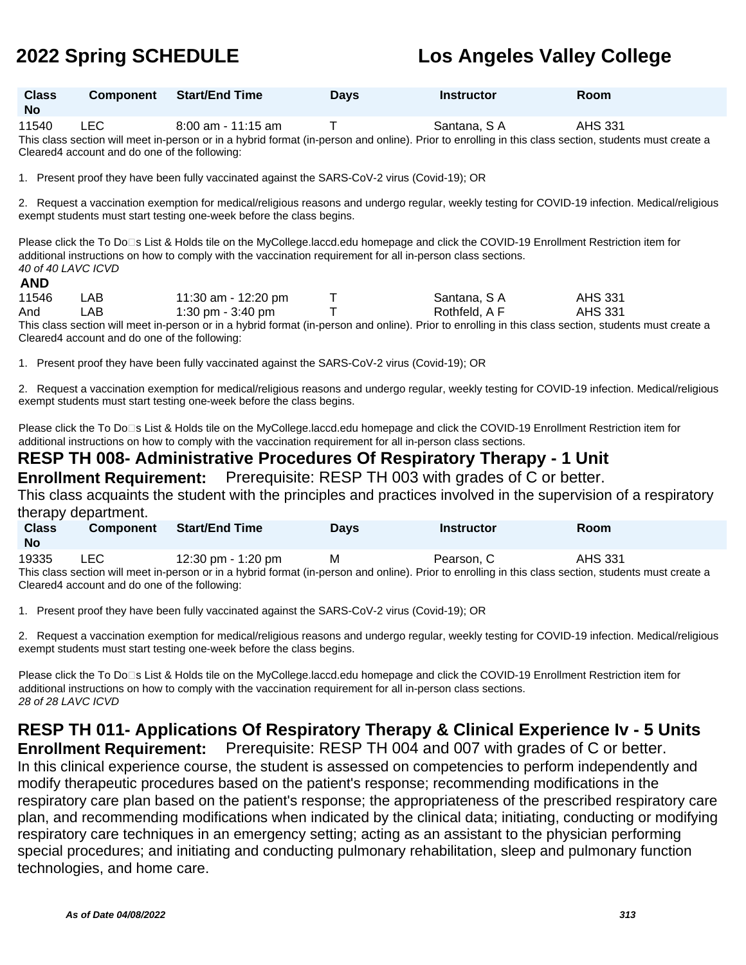| <b>Class</b><br><b>No</b> | Component Start/End Time | <b>Days</b> | <b>Instructor</b> | Room |
|---------------------------|--------------------------|-------------|-------------------|------|
|                           |                          |             |                   |      |

11540 LEC 8:00 am - 11:15 am T Santana, S A AHS 331 This class section will meet in-person or in a hybrid format (in-person and online). Prior to enrolling in this class section, students must create a Cleared4 account and do one of the following:

1. Present proof they have been fully vaccinated against the SARS-CoV-2 virus (Covid-19); OR

2. Request a vaccination exemption for medical/religious reasons and undergo regular, weekly testing for COVID-19 infection. Medical/religious exempt students must start testing one-week before the class begins.

Please click the To Do⊡s List & Holds tile on the MyCollege.laccd.edu homepage and click the COVID-19 Enrollment Restriction item for additional instructions on how to comply with the vaccination requirement for all in-person class sections. 40 of 40 LAVC ICVD

### **AND**

| 11546 | LAB                                           | 11:30 am - 12:20 pm | Santana, S A  | <b>AHS 331</b>                                                                                                                                        |  |
|-------|-----------------------------------------------|---------------------|---------------|-------------------------------------------------------------------------------------------------------------------------------------------------------|--|
| And   | ∟AB                                           | 1:30 pm - 3:40 pm   | Rothfeld, A F | AHS 331                                                                                                                                               |  |
|       |                                               |                     |               | This class section will meet in-person or in a hybrid format (in-person and online). Prior to enrolling in this class section, students must create a |  |
|       | Cleared4 account and do one of the following: |                     |               |                                                                                                                                                       |  |

1. Present proof they have been fully vaccinated against the SARS-CoV-2 virus (Covid-19); OR

2. Request a vaccination exemption for medical/religious reasons and undergo regular, weekly testing for COVID-19 infection. Medical/religious exempt students must start testing one-week before the class begins.

Please click the To Do⊡s List & Holds tile on the MyCollege.laccd.edu homepage and click the COVID-19 Enrollment Restriction item for additional instructions on how to comply with the vaccination requirement for all in-person class sections.

# **RESP TH 008- Administrative Procedures Of Respiratory Therapy - 1 Unit**

**Enrollment Requirement:** Prerequisite: RESP TH 003 with grades of C or better.

This class acquaints the student with the principles and practices involved in the supervision of a respiratory therapy department.

| <b>Class</b><br><b>No</b> | <b>Component</b> | Start/End Time     | <b>Days</b> | Instructor                                                                                                                                            | Room    |  |
|---------------------------|------------------|--------------------|-------------|-------------------------------------------------------------------------------------------------------------------------------------------------------|---------|--|
| 19335                     | LEC.             | 12:30 pm - 1:20 pm | м           | Pearson, C                                                                                                                                            | AHS 331 |  |
|                           |                  |                    |             | This class section will meet in-person or in a hybrid format (in-person and online). Prior to enrolling in this class section, students must create a |         |  |

erson or in a hybrid format (in-person and online). Prior to enrolling in this class sect Cleared4 account and do one of the following:

1. Present proof they have been fully vaccinated against the SARS-CoV-2 virus (Covid-19); OR

2. Request a vaccination exemption for medical/religious reasons and undergo regular, weekly testing for COVID-19 infection. Medical/religious exempt students must start testing one-week before the class begins.

Please click the To Do<sup>n</sup>s List & Holds tile on the MyCollege.laccd.edu homepage and click the COVID-19 Enrollment Restriction item for additional instructions on how to comply with the vaccination requirement for all in-person class sections. 28 of 28 LAVC ICVD

**RESP TH 011- Applications Of Respiratory Therapy & Clinical Experience Iv - 5 Units**

**Enrollment Requirement:** Prerequisite: RESP TH 004 and 007 with grades of C or better. In this clinical experience course, the student is assessed on competencies to perform independently and modify therapeutic procedures based on the patient's response; recommending modifications in the respiratory care plan based on the patient's response; the appropriateness of the prescribed respiratory care plan, and recommending modifications when indicated by the clinical data; initiating, conducting or modifying respiratory care techniques in an emergency setting; acting as an assistant to the physician performing special procedures; and initiating and conducting pulmonary rehabilitation, sleep and pulmonary function technologies, and home care.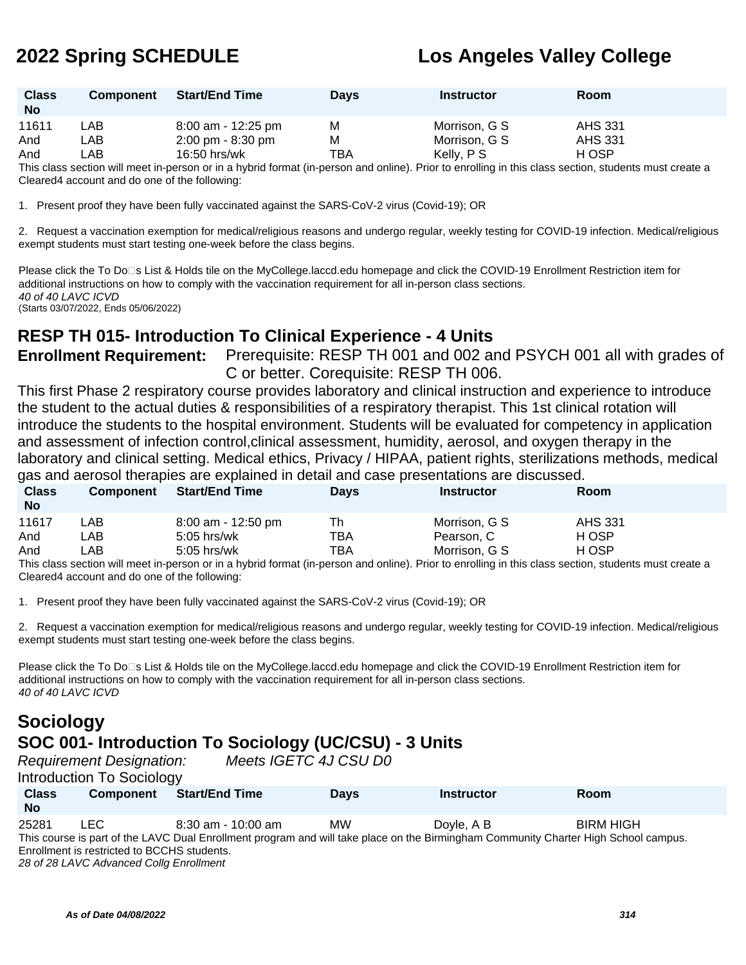| <b>Class</b><br><b>No</b> | <b>Component</b> | <b>Start/End Time</b> | <b>Davs</b> | <b>Instructor</b> | <b>Room</b>    |  |
|---------------------------|------------------|-----------------------|-------------|-------------------|----------------|--|
| 11611                     | .AB              | $8:00$ am - 12:25 pm  | м           | Morrison, G S     | <b>AHS 331</b> |  |
| And                       | _AB .            | 2:00 pm - 8:30 pm     | м           | Morrison, G S     | <b>AHS 331</b> |  |
| And                       | _AB              | $16:50$ hrs/wk        | TBA         | Kelly, P S        | H OSP          |  |
|                           |                  |                       |             |                   |                |  |

This class section will meet in-person or in a hybrid format (in-person and online). Prior to enrolling in this class section, students must create a Cleared4 account and do one of the following:

1. Present proof they have been fully vaccinated against the SARS-CoV-2 virus (Covid-19); OR

2. Request a vaccination exemption for medical/religious reasons and undergo regular, weekly testing for COVID-19 infection. Medical/religious exempt students must start testing one-week before the class begins.

Please click the To Do<sup>n</sup>s List & Holds tile on the MyCollege.laccd.edu homepage and click the COVID-19 Enrollment Restriction item for additional instructions on how to comply with the vaccination requirement for all in-person class sections. 40 of 40 LAVC ICVD (Starts 03/07/2022, Ends 05/06/2022)

**RESP TH 015- Introduction To Clinical Experience - 4 Units**

**Enrollment Requirement:** Prerequisite: RESP TH 001 and 002 and PSYCH 001 all with grades of C or better. Corequisite: RESP TH 006.

This first Phase 2 respiratory course provides laboratory and clinical instruction and experience to introduce the student to the actual duties & responsibilities of a respiratory therapist. This 1st clinical rotation will introduce the students to the hospital environment. Students will be evaluated for competency in application and assessment of infection control,clinical assessment, humidity, aerosol, and oxygen therapy in the laboratory and clinical setting. Medical ethics, Privacy / HIPAA, patient rights, sterilizations methods, medical gas and aerosol therapies are explained in detail and case presentations are discussed.

| $\cdot$<br><b>Class</b><br><b>No</b> | <b>Component</b> | <b>Start/End Time</b> | <b>Days</b> | <b>Instructor</b>                                                                                                                                     | Room           |  |
|--------------------------------------|------------------|-----------------------|-------------|-------------------------------------------------------------------------------------------------------------------------------------------------------|----------------|--|
| 11617                                | _AB .            | $8:00$ am - 12:50 pm  | Th          | Morrison, G S                                                                                                                                         | <b>AHS 331</b> |  |
| And                                  | _AB.             | $5:05$ hrs/wk         | TBA         | Pearson, C                                                                                                                                            | H OSP          |  |
| And                                  | -AB              | $5:05$ hrs/wk         | TBA         | Morrison, G S                                                                                                                                         | H OSP          |  |
|                                      |                  |                       |             | This close section will meet in person as in a by brid format (in person and online). Drias to enrolling in this close section, students must graph a |                |  |

This class section will meet in-person or in a hybrid format (in-person and online). Prior to enrolling in this class section, students must create a Cleared4 account and do one of the following:

1. Present proof they have been fully vaccinated against the SARS-CoV-2 virus (Covid-19); OR

2. Request a vaccination exemption for medical/religious reasons and undergo regular, weekly testing for COVID-19 infection. Medical/religious exempt students must start testing one-week before the class begins.

Please click the To Do<sup>n</sup>s List & Holds tile on the MyCollege.laccd.edu homepage and click the COVID-19 Enrollment Restriction item for additional instructions on how to comply with the vaccination requirement for all in-person class sections. 40 of 40 LAVC ICVD

## **Sociology SOC 001- Introduction To Sociology (UC/CSU) - 3 Units**

Requirement Designation: Meets IGETC 4J CSU D0

Introduction To Sociology

| <b>Class</b><br><b>No</b> | <b>Component</b>                            | <b>Start/End Time</b> | <b>Davs</b> | <b>Instructor</b>                                                                                                                   | <b>Room</b>      |  |
|---------------------------|---------------------------------------------|-----------------------|-------------|-------------------------------------------------------------------------------------------------------------------------------------|------------------|--|
| 25281                     | LEC.                                        | $8:30$ am - 10:00 am  | <b>MW</b>   | Dovle, A B                                                                                                                          | <b>BIRM HIGH</b> |  |
|                           |                                             |                       |             | This course is part of the LAVC Dual Enrollment program and will take place on the Birmingham Community Charter High School campus. |                  |  |
|                           | Enrollment is restricted to BCCHS students. |                       |             |                                                                                                                                     |                  |  |
|                           |                                             |                       |             |                                                                                                                                     |                  |  |

28 of 28 LAVC Advanced Collg Enrollment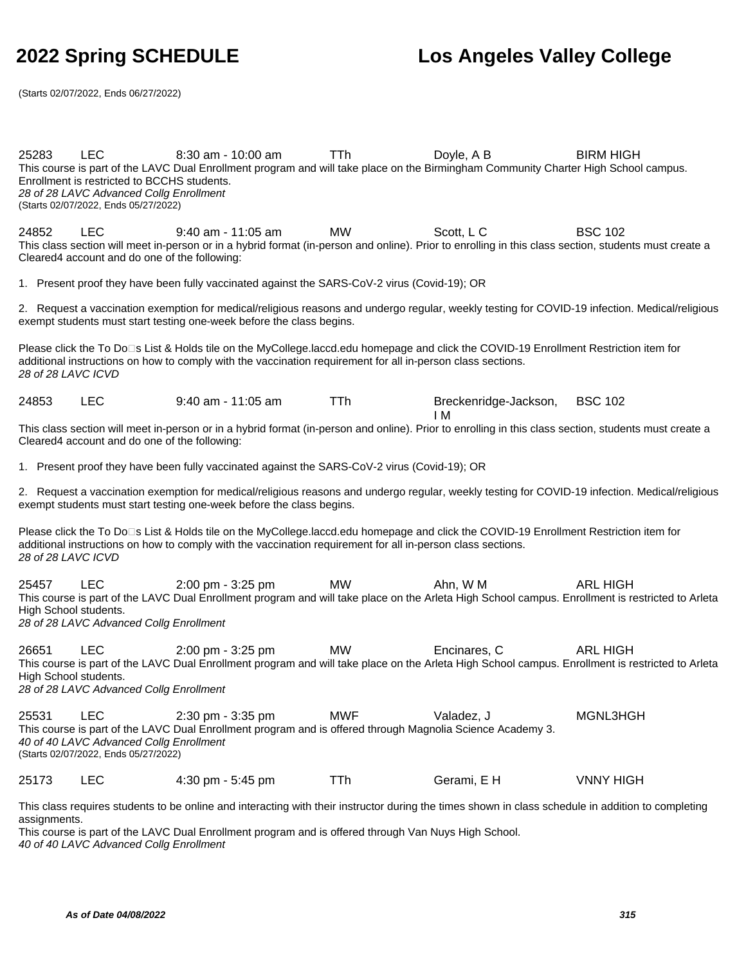BSC 102

(Starts 02/07/2022, Ends 06/27/2022)

25283 LEC 8:30 am - 10:00 am TTh Dovle, A B BIRM HIGH This course is part of the LAVC Dual Enrollment program and will take place on the Birmingham Community Charter High School campus. Enrollment is restricted to BCCHS students. 28 of 28 LAVC Advanced Collg Enrollment (Starts 02/07/2022, Ends 05/27/2022)

24852 LEC 9:40 am - 11:05 am MW Scott, L C BSC 102 This class section will meet in-person or in a hybrid format (in-person and online). Prior to enrolling in this class section, students must create a Cleared4 account and do one of the following:

1. Present proof they have been fully vaccinated against the SARS-CoV-2 virus (Covid-19); OR

2. Request a vaccination exemption for medical/religious reasons and undergo regular, weekly testing for COVID-19 infection. Medical/religious exempt students must start testing one-week before the class begins.

Please click the To Do□s List & Holds tile on the MyCollege.laccd.edu homepage and click the COVID-19 Enrollment Restriction item for additional instructions on how to comply with the vaccination requirement for all in-person class sections. 28 of 28 LAVC ICVD

24853 LEC 9:40 am - 11:05 am TTh Breckenridge-Jackson,

This class section will meet in-person or in a hybrid format (in-person and online). Prior to enrolling in this class section, students must create a Cleared4 account and do one of the following:

I M

1. Present proof they have been fully vaccinated against the SARS-CoV-2 virus (Covid-19); OR

2. Request a vaccination exemption for medical/religious reasons and undergo regular, weekly testing for COVID-19 infection. Medical/religious exempt students must start testing one-week before the class begins.

Please click the To Do□s List & Holds tile on the MyCollege.laccd.edu homepage and click the COVID-19 Enrollment Restriction item for additional instructions on how to comply with the vaccination requirement for all in-person class sections. 28 of 28 LAVC ICVD

25457 LEC 2:00 pm - 3:25 pm MW Ahn, W M ARL HIGH This course is part of the LAVC Dual Enrollment program and will take place on the Arleta High School campus. Enrollment is restricted to Arleta High School students. 28 of 28 LAVC Advanced Collg Enrollment

26651 LEC 2:00 pm - 3:25 pm MW Encinares, C ARL HIGH This course is part of the LAVC Dual Enrollment program and will take place on the Arleta High School campus. Enrollment is restricted to Arleta High School students. 28 of 28 LAVC Advanced Collg Enrollment

25531 LEC 2:30 pm - 3:35 pm MWF Valadez, J MGNL3HGH This course is part of the LAVC Dual Enrollment program and is offered through Magnolia Science Academy 3. 40 of 40 LAVC Advanced Collg Enrollment (Starts 02/07/2022, Ends 05/27/2022)

25173 LEC 4:30 pm - 5:45 pm TTh Gerami, E H VNNY HIGH

This class requires students to be online and interacting with their instructor during the times shown in class schedule in addition to completing assignments.

This course is part of the LAVC Dual Enrollment program and is offered through Van Nuys High School. 40 of 40 LAVC Advanced Collg Enrollment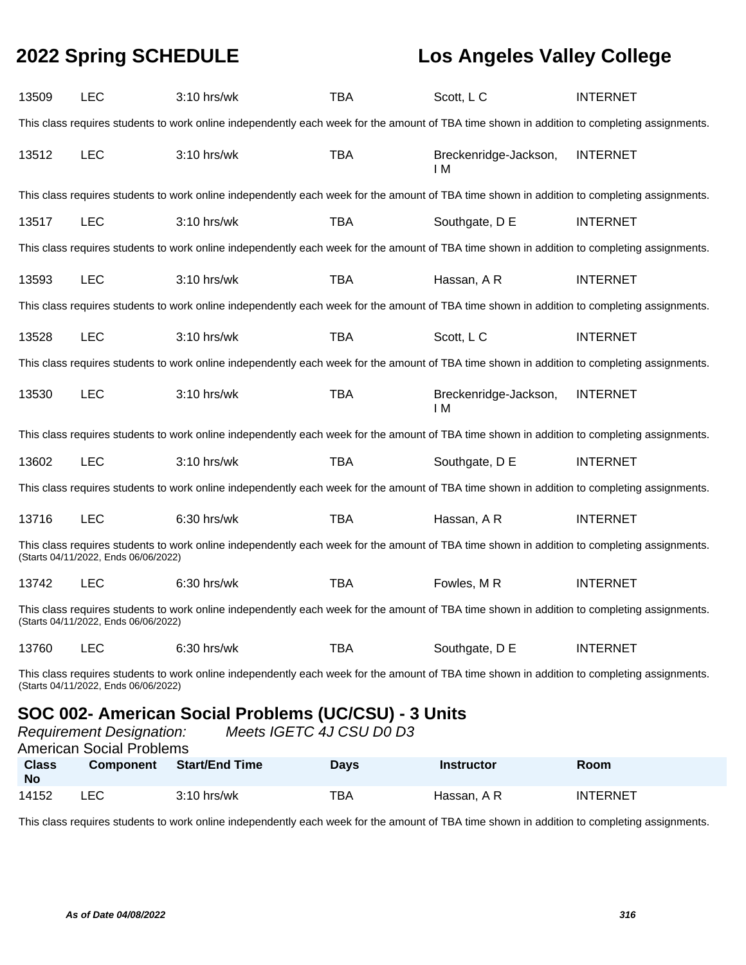| 13509                                                                                                                                                                               | <b>LEC</b>                                                                                                                                                                          | $3:10$ hrs/wk                                                                                                                               | <b>TBA</b> | Scott, L C                   | <b>INTERNET</b> |  |
|-------------------------------------------------------------------------------------------------------------------------------------------------------------------------------------|-------------------------------------------------------------------------------------------------------------------------------------------------------------------------------------|---------------------------------------------------------------------------------------------------------------------------------------------|------------|------------------------------|-----------------|--|
|                                                                                                                                                                                     |                                                                                                                                                                                     | This class requires students to work online independently each week for the amount of TBA time shown in addition to completing assignments. |            |                              |                 |  |
| 13512                                                                                                                                                                               | <b>LEC</b>                                                                                                                                                                          | 3:10 hrs/wk                                                                                                                                 | <b>TBA</b> | Breckenridge-Jackson,<br>I M | <b>INTERNET</b> |  |
|                                                                                                                                                                                     |                                                                                                                                                                                     | This class requires students to work online independently each week for the amount of TBA time shown in addition to completing assignments. |            |                              |                 |  |
| 13517                                                                                                                                                                               | <b>LEC</b>                                                                                                                                                                          | 3:10 hrs/wk                                                                                                                                 | <b>TBA</b> | Southgate, D E               | <b>INTERNET</b> |  |
|                                                                                                                                                                                     |                                                                                                                                                                                     | This class requires students to work online independently each week for the amount of TBA time shown in addition to completing assignments. |            |                              |                 |  |
| 13593                                                                                                                                                                               | <b>LEC</b>                                                                                                                                                                          | 3:10 hrs/wk                                                                                                                                 | <b>TBA</b> | Hassan, A R                  | <b>INTERNET</b> |  |
|                                                                                                                                                                                     |                                                                                                                                                                                     | This class requires students to work online independently each week for the amount of TBA time shown in addition to completing assignments. |            |                              |                 |  |
| 13528                                                                                                                                                                               | <b>LEC</b>                                                                                                                                                                          | 3:10 hrs/wk                                                                                                                                 | <b>TBA</b> | Scott, LC                    | <b>INTERNET</b> |  |
|                                                                                                                                                                                     |                                                                                                                                                                                     | This class requires students to work online independently each week for the amount of TBA time shown in addition to completing assignments. |            |                              |                 |  |
| 13530                                                                                                                                                                               | LEC                                                                                                                                                                                 | 3:10 hrs/wk                                                                                                                                 | <b>TBA</b> | Breckenridge-Jackson,<br>I M | <b>INTERNET</b> |  |
|                                                                                                                                                                                     |                                                                                                                                                                                     | This class requires students to work online independently each week for the amount of TBA time shown in addition to completing assignments. |            |                              |                 |  |
| 13602                                                                                                                                                                               | <b>LEC</b>                                                                                                                                                                          | 3:10 hrs/wk                                                                                                                                 | <b>TBA</b> | Southgate, D E               | <b>INTERNET</b> |  |
|                                                                                                                                                                                     |                                                                                                                                                                                     | This class requires students to work online independently each week for the amount of TBA time shown in addition to completing assignments. |            |                              |                 |  |
| 13716                                                                                                                                                                               | <b>LEC</b>                                                                                                                                                                          | 6:30 hrs/wk                                                                                                                                 | TBA        | Hassan, A R                  | <b>INTERNET</b> |  |
|                                                                                                                                                                                     | (Starts 04/11/2022, Ends 06/06/2022)                                                                                                                                                | This class requires students to work online independently each week for the amount of TBA time shown in addition to completing assignments. |            |                              |                 |  |
| 13742                                                                                                                                                                               | <b>LEC</b>                                                                                                                                                                          | $6:30$ hrs/wk                                                                                                                               | <b>TBA</b> | Fowles, MR                   | <b>INTERNET</b> |  |
| This class requires students to work online independently each week for the amount of TBA time shown in addition to completing assignments.<br>(Starts 04/11/2022, Ends 06/06/2022) |                                                                                                                                                                                     |                                                                                                                                             |            |                              |                 |  |
| 13760                                                                                                                                                                               | <b>LEC</b>                                                                                                                                                                          | 6:30 hrs/wk                                                                                                                                 | <b>TBA</b> | Southgate, D E               | <b>INTERNET</b> |  |
|                                                                                                                                                                                     | This class requires students to work online independently each week for the amount of TBA time shown in addition to completing assignments.<br>(Starts 04/11/2022, Ends 06/06/2022) |                                                                                                                                             |            |                              |                 |  |
|                                                                                                                                                                                     | SOC 002- American Social Problems (UC/CSU) - 3 Units                                                                                                                                |                                                                                                                                             |            |                              |                 |  |

|                           | <b>Requirement Designation:</b><br><b>American Social Problems</b> | Meets IGETC 4J CSU D0 D3 |             |                   |                 |
|---------------------------|--------------------------------------------------------------------|--------------------------|-------------|-------------------|-----------------|
| <b>Class</b><br><b>No</b> | <b>Component</b>                                                   | Start/End Time           | <b>Davs</b> | <b>Instructor</b> | <b>Room</b>     |
| 14152                     | LEC.                                                               | $3:10$ hrs/wk            | TBA         | Hassan, A R       | <b>INTERNET</b> |

This class requires students to work online independently each week for the amount of TBA time shown in addition to completing assignments.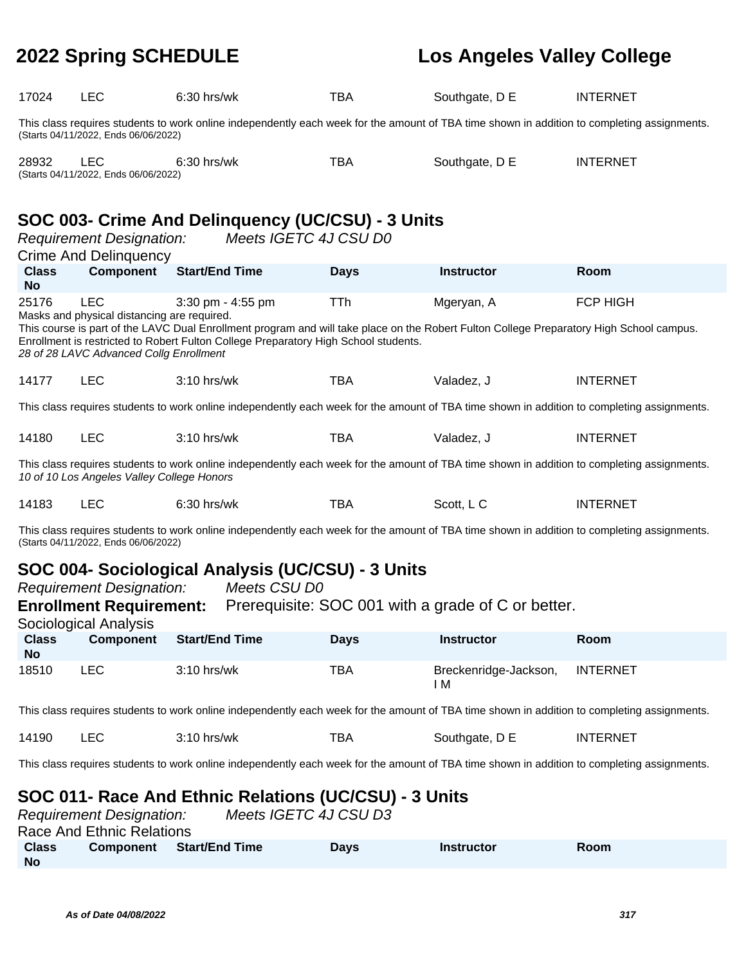| 17024                                                                                                                                                                                     | <b>LEC</b>                                                                                                                                  | 6:30 hrs/wk                                                                                                                                                                                                                     | <b>TBA</b>  | Southgate, D E               | <b>INTERNET</b> |  |
|-------------------------------------------------------------------------------------------------------------------------------------------------------------------------------------------|---------------------------------------------------------------------------------------------------------------------------------------------|---------------------------------------------------------------------------------------------------------------------------------------------------------------------------------------------------------------------------------|-------------|------------------------------|-----------------|--|
|                                                                                                                                                                                           | (Starts 04/11/2022, Ends 06/06/2022)                                                                                                        | This class requires students to work online independently each week for the amount of TBA time shown in addition to completing assignments.                                                                                     |             |                              |                 |  |
| 28932                                                                                                                                                                                     | <b>LEC</b><br>(Starts 04/11/2022, Ends 06/06/2022)                                                                                          | 6:30 hrs/wk                                                                                                                                                                                                                     | <b>TBA</b>  | Southgate, D E               | <b>INTERNET</b> |  |
|                                                                                                                                                                                           | <b>Requirement Designation:</b><br><b>Crime And Delinquency</b>                                                                             | SOC 003- Crime And Delinquency (UC/CSU) - 3 Units<br>Meets IGETC 4J CSU D0                                                                                                                                                      |             |                              |                 |  |
| <b>Class</b><br><b>No</b>                                                                                                                                                                 | <b>Component</b>                                                                                                                            | <b>Start/End Time</b>                                                                                                                                                                                                           | <b>Days</b> | <b>Instructor</b>            | Room            |  |
| 25176                                                                                                                                                                                     | <b>LEC</b><br>Masks and physical distancing are required.                                                                                   | 3:30 pm - 4:55 pm                                                                                                                                                                                                               | TTh         | Mgeryan, A                   | <b>FCP HIGH</b> |  |
|                                                                                                                                                                                           | 28 of 28 LAVC Advanced Collg Enrollment                                                                                                     | This course is part of the LAVC Dual Enrollment program and will take place on the Robert Fulton College Preparatory High School campus.<br>Enrollment is restricted to Robert Fulton College Preparatory High School students. |             |                              |                 |  |
| 14177                                                                                                                                                                                     | <b>LEC</b>                                                                                                                                  | 3:10 hrs/wk                                                                                                                                                                                                                     | <b>TBA</b>  | Valadez, J                   | <b>INTERNET</b> |  |
|                                                                                                                                                                                           | This class requires students to work online independently each week for the amount of TBA time shown in addition to completing assignments. |                                                                                                                                                                                                                                 |             |                              |                 |  |
| 14180                                                                                                                                                                                     | <b>LEC</b>                                                                                                                                  | 3:10 hrs/wk                                                                                                                                                                                                                     | <b>TBA</b>  | Valadez, J                   | <b>INTERNET</b> |  |
| This class requires students to work online independently each week for the amount of TBA time shown in addition to completing assignments.<br>10 of 10 Los Angeles Valley College Honors |                                                                                                                                             |                                                                                                                                                                                                                                 |             |                              |                 |  |
| 14183                                                                                                                                                                                     | <b>LEC</b>                                                                                                                                  | 6:30 hrs/wk                                                                                                                                                                                                                     | <b>TBA</b>  | Scott, L C                   | <b>INTERNET</b> |  |
| This class requires students to work online independently each week for the amount of TBA time shown in addition to completing assignments.<br>(Starts 04/11/2022, Ends 06/06/2022)       |                                                                                                                                             |                                                                                                                                                                                                                                 |             |                              |                 |  |
| SOC 004- Sociological Analysis (UC/CSU) - 3 Units                                                                                                                                         |                                                                                                                                             |                                                                                                                                                                                                                                 |             |                              |                 |  |
| <b>Requirement Designation:</b><br>Meets CSU D0<br>Prerequisite: SOC 001 with a grade of C or better.<br><b>Enrollment Requirement:</b><br>Sociological Analysis                          |                                                                                                                                             |                                                                                                                                                                                                                                 |             |                              |                 |  |
| <b>Class</b><br><b>No</b>                                                                                                                                                                 | <b>Component</b>                                                                                                                            | <b>Start/End Time</b>                                                                                                                                                                                                           | <b>Days</b> | <b>Instructor</b>            | Room            |  |
| 18510                                                                                                                                                                                     | <b>LEC</b>                                                                                                                                  | 3:10 hrs/wk                                                                                                                                                                                                                     | <b>TBA</b>  | Breckenridge-Jackson,<br>I M | <b>INTERNET</b> |  |
|                                                                                                                                                                                           |                                                                                                                                             | This class requires students to work online independently each week for the amount of TBA time shown in addition to completing assignments.                                                                                     |             |                              |                 |  |
| 14190                                                                                                                                                                                     | <b>LEC</b>                                                                                                                                  | 3:10 hrs/wk                                                                                                                                                                                                                     | <b>TBA</b>  | Southgate, D E               | <b>INTERNET</b> |  |
|                                                                                                                                                                                           |                                                                                                                                             | This class requires students to work online independently each week for the amount of TBA time shown in addition to completing assignments.                                                                                     |             |                              |                 |  |
| SOC 011- Race And Ethnic Relations (UC/CSU) - 3 Units                                                                                                                                     |                                                                                                                                             |                                                                                                                                                                                                                                 |             |                              |                 |  |

|              | <b>Requirement Designation:</b> |                | Meets IGETC 4J CSU D3 |            |             |  |
|--------------|---------------------------------|----------------|-----------------------|------------|-------------|--|
|              | Race And Ethnic Relations       |                |                       |            |             |  |
| <b>Class</b> | <b>Component</b>                | Start/End Time | <b>Davs</b>           | Instructor | <b>Room</b> |  |
| <b>No</b>    |                                 |                |                       |            |             |  |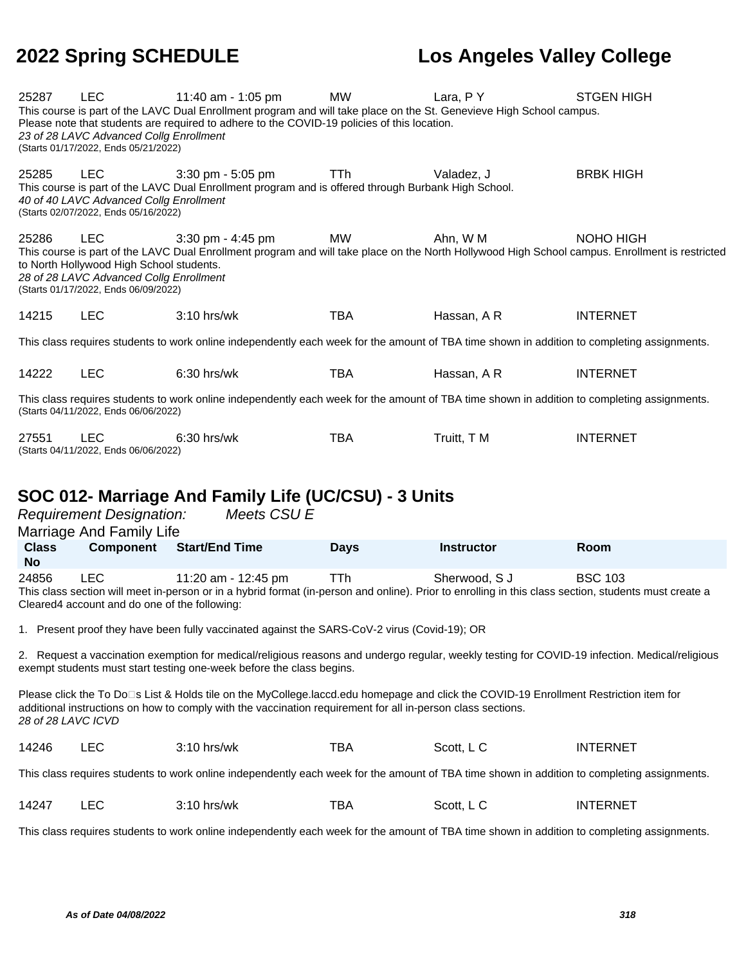| 25287              | LEC                                                                                                                                       | 11:40 am - 1:05 pm<br>This course is part of the LAVC Dual Enrollment program and will take place on the St. Genevieve High School campus.                                                                                                           | <b>MW</b>   | Lara, PY          | <b>STGEN HIGH</b> |
|--------------------|-------------------------------------------------------------------------------------------------------------------------------------------|------------------------------------------------------------------------------------------------------------------------------------------------------------------------------------------------------------------------------------------------------|-------------|-------------------|-------------------|
|                    | 23 of 28 LAVC Advanced Collg Enrollment<br>(Starts 01/17/2022, Ends 05/21/2022)                                                           | Please note that students are required to adhere to the COVID-19 policies of this location.                                                                                                                                                          |             |                   |                   |
| 25285              | <b>LEC</b><br>40 of 40 LAVC Advanced Collg Enrollment<br>(Starts 02/07/2022, Ends 05/16/2022)                                             | $3:30$ pm - $5:05$ pm<br>This course is part of the LAVC Dual Enrollment program and is offered through Burbank High School.                                                                                                                         | TTh         | Valadez, J        | <b>BRBK HIGH</b>  |
| 25286              | <b>LEC</b><br>to North Hollywood High School students.<br>28 of 28 LAVC Advanced Collg Enrollment<br>(Starts 01/17/2022, Ends 06/09/2022) | 3:30 pm - 4:45 pm<br>This course is part of the LAVC Dual Enrollment program and will take place on the North Hollywood High School campus. Enrollment is restricted                                                                                 | MW          | Ahn, W M          | NOHO HIGH         |
| 14215              | <b>LEC</b>                                                                                                                                | 3:10 hrs/wk                                                                                                                                                                                                                                          | <b>TBA</b>  | Hassan, A R       | <b>INTERNET</b>   |
|                    |                                                                                                                                           | This class requires students to work online independently each week for the amount of TBA time shown in addition to completing assignments.                                                                                                          |             |                   |                   |
| 14222              | <b>LEC</b>                                                                                                                                | 6:30 hrs/wk                                                                                                                                                                                                                                          | <b>TBA</b>  | Hassan, A R       | <b>INTERNET</b>   |
|                    | (Starts 04/11/2022, Ends 06/06/2022)                                                                                                      | This class requires students to work online independently each week for the amount of TBA time shown in addition to completing assignments.                                                                                                          |             |                   |                   |
| 27551              | <b>LEC</b><br>(Starts 04/11/2022, Ends 06/06/2022)                                                                                        | $6:30$ hrs/wk                                                                                                                                                                                                                                        | <b>TBA</b>  | Truitt, T M       | <b>INTERNET</b>   |
|                    |                                                                                                                                           |                                                                                                                                                                                                                                                      |             |                   |                   |
|                    | <b>Requirement Designation:</b>                                                                                                           | SOC 012- Marriage And Family Life (UC/CSU) - 3 Units<br>Meets CSU E                                                                                                                                                                                  |             |                   |                   |
|                    | Marriage And Family Life                                                                                                                  |                                                                                                                                                                                                                                                      |             |                   |                   |
| <b>Class</b><br>No | Component                                                                                                                                 | <b>Start/End Time</b>                                                                                                                                                                                                                                | <b>Days</b> | <b>Instructor</b> | Room              |
| 24856              | <b>LEC</b><br>Cleared4 account and do one of the following:                                                                               | 11:20 am - 12:45 pm<br>This class section will meet in-person or in a hybrid format (in-person and online). Prior to enrolling in this class section, students must create a                                                                         | <b>TTh</b>  | Sherwood, S J     | <b>BSC 103</b>    |
|                    |                                                                                                                                           | 1. Present proof they have been fully vaccinated against the SARS-CoV-2 virus (Covid-19); OR                                                                                                                                                         |             |                   |                   |
|                    |                                                                                                                                           | 2. Request a vaccination exemption for medical/religious reasons and undergo regular, weekly testing for COVID-19 infection. Medical/religious<br>exempt students must start testing one-week before the class begins.                               |             |                   |                   |
| 28 of 28 LAVC ICVD |                                                                                                                                           | Please click the To Do□s List & Holds tile on the MyCollege.laccd.edu homepage and click the COVID-19 Enrollment Restriction item for<br>additional instructions on how to comply with the vaccination requirement for all in-person class sections. |             |                   |                   |
| 14246              | <b>LEC</b>                                                                                                                                | 3:10 hrs/wk                                                                                                                                                                                                                                          | <b>TBA</b>  | Scott, L C        | <b>INTERNET</b>   |
|                    |                                                                                                                                           | This class requires students to work online independently each week for the amount of TBA time shown in addition to completing assignments.                                                                                                          |             |                   |                   |
| 14247              | <b>LEC</b>                                                                                                                                | 3:10 hrs/wk                                                                                                                                                                                                                                          | <b>TBA</b>  | Scott, L C        | <b>INTERNET</b>   |
|                    |                                                                                                                                           | This class requires students to work online independently each week for the amount of TBA time shown in addition to completing assignments.                                                                                                          |             |                   |                   |

**As of Date 04/08/2022 318**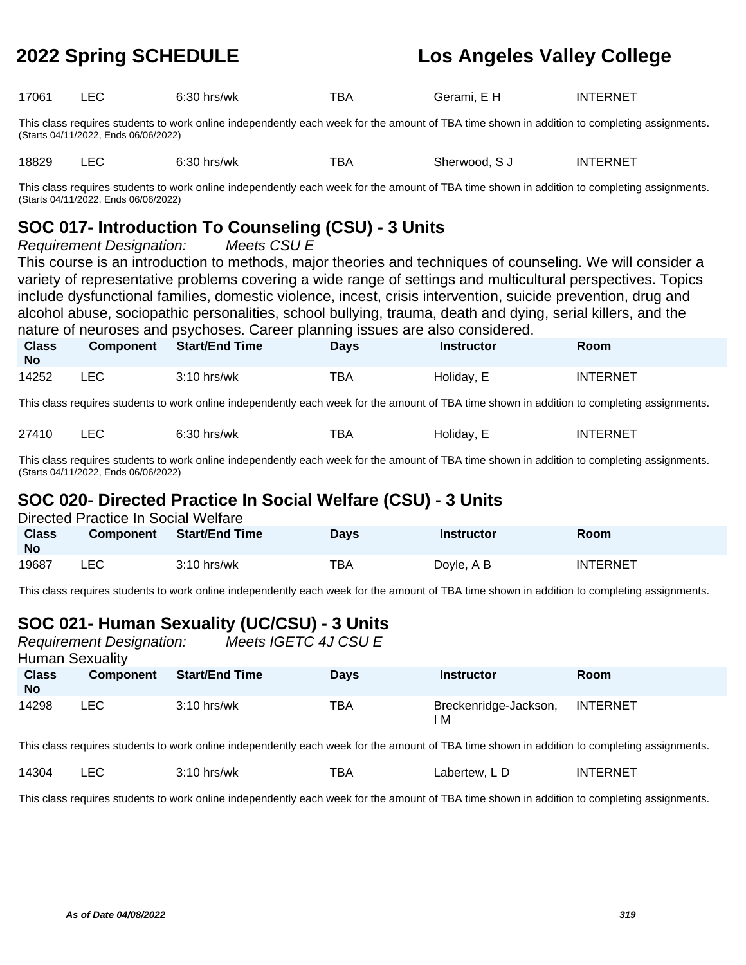| 17061 | $6:30$ hrs/wk | тва | Gerami, E H | INTERNET |
|-------|---------------|-----|-------------|----------|
|       |               |     |             |          |

This class requires students to work online independently each week for the amount of TBA time shown in addition to completing assignments. (Starts 04/11/2022, Ends 06/06/2022)

18829 LEC 6:30 hrs/wk TBA Sherwood, SJ INTERNET

This class requires students to work online independently each week for the amount of TBA time shown in addition to completing assignments. (Starts 04/11/2022, Ends 06/06/2022)

## **SOC 017- Introduction To Counseling (CSU) - 3 Units**

Requirement Designation: Meets CSU E

This course is an introduction to methods, major theories and techniques of counseling. We will consider a variety of representative problems covering a wide range of settings and multicultural perspectives. Topics include dysfunctional families, domestic violence, incest, crisis intervention, suicide prevention, drug and alcohol abuse, sociopathic personalities, school bullying, trauma, death and dying, serial killers, and the nature of neuroses and psychoses. Career planning issues are also considered.

| <b>Class</b><br><b>No</b> | <b>Component</b> | <b>Start/End Time</b> | Days | <b>Instructor</b> | Room            |
|---------------------------|------------------|-----------------------|------|-------------------|-----------------|
| 14252                     | LEC              | $3:10$ hrs/wk         | TBA  | Holiday, E        | <b>INTERNET</b> |

This class requires students to work online independently each week for the amount of TBA time shown in addition to completing assignments.

| 27410 | LEC | $6:30$ hrs/wk | тва | Holiday, E | <b>INTERNET</b> |
|-------|-----|---------------|-----|------------|-----------------|
|-------|-----|---------------|-----|------------|-----------------|

19687 LEC 3:10 hrs/wk TBA Doyle, A B INTERNET

This class requires students to work online independently each week for the amount of TBA time shown in addition to completing assignments. (Starts 04/11/2022, Ends 06/06/2022)

### **SOC 020- Directed Practice In Social Welfare (CSU) - 3 Units**

|           | Directed Practice In Social Welfare |                       |             |                   |      |
|-----------|-------------------------------------|-----------------------|-------------|-------------------|------|
| Class     | <b>Component</b>                    | <b>Start/End Time</b> | <b>Davs</b> | <b>Instructor</b> | Room |
| <b>No</b> |                                     |                       |             |                   |      |

This class requires students to work online independently each week for the amount of TBA time shown in addition to completing assignments.

## **SOC 021- Human Sexuality (UC/CSU) - 3 Units**

|                           | <b>Requirement Designation:</b><br><b>Human Sexuality</b> | Meets IGETC 4J CSU E  |             |                            |                 |
|---------------------------|-----------------------------------------------------------|-----------------------|-------------|----------------------------|-----------------|
| <b>Class</b><br><b>No</b> | <b>Component</b>                                          | <b>Start/End Time</b> | <b>Davs</b> | <b>Instructor</b>          | Room            |
| 14298                     | LEC.                                                      | $3:10$ hrs/wk         | TBA         | Breckenridge-Jackson,<br>M | <b>INTERNET</b> |

This class requires students to work online independently each week for the amount of TBA time shown in addition to completing assignments.

|  | 14304 |  | hrs/wk | BΑ | ∟abertew. L D | FRNET<br>INT |
|--|-------|--|--------|----|---------------|--------------|
|--|-------|--|--------|----|---------------|--------------|

This class requires students to work online independently each week for the amount of TBA time shown in addition to completing assignments.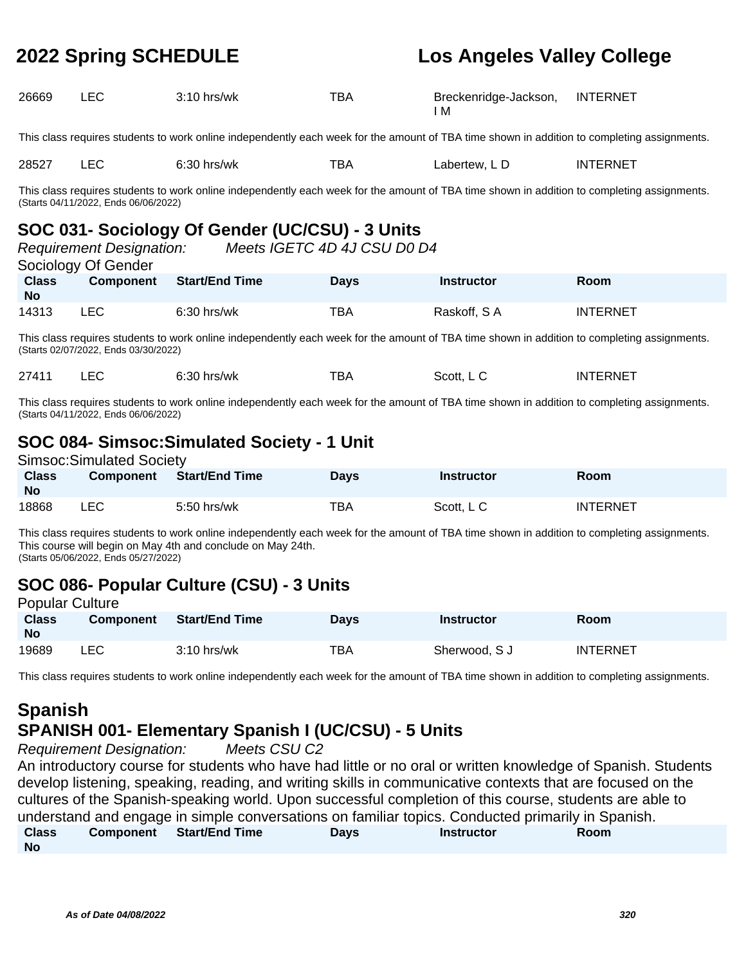| 26669                                                                                                                                                                               | LEC.                                                                                                                                                                                | $3:10$ hrs/wk                                                                                                                               | TBA  | Breckenridge-Jackson,<br>I M | <b>INTERNET</b> |  |  |
|-------------------------------------------------------------------------------------------------------------------------------------------------------------------------------------|-------------------------------------------------------------------------------------------------------------------------------------------------------------------------------------|---------------------------------------------------------------------------------------------------------------------------------------------|------|------------------------------|-----------------|--|--|
|                                                                                                                                                                                     |                                                                                                                                                                                     | This class requires students to work online independently each week for the amount of TBA time shown in addition to completing assignments. |      |                              |                 |  |  |
| 28527<br>LEC.<br>$6:30$ hrs/wk<br>TBA<br>Labertew, LD<br><b>INTERNET</b>                                                                                                            |                                                                                                                                                                                     |                                                                                                                                             |      |                              |                 |  |  |
|                                                                                                                                                                                     | This class requires students to work online independently each week for the amount of TBA time shown in addition to completing assignments.<br>(Starts 04/11/2022, Ends 06/06/2022) |                                                                                                                                             |      |                              |                 |  |  |
| SOC 031- Sociology Of Gender (UC/CSU) - 3 Units<br>Meets IGETC 4D 4J CSU D0 D4<br><b>Requirement Designation:</b><br>Sociology Of Gender                                            |                                                                                                                                                                                     |                                                                                                                                             |      |                              |                 |  |  |
| <b>Class</b><br><b>No</b>                                                                                                                                                           | Component                                                                                                                                                                           | <b>Start/End Time</b>                                                                                                                       | Days | <b>Instructor</b>            | <b>Room</b>     |  |  |
| <b>LEC</b><br>14313<br>$6:30$ hrs/wk<br>TBA<br>Raskoff, SA<br><b>INTERNET</b>                                                                                                       |                                                                                                                                                                                     |                                                                                                                                             |      |                              |                 |  |  |
| This class requires students to work online independently each week for the amount of TBA time shown in addition to completing assignments.<br>(Starts 02/07/2022, Ends 03/30/2022) |                                                                                                                                                                                     |                                                                                                                                             |      |                              |                 |  |  |

This class requires students to work online independently each week for the amount of TBA time shown in addition to completing assignments. (Starts 04/11/2022, Ends 06/06/2022)

27411 LEC 6:30 hrs/wk TBA Scott, L C INTERNET

### **SOC 084- Simsoc:Simulated Society - 1 Unit** Simsoc:Simulated Society

| Simsoc:Simulated Society  |                  |                       |             |            |                 |  |  |
|---------------------------|------------------|-----------------------|-------------|------------|-----------------|--|--|
| <b>Class</b><br><b>No</b> | <b>Component</b> | <b>Start/End Time</b> | <b>Davs</b> | Instructor | <b>Room</b>     |  |  |
| 18868                     | ∟EC              | 5:50 hrs/wk           | TBA         | Scott. L C | <b>INTERNET</b> |  |  |

This class requires students to work online independently each week for the amount of TBA time shown in addition to completing assignments. This course will begin on May 4th and conclude on May 24th. (Starts 05/06/2022, Ends 05/27/2022)

### **SOC 086- Popular Culture (CSU) - 3 Units** Popular Culture

| Pupulai Gullule           |                  |                       |             |                   |                 |
|---------------------------|------------------|-----------------------|-------------|-------------------|-----------------|
| <b>Class</b><br><b>No</b> | <b>Component</b> | <b>Start/End Time</b> | <b>Davs</b> | <b>Instructor</b> | Room            |
| 19689                     | ∟EC              | $3:10$ hrs/wk         | TBA         | Sherwood, S J     | <b>INTERNET</b> |

This class requires students to work online independently each week for the amount of TBA time shown in addition to completing assignments.

### **Spanish SPANISH 001- Elementary Spanish I (UC/CSU) - 5 Units**

Requirement Designation: Meets CSU C2

An introductory course for students who have had little or no oral or written knowledge of Spanish. Students develop listening, speaking, reading, and writing skills in communicative contexts that are focused on the cultures of the Spanish-speaking world. Upon successful completion of this course, students are able to understand and engage in simple conversations on familiar topics. Conducted primarily in Spanish. **Class No Component Start/End Time Days Instructor Room**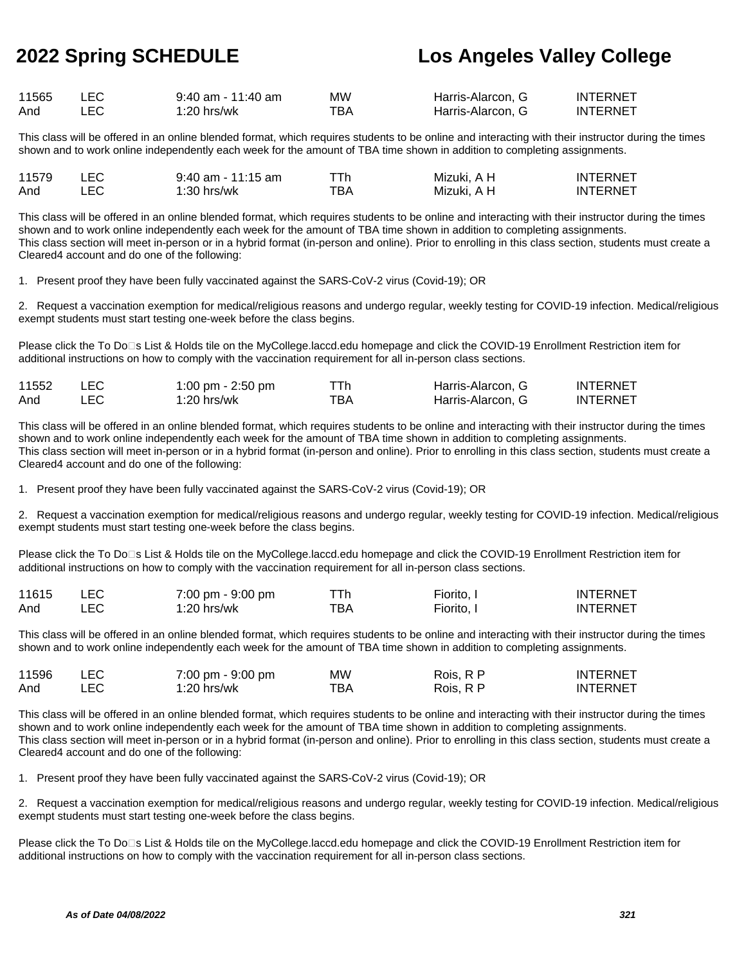| 11565 | $9:40$ am - 11:40 am | МW  | Harris-Alarcon. G | INTERNET        |
|-------|----------------------|-----|-------------------|-----------------|
| And   | $1:20$ hrs/wk        | тва | Harris-Alarcon. G | <b>INTERNET</b> |

This class will be offered in an online blended format, which requires students to be online and interacting with their instructor during the times shown and to work online independently each week for the amount of TBA time shown in addition to completing assignments.

| 11579 | $9:40$ am - 11:15 am |     | Mizuki. A H | INTERNE <sup>*</sup> |
|-------|----------------------|-----|-------------|----------------------|
| And   | 1:30 hrs/wk          | тва | Mizuki. A H | INTERNE <sup>-</sup> |

This class will be offered in an online blended format, which requires students to be online and interacting with their instructor during the times shown and to work online independently each week for the amount of TBA time shown in addition to completing assignments. This class section will meet in-person or in a hybrid format (in-person and online). Prior to enrolling in this class section, students must create a Cleared4 account and do one of the following:

1. Present proof they have been fully vaccinated against the SARS-CoV-2 virus (Covid-19); OR

2. Request a vaccination exemption for medical/religious reasons and undergo regular, weekly testing for COVID-19 infection. Medical/religious exempt students must start testing one-week before the class begins.

Please click the To Do<sup>n</sup>s List & Holds tile on the MyCollege.laccd.edu homepage and click the COVID-19 Enrollment Restriction item for additional instructions on how to comply with the vaccination requirement for all in-person class sections.

| 11552 | 1:00 pm - 2:50 pm |     | Harris-Alarcon, G | <b>INTERNET</b> |
|-------|-------------------|-----|-------------------|-----------------|
| And   | 1:20 hrs/wk       | ™ВА | Harris-Alarcon, G | <b>INTERNET</b> |

This class will be offered in an online blended format, which requires students to be online and interacting with their instructor during the times shown and to work online independently each week for the amount of TBA time shown in addition to completing assignments. This class section will meet in-person or in a hybrid format (in-person and online). Prior to enrolling in this class section, students must create a Cleared4 account and do one of the following:

1. Present proof they have been fully vaccinated against the SARS-CoV-2 virus (Covid-19); OR

2. Request a vaccination exemption for medical/religious reasons and undergo regular, weekly testing for COVID-19 infection. Medical/religious exempt students must start testing one-week before the class begins.

Please click the To Do<sup>n</sup>s List & Holds tile on the MyCollege.laccd.edu homepage and click the COVID-19 Enrollment Restriction item for additional instructions on how to comply with the vaccination requirement for all in-person class sections.

| 11615 | 7:00 pm - 9:00 pm |     | Fiorito. | <b>INTERNET</b> |
|-------|-------------------|-----|----------|-----------------|
| And   | 1:20 hrs/wk       | ™ВА | Fiorito. | <b>INTERNET</b> |

This class will be offered in an online blended format, which requires students to be online and interacting with their instructor during the times shown and to work online independently each week for the amount of TBA time shown in addition to completing assignments.

| 11596 | 7:00 pm - 9:00 pm | MW  | Rois. R P | <b>INTERNET</b> |
|-------|-------------------|-----|-----------|-----------------|
| And   | $1:20$ hrs/wk     | ™ВА | Rois. R P | <b>INTERNET</b> |

This class will be offered in an online blended format, which requires students to be online and interacting with their instructor during the times shown and to work online independently each week for the amount of TBA time shown in addition to completing assignments. This class section will meet in-person or in a hybrid format (in-person and online). Prior to enrolling in this class section, students must create a Cleared4 account and do one of the following:

1. Present proof they have been fully vaccinated against the SARS-CoV-2 virus (Covid-19); OR

2. Request a vaccination exemption for medical/religious reasons and undergo regular, weekly testing for COVID-19 infection. Medical/religious exempt students must start testing one-week before the class begins.

Please click the To Do<sup>n</sup>s List & Holds tile on the MyCollege.laccd.edu homepage and click the COVID-19 Enrollment Restriction item for additional instructions on how to comply with the vaccination requirement for all in-person class sections.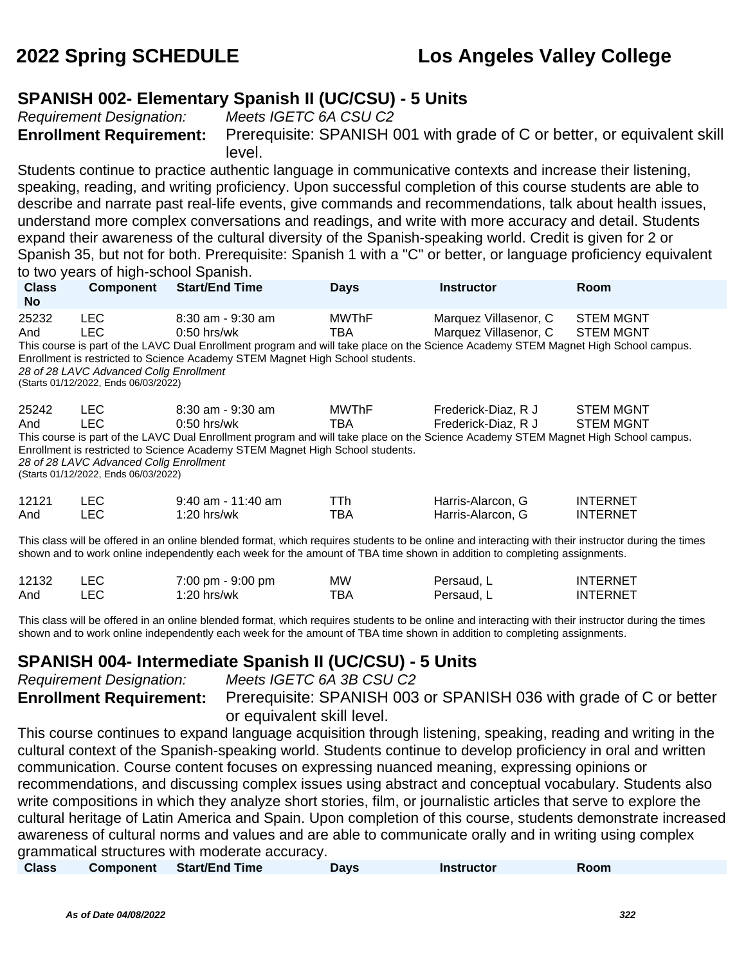### **SPANISH 002- Elementary Spanish II (UC/CSU) - 5 Units**

Requirement Designation: Meets IGETC 6A CSU C2

**Enrollment Requirement:** Prerequisite: SPANISH 001 with grade of C or better, or equivalent skill level.

Students continue to practice authentic language in communicative contexts and increase their listening, speaking, reading, and writing proficiency. Upon successful completion of this course students are able to describe and narrate past real-life events, give commands and recommendations, talk about health issues, understand more complex conversations and readings, and write with more accuracy and detail. Students expand their awareness of the cultural diversity of the Spanish-speaking world. Credit is given for 2 or Spanish 35, but not for both. Prerequisite: Spanish 1 with a "C" or better, or language proficiency equivalent to two years of high-school Spanish.

| <b>Class</b><br><b>No</b>                                                                                                                                                                                                                                                       | <b>Component</b>                                                                                | <b>Start/End Time</b>                                                                                                                                                                                                                                         | <b>Days</b>         | <b>Instructor</b>                              | <b>Room</b>                          |  |  |
|---------------------------------------------------------------------------------------------------------------------------------------------------------------------------------------------------------------------------------------------------------------------------------|-------------------------------------------------------------------------------------------------|---------------------------------------------------------------------------------------------------------------------------------------------------------------------------------------------------------------------------------------------------------------|---------------------|------------------------------------------------|--------------------------------------|--|--|
| 25232<br>And                                                                                                                                                                                                                                                                    | LEC.<br>LEC.<br>28 of 28 LAVC Advanced Collg Enrollment<br>(Starts 01/12/2022, Ends 06/03/2022) | $8:30$ am - $9:30$ am<br>$0:50$ hrs/wk<br>This course is part of the LAVC Dual Enrollment program and will take place on the Science Academy STEM Magnet High School campus.<br>Enrollment is restricted to Science Academy STEM Magnet High School students. | <b>MWThF</b><br>TBA | Marquez Villasenor, C<br>Marquez Villasenor, C | <b>STEM MGNT</b><br><b>STEM MGNT</b> |  |  |
| 25242<br>And                                                                                                                                                                                                                                                                    | LEC.<br>LEC.<br>28 of 28 LAVC Advanced Collg Enrollment<br>(Starts 01/12/2022, Ends 06/03/2022) | $8:30$ am - $9:30$ am<br>$0:50$ hrs/wk<br>This course is part of the LAVC Dual Enrollment program and will take place on the Science Academy STEM Magnet High School campus.<br>Enrollment is restricted to Science Academy STEM Magnet High School students. | <b>MWThF</b><br>TBA | Frederick-Diaz, R J<br>Frederick-Diaz, R J     | <b>STEM MGNT</b><br><b>STEM MGNT</b> |  |  |
| 12121<br>And                                                                                                                                                                                                                                                                    | LEC.<br><b>LEC</b>                                                                              | $9:40$ am - 11:40 am<br>$1:20$ hrs/wk                                                                                                                                                                                                                         | TTh.<br>TBA         | Harris-Alarcon, G<br>Harris-Alarcon, G         | <b>INTERNET</b><br><b>INTERNET</b>   |  |  |
| This class will be offered in an online blended format, which requires students to be online and interacting with their instructor during the times<br>shown and to work online independently each week for the amount of TBA time shown in addition to completing assignments. |                                                                                                 |                                                                                                                                                                                                                                                               |                     |                                                |                                      |  |  |

| 12132 | LEC | 7:00 pm - 9:00 pm | МW  | Persaud. L | <b>INTERNET</b> |
|-------|-----|-------------------|-----|------------|-----------------|
| And   | LEC | $1:20$ hrs/wk     | TBA | Persaud. L | <b>INTERNET</b> |

This class will be offered in an online blended format, which requires students to be online and interacting with their instructor during the times shown and to work online independently each week for the amount of TBA time shown in addition to completing assignments.

### **SPANISH 004- Intermediate Spanish II (UC/CSU) - 5 Units**

Requirement Designation: Meets IGETC 6A 3B CSU C2 **Enrollment Requirement:** Prerequisite: SPANISH 003 or SPANISH 036 with grade of C or better or equivalent skill level.

This course continues to expand language acquisition through listening, speaking, reading and writing in the cultural context of the Spanish-speaking world. Students continue to develop proficiency in oral and written communication. Course content focuses on expressing nuanced meaning, expressing opinions or recommendations, and discussing complex issues using abstract and conceptual vocabulary. Students also write compositions in which they analyze short stories, film, or journalistic articles that serve to explore the cultural heritage of Latin America and Spain. Upon completion of this course, students demonstrate increased awareness of cultural norms and values and are able to communicate orally and in writing using complex grammatical structures with moderate accuracy.

| <b>Class</b><br>Component Start/End Time | Days | Instructor | Room |  |
|------------------------------------------|------|------------|------|--|
|------------------------------------------|------|------------|------|--|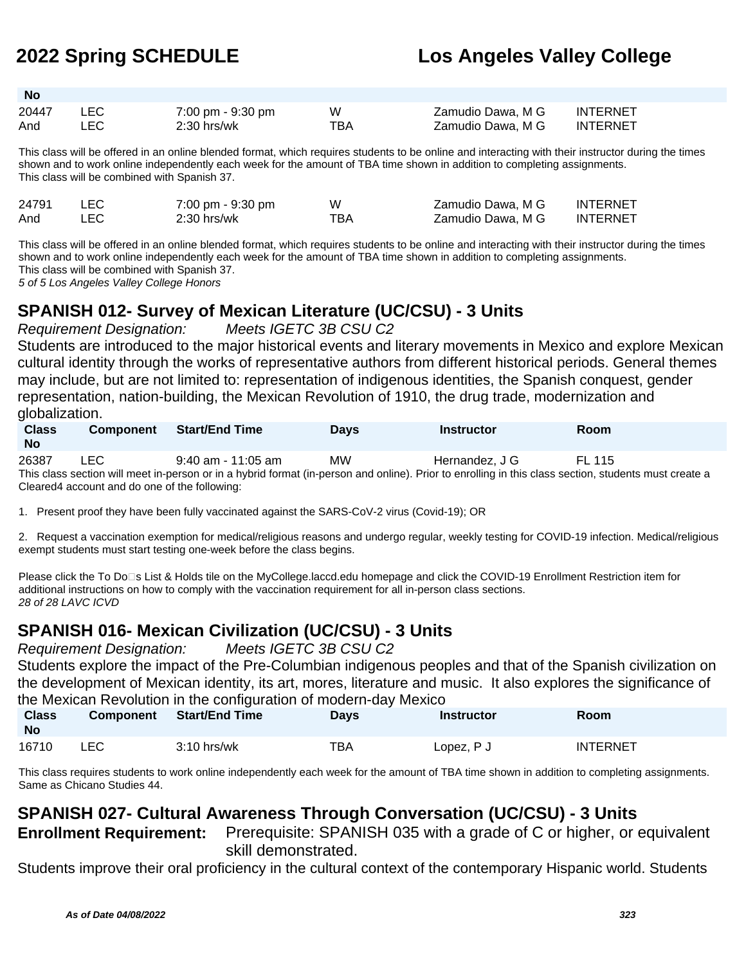| <b>No</b> |      |                   |     |                   |                 |
|-----------|------|-------------------|-----|-------------------|-----------------|
| 20447     | LEC. | 7:00 pm - 9:30 pm | W   | Zamudio Dawa, M G | <b>INTERNET</b> |
| And       | LEC. | $2:30$ hrs/wk     | TBA | Zamudio Dawa, M G | INTERNET        |

This class will be offered in an online blended format, which requires students to be online and interacting with their instructor during the times shown and to work online independently each week for the amount of TBA time shown in addition to completing assignments. This class will be combined with Spanish 37.

| 24791 | 7:00 pm - 9:30 pm | w   | Zamudio Dawa, M G | <b>INTERNET</b> |
|-------|-------------------|-----|-------------------|-----------------|
| And   | $2:30$ hrs/wk     | TBA | Zamudio Dawa. M G | <b>INTERNET</b> |

This class will be offered in an online blended format, which requires students to be online and interacting with their instructor during the times shown and to work online independently each week for the amount of TBA time shown in addition to completing assignments. This class will be combined with Spanish 37.

5 of 5 Los Angeles Valley College Honors

### **SPANISH 012- Survey of Mexican Literature (UC/CSU) - 3 Units**

Requirement Designation: Meets IGETC 3B CSU C2

Students are introduced to the major historical events and literary movements in Mexico and explore Mexican cultural identity through the works of representative authors from different historical periods. General themes may include, but are not limited to: representation of indigenous identities, the Spanish conquest, gender representation, nation-building, the Mexican Revolution of 1910, the drug trade, modernization and globalization.

| <b>Class</b><br><b>No</b> | <b>Component</b> | <b>Start/End Time</b>                                                                                                                                 | <b>Davs</b> | Instructor     | <b>Room</b> |
|---------------------------|------------------|-------------------------------------------------------------------------------------------------------------------------------------------------------|-------------|----------------|-------------|
| 26387                     | LEC.             | $9:40$ am - 11:05 am                                                                                                                                  | MW.         | Hernandez. J G | FI 115      |
|                           |                  | This class section will meet in-person or in a hybrid format (in-person and online). Prior to enrolling in this class section, students must create a |             |                |             |

Cleared4 account and do one of the following:

1. Present proof they have been fully vaccinated against the SARS-CoV-2 virus (Covid-19); OR

2. Request a vaccination exemption for medical/religious reasons and undergo regular, weekly testing for COVID-19 infection. Medical/religious exempt students must start testing one-week before the class begins.

Please click the To Do⊡s List & Holds tile on the MyCollege.laccd.edu homepage and click the COVID-19 Enrollment Restriction item for additional instructions on how to comply with the vaccination requirement for all in-person class sections. 28 of 28 LAVC ICVD

## **SPANISH 016- Mexican Civilization (UC/CSU) - 3 Units**

Requirement Designation: Meets IGETC 3B CSU C2

Students explore the impact of the Pre-Columbian indigenous peoples and that of the Spanish civilization on the development of Mexican identity, its art, mores, literature and music. It also explores the significance of the Mexican Revolution in the configuration of modern-day Mexico

| <b>Class</b><br><b>No</b> | <b>Component</b> | <b>Start/End Time</b> | Days | <b>Instructor</b> | Room            |
|---------------------------|------------------|-----------------------|------|-------------------|-----------------|
| 16710                     | LEC              | 3:10 hrs/wk           | TBA  | Lopez, P J        | <b>INTERNET</b> |

This class requires students to work online independently each week for the amount of TBA time shown in addition to completing assignments. Same as Chicano Studies 44.

## **SPANISH 027- Cultural Awareness Through Conversation (UC/CSU) - 3 Units**

**Enrollment Requirement:** Prerequisite: SPANISH 035 with a grade of C or higher, or equivalent skill demonstrated.

Students improve their oral proficiency in the cultural context of the contemporary Hispanic world. Students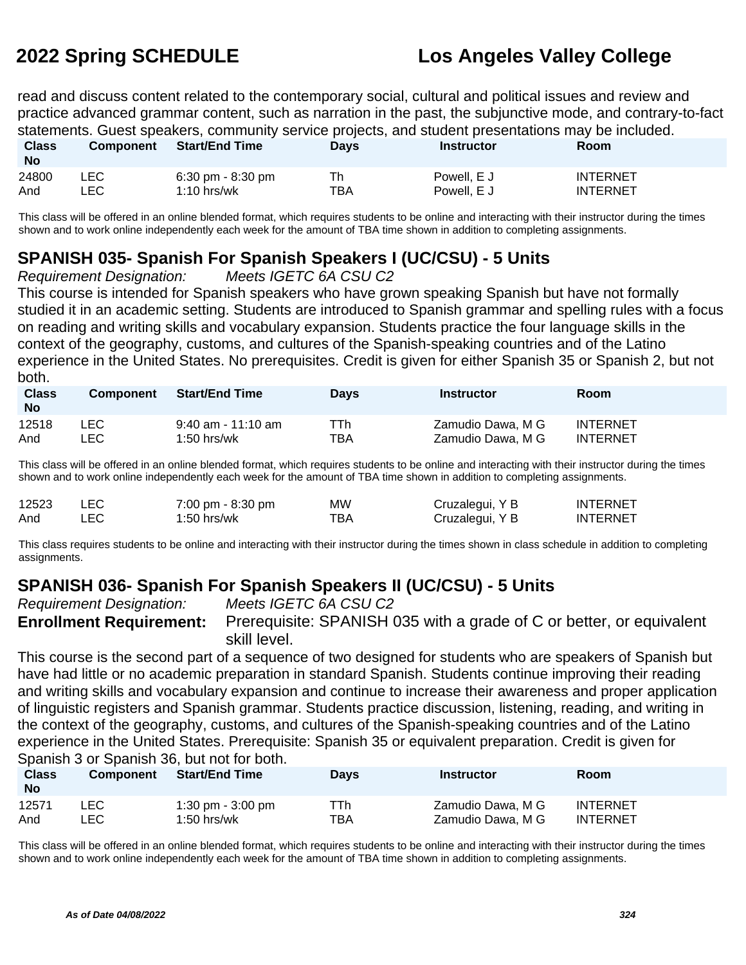read and discuss content related to the contemporary social, cultural and political issues and review and practice advanced grammar content, such as narration in the past, the subjunctive mode, and contrary-to-fact statements. Guest speakers, community service projects, and student presentations may be included.

| <b>Class</b><br><b>No</b> | <b>Component</b> | <b>Start/End Time</b> | Days | Instructor  | <b>Room</b>     |
|---------------------------|------------------|-----------------------|------|-------------|-----------------|
| 24800                     | _EC              | 6:30 pm - 8:30 pm     | Th   | Powell. E J | <b>INTERNET</b> |
| And                       | .EC              | $1:10$ hrs/wk         | TBA  | Powell. E J | INTERNET        |

This class will be offered in an online blended format, which requires students to be online and interacting with their instructor during the times shown and to work online independently each week for the amount of TBA time shown in addition to completing assignments.

### **SPANISH 035- Spanish For Spanish Speakers I (UC/CSU) - 5 Units**

Requirement Designation: Meets IGETC 6A CSU C2

This course is intended for Spanish speakers who have grown speaking Spanish but have not formally studied it in an academic setting. Students are introduced to Spanish grammar and spelling rules with a focus on reading and writing skills and vocabulary expansion. Students practice the four language skills in the context of the geography, customs, and cultures of the Spanish-speaking countries and of the Latino experience in the United States. No prerequisites. Credit is given for either Spanish 35 or Spanish 2, but not both.

| <b>Class</b><br><b>No</b> | <b>Component</b> | <b>Start/End Time</b> | <b>Davs</b> | Instructor        | Room            |
|---------------------------|------------------|-----------------------|-------------|-------------------|-----------------|
| 12518                     | LEC              | 9:40 am - 11:10 am    | TTh         | Zamudio Dawa, M G | <b>INTERNET</b> |
| And                       | LEC              | $1:50$ hrs/wk         | TBA         | Zamudio Dawa, M G | <b>INTERNET</b> |

This class will be offered in an online blended format, which requires students to be online and interacting with their instructor during the times shown and to work online independently each week for the amount of TBA time shown in addition to completing assignments.

| 12523 |     | 7:00 pm - 8:30 pm | <b>MW</b> | Cruzalegui, Y B | <b>INTERNET</b> |
|-------|-----|-------------------|-----------|-----------------|-----------------|
| And   | LEC | 1:50 hrs/wk       | ™ВА       | Cruzalegui, Y B | <b>INTERNET</b> |

This class requires students to be online and interacting with their instructor during the times shown in class schedule in addition to completing assignments.

## **SPANISH 036- Spanish For Spanish Speakers II (UC/CSU) - 5 Units**

Requirement Designation: Meets IGETC 6A CSU C2

**Enrollment Requirement:** Prerequisite: SPANISH 035 with a grade of C or better, or equivalent skill level.

This course is the second part of a sequence of two designed for students who are speakers of Spanish but have had little or no academic preparation in standard Spanish. Students continue improving their reading and writing skills and vocabulary expansion and continue to increase their awareness and proper application of linguistic registers and Spanish grammar. Students practice discussion, listening, reading, and writing in the context of the geography, customs, and cultures of the Spanish-speaking countries and of the Latino experience in the United States. Prerequisite: Spanish 35 or equivalent preparation. Credit is given for Spanish 3 or Spanish 36, but not for both.

| <b>Class</b><br><b>No</b> | <b>Component</b> | <b>Start/End Time</b> | <b>Davs</b> | <b>Instructor</b> | <b>Room</b>     |
|---------------------------|------------------|-----------------------|-------------|-------------------|-----------------|
| 12571                     | ∟EC.             | 1:30 pm - $3:00$ pm   | TTh         | Zamudio Dawa, M G | <b>INTERNET</b> |
| And                       | -EC              | 1:50 hrs/wk           | TBA         | Zamudio Dawa, M G | <b>INTERNET</b> |

This class will be offered in an online blended format, which requires students to be online and interacting with their instructor during the times shown and to work online independently each week for the amount of TBA time shown in addition to completing assignments.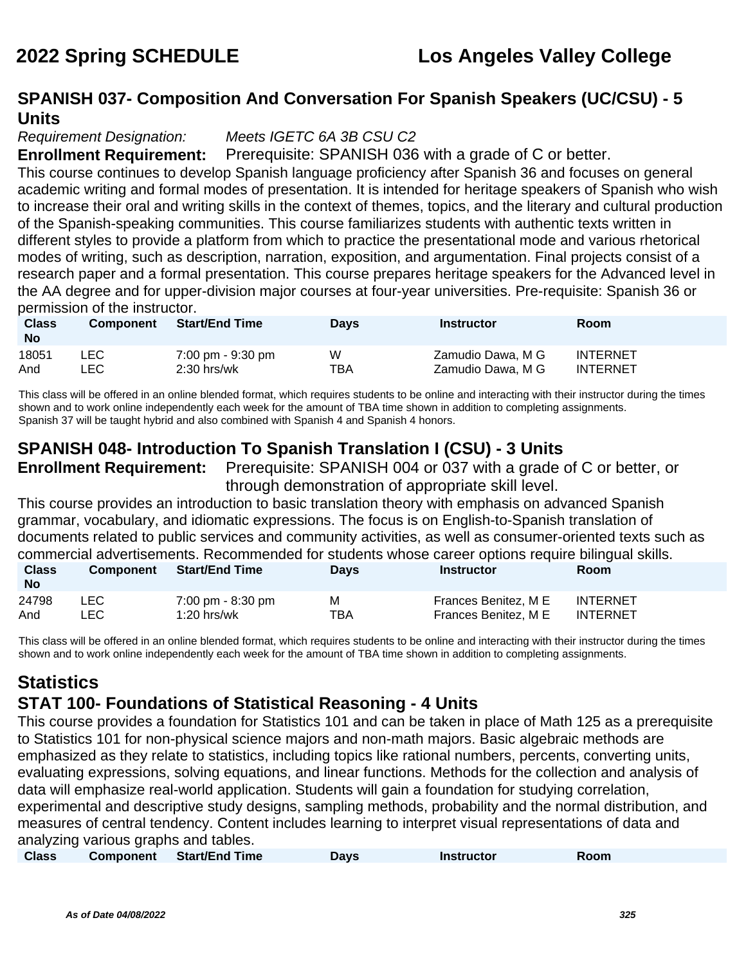### **SPANISH 037- Composition And Conversation For Spanish Speakers (UC/CSU) - 5 Units**

#### Requirement Designation: Meets IGETC 6A 3B CSU C2

**Enrollment Requirement:** Prerequisite: SPANISH 036 with a grade of C or better.

This course continues to develop Spanish language proficiency after Spanish 36 and focuses on general academic writing and formal modes of presentation. It is intended for heritage speakers of Spanish who wish to increase their oral and writing skills in the context of themes, topics, and the literary and cultural production of the Spanish-speaking communities. This course familiarizes students with authentic texts written in different styles to provide a platform from which to practice the presentational mode and various rhetorical modes of writing, such as description, narration, exposition, and argumentation. Final projects consist of a research paper and a formal presentation. This course prepares heritage speakers for the Advanced level in the AA degree and for upper-division major courses at four-year universities. Pre-requisite: Spanish 36 or permission of the instructor.

| <b>Class</b><br><b>No</b> | <b>Component</b> | <b>Start/End Time</b> | <b>Days</b> | <b>Instructor</b> | <b>Room</b>     |
|---------------------------|------------------|-----------------------|-------------|-------------------|-----------------|
| 18051                     | LEC              | 7:00 pm - 9:30 pm     | W           | Zamudio Dawa, M G | <b>INTERNET</b> |
| And                       | LEC.             | $2:30$ hrs/wk         | TBA         | Zamudio Dawa, M G | <b>INTERNET</b> |

This class will be offered in an online blended format, which requires students to be online and interacting with their instructor during the times shown and to work online independently each week for the amount of TBA time shown in addition to completing assignments. Spanish 37 will be taught hybrid and also combined with Spanish 4 and Spanish 4 honors.

## **SPANISH 048- Introduction To Spanish Translation I (CSU) - 3 Units**

**Enrollment Requirement:** Prerequisite: SPANISH 004 or 037 with a grade of C or better, or through demonstration of appropriate skill level.

This course provides an introduction to basic translation theory with emphasis on advanced Spanish grammar, vocabulary, and idiomatic expressions. The focus is on English-to-Spanish translation of documents related to public services and community activities, as well as consumer-oriented texts such as commercial advertisements. Recommended for students whose career options require bilingual skills.

| <b>Class</b><br><b>No</b> | <b>Component</b> | <b>Start/End Time</b> | <b>Days</b> | Instructor           | <b>Room</b> |
|---------------------------|------------------|-----------------------|-------------|----------------------|-------------|
| 24798                     | LEC.             | 7:00 pm - 8:30 pm     | м           | Frances Benitez, M E | INTERNET    |
| And                       | ∟EC⊹             | $1:20$ hrs/wk         | TBA         | Frances Benitez, M E | INTERNET    |

This class will be offered in an online blended format, which requires students to be online and interacting with their instructor during the times shown and to work online independently each week for the amount of TBA time shown in addition to completing assignments.

# **Statistics**

### **STAT 100- Foundations of Statistical Reasoning - 4 Units**

This course provides a foundation for Statistics 101 and can be taken in place of Math 125 as a prerequisite to Statistics 101 for non-physical science majors and non-math majors. Basic algebraic methods are emphasized as they relate to statistics, including topics like rational numbers, percents, converting units, evaluating expressions, solving equations, and linear functions. Methods for the collection and analysis of data will emphasize real-world application. Students will gain a foundation for studying correlation, experimental and descriptive study designs, sampling methods, probability and the normal distribution, and measures of central tendency. Content includes learning to interpret visual representations of data and analyzing various graphs and tables.

|  | <b>Class</b> | <b>Component</b> | Start/End Time | Davs | <b>Instructor</b> | Room |
|--|--------------|------------------|----------------|------|-------------------|------|
|--|--------------|------------------|----------------|------|-------------------|------|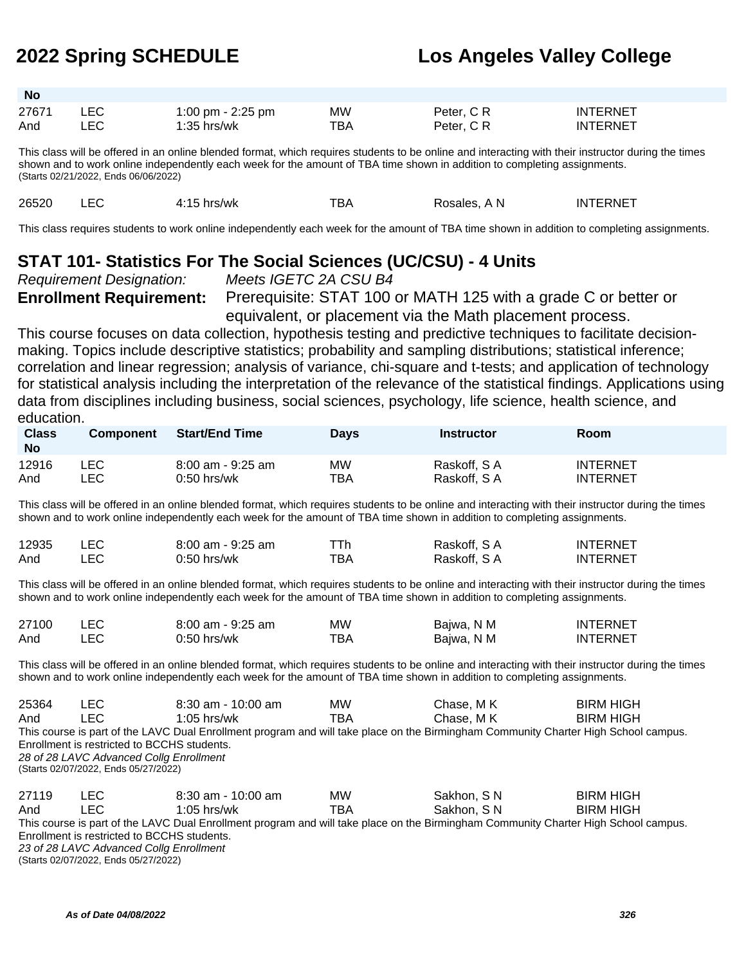| <b>No</b> |     |                   |           |            |                 |
|-----------|-----|-------------------|-----------|------------|-----------------|
| 27671     | LEC | 1:00 pm - 2:25 pm | <b>MW</b> | Peter, C R | <b>INTERNET</b> |
| And       | LEC | $1:35$ hrs/wk     | TBA       | Peter, C R | <b>INTERNET</b> |

This class will be offered in an online blended format, which requires students to be online and interacting with their instructor during the times shown and to work online independently each week for the amount of TBA time shown in addition to completing assignments. (Starts 02/21/2022, Ends 06/06/2022)

26520 LEC 4:15 hrs/wk TBA Rosales, A N INTERNET

This class requires students to work online independently each week for the amount of TBA time shown in addition to completing assignments.

### **STAT 101- Statistics For The Social Sciences (UC/CSU) - 4 Units**

Requirement Designation: Meets IGETC 2A CSU B4

**Enrollment Requirement:** Prerequisite: STAT 100 or MATH 125 with a grade C or better or equivalent, or placement via the Math placement process.

This course focuses on data collection, hypothesis testing and predictive techniques to facilitate decisionmaking. Topics include descriptive statistics; probability and sampling distributions; statistical inference; correlation and linear regression; analysis of variance, chi-square and t-tests; and application of technology for statistical analysis including the interpretation of the relevance of the statistical findings. Applications using data from disciplines including business, social sciences, psychology, life science, health science, and education.

| <b>Class</b><br><b>No</b> | <b>Component</b> | <b>Start/End Time</b> | <b>Davs</b> | Instructor  | <b>Room</b>     |
|---------------------------|------------------|-----------------------|-------------|-------------|-----------------|
| 12916                     | ∟EC              | 8:00 am - 9:25 am     | МW          | Raskoff, SA | <b>INTERNET</b> |
| And                       | _EC              | $0:50$ hrs/wk         | TBA         | Raskoff, SA | <b>INTERNET</b> |

This class will be offered in an online blended format, which requires students to be online and interacting with their instructor during the times shown and to work online independently each week for the amount of TBA time shown in addition to completing assignments.

| 12935 | $8:00$ am - $9:25$ am | ⊤Th | Raskoff, S A | <b>INTERNET</b> |
|-------|-----------------------|-----|--------------|-----------------|
| And   | 0:50 hrs/wk           | тва | Raskoff, S A | <b>INTERNET</b> |

This class will be offered in an online blended format, which requires students to be online and interacting with their instructor during the times shown and to work online independently each week for the amount of TBA time shown in addition to completing assignments.

| 27100 | 8:00 am - 9:25 am | МW   | Bajwa, N M | <b>INTERNET</b> |
|-------|-------------------|------|------------|-----------------|
| And   | $0:50$ hrs/wk     | тва. | Bajwa, N M | <b>INTERNET</b> |

This class will be offered in an online blended format, which requires students to be online and interacting with their instructor during the times shown and to work online independently each week for the amount of TBA time shown in addition to completing assignments.

| 25364 | LEC.                                        | $8:30$ am - 10:00 am                                                                                                                | <b>MW</b> | Chase, M K  | <b>BIRM HIGH</b> |  |  |  |
|-------|---------------------------------------------|-------------------------------------------------------------------------------------------------------------------------------------|-----------|-------------|------------------|--|--|--|
| And   | I FC.                                       | $1:05$ hrs/wk                                                                                                                       | TBA       | Chase, M K  | <b>BIRM HIGH</b> |  |  |  |
|       |                                             | This course is part of the LAVC Dual Enrollment program and will take place on the Birmingham Community Charter High School campus. |           |             |                  |  |  |  |
|       | Enrollment is restricted to BCCHS students. |                                                                                                                                     |           |             |                  |  |  |  |
|       | 28 of 28 LAVC Advanced Collg Enrollment     |                                                                                                                                     |           |             |                  |  |  |  |
|       | (Starts 02/07/2022, Ends 05/27/2022)        |                                                                                                                                     |           |             |                  |  |  |  |
|       |                                             |                                                                                                                                     |           |             |                  |  |  |  |
| 27119 | LEC.                                        | $8:30$ am - 10:00 am                                                                                                                | <b>MW</b> | Sakhon, S N | <b>BIRM HIGH</b> |  |  |  |
| And   | LEC.                                        | $1:05$ hrs/wk                                                                                                                       | TBA       | Sakhon, S N | <b>BIRM HIGH</b> |  |  |  |

This course is part of the LAVC Dual Enrollment program and will take place on the Birmingham Community Charter High School campus. Enrollment is restricted to BCCHS students. 23 of 28 LAVC Advanced Collg Enrollment (Starts 02/07/2022, Ends 05/27/2022)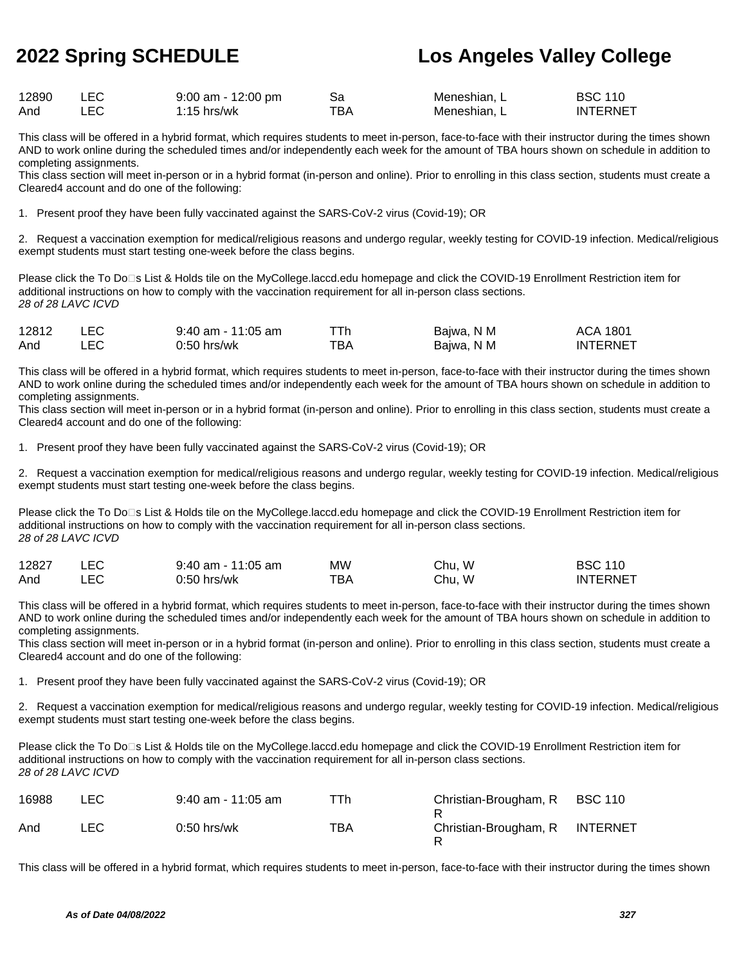| 12890 | $9:00$ am - 12:00 pm |     | Meneshian. L | <b>BSC 110</b>  |
|-------|----------------------|-----|--------------|-----------------|
| And   | $1:15$ hrs/wk        | тва | Meneshian. L | <b>INTERNET</b> |

This class will be offered in a hybrid format, which requires students to meet in-person, face-to-face with their instructor during the times shown AND to work online during the scheduled times and/or independently each week for the amount of TBA hours shown on schedule in addition to completing assignments.

This class section will meet in-person or in a hybrid format (in-person and online). Prior to enrolling in this class section, students must create a Cleared4 account and do one of the following:

1. Present proof they have been fully vaccinated against the SARS-CoV-2 virus (Covid-19); OR

2. Request a vaccination exemption for medical/religious reasons and undergo regular, weekly testing for COVID-19 infection. Medical/religious exempt students must start testing one-week before the class begins.

Please click the To Do□s List & Holds tile on the MyCollege.laccd.edu homepage and click the COVID-19 Enrollment Restriction item for additional instructions on how to comply with the vaccination requirement for all in-person class sections. 28 of 28 LAVC ICVD

| 12812 | <b>LEC</b> | $9:40$ am - 11:05 am |     | Bajwa, N M | ACA 1801        |
|-------|------------|----------------------|-----|------------|-----------------|
| And   |            | 0:50 hrs/wk          | тва | Bajwa, N M | <b>INTERNET</b> |

This class will be offered in a hybrid format, which requires students to meet in-person, face-to-face with their instructor during the times shown AND to work online during the scheduled times and/or independently each week for the amount of TBA hours shown on schedule in addition to completing assignments.

This class section will meet in-person or in a hybrid format (in-person and online). Prior to enrolling in this class section, students must create a Cleared4 account and do one of the following:

1. Present proof they have been fully vaccinated against the SARS-CoV-2 virus (Covid-19); OR

2. Request a vaccination exemption for medical/religious reasons and undergo regular, weekly testing for COVID-19 infection. Medical/religious exempt students must start testing one-week before the class begins.

Please click the To Do□s List & Holds tile on the MyCollege.laccd.edu homepage and click the COVID-19 Enrollment Restriction item for additional instructions on how to comply with the vaccination requirement for all in-person class sections. 28 of 28 LAVC ICVD

| 12827 | $9:40$ am - 11:05 am | ΜW  | Chu, W | <b>BSC 110</b>  |
|-------|----------------------|-----|--------|-----------------|
| And   | 0:50 hrs/wk          | тва | Chu, W | <b>INTERNET</b> |

This class will be offered in a hybrid format, which requires students to meet in-person, face-to-face with their instructor during the times shown AND to work online during the scheduled times and/or independently each week for the amount of TBA hours shown on schedule in addition to completing assignments.

This class section will meet in-person or in a hybrid format (in-person and online). Prior to enrolling in this class section, students must create a Cleared4 account and do one of the following:

1. Present proof they have been fully vaccinated against the SARS-CoV-2 virus (Covid-19); OR

2. Request a vaccination exemption for medical/religious reasons and undergo regular, weekly testing for COVID-19 infection. Medical/religious exempt students must start testing one-week before the class begins.

Please click the To Do□s List & Holds tile on the MyCollege.laccd.edu homepage and click the COVID-19 Enrollment Restriction item for additional instructions on how to comply with the vaccination requirement for all in-person class sections. 28 of 28 LAVC ICVD

| 16988 | LEC. | $9:40$ am - 11:05 am | TTh. | Christian-Brougham, R | <b>BSC 110</b>  |
|-------|------|----------------------|------|-----------------------|-----------------|
| And   | ∟EC⊹ | $0:50$ hrs/wk        | TBA  | Christian-Brougham, R | <b>INTERNET</b> |

This class will be offered in a hybrid format, which requires students to meet in-person, face-to-face with their instructor during the times shown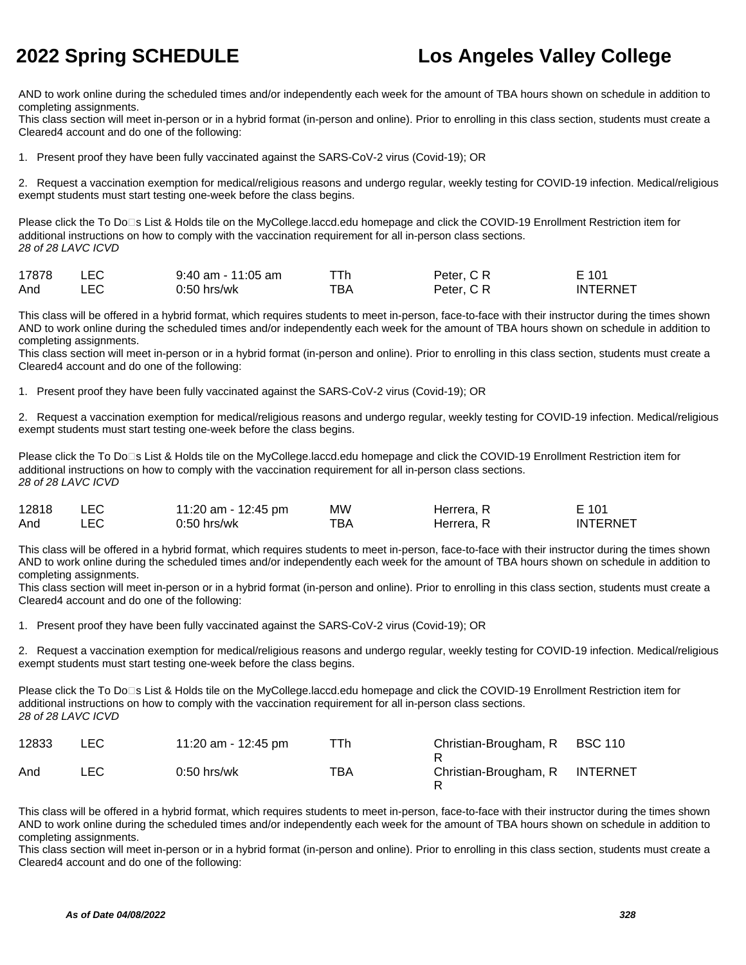AND to work online during the scheduled times and/or independently each week for the amount of TBA hours shown on schedule in addition to completing assignments.

This class section will meet in-person or in a hybrid format (in-person and online). Prior to enrolling in this class section, students must create a Cleared4 account and do one of the following:

1. Present proof they have been fully vaccinated against the SARS-CoV-2 virus (Covid-19); OR

2. Request a vaccination exemption for medical/religious reasons and undergo regular, weekly testing for COVID-19 infection. Medical/religious exempt students must start testing one-week before the class begins.

Please click the To Do⊡s List & Holds tile on the MyCollege.laccd.edu homepage and click the COVID-19 Enrollment Restriction item for additional instructions on how to comply with the vaccination requirement for all in-person class sections. 28 of 28 LAVC ICVD

| 17878 | <b>LEC</b> | $9:40$ am - 11:05 am | ⊤Тh | Peter, C R | E 101           |
|-------|------------|----------------------|-----|------------|-----------------|
| And   | LEC.       | 0:50 hrs/wk          | ™ВА | Peter, C R | <b>INTERNET</b> |

This class will be offered in a hybrid format, which requires students to meet in-person, face-to-face with their instructor during the times shown AND to work online during the scheduled times and/or independently each week for the amount of TBA hours shown on schedule in addition to completing assignments.

This class section will meet in-person or in a hybrid format (in-person and online). Prior to enrolling in this class section, students must create a Cleared4 account and do one of the following:

1. Present proof they have been fully vaccinated against the SARS-CoV-2 virus (Covid-19); OR

2. Request a vaccination exemption for medical/religious reasons and undergo regular, weekly testing for COVID-19 infection. Medical/religious exempt students must start testing one-week before the class begins.

Please click the To Do<sup>n</sup>s List & Holds tile on the MyCollege.laccd.edu homepage and click the COVID-19 Enrollment Restriction item for additional instructions on how to comply with the vaccination requirement for all in-person class sections. 28 of 28 LAVC ICVD

| 12818 | 11:20 am - 12:45 pm | MW  | Herrera, R | E 101           |
|-------|---------------------|-----|------------|-----------------|
| And   | $0:50$ hrs/wk       | ТВА | Herrera, R | <b>INTERNET</b> |

This class will be offered in a hybrid format, which requires students to meet in-person, face-to-face with their instructor during the times shown AND to work online during the scheduled times and/or independently each week for the amount of TBA hours shown on schedule in addition to completing assignments.

This class section will meet in-person or in a hybrid format (in-person and online). Prior to enrolling in this class section, students must create a Cleared4 account and do one of the following:

1. Present proof they have been fully vaccinated against the SARS-CoV-2 virus (Covid-19); OR

2. Request a vaccination exemption for medical/religious reasons and undergo regular, weekly testing for COVID-19 infection. Medical/religious exempt students must start testing one-week before the class begins.

Please click the To Do⊡s List & Holds tile on the MyCollege.laccd.edu homepage and click the COVID-19 Enrollment Restriction item for additional instructions on how to comply with the vaccination requirement for all in-person class sections. 28 of 28 LAVC ICVD

| 12833 | LEC. | 11:20 am - 12:45 pm | ⊤Th | Christian-Brougham, R | <b>BSC 110</b>  |
|-------|------|---------------------|-----|-----------------------|-----------------|
| And   | ∟EC⊹ | $0:50$ hrs/wk       | TBA | Christian-Brougham, R | <b>INTERNET</b> |

This class will be offered in a hybrid format, which requires students to meet in-person, face-to-face with their instructor during the times shown AND to work online during the scheduled times and/or independently each week for the amount of TBA hours shown on schedule in addition to completing assignments.

This class section will meet in-person or in a hybrid format (in-person and online). Prior to enrolling in this class section, students must create a Cleared4 account and do one of the following: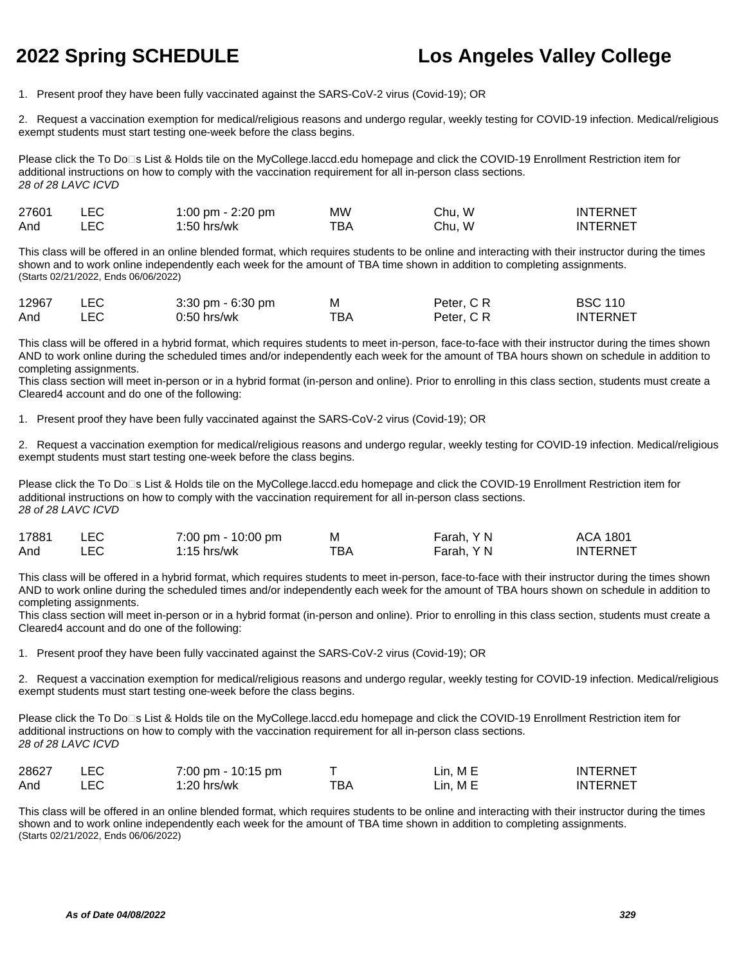1. Present proof they have been fully vaccinated against the SARS-CoV-2 virus (Covid-19); OR

2. Request a vaccination exemption for medical/religious reasons and undergo regular, weekly testing for COVID-19 infection. Medical/religious exempt students must start testing one-week before the class begins.

Please click the To Do<sup>n</sup>s List & Holds tile on the MyCollege.laccd.edu homepage and click the COVID-19 Enrollment Restriction item for additional instructions on how to comply with the vaccination requirement for all in-person class sections. 28 of 28 LAVC ICVD

| 27601 |     | 1:00 pm - 2:20 pm | МW  | Chu. W | INTERNET |
|-------|-----|-------------------|-----|--------|----------|
| And   | LEC | $1:50$ hrs/wk     | тва | Chu. W | INTERNET |

This class will be offered in an online blended format, which requires students to be online and interacting with their instructor during the times shown and to work online independently each week for the amount of TBA time shown in addition to completing assignments. (Starts 02/21/2022, Ends 06/06/2022)

| 12967 | $3:30 \text{ pm} - 6:30 \text{ pm}$ | M   | Peter, C R | <b>BSC 110</b>  |
|-------|-------------------------------------|-----|------------|-----------------|
| And   | 0:50 hrs/wk                         | ТВА | Peter, C R | <b>INTERNET</b> |

This class will be offered in a hybrid format, which requires students to meet in-person, face-to-face with their instructor during the times shown AND to work online during the scheduled times and/or independently each week for the amount of TBA hours shown on schedule in addition to completing assignments.

This class section will meet in-person or in a hybrid format (in-person and online). Prior to enrolling in this class section, students must create a Cleared4 account and do one of the following:

1. Present proof they have been fully vaccinated against the SARS-CoV-2 virus (Covid-19); OR

2. Request a vaccination exemption for medical/religious reasons and undergo regular, weekly testing for COVID-19 infection. Medical/religious exempt students must start testing one-week before the class begins.

Please click the To Do<sup>n</sup>s List & Holds tile on the MyCollege.laccd.edu homepage and click the COVID-19 Enrollment Restriction item for additional instructions on how to comply with the vaccination requirement for all in-person class sections. 28 of 28 LAVC ICVD

| 17881 | <b>LEC</b> | 7:00 pm - 10:00 pm | М   | Farah, Y N | ACA 1801        |
|-------|------------|--------------------|-----|------------|-----------------|
| And   | _EC        | 1:15 hrs/wk        | тва | Farah, Y N | <b>INTERNET</b> |

This class will be offered in a hybrid format, which requires students to meet in-person, face-to-face with their instructor during the times shown AND to work online during the scheduled times and/or independently each week for the amount of TBA hours shown on schedule in addition to completing assignments.

This class section will meet in-person or in a hybrid format (in-person and online). Prior to enrolling in this class section, students must create a Cleared4 account and do one of the following:

1. Present proof they have been fully vaccinated against the SARS-CoV-2 virus (Covid-19); OR

2. Request a vaccination exemption for medical/religious reasons and undergo regular, weekly testing for COVID-19 infection. Medical/religious exempt students must start testing one-week before the class begins.

Please click the To Do⊡s List & Holds tile on the MyCollege.laccd.edu homepage and click the COVID-19 Enrollment Restriction item for additional instructions on how to comply with the vaccination requirement for all in-person class sections. 28 of 28 LAVC ICVD

| 28627 | 7:00 pm - 10:15 pm |     | Lin, ME  | <b>INTERNET</b> |
|-------|--------------------|-----|----------|-----------------|
| And   | 1:20 hrs/wk        | тва | Lin. M E | <b>INTERNET</b> |

This class will be offered in an online blended format, which requires students to be online and interacting with their instructor during the times shown and to work online independently each week for the amount of TBA time shown in addition to completing assignments. (Starts 02/21/2022, Ends 06/06/2022)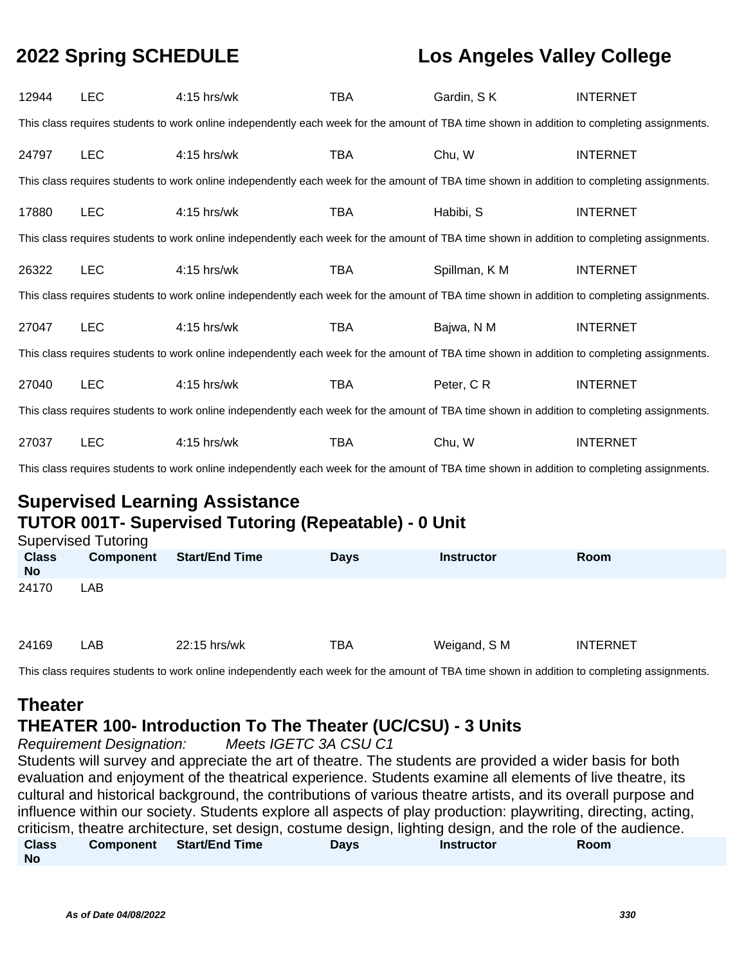| 12944                                                                                                                                       | <b>LEC</b> | $4:15$ hrs/wk                                                                                                                               | <b>TBA</b> | Gardin, SK    | <b>INTERNET</b> |  |
|---------------------------------------------------------------------------------------------------------------------------------------------|------------|---------------------------------------------------------------------------------------------------------------------------------------------|------------|---------------|-----------------|--|
|                                                                                                                                             |            | This class requires students to work online independently each week for the amount of TBA time shown in addition to completing assignments. |            |               |                 |  |
| 24797                                                                                                                                       | <b>LEC</b> | 4:15 hrs/wk                                                                                                                                 | <b>TBA</b> | Chu, W        | <b>INTERNET</b> |  |
|                                                                                                                                             |            | This class requires students to work online independently each week for the amount of TBA time shown in addition to completing assignments. |            |               |                 |  |
| 17880                                                                                                                                       | <b>LEC</b> | $4:15$ hrs/wk                                                                                                                               | TBA        | Habibi, S     | <b>INTERNET</b> |  |
|                                                                                                                                             |            | This class requires students to work online independently each week for the amount of TBA time shown in addition to completing assignments. |            |               |                 |  |
| 26322                                                                                                                                       | <b>LEC</b> | 4:15 hrs/wk                                                                                                                                 | TBA        | Spillman, K M | <b>INTERNET</b> |  |
|                                                                                                                                             |            | This class requires students to work online independently each week for the amount of TBA time shown in addition to completing assignments. |            |               |                 |  |
| 27047                                                                                                                                       | <b>LEC</b> | 4:15 hrs/wk                                                                                                                                 | TBA        | Bajwa, N M    | <b>INTERNET</b> |  |
|                                                                                                                                             |            | This class requires students to work online independently each week for the amount of TBA time shown in addition to completing assignments. |            |               |                 |  |
| 27040                                                                                                                                       | <b>LEC</b> | 4:15 hrs/wk                                                                                                                                 | TBA        | Peter, CR     | <b>INTERNET</b> |  |
| This class requires students to work online independently each week for the amount of TBA time shown in addition to completing assignments. |            |                                                                                                                                             |            |               |                 |  |
| 27037                                                                                                                                       | <b>LEC</b> | 4:15 hrs/wk                                                                                                                                 | TBA        | Chu, W        | <b>INTERNET</b> |  |
|                                                                                                                                             |            |                                                                                                                                             |            |               |                 |  |

### **Supervised Learning Assistance TUTOR 001T- Supervised Tutoring (Repeatable) - 0 Unit**

|                           | <b>Supervised Tutoring</b> |                       |             |                   |                 |  |  |  |
|---------------------------|----------------------------|-----------------------|-------------|-------------------|-----------------|--|--|--|
| <b>Class</b><br><b>No</b> | <b>Component</b>           | <b>Start/End Time</b> | <b>Days</b> | <b>Instructor</b> | <b>Room</b>     |  |  |  |
| 24170                     | <b>LAB</b>                 |                       |             |                   |                 |  |  |  |
| 24169                     | LAB                        | 22:15 hrs/wk          | <b>TBA</b>  | Weigand, S M      | <b>INTERNET</b> |  |  |  |

This class requires students to work online independently each week for the amount of TBA time shown in addition to completing assignments.

## **Theater**

## **THEATER 100- Introduction To The Theater (UC/CSU) - 3 Units**

Requirement Designation: Meets IGETC 3A CSU C1 Students will survey and appreciate the art of theatre. The students are provided a wider basis for both evaluation and enjoyment of the theatrical experience. Students examine all elements of live theatre, its cultural and historical background, the contributions of various theatre artists, and its overall purpose and influence within our society. Students explore all aspects of play production: playwriting, directing, acting, criticism, theatre architecture, set design, costume design, lighting design, and the role of the audience. **Class No Component Start/End Time Days Instructor Room**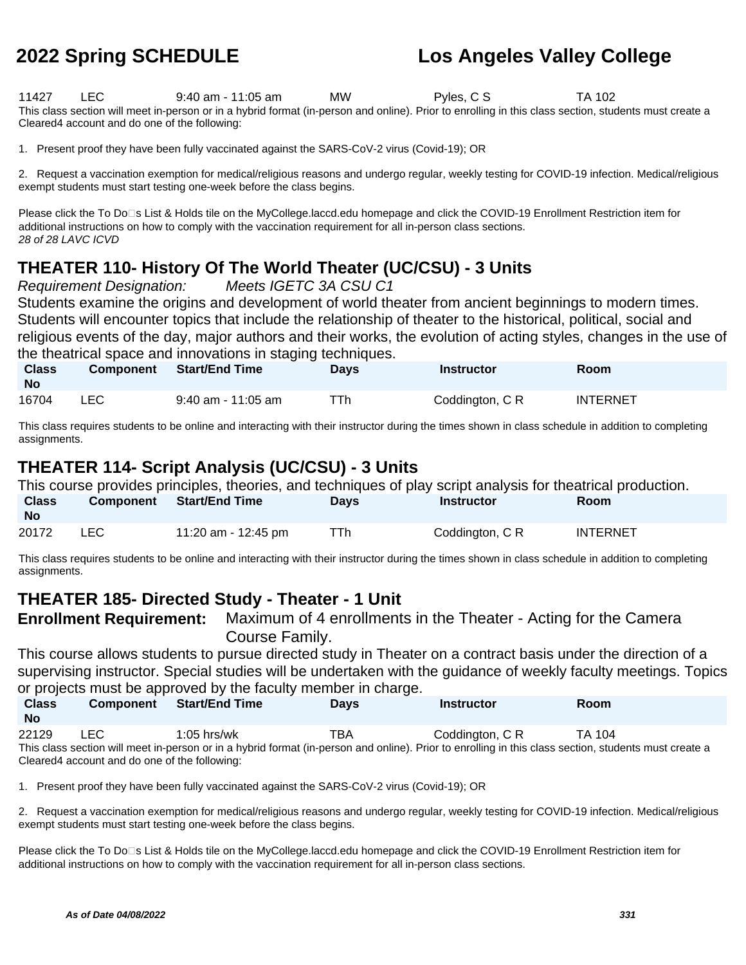11427 LEC 9:40 am - 11:05 am MW Pyles, C S TA 102 This class section will meet in-person or in a hybrid format (in-person and online). Prior to enrolling in this class section, students must create a Cleared4 account and do one of the following:

1. Present proof they have been fully vaccinated against the SARS-CoV-2 virus (Covid-19); OR

2. Request a vaccination exemption for medical/religious reasons and undergo regular, weekly testing for COVID-19 infection. Medical/religious exempt students must start testing one-week before the class begins.

Please click the To Do⊡s List & Holds tile on the MyCollege.laccd.edu homepage and click the COVID-19 Enrollment Restriction item for additional instructions on how to comply with the vaccination requirement for all in-person class sections. 28 of 28 LAVC ICVD

## **THEATER 110- History Of The World Theater (UC/CSU) - 3 Units**

Requirement Designation: Meets IGETC 3A CSU C1

Students examine the origins and development of world theater from ancient beginnings to modern times. Students will encounter topics that include the relationship of theater to the historical, political, social and religious events of the day, major authors and their works, the evolution of acting styles, changes in the use of the theatrical space and innovations in staging techniques.

| <b>Class</b><br>No | <b>Component</b> | Start/End Time       | <b>Days</b> | Instructor      | <b>Room</b> |  |
|--------------------|------------------|----------------------|-------------|-----------------|-------------|--|
| 16704              |                  | $9:40$ am - 11:05 am |             | Coddington, C R | INTERNET    |  |

This class requires students to be online and interacting with their instructor during the times shown in class schedule in addition to completing assignments.

### **THEATER 114- Script Analysis (UC/CSU) - 3 Units**

|                           |      |                          |             |                 | This course provides principles, theories, and techniques of play script analysis for theatrical production. |  |
|---------------------------|------|--------------------------|-------------|-----------------|--------------------------------------------------------------------------------------------------------------|--|
| <b>Class</b><br><b>No</b> |      | Component Start/End Time | <b>Davs</b> | Instructor      | <b>Room</b>                                                                                                  |  |
| 20172                     | LEC. | 11:20 am - 12:45 pm      | TTh.        | Coddington, C R | <b>INTERNET</b>                                                                                              |  |

This class requires students to be online and interacting with their instructor during the times shown in class schedule in addition to completing assignments.

### **THEATER 185- Directed Study - Theater - 1 Unit**

**Enrollment Requirement:** Maximum of 4 enrollments in the Theater - Acting for the Camera Course Family.

This course allows students to pursue directed study in Theater on a contract basis under the direction of a supervising instructor. Special studies will be undertaken with the guidance of weekly faculty meetings. Topics or projects must be approved by the faculty member in charge.

| <b>Class</b><br><b>No</b> | <b>Component</b> | <b>Start/End Time</b>                                                                                                                                 | <b>Davs</b> | <b>Instructor</b> | <b>Room</b> |
|---------------------------|------------------|-------------------------------------------------------------------------------------------------------------------------------------------------------|-------------|-------------------|-------------|
| 22129                     | LEC              | $1:05$ hrs/wk                                                                                                                                         | ТВА         | Coddinaton, C R   | TA 104      |
|                           |                  | This class section will meet in-person or in a hybrid format (in-person and online). Prior to enrolling in this class section, students must create a |             |                   |             |

Cleared4 account and do one of the following:

1. Present proof they have been fully vaccinated against the SARS-CoV-2 virus (Covid-19); OR

2. Request a vaccination exemption for medical/religious reasons and undergo regular, weekly testing for COVID-19 infection. Medical/religious exempt students must start testing one-week before the class begins.

Please click the To Do<sup>n</sup>s List & Holds tile on the MyCollege.laccd.edu homepage and click the COVID-19 Enrollment Restriction item for additional instructions on how to comply with the vaccination requirement for all in-person class sections.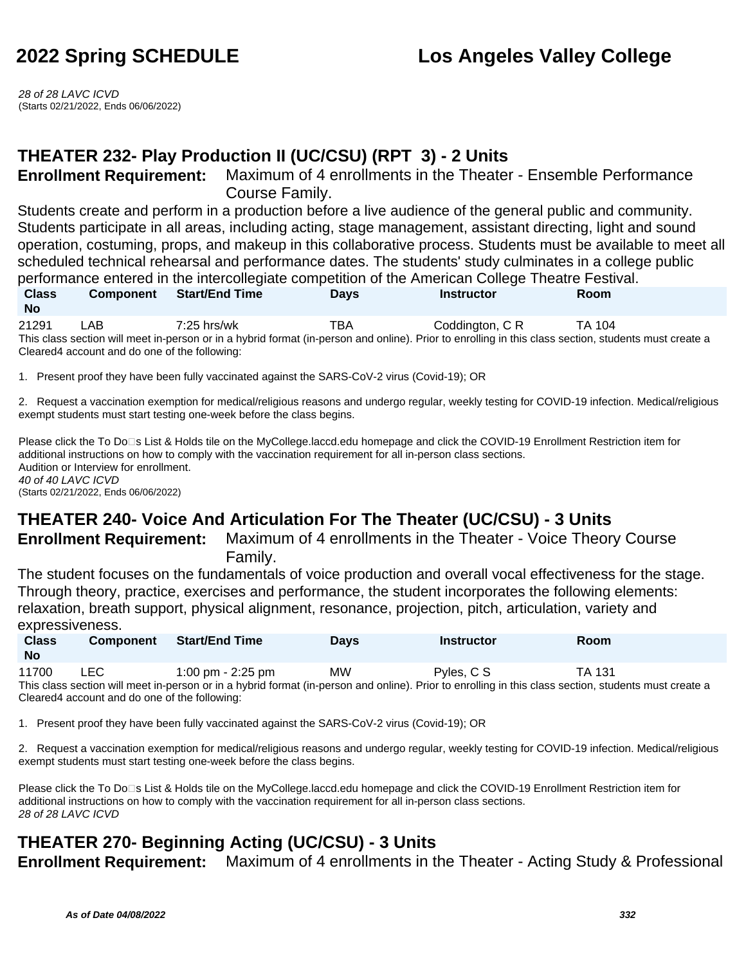28 of 28 LAVC ICVD (Starts 02/21/2022, Ends 06/06/2022)

## **THEATER 232- Play Production II (UC/CSU) (RPT 3) - 2 Units**

**Enrollment Requirement:** Maximum of 4 enrollments in the Theater - Ensemble Performance Course Family.

Students create and perform in a production before a live audience of the general public and community. Students participate in all areas, including acting, stage management, assistant directing, light and sound operation, costuming, props, and makeup in this collaborative process. Students must be available to meet all scheduled technical rehearsal and performance dates. The students' study culminates in a college public performance entered in the intercollegiate competition of the American College Theatre Festival.

| <b>Class</b>                                                                                                                                          | <b>Component</b>                              | <b>Start/End Time</b> | <b>Days</b> | <b>Instructor</b> | <b>Room</b> |  |
|-------------------------------------------------------------------------------------------------------------------------------------------------------|-----------------------------------------------|-----------------------|-------------|-------------------|-------------|--|
| <b>No</b>                                                                                                                                             |                                               |                       |             |                   |             |  |
| 21291                                                                                                                                                 | _AB                                           | $7:25$ hrs/wk         | TBA         | Coddinaton, C R   | TA 104      |  |
| This class section will meet in-person or in a hybrid format (in-person and online). Prior to enrolling in this class section, students must create a |                                               |                       |             |                   |             |  |
|                                                                                                                                                       | Cleared4 account and do one of the following: |                       |             |                   |             |  |

1. Present proof they have been fully vaccinated against the SARS-CoV-2 virus (Covid-19); OR

2. Request a vaccination exemption for medical/religious reasons and undergo regular, weekly testing for COVID-19 infection. Medical/religious exempt students must start testing one-week before the class begins.

Please click the To Do<sup>n</sup>s List & Holds tile on the MyCollege.laccd.edu homepage and click the COVID-19 Enrollment Restriction item for additional instructions on how to comply with the vaccination requirement for all in-person class sections. Audition or Interview for enrollment. 40 of 40 LAVC ICVD (Starts 02/21/2022, Ends 06/06/2022)

## **THEATER 240- Voice And Articulation For The Theater (UC/CSU) - 3 Units**

**Enrollment Requirement:** Maximum of 4 enrollments in the Theater - Voice Theory Course Family.

The student focuses on the fundamentals of voice production and overall vocal effectiveness for the stage. Through theory, practice, exercises and performance, the student incorporates the following elements: relaxation, breath support, physical alignment, resonance, projection, pitch, articulation, variety and expressiveness.

| <b>Class</b><br><b>No</b> | <b>Component</b> | <b>Start/End Time</b>                                                                                                                                 | <b>Davs</b> | <b>Instructor</b> | Room          |
|---------------------------|------------------|-------------------------------------------------------------------------------------------------------------------------------------------------------|-------------|-------------------|---------------|
| 11700                     | LEC.             | 1:00 pm $-$ 2:25 pm                                                                                                                                   | <b>MW</b>   | Pyles, C S        | <b>TA 131</b> |
|                           |                  | This class section will meet in-person or in a hybrid format (in-person and online). Prior to enrolling in this class section, students must create a |             |                   |               |

Cleared4 account and do one of the following:

1. Present proof they have been fully vaccinated against the SARS-CoV-2 virus (Covid-19); OR

2. Request a vaccination exemption for medical/religious reasons and undergo regular, weekly testing for COVID-19 infection. Medical/religious exempt students must start testing one-week before the class begins.

Please click the To Do⊡s List & Holds tile on the MyCollege.laccd.edu homepage and click the COVID-19 Enrollment Restriction item for additional instructions on how to comply with the vaccination requirement for all in-person class sections. 28 of 28 LAVC ICVD

## **THEATER 270- Beginning Acting (UC/CSU) - 3 Units**

**Enrollment Requirement:** Maximum of 4 enrollments in the Theater - Acting Study & Professional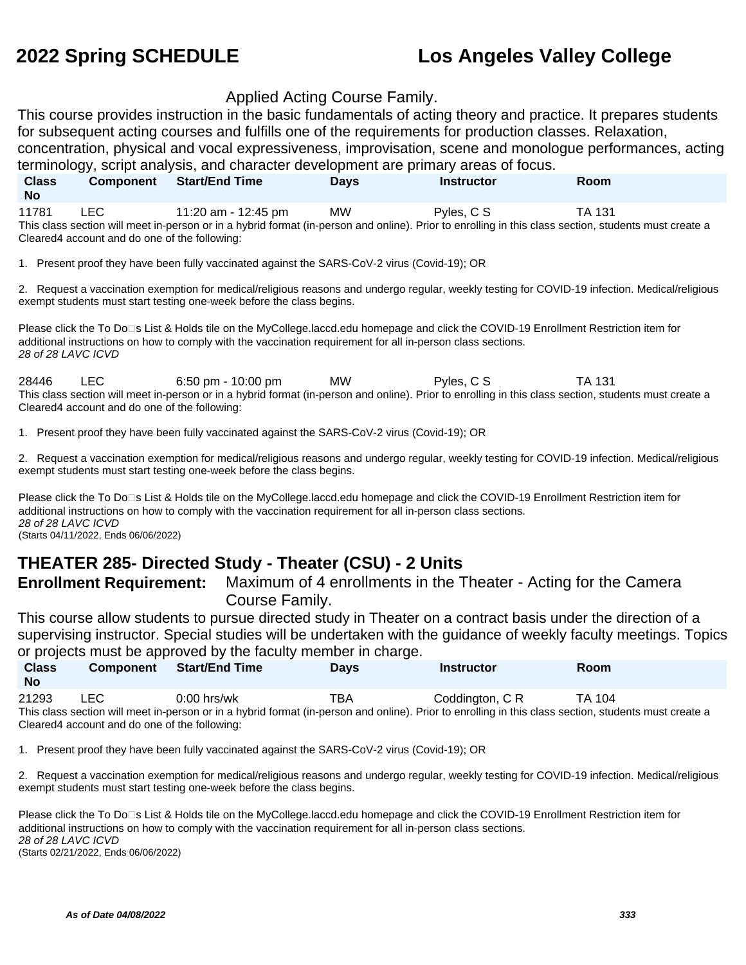#### Applied Acting Course Family.

This course provides instruction in the basic fundamentals of acting theory and practice. It prepares students for subsequent acting courses and fulfills one of the requirements for production classes. Relaxation,

concentration, physical and vocal expressiveness, improvisation, scene and monologue performances, acting terminology, script analysis, and character development are primary areas of focus.

| <b>Class</b>                                                                                                                                          | <b>Component</b>                              | <b>Start/End Time</b> | <b>Davs</b> | <b>Instructor</b> | <b>Room</b> |  |
|-------------------------------------------------------------------------------------------------------------------------------------------------------|-----------------------------------------------|-----------------------|-------------|-------------------|-------------|--|
| <b>No</b>                                                                                                                                             |                                               |                       |             |                   |             |  |
| 11781                                                                                                                                                 | LEC.                                          | 11:20 am - 12:45 pm   | <b>MW</b>   | Pvles, C S        | TA 131      |  |
| This class section will meet in-person or in a hybrid format (in-person and online). Prior to enrolling in this class section, students must create a |                                               |                       |             |                   |             |  |
|                                                                                                                                                       | Cleared4 account and do one of the following: |                       |             |                   |             |  |

1. Present proof they have been fully vaccinated against the SARS-CoV-2 virus (Covid-19); OR

2. Request a vaccination exemption for medical/religious reasons and undergo regular, weekly testing for COVID-19 infection. Medical/religious exempt students must start testing one-week before the class begins.

Please click the To Do<sup>n</sup>s List & Holds tile on the MyCollege.laccd.edu homepage and click the COVID-19 Enrollment Restriction item for additional instructions on how to comply with the vaccination requirement for all in-person class sections. 28 of 28 LAVC ICVD

28446 LEC 6:50 pm - 10:00 pm MW Pyles, C S TA 131 This class section will meet in-person or in a hybrid format (in-person and online). Prior to enrolling in this class section, students must create a Cleared4 account and do one of the following:

1. Present proof they have been fully vaccinated against the SARS-CoV-2 virus (Covid-19); OR

2. Request a vaccination exemption for medical/religious reasons and undergo regular, weekly testing for COVID-19 infection. Medical/religious exempt students must start testing one-week before the class begins.

Please click the To Do□s List & Holds tile on the MyCollege.laccd.edu homepage and click the COVID-19 Enrollment Restriction item for additional instructions on how to comply with the vaccination requirement for all in-person class sections. 28 of 28 LAVC ICVD (Starts 04/11/2022, Ends 06/06/2022)

### **THEATER 285- Directed Study - Theater (CSU) - 2 Units**

**Enrollment Requirement:** Maximum of 4 enrollments in the Theater - Acting for the Camera Course Family.

This course allow students to pursue directed study in Theater on a contract basis under the direction of a supervising instructor. Special studies will be undertaken with the guidance of weekly faculty meetings. Topics or projects must be approved by the faculty member in charge.

| <b>Class</b><br><b>No</b> | Component  | $\sim$ projection there is only provided by the necessary themselves of the group<br><b>Start/End Time</b> | <b>Days</b> | <b>Instructor</b> | Room   |
|---------------------------|------------|------------------------------------------------------------------------------------------------------------|-------------|-------------------|--------|
| 21293                     | <b>LEC</b> | $0:00$ hrs/wk                                                                                              | TBA         | Coddington, C R   | TA 104 |

This class section will meet in-person or in a hybrid format (in-person and online). Prior to enrolling in this class section, students must create a Cleared4 account and do one of the following:

1. Present proof they have been fully vaccinated against the SARS-CoV-2 virus (Covid-19); OR

2. Request a vaccination exemption for medical/religious reasons and undergo regular, weekly testing for COVID-19 infection. Medical/religious exempt students must start testing one-week before the class begins.

Please click the To Do⊡s List & Holds tile on the MyCollege.laccd.edu homepage and click the COVID-19 Enrollment Restriction item for additional instructions on how to comply with the vaccination requirement for all in-person class sections. 28 of 28 LAVC ICVD (Starts 02/21/2022, Ends 06/06/2022)

**As of Date 04/08/2022 333**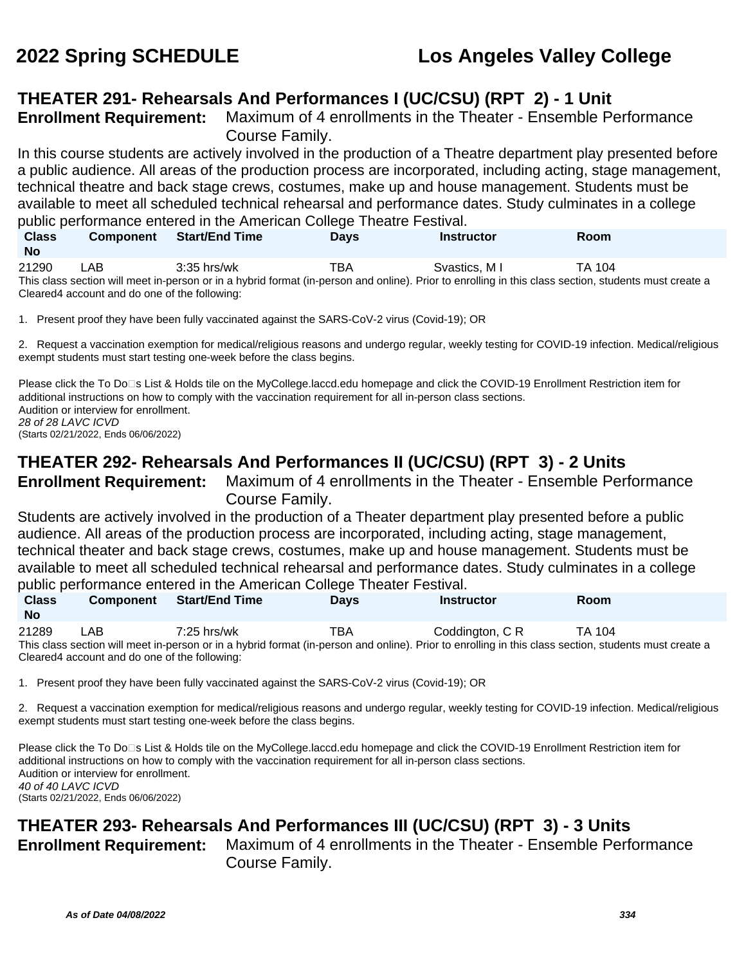## **THEATER 291- Rehearsals And Performances I (UC/CSU) (RPT 2) - 1 Unit**

**Enrollment Requirement:** Maximum of 4 enrollments in the Theater - Ensemble Performance Course Family.

In this course students are actively involved in the production of a Theatre department play presented before a public audience. All areas of the production process are incorporated, including acting, stage management, technical theatre and back stage crews, costumes, make up and house management. Students must be available to meet all scheduled technical rehearsal and performance dates. Study culminates in a college public performance entered in the American College Theatre Festival.

| <b>Class</b><br><b>No</b> | <b>Component</b> | <b>Start/End Time</b>                                                                                                                                 | Davs | Instructor    | <b>Room</b> |
|---------------------------|------------------|-------------------------------------------------------------------------------------------------------------------------------------------------------|------|---------------|-------------|
| 21290                     | LAB              | $3:35$ hrs/wk                                                                                                                                         | TBA  | Svastics. M I | TA 104      |
|                           |                  | This class section will meet in-person or in a hybrid format (in-person and online). Prior to enrolling in this class section, students must create a |      |               |             |

Cleared4 account and do one of the following:

1. Present proof they have been fully vaccinated against the SARS-CoV-2 virus (Covid-19); OR

2. Request a vaccination exemption for medical/religious reasons and undergo regular, weekly testing for COVID-19 infection. Medical/religious exempt students must start testing one-week before the class begins.

Please click the To Do<sup>n</sup>s List & Holds tile on the MyCollege.laccd.edu homepage and click the COVID-19 Enrollment Restriction item for additional instructions on how to comply with the vaccination requirement for all in-person class sections. Audition or interview for enrollment. 28 of 28 LAVC ICVD

(Starts 02/21/2022, Ends 06/06/2022)

## **THEATER 292- Rehearsals And Performances II (UC/CSU) (RPT 3) - 2 Units**

**Enrollment Requirement:** Maximum of 4 enrollments in the Theater - Ensemble Performance Course Family.

Students are actively involved in the production of a Theater department play presented before a public audience. All areas of the production process are incorporated, including acting, stage management, technical theater and back stage crews, costumes, make up and house management. Students must be available to meet all scheduled technical rehearsal and performance dates. Study culminates in a college public performance entered in the American College Theater Festival.

| <b>Class</b> | <b>Component</b>                              | <b>Start/End Time</b> | <b>Davs</b> | <b>Instructor</b>                                                                                                                                     | Room   |  |
|--------------|-----------------------------------------------|-----------------------|-------------|-------------------------------------------------------------------------------------------------------------------------------------------------------|--------|--|
| <b>No</b>    |                                               |                       |             |                                                                                                                                                       |        |  |
| 21289        | LAB.                                          | $7:25$ hrs/wk         | TBA         | Coddinaton, C R                                                                                                                                       | TA 104 |  |
|              |                                               |                       |             | This class section will meet in-person or in a hybrid format (in-person and online). Prior to enrolling in this class section, students must create a |        |  |
|              | Cleared4 account and do one of the following: |                       |             |                                                                                                                                                       |        |  |

1. Present proof they have been fully vaccinated against the SARS-CoV-2 virus (Covid-19); OR

2. Request a vaccination exemption for medical/religious reasons and undergo regular, weekly testing for COVID-19 infection. Medical/religious exempt students must start testing one-week before the class begins.

Please click the To Do<sup>n</sup>s List & Holds tile on the MyCollege.laccd.edu homepage and click the COVID-19 Enrollment Restriction item for additional instructions on how to comply with the vaccination requirement for all in-person class sections. Audition or interview for enrollment. 40 of 40 LAVC ICVD (Starts 02/21/2022, Ends 06/06/2022)

## **THEATER 293- Rehearsals And Performances III (UC/CSU) (RPT 3) - 3 Units**

**Enrollment Requirement:** Maximum of 4 enrollments in the Theater - Ensemble Performance Course Family.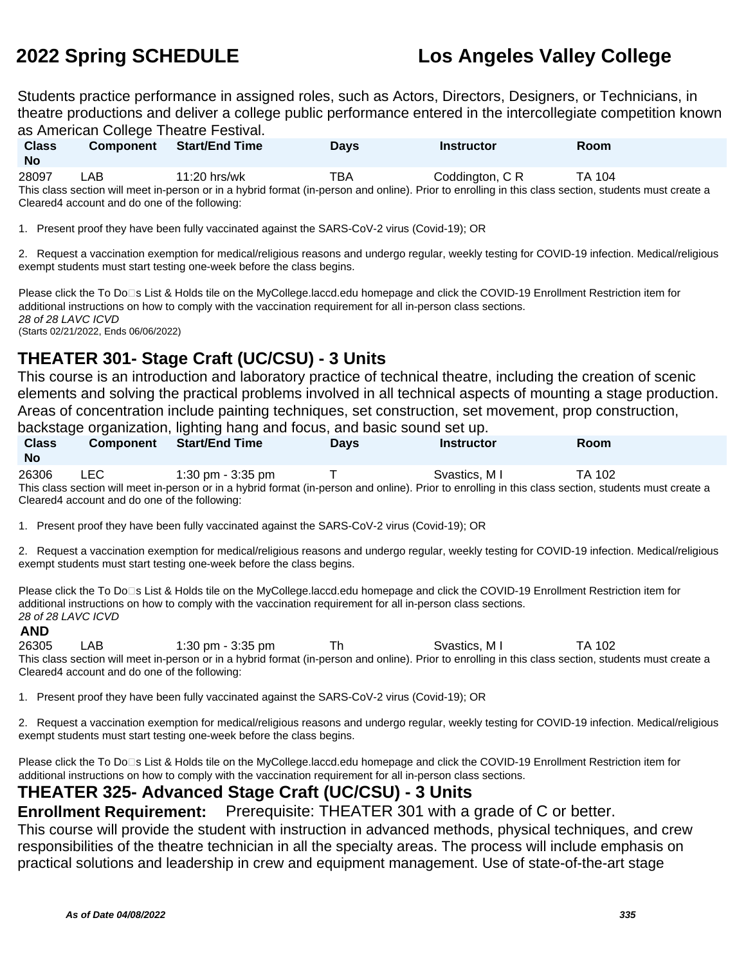Students practice performance in assigned roles, such as Actors, Directors, Designers, or Technicians, in theatre productions and deliver a college public performance entered in the intercollegiate competition known as American College Theatre Festival

| <b>Class</b><br><b>No</b> | <b>Component</b>                               | <b>Start/End Time</b> | <b>Davs</b> | <b>Instructor</b>                                                                                                                                     | <b>Room</b> |  |
|---------------------------|------------------------------------------------|-----------------------|-------------|-------------------------------------------------------------------------------------------------------------------------------------------------------|-------------|--|
| 28097                     | LAB.                                           | $11:20$ hrs/wk        | TBA         | Coddington, C R                                                                                                                                       | TA 104      |  |
|                           |                                                |                       |             | This class section will meet in-person or in a hybrid format (in-person and online). Prior to enrolling in this class section, students must create a |             |  |
|                           | Cleared 4 account and do one of the following: |                       |             |                                                                                                                                                       |             |  |

1. Present proof they have been fully vaccinated against the SARS-CoV-2 virus (Covid-19); OR

2. Request a vaccination exemption for medical/religious reasons and undergo regular, weekly testing for COVID-19 infection. Medical/religious exempt students must start testing one-week before the class begins.

Please click the To Do□s List & Holds tile on the MyCollege.laccd.edu homepage and click the COVID-19 Enrollment Restriction item for additional instructions on how to comply with the vaccination requirement for all in-person class sections. 28 of 28 LAVC ICVD (Starts 02/21/2022, Ends 06/06/2022)

## **THEATER 301- Stage Craft (UC/CSU) - 3 Units**

This course is an introduction and laboratory practice of technical theatre, including the creation of scenic elements and solving the practical problems involved in all technical aspects of mounting a stage production. Areas of concentration include painting techniques, set construction, set movement, prop construction,

backstage organization, lighting hang and focus, and basic sound set up.

| <b>Class</b><br><b>No</b> | <b>Component</b> | Start/End Time    | Davs | Instructor                                                                                                                                            | Room   |  |
|---------------------------|------------------|-------------------|------|-------------------------------------------------------------------------------------------------------------------------------------------------------|--------|--|
| 26306                     | LEC.             | 1:30 pm - 3:35 pm |      | Svastics, M I                                                                                                                                         | TA 102 |  |
|                           |                  |                   |      | This class section will meet in-person or in a hybrid format (in-person and online). Prior to enrolling in this class section, students must create a |        |  |

This class section will meet in-person or in a hybrid format (in-person and online). Prior to enrolling in this class section, students must create a Cleared4 account and do one of the following:

1. Present proof they have been fully vaccinated against the SARS-CoV-2 virus (Covid-19); OR

2. Request a vaccination exemption for medical/religious reasons and undergo regular, weekly testing for COVID-19 infection. Medical/religious exempt students must start testing one-week before the class begins.

Please click the To Do⊡s List & Holds tile on the MyCollege.laccd.edu homepage and click the COVID-19 Enrollment Restriction item for additional instructions on how to comply with the vaccination requirement for all in-person class sections. 28 of 28 LAVC ICVD

#### **AND**

26305 LAB 1:30 pm - 3:35 pm Th Svastics, M I TA 102 This class section will meet in-person or in a hybrid format (in-person and online). Prior to enrolling in this class section, students must create a Cleared4 account and do one of the following:

1. Present proof they have been fully vaccinated against the SARS-CoV-2 virus (Covid-19); OR

2. Request a vaccination exemption for medical/religious reasons and undergo regular, weekly testing for COVID-19 infection. Medical/religious exempt students must start testing one-week before the class begins.

Please click the To Do<sup>n</sup>s List & Holds tile on the MyCollege.laccd.edu homepage and click the COVID-19 Enrollment Restriction item for additional instructions on how to comply with the vaccination requirement for all in-person class sections.

### **THEATER 325- Advanced Stage Craft (UC/CSU) - 3 Units**

**Enrollment Requirement:** Prerequisite: THEATER 301 with a grade of C or better.

This course will provide the student with instruction in advanced methods, physical techniques, and crew responsibilities of the theatre technician in all the specialty areas. The process will include emphasis on practical solutions and leadership in crew and equipment management. Use of state-of-the-art stage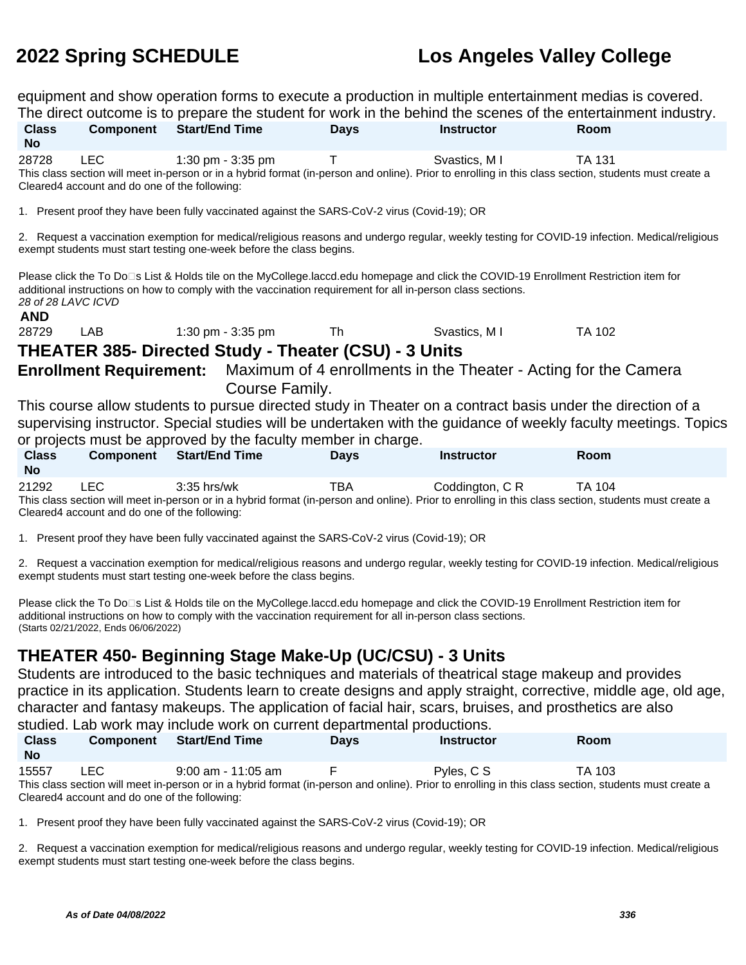equipment and show operation forms to execute a production in multiple entertainment medias is covered. The direct outcome is to prepare the student for work in the behind the scenes of the entertainment industry.

|                                                                                                                                                                                                                                                                                                 |                                                             | The direct outcome is to prepare the student for work in the benind the scenes of the entertainment industry.                                                                                                                                        |             |                   |               |
|-------------------------------------------------------------------------------------------------------------------------------------------------------------------------------------------------------------------------------------------------------------------------------------------------|-------------------------------------------------------------|------------------------------------------------------------------------------------------------------------------------------------------------------------------------------------------------------------------------------------------------------|-------------|-------------------|---------------|
| <b>Class</b><br><b>No</b>                                                                                                                                                                                                                                                                       |                                                             | <b>Component</b> Start/End Time                                                                                                                                                                                                                      | <b>Days</b> | <b>Instructor</b> | <b>Room</b>   |
| 28728                                                                                                                                                                                                                                                                                           | <b>LEC</b><br>Cleared4 account and do one of the following: | 1:30 pm - 3:35 pm<br>This class section will meet in-person or in a hybrid format (in-person and online). Prior to enrolling in this class section, students must create a                                                                           | $\top$      | Svastics, M I     | <b>TA 131</b> |
|                                                                                                                                                                                                                                                                                                 |                                                             | 1. Present proof they have been fully vaccinated against the SARS-CoV-2 virus (Covid-19); OR                                                                                                                                                         |             |                   |               |
|                                                                                                                                                                                                                                                                                                 |                                                             | 2. Request a vaccination exemption for medical/religious reasons and undergo regular, weekly testing for COVID-19 infection. Medical/religious<br>exempt students must start testing one-week before the class begins.                               |             |                   |               |
| <b>AND</b>                                                                                                                                                                                                                                                                                      | 28 of 28 LAVC ICVD                                          | Please click the To Do⊡s List & Holds tile on the MyCollege.laccd.edu homepage and click the COVID-19 Enrollment Restriction item for<br>additional instructions on how to comply with the vaccination requirement for all in-person class sections. |             |                   |               |
| 28729                                                                                                                                                                                                                                                                                           | LAB                                                         | 1:30 pm - 3:35 pm                                                                                                                                                                                                                                    | Th          | Svastics, M I     | <b>TA 102</b> |
|                                                                                                                                                                                                                                                                                                 |                                                             | <b>THEATER 385- Directed Study - Theater (CSU) - 3 Units</b>                                                                                                                                                                                         |             |                   |               |
|                                                                                                                                                                                                                                                                                                 |                                                             | <b>Enrollment Requirement:</b> Maximum of 4 enrollments in the Theater - Acting for the Camera<br>Course Family.                                                                                                                                     |             |                   |               |
| This course allow students to pursue directed study in Theater on a contract basis under the direction of a<br>supervising instructor. Special studies will be undertaken with the guidance of weekly faculty meetings. Topics<br>or projects must be approved by the faculty member in charge. |                                                             |                                                                                                                                                                                                                                                      |             |                   |               |
| <b>Class</b><br><b>No</b>                                                                                                                                                                                                                                                                       |                                                             | <b>Component</b> Start/End Time                                                                                                                                                                                                                      | <b>Days</b> | <b>Instructor</b> | Room          |
| 21292                                                                                                                                                                                                                                                                                           | <b>LEC</b><br>Cleared4 account and do one of the following: | $3:35$ hrs/wk<br>This class section will meet in-person or in a hybrid format (in-person and online). Prior to enrolling in this class section, students must create a                                                                               | TBA         | Coddington, C R   | TA 104        |

1. Present proof they have been fully vaccinated against the SARS-CoV-2 virus (Covid-19); OR

2. Request a vaccination exemption for medical/religious reasons and undergo regular, weekly testing for COVID-19 infection. Medical/religious exempt students must start testing one-week before the class begins.

Please click the To Do⊡s List & Holds tile on the MyCollege.laccd.edu homepage and click the COVID-19 Enrollment Restriction item for additional instructions on how to comply with the vaccination requirement for all in-person class sections. (Starts 02/21/2022, Ends 06/06/2022)

### **THEATER 450- Beginning Stage Make-Up (UC/CSU) - 3 Units**

Students are introduced to the basic techniques and materials of theatrical stage makeup and provides practice in its application. Students learn to create designs and apply straight, corrective, middle age, old age, character and fantasy makeups. The application of facial hair, scars, bruises, and prosthetics are also studied. Lab work may include work on current departmental productions.

|                                                                                                                                                       |                                               | otaanoan marriittiina jihanaa tionit on oanionit aopantinontal pioaaotionol |             |                   |             |  |
|-------------------------------------------------------------------------------------------------------------------------------------------------------|-----------------------------------------------|-----------------------------------------------------------------------------|-------------|-------------------|-------------|--|
| <b>Class</b><br><b>No</b>                                                                                                                             | <b>Component</b>                              | <b>Start/End Time</b>                                                       | <b>Davs</b> | <b>Instructor</b> | <b>Room</b> |  |
| 15557                                                                                                                                                 | LEC.                                          | $9:00$ am - 11:05 am                                                        |             | Pyles, C S        | TA 103      |  |
| This class section will meet in-person or in a hybrid format (in-person and online). Prior to enrolling in this class section, students must create a |                                               |                                                                             |             |                   |             |  |
|                                                                                                                                                       | Cleared4 account and do one of the following: |                                                                             |             |                   |             |  |

1. Present proof they have been fully vaccinated against the SARS-CoV-2 virus (Covid-19); OR

2. Request a vaccination exemption for medical/religious reasons and undergo regular, weekly testing for COVID-19 infection. Medical/religious exempt students must start testing one-week before the class begins.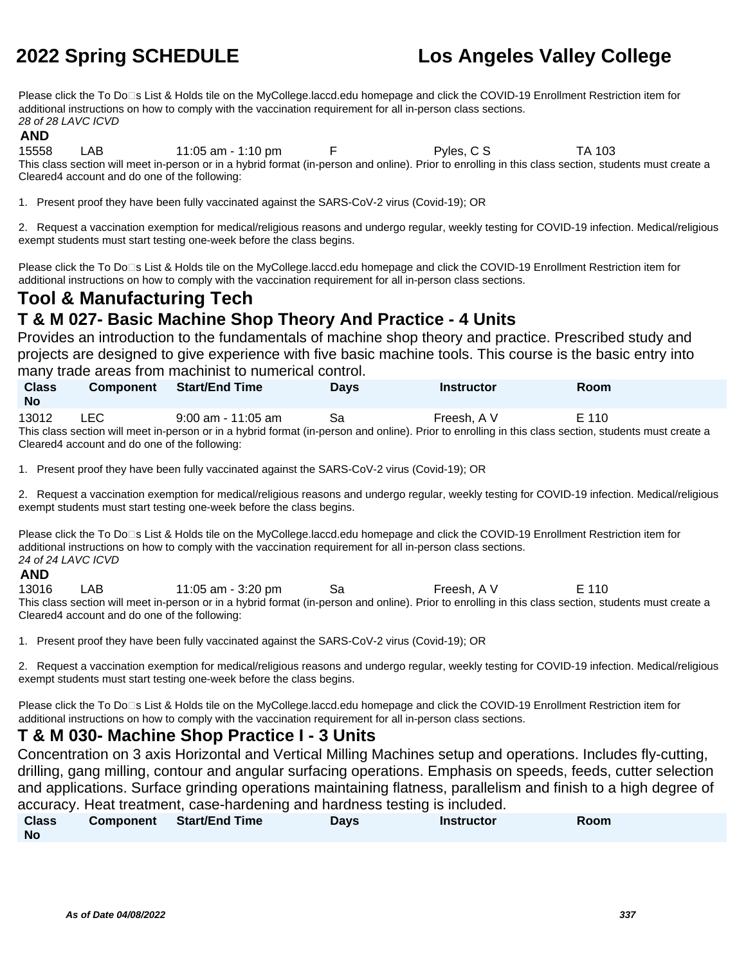Please click the To Do<sup>n</sup>s List & Holds tile on the MyCollege.laccd.edu homepage and click the COVID-19 Enrollment Restriction item for additional instructions on how to comply with the vaccination requirement for all in-person class sections. 28 of 28 LAVC ICVD

#### **AND**

15558 LAB 11:05 am - 1:10 pm F Pyles, C S TA 103 This class section will meet in-person or in a hybrid format (in-person and online). Prior to enrolling in this class section, students must create a Cleared4 account and do one of the following:

1. Present proof they have been fully vaccinated against the SARS-CoV-2 virus (Covid-19); OR

2. Request a vaccination exemption for medical/religious reasons and undergo regular, weekly testing for COVID-19 infection. Medical/religious exempt students must start testing one-week before the class begins.

Please click the To Do<sup>n</sup>s List & Holds tile on the MyCollege.laccd.edu homepage and click the COVID-19 Enrollment Restriction item for additional instructions on how to comply with the vaccination requirement for all in-person class sections.

## **Tool & Manufacturing Tech**

## **T & M 027- Basic Machine Shop Theory And Practice - 4 Units**

Provides an introduction to the fundamentals of machine shop theory and practice. Prescribed study and projects are designed to give experience with five basic machine tools. This course is the basic entry into many trade areas from machinist to numerical control.

| <b>Class</b><br><b>No</b> | <b>Component</b> | <b>Start/End Time</b>                                                                                                                                 | <b>Days</b> | Instructor  | <b>Room</b> |
|---------------------------|------------------|-------------------------------------------------------------------------------------------------------------------------------------------------------|-------------|-------------|-------------|
| 13012                     | LEC              | $9:00$ am - 11:05 am                                                                                                                                  | Sа          | Freesh. A V | E 110       |
|                           |                  | This class section will meet in-person or in a hybrid format (in-person and online). Prior to enrolling in this class section, students must create a |             |             |             |

Cleared4 account and do one of the following:

1. Present proof they have been fully vaccinated against the SARS-CoV-2 virus (Covid-19); OR

2. Request a vaccination exemption for medical/religious reasons and undergo regular, weekly testing for COVID-19 infection. Medical/religious exempt students must start testing one-week before the class begins.

Please click the To Do<sup>n</sup>s List & Holds tile on the MyCollege.laccd.edu homepage and click the COVID-19 Enrollment Restriction item for additional instructions on how to comply with the vaccination requirement for all in-person class sections. 24 of 24 LAVC ICVD

#### **AND**

13016 LAB 11:05 am - 3:20 pm Sa Freesh, A V E 110 This class section will meet in-person or in a hybrid format (in-person and online). Prior to enrolling in this class section, students must create a Cleared4 account and do one of the following:

1. Present proof they have been fully vaccinated against the SARS-CoV-2 virus (Covid-19); OR

2. Request a vaccination exemption for medical/religious reasons and undergo regular, weekly testing for COVID-19 infection. Medical/religious exempt students must start testing one-week before the class begins.

Please click the To Do<sup>n</sup>s List & Holds tile on the MyCollege.laccd.edu homepage and click the COVID-19 Enrollment Restriction item for additional instructions on how to comply with the vaccination requirement for all in-person class sections.

### **T & M 030- Machine Shop Practice I - 3 Units**

Concentration on 3 axis Horizontal and Vertical Milling Machines setup and operations. Includes fly-cutting, drilling, gang milling, contour and angular surfacing operations. Emphasis on speeds, feeds, cutter selection and applications. Surface grinding operations maintaining flatness, parallelism and finish to a high degree of accuracy. Heat treatment, case-hardening and hardness testing is included.

| Class | Component Start/End Time | Days | <b>Instructor</b> | Room |
|-------|--------------------------|------|-------------------|------|
| No    |                          |      |                   |      |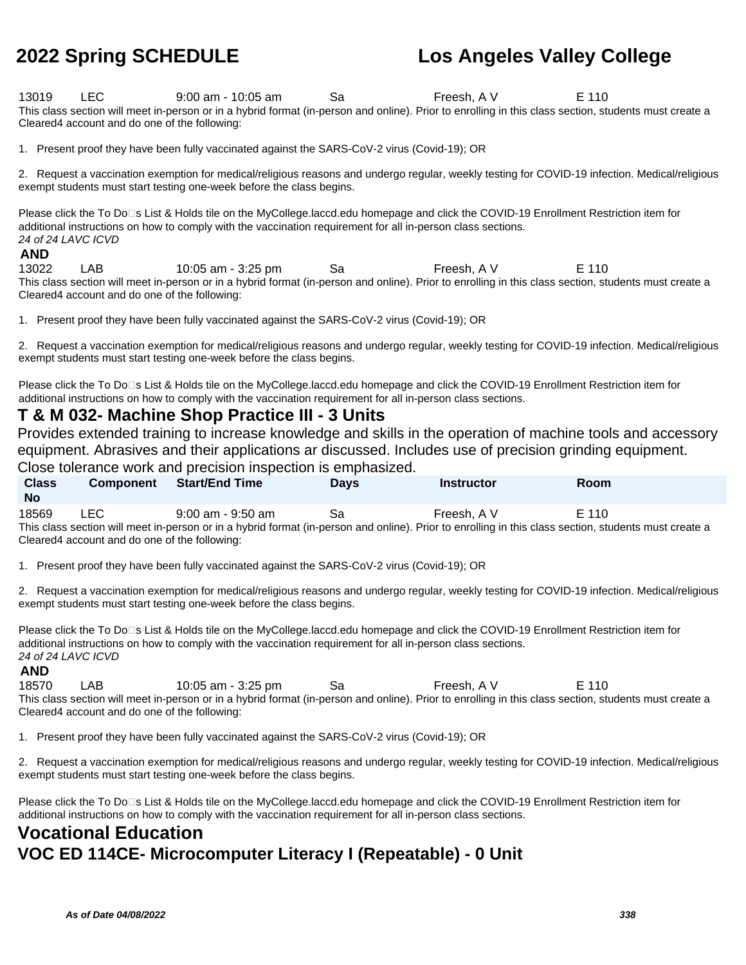13019 LEC 9:00 am - 10:05 am Sa Freesh, A V E 110 This class section will meet in-person or in a hybrid format (in-person and online). Prior to enrolling in this class section, students must create a Cleared4 account and do one of the following:

1. Present proof they have been fully vaccinated against the SARS-CoV-2 virus (Covid-19); OR

2. Request a vaccination exemption for medical/religious reasons and undergo regular, weekly testing for COVID-19 infection. Medical/religious exempt students must start testing one-week before the class begins.

Please click the To Do⊡s List & Holds tile on the MyCollege.laccd.edu homepage and click the COVID-19 Enrollment Restriction item for additional instructions on how to comply with the vaccination requirement for all in-person class sections. 24 of 24 LAVC ICVD

#### **AND**

13022 LAB 10:05 am - 3:25 pm Sa Freesh, A V E 110 This class section will meet in-person or in a hybrid format (in-person and online). Prior to enrolling in this class section, students must create a Cleared4 account and do one of the following:

1. Present proof they have been fully vaccinated against the SARS-CoV-2 virus (Covid-19); OR

2. Request a vaccination exemption for medical/religious reasons and undergo regular, weekly testing for COVID-19 infection. Medical/religious exempt students must start testing one-week before the class begins.

Please click the To Do⊡s List & Holds tile on the MyCollege.laccd.edu homepage and click the COVID-19 Enrollment Restriction item for additional instructions on how to comply with the vaccination requirement for all in-person class sections.

### **T & M 032- Machine Shop Practice III - 3 Units**

Provides extended training to increase knowledge and skills in the operation of machine tools and accessory equipment. Abrasives and their applications ar discussed. Includes use of precision grinding equipment.

Close tolerance work and precision inspection is emphasized.

| <b>Class</b><br><b>No</b>                                                                                                                             | <b>Component</b> | <b>Start/End Time</b> | <b>Davs</b> | Instructor  | <b>Room</b> |  |
|-------------------------------------------------------------------------------------------------------------------------------------------------------|------------------|-----------------------|-------------|-------------|-------------|--|
| 18569                                                                                                                                                 | LEC.             | $9:00$ am - $9:50$ am | Sa          | Freesh. A V | E 110       |  |
| This class section will meet in-person or in a hybrid format (in-person and online). Prior to enrolling in this class section, students must create a |                  |                       |             |             |             |  |

Cleared4 account and do one of the following:

1. Present proof they have been fully vaccinated against the SARS-CoV-2 virus (Covid-19); OR

2. Request a vaccination exemption for medical/religious reasons and undergo regular, weekly testing for COVID-19 infection. Medical/religious exempt students must start testing one-week before the class begins.

Please click the To Do<sup>n</sup>s List & Holds tile on the MyCollege.laccd.edu homepage and click the COVID-19 Enrollment Restriction item for additional instructions on how to comply with the vaccination requirement for all in-person class sections. 24 of 24 LAVC ICVD

#### **AND**

18570 LAB 10:05 am - 3:25 pm Sa Freesh, A V E 110 This class section will meet in-person or in a hybrid format (in-person and online). Prior to enrolling in this class section, students must create a Cleared4 account and do one of the following:

1. Present proof they have been fully vaccinated against the SARS-CoV-2 virus (Covid-19); OR

2. Request a vaccination exemption for medical/religious reasons and undergo regular, weekly testing for COVID-19 infection. Medical/religious exempt students must start testing one-week before the class begins.

Please click the To Do<sup>n</sup>s List & Holds tile on the MyCollege.laccd.edu homepage and click the COVID-19 Enrollment Restriction item for additional instructions on how to comply with the vaccination requirement for all in-person class sections.

## **Vocational Education VOC ED 114CE- Microcomputer Literacy I (Repeatable) - 0 Unit**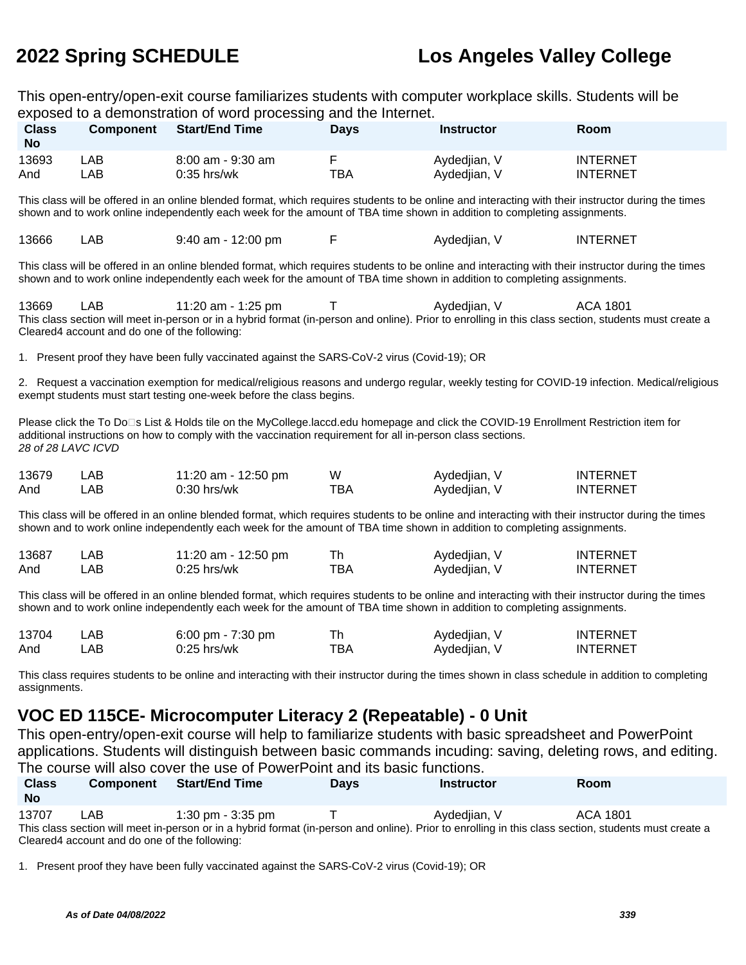This open-entry/open-exit course familiarizes students with computer workplace skills. Students will be exposed to a demonstration of word processing and the Internet.

| <b>Class</b><br><b>No</b> | <b>Component</b> | <b>Start/End Time</b> | Days | Instructor   | Room            |
|---------------------------|------------------|-----------------------|------|--------------|-----------------|
| 13693                     | ∟AB              | $8:00$ am - $9:30$ am |      | Aydedjian, V | <b>INTERNET</b> |
| And                       | _AB_             | $0:35$ hrs/wk         | TBA  | Aydedjian, V | INTERNET        |

This class will be offered in an online blended format, which requires students to be online and interacting with their instructor during the times shown and to work online independently each week for the amount of TBA time shown in addition to completing assignments.

| 13666<br>AВ | $9:40$ am - 12:00 pm |  | Avdediian. V | <b>INTERNET</b> |
|-------------|----------------------|--|--------------|-----------------|
|-------------|----------------------|--|--------------|-----------------|

This class will be offered in an online blended format, which requires students to be online and interacting with their instructor during the times shown and to work online independently each week for the amount of TBA time shown in addition to completing assignments.

13669 LAB 11:20 am - 1:25 pm T Aydediian. V ACA 1801 This class section will meet in-person or in a hybrid format (in-person and online). Prior to enrolling in this class section, students must create a Cleared4 account and do one of the following:

1. Present proof they have been fully vaccinated against the SARS-CoV-2 virus (Covid-19); OR

2. Request a vaccination exemption for medical/religious reasons and undergo regular, weekly testing for COVID-19 infection. Medical/religious exempt students must start testing one-week before the class begins.

Please click the To Do<sup>n</sup>s List & Holds tile on the MyCollege.laccd.edu homepage and click the COVID-19 Enrollment Restriction item for additional instructions on how to comply with the vaccination requirement for all in-person class sections. 28 of 28 LAVC ICVD

| 13679 | LAB | 11:20 am - 12:50 pm | W   | Aydedjian, V | <b>INTERNET</b> |
|-------|-----|---------------------|-----|--------------|-----------------|
| And   | .AB | 0:30 hrs/wk         | тва | Aydedjian, V | <b>INTERNET</b> |

This class will be offered in an online blended format, which requires students to be online and interacting with their instructor during the times shown and to work online independently each week for the amount of TBA time shown in addition to completing assignments.

| 13687 | ∟AB  | 11:20 am - 12:50 pm |     | Aydedjian, V | <b>INTERNET</b> |
|-------|------|---------------------|-----|--------------|-----------------|
| And   | _AB_ | 0:25 hrs/wk         | ™ВА | Aydedjian, V | <b>INTERNET</b> |

This class will be offered in an online blended format, which requires students to be online and interacting with their instructor during the times shown and to work online independently each week for the amount of TBA time shown in addition to completing assignments.

| 13704 | _AB   | 6:00 pm - 7:30 pm |     | Aydedjian, V | <b>INTERNET</b> |
|-------|-------|-------------------|-----|--------------|-----------------|
| And   | _AB . | $0:25$ hrs/wk     | тва | Aydedjian, V | INTERNET        |

This class requires students to be online and interacting with their instructor during the times shown in class schedule in addition to completing assignments.

### **VOC ED 115CE- Microcomputer Literacy 2 (Repeatable) - 0 Unit**

This open-entry/open-exit course will help to familiarize students with basic spreadsheet and PowerPoint applications. Students will distinguish between basic commands incuding: saving, deleting rows, and editing. The course will also cover the use of PowerPoint and its basic functions.

| <b>Class</b><br><b>No</b>                                                                                                                             | <b>Component</b> | <b>Start/End Time</b> | <b>Davs</b> | <b>Instructor</b> | <b>Room</b> |  |
|-------------------------------------------------------------------------------------------------------------------------------------------------------|------------------|-----------------------|-------------|-------------------|-------------|--|
| 13707                                                                                                                                                 | LAB              | $1:30$ pm - $3:35$ pm |             | Aydediian, V      | ACA 1801    |  |
| This class section will meet in-person or in a hybrid format (in-person and online). Prior to enrolling in this class section, students must create a |                  |                       |             |                   |             |  |
| Cleared4 account and do one of the following:                                                                                                         |                  |                       |             |                   |             |  |

1. Present proof they have been fully vaccinated against the SARS-CoV-2 virus (Covid-19); OR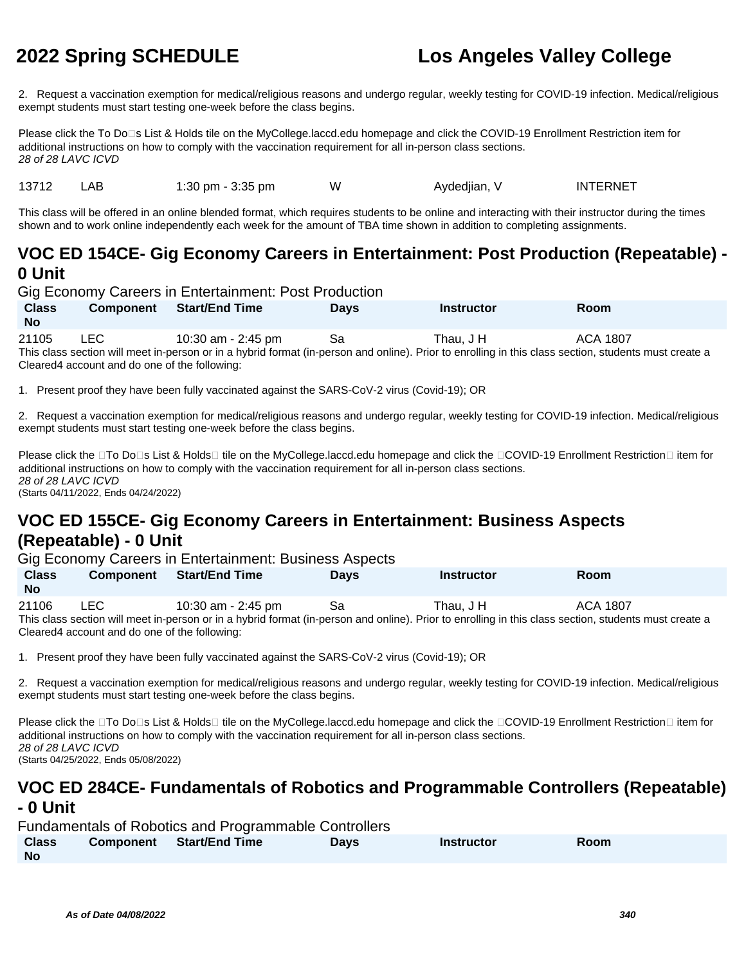2. Request a vaccination exemption for medical/religious reasons and undergo regular, weekly testing for COVID-19 infection. Medical/religious exempt students must start testing one-week before the class begins.

Please click the To Do<sup>n</sup>s List & Holds tile on the MyCollege.laccd.edu homepage and click the COVID-19 Enrollment Restriction item for additional instructions on how to comply with the vaccination requirement for all in-person class sections. 28 of 28 LAVC ICVD

13712 LAB 1:30 pm - 3:35 pm W Aydediian, V INTERNET

This class will be offered in an online blended format, which requires students to be online and interacting with their instructor during the times shown and to work online independently each week for the amount of TBA time shown in addition to completing assignments.

### **VOC ED 154CE- Gig Economy Careers in Entertainment: Post Production (Repeatable) - 0 Unit**

Gig Economy Careers in Entertainment: Post Production

**Class No Component Start/End Time Days Instructor Room** 21105 LEC 10:30 am - 2:45 pm Sa Thau, J H ACA 1807 This class section will meet in-person or in a hybrid format (in-person and online). Prior to enrolling in this class section, students must create a

Cleared4 account and do one of the following:

1. Present proof they have been fully vaccinated against the SARS-CoV-2 virus (Covid-19); OR

2. Request a vaccination exemption for medical/religious reasons and undergo regular, weekly testing for COVID-19 infection. Medical/religious exempt students must start testing one-week before the class begins.

Please click the □To Do□s List & Holds□ tile on the MyCollege.laccd.edu homepage and click the □COVID-19 Enrollment Restriction□ item for additional instructions on how to comply with the vaccination requirement for all in-person class sections. 28 of 28 LAVC ICVD (Starts 04/11/2022, Ends 04/24/2022)

### **VOC ED 155CE- Gig Economy Careers in Entertainment: Business Aspects (Repeatable) - 0 Unit**

Gig Economy Careers in Entertainment: Business Aspects

| $\frac{1}{2}$ = $\frac{1}{2}$ = $\frac{1}{2}$ = $\frac{1}{2}$ = $\frac{1}{2}$ = $\frac{1}{2}$ = $\frac{1}{2}$ = $\frac{1}{2}$ = $\frac{1}{2}$ = $\frac{1}{2}$ = $\frac{1}{2}$ = $\frac{1}{2}$ = $\frac{1}{2}$ = $\frac{1}{2}$ = $\frac{1}{2}$ = $\frac{1}{2}$ = $\frac{1}{2}$ = $\frac{1}{2}$ = $\frac{1$ |                  |                       |             |                   |          |  |
|-----------------------------------------------------------------------------------------------------------------------------------------------------------------------------------------------------------------------------------------------------------------------------------------------------------|------------------|-----------------------|-------------|-------------------|----------|--|
| <b>Class</b><br><b>No</b>                                                                                                                                                                                                                                                                                 | <b>Component</b> | <b>Start/End Time</b> | <b>Davs</b> | <b>Instructor</b> | Room     |  |
| 21106                                                                                                                                                                                                                                                                                                     | LEC.             | 10:30 am - 2:45 pm    | -Sa         | Thau. J H         | ACA 1807 |  |
| This class section will meet in-person or in a hybrid format (in-person and online). Prior to enrolling in this class section, students must create a                                                                                                                                                     |                  |                       |             |                   |          |  |
| Cleared4 account and do one of the following:                                                                                                                                                                                                                                                             |                  |                       |             |                   |          |  |

1. Present proof they have been fully vaccinated against the SARS-CoV-2 virus (Covid-19); OR

2. Request a vaccination exemption for medical/religious reasons and undergo regular, weekly testing for COVID-19 infection. Medical/religious exempt students must start testing one-week before the class begins.

Please click the □To Do□s List & Holds□ tile on the MyCollege.laccd.edu homepage and click the □COVID-19 Enrollment Restriction□ item for additional instructions on how to comply with the vaccination requirement for all in-person class sections. 28 of 28 LAVC ICVD (Starts 04/25/2022, Ends 05/08/2022)

# **VOC ED 284CE- Fundamentals of Robotics and Programmable Controllers (Repeatable)**

### **- 0 Unit**

| <b>Fundamentals of Robotics and Programmable Controllers</b> |  |                                 |             |            |             |  |  |
|--------------------------------------------------------------|--|---------------------------------|-------------|------------|-------------|--|--|
| <b>Class</b>                                                 |  | <b>Component</b> Start/End Time | <b>Davs</b> | Instructor | <b>Room</b> |  |  |
| <b>No</b>                                                    |  |                                 |             |            |             |  |  |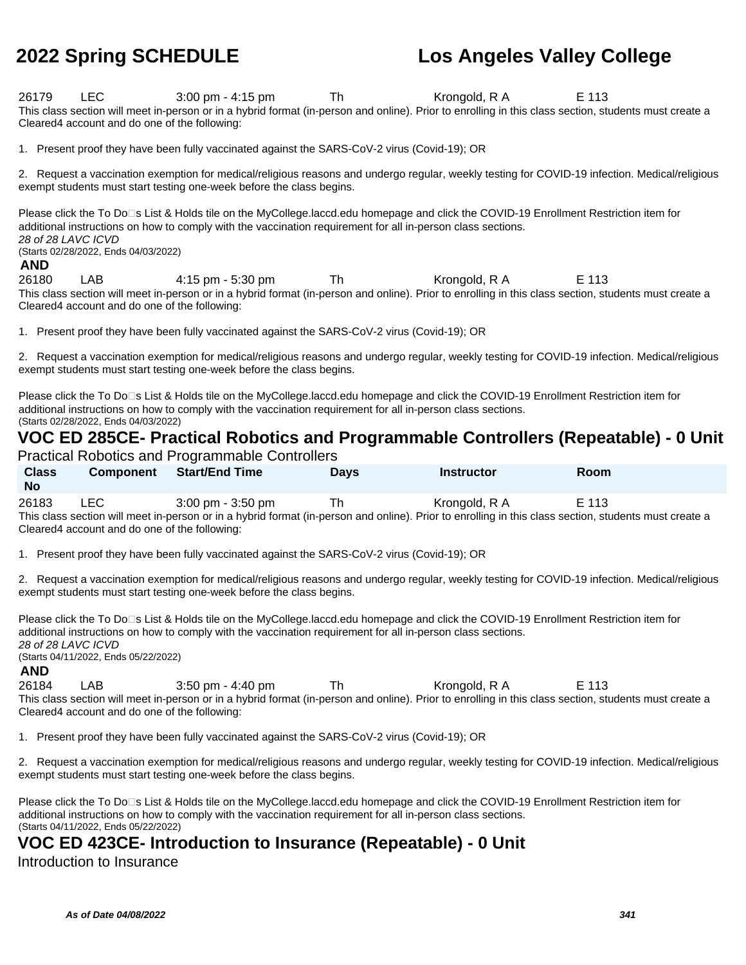26179 LEC 3:00 pm - 4:15 pm Th Krongold, R A E 113 This class section will meet in-person or in a hybrid format (in-person and online). Prior to enrolling in this class section, students must create a Cleared4 account and do one of the following:

1. Present proof they have been fully vaccinated against the SARS-CoV-2 virus (Covid-19); OR

2. Request a vaccination exemption for medical/religious reasons and undergo regular, weekly testing for COVID-19 infection. Medical/religious exempt students must start testing one-week before the class begins.

Please click the To Do<sup>n</sup>s List & Holds tile on the MyCollege.laccd.edu homepage and click the COVID-19 Enrollment Restriction item for additional instructions on how to comply with the vaccination requirement for all in-person class sections. 28 of 28 LAVC ICVD (Starts 02/28/2022, Ends 04/03/2022)

#### **AND**

26180 LAB 4:15 pm - 5:30 pm Th Krongold, R A E 113 This class section will meet in-person or in a hybrid format (in-person and online). Prior to enrolling in this class section, students must create a Cleared4 account and do one of the following:

1. Present proof they have been fully vaccinated against the SARS-CoV-2 virus (Covid-19); OR

2. Request a vaccination exemption for medical/religious reasons and undergo regular, weekly testing for COVID-19 infection. Medical/religious exempt students must start testing one-week before the class begins.

Please click the To Do<sup>n</sup>s List & Holds tile on the MyCollege.laccd.edu homepage and click the COVID-19 Enrollment Restriction item for additional instructions on how to comply with the vaccination requirement for all in-person class sections. (Starts 02/28/2022, Ends 04/03/2022)

### **VOC ED 285CE- Practical Robotics and Programmable Controllers (Repeatable) - 0 Unit**

Practical Robotics and Programmable Controllers

| <b>Class</b><br><b>No</b>                                                                                                                             | <b>Component</b> | <b>Start/End Time</b>               | <b>Davs</b> | <b>Instructor</b> | <b>Room</b> |  |
|-------------------------------------------------------------------------------------------------------------------------------------------------------|------------------|-------------------------------------|-------------|-------------------|-------------|--|
| 26183                                                                                                                                                 | LEC.             | $3:00 \text{ pm} - 3:50 \text{ pm}$ | Тh          | Krongold, R A     | E 113       |  |
| This class section will meet in-person or in a hybrid format (in-person and online). Prior to enrolling in this class section, students must create a |                  |                                     |             |                   |             |  |
| Cleared 4 account and do one of the following:                                                                                                        |                  |                                     |             |                   |             |  |

1. Present proof they have been fully vaccinated against the SARS-CoV-2 virus (Covid-19); OR

2. Request a vaccination exemption for medical/religious reasons and undergo regular, weekly testing for COVID-19 infection. Medical/religious exempt students must start testing one-week before the class begins.

Please click the To Do<sup>n</sup>s List & Holds tile on the MyCollege.laccd.edu homepage and click the COVID-19 Enrollment Restriction item for additional instructions on how to comply with the vaccination requirement for all in-person class sections. 28 of 28 LAVC ICVD (Starts 04/11/2022, Ends 05/22/2022)

#### **AND**

26184 LAB 3:50 pm - 4:40 pm Th Krongold, R A E 113 This class section will meet in-person or in a hybrid format (in-person and online). Prior to enrolling in this class section, students must create a Cleared4 account and do one of the following:

1. Present proof they have been fully vaccinated against the SARS-CoV-2 virus (Covid-19); OR

2. Request a vaccination exemption for medical/religious reasons and undergo regular, weekly testing for COVID-19 infection. Medical/religious exempt students must start testing one-week before the class begins.

Please click the To Do<sup>n</sup>s List & Holds tile on the MyCollege.laccd.edu homepage and click the COVID-19 Enrollment Restriction item for additional instructions on how to comply with the vaccination requirement for all in-person class sections. (Starts 04/11/2022, Ends 05/22/2022)

### **VOC ED 423CE- Introduction to Insurance (Repeatable) - 0 Unit**

Introduction to Insurance